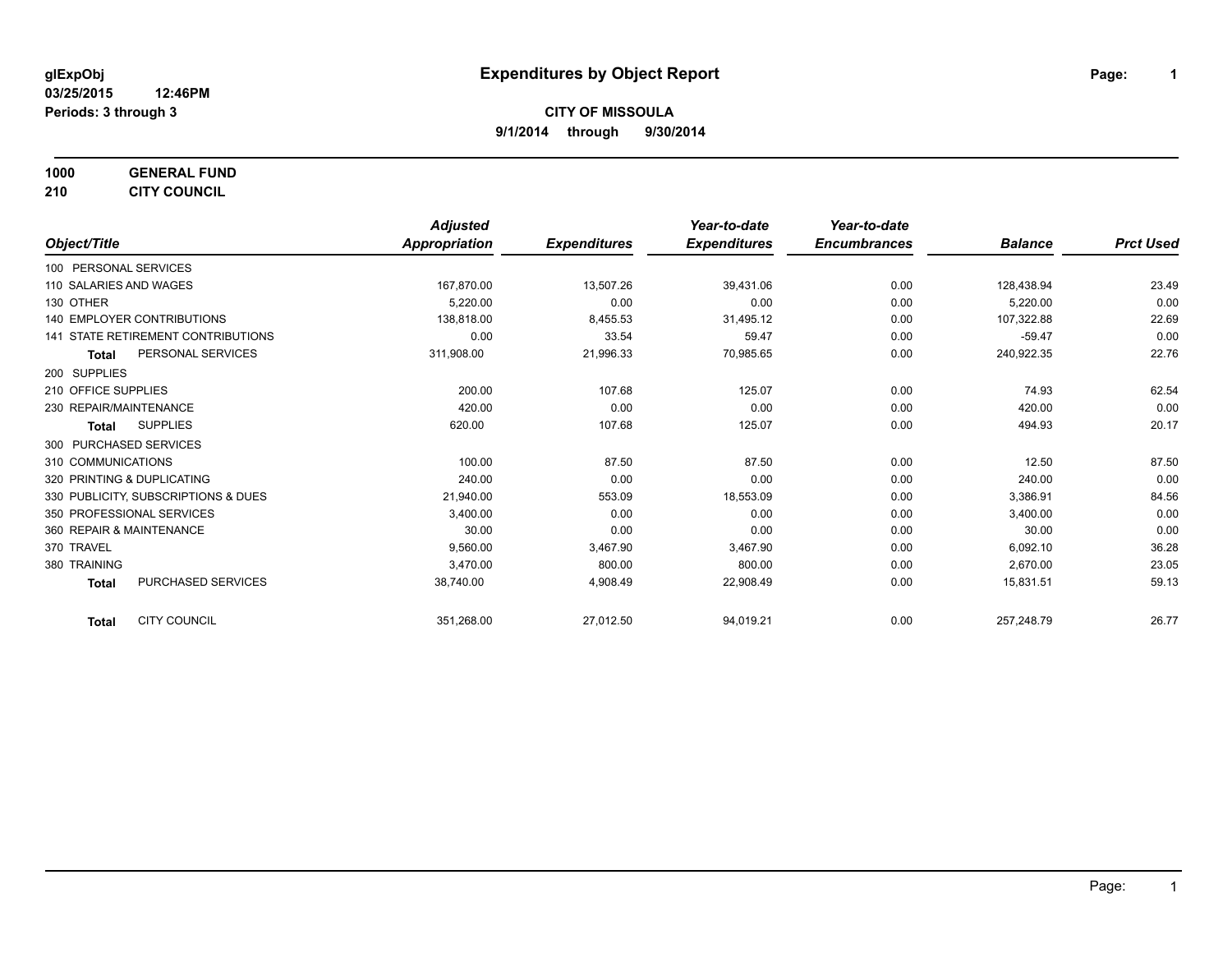**1000 GENERAL FUND 210 CITY COUNCIL**

*Object/Title Adjusted Appropriation Expenditures Year-to-date Expenditures Year-to-date Encumbrances Balance Prct Used* 100 PERSONAL SERVICES 110 SALARIES AND WAGES 167,870.00 13,507.26 39,431.06 0.00 128,438.94 23.49 130 OTHER 5,220.00 0.00 0.00 0.00 5,220.00 0.00 140 EMPLOYER CONTRIBUTIONS 138,818.00 8,455.53 31,495.12 0.00 107,322.88 22.69 141 STATE RETIREMENT CONTRIBUTIONS 10.00 0 0.00 0 33.54 59.47 0.00 0 59.47 59.47 59.47 59.47 59.47 59.47 0.00 **Total** PERSONAL SERVICES 311,908.00 21,996.33 70,985.65 0.00 240,922.35 22.76 200 SUPPLIES 210 OFFICE SUPPLIES 200.00 107.68 125.07 0.00 74.93 62.54 230 REPAIR/MAINTENANCE 420.00 0.00 0.00 0.00 420.00 0.00 **Total** SUPPLIES 620.00 107.68 125.07 0.00 494.93 20.17 300 PURCHASED SERVICES 310 COMMUNICATIONS 100.00 87.50 87.50 0.00 12.50 87.50 320 PRINTING & DUPLICATING 240.00 0.00 0.00 0.00 240.00 0.00 330 PUBLICITY, SUBSCRIPTIONS & DUES 21,940.00 553.09 18,553.09 0.00 3,386.91 84.56 350 PROFESSIONAL SERVICES 3,400.00 0.00 0.00 0.00 3,400.00 0.00 360 REPAIR & MAINTENANCE 30.00 0.00 0.00 0.00 30.00 0.00 370 TRAVEL 9,560.00 3,467.90 3,467.90 0.00 6,092.10 36.28 380 TRAINING 3,470.00 800.00 800.00 0.00 2,670.00 23.05 **Total** PURCHASED SERVICES 38,740.00 4,908.49 22,908.49 0.00 15,831.51 59.13 **Total** CITY COUNCIL 351,268.00 27,012.50 94,019.21 0.00 257,248.79 26.77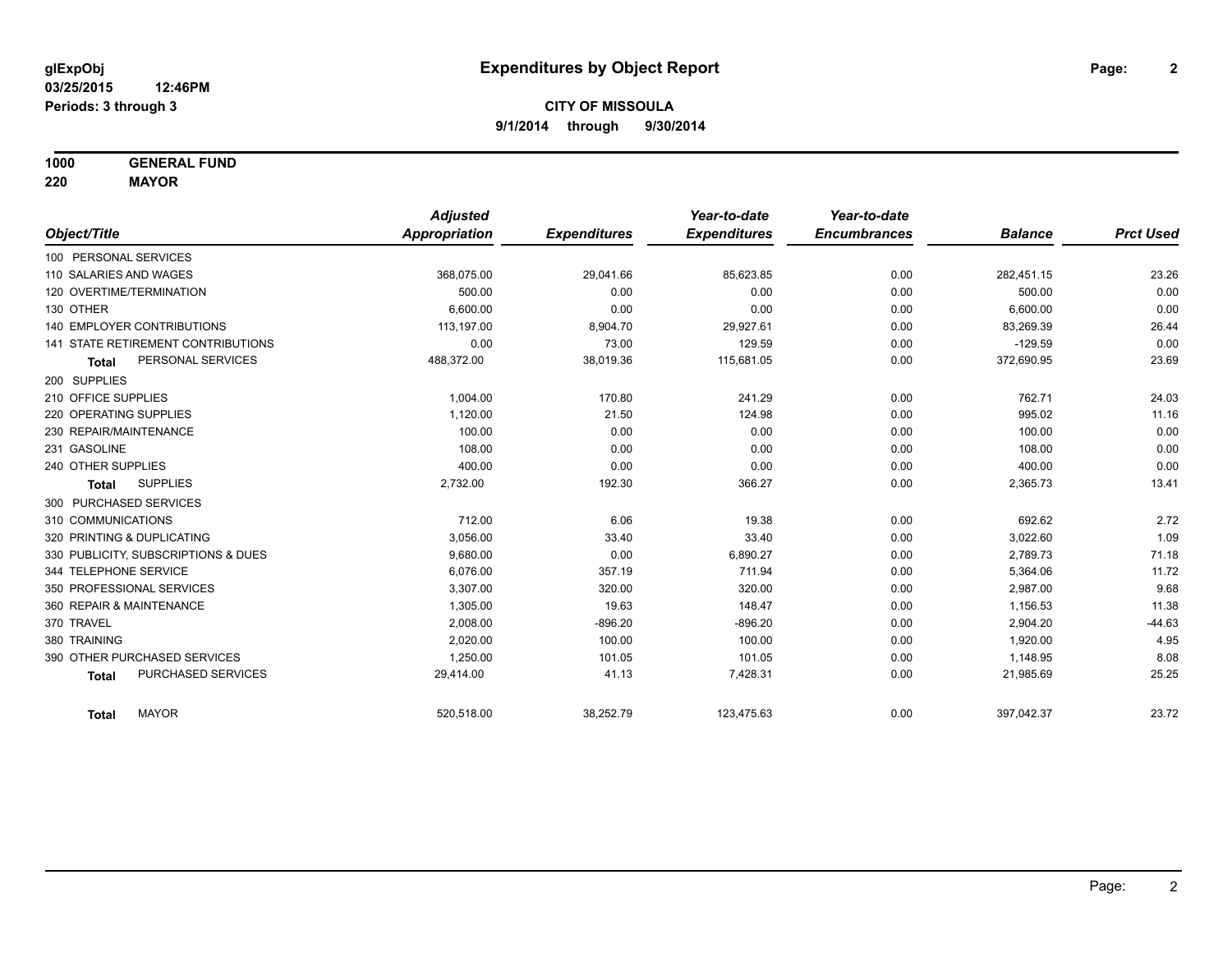**1000 GENERAL FUND**

**220 MAYOR**

|                                     | <b>Adjusted</b> |                     | Year-to-date        | Year-to-date        |                |                  |
|-------------------------------------|-----------------|---------------------|---------------------|---------------------|----------------|------------------|
| Object/Title                        | Appropriation   | <b>Expenditures</b> | <b>Expenditures</b> | <b>Encumbrances</b> | <b>Balance</b> | <b>Prct Used</b> |
| 100 PERSONAL SERVICES               |                 |                     |                     |                     |                |                  |
| 110 SALARIES AND WAGES              | 368,075.00      | 29,041.66           | 85,623.85           | 0.00                | 282,451.15     | 23.26            |
| 120 OVERTIME/TERMINATION            | 500.00          | 0.00                | 0.00                | 0.00                | 500.00         | 0.00             |
| 130 OTHER                           | 6.600.00        | 0.00                | 0.00                | 0.00                | 6,600.00       | 0.00             |
| <b>140 EMPLOYER CONTRIBUTIONS</b>   | 113,197.00      | 8,904.70            | 29,927.61           | 0.00                | 83,269.39      | 26.44            |
| 141 STATE RETIREMENT CONTRIBUTIONS  | 0.00            | 73.00               | 129.59              | 0.00                | $-129.59$      | 0.00             |
| PERSONAL SERVICES<br><b>Total</b>   | 488,372.00      | 38,019.36           | 115,681.05          | 0.00                | 372,690.95     | 23.69            |
| 200 SUPPLIES                        |                 |                     |                     |                     |                |                  |
| 210 OFFICE SUPPLIES                 | 1.004.00        | 170.80              | 241.29              | 0.00                | 762.71         | 24.03            |
| 220 OPERATING SUPPLIES              | 1,120.00        | 21.50               | 124.98              | 0.00                | 995.02         | 11.16            |
| 230 REPAIR/MAINTENANCE              | 100.00          | 0.00                | 0.00                | 0.00                | 100.00         | 0.00             |
| 231 GASOLINE                        | 108.00          | 0.00                | 0.00                | 0.00                | 108.00         | 0.00             |
| 240 OTHER SUPPLIES                  | 400.00          | 0.00                | 0.00                | 0.00                | 400.00         | 0.00             |
| <b>SUPPLIES</b><br><b>Total</b>     | 2,732.00        | 192.30              | 366.27              | 0.00                | 2,365.73       | 13.41            |
| 300 PURCHASED SERVICES              |                 |                     |                     |                     |                |                  |
| 310 COMMUNICATIONS                  | 712.00          | 6.06                | 19.38               | 0.00                | 692.62         | 2.72             |
| 320 PRINTING & DUPLICATING          | 3,056.00        | 33.40               | 33.40               | 0.00                | 3,022.60       | 1.09             |
| 330 PUBLICITY, SUBSCRIPTIONS & DUES | 9,680.00        | 0.00                | 6,890.27            | 0.00                | 2,789.73       | 71.18            |
| 344 TELEPHONE SERVICE               | 6.076.00        | 357.19              | 711.94              | 0.00                | 5,364.06       | 11.72            |
| 350 PROFESSIONAL SERVICES           | 3,307.00        | 320.00              | 320.00              | 0.00                | 2,987.00       | 9.68             |
| 360 REPAIR & MAINTENANCE            | 1,305.00        | 19.63               | 148.47              | 0.00                | 1,156.53       | 11.38            |
| 370 TRAVEL                          | 2,008.00        | $-896.20$           | $-896.20$           | 0.00                | 2,904.20       | $-44.63$         |
| 380 TRAINING                        | 2,020.00        | 100.00              | 100.00              | 0.00                | 1,920.00       | 4.95             |
| 390 OTHER PURCHASED SERVICES        | 1,250.00        | 101.05              | 101.05              | 0.00                | 1,148.95       | 8.08             |
| PURCHASED SERVICES<br><b>Total</b>  | 29,414.00       | 41.13               | 7,428.31            | 0.00                | 21,985.69      | 25.25            |
| <b>MAYOR</b><br><b>Total</b>        | 520,518.00      | 38,252.79           | 123,475.63          | 0.00                | 397,042.37     | 23.72            |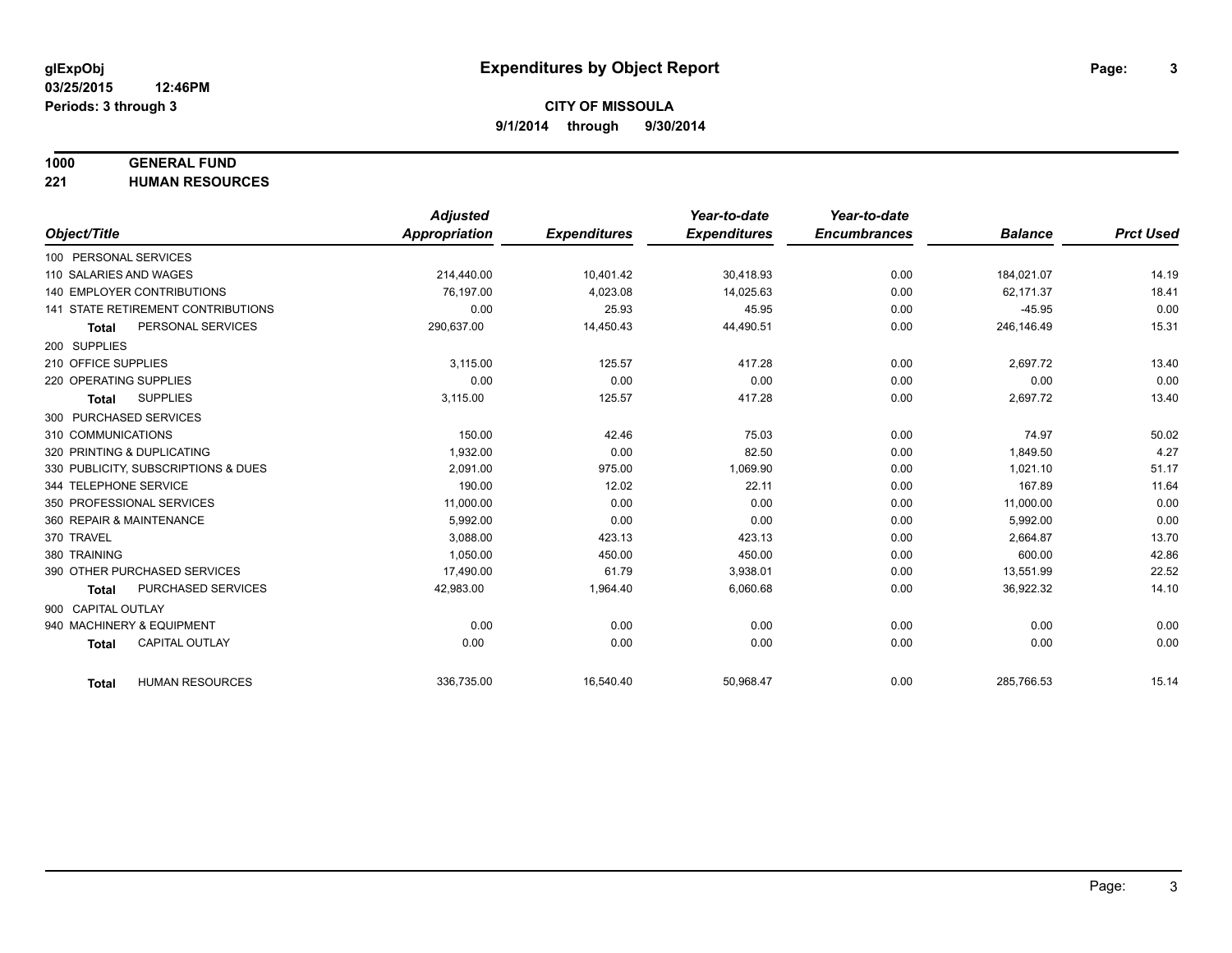# **1000 GENERAL FUND**

**221 HUMAN RESOURCES**

|                                           | <b>Adjusted</b> |                     | Year-to-date        | Year-to-date        |                |                  |
|-------------------------------------------|-----------------|---------------------|---------------------|---------------------|----------------|------------------|
| Object/Title                              | Appropriation   | <b>Expenditures</b> | <b>Expenditures</b> | <b>Encumbrances</b> | <b>Balance</b> | <b>Prct Used</b> |
| 100 PERSONAL SERVICES                     |                 |                     |                     |                     |                |                  |
| 110 SALARIES AND WAGES                    | 214,440.00      | 10,401.42           | 30,418.93           | 0.00                | 184,021.07     | 14.19            |
| 140 EMPLOYER CONTRIBUTIONS                | 76.197.00       | 4,023.08            | 14,025.63           | 0.00                | 62.171.37      | 18.41            |
| 141 STATE RETIREMENT CONTRIBUTIONS        | 0.00            | 25.93               | 45.95               | 0.00                | $-45.95$       | 0.00             |
| PERSONAL SERVICES<br><b>Total</b>         | 290,637.00      | 14,450.43           | 44,490.51           | 0.00                | 246,146.49     | 15.31            |
| 200 SUPPLIES                              |                 |                     |                     |                     |                |                  |
| 210 OFFICE SUPPLIES                       | 3.115.00        | 125.57              | 417.28              | 0.00                | 2,697.72       | 13.40            |
| 220 OPERATING SUPPLIES                    | 0.00            | 0.00                | 0.00                | 0.00                | 0.00           | 0.00             |
| <b>SUPPLIES</b><br><b>Total</b>           | 3,115.00        | 125.57              | 417.28              | 0.00                | 2,697.72       | 13.40            |
| 300 PURCHASED SERVICES                    |                 |                     |                     |                     |                |                  |
| 310 COMMUNICATIONS                        | 150.00          | 42.46               | 75.03               | 0.00                | 74.97          | 50.02            |
| 320 PRINTING & DUPLICATING                | 1.932.00        | 0.00                | 82.50               | 0.00                | 1.849.50       | 4.27             |
| 330 PUBLICITY, SUBSCRIPTIONS & DUES       | 2,091.00        | 975.00              | 1,069.90            | 0.00                | 1,021.10       | 51.17            |
| 344 TELEPHONE SERVICE                     | 190.00          | 12.02               | 22.11               | 0.00                | 167.89         | 11.64            |
| 350 PROFESSIONAL SERVICES                 | 11,000.00       | 0.00                | 0.00                | 0.00                | 11,000.00      | 0.00             |
| 360 REPAIR & MAINTENANCE                  | 5,992.00        | 0.00                | 0.00                | 0.00                | 5,992.00       | 0.00             |
| 370 TRAVEL                                | 3.088.00        | 423.13              | 423.13              | 0.00                | 2,664.87       | 13.70            |
| 380 TRAINING                              | 1,050.00        | 450.00              | 450.00              | 0.00                | 600.00         | 42.86            |
| 390 OTHER PURCHASED SERVICES              | 17,490.00       | 61.79               | 3,938.01            | 0.00                | 13,551.99      | 22.52            |
| <b>PURCHASED SERVICES</b><br><b>Total</b> | 42,983.00       | 1,964.40            | 6,060.68            | 0.00                | 36,922.32      | 14.10            |
| 900 CAPITAL OUTLAY                        |                 |                     |                     |                     |                |                  |
| 940 MACHINERY & EQUIPMENT                 | 0.00            | 0.00                | 0.00                | 0.00                | 0.00           | 0.00             |
| <b>CAPITAL OUTLAY</b><br><b>Total</b>     | 0.00            | 0.00                | 0.00                | 0.00                | 0.00           | 0.00             |
|                                           |                 |                     |                     |                     |                |                  |
| <b>HUMAN RESOURCES</b><br><b>Total</b>    | 336,735.00      | 16,540.40           | 50,968.47           | 0.00                | 285,766.53     | 15.14            |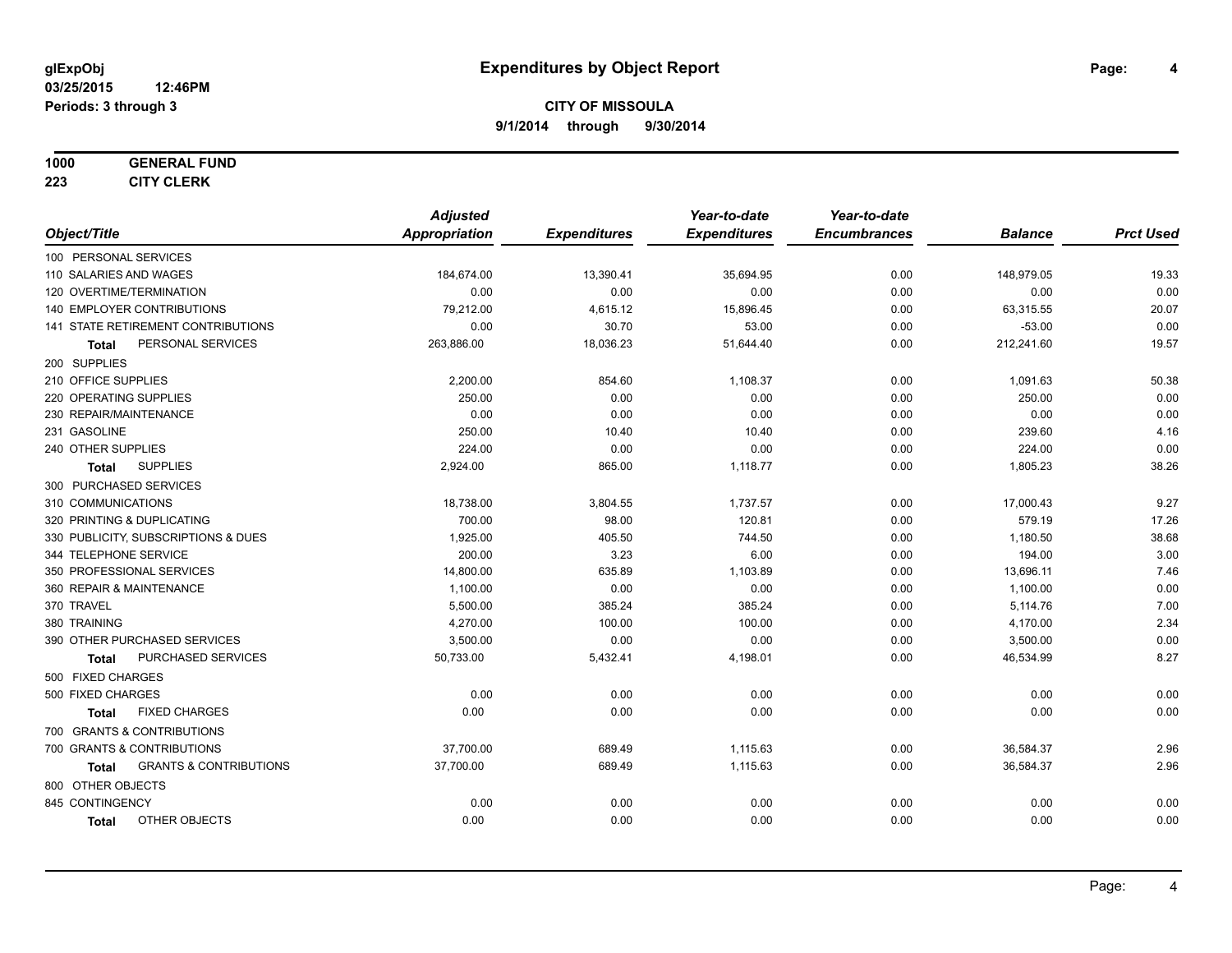#### **1000 GENERAL FUND**

**223 CITY CLERK**

|                                            | <b>Adjusted</b>      |                     | Year-to-date        | Year-to-date        |                |                  |
|--------------------------------------------|----------------------|---------------------|---------------------|---------------------|----------------|------------------|
| Object/Title                               | <b>Appropriation</b> | <b>Expenditures</b> | <b>Expenditures</b> | <b>Encumbrances</b> | <b>Balance</b> | <b>Prct Used</b> |
| 100 PERSONAL SERVICES                      |                      |                     |                     |                     |                |                  |
| 110 SALARIES AND WAGES                     | 184,674.00           | 13,390.41           | 35,694.95           | 0.00                | 148,979.05     | 19.33            |
| 120 OVERTIME/TERMINATION                   | 0.00                 | 0.00                | 0.00                | 0.00                | 0.00           | 0.00             |
| 140 EMPLOYER CONTRIBUTIONS                 | 79,212.00            | 4,615.12            | 15,896.45           | 0.00                | 63,315.55      | 20.07            |
| 141 STATE RETIREMENT CONTRIBUTIONS         | 0.00                 | 30.70               | 53.00               | 0.00                | $-53.00$       | 0.00             |
| PERSONAL SERVICES<br>Total                 | 263,886.00           | 18,036.23           | 51,644.40           | 0.00                | 212,241.60     | 19.57            |
| 200 SUPPLIES                               |                      |                     |                     |                     |                |                  |
| 210 OFFICE SUPPLIES                        | 2,200.00             | 854.60              | 1,108.37            | 0.00                | 1,091.63       | 50.38            |
| 220 OPERATING SUPPLIES                     | 250.00               | 0.00                | 0.00                | 0.00                | 250.00         | 0.00             |
| 230 REPAIR/MAINTENANCE                     | 0.00                 | 0.00                | 0.00                | 0.00                | 0.00           | 0.00             |
| 231 GASOLINE                               | 250.00               | 10.40               | 10.40               | 0.00                | 239.60         | 4.16             |
| 240 OTHER SUPPLIES                         | 224.00               | 0.00                | 0.00                | 0.00                | 224.00         | 0.00             |
| <b>SUPPLIES</b><br><b>Total</b>            | 2,924.00             | 865.00              | 1,118.77            | 0.00                | 1,805.23       | 38.26            |
| 300 PURCHASED SERVICES                     |                      |                     |                     |                     |                |                  |
| 310 COMMUNICATIONS                         | 18,738.00            | 3,804.55            | 1,737.57            | 0.00                | 17,000.43      | 9.27             |
| 320 PRINTING & DUPLICATING                 | 700.00               | 98.00               | 120.81              | 0.00                | 579.19         | 17.26            |
| 330 PUBLICITY, SUBSCRIPTIONS & DUES        | 1,925.00             | 405.50              | 744.50              | 0.00                | 1,180.50       | 38.68            |
| 344 TELEPHONE SERVICE                      | 200.00               | 3.23                | 6.00                | 0.00                | 194.00         | 3.00             |
| 350 PROFESSIONAL SERVICES                  | 14,800.00            | 635.89              | 1,103.89            | 0.00                | 13,696.11      | 7.46             |
| 360 REPAIR & MAINTENANCE                   | 1,100.00             | 0.00                | 0.00                | 0.00                | 1,100.00       | 0.00             |
| 370 TRAVEL                                 | 5,500.00             | 385.24              | 385.24              | 0.00                | 5,114.76       | 7.00             |
| 380 TRAINING                               | 4,270.00             | 100.00              | 100.00              | 0.00                | 4,170.00       | 2.34             |
| 390 OTHER PURCHASED SERVICES               | 3,500.00             | 0.00                | 0.00                | 0.00                | 3,500.00       | 0.00             |
| PURCHASED SERVICES<br><b>Total</b>         | 50,733.00            | 5,432.41            | 4,198.01            | 0.00                | 46,534.99      | 8.27             |
| 500 FIXED CHARGES                          |                      |                     |                     |                     |                |                  |
| 500 FIXED CHARGES                          | 0.00                 | 0.00                | 0.00                | 0.00                | 0.00           | 0.00             |
| <b>FIXED CHARGES</b><br><b>Total</b>       | 0.00                 | 0.00                | 0.00                | 0.00                | 0.00           | 0.00             |
| 700 GRANTS & CONTRIBUTIONS                 |                      |                     |                     |                     |                |                  |
| 700 GRANTS & CONTRIBUTIONS                 | 37,700.00            | 689.49              | 1,115.63            | 0.00                | 36,584.37      | 2.96             |
| <b>GRANTS &amp; CONTRIBUTIONS</b><br>Total | 37,700.00            | 689.49              | 1,115.63            | 0.00                | 36,584.37      | 2.96             |
| 800 OTHER OBJECTS                          |                      |                     |                     |                     |                |                  |
| 845 CONTINGENCY                            | 0.00                 | 0.00                | 0.00                | 0.00                | 0.00           | 0.00             |
| OTHER OBJECTS<br><b>Total</b>              | 0.00                 | 0.00                | 0.00                | 0.00                | 0.00           | 0.00             |
|                                            |                      |                     |                     |                     |                |                  |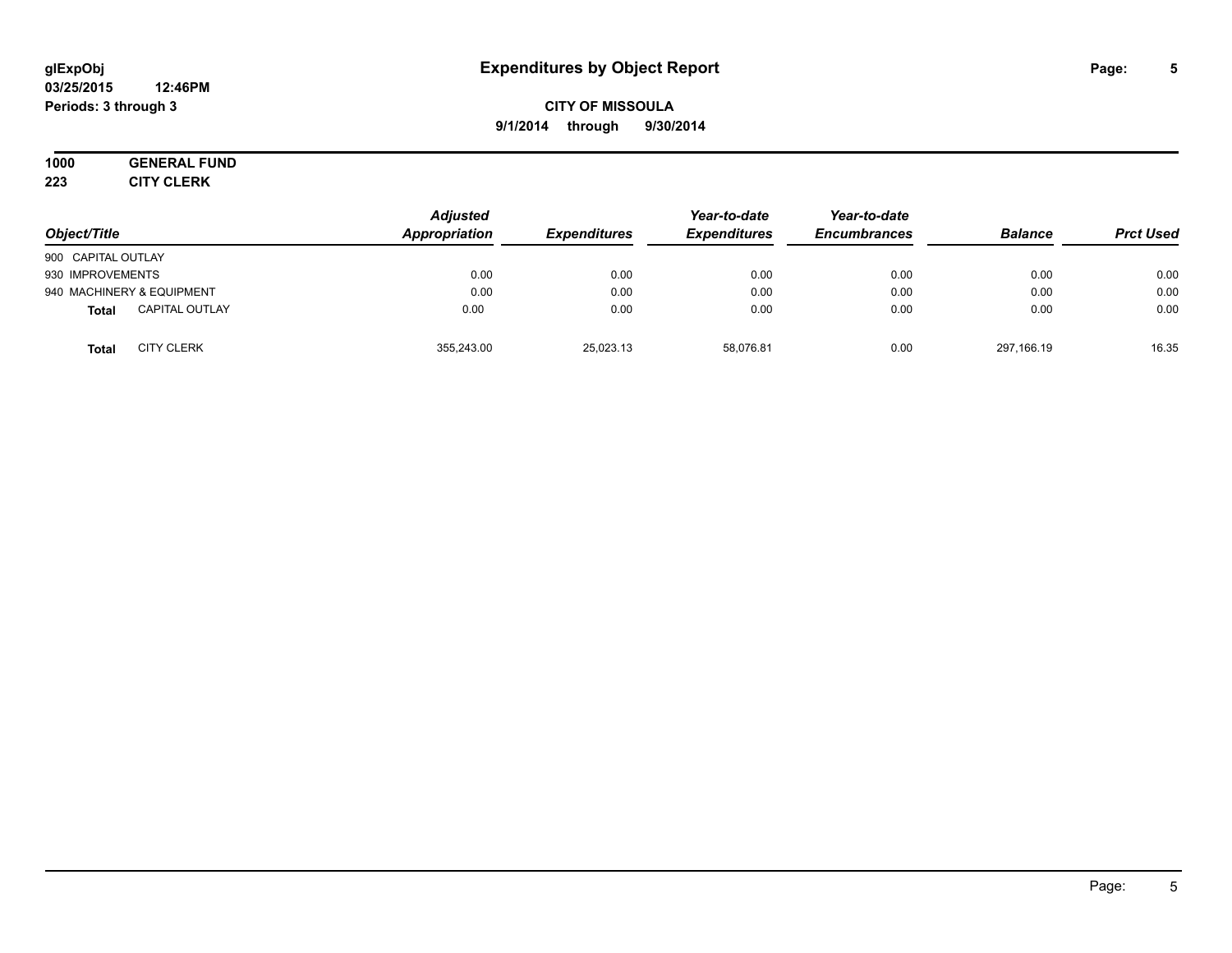#### **03/25/2015 12:46PM Periods: 3 through 3**

## **CITY OF MISSOULA 9/1/2014 through 9/30/2014**

#### **1000 GENERAL FUND 223 CITY CLERK**

| Object/Title                          | <b>Adjusted</b><br>Appropriation | <b>Expenditures</b> | Year-to-date<br><b>Expenditures</b> | Year-to-date<br><b>Encumbrances</b> | <b>Balance</b> | <b>Prct Used</b> |
|---------------------------------------|----------------------------------|---------------------|-------------------------------------|-------------------------------------|----------------|------------------|
| 900 CAPITAL OUTLAY                    |                                  |                     |                                     |                                     |                |                  |
| 930 IMPROVEMENTS                      | 0.00                             | 0.00                | 0.00                                | 0.00                                | 0.00           | 0.00             |
| 940 MACHINERY & EQUIPMENT             | 0.00                             | 0.00                | 0.00                                | 0.00                                | 0.00           | 0.00             |
| <b>CAPITAL OUTLAY</b><br><b>Total</b> | 0.00                             | 0.00                | 0.00                                | 0.00                                | 0.00           | 0.00             |
| <b>CITY CLERK</b><br><b>Total</b>     | 355.243.00                       | 25,023.13           | 58.076.81                           | 0.00                                | 297,166.19     | 16.35            |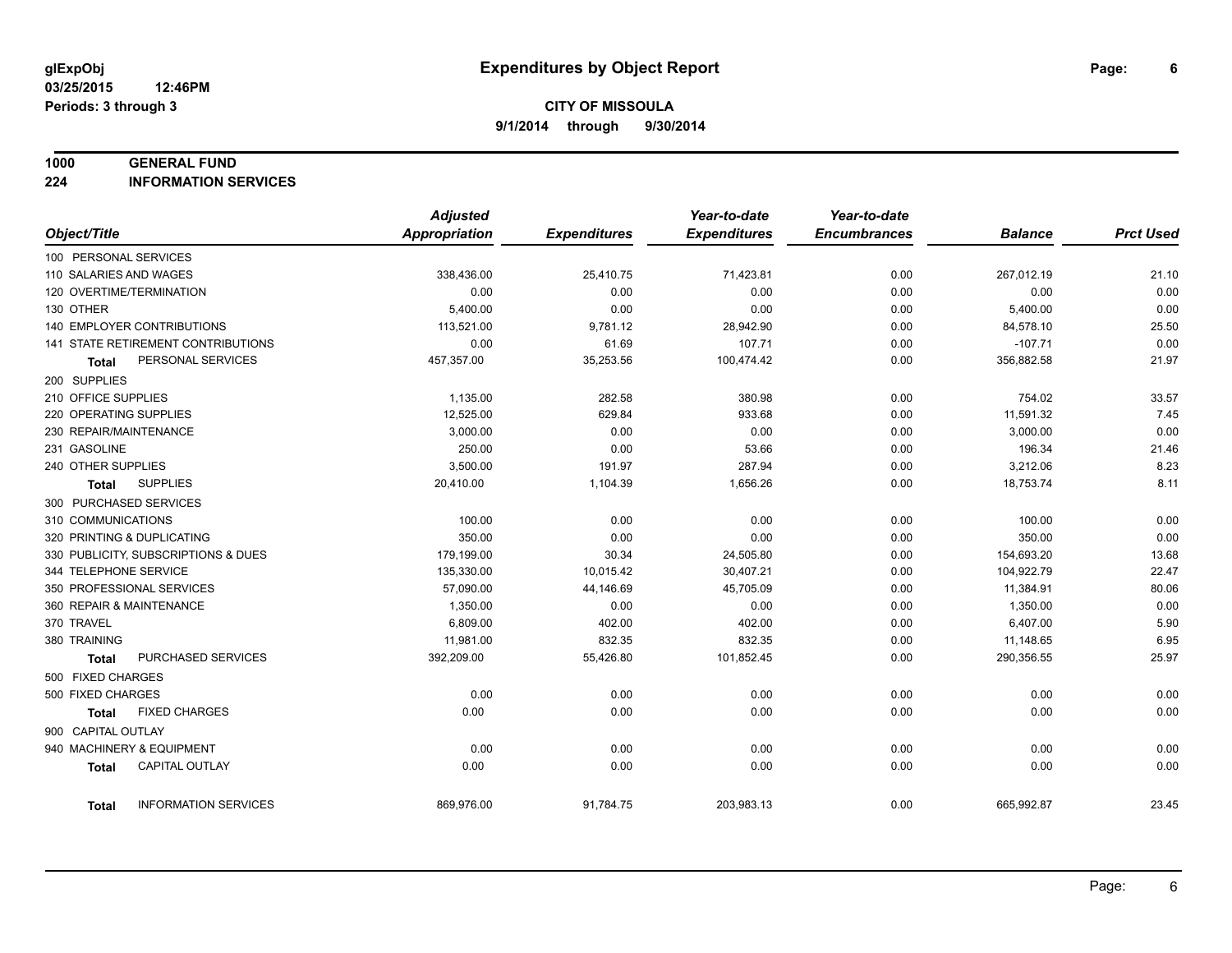#### **1000 GENERAL FUND**

**224 INFORMATION SERVICES**

|                            |                                     | <b>Adjusted</b>      |                     | Year-to-date        | Year-to-date        |                |                  |
|----------------------------|-------------------------------------|----------------------|---------------------|---------------------|---------------------|----------------|------------------|
| Object/Title               |                                     | <b>Appropriation</b> | <b>Expenditures</b> | <b>Expenditures</b> | <b>Encumbrances</b> | <b>Balance</b> | <b>Prct Used</b> |
| 100 PERSONAL SERVICES      |                                     |                      |                     |                     |                     |                |                  |
| 110 SALARIES AND WAGES     |                                     | 338,436.00           | 25,410.75           | 71,423.81           | 0.00                | 267,012.19     | 21.10            |
| 120 OVERTIME/TERMINATION   |                                     | 0.00                 | 0.00                | 0.00                | 0.00                | 0.00           | 0.00             |
| 130 OTHER                  |                                     | 5,400.00             | 0.00                | 0.00                | 0.00                | 5,400.00       | 0.00             |
|                            | <b>140 EMPLOYER CONTRIBUTIONS</b>   | 113,521.00           | 9,781.12            | 28,942.90           | 0.00                | 84,578.10      | 25.50            |
|                            | 141 STATE RETIREMENT CONTRIBUTIONS  | 0.00                 | 61.69               | 107.71              | 0.00                | $-107.71$      | 0.00             |
| <b>Total</b>               | PERSONAL SERVICES                   | 457,357.00           | 35,253.56           | 100,474.42          | 0.00                | 356,882.58     | 21.97            |
| 200 SUPPLIES               |                                     |                      |                     |                     |                     |                |                  |
| 210 OFFICE SUPPLIES        |                                     | 1,135.00             | 282.58              | 380.98              | 0.00                | 754.02         | 33.57            |
| 220 OPERATING SUPPLIES     |                                     | 12,525.00            | 629.84              | 933.68              | 0.00                | 11,591.32      | 7.45             |
| 230 REPAIR/MAINTENANCE     |                                     | 3.000.00             | 0.00                | 0.00                | 0.00                | 3,000.00       | 0.00             |
| 231 GASOLINE               |                                     | 250.00               | 0.00                | 53.66               | 0.00                | 196.34         | 21.46            |
| 240 OTHER SUPPLIES         |                                     | 3,500.00             | 191.97              | 287.94              | 0.00                | 3,212.06       | 8.23             |
| Total                      | <b>SUPPLIES</b>                     | 20,410.00            | 1,104.39            | 1,656.26            | 0.00                | 18,753.74      | 8.11             |
| 300 PURCHASED SERVICES     |                                     |                      |                     |                     |                     |                |                  |
| 310 COMMUNICATIONS         |                                     | 100.00               | 0.00                | 0.00                | 0.00                | 100.00         | 0.00             |
| 320 PRINTING & DUPLICATING |                                     | 350.00               | 0.00                | 0.00                | 0.00                | 350.00         | 0.00             |
|                            | 330 PUBLICITY, SUBSCRIPTIONS & DUES | 179,199.00           | 30.34               | 24,505.80           | 0.00                | 154,693.20     | 13.68            |
| 344 TELEPHONE SERVICE      |                                     | 135,330.00           | 10,015.42           | 30,407.21           | 0.00                | 104,922.79     | 22.47            |
|                            | 350 PROFESSIONAL SERVICES           | 57,090.00            | 44,146.69           | 45,705.09           | 0.00                | 11,384.91      | 80.06            |
| 360 REPAIR & MAINTENANCE   |                                     | 1,350.00             | 0.00                | 0.00                | 0.00                | 1,350.00       | 0.00             |
| 370 TRAVEL                 |                                     | 6,809.00             | 402.00              | 402.00              | 0.00                | 6,407.00       | 5.90             |
| 380 TRAINING               |                                     | 11,981.00            | 832.35              | 832.35              | 0.00                | 11,148.65      | 6.95             |
| <b>Total</b>               | PURCHASED SERVICES                  | 392,209.00           | 55,426.80           | 101,852.45          | 0.00                | 290,356.55     | 25.97            |
| 500 FIXED CHARGES          |                                     |                      |                     |                     |                     |                |                  |
| 500 FIXED CHARGES          |                                     | 0.00                 | 0.00                | 0.00                | 0.00                | 0.00           | 0.00             |
| <b>Total</b>               | <b>FIXED CHARGES</b>                | 0.00                 | 0.00                | 0.00                | 0.00                | 0.00           | 0.00             |
| 900 CAPITAL OUTLAY         |                                     |                      |                     |                     |                     |                |                  |
|                            | 940 MACHINERY & EQUIPMENT           | 0.00                 | 0.00                | 0.00                | 0.00                | 0.00           | 0.00             |
| <b>Total</b>               | <b>CAPITAL OUTLAY</b>               | 0.00                 | 0.00                | 0.00                | 0.00                | 0.00           | 0.00             |
| <b>Total</b>               | <b>INFORMATION SERVICES</b>         | 869,976.00           | 91,784.75           | 203,983.13          | 0.00                | 665,992.87     | 23.45            |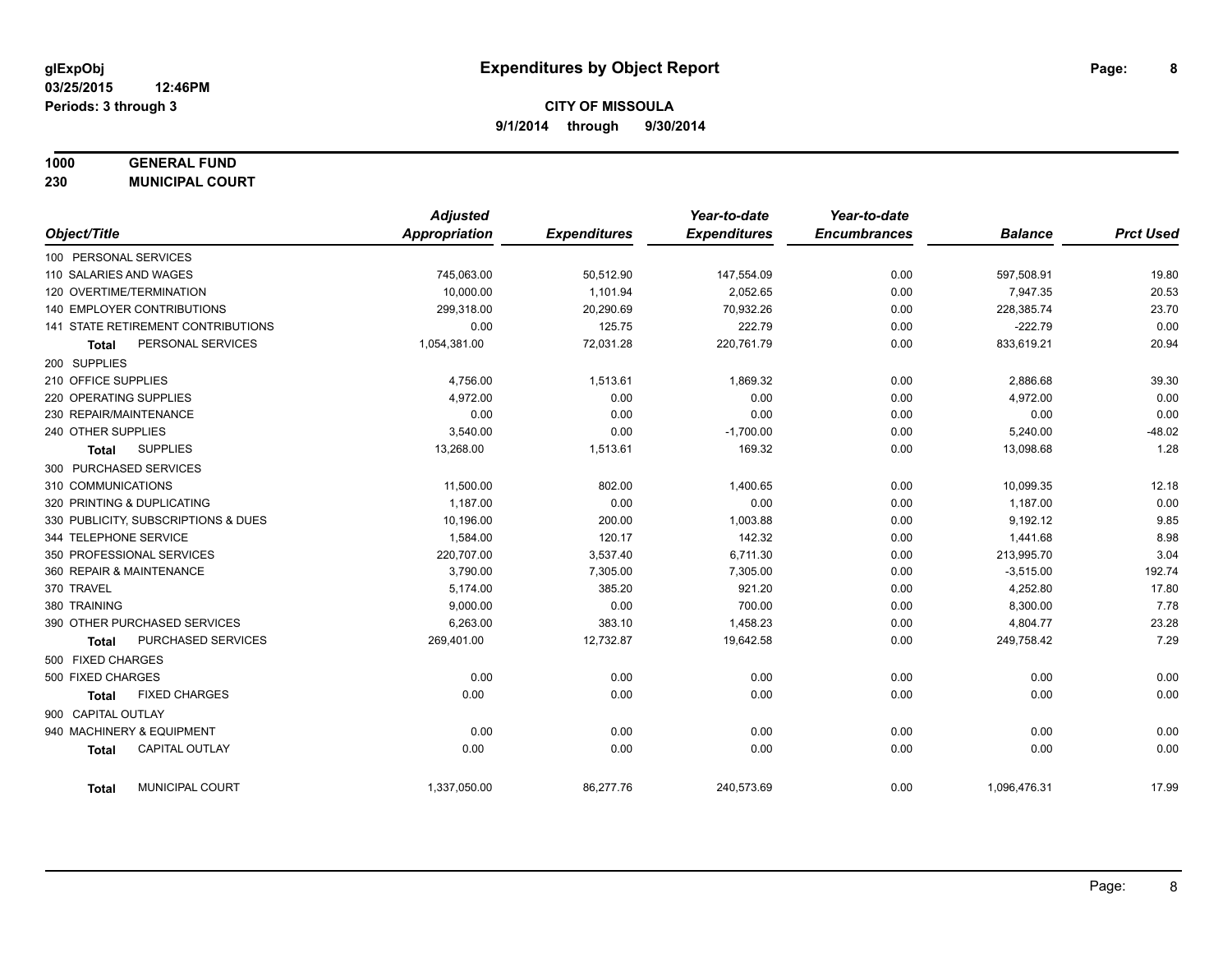# **1000 GENERAL FUND**

**230 MUNICIPAL COURT**

|                                        | <b>Adjusted</b>      |                     | Year-to-date        | Year-to-date        |                |                  |
|----------------------------------------|----------------------|---------------------|---------------------|---------------------|----------------|------------------|
| Object/Title                           | <b>Appropriation</b> | <b>Expenditures</b> | <b>Expenditures</b> | <b>Encumbrances</b> | <b>Balance</b> | <b>Prct Used</b> |
| 100 PERSONAL SERVICES                  |                      |                     |                     |                     |                |                  |
| 110 SALARIES AND WAGES                 | 745,063.00           | 50,512.90           | 147,554.09          | 0.00                | 597,508.91     | 19.80            |
| 120 OVERTIME/TERMINATION               | 10.000.00            | 1.101.94            | 2,052.65            | 0.00                | 7.947.35       | 20.53            |
| 140 EMPLOYER CONTRIBUTIONS             | 299,318.00           | 20,290.69           | 70,932.26           | 0.00                | 228,385.74     | 23.70            |
| 141 STATE RETIREMENT CONTRIBUTIONS     | 0.00                 | 125.75              | 222.79              | 0.00                | $-222.79$      | 0.00             |
| PERSONAL SERVICES<br><b>Total</b>      | 1,054,381.00         | 72,031.28           | 220,761.79          | 0.00                | 833,619.21     | 20.94            |
| 200 SUPPLIES                           |                      |                     |                     |                     |                |                  |
| 210 OFFICE SUPPLIES                    | 4,756.00             | 1,513.61            | 1,869.32            | 0.00                | 2,886.68       | 39.30            |
| 220 OPERATING SUPPLIES                 | 4,972.00             | 0.00                | 0.00                | 0.00                | 4,972.00       | 0.00             |
| 230 REPAIR/MAINTENANCE                 | 0.00                 | 0.00                | 0.00                | 0.00                | 0.00           | 0.00             |
| 240 OTHER SUPPLIES                     | 3,540.00             | 0.00                | $-1,700.00$         | 0.00                | 5,240.00       | $-48.02$         |
| <b>SUPPLIES</b><br>Total               | 13,268.00            | 1,513.61            | 169.32              | 0.00                | 13,098.68      | 1.28             |
| 300 PURCHASED SERVICES                 |                      |                     |                     |                     |                |                  |
| 310 COMMUNICATIONS                     | 11,500.00            | 802.00              | 1,400.65            | 0.00                | 10,099.35      | 12.18            |
| 320 PRINTING & DUPLICATING             | 1,187.00             | 0.00                | 0.00                | 0.00                | 1,187.00       | 0.00             |
| 330 PUBLICITY, SUBSCRIPTIONS & DUES    | 10.196.00            | 200.00              | 1,003.88            | 0.00                | 9,192.12       | 9.85             |
| 344 TELEPHONE SERVICE                  | 1,584.00             | 120.17              | 142.32              | 0.00                | 1,441.68       | 8.98             |
| 350 PROFESSIONAL SERVICES              | 220,707.00           | 3,537.40            | 6,711.30            | 0.00                | 213,995.70     | 3.04             |
| 360 REPAIR & MAINTENANCE               | 3,790.00             | 7,305.00            | 7,305.00            | 0.00                | $-3,515.00$    | 192.74           |
| 370 TRAVEL                             | 5,174.00             | 385.20              | 921.20              | 0.00                | 4,252.80       | 17.80            |
| 380 TRAINING                           | 9,000.00             | 0.00                | 700.00              | 0.00                | 8,300.00       | 7.78             |
| 390 OTHER PURCHASED SERVICES           | 6,263.00             | 383.10              | 1,458.23            | 0.00                | 4,804.77       | 23.28            |
| PURCHASED SERVICES<br><b>Total</b>     | 269,401.00           | 12,732.87           | 19,642.58           | 0.00                | 249,758.42     | 7.29             |
| 500 FIXED CHARGES                      |                      |                     |                     |                     |                |                  |
| 500 FIXED CHARGES                      | 0.00                 | 0.00                | 0.00                | 0.00                | 0.00           | 0.00             |
| <b>FIXED CHARGES</b><br>Total          | 0.00                 | 0.00                | 0.00                | 0.00                | 0.00           | 0.00             |
| 900 CAPITAL OUTLAY                     |                      |                     |                     |                     |                |                  |
| 940 MACHINERY & EQUIPMENT              | 0.00                 | 0.00                | 0.00                | 0.00                | 0.00           | 0.00             |
| <b>CAPITAL OUTLAY</b><br><b>Total</b>  | 0.00                 | 0.00                | 0.00                | 0.00                | 0.00           | 0.00             |
| <b>MUNICIPAL COURT</b><br><b>Total</b> | 1,337,050.00         | 86,277.76           | 240,573.69          | 0.00                | 1,096,476.31   | 17.99            |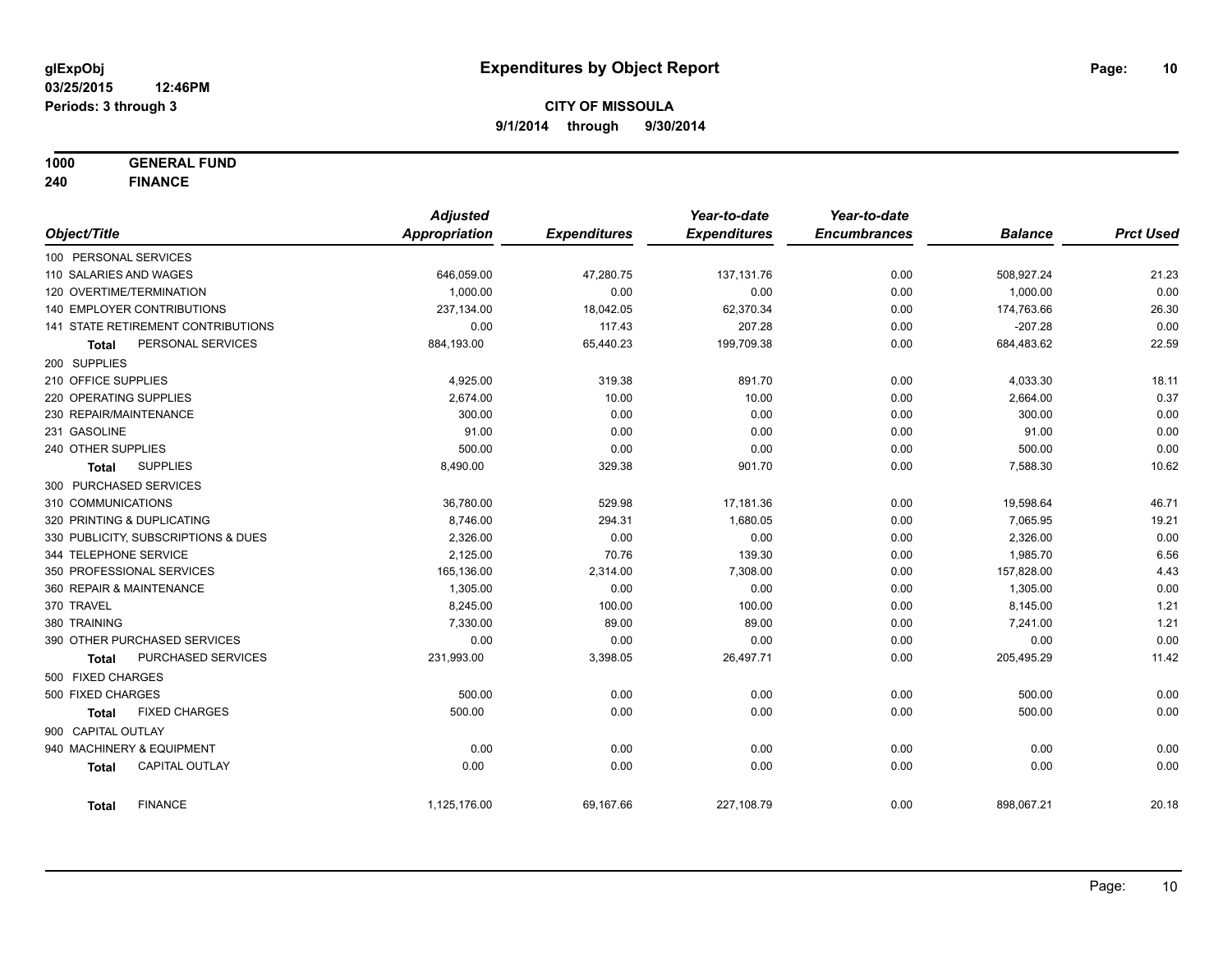**1000 GENERAL FUND**

**240 FINANCE**

|                              |                                     | <b>Adjusted</b>      |                     | Year-to-date        | Year-to-date        |                |                  |
|------------------------------|-------------------------------------|----------------------|---------------------|---------------------|---------------------|----------------|------------------|
| Object/Title                 |                                     | <b>Appropriation</b> | <b>Expenditures</b> | <b>Expenditures</b> | <b>Encumbrances</b> | <b>Balance</b> | <b>Prct Used</b> |
| 100 PERSONAL SERVICES        |                                     |                      |                     |                     |                     |                |                  |
| 110 SALARIES AND WAGES       |                                     | 646,059.00           | 47,280.75           | 137, 131.76         | 0.00                | 508,927.24     | 21.23            |
| 120 OVERTIME/TERMINATION     |                                     | 1,000.00             | 0.00                | 0.00                | 0.00                | 1,000.00       | 0.00             |
| 140 EMPLOYER CONTRIBUTIONS   |                                     | 237,134.00           | 18,042.05           | 62,370.34           | 0.00                | 174,763.66     | 26.30            |
|                              | 141 STATE RETIREMENT CONTRIBUTIONS  | 0.00                 | 117.43              | 207.28              | 0.00                | $-207.28$      | 0.00             |
| <b>Total</b>                 | PERSONAL SERVICES                   | 884,193.00           | 65,440.23           | 199,709.38          | 0.00                | 684,483.62     | 22.59            |
| 200 SUPPLIES                 |                                     |                      |                     |                     |                     |                |                  |
| 210 OFFICE SUPPLIES          |                                     | 4,925.00             | 319.38              | 891.70              | 0.00                | 4,033.30       | 18.11            |
| 220 OPERATING SUPPLIES       |                                     | 2,674.00             | 10.00               | 10.00               | 0.00                | 2,664.00       | 0.37             |
| 230 REPAIR/MAINTENANCE       |                                     | 300.00               | 0.00                | 0.00                | 0.00                | 300.00         | 0.00             |
| 231 GASOLINE                 |                                     | 91.00                | 0.00                | 0.00                | 0.00                | 91.00          | 0.00             |
| 240 OTHER SUPPLIES           |                                     | 500.00               | 0.00                | 0.00                | 0.00                | 500.00         | 0.00             |
| Total                        | <b>SUPPLIES</b>                     | 8,490.00             | 329.38              | 901.70              | 0.00                | 7,588.30       | 10.62            |
| 300 PURCHASED SERVICES       |                                     |                      |                     |                     |                     |                |                  |
| 310 COMMUNICATIONS           |                                     | 36,780.00            | 529.98              | 17,181.36           | 0.00                | 19,598.64      | 46.71            |
| 320 PRINTING & DUPLICATING   |                                     | 8.746.00             | 294.31              | 1,680.05            | 0.00                | 7,065.95       | 19.21            |
|                              | 330 PUBLICITY, SUBSCRIPTIONS & DUES | 2,326.00             | 0.00                | 0.00                | 0.00                | 2,326.00       | 0.00             |
| 344 TELEPHONE SERVICE        |                                     | 2,125.00             | 70.76               | 139.30              | 0.00                | 1,985.70       | 6.56             |
| 350 PROFESSIONAL SERVICES    |                                     | 165,136.00           | 2,314.00            | 7,308.00            | 0.00                | 157,828.00     | 4.43             |
| 360 REPAIR & MAINTENANCE     |                                     | 1,305.00             | 0.00                | 0.00                | 0.00                | 1,305.00       | 0.00             |
| 370 TRAVEL                   |                                     | 8,245.00             | 100.00              | 100.00              | 0.00                | 8,145.00       | 1.21             |
| 380 TRAINING                 |                                     | 7,330.00             | 89.00               | 89.00               | 0.00                | 7,241.00       | 1.21             |
| 390 OTHER PURCHASED SERVICES |                                     | 0.00                 | 0.00                | 0.00                | 0.00                | 0.00           | 0.00             |
| <b>Total</b>                 | PURCHASED SERVICES                  | 231,993.00           | 3,398.05            | 26,497.71           | 0.00                | 205,495.29     | 11.42            |
| 500 FIXED CHARGES            |                                     |                      |                     |                     |                     |                |                  |
| 500 FIXED CHARGES            |                                     | 500.00               | 0.00                | 0.00                | 0.00                | 500.00         | 0.00             |
| <b>Total</b>                 | <b>FIXED CHARGES</b>                | 500.00               | 0.00                | 0.00                | 0.00                | 500.00         | 0.00             |
| 900 CAPITAL OUTLAY           |                                     |                      |                     |                     |                     |                |                  |
| 940 MACHINERY & EQUIPMENT    |                                     | 0.00                 | 0.00                | 0.00                | 0.00                | 0.00           | 0.00             |
| <b>Total</b>                 | <b>CAPITAL OUTLAY</b>               | 0.00                 | 0.00                | 0.00                | 0.00                | 0.00           | 0.00             |
| <b>Total</b>                 | <b>FINANCE</b>                      | 1,125,176.00         | 69,167.66           | 227,108.79          | 0.00                | 898,067.21     | 20.18            |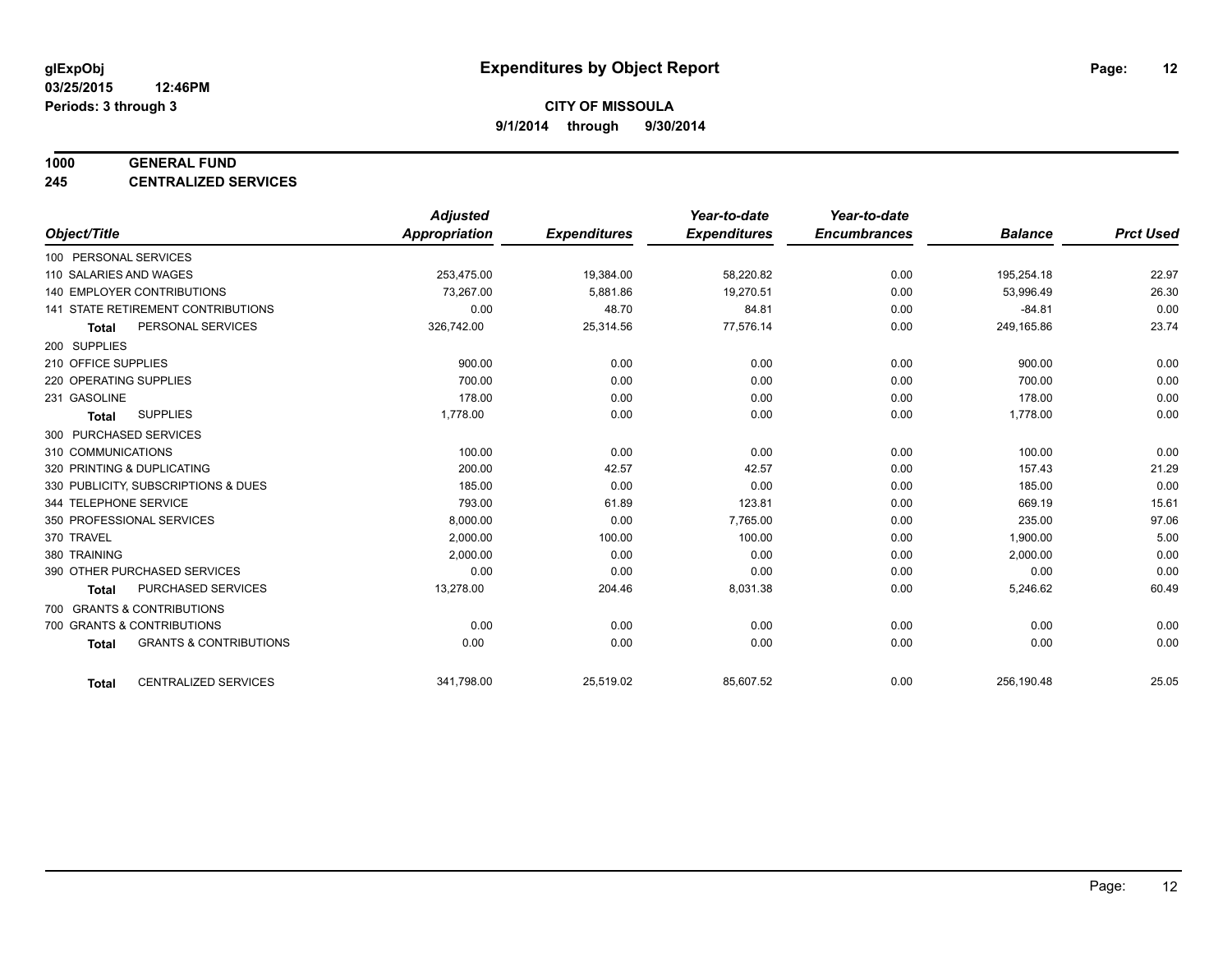#### **1000 GENERAL FUND**

**245 CENTRALIZED SERVICES**

|                                   |                                           | <b>Adjusted</b>      |                     | Year-to-date        | Year-to-date        |                |                  |
|-----------------------------------|-------------------------------------------|----------------------|---------------------|---------------------|---------------------|----------------|------------------|
| Object/Title                      |                                           | <b>Appropriation</b> | <b>Expenditures</b> | <b>Expenditures</b> | <b>Encumbrances</b> | <b>Balance</b> | <b>Prct Used</b> |
| 100 PERSONAL SERVICES             |                                           |                      |                     |                     |                     |                |                  |
| 110 SALARIES AND WAGES            |                                           | 253,475.00           | 19,384.00           | 58,220.82           | 0.00                | 195,254.18     | 22.97            |
| <b>140 EMPLOYER CONTRIBUTIONS</b> |                                           | 73,267.00            | 5,881.86            | 19,270.51           | 0.00                | 53,996.49      | 26.30            |
|                                   | <b>141 STATE RETIREMENT CONTRIBUTIONS</b> | 0.00                 | 48.70               | 84.81               | 0.00                | $-84.81$       | 0.00             |
| <b>Total</b>                      | PERSONAL SERVICES                         | 326,742.00           | 25,314.56           | 77,576.14           | 0.00                | 249,165.86     | 23.74            |
| 200 SUPPLIES                      |                                           |                      |                     |                     |                     |                |                  |
| 210 OFFICE SUPPLIES               |                                           | 900.00               | 0.00                | 0.00                | 0.00                | 900.00         | 0.00             |
| 220 OPERATING SUPPLIES            |                                           | 700.00               | 0.00                | 0.00                | 0.00                | 700.00         | 0.00             |
| 231 GASOLINE                      |                                           | 178.00               | 0.00                | 0.00                | 0.00                | 178.00         | 0.00             |
| <b>Total</b>                      | <b>SUPPLIES</b>                           | 1,778.00             | 0.00                | 0.00                | 0.00                | 1,778.00       | 0.00             |
| 300 PURCHASED SERVICES            |                                           |                      |                     |                     |                     |                |                  |
| 310 COMMUNICATIONS                |                                           | 100.00               | 0.00                | 0.00                | 0.00                | 100.00         | 0.00             |
| 320 PRINTING & DUPLICATING        |                                           | 200.00               | 42.57               | 42.57               | 0.00                | 157.43         | 21.29            |
|                                   | 330 PUBLICITY, SUBSCRIPTIONS & DUES       | 185.00               | 0.00                | 0.00                | 0.00                | 185.00         | 0.00             |
| 344 TELEPHONE SERVICE             |                                           | 793.00               | 61.89               | 123.81              | 0.00                | 669.19         | 15.61            |
| 350 PROFESSIONAL SERVICES         |                                           | 8,000.00             | 0.00                | 7,765.00            | 0.00                | 235.00         | 97.06            |
| 370 TRAVEL                        |                                           | 2,000.00             | 100.00              | 100.00              | 0.00                | 1,900.00       | 5.00             |
| 380 TRAINING                      |                                           | 2,000.00             | 0.00                | 0.00                | 0.00                | 2,000.00       | 0.00             |
|                                   | 390 OTHER PURCHASED SERVICES              | 0.00                 | 0.00                | 0.00                | 0.00                | 0.00           | 0.00             |
| <b>Total</b>                      | <b>PURCHASED SERVICES</b>                 | 13,278.00            | 204.46              | 8,031.38            | 0.00                | 5,246.62       | 60.49            |
| 700 GRANTS & CONTRIBUTIONS        |                                           |                      |                     |                     |                     |                |                  |
| 700 GRANTS & CONTRIBUTIONS        |                                           | 0.00                 | 0.00                | 0.00                | 0.00                | 0.00           | 0.00             |
| <b>Total</b>                      | <b>GRANTS &amp; CONTRIBUTIONS</b>         | 0.00                 | 0.00                | 0.00                | 0.00                | 0.00           | 0.00             |
| <b>Total</b>                      | <b>CENTRALIZED SERVICES</b>               | 341,798.00           | 25,519.02           | 85,607.52           | 0.00                | 256,190.48     | 25.05            |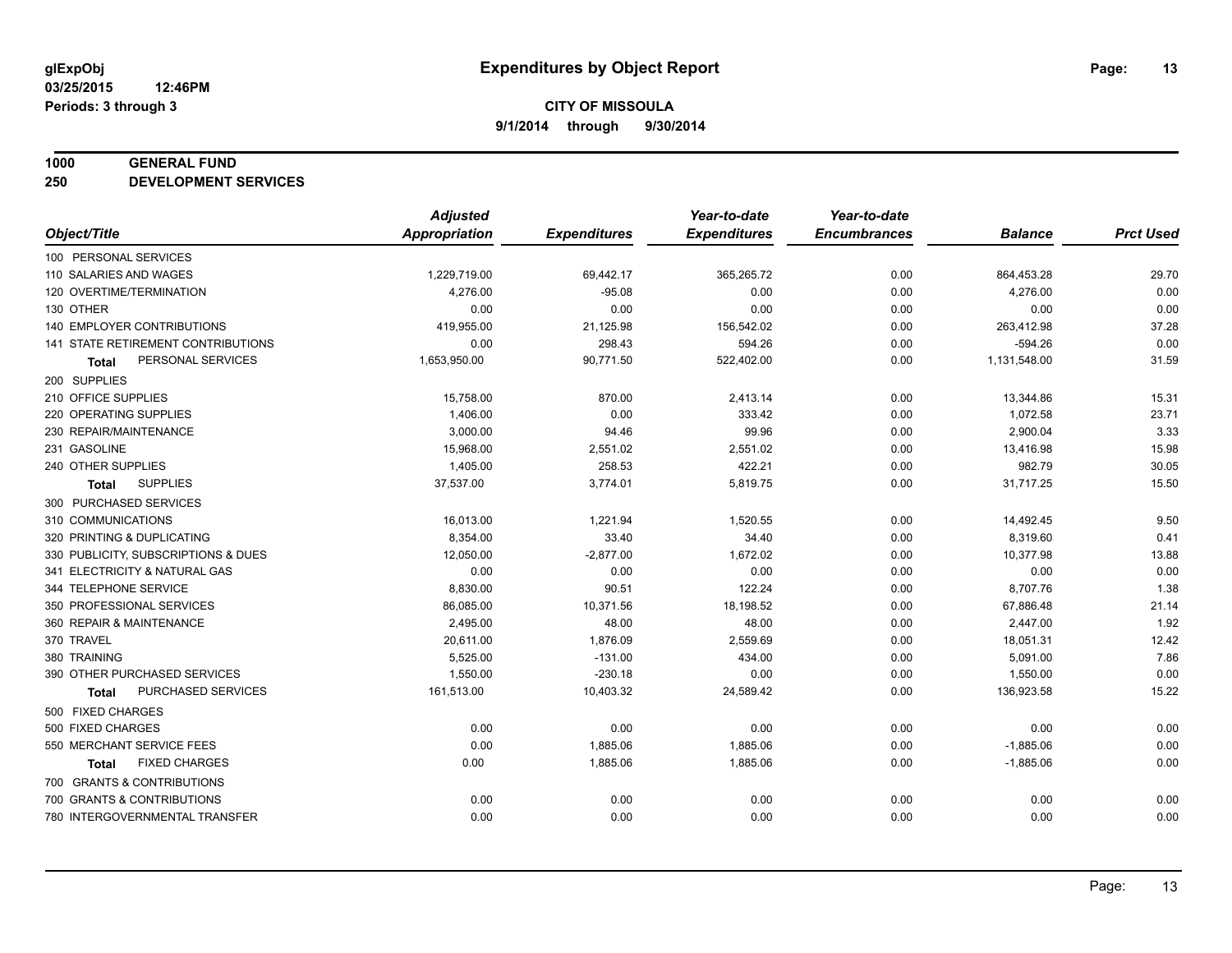#### **1000 GENERAL FUND**

**250 DEVELOPMENT SERVICES**

|                                     | <b>Adjusted</b> |                     | Year-to-date        | Year-to-date        |                |                  |
|-------------------------------------|-----------------|---------------------|---------------------|---------------------|----------------|------------------|
| Object/Title                        | Appropriation   | <b>Expenditures</b> | <b>Expenditures</b> | <b>Encumbrances</b> | <b>Balance</b> | <b>Prct Used</b> |
| 100 PERSONAL SERVICES               |                 |                     |                     |                     |                |                  |
| 110 SALARIES AND WAGES              | 1,229,719.00    | 69,442.17           | 365,265.72          | 0.00                | 864,453.28     | 29.70            |
| 120 OVERTIME/TERMINATION            | 4,276.00        | $-95.08$            | 0.00                | 0.00                | 4,276.00       | 0.00             |
| 130 OTHER                           | 0.00            | 0.00                | 0.00                | 0.00                | 0.00           | 0.00             |
| 140 EMPLOYER CONTRIBUTIONS          | 419,955.00      | 21,125.98           | 156,542.02          | 0.00                | 263,412.98     | 37.28            |
| 141 STATE RETIREMENT CONTRIBUTIONS  | 0.00            | 298.43              | 594.26              | 0.00                | $-594.26$      | 0.00             |
| PERSONAL SERVICES<br>Total          | 1,653,950.00    | 90,771.50           | 522,402.00          | 0.00                | 1,131,548.00   | 31.59            |
| 200 SUPPLIES                        |                 |                     |                     |                     |                |                  |
| 210 OFFICE SUPPLIES                 | 15,758.00       | 870.00              | 2,413.14            | 0.00                | 13,344.86      | 15.31            |
| 220 OPERATING SUPPLIES              | 1,406.00        | 0.00                | 333.42              | 0.00                | 1,072.58       | 23.71            |
| 230 REPAIR/MAINTENANCE              | 3,000.00        | 94.46               | 99.96               | 0.00                | 2,900.04       | 3.33             |
| 231 GASOLINE                        | 15,968.00       | 2,551.02            | 2,551.02            | 0.00                | 13,416.98      | 15.98            |
| 240 OTHER SUPPLIES                  | 1,405.00        | 258.53              | 422.21              | 0.00                | 982.79         | 30.05            |
| <b>SUPPLIES</b><br>Total            | 37,537.00       | 3,774.01            | 5,819.75            | 0.00                | 31,717.25      | 15.50            |
| 300 PURCHASED SERVICES              |                 |                     |                     |                     |                |                  |
| 310 COMMUNICATIONS                  | 16,013.00       | 1,221.94            | 1,520.55            | 0.00                | 14,492.45      | 9.50             |
| 320 PRINTING & DUPLICATING          | 8,354.00        | 33.40               | 34.40               | 0.00                | 8,319.60       | 0.41             |
| 330 PUBLICITY, SUBSCRIPTIONS & DUES | 12,050.00       | $-2,877.00$         | 1,672.02            | 0.00                | 10,377.98      | 13.88            |
| 341 ELECTRICITY & NATURAL GAS       | 0.00            | 0.00                | 0.00                | 0.00                | 0.00           | 0.00             |
| 344 TELEPHONE SERVICE               | 8,830.00        | 90.51               | 122.24              | 0.00                | 8,707.76       | 1.38             |
| 350 PROFESSIONAL SERVICES           | 86,085.00       | 10,371.56           | 18,198.52           | 0.00                | 67,886.48      | 21.14            |
| 360 REPAIR & MAINTENANCE            | 2,495.00        | 48.00               | 48.00               | 0.00                | 2,447.00       | 1.92             |
| 370 TRAVEL                          | 20,611.00       | 1,876.09            | 2,559.69            | 0.00                | 18,051.31      | 12.42            |
| 380 TRAINING                        | 5,525.00        | $-131.00$           | 434.00              | 0.00                | 5,091.00       | 7.86             |
| 390 OTHER PURCHASED SERVICES        | 1,550.00        | $-230.18$           | 0.00                | 0.00                | 1,550.00       | 0.00             |
| PURCHASED SERVICES<br>Total         | 161,513.00      | 10,403.32           | 24,589.42           | 0.00                | 136,923.58     | 15.22            |
| 500 FIXED CHARGES                   |                 |                     |                     |                     |                |                  |
| 500 FIXED CHARGES                   | 0.00            | 0.00                | 0.00                | 0.00                | 0.00           | 0.00             |
| 550 MERCHANT SERVICE FEES           | 0.00            | 1,885.06            | 1,885.06            | 0.00                | $-1,885.06$    | 0.00             |
| <b>FIXED CHARGES</b><br>Total       | 0.00            | 1,885.06            | 1,885.06            | 0.00                | $-1,885.06$    | 0.00             |
| 700 GRANTS & CONTRIBUTIONS          |                 |                     |                     |                     |                |                  |
| 700 GRANTS & CONTRIBUTIONS          | 0.00            | 0.00                | 0.00                | 0.00                | 0.00           | 0.00             |
| 780 INTERGOVERNMENTAL TRANSFER      | 0.00            | 0.00                | 0.00                | 0.00                | 0.00           | 0.00             |
|                                     |                 |                     |                     |                     |                |                  |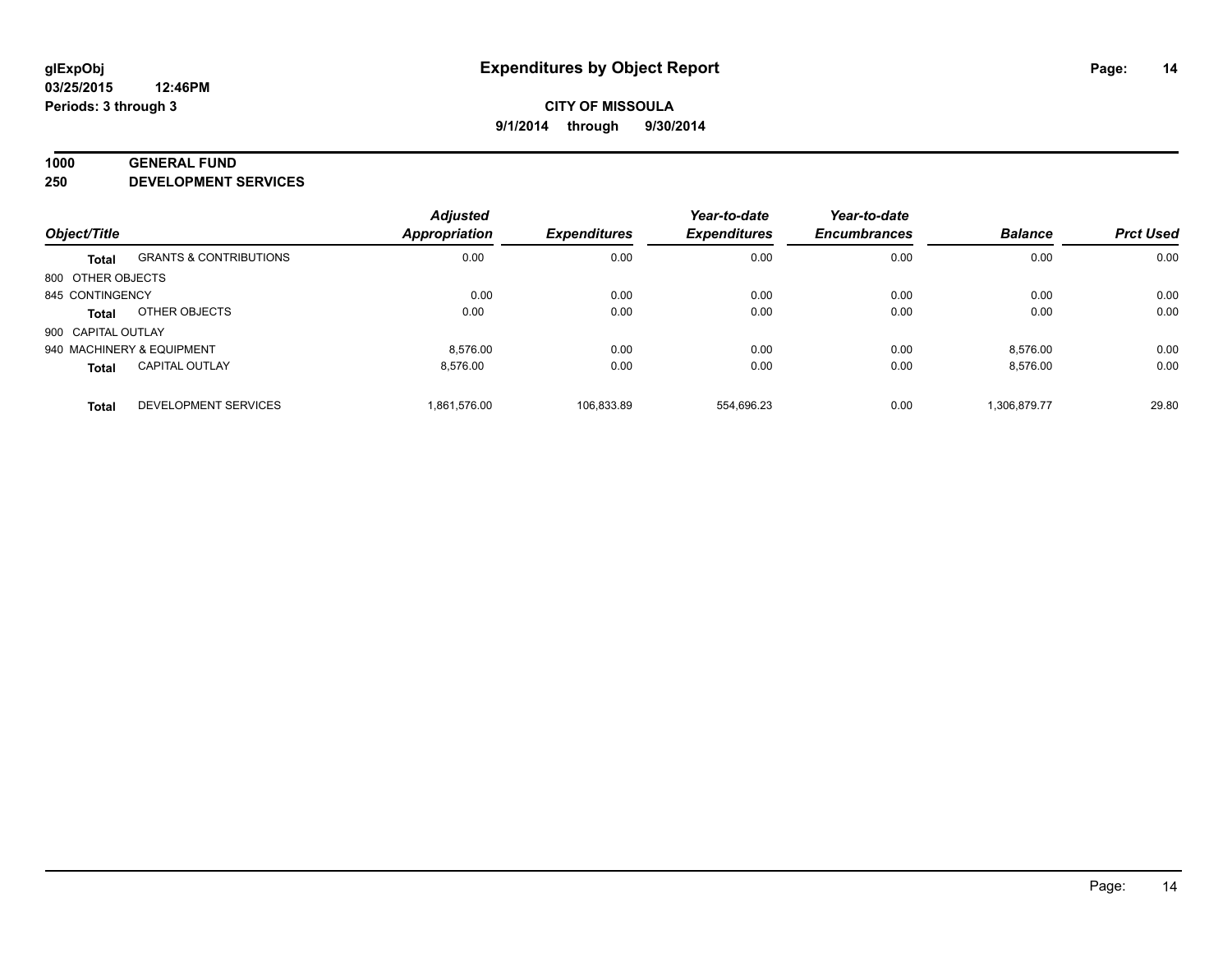#### **1000 GENERAL FUND**

**250 DEVELOPMENT SERVICES**

|                           |                                   | <b>Adjusted</b>      |                     | Year-to-date        | Year-to-date        |                |                  |
|---------------------------|-----------------------------------|----------------------|---------------------|---------------------|---------------------|----------------|------------------|
| Object/Title              |                                   | <b>Appropriation</b> | <b>Expenditures</b> | <b>Expenditures</b> | <b>Encumbrances</b> | <b>Balance</b> | <b>Prct Used</b> |
| <b>Total</b>              | <b>GRANTS &amp; CONTRIBUTIONS</b> | 0.00                 | 0.00                | 0.00                | 0.00                | 0.00           | 0.00             |
| 800 OTHER OBJECTS         |                                   |                      |                     |                     |                     |                |                  |
| 845 CONTINGENCY           |                                   | 0.00                 | 0.00                | 0.00                | 0.00                | 0.00           | 0.00             |
| Total                     | OTHER OBJECTS                     | 0.00                 | 0.00                | 0.00                | 0.00                | 0.00           | 0.00             |
| 900 CAPITAL OUTLAY        |                                   |                      |                     |                     |                     |                |                  |
| 940 MACHINERY & EQUIPMENT |                                   | 8.576.00             | 0.00                | 0.00                | 0.00                | 8.576.00       | 0.00             |
| <b>Total</b>              | <b>CAPITAL OUTLAY</b>             | 8.576.00             | 0.00                | 0.00                | 0.00                | 8,576.00       | 0.00             |
| <b>Total</b>              | <b>DEVELOPMENT SERVICES</b>       | 1.861.576.00         | 106.833.89          | 554.696.23          | 0.00                | 1.306.879.77   | 29.80            |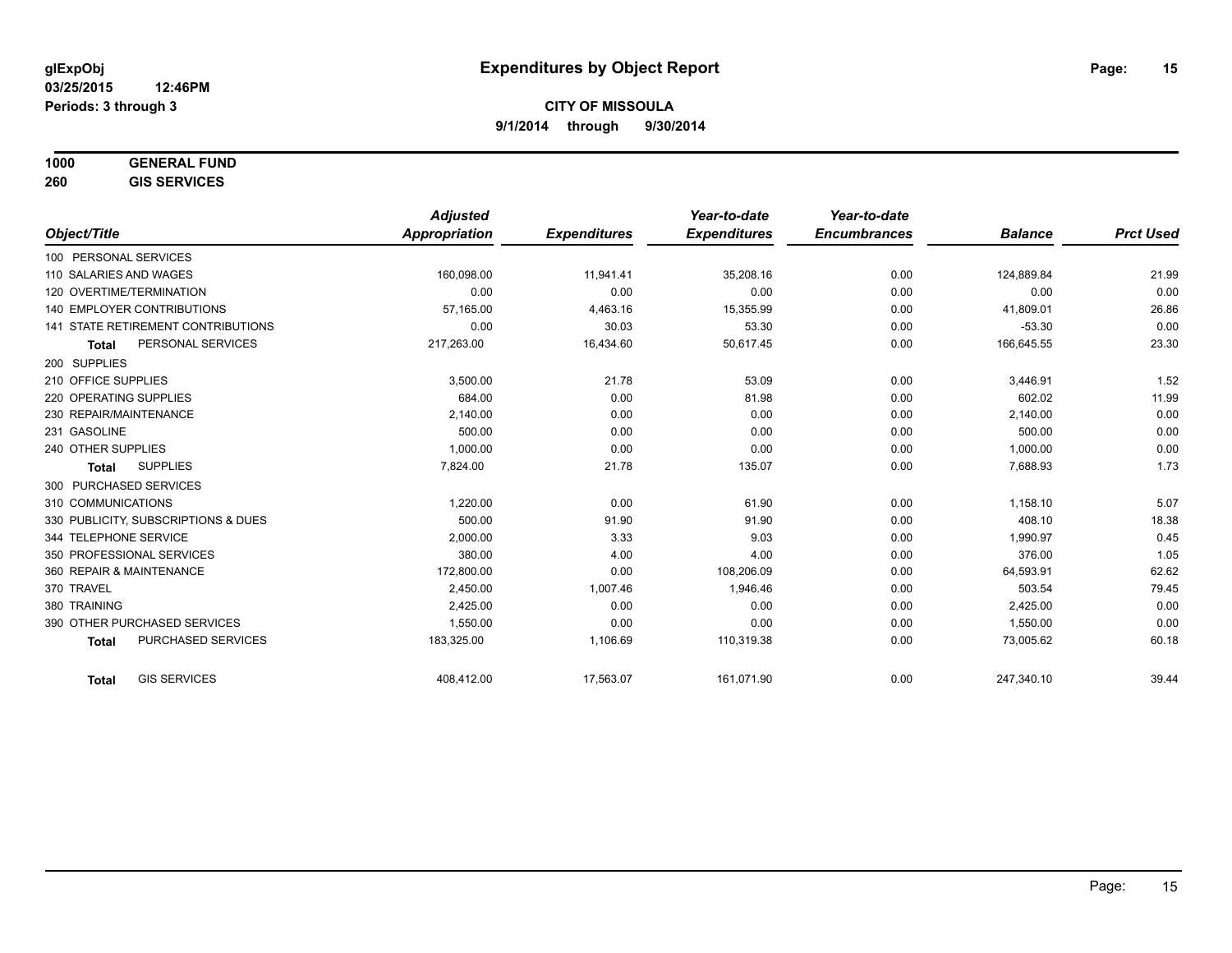# **1000 GENERAL FUND**

**260 GIS SERVICES**

|                                           | <b>Adjusted</b>      |                     | Year-to-date        | Year-to-date        |                |                  |
|-------------------------------------------|----------------------|---------------------|---------------------|---------------------|----------------|------------------|
| Object/Title                              | <b>Appropriation</b> | <b>Expenditures</b> | <b>Expenditures</b> | <b>Encumbrances</b> | <b>Balance</b> | <b>Prct Used</b> |
| 100 PERSONAL SERVICES                     |                      |                     |                     |                     |                |                  |
| 110 SALARIES AND WAGES                    | 160.098.00           | 11,941.41           | 35,208.16           | 0.00                | 124.889.84     | 21.99            |
| 120 OVERTIME/TERMINATION                  | 0.00                 | 0.00                | 0.00                | 0.00                | 0.00           | 0.00             |
| <b>140 EMPLOYER CONTRIBUTIONS</b>         | 57,165.00            | 4,463.16            | 15,355.99           | 0.00                | 41,809.01      | 26.86            |
| 141 STATE RETIREMENT CONTRIBUTIONS        | 0.00                 | 30.03               | 53.30               | 0.00                | $-53.30$       | 0.00             |
| PERSONAL SERVICES<br><b>Total</b>         | 217,263.00           | 16,434.60           | 50,617.45           | 0.00                | 166,645.55     | 23.30            |
| 200 SUPPLIES                              |                      |                     |                     |                     |                |                  |
| 210 OFFICE SUPPLIES                       | 3,500.00             | 21.78               | 53.09               | 0.00                | 3,446.91       | 1.52             |
| 220 OPERATING SUPPLIES                    | 684.00               | 0.00                | 81.98               | 0.00                | 602.02         | 11.99            |
| 230 REPAIR/MAINTENANCE                    | 2,140.00             | 0.00                | 0.00                | 0.00                | 2,140.00       | 0.00             |
| 231 GASOLINE                              | 500.00               | 0.00                | 0.00                | 0.00                | 500.00         | 0.00             |
| 240 OTHER SUPPLIES                        | 1,000.00             | 0.00                | 0.00                | 0.00                | 1,000.00       | 0.00             |
| <b>SUPPLIES</b><br><b>Total</b>           | 7,824.00             | 21.78               | 135.07              | 0.00                | 7,688.93       | 1.73             |
| 300 PURCHASED SERVICES                    |                      |                     |                     |                     |                |                  |
| 310 COMMUNICATIONS                        | 1.220.00             | 0.00                | 61.90               | 0.00                | 1,158.10       | 5.07             |
| 330 PUBLICITY, SUBSCRIPTIONS & DUES       | 500.00               | 91.90               | 91.90               | 0.00                | 408.10         | 18.38            |
| 344 TELEPHONE SERVICE                     | 2,000.00             | 3.33                | 9.03                | 0.00                | 1,990.97       | 0.45             |
| 350 PROFESSIONAL SERVICES                 | 380.00               | 4.00                | 4.00                | 0.00                | 376.00         | 1.05             |
| 360 REPAIR & MAINTENANCE                  | 172,800.00           | 0.00                | 108,206.09          | 0.00                | 64,593.91      | 62.62            |
| 370 TRAVEL                                | 2,450.00             | 1,007.46            | 1,946.46            | 0.00                | 503.54         | 79.45            |
| 380 TRAINING                              | 2,425.00             | 0.00                | 0.00                | 0.00                | 2,425.00       | 0.00             |
| 390 OTHER PURCHASED SERVICES              | 1,550.00             | 0.00                | 0.00                | 0.00                | 1,550.00       | 0.00             |
| <b>PURCHASED SERVICES</b><br><b>Total</b> | 183,325.00           | 1,106.69            | 110,319.38          | 0.00                | 73,005.62      | 60.18            |
| <b>GIS SERVICES</b><br><b>Total</b>       | 408,412.00           | 17,563.07           | 161,071.90          | 0.00                | 247,340.10     | 39.44            |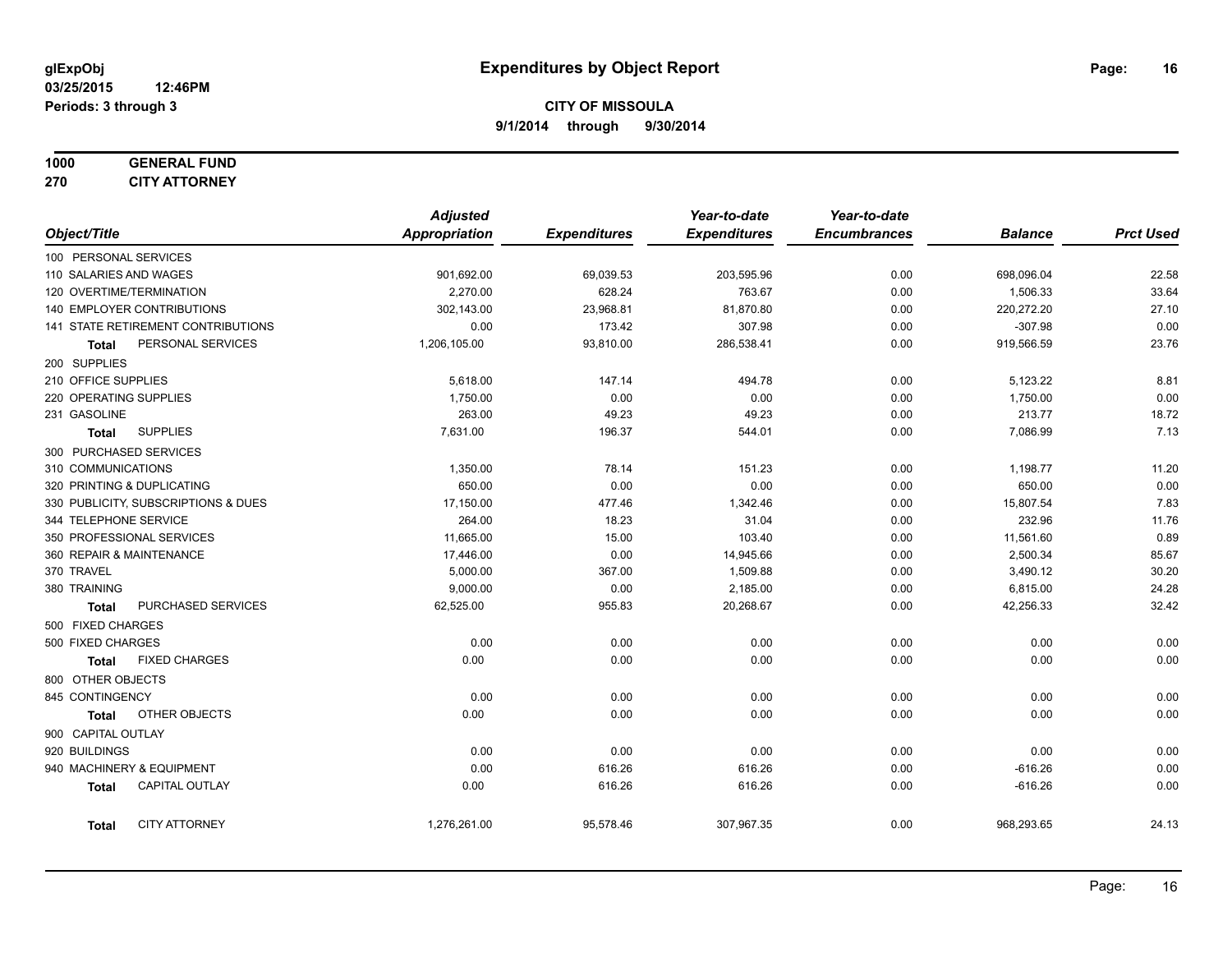#### **1000 GENERAL FUND 270 CITY ATTORNEY**

|                        |                                     | <b>Adjusted</b> |                     | Year-to-date        | Year-to-date        |                |                  |
|------------------------|-------------------------------------|-----------------|---------------------|---------------------|---------------------|----------------|------------------|
| Object/Title           |                                     | Appropriation   | <b>Expenditures</b> | <b>Expenditures</b> | <b>Encumbrances</b> | <b>Balance</b> | <b>Prct Used</b> |
| 100 PERSONAL SERVICES  |                                     |                 |                     |                     |                     |                |                  |
| 110 SALARIES AND WAGES |                                     | 901,692.00      | 69,039.53           | 203,595.96          | 0.00                | 698,096.04     | 22.58            |
|                        | 120 OVERTIME/TERMINATION            | 2,270.00        | 628.24              | 763.67              | 0.00                | 1,506.33       | 33.64            |
|                        | 140 EMPLOYER CONTRIBUTIONS          | 302,143.00      | 23,968.81           | 81,870.80           | 0.00                | 220,272.20     | 27.10            |
|                        | 141 STATE RETIREMENT CONTRIBUTIONS  | 0.00            | 173.42              | 307.98              | 0.00                | $-307.98$      | 0.00             |
| Total                  | PERSONAL SERVICES                   | 1,206,105.00    | 93,810.00           | 286,538.41          | 0.00                | 919,566.59     | 23.76            |
| 200 SUPPLIES           |                                     |                 |                     |                     |                     |                |                  |
| 210 OFFICE SUPPLIES    |                                     | 5,618.00        | 147.14              | 494.78              | 0.00                | 5,123.22       | 8.81             |
| 220 OPERATING SUPPLIES |                                     | 1,750.00        | 0.00                | 0.00                | 0.00                | 1,750.00       | 0.00             |
| 231 GASOLINE           |                                     | 263.00          | 49.23               | 49.23               | 0.00                | 213.77         | 18.72            |
| <b>Total</b>           | <b>SUPPLIES</b>                     | 7,631.00        | 196.37              | 544.01              | 0.00                | 7,086.99       | 7.13             |
| 300 PURCHASED SERVICES |                                     |                 |                     |                     |                     |                |                  |
| 310 COMMUNICATIONS     |                                     | 1,350.00        | 78.14               | 151.23              | 0.00                | 1,198.77       | 11.20            |
|                        | 320 PRINTING & DUPLICATING          | 650.00          | 0.00                | 0.00                | 0.00                | 650.00         | 0.00             |
|                        | 330 PUBLICITY, SUBSCRIPTIONS & DUES | 17,150.00       | 477.46              | 1,342.46            | 0.00                | 15,807.54      | 7.83             |
| 344 TELEPHONE SERVICE  |                                     | 264.00          | 18.23               | 31.04               | 0.00                | 232.96         | 11.76            |
|                        | 350 PROFESSIONAL SERVICES           | 11,665.00       | 15.00               | 103.40              | 0.00                | 11,561.60      | 0.89             |
|                        | 360 REPAIR & MAINTENANCE            | 17,446.00       | 0.00                | 14,945.66           | 0.00                | 2,500.34       | 85.67            |
| 370 TRAVEL             |                                     | 5,000.00        | 367.00              | 1,509.88            | 0.00                | 3,490.12       | 30.20            |
| 380 TRAINING           |                                     | 9,000.00        | 0.00                | 2,185.00            | 0.00                | 6,815.00       | 24.28            |
| <b>Total</b>           | PURCHASED SERVICES                  | 62,525.00       | 955.83              | 20,268.67           | 0.00                | 42,256.33      | 32.42            |
| 500 FIXED CHARGES      |                                     |                 |                     |                     |                     |                |                  |
| 500 FIXED CHARGES      |                                     | 0.00            | 0.00                | 0.00                | 0.00                | 0.00           | 0.00             |
| <b>Total</b>           | <b>FIXED CHARGES</b>                | 0.00            | 0.00                | 0.00                | 0.00                | 0.00           | 0.00             |
| 800 OTHER OBJECTS      |                                     |                 |                     |                     |                     |                |                  |
| 845 CONTINGENCY        |                                     | 0.00            | 0.00                | 0.00                | 0.00                | 0.00           | 0.00             |
| <b>Total</b>           | OTHER OBJECTS                       | 0.00            | 0.00                | 0.00                | 0.00                | 0.00           | 0.00             |
| 900 CAPITAL OUTLAY     |                                     |                 |                     |                     |                     |                |                  |
| 920 BUILDINGS          |                                     | 0.00            | 0.00                | 0.00                | 0.00                | 0.00           | 0.00             |
|                        | 940 MACHINERY & EQUIPMENT           | 0.00            | 616.26              | 616.26              | 0.00                | $-616.26$      | 0.00             |
| <b>Total</b>           | <b>CAPITAL OUTLAY</b>               | 0.00            | 616.26              | 616.26              | 0.00                | $-616.26$      | 0.00             |
| <b>Total</b>           | <b>CITY ATTORNEY</b>                | 1,276,261.00    | 95,578.46           | 307,967.35          | 0.00                | 968,293.65     | 24.13            |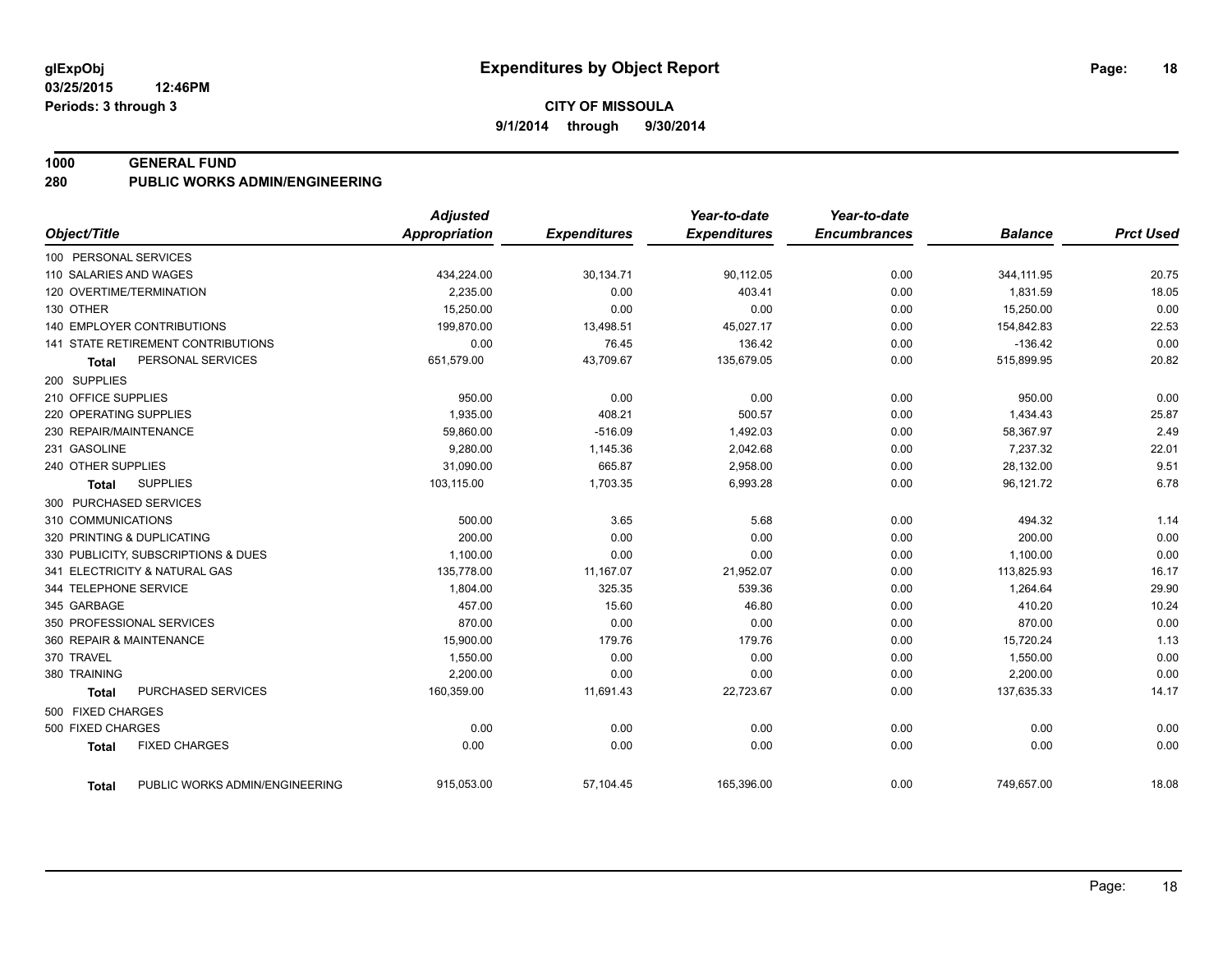#### **1000 GENERAL FUND**

**280 PUBLIC WORKS ADMIN/ENGINEERING**

|                                                | <b>Adjusted</b>      |                     | Year-to-date        | Year-to-date        |                |                  |
|------------------------------------------------|----------------------|---------------------|---------------------|---------------------|----------------|------------------|
| Object/Title                                   | <b>Appropriation</b> | <b>Expenditures</b> | <b>Expenditures</b> | <b>Encumbrances</b> | <b>Balance</b> | <b>Prct Used</b> |
| 100 PERSONAL SERVICES                          |                      |                     |                     |                     |                |                  |
| 110 SALARIES AND WAGES                         | 434,224.00           | 30,134.71           | 90,112.05           | 0.00                | 344, 111.95    | 20.75            |
| 120 OVERTIME/TERMINATION                       | 2,235.00             | 0.00                | 403.41              | 0.00                | 1,831.59       | 18.05            |
| 130 OTHER                                      | 15,250.00            | 0.00                | 0.00                | 0.00                | 15,250.00      | 0.00             |
| <b>140 EMPLOYER CONTRIBUTIONS</b>              | 199,870.00           | 13,498.51           | 45,027.17           | 0.00                | 154,842.83     | 22.53            |
| 141 STATE RETIREMENT CONTRIBUTIONS             | 0.00                 | 76.45               | 136.42              | 0.00                | $-136.42$      | 0.00             |
| PERSONAL SERVICES<br><b>Total</b>              | 651,579.00           | 43,709.67           | 135,679.05          | 0.00                | 515,899.95     | 20.82            |
| 200 SUPPLIES                                   |                      |                     |                     |                     |                |                  |
| 210 OFFICE SUPPLIES                            | 950.00               | 0.00                | 0.00                | 0.00                | 950.00         | 0.00             |
| 220 OPERATING SUPPLIES                         | 1,935.00             | 408.21              | 500.57              | 0.00                | 1,434.43       | 25.87            |
| 230 REPAIR/MAINTENANCE                         | 59,860.00            | $-516.09$           | 1,492.03            | 0.00                | 58,367.97      | 2.49             |
| 231 GASOLINE                                   | 9,280.00             | 1,145.36            | 2,042.68            | 0.00                | 7,237.32       | 22.01            |
| 240 OTHER SUPPLIES                             | 31,090.00            | 665.87              | 2,958.00            | 0.00                | 28,132.00      | 9.51             |
| <b>SUPPLIES</b><br><b>Total</b>                | 103,115.00           | 1,703.35            | 6,993.28            | 0.00                | 96,121.72      | 6.78             |
| 300 PURCHASED SERVICES                         |                      |                     |                     |                     |                |                  |
| 310 COMMUNICATIONS                             | 500.00               | 3.65                | 5.68                | 0.00                | 494.32         | 1.14             |
| 320 PRINTING & DUPLICATING                     | 200.00               | 0.00                | 0.00                | 0.00                | 200.00         | 0.00             |
| 330 PUBLICITY, SUBSCRIPTIONS & DUES            | 1,100.00             | 0.00                | 0.00                | 0.00                | 1,100.00       | 0.00             |
| 341 ELECTRICITY & NATURAL GAS                  | 135,778.00           | 11,167.07           | 21,952.07           | 0.00                | 113,825.93     | 16.17            |
| 344 TELEPHONE SERVICE                          | 1,804.00             | 325.35              | 539.36              | 0.00                | 1,264.64       | 29.90            |
| 345 GARBAGE                                    | 457.00               | 15.60               | 46.80               | 0.00                | 410.20         | 10.24            |
| 350 PROFESSIONAL SERVICES                      | 870.00               | 0.00                | 0.00                | 0.00                | 870.00         | 0.00             |
| 360 REPAIR & MAINTENANCE                       | 15,900.00            | 179.76              | 179.76              | 0.00                | 15,720.24      | 1.13             |
| 370 TRAVEL                                     | 1,550.00             | 0.00                | 0.00                | 0.00                | 1,550.00       | 0.00             |
| 380 TRAINING                                   | 2,200.00             | 0.00                | 0.00                | 0.00                | 2,200.00       | 0.00             |
| PURCHASED SERVICES<br><b>Total</b>             | 160,359.00           | 11,691.43           | 22,723.67           | 0.00                | 137,635.33     | 14.17            |
| 500 FIXED CHARGES                              |                      |                     |                     |                     |                |                  |
| 500 FIXED CHARGES                              | 0.00                 | 0.00                | 0.00                | 0.00                | 0.00           | 0.00             |
| <b>FIXED CHARGES</b><br><b>Total</b>           | 0.00                 | 0.00                | 0.00                | 0.00                | 0.00           | 0.00             |
| PUBLIC WORKS ADMIN/ENGINEERING<br><b>Total</b> | 915,053.00           | 57,104.45           | 165,396.00          | 0.00                | 749,657.00     | 18.08            |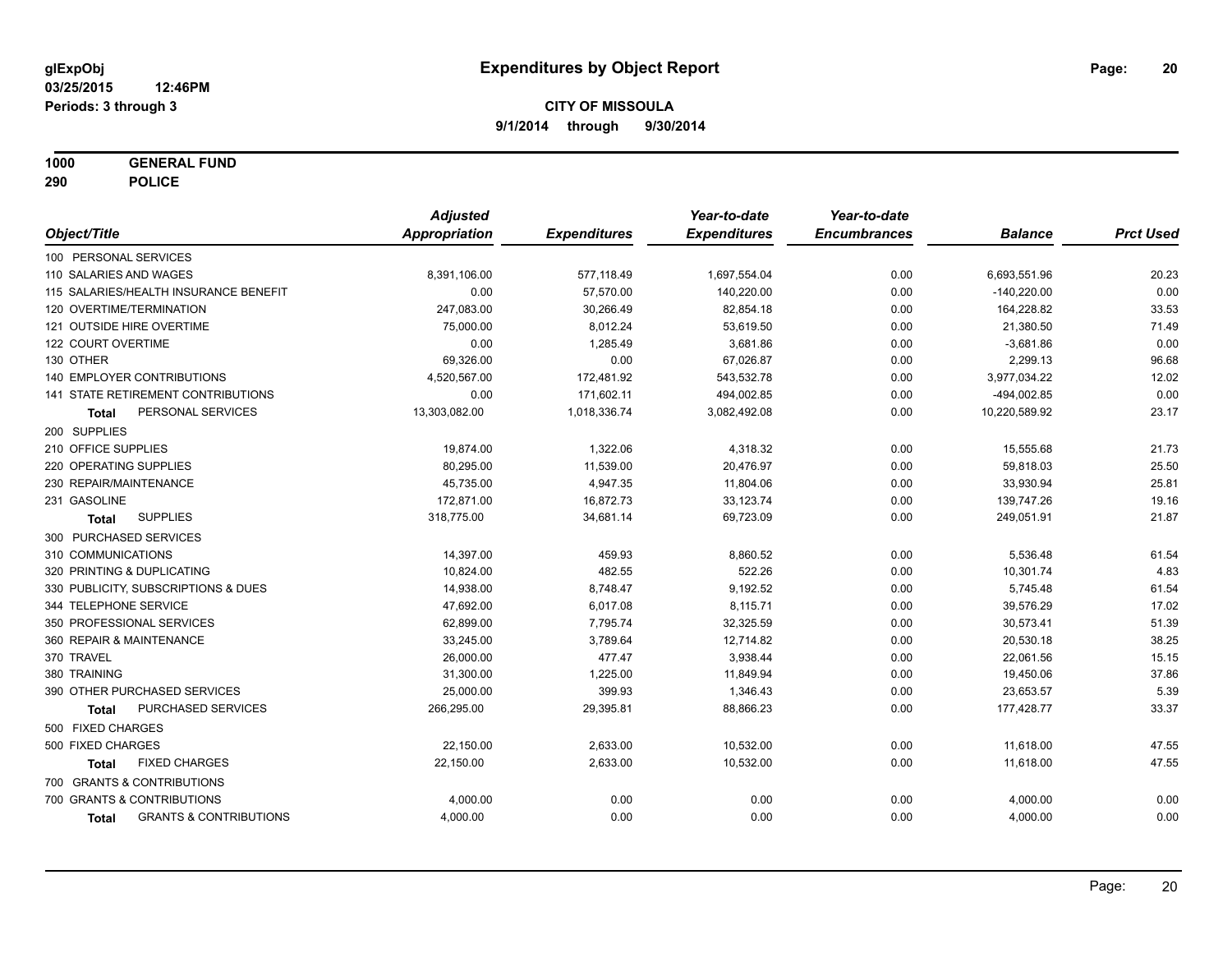**1000 GENERAL FUND**

**290 POLICE**

|                                                   | <b>Adjusted</b> |                     | Year-to-date        | Year-to-date        |                |                  |
|---------------------------------------------------|-----------------|---------------------|---------------------|---------------------|----------------|------------------|
| Object/Title                                      | Appropriation   | <b>Expenditures</b> | <b>Expenditures</b> | <b>Encumbrances</b> | <b>Balance</b> | <b>Prct Used</b> |
| 100 PERSONAL SERVICES                             |                 |                     |                     |                     |                |                  |
| 110 SALARIES AND WAGES                            | 8,391,106.00    | 577,118.49          | 1,697,554.04        | 0.00                | 6,693,551.96   | 20.23            |
| 115 SALARIES/HEALTH INSURANCE BENEFIT             | 0.00            | 57,570.00           | 140,220.00          | 0.00                | $-140,220.00$  | 0.00             |
| 120 OVERTIME/TERMINATION                          | 247,083.00      | 30,266.49           | 82,854.18           | 0.00                | 164,228.82     | 33.53            |
| 121 OUTSIDE HIRE OVERTIME                         | 75,000.00       | 8,012.24            | 53,619.50           | 0.00                | 21,380.50      | 71.49            |
| 122 COURT OVERTIME                                | 0.00            | 1,285.49            | 3,681.86            | 0.00                | $-3,681.86$    | 0.00             |
| 130 OTHER                                         | 69,326.00       | 0.00                | 67,026.87           | 0.00                | 2,299.13       | 96.68            |
| <b>140 EMPLOYER CONTRIBUTIONS</b>                 | 4,520,567.00    | 172,481.92          | 543,532.78          | 0.00                | 3,977,034.22   | 12.02            |
| 141 STATE RETIREMENT CONTRIBUTIONS                | 0.00            | 171,602.11          | 494,002.85          | 0.00                | -494,002.85    | 0.00             |
| PERSONAL SERVICES<br>Total                        | 13,303,082.00   | 1,018,336.74        | 3,082,492.08        | 0.00                | 10,220,589.92  | 23.17            |
| 200 SUPPLIES                                      |                 |                     |                     |                     |                |                  |
| 210 OFFICE SUPPLIES                               | 19,874.00       | 1,322.06            | 4,318.32            | 0.00                | 15,555.68      | 21.73            |
| 220 OPERATING SUPPLIES                            | 80,295.00       | 11,539.00           | 20,476.97           | 0.00                | 59,818.03      | 25.50            |
| 230 REPAIR/MAINTENANCE                            | 45,735.00       | 4,947.35            | 11,804.06           | 0.00                | 33,930.94      | 25.81            |
| 231 GASOLINE                                      | 172,871.00      | 16,872.73           | 33,123.74           | 0.00                | 139,747.26     | 19.16            |
| <b>SUPPLIES</b><br><b>Total</b>                   | 318,775.00      | 34,681.14           | 69,723.09           | 0.00                | 249,051.91     | 21.87            |
| 300 PURCHASED SERVICES                            |                 |                     |                     |                     |                |                  |
| 310 COMMUNICATIONS                                | 14,397.00       | 459.93              | 8,860.52            | 0.00                | 5,536.48       | 61.54            |
| 320 PRINTING & DUPLICATING                        | 10,824.00       | 482.55              | 522.26              | 0.00                | 10,301.74      | 4.83             |
| 330 PUBLICITY, SUBSCRIPTIONS & DUES               | 14,938.00       | 8,748.47            | 9,192.52            | 0.00                | 5,745.48       | 61.54            |
| 344 TELEPHONE SERVICE                             | 47,692.00       | 6,017.08            | 8,115.71            | 0.00                | 39,576.29      | 17.02            |
| 350 PROFESSIONAL SERVICES                         | 62,899.00       | 7,795.74            | 32,325.59           | 0.00                | 30,573.41      | 51.39            |
| 360 REPAIR & MAINTENANCE                          | 33,245.00       | 3,789.64            | 12,714.82           | 0.00                | 20,530.18      | 38.25            |
| 370 TRAVEL                                        | 26,000.00       | 477.47              | 3,938.44            | 0.00                | 22,061.56      | 15.15            |
| 380 TRAINING                                      | 31,300.00       | 1,225.00            | 11,849.94           | 0.00                | 19,450.06      | 37.86            |
| 390 OTHER PURCHASED SERVICES                      | 25,000.00       | 399.93              | 1,346.43            | 0.00                | 23,653.57      | 5.39             |
| PURCHASED SERVICES<br><b>Total</b>                | 266,295.00      | 29,395.81           | 88,866.23           | 0.00                | 177,428.77     | 33.37            |
| 500 FIXED CHARGES                                 |                 |                     |                     |                     |                |                  |
| 500 FIXED CHARGES                                 | 22,150.00       | 2,633.00            | 10,532.00           | 0.00                | 11,618.00      | 47.55            |
| <b>FIXED CHARGES</b><br><b>Total</b>              | 22,150.00       | 2,633.00            | 10,532.00           | 0.00                | 11,618.00      | 47.55            |
| 700 GRANTS & CONTRIBUTIONS                        |                 |                     |                     |                     |                |                  |
| 700 GRANTS & CONTRIBUTIONS                        | 4,000.00        | 0.00                | 0.00                | 0.00                | 4,000.00       | 0.00             |
| <b>GRANTS &amp; CONTRIBUTIONS</b><br><b>Total</b> | 4,000.00        | 0.00                | 0.00                | 0.00                | 4,000.00       | 0.00             |
|                                                   |                 |                     |                     |                     |                |                  |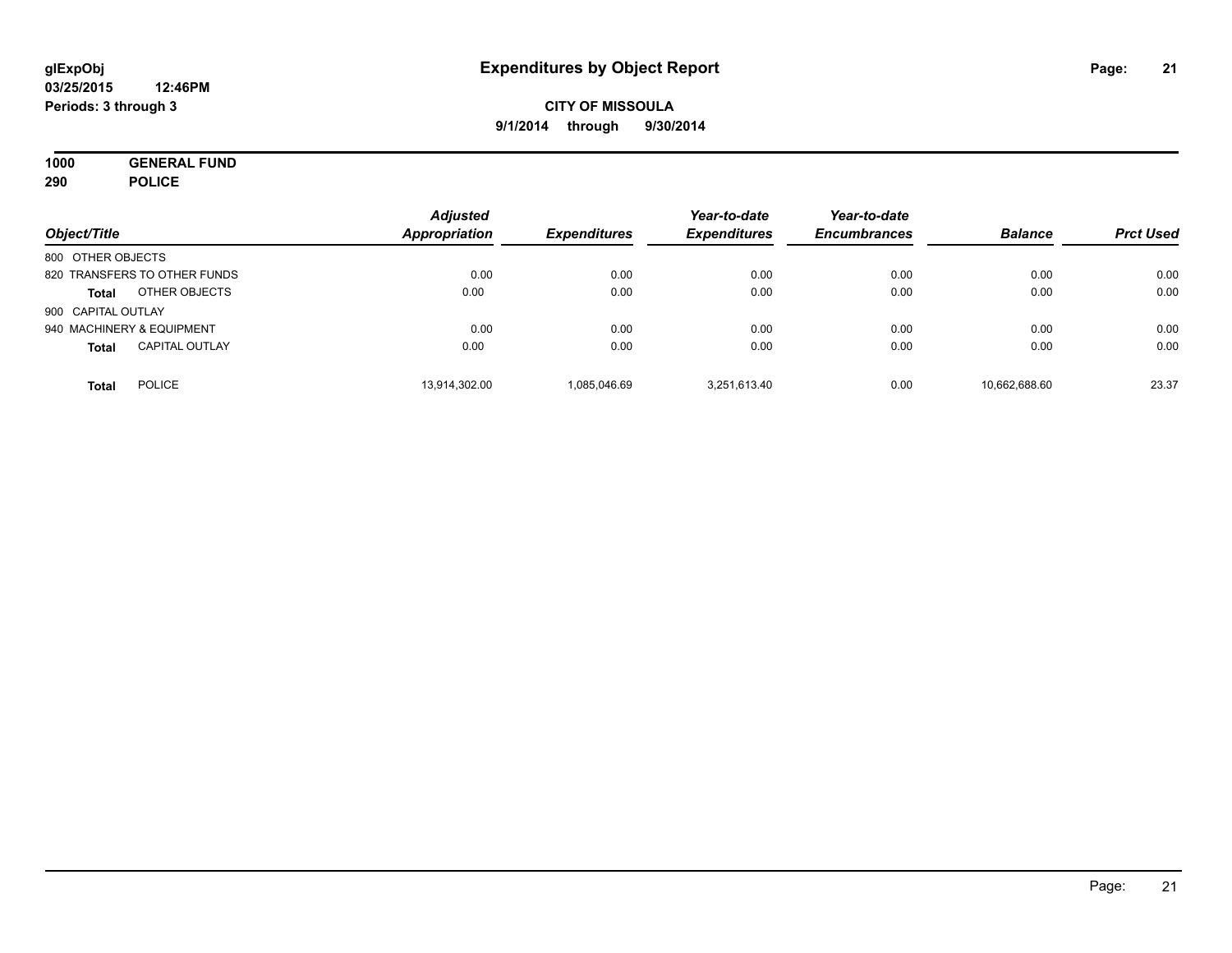**1000 GENERAL FUND 290 POLICE**

| Object/Title       |                              | <b>Adjusted</b><br>Appropriation | <b>Expenditures</b> | Year-to-date<br><b>Expenditures</b> | Year-to-date<br><b>Encumbrances</b> | <b>Balance</b> | <b>Prct Used</b> |
|--------------------|------------------------------|----------------------------------|---------------------|-------------------------------------|-------------------------------------|----------------|------------------|
| 800 OTHER OBJECTS  |                              |                                  |                     |                                     |                                     |                |                  |
|                    | 820 TRANSFERS TO OTHER FUNDS | 0.00                             | 0.00                | 0.00                                | 0.00                                | 0.00           | 0.00             |
| <b>Total</b>       | OTHER OBJECTS                | 0.00                             | 0.00                | 0.00                                | 0.00                                | 0.00           | 0.00             |
| 900 CAPITAL OUTLAY |                              |                                  |                     |                                     |                                     |                |                  |
|                    | 940 MACHINERY & EQUIPMENT    | 0.00                             | 0.00                | 0.00                                | 0.00                                | 0.00           | 0.00             |
| <b>Total</b>       | <b>CAPITAL OUTLAY</b>        | 0.00                             | 0.00                | 0.00                                | 0.00                                | 0.00           | 0.00             |
| <b>Total</b>       | <b>POLICE</b>                | 13,914,302.00                    | 1,085,046.69        | 3.251.613.40                        | 0.00                                | 10,662,688.60  | 23.37            |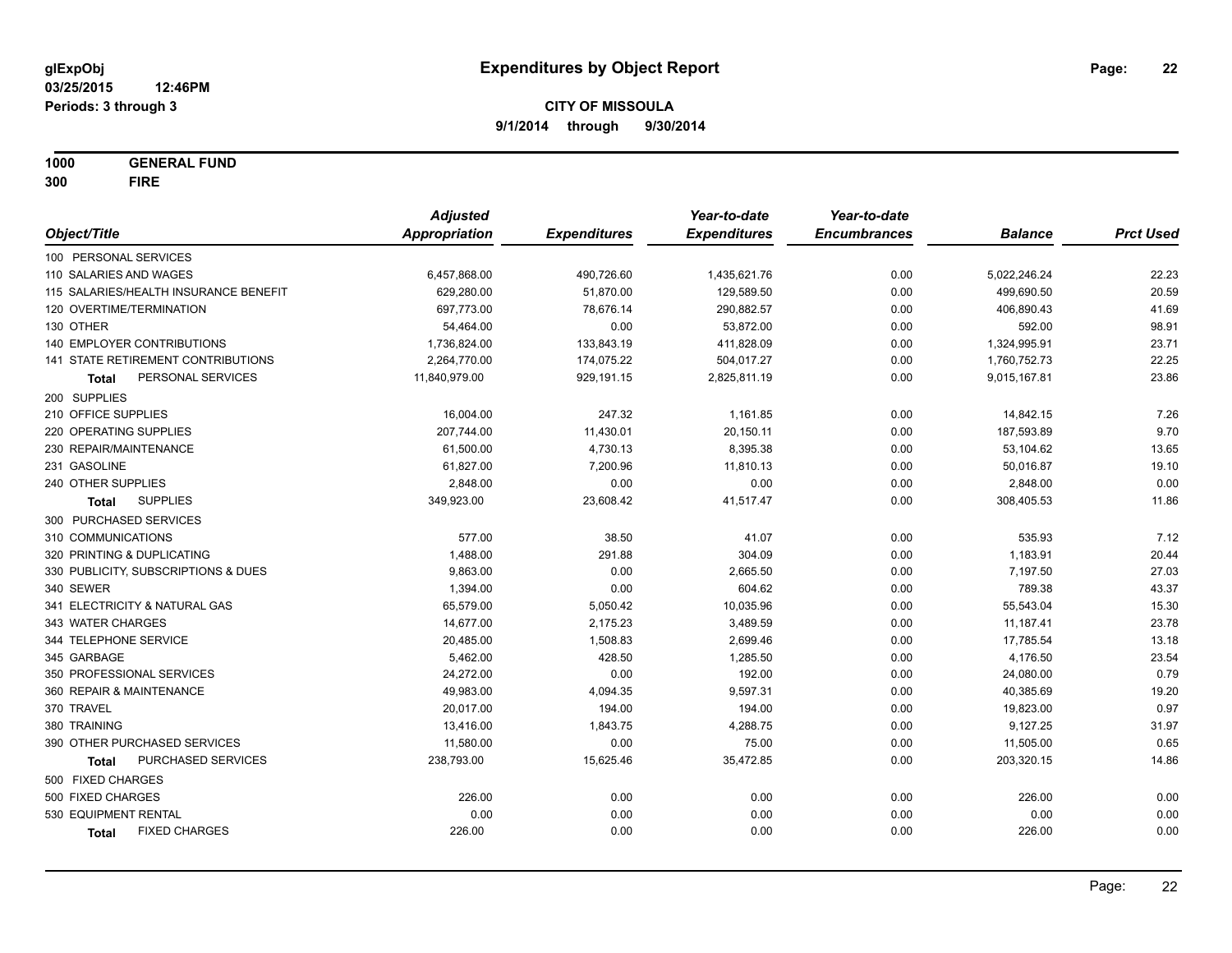**1000 GENERAL FUND 300 FIRE**

|                                           | <b>Adjusted</b>      |                     | Year-to-date        | Year-to-date        |                |                  |
|-------------------------------------------|----------------------|---------------------|---------------------|---------------------|----------------|------------------|
| Object/Title                              | <b>Appropriation</b> | <b>Expenditures</b> | <b>Expenditures</b> | <b>Encumbrances</b> | <b>Balance</b> | <b>Prct Used</b> |
| 100 PERSONAL SERVICES                     |                      |                     |                     |                     |                |                  |
| 110 SALARIES AND WAGES                    | 6,457,868.00         | 490,726.60          | 1,435,621.76        | 0.00                | 5,022,246.24   | 22.23            |
| 115 SALARIES/HEALTH INSURANCE BENEFIT     | 629,280.00           | 51,870.00           | 129,589.50          | 0.00                | 499,690.50     | 20.59            |
| 120 OVERTIME/TERMINATION                  | 697,773.00           | 78,676.14           | 290,882.57          | 0.00                | 406,890.43     | 41.69            |
| 130 OTHER                                 | 54,464.00            | 0.00                | 53,872.00           | 0.00                | 592.00         | 98.91            |
| 140 EMPLOYER CONTRIBUTIONS                | 1,736,824.00         | 133,843.19          | 411,828.09          | 0.00                | 1,324,995.91   | 23.71            |
| 141 STATE RETIREMENT CONTRIBUTIONS        | 2,264,770.00         | 174,075.22          | 504,017.27          | 0.00                | 1,760,752.73   | 22.25            |
| PERSONAL SERVICES<br>Total                | 11,840,979.00        | 929,191.15          | 2,825,811.19        | 0.00                | 9,015,167.81   | 23.86            |
| 200 SUPPLIES                              |                      |                     |                     |                     |                |                  |
| 210 OFFICE SUPPLIES                       | 16,004.00            | 247.32              | 1,161.85            | 0.00                | 14,842.15      | 7.26             |
| 220 OPERATING SUPPLIES                    | 207,744.00           | 11,430.01           | 20,150.11           | 0.00                | 187,593.89     | 9.70             |
| 230 REPAIR/MAINTENANCE                    | 61,500.00            | 4,730.13            | 8,395.38            | 0.00                | 53,104.62      | 13.65            |
| 231 GASOLINE                              | 61,827.00            | 7,200.96            | 11,810.13           | 0.00                | 50,016.87      | 19.10            |
| 240 OTHER SUPPLIES                        | 2,848.00             | 0.00                | 0.00                | 0.00                | 2,848.00       | 0.00             |
| <b>SUPPLIES</b><br>Total                  | 349,923.00           | 23,608.42           | 41,517.47           | 0.00                | 308,405.53     | 11.86            |
| 300 PURCHASED SERVICES                    |                      |                     |                     |                     |                |                  |
| 310 COMMUNICATIONS                        | 577.00               | 38.50               | 41.07               | 0.00                | 535.93         | 7.12             |
| 320 PRINTING & DUPLICATING                | 1,488.00             | 291.88              | 304.09              | 0.00                | 1,183.91       | 20.44            |
| 330 PUBLICITY, SUBSCRIPTIONS & DUES       | 9,863.00             | 0.00                | 2,665.50            | 0.00                | 7,197.50       | 27.03            |
| 340 SEWER                                 | 1,394.00             | 0.00                | 604.62              | 0.00                | 789.38         | 43.37            |
| 341 ELECTRICITY & NATURAL GAS             | 65,579.00            | 5,050.42            | 10,035.96           | 0.00                | 55,543.04      | 15.30            |
| 343 WATER CHARGES                         | 14,677.00            | 2,175.23            | 3,489.59            | 0.00                | 11,187.41      | 23.78            |
| 344 TELEPHONE SERVICE                     | 20,485.00            | 1,508.83            | 2,699.46            | 0.00                | 17,785.54      | 13.18            |
| 345 GARBAGE                               | 5,462.00             | 428.50              | 1,285.50            | 0.00                | 4,176.50       | 23.54            |
| 350 PROFESSIONAL SERVICES                 | 24,272.00            | 0.00                | 192.00              | 0.00                | 24,080.00      | 0.79             |
| 360 REPAIR & MAINTENANCE                  | 49,983.00            | 4,094.35            | 9,597.31            | 0.00                | 40,385.69      | 19.20            |
| 370 TRAVEL                                | 20,017.00            | 194.00              | 194.00              | 0.00                | 19,823.00      | 0.97             |
| 380 TRAINING                              | 13,416.00            | 1,843.75            | 4,288.75            | 0.00                | 9,127.25       | 31.97            |
| 390 OTHER PURCHASED SERVICES              | 11,580.00            | 0.00                | 75.00               | 0.00                | 11,505.00      | 0.65             |
| <b>PURCHASED SERVICES</b><br><b>Total</b> | 238,793.00           | 15,625.46           | 35,472.85           | 0.00                | 203,320.15     | 14.86            |
| 500 FIXED CHARGES                         |                      |                     |                     |                     |                |                  |
| 500 FIXED CHARGES                         | 226.00               | 0.00                | 0.00                | 0.00                | 226.00         | 0.00             |
| 530 EQUIPMENT RENTAL                      | 0.00                 | 0.00                | 0.00                | 0.00                | 0.00           | 0.00             |
| <b>FIXED CHARGES</b><br>Total             | 226.00               | 0.00                | 0.00                | 0.00                | 226.00         | 0.00             |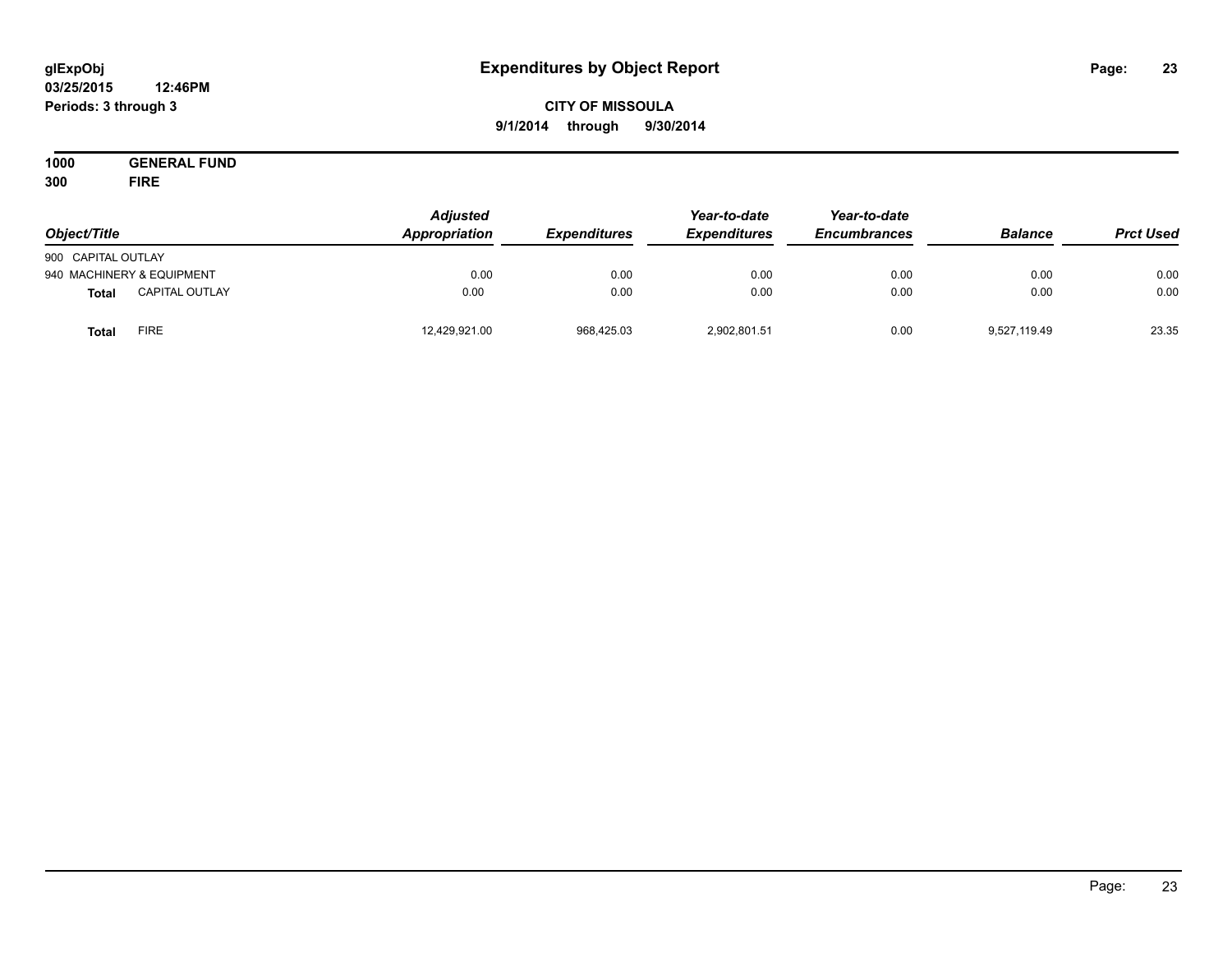#### **03/25/2015 12:46PM Periods: 3 through 3**

## **CITY OF MISSOULA 9/1/2014 through 9/30/2014**

**1000 GENERAL FUND 300 FIRE**

| Object/Title       |                           | <b>Adjusted</b><br>Appropriation | <b>Expenditures</b> | Year-to-date<br><b>Expenditures</b> | Year-to-date<br><b>Encumbrances</b> | <b>Balance</b> | <b>Prct Used</b> |
|--------------------|---------------------------|----------------------------------|---------------------|-------------------------------------|-------------------------------------|----------------|------------------|
| 900 CAPITAL OUTLAY |                           |                                  |                     |                                     |                                     |                |                  |
|                    | 940 MACHINERY & EQUIPMENT | 0.00                             | 0.00                | 0.00                                | 0.00                                | 0.00           | 0.00             |
| <b>Total</b>       | <b>CAPITAL OUTLAY</b>     | 0.00                             | 0.00                | 0.00                                | 0.00                                | 0.00           | 0.00             |
| <b>Total</b>       | <b>FIRE</b>               | 12,429,921.00                    | 968,425.03          | 2,902,801.51                        | 0.00                                | 9,527,119.49   | 23.35            |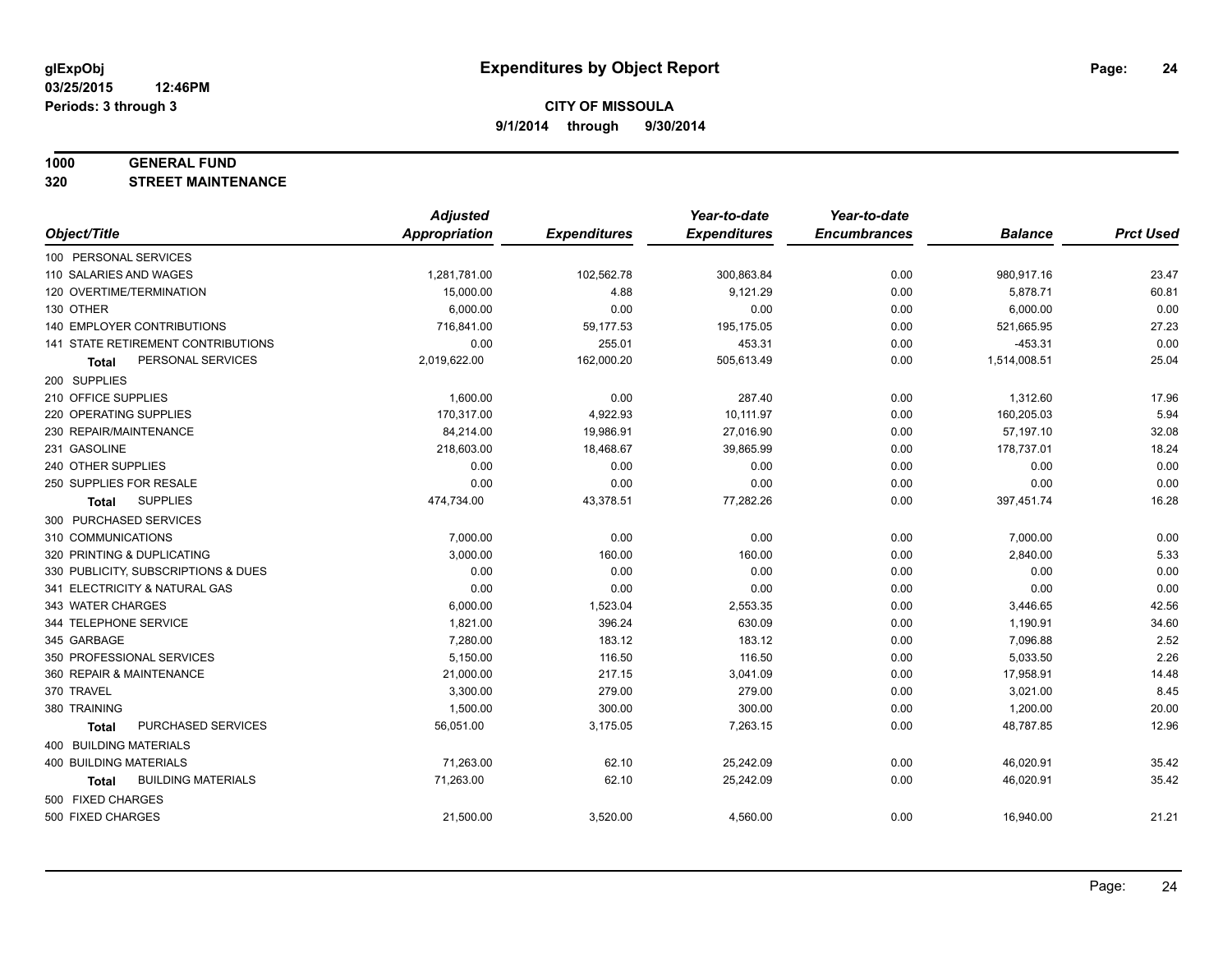#### **1000 GENERAL FUND**

**320 STREET MAINTENANCE**

|                                     | <b>Adjusted</b>      |                     | Year-to-date        | Year-to-date        |                |                  |
|-------------------------------------|----------------------|---------------------|---------------------|---------------------|----------------|------------------|
| Object/Title                        | <b>Appropriation</b> | <b>Expenditures</b> | <b>Expenditures</b> | <b>Encumbrances</b> | <b>Balance</b> | <b>Prct Used</b> |
| 100 PERSONAL SERVICES               |                      |                     |                     |                     |                |                  |
| 110 SALARIES AND WAGES              | 1,281,781.00         | 102,562.78          | 300,863.84          | 0.00                | 980,917.16     | 23.47            |
| 120 OVERTIME/TERMINATION            | 15,000.00            | 4.88                | 9,121.29            | 0.00                | 5,878.71       | 60.81            |
| 130 OTHER                           | 6,000.00             | 0.00                | 0.00                | 0.00                | 6,000.00       | 0.00             |
| <b>140 EMPLOYER CONTRIBUTIONS</b>   | 716,841.00           | 59,177.53           | 195,175.05          | 0.00                | 521,665.95     | 27.23            |
| 141 STATE RETIREMENT CONTRIBUTIONS  | 0.00                 | 255.01              | 453.31              | 0.00                | $-453.31$      | 0.00             |
| PERSONAL SERVICES<br>Total          | 2,019,622.00         | 162,000.20          | 505,613.49          | 0.00                | 1,514,008.51   | 25.04            |
| 200 SUPPLIES                        |                      |                     |                     |                     |                |                  |
| 210 OFFICE SUPPLIES                 | 1,600.00             | 0.00                | 287.40              | 0.00                | 1,312.60       | 17.96            |
| 220 OPERATING SUPPLIES              | 170,317.00           | 4,922.93            | 10,111.97           | 0.00                | 160,205.03     | 5.94             |
| 230 REPAIR/MAINTENANCE              | 84,214.00            | 19,986.91           | 27,016.90           | 0.00                | 57,197.10      | 32.08            |
| 231 GASOLINE                        | 218,603.00           | 18,468.67           | 39,865.99           | 0.00                | 178,737.01     | 18.24            |
| 240 OTHER SUPPLIES                  | 0.00                 | 0.00                | 0.00                | 0.00                | 0.00           | 0.00             |
| 250 SUPPLIES FOR RESALE             | 0.00                 | 0.00                | 0.00                | 0.00                | 0.00           | 0.00             |
| <b>SUPPLIES</b><br><b>Total</b>     | 474,734.00           | 43,378.51           | 77,282.26           | 0.00                | 397,451.74     | 16.28            |
| 300 PURCHASED SERVICES              |                      |                     |                     |                     |                |                  |
| 310 COMMUNICATIONS                  | 7,000.00             | 0.00                | 0.00                | 0.00                | 7,000.00       | 0.00             |
| 320 PRINTING & DUPLICATING          | 3,000.00             | 160.00              | 160.00              | 0.00                | 2,840.00       | 5.33             |
| 330 PUBLICITY, SUBSCRIPTIONS & DUES | 0.00                 | 0.00                | 0.00                | 0.00                | 0.00           | 0.00             |
| 341 ELECTRICITY & NATURAL GAS       | 0.00                 | 0.00                | 0.00                | 0.00                | 0.00           | 0.00             |
| 343 WATER CHARGES                   | 6,000.00             | 1,523.04            | 2,553.35            | 0.00                | 3,446.65       | 42.56            |
| 344 TELEPHONE SERVICE               | 1,821.00             | 396.24              | 630.09              | 0.00                | 1,190.91       | 34.60            |
| 345 GARBAGE                         | 7,280.00             | 183.12              | 183.12              | 0.00                | 7,096.88       | 2.52             |
| 350 PROFESSIONAL SERVICES           | 5,150.00             | 116.50              | 116.50              | 0.00                | 5,033.50       | 2.26             |
| 360 REPAIR & MAINTENANCE            | 21,000.00            | 217.15              | 3,041.09            | 0.00                | 17,958.91      | 14.48            |
| 370 TRAVEL                          | 3,300.00             | 279.00              | 279.00              | 0.00                | 3,021.00       | 8.45             |
| 380 TRAINING                        | 1,500.00             | 300.00              | 300.00              | 0.00                | 1,200.00       | 20.00            |
| PURCHASED SERVICES<br><b>Total</b>  | 56,051.00            | 3,175.05            | 7,263.15            | 0.00                | 48,787.85      | 12.96            |
| 400 BUILDING MATERIALS              |                      |                     |                     |                     |                |                  |
| 400 BUILDING MATERIALS              | 71,263.00            | 62.10               | 25,242.09           | 0.00                | 46,020.91      | 35.42            |
| <b>BUILDING MATERIALS</b><br>Total  | 71,263.00            | 62.10               | 25,242.09           | 0.00                | 46,020.91      | 35.42            |
| 500 FIXED CHARGES                   |                      |                     |                     |                     |                |                  |
| 500 FIXED CHARGES                   | 21,500.00            | 3,520.00            | 4,560.00            | 0.00                | 16,940.00      | 21.21            |
|                                     |                      |                     |                     |                     |                |                  |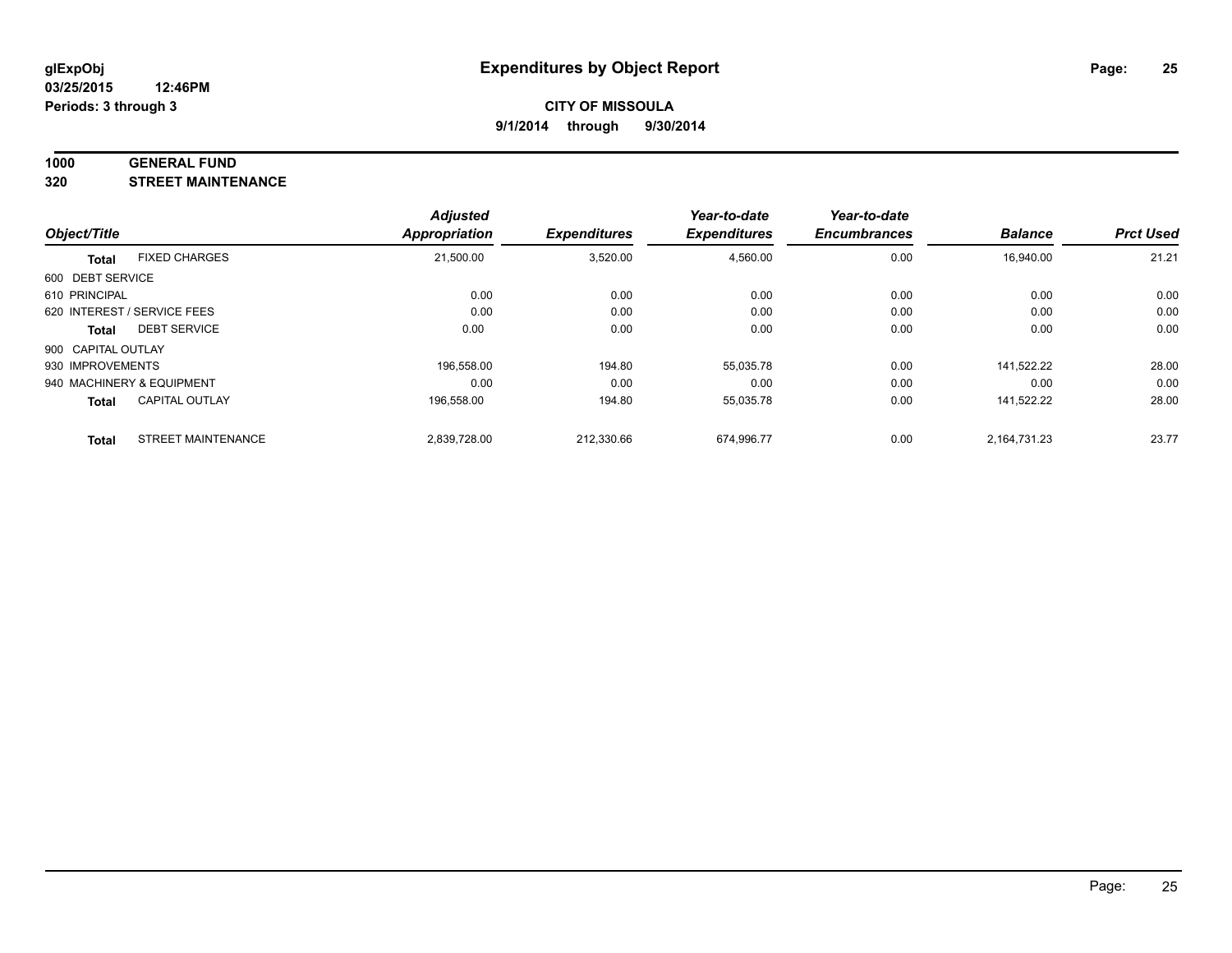#### **1000 GENERAL FUND**

**320 STREET MAINTENANCE**

| Object/Title       |                             | <b>Adjusted</b><br>Appropriation | <b>Expenditures</b> | Year-to-date<br><b>Expenditures</b> | Year-to-date<br><b>Encumbrances</b> | <b>Balance</b> | <b>Prct Used</b> |
|--------------------|-----------------------------|----------------------------------|---------------------|-------------------------------------|-------------------------------------|----------------|------------------|
|                    |                             |                                  |                     |                                     |                                     |                |                  |
| 600 DEBT SERVICE   |                             |                                  |                     |                                     |                                     |                |                  |
| 610 PRINCIPAL      |                             | 0.00                             | 0.00                | 0.00                                | 0.00                                | 0.00           | 0.00             |
|                    | 620 INTEREST / SERVICE FEES | 0.00                             | 0.00                | 0.00                                | 0.00                                | 0.00           | 0.00             |
| Total              | <b>DEBT SERVICE</b>         | 0.00                             | 0.00                | 0.00                                | 0.00                                | 0.00           | 0.00             |
| 900 CAPITAL OUTLAY |                             |                                  |                     |                                     |                                     |                |                  |
| 930 IMPROVEMENTS   |                             | 196.558.00                       | 194.80              | 55,035.78                           | 0.00                                | 141.522.22     | 28.00            |
|                    | 940 MACHINERY & EQUIPMENT   | 0.00                             | 0.00                | 0.00                                | 0.00                                | 0.00           | 0.00             |
| <b>Total</b>       | <b>CAPITAL OUTLAY</b>       | 196,558.00                       | 194.80              | 55,035.78                           | 0.00                                | 141.522.22     | 28.00            |
| <b>Total</b>       | <b>STREET MAINTENANCE</b>   | 2.839.728.00                     | 212.330.66          | 674.996.77                          | 0.00                                | 2.164.731.23   | 23.77            |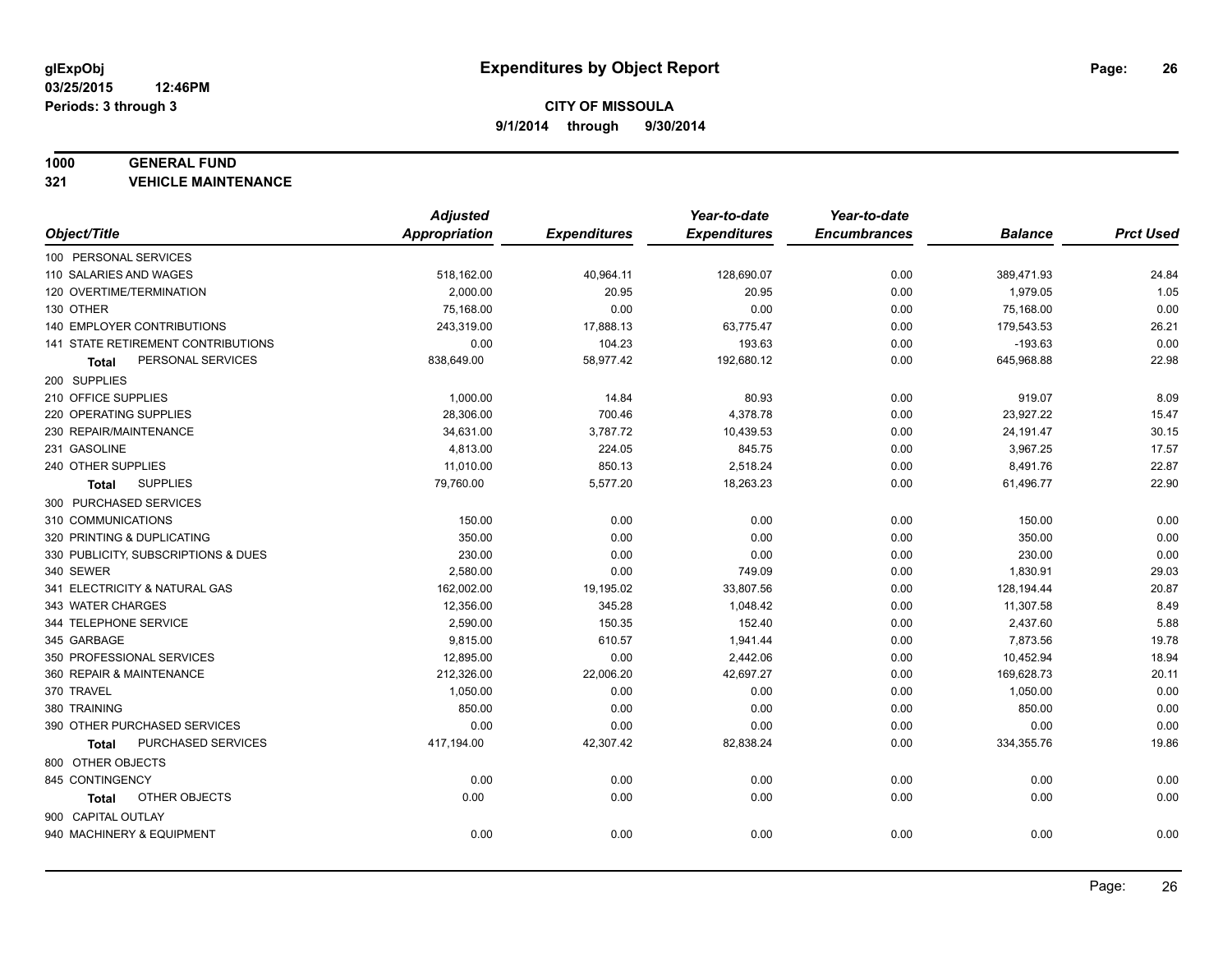#### **1000 GENERAL FUND**

**321 VEHICLE MAINTENANCE**

|                                           | <b>Adjusted</b> |                     | Year-to-date        | Year-to-date        |                |                  |
|-------------------------------------------|-----------------|---------------------|---------------------|---------------------|----------------|------------------|
| Object/Title                              | Appropriation   | <b>Expenditures</b> | <b>Expenditures</b> | <b>Encumbrances</b> | <b>Balance</b> | <b>Prct Used</b> |
| 100 PERSONAL SERVICES                     |                 |                     |                     |                     |                |                  |
| 110 SALARIES AND WAGES                    | 518,162.00      | 40,964.11           | 128,690.07          | 0.00                | 389,471.93     | 24.84            |
| 120 OVERTIME/TERMINATION                  | 2,000.00        | 20.95               | 20.95               | 0.00                | 1,979.05       | 1.05             |
| 130 OTHER                                 | 75,168.00       | 0.00                | 0.00                | 0.00                | 75,168.00      | 0.00             |
| 140 EMPLOYER CONTRIBUTIONS                | 243,319.00      | 17,888.13           | 63,775.47           | 0.00                | 179,543.53     | 26.21            |
| <b>141 STATE RETIREMENT CONTRIBUTIONS</b> | 0.00            | 104.23              | 193.63              | 0.00                | $-193.63$      | 0.00             |
| PERSONAL SERVICES<br>Total                | 838,649.00      | 58,977.42           | 192,680.12          | 0.00                | 645,968.88     | 22.98            |
| 200 SUPPLIES                              |                 |                     |                     |                     |                |                  |
| 210 OFFICE SUPPLIES                       | 1,000.00        | 14.84               | 80.93               | 0.00                | 919.07         | 8.09             |
| 220 OPERATING SUPPLIES                    | 28,306.00       | 700.46              | 4,378.78            | 0.00                | 23,927.22      | 15.47            |
| 230 REPAIR/MAINTENANCE                    | 34,631.00       | 3,787.72            | 10,439.53           | 0.00                | 24,191.47      | 30.15            |
| 231 GASOLINE                              | 4,813.00        | 224.05              | 845.75              | 0.00                | 3,967.25       | 17.57            |
| 240 OTHER SUPPLIES                        | 11,010.00       | 850.13              | 2,518.24            | 0.00                | 8,491.76       | 22.87            |
| <b>SUPPLIES</b><br>Total                  | 79,760.00       | 5,577.20            | 18,263.23           | 0.00                | 61,496.77      | 22.90            |
| 300 PURCHASED SERVICES                    |                 |                     |                     |                     |                |                  |
| 310 COMMUNICATIONS                        | 150.00          | 0.00                | 0.00                | 0.00                | 150.00         | 0.00             |
| 320 PRINTING & DUPLICATING                | 350.00          | 0.00                | 0.00                | 0.00                | 350.00         | 0.00             |
| 330 PUBLICITY, SUBSCRIPTIONS & DUES       | 230.00          | 0.00                | 0.00                | 0.00                | 230.00         | 0.00             |
| 340 SEWER                                 | 2,580.00        | 0.00                | 749.09              | 0.00                | 1,830.91       | 29.03            |
| 341 ELECTRICITY & NATURAL GAS             | 162,002.00      | 19,195.02           | 33,807.56           | 0.00                | 128,194.44     | 20.87            |
| 343 WATER CHARGES                         | 12,356.00       | 345.28              | 1,048.42            | 0.00                | 11,307.58      | 8.49             |
| 344 TELEPHONE SERVICE                     | 2,590.00        | 150.35              | 152.40              | 0.00                | 2,437.60       | 5.88             |
| 345 GARBAGE                               | 9,815.00        | 610.57              | 1,941.44            | 0.00                | 7,873.56       | 19.78            |
| 350 PROFESSIONAL SERVICES                 | 12,895.00       | 0.00                | 2,442.06            | 0.00                | 10,452.94      | 18.94            |
| 360 REPAIR & MAINTENANCE                  | 212,326.00      | 22,006.20           | 42,697.27           | 0.00                | 169,628.73     | 20.11            |
| 370 TRAVEL                                | 1,050.00        | 0.00                | 0.00                | 0.00                | 1,050.00       | 0.00             |
| 380 TRAINING                              | 850.00          | 0.00                | 0.00                | 0.00                | 850.00         | 0.00             |
| 390 OTHER PURCHASED SERVICES              | 0.00            | 0.00                | 0.00                | 0.00                | 0.00           | 0.00             |
| PURCHASED SERVICES<br><b>Total</b>        | 417,194.00      | 42,307.42           | 82,838.24           | 0.00                | 334,355.76     | 19.86            |
| 800 OTHER OBJECTS                         |                 |                     |                     |                     |                |                  |
| 845 CONTINGENCY                           | 0.00            | 0.00                | 0.00                | 0.00                | 0.00           | 0.00             |
| OTHER OBJECTS<br>Total                    | 0.00            | 0.00                | 0.00                | 0.00                | 0.00           | 0.00             |
| 900 CAPITAL OUTLAY                        |                 |                     |                     |                     |                |                  |
| 940 MACHINERY & EQUIPMENT                 | 0.00            | 0.00                | 0.00                | 0.00                | 0.00           | 0.00             |
|                                           |                 |                     |                     |                     |                |                  |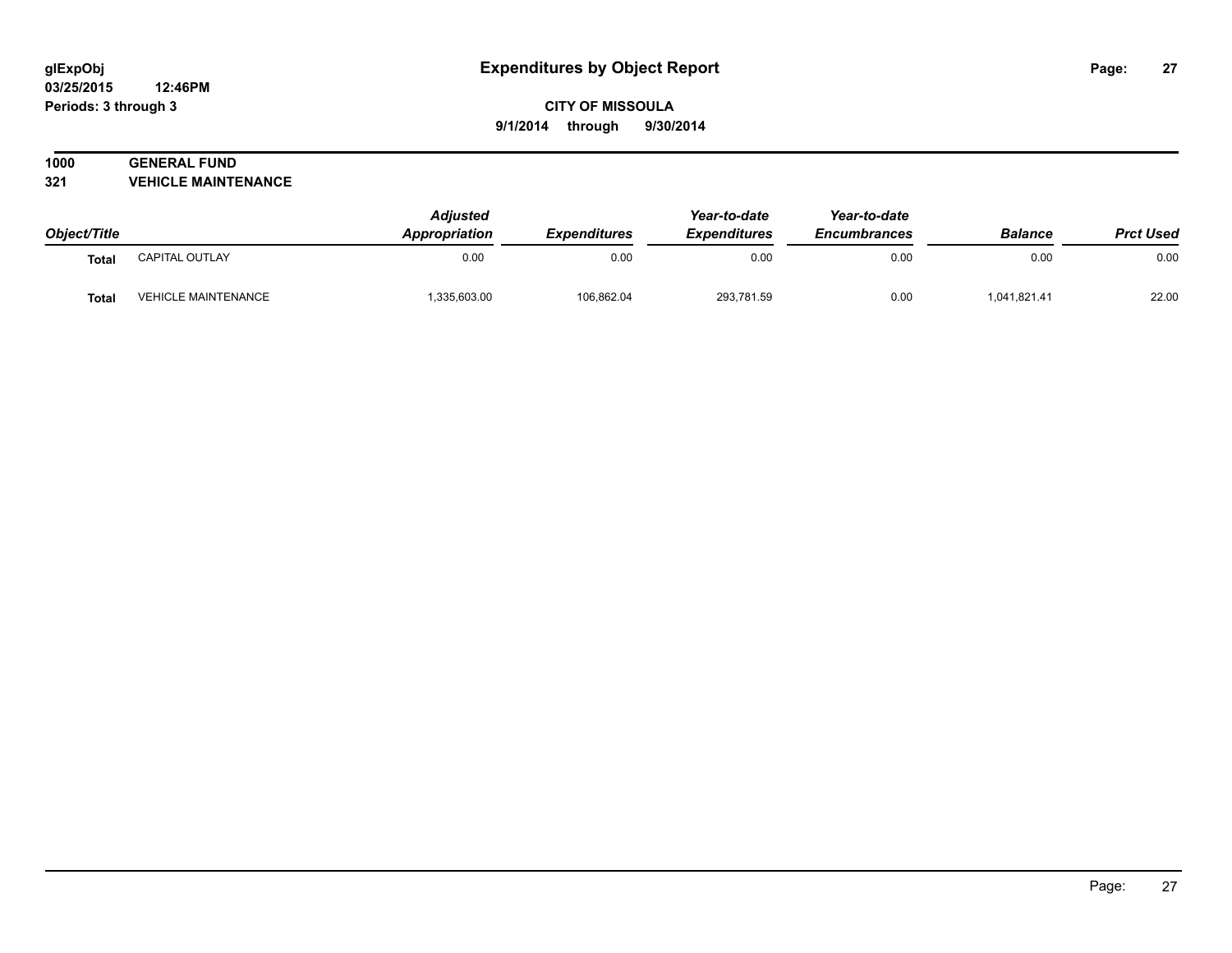#### **03/25/2015 12:46PM Periods: 3 through 3**

# **CITY OF MISSOULA 9/1/2014 through 9/30/2014**

# **1000 GENERAL FUND**

**321 VEHICLE MAINTENANCE**

| Object/Title |                            | <b>Adjusted</b><br>Appropriation | <b>Expenditures</b> | Year-to-date<br><b>Expenditures</b> | Year-to-date<br><b>Encumbrances</b> | <b>Balance</b> | <b>Prct Used</b> |
|--------------|----------------------------|----------------------------------|---------------------|-------------------------------------|-------------------------------------|----------------|------------------|
| <b>Total</b> | CAPITAL OUTLAY             | 0.00                             | 0.00                | 0.00                                | 0.00                                | 0.00           | 0.00             |
| <b>Total</b> | <b>VEHICLE MAINTENANCE</b> | 335,603.00                       | 106,862.04          | 293,781.59                          | 0.00                                | 1,041,821.41   | 22.00            |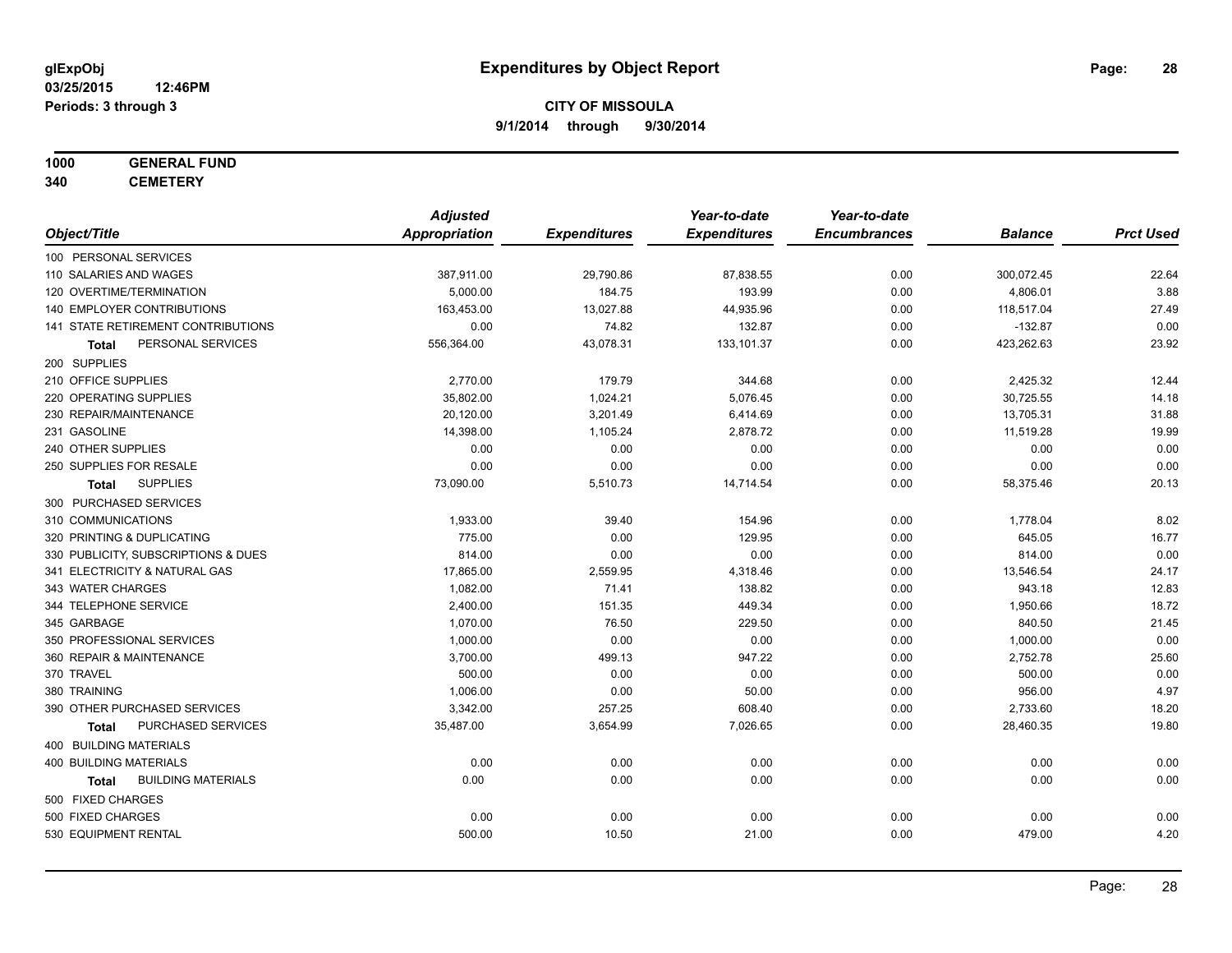# **1000 GENERAL FUND**

**340 CEMETERY**

|                                           | <b>Adjusted</b>      |                     | Year-to-date        | Year-to-date        |                |                  |
|-------------------------------------------|----------------------|---------------------|---------------------|---------------------|----------------|------------------|
| Object/Title                              | <b>Appropriation</b> | <b>Expenditures</b> | <b>Expenditures</b> | <b>Encumbrances</b> | <b>Balance</b> | <b>Prct Used</b> |
| 100 PERSONAL SERVICES                     |                      |                     |                     |                     |                |                  |
| 110 SALARIES AND WAGES                    | 387,911.00           | 29,790.86           | 87,838.55           | 0.00                | 300,072.45     | 22.64            |
| 120 OVERTIME/TERMINATION                  | 5,000.00             | 184.75              | 193.99              | 0.00                | 4,806.01       | 3.88             |
| <b>140 EMPLOYER CONTRIBUTIONS</b>         | 163,453.00           | 13,027.88           | 44,935.96           | 0.00                | 118,517.04     | 27.49            |
| 141 STATE RETIREMENT CONTRIBUTIONS        | 0.00                 | 74.82               | 132.87              | 0.00                | $-132.87$      | 0.00             |
| PERSONAL SERVICES<br>Total                | 556,364.00           | 43,078.31           | 133,101.37          | 0.00                | 423,262.63     | 23.92            |
| 200 SUPPLIES                              |                      |                     |                     |                     |                |                  |
| 210 OFFICE SUPPLIES                       | 2,770.00             | 179.79              | 344.68              | 0.00                | 2,425.32       | 12.44            |
| 220 OPERATING SUPPLIES                    | 35,802.00            | 1,024.21            | 5,076.45            | 0.00                | 30,725.55      | 14.18            |
| 230 REPAIR/MAINTENANCE                    | 20,120.00            | 3,201.49            | 6,414.69            | 0.00                | 13,705.31      | 31.88            |
| 231 GASOLINE                              | 14,398.00            | 1,105.24            | 2,878.72            | 0.00                | 11,519.28      | 19.99            |
| 240 OTHER SUPPLIES                        | 0.00                 | 0.00                | 0.00                | 0.00                | 0.00           | 0.00             |
| 250 SUPPLIES FOR RESALE                   | 0.00                 | 0.00                | 0.00                | 0.00                | 0.00           | 0.00             |
| <b>SUPPLIES</b><br>Total                  | 73,090.00            | 5,510.73            | 14,714.54           | 0.00                | 58,375.46      | 20.13            |
| 300 PURCHASED SERVICES                    |                      |                     |                     |                     |                |                  |
| 310 COMMUNICATIONS                        | 1,933.00             | 39.40               | 154.96              | 0.00                | 1,778.04       | 8.02             |
| 320 PRINTING & DUPLICATING                | 775.00               | 0.00                | 129.95              | 0.00                | 645.05         | 16.77            |
| 330 PUBLICITY, SUBSCRIPTIONS & DUES       | 814.00               | 0.00                | 0.00                | 0.00                | 814.00         | 0.00             |
| 341 ELECTRICITY & NATURAL GAS             | 17,865.00            | 2,559.95            | 4,318.46            | 0.00                | 13,546.54      | 24.17            |
| 343 WATER CHARGES                         | 1,082.00             | 71.41               | 138.82              | 0.00                | 943.18         | 12.83            |
| 344 TELEPHONE SERVICE                     | 2,400.00             | 151.35              | 449.34              | 0.00                | 1,950.66       | 18.72            |
| 345 GARBAGE                               | 1,070.00             | 76.50               | 229.50              | 0.00                | 840.50         | 21.45            |
| 350 PROFESSIONAL SERVICES                 | 1,000.00             | 0.00                | 0.00                | 0.00                | 1,000.00       | 0.00             |
| 360 REPAIR & MAINTENANCE                  | 3,700.00             | 499.13              | 947.22              | 0.00                | 2,752.78       | 25.60            |
| 370 TRAVEL                                | 500.00               | 0.00                | 0.00                | 0.00                | 500.00         | 0.00             |
| 380 TRAINING                              | 1,006.00             | 0.00                | 50.00               | 0.00                | 956.00         | 4.97             |
| 390 OTHER PURCHASED SERVICES              | 3,342.00             | 257.25              | 608.40              | 0.00                | 2,733.60       | 18.20            |
| PURCHASED SERVICES<br><b>Total</b>        | 35,487.00            | 3,654.99            | 7,026.65            | 0.00                | 28,460.35      | 19.80            |
| 400 BUILDING MATERIALS                    |                      |                     |                     |                     |                |                  |
| <b>400 BUILDING MATERIALS</b>             | 0.00                 | 0.00                | 0.00                | 0.00                | 0.00           | 0.00             |
| <b>BUILDING MATERIALS</b><br><b>Total</b> | 0.00                 | 0.00                | 0.00                | 0.00                | 0.00           | 0.00             |
| 500 FIXED CHARGES                         |                      |                     |                     |                     |                |                  |
| 500 FIXED CHARGES                         | 0.00                 | 0.00                | 0.00                | 0.00                | 0.00           | 0.00             |
| 530 EQUIPMENT RENTAL                      | 500.00               | 10.50               | 21.00               | 0.00                | 479.00         | 4.20             |
|                                           |                      |                     |                     |                     |                |                  |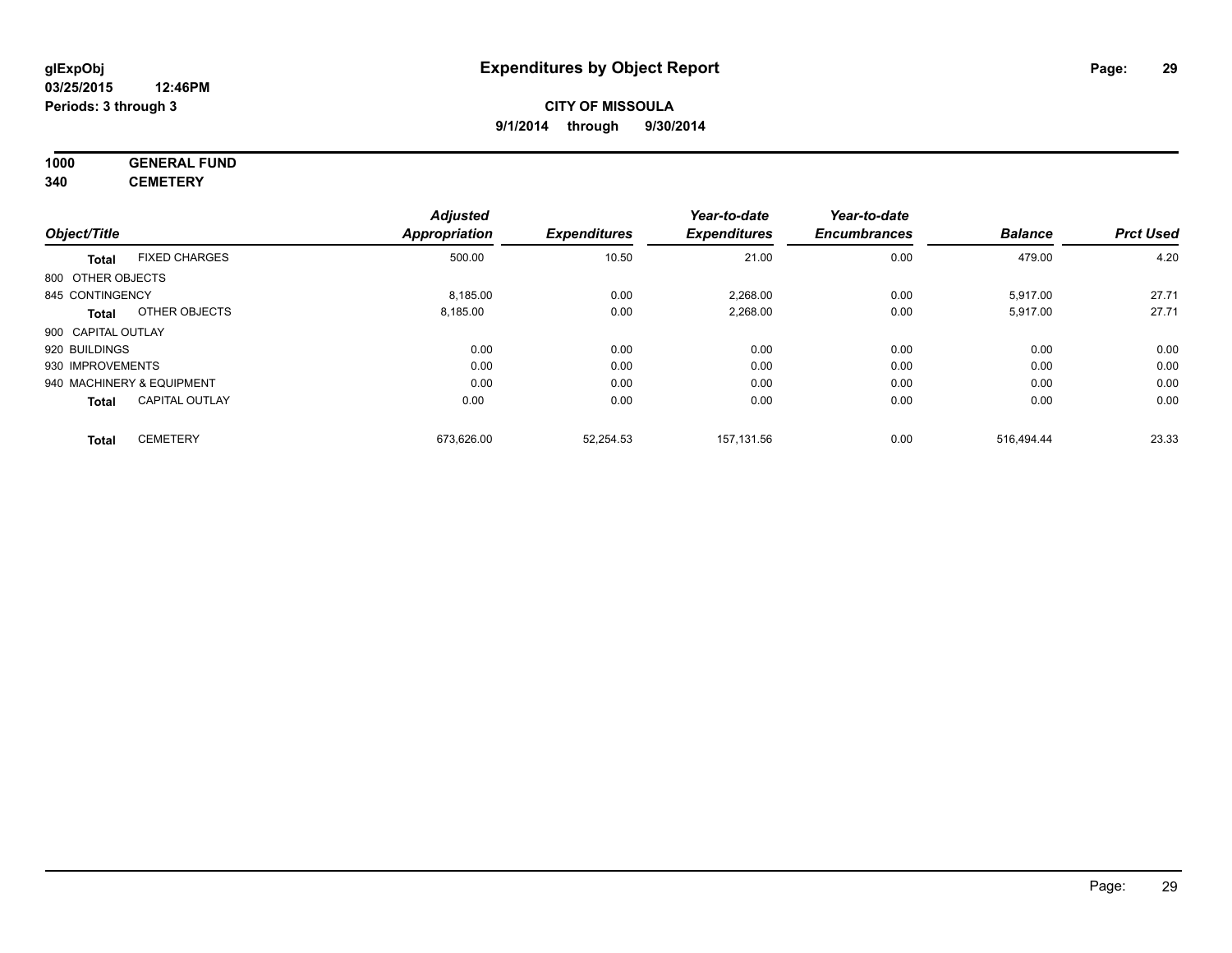# **1000 GENERAL FUND**

**340 CEMETERY**

|                    |                           | <b>Adjusted</b> |                     | Year-to-date        | Year-to-date        |                |                  |
|--------------------|---------------------------|-----------------|---------------------|---------------------|---------------------|----------------|------------------|
| Object/Title       |                           | Appropriation   | <b>Expenditures</b> | <b>Expenditures</b> | <b>Encumbrances</b> | <b>Balance</b> | <b>Prct Used</b> |
| <b>Total</b>       | <b>FIXED CHARGES</b>      | 500.00          | 10.50               | 21.00               | 0.00                | 479.00         | 4.20             |
| 800 OTHER OBJECTS  |                           |                 |                     |                     |                     |                |                  |
| 845 CONTINGENCY    |                           | 8,185.00        | 0.00                | 2,268.00            | 0.00                | 5,917.00       | 27.71            |
| <b>Total</b>       | OTHER OBJECTS             | 8,185.00        | 0.00                | 2,268.00            | 0.00                | 5,917.00       | 27.71            |
| 900 CAPITAL OUTLAY |                           |                 |                     |                     |                     |                |                  |
| 920 BUILDINGS      |                           | 0.00            | 0.00                | 0.00                | 0.00                | 0.00           | 0.00             |
| 930 IMPROVEMENTS   |                           | 0.00            | 0.00                | 0.00                | 0.00                | 0.00           | 0.00             |
|                    | 940 MACHINERY & EQUIPMENT | 0.00            | 0.00                | 0.00                | 0.00                | 0.00           | 0.00             |
| <b>Total</b>       | <b>CAPITAL OUTLAY</b>     | 0.00            | 0.00                | 0.00                | 0.00                | 0.00           | 0.00             |
| <b>Total</b>       | <b>CEMETERY</b>           | 673.626.00      | 52.254.53           | 157.131.56          | 0.00                | 516.494.44     | 23.33            |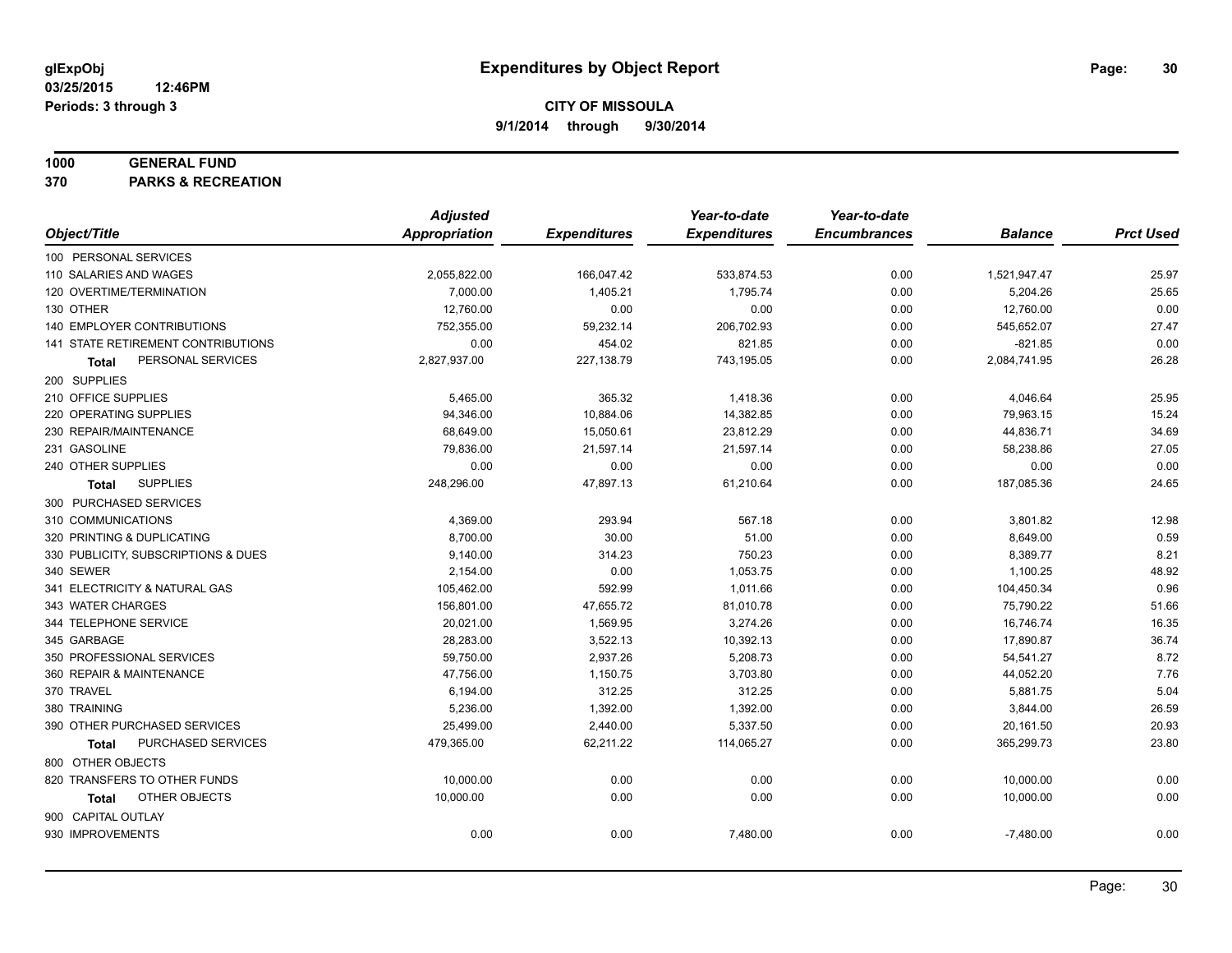#### **1000 GENERAL FUND**

**370 PARKS & RECREATION**

|                                     | <b>Adjusted</b>      |                     | Year-to-date        | Year-to-date        |                |                  |
|-------------------------------------|----------------------|---------------------|---------------------|---------------------|----------------|------------------|
| Object/Title                        | <b>Appropriation</b> | <b>Expenditures</b> | <b>Expenditures</b> | <b>Encumbrances</b> | <b>Balance</b> | <b>Prct Used</b> |
| 100 PERSONAL SERVICES               |                      |                     |                     |                     |                |                  |
| 110 SALARIES AND WAGES              | 2,055,822.00         | 166,047.42          | 533,874.53          | 0.00                | 1,521,947.47   | 25.97            |
| 120 OVERTIME/TERMINATION            | 7,000.00             | 1,405.21            | 1,795.74            | 0.00                | 5,204.26       | 25.65            |
| 130 OTHER                           | 12,760.00            | 0.00                | 0.00                | 0.00                | 12,760.00      | 0.00             |
| 140 EMPLOYER CONTRIBUTIONS          | 752,355.00           | 59,232.14           | 206,702.93          | 0.00                | 545,652.07     | 27.47            |
| 141 STATE RETIREMENT CONTRIBUTIONS  | 0.00                 | 454.02              | 821.85              | 0.00                | $-821.85$      | 0.00             |
| PERSONAL SERVICES<br>Total          | 2,827,937.00         | 227,138.79          | 743,195.05          | 0.00                | 2,084,741.95   | 26.28            |
| 200 SUPPLIES                        |                      |                     |                     |                     |                |                  |
| 210 OFFICE SUPPLIES                 | 5,465.00             | 365.32              | 1,418.36            | 0.00                | 4,046.64       | 25.95            |
| 220 OPERATING SUPPLIES              | 94,346.00            | 10,884.06           | 14,382.85           | 0.00                | 79,963.15      | 15.24            |
| 230 REPAIR/MAINTENANCE              | 68,649.00            | 15,050.61           | 23,812.29           | 0.00                | 44,836.71      | 34.69            |
| 231 GASOLINE                        | 79,836.00            | 21,597.14           | 21,597.14           | 0.00                | 58,238.86      | 27.05            |
| 240 OTHER SUPPLIES                  | 0.00                 | 0.00                | 0.00                | 0.00                | 0.00           | 0.00             |
| <b>SUPPLIES</b><br>Total            | 248,296.00           | 47,897.13           | 61,210.64           | 0.00                | 187,085.36     | 24.65            |
| 300 PURCHASED SERVICES              |                      |                     |                     |                     |                |                  |
| 310 COMMUNICATIONS                  | 4,369.00             | 293.94              | 567.18              | 0.00                | 3,801.82       | 12.98            |
| 320 PRINTING & DUPLICATING          | 8,700.00             | 30.00               | 51.00               | 0.00                | 8,649.00       | 0.59             |
| 330 PUBLICITY, SUBSCRIPTIONS & DUES | 9,140.00             | 314.23              | 750.23              | 0.00                | 8,389.77       | 8.21             |
| 340 SEWER                           | 2,154.00             | 0.00                | 1,053.75            | 0.00                | 1,100.25       | 48.92            |
| 341 ELECTRICITY & NATURAL GAS       | 105,462.00           | 592.99              | 1,011.66            | 0.00                | 104,450.34     | 0.96             |
| 343 WATER CHARGES                   | 156,801.00           | 47,655.72           | 81,010.78           | 0.00                | 75,790.22      | 51.66            |
| 344 TELEPHONE SERVICE               | 20,021.00            | 1,569.95            | 3,274.26            | 0.00                | 16,746.74      | 16.35            |
| 345 GARBAGE                         | 28,283.00            | 3,522.13            | 10,392.13           | 0.00                | 17,890.87      | 36.74            |
| 350 PROFESSIONAL SERVICES           | 59,750.00            | 2,937.26            | 5,208.73            | 0.00                | 54,541.27      | 8.72             |
| 360 REPAIR & MAINTENANCE            | 47,756.00            | 1,150.75            | 3,703.80            | 0.00                | 44,052.20      | 7.76             |
| 370 TRAVEL                          | 6,194.00             | 312.25              | 312.25              | 0.00                | 5,881.75       | 5.04             |
| 380 TRAINING                        | 5,236.00             | 1,392.00            | 1,392.00            | 0.00                | 3,844.00       | 26.59            |
| 390 OTHER PURCHASED SERVICES        | 25,499.00            | 2,440.00            | 5,337.50            | 0.00                | 20,161.50      | 20.93            |
| PURCHASED SERVICES<br><b>Total</b>  | 479,365.00           | 62,211.22           | 114,065.27          | 0.00                | 365,299.73     | 23.80            |
| 800 OTHER OBJECTS                   |                      |                     |                     |                     |                |                  |
| 820 TRANSFERS TO OTHER FUNDS        | 10,000.00            | 0.00                | 0.00                | 0.00                | 10,000.00      | 0.00             |
| OTHER OBJECTS<br>Total              | 10,000.00            | 0.00                | 0.00                | 0.00                | 10,000.00      | 0.00             |
| 900 CAPITAL OUTLAY                  |                      |                     |                     |                     |                |                  |
| 930 IMPROVEMENTS                    | 0.00                 | 0.00                | 7,480.00            | 0.00                | $-7,480.00$    | 0.00             |
|                                     |                      |                     |                     |                     |                |                  |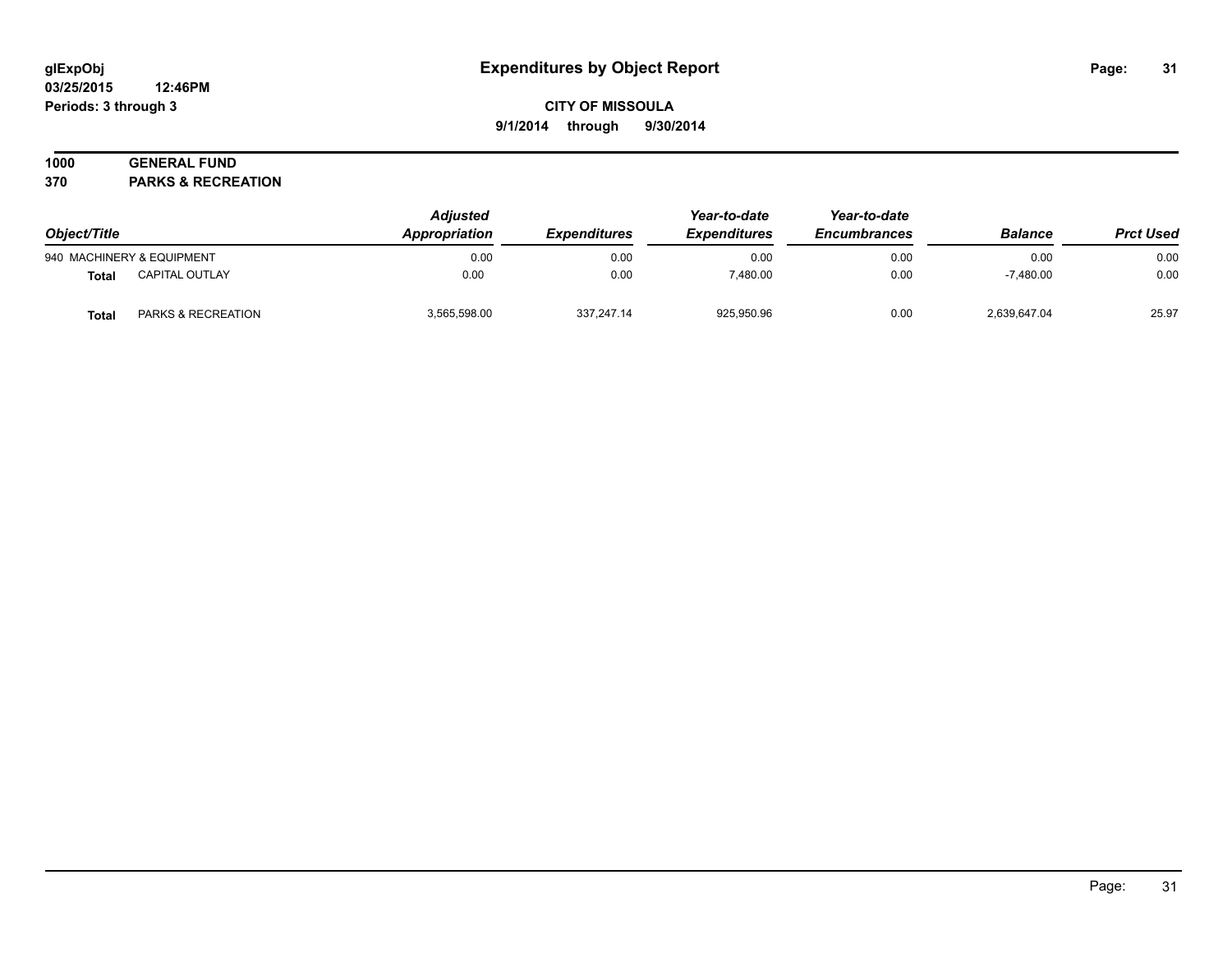#### **03/25/2015 12:46PM Periods: 3 through 3**

# **CITY OF MISSOULA 9/1/2014 through 9/30/2014**

# **1000 GENERAL FUND**

**370 PARKS & RECREATION**

| Object/Title<br>940 MACHINERY & EQUIPMENT |                               | <b>Adjusted</b><br>Appropriation<br><b>Expenditures</b><br>0.00<br>0.00 | Year-to-date<br><b>Expenditures</b> | Year-to-date<br><b>Encumbrances</b> | <b>Balance</b> | <b>Prct Used</b> |       |
|-------------------------------------------|-------------------------------|-------------------------------------------------------------------------|-------------------------------------|-------------------------------------|----------------|------------------|-------|
|                                           |                               |                                                                         |                                     | 0.00                                | 0.00           | 0.00             | 0.00  |
| Total                                     | <b>CAPITAL OUTLAY</b>         | 0.00                                                                    | 0.00                                | 7.480.00                            | 0.00           | $-7.480.00$      | 0.00  |
| Total                                     | <b>PARKS &amp; RECREATION</b> | 3.565.598.00                                                            | 337.247.14                          | 925.950.96                          | 0.00           | 2.639.647.04     | 25.97 |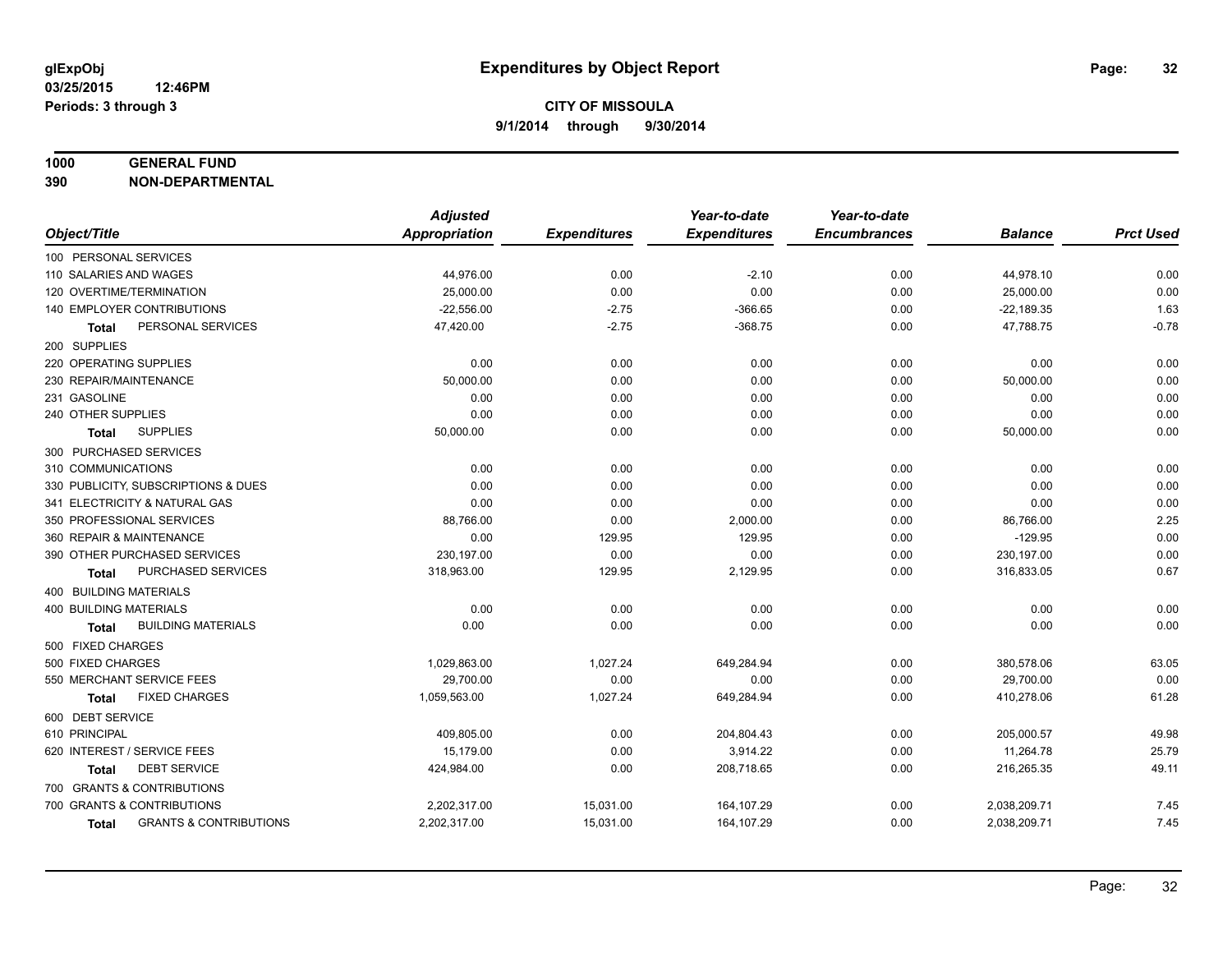#### **1000 GENERAL FUND**

**390 NON-DEPARTMENTAL**

|                                            | <b>Adjusted</b> |                     | Year-to-date        | Year-to-date        |                |                  |
|--------------------------------------------|-----------------|---------------------|---------------------|---------------------|----------------|------------------|
| Object/Title                               | Appropriation   | <b>Expenditures</b> | <b>Expenditures</b> | <b>Encumbrances</b> | <b>Balance</b> | <b>Prct Used</b> |
| 100 PERSONAL SERVICES                      |                 |                     |                     |                     |                |                  |
| 110 SALARIES AND WAGES                     | 44,976.00       | 0.00                | $-2.10$             | 0.00                | 44,978.10      | 0.00             |
| 120 OVERTIME/TERMINATION                   | 25,000.00       | 0.00                | 0.00                | 0.00                | 25,000.00      | 0.00             |
| 140 EMPLOYER CONTRIBUTIONS                 | $-22,556.00$    | $-2.75$             | $-366.65$           | 0.00                | $-22,189.35$   | 1.63             |
| PERSONAL SERVICES<br>Total                 | 47,420.00       | $-2.75$             | $-368.75$           | 0.00                | 47,788.75      | $-0.78$          |
| 200 SUPPLIES                               |                 |                     |                     |                     |                |                  |
| 220 OPERATING SUPPLIES                     | 0.00            | 0.00                | 0.00                | 0.00                | 0.00           | 0.00             |
| 230 REPAIR/MAINTENANCE                     | 50,000.00       | 0.00                | 0.00                | 0.00                | 50,000.00      | 0.00             |
| 231 GASOLINE                               | 0.00            | 0.00                | 0.00                | 0.00                | 0.00           | 0.00             |
| 240 OTHER SUPPLIES                         | 0.00            | 0.00                | 0.00                | 0.00                | 0.00           | 0.00             |
| <b>SUPPLIES</b><br>Total                   | 50,000.00       | 0.00                | 0.00                | 0.00                | 50,000.00      | 0.00             |
| 300 PURCHASED SERVICES                     |                 |                     |                     |                     |                |                  |
| 310 COMMUNICATIONS                         | 0.00            | 0.00                | 0.00                | 0.00                | 0.00           | 0.00             |
| 330 PUBLICITY, SUBSCRIPTIONS & DUES        | 0.00            | 0.00                | 0.00                | 0.00                | 0.00           | 0.00             |
| 341 ELECTRICITY & NATURAL GAS              | 0.00            | 0.00                | 0.00                | 0.00                | 0.00           | 0.00             |
| 350 PROFESSIONAL SERVICES                  | 88,766.00       | 0.00                | 2,000.00            | 0.00                | 86,766.00      | 2.25             |
| 360 REPAIR & MAINTENANCE                   | 0.00            | 129.95              | 129.95              | 0.00                | $-129.95$      | 0.00             |
| 390 OTHER PURCHASED SERVICES               | 230,197.00      | 0.00                | 0.00                | 0.00                | 230,197.00     | 0.00             |
| PURCHASED SERVICES<br>Total                | 318,963.00      | 129.95              | 2,129.95            | 0.00                | 316,833.05     | 0.67             |
| 400 BUILDING MATERIALS                     |                 |                     |                     |                     |                |                  |
| <b>400 BUILDING MATERIALS</b>              | 0.00            | 0.00                | 0.00                | 0.00                | 0.00           | 0.00             |
| <b>BUILDING MATERIALS</b><br>Total         | 0.00            | 0.00                | 0.00                | 0.00                | 0.00           | 0.00             |
| 500 FIXED CHARGES                          |                 |                     |                     |                     |                |                  |
| 500 FIXED CHARGES                          | 1,029,863.00    | 1,027.24            | 649,284.94          | 0.00                | 380,578.06     | 63.05            |
| 550 MERCHANT SERVICE FEES                  | 29,700.00       | 0.00                | 0.00                | 0.00                | 29,700.00      | 0.00             |
| <b>FIXED CHARGES</b><br><b>Total</b>       | 1,059,563.00    | 1,027.24            | 649,284.94          | 0.00                | 410,278.06     | 61.28            |
| 600 DEBT SERVICE                           |                 |                     |                     |                     |                |                  |
| 610 PRINCIPAL                              | 409,805.00      | 0.00                | 204,804.43          | 0.00                | 205,000.57     | 49.98            |
| 620 INTEREST / SERVICE FEES                | 15,179.00       | 0.00                | 3,914.22            | 0.00                | 11,264.78      | 25.79            |
| <b>DEBT SERVICE</b><br>Total               | 424,984.00      | 0.00                | 208,718.65          | 0.00                | 216,265.35     | 49.11            |
| 700 GRANTS & CONTRIBUTIONS                 |                 |                     |                     |                     |                |                  |
| 700 GRANTS & CONTRIBUTIONS                 | 2,202,317.00    | 15,031.00           | 164,107.29          | 0.00                | 2,038,209.71   | 7.45             |
| <b>GRANTS &amp; CONTRIBUTIONS</b><br>Total | 2,202,317.00    | 15,031.00           | 164,107.29          | 0.00                | 2,038,209.71   | 7.45             |
|                                            |                 |                     |                     |                     |                |                  |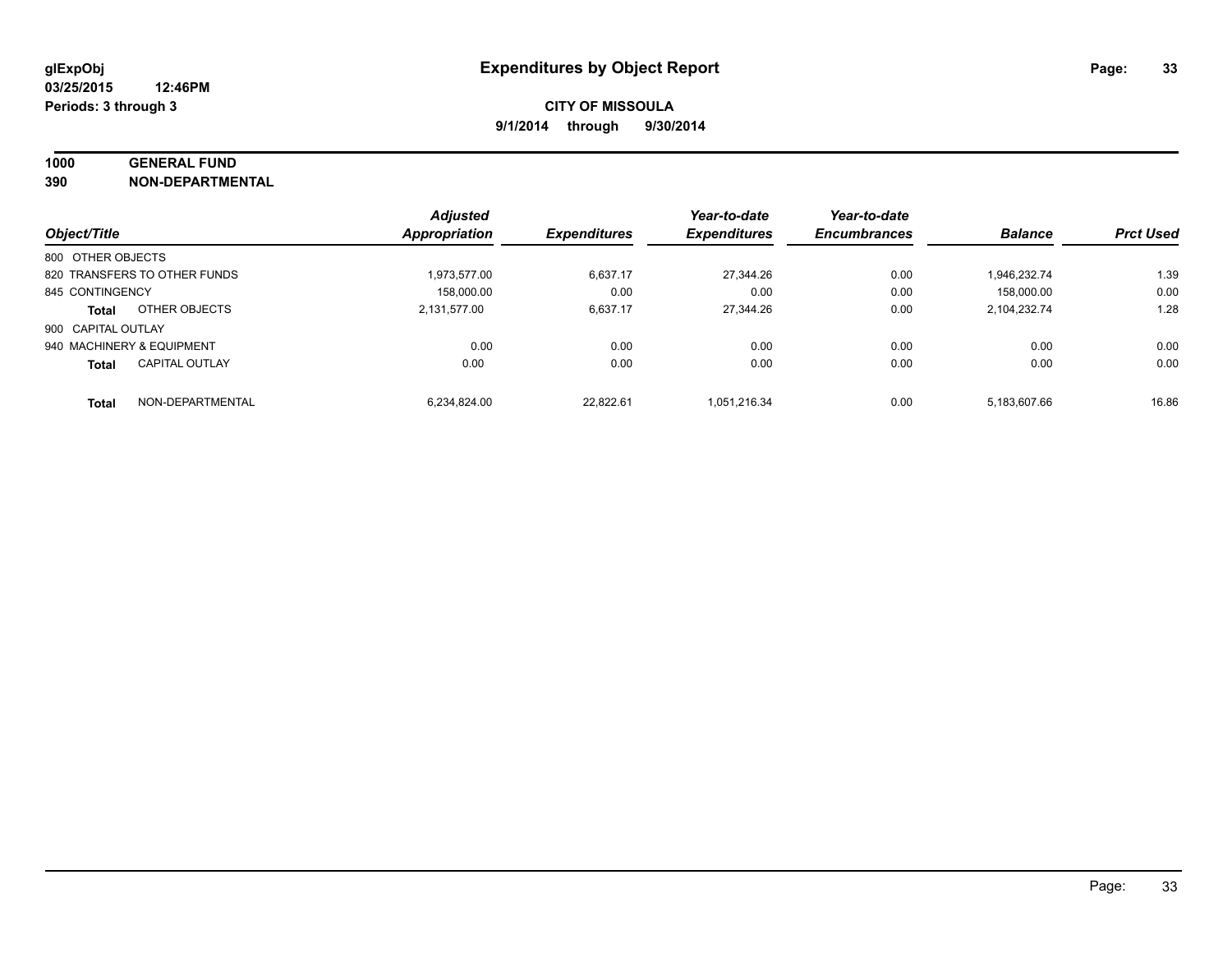# **1000 GENERAL FUND**

**390 NON-DEPARTMENTAL**

|                           |                              | <b>Adjusted</b>      |                     | Year-to-date        | Year-to-date        |                |                  |
|---------------------------|------------------------------|----------------------|---------------------|---------------------|---------------------|----------------|------------------|
| Object/Title              |                              | <b>Appropriation</b> | <b>Expenditures</b> | <b>Expenditures</b> | <b>Encumbrances</b> | <b>Balance</b> | <b>Prct Used</b> |
| 800 OTHER OBJECTS         |                              |                      |                     |                     |                     |                |                  |
|                           | 820 TRANSFERS TO OTHER FUNDS | 1.973.577.00         | 6.637.17            | 27.344.26           | 0.00                | 1.946.232.74   | 1.39             |
| 845 CONTINGENCY           |                              | 158.000.00           | 0.00                | 0.00                | 0.00                | 158,000.00     | 0.00             |
| <b>Total</b>              | OTHER OBJECTS                | 2.131.577.00         | 6,637.17            | 27.344.26           | 0.00                | 2,104,232.74   | 1.28             |
| 900 CAPITAL OUTLAY        |                              |                      |                     |                     |                     |                |                  |
| 940 MACHINERY & EQUIPMENT |                              | 0.00                 | 0.00                | 0.00                | 0.00                | 0.00           | 0.00             |
| <b>Total</b>              | <b>CAPITAL OUTLAY</b>        | 0.00                 | 0.00                | 0.00                | 0.00                | 0.00           | 0.00             |
| <b>Total</b>              | NON-DEPARTMENTAL             | 6.234.824.00         | 22.822.61           | 1.051.216.34        | 0.00                | 5.183.607.66   | 16.86            |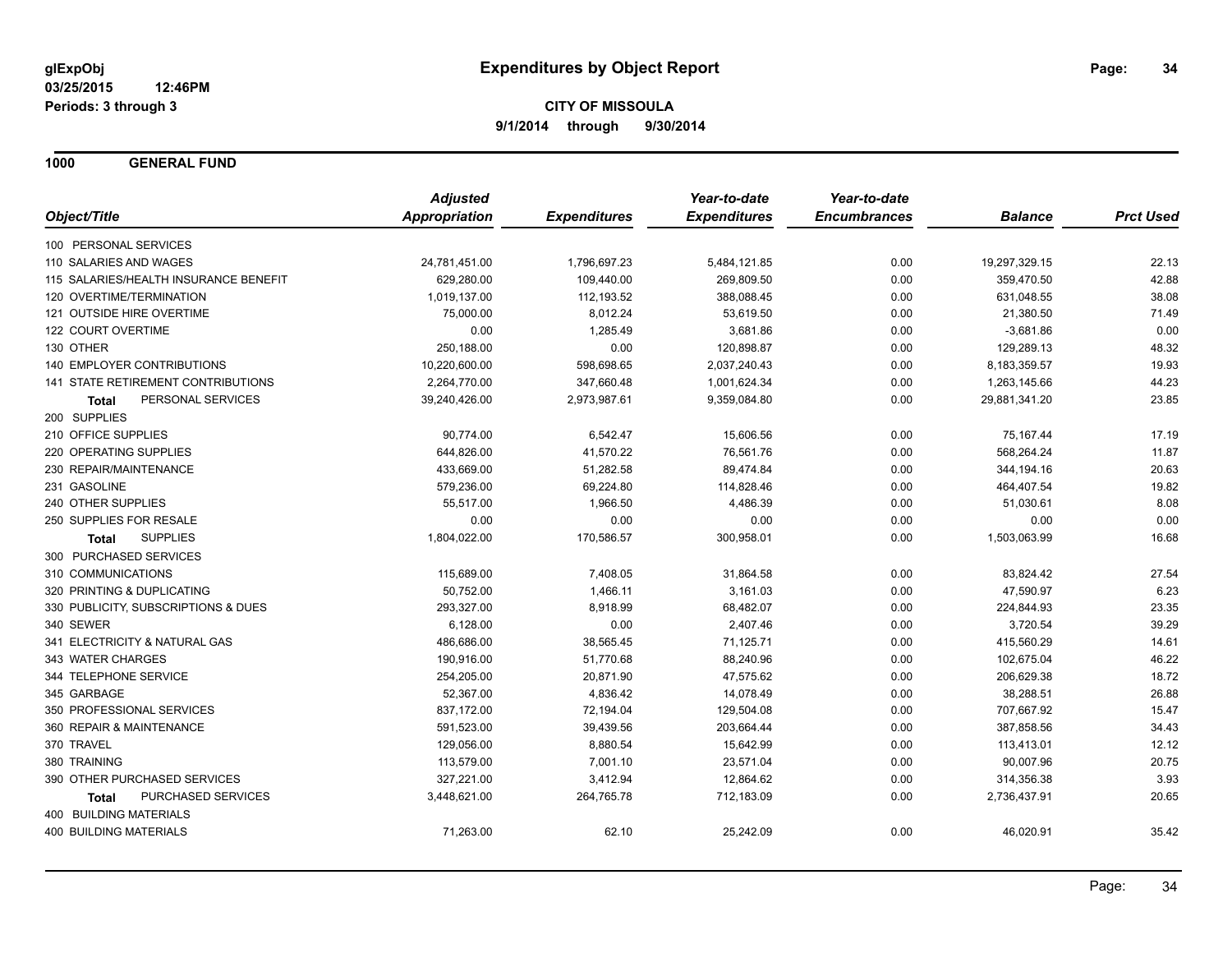**1000 GENERAL FUND**

|                                       | <b>Adjusted</b>      |                     | Year-to-date        | Year-to-date        |                |                  |
|---------------------------------------|----------------------|---------------------|---------------------|---------------------|----------------|------------------|
| Object/Title                          | <b>Appropriation</b> | <b>Expenditures</b> | <b>Expenditures</b> | <b>Encumbrances</b> | <b>Balance</b> | <b>Prct Used</b> |
| 100 PERSONAL SERVICES                 |                      |                     |                     |                     |                |                  |
| 110 SALARIES AND WAGES                | 24,781,451.00        | 1,796,697.23        | 5,484,121.85        | 0.00                | 19,297,329.15  | 22.13            |
| 115 SALARIES/HEALTH INSURANCE BENEFIT | 629,280.00           | 109,440.00          | 269,809.50          | 0.00                | 359,470.50     | 42.88            |
| 120 OVERTIME/TERMINATION              | 1,019,137.00         | 112,193.52          | 388,088.45          | 0.00                | 631,048.55     | 38.08            |
| 121 OUTSIDE HIRE OVERTIME             | 75,000.00            | 8,012.24            | 53,619.50           | 0.00                | 21,380.50      | 71.49            |
| 122 COURT OVERTIME                    | 0.00                 | 1,285.49            | 3,681.86            | 0.00                | $-3,681.86$    | 0.00             |
| 130 OTHER                             | 250,188.00           | 0.00                | 120,898.87          | 0.00                | 129,289.13     | 48.32            |
| <b>140 EMPLOYER CONTRIBUTIONS</b>     | 10,220,600.00        | 598,698.65          | 2,037,240.43        | 0.00                | 8,183,359.57   | 19.93            |
| 141 STATE RETIREMENT CONTRIBUTIONS    | 2,264,770.00         | 347,660.48          | 1,001,624.34        | 0.00                | 1,263,145.66   | 44.23            |
| PERSONAL SERVICES<br><b>Total</b>     | 39,240,426.00        | 2,973,987.61        | 9,359,084.80        | 0.00                | 29,881,341.20  | 23.85            |
| 200 SUPPLIES                          |                      |                     |                     |                     |                |                  |
| 210 OFFICE SUPPLIES                   | 90,774.00            | 6,542.47            | 15,606.56           | 0.00                | 75,167.44      | 17.19            |
| 220 OPERATING SUPPLIES                | 644,826.00           | 41,570.22           | 76,561.76           | 0.00                | 568,264.24     | 11.87            |
| 230 REPAIR/MAINTENANCE                | 433,669.00           | 51,282.58           | 89,474.84           | 0.00                | 344,194.16     | 20.63            |
| 231 GASOLINE                          | 579,236.00           | 69,224.80           | 114,828.46          | 0.00                | 464,407.54     | 19.82            |
| 240 OTHER SUPPLIES                    | 55,517.00            | 1,966.50            | 4,486.39            | 0.00                | 51,030.61      | 8.08             |
| 250 SUPPLIES FOR RESALE               | 0.00                 | 0.00                | 0.00                | 0.00                | 0.00           | 0.00             |
| <b>SUPPLIES</b><br>Total              | 1,804,022.00         | 170,586.57          | 300,958.01          | 0.00                | 1,503,063.99   | 16.68            |
| 300 PURCHASED SERVICES                |                      |                     |                     |                     |                |                  |
| 310 COMMUNICATIONS                    | 115,689.00           | 7,408.05            | 31,864.58           | 0.00                | 83,824.42      | 27.54            |
| 320 PRINTING & DUPLICATING            | 50,752.00            | 1,466.11            | 3,161.03            | 0.00                | 47,590.97      | 6.23             |
| 330 PUBLICITY, SUBSCRIPTIONS & DUES   | 293,327.00           | 8,918.99            | 68,482.07           | 0.00                | 224,844.93     | 23.35            |
| 340 SEWER                             | 6,128.00             | 0.00                | 2,407.46            | 0.00                | 3,720.54       | 39.29            |
| 341 ELECTRICITY & NATURAL GAS         | 486,686.00           | 38,565.45           | 71,125.71           | 0.00                | 415,560.29     | 14.61            |
| 343 WATER CHARGES                     | 190,916.00           | 51,770.68           | 88,240.96           | 0.00                | 102,675.04     | 46.22            |
| 344 TELEPHONE SERVICE                 | 254,205.00           | 20,871.90           | 47,575.62           | 0.00                | 206,629.38     | 18.72            |
| 345 GARBAGE                           | 52,367.00            | 4,836.42            | 14,078.49           | 0.00                | 38,288.51      | 26.88            |
| 350 PROFESSIONAL SERVICES             | 837,172.00           | 72,194.04           | 129,504.08          | 0.00                | 707,667.92     | 15.47            |
| 360 REPAIR & MAINTENANCE              | 591,523.00           | 39,439.56           | 203,664.44          | 0.00                | 387,858.56     | 34.43            |
| 370 TRAVEL                            | 129,056.00           | 8,880.54            | 15,642.99           | 0.00                | 113,413.01     | 12.12            |
| 380 TRAINING                          | 113,579.00           | 7,001.10            | 23,571.04           | 0.00                | 90,007.96      | 20.75            |
| 390 OTHER PURCHASED SERVICES          | 327,221.00           | 3,412.94            | 12,864.62           | 0.00                | 314,356.38     | 3.93             |
| PURCHASED SERVICES<br><b>Total</b>    | 3,448,621.00         | 264,765.78          | 712,183.09          | 0.00                | 2,736,437.91   | 20.65            |
| 400 BUILDING MATERIALS                |                      |                     |                     |                     |                |                  |
| <b>400 BUILDING MATERIALS</b>         | 71,263.00            | 62.10               | 25,242.09           | 0.00                | 46,020.91      | 35.42            |
|                                       |                      |                     |                     |                     |                |                  |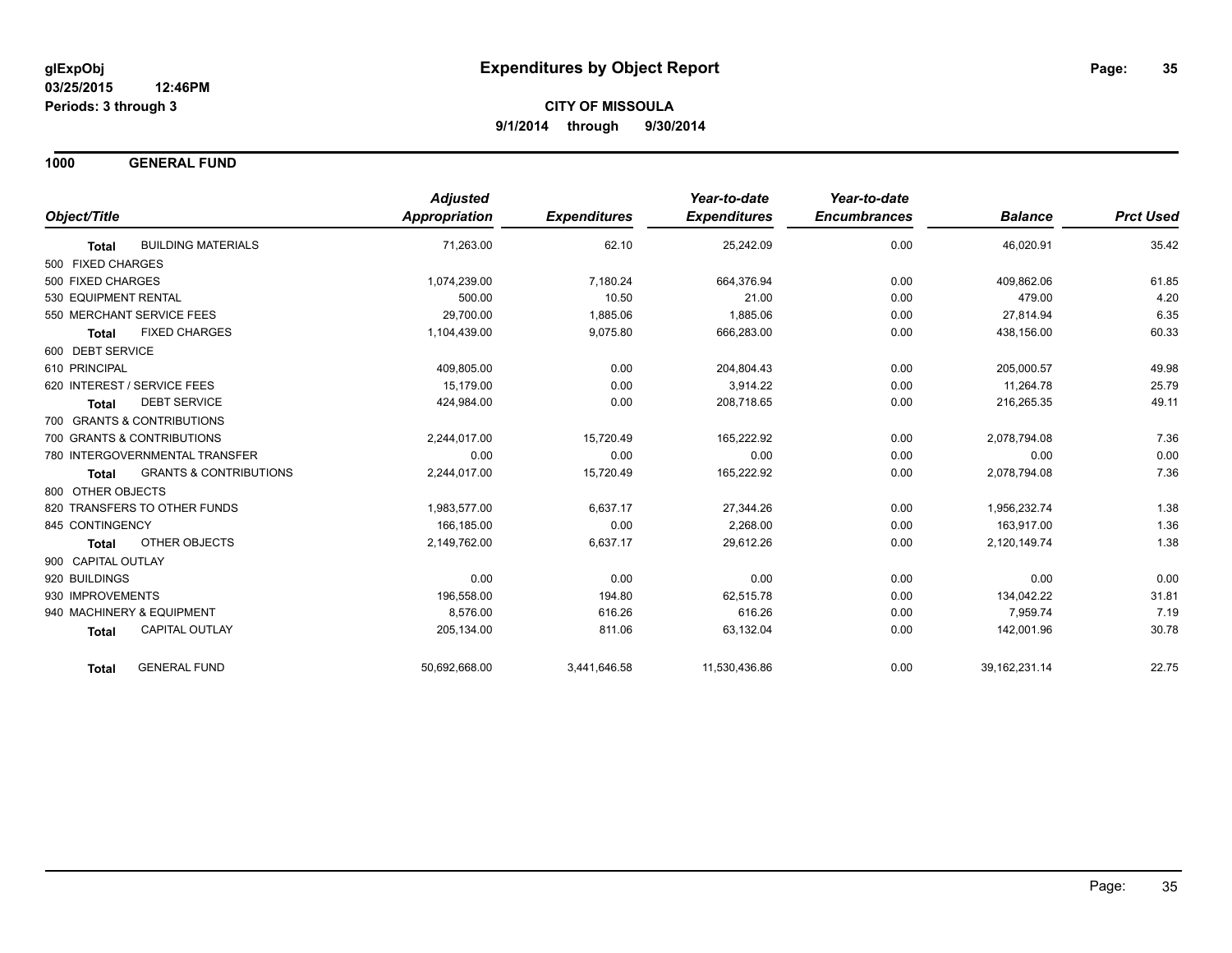**1000 GENERAL FUND**

|                                                   | <b>Adjusted</b>      |                     | Year-to-date        | Year-to-date        |                  |                  |
|---------------------------------------------------|----------------------|---------------------|---------------------|---------------------|------------------|------------------|
| Object/Title                                      | <b>Appropriation</b> | <b>Expenditures</b> | <b>Expenditures</b> | <b>Encumbrances</b> | <b>Balance</b>   | <b>Prct Used</b> |
| <b>BUILDING MATERIALS</b><br><b>Total</b>         | 71,263.00            | 62.10               | 25,242.09           | 0.00                | 46,020.91        | 35.42            |
| 500 FIXED CHARGES                                 |                      |                     |                     |                     |                  |                  |
| 500 FIXED CHARGES                                 | 1,074,239.00         | 7,180.24            | 664,376.94          | 0.00                | 409,862.06       | 61.85            |
| 530 EQUIPMENT RENTAL                              | 500.00               | 10.50               | 21.00               | 0.00                | 479.00           | 4.20             |
| 550 MERCHANT SERVICE FEES                         | 29,700.00            | 1,885.06            | 1,885.06            | 0.00                | 27.814.94        | 6.35             |
| <b>FIXED CHARGES</b><br><b>Total</b>              | 1,104,439.00         | 9,075.80            | 666,283.00          | 0.00                | 438,156.00       | 60.33            |
| 600 DEBT SERVICE                                  |                      |                     |                     |                     |                  |                  |
| 610 PRINCIPAL                                     | 409,805.00           | 0.00                | 204.804.43          | 0.00                | 205,000.57       | 49.98            |
| 620 INTEREST / SERVICE FEES                       | 15.179.00            | 0.00                | 3,914.22            | 0.00                | 11,264.78        | 25.79            |
| <b>DEBT SERVICE</b><br><b>Total</b>               | 424,984.00           | 0.00                | 208,718.65          | 0.00                | 216,265.35       | 49.11            |
| 700 GRANTS & CONTRIBUTIONS                        |                      |                     |                     |                     |                  |                  |
| 700 GRANTS & CONTRIBUTIONS                        | 2,244,017.00         | 15,720.49           | 165,222.92          | 0.00                | 2,078,794.08     | 7.36             |
| 780 INTERGOVERNMENTAL TRANSFER                    | 0.00                 | 0.00                | 0.00                | 0.00                | 0.00             | 0.00             |
| <b>GRANTS &amp; CONTRIBUTIONS</b><br><b>Total</b> | 2,244,017.00         | 15,720.49           | 165,222.92          | 0.00                | 2,078,794.08     | 7.36             |
| 800 OTHER OBJECTS                                 |                      |                     |                     |                     |                  |                  |
| 820 TRANSFERS TO OTHER FUNDS                      | 1,983,577.00         | 6.637.17            | 27,344.26           | 0.00                | 1,956,232.74     | 1.38             |
| 845 CONTINGENCY                                   | 166.185.00           | 0.00                | 2,268.00            | 0.00                | 163.917.00       | 1.36             |
| OTHER OBJECTS<br><b>Total</b>                     | 2,149,762.00         | 6,637.17            | 29,612.26           | 0.00                | 2,120,149.74     | 1.38             |
| 900 CAPITAL OUTLAY                                |                      |                     |                     |                     |                  |                  |
| 920 BUILDINGS                                     | 0.00                 | 0.00                | 0.00                | 0.00                | 0.00             | 0.00             |
| 930 IMPROVEMENTS                                  | 196,558.00           | 194.80              | 62,515.78           | 0.00                | 134,042.22       | 31.81            |
| 940 MACHINERY & EQUIPMENT                         | 8.576.00             | 616.26              | 616.26              | 0.00                | 7.959.74         | 7.19             |
| <b>CAPITAL OUTLAY</b><br><b>Total</b>             | 205,134.00           | 811.06              | 63,132.04           | 0.00                | 142,001.96       | 30.78            |
| <b>GENERAL FUND</b><br><b>Total</b>               | 50,692,668.00        | 3,441,646.58        | 11,530,436.86       | 0.00                | 39, 162, 231. 14 | 22.75            |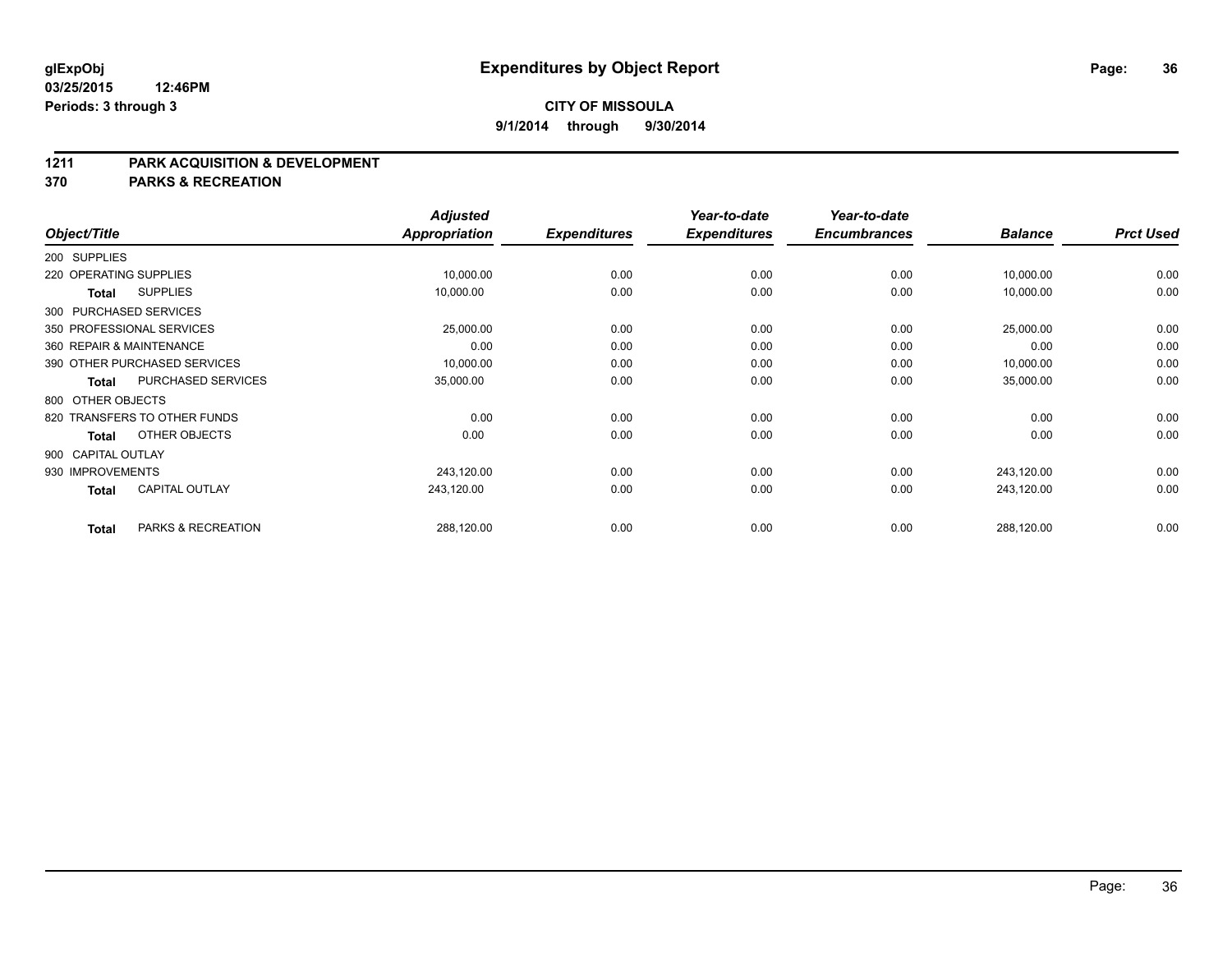#### **1211 PARK ACQUISITION & DEVELOPMENT**

**370 PARKS & RECREATION**

|                    |              |                              | <b>Adjusted</b>      |                     | Year-to-date        | Year-to-date        |                | <b>Prct Used</b> |
|--------------------|--------------|------------------------------|----------------------|---------------------|---------------------|---------------------|----------------|------------------|
| Object/Title       |              |                              | <b>Appropriation</b> | <b>Expenditures</b> | <b>Expenditures</b> | <b>Encumbrances</b> | <b>Balance</b> |                  |
| 200 SUPPLIES       |              |                              |                      |                     |                     |                     |                |                  |
|                    |              | 220 OPERATING SUPPLIES       | 10,000.00            | 0.00                | 0.00                | 0.00                | 10,000.00      | 0.00             |
|                    | <b>Total</b> | <b>SUPPLIES</b>              | 10,000.00            | 0.00                | 0.00                | 0.00                | 10,000.00      | 0.00             |
|                    |              | 300 PURCHASED SERVICES       |                      |                     |                     |                     |                |                  |
|                    |              | 350 PROFESSIONAL SERVICES    | 25,000.00            | 0.00                | 0.00                | 0.00                | 25,000.00      | 0.00             |
|                    |              | 360 REPAIR & MAINTENANCE     | 0.00                 | 0.00                | 0.00                | 0.00                | 0.00           | 0.00             |
|                    |              | 390 OTHER PURCHASED SERVICES | 10,000.00            | 0.00                | 0.00                | 0.00                | 10,000.00      | 0.00             |
|                    | Total        | PURCHASED SERVICES           | 35,000.00            | 0.00                | 0.00                | 0.00                | 35,000.00      | 0.00             |
| 800 OTHER OBJECTS  |              |                              |                      |                     |                     |                     |                |                  |
|                    |              | 820 TRANSFERS TO OTHER FUNDS | 0.00                 | 0.00                | 0.00                | 0.00                | 0.00           | 0.00             |
|                    | <b>Total</b> | OTHER OBJECTS                | 0.00                 | 0.00                | 0.00                | 0.00                | 0.00           | 0.00             |
| 900 CAPITAL OUTLAY |              |                              |                      |                     |                     |                     |                |                  |
| 930 IMPROVEMENTS   |              |                              | 243,120.00           | 0.00                | 0.00                | 0.00                | 243,120.00     | 0.00             |
|                    | <b>Total</b> | <b>CAPITAL OUTLAY</b>        | 243,120.00           | 0.00                | 0.00                | 0.00                | 243,120.00     | 0.00             |
|                    | <b>Total</b> | PARKS & RECREATION           | 288,120.00           | 0.00                | 0.00                | 0.00                | 288,120.00     | 0.00             |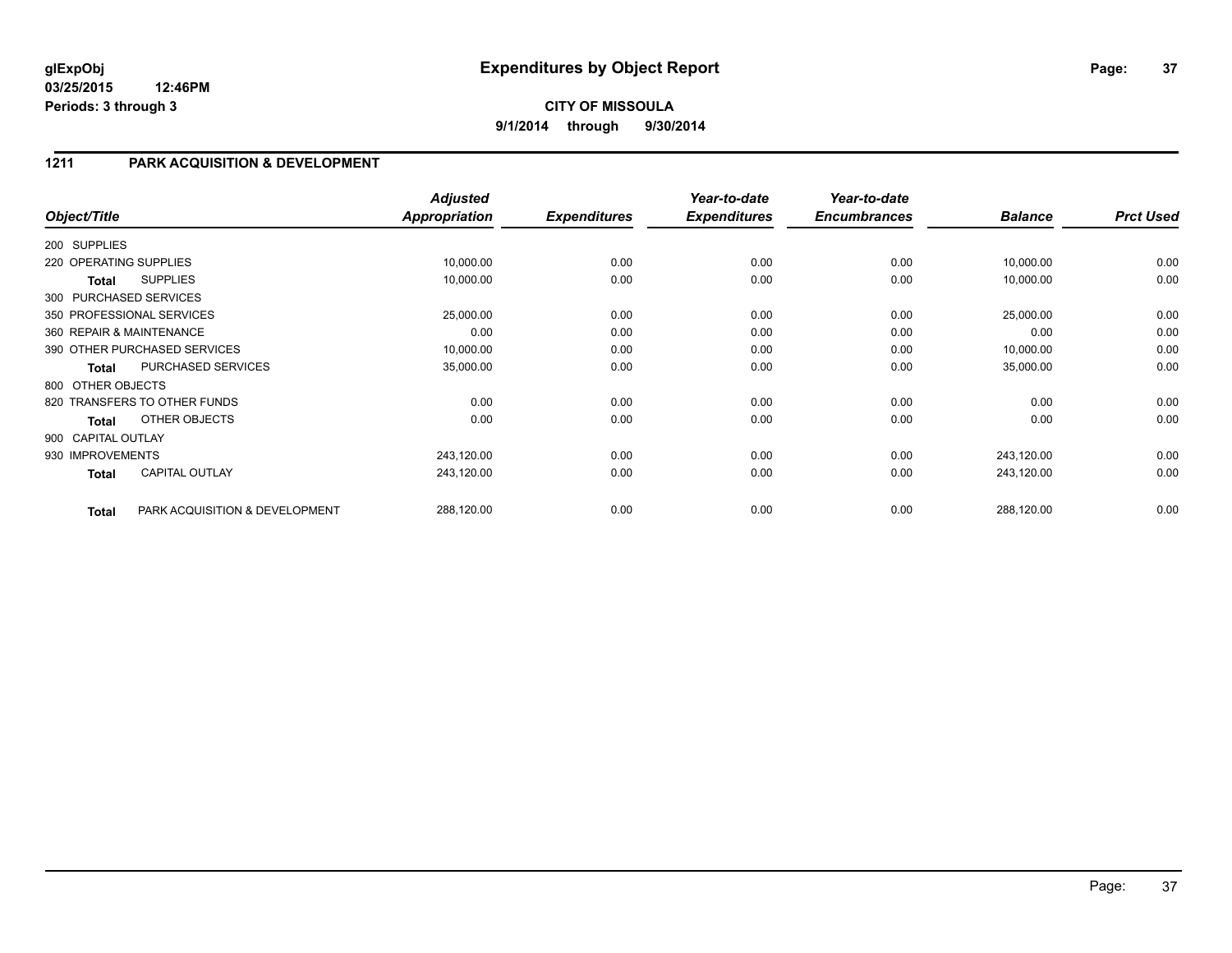## **1211 PARK ACQUISITION & DEVELOPMENT**

| Object/Title           |                                | <b>Adjusted</b><br><b>Appropriation</b> | <b>Expenditures</b> | Year-to-date<br><b>Expenditures</b> | Year-to-date<br><b>Encumbrances</b> | <b>Balance</b> | <b>Prct Used</b> |
|------------------------|--------------------------------|-----------------------------------------|---------------------|-------------------------------------|-------------------------------------|----------------|------------------|
|                        |                                |                                         |                     |                                     |                                     |                |                  |
| 200 SUPPLIES           |                                |                                         |                     |                                     |                                     |                |                  |
| 220 OPERATING SUPPLIES |                                | 10,000.00                               | 0.00                | 0.00                                | 0.00                                | 10,000.00      | 0.00             |
| Total                  | <b>SUPPLIES</b>                | 10,000.00                               | 0.00                | 0.00                                | 0.00                                | 10,000.00      | 0.00             |
| 300 PURCHASED SERVICES |                                |                                         |                     |                                     |                                     |                |                  |
|                        | 350 PROFESSIONAL SERVICES      | 25,000.00                               | 0.00                | 0.00                                | 0.00                                | 25,000.00      | 0.00             |
|                        | 360 REPAIR & MAINTENANCE       | 0.00                                    | 0.00                | 0.00                                | 0.00                                | 0.00           | 0.00             |
|                        | 390 OTHER PURCHASED SERVICES   | 10,000.00                               | 0.00                | 0.00                                | 0.00                                | 10,000.00      | 0.00             |
| <b>Total</b>           | PURCHASED SERVICES             | 35,000.00                               | 0.00                | 0.00                                | 0.00                                | 35,000.00      | 0.00             |
| 800 OTHER OBJECTS      |                                |                                         |                     |                                     |                                     |                |                  |
|                        | 820 TRANSFERS TO OTHER FUNDS   | 0.00                                    | 0.00                | 0.00                                | 0.00                                | 0.00           | 0.00             |
| <b>Total</b>           | OTHER OBJECTS                  | 0.00                                    | 0.00                | 0.00                                | 0.00                                | 0.00           | 0.00             |
| 900 CAPITAL OUTLAY     |                                |                                         |                     |                                     |                                     |                |                  |
| 930 IMPROVEMENTS       |                                | 243,120.00                              | 0.00                | 0.00                                | 0.00                                | 243,120.00     | 0.00             |
| <b>Total</b>           | <b>CAPITAL OUTLAY</b>          | 243,120.00                              | 0.00                | 0.00                                | 0.00                                | 243,120.00     | 0.00             |
| <b>Total</b>           | PARK ACQUISITION & DEVELOPMENT | 288,120.00                              | 0.00                | 0.00                                | 0.00                                | 288,120.00     | 0.00             |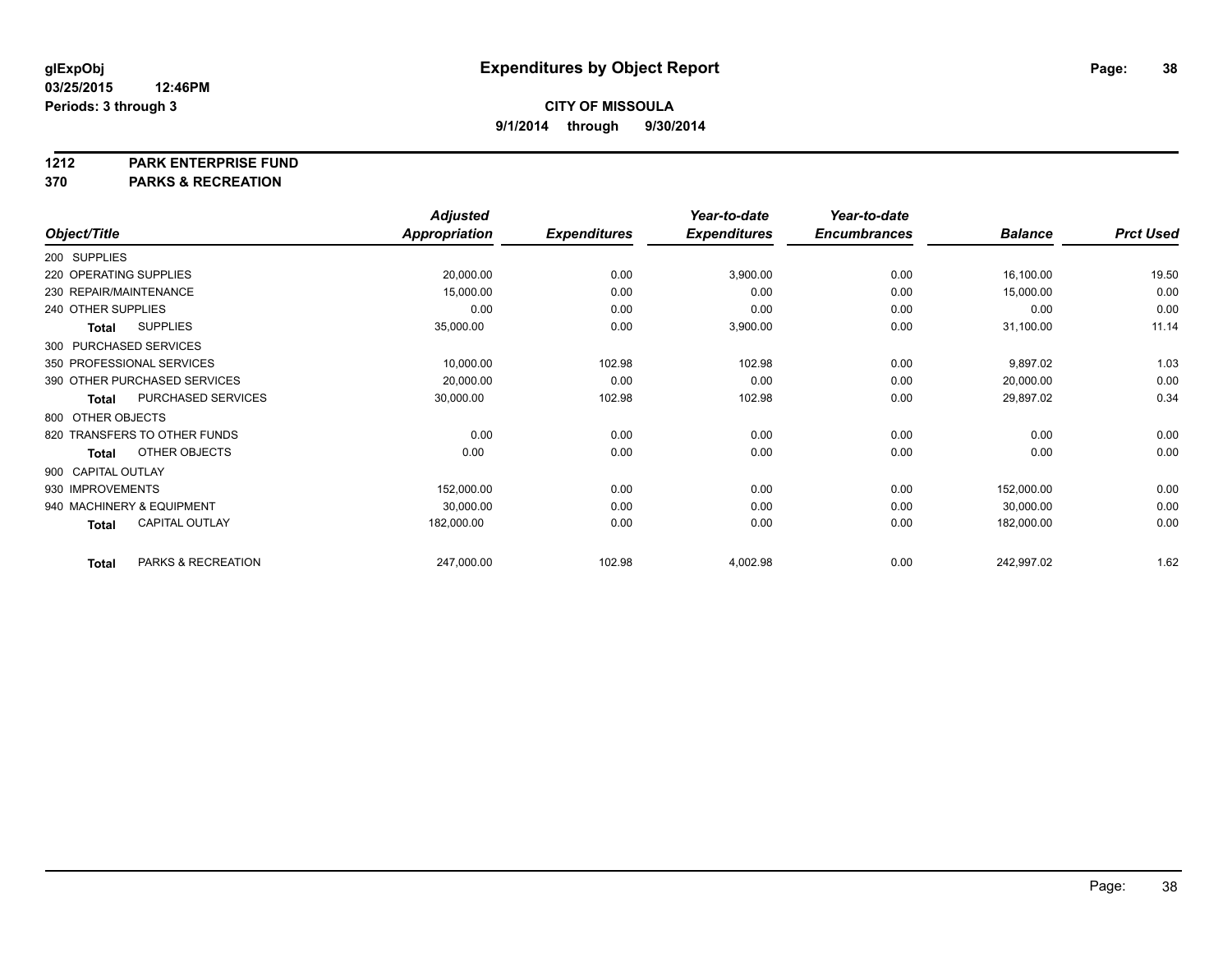#### **1212 PARK ENTERPRISE FUND**

**370 PARKS & RECREATION**

|                        |                              | <b>Adjusted</b> |                     | Year-to-date        | Year-to-date        |                |                  |
|------------------------|------------------------------|-----------------|---------------------|---------------------|---------------------|----------------|------------------|
| Object/Title           |                              | Appropriation   | <b>Expenditures</b> | <b>Expenditures</b> | <b>Encumbrances</b> | <b>Balance</b> | <b>Prct Used</b> |
| 200 SUPPLIES           |                              |                 |                     |                     |                     |                |                  |
| 220 OPERATING SUPPLIES |                              | 20,000.00       | 0.00                | 3,900.00            | 0.00                | 16,100.00      | 19.50            |
|                        | 230 REPAIR/MAINTENANCE       | 15,000.00       | 0.00                | 0.00                | 0.00                | 15,000.00      | 0.00             |
| 240 OTHER SUPPLIES     |                              | 0.00            | 0.00                | 0.00                | 0.00                | 0.00           | 0.00             |
| <b>Total</b>           | <b>SUPPLIES</b>              | 35,000.00       | 0.00                | 3,900.00            | 0.00                | 31,100.00      | 11.14            |
|                        | 300 PURCHASED SERVICES       |                 |                     |                     |                     |                |                  |
|                        | 350 PROFESSIONAL SERVICES    | 10,000.00       | 102.98              | 102.98              | 0.00                | 9,897.02       | 1.03             |
|                        | 390 OTHER PURCHASED SERVICES | 20,000.00       | 0.00                | 0.00                | 0.00                | 20,000.00      | 0.00             |
| <b>Total</b>           | PURCHASED SERVICES           | 30,000.00       | 102.98              | 102.98              | 0.00                | 29,897.02      | 0.34             |
| 800 OTHER OBJECTS      |                              |                 |                     |                     |                     |                |                  |
|                        | 820 TRANSFERS TO OTHER FUNDS | 0.00            | 0.00                | 0.00                | 0.00                | 0.00           | 0.00             |
| <b>Total</b>           | OTHER OBJECTS                | 0.00            | 0.00                | 0.00                | 0.00                | 0.00           | 0.00             |
| 900 CAPITAL OUTLAY     |                              |                 |                     |                     |                     |                |                  |
| 930 IMPROVEMENTS       |                              | 152,000.00      | 0.00                | 0.00                | 0.00                | 152,000.00     | 0.00             |
|                        | 940 MACHINERY & EQUIPMENT    | 30,000.00       | 0.00                | 0.00                | 0.00                | 30,000.00      | 0.00             |
| <b>Total</b>           | <b>CAPITAL OUTLAY</b>        | 182,000.00      | 0.00                | 0.00                | 0.00                | 182,000.00     | 0.00             |
| <b>Total</b>           | PARKS & RECREATION           | 247,000.00      | 102.98              | 4,002.98            | 0.00                | 242,997.02     | 1.62             |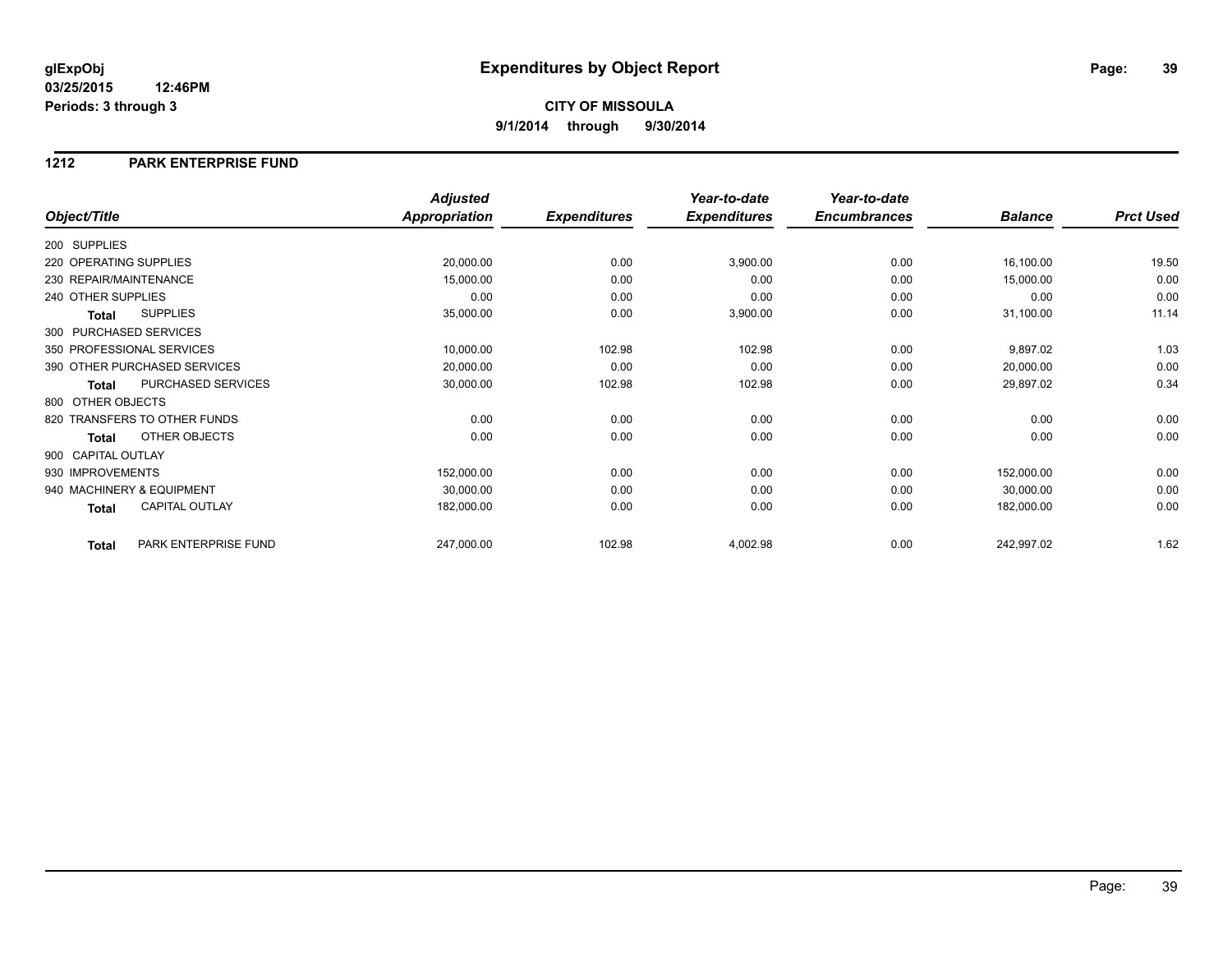## **1212 PARK ENTERPRISE FUND**

|                        |                              | <b>Adjusted</b>      |                     | Year-to-date        | Year-to-date        |                |                  |
|------------------------|------------------------------|----------------------|---------------------|---------------------|---------------------|----------------|------------------|
| Object/Title           |                              | <b>Appropriation</b> | <b>Expenditures</b> | <b>Expenditures</b> | <b>Encumbrances</b> | <b>Balance</b> | <b>Prct Used</b> |
| 200 SUPPLIES           |                              |                      |                     |                     |                     |                |                  |
| 220 OPERATING SUPPLIES |                              | 20,000.00            | 0.00                | 3,900.00            | 0.00                | 16,100.00      | 19.50            |
| 230 REPAIR/MAINTENANCE |                              | 15,000.00            | 0.00                | 0.00                | 0.00                | 15,000.00      | 0.00             |
| 240 OTHER SUPPLIES     |                              | 0.00                 | 0.00                | 0.00                | 0.00                | 0.00           | 0.00             |
| Total                  | <b>SUPPLIES</b>              | 35,000.00            | 0.00                | 3,900.00            | 0.00                | 31,100.00      | 11.14            |
| 300 PURCHASED SERVICES |                              |                      |                     |                     |                     |                |                  |
|                        | 350 PROFESSIONAL SERVICES    | 10,000.00            | 102.98              | 102.98              | 0.00                | 9,897.02       | 1.03             |
|                        | 390 OTHER PURCHASED SERVICES | 20,000.00            | 0.00                | 0.00                | 0.00                | 20,000.00      | 0.00             |
| <b>Total</b>           | PURCHASED SERVICES           | 30,000.00            | 102.98              | 102.98              | 0.00                | 29,897.02      | 0.34             |
| 800 OTHER OBJECTS      |                              |                      |                     |                     |                     |                |                  |
|                        | 820 TRANSFERS TO OTHER FUNDS | 0.00                 | 0.00                | 0.00                | 0.00                | 0.00           | 0.00             |
| Total                  | OTHER OBJECTS                | 0.00                 | 0.00                | 0.00                | 0.00                | 0.00           | 0.00             |
| 900 CAPITAL OUTLAY     |                              |                      |                     |                     |                     |                |                  |
| 930 IMPROVEMENTS       |                              | 152,000.00           | 0.00                | 0.00                | 0.00                | 152,000.00     | 0.00             |
|                        | 940 MACHINERY & EQUIPMENT    | 30,000.00            | 0.00                | 0.00                | 0.00                | 30,000.00      | 0.00             |
| Total                  | <b>CAPITAL OUTLAY</b>        | 182,000.00           | 0.00                | 0.00                | 0.00                | 182,000.00     | 0.00             |
| <b>Total</b>           | PARK ENTERPRISE FUND         | 247,000.00           | 102.98              | 4,002.98            | 0.00                | 242,997.02     | 1.62             |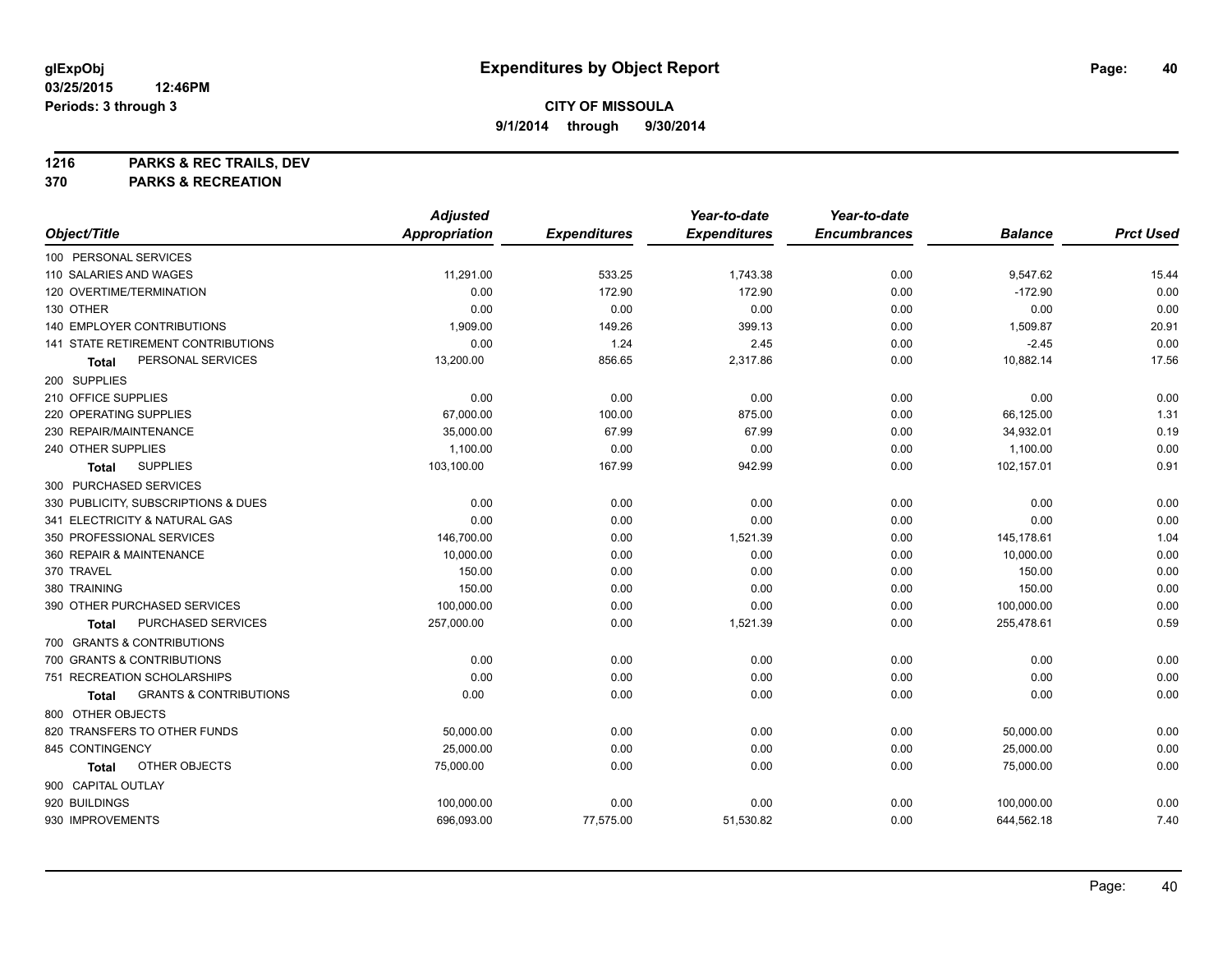**1216 PARKS & REC TRAILS, DEV**

**370 PARKS & RECREATION**

|                                            | <b>Adjusted</b>      |                     | Year-to-date        | Year-to-date        |                |                  |
|--------------------------------------------|----------------------|---------------------|---------------------|---------------------|----------------|------------------|
| Object/Title                               | <b>Appropriation</b> | <b>Expenditures</b> | <b>Expenditures</b> | <b>Encumbrances</b> | <b>Balance</b> | <b>Prct Used</b> |
| 100 PERSONAL SERVICES                      |                      |                     |                     |                     |                |                  |
| 110 SALARIES AND WAGES                     | 11,291.00            | 533.25              | 1,743.38            | 0.00                | 9,547.62       | 15.44            |
| 120 OVERTIME/TERMINATION                   | 0.00                 | 172.90              | 172.90              | 0.00                | $-172.90$      | 0.00             |
| 130 OTHER                                  | 0.00                 | 0.00                | 0.00                | 0.00                | 0.00           | 0.00             |
| 140 EMPLOYER CONTRIBUTIONS                 | 1,909.00             | 149.26              | 399.13              | 0.00                | 1,509.87       | 20.91            |
| 141 STATE RETIREMENT CONTRIBUTIONS         | 0.00                 | 1.24                | 2.45                | 0.00                | $-2.45$        | 0.00             |
| PERSONAL SERVICES<br>Total                 | 13,200.00            | 856.65              | 2,317.86            | 0.00                | 10,882.14      | 17.56            |
| 200 SUPPLIES                               |                      |                     |                     |                     |                |                  |
| 210 OFFICE SUPPLIES                        | 0.00                 | 0.00                | 0.00                | 0.00                | 0.00           | 0.00             |
| 220 OPERATING SUPPLIES                     | 67,000.00            | 100.00              | 875.00              | 0.00                | 66,125.00      | 1.31             |
| 230 REPAIR/MAINTENANCE                     | 35,000.00            | 67.99               | 67.99               | 0.00                | 34,932.01      | 0.19             |
| 240 OTHER SUPPLIES                         | 1,100.00             | 0.00                | 0.00                | 0.00                | 1,100.00       | 0.00             |
| <b>SUPPLIES</b><br>Total                   | 103,100.00           | 167.99              | 942.99              | 0.00                | 102,157.01     | 0.91             |
| 300 PURCHASED SERVICES                     |                      |                     |                     |                     |                |                  |
| 330 PUBLICITY, SUBSCRIPTIONS & DUES        | 0.00                 | 0.00                | 0.00                | 0.00                | 0.00           | 0.00             |
| 341 ELECTRICITY & NATURAL GAS              | 0.00                 | 0.00                | 0.00                | 0.00                | 0.00           | 0.00             |
| 350 PROFESSIONAL SERVICES                  | 146,700.00           | 0.00                | 1,521.39            | 0.00                | 145,178.61     | 1.04             |
| 360 REPAIR & MAINTENANCE                   | 10,000.00            | 0.00                | 0.00                | 0.00                | 10,000.00      | 0.00             |
| 370 TRAVEL                                 | 150.00               | 0.00                | 0.00                | 0.00                | 150.00         | 0.00             |
| 380 TRAINING                               | 150.00               | 0.00                | 0.00                | 0.00                | 150.00         | 0.00             |
| 390 OTHER PURCHASED SERVICES               | 100,000.00           | 0.00                | 0.00                | 0.00                | 100,000.00     | 0.00             |
| PURCHASED SERVICES<br>Total                | 257,000.00           | 0.00                | 1,521.39            | 0.00                | 255,478.61     | 0.59             |
| 700 GRANTS & CONTRIBUTIONS                 |                      |                     |                     |                     |                |                  |
| 700 GRANTS & CONTRIBUTIONS                 | 0.00                 | 0.00                | 0.00                | 0.00                | 0.00           | 0.00             |
| 751 RECREATION SCHOLARSHIPS                | 0.00                 | 0.00                | 0.00                | 0.00                | 0.00           | 0.00             |
| <b>GRANTS &amp; CONTRIBUTIONS</b><br>Total | 0.00                 | 0.00                | 0.00                | 0.00                | 0.00           | 0.00             |
| 800 OTHER OBJECTS                          |                      |                     |                     |                     |                |                  |
| 820 TRANSFERS TO OTHER FUNDS               | 50,000.00            | 0.00                | 0.00                | 0.00                | 50,000.00      | 0.00             |
| 845 CONTINGENCY                            | 25,000.00            | 0.00                | 0.00                | 0.00                | 25,000.00      | 0.00             |
| OTHER OBJECTS<br>Total                     | 75,000.00            | 0.00                | 0.00                | 0.00                | 75,000.00      | 0.00             |
| 900 CAPITAL OUTLAY                         |                      |                     |                     |                     |                |                  |
| 920 BUILDINGS                              | 100,000.00           | 0.00                | 0.00                | 0.00                | 100,000.00     | 0.00             |
| 930 IMPROVEMENTS                           | 696,093.00           | 77,575.00           | 51,530.82           | 0.00                | 644,562.18     | 7.40             |
|                                            |                      |                     |                     |                     |                |                  |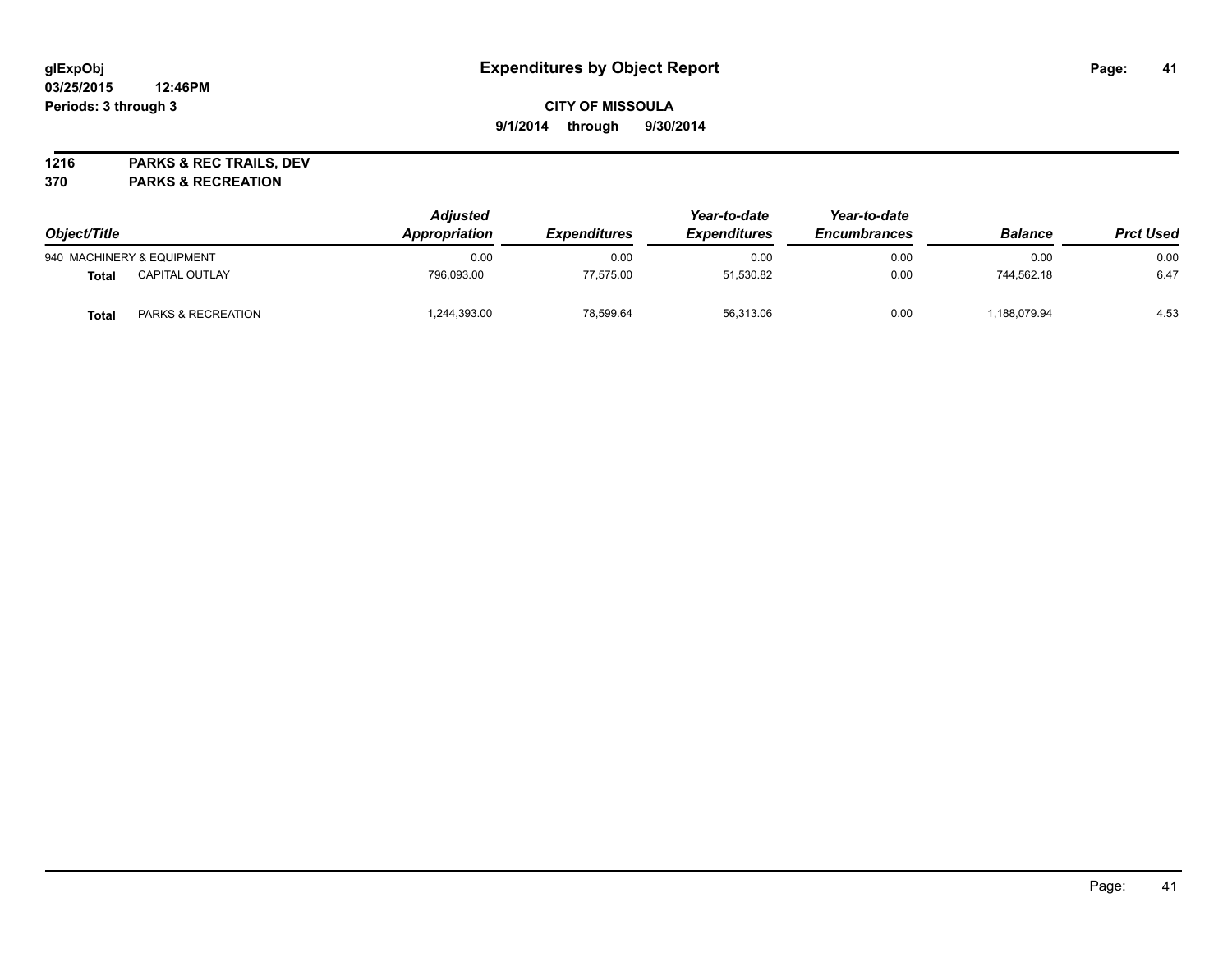## **CITY OF MISSOULA 9/1/2014 through 9/30/2014**

**1216 PARKS & REC TRAILS, DEV**

**370 PARKS & RECREATION**

| Object/Title |                               | <b>Adjusted</b><br>Appropriation | <i><b>Expenditures</b></i> | Year-to-date<br><b>Expenditures</b> | Year-to-date<br><b>Encumbrances</b> | <b>Balance</b> | <b>Prct Used</b> |
|--------------|-------------------------------|----------------------------------|----------------------------|-------------------------------------|-------------------------------------|----------------|------------------|
|              | 940 MACHINERY & EQUIPMENT     | 0.00                             | 0.00                       | 0.00                                | 0.00                                | 0.00           | 0.00             |
| Total        | <b>CAPITAL OUTLAY</b>         | 796.093.00                       | 77.575.00                  | 51.530.82                           | 0.00                                | 744.562.18     | 6.47             |
| Total        | <b>PARKS &amp; RECREATION</b> | ,244,393.00                      | 78.599.64                  | 56,313.06                           | 0.00                                | 188,079.94     | 4.53             |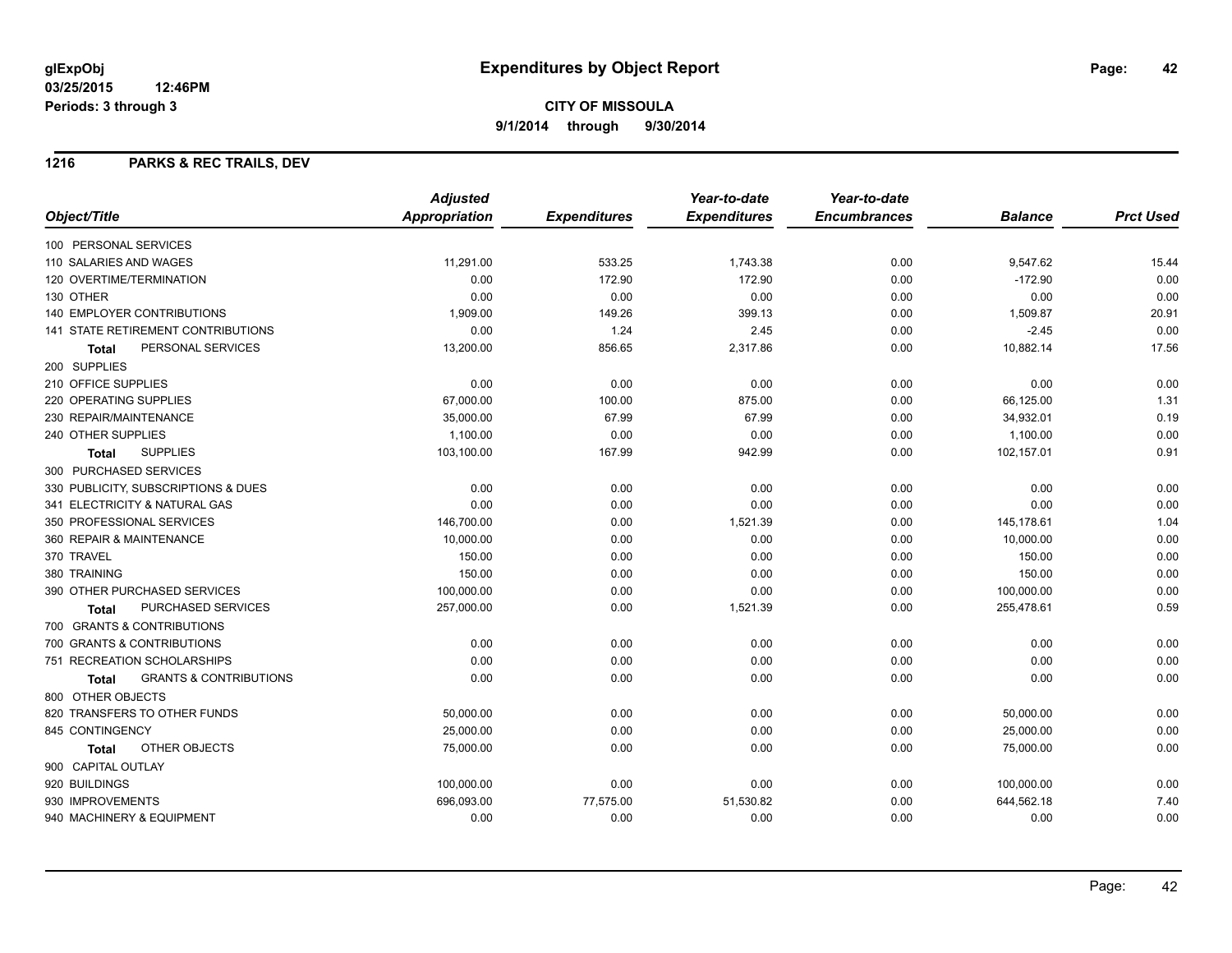**9/1/2014 through 9/30/2014**

## **1216 PARKS & REC TRAILS, DEV**

|                                                   | <b>Adjusted</b> |                     | Year-to-date        | Year-to-date        |                |                  |
|---------------------------------------------------|-----------------|---------------------|---------------------|---------------------|----------------|------------------|
| Object/Title                                      | Appropriation   | <b>Expenditures</b> | <b>Expenditures</b> | <b>Encumbrances</b> | <b>Balance</b> | <b>Prct Used</b> |
| 100 PERSONAL SERVICES                             |                 |                     |                     |                     |                |                  |
| 110 SALARIES AND WAGES                            | 11,291.00       | 533.25              | 1,743.38            | 0.00                | 9,547.62       | 15.44            |
| 120 OVERTIME/TERMINATION                          | 0.00            | 172.90              | 172.90              | 0.00                | $-172.90$      | 0.00             |
| 130 OTHER                                         | 0.00            | 0.00                | 0.00                | 0.00                | 0.00           | 0.00             |
| <b>140 EMPLOYER CONTRIBUTIONS</b>                 | 1,909.00        | 149.26              | 399.13              | 0.00                | 1,509.87       | 20.91            |
| <b>141 STATE RETIREMENT CONTRIBUTIONS</b>         | 0.00            | 1.24                | 2.45                | 0.00                | $-2.45$        | 0.00             |
| PERSONAL SERVICES<br>Total                        | 13,200.00       | 856.65              | 2,317.86            | 0.00                | 10,882.14      | 17.56            |
| 200 SUPPLIES                                      |                 |                     |                     |                     |                |                  |
| 210 OFFICE SUPPLIES                               | 0.00            | 0.00                | 0.00                | 0.00                | 0.00           | 0.00             |
| 220 OPERATING SUPPLIES                            | 67,000.00       | 100.00              | 875.00              | 0.00                | 66,125.00      | 1.31             |
| 230 REPAIR/MAINTENANCE                            | 35,000.00       | 67.99               | 67.99               | 0.00                | 34,932.01      | 0.19             |
| 240 OTHER SUPPLIES                                | 1,100.00        | 0.00                | 0.00                | 0.00                | 1,100.00       | 0.00             |
| <b>SUPPLIES</b><br><b>Total</b>                   | 103,100.00      | 167.99              | 942.99              | 0.00                | 102,157.01     | 0.91             |
| 300 PURCHASED SERVICES                            |                 |                     |                     |                     |                |                  |
| 330 PUBLICITY, SUBSCRIPTIONS & DUES               | 0.00            | 0.00                | 0.00                | 0.00                | 0.00           | 0.00             |
| 341 ELECTRICITY & NATURAL GAS                     | 0.00            | 0.00                | 0.00                | 0.00                | 0.00           | 0.00             |
| 350 PROFESSIONAL SERVICES                         | 146,700.00      | 0.00                | 1,521.39            | 0.00                | 145,178.61     | 1.04             |
| 360 REPAIR & MAINTENANCE                          | 10,000.00       | 0.00                | 0.00                | 0.00                | 10,000.00      | 0.00             |
| 370 TRAVEL                                        | 150.00          | 0.00                | 0.00                | 0.00                | 150.00         | 0.00             |
| 380 TRAINING                                      | 150.00          | 0.00                | 0.00                | 0.00                | 150.00         | 0.00             |
| 390 OTHER PURCHASED SERVICES                      | 100,000.00      | 0.00                | 0.00                | 0.00                | 100,000.00     | 0.00             |
| PURCHASED SERVICES<br>Total                       | 257,000.00      | 0.00                | 1,521.39            | 0.00                | 255,478.61     | 0.59             |
| 700 GRANTS & CONTRIBUTIONS                        |                 |                     |                     |                     |                |                  |
| 700 GRANTS & CONTRIBUTIONS                        | 0.00            | 0.00                | 0.00                | 0.00                | 0.00           | 0.00             |
| 751 RECREATION SCHOLARSHIPS                       | 0.00            | 0.00                | 0.00                | 0.00                | 0.00           | 0.00             |
| <b>GRANTS &amp; CONTRIBUTIONS</b><br><b>Total</b> | 0.00            | 0.00                | 0.00                | 0.00                | 0.00           | 0.00             |
| 800 OTHER OBJECTS                                 |                 |                     |                     |                     |                |                  |
| 820 TRANSFERS TO OTHER FUNDS                      | 50,000.00       | 0.00                | 0.00                | 0.00                | 50,000.00      | 0.00             |
| 845 CONTINGENCY                                   | 25,000.00       | 0.00                | 0.00                | 0.00                | 25,000.00      | 0.00             |
| OTHER OBJECTS<br>Total                            | 75,000.00       | 0.00                | 0.00                | 0.00                | 75,000.00      | 0.00             |
| 900 CAPITAL OUTLAY                                |                 |                     |                     |                     |                |                  |
| 920 BUILDINGS                                     | 100,000.00      | 0.00                | 0.00                | 0.00                | 100,000.00     | 0.00             |
| 930 IMPROVEMENTS                                  | 696,093.00      | 77,575.00           | 51,530.82           | 0.00                | 644,562.18     | 7.40             |
| 940 MACHINERY & EQUIPMENT                         | 0.00            | 0.00                | 0.00                | 0.00                | 0.00           | 0.00             |
|                                                   |                 |                     |                     |                     |                |                  |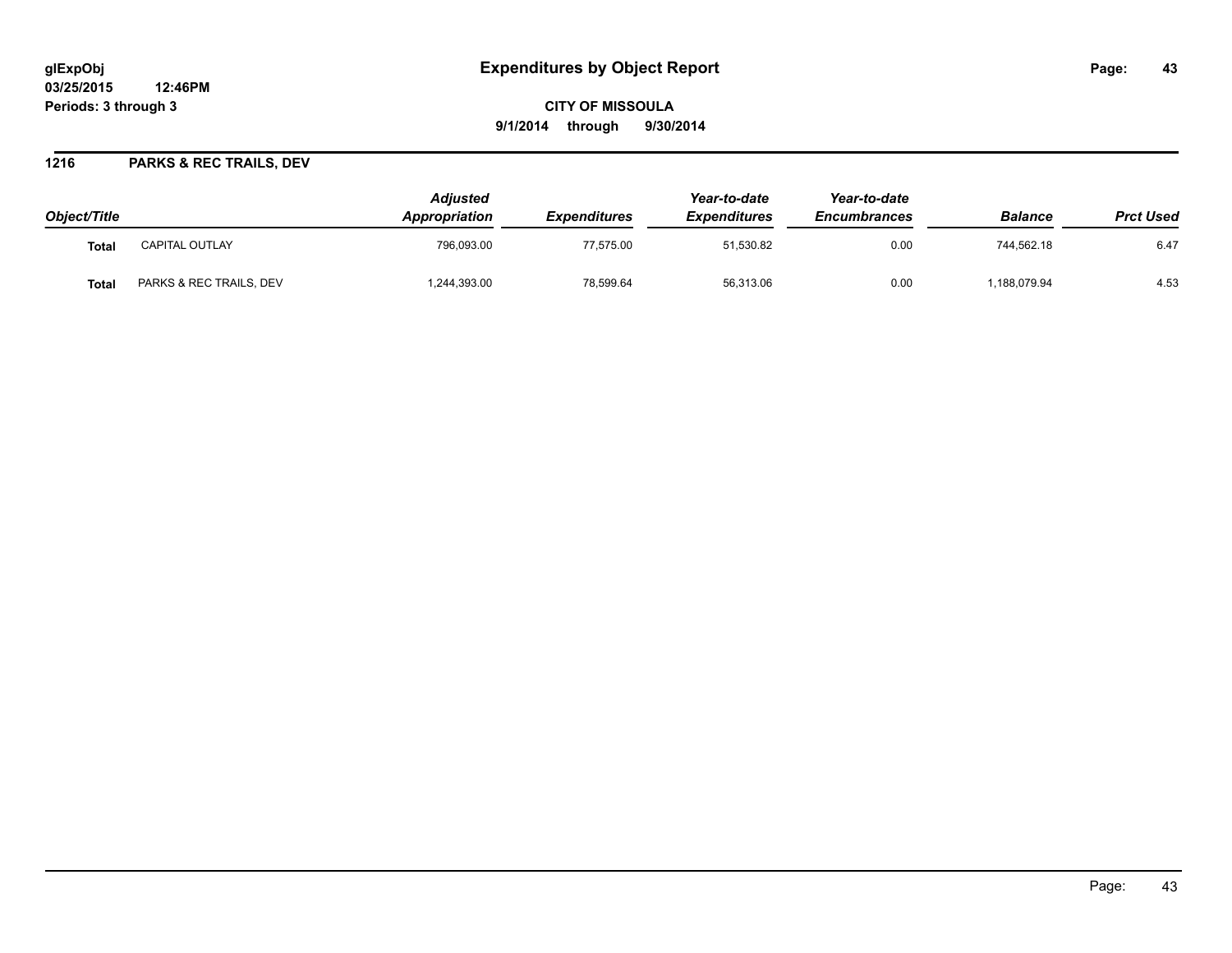# **glExpObj Expenditures by Object Report Page: 43**

**03/25/2015 12:46PM Periods: 3 through 3**

**CITY OF MISSOULA 9/1/2014 through 9/30/2014**

## **1216 PARKS & REC TRAILS, DEV**

| Object/Title      |                         | <b>Adjusted</b><br><b>Appropriation</b> | <i><b>Expenditures</b></i> | Year-to-date<br><b>Expenditures</b> | Year-to-date<br><b>Encumbrances</b> | <b>Balance</b> | <b>Prct Used</b> |
|-------------------|-------------------------|-----------------------------------------|----------------------------|-------------------------------------|-------------------------------------|----------------|------------------|
| Tota <sub>l</sub> | <b>CAPITAL OUTLAY</b>   | 796.093.00                              | 77.575.00                  | 51,530.82                           | 0.00                                | 744.562.18     | 6.47             |
| Tota.             | PARKS & REC TRAILS, DEV | ,244,393.00                             | 78,599.64                  | 56,313.06                           | 0.00                                | 188,079.94     | 4.53             |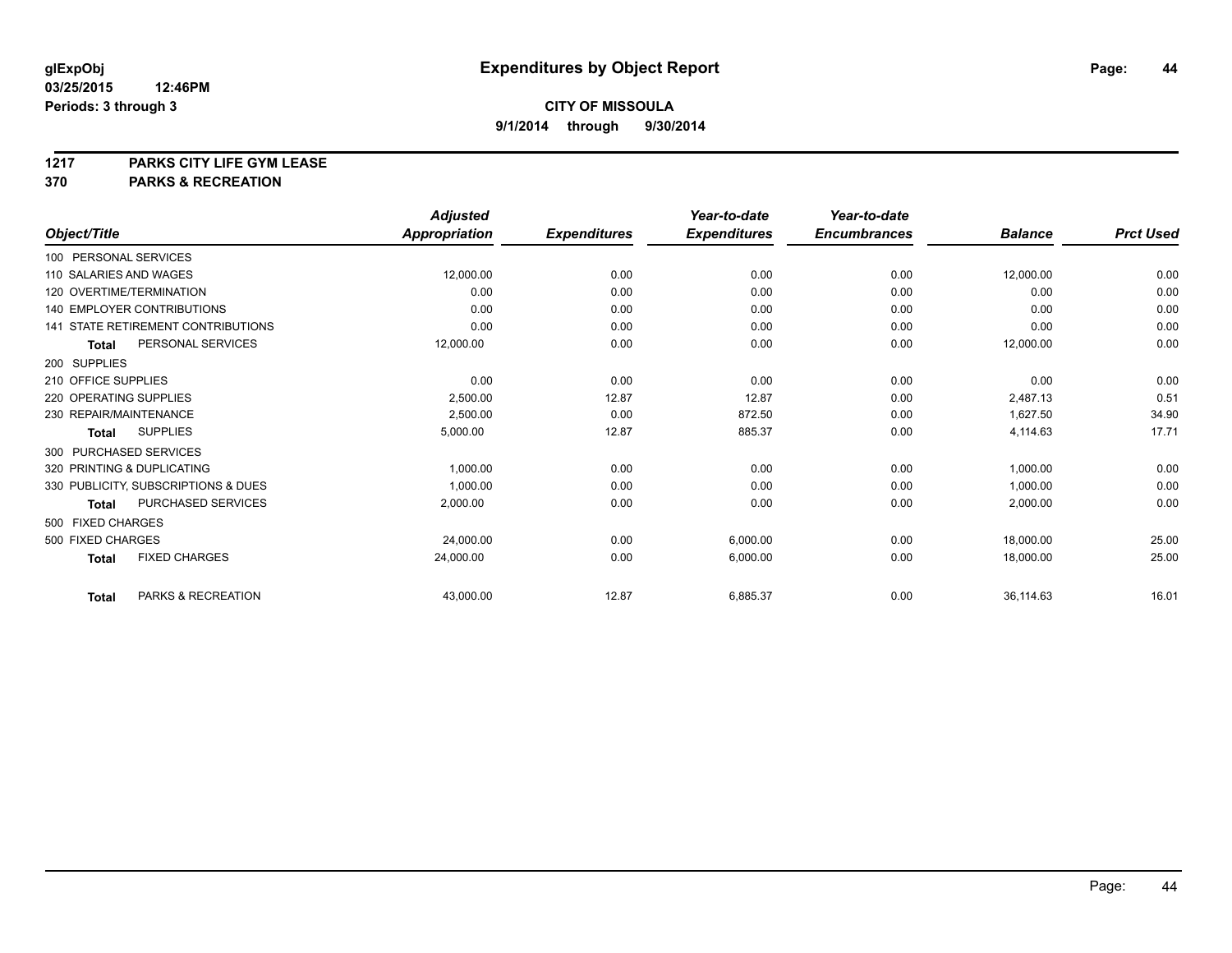# **1217 PARKS CITY LIFE GYM LEASE**

## **370 PARKS & RECREATION**

|                        |                                           | <b>Adjusted</b>      |                     | Year-to-date        | Year-to-date        |                |                  |
|------------------------|-------------------------------------------|----------------------|---------------------|---------------------|---------------------|----------------|------------------|
| Object/Title           |                                           | <b>Appropriation</b> | <b>Expenditures</b> | <b>Expenditures</b> | <b>Encumbrances</b> | <b>Balance</b> | <b>Prct Used</b> |
| 100 PERSONAL SERVICES  |                                           |                      |                     |                     |                     |                |                  |
| 110 SALARIES AND WAGES |                                           | 12,000.00            | 0.00                | 0.00                | 0.00                | 12,000.00      | 0.00             |
|                        | 120 OVERTIME/TERMINATION                  | 0.00                 | 0.00                | 0.00                | 0.00                | 0.00           | 0.00             |
|                        | <b>140 EMPLOYER CONTRIBUTIONS</b>         | 0.00                 | 0.00                | 0.00                | 0.00                | 0.00           | 0.00             |
|                        | <b>141 STATE RETIREMENT CONTRIBUTIONS</b> | 0.00                 | 0.00                | 0.00                | 0.00                | 0.00           | 0.00             |
| <b>Total</b>           | PERSONAL SERVICES                         | 12,000.00            | 0.00                | 0.00                | 0.00                | 12,000.00      | 0.00             |
| 200 SUPPLIES           |                                           |                      |                     |                     |                     |                |                  |
| 210 OFFICE SUPPLIES    |                                           | 0.00                 | 0.00                | 0.00                | 0.00                | 0.00           | 0.00             |
| 220 OPERATING SUPPLIES |                                           | 2,500.00             | 12.87               | 12.87               | 0.00                | 2,487.13       | 0.51             |
| 230 REPAIR/MAINTENANCE |                                           | 2,500.00             | 0.00                | 872.50              | 0.00                | 1,627.50       | 34.90            |
| Total                  | <b>SUPPLIES</b>                           | 5,000.00             | 12.87               | 885.37              | 0.00                | 4,114.63       | 17.71            |
| 300 PURCHASED SERVICES |                                           |                      |                     |                     |                     |                |                  |
|                        | 320 PRINTING & DUPLICATING                | 1,000.00             | 0.00                | 0.00                | 0.00                | 1,000.00       | 0.00             |
|                        | 330 PUBLICITY, SUBSCRIPTIONS & DUES       | 1.000.00             | 0.00                | 0.00                | 0.00                | 1,000.00       | 0.00             |
| <b>Total</b>           | PURCHASED SERVICES                        | 2,000.00             | 0.00                | 0.00                | 0.00                | 2,000.00       | 0.00             |
| 500 FIXED CHARGES      |                                           |                      |                     |                     |                     |                |                  |
| 500 FIXED CHARGES      |                                           | 24,000.00            | 0.00                | 6,000.00            | 0.00                | 18,000.00      | 25.00            |
| <b>Total</b>           | <b>FIXED CHARGES</b>                      | 24,000.00            | 0.00                | 6,000.00            | 0.00                | 18,000.00      | 25.00            |
| <b>Total</b>           | PARKS & RECREATION                        | 43,000.00            | 12.87               | 6,885.37            | 0.00                | 36,114.63      | 16.01            |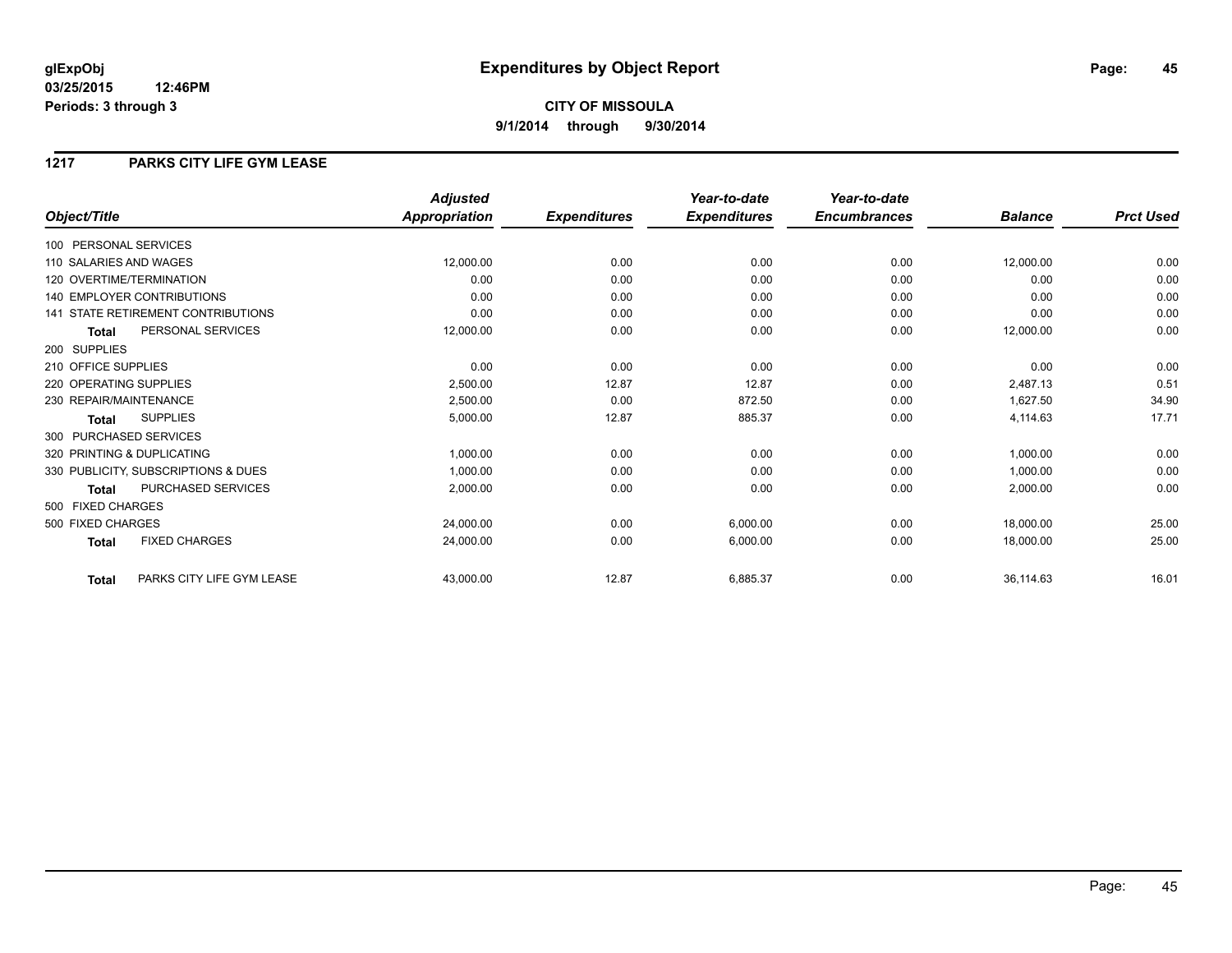## **1217 PARKS CITY LIFE GYM LEASE**

|                            |                                           | <b>Adjusted</b>      |                     | Year-to-date        | Year-to-date        |                |                  |
|----------------------------|-------------------------------------------|----------------------|---------------------|---------------------|---------------------|----------------|------------------|
| Object/Title               |                                           | <b>Appropriation</b> | <b>Expenditures</b> | <b>Expenditures</b> | <b>Encumbrances</b> | <b>Balance</b> | <b>Prct Used</b> |
| 100 PERSONAL SERVICES      |                                           |                      |                     |                     |                     |                |                  |
| 110 SALARIES AND WAGES     |                                           | 12,000.00            | 0.00                | 0.00                | 0.00                | 12,000.00      | 0.00             |
| 120 OVERTIME/TERMINATION   |                                           | 0.00                 | 0.00                | 0.00                | 0.00                | 0.00           | 0.00             |
| 140 EMPLOYER CONTRIBUTIONS |                                           | 0.00                 | 0.00                | 0.00                | 0.00                | 0.00           | 0.00             |
|                            | <b>141 STATE RETIREMENT CONTRIBUTIONS</b> | 0.00                 | 0.00                | 0.00                | 0.00                | 0.00           | 0.00             |
| <b>Total</b>               | PERSONAL SERVICES                         | 12,000.00            | 0.00                | 0.00                | 0.00                | 12,000.00      | 0.00             |
| 200 SUPPLIES               |                                           |                      |                     |                     |                     |                |                  |
| 210 OFFICE SUPPLIES        |                                           | 0.00                 | 0.00                | 0.00                | 0.00                | 0.00           | 0.00             |
| 220 OPERATING SUPPLIES     |                                           | 2,500.00             | 12.87               | 12.87               | 0.00                | 2,487.13       | 0.51             |
| 230 REPAIR/MAINTENANCE     |                                           | 2,500.00             | 0.00                | 872.50              | 0.00                | 1,627.50       | 34.90            |
| Total                      | <b>SUPPLIES</b>                           | 5,000.00             | 12.87               | 885.37              | 0.00                | 4,114.63       | 17.71            |
| 300 PURCHASED SERVICES     |                                           |                      |                     |                     |                     |                |                  |
| 320 PRINTING & DUPLICATING |                                           | 1,000.00             | 0.00                | 0.00                | 0.00                | 1,000.00       | 0.00             |
|                            | 330 PUBLICITY, SUBSCRIPTIONS & DUES       | 1,000.00             | 0.00                | 0.00                | 0.00                | 1,000.00       | 0.00             |
| <b>Total</b>               | PURCHASED SERVICES                        | 2,000.00             | 0.00                | 0.00                | 0.00                | 2,000.00       | 0.00             |
| 500 FIXED CHARGES          |                                           |                      |                     |                     |                     |                |                  |
| 500 FIXED CHARGES          |                                           | 24,000.00            | 0.00                | 6,000.00            | 0.00                | 18,000.00      | 25.00            |
| <b>Total</b>               | <b>FIXED CHARGES</b>                      | 24,000.00            | 0.00                | 6,000.00            | 0.00                | 18,000.00      | 25.00            |
| Total                      | PARKS CITY LIFE GYM LEASE                 | 43,000.00            | 12.87               | 6,885.37            | 0.00                | 36,114.63      | 16.01            |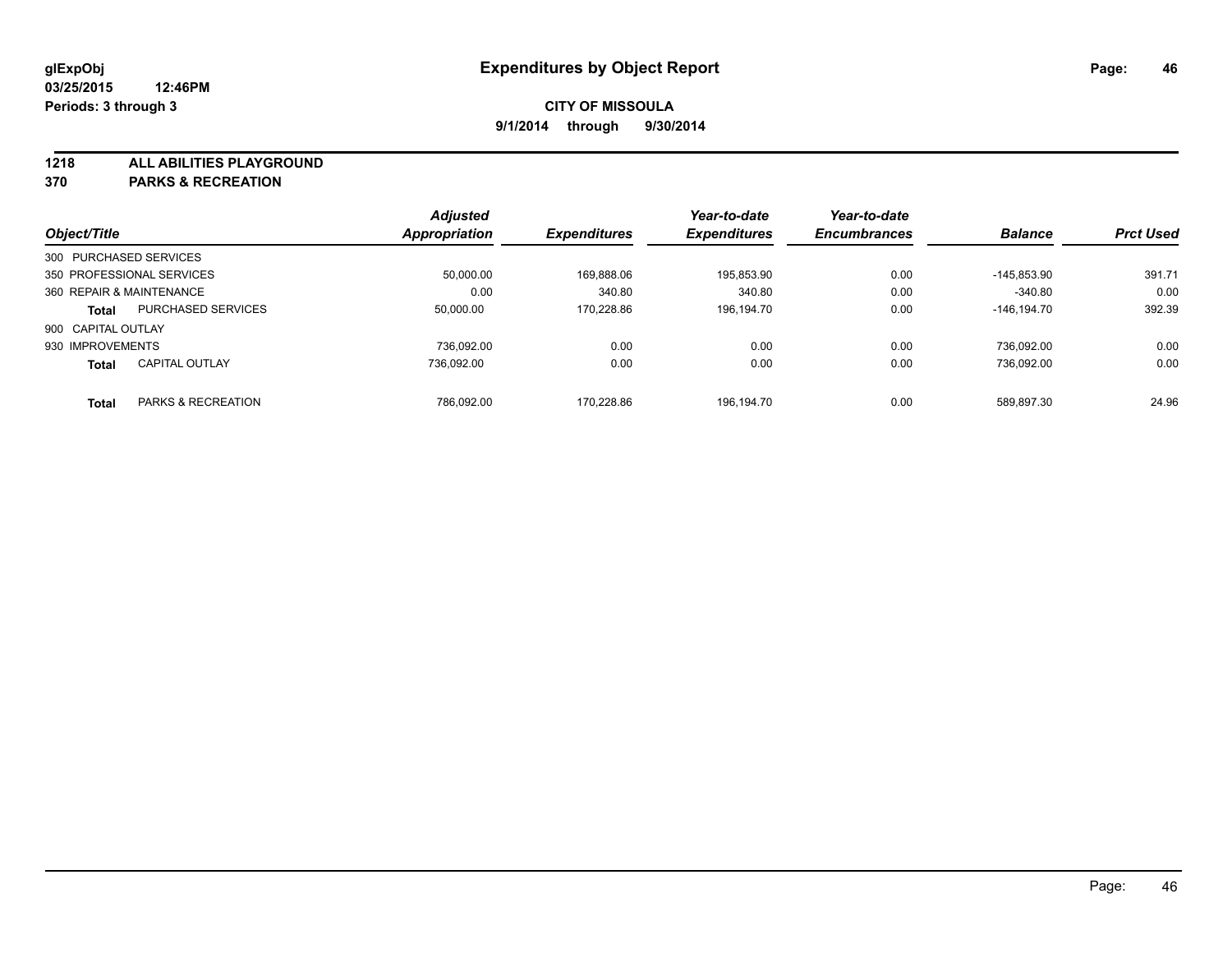**1218 ALL ABILITIES PLAYGROUND**

**370 PARKS & RECREATION**

|                          |                           | <b>Adjusted</b>      |                     | Year-to-date        | Year-to-date        |                |                  |
|--------------------------|---------------------------|----------------------|---------------------|---------------------|---------------------|----------------|------------------|
| Object/Title             |                           | <b>Appropriation</b> | <b>Expenditures</b> | <b>Expenditures</b> | <b>Encumbrances</b> | <b>Balance</b> | <b>Prct Used</b> |
| 300 PURCHASED SERVICES   |                           |                      |                     |                     |                     |                |                  |
|                          | 350 PROFESSIONAL SERVICES | 50.000.00            | 169.888.06          | 195,853.90          | 0.00                | -145.853.90    | 391.71           |
| 360 REPAIR & MAINTENANCE |                           | 0.00                 | 340.80              | 340.80              | 0.00                | $-340.80$      | 0.00             |
| <b>Total</b>             | <b>PURCHASED SERVICES</b> | 50,000.00            | 170.228.86          | 196.194.70          | 0.00                | -146.194.70    | 392.39           |
| 900 CAPITAL OUTLAY       |                           |                      |                     |                     |                     |                |                  |
| 930 IMPROVEMENTS         |                           | 736.092.00           | 0.00                | 0.00                | 0.00                | 736.092.00     | 0.00             |
| <b>Total</b>             | <b>CAPITAL OUTLAY</b>     | 736.092.00           | 0.00                | 0.00                | 0.00                | 736.092.00     | 0.00             |
| <b>Total</b>             | PARKS & RECREATION        | 786.092.00           | 170.228.86          | 196.194.70          | 0.00                | 589.897.30     | 24.96            |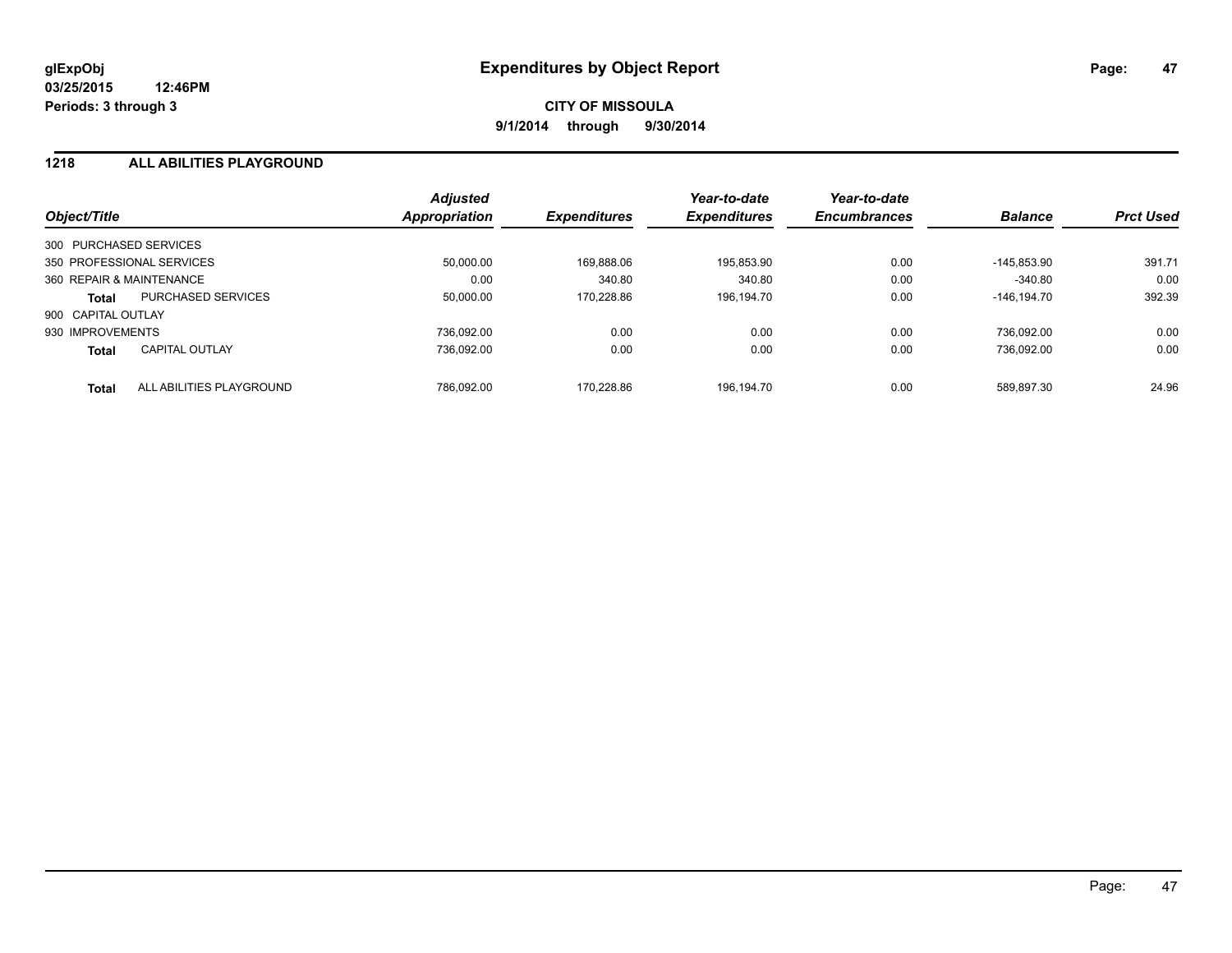## **1218 ALL ABILITIES PLAYGROUND**

| Object/Title             |                           | <b>Adjusted</b><br><b>Appropriation</b> | <b>Expenditures</b> | Year-to-date<br><b>Expenditures</b> | Year-to-date<br><b>Encumbrances</b> | <b>Balance</b> | <b>Prct Used</b> |
|--------------------------|---------------------------|-----------------------------------------|---------------------|-------------------------------------|-------------------------------------|----------------|------------------|
|                          |                           |                                         |                     |                                     |                                     |                |                  |
| 300 PURCHASED SERVICES   |                           |                                         |                     |                                     |                                     |                |                  |
|                          | 350 PROFESSIONAL SERVICES | 50.000.00                               | 169.888.06          | 195.853.90                          | 0.00                                | $-145.853.90$  | 391.71           |
| 360 REPAIR & MAINTENANCE |                           | 0.00                                    | 340.80              | 340.80                              | 0.00                                | $-340.80$      | 0.00             |
| <b>Total</b>             | <b>PURCHASED SERVICES</b> | 50.000.00                               | 170.228.86          | 196.194.70                          | 0.00                                | $-146.194.70$  | 392.39           |
| 900 CAPITAL OUTLAY       |                           |                                         |                     |                                     |                                     |                |                  |
| 930 IMPROVEMENTS         |                           | 736.092.00                              | 0.00                | 0.00                                | 0.00                                | 736.092.00     | 0.00             |
| <b>Total</b>             | <b>CAPITAL OUTLAY</b>     | 736.092.00                              | 0.00                | 0.00                                | 0.00                                | 736.092.00     | 0.00             |
| <b>Total</b>             | ALL ABILITIES PLAYGROUND  | 786.092.00                              | 170.228.86          | 196.194.70                          | 0.00                                | 589.897.30     | 24.96            |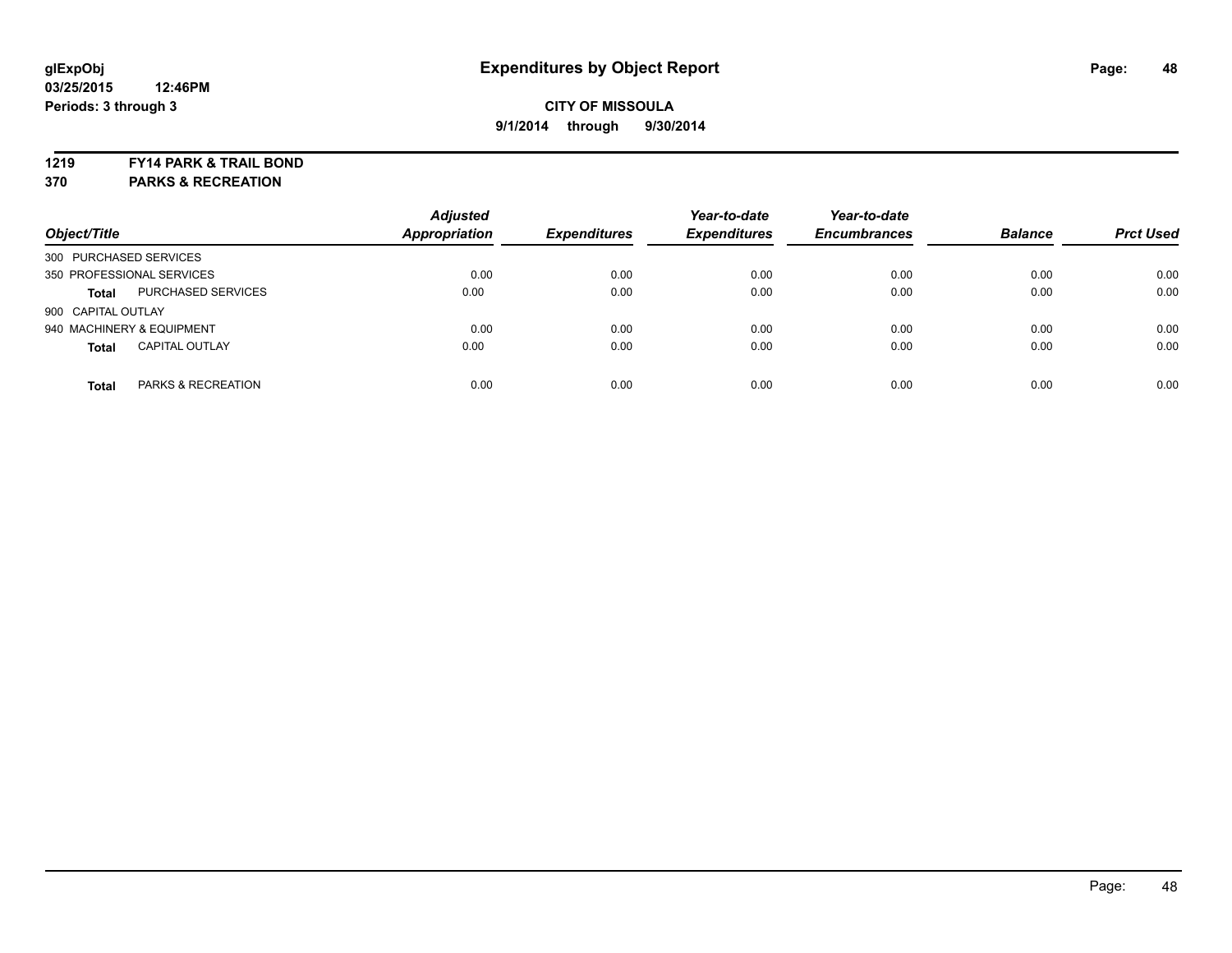#### **1219 FY14 PARK & TRAIL BOND**

**370 PARKS & RECREATION**

| Object/Title           |                           | <b>Adjusted</b><br><b>Appropriation</b> | <b>Expenditures</b> | Year-to-date<br><b>Expenditures</b> | Year-to-date<br><b>Encumbrances</b> | <b>Balance</b> | <b>Prct Used</b> |
|------------------------|---------------------------|-----------------------------------------|---------------------|-------------------------------------|-------------------------------------|----------------|------------------|
| 300 PURCHASED SERVICES |                           |                                         |                     |                                     |                                     |                |                  |
|                        | 350 PROFESSIONAL SERVICES | 0.00                                    | 0.00                | 0.00                                | 0.00                                | 0.00           | 0.00             |
| <b>Total</b>           | <b>PURCHASED SERVICES</b> | 0.00                                    | 0.00                | 0.00                                | 0.00                                | 0.00           | 0.00             |
| 900 CAPITAL OUTLAY     |                           |                                         |                     |                                     |                                     |                |                  |
|                        | 940 MACHINERY & EQUIPMENT | 0.00                                    | 0.00                | 0.00                                | 0.00                                | 0.00           | 0.00             |
| <b>Total</b>           | <b>CAPITAL OUTLAY</b>     | 0.00                                    | 0.00                | 0.00                                | 0.00                                | 0.00           | 0.00             |
| <b>Total</b>           | PARKS & RECREATION        | 0.00                                    | 0.00                | 0.00                                | 0.00                                | 0.00           | 0.00             |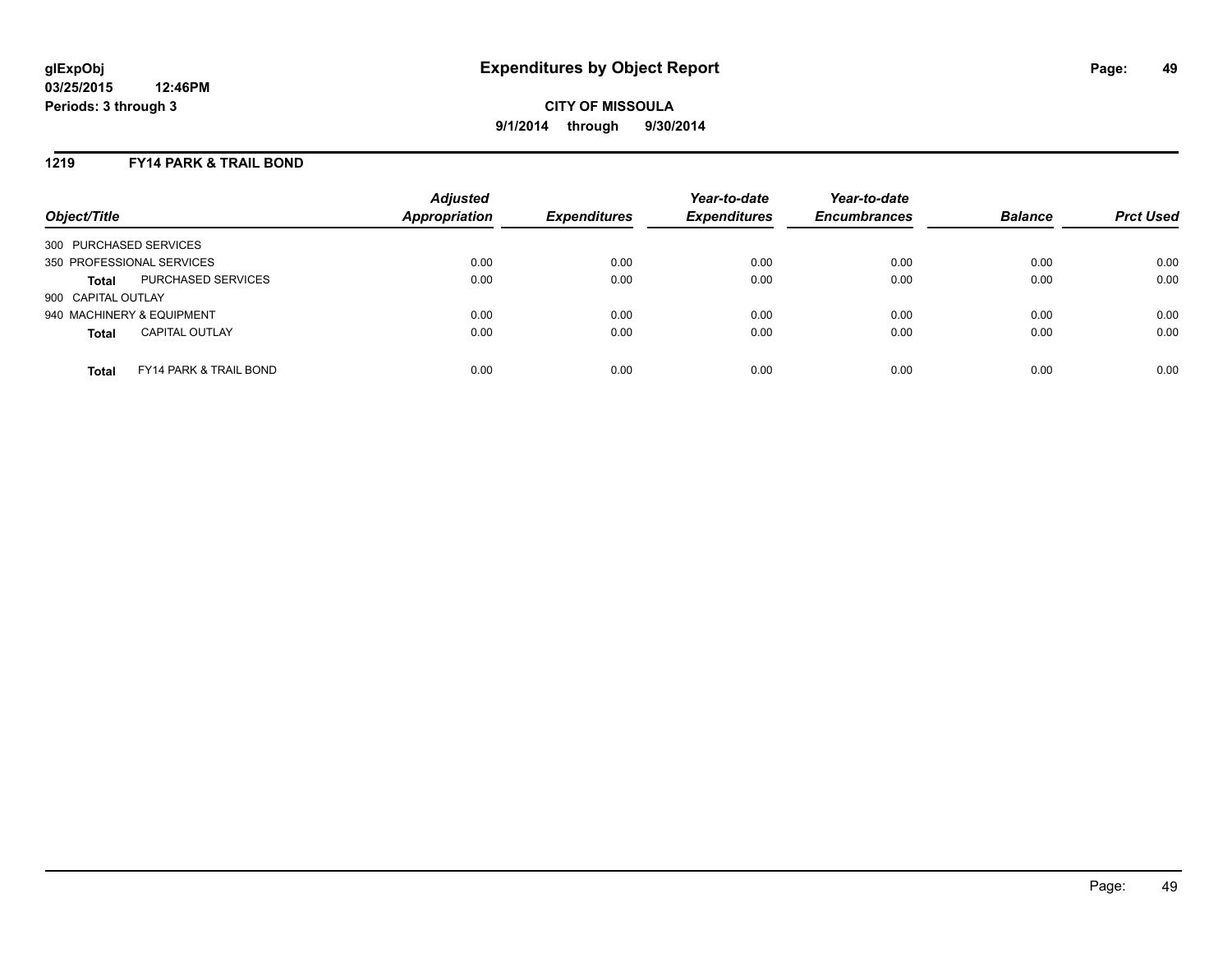## **1219 FY14 PARK & TRAIL BOND**

| Object/Title                                      | <b>Adjusted</b><br>Appropriation | <b>Expenditures</b> | Year-to-date<br><b>Expenditures</b> | Year-to-date<br><b>Encumbrances</b> | <b>Balance</b> | <b>Prct Used</b> |
|---------------------------------------------------|----------------------------------|---------------------|-------------------------------------|-------------------------------------|----------------|------------------|
| 300 PURCHASED SERVICES                            |                                  |                     |                                     |                                     |                |                  |
| 350 PROFESSIONAL SERVICES                         | 0.00                             | 0.00                | 0.00                                | 0.00                                | 0.00           | 0.00             |
| PURCHASED SERVICES<br><b>Total</b>                | 0.00                             | 0.00                | 0.00                                | 0.00                                | 0.00           | 0.00             |
| 900 CAPITAL OUTLAY                                |                                  |                     |                                     |                                     |                |                  |
| 940 MACHINERY & EQUIPMENT                         | 0.00                             | 0.00                | 0.00                                | 0.00                                | 0.00           | 0.00             |
| <b>CAPITAL OUTLAY</b><br><b>Total</b>             | 0.00                             | 0.00                | 0.00                                | 0.00                                | 0.00           | 0.00             |
| <b>FY14 PARK &amp; TRAIL BOND</b><br><b>Total</b> | 0.00                             | 0.00                | 0.00                                | 0.00                                | 0.00           | 0.00             |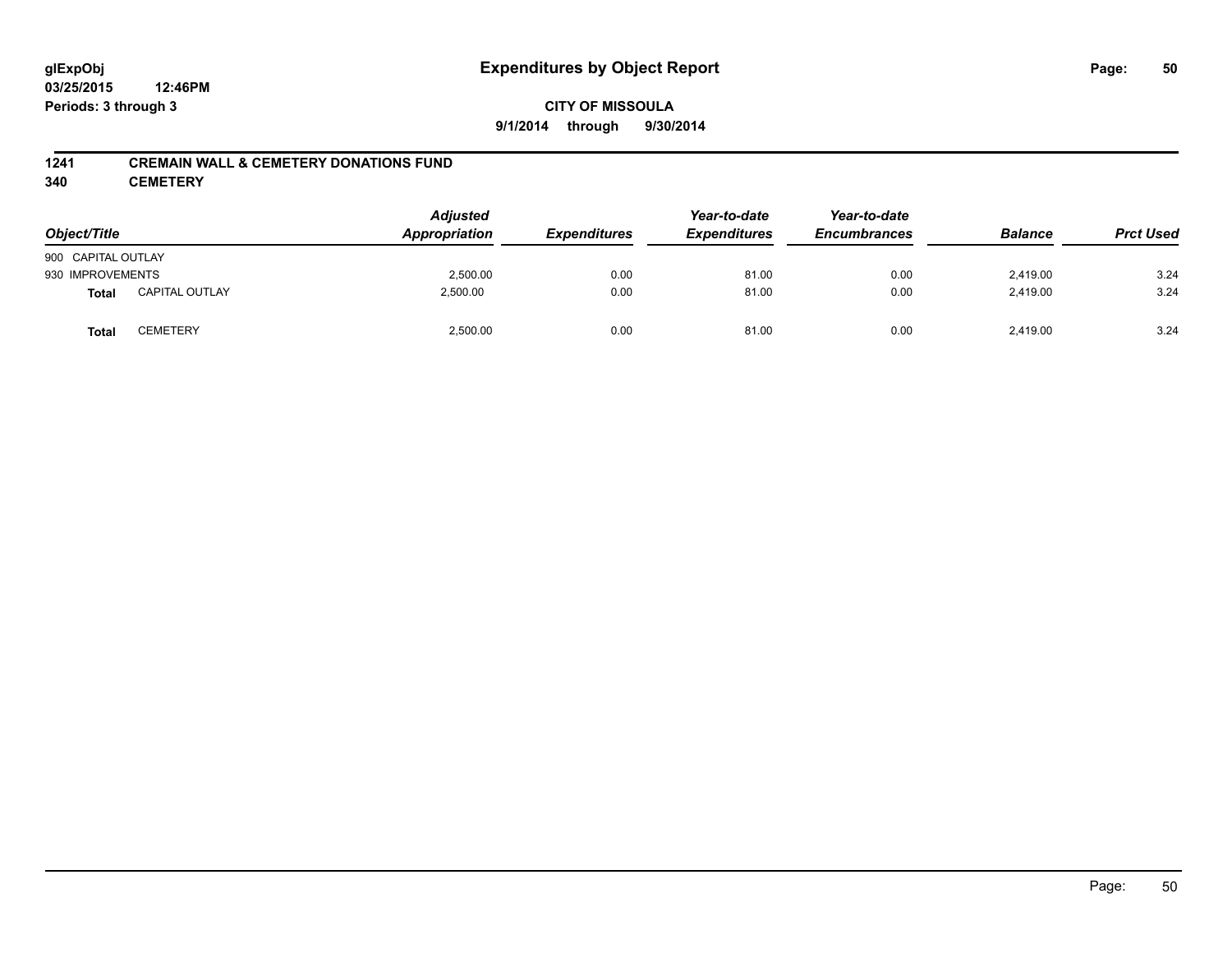# **glExpObj Expenditures by Object Report Page: 50**

**03/25/2015 12:46PM Periods: 3 through 3**

## **1241 CREMAIN WALL & CEMETERY DONATIONS FUND**

**340 CEMETERY**

| Object/Title       |                       | <b>Adjusted</b><br>Appropriation | <b>Expenditures</b> | Year-to-date<br><b>Expenditures</b> | Year-to-date<br><b>Encumbrances</b> | <b>Balance</b> | <b>Prct Used</b> |
|--------------------|-----------------------|----------------------------------|---------------------|-------------------------------------|-------------------------------------|----------------|------------------|
| 900 CAPITAL OUTLAY |                       |                                  |                     |                                     |                                     |                |                  |
| 930 IMPROVEMENTS   |                       | 2,500.00                         | 0.00                | 81.00                               | 0.00                                | 2,419.00       | 3.24             |
| <b>Total</b>       | <b>CAPITAL OUTLAY</b> | 2,500.00                         | 0.00                | 81.00                               | 0.00                                | 2,419.00       | 3.24             |
| <b>Total</b>       | CEMETERY              | 2,500.00                         | 0.00                | 81.00                               | 0.00                                | 2,419.00       | 3.24             |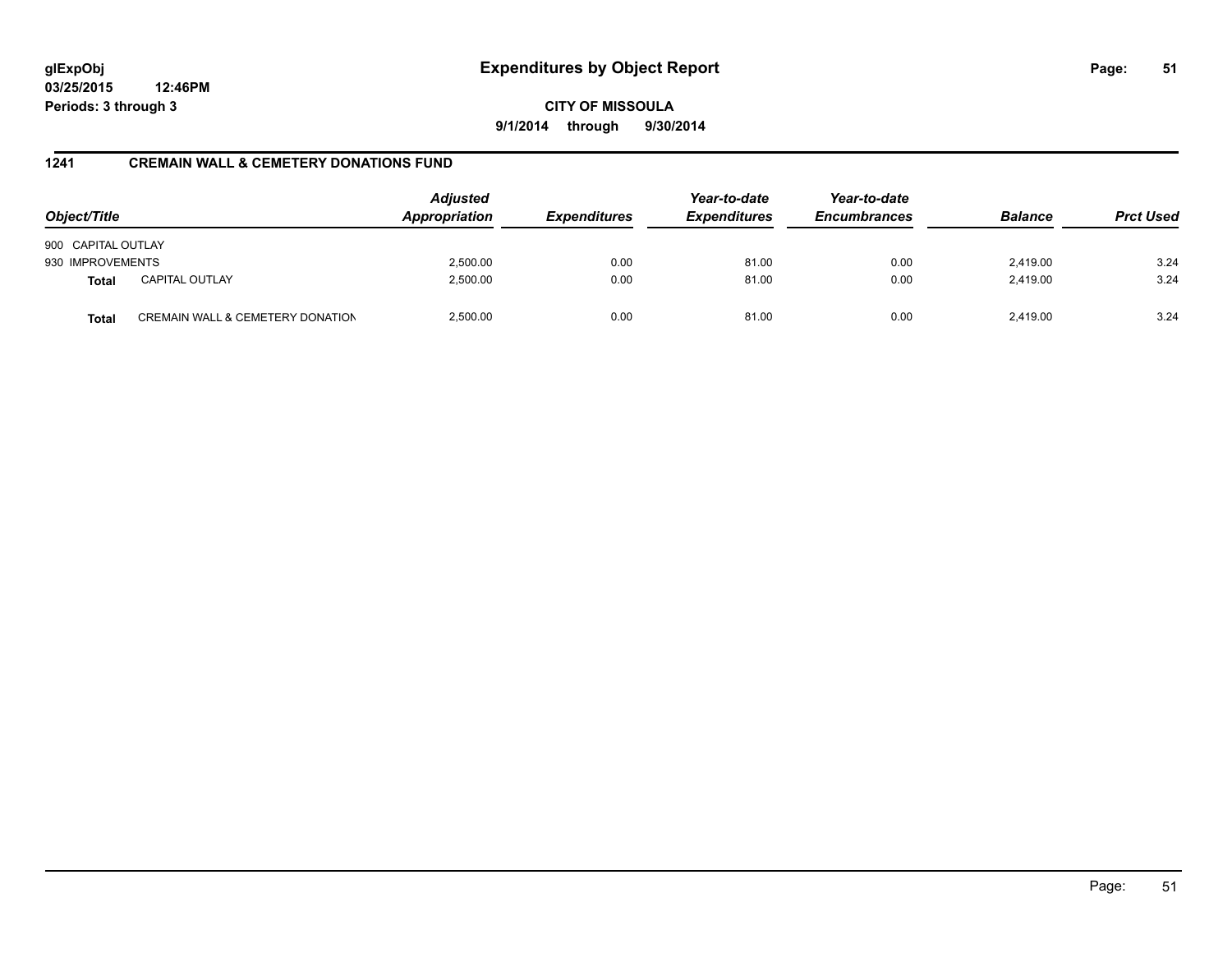# **glExpObj Expenditures by Object Report Page: 51**

**03/25/2015 12:46PM Periods: 3 through 3**

**CITY OF MISSOULA 9/1/2014 through 9/30/2014**

## **1241 CREMAIN WALL & CEMETERY DONATIONS FUND**

| Object/Title       |                                  | <b>Adjusted</b><br>Appropriation | <b>Expenditures</b> | Year-to-date<br><b>Expenditures</b> | Year-to-date<br><b>Encumbrances</b> | <b>Balance</b> | <b>Prct Used</b> |
|--------------------|----------------------------------|----------------------------------|---------------------|-------------------------------------|-------------------------------------|----------------|------------------|
| 900 CAPITAL OUTLAY |                                  |                                  |                     |                                     |                                     |                |                  |
| 930 IMPROVEMENTS   |                                  | 2,500.00                         | 0.00                | 81.00                               | 0.00                                | 2,419.00       | 3.24             |
| <b>Total</b>       | <b>CAPITAL OUTLAY</b>            | 2,500.00                         | 0.00                | 81.00                               | 0.00                                | 2,419.00       | 3.24             |
| <b>Total</b>       | CREMAIN WALL & CEMETERY DONATION | 2,500.00                         | 0.00                | 81.00                               | 0.00                                | 2.419.00       | 3.24             |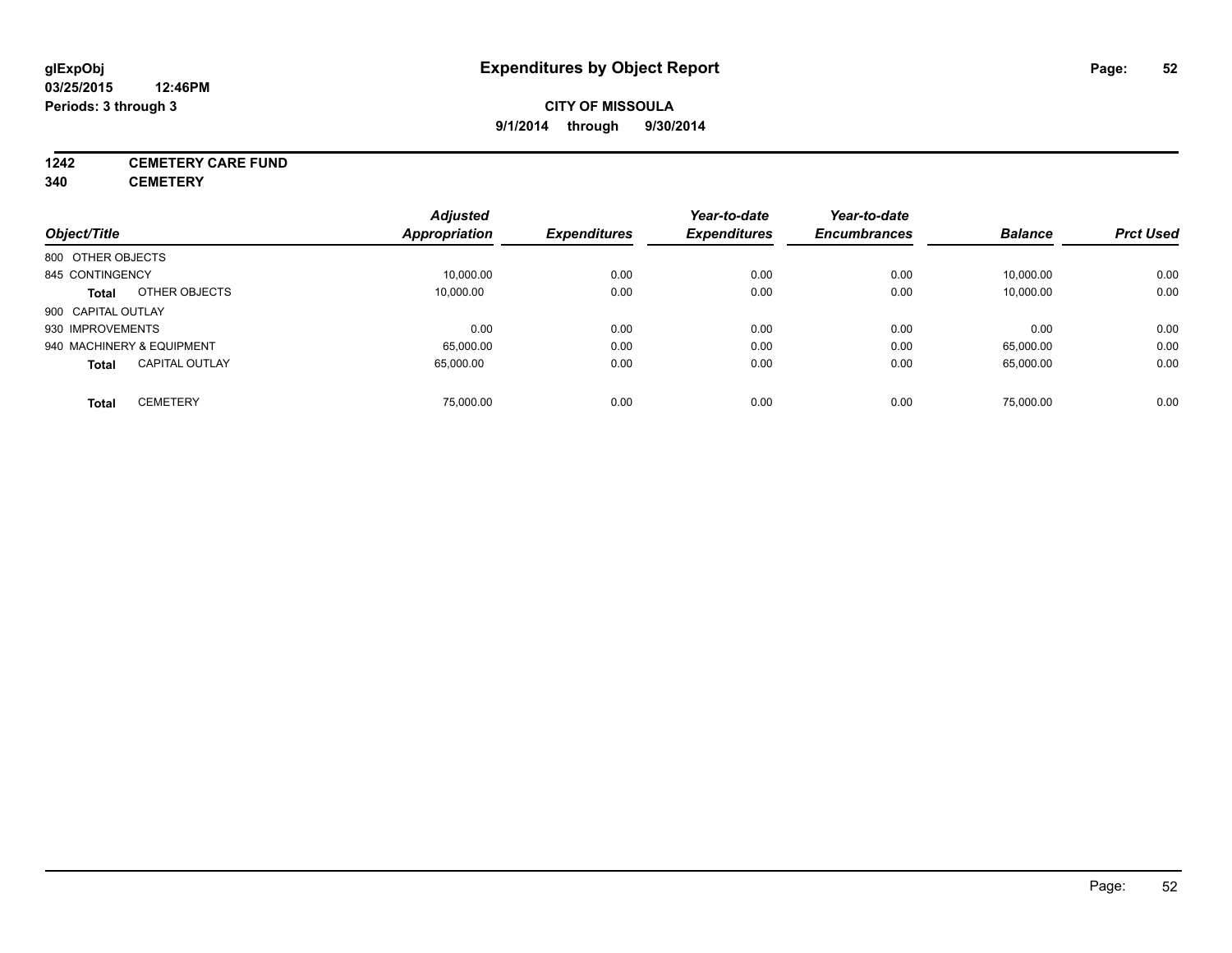## **1242 CEMETERY CARE FUND**

**340 CEMETERY**

|                                       | <b>Adjusted</b> |                     | Year-to-date        | Year-to-date        |                |                  |
|---------------------------------------|-----------------|---------------------|---------------------|---------------------|----------------|------------------|
| Object/Title                          | Appropriation   | <b>Expenditures</b> | <b>Expenditures</b> | <b>Encumbrances</b> | <b>Balance</b> | <b>Prct Used</b> |
| 800 OTHER OBJECTS                     |                 |                     |                     |                     |                |                  |
| 845 CONTINGENCY                       | 10,000.00       | 0.00                | 0.00                | 0.00                | 10,000.00      | 0.00             |
| OTHER OBJECTS<br><b>Total</b>         | 10.000.00       | 0.00                | 0.00                | 0.00                | 10,000.00      | 0.00             |
| 900 CAPITAL OUTLAY                    |                 |                     |                     |                     |                |                  |
| 930 IMPROVEMENTS                      | 0.00            | 0.00                | 0.00                | 0.00                | 0.00           | 0.00             |
| 940 MACHINERY & EQUIPMENT             | 65,000.00       | 0.00                | 0.00                | 0.00                | 65,000.00      | 0.00             |
| <b>CAPITAL OUTLAY</b><br><b>Total</b> | 65.000.00       | 0.00                | 0.00                | 0.00                | 65,000.00      | 0.00             |
| <b>CEMETERY</b><br>Total              | 75.000.00       | 0.00                | 0.00                | 0.00                | 75.000.00      | 0.00             |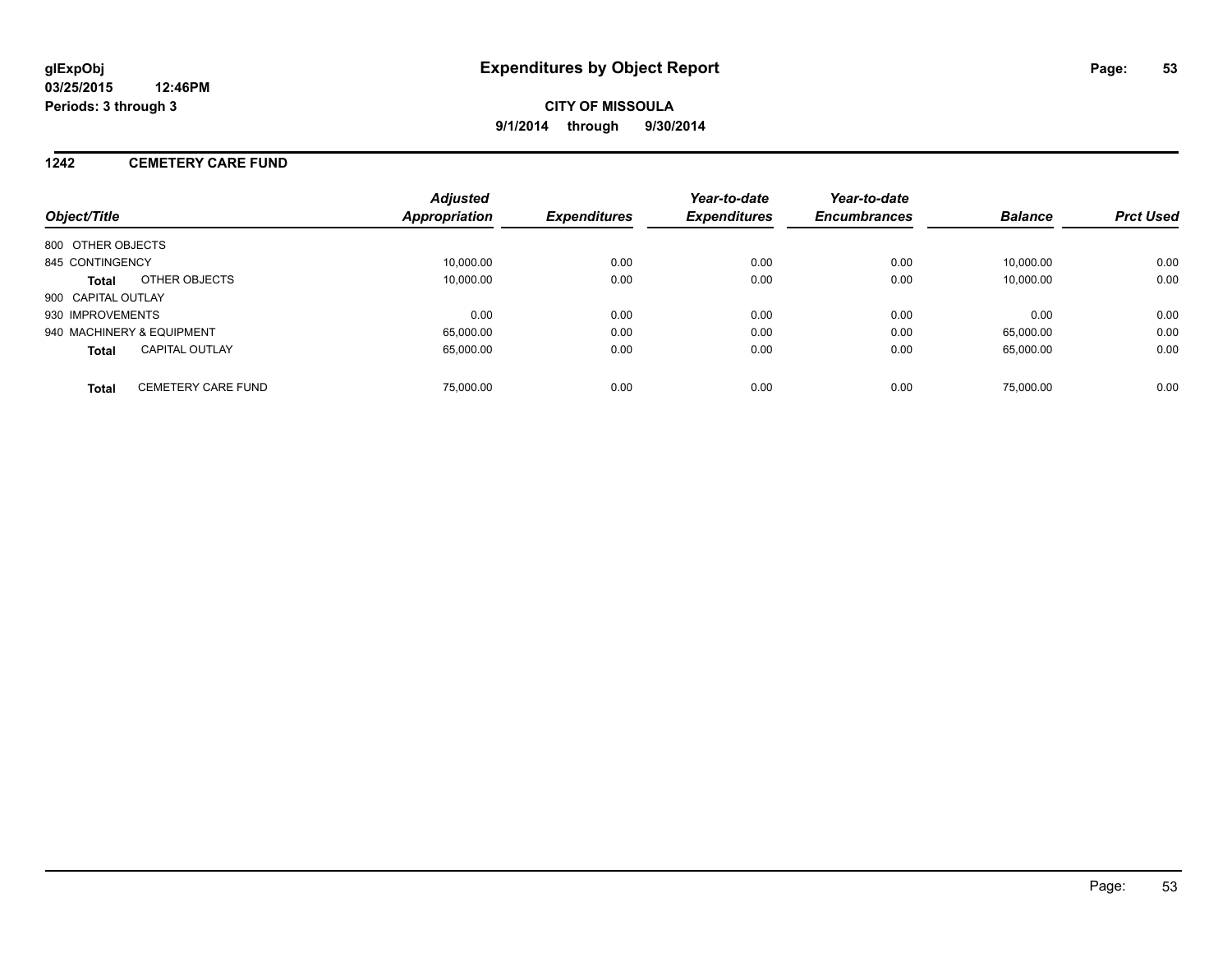## **1242 CEMETERY CARE FUND**

| Object/Title                              | <b>Adjusted</b><br>Appropriation | <b>Expenditures</b> | Year-to-date<br><b>Expenditures</b> | Year-to-date<br><b>Encumbrances</b> | <b>Balance</b> | <b>Prct Used</b> |
|-------------------------------------------|----------------------------------|---------------------|-------------------------------------|-------------------------------------|----------------|------------------|
| 800 OTHER OBJECTS                         |                                  |                     |                                     |                                     |                |                  |
| 845 CONTINGENCY                           | 10.000.00                        | 0.00                | 0.00                                | 0.00                                | 10.000.00      | 0.00             |
| OTHER OBJECTS<br>Total                    | 10,000.00                        | 0.00                | 0.00                                | 0.00                                | 10,000.00      | 0.00             |
| 900 CAPITAL OUTLAY                        |                                  |                     |                                     |                                     |                |                  |
| 930 IMPROVEMENTS                          | 0.00                             | 0.00                | 0.00                                | 0.00                                | 0.00           | 0.00             |
| 940 MACHINERY & EQUIPMENT                 | 65.000.00                        | 0.00                | 0.00                                | 0.00                                | 65.000.00      | 0.00             |
| <b>CAPITAL OUTLAY</b><br><b>Total</b>     | 65.000.00                        | 0.00                | 0.00                                | 0.00                                | 65.000.00      | 0.00             |
| <b>CEMETERY CARE FUND</b><br><b>Total</b> | 75,000.00                        | 0.00                | 0.00                                | 0.00                                | 75,000.00      | 0.00             |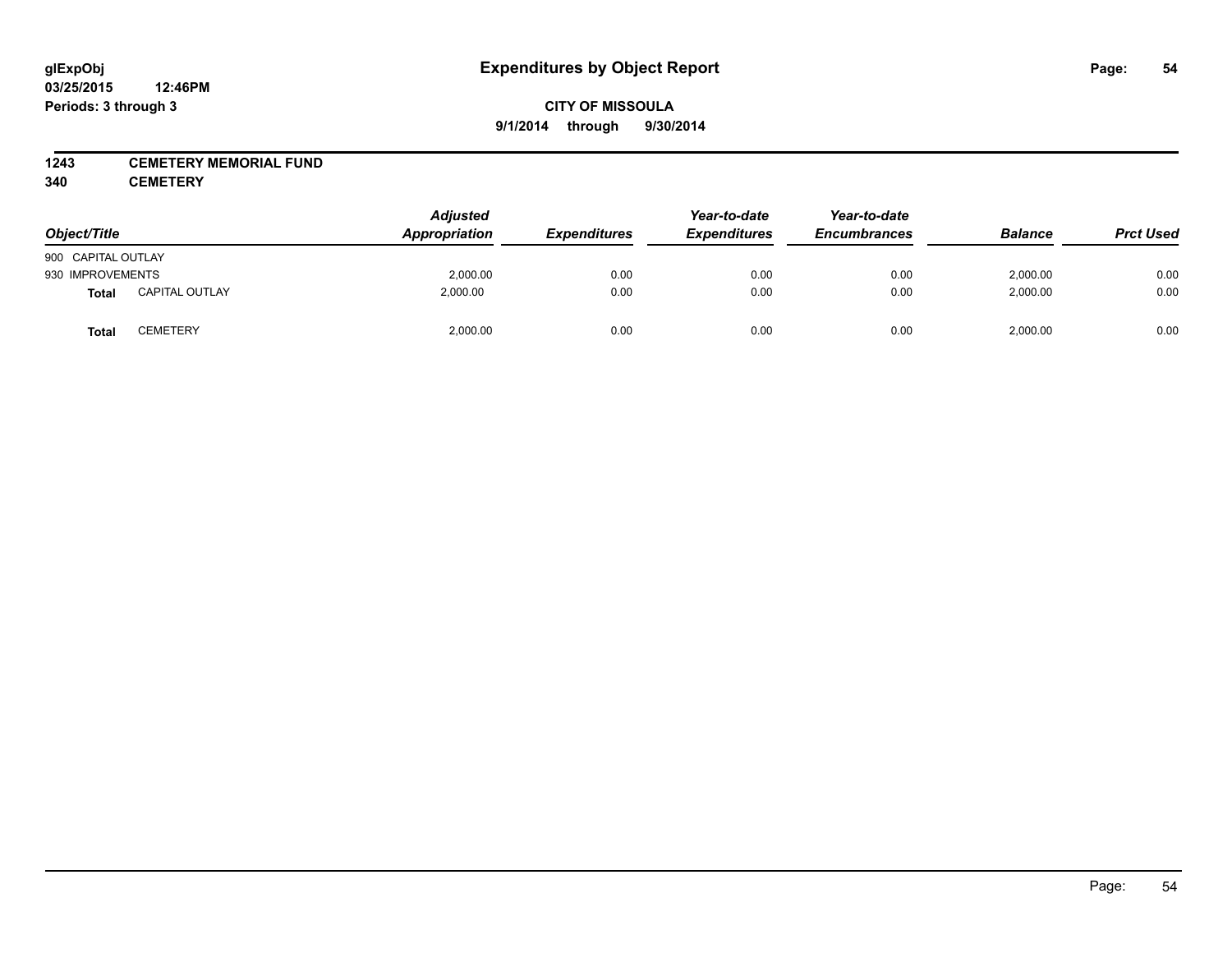## **1243 CEMETERY MEMORIAL FUND**

**340 CEMETERY**

| Object/Title       |                       | <b>Adjusted</b><br>Appropriation | <b>Expenditures</b> | Year-to-date<br><b>Expenditures</b> | Year-to-date<br><b>Encumbrances</b> | <b>Balance</b> | <b>Prct Used</b> |
|--------------------|-----------------------|----------------------------------|---------------------|-------------------------------------|-------------------------------------|----------------|------------------|
| 900 CAPITAL OUTLAY |                       |                                  |                     |                                     |                                     |                |                  |
| 930 IMPROVEMENTS   |                       | 2,000.00                         | 0.00                | 0.00                                | 0.00                                | 2,000.00       | 0.00             |
| Total              | <b>CAPITAL OUTLAY</b> | 2,000.00                         | 0.00                | 0.00                                | 0.00                                | 2,000.00       | 0.00             |
| <b>Total</b>       | <b>CEMETERY</b>       | 2,000.00                         | 0.00                | 0.00                                | 0.00                                | 2,000.00       | 0.00             |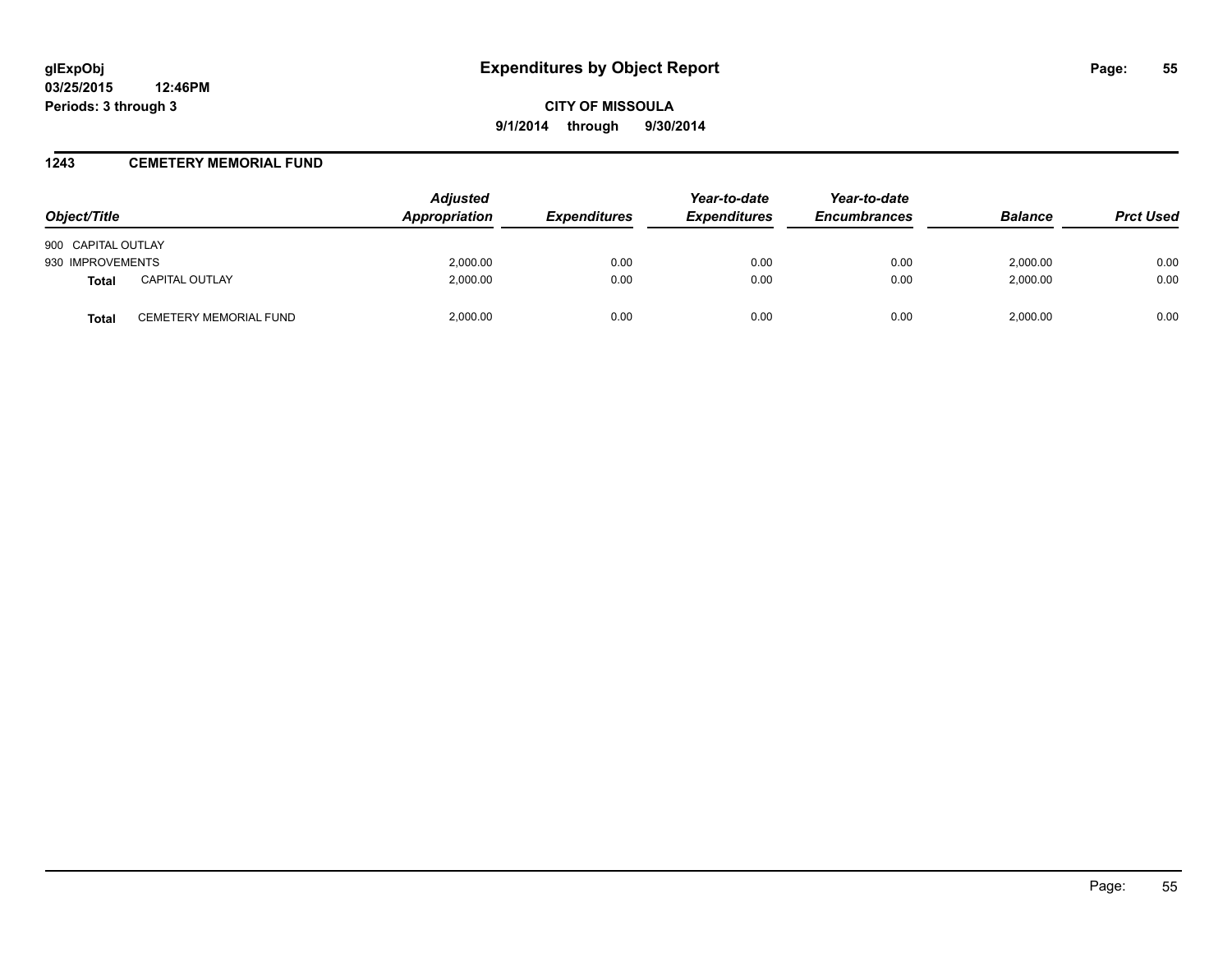## **1243 CEMETERY MEMORIAL FUND**

| Object/Title       |                               | <b>Adjusted</b><br>Appropriation | <i><b>Expenditures</b></i> | Year-to-date<br><b>Expenditures</b> | Year-to-date<br><b>Encumbrances</b> | <b>Balance</b> | <b>Prct Used</b> |
|--------------------|-------------------------------|----------------------------------|----------------------------|-------------------------------------|-------------------------------------|----------------|------------------|
| 900 CAPITAL OUTLAY |                               |                                  |                            |                                     |                                     |                |                  |
| 930 IMPROVEMENTS   |                               | 2,000.00                         | 0.00                       | 0.00                                | 0.00                                | 2.000.00       | 0.00             |
| <b>Total</b>       | <b>CAPITAL OUTLAY</b>         | 2.000.00                         | 0.00                       | 0.00                                | 0.00                                | 2.000.00       | 0.00             |
| Total              | <b>CEMETERY MEMORIAL FUND</b> | 2,000.00                         | 0.00                       | 0.00                                | 0.00                                | 2.000.00       | 0.00             |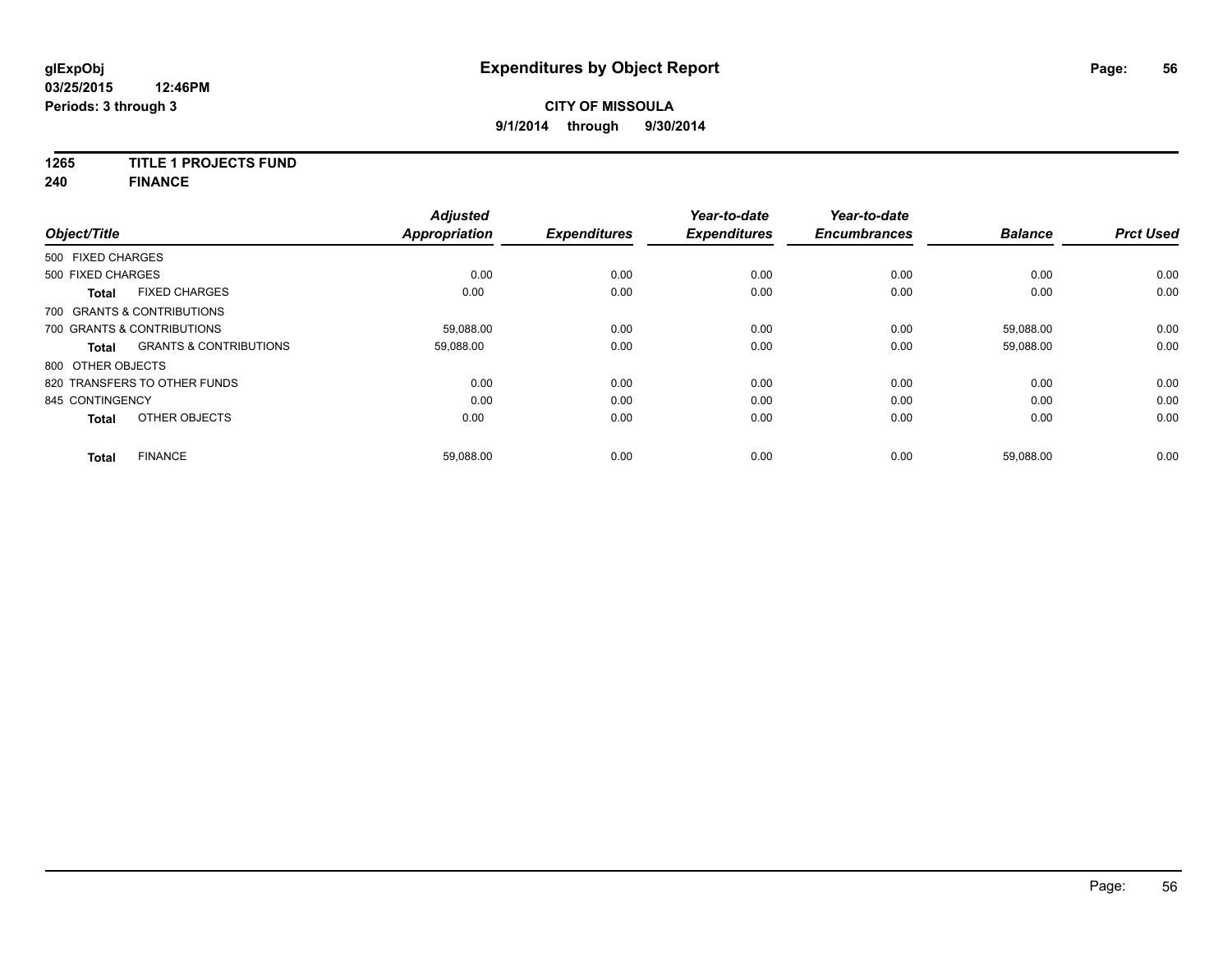# **1265 TITLE 1 PROJECTS FUND**

**240 FINANCE**

| Object/Title      |                                   | <b>Adjusted</b><br><b>Appropriation</b> | <b>Expenditures</b> | Year-to-date<br><b>Expenditures</b> | Year-to-date<br><b>Encumbrances</b> | <b>Balance</b> | <b>Prct Used</b> |
|-------------------|-----------------------------------|-----------------------------------------|---------------------|-------------------------------------|-------------------------------------|----------------|------------------|
| 500 FIXED CHARGES |                                   |                                         |                     |                                     |                                     |                |                  |
| 500 FIXED CHARGES |                                   | 0.00                                    | 0.00                | 0.00                                | 0.00                                | 0.00           | 0.00             |
| <b>Total</b>      | <b>FIXED CHARGES</b>              | 0.00                                    | 0.00                | 0.00                                | 0.00                                | 0.00           | 0.00             |
|                   | 700 GRANTS & CONTRIBUTIONS        |                                         |                     |                                     |                                     |                |                  |
|                   | 700 GRANTS & CONTRIBUTIONS        | 59,088.00                               | 0.00                | 0.00                                | 0.00                                | 59,088.00      | 0.00             |
| <b>Total</b>      | <b>GRANTS &amp; CONTRIBUTIONS</b> | 59,088.00                               | 0.00                | 0.00                                | 0.00                                | 59,088.00      | 0.00             |
| 800 OTHER OBJECTS |                                   |                                         |                     |                                     |                                     |                |                  |
|                   | 820 TRANSFERS TO OTHER FUNDS      | 0.00                                    | 0.00                | 0.00                                | 0.00                                | 0.00           | 0.00             |
| 845 CONTINGENCY   |                                   | 0.00                                    | 0.00                | 0.00                                | 0.00                                | 0.00           | 0.00             |
| <b>Total</b>      | OTHER OBJECTS                     | 0.00                                    | 0.00                | 0.00                                | 0.00                                | 0.00           | 0.00             |
| Total             | <b>FINANCE</b>                    | 59,088.00                               | 0.00                | 0.00                                | 0.00                                | 59,088.00      | 0.00             |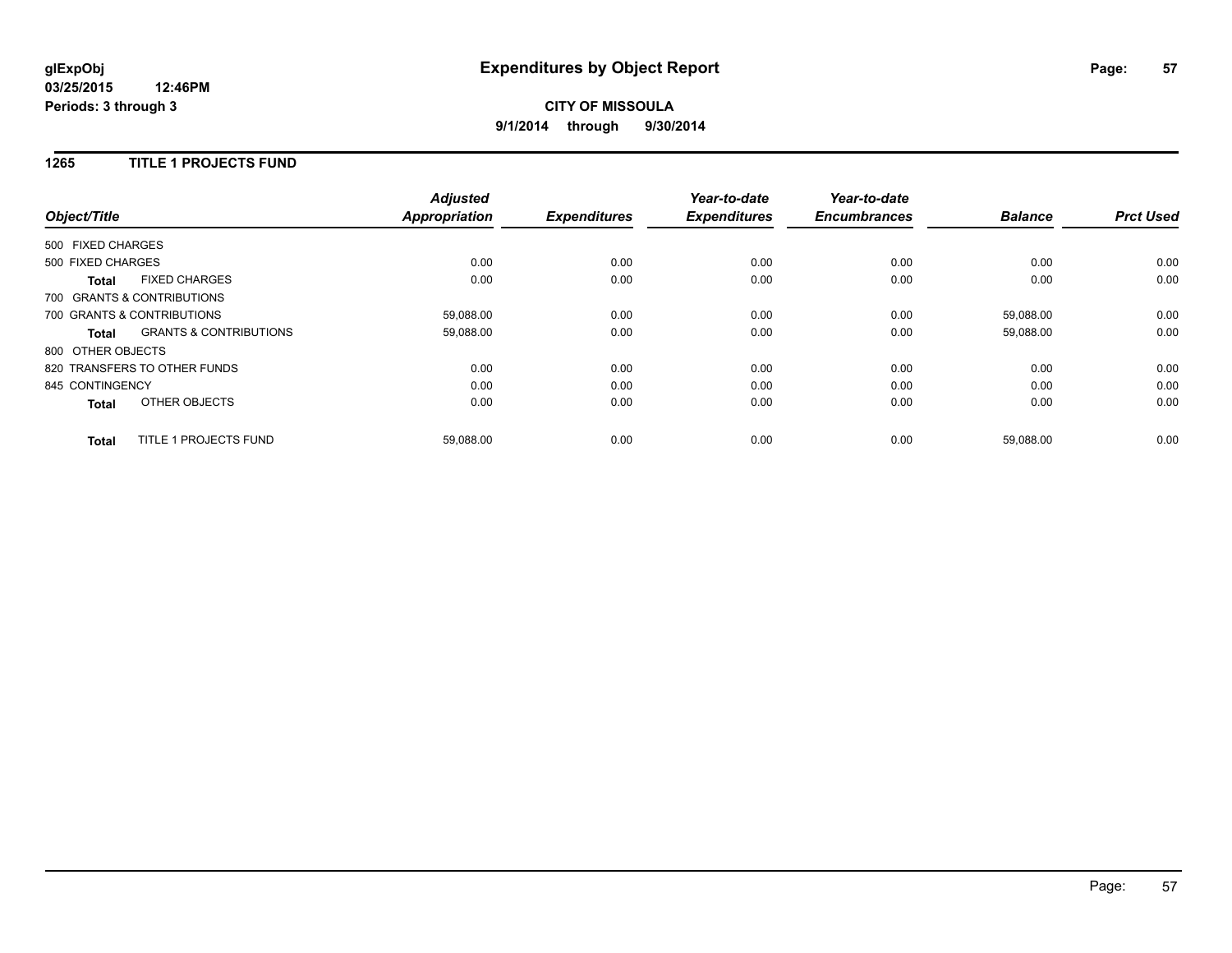## **CITY OF MISSOULA 9/1/2014 through 9/30/2014**

## **1265 TITLE 1 PROJECTS FUND**

| Object/Title      |                                   | <b>Adjusted</b><br><b>Appropriation</b> | <b>Expenditures</b> | Year-to-date<br><b>Expenditures</b> | Year-to-date<br><b>Encumbrances</b> | <b>Balance</b> | <b>Prct Used</b> |
|-------------------|-----------------------------------|-----------------------------------------|---------------------|-------------------------------------|-------------------------------------|----------------|------------------|
| 500 FIXED CHARGES |                                   |                                         |                     |                                     |                                     |                |                  |
| 500 FIXED CHARGES |                                   | 0.00                                    | 0.00                | 0.00                                | 0.00                                | 0.00           | 0.00             |
| <b>Total</b>      | <b>FIXED CHARGES</b>              | 0.00                                    | 0.00                | 0.00                                | 0.00                                | 0.00           | 0.00             |
|                   | 700 GRANTS & CONTRIBUTIONS        |                                         |                     |                                     |                                     |                |                  |
|                   | 700 GRANTS & CONTRIBUTIONS        | 59,088.00                               | 0.00                | 0.00                                | 0.00                                | 59,088.00      | 0.00             |
| Total             | <b>GRANTS &amp; CONTRIBUTIONS</b> | 59,088.00                               | 0.00                | 0.00                                | 0.00                                | 59,088.00      | 0.00             |
| 800 OTHER OBJECTS |                                   |                                         |                     |                                     |                                     |                |                  |
|                   | 820 TRANSFERS TO OTHER FUNDS      | 0.00                                    | 0.00                | 0.00                                | 0.00                                | 0.00           | 0.00             |
| 845 CONTINGENCY   |                                   | 0.00                                    | 0.00                | 0.00                                | 0.00                                | 0.00           | 0.00             |
| <b>Total</b>      | OTHER OBJECTS                     | 0.00                                    | 0.00                | 0.00                                | 0.00                                | 0.00           | 0.00             |
| <b>Total</b>      | TITLE 1 PROJECTS FUND             | 59,088.00                               | 0.00                | 0.00                                | 0.00                                | 59,088.00      | 0.00             |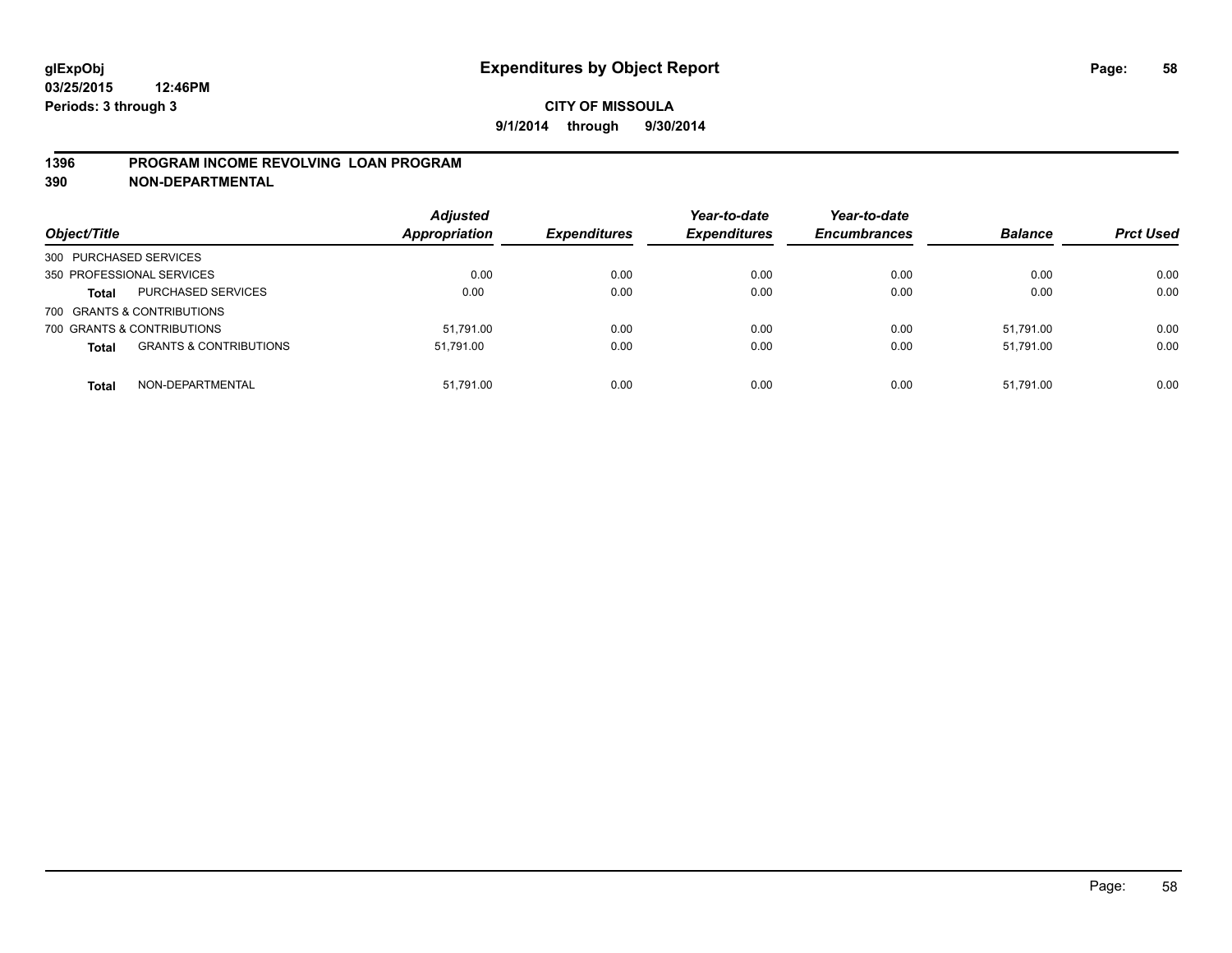## **1396 PROGRAM INCOME REVOLVING LOAN PROGRAM**

**390 NON-DEPARTMENTAL**

| Object/Title           |                                   | <b>Adjusted</b><br><b>Appropriation</b> | <b>Expenditures</b> | Year-to-date<br><b>Expenditures</b> | Year-to-date<br><b>Encumbrances</b> | <b>Balance</b> | <b>Prct Used</b> |
|------------------------|-----------------------------------|-----------------------------------------|---------------------|-------------------------------------|-------------------------------------|----------------|------------------|
| 300 PURCHASED SERVICES |                                   |                                         |                     |                                     |                                     |                |                  |
|                        | 350 PROFESSIONAL SERVICES         | 0.00                                    | 0.00                | 0.00                                | 0.00                                | 0.00           | 0.00             |
| <b>Total</b>           | PURCHASED SERVICES                | 0.00                                    | 0.00                | 0.00                                | 0.00                                | 0.00           | 0.00             |
|                        | 700 GRANTS & CONTRIBUTIONS        |                                         |                     |                                     |                                     |                |                  |
|                        | 700 GRANTS & CONTRIBUTIONS        | 51.791.00                               | 0.00                | 0.00                                | 0.00                                | 51.791.00      | 0.00             |
| <b>Total</b>           | <b>GRANTS &amp; CONTRIBUTIONS</b> | 51.791.00                               | 0.00                | 0.00                                | 0.00                                | 51.791.00      | 0.00             |
| <b>Total</b>           | NON-DEPARTMENTAL                  | 51.791.00                               | 0.00                | 0.00                                | 0.00                                | 51.791.00      | 0.00             |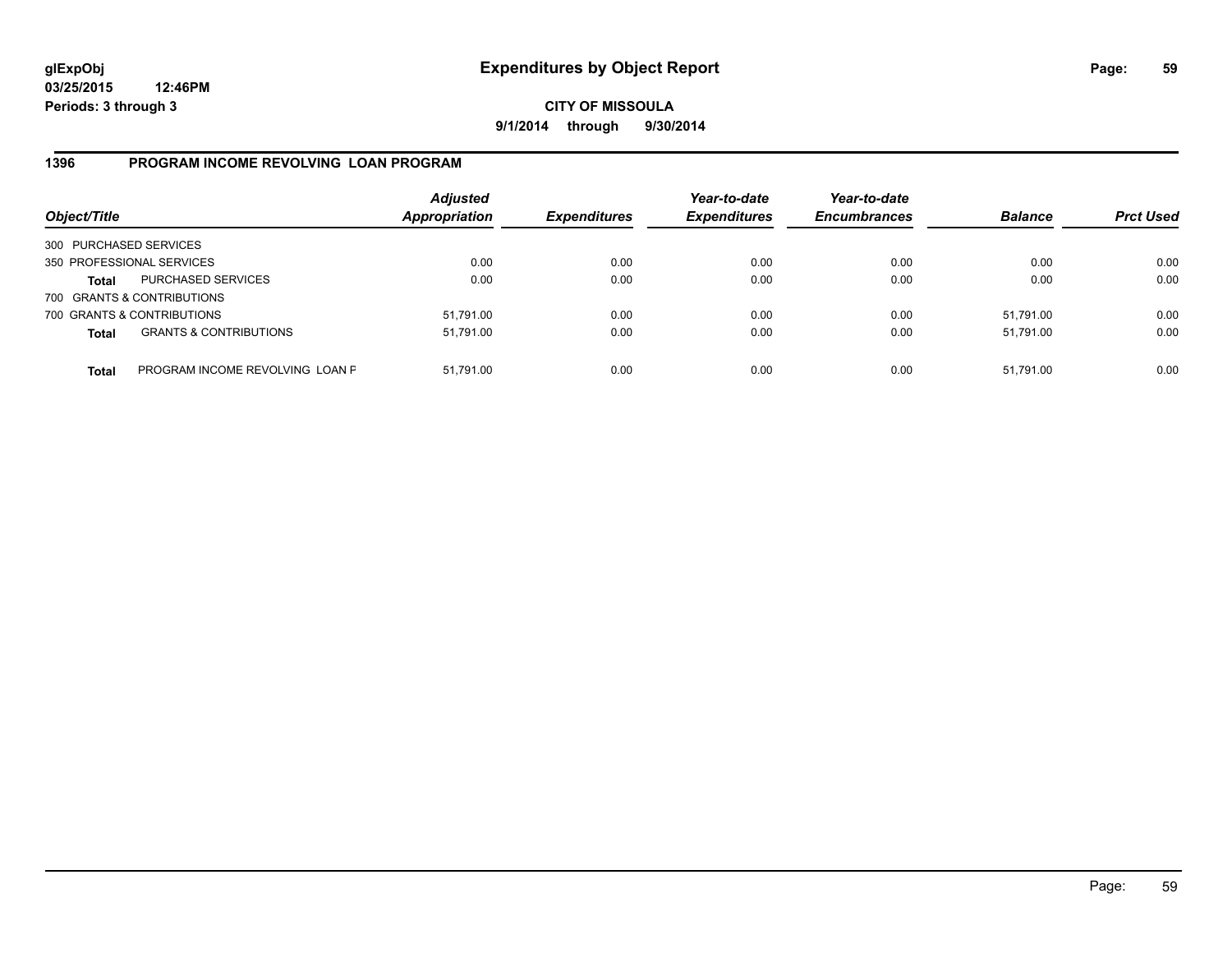## **CITY OF MISSOULA 9/1/2014 through 9/30/2014**

## **1396 PROGRAM INCOME REVOLVING LOAN PROGRAM**

| Object/Title           |                                   | <b>Adjusted</b><br>Appropriation | <b>Expenditures</b> | Year-to-date<br><b>Expenditures</b> | Year-to-date<br><b>Encumbrances</b> | <b>Balance</b> | <b>Prct Used</b> |
|------------------------|-----------------------------------|----------------------------------|---------------------|-------------------------------------|-------------------------------------|----------------|------------------|
| 300 PURCHASED SERVICES |                                   |                                  |                     |                                     |                                     |                |                  |
|                        | 350 PROFESSIONAL SERVICES         | 0.00                             | 0.00                | 0.00                                | 0.00                                | 0.00           | 0.00             |
| Total                  | <b>PURCHASED SERVICES</b>         | 0.00                             | 0.00                | 0.00                                | 0.00                                | 0.00           | 0.00             |
|                        | 700 GRANTS & CONTRIBUTIONS        |                                  |                     |                                     |                                     |                |                  |
|                        | 700 GRANTS & CONTRIBUTIONS        | 51,791.00                        | 0.00                | 0.00                                | 0.00                                | 51,791.00      | 0.00             |
| <b>Total</b>           | <b>GRANTS &amp; CONTRIBUTIONS</b> | 51,791.00                        | 0.00                | 0.00                                | 0.00                                | 51.791.00      | 0.00             |
| <b>Total</b>           | PROGRAM INCOME REVOLVING LOAN P   | 51,791.00                        | 0.00                | 0.00                                | 0.00                                | 51,791.00      | 0.00             |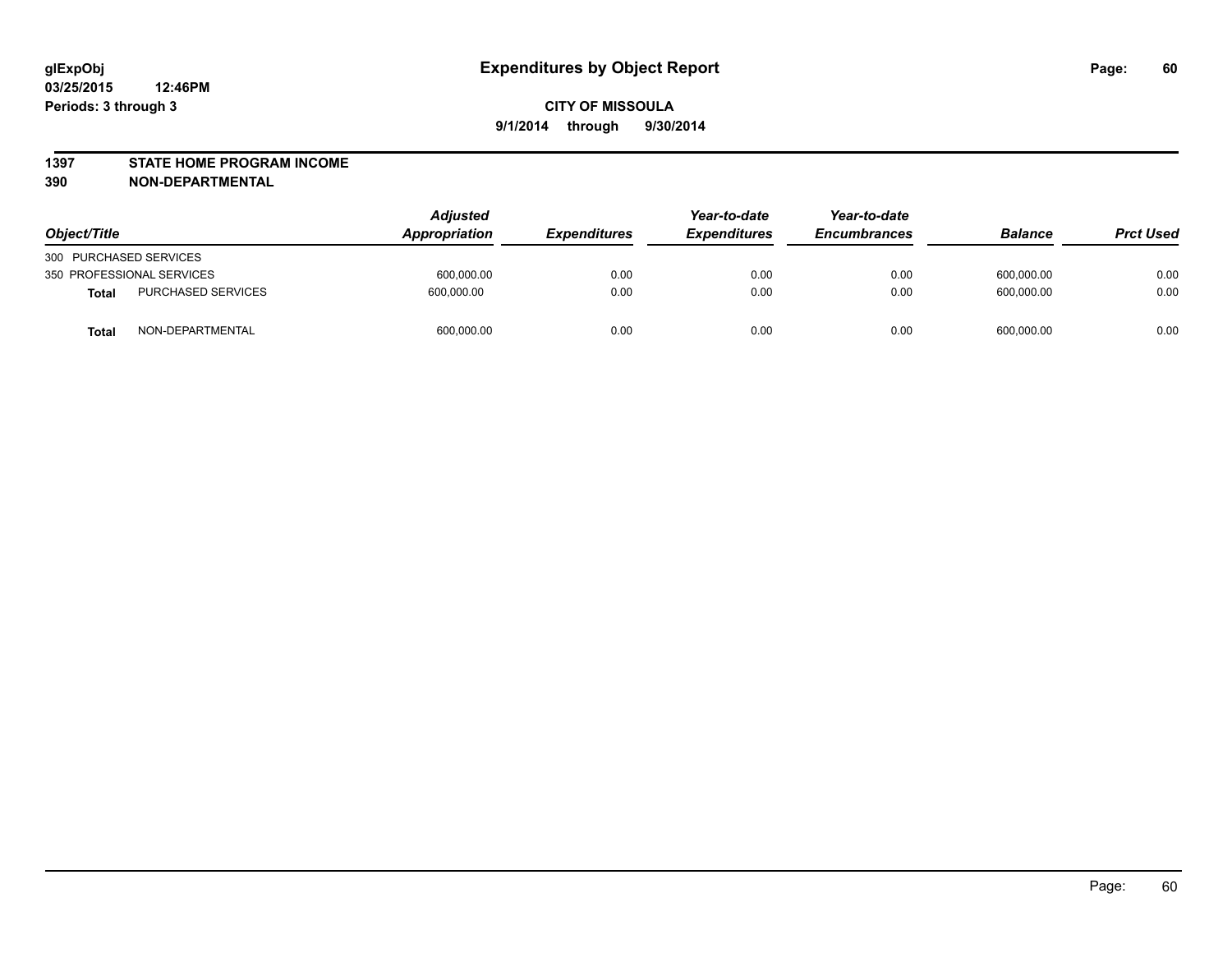#### **1397 STATE HOME PROGRAM INCOME**

**390 NON-DEPARTMENTAL**

| Object/Title                       | <b>Adjusted</b><br><b>Appropriation</b> | <b>Expenditures</b> | Year-to-date<br><b>Expenditures</b> | Year-to-date<br><b>Encumbrances</b> | <b>Balance</b> | <b>Prct Used</b> |
|------------------------------------|-----------------------------------------|---------------------|-------------------------------------|-------------------------------------|----------------|------------------|
| 300 PURCHASED SERVICES             |                                         |                     |                                     |                                     |                |                  |
| 350 PROFESSIONAL SERVICES          | 600,000.00                              | 0.00                | 0.00                                | 0.00                                | 600,000.00     | 0.00             |
| <b>PURCHASED SERVICES</b><br>Total | 600.000.00                              | 0.00                | 0.00                                | 0.00                                | 600.000.00     | 0.00             |
| NON-DEPARTMENTAL<br>Tota           | 600,000.00                              | 0.00                | 0.00                                | 0.00                                | 600,000.00     | 0.00             |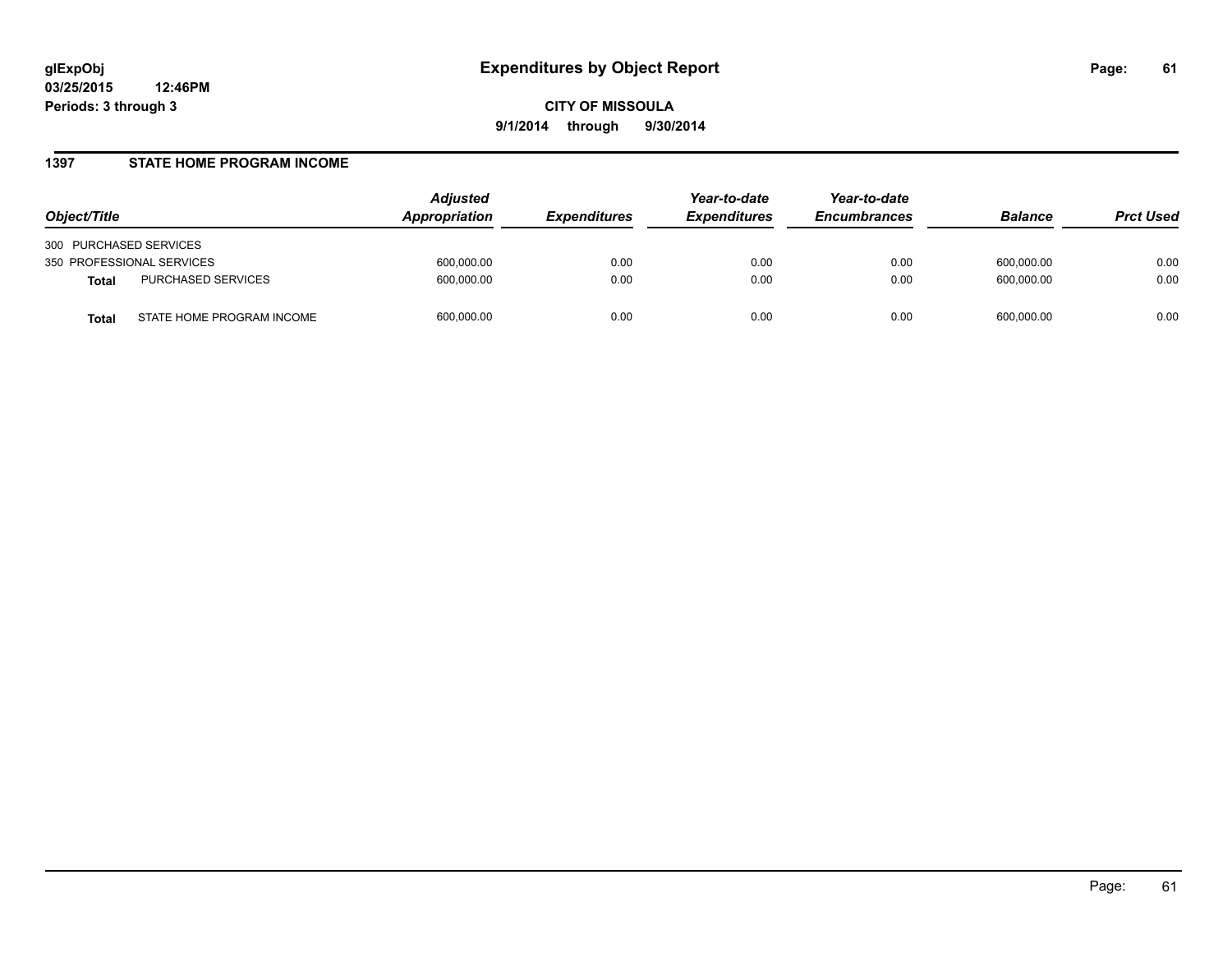#### **1397 STATE HOME PROGRAM INCOME**

| Object/Title                              | <b>Adjusted</b><br>Appropriation | <i><b>Expenditures</b></i> | Year-to-date<br><b>Expenditures</b> | Year-to-date<br><b>Encumbrances</b> | <b>Balance</b> | <b>Prct Used</b> |
|-------------------------------------------|----------------------------------|----------------------------|-------------------------------------|-------------------------------------|----------------|------------------|
| 300 PURCHASED SERVICES                    |                                  |                            |                                     |                                     |                |                  |
| 350 PROFESSIONAL SERVICES                 | 600,000.00                       | 0.00                       | 0.00                                | 0.00                                | 600.000.00     | 0.00             |
| PURCHASED SERVICES<br><b>Total</b>        | 600,000.00                       | 0.00                       | 0.00                                | 0.00                                | 600.000.00     | 0.00             |
| STATE HOME PROGRAM INCOME<br><b>Total</b> | 600,000.00                       | 0.00                       | 0.00                                | 0.00                                | 600.000.00     | 0.00             |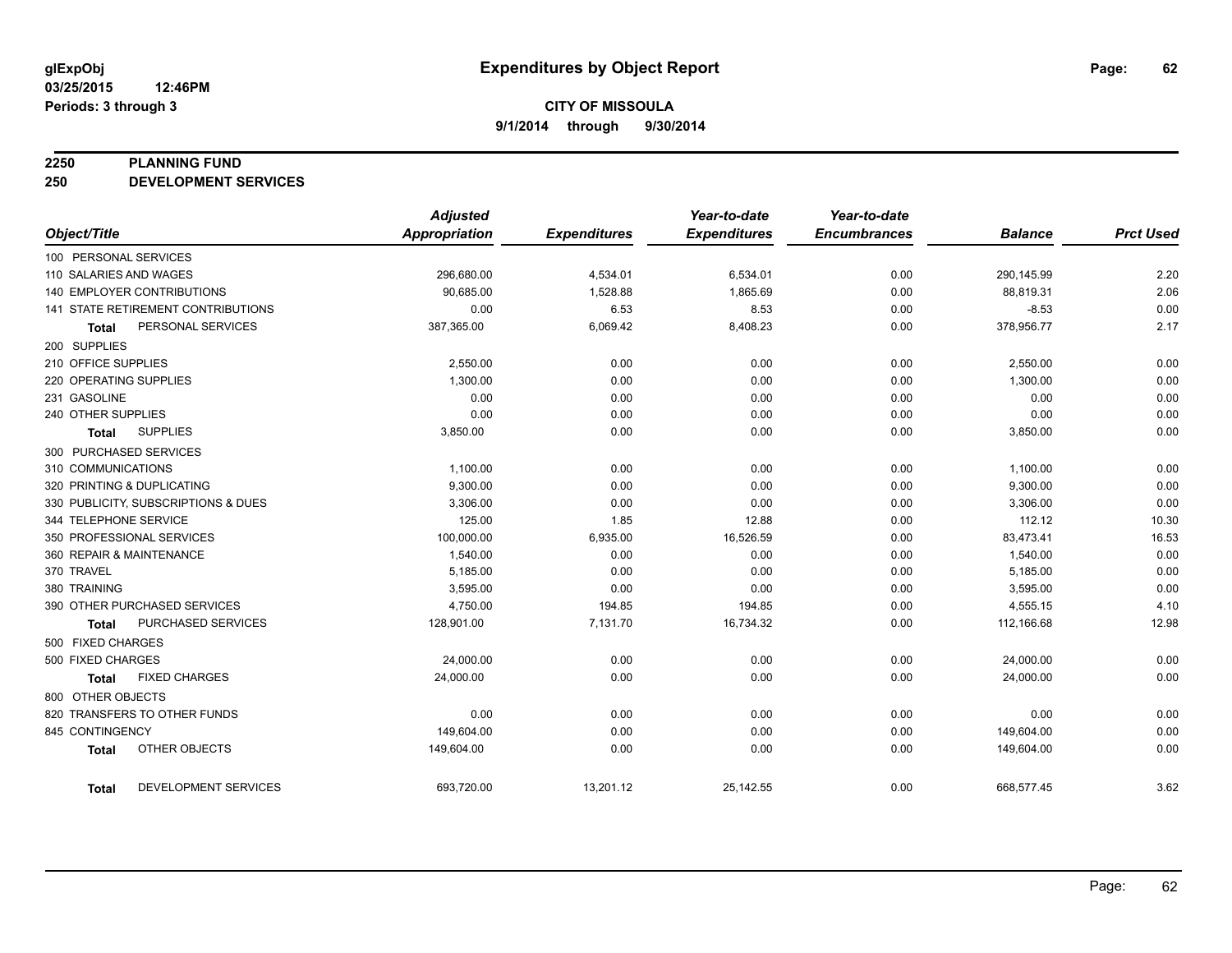#### **2250 PLANNING FUND**

**250 DEVELOPMENT SERVICES**

|                                     | <b>Adjusted</b> |                     | Year-to-date        | Year-to-date        |                |                  |
|-------------------------------------|-----------------|---------------------|---------------------|---------------------|----------------|------------------|
| Object/Title                        | Appropriation   | <b>Expenditures</b> | <b>Expenditures</b> | <b>Encumbrances</b> | <b>Balance</b> | <b>Prct Used</b> |
| 100 PERSONAL SERVICES               |                 |                     |                     |                     |                |                  |
| 110 SALARIES AND WAGES              | 296,680.00      | 4,534.01            | 6,534.01            | 0.00                | 290,145.99     | 2.20             |
| <b>140 EMPLOYER CONTRIBUTIONS</b>   | 90,685.00       | 1,528.88            | 1,865.69            | 0.00                | 88,819.31      | 2.06             |
| 141 STATE RETIREMENT CONTRIBUTIONS  | 0.00            | 6.53                | 8.53                | 0.00                | $-8.53$        | 0.00             |
| PERSONAL SERVICES<br><b>Total</b>   | 387,365.00      | 6,069.42            | 8,408.23            | 0.00                | 378,956.77     | 2.17             |
| 200 SUPPLIES                        |                 |                     |                     |                     |                |                  |
| 210 OFFICE SUPPLIES                 | 2,550.00        | 0.00                | 0.00                | 0.00                | 2,550.00       | 0.00             |
| 220 OPERATING SUPPLIES              | 1,300.00        | 0.00                | 0.00                | 0.00                | 1,300.00       | 0.00             |
| 231 GASOLINE                        | 0.00            | 0.00                | 0.00                | 0.00                | 0.00           | 0.00             |
| 240 OTHER SUPPLIES                  | 0.00            | 0.00                | 0.00                | 0.00                | 0.00           | 0.00             |
| <b>SUPPLIES</b><br>Total            | 3,850.00        | 0.00                | 0.00                | 0.00                | 3,850.00       | 0.00             |
| 300 PURCHASED SERVICES              |                 |                     |                     |                     |                |                  |
| 310 COMMUNICATIONS                  | 1,100.00        | 0.00                | 0.00                | 0.00                | 1,100.00       | 0.00             |
| 320 PRINTING & DUPLICATING          | 9,300.00        | 0.00                | 0.00                | 0.00                | 9,300.00       | 0.00             |
| 330 PUBLICITY, SUBSCRIPTIONS & DUES | 3.306.00        | 0.00                | 0.00                | 0.00                | 3,306.00       | 0.00             |
| 344 TELEPHONE SERVICE               | 125.00          | 1.85                | 12.88               | 0.00                | 112.12         | 10.30            |
| 350 PROFESSIONAL SERVICES           | 100,000.00      | 6,935.00            | 16,526.59           | 0.00                | 83,473.41      | 16.53            |
| 360 REPAIR & MAINTENANCE            | 1,540.00        | 0.00                | 0.00                | 0.00                | 1,540.00       | 0.00             |
| 370 TRAVEL                          | 5,185.00        | 0.00                | 0.00                | 0.00                | 5,185.00       | 0.00             |
| 380 TRAINING                        | 3,595.00        | 0.00                | 0.00                | 0.00                | 3,595.00       | 0.00             |
| 390 OTHER PURCHASED SERVICES        | 4,750.00        | 194.85              | 194.85              | 0.00                | 4,555.15       | 4.10             |
| PURCHASED SERVICES<br><b>Total</b>  | 128,901.00      | 7,131.70            | 16,734.32           | 0.00                | 112,166.68     | 12.98            |
| 500 FIXED CHARGES                   |                 |                     |                     |                     |                |                  |
| 500 FIXED CHARGES                   | 24,000.00       | 0.00                | 0.00                | 0.00                | 24,000.00      | 0.00             |
| <b>FIXED CHARGES</b><br>Total       | 24,000.00       | 0.00                | 0.00                | 0.00                | 24,000.00      | 0.00             |
| 800 OTHER OBJECTS                   |                 |                     |                     |                     |                |                  |
| 820 TRANSFERS TO OTHER FUNDS        | 0.00            | 0.00                | 0.00                | 0.00                | 0.00           | 0.00             |
| 845 CONTINGENCY                     | 149,604.00      | 0.00                | 0.00                | 0.00                | 149,604.00     | 0.00             |
| OTHER OBJECTS<br><b>Total</b>       | 149,604.00      | 0.00                | 0.00                | 0.00                | 149,604.00     | 0.00             |
| DEVELOPMENT SERVICES<br>Total       | 693,720.00      | 13,201.12           | 25,142.55           | 0.00                | 668,577.45     | 3.62             |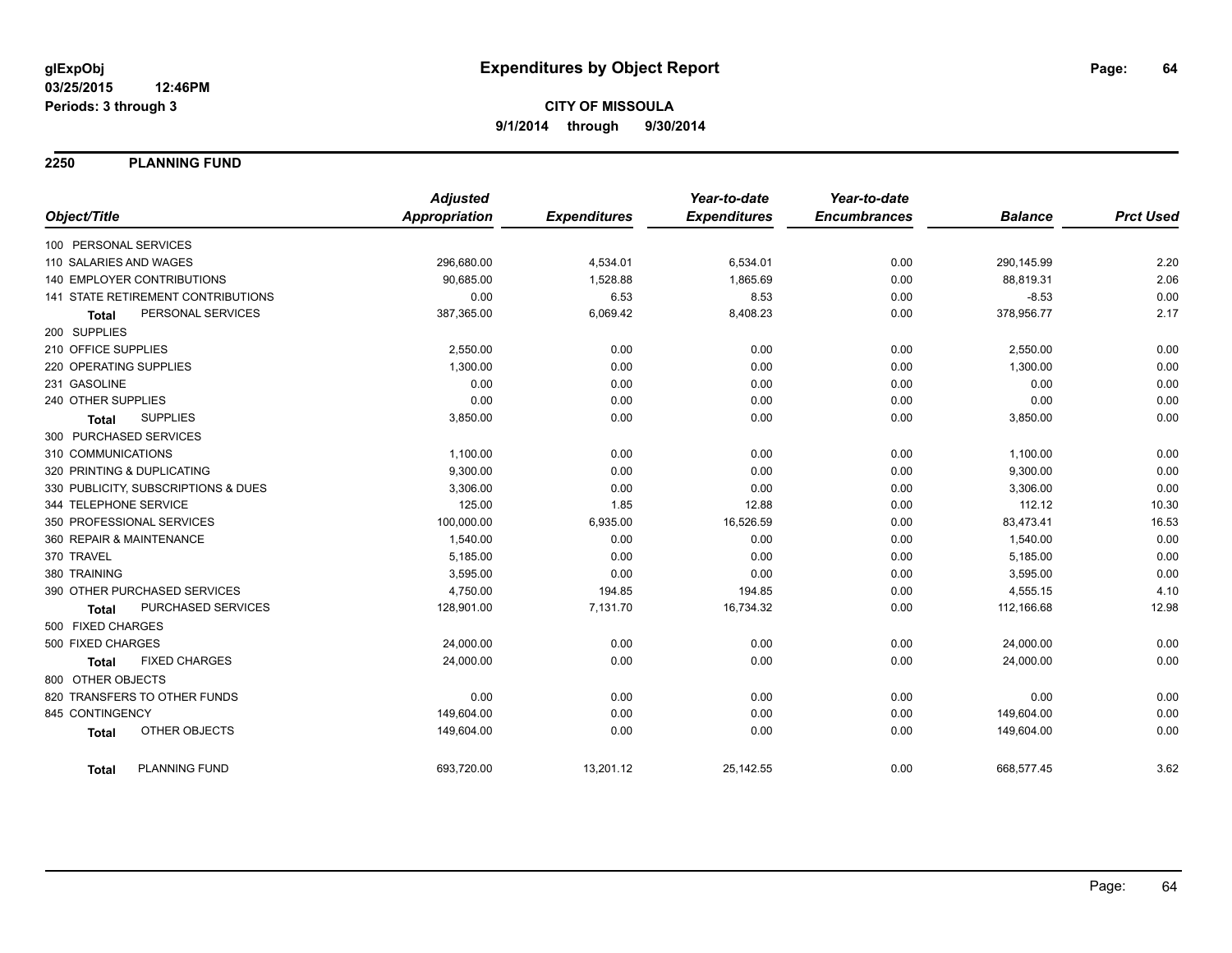**2250 PLANNING FUND**

|                                      | <b>Adjusted</b>      |                     | Year-to-date        | Year-to-date        |                |                  |
|--------------------------------------|----------------------|---------------------|---------------------|---------------------|----------------|------------------|
| Object/Title                         | <b>Appropriation</b> | <b>Expenditures</b> | <b>Expenditures</b> | <b>Encumbrances</b> | <b>Balance</b> | <b>Prct Used</b> |
| 100 PERSONAL SERVICES                |                      |                     |                     |                     |                |                  |
| 110 SALARIES AND WAGES               | 296,680.00           | 4,534.01            | 6,534.01            | 0.00                | 290,145.99     | 2.20             |
| <b>140 EMPLOYER CONTRIBUTIONS</b>    | 90,685.00            | 1,528.88            | 1,865.69            | 0.00                | 88,819.31      | 2.06             |
| 141 STATE RETIREMENT CONTRIBUTIONS   | 0.00                 | 6.53                | 8.53                | 0.00                | $-8.53$        | 0.00             |
| PERSONAL SERVICES<br><b>Total</b>    | 387,365.00           | 6,069.42            | 8,408.23            | 0.00                | 378,956.77     | 2.17             |
| 200 SUPPLIES                         |                      |                     |                     |                     |                |                  |
| 210 OFFICE SUPPLIES                  | 2,550.00             | 0.00                | 0.00                | 0.00                | 2,550.00       | 0.00             |
| 220 OPERATING SUPPLIES               | 1,300.00             | 0.00                | 0.00                | 0.00                | 1,300.00       | 0.00             |
| 231 GASOLINE                         | 0.00                 | 0.00                | 0.00                | 0.00                | 0.00           | 0.00             |
| 240 OTHER SUPPLIES                   | 0.00                 | 0.00                | 0.00                | 0.00                | 0.00           | 0.00             |
| <b>SUPPLIES</b><br><b>Total</b>      | 3,850.00             | 0.00                | 0.00                | 0.00                | 3,850.00       | 0.00             |
| 300 PURCHASED SERVICES               |                      |                     |                     |                     |                |                  |
| 310 COMMUNICATIONS                   | 1,100.00             | 0.00                | 0.00                | 0.00                | 1,100.00       | 0.00             |
| 320 PRINTING & DUPLICATING           | 9,300.00             | 0.00                | 0.00                | 0.00                | 9,300.00       | 0.00             |
| 330 PUBLICITY, SUBSCRIPTIONS & DUES  | 3,306.00             | 0.00                | 0.00                | 0.00                | 3,306.00       | 0.00             |
| 344 TELEPHONE SERVICE                | 125.00               | 1.85                | 12.88               | 0.00                | 112.12         | 10.30            |
| 350 PROFESSIONAL SERVICES            | 100,000.00           | 6,935.00            | 16,526.59           | 0.00                | 83,473.41      | 16.53            |
| 360 REPAIR & MAINTENANCE             | 1,540.00             | 0.00                | 0.00                | 0.00                | 1,540.00       | 0.00             |
| 370 TRAVEL                           | 5,185.00             | 0.00                | 0.00                | 0.00                | 5,185.00       | 0.00             |
| 380 TRAINING                         | 3,595.00             | 0.00                | 0.00                | 0.00                | 3,595.00       | 0.00             |
| 390 OTHER PURCHASED SERVICES         | 4,750.00             | 194.85              | 194.85              | 0.00                | 4,555.15       | 4.10             |
| PURCHASED SERVICES<br><b>Total</b>   | 128,901.00           | 7,131.70            | 16,734.32           | 0.00                | 112,166.68     | 12.98            |
| 500 FIXED CHARGES                    |                      |                     |                     |                     |                |                  |
| 500 FIXED CHARGES                    | 24,000.00            | 0.00                | 0.00                | 0.00                | 24,000.00      | 0.00             |
| <b>FIXED CHARGES</b><br><b>Total</b> | 24,000.00            | 0.00                | 0.00                | 0.00                | 24,000.00      | 0.00             |
| 800 OTHER OBJECTS                    |                      |                     |                     |                     |                |                  |
| 820 TRANSFERS TO OTHER FUNDS         | 0.00                 | 0.00                | 0.00                | 0.00                | 0.00           | 0.00             |
| 845 CONTINGENCY                      | 149,604.00           | 0.00                | 0.00                | 0.00                | 149,604.00     | 0.00             |
| OTHER OBJECTS<br><b>Total</b>        | 149,604.00           | 0.00                | 0.00                | 0.00                | 149,604.00     | 0.00             |
| <b>PLANNING FUND</b><br><b>Total</b> | 693,720.00           | 13,201.12           | 25,142.55           | 0.00                | 668,577.45     | 3.62             |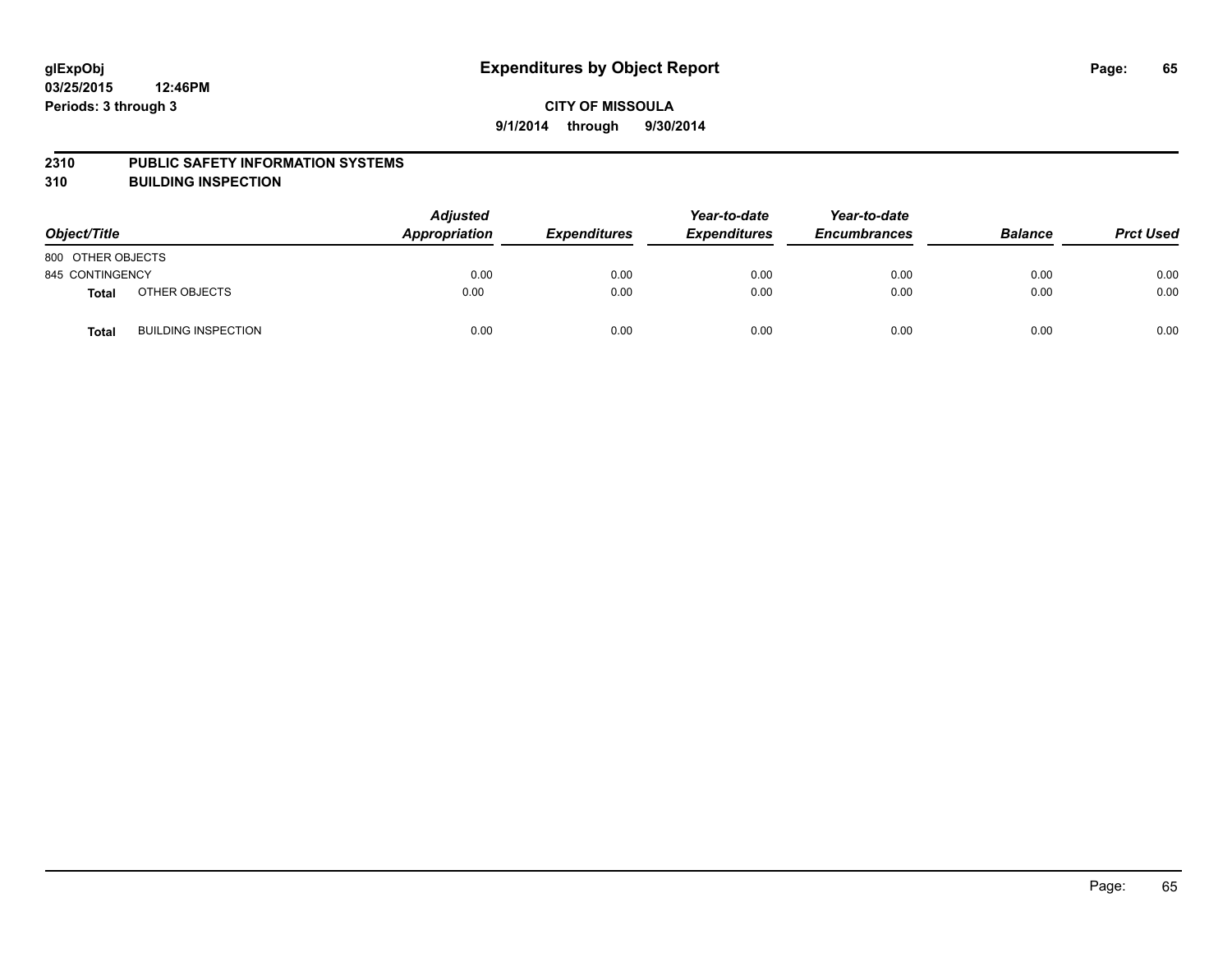#### **2310 PUBLIC SAFETY INFORMATION SYSTEMS**

**310 BUILDING INSPECTION**

| Object/Title      |                            | <b>Adjusted</b><br>Appropriation | <b>Expenditures</b> | Year-to-date<br><b>Expenditures</b> | Year-to-date<br><b>Encumbrances</b> | <b>Balance</b> | <b>Prct Used</b> |
|-------------------|----------------------------|----------------------------------|---------------------|-------------------------------------|-------------------------------------|----------------|------------------|
| 800 OTHER OBJECTS |                            |                                  |                     |                                     |                                     |                |                  |
| 845 CONTINGENCY   |                            | 0.00                             | 0.00                | 0.00                                | 0.00                                | 0.00           | 0.00             |
| <b>Total</b>      | OTHER OBJECTS              | 0.00                             | 0.00                | 0.00                                | 0.00                                | 0.00           | 0.00             |
| <b>Total</b>      | <b>BUILDING INSPECTION</b> | 0.00                             | 0.00                | 0.00                                | 0.00                                | 0.00           | 0.00             |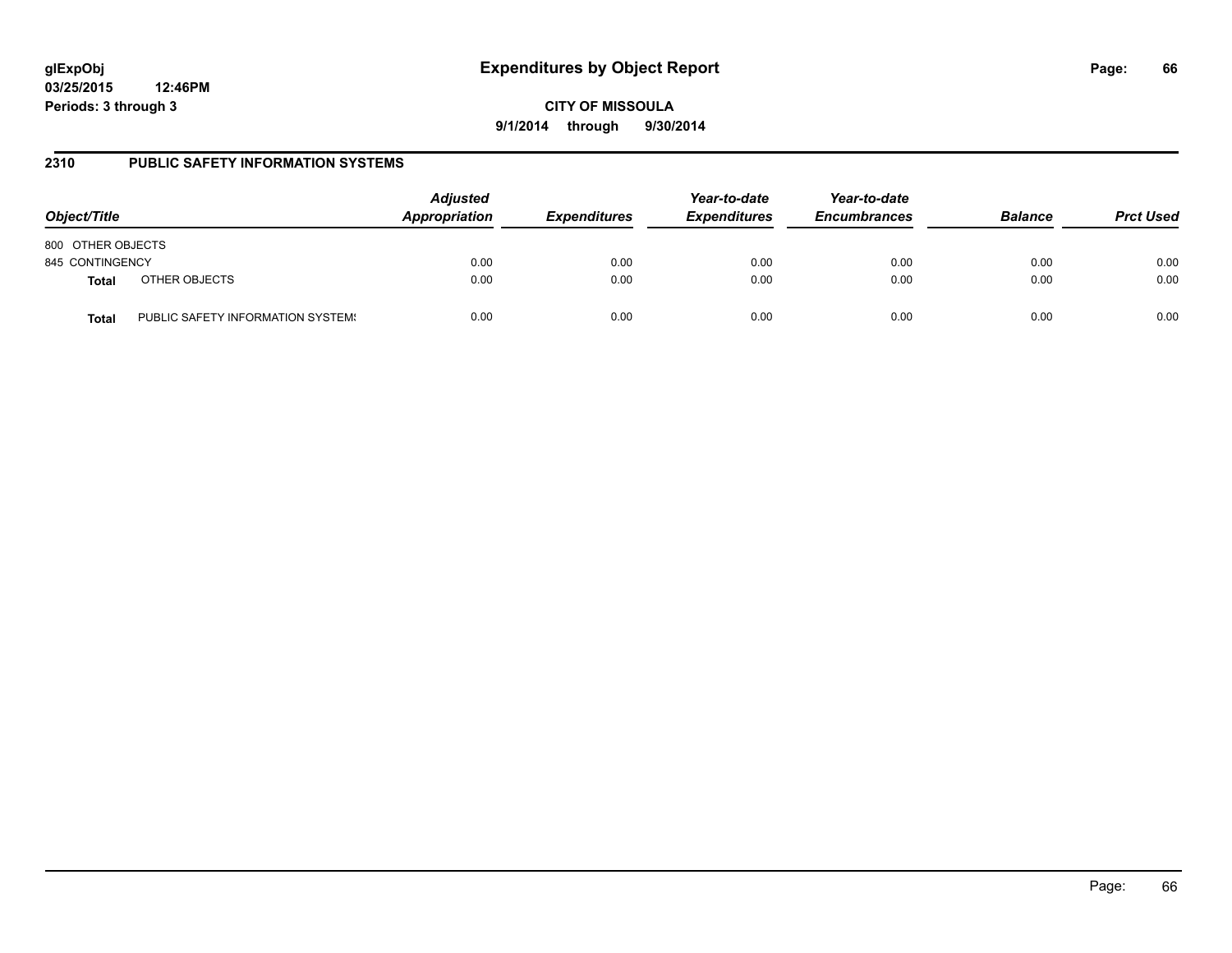**CITY OF MISSOULA 9/1/2014 through 9/30/2014**

## **2310 PUBLIC SAFETY INFORMATION SYSTEMS**

| Object/Title      |                                   | <b>Adjusted</b><br>Appropriation | <b>Expenditures</b> | Year-to-date<br><b>Expenditures</b> | Year-to-date<br><b>Encumbrances</b> | <b>Balance</b> | <b>Prct Used</b> |
|-------------------|-----------------------------------|----------------------------------|---------------------|-------------------------------------|-------------------------------------|----------------|------------------|
| 800 OTHER OBJECTS |                                   |                                  |                     |                                     |                                     |                |                  |
| 845 CONTINGENCY   |                                   | 0.00                             | 0.00                | 0.00                                | 0.00                                | 0.00           | 0.00             |
| <b>Total</b>      | OTHER OBJECTS                     | 0.00                             | 0.00                | 0.00                                | 0.00                                | 0.00           | 0.00             |
| Total             | PUBLIC SAFETY INFORMATION SYSTEM! | 0.00                             | 0.00                | 0.00                                | 0.00                                | 0.00           | 0.00             |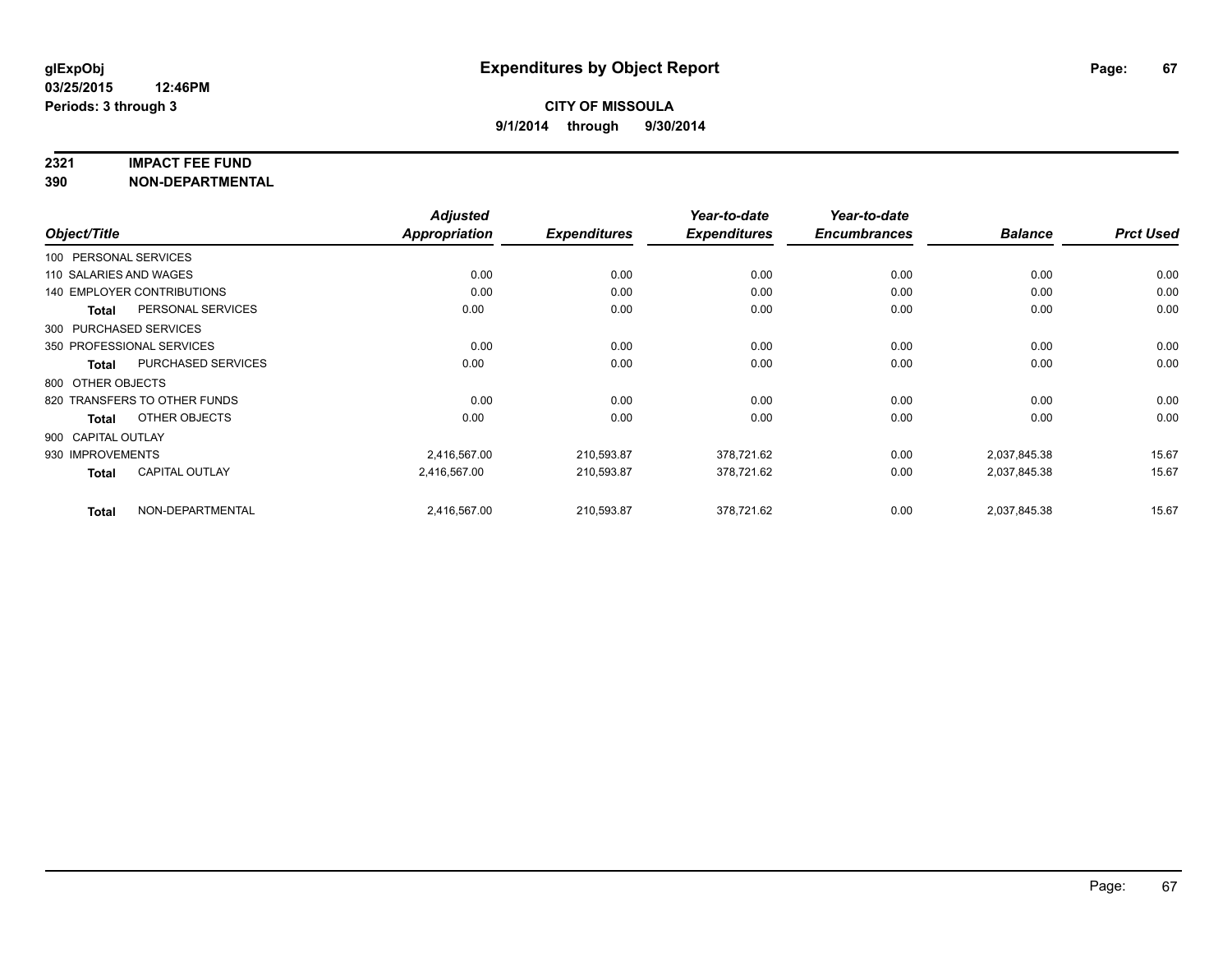#### **2321 IMPACT FEE FUND**

**390 NON-DEPARTMENTAL**

| Object/Title           |                                   | <b>Adjusted</b> |                     | Year-to-date        | Year-to-date        |                |                  |
|------------------------|-----------------------------------|-----------------|---------------------|---------------------|---------------------|----------------|------------------|
|                        |                                   | Appropriation   | <b>Expenditures</b> | <b>Expenditures</b> | <b>Encumbrances</b> | <b>Balance</b> | <b>Prct Used</b> |
| 100 PERSONAL SERVICES  |                                   |                 |                     |                     |                     |                |                  |
| 110 SALARIES AND WAGES |                                   | 0.00            | 0.00                | 0.00                | 0.00                | 0.00           | 0.00             |
|                        | <b>140 EMPLOYER CONTRIBUTIONS</b> | 0.00            | 0.00                | 0.00                | 0.00                | 0.00           | 0.00             |
| <b>Total</b>           | PERSONAL SERVICES                 | 0.00            | 0.00                | 0.00                | 0.00                | 0.00           | 0.00             |
| 300 PURCHASED SERVICES |                                   |                 |                     |                     |                     |                |                  |
|                        | 350 PROFESSIONAL SERVICES         | 0.00            | 0.00                | 0.00                | 0.00                | 0.00           | 0.00             |
| Total                  | <b>PURCHASED SERVICES</b>         | 0.00            | 0.00                | 0.00                | 0.00                | 0.00           | 0.00             |
| 800 OTHER OBJECTS      |                                   |                 |                     |                     |                     |                |                  |
|                        | 820 TRANSFERS TO OTHER FUNDS      | 0.00            | 0.00                | 0.00                | 0.00                | 0.00           | 0.00             |
| Total                  | OTHER OBJECTS                     | 0.00            | 0.00                | 0.00                | 0.00                | 0.00           | 0.00             |
| 900 CAPITAL OUTLAY     |                                   |                 |                     |                     |                     |                |                  |
| 930 IMPROVEMENTS       |                                   | 2,416,567.00    | 210,593.87          | 378,721.62          | 0.00                | 2,037,845.38   | 15.67            |
| Total                  | <b>CAPITAL OUTLAY</b>             | 2.416.567.00    | 210,593.87          | 378,721.62          | 0.00                | 2,037,845.38   | 15.67            |
| <b>Total</b>           | NON-DEPARTMENTAL                  | 2,416,567.00    | 210,593.87          | 378,721.62          | 0.00                | 2,037,845.38   | 15.67            |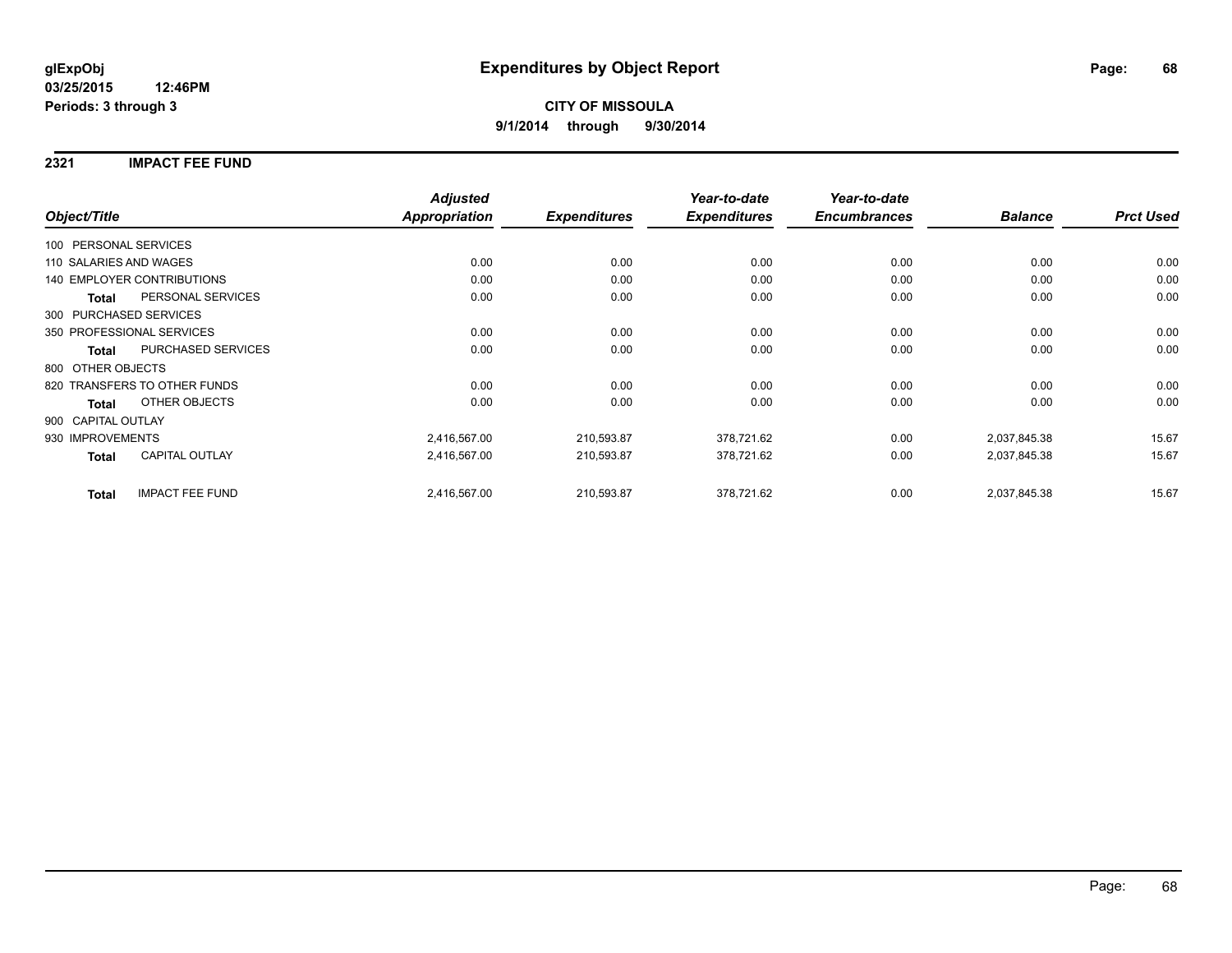## **2321 IMPACT FEE FUND**

| Object/Title           |                                   | <b>Adjusted</b><br><b>Appropriation</b> | <b>Expenditures</b> | Year-to-date<br><b>Expenditures</b> | Year-to-date<br><b>Encumbrances</b> | <b>Balance</b> | <b>Prct Used</b> |
|------------------------|-----------------------------------|-----------------------------------------|---------------------|-------------------------------------|-------------------------------------|----------------|------------------|
| 100 PERSONAL SERVICES  |                                   |                                         |                     |                                     |                                     |                |                  |
| 110 SALARIES AND WAGES |                                   | 0.00                                    | 0.00                | 0.00                                | 0.00                                | 0.00           | 0.00             |
|                        | <b>140 EMPLOYER CONTRIBUTIONS</b> | 0.00                                    | 0.00                | 0.00                                | 0.00                                | 0.00           | 0.00             |
| <b>Total</b>           | PERSONAL SERVICES                 | 0.00                                    | 0.00                | 0.00                                | 0.00                                | 0.00           | 0.00             |
|                        | 300 PURCHASED SERVICES            |                                         |                     |                                     |                                     |                |                  |
|                        | 350 PROFESSIONAL SERVICES         | 0.00                                    | 0.00                | 0.00                                | 0.00                                | 0.00           | 0.00             |
| <b>Total</b>           | PURCHASED SERVICES                | 0.00                                    | 0.00                | 0.00                                | 0.00                                | 0.00           | 0.00             |
| 800 OTHER OBJECTS      |                                   |                                         |                     |                                     |                                     |                |                  |
|                        | 820 TRANSFERS TO OTHER FUNDS      | 0.00                                    | 0.00                | 0.00                                | 0.00                                | 0.00           | 0.00             |
| Total                  | <b>OTHER OBJECTS</b>              | 0.00                                    | 0.00                | 0.00                                | 0.00                                | 0.00           | 0.00             |
| 900 CAPITAL OUTLAY     |                                   |                                         |                     |                                     |                                     |                |                  |
| 930 IMPROVEMENTS       |                                   | 2,416,567.00                            | 210,593.87          | 378,721.62                          | 0.00                                | 2,037,845.38   | 15.67            |
| Total                  | <b>CAPITAL OUTLAY</b>             | 2,416,567.00                            | 210,593.87          | 378,721.62                          | 0.00                                | 2,037,845.38   | 15.67            |
| <b>Total</b>           | <b>IMPACT FEE FUND</b>            | 2,416,567.00                            | 210,593.87          | 378,721.62                          | 0.00                                | 2,037,845.38   | 15.67            |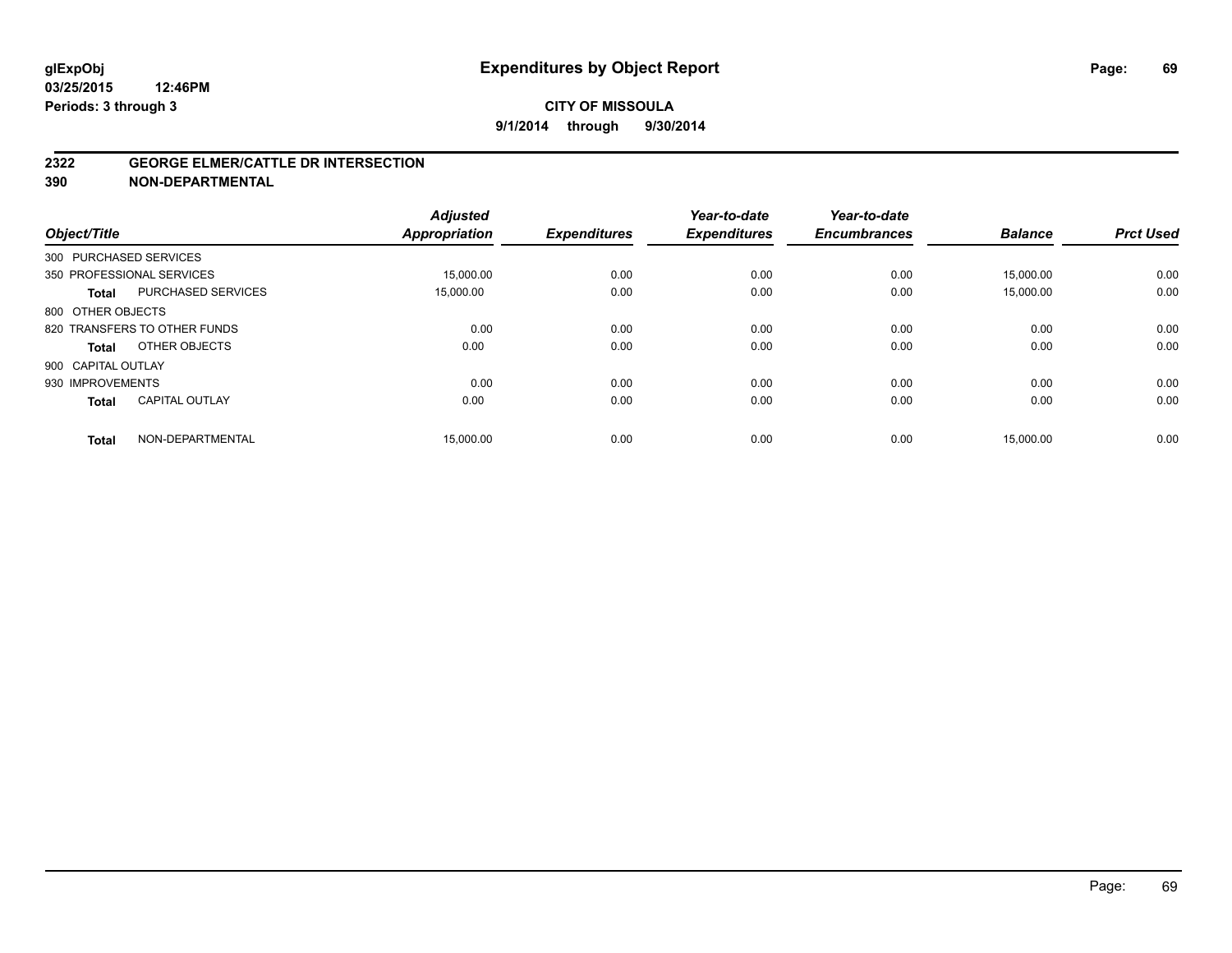#### **2322 GEORGE ELMER/CATTLE DR INTERSECTION**

**390 NON-DEPARTMENTAL**

| Object/Title           |                              | <b>Adjusted</b><br><b>Appropriation</b> | <b>Expenditures</b> | Year-to-date<br><b>Expenditures</b> | Year-to-date<br><b>Encumbrances</b> | <b>Balance</b> | <b>Prct Used</b> |
|------------------------|------------------------------|-----------------------------------------|---------------------|-------------------------------------|-------------------------------------|----------------|------------------|
| 300 PURCHASED SERVICES |                              |                                         |                     |                                     |                                     |                |                  |
|                        | 350 PROFESSIONAL SERVICES    | 15.000.00                               | 0.00                | 0.00                                | 0.00                                | 15.000.00      | 0.00             |
| <b>Total</b>           | <b>PURCHASED SERVICES</b>    | 15,000.00                               | 0.00                | 0.00                                | 0.00                                | 15,000.00      | 0.00             |
| 800 OTHER OBJECTS      |                              |                                         |                     |                                     |                                     |                |                  |
|                        | 820 TRANSFERS TO OTHER FUNDS | 0.00                                    | 0.00                | 0.00                                | 0.00                                | 0.00           | 0.00             |
| Total                  | OTHER OBJECTS                | 0.00                                    | 0.00                | 0.00                                | 0.00                                | 0.00           | 0.00             |
| 900 CAPITAL OUTLAY     |                              |                                         |                     |                                     |                                     |                |                  |
| 930 IMPROVEMENTS       |                              | 0.00                                    | 0.00                | 0.00                                | 0.00                                | 0.00           | 0.00             |
| <b>Total</b>           | <b>CAPITAL OUTLAY</b>        | 0.00                                    | 0.00                | 0.00                                | 0.00                                | 0.00           | 0.00             |
| <b>Total</b>           | NON-DEPARTMENTAL             | 15,000.00                               | 0.00                | 0.00                                | 0.00                                | 15,000.00      | 0.00             |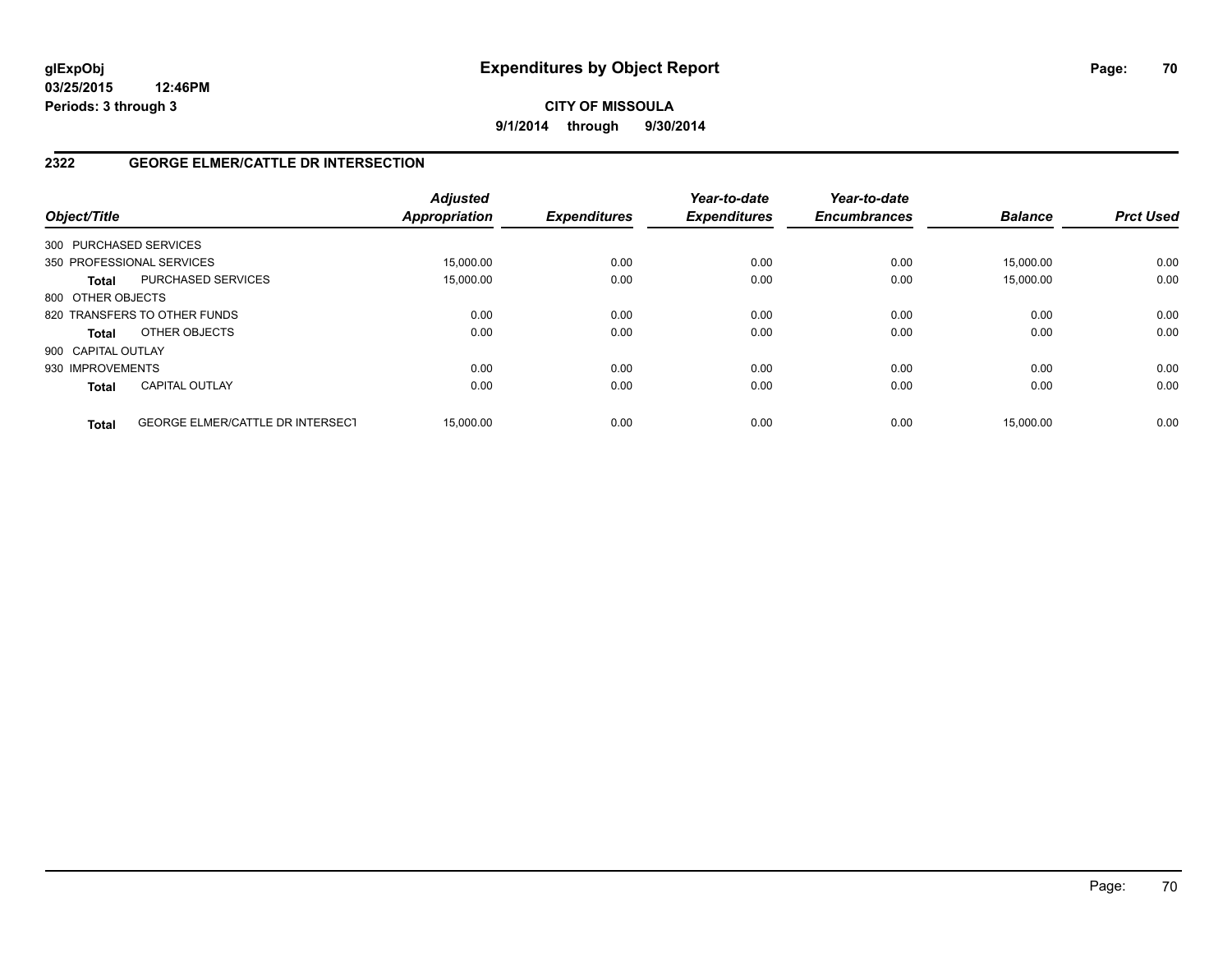**CITY OF MISSOULA 9/1/2014 through 9/30/2014**

## **2322 GEORGE ELMER/CATTLE DR INTERSECTION**

| Object/Title           |                                         | <b>Adjusted</b><br><b>Appropriation</b> | <b>Expenditures</b> | Year-to-date<br><b>Expenditures</b> | Year-to-date<br><b>Encumbrances</b> | <b>Balance</b> | <b>Prct Used</b> |
|------------------------|-----------------------------------------|-----------------------------------------|---------------------|-------------------------------------|-------------------------------------|----------------|------------------|
| 300 PURCHASED SERVICES |                                         |                                         |                     |                                     |                                     |                |                  |
|                        | 350 PROFESSIONAL SERVICES               | 15,000.00                               | 0.00                | 0.00                                | 0.00                                | 15.000.00      | 0.00             |
| <b>Total</b>           | <b>PURCHASED SERVICES</b>               | 15.000.00                               | 0.00                | 0.00                                | 0.00                                | 15.000.00      | 0.00             |
| 800 OTHER OBJECTS      |                                         |                                         |                     |                                     |                                     |                |                  |
|                        | 820 TRANSFERS TO OTHER FUNDS            | 0.00                                    | 0.00                | 0.00                                | 0.00                                | 0.00           | 0.00             |
| <b>Total</b>           | OTHER OBJECTS                           | 0.00                                    | 0.00                | 0.00                                | 0.00                                | 0.00           | 0.00             |
| 900 CAPITAL OUTLAY     |                                         |                                         |                     |                                     |                                     |                |                  |
| 930 IMPROVEMENTS       |                                         | 0.00                                    | 0.00                | 0.00                                | 0.00                                | 0.00           | 0.00             |
| <b>Total</b>           | <b>CAPITAL OUTLAY</b>                   | 0.00                                    | 0.00                | 0.00                                | 0.00                                | 0.00           | 0.00             |
| <b>Total</b>           | <b>GEORGE ELMER/CATTLE DR INTERSECT</b> | 15.000.00                               | 0.00                | 0.00                                | 0.00                                | 15.000.00      | 0.00             |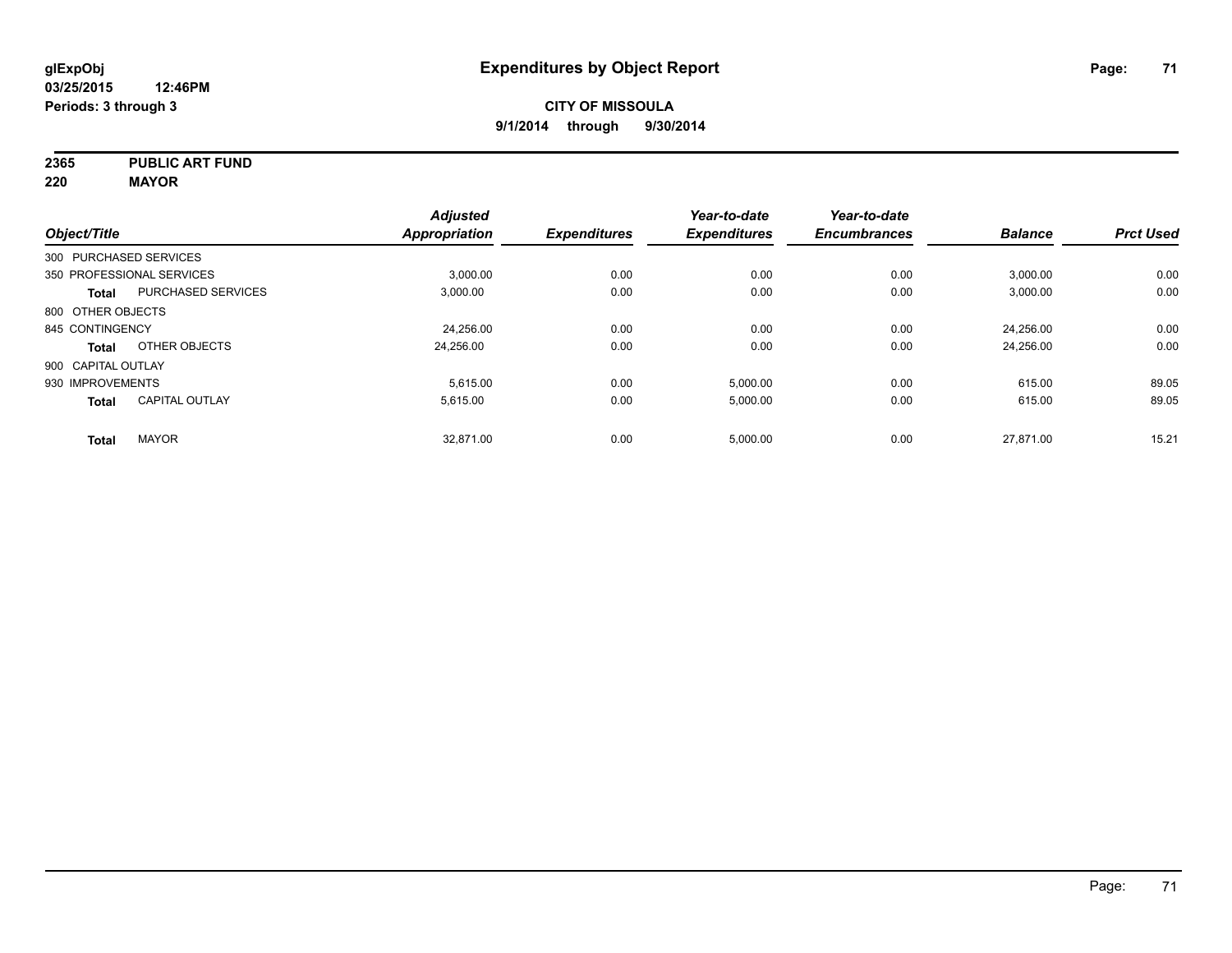**2365 PUBLIC ART FUND**

**220 MAYOR**

|                           |                           | <b>Adjusted</b> |                     | Year-to-date        | Year-to-date        |                |                  |
|---------------------------|---------------------------|-----------------|---------------------|---------------------|---------------------|----------------|------------------|
| Object/Title              |                           | Appropriation   | <b>Expenditures</b> | <b>Expenditures</b> | <b>Encumbrances</b> | <b>Balance</b> | <b>Prct Used</b> |
| 300 PURCHASED SERVICES    |                           |                 |                     |                     |                     |                |                  |
| 350 PROFESSIONAL SERVICES |                           | 3.000.00        | 0.00                | 0.00                | 0.00                | 3,000.00       | 0.00             |
| <b>Total</b>              | <b>PURCHASED SERVICES</b> | 3,000.00        | 0.00                | 0.00                | 0.00                | 3,000.00       | 0.00             |
| 800 OTHER OBJECTS         |                           |                 |                     |                     |                     |                |                  |
| 845 CONTINGENCY           |                           | 24,256.00       | 0.00                | 0.00                | 0.00                | 24,256.00      | 0.00             |
| <b>Total</b>              | OTHER OBJECTS             | 24,256.00       | 0.00                | 0.00                | 0.00                | 24,256.00      | 0.00             |
| 900 CAPITAL OUTLAY        |                           |                 |                     |                     |                     |                |                  |
| 930 IMPROVEMENTS          |                           | 5.615.00        | 0.00                | 5.000.00            | 0.00                | 615.00         | 89.05            |
| Total                     | <b>CAPITAL OUTLAY</b>     | 5,615.00        | 0.00                | 5,000.00            | 0.00                | 615.00         | 89.05            |
| <b>Total</b>              | <b>MAYOR</b>              | 32.871.00       | 0.00                | 5,000.00            | 0.00                | 27.871.00      | 15.21            |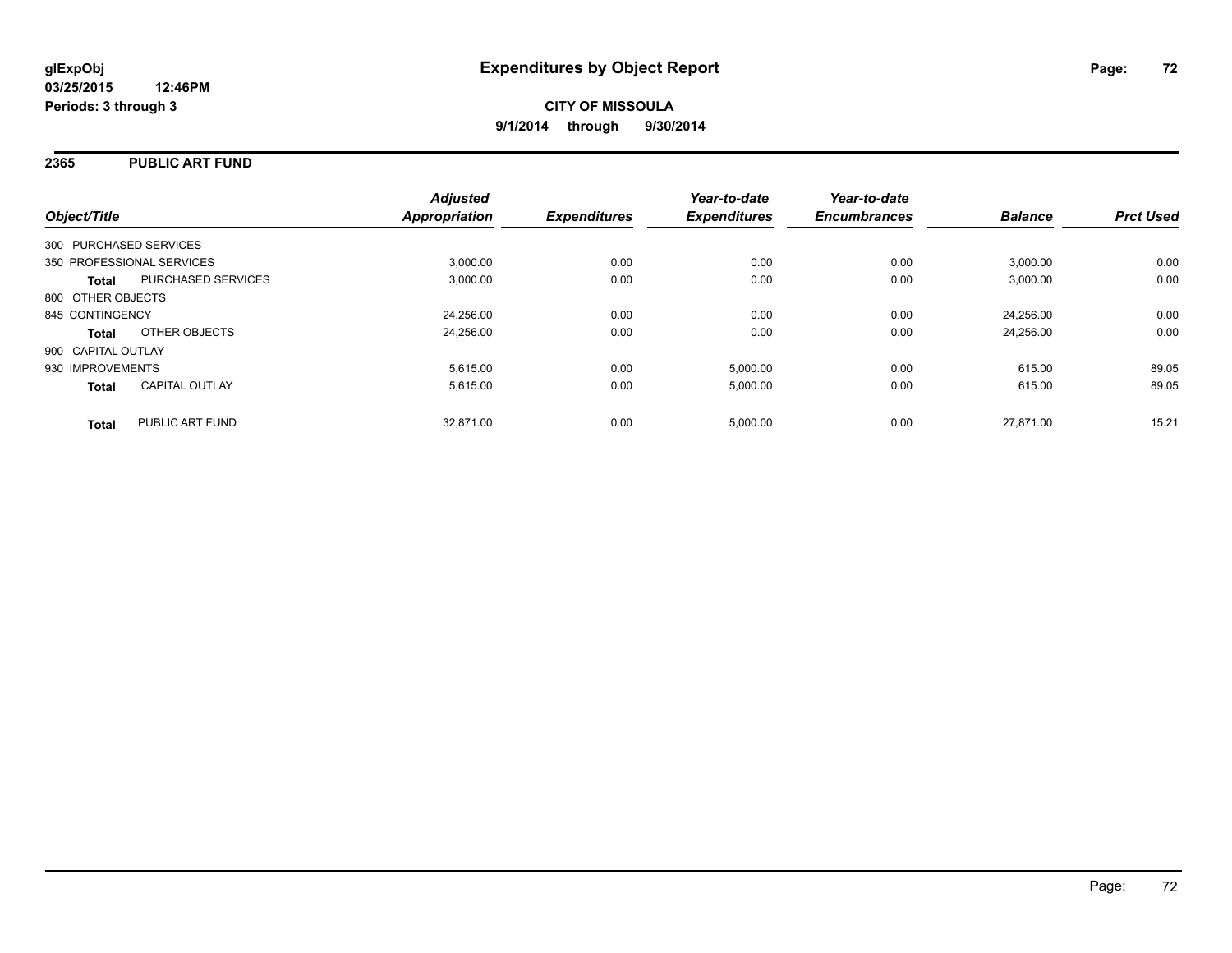## **2365 PUBLIC ART FUND**

| Object/Title                              | <b>Adjusted</b><br><b>Appropriation</b> | <b>Expenditures</b> | Year-to-date<br><b>Expenditures</b> | Year-to-date<br><b>Encumbrances</b> | <b>Balance</b> | <b>Prct Used</b> |
|-------------------------------------------|-----------------------------------------|---------------------|-------------------------------------|-------------------------------------|----------------|------------------|
| 300 PURCHASED SERVICES                    |                                         |                     |                                     |                                     |                |                  |
| 350 PROFESSIONAL SERVICES                 | 3,000.00                                | 0.00                | 0.00                                | 0.00                                | 3,000.00       | 0.00             |
| <b>PURCHASED SERVICES</b><br><b>Total</b> | 3.000.00                                | 0.00                | 0.00                                | 0.00                                | 3,000.00       | 0.00             |
| 800 OTHER OBJECTS                         |                                         |                     |                                     |                                     |                |                  |
| 845 CONTINGENCY                           | 24,256.00                               | 0.00                | 0.00                                | 0.00                                | 24.256.00      | 0.00             |
| OTHER OBJECTS<br><b>Total</b>             | 24,256.00                               | 0.00                | 0.00                                | 0.00                                | 24.256.00      | 0.00             |
| 900 CAPITAL OUTLAY                        |                                         |                     |                                     |                                     |                |                  |
| 930 IMPROVEMENTS                          | 5.615.00                                | 0.00                | 5,000.00                            | 0.00                                | 615.00         | 89.05            |
| <b>CAPITAL OUTLAY</b><br><b>Total</b>     | 5,615.00                                | 0.00                | 5,000.00                            | 0.00                                | 615.00         | 89.05            |
| PUBLIC ART FUND<br><b>Total</b>           | 32.871.00                               | 0.00                | 5.000.00                            | 0.00                                | 27.871.00      | 15.21            |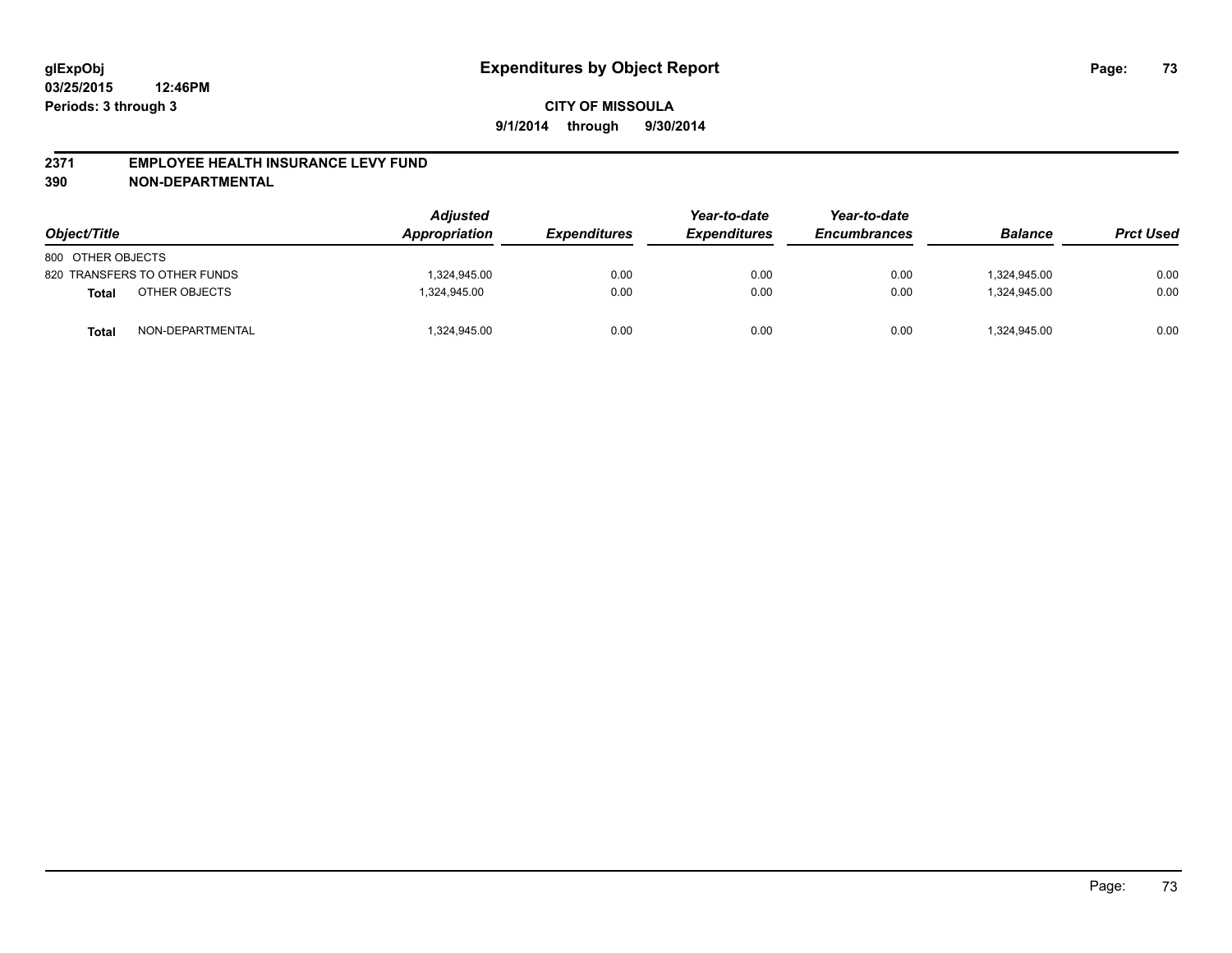#### **2371 EMPLOYEE HEALTH INSURANCE LEVY FUND**

**390 NON-DEPARTMENTAL**

| Object/Title      |                              | <b>Adjusted</b><br>Appropriation | <b>Expenditures</b> | Year-to-date<br><b>Expenditures</b> | Year-to-date<br><b>Encumbrances</b> | <b>Balance</b> | <b>Prct Used</b> |
|-------------------|------------------------------|----------------------------------|---------------------|-------------------------------------|-------------------------------------|----------------|------------------|
| 800 OTHER OBJECTS |                              |                                  |                     |                                     |                                     |                |                  |
|                   | 820 TRANSFERS TO OTHER FUNDS | 1,324,945.00                     | 0.00                | 0.00                                | 0.00                                | 1.324.945.00   | 0.00             |
| <b>Total</b>      | OTHER OBJECTS                | 1.324.945.00                     | 0.00                | 0.00                                | 0.00                                | 1.324.945.00   | 0.00             |
| Total             | NON-DEPARTMENTAL             | 1,324,945.00                     | 0.00                | 0.00                                | 0.00                                | 324,945.00     | 0.00             |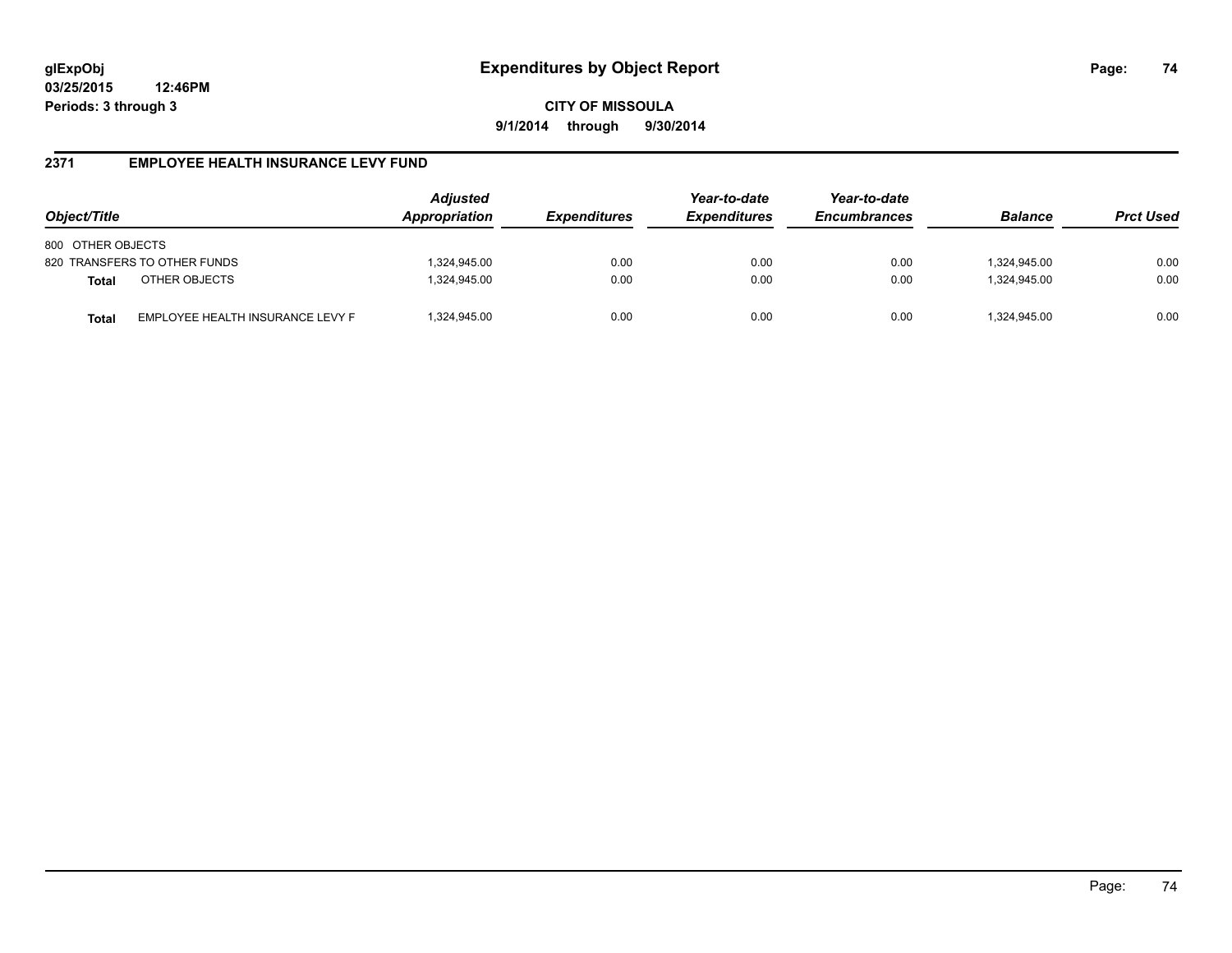**CITY OF MISSOULA 9/1/2014 through 9/30/2014**

#### **2371 EMPLOYEE HEALTH INSURANCE LEVY FUND**

| Object/Title                                     | Adjusted<br>Appropriation | <i><b>Expenditures</b></i> | Year-to-date<br><b>Expenditures</b> | Year-to-date<br><b>Encumbrances</b> | <b>Balance</b> | <b>Prct Used</b> |
|--------------------------------------------------|---------------------------|----------------------------|-------------------------------------|-------------------------------------|----------------|------------------|
| 800 OTHER OBJECTS                                |                           |                            |                                     |                                     |                |                  |
| 820 TRANSFERS TO OTHER FUNDS                     | 1,324,945.00              | 0.00                       | 0.00                                | 0.00                                | 1,324,945.00   | 0.00             |
| OTHER OBJECTS<br><b>Total</b>                    | 1,324,945.00              | 0.00                       | 0.00                                | 0.00                                | 1,324,945.00   | 0.00             |
| EMPLOYEE HEALTH INSURANCE LEVY F<br><b>Total</b> | 1,324,945.00              | 0.00                       | 0.00                                | 0.00                                | 1,324,945.00   | 0.00             |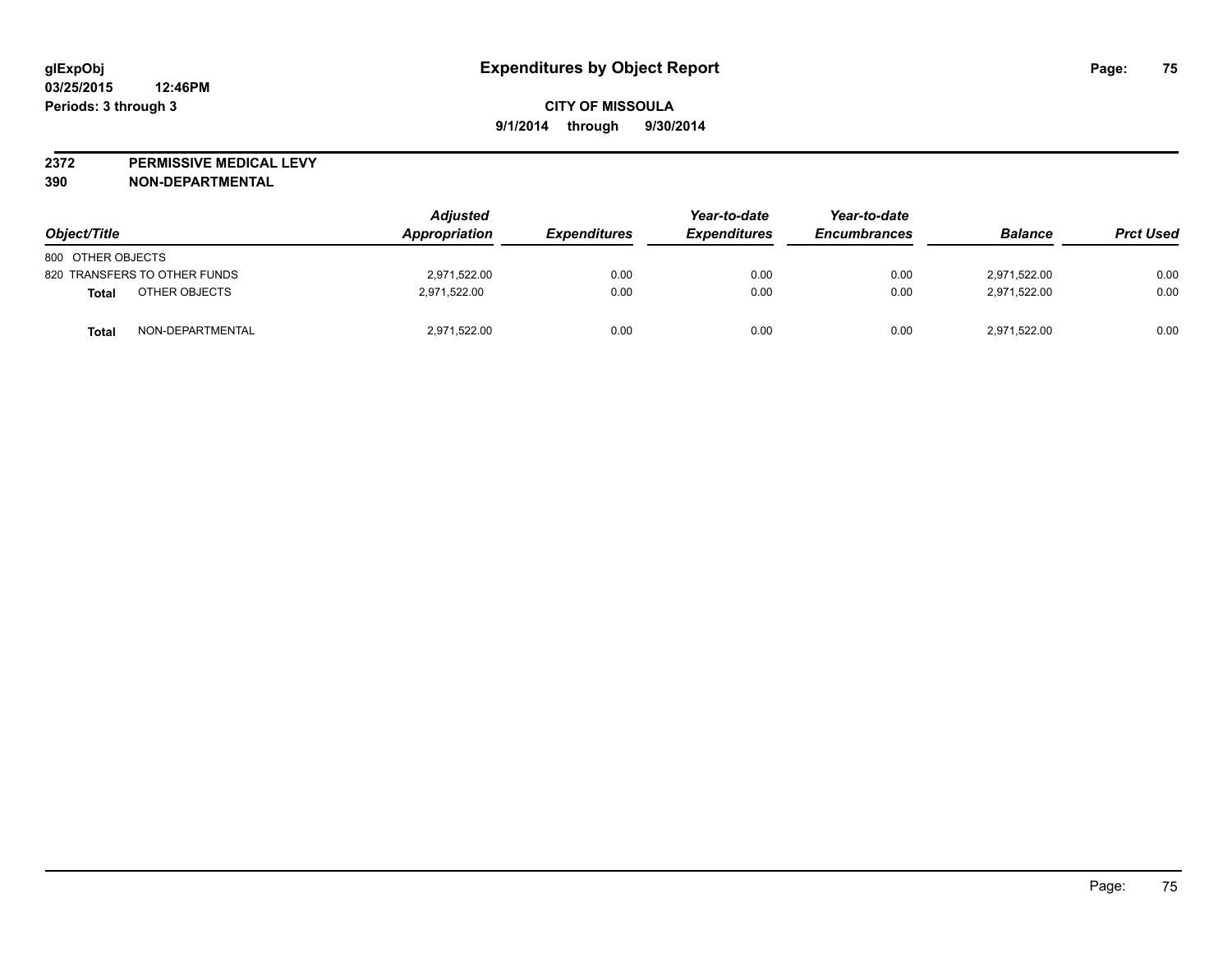**2372 PERMISSIVE MEDICAL LEVY**

**390 NON-DEPARTMENTAL**

| Object/Title                     | <b>Adjusted</b><br>Appropriation | <i><b>Expenditures</b></i> | Year-to-date<br><b>Expenditures</b> | Year-to-date<br><b>Encumbrances</b> | <b>Balance</b> | <b>Prct Used</b> |
|----------------------------------|----------------------------------|----------------------------|-------------------------------------|-------------------------------------|----------------|------------------|
| 800 OTHER OBJECTS                |                                  |                            |                                     |                                     |                |                  |
| 820 TRANSFERS TO OTHER FUNDS     | 2.971.522.00                     | 0.00                       | 0.00                                | 0.00                                | 2.971.522.00   | 0.00             |
| OTHER OBJECTS<br>Total           | 2,971,522.00                     | 0.00                       | 0.00                                | 0.00                                | 2,971,522.00   | 0.00             |
| NON-DEPARTMENTAL<br><b>Total</b> | 2,971,522.00                     | 0.00                       | 0.00                                | 0.00                                | 2,971,522.00   | 0.00             |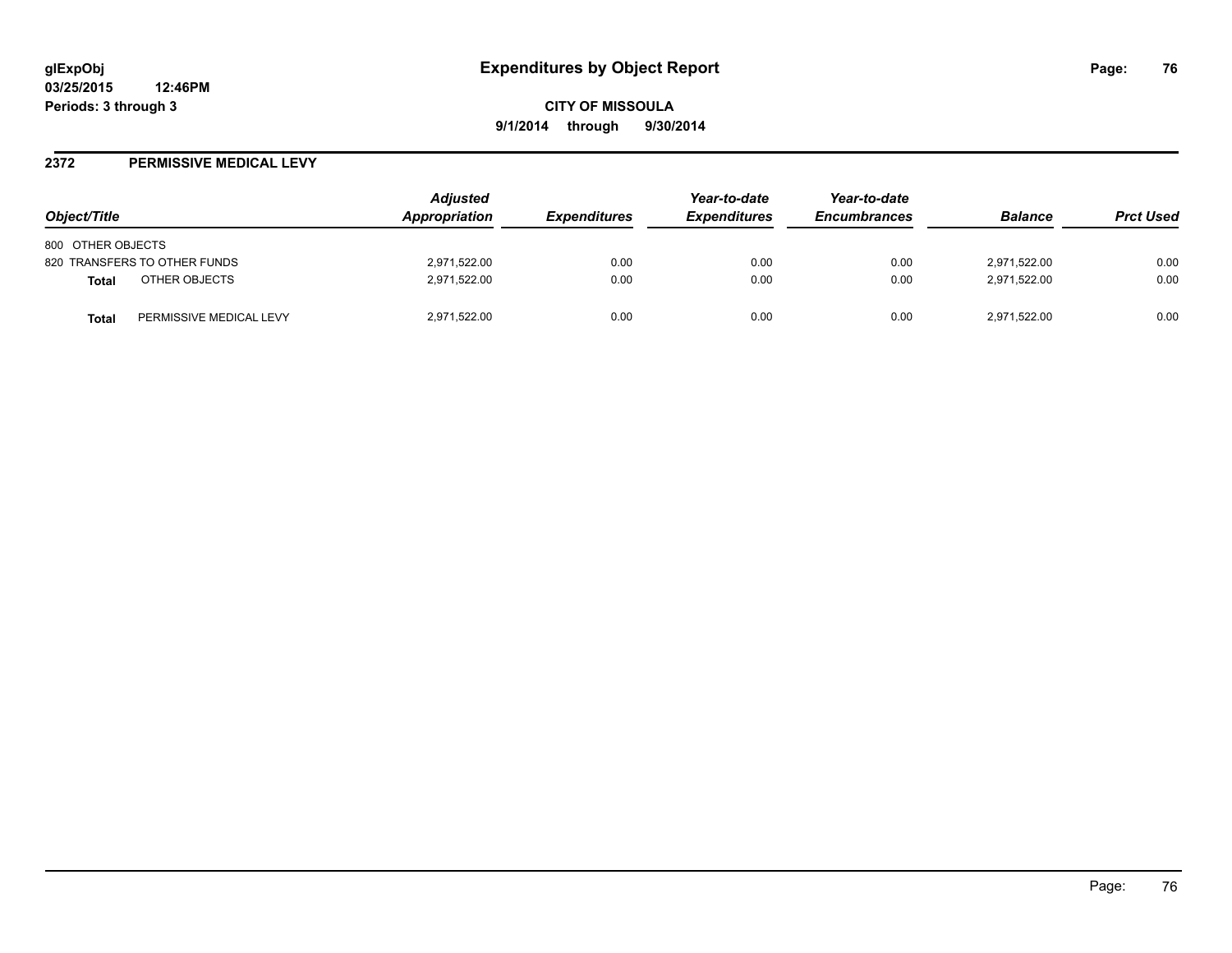#### **2372 PERMISSIVE MEDICAL LEVY**

| Object/Title                            | <b>Adjusted</b><br><b>Appropriation</b> | <i><b>Expenditures</b></i> | Year-to-date<br><b>Expenditures</b> | Year-to-date<br><b>Encumbrances</b> | <b>Balance</b> | <b>Prct Used</b> |
|-----------------------------------------|-----------------------------------------|----------------------------|-------------------------------------|-------------------------------------|----------------|------------------|
| 800 OTHER OBJECTS                       |                                         |                            |                                     |                                     |                |                  |
| 820 TRANSFERS TO OTHER FUNDS            | 2,971,522.00                            | 0.00                       | 0.00                                | 0.00                                | 2,971,522.00   | 0.00             |
| OTHER OBJECTS<br>Total                  | 2,971,522.00                            | 0.00                       | 0.00                                | 0.00                                | 2,971,522.00   | 0.00             |
| PERMISSIVE MEDICAL LEVY<br><b>Total</b> | 2,971,522.00                            | 0.00                       | 0.00                                | 0.00                                | 2,971,522.00   | 0.00             |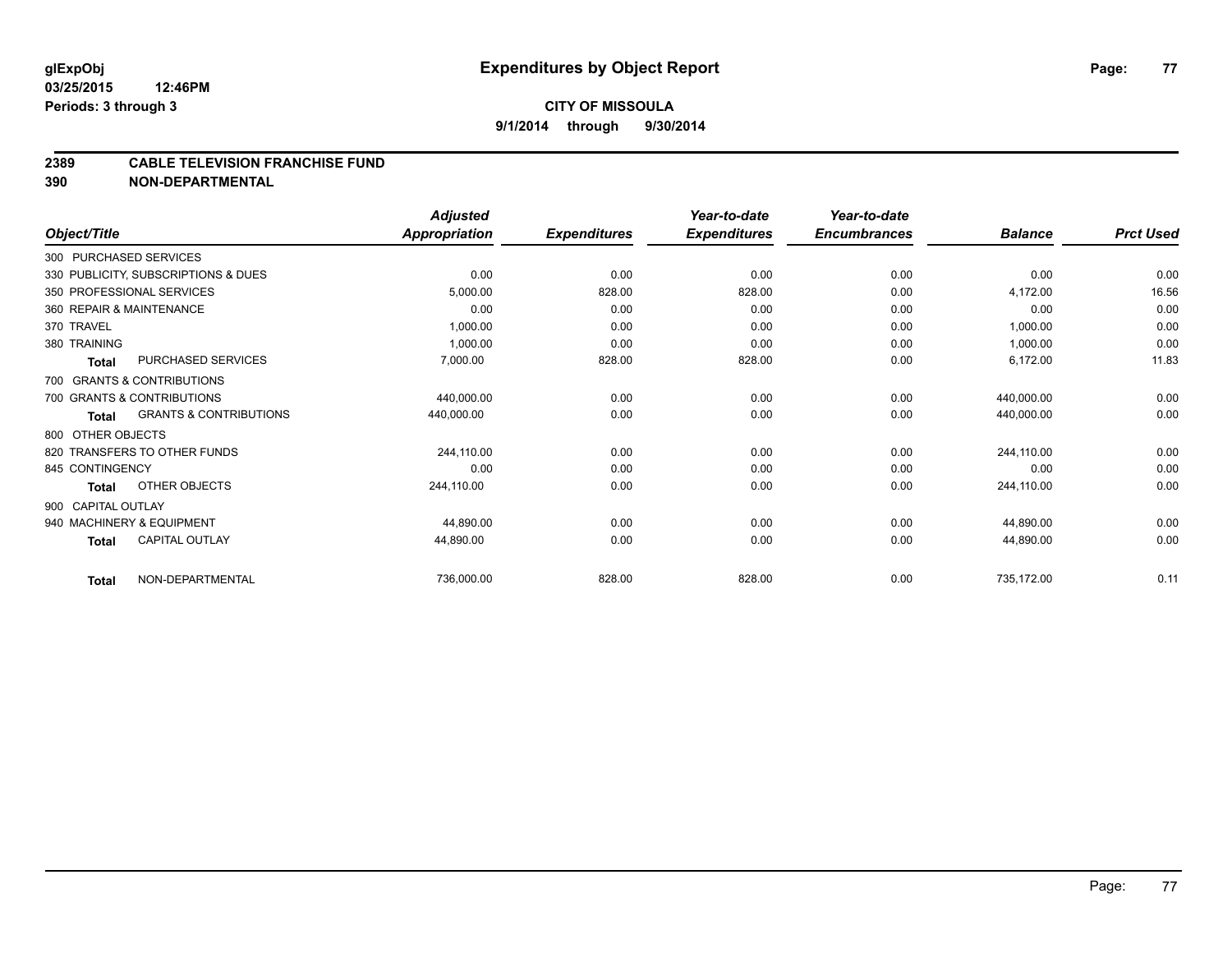# **CITY OF MISSOULA 9/1/2014 through 9/30/2014**

#### **2389 CABLE TELEVISION FRANCHISE FUND**

**390 NON-DEPARTMENTAL**

|                        |                                     | <b>Adjusted</b>      |                     | Year-to-date        | Year-to-date<br><b>Encumbrances</b> | <b>Balance</b> | <b>Prct Used</b> |
|------------------------|-------------------------------------|----------------------|---------------------|---------------------|-------------------------------------|----------------|------------------|
| Object/Title           |                                     | <b>Appropriation</b> | <b>Expenditures</b> | <b>Expenditures</b> |                                     |                |                  |
| 300 PURCHASED SERVICES |                                     |                      |                     |                     |                                     |                |                  |
|                        | 330 PUBLICITY, SUBSCRIPTIONS & DUES | 0.00                 | 0.00                | 0.00                | 0.00                                | 0.00           | 0.00             |
|                        | 350 PROFESSIONAL SERVICES           | 5,000.00             | 828.00              | 828.00              | 0.00                                | 4,172.00       | 16.56            |
|                        | 360 REPAIR & MAINTENANCE            | 0.00                 | 0.00                | 0.00                | 0.00                                | 0.00           | 0.00             |
| 370 TRAVEL             |                                     | 1,000.00             | 0.00                | 0.00                | 0.00                                | 1,000.00       | 0.00             |
| 380 TRAINING           |                                     | 1,000.00             | 0.00                | 0.00                | 0.00                                | 1,000.00       | 0.00             |
| <b>Total</b>           | PURCHASED SERVICES                  | 7,000.00             | 828.00              | 828.00              | 0.00                                | 6,172.00       | 11.83            |
|                        | 700 GRANTS & CONTRIBUTIONS          |                      |                     |                     |                                     |                |                  |
|                        | 700 GRANTS & CONTRIBUTIONS          | 440,000.00           | 0.00                | 0.00                | 0.00                                | 440,000.00     | 0.00             |
| <b>Total</b>           | <b>GRANTS &amp; CONTRIBUTIONS</b>   | 440,000.00           | 0.00                | 0.00                | 0.00                                | 440,000.00     | 0.00             |
| 800 OTHER OBJECTS      |                                     |                      |                     |                     |                                     |                |                  |
|                        | 820 TRANSFERS TO OTHER FUNDS        | 244,110.00           | 0.00                | 0.00                | 0.00                                | 244,110.00     | 0.00             |
| 845 CONTINGENCY        |                                     | 0.00                 | 0.00                | 0.00                | 0.00                                | 0.00           | 0.00             |
| <b>Total</b>           | OTHER OBJECTS                       | 244,110.00           | 0.00                | 0.00                | 0.00                                | 244,110.00     | 0.00             |
| 900 CAPITAL OUTLAY     |                                     |                      |                     |                     |                                     |                |                  |
|                        | 940 MACHINERY & EQUIPMENT           | 44.890.00            | 0.00                | 0.00                | 0.00                                | 44,890.00      | 0.00             |
| <b>Total</b>           | <b>CAPITAL OUTLAY</b>               | 44,890.00            | 0.00                | 0.00                | 0.00                                | 44,890.00      | 0.00             |
| <b>Total</b>           | NON-DEPARTMENTAL                    | 736,000.00           | 828.00              | 828.00              | 0.00                                | 735,172.00     | 0.11             |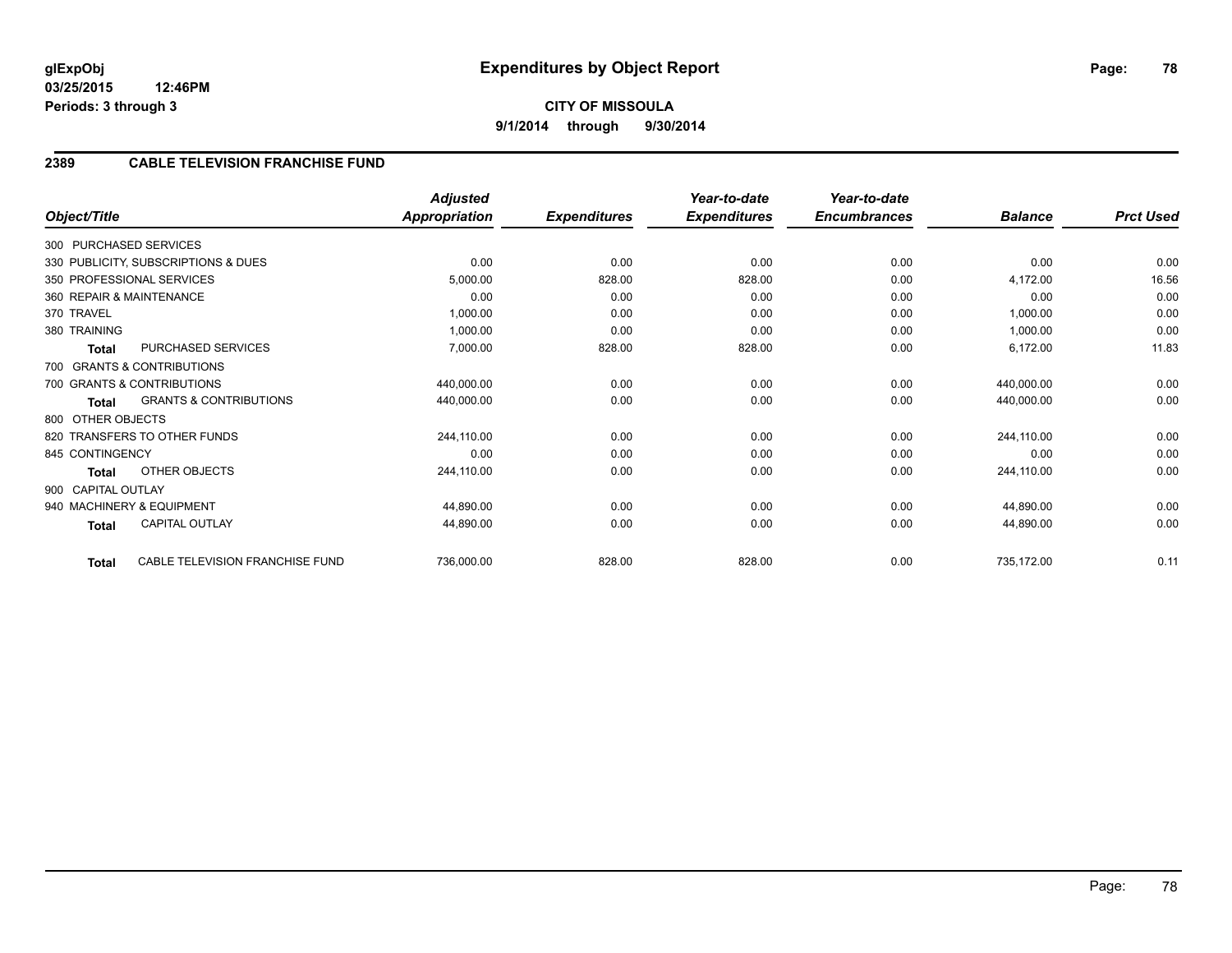## **2389 CABLE TELEVISION FRANCHISE FUND**

| Object/Title       |                                     | <b>Adjusted</b><br><b>Appropriation</b> | <b>Expenditures</b> | Year-to-date<br><b>Expenditures</b> | Year-to-date<br><b>Encumbrances</b> | <b>Balance</b> | <b>Prct Used</b> |
|--------------------|-------------------------------------|-----------------------------------------|---------------------|-------------------------------------|-------------------------------------|----------------|------------------|
|                    | 300 PURCHASED SERVICES              |                                         |                     |                                     |                                     |                |                  |
|                    | 330 PUBLICITY, SUBSCRIPTIONS & DUES | 0.00                                    | 0.00                | 0.00                                | 0.00                                | 0.00           | 0.00             |
|                    | 350 PROFESSIONAL SERVICES           | 5,000.00                                | 828.00              | 828.00                              | 0.00                                | 4,172.00       | 16.56            |
|                    | 360 REPAIR & MAINTENANCE            | 0.00                                    | 0.00                | 0.00                                | 0.00                                | 0.00           | 0.00             |
| 370 TRAVEL         |                                     | 1,000.00                                | 0.00                | 0.00                                | 0.00                                | 1,000.00       | 0.00             |
| 380 TRAINING       |                                     | 1,000.00                                | 0.00                | 0.00                                | 0.00                                | 1,000.00       | 0.00             |
| <b>Total</b>       | PURCHASED SERVICES                  | 7,000.00                                | 828.00              | 828.00                              | 0.00                                | 6,172.00       | 11.83            |
|                    | 700 GRANTS & CONTRIBUTIONS          |                                         |                     |                                     |                                     |                |                  |
|                    | 700 GRANTS & CONTRIBUTIONS          | 440,000.00                              | 0.00                | 0.00                                | 0.00                                | 440,000.00     | 0.00             |
| Total              | <b>GRANTS &amp; CONTRIBUTIONS</b>   | 440,000.00                              | 0.00                | 0.00                                | 0.00                                | 440,000.00     | 0.00             |
| 800 OTHER OBJECTS  |                                     |                                         |                     |                                     |                                     |                |                  |
|                    | 820 TRANSFERS TO OTHER FUNDS        | 244,110.00                              | 0.00                | 0.00                                | 0.00                                | 244,110.00     | 0.00             |
| 845 CONTINGENCY    |                                     | 0.00                                    | 0.00                | 0.00                                | 0.00                                | 0.00           | 0.00             |
| Total              | OTHER OBJECTS                       | 244,110.00                              | 0.00                | 0.00                                | 0.00                                | 244,110.00     | 0.00             |
| 900 CAPITAL OUTLAY |                                     |                                         |                     |                                     |                                     |                |                  |
|                    | 940 MACHINERY & EQUIPMENT           | 44,890.00                               | 0.00                | 0.00                                | 0.00                                | 44,890.00      | 0.00             |
| <b>Total</b>       | <b>CAPITAL OUTLAY</b>               | 44,890.00                               | 0.00                | 0.00                                | 0.00                                | 44,890.00      | 0.00             |
|                    |                                     |                                         |                     |                                     |                                     |                |                  |
| Total              | CABLE TELEVISION FRANCHISE FUND     | 736,000.00                              | 828.00              | 828.00                              | 0.00                                | 735,172.00     | 0.11             |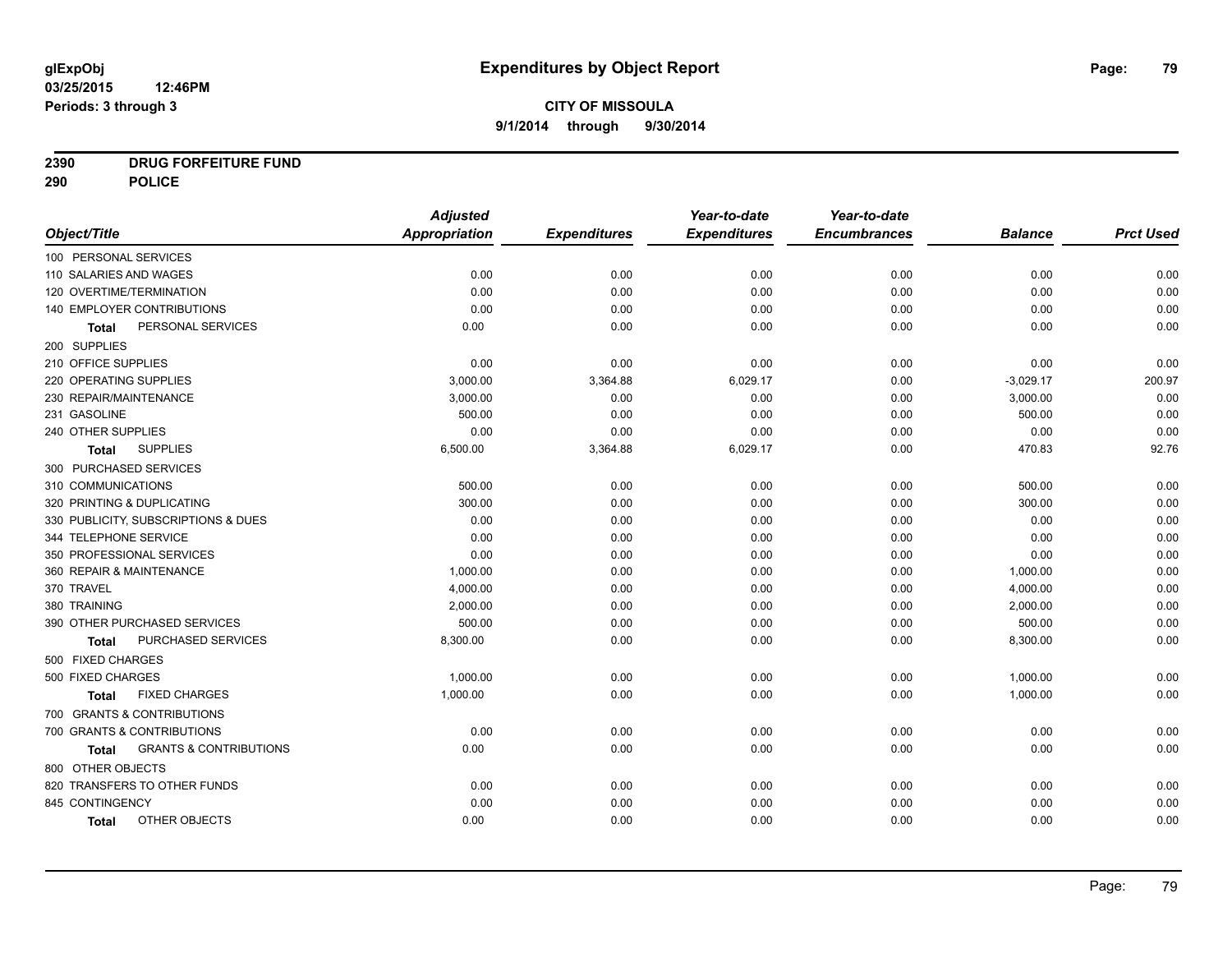# **2390 DRUG FORFEITURE FUND**

**290 POLICE**

|                                            | <b>Adjusted</b> |                     | Year-to-date        | Year-to-date        |                |                  |
|--------------------------------------------|-----------------|---------------------|---------------------|---------------------|----------------|------------------|
| Object/Title                               | Appropriation   | <b>Expenditures</b> | <b>Expenditures</b> | <b>Encumbrances</b> | <b>Balance</b> | <b>Prct Used</b> |
| 100 PERSONAL SERVICES                      |                 |                     |                     |                     |                |                  |
| 110 SALARIES AND WAGES                     | 0.00            | 0.00                | 0.00                | 0.00                | 0.00           | 0.00             |
| 120 OVERTIME/TERMINATION                   | 0.00            | 0.00                | 0.00                | 0.00                | 0.00           | 0.00             |
| 140 EMPLOYER CONTRIBUTIONS                 | 0.00            | 0.00                | 0.00                | 0.00                | 0.00           | 0.00             |
| PERSONAL SERVICES<br><b>Total</b>          | 0.00            | 0.00                | 0.00                | 0.00                | 0.00           | 0.00             |
| 200 SUPPLIES                               |                 |                     |                     |                     |                |                  |
| 210 OFFICE SUPPLIES                        | 0.00            | 0.00                | 0.00                | 0.00                | 0.00           | 0.00             |
| 220 OPERATING SUPPLIES                     | 3,000.00        | 3,364.88            | 6,029.17            | 0.00                | $-3,029.17$    | 200.97           |
| 230 REPAIR/MAINTENANCE                     | 3,000.00        | 0.00                | 0.00                | 0.00                | 3,000.00       | 0.00             |
| 231 GASOLINE                               | 500.00          | 0.00                | 0.00                | 0.00                | 500.00         | 0.00             |
| 240 OTHER SUPPLIES                         | 0.00            | 0.00                | 0.00                | 0.00                | 0.00           | 0.00             |
| <b>SUPPLIES</b><br>Total                   | 6,500.00        | 3,364.88            | 6,029.17            | 0.00                | 470.83         | 92.76            |
| 300 PURCHASED SERVICES                     |                 |                     |                     |                     |                |                  |
| 310 COMMUNICATIONS                         | 500.00          | 0.00                | 0.00                | 0.00                | 500.00         | 0.00             |
| 320 PRINTING & DUPLICATING                 | 300.00          | 0.00                | 0.00                | 0.00                | 300.00         | 0.00             |
| 330 PUBLICITY, SUBSCRIPTIONS & DUES        | 0.00            | 0.00                | 0.00                | 0.00                | 0.00           | 0.00             |
| 344 TELEPHONE SERVICE                      | 0.00            | 0.00                | 0.00                | 0.00                | 0.00           | 0.00             |
| 350 PROFESSIONAL SERVICES                  | 0.00            | 0.00                | 0.00                | 0.00                | 0.00           | 0.00             |
| 360 REPAIR & MAINTENANCE                   | 1,000.00        | 0.00                | 0.00                | 0.00                | 1,000.00       | 0.00             |
| 370 TRAVEL                                 | 4,000.00        | 0.00                | 0.00                | 0.00                | 4,000.00       | 0.00             |
| 380 TRAINING                               | 2,000.00        | 0.00                | 0.00                | 0.00                | 2,000.00       | 0.00             |
| 390 OTHER PURCHASED SERVICES               | 500.00          | 0.00                | 0.00                | 0.00                | 500.00         | 0.00             |
| <b>PURCHASED SERVICES</b><br>Total         | 8,300.00        | 0.00                | 0.00                | 0.00                | 8,300.00       | 0.00             |
| 500 FIXED CHARGES                          |                 |                     |                     |                     |                |                  |
| 500 FIXED CHARGES                          | 1,000.00        | 0.00                | 0.00                | 0.00                | 1,000.00       | 0.00             |
| <b>FIXED CHARGES</b><br>Total              | 1,000.00        | 0.00                | 0.00                | 0.00                | 1,000.00       | 0.00             |
| 700 GRANTS & CONTRIBUTIONS                 |                 |                     |                     |                     |                |                  |
| 700 GRANTS & CONTRIBUTIONS                 | 0.00            | 0.00                | 0.00                | 0.00                | 0.00           | 0.00             |
| <b>GRANTS &amp; CONTRIBUTIONS</b><br>Total | 0.00            | 0.00                | 0.00                | 0.00                | 0.00           | 0.00             |
| 800 OTHER OBJECTS                          |                 |                     |                     |                     |                |                  |
| 820 TRANSFERS TO OTHER FUNDS               | 0.00            | 0.00                | 0.00                | 0.00                | 0.00           | 0.00             |
| 845 CONTINGENCY                            | 0.00            | 0.00                | 0.00                | 0.00                | 0.00           | 0.00             |
| OTHER OBJECTS<br><b>Total</b>              | 0.00            | 0.00                | 0.00                | 0.00                | 0.00           | 0.00             |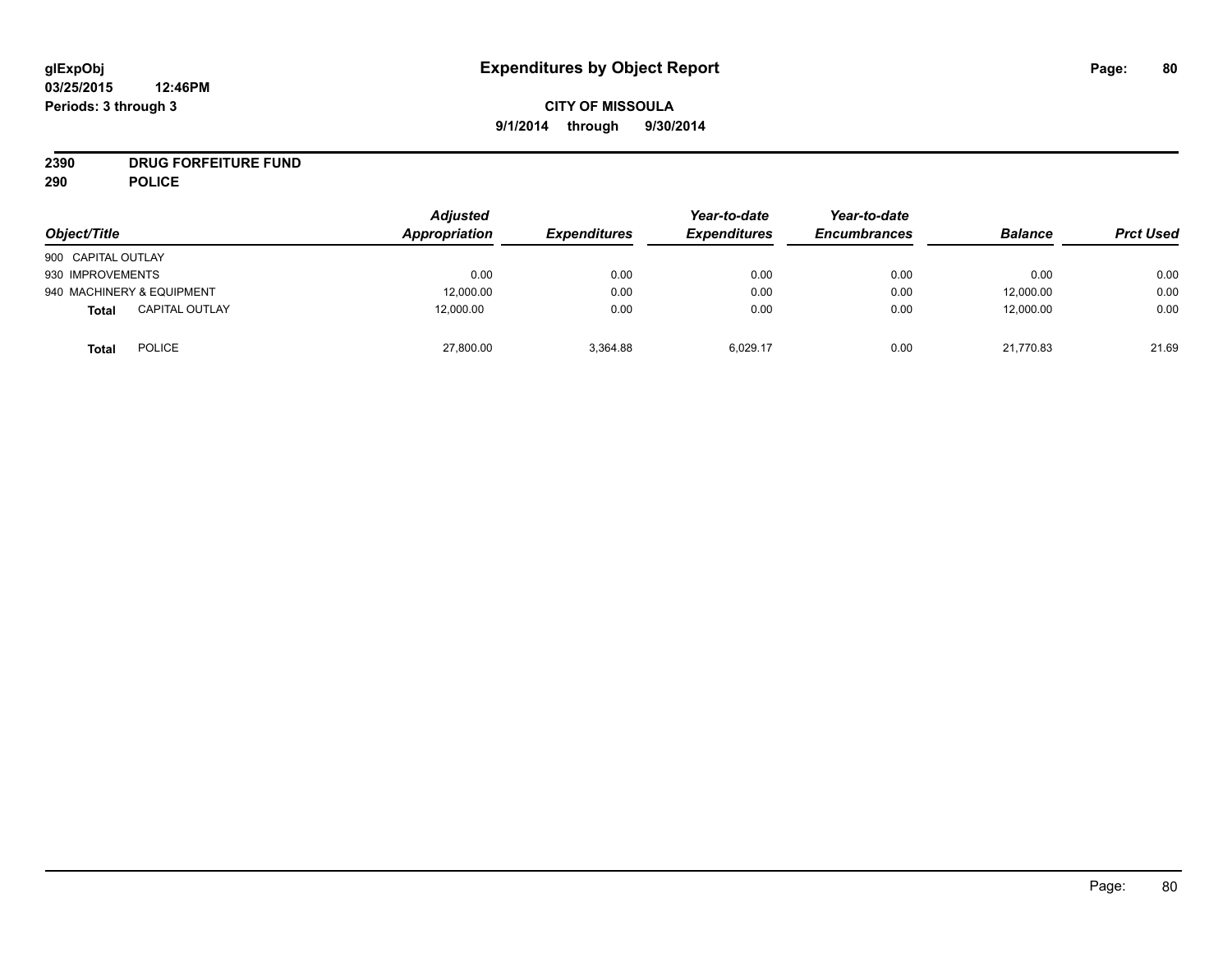# **CITY OF MISSOULA 9/1/2014 through 9/30/2014**

# **2390 DRUG FORFEITURE FUND**

**290 POLICE**

| Object/Title                          | <b>Adjusted</b><br>Appropriation | <b>Expenditures</b> | Year-to-date<br><b>Expenditures</b> | Year-to-date<br><b>Encumbrances</b> | <b>Balance</b> | <b>Prct Used</b> |
|---------------------------------------|----------------------------------|---------------------|-------------------------------------|-------------------------------------|----------------|------------------|
| 900 CAPITAL OUTLAY                    |                                  |                     |                                     |                                     |                |                  |
| 930 IMPROVEMENTS                      | 0.00                             | 0.00                | 0.00                                | 0.00                                | 0.00           | 0.00             |
| 940 MACHINERY & EQUIPMENT             | 12,000.00                        | 0.00                | 0.00                                | 0.00                                | 12,000.00      | 0.00             |
| <b>CAPITAL OUTLAY</b><br><b>Total</b> | 12,000.00                        | 0.00                | 0.00                                | 0.00                                | 12,000.00      | 0.00             |
| <b>POLICE</b><br><b>Total</b>         | 27,800.00                        | 3,364.88            | 6,029.17                            | 0.00                                | 21,770.83      | 21.69            |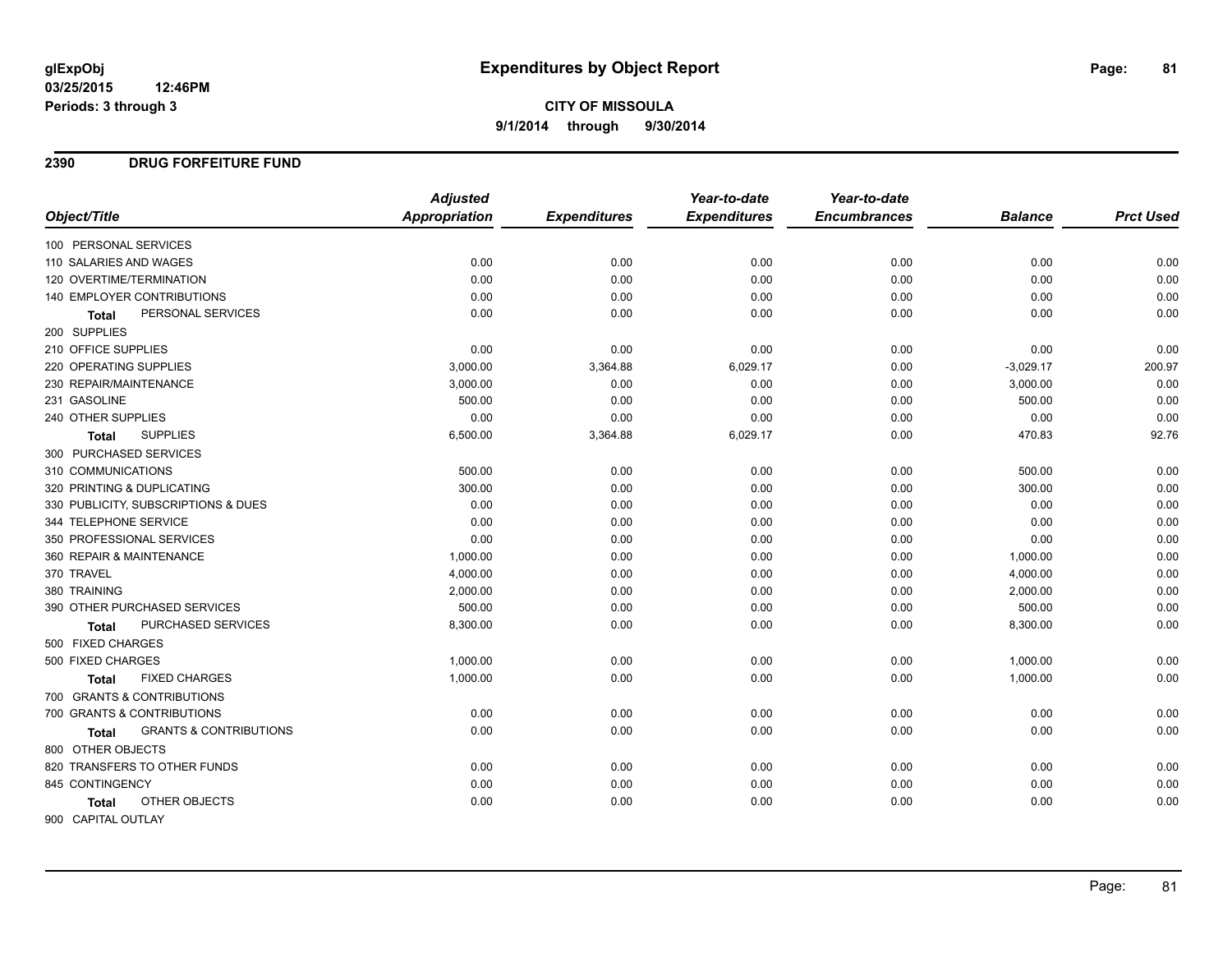## **2390 DRUG FORFEITURE FUND**

|                                            | <b>Adjusted</b> |                     | Year-to-date        | Year-to-date        |                |                  |
|--------------------------------------------|-----------------|---------------------|---------------------|---------------------|----------------|------------------|
| Object/Title                               | Appropriation   | <b>Expenditures</b> | <b>Expenditures</b> | <b>Encumbrances</b> | <b>Balance</b> | <b>Prct Used</b> |
| 100 PERSONAL SERVICES                      |                 |                     |                     |                     |                |                  |
| 110 SALARIES AND WAGES                     | 0.00            | 0.00                | 0.00                | 0.00                | 0.00           | 0.00             |
| 120 OVERTIME/TERMINATION                   | 0.00            | 0.00                | 0.00                | 0.00                | 0.00           | 0.00             |
| 140 EMPLOYER CONTRIBUTIONS                 | 0.00            | 0.00                | 0.00                | 0.00                | 0.00           | 0.00             |
| PERSONAL SERVICES<br><b>Total</b>          | 0.00            | 0.00                | 0.00                | 0.00                | 0.00           | 0.00             |
| 200 SUPPLIES                               |                 |                     |                     |                     |                |                  |
| 210 OFFICE SUPPLIES                        | 0.00            | 0.00                | 0.00                | 0.00                | 0.00           | 0.00             |
| 220 OPERATING SUPPLIES                     | 3,000.00        | 3,364.88            | 6,029.17            | 0.00                | $-3,029.17$    | 200.97           |
| 230 REPAIR/MAINTENANCE                     | 3,000.00        | 0.00                | 0.00                | 0.00                | 3,000.00       | 0.00             |
| 231 GASOLINE                               | 500.00          | 0.00                | 0.00                | 0.00                | 500.00         | 0.00             |
| 240 OTHER SUPPLIES                         | 0.00            | 0.00                | 0.00                | 0.00                | 0.00           | 0.00             |
| <b>SUPPLIES</b><br>Total                   | 6,500.00        | 3,364.88            | 6,029.17            | 0.00                | 470.83         | 92.76            |
| 300 PURCHASED SERVICES                     |                 |                     |                     |                     |                |                  |
| 310 COMMUNICATIONS                         | 500.00          | 0.00                | 0.00                | 0.00                | 500.00         | 0.00             |
| 320 PRINTING & DUPLICATING                 | 300.00          | 0.00                | 0.00                | 0.00                | 300.00         | 0.00             |
| 330 PUBLICITY, SUBSCRIPTIONS & DUES        | 0.00            | 0.00                | 0.00                | 0.00                | 0.00           | 0.00             |
| 344 TELEPHONE SERVICE                      | 0.00            | 0.00                | 0.00                | 0.00                | 0.00           | 0.00             |
| 350 PROFESSIONAL SERVICES                  | 0.00            | 0.00                | 0.00                | 0.00                | 0.00           | 0.00             |
| 360 REPAIR & MAINTENANCE                   | 1,000.00        | 0.00                | 0.00                | 0.00                | 1,000.00       | 0.00             |
| 370 TRAVEL                                 | 4,000.00        | 0.00                | 0.00                | 0.00                | 4,000.00       | 0.00             |
| 380 TRAINING                               | 2,000.00        | 0.00                | 0.00                | 0.00                | 2,000.00       | 0.00             |
| 390 OTHER PURCHASED SERVICES               | 500.00          | 0.00                | 0.00                | 0.00                | 500.00         | 0.00             |
| <b>PURCHASED SERVICES</b><br>Total         | 8,300.00        | 0.00                | 0.00                | 0.00                | 8,300.00       | 0.00             |
| 500 FIXED CHARGES                          |                 |                     |                     |                     |                |                  |
| 500 FIXED CHARGES                          | 1,000.00        | 0.00                | 0.00                | 0.00                | 1,000.00       | 0.00             |
| <b>FIXED CHARGES</b><br>Total              | 1,000.00        | 0.00                | 0.00                | 0.00                | 1,000.00       | 0.00             |
| 700 GRANTS & CONTRIBUTIONS                 |                 |                     |                     |                     |                |                  |
| 700 GRANTS & CONTRIBUTIONS                 | 0.00            | 0.00                | 0.00                | 0.00                | 0.00           | 0.00             |
| <b>GRANTS &amp; CONTRIBUTIONS</b><br>Total | 0.00            | 0.00                | 0.00                | 0.00                | 0.00           | 0.00             |
| 800 OTHER OBJECTS                          |                 |                     |                     |                     |                |                  |
| 820 TRANSFERS TO OTHER FUNDS               | 0.00            | 0.00                | 0.00                | 0.00                | 0.00           | 0.00             |
| 845 CONTINGENCY                            | 0.00            | 0.00                | 0.00                | 0.00                | 0.00           | 0.00             |
| OTHER OBJECTS<br><b>Total</b>              | 0.00            | 0.00                | 0.00                | 0.00                | 0.00           | 0.00             |
| 900 CAPITAL OUTLAY                         |                 |                     |                     |                     |                |                  |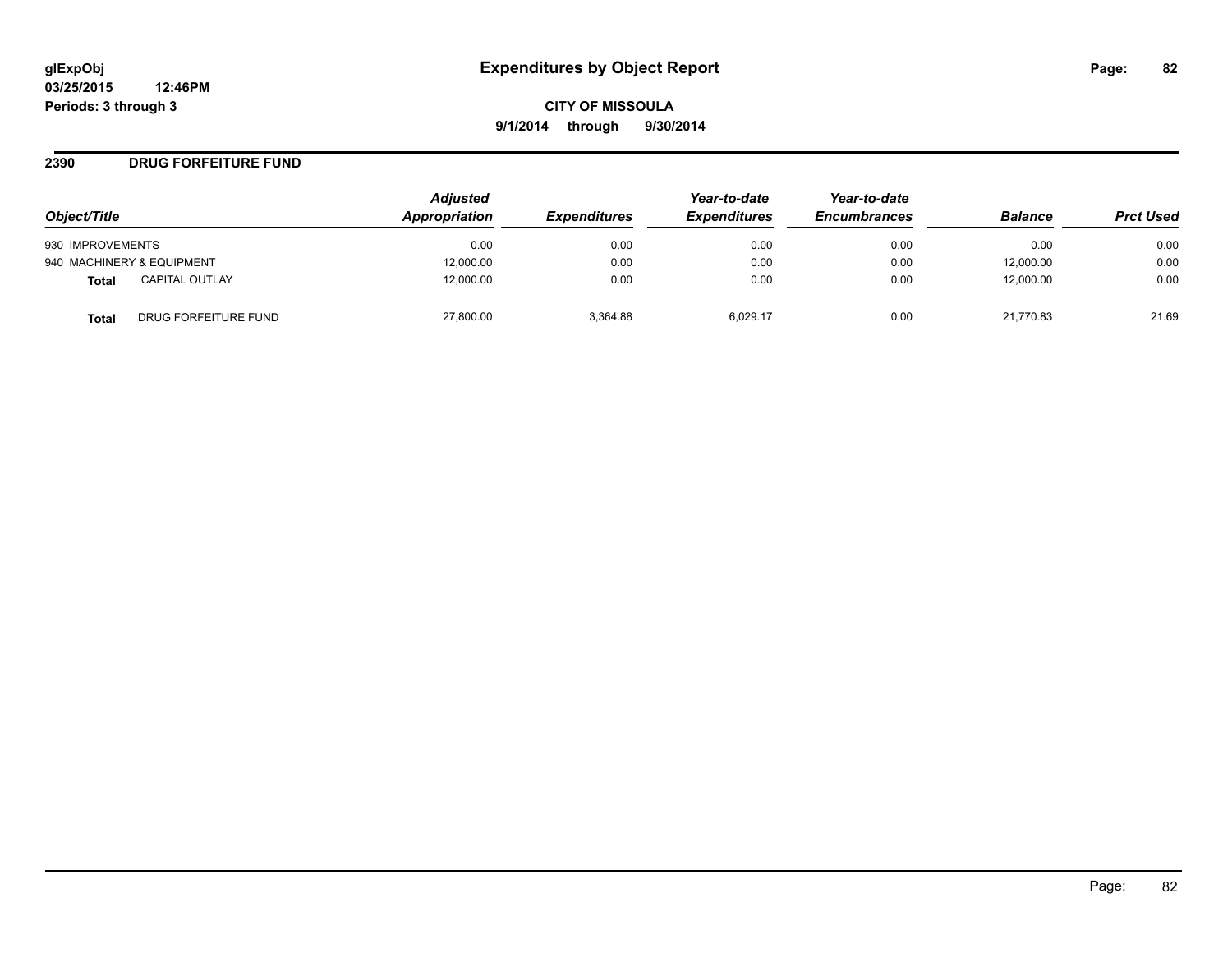#### **2390 DRUG FORFEITURE FUND**

|                                      | <b>Adjusted</b><br>Appropriation |                     | Year-to-date        | Year-to-date<br><b>Encumbrances</b> | <b>Balance</b> | <b>Prct Used</b> |
|--------------------------------------|----------------------------------|---------------------|---------------------|-------------------------------------|----------------|------------------|
| Object/Title                         |                                  | <b>Expenditures</b> | <b>Expenditures</b> |                                     |                |                  |
| 930 IMPROVEMENTS                     | 0.00                             | 0.00                | 0.00                | 0.00                                | 0.00           | 0.00             |
| 940 MACHINERY & EQUIPMENT            | 12,000.00                        | 0.00                | 0.00                | 0.00                                | 12,000.00      | 0.00             |
| <b>CAPITAL OUTLAY</b><br>Total       | 12,000.00                        | 0.00                | 0.00                | 0.00                                | 12.000.00      | 0.00             |
| DRUG FORFEITURE FUND<br><b>Total</b> | 27,800.00                        | 3.364.88            | 6.029.17            | 0.00                                | 21.770.83      | 21.69            |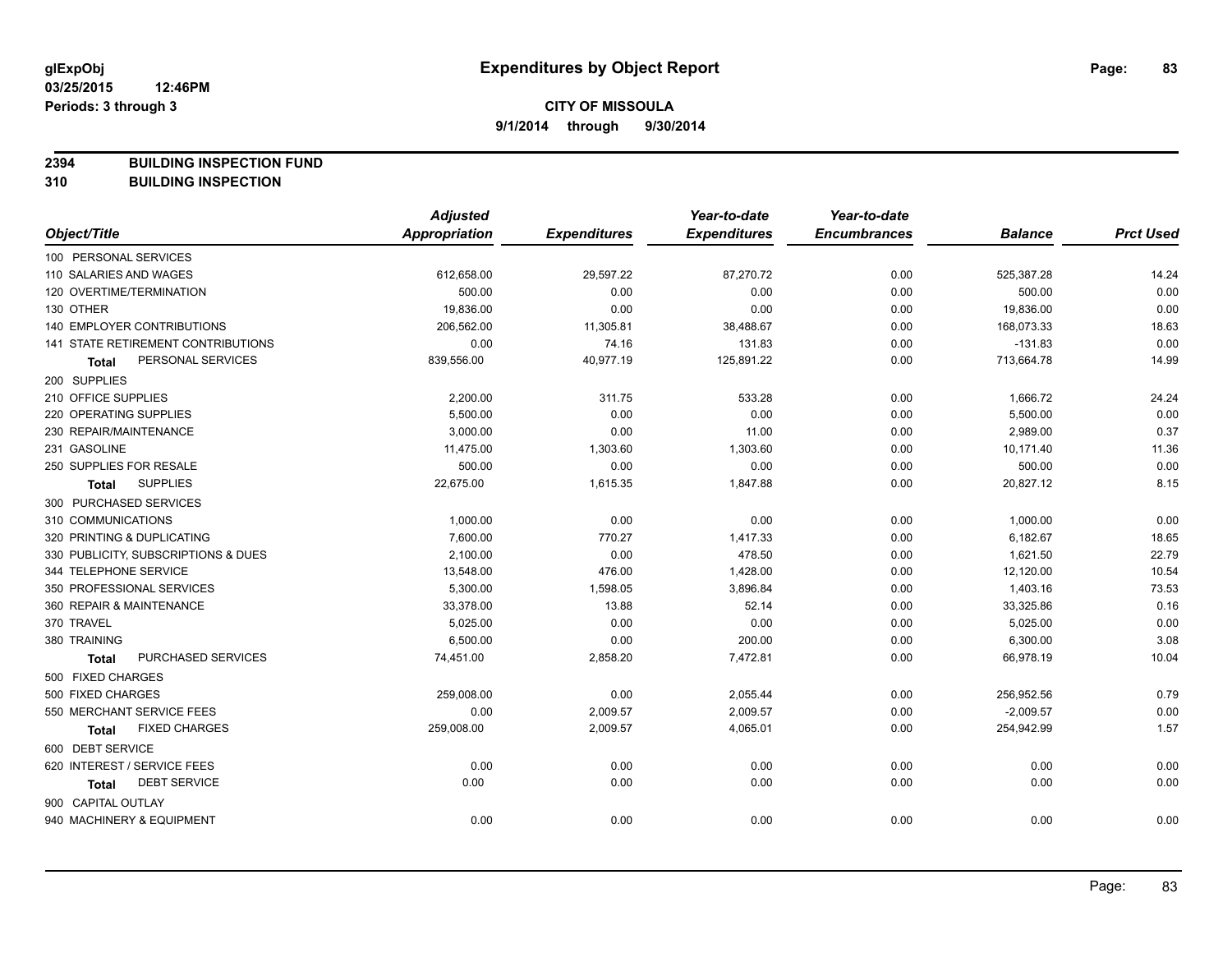**2394 BUILDING INSPECTION FUND**

**310 BUILDING INSPECTION**

|                                      | <b>Adjusted</b>      |                     | Year-to-date        | Year-to-date        |                |                  |
|--------------------------------------|----------------------|---------------------|---------------------|---------------------|----------------|------------------|
| Object/Title                         | <b>Appropriation</b> | <b>Expenditures</b> | <b>Expenditures</b> | <b>Encumbrances</b> | <b>Balance</b> | <b>Prct Used</b> |
| 100 PERSONAL SERVICES                |                      |                     |                     |                     |                |                  |
| 110 SALARIES AND WAGES               | 612,658.00           | 29,597.22           | 87,270.72           | 0.00                | 525,387.28     | 14.24            |
| 120 OVERTIME/TERMINATION             | 500.00               | 0.00                | 0.00                | 0.00                | 500.00         | 0.00             |
| 130 OTHER                            | 19,836.00            | 0.00                | 0.00                | 0.00                | 19,836.00      | 0.00             |
| 140 EMPLOYER CONTRIBUTIONS           | 206,562.00           | 11,305.81           | 38,488.67           | 0.00                | 168,073.33     | 18.63            |
| 141 STATE RETIREMENT CONTRIBUTIONS   | 0.00                 | 74.16               | 131.83              | 0.00                | $-131.83$      | 0.00             |
| PERSONAL SERVICES<br><b>Total</b>    | 839,556.00           | 40,977.19           | 125,891.22          | 0.00                | 713,664.78     | 14.99            |
| 200 SUPPLIES                         |                      |                     |                     |                     |                |                  |
| 210 OFFICE SUPPLIES                  | 2,200.00             | 311.75              | 533.28              | 0.00                | 1,666.72       | 24.24            |
| 220 OPERATING SUPPLIES               | 5,500.00             | 0.00                | 0.00                | 0.00                | 5,500.00       | 0.00             |
| 230 REPAIR/MAINTENANCE               | 3,000.00             | 0.00                | 11.00               | 0.00                | 2,989.00       | 0.37             |
| 231 GASOLINE                         | 11,475.00            | 1,303.60            | 1,303.60            | 0.00                | 10,171.40      | 11.36            |
| 250 SUPPLIES FOR RESALE              | 500.00               | 0.00                | 0.00                | 0.00                | 500.00         | 0.00             |
| <b>SUPPLIES</b><br><b>Total</b>      | 22,675.00            | 1,615.35            | 1,847.88            | 0.00                | 20,827.12      | 8.15             |
| 300 PURCHASED SERVICES               |                      |                     |                     |                     |                |                  |
| 310 COMMUNICATIONS                   | 1,000.00             | 0.00                | 0.00                | 0.00                | 1,000.00       | 0.00             |
| 320 PRINTING & DUPLICATING           | 7,600.00             | 770.27              | 1,417.33            | 0.00                | 6,182.67       | 18.65            |
| 330 PUBLICITY, SUBSCRIPTIONS & DUES  | 2,100.00             | 0.00                | 478.50              | 0.00                | 1,621.50       | 22.79            |
| 344 TELEPHONE SERVICE                | 13,548.00            | 476.00              | 1,428.00            | 0.00                | 12,120.00      | 10.54            |
| 350 PROFESSIONAL SERVICES            | 5,300.00             | 1,598.05            | 3,896.84            | 0.00                | 1,403.16       | 73.53            |
| 360 REPAIR & MAINTENANCE             | 33,378.00            | 13.88               | 52.14               | 0.00                | 33,325.86      | 0.16             |
| 370 TRAVEL                           | 5,025.00             | 0.00                | 0.00                | 0.00                | 5,025.00       | 0.00             |
| 380 TRAINING                         | 6,500.00             | 0.00                | 200.00              | 0.00                | 6,300.00       | 3.08             |
| PURCHASED SERVICES<br><b>Total</b>   | 74,451.00            | 2,858.20            | 7,472.81            | 0.00                | 66,978.19      | 10.04            |
| 500 FIXED CHARGES                    |                      |                     |                     |                     |                |                  |
| 500 FIXED CHARGES                    | 259,008.00           | 0.00                | 2,055.44            | 0.00                | 256,952.56     | 0.79             |
| 550 MERCHANT SERVICE FEES            | 0.00                 | 2,009.57            | 2,009.57            | 0.00                | $-2,009.57$    | 0.00             |
| <b>FIXED CHARGES</b><br><b>Total</b> | 259,008.00           | 2,009.57            | 4,065.01            | 0.00                | 254,942.99     | 1.57             |
| 600 DEBT SERVICE                     |                      |                     |                     |                     |                |                  |
| 620 INTEREST / SERVICE FEES          | 0.00                 | 0.00                | 0.00                | 0.00                | 0.00           | 0.00             |
| <b>DEBT SERVICE</b><br><b>Total</b>  | 0.00                 | 0.00                | 0.00                | 0.00                | 0.00           | 0.00             |
| 900 CAPITAL OUTLAY                   |                      |                     |                     |                     |                |                  |
| 940 MACHINERY & EQUIPMENT            | 0.00                 | 0.00                | 0.00                | 0.00                | 0.00           | 0.00             |
|                                      |                      |                     |                     |                     |                |                  |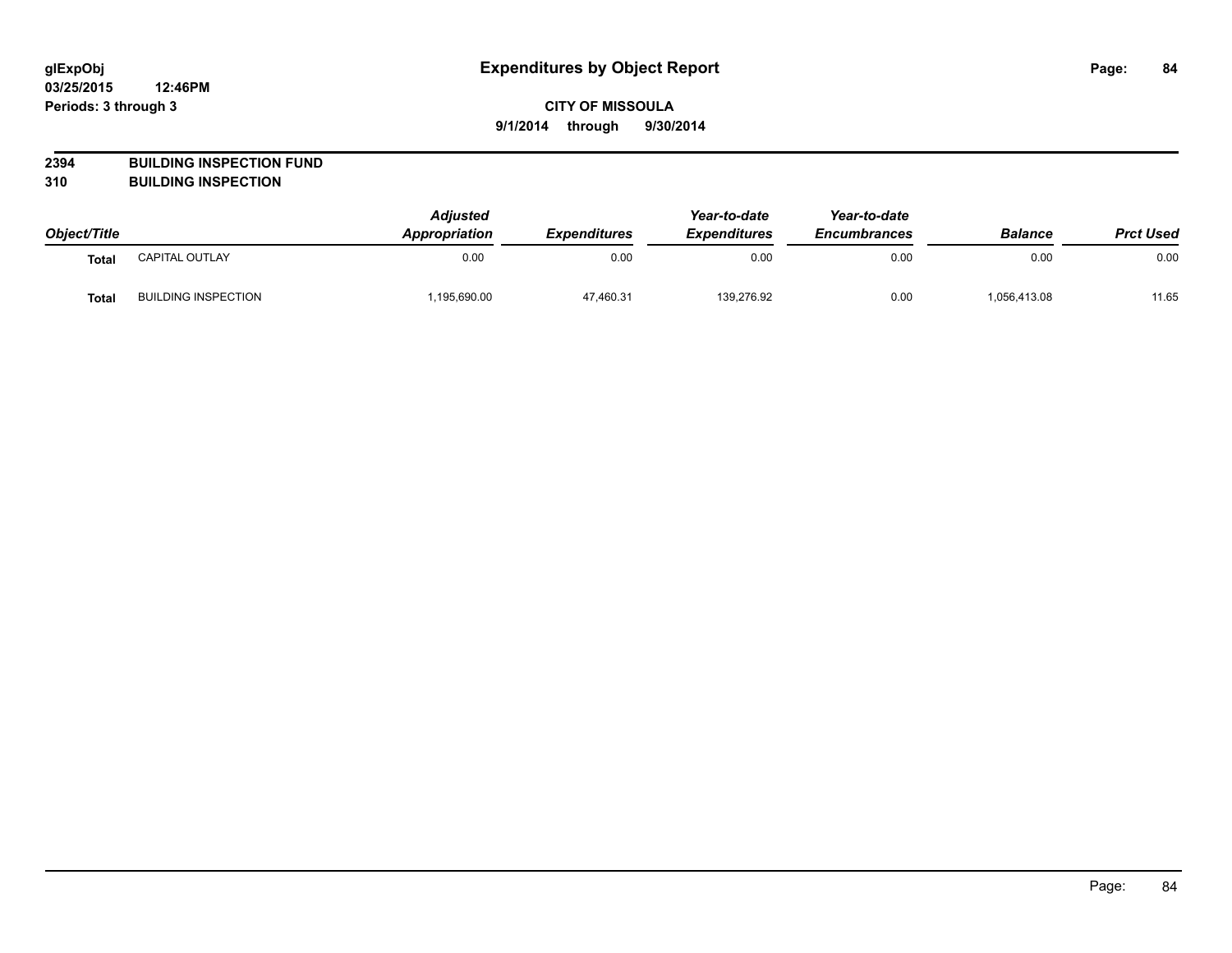## **CITY OF MISSOULA 9/1/2014 through 9/30/2014**

# **2394 BUILDING INSPECTION FUND**

**310 BUILDING INSPECTION**

| Object/Title |                            | <b>Adjusted</b><br><b>Appropriation</b> | <b>Expenditures</b> | Year-to-date<br><b>Expenditures</b> | Year-to-date<br><b>Encumbrances</b> | <b>Balance</b> | <b>Prct Used</b> |
|--------------|----------------------------|-----------------------------------------|---------------------|-------------------------------------|-------------------------------------|----------------|------------------|
| Total        | <b>CAPITAL OUTLAY</b>      | 0.00                                    | 0.00                | 0.00                                | 0.00                                | 0.00           | 0.00             |
| Tota.        | <b>BUILDING INSPECTION</b> | ,195,690.00                             | 47,460.31           | 139,276.92                          | 0.00                                | 1,056,413.08   | 11.65            |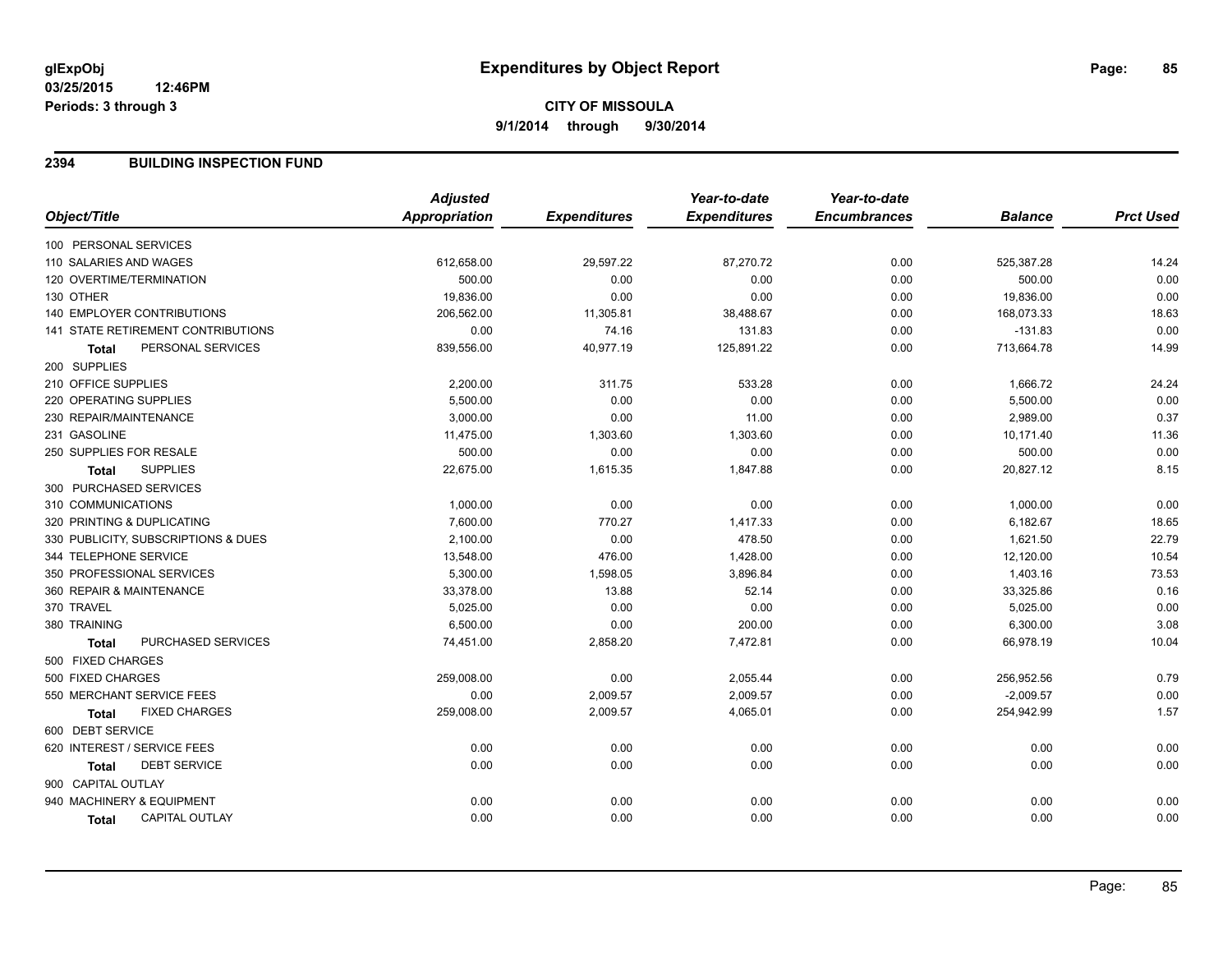# **CITY OF MISSOULA 9/1/2014 through 9/30/2014**

#### **2394 BUILDING INSPECTION FUND**

| Object/Title<br>Appropriation<br><b>Expenditures</b><br><b>Expenditures</b><br><b>Encumbrances</b><br><b>Balance</b><br>100 PERSONAL SERVICES<br>612,658.00<br>29,597.22<br>87,270.72<br>0.00<br>525,387.28<br>110 SALARIES AND WAGES<br>120 OVERTIME/TERMINATION<br>500.00<br>0.00<br>0.00<br>0.00<br>500.00<br>19,836.00<br>0.00<br>130 OTHER<br>0.00<br>0.00<br>19,836.00<br><b>140 EMPLOYER CONTRIBUTIONS</b><br>206,562.00<br>11,305.81<br>0.00<br>168,073.33<br>38,488.67<br>74.16<br>141 STATE RETIREMENT CONTRIBUTIONS<br>0.00<br>131.83<br>0.00<br>$-131.83$<br>PERSONAL SERVICES<br>40,977.19<br>839,556.00<br>125,891.22<br>0.00<br>713,664.78<br><b>Total</b><br>200 SUPPLIES<br>210 OFFICE SUPPLIES<br>2,200.00<br>311.75<br>533.28<br>0.00<br>1,666.72<br>5,500.00<br>0.00<br>220 OPERATING SUPPLIES<br>0.00<br>0.00<br>5,500.00<br>3,000.00<br>0.00<br>11.00<br>2,989.00<br>230 REPAIR/MAINTENANCE<br>0.00<br>231 GASOLINE<br>11,475.00<br>1,303.60<br>10,171.40<br>1,303.60<br>0.00<br>250 SUPPLIES FOR RESALE<br>500.00<br>0.00<br>0.00<br>500.00<br>0.00<br><b>SUPPLIES</b><br>22,675.00<br>1,615.35<br>1,847.88<br>0.00<br>20,827.12<br><b>Total</b><br>300 PURCHASED SERVICES<br>310 COMMUNICATIONS<br>0.00<br>1,000.00<br>0.00<br>0.00<br>1,000.00<br>320 PRINTING & DUPLICATING<br>7,600.00<br>770.27<br>1,417.33<br>0.00<br>6,182.67<br>2,100.00<br>330 PUBLICITY, SUBSCRIPTIONS & DUES<br>0.00<br>478.50<br>0.00<br>1,621.50<br>344 TELEPHONE SERVICE<br>13,548.00<br>476.00<br>1,428.00<br>12,120.00<br>0.00<br>350 PROFESSIONAL SERVICES<br>5,300.00<br>1,598.05<br>3,896.84<br>0.00<br>1,403.16<br>360 REPAIR & MAINTENANCE<br>33,378.00<br>33,325.86<br>13.88<br>52.14<br>0.00<br>370 TRAVEL<br>5,025.00<br>0.00<br>0.00<br>0.00<br>5,025.00<br>6,500.00<br>0.00<br>380 TRAINING<br>200.00<br>0.00<br>6,300.00<br>PURCHASED SERVICES<br>7,472.81<br>0.00<br>66,978.19<br>74,451.00<br>2,858.20<br><b>Total</b><br>500 FIXED CHARGES<br>500 FIXED CHARGES<br>259,008.00<br>0.00<br>2,055.44<br>0.00<br>256,952.56<br>550 MERCHANT SERVICE FEES<br>0.00<br>2,009.57<br>2,009.57<br>0.00<br>$-2,009.57$<br><b>FIXED CHARGES</b><br>254,942.99<br>259,008.00<br>2,009.57<br>4,065.01<br>0.00<br><b>Total</b><br>600 DEBT SERVICE<br>620 INTEREST / SERVICE FEES<br>0.00<br>0.00<br>0.00<br>0.00<br>0.00<br><b>DEBT SERVICE</b><br>0.00<br>0.00<br>0.00<br>0.00<br>0.00<br><b>Total</b><br>900 CAPITAL OUTLAY<br>940 MACHINERY & EQUIPMENT<br>0.00<br>0.00<br>0.00<br>0.00<br>0.00<br>0.00<br>0.00<br>0.00<br>0.00<br><b>CAPITAL OUTLAY</b><br>0.00<br>Total | <b>Adjusted</b> | Year-to-date | Year-to-date |                  |
|-------------------------------------------------------------------------------------------------------------------------------------------------------------------------------------------------------------------------------------------------------------------------------------------------------------------------------------------------------------------------------------------------------------------------------------------------------------------------------------------------------------------------------------------------------------------------------------------------------------------------------------------------------------------------------------------------------------------------------------------------------------------------------------------------------------------------------------------------------------------------------------------------------------------------------------------------------------------------------------------------------------------------------------------------------------------------------------------------------------------------------------------------------------------------------------------------------------------------------------------------------------------------------------------------------------------------------------------------------------------------------------------------------------------------------------------------------------------------------------------------------------------------------------------------------------------------------------------------------------------------------------------------------------------------------------------------------------------------------------------------------------------------------------------------------------------------------------------------------------------------------------------------------------------------------------------------------------------------------------------------------------------------------------------------------------------------------------------------------------------------------------------------------------------------------------------------------------------------------------------------------------------------------------------------------------------------------------------------------------------------------------------------------------------------------------------------------------------------------------------------------------------------------------------------------------------------------------|-----------------|--------------|--------------|------------------|
|                                                                                                                                                                                                                                                                                                                                                                                                                                                                                                                                                                                                                                                                                                                                                                                                                                                                                                                                                                                                                                                                                                                                                                                                                                                                                                                                                                                                                                                                                                                                                                                                                                                                                                                                                                                                                                                                                                                                                                                                                                                                                                                                                                                                                                                                                                                                                                                                                                                                                                                                                                                     |                 |              |              | <b>Prct Used</b> |
|                                                                                                                                                                                                                                                                                                                                                                                                                                                                                                                                                                                                                                                                                                                                                                                                                                                                                                                                                                                                                                                                                                                                                                                                                                                                                                                                                                                                                                                                                                                                                                                                                                                                                                                                                                                                                                                                                                                                                                                                                                                                                                                                                                                                                                                                                                                                                                                                                                                                                                                                                                                     |                 |              |              |                  |
|                                                                                                                                                                                                                                                                                                                                                                                                                                                                                                                                                                                                                                                                                                                                                                                                                                                                                                                                                                                                                                                                                                                                                                                                                                                                                                                                                                                                                                                                                                                                                                                                                                                                                                                                                                                                                                                                                                                                                                                                                                                                                                                                                                                                                                                                                                                                                                                                                                                                                                                                                                                     |                 |              |              | 14.24            |
|                                                                                                                                                                                                                                                                                                                                                                                                                                                                                                                                                                                                                                                                                                                                                                                                                                                                                                                                                                                                                                                                                                                                                                                                                                                                                                                                                                                                                                                                                                                                                                                                                                                                                                                                                                                                                                                                                                                                                                                                                                                                                                                                                                                                                                                                                                                                                                                                                                                                                                                                                                                     |                 |              |              | 0.00             |
|                                                                                                                                                                                                                                                                                                                                                                                                                                                                                                                                                                                                                                                                                                                                                                                                                                                                                                                                                                                                                                                                                                                                                                                                                                                                                                                                                                                                                                                                                                                                                                                                                                                                                                                                                                                                                                                                                                                                                                                                                                                                                                                                                                                                                                                                                                                                                                                                                                                                                                                                                                                     |                 |              |              | 0.00             |
|                                                                                                                                                                                                                                                                                                                                                                                                                                                                                                                                                                                                                                                                                                                                                                                                                                                                                                                                                                                                                                                                                                                                                                                                                                                                                                                                                                                                                                                                                                                                                                                                                                                                                                                                                                                                                                                                                                                                                                                                                                                                                                                                                                                                                                                                                                                                                                                                                                                                                                                                                                                     |                 |              |              | 18.63            |
|                                                                                                                                                                                                                                                                                                                                                                                                                                                                                                                                                                                                                                                                                                                                                                                                                                                                                                                                                                                                                                                                                                                                                                                                                                                                                                                                                                                                                                                                                                                                                                                                                                                                                                                                                                                                                                                                                                                                                                                                                                                                                                                                                                                                                                                                                                                                                                                                                                                                                                                                                                                     |                 |              |              | 0.00             |
|                                                                                                                                                                                                                                                                                                                                                                                                                                                                                                                                                                                                                                                                                                                                                                                                                                                                                                                                                                                                                                                                                                                                                                                                                                                                                                                                                                                                                                                                                                                                                                                                                                                                                                                                                                                                                                                                                                                                                                                                                                                                                                                                                                                                                                                                                                                                                                                                                                                                                                                                                                                     |                 |              |              | 14.99            |
|                                                                                                                                                                                                                                                                                                                                                                                                                                                                                                                                                                                                                                                                                                                                                                                                                                                                                                                                                                                                                                                                                                                                                                                                                                                                                                                                                                                                                                                                                                                                                                                                                                                                                                                                                                                                                                                                                                                                                                                                                                                                                                                                                                                                                                                                                                                                                                                                                                                                                                                                                                                     |                 |              |              |                  |
|                                                                                                                                                                                                                                                                                                                                                                                                                                                                                                                                                                                                                                                                                                                                                                                                                                                                                                                                                                                                                                                                                                                                                                                                                                                                                                                                                                                                                                                                                                                                                                                                                                                                                                                                                                                                                                                                                                                                                                                                                                                                                                                                                                                                                                                                                                                                                                                                                                                                                                                                                                                     |                 |              |              | 24.24            |
|                                                                                                                                                                                                                                                                                                                                                                                                                                                                                                                                                                                                                                                                                                                                                                                                                                                                                                                                                                                                                                                                                                                                                                                                                                                                                                                                                                                                                                                                                                                                                                                                                                                                                                                                                                                                                                                                                                                                                                                                                                                                                                                                                                                                                                                                                                                                                                                                                                                                                                                                                                                     |                 |              |              | 0.00             |
|                                                                                                                                                                                                                                                                                                                                                                                                                                                                                                                                                                                                                                                                                                                                                                                                                                                                                                                                                                                                                                                                                                                                                                                                                                                                                                                                                                                                                                                                                                                                                                                                                                                                                                                                                                                                                                                                                                                                                                                                                                                                                                                                                                                                                                                                                                                                                                                                                                                                                                                                                                                     |                 |              |              | 0.37             |
|                                                                                                                                                                                                                                                                                                                                                                                                                                                                                                                                                                                                                                                                                                                                                                                                                                                                                                                                                                                                                                                                                                                                                                                                                                                                                                                                                                                                                                                                                                                                                                                                                                                                                                                                                                                                                                                                                                                                                                                                                                                                                                                                                                                                                                                                                                                                                                                                                                                                                                                                                                                     |                 |              |              | 11.36            |
|                                                                                                                                                                                                                                                                                                                                                                                                                                                                                                                                                                                                                                                                                                                                                                                                                                                                                                                                                                                                                                                                                                                                                                                                                                                                                                                                                                                                                                                                                                                                                                                                                                                                                                                                                                                                                                                                                                                                                                                                                                                                                                                                                                                                                                                                                                                                                                                                                                                                                                                                                                                     |                 |              |              | 0.00             |
|                                                                                                                                                                                                                                                                                                                                                                                                                                                                                                                                                                                                                                                                                                                                                                                                                                                                                                                                                                                                                                                                                                                                                                                                                                                                                                                                                                                                                                                                                                                                                                                                                                                                                                                                                                                                                                                                                                                                                                                                                                                                                                                                                                                                                                                                                                                                                                                                                                                                                                                                                                                     |                 |              |              | 8.15             |
|                                                                                                                                                                                                                                                                                                                                                                                                                                                                                                                                                                                                                                                                                                                                                                                                                                                                                                                                                                                                                                                                                                                                                                                                                                                                                                                                                                                                                                                                                                                                                                                                                                                                                                                                                                                                                                                                                                                                                                                                                                                                                                                                                                                                                                                                                                                                                                                                                                                                                                                                                                                     |                 |              |              |                  |
|                                                                                                                                                                                                                                                                                                                                                                                                                                                                                                                                                                                                                                                                                                                                                                                                                                                                                                                                                                                                                                                                                                                                                                                                                                                                                                                                                                                                                                                                                                                                                                                                                                                                                                                                                                                                                                                                                                                                                                                                                                                                                                                                                                                                                                                                                                                                                                                                                                                                                                                                                                                     |                 |              |              | 0.00             |
|                                                                                                                                                                                                                                                                                                                                                                                                                                                                                                                                                                                                                                                                                                                                                                                                                                                                                                                                                                                                                                                                                                                                                                                                                                                                                                                                                                                                                                                                                                                                                                                                                                                                                                                                                                                                                                                                                                                                                                                                                                                                                                                                                                                                                                                                                                                                                                                                                                                                                                                                                                                     |                 |              |              | 18.65            |
|                                                                                                                                                                                                                                                                                                                                                                                                                                                                                                                                                                                                                                                                                                                                                                                                                                                                                                                                                                                                                                                                                                                                                                                                                                                                                                                                                                                                                                                                                                                                                                                                                                                                                                                                                                                                                                                                                                                                                                                                                                                                                                                                                                                                                                                                                                                                                                                                                                                                                                                                                                                     |                 |              |              | 22.79            |
|                                                                                                                                                                                                                                                                                                                                                                                                                                                                                                                                                                                                                                                                                                                                                                                                                                                                                                                                                                                                                                                                                                                                                                                                                                                                                                                                                                                                                                                                                                                                                                                                                                                                                                                                                                                                                                                                                                                                                                                                                                                                                                                                                                                                                                                                                                                                                                                                                                                                                                                                                                                     |                 |              |              | 10.54            |
|                                                                                                                                                                                                                                                                                                                                                                                                                                                                                                                                                                                                                                                                                                                                                                                                                                                                                                                                                                                                                                                                                                                                                                                                                                                                                                                                                                                                                                                                                                                                                                                                                                                                                                                                                                                                                                                                                                                                                                                                                                                                                                                                                                                                                                                                                                                                                                                                                                                                                                                                                                                     |                 |              |              | 73.53            |
|                                                                                                                                                                                                                                                                                                                                                                                                                                                                                                                                                                                                                                                                                                                                                                                                                                                                                                                                                                                                                                                                                                                                                                                                                                                                                                                                                                                                                                                                                                                                                                                                                                                                                                                                                                                                                                                                                                                                                                                                                                                                                                                                                                                                                                                                                                                                                                                                                                                                                                                                                                                     |                 |              |              | 0.16             |
|                                                                                                                                                                                                                                                                                                                                                                                                                                                                                                                                                                                                                                                                                                                                                                                                                                                                                                                                                                                                                                                                                                                                                                                                                                                                                                                                                                                                                                                                                                                                                                                                                                                                                                                                                                                                                                                                                                                                                                                                                                                                                                                                                                                                                                                                                                                                                                                                                                                                                                                                                                                     |                 |              |              | 0.00             |
|                                                                                                                                                                                                                                                                                                                                                                                                                                                                                                                                                                                                                                                                                                                                                                                                                                                                                                                                                                                                                                                                                                                                                                                                                                                                                                                                                                                                                                                                                                                                                                                                                                                                                                                                                                                                                                                                                                                                                                                                                                                                                                                                                                                                                                                                                                                                                                                                                                                                                                                                                                                     |                 |              |              | 3.08             |
|                                                                                                                                                                                                                                                                                                                                                                                                                                                                                                                                                                                                                                                                                                                                                                                                                                                                                                                                                                                                                                                                                                                                                                                                                                                                                                                                                                                                                                                                                                                                                                                                                                                                                                                                                                                                                                                                                                                                                                                                                                                                                                                                                                                                                                                                                                                                                                                                                                                                                                                                                                                     |                 |              |              | 10.04            |
|                                                                                                                                                                                                                                                                                                                                                                                                                                                                                                                                                                                                                                                                                                                                                                                                                                                                                                                                                                                                                                                                                                                                                                                                                                                                                                                                                                                                                                                                                                                                                                                                                                                                                                                                                                                                                                                                                                                                                                                                                                                                                                                                                                                                                                                                                                                                                                                                                                                                                                                                                                                     |                 |              |              |                  |
|                                                                                                                                                                                                                                                                                                                                                                                                                                                                                                                                                                                                                                                                                                                                                                                                                                                                                                                                                                                                                                                                                                                                                                                                                                                                                                                                                                                                                                                                                                                                                                                                                                                                                                                                                                                                                                                                                                                                                                                                                                                                                                                                                                                                                                                                                                                                                                                                                                                                                                                                                                                     |                 |              |              | 0.79             |
|                                                                                                                                                                                                                                                                                                                                                                                                                                                                                                                                                                                                                                                                                                                                                                                                                                                                                                                                                                                                                                                                                                                                                                                                                                                                                                                                                                                                                                                                                                                                                                                                                                                                                                                                                                                                                                                                                                                                                                                                                                                                                                                                                                                                                                                                                                                                                                                                                                                                                                                                                                                     |                 |              |              | 0.00             |
|                                                                                                                                                                                                                                                                                                                                                                                                                                                                                                                                                                                                                                                                                                                                                                                                                                                                                                                                                                                                                                                                                                                                                                                                                                                                                                                                                                                                                                                                                                                                                                                                                                                                                                                                                                                                                                                                                                                                                                                                                                                                                                                                                                                                                                                                                                                                                                                                                                                                                                                                                                                     |                 |              |              | 1.57             |
|                                                                                                                                                                                                                                                                                                                                                                                                                                                                                                                                                                                                                                                                                                                                                                                                                                                                                                                                                                                                                                                                                                                                                                                                                                                                                                                                                                                                                                                                                                                                                                                                                                                                                                                                                                                                                                                                                                                                                                                                                                                                                                                                                                                                                                                                                                                                                                                                                                                                                                                                                                                     |                 |              |              |                  |
|                                                                                                                                                                                                                                                                                                                                                                                                                                                                                                                                                                                                                                                                                                                                                                                                                                                                                                                                                                                                                                                                                                                                                                                                                                                                                                                                                                                                                                                                                                                                                                                                                                                                                                                                                                                                                                                                                                                                                                                                                                                                                                                                                                                                                                                                                                                                                                                                                                                                                                                                                                                     |                 |              |              | 0.00             |
|                                                                                                                                                                                                                                                                                                                                                                                                                                                                                                                                                                                                                                                                                                                                                                                                                                                                                                                                                                                                                                                                                                                                                                                                                                                                                                                                                                                                                                                                                                                                                                                                                                                                                                                                                                                                                                                                                                                                                                                                                                                                                                                                                                                                                                                                                                                                                                                                                                                                                                                                                                                     |                 |              |              | 0.00             |
|                                                                                                                                                                                                                                                                                                                                                                                                                                                                                                                                                                                                                                                                                                                                                                                                                                                                                                                                                                                                                                                                                                                                                                                                                                                                                                                                                                                                                                                                                                                                                                                                                                                                                                                                                                                                                                                                                                                                                                                                                                                                                                                                                                                                                                                                                                                                                                                                                                                                                                                                                                                     |                 |              |              |                  |
|                                                                                                                                                                                                                                                                                                                                                                                                                                                                                                                                                                                                                                                                                                                                                                                                                                                                                                                                                                                                                                                                                                                                                                                                                                                                                                                                                                                                                                                                                                                                                                                                                                                                                                                                                                                                                                                                                                                                                                                                                                                                                                                                                                                                                                                                                                                                                                                                                                                                                                                                                                                     |                 |              |              | 0.00             |
|                                                                                                                                                                                                                                                                                                                                                                                                                                                                                                                                                                                                                                                                                                                                                                                                                                                                                                                                                                                                                                                                                                                                                                                                                                                                                                                                                                                                                                                                                                                                                                                                                                                                                                                                                                                                                                                                                                                                                                                                                                                                                                                                                                                                                                                                                                                                                                                                                                                                                                                                                                                     |                 |              |              | 0.00             |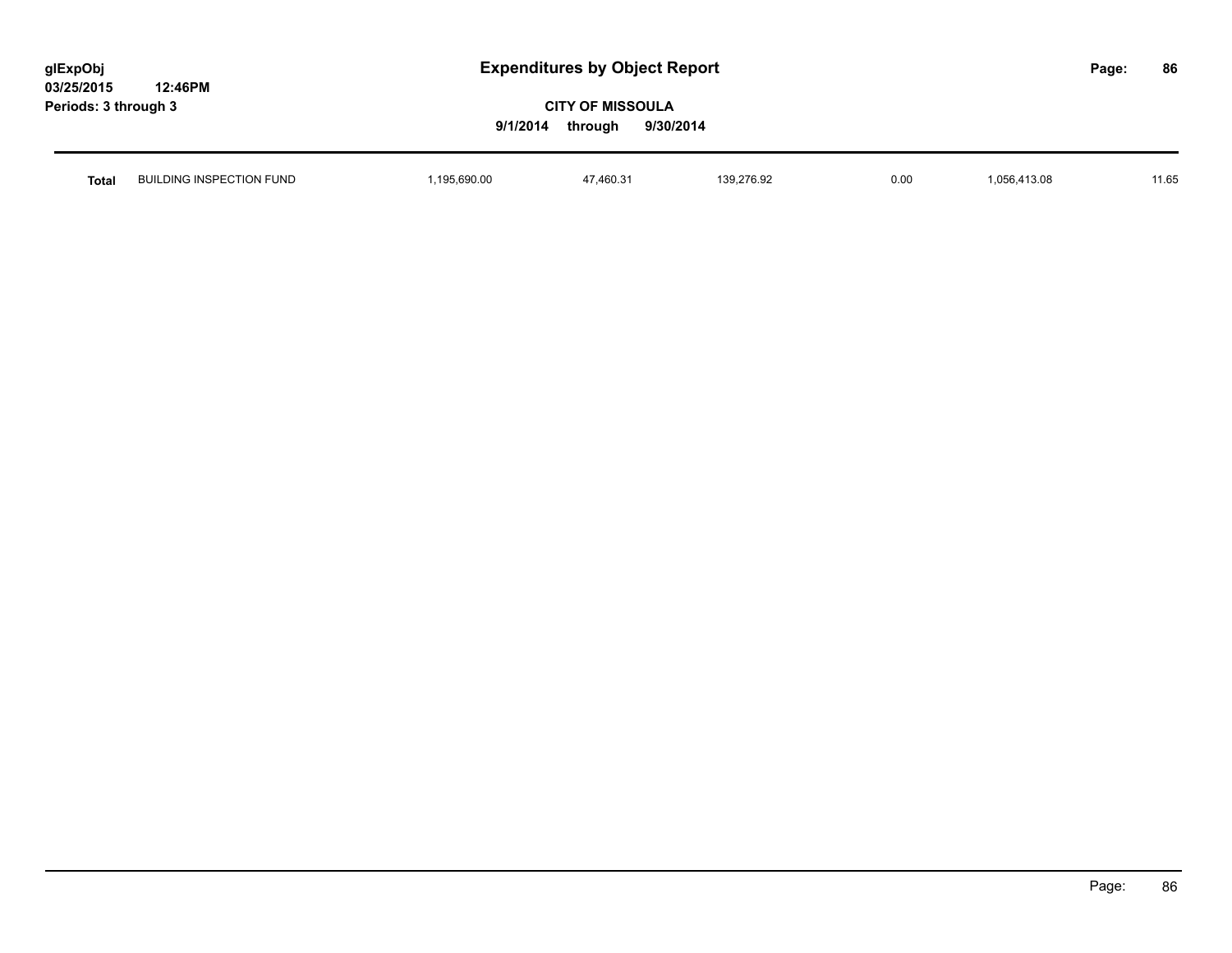| glExpObj             |         |
|----------------------|---------|
| 03/25/2015           | 12:46PM |
| Periods: 3 through 3 |         |

| Total | <b>BUILDING INSPECTION FUND</b> | 195.690.00 | 17.400.21<br>,40U.3<br>$\mathbf{r}$ | 139,276.92<br>the contract of the contract of the contract of the contract of the contract of the contract of the contract of | 0.00 | 6,413.08<br>.056 | 11.65 |
|-------|---------------------------------|------------|-------------------------------------|-------------------------------------------------------------------------------------------------------------------------------|------|------------------|-------|
|       |                                 |            |                                     |                                                                                                                               |      |                  |       |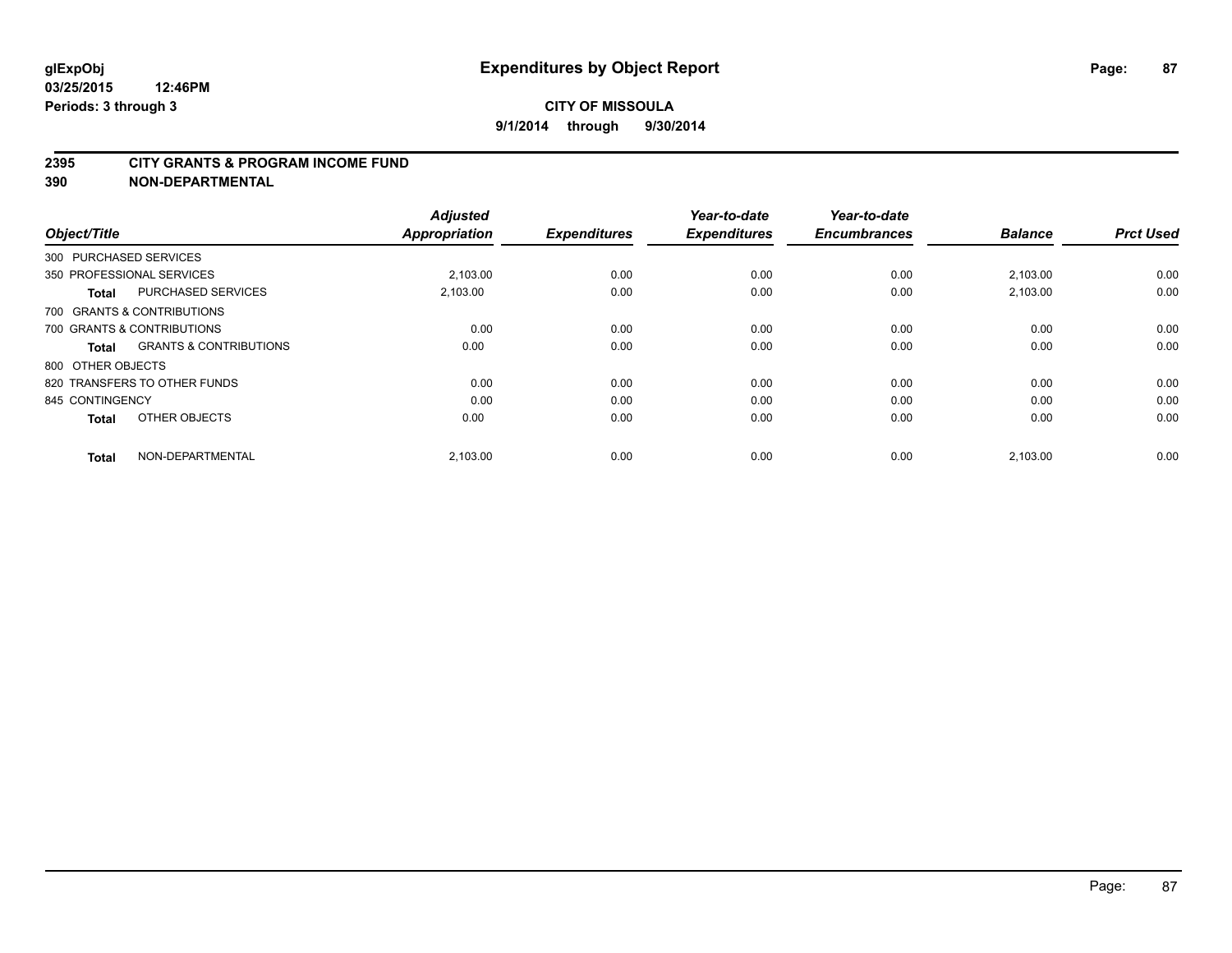#### **2395 CITY GRANTS & PROGRAM INCOME FUND**

**390 NON-DEPARTMENTAL**

| Object/Title           |                                   | <b>Adjusted</b><br><b>Appropriation</b> | <b>Expenditures</b> | Year-to-date<br><b>Expenditures</b> | Year-to-date<br><b>Encumbrances</b> | <b>Balance</b> | <b>Prct Used</b> |
|------------------------|-----------------------------------|-----------------------------------------|---------------------|-------------------------------------|-------------------------------------|----------------|------------------|
| 300 PURCHASED SERVICES |                                   |                                         |                     |                                     |                                     |                |                  |
|                        | 350 PROFESSIONAL SERVICES         | 2.103.00                                | 0.00                | 0.00                                | 0.00                                | 2,103.00       | 0.00             |
| <b>Total</b>           | <b>PURCHASED SERVICES</b>         | 2,103.00                                | 0.00                | 0.00                                | 0.00                                | 2,103.00       | 0.00             |
|                        | 700 GRANTS & CONTRIBUTIONS        |                                         |                     |                                     |                                     |                |                  |
|                        | 700 GRANTS & CONTRIBUTIONS        | 0.00                                    | 0.00                | 0.00                                | 0.00                                | 0.00           | 0.00             |
| <b>Total</b>           | <b>GRANTS &amp; CONTRIBUTIONS</b> | 0.00                                    | 0.00                | 0.00                                | 0.00                                | 0.00           | 0.00             |
| 800 OTHER OBJECTS      |                                   |                                         |                     |                                     |                                     |                |                  |
|                        | 820 TRANSFERS TO OTHER FUNDS      | 0.00                                    | 0.00                | 0.00                                | 0.00                                | 0.00           | 0.00             |
| 845 CONTINGENCY        |                                   | 0.00                                    | 0.00                | 0.00                                | 0.00                                | 0.00           | 0.00             |
| <b>Total</b>           | OTHER OBJECTS                     | 0.00                                    | 0.00                | 0.00                                | 0.00                                | 0.00           | 0.00             |
| <b>Total</b>           | NON-DEPARTMENTAL                  | 2,103.00                                | 0.00                | 0.00                                | 0.00                                | 2,103.00       | 0.00             |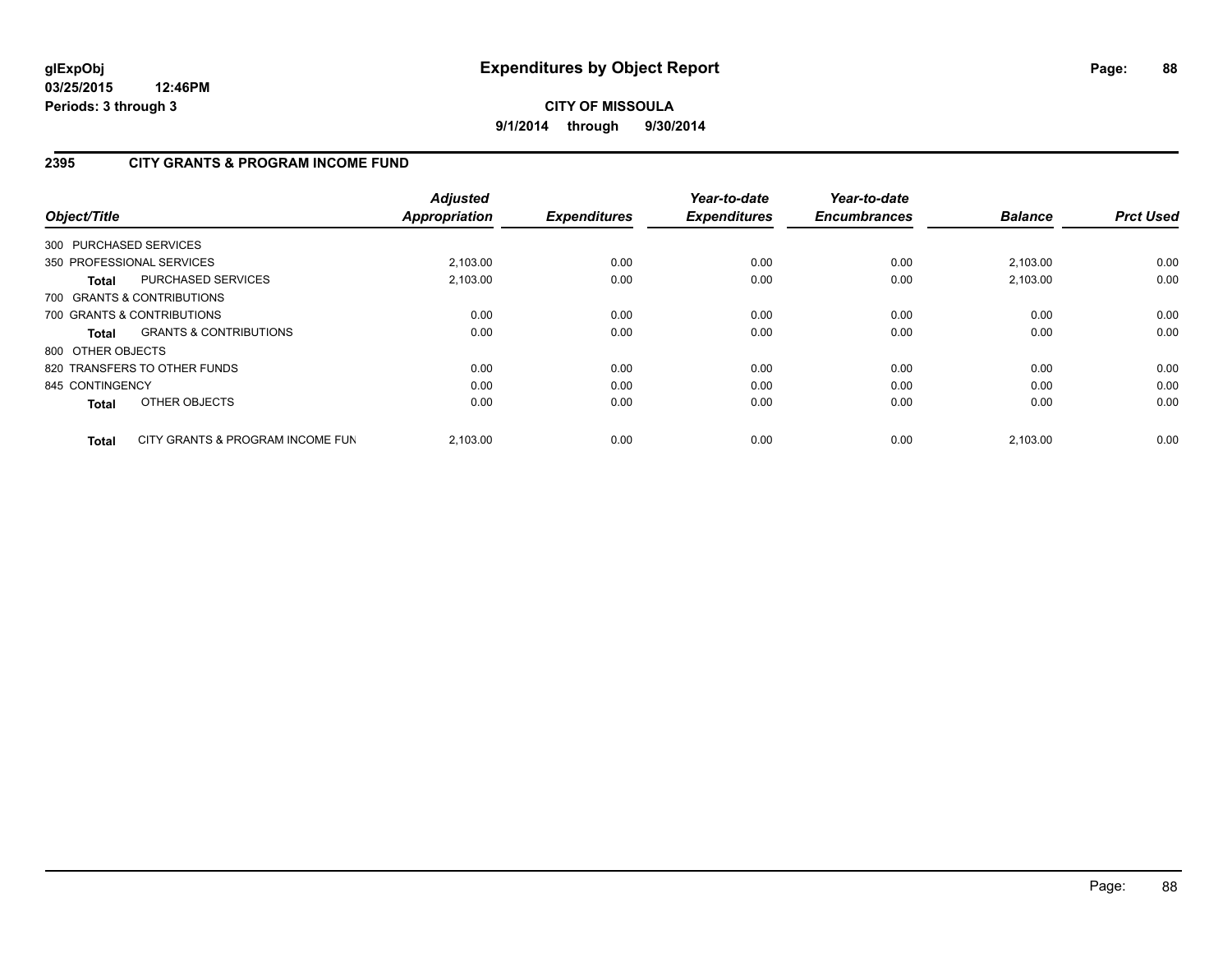# **2395 CITY GRANTS & PROGRAM INCOME FUND**

| Object/Title      |                                   | <b>Adjusted</b><br><b>Appropriation</b> | <b>Expenditures</b> | Year-to-date<br><b>Expenditures</b> | Year-to-date<br><b>Encumbrances</b> | <b>Balance</b> | <b>Prct Used</b> |
|-------------------|-----------------------------------|-----------------------------------------|---------------------|-------------------------------------|-------------------------------------|----------------|------------------|
|                   | 300 PURCHASED SERVICES            |                                         |                     |                                     |                                     |                |                  |
|                   | 350 PROFESSIONAL SERVICES         | 2,103.00                                | 0.00                | 0.00                                | 0.00                                | 2,103.00       | 0.00             |
| Total             | PURCHASED SERVICES                | 2.103.00                                | 0.00                | 0.00                                | 0.00                                | 2.103.00       | 0.00             |
|                   | 700 GRANTS & CONTRIBUTIONS        |                                         |                     |                                     |                                     |                |                  |
|                   | 700 GRANTS & CONTRIBUTIONS        | 0.00                                    | 0.00                | 0.00                                | 0.00                                | 0.00           | 0.00             |
| Total             | <b>GRANTS &amp; CONTRIBUTIONS</b> | 0.00                                    | 0.00                | 0.00                                | 0.00                                | 0.00           | 0.00             |
| 800 OTHER OBJECTS |                                   |                                         |                     |                                     |                                     |                |                  |
|                   | 820 TRANSFERS TO OTHER FUNDS      | 0.00                                    | 0.00                | 0.00                                | 0.00                                | 0.00           | 0.00             |
| 845 CONTINGENCY   |                                   | 0.00                                    | 0.00                | 0.00                                | 0.00                                | 0.00           | 0.00             |
| <b>Total</b>      | OTHER OBJECTS                     | 0.00                                    | 0.00                | 0.00                                | 0.00                                | 0.00           | 0.00             |
| <b>Total</b>      | CITY GRANTS & PROGRAM INCOME FUN  | 2.103.00                                | 0.00                | 0.00                                | 0.00                                | 2.103.00       | 0.00             |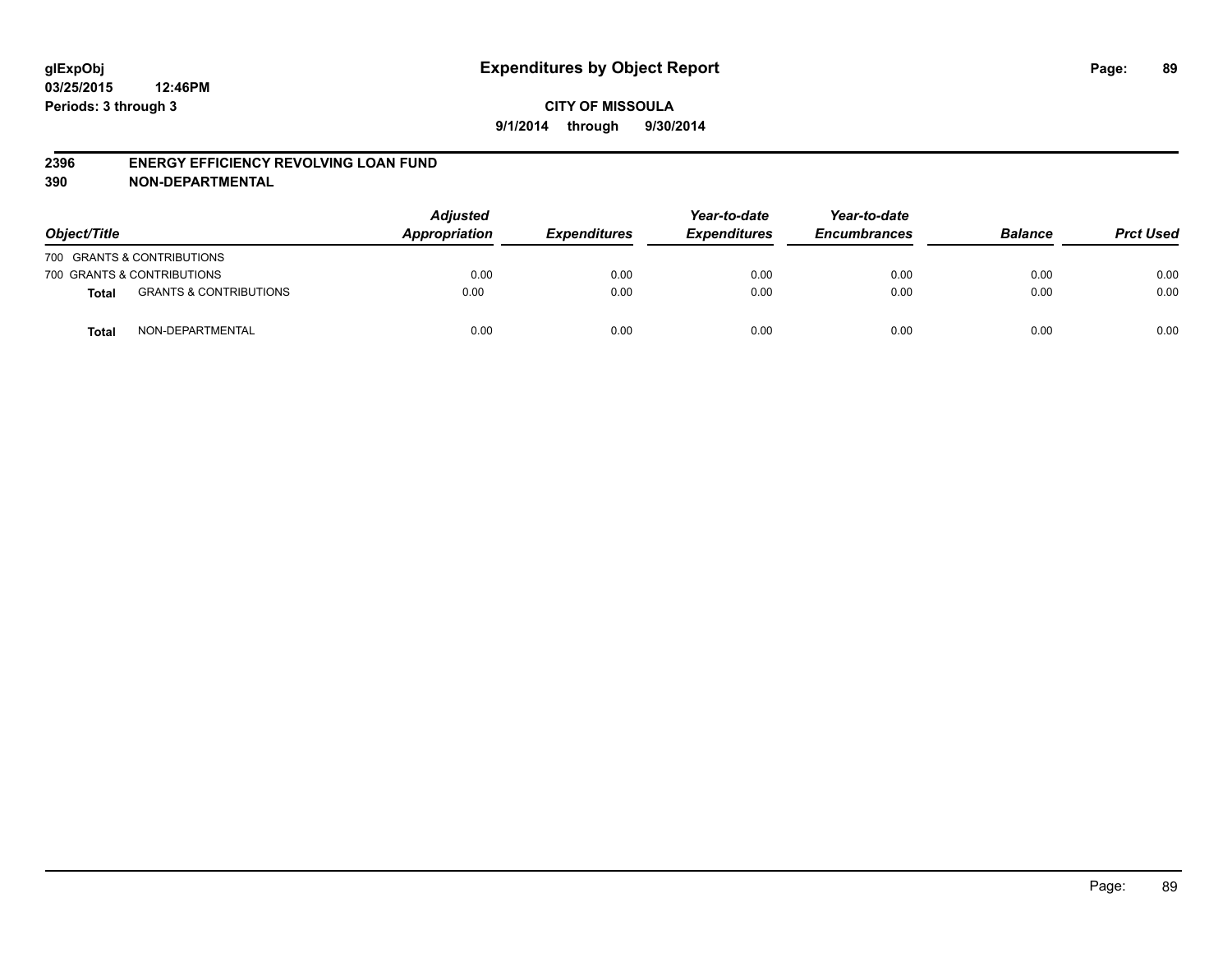#### **2396 ENERGY EFFICIENCY REVOLVING LOAN FUND**

**390 NON-DEPARTMENTAL**

| Object/Title |                                   | <b>Adjusted</b><br>Appropriation | <b>Expenditures</b> | Year-to-date<br><b>Expenditures</b> | Year-to-date<br><b>Encumbrances</b> | <b>Balance</b> | <b>Prct Used</b> |
|--------------|-----------------------------------|----------------------------------|---------------------|-------------------------------------|-------------------------------------|----------------|------------------|
|              | 700 GRANTS & CONTRIBUTIONS        |                                  |                     |                                     |                                     |                |                  |
|              | 700 GRANTS & CONTRIBUTIONS        | 0.00                             | 0.00                | 0.00                                | 0.00                                | 0.00           | 0.00             |
| <b>Total</b> | <b>GRANTS &amp; CONTRIBUTIONS</b> | 0.00                             | 0.00                | 0.00                                | 0.00                                | 0.00           | 0.00             |
| <b>Total</b> | NON-DEPARTMENTAL                  | 0.00                             | 0.00                | 0.00                                | 0.00                                | 0.00           | 0.00             |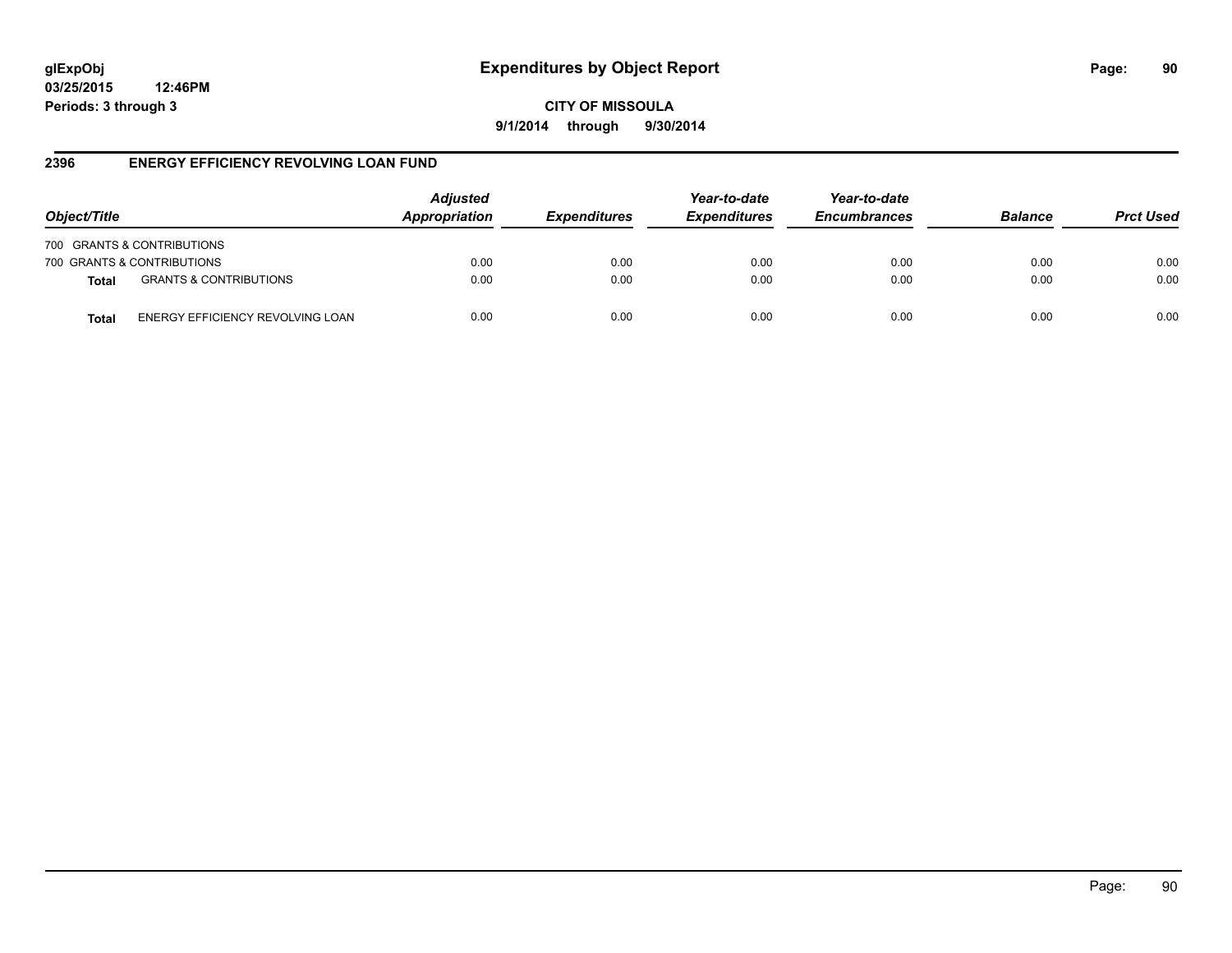# **glExpObj Expenditures by Object Report Page: 90**

**03/25/2015 12:46PM Periods: 3 through 3**

**CITY OF MISSOULA 9/1/2014 through 9/30/2014**

#### **2396 ENERGY EFFICIENCY REVOLVING LOAN FUND**

| Object/Title |                                   | <b>Adjusted</b><br>Appropriation | <b>Expenditures</b> | Year-to-date<br><b>Expenditures</b> | Year-to-date<br><b>Encumbrances</b> | <b>Balance</b> | <b>Prct Used</b> |
|--------------|-----------------------------------|----------------------------------|---------------------|-------------------------------------|-------------------------------------|----------------|------------------|
|              | 700 GRANTS & CONTRIBUTIONS        |                                  |                     |                                     |                                     |                |                  |
|              | 700 GRANTS & CONTRIBUTIONS        | 0.00                             | 0.00                | 0.00                                | 0.00                                | 0.00           | 0.00             |
| <b>Total</b> | <b>GRANTS &amp; CONTRIBUTIONS</b> | 0.00                             | 0.00                | 0.00                                | 0.00                                | 0.00           | 0.00             |
| Total        | ENERGY EFFICIENCY REVOLVING LOAN  | 0.00                             | 0.00                | 0.00                                | 0.00                                | 0.00           | 0.00             |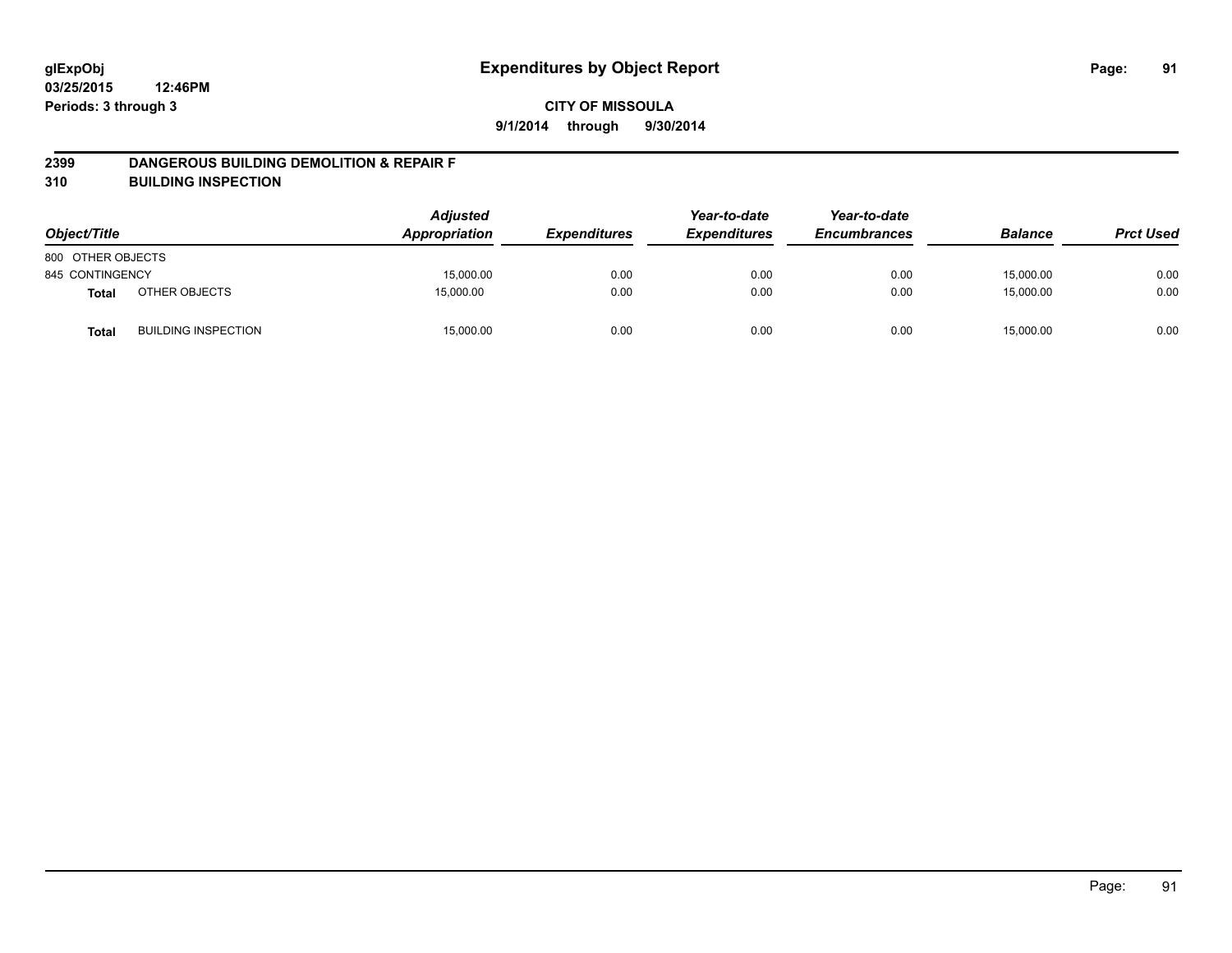#### **2399 DANGEROUS BUILDING DEMOLITION & REPAIR F**

**310 BUILDING INSPECTION**

| Object/Title      |                            | <b>Adjusted</b><br>Appropriation | <b>Expenditures</b> | Year-to-date<br><b>Expenditures</b> | Year-to-date<br><b>Encumbrances</b> | <b>Balance</b> | <b>Prct Used</b> |
|-------------------|----------------------------|----------------------------------|---------------------|-------------------------------------|-------------------------------------|----------------|------------------|
| 800 OTHER OBJECTS |                            |                                  |                     |                                     |                                     |                |                  |
| 845 CONTINGENCY   |                            | 15,000.00                        | 0.00                | 0.00                                | 0.00                                | 15,000.00      | 0.00             |
| <b>Total</b>      | OTHER OBJECTS              | 15,000.00                        | 0.00                | 0.00                                | 0.00                                | 15,000.00      | 0.00             |
| <b>Total</b>      | <b>BUILDING INSPECTION</b> | 15,000.00                        | 0.00                | 0.00                                | 0.00                                | 15,000.00      | 0.00             |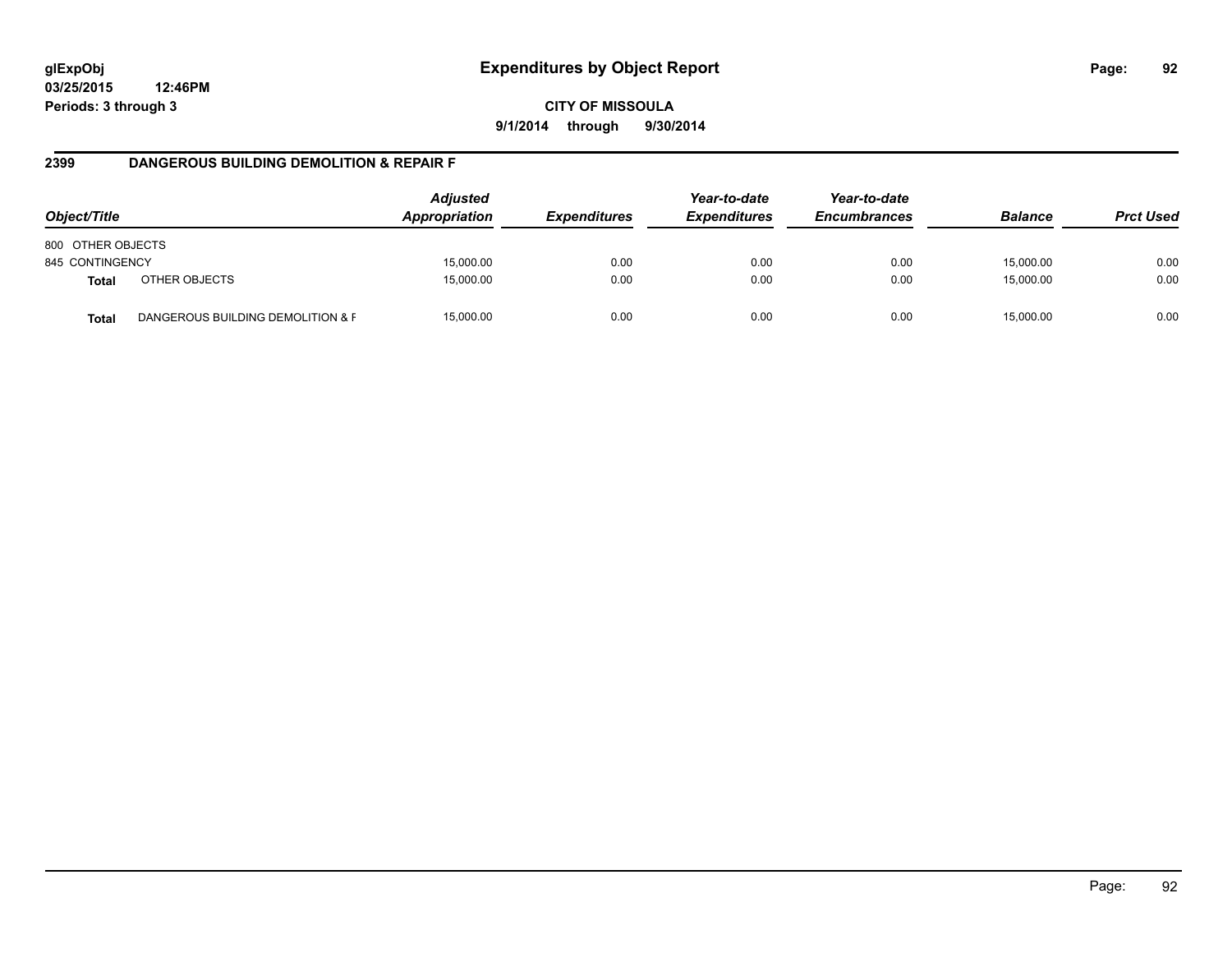**CITY OF MISSOULA 9/1/2014 through 9/30/2014**

#### **2399 DANGEROUS BUILDING DEMOLITION & REPAIR F**

| Object/Title      |                                   | <b>Adjusted</b><br>Appropriation | <i><b>Expenditures</b></i> | Year-to-date<br><b>Expenditures</b> | Year-to-date<br><b>Encumbrances</b> | <b>Balance</b> | <b>Prct Used</b> |
|-------------------|-----------------------------------|----------------------------------|----------------------------|-------------------------------------|-------------------------------------|----------------|------------------|
| 800 OTHER OBJECTS |                                   |                                  |                            |                                     |                                     |                |                  |
| 845 CONTINGENCY   |                                   | 15,000.00                        | 0.00                       | 0.00                                | 0.00                                | 15,000.00      | 0.00             |
| <b>Total</b>      | OTHER OBJECTS                     | 15,000.00                        | 0.00                       | 0.00                                | 0.00                                | 15,000.00      | 0.00             |
| <b>Total</b>      | DANGEROUS BUILDING DEMOLITION & F | 15,000.00                        | 0.00                       | 0.00                                | 0.00                                | 15.000.00      | 0.00             |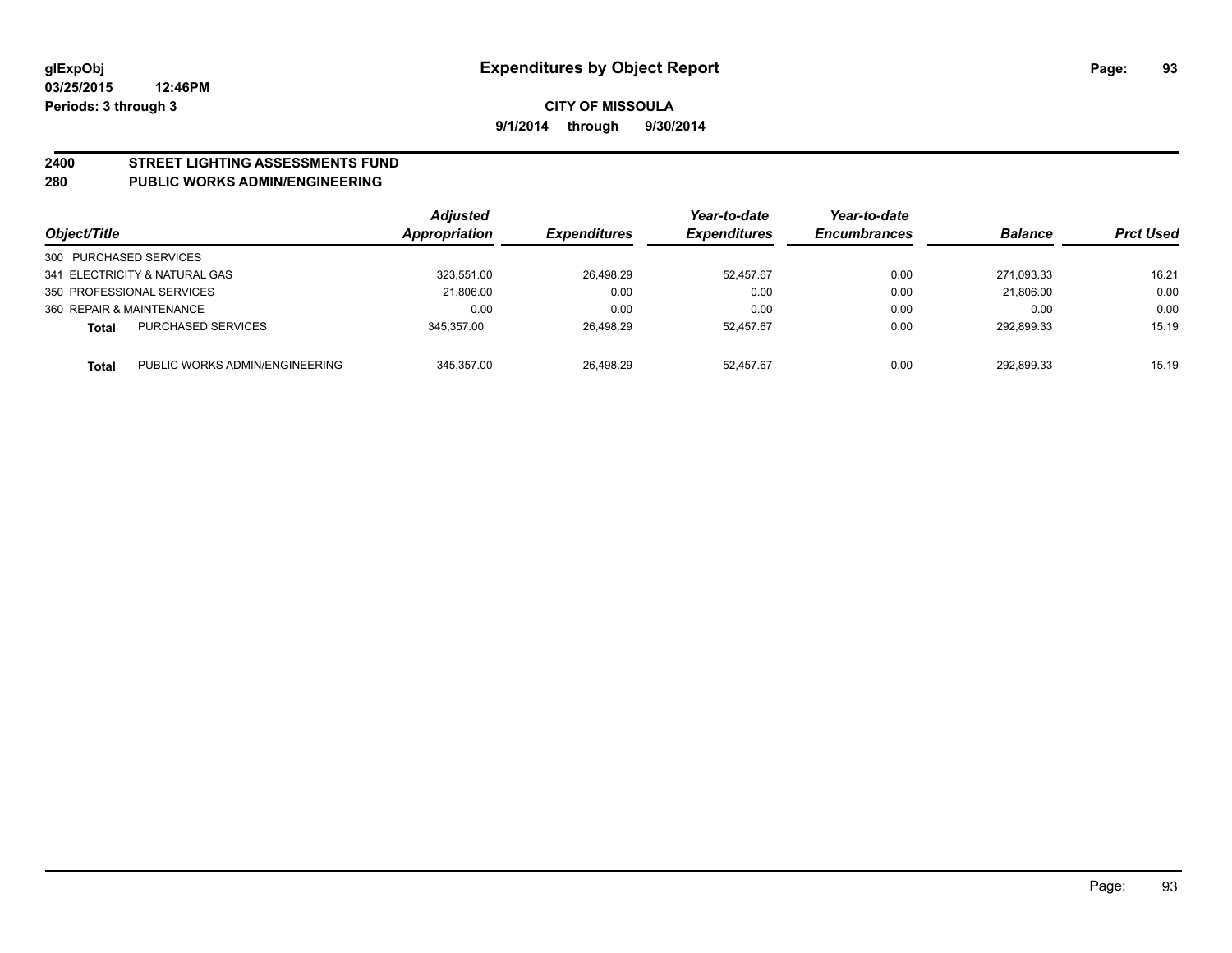# **2400 STREET LIGHTING ASSESSMENTS FUND**

#### **280 PUBLIC WORKS ADMIN/ENGINEERING**

| Object/Title           |                                | <b>Adjusted</b><br>Appropriation | <b>Expenditures</b> | Year-to-date<br><b>Expenditures</b> | Year-to-date<br><b>Encumbrances</b> | <b>Balance</b> | <b>Prct Used</b> |
|------------------------|--------------------------------|----------------------------------|---------------------|-------------------------------------|-------------------------------------|----------------|------------------|
| 300 PURCHASED SERVICES |                                |                                  |                     |                                     |                                     |                |                  |
|                        | 341 ELECTRICITY & NATURAL GAS  | 323.551.00                       | 26,498.29           | 52.457.67                           | 0.00                                | 271.093.33     | 16.21            |
|                        | 350 PROFESSIONAL SERVICES      | 21.806.00                        | 0.00                | 0.00                                | 0.00                                | 21.806.00      | 0.00             |
|                        | 360 REPAIR & MAINTENANCE       | 0.00                             | 0.00                | 0.00                                | 0.00                                | 0.00           | 0.00             |
| Total                  | <b>PURCHASED SERVICES</b>      | 345.357.00                       | 26,498.29           | 52.457.67                           | 0.00                                | 292.899.33     | 15.19            |
| Total                  | PUBLIC WORKS ADMIN/ENGINEERING | 345.357.00                       | 26.498.29           | 52.457.67                           | 0.00                                | 292.899.33     | 15.19            |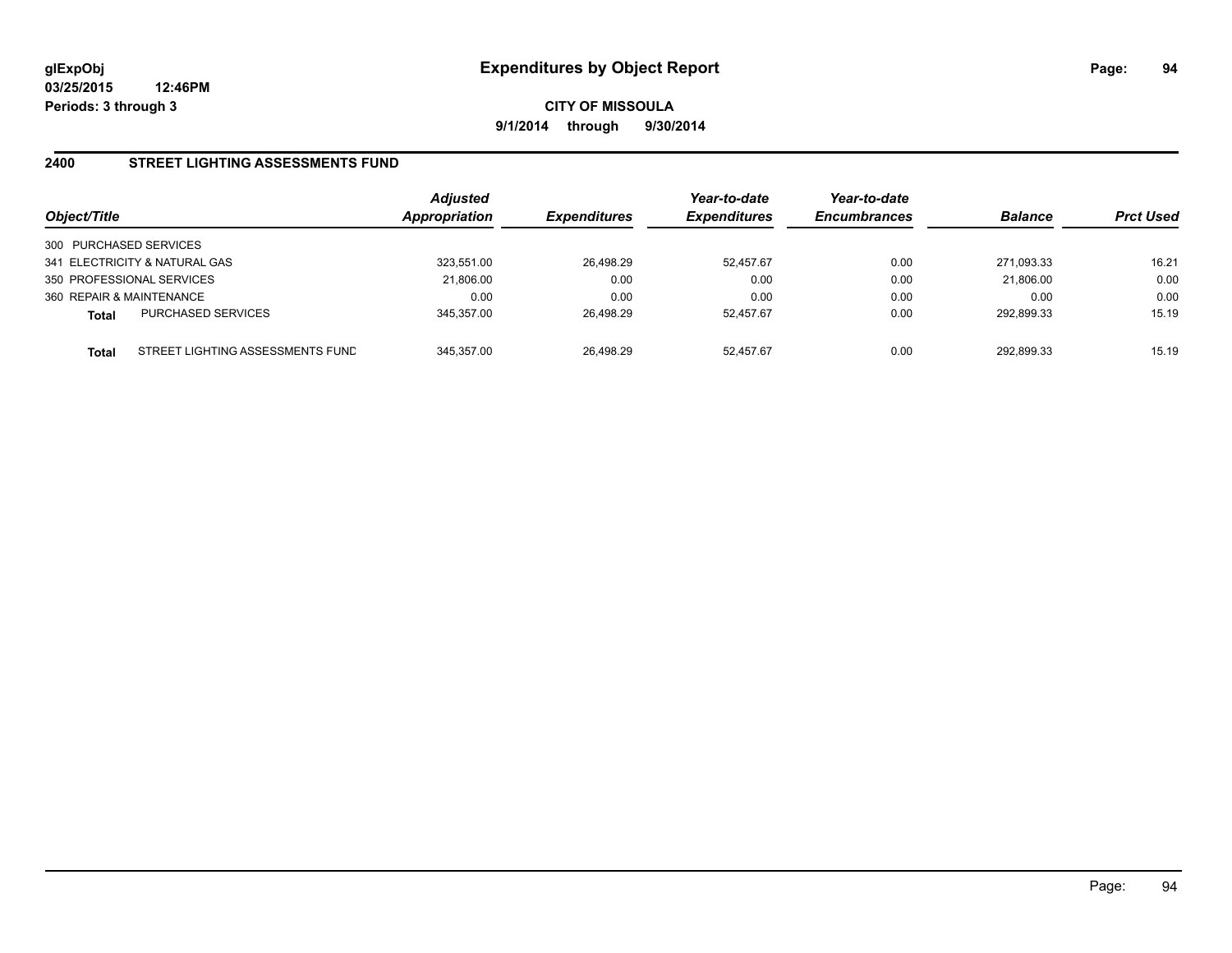#### **2400 STREET LIGHTING ASSESSMENTS FUND**

| Object/Title                                     | <b>Adjusted</b><br><b>Appropriation</b> | <b>Expenditures</b> | Year-to-date<br><b>Expenditures</b> | Year-to-date<br><b>Encumbrances</b> | <b>Balance</b> | <b>Prct Used</b> |
|--------------------------------------------------|-----------------------------------------|---------------------|-------------------------------------|-------------------------------------|----------------|------------------|
| 300 PURCHASED SERVICES                           |                                         |                     |                                     |                                     |                |                  |
| 341 ELECTRICITY & NATURAL GAS                    | 323.551.00                              | 26,498.29           | 52.457.67                           | 0.00                                | 271.093.33     | 16.21            |
| 350 PROFESSIONAL SERVICES                        | 21,806.00                               | 0.00                | 0.00                                | 0.00                                | 21,806.00      | 0.00             |
| 360 REPAIR & MAINTENANCE                         | 0.00                                    | 0.00                | 0.00                                | 0.00                                | 0.00           | 0.00             |
| <b>PURCHASED SERVICES</b><br><b>Total</b>        | 345.357.00                              | 26.498.29           | 52.457.67                           | 0.00                                | 292.899.33     | 15.19            |
| STREET LIGHTING ASSESSMENTS FUND<br><b>Total</b> | 345.357.00                              | 26.498.29           | 52.457.67                           | 0.00                                | 292.899.33     | 15.19            |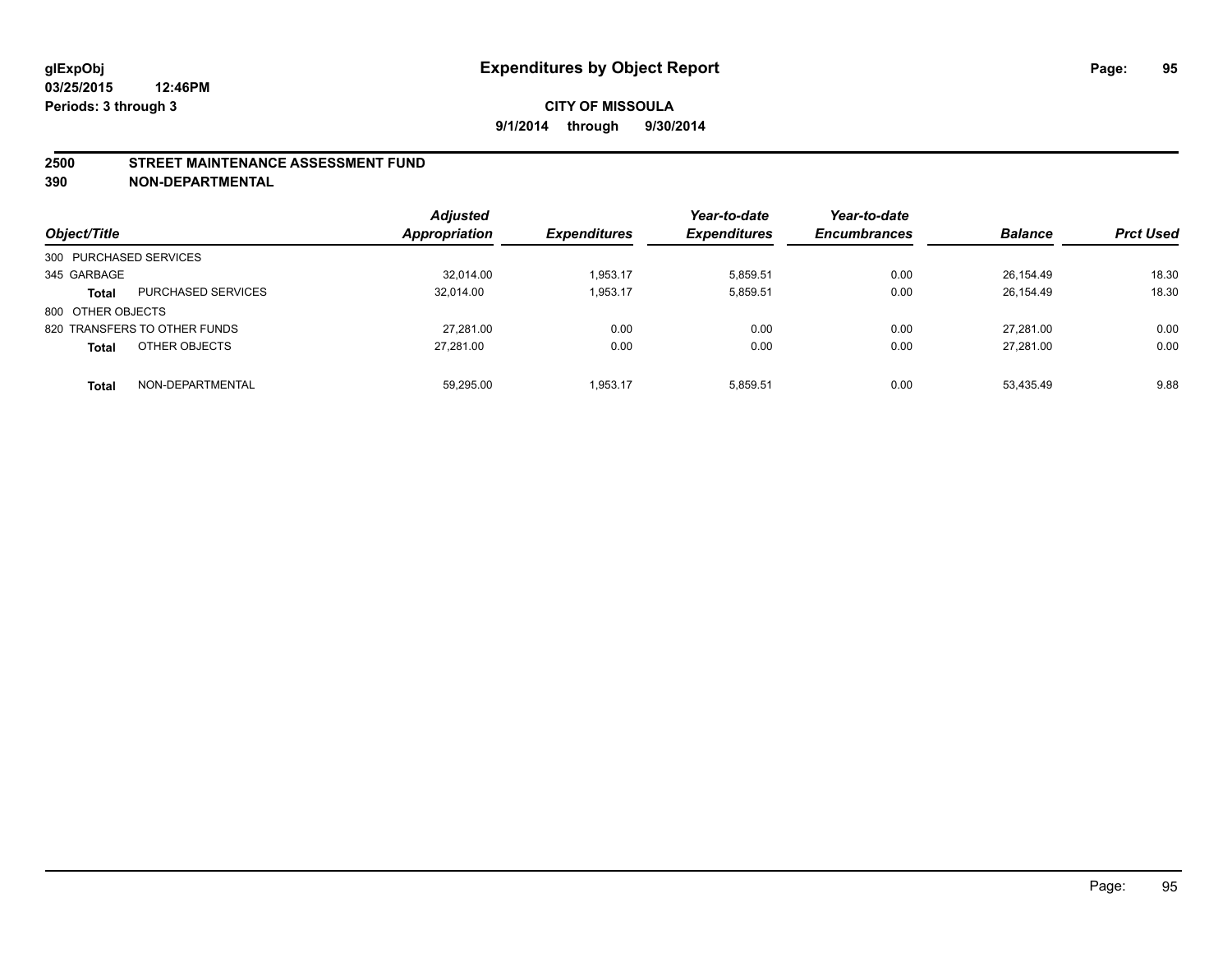#### **2500 STREET MAINTENANCE ASSESSMENT FUND**

**390 NON-DEPARTMENTAL**

| Object/Title           |                              | <b>Adjusted</b><br><b>Appropriation</b> | <b>Expenditures</b> | Year-to-date<br><b>Expenditures</b> | Year-to-date<br><b>Encumbrances</b> | <b>Balance</b> | <b>Prct Used</b> |
|------------------------|------------------------------|-----------------------------------------|---------------------|-------------------------------------|-------------------------------------|----------------|------------------|
| 300 PURCHASED SERVICES |                              |                                         |                     |                                     |                                     |                |                  |
| 345 GARBAGE            |                              | 32,014.00                               | 1.953.17            | 5.859.51                            | 0.00                                | 26.154.49      | 18.30            |
| <b>Total</b>           | <b>PURCHASED SERVICES</b>    | 32.014.00                               | 1,953.17            | 5,859.51                            | 0.00                                | 26,154.49      | 18.30            |
| 800 OTHER OBJECTS      |                              |                                         |                     |                                     |                                     |                |                  |
|                        | 820 TRANSFERS TO OTHER FUNDS | 27.281.00                               | 0.00                | 0.00                                | 0.00                                | 27.281.00      | 0.00             |
| <b>Total</b>           | OTHER OBJECTS                | 27.281.00                               | 0.00                | 0.00                                | 0.00                                | 27.281.00      | 0.00             |
| <b>Total</b>           | NON-DEPARTMENTAL             | 59.295.00                               | 1.953.17            | 5.859.51                            | 0.00                                | 53.435.49      | 9.88             |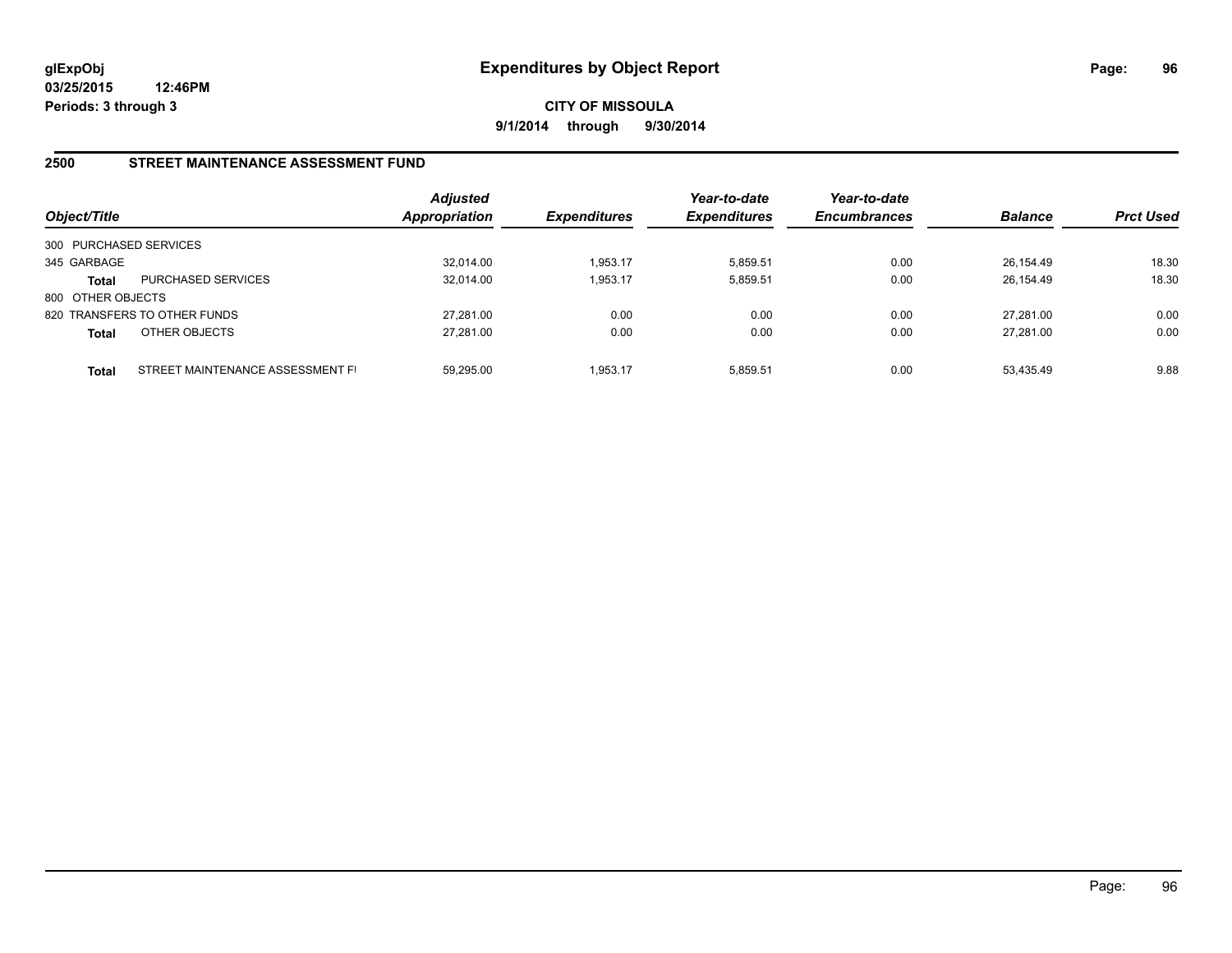**CITY OF MISSOULA 9/1/2014 through 9/30/2014**

#### **2500 STREET MAINTENANCE ASSESSMENT FUND**

| Object/Title           |                                  | <b>Adjusted</b><br><b>Appropriation</b> | <b>Expenditures</b> | Year-to-date<br><b>Expenditures</b> | Year-to-date<br><b>Encumbrances</b> | <b>Balance</b> | <b>Prct Used</b> |
|------------------------|----------------------------------|-----------------------------------------|---------------------|-------------------------------------|-------------------------------------|----------------|------------------|
| 300 PURCHASED SERVICES |                                  |                                         |                     |                                     |                                     |                |                  |
| 345 GARBAGE            |                                  | 32,014.00                               | 1,953.17            | 5.859.51                            | 0.00                                | 26,154.49      | 18.30            |
| <b>Total</b>           | <b>PURCHASED SERVICES</b>        | 32.014.00                               | 1,953.17            | 5.859.51                            | 0.00                                | 26.154.49      | 18.30            |
| 800 OTHER OBJECTS      |                                  |                                         |                     |                                     |                                     |                |                  |
|                        | 820 TRANSFERS TO OTHER FUNDS     | 27.281.00                               | 0.00                | 0.00                                | 0.00                                | 27.281.00      | 0.00             |
| <b>Total</b>           | OTHER OBJECTS                    | 27,281.00                               | 0.00                | 0.00                                | 0.00                                | 27.281.00      | 0.00             |
| Total                  | STREET MAINTENANCE ASSESSMENT FI | 59.295.00                               | 1.953.17            | 5.859.51                            | 0.00                                | 53.435.49      | 9.88             |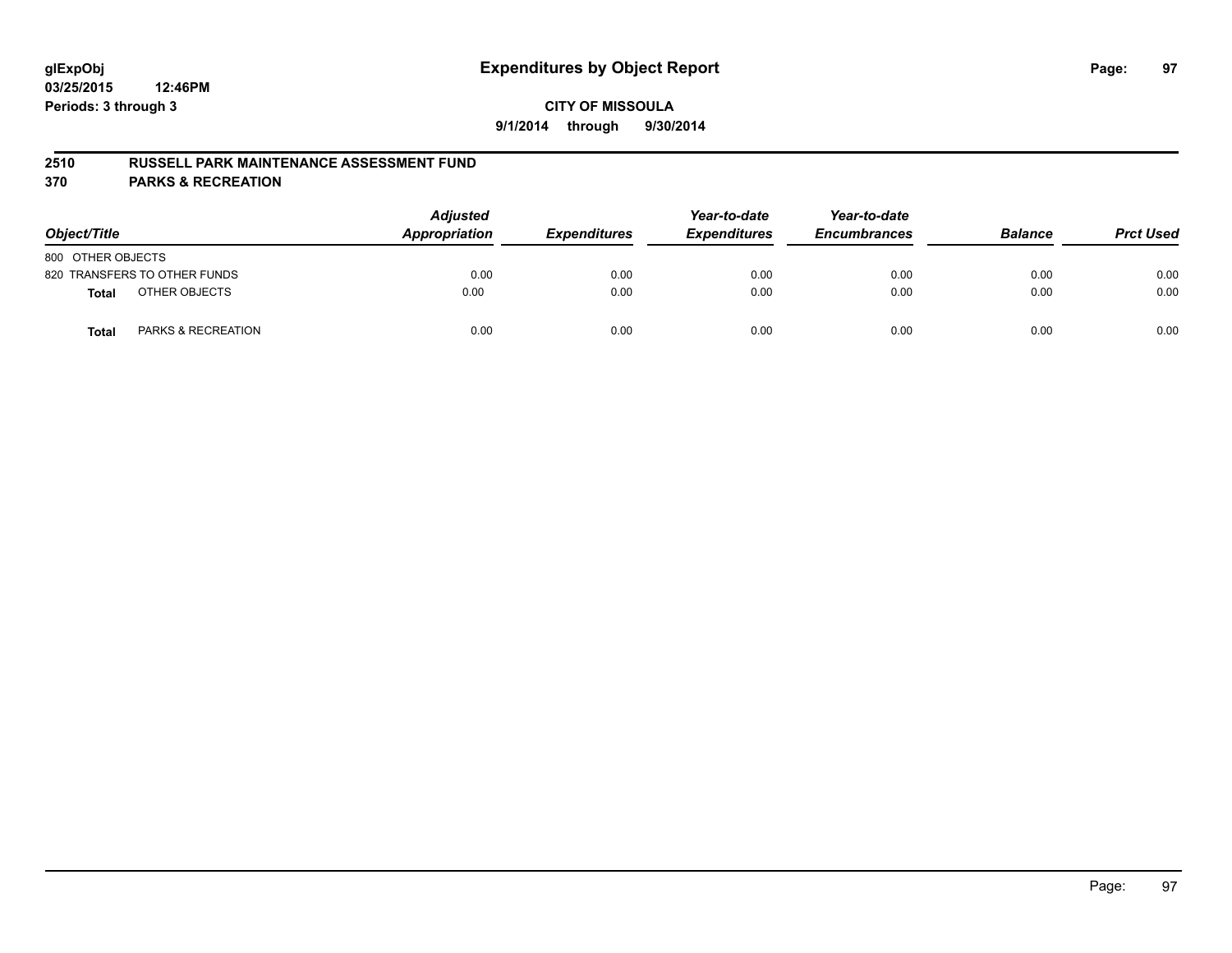#### **2510 RUSSELL PARK MAINTENANCE ASSESSMENT FUND**

**370 PARKS & RECREATION**

| Object/Title      |                               | <b>Adjusted</b><br><b>Appropriation</b> | <b>Expenditures</b> | Year-to-date<br><b>Expenditures</b> | Year-to-date<br><b>Encumbrances</b> | <b>Balance</b> | <b>Prct Used</b> |
|-------------------|-------------------------------|-----------------------------------------|---------------------|-------------------------------------|-------------------------------------|----------------|------------------|
| 800 OTHER OBJECTS |                               |                                         |                     |                                     |                                     |                |                  |
|                   | 820 TRANSFERS TO OTHER FUNDS  | 0.00                                    | 0.00                | 0.00                                | 0.00                                | 0.00           | 0.00             |
| <b>Total</b>      | OTHER OBJECTS                 | 0.00                                    | 0.00                | 0.00                                | 0.00                                | 0.00           | 0.00             |
| Total             | <b>PARKS &amp; RECREATION</b> | 0.00                                    | 0.00                | 0.00                                | 0.00                                | 0.00           | 0.00             |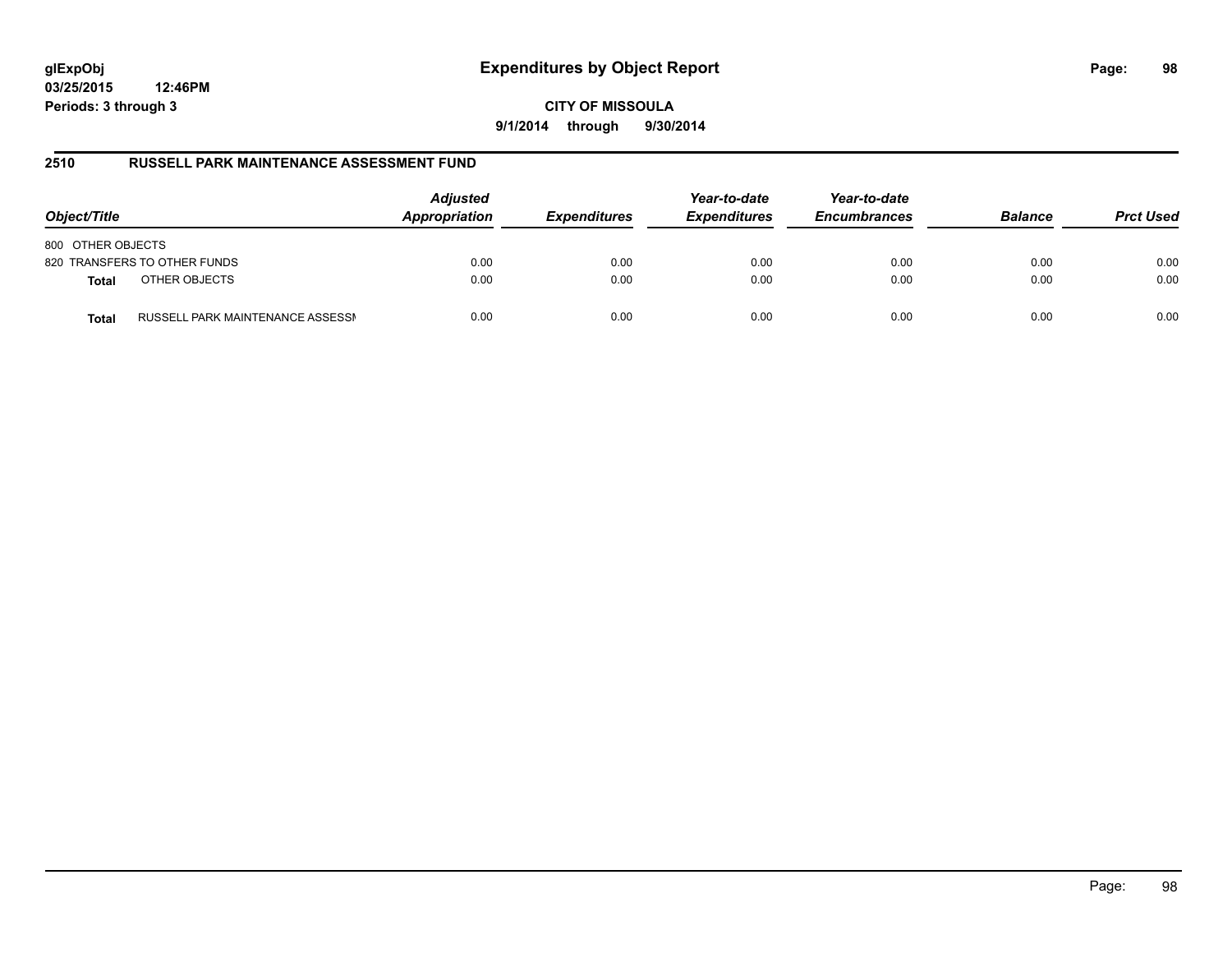# **glExpObj Expenditures by Object Report Page: 98**

**03/25/2015 12:46PM Periods: 3 through 3**

**CITY OF MISSOULA 9/1/2014 through 9/30/2014**

#### **2510 RUSSELL PARK MAINTENANCE ASSESSMENT FUND**

| Object/Title                                     | <b>Adjusted</b><br>Appropriation | <b>Expenditures</b> | Year-to-date<br><b>Expenditures</b> | Year-to-date<br><b>Encumbrances</b> | <b>Balance</b> | <b>Prct Used</b> |
|--------------------------------------------------|----------------------------------|---------------------|-------------------------------------|-------------------------------------|----------------|------------------|
| 800 OTHER OBJECTS                                |                                  |                     |                                     |                                     |                |                  |
| 820 TRANSFERS TO OTHER FUNDS                     | 0.00                             | 0.00                | 0.00                                | 0.00                                | 0.00           | 0.00             |
| OTHER OBJECTS<br><b>Total</b>                    | 0.00                             | 0.00                | 0.00                                | 0.00                                | 0.00           | 0.00             |
| RUSSELL PARK MAINTENANCE ASSESSN<br><b>Total</b> | 0.00                             | 0.00                | 0.00                                | 0.00                                | 0.00           | 0.00             |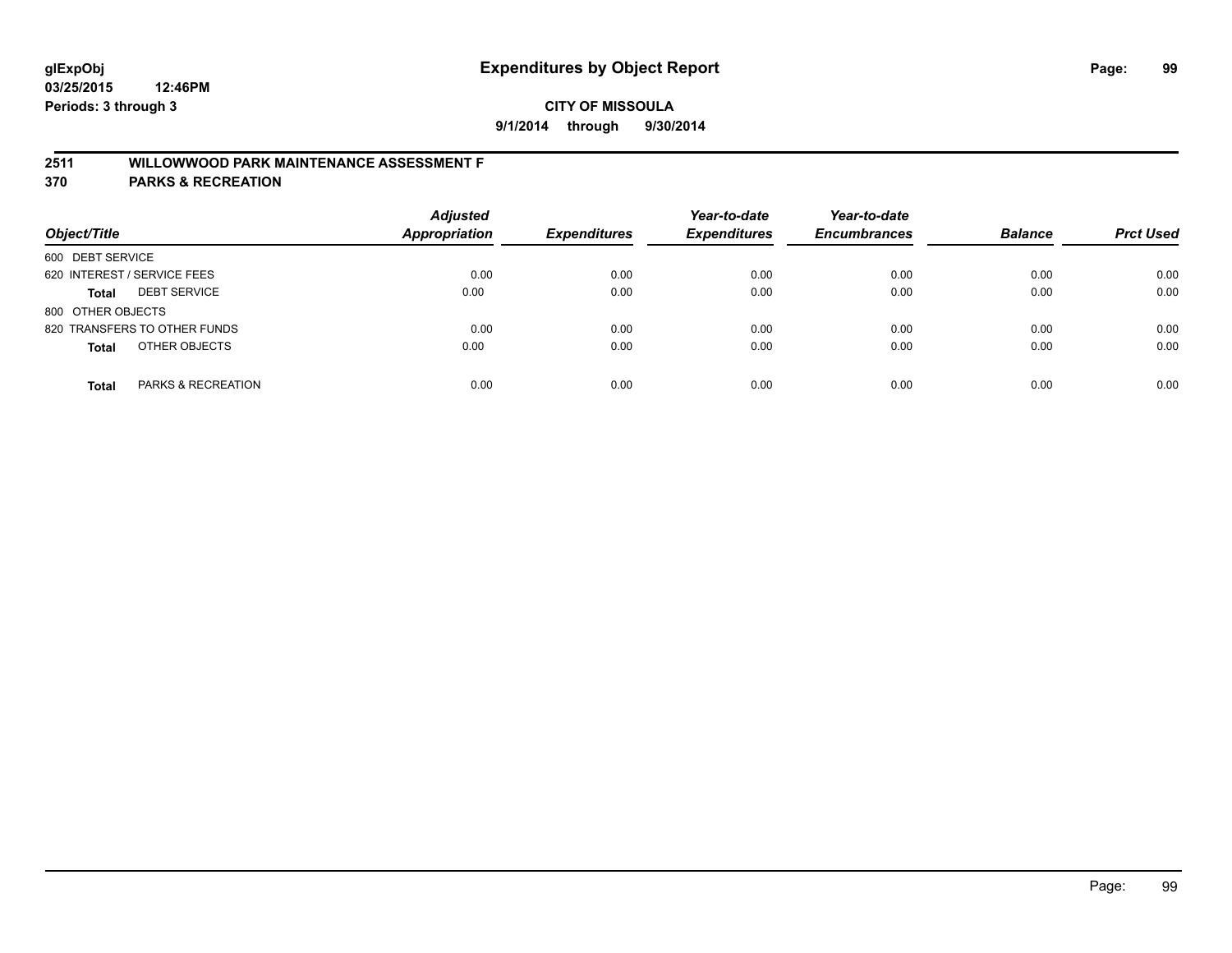# **2511 WILLOWWOOD PARK MAINTENANCE ASSESSMENT F**

**370 PARKS & RECREATION**

| Object/Title                       | <b>Adjusted</b><br><b>Appropriation</b> | <b>Expenditures</b> | Year-to-date<br><b>Expenditures</b> | Year-to-date<br><b>Encumbrances</b> | <b>Balance</b> | <b>Prct Used</b> |
|------------------------------------|-----------------------------------------|---------------------|-------------------------------------|-------------------------------------|----------------|------------------|
| 600 DEBT SERVICE                   |                                         |                     |                                     |                                     |                |                  |
| 620 INTEREST / SERVICE FEES        | 0.00                                    | 0.00                | 0.00                                | 0.00                                | 0.00           | 0.00             |
| <b>DEBT SERVICE</b><br>Total       | 0.00                                    | 0.00                | 0.00                                | 0.00                                | 0.00           | 0.00             |
| 800 OTHER OBJECTS                  |                                         |                     |                                     |                                     |                |                  |
| 820 TRANSFERS TO OTHER FUNDS       | 0.00                                    | 0.00                | 0.00                                | 0.00                                | 0.00           | 0.00             |
| OTHER OBJECTS<br><b>Total</b>      | 0.00                                    | 0.00                | 0.00                                | 0.00                                | 0.00           | 0.00             |
| PARKS & RECREATION<br><b>Total</b> | 0.00                                    | 0.00                | 0.00                                | 0.00                                | 0.00           | 0.00             |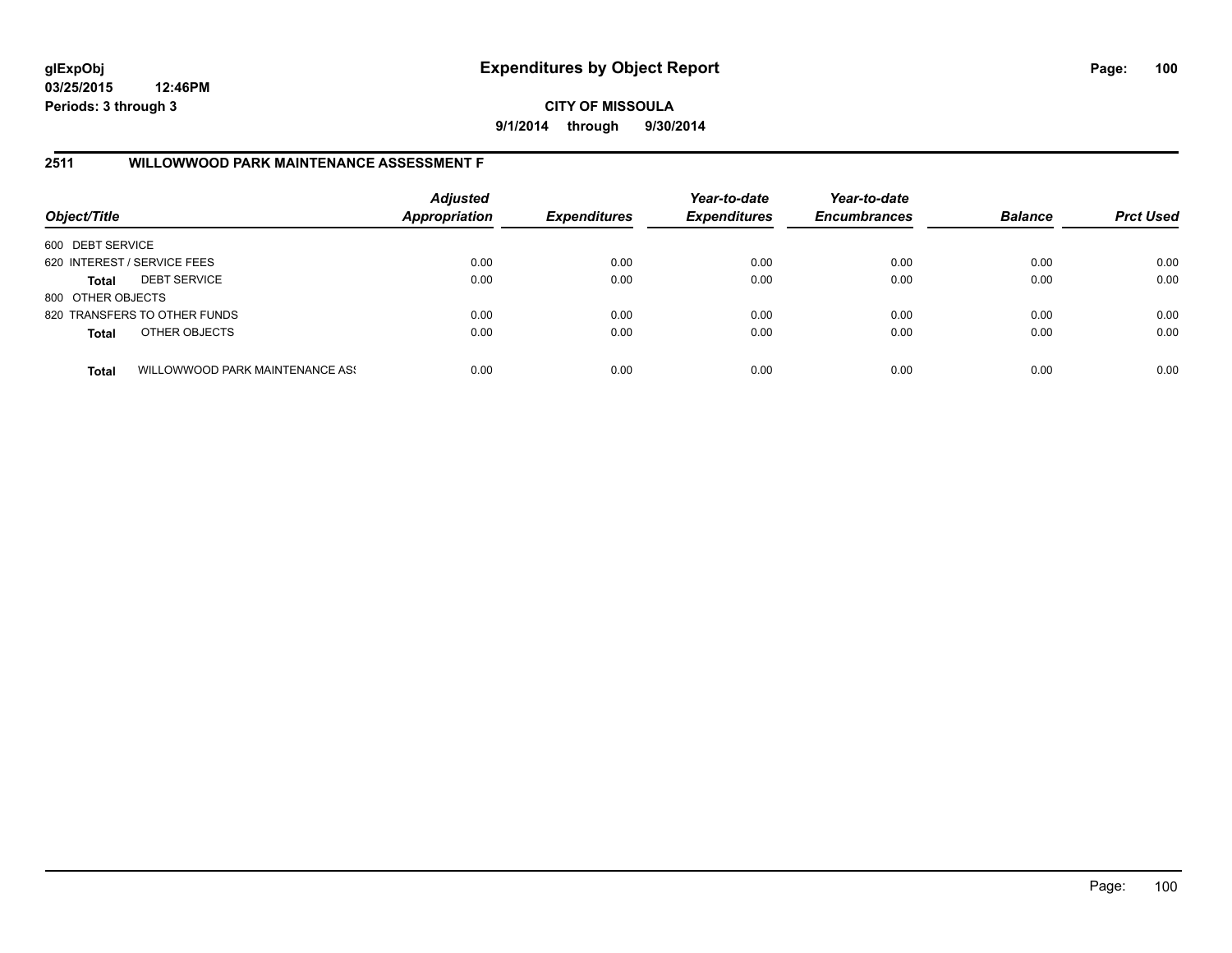**CITY OF MISSOULA 9/1/2014 through 9/30/2014**

#### **2511 WILLOWWOOD PARK MAINTENANCE ASSESSMENT F**

| Object/Title                |                                 | <b>Adjusted</b><br><b>Appropriation</b> | <b>Expenditures</b> | Year-to-date<br><b>Expenditures</b> | Year-to-date<br><b>Encumbrances</b> | <b>Balance</b> | <b>Prct Used</b> |
|-----------------------------|---------------------------------|-----------------------------------------|---------------------|-------------------------------------|-------------------------------------|----------------|------------------|
| 600 DEBT SERVICE            |                                 |                                         |                     |                                     |                                     |                |                  |
| 620 INTEREST / SERVICE FEES |                                 | 0.00                                    | 0.00                | 0.00                                | 0.00                                | 0.00           | 0.00             |
| <b>Total</b>                | <b>DEBT SERVICE</b>             | 0.00                                    | 0.00                | 0.00                                | 0.00                                | 0.00           | 0.00             |
| 800 OTHER OBJECTS           |                                 |                                         |                     |                                     |                                     |                |                  |
|                             | 820 TRANSFERS TO OTHER FUNDS    | 0.00                                    | 0.00                | 0.00                                | 0.00                                | 0.00           | 0.00             |
| <b>Total</b>                | OTHER OBJECTS                   | 0.00                                    | 0.00                | 0.00                                | 0.00                                | 0.00           | 0.00             |
| <b>Total</b>                | WILLOWWOOD PARK MAINTENANCE ASS | 0.00                                    | 0.00                | 0.00                                | 0.00                                | 0.00           | 0.00             |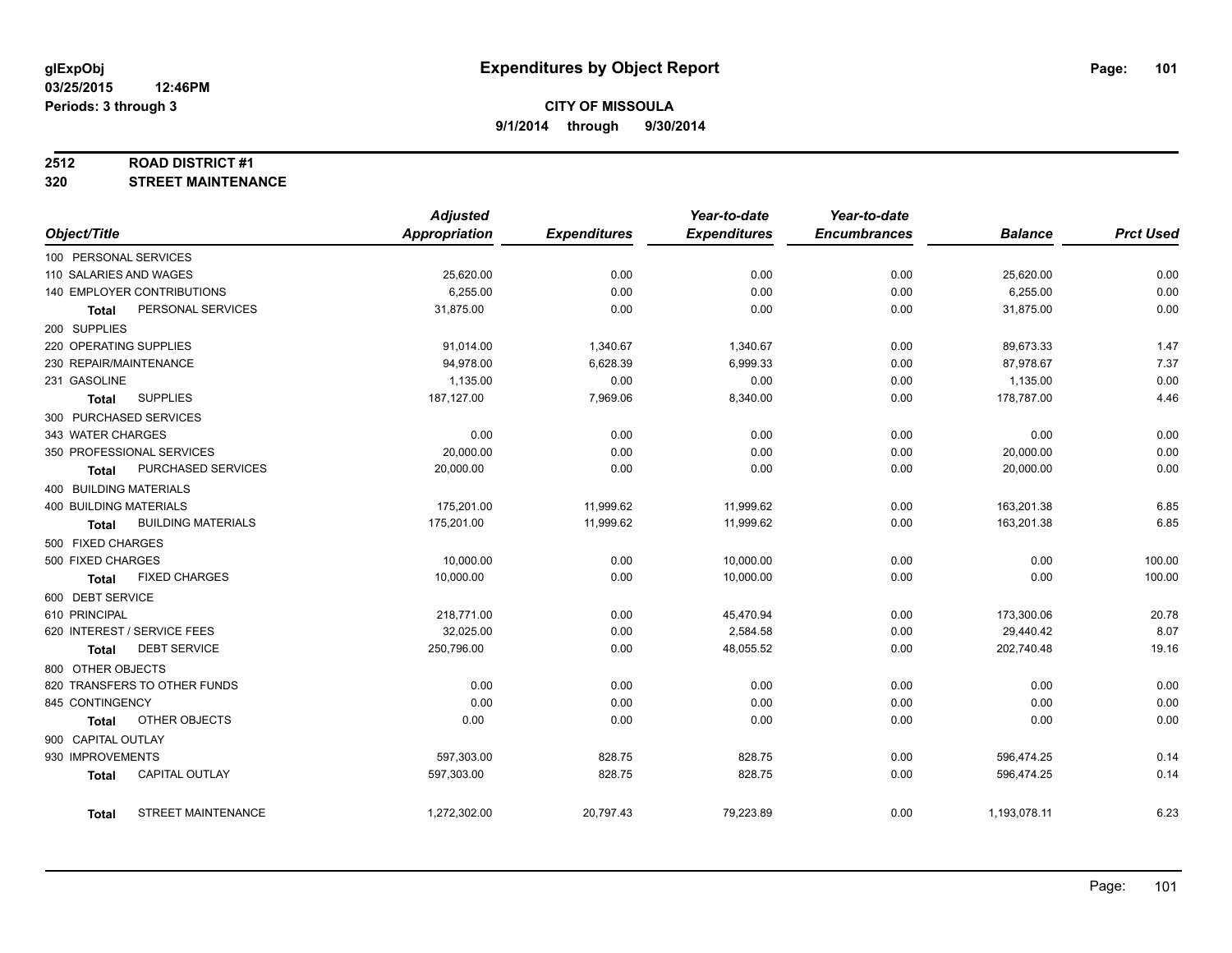#### **2512 ROAD DISTRICT #1**

**320 STREET MAINTENANCE**

|                               |                              | <b>Adjusted</b>      |                     | Year-to-date        | Year-to-date        |                |                  |
|-------------------------------|------------------------------|----------------------|---------------------|---------------------|---------------------|----------------|------------------|
| Object/Title                  |                              | <b>Appropriation</b> | <b>Expenditures</b> | <b>Expenditures</b> | <b>Encumbrances</b> | <b>Balance</b> | <b>Prct Used</b> |
| 100 PERSONAL SERVICES         |                              |                      |                     |                     |                     |                |                  |
| 110 SALARIES AND WAGES        |                              | 25,620.00            | 0.00                | 0.00                | 0.00                | 25,620.00      | 0.00             |
|                               | 140 EMPLOYER CONTRIBUTIONS   | 6,255.00             | 0.00                | 0.00                | 0.00                | 6,255.00       | 0.00             |
| Total                         | PERSONAL SERVICES            | 31,875.00            | 0.00                | 0.00                | 0.00                | 31,875.00      | 0.00             |
| 200 SUPPLIES                  |                              |                      |                     |                     |                     |                |                  |
| 220 OPERATING SUPPLIES        |                              | 91,014.00            | 1,340.67            | 1,340.67            | 0.00                | 89,673.33      | 1.47             |
| 230 REPAIR/MAINTENANCE        |                              | 94,978.00            | 6,628.39            | 6,999.33            | 0.00                | 87,978.67      | 7.37             |
| 231 GASOLINE                  |                              | 1,135.00             | 0.00                | 0.00                | 0.00                | 1,135.00       | 0.00             |
| <b>Total</b>                  | <b>SUPPLIES</b>              | 187,127.00           | 7,969.06            | 8,340.00            | 0.00                | 178,787.00     | 4.46             |
|                               | 300 PURCHASED SERVICES       |                      |                     |                     |                     |                |                  |
| 343 WATER CHARGES             |                              | 0.00                 | 0.00                | 0.00                | 0.00                | 0.00           | 0.00             |
|                               | 350 PROFESSIONAL SERVICES    | 20,000.00            | 0.00                | 0.00                | 0.00                | 20,000.00      | 0.00             |
| Total                         | PURCHASED SERVICES           | 20,000.00            | 0.00                | 0.00                | 0.00                | 20,000.00      | 0.00             |
| 400 BUILDING MATERIALS        |                              |                      |                     |                     |                     |                |                  |
| <b>400 BUILDING MATERIALS</b> |                              | 175,201.00           | 11,999.62           | 11,999.62           | 0.00                | 163,201.38     | 6.85             |
| <b>Total</b>                  | <b>BUILDING MATERIALS</b>    | 175,201.00           | 11,999.62           | 11,999.62           | 0.00                | 163,201.38     | 6.85             |
| 500 FIXED CHARGES             |                              |                      |                     |                     |                     |                |                  |
| 500 FIXED CHARGES             |                              | 10,000.00            | 0.00                | 10,000.00           | 0.00                | 0.00           | 100.00           |
| <b>Total</b>                  | <b>FIXED CHARGES</b>         | 10,000.00            | 0.00                | 10,000.00           | 0.00                | 0.00           | 100.00           |
| 600 DEBT SERVICE              |                              |                      |                     |                     |                     |                |                  |
| 610 PRINCIPAL                 |                              | 218,771.00           | 0.00                | 45,470.94           | 0.00                | 173,300.06     | 20.78            |
|                               | 620 INTEREST / SERVICE FEES  | 32,025.00            | 0.00                | 2,584.58            | 0.00                | 29,440.42      | 8.07             |
| Total                         | <b>DEBT SERVICE</b>          | 250,796.00           | 0.00                | 48,055.52           | 0.00                | 202,740.48     | 19.16            |
| 800 OTHER OBJECTS             |                              |                      |                     |                     |                     |                |                  |
|                               | 820 TRANSFERS TO OTHER FUNDS | 0.00                 | 0.00                | 0.00                | 0.00                | 0.00           | 0.00             |
| 845 CONTINGENCY               |                              | 0.00                 | 0.00                | 0.00                | 0.00                | 0.00           | 0.00             |
| <b>Total</b>                  | OTHER OBJECTS                | 0.00                 | 0.00                | 0.00                | 0.00                | 0.00           | 0.00             |
|                               |                              |                      |                     |                     |                     |                |                  |
| 900 CAPITAL OUTLAY            |                              |                      |                     |                     |                     |                |                  |
| 930 IMPROVEMENTS              |                              | 597,303.00           | 828.75              | 828.75              | 0.00                | 596,474.25     | 0.14             |
| <b>Total</b>                  | CAPITAL OUTLAY               | 597,303.00           | 828.75              | 828.75              | 0.00                | 596,474.25     | 0.14             |
| Total                         | <b>STREET MAINTENANCE</b>    | 1,272,302.00         | 20,797.43           | 79,223.89           | 0.00                | 1,193,078.11   | 6.23             |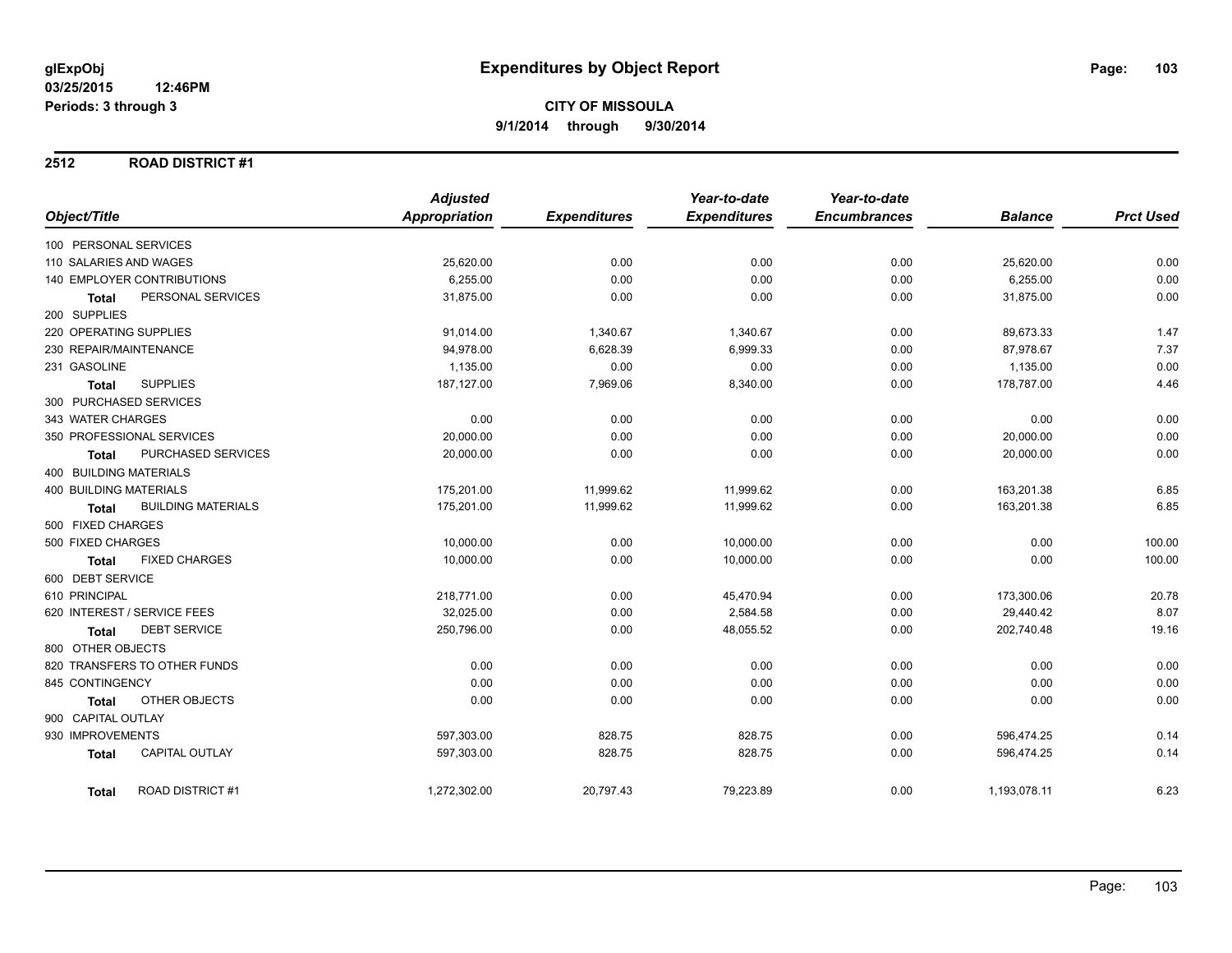#### **2512 ROAD DISTRICT #1**

|                                           | <b>Adjusted</b> |                     | Year-to-date        | Year-to-date        |                |                  |
|-------------------------------------------|-----------------|---------------------|---------------------|---------------------|----------------|------------------|
| Object/Title                              | Appropriation   | <b>Expenditures</b> | <b>Expenditures</b> | <b>Encumbrances</b> | <b>Balance</b> | <b>Prct Used</b> |
| 100 PERSONAL SERVICES                     |                 |                     |                     |                     |                |                  |
| 110 SALARIES AND WAGES                    | 25,620.00       | 0.00                | 0.00                | 0.00                | 25,620.00      | 0.00             |
| 140 EMPLOYER CONTRIBUTIONS                | 6,255.00        | 0.00                | 0.00                | 0.00                | 6,255.00       | 0.00             |
| PERSONAL SERVICES<br><b>Total</b>         | 31,875.00       | 0.00                | 0.00                | 0.00                | 31,875.00      | 0.00             |
| 200 SUPPLIES                              |                 |                     |                     |                     |                |                  |
| 220 OPERATING SUPPLIES                    | 91,014.00       | 1,340.67            | 1,340.67            | 0.00                | 89,673.33      | 1.47             |
| 230 REPAIR/MAINTENANCE                    | 94,978.00       | 6,628.39            | 6,999.33            | 0.00                | 87,978.67      | 7.37             |
| 231 GASOLINE                              | 1,135.00        | 0.00                | 0.00                | 0.00                | 1,135.00       | 0.00             |
| <b>SUPPLIES</b><br><b>Total</b>           | 187,127.00      | 7,969.06            | 8,340.00            | 0.00                | 178,787.00     | 4.46             |
| 300 PURCHASED SERVICES                    |                 |                     |                     |                     |                |                  |
| 343 WATER CHARGES                         | 0.00            | 0.00                | 0.00                | 0.00                | 0.00           | 0.00             |
| 350 PROFESSIONAL SERVICES                 | 20,000.00       | 0.00                | 0.00                | 0.00                | 20,000.00      | 0.00             |
| PURCHASED SERVICES<br>Total               | 20,000.00       | 0.00                | 0.00                | 0.00                | 20,000.00      | 0.00             |
| 400 BUILDING MATERIALS                    |                 |                     |                     |                     |                |                  |
| <b>400 BUILDING MATERIALS</b>             | 175,201.00      | 11,999.62           | 11,999.62           | 0.00                | 163,201.38     | 6.85             |
| <b>BUILDING MATERIALS</b><br><b>Total</b> | 175,201.00      | 11,999.62           | 11,999.62           | 0.00                | 163,201.38     | 6.85             |
| 500 FIXED CHARGES                         |                 |                     |                     |                     |                |                  |
| 500 FIXED CHARGES                         | 10,000.00       | 0.00                | 10,000.00           | 0.00                | 0.00           | 100.00           |
| <b>FIXED CHARGES</b><br>Total             | 10,000.00       | 0.00                | 10,000.00           | 0.00                | 0.00           | 100.00           |
| 600 DEBT SERVICE                          |                 |                     |                     |                     |                |                  |
| 610 PRINCIPAL                             | 218,771.00      | 0.00                | 45,470.94           | 0.00                | 173,300.06     | 20.78            |
| 620 INTEREST / SERVICE FEES               | 32,025.00       | 0.00                | 2,584.58            | 0.00                | 29,440.42      | 8.07             |
| <b>DEBT SERVICE</b><br><b>Total</b>       | 250,796.00      | 0.00                | 48,055.52           | 0.00                | 202,740.48     | 19.16            |
| 800 OTHER OBJECTS                         |                 |                     |                     |                     |                |                  |
| 820 TRANSFERS TO OTHER FUNDS              | 0.00            | 0.00                | 0.00                | 0.00                | 0.00           | 0.00             |
| 845 CONTINGENCY                           | 0.00            | 0.00                | 0.00                | 0.00                | 0.00           | 0.00             |
| OTHER OBJECTS<br><b>Total</b>             | 0.00            | 0.00                | 0.00                | 0.00                | 0.00           | 0.00             |
| 900 CAPITAL OUTLAY                        |                 |                     |                     |                     |                |                  |
| 930 IMPROVEMENTS                          | 597,303.00      | 828.75              | 828.75              | 0.00                | 596,474.25     | 0.14             |
| <b>CAPITAL OUTLAY</b><br><b>Total</b>     | 597,303.00      | 828.75              | 828.75              | 0.00                | 596,474.25     | 0.14             |
| <b>ROAD DISTRICT #1</b><br><b>Total</b>   | 1,272,302.00    | 20,797.43           | 79,223.89           | 0.00                | 1,193,078.11   | 6.23             |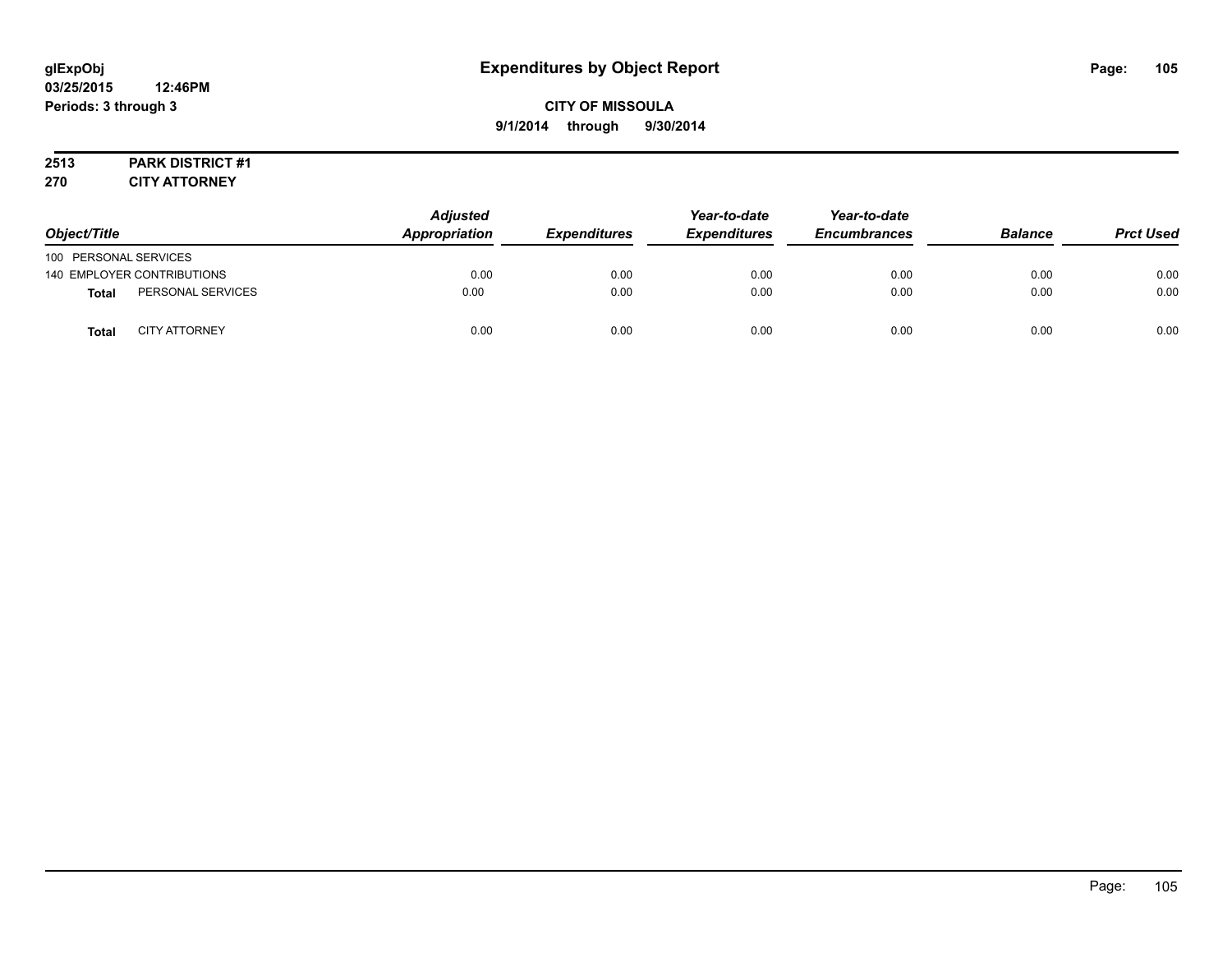# **CITY OF MISSOULA 9/1/2014 through 9/30/2014**

# **2513 PARK DISTRICT #1**

**270 CITY ATTORNEY**

| Object/Title          |                            | <b>Adjusted</b><br><b>Appropriation</b> | <b>Expenditures</b> | Year-to-date<br><i><b>Expenditures</b></i> | Year-to-date<br><b>Encumbrances</b> | <b>Balance</b> | <b>Prct Used</b> |
|-----------------------|----------------------------|-----------------------------------------|---------------------|--------------------------------------------|-------------------------------------|----------------|------------------|
| 100 PERSONAL SERVICES |                            |                                         |                     |                                            |                                     |                |                  |
|                       | 140 EMPLOYER CONTRIBUTIONS | 0.00                                    | 0.00                | 0.00                                       | 0.00                                | 0.00           | 0.00             |
| <b>Total</b>          | PERSONAL SERVICES          | 0.00                                    | 0.00                | 0.00                                       | 0.00                                | 0.00           | 0.00             |
| <b>Total</b>          | <b>CITY ATTORNEY</b>       | 0.00                                    | 0.00                | 0.00                                       | 0.00                                | 0.00           | 0.00             |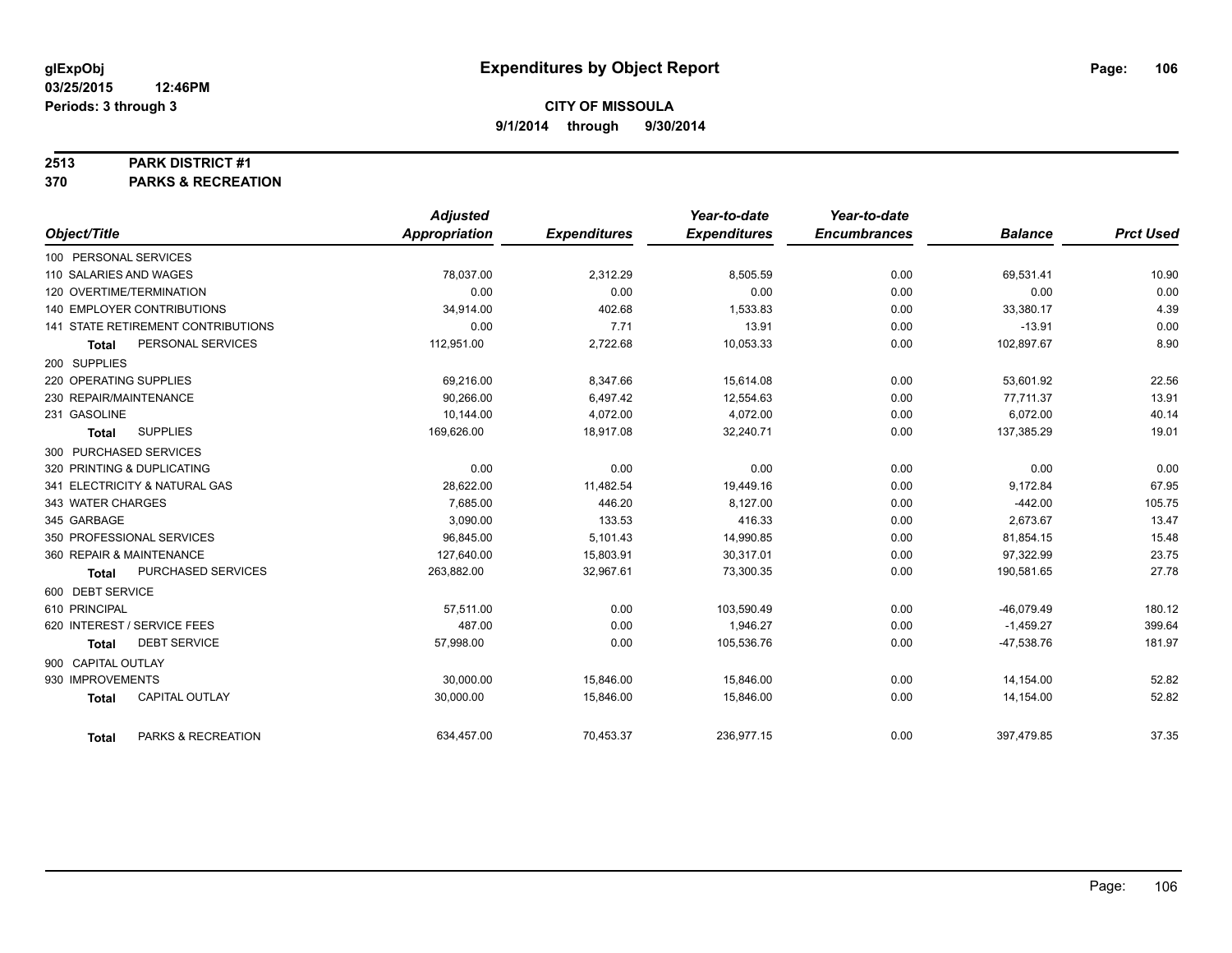#### **2513 PARK DISTRICT #1**

**370 PARKS & RECREATION**

|                                       | <b>Adjusted</b> |                     | Year-to-date        | Year-to-date        |                |                  |
|---------------------------------------|-----------------|---------------------|---------------------|---------------------|----------------|------------------|
| Object/Title                          | Appropriation   | <b>Expenditures</b> | <b>Expenditures</b> | <b>Encumbrances</b> | <b>Balance</b> | <b>Prct Used</b> |
| 100 PERSONAL SERVICES                 |                 |                     |                     |                     |                |                  |
| 110 SALARIES AND WAGES                | 78,037.00       | 2,312.29            | 8,505.59            | 0.00                | 69.531.41      | 10.90            |
| 120 OVERTIME/TERMINATION              | 0.00            | 0.00                | 0.00                | 0.00                | 0.00           | 0.00             |
| <b>140 EMPLOYER CONTRIBUTIONS</b>     | 34,914.00       | 402.68              | 1,533.83            | 0.00                | 33,380.17      | 4.39             |
| 141 STATE RETIREMENT CONTRIBUTIONS    | 0.00            | 7.71                | 13.91               | 0.00                | $-13.91$       | 0.00             |
| PERSONAL SERVICES<br><b>Total</b>     | 112,951.00      | 2,722.68            | 10,053.33           | 0.00                | 102,897.67     | 8.90             |
| 200 SUPPLIES                          |                 |                     |                     |                     |                |                  |
| 220 OPERATING SUPPLIES                | 69,216.00       | 8,347.66            | 15,614.08           | 0.00                | 53,601.92      | 22.56            |
| 230 REPAIR/MAINTENANCE                | 90.266.00       | 6.497.42            | 12,554.63           | 0.00                | 77,711.37      | 13.91            |
| 231 GASOLINE                          | 10,144.00       | 4,072.00            | 4,072.00            | 0.00                | 6,072.00       | 40.14            |
| <b>SUPPLIES</b><br><b>Total</b>       | 169,626.00      | 18,917.08           | 32,240.71           | 0.00                | 137,385.29     | 19.01            |
| 300 PURCHASED SERVICES                |                 |                     |                     |                     |                |                  |
| 320 PRINTING & DUPLICATING            | 0.00            | 0.00                | 0.00                | 0.00                | 0.00           | 0.00             |
| 341 ELECTRICITY & NATURAL GAS         | 28,622.00       | 11,482.54           | 19,449.16           | 0.00                | 9,172.84       | 67.95            |
| 343 WATER CHARGES                     | 7,685.00        | 446.20              | 8,127.00            | 0.00                | $-442.00$      | 105.75           |
| 345 GARBAGE                           | 3,090.00        | 133.53              | 416.33              | 0.00                | 2,673.67       | 13.47            |
| 350 PROFESSIONAL SERVICES             | 96,845.00       | 5,101.43            | 14,990.85           | 0.00                | 81,854.15      | 15.48            |
| 360 REPAIR & MAINTENANCE              | 127,640.00      | 15,803.91           | 30,317.01           | 0.00                | 97,322.99      | 23.75            |
| PURCHASED SERVICES<br><b>Total</b>    | 263,882.00      | 32,967.61           | 73,300.35           | 0.00                | 190,581.65     | 27.78            |
| 600 DEBT SERVICE                      |                 |                     |                     |                     |                |                  |
| 610 PRINCIPAL                         | 57,511.00       | 0.00                | 103,590.49          | 0.00                | $-46,079.49$   | 180.12           |
| 620 INTEREST / SERVICE FEES           | 487.00          | 0.00                | 1,946.27            | 0.00                | $-1,459.27$    | 399.64           |
| <b>DEBT SERVICE</b><br><b>Total</b>   | 57,998.00       | 0.00                | 105,536.76          | 0.00                | $-47,538.76$   | 181.97           |
| 900 CAPITAL OUTLAY                    |                 |                     |                     |                     |                |                  |
| 930 IMPROVEMENTS                      | 30,000.00       | 15,846.00           | 15,846.00           | 0.00                | 14,154.00      | 52.82            |
| <b>CAPITAL OUTLAY</b><br><b>Total</b> | 30,000.00       | 15,846.00           | 15,846.00           | 0.00                | 14,154.00      | 52.82            |
| PARKS & RECREATION<br><b>Total</b>    | 634,457.00      | 70,453.37           | 236,977.15          | 0.00                | 397,479.85     | 37.35            |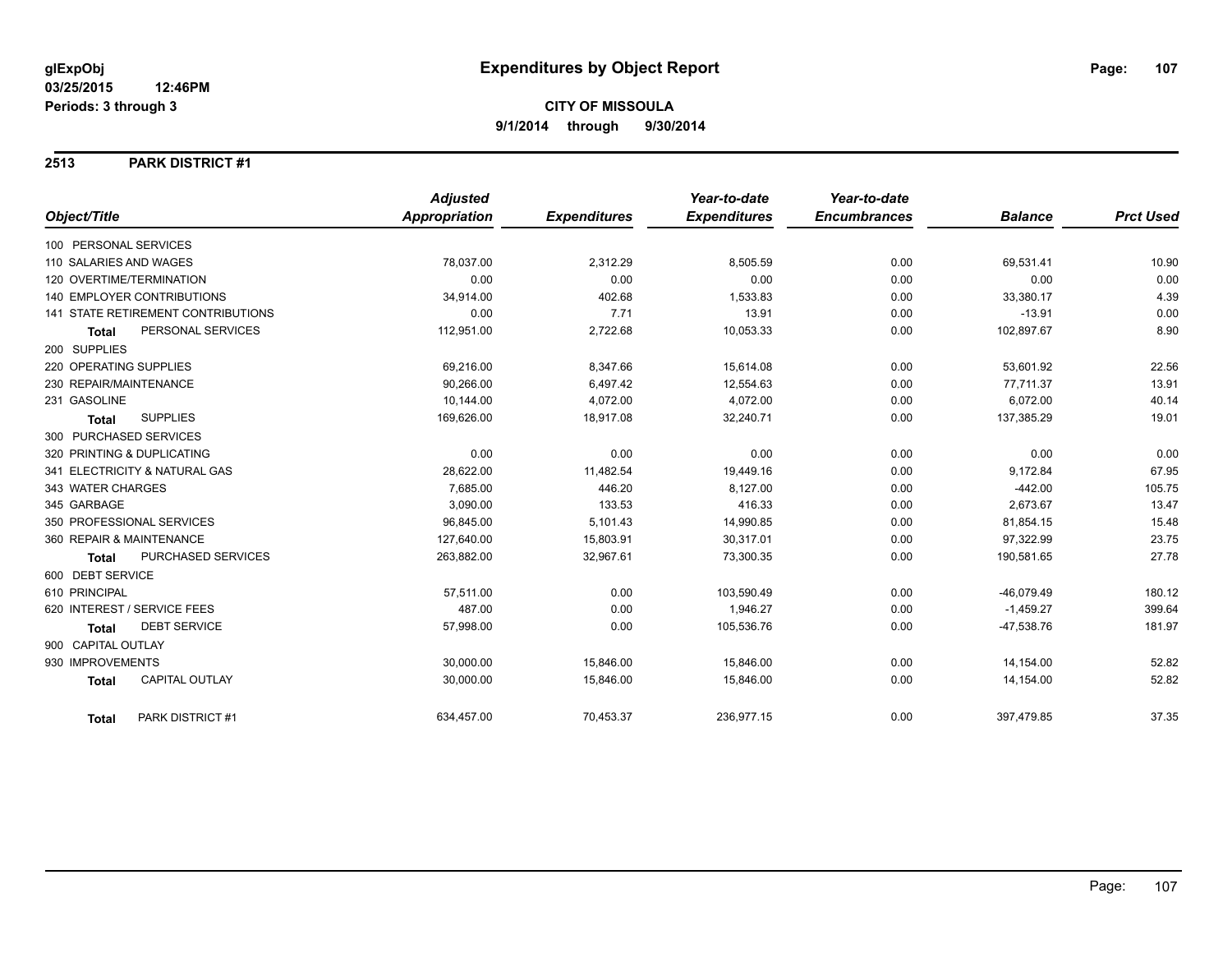#### **2513 PARK DISTRICT #1**

|                                           | <b>Adjusted</b>      |                     | Year-to-date        | Year-to-date        |                |                  |
|-------------------------------------------|----------------------|---------------------|---------------------|---------------------|----------------|------------------|
| Object/Title                              | <b>Appropriation</b> | <b>Expenditures</b> | <b>Expenditures</b> | <b>Encumbrances</b> | <b>Balance</b> | <b>Prct Used</b> |
| 100 PERSONAL SERVICES                     |                      |                     |                     |                     |                |                  |
| 110 SALARIES AND WAGES                    | 78,037.00            | 2,312.29            | 8,505.59            | 0.00                | 69,531.41      | 10.90            |
| 120 OVERTIME/TERMINATION                  | 0.00                 | 0.00                | 0.00                | 0.00                | 0.00           | 0.00             |
| <b>140 EMPLOYER CONTRIBUTIONS</b>         | 34,914.00            | 402.68              | 1,533.83            | 0.00                | 33,380.17      | 4.39             |
| <b>141 STATE RETIREMENT CONTRIBUTIONS</b> | 0.00                 | 7.71                | 13.91               | 0.00                | $-13.91$       | 0.00             |
| PERSONAL SERVICES<br><b>Total</b>         | 112,951.00           | 2,722.68            | 10,053.33           | 0.00                | 102,897.67     | 8.90             |
| 200 SUPPLIES                              |                      |                     |                     |                     |                |                  |
| 220 OPERATING SUPPLIES                    | 69,216.00            | 8,347.66            | 15,614.08           | 0.00                | 53,601.92      | 22.56            |
| 230 REPAIR/MAINTENANCE                    | 90,266.00            | 6,497.42            | 12,554.63           | 0.00                | 77,711.37      | 13.91            |
| 231 GASOLINE                              | 10.144.00            | 4.072.00            | 4,072.00            | 0.00                | 6,072.00       | 40.14            |
| <b>SUPPLIES</b><br><b>Total</b>           | 169,626.00           | 18,917.08           | 32,240.71           | 0.00                | 137,385.29     | 19.01            |
| 300 PURCHASED SERVICES                    |                      |                     |                     |                     |                |                  |
| 320 PRINTING & DUPLICATING                | 0.00                 | 0.00                | 0.00                | 0.00                | 0.00           | 0.00             |
| 341 ELECTRICITY & NATURAL GAS             | 28,622.00            | 11,482.54           | 19,449.16           | 0.00                | 9,172.84       | 67.95            |
| 343 WATER CHARGES                         | 7,685.00             | 446.20              | 8,127.00            | 0.00                | $-442.00$      | 105.75           |
| 345 GARBAGE                               | 3,090.00             | 133.53              | 416.33              | 0.00                | 2,673.67       | 13.47            |
| 350 PROFESSIONAL SERVICES                 | 96,845.00            | 5,101.43            | 14,990.85           | 0.00                | 81,854.15      | 15.48            |
| 360 REPAIR & MAINTENANCE                  | 127,640.00           | 15,803.91           | 30,317.01           | 0.00                | 97,322.99      | 23.75            |
| <b>PURCHASED SERVICES</b><br><b>Total</b> | 263,882.00           | 32,967.61           | 73,300.35           | 0.00                | 190,581.65     | 27.78            |
| 600 DEBT SERVICE                          |                      |                     |                     |                     |                |                  |
| 610 PRINCIPAL                             | 57,511.00            | 0.00                | 103,590.49          | 0.00                | $-46,079.49$   | 180.12           |
| 620 INTEREST / SERVICE FEES               | 487.00               | 0.00                | 1,946.27            | 0.00                | $-1,459.27$    | 399.64           |
| <b>DEBT SERVICE</b><br><b>Total</b>       | 57,998.00            | 0.00                | 105,536.76          | 0.00                | $-47,538.76$   | 181.97           |
| 900 CAPITAL OUTLAY                        |                      |                     |                     |                     |                |                  |
| 930 IMPROVEMENTS                          | 30,000.00            | 15,846.00           | 15,846.00           | 0.00                | 14,154.00      | 52.82            |
| <b>CAPITAL OUTLAY</b><br><b>Total</b>     | 30,000.00            | 15,846.00           | 15,846.00           | 0.00                | 14,154.00      | 52.82            |
| PARK DISTRICT #1<br>Total                 | 634,457.00           | 70,453.37           | 236,977.15          | 0.00                | 397,479.85     | 37.35            |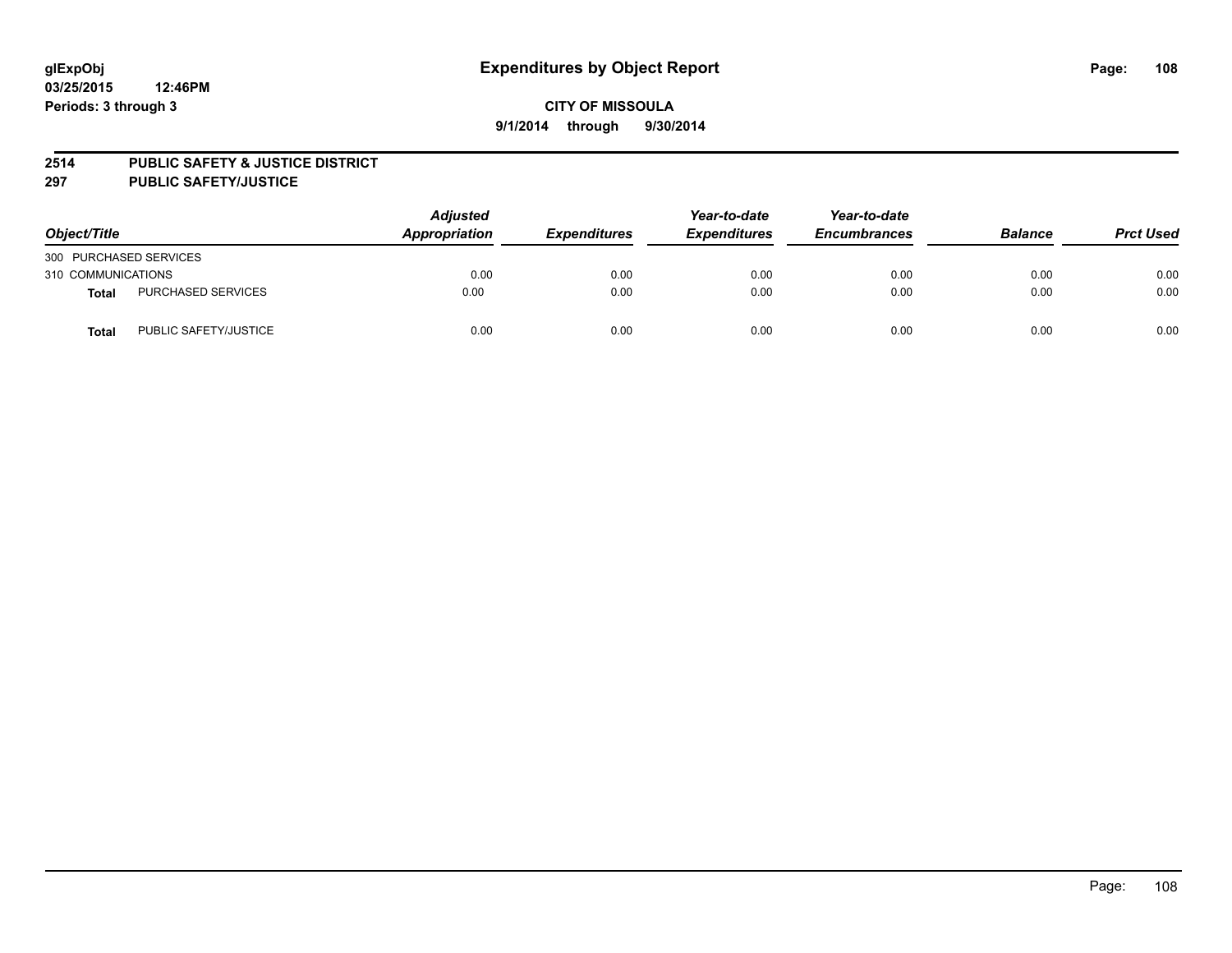#### **2514 PUBLIC SAFETY & JUSTICE DISTRICT**

**297 PUBLIC SAFETY/JUSTICE**

| Object/Title           |                           | <b>Adjusted</b><br>Appropriation | <b>Expenditures</b> | Year-to-date<br><b>Expenditures</b> | Year-to-date<br><b>Encumbrances</b> | <b>Balance</b> | <b>Prct Used</b> |
|------------------------|---------------------------|----------------------------------|---------------------|-------------------------------------|-------------------------------------|----------------|------------------|
| 300 PURCHASED SERVICES |                           |                                  |                     |                                     |                                     |                |                  |
| 310 COMMUNICATIONS     |                           | 0.00                             | 0.00                | 0.00                                | 0.00                                | 0.00           | 0.00             |
| Total                  | <b>PURCHASED SERVICES</b> | 0.00                             | 0.00                | 0.00                                | 0.00                                | 0.00           | 0.00             |
| Total                  | PUBLIC SAFETY/JUSTICE     | 0.00                             | 0.00                | 0.00                                | 0.00                                | 0.00           | 0.00             |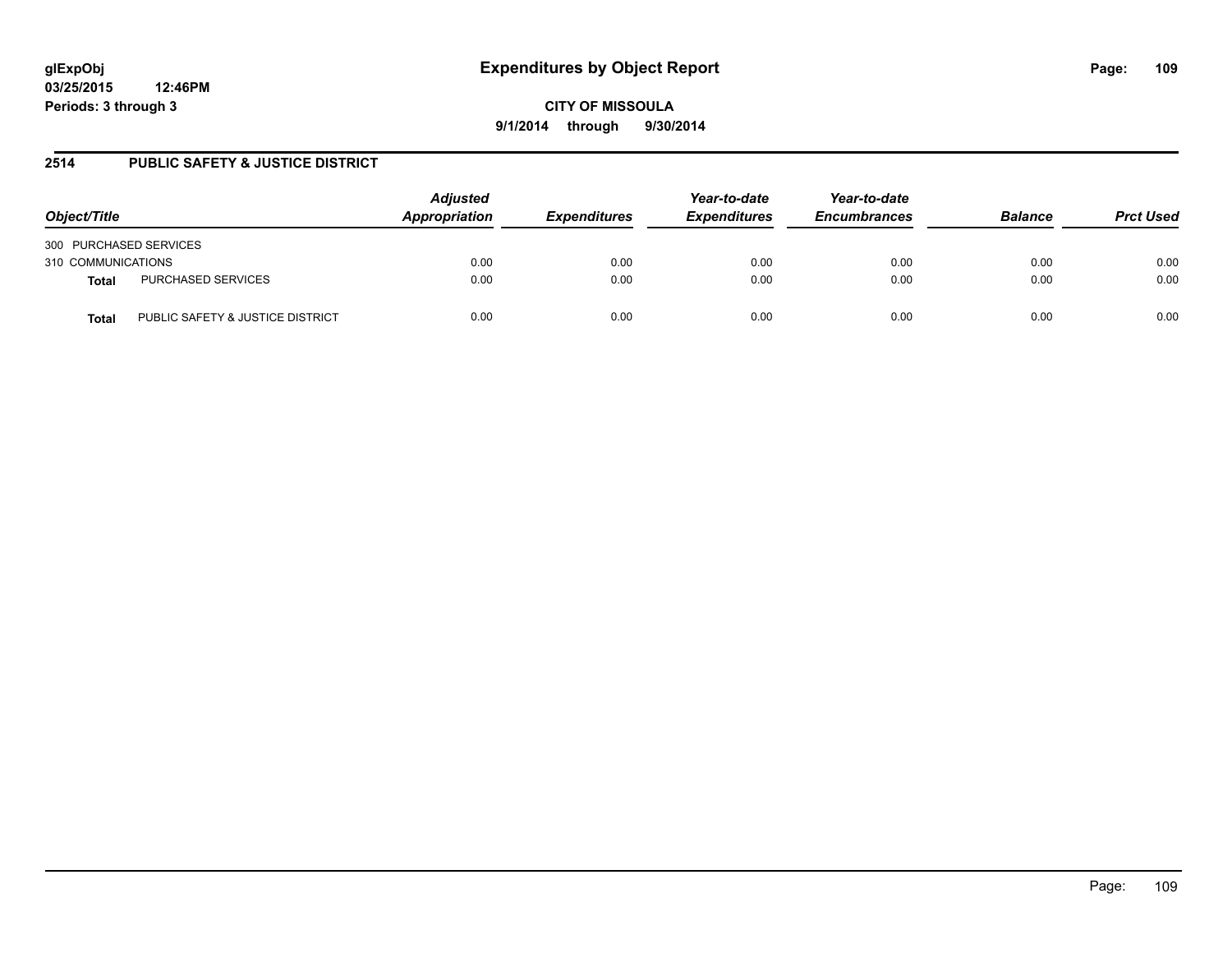**03/25/2015 12:46PM Periods: 3 through 3**

**CITY OF MISSOULA 9/1/2014 through 9/30/2014**

## **2514 PUBLIC SAFETY & JUSTICE DISTRICT**

| Object/Title                              | <b>Adjusted</b><br>Appropriation | <b>Expenditures</b> | Year-to-date<br><b>Expenditures</b> | Year-to-date<br><b>Encumbrances</b> | <b>Balance</b> | <b>Prct Used</b> |
|-------------------------------------------|----------------------------------|---------------------|-------------------------------------|-------------------------------------|----------------|------------------|
| 300 PURCHASED SERVICES                    |                                  |                     |                                     |                                     |                |                  |
| 310 COMMUNICATIONS                        | 0.00                             | 0.00                | 0.00                                | 0.00                                | 0.00           | 0.00             |
| PURCHASED SERVICES<br><b>Total</b>        | 0.00                             | 0.00                | 0.00                                | 0.00                                | 0.00           | 0.00             |
| PUBLIC SAFETY & JUSTICE DISTRICT<br>Total | 0.00                             | 0.00                | 0.00                                | 0.00                                | 0.00           | 0.00             |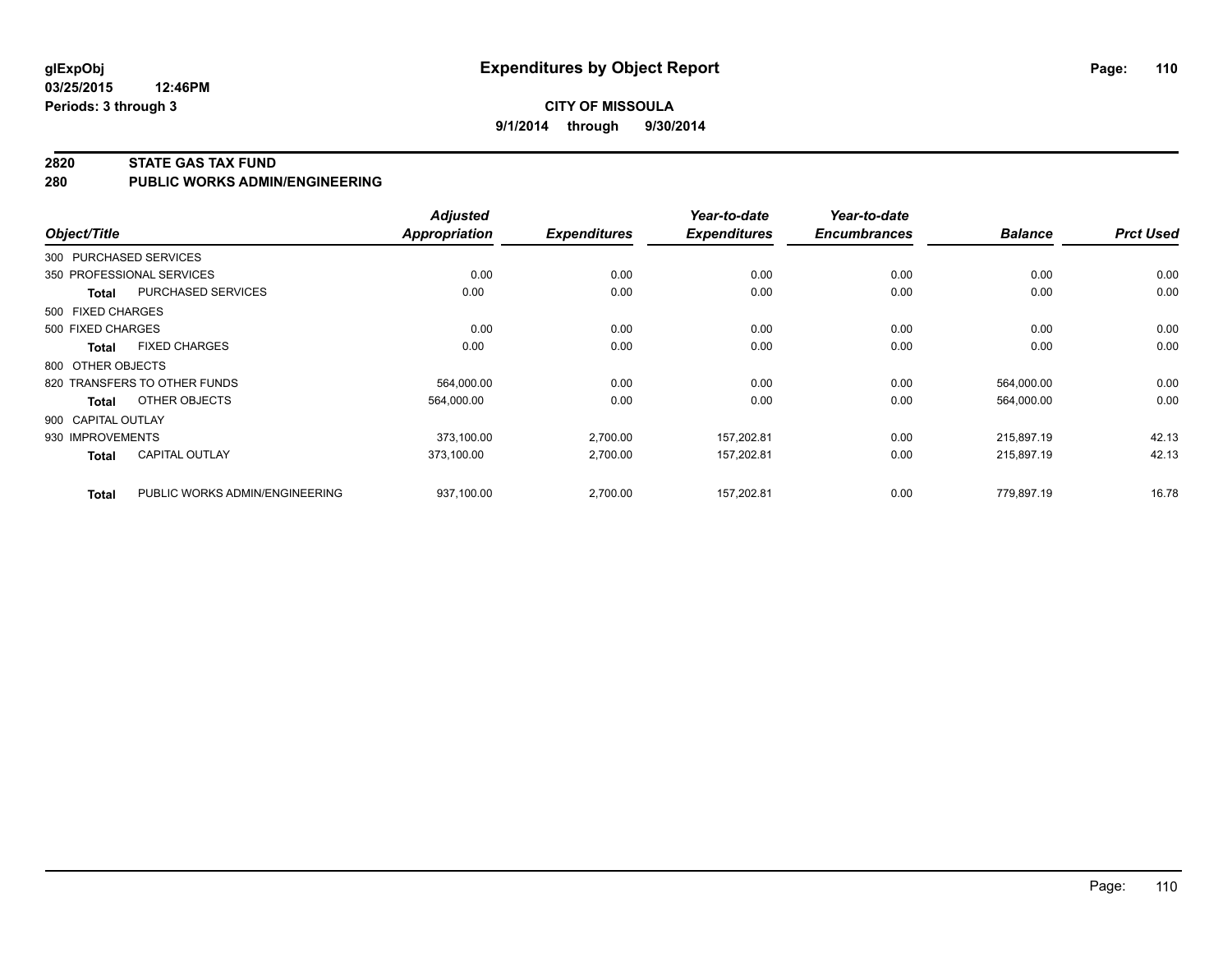**03/25/2015 12:46PM Periods: 3 through 3**

#### **2820 STATE GAS TAX FUND**

**280 PUBLIC WORKS ADMIN/ENGINEERING**

| Object/Title       |                                | <b>Adjusted</b><br><b>Appropriation</b> | <b>Expenditures</b> | Year-to-date<br><b>Expenditures</b> | Year-to-date<br><b>Encumbrances</b> | <b>Balance</b> | <b>Prct Used</b> |
|--------------------|--------------------------------|-----------------------------------------|---------------------|-------------------------------------|-------------------------------------|----------------|------------------|
|                    | 300 PURCHASED SERVICES         |                                         |                     |                                     |                                     |                |                  |
|                    | 350 PROFESSIONAL SERVICES      | 0.00                                    | 0.00                | 0.00                                | 0.00                                | 0.00           | 0.00             |
| Total              | PURCHASED SERVICES             | 0.00                                    | 0.00                | 0.00                                | 0.00                                | 0.00           | 0.00             |
| 500 FIXED CHARGES  |                                |                                         |                     |                                     |                                     |                |                  |
| 500 FIXED CHARGES  |                                | 0.00                                    | 0.00                | 0.00                                | 0.00                                | 0.00           | 0.00             |
| Total              | <b>FIXED CHARGES</b>           | 0.00                                    | 0.00                | 0.00                                | 0.00                                | 0.00           | 0.00             |
| 800 OTHER OBJECTS  |                                |                                         |                     |                                     |                                     |                |                  |
|                    | 820 TRANSFERS TO OTHER FUNDS   | 564,000.00                              | 0.00                | 0.00                                | 0.00                                | 564,000.00     | 0.00             |
| Total              | OTHER OBJECTS                  | 564,000.00                              | 0.00                | 0.00                                | 0.00                                | 564,000.00     | 0.00             |
| 900 CAPITAL OUTLAY |                                |                                         |                     |                                     |                                     |                |                  |
| 930 IMPROVEMENTS   |                                | 373,100.00                              | 2,700.00            | 157,202.81                          | 0.00                                | 215.897.19     | 42.13            |
| <b>Total</b>       | <b>CAPITAL OUTLAY</b>          | 373,100.00                              | 2,700.00            | 157,202.81                          | 0.00                                | 215,897.19     | 42.13            |
| <b>Total</b>       | PUBLIC WORKS ADMIN/ENGINEERING | 937,100.00                              | 2,700.00            | 157,202.81                          | 0.00                                | 779,897.19     | 16.78            |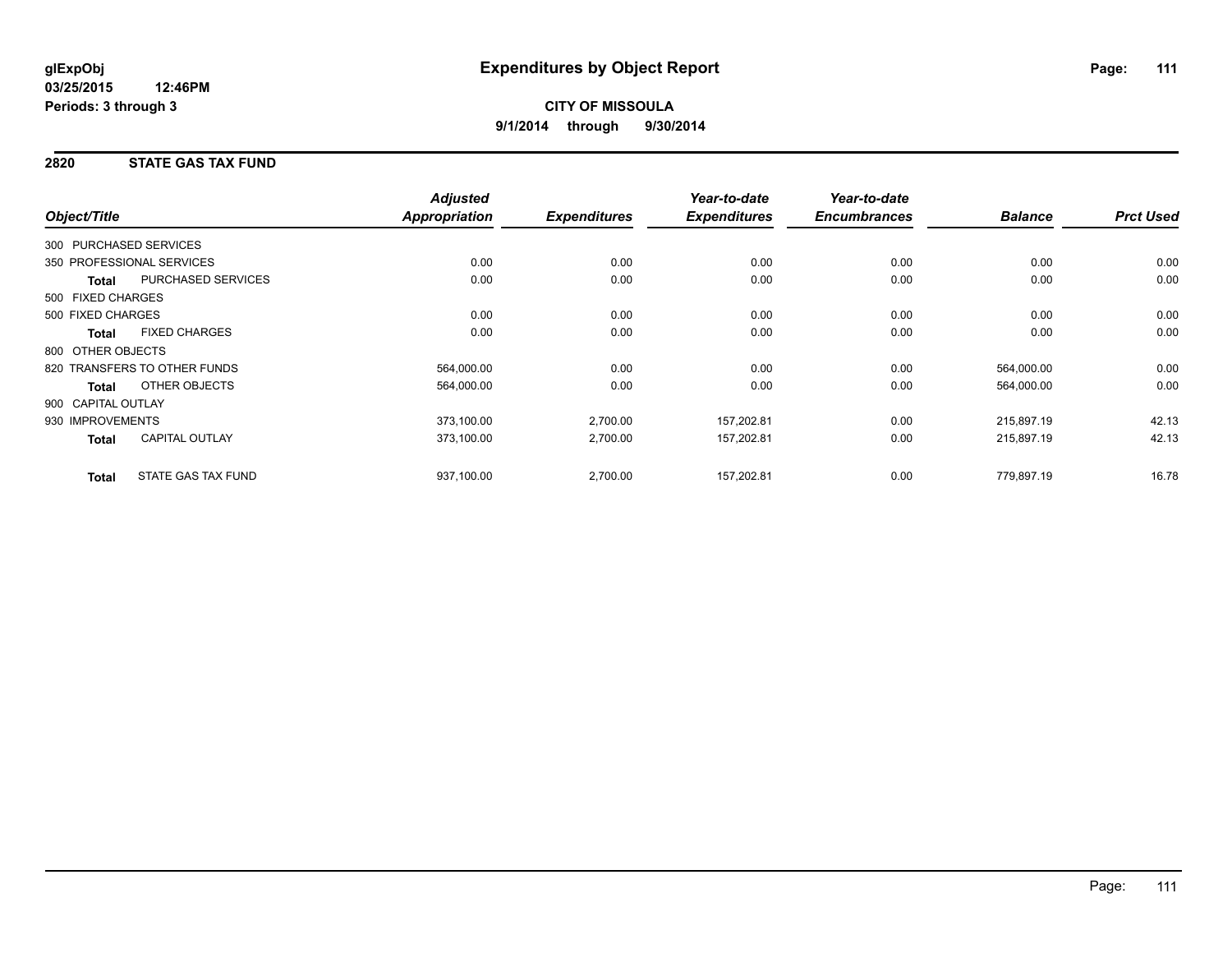## **2820 STATE GAS TAX FUND**

|                                       | <b>Adjusted</b>      |                     | Year-to-date        | Year-to-date        |                |                  |
|---------------------------------------|----------------------|---------------------|---------------------|---------------------|----------------|------------------|
| Object/Title                          | <b>Appropriation</b> | <b>Expenditures</b> | <b>Expenditures</b> | <b>Encumbrances</b> | <b>Balance</b> | <b>Prct Used</b> |
| 300 PURCHASED SERVICES                |                      |                     |                     |                     |                |                  |
| 350 PROFESSIONAL SERVICES             | 0.00                 | 0.00                | 0.00                | 0.00                | 0.00           | 0.00             |
| PURCHASED SERVICES<br><b>Total</b>    | 0.00                 | 0.00                | 0.00                | 0.00                | 0.00           | 0.00             |
| 500 FIXED CHARGES                     |                      |                     |                     |                     |                |                  |
| 500 FIXED CHARGES                     | 0.00                 | 0.00                | 0.00                | 0.00                | 0.00           | 0.00             |
| <b>FIXED CHARGES</b><br><b>Total</b>  | 0.00                 | 0.00                | 0.00                | 0.00                | 0.00           | 0.00             |
| 800 OTHER OBJECTS                     |                      |                     |                     |                     |                |                  |
| 820 TRANSFERS TO OTHER FUNDS          | 564,000.00           | 0.00                | 0.00                | 0.00                | 564,000.00     | 0.00             |
| OTHER OBJECTS<br><b>Total</b>         | 564,000.00           | 0.00                | 0.00                | 0.00                | 564,000.00     | 0.00             |
| 900 CAPITAL OUTLAY                    |                      |                     |                     |                     |                |                  |
| 930 IMPROVEMENTS                      | 373,100.00           | 2,700.00            | 157,202.81          | 0.00                | 215,897.19     | 42.13            |
| <b>CAPITAL OUTLAY</b><br><b>Total</b> | 373,100.00           | 2,700.00            | 157,202.81          | 0.00                | 215,897.19     | 42.13            |
| STATE GAS TAX FUND<br><b>Total</b>    | 937,100.00           | 2,700.00            | 157,202.81          | 0.00                | 779,897.19     | 16.78            |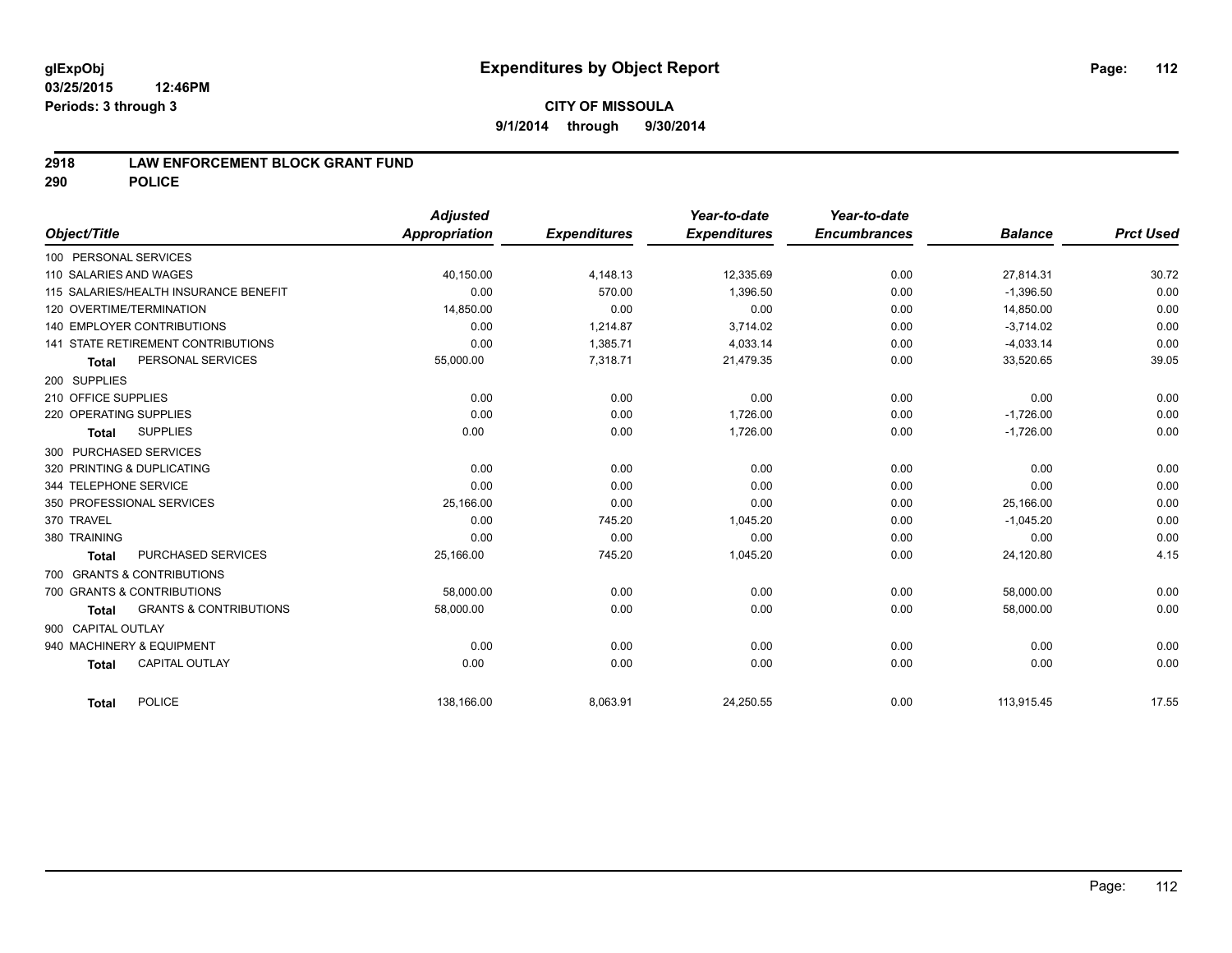## **2918 LAW ENFORCEMENT BLOCK GRANT FUND**

**290 POLICE**

|                                                   | <b>Adjusted</b> |                     | Year-to-date        | Year-to-date        |                |                  |
|---------------------------------------------------|-----------------|---------------------|---------------------|---------------------|----------------|------------------|
| Object/Title                                      | Appropriation   | <b>Expenditures</b> | <b>Expenditures</b> | <b>Encumbrances</b> | <b>Balance</b> | <b>Prct Used</b> |
| 100 PERSONAL SERVICES                             |                 |                     |                     |                     |                |                  |
| 110 SALARIES AND WAGES                            | 40,150.00       | 4,148.13            | 12,335.69           | 0.00                | 27,814.31      | 30.72            |
| 115 SALARIES/HEALTH INSURANCE BENEFIT             | 0.00            | 570.00              | 1,396.50            | 0.00                | $-1,396.50$    | 0.00             |
| 120 OVERTIME/TERMINATION                          | 14,850.00       | 0.00                | 0.00                | 0.00                | 14,850.00      | 0.00             |
| <b>140 EMPLOYER CONTRIBUTIONS</b>                 | 0.00            | 1,214.87            | 3,714.02            | 0.00                | $-3,714.02$    | 0.00             |
| 141 STATE RETIREMENT CONTRIBUTIONS                | 0.00            | 1,385.71            | 4,033.14            | 0.00                | $-4,033.14$    | 0.00             |
| PERSONAL SERVICES<br><b>Total</b>                 | 55,000.00       | 7,318.71            | 21,479.35           | 0.00                | 33,520.65      | 39.05            |
| 200 SUPPLIES                                      |                 |                     |                     |                     |                |                  |
| 210 OFFICE SUPPLIES                               | 0.00            | 0.00                | 0.00                | 0.00                | 0.00           | 0.00             |
| 220 OPERATING SUPPLIES                            | 0.00            | 0.00                | 1,726.00            | 0.00                | $-1,726.00$    | 0.00             |
| <b>SUPPLIES</b><br><b>Total</b>                   | 0.00            | 0.00                | 1,726.00            | 0.00                | $-1,726.00$    | 0.00             |
| 300 PURCHASED SERVICES                            |                 |                     |                     |                     |                |                  |
| 320 PRINTING & DUPLICATING                        | 0.00            | 0.00                | 0.00                | 0.00                | 0.00           | 0.00             |
| 344 TELEPHONE SERVICE                             | 0.00            | 0.00                | 0.00                | 0.00                | 0.00           | 0.00             |
| 350 PROFESSIONAL SERVICES                         | 25,166.00       | 0.00                | 0.00                | 0.00                | 25,166.00      | 0.00             |
| 370 TRAVEL                                        | 0.00            | 745.20              | 1,045.20            | 0.00                | $-1,045.20$    | 0.00             |
| 380 TRAINING                                      | 0.00            | 0.00                | 0.00                | 0.00                | 0.00           | 0.00             |
| PURCHASED SERVICES<br><b>Total</b>                | 25,166.00       | 745.20              | 1,045.20            | 0.00                | 24,120.80      | 4.15             |
| 700 GRANTS & CONTRIBUTIONS                        |                 |                     |                     |                     |                |                  |
| 700 GRANTS & CONTRIBUTIONS                        | 58,000.00       | 0.00                | 0.00                | 0.00                | 58,000.00      | 0.00             |
| <b>GRANTS &amp; CONTRIBUTIONS</b><br><b>Total</b> | 58,000.00       | 0.00                | 0.00                | 0.00                | 58,000.00      | 0.00             |
| 900 CAPITAL OUTLAY                                |                 |                     |                     |                     |                |                  |
| 940 MACHINERY & EQUIPMENT                         | 0.00            | 0.00                | 0.00                | 0.00                | 0.00           | 0.00             |
| <b>CAPITAL OUTLAY</b><br><b>Total</b>             | 0.00            | 0.00                | 0.00                | 0.00                | 0.00           | 0.00             |
| <b>POLICE</b><br><b>Total</b>                     | 138,166.00      | 8,063.91            | 24,250.55           | 0.00                | 113,915.45     | 17.55            |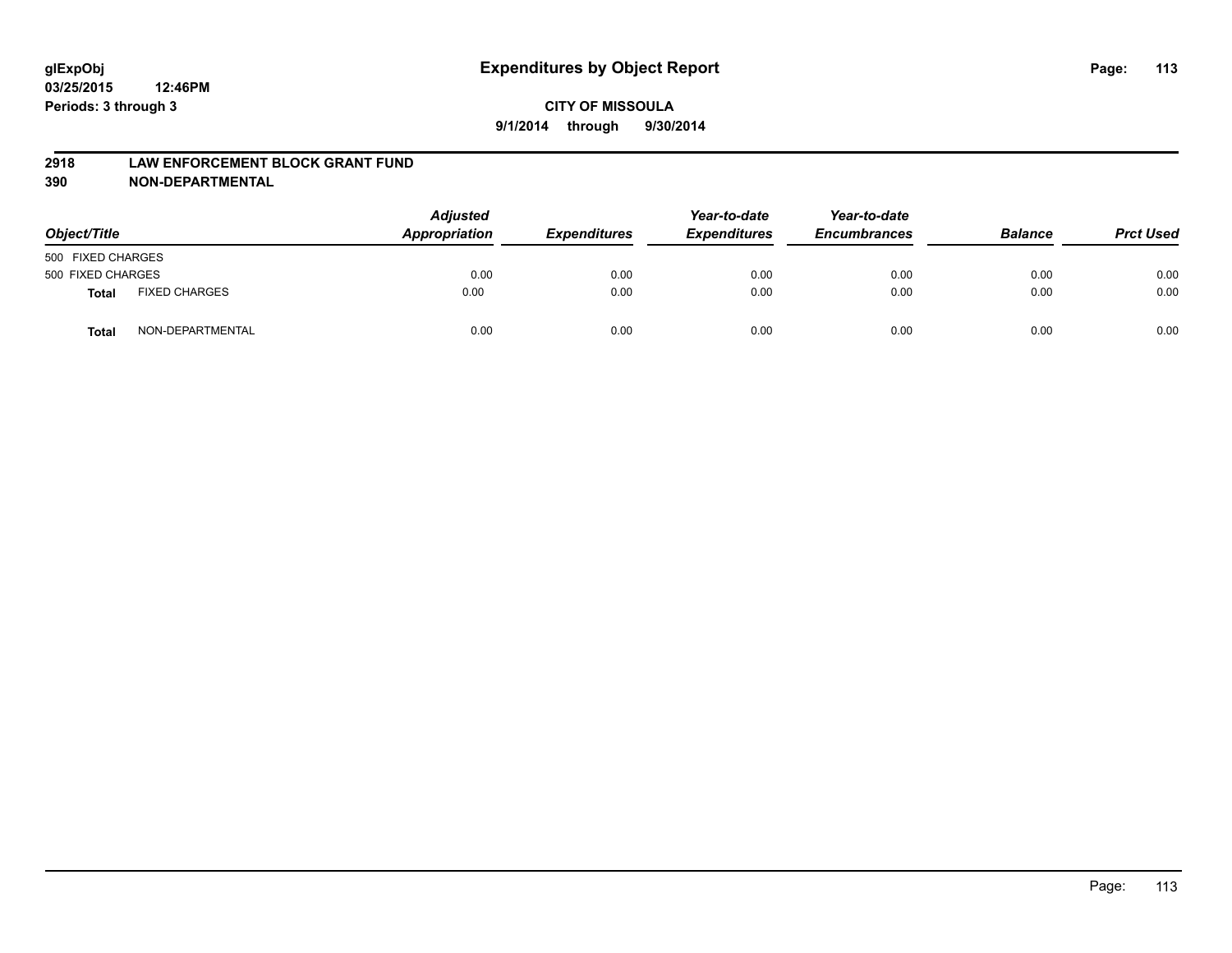#### **2918 LAW ENFORCEMENT BLOCK GRANT FUND**

**390 NON-DEPARTMENTAL**

| Object/Title      |                      | <b>Adjusted</b><br>Appropriation | <b>Expenditures</b> | Year-to-date<br><b>Expenditures</b> | Year-to-date<br><b>Encumbrances</b> | <b>Balance</b> | <b>Prct Used</b> |
|-------------------|----------------------|----------------------------------|---------------------|-------------------------------------|-------------------------------------|----------------|------------------|
| 500 FIXED CHARGES |                      |                                  |                     |                                     |                                     |                |                  |
| 500 FIXED CHARGES |                      | 0.00                             | 0.00                | 0.00                                | 0.00                                | 0.00           | 0.00             |
| <b>Total</b>      | <b>FIXED CHARGES</b> | 0.00                             | 0.00                | 0.00                                | 0.00                                | 0.00           | 0.00             |
| Total             | NON-DEPARTMENTAL     | 0.00                             | 0.00                | 0.00                                | 0.00                                | 0.00           | 0.00             |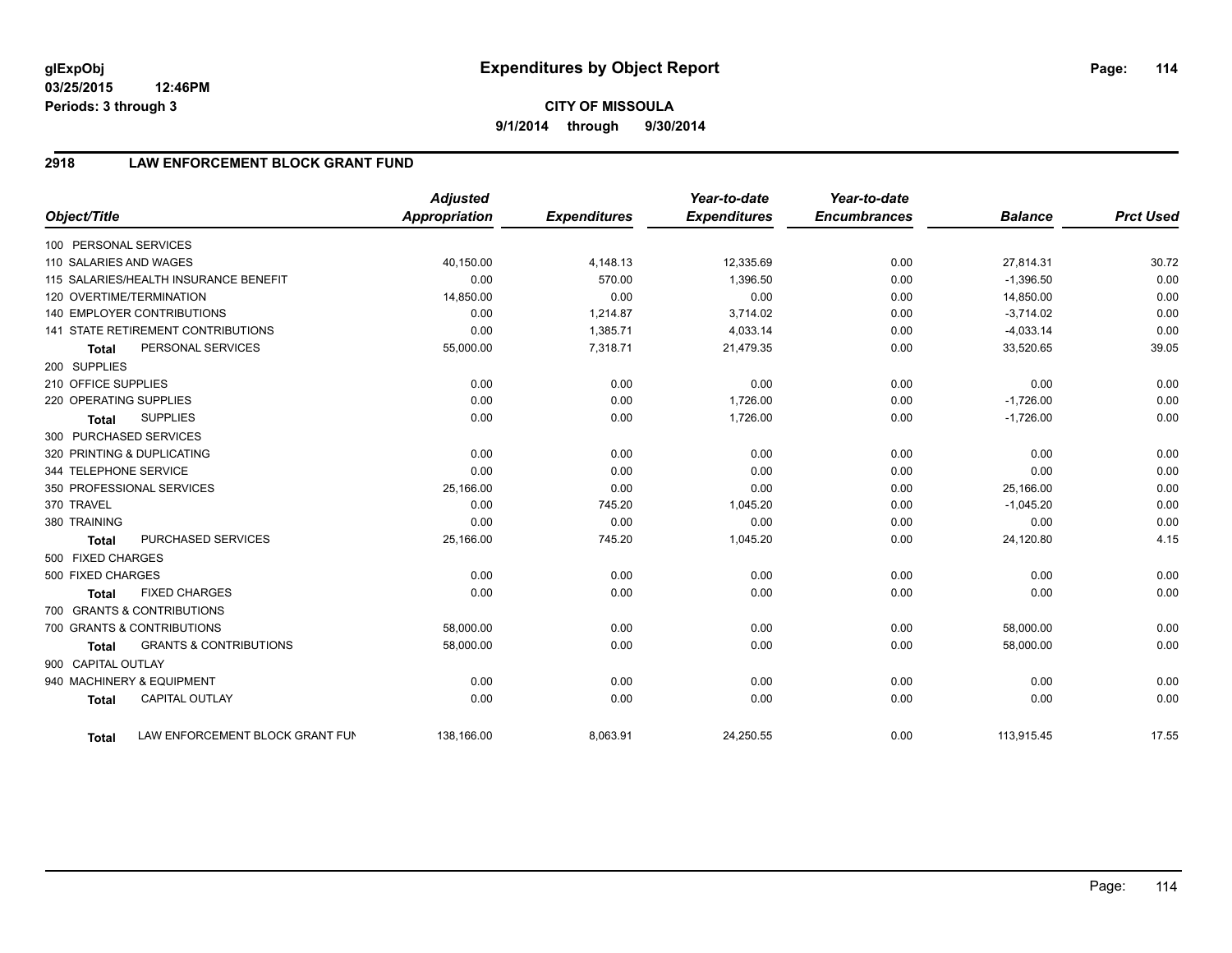**03/25/2015 12:46PM Periods: 3 through 3**

# **CITY OF MISSOULA 9/1/2014 through 9/30/2014**

# **2918 LAW ENFORCEMENT BLOCK GRANT FUND**

| Object/Title           |                                           | <b>Adjusted</b><br><b>Appropriation</b> | <b>Expenditures</b> | Year-to-date<br><b>Expenditures</b> | Year-to-date<br><b>Encumbrances</b> | <b>Balance</b> | <b>Prct Used</b> |
|------------------------|-------------------------------------------|-----------------------------------------|---------------------|-------------------------------------|-------------------------------------|----------------|------------------|
| 100 PERSONAL SERVICES  |                                           |                                         |                     |                                     |                                     |                |                  |
| 110 SALARIES AND WAGES |                                           | 40,150.00                               | 4,148.13            | 12,335.69                           | 0.00                                | 27,814.31      | 30.72            |
|                        | 115 SALARIES/HEALTH INSURANCE BENEFIT     | 0.00                                    | 570.00              | 1.396.50                            | 0.00                                | $-1,396.50$    | 0.00             |
|                        | 120 OVERTIME/TERMINATION                  | 14,850.00                               | 0.00                | 0.00                                | 0.00                                | 14,850.00      | 0.00             |
|                        | <b>140 EMPLOYER CONTRIBUTIONS</b>         | 0.00                                    | 1,214.87            | 3,714.02                            | 0.00                                | $-3,714.02$    | 0.00             |
|                        | <b>141 STATE RETIREMENT CONTRIBUTIONS</b> | 0.00                                    | 1,385.71            | 4,033.14                            | 0.00                                | $-4,033.14$    | 0.00             |
| <b>Total</b>           | PERSONAL SERVICES                         | 55,000.00                               | 7,318.71            | 21,479.35                           | 0.00                                | 33,520.65      | 39.05            |
| 200 SUPPLIES           |                                           |                                         |                     |                                     |                                     |                |                  |
| 210 OFFICE SUPPLIES    |                                           | 0.00                                    | 0.00                | 0.00                                | 0.00                                | 0.00           | 0.00             |
| 220 OPERATING SUPPLIES |                                           | 0.00                                    | 0.00                | 1,726.00                            | 0.00                                | $-1,726.00$    | 0.00             |
| <b>Total</b>           | <b>SUPPLIES</b>                           | 0.00                                    | 0.00                | 1,726.00                            | 0.00                                | $-1,726.00$    | 0.00             |
| 300 PURCHASED SERVICES |                                           |                                         |                     |                                     |                                     |                |                  |
|                        | 320 PRINTING & DUPLICATING                | 0.00                                    | 0.00                | 0.00                                | 0.00                                | 0.00           | 0.00             |
| 344 TELEPHONE SERVICE  |                                           | 0.00                                    | 0.00                | 0.00                                | 0.00                                | 0.00           | 0.00             |
|                        | 350 PROFESSIONAL SERVICES                 | 25,166.00                               | 0.00                | 0.00                                | 0.00                                | 25,166.00      | 0.00             |
| 370 TRAVEL             |                                           | 0.00                                    | 745.20              | 1,045.20                            | 0.00                                | $-1,045.20$    | 0.00             |
| 380 TRAINING           |                                           | 0.00                                    | 0.00                | 0.00                                | 0.00                                | 0.00           | 0.00             |
| <b>Total</b>           | PURCHASED SERVICES                        | 25,166.00                               | 745.20              | 1,045.20                            | 0.00                                | 24,120.80      | 4.15             |
| 500 FIXED CHARGES      |                                           |                                         |                     |                                     |                                     |                |                  |
| 500 FIXED CHARGES      |                                           | 0.00                                    | 0.00                | 0.00                                | 0.00                                | 0.00           | 0.00             |
| <b>Total</b>           | <b>FIXED CHARGES</b>                      | 0.00                                    | 0.00                | 0.00                                | 0.00                                | 0.00           | 0.00             |
|                        | 700 GRANTS & CONTRIBUTIONS                |                                         |                     |                                     |                                     |                |                  |
|                        | 700 GRANTS & CONTRIBUTIONS                | 58,000.00                               | 0.00                | 0.00                                | 0.00                                | 58,000.00      | 0.00             |
| <b>Total</b>           | <b>GRANTS &amp; CONTRIBUTIONS</b>         | 58,000.00                               | 0.00                | 0.00                                | 0.00                                | 58,000.00      | 0.00             |
| 900 CAPITAL OUTLAY     |                                           |                                         |                     |                                     |                                     |                |                  |
|                        | 940 MACHINERY & EQUIPMENT                 | 0.00                                    | 0.00                | 0.00                                | 0.00                                | 0.00           | 0.00             |
| <b>Total</b>           | <b>CAPITAL OUTLAY</b>                     | 0.00                                    | 0.00                | 0.00                                | 0.00                                | 0.00           | 0.00             |
| Total                  | LAW ENFORCEMENT BLOCK GRANT FUN           | 138,166.00                              | 8,063.91            | 24,250.55                           | 0.00                                | 113,915.45     | 17.55            |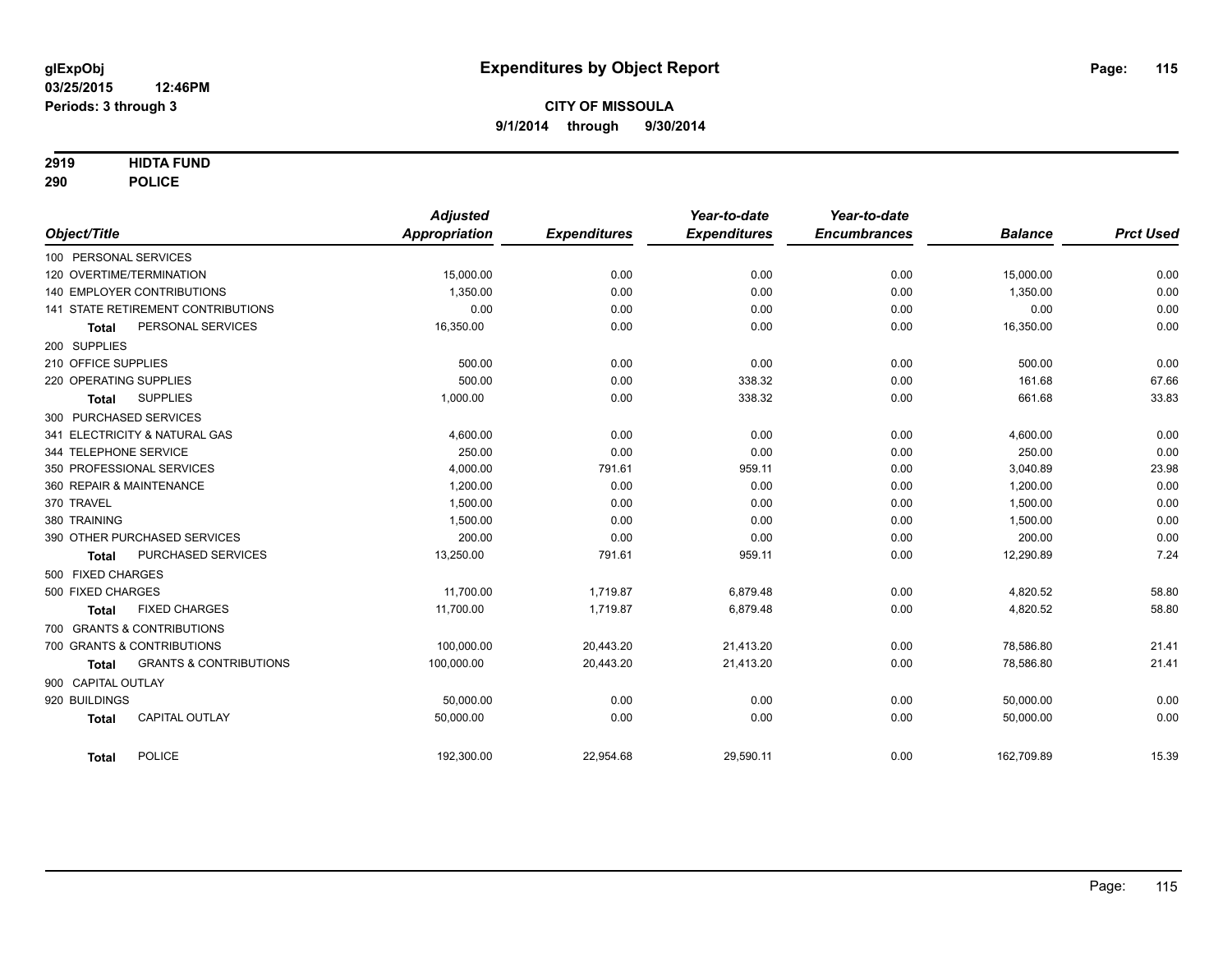## **2919 HIDTA FUND**

**290 POLICE**

| Object/Title           |                                    | <b>Adjusted</b><br>Appropriation | <b>Expenditures</b> | Year-to-date<br><b>Expenditures</b> | Year-to-date<br><b>Encumbrances</b> | <b>Balance</b> | <b>Prct Used</b> |
|------------------------|------------------------------------|----------------------------------|---------------------|-------------------------------------|-------------------------------------|----------------|------------------|
| 100 PERSONAL SERVICES  |                                    |                                  |                     |                                     |                                     |                |                  |
|                        | 120 OVERTIME/TERMINATION           | 15,000.00                        | 0.00                | 0.00                                | 0.00                                | 15,000.00      | 0.00             |
|                        | <b>140 EMPLOYER CONTRIBUTIONS</b>  | 1.350.00                         | 0.00                | 0.00                                | 0.00                                | 1.350.00       | 0.00             |
|                        | 141 STATE RETIREMENT CONTRIBUTIONS | 0.00                             | 0.00                | 0.00                                | 0.00                                | 0.00           | 0.00             |
| <b>Total</b>           | PERSONAL SERVICES                  | 16,350.00                        | 0.00                | 0.00                                | 0.00                                | 16,350.00      | 0.00             |
| 200 SUPPLIES           |                                    |                                  |                     |                                     |                                     |                |                  |
| 210 OFFICE SUPPLIES    |                                    | 500.00                           | 0.00                | 0.00                                | 0.00                                | 500.00         | 0.00             |
| 220 OPERATING SUPPLIES |                                    | 500.00                           | 0.00                | 338.32                              | 0.00                                | 161.68         | 67.66            |
| <b>Total</b>           | <b>SUPPLIES</b>                    | 1,000.00                         | 0.00                | 338.32                              | 0.00                                | 661.68         | 33.83            |
|                        | 300 PURCHASED SERVICES             |                                  |                     |                                     |                                     |                |                  |
|                        | 341 ELECTRICITY & NATURAL GAS      | 4,600.00                         | 0.00                | 0.00                                | 0.00                                | 4,600.00       | 0.00             |
| 344 TELEPHONE SERVICE  |                                    | 250.00                           | 0.00                | 0.00                                | 0.00                                | 250.00         | 0.00             |
|                        | 350 PROFESSIONAL SERVICES          | 4,000.00                         | 791.61              | 959.11                              | 0.00                                | 3,040.89       | 23.98            |
|                        | 360 REPAIR & MAINTENANCE           | 1,200.00                         | 0.00                | 0.00                                | 0.00                                | 1,200.00       | 0.00             |
| 370 TRAVEL             |                                    | 1,500.00                         | 0.00                | 0.00                                | 0.00                                | 1,500.00       | 0.00             |
| 380 TRAINING           |                                    | 1,500.00                         | 0.00                | 0.00                                | 0.00                                | 1,500.00       | 0.00             |
|                        | 390 OTHER PURCHASED SERVICES       | 200.00                           | 0.00                | 0.00                                | 0.00                                | 200.00         | 0.00             |
| <b>Total</b>           | PURCHASED SERVICES                 | 13,250.00                        | 791.61              | 959.11                              | 0.00                                | 12,290.89      | 7.24             |
| 500 FIXED CHARGES      |                                    |                                  |                     |                                     |                                     |                |                  |
| 500 FIXED CHARGES      |                                    | 11,700.00                        | 1,719.87            | 6,879.48                            | 0.00                                | 4,820.52       | 58.80            |
| <b>Total</b>           | <b>FIXED CHARGES</b>               | 11,700.00                        | 1,719.87            | 6,879.48                            | 0.00                                | 4,820.52       | 58.80            |
|                        | 700 GRANTS & CONTRIBUTIONS         |                                  |                     |                                     |                                     |                |                  |
|                        | 700 GRANTS & CONTRIBUTIONS         | 100.000.00                       | 20,443.20           | 21,413.20                           | 0.00                                | 78,586.80      | 21.41            |
| <b>Total</b>           | <b>GRANTS &amp; CONTRIBUTIONS</b>  | 100,000.00                       | 20,443.20           | 21,413.20                           | 0.00                                | 78,586.80      | 21.41            |
| 900 CAPITAL OUTLAY     |                                    |                                  |                     |                                     |                                     |                |                  |
| 920 BUILDINGS          |                                    | 50,000.00                        | 0.00                | 0.00                                | 0.00                                | 50,000.00      | 0.00             |
| <b>Total</b>           | <b>CAPITAL OUTLAY</b>              | 50,000.00                        | 0.00                | 0.00                                | 0.00                                | 50,000.00      | 0.00             |
|                        |                                    |                                  |                     |                                     |                                     |                |                  |
| <b>Total</b>           | <b>POLICE</b>                      | 192,300.00                       | 22,954.68           | 29,590.11                           | 0.00                                | 162,709.89     | 15.39            |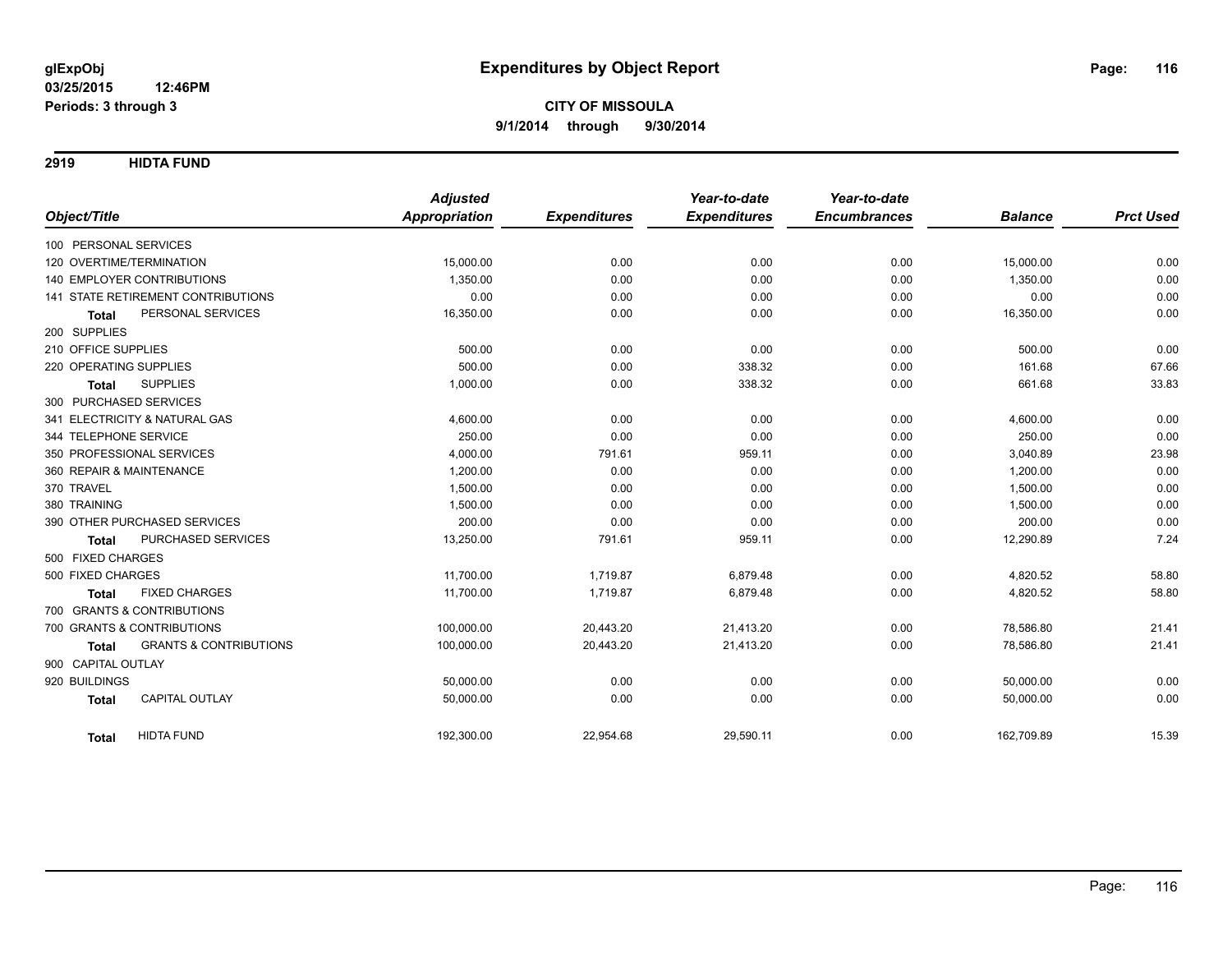**2919 HIDTA FUND**

|                                                   | <b>Adjusted</b>      |                     | Year-to-date        | Year-to-date        |                |                  |
|---------------------------------------------------|----------------------|---------------------|---------------------|---------------------|----------------|------------------|
| Object/Title                                      | <b>Appropriation</b> | <b>Expenditures</b> | <b>Expenditures</b> | <b>Encumbrances</b> | <b>Balance</b> | <b>Prct Used</b> |
| 100 PERSONAL SERVICES                             |                      |                     |                     |                     |                |                  |
| 120 OVERTIME/TERMINATION                          | 15,000.00            | 0.00                | 0.00                | 0.00                | 15,000.00      | 0.00             |
| <b>140 EMPLOYER CONTRIBUTIONS</b>                 | 1,350.00             | 0.00                | 0.00                | 0.00                | 1,350.00       | 0.00             |
| <b>141 STATE RETIREMENT CONTRIBUTIONS</b>         | 0.00                 | 0.00                | 0.00                | 0.00                | 0.00           | 0.00             |
| PERSONAL SERVICES<br><b>Total</b>                 | 16,350.00            | 0.00                | 0.00                | 0.00                | 16,350.00      | 0.00             |
| 200 SUPPLIES                                      |                      |                     |                     |                     |                |                  |
| 210 OFFICE SUPPLIES                               | 500.00               | 0.00                | 0.00                | 0.00                | 500.00         | 0.00             |
| 220 OPERATING SUPPLIES                            | 500.00               | 0.00                | 338.32              | 0.00                | 161.68         | 67.66            |
| <b>SUPPLIES</b><br><b>Total</b>                   | 1,000.00             | 0.00                | 338.32              | 0.00                | 661.68         | 33.83            |
| 300 PURCHASED SERVICES                            |                      |                     |                     |                     |                |                  |
| 341 ELECTRICITY & NATURAL GAS                     | 4,600.00             | 0.00                | 0.00                | 0.00                | 4,600.00       | 0.00             |
| 344 TELEPHONE SERVICE                             | 250.00               | 0.00                | 0.00                | 0.00                | 250.00         | 0.00             |
| 350 PROFESSIONAL SERVICES                         | 4,000.00             | 791.61              | 959.11              | 0.00                | 3,040.89       | 23.98            |
| 360 REPAIR & MAINTENANCE                          | 1,200.00             | 0.00                | 0.00                | 0.00                | 1,200.00       | 0.00             |
| 370 TRAVEL                                        | 1,500.00             | 0.00                | 0.00                | 0.00                | 1,500.00       | 0.00             |
| 380 TRAINING                                      | 1,500.00             | 0.00                | 0.00                | 0.00                | 1,500.00       | 0.00             |
| 390 OTHER PURCHASED SERVICES                      | 200.00               | 0.00                | 0.00                | 0.00                | 200.00         | 0.00             |
| PURCHASED SERVICES<br><b>Total</b>                | 13,250.00            | 791.61              | 959.11              | 0.00                | 12,290.89      | 7.24             |
| 500 FIXED CHARGES                                 |                      |                     |                     |                     |                |                  |
| 500 FIXED CHARGES                                 | 11,700.00            | 1,719.87            | 6,879.48            | 0.00                | 4,820.52       | 58.80            |
| <b>FIXED CHARGES</b><br><b>Total</b>              | 11,700.00            | 1,719.87            | 6,879.48            | 0.00                | 4,820.52       | 58.80            |
| 700 GRANTS & CONTRIBUTIONS                        |                      |                     |                     |                     |                |                  |
| 700 GRANTS & CONTRIBUTIONS                        | 100,000.00           | 20,443.20           | 21,413.20           | 0.00                | 78,586.80      | 21.41            |
| <b>GRANTS &amp; CONTRIBUTIONS</b><br><b>Total</b> | 100,000.00           | 20,443.20           | 21,413.20           | 0.00                | 78,586.80      | 21.41            |
| 900 CAPITAL OUTLAY                                |                      |                     |                     |                     |                |                  |
| 920 BUILDINGS                                     | 50,000.00            | 0.00                | 0.00                | 0.00                | 50,000.00      | 0.00             |
| CAPITAL OUTLAY<br><b>Total</b>                    | 50,000.00            | 0.00                | 0.00                | 0.00                | 50,000.00      | 0.00             |
| <b>HIDTA FUND</b><br><b>Total</b>                 | 192,300.00           | 22,954.68           | 29,590.11           | 0.00                | 162,709.89     | 15.39            |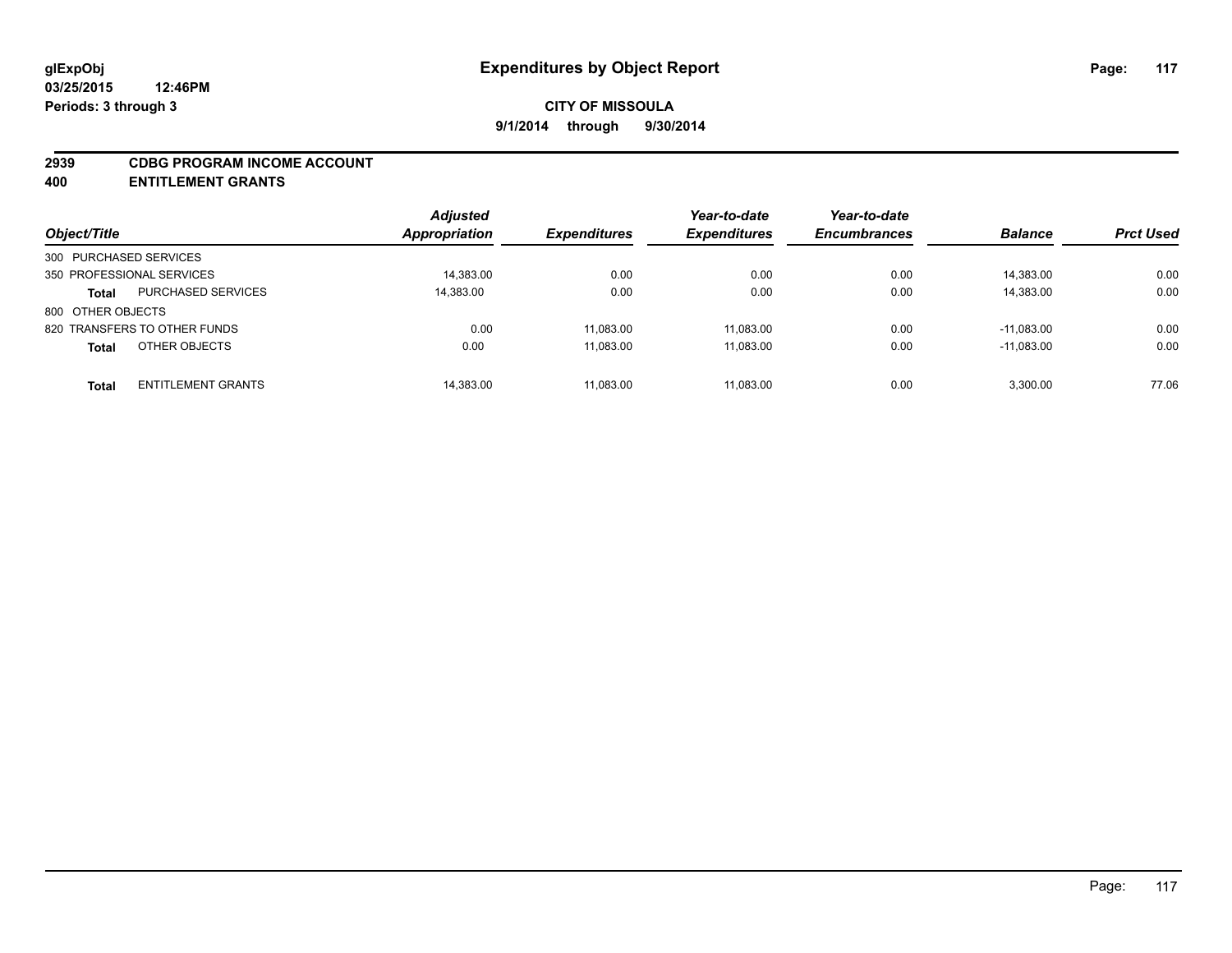#### **2939 CDBG PROGRAM INCOME ACCOUNT**

**400 ENTITLEMENT GRANTS**

|                                           | <b>Adjusted</b> |                            | Year-to-date        | Year-to-date        |                |                  |
|-------------------------------------------|-----------------|----------------------------|---------------------|---------------------|----------------|------------------|
| Object/Title                              | Appropriation   | <i><b>Expenditures</b></i> | <b>Expenditures</b> | <b>Encumbrances</b> | <b>Balance</b> | <b>Prct Used</b> |
| 300 PURCHASED SERVICES                    |                 |                            |                     |                     |                |                  |
| 350 PROFESSIONAL SERVICES                 | 14,383.00       | 0.00                       | 0.00                | 0.00                | 14,383.00      | 0.00             |
| <b>PURCHASED SERVICES</b><br>Total        | 14,383.00       | 0.00                       | 0.00                | 0.00                | 14,383.00      | 0.00             |
| 800 OTHER OBJECTS                         |                 |                            |                     |                     |                |                  |
| 820 TRANSFERS TO OTHER FUNDS              | 0.00            | 11.083.00                  | 11.083.00           | 0.00                | $-11.083.00$   | 0.00             |
| OTHER OBJECTS<br><b>Total</b>             | 0.00            | 11,083.00                  | 11.083.00           | 0.00                | $-11.083.00$   | 0.00             |
| <b>ENTITLEMENT GRANTS</b><br><b>Total</b> | 14,383.00       | 11,083.00                  | 11.083.00           | 0.00                | 3.300.00       | 77.06            |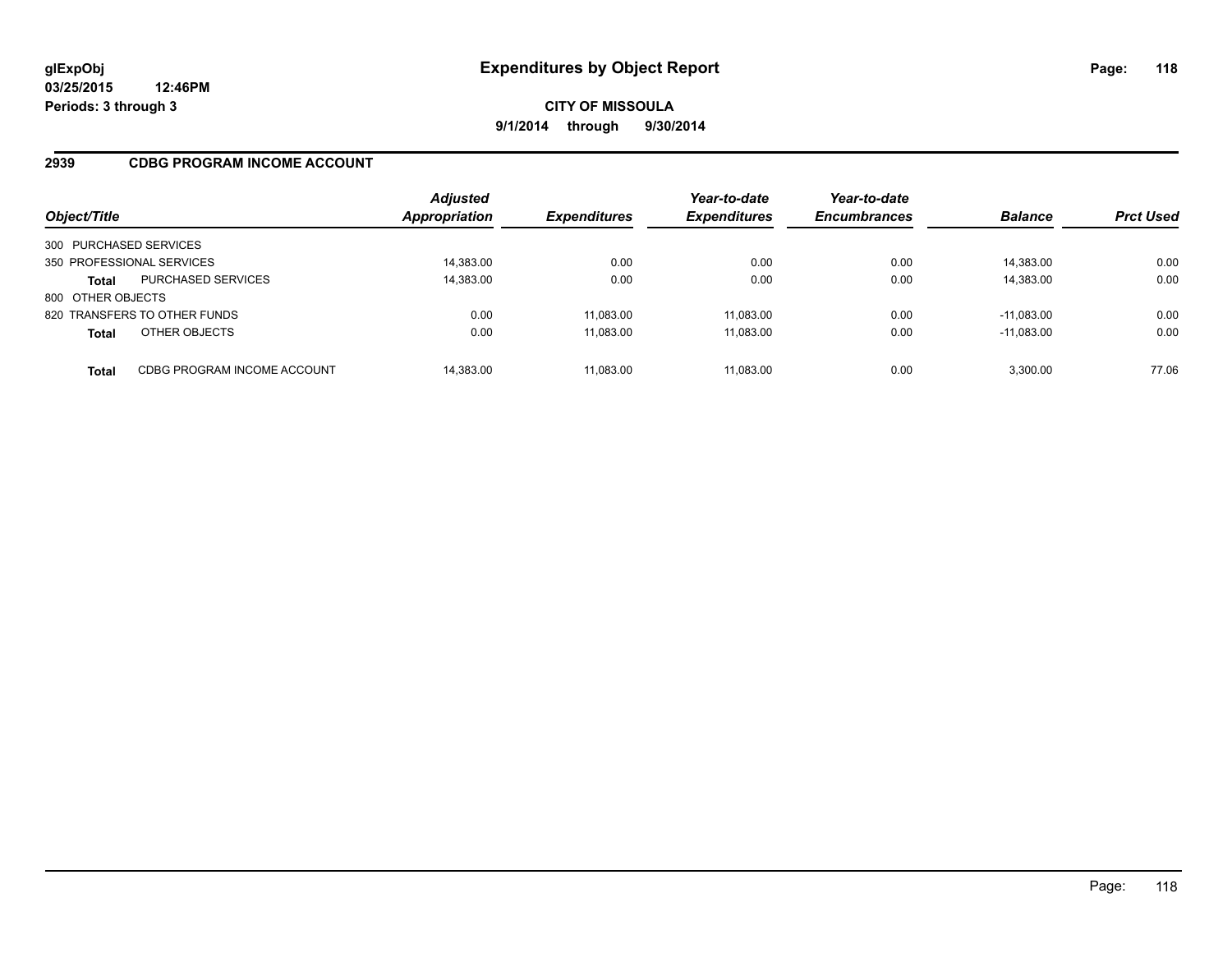## **2939 CDBG PROGRAM INCOME ACCOUNT**

| Object/Title              |                              | <b>Adjusted</b><br>Appropriation | <b>Expenditures</b> | Year-to-date<br><b>Expenditures</b> | Year-to-date<br><b>Encumbrances</b> | <b>Balance</b> | <b>Prct Used</b> |
|---------------------------|------------------------------|----------------------------------|---------------------|-------------------------------------|-------------------------------------|----------------|------------------|
| 300 PURCHASED SERVICES    |                              |                                  |                     |                                     |                                     |                |                  |
| 350 PROFESSIONAL SERVICES |                              | 14,383.00                        | 0.00                | 0.00                                | 0.00                                | 14,383.00      | 0.00             |
| <b>Total</b>              | <b>PURCHASED SERVICES</b>    | 14,383.00                        | 0.00                | 0.00                                | 0.00                                | 14,383.00      | 0.00             |
| 800 OTHER OBJECTS         |                              |                                  |                     |                                     |                                     |                |                  |
|                           | 820 TRANSFERS TO OTHER FUNDS | 0.00                             | 11.083.00           | 11.083.00                           | 0.00                                | $-11.083.00$   | 0.00             |
| <b>Total</b>              | OTHER OBJECTS                | 0.00                             | 11,083.00           | 11,083.00                           | 0.00                                | $-11,083.00$   | 0.00             |
| Total                     | CDBG PROGRAM INCOME ACCOUNT  | 14.383.00                        | 11.083.00           | 11.083.00                           | 0.00                                | 3.300.00       | 77.06            |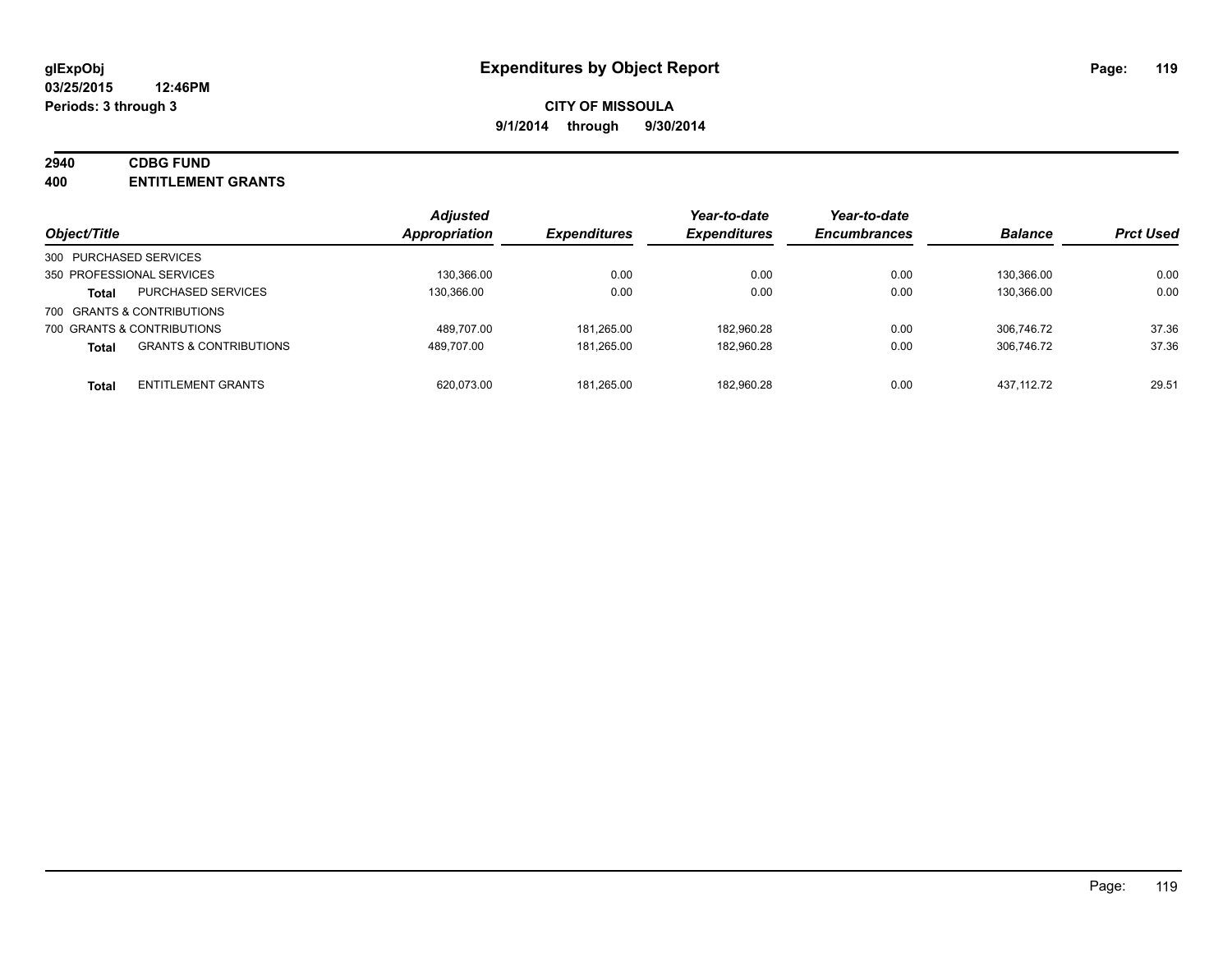## **2940 CDBG FUND**

**400 ENTITLEMENT GRANTS**

| Object/Title                                      | <b>Adjusted</b><br>Appropriation | <b>Expenditures</b> | Year-to-date<br><b>Expenditures</b> | Year-to-date<br><b>Encumbrances</b> | <b>Balance</b> | <b>Prct Used</b> |
|---------------------------------------------------|----------------------------------|---------------------|-------------------------------------|-------------------------------------|----------------|------------------|
| 300 PURCHASED SERVICES                            |                                  |                     |                                     |                                     |                |                  |
| 350 PROFESSIONAL SERVICES                         | 130.366.00                       | 0.00                | 0.00                                | 0.00                                | 130.366.00     | 0.00             |
| <b>PURCHASED SERVICES</b><br><b>Total</b>         | 130.366.00                       | 0.00                | 0.00                                | 0.00                                | 130.366.00     | 0.00             |
| 700 GRANTS & CONTRIBUTIONS                        |                                  |                     |                                     |                                     |                |                  |
| 700 GRANTS & CONTRIBUTIONS                        | 489.707.00                       | 181.265.00          | 182.960.28                          | 0.00                                | 306.746.72     | 37.36            |
| <b>GRANTS &amp; CONTRIBUTIONS</b><br><b>Total</b> | 489.707.00                       | 181.265.00          | 182,960.28                          | 0.00                                | 306.746.72     | 37.36            |
| <b>ENTITLEMENT GRANTS</b><br><b>Total</b>         | 620.073.00                       | 181.265.00          | 182,960.28                          | 0.00                                | 437.112.72     | 29.51            |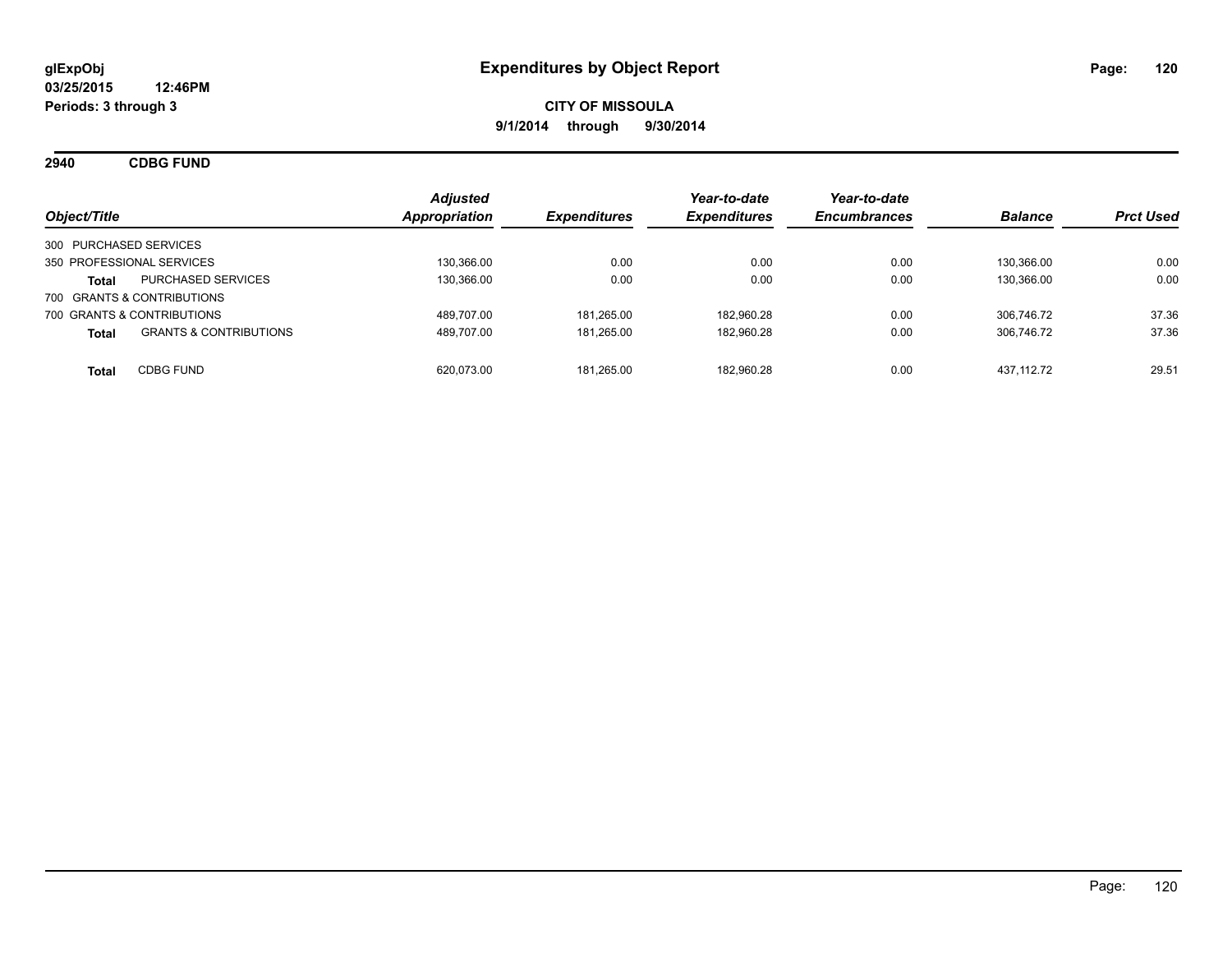**2940 CDBG FUND**

| Object/Title                                      | <b>Adjusted</b><br>Appropriation | <b>Expenditures</b> | Year-to-date<br><b>Expenditures</b> | Year-to-date<br><b>Encumbrances</b> | <b>Balance</b> | <b>Prct Used</b> |
|---------------------------------------------------|----------------------------------|---------------------|-------------------------------------|-------------------------------------|----------------|------------------|
| 300 PURCHASED SERVICES                            |                                  |                     |                                     |                                     |                |                  |
| 350 PROFESSIONAL SERVICES                         | 130.366.00                       | 0.00                | 0.00                                | 0.00                                | 130.366.00     | 0.00             |
| <b>PURCHASED SERVICES</b><br><b>Total</b>         | 130.366.00                       | 0.00                | 0.00                                | 0.00                                | 130.366.00     | 0.00             |
| 700 GRANTS & CONTRIBUTIONS                        |                                  |                     |                                     |                                     |                |                  |
| 700 GRANTS & CONTRIBUTIONS                        | 489.707.00                       | 181.265.00          | 182.960.28                          | 0.00                                | 306.746.72     | 37.36            |
| <b>GRANTS &amp; CONTRIBUTIONS</b><br><b>Total</b> | 489.707.00                       | 181.265.00          | 182,960.28                          | 0.00                                | 306.746.72     | 37.36            |
| <b>CDBG FUND</b><br><b>Total</b>                  | 620.073.00                       | 181.265.00          | 182.960.28                          | 0.00                                | 437.112.72     | 29.51            |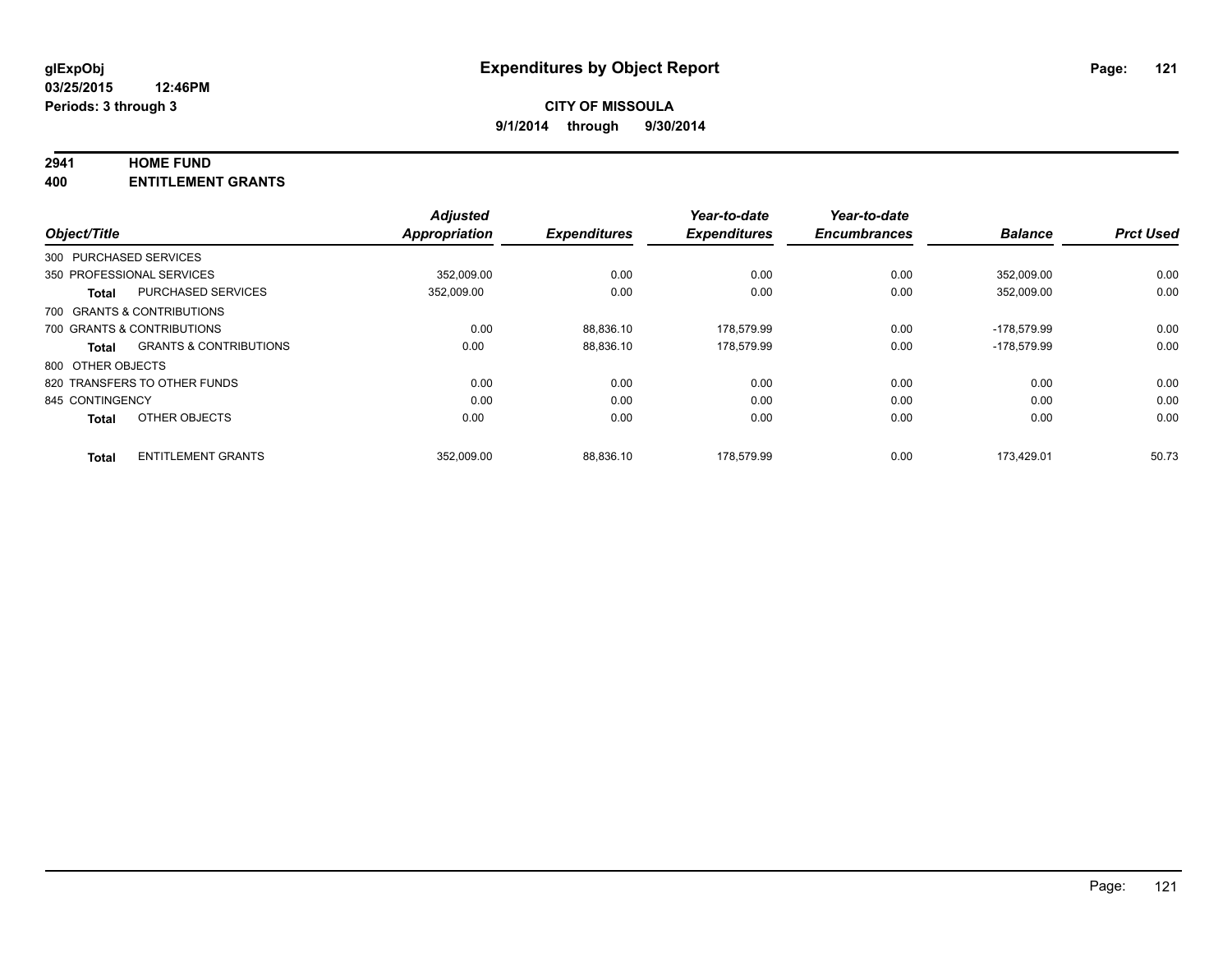#### **2941 HOME FUND**

**400 ENTITLEMENT GRANTS**

|                   |                                   | <b>Adjusted</b>      |                     | Year-to-date        | Year-to-date        |                |                  |
|-------------------|-----------------------------------|----------------------|---------------------|---------------------|---------------------|----------------|------------------|
| Object/Title      |                                   | <b>Appropriation</b> | <b>Expenditures</b> | <b>Expenditures</b> | <b>Encumbrances</b> | <b>Balance</b> | <b>Prct Used</b> |
|                   | 300 PURCHASED SERVICES            |                      |                     |                     |                     |                |                  |
|                   | 350 PROFESSIONAL SERVICES         | 352.009.00           | 0.00                | 0.00                | 0.00                | 352.009.00     | 0.00             |
| <b>Total</b>      | <b>PURCHASED SERVICES</b>         | 352,009.00           | 0.00                | 0.00                | 0.00                | 352,009.00     | 0.00             |
|                   | 700 GRANTS & CONTRIBUTIONS        |                      |                     |                     |                     |                |                  |
|                   | 700 GRANTS & CONTRIBUTIONS        | 0.00                 | 88.836.10           | 178,579.99          | 0.00                | -178.579.99    | 0.00             |
| <b>Total</b>      | <b>GRANTS &amp; CONTRIBUTIONS</b> | 0.00                 | 88,836.10           | 178.579.99          | 0.00                | -178.579.99    | 0.00             |
| 800 OTHER OBJECTS |                                   |                      |                     |                     |                     |                |                  |
|                   | 820 TRANSFERS TO OTHER FUNDS      | 0.00                 | 0.00                | 0.00                | 0.00                | 0.00           | 0.00             |
| 845 CONTINGENCY   |                                   | 0.00                 | 0.00                | 0.00                | 0.00                | 0.00           | 0.00             |
| <b>Total</b>      | OTHER OBJECTS                     | 0.00                 | 0.00                | 0.00                | 0.00                | 0.00           | 0.00             |
| <b>Total</b>      | <b>ENTITLEMENT GRANTS</b>         | 352.009.00           | 88.836.10           | 178.579.99          | 0.00                | 173.429.01     | 50.73            |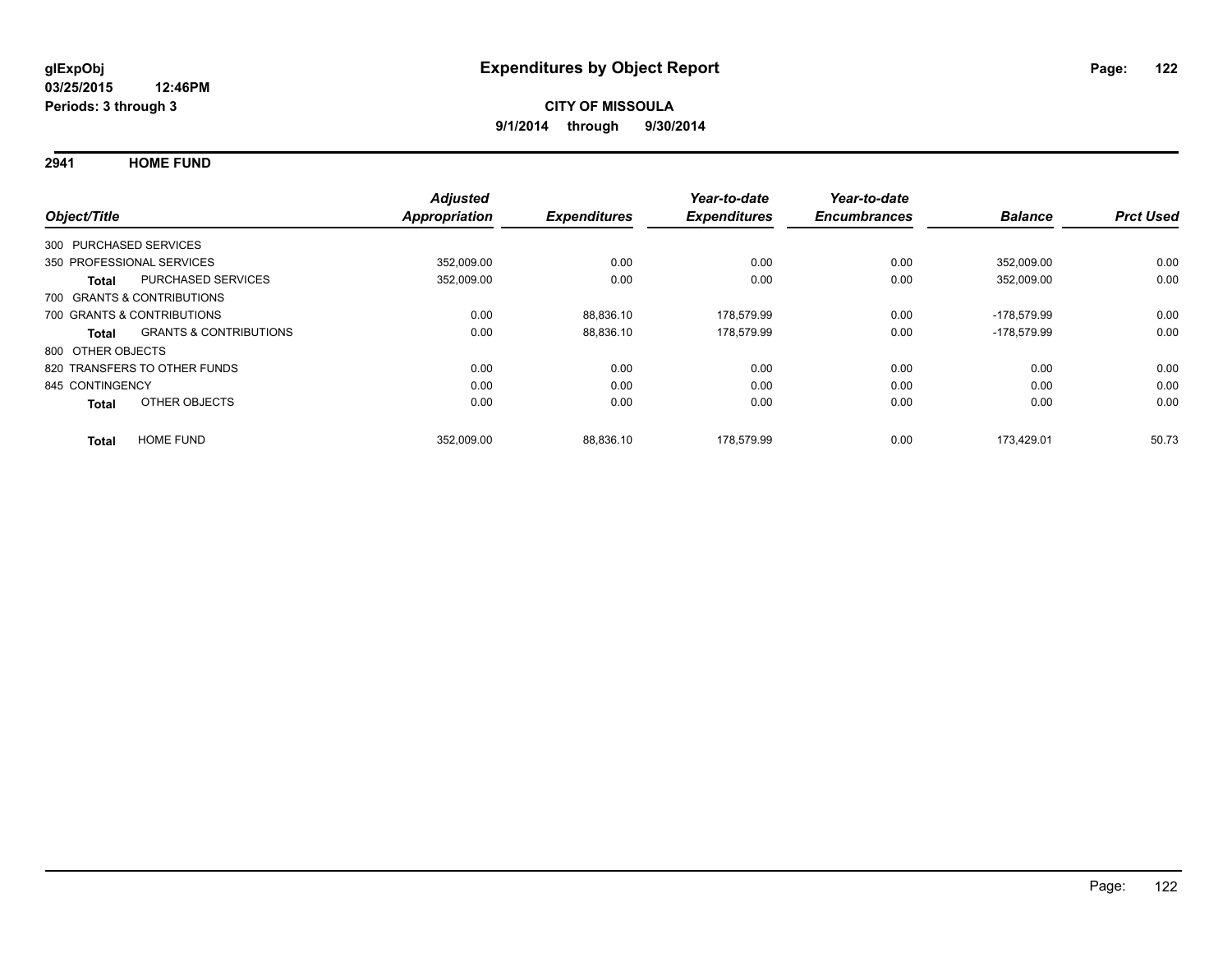**2941 HOME FUND**

| Object/Title           |                                   | <b>Adjusted</b><br><b>Appropriation</b> | <b>Expenditures</b> | Year-to-date<br><b>Expenditures</b> | Year-to-date<br><b>Encumbrances</b> | <b>Balance</b> | <b>Prct Used</b> |
|------------------------|-----------------------------------|-----------------------------------------|---------------------|-------------------------------------|-------------------------------------|----------------|------------------|
| 300 PURCHASED SERVICES |                                   |                                         |                     |                                     |                                     |                |                  |
|                        | 350 PROFESSIONAL SERVICES         | 352,009.00                              | 0.00                | 0.00                                | 0.00                                | 352.009.00     | 0.00             |
| <b>Total</b>           | <b>PURCHASED SERVICES</b>         | 352,009.00                              | 0.00                | 0.00                                | 0.00                                | 352,009.00     | 0.00             |
|                        | 700 GRANTS & CONTRIBUTIONS        |                                         |                     |                                     |                                     |                |                  |
|                        | 700 GRANTS & CONTRIBUTIONS        | 0.00                                    | 88.836.10           | 178.579.99                          | 0.00                                | -178.579.99    | 0.00             |
| Total                  | <b>GRANTS &amp; CONTRIBUTIONS</b> | 0.00                                    | 88,836.10           | 178,579.99                          | 0.00                                | -178.579.99    | 0.00             |
| 800 OTHER OBJECTS      |                                   |                                         |                     |                                     |                                     |                |                  |
|                        | 820 TRANSFERS TO OTHER FUNDS      | 0.00                                    | 0.00                | 0.00                                | 0.00                                | 0.00           | 0.00             |
| 845 CONTINGENCY        |                                   | 0.00                                    | 0.00                | 0.00                                | 0.00                                | 0.00           | 0.00             |
| <b>Total</b>           | OTHER OBJECTS                     | 0.00                                    | 0.00                | 0.00                                | 0.00                                | 0.00           | 0.00             |
| <b>Total</b>           | <b>HOME FUND</b>                  | 352,009.00                              | 88.836.10           | 178.579.99                          | 0.00                                | 173.429.01     | 50.73            |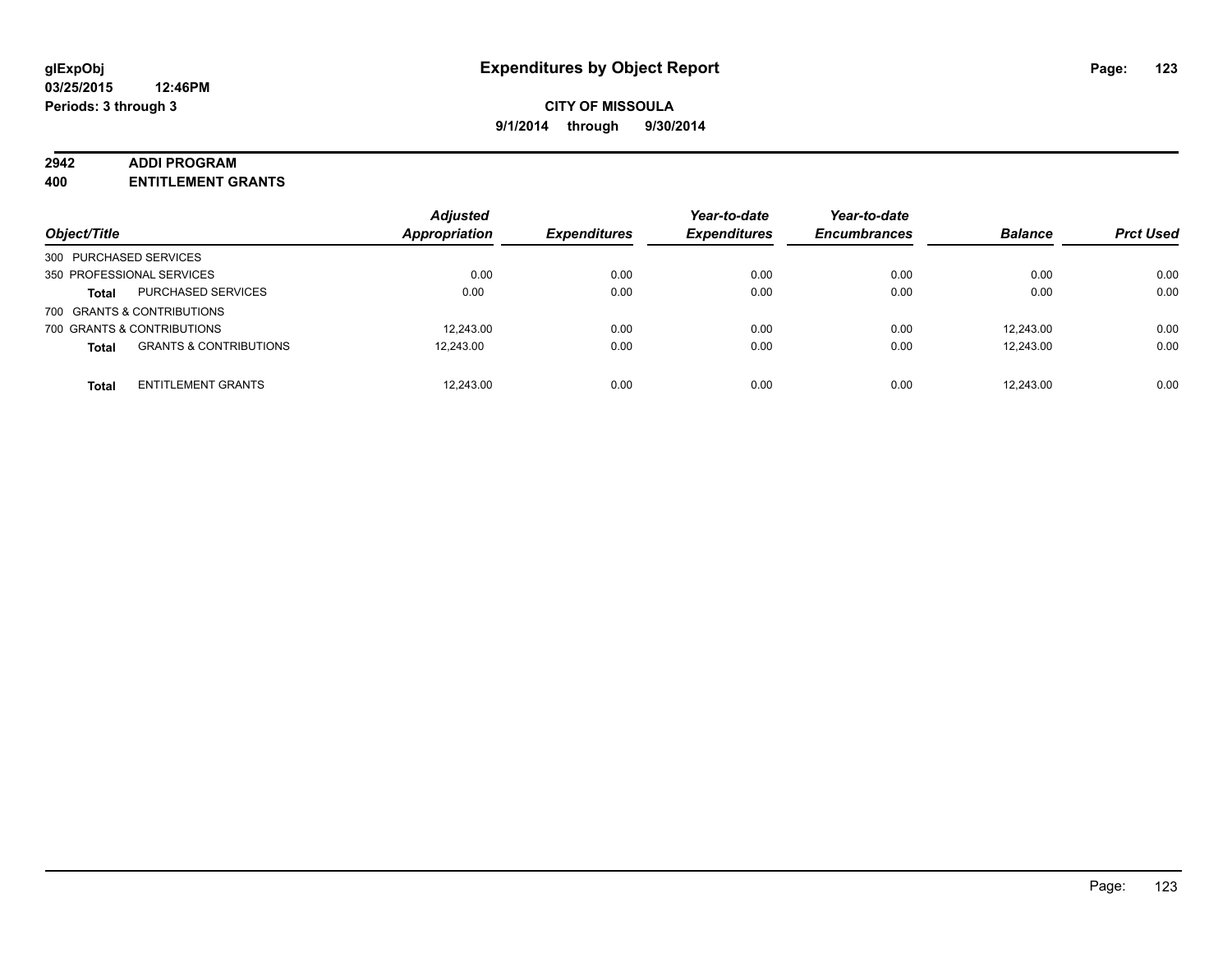#### **2942 ADDI PROGRAM**

**400 ENTITLEMENT GRANTS**

| Object/Title               |                                   | <b>Adjusted</b><br><b>Appropriation</b> | <b>Expenditures</b> | Year-to-date<br><b>Expenditures</b> | Year-to-date<br><b>Encumbrances</b> | <b>Balance</b> | <b>Prct Used</b> |
|----------------------------|-----------------------------------|-----------------------------------------|---------------------|-------------------------------------|-------------------------------------|----------------|------------------|
| 300 PURCHASED SERVICES     |                                   |                                         |                     |                                     |                                     |                |                  |
| 350 PROFESSIONAL SERVICES  |                                   | 0.00                                    | 0.00                | 0.00                                | 0.00                                | 0.00           | 0.00             |
| <b>Total</b>               | <b>PURCHASED SERVICES</b>         | 0.00                                    | 0.00                | 0.00                                | 0.00                                | 0.00           | 0.00             |
| 700 GRANTS & CONTRIBUTIONS |                                   |                                         |                     |                                     |                                     |                |                  |
| 700 GRANTS & CONTRIBUTIONS |                                   | 12.243.00                               | 0.00                | 0.00                                | 0.00                                | 12.243.00      | 0.00             |
| <b>Total</b>               | <b>GRANTS &amp; CONTRIBUTIONS</b> | 12.243.00                               | 0.00                | 0.00                                | 0.00                                | 12.243.00      | 0.00             |
| <b>Total</b>               | <b>ENTITLEMENT GRANTS</b>         | 12,243.00                               | 0.00                | 0.00                                | 0.00                                | 12.243.00      | 0.00             |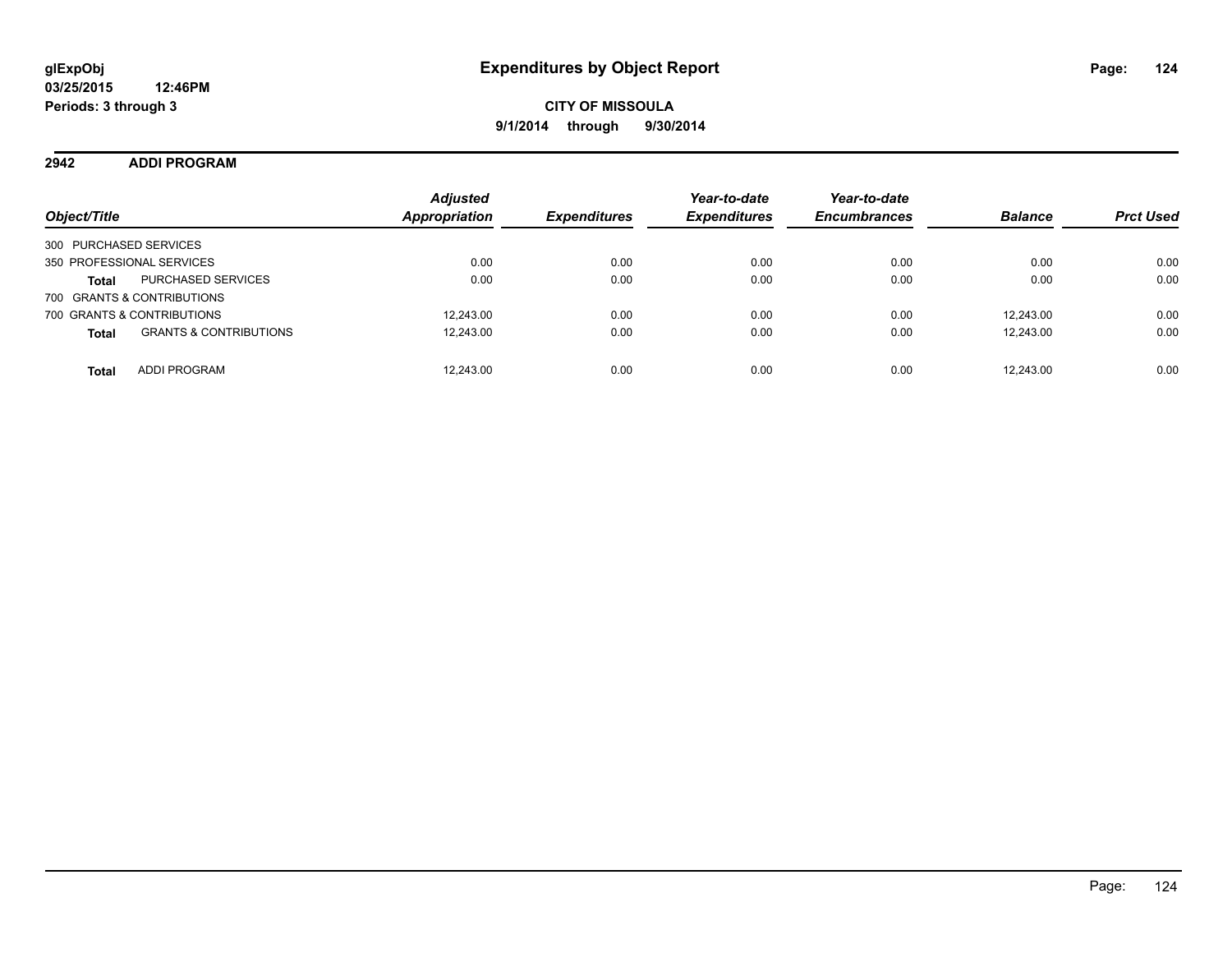**2942 ADDI PROGRAM**

| Object/Title                                      | <b>Adjusted</b><br><b>Appropriation</b> | <i><b>Expenditures</b></i> | Year-to-date<br><b>Expenditures</b> | Year-to-date<br><b>Encumbrances</b> | <b>Balance</b> | <b>Prct Used</b> |
|---------------------------------------------------|-----------------------------------------|----------------------------|-------------------------------------|-------------------------------------|----------------|------------------|
| 300 PURCHASED SERVICES                            |                                         |                            |                                     |                                     |                |                  |
| 350 PROFESSIONAL SERVICES                         | 0.00                                    | 0.00                       | 0.00                                | 0.00                                | 0.00           | 0.00             |
| <b>PURCHASED SERVICES</b><br><b>Total</b>         | 0.00                                    | 0.00                       | 0.00                                | 0.00                                | 0.00           | 0.00             |
| 700 GRANTS & CONTRIBUTIONS                        |                                         |                            |                                     |                                     |                |                  |
| 700 GRANTS & CONTRIBUTIONS                        | 12,243.00                               | 0.00                       | 0.00                                | 0.00                                | 12.243.00      | 0.00             |
| <b>GRANTS &amp; CONTRIBUTIONS</b><br><b>Total</b> | 12,243.00                               | 0.00                       | 0.00                                | 0.00                                | 12,243.00      | 0.00             |
| <b>ADDI PROGRAM</b><br><b>Total</b>               | 12.243.00                               | 0.00                       | 0.00                                | 0.00                                | 12.243.00      | 0.00             |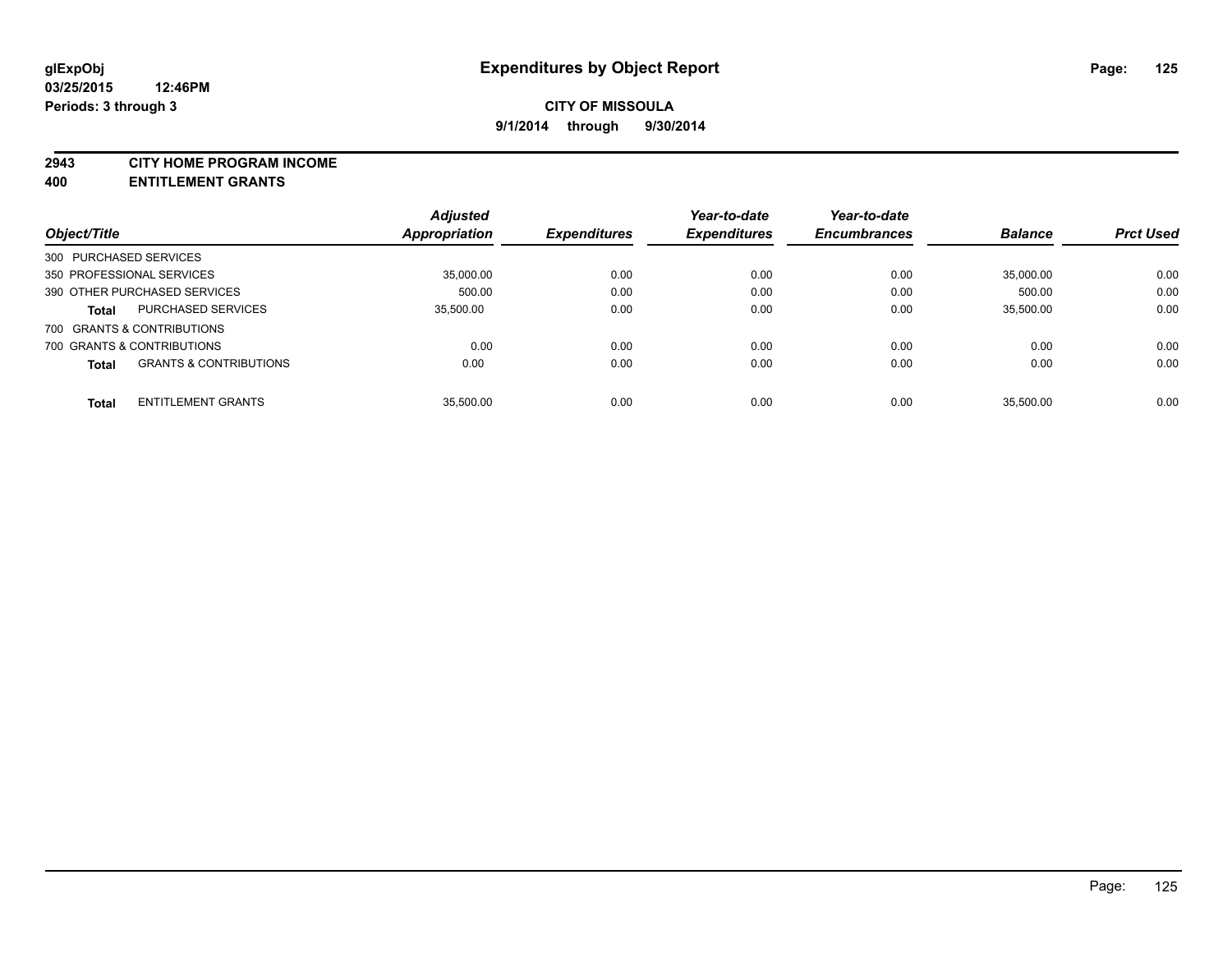#### **2943 CITY HOME PROGRAM INCOME**

**400 ENTITLEMENT GRANTS**

|                           |                                   | <b>Adjusted</b> |                     | Year-to-date        | Year-to-date        |                |                  |
|---------------------------|-----------------------------------|-----------------|---------------------|---------------------|---------------------|----------------|------------------|
| Object/Title              |                                   | Appropriation   | <b>Expenditures</b> | <b>Expenditures</b> | <b>Encumbrances</b> | <b>Balance</b> | <b>Prct Used</b> |
| 300 PURCHASED SERVICES    |                                   |                 |                     |                     |                     |                |                  |
| 350 PROFESSIONAL SERVICES |                                   | 35,000.00       | 0.00                | 0.00                | 0.00                | 35,000.00      | 0.00             |
|                           | 390 OTHER PURCHASED SERVICES      | 500.00          | 0.00                | 0.00                | 0.00                | 500.00         | 0.00             |
| Total                     | <b>PURCHASED SERVICES</b>         | 35.500.00       | 0.00                | 0.00                | 0.00                | 35.500.00      | 0.00             |
|                           | 700 GRANTS & CONTRIBUTIONS        |                 |                     |                     |                     |                |                  |
|                           | 700 GRANTS & CONTRIBUTIONS        | 0.00            | 0.00                | 0.00                | 0.00                | 0.00           | 0.00             |
| Total                     | <b>GRANTS &amp; CONTRIBUTIONS</b> | 0.00            | 0.00                | 0.00                | 0.00                | 0.00           | 0.00             |
| <b>Total</b>              | <b>ENTITLEMENT GRANTS</b>         | 35.500.00       | 0.00                | 0.00                | 0.00                | 35.500.00      | 0.00             |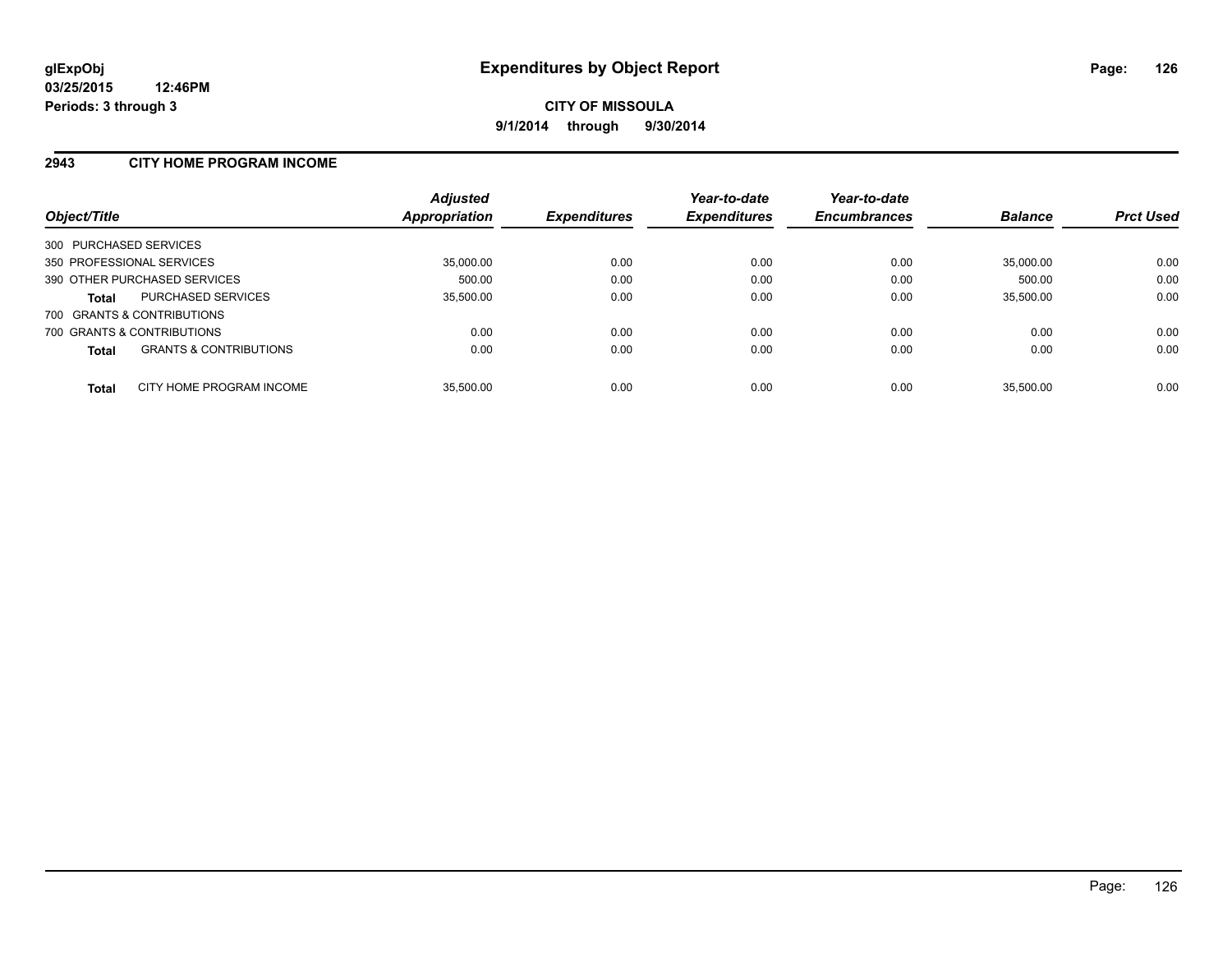#### **2943 CITY HOME PROGRAM INCOME**

| Object/Title              |                                   | <b>Adjusted</b><br>Appropriation | <b>Expenditures</b> | Year-to-date<br><b>Expenditures</b> | Year-to-date<br><b>Encumbrances</b> | <b>Balance</b> | <b>Prct Used</b> |
|---------------------------|-----------------------------------|----------------------------------|---------------------|-------------------------------------|-------------------------------------|----------------|------------------|
| 300 PURCHASED SERVICES    |                                   |                                  |                     |                                     |                                     |                |                  |
| 350 PROFESSIONAL SERVICES |                                   | 35,000.00                        | 0.00                | 0.00                                | 0.00                                | 35.000.00      | 0.00             |
|                           | 390 OTHER PURCHASED SERVICES      | 500.00                           | 0.00                | 0.00                                | 0.00                                | 500.00         | 0.00             |
| <b>Total</b>              | <b>PURCHASED SERVICES</b>         | 35.500.00                        | 0.00                | 0.00                                | 0.00                                | 35.500.00      | 0.00             |
|                           | 700 GRANTS & CONTRIBUTIONS        |                                  |                     |                                     |                                     |                |                  |
|                           | 700 GRANTS & CONTRIBUTIONS        | 0.00                             | 0.00                | 0.00                                | 0.00                                | 0.00           | 0.00             |
| <b>Total</b>              | <b>GRANTS &amp; CONTRIBUTIONS</b> | 0.00                             | 0.00                | 0.00                                | 0.00                                | 0.00           | 0.00             |
| <b>Total</b>              | CITY HOME PROGRAM INCOME          | 35.500.00                        | 0.00                | 0.00                                | 0.00                                | 35.500.00      | 0.00             |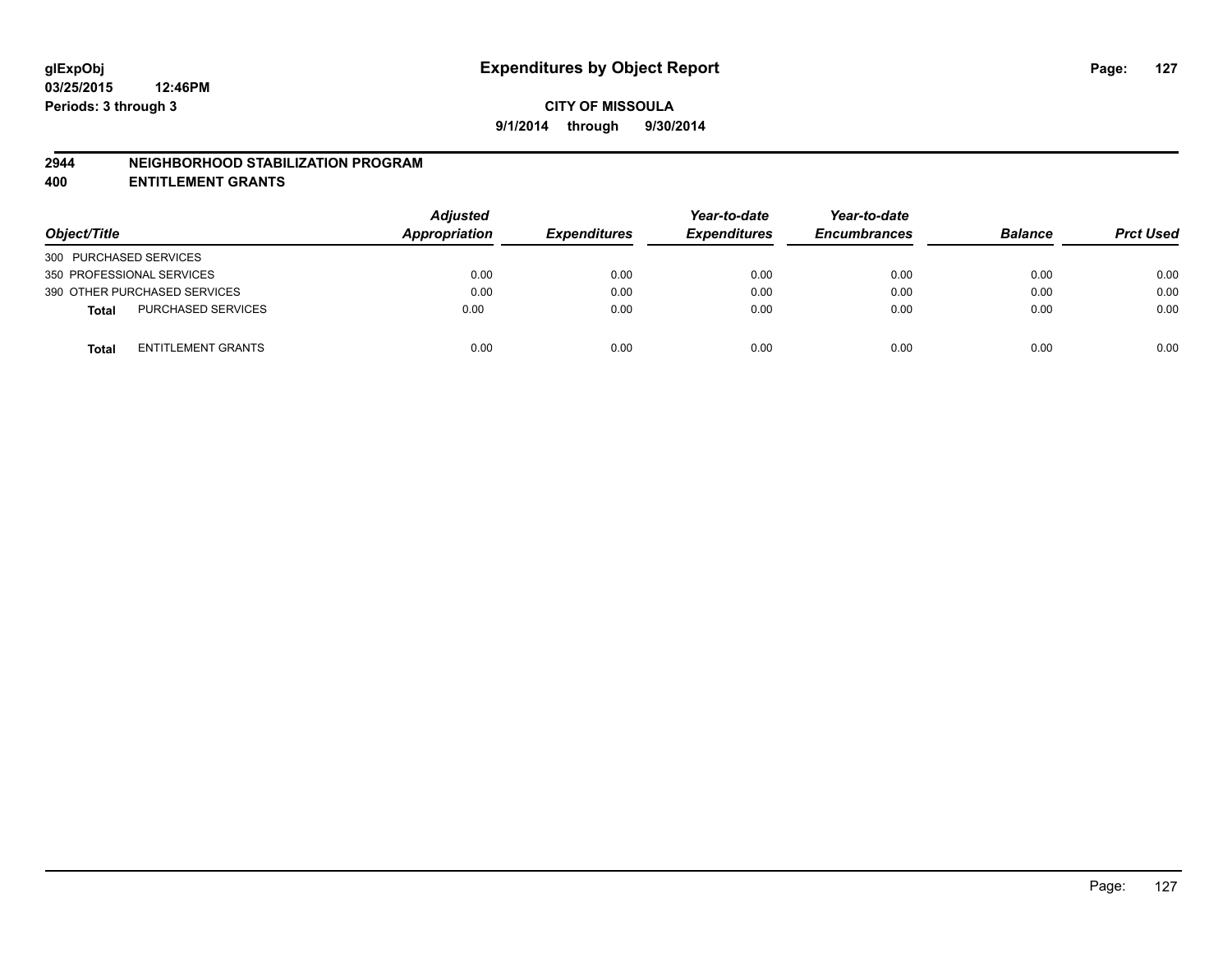#### **2944 NEIGHBORHOOD STABILIZATION PROGRAM**

**400 ENTITLEMENT GRANTS**

| Object/Title                              | <b>Adjusted</b><br><b>Appropriation</b> | <b>Expenditures</b> | Year-to-date<br><b>Expenditures</b> | Year-to-date<br><b>Encumbrances</b> | <b>Balance</b> | <b>Prct Used</b> |
|-------------------------------------------|-----------------------------------------|---------------------|-------------------------------------|-------------------------------------|----------------|------------------|
| 300 PURCHASED SERVICES                    |                                         |                     |                                     |                                     |                |                  |
| 350 PROFESSIONAL SERVICES                 | 0.00                                    | 0.00                | 0.00                                | 0.00                                | 0.00           | 0.00             |
| 390 OTHER PURCHASED SERVICES              | 0.00                                    | 0.00                | 0.00                                | 0.00                                | 0.00           | 0.00             |
| <b>PURCHASED SERVICES</b><br><b>Total</b> | 0.00                                    | 0.00                | 0.00                                | 0.00                                | 0.00           | 0.00             |
| <b>ENTITLEMENT GRANTS</b><br><b>Total</b> | 0.00                                    | 0.00                | 0.00                                | 0.00                                | 0.00           | 0.00             |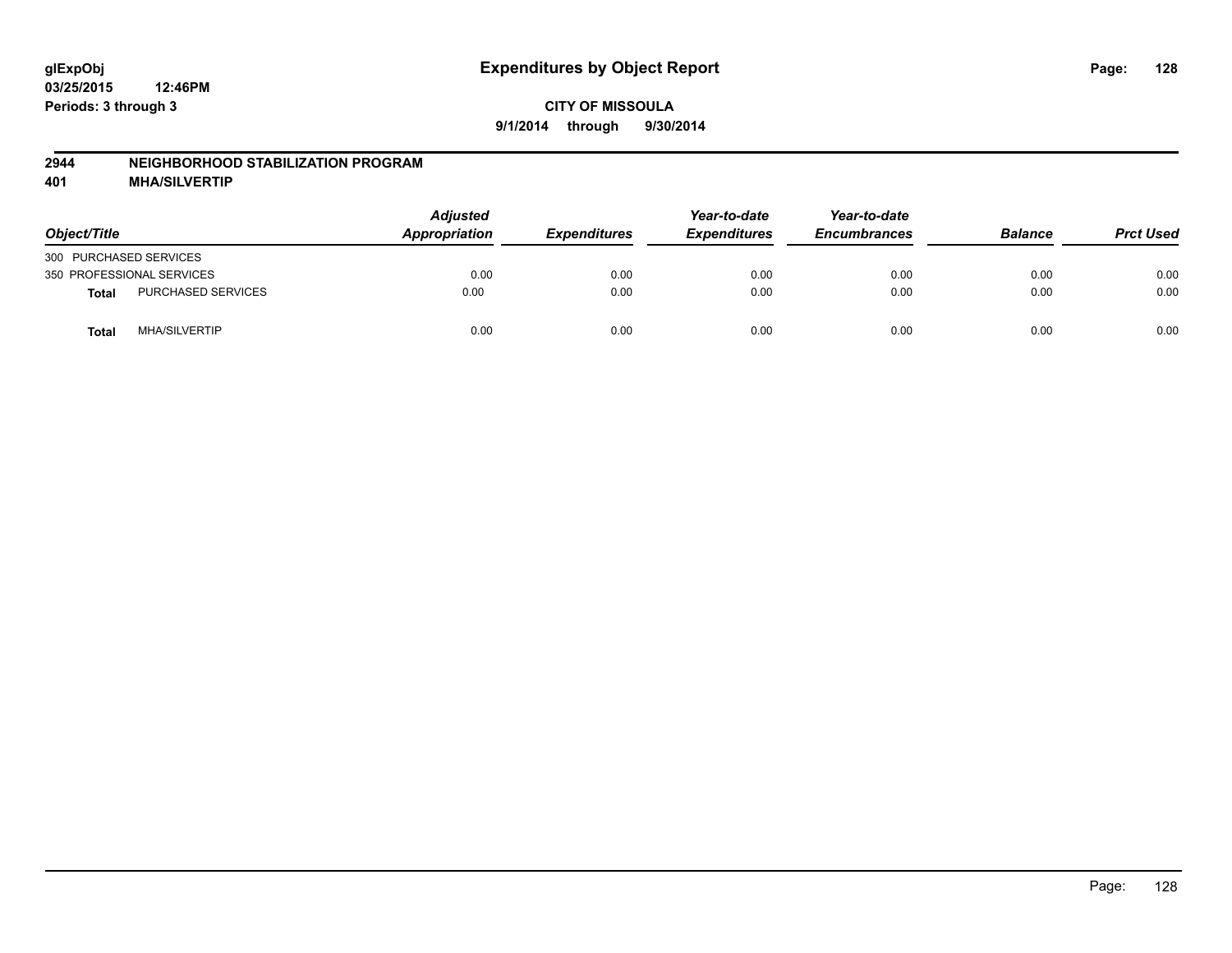### **2944 NEIGHBORHOOD STABILIZATION PROGRAM**

**401 MHA/SILVERTIP**

| Object/Title                         | <b>Adjusted</b><br><b>Appropriation</b> | <b>Expenditures</b> | Year-to-date<br><b>Expenditures</b> | Year-to-date<br><b>Encumbrances</b> | <b>Balance</b> | <b>Prct Used</b> |
|--------------------------------------|-----------------------------------------|---------------------|-------------------------------------|-------------------------------------|----------------|------------------|
| 300 PURCHASED SERVICES               |                                         |                     |                                     |                                     |                |                  |
| 350 PROFESSIONAL SERVICES            | 0.00                                    | 0.00                | 0.00                                | 0.00                                | 0.00           | 0.00             |
| PURCHASED SERVICES<br>Total          | 0.00                                    | 0.00                | 0.00                                | 0.00                                | 0.00           | 0.00             |
| <b>MHA/SILVERTIP</b><br><b>Total</b> | 0.00                                    | 0.00                | 0.00                                | 0.00                                | 0.00           | 0.00             |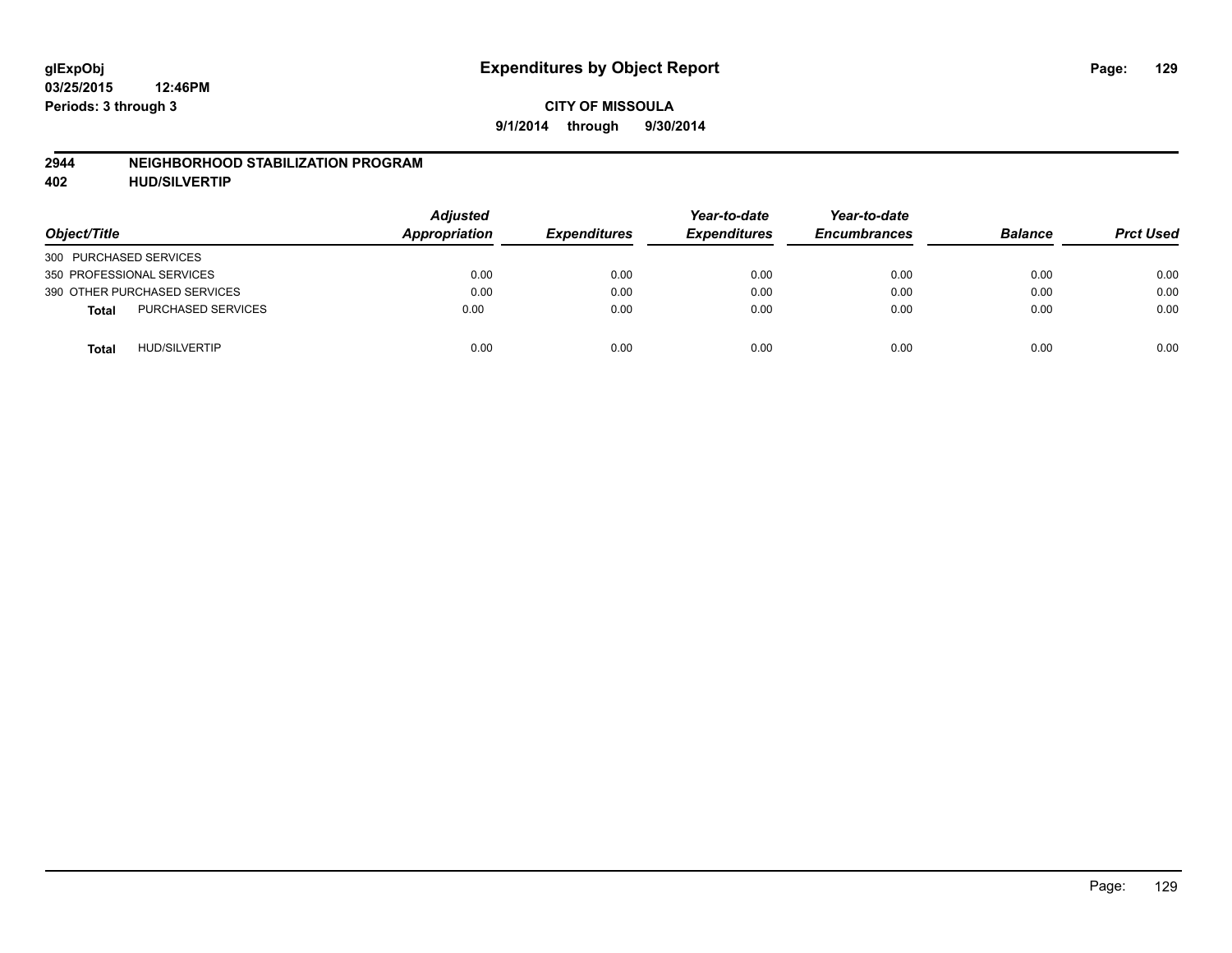#### **2944 NEIGHBORHOOD STABILIZATION PROGRAM**

**402 HUD/SILVERTIP**

| Object/Title                              | <b>Adjusted</b><br>Appropriation | <b>Expenditures</b> | Year-to-date<br><b>Expenditures</b> | Year-to-date<br><b>Encumbrances</b> | <b>Balance</b> | <b>Prct Used</b> |
|-------------------------------------------|----------------------------------|---------------------|-------------------------------------|-------------------------------------|----------------|------------------|
| 300 PURCHASED SERVICES                    |                                  |                     |                                     |                                     |                |                  |
| 350 PROFESSIONAL SERVICES                 | 0.00                             | 0.00                | 0.00                                | 0.00                                | 0.00           | 0.00             |
| 390 OTHER PURCHASED SERVICES              | 0.00                             | 0.00                | 0.00                                | 0.00                                | 0.00           | 0.00             |
| <b>PURCHASED SERVICES</b><br><b>Total</b> | 0.00                             | 0.00                | 0.00                                | 0.00                                | 0.00           | 0.00             |
| <b>HUD/SILVERTIP</b><br><b>Total</b>      | 0.00                             | 0.00                | 0.00                                | 0.00                                | 0.00           | 0.00             |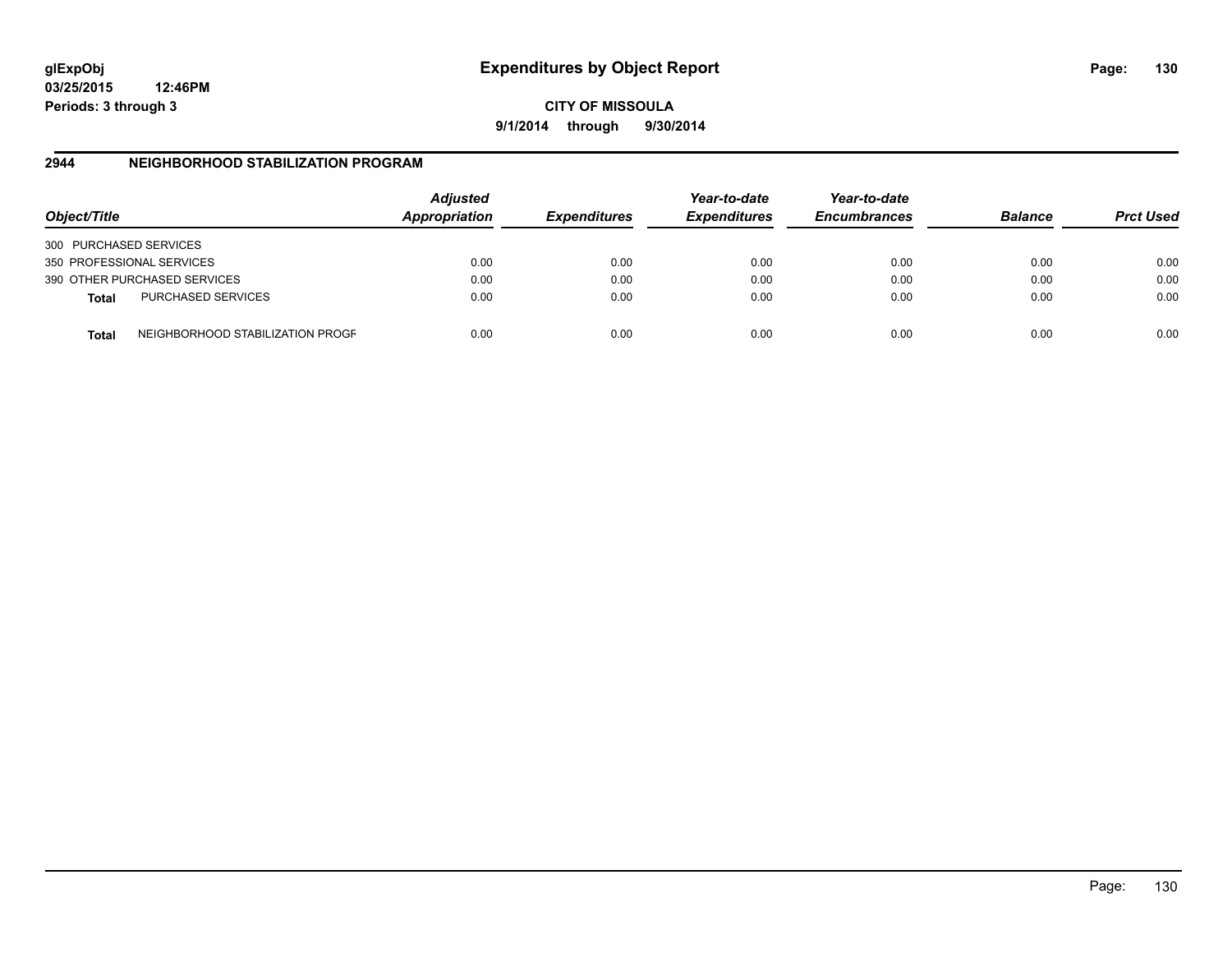**03/25/2015 12:46PM Periods: 3 through 3**

**CITY OF MISSOULA 9/1/2014 through 9/30/2014**

## **2944 NEIGHBORHOOD STABILIZATION PROGRAM**

| Object/Title           |                                  | <b>Adjusted</b><br>Appropriation | <b>Expenditures</b> | Year-to-date<br><b>Expenditures</b> | Year-to-date<br><b>Encumbrances</b> | <b>Balance</b> | <b>Prct Used</b> |
|------------------------|----------------------------------|----------------------------------|---------------------|-------------------------------------|-------------------------------------|----------------|------------------|
| 300 PURCHASED SERVICES |                                  |                                  |                     |                                     |                                     |                |                  |
|                        | 350 PROFESSIONAL SERVICES        | 0.00                             | 0.00                | 0.00                                | 0.00                                | 0.00           | 0.00             |
|                        | 390 OTHER PURCHASED SERVICES     | 0.00                             | 0.00                | 0.00                                | 0.00                                | 0.00           | 0.00             |
| Total                  | <b>PURCHASED SERVICES</b>        | 0.00                             | 0.00                | 0.00                                | 0.00                                | 0.00           | 0.00             |
| <b>Total</b>           | NEIGHBORHOOD STABILIZATION PROGF | 0.00                             | 0.00                | 0.00                                | 0.00                                | 0.00           | 0.00             |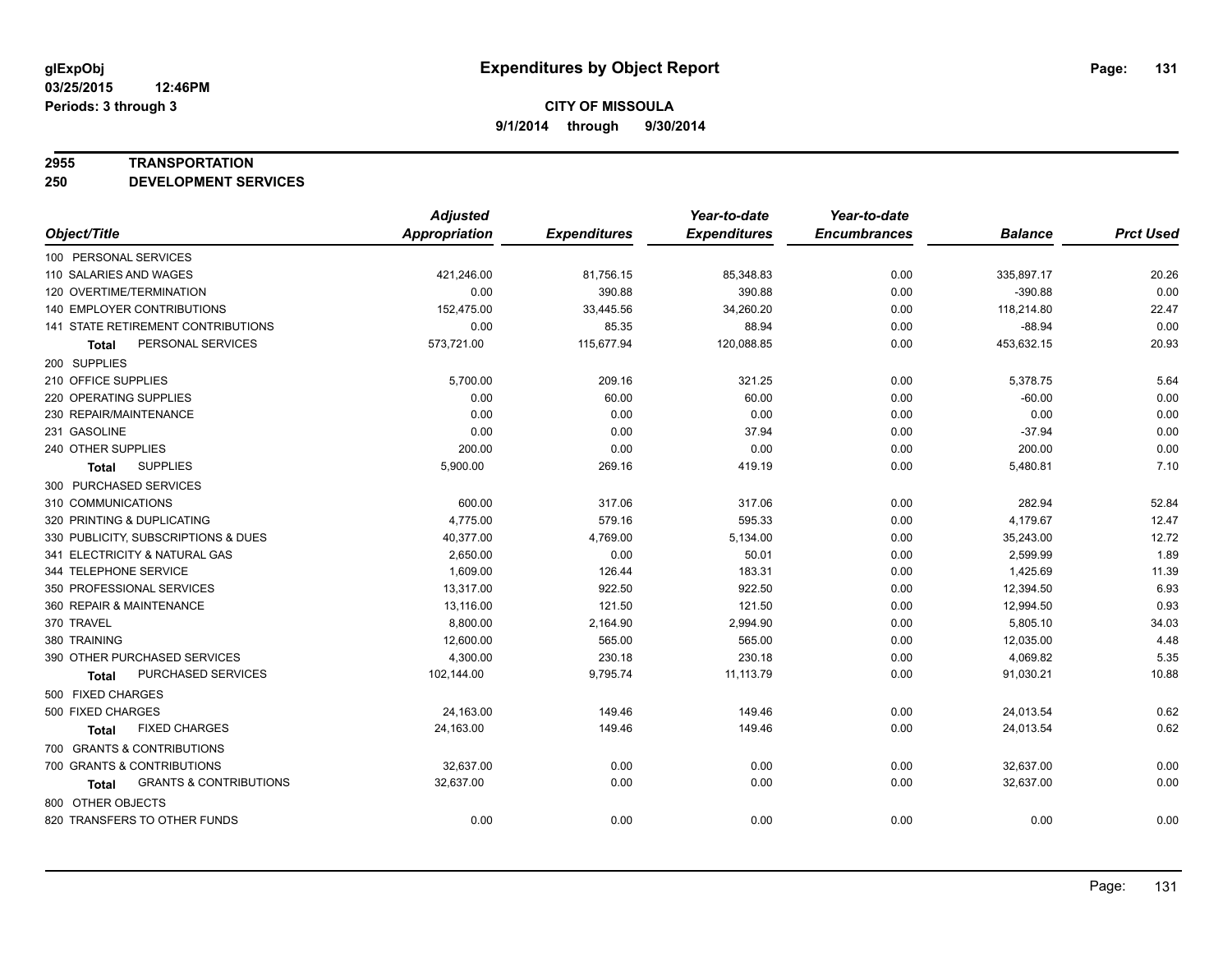#### **2955 TRANSPORTATION**

**250 DEVELOPMENT SERVICES**

|                                            | <b>Adjusted</b>      |                     | Year-to-date        | Year-to-date        |                |                  |
|--------------------------------------------|----------------------|---------------------|---------------------|---------------------|----------------|------------------|
| Object/Title                               | <b>Appropriation</b> | <b>Expenditures</b> | <b>Expenditures</b> | <b>Encumbrances</b> | <b>Balance</b> | <b>Prct Used</b> |
| 100 PERSONAL SERVICES                      |                      |                     |                     |                     |                |                  |
| 110 SALARIES AND WAGES                     | 421,246.00           | 81,756.15           | 85,348.83           | 0.00                | 335,897.17     | 20.26            |
| 120 OVERTIME/TERMINATION                   | 0.00                 | 390.88              | 390.88              | 0.00                | $-390.88$      | 0.00             |
| 140 EMPLOYER CONTRIBUTIONS                 | 152,475.00           | 33,445.56           | 34,260.20           | 0.00                | 118,214.80     | 22.47            |
| 141 STATE RETIREMENT CONTRIBUTIONS         | 0.00                 | 85.35               | 88.94               | 0.00                | $-88.94$       | 0.00             |
| PERSONAL SERVICES<br>Total                 | 573,721.00           | 115,677.94          | 120,088.85          | 0.00                | 453,632.15     | 20.93            |
| 200 SUPPLIES                               |                      |                     |                     |                     |                |                  |
| 210 OFFICE SUPPLIES                        | 5,700.00             | 209.16              | 321.25              | 0.00                | 5,378.75       | 5.64             |
| 220 OPERATING SUPPLIES                     | 0.00                 | 60.00               | 60.00               | 0.00                | $-60.00$       | 0.00             |
| 230 REPAIR/MAINTENANCE                     | 0.00                 | 0.00                | 0.00                | 0.00                | 0.00           | 0.00             |
| 231 GASOLINE                               | 0.00                 | 0.00                | 37.94               | 0.00                | $-37.94$       | 0.00             |
| 240 OTHER SUPPLIES                         | 200.00               | 0.00                | 0.00                | 0.00                | 200.00         | 0.00             |
| <b>SUPPLIES</b><br><b>Total</b>            | 5,900.00             | 269.16              | 419.19              | 0.00                | 5,480.81       | 7.10             |
| 300 PURCHASED SERVICES                     |                      |                     |                     |                     |                |                  |
| 310 COMMUNICATIONS                         | 600.00               | 317.06              | 317.06              | 0.00                | 282.94         | 52.84            |
| 320 PRINTING & DUPLICATING                 | 4,775.00             | 579.16              | 595.33              | 0.00                | 4,179.67       | 12.47            |
| 330 PUBLICITY, SUBSCRIPTIONS & DUES        | 40,377.00            | 4,769.00            | 5,134.00            | 0.00                | 35,243.00      | 12.72            |
| 341 ELECTRICITY & NATURAL GAS              | 2,650.00             | 0.00                | 50.01               | 0.00                | 2,599.99       | 1.89             |
| 344 TELEPHONE SERVICE                      | 1.609.00             | 126.44              | 183.31              | 0.00                | 1,425.69       | 11.39            |
| 350 PROFESSIONAL SERVICES                  | 13,317.00            | 922.50              | 922.50              | 0.00                | 12,394.50      | 6.93             |
| 360 REPAIR & MAINTENANCE                   | 13,116.00            | 121.50              | 121.50              | 0.00                | 12,994.50      | 0.93             |
| 370 TRAVEL                                 | 8,800.00             | 2,164.90            | 2,994.90            | 0.00                | 5,805.10       | 34.03            |
| 380 TRAINING                               | 12,600.00            | 565.00              | 565.00              | 0.00                | 12,035.00      | 4.48             |
| 390 OTHER PURCHASED SERVICES               | 4,300.00             | 230.18              | 230.18              | 0.00                | 4,069.82       | 5.35             |
| PURCHASED SERVICES<br>Total                | 102,144.00           | 9,795.74            | 11,113.79           | 0.00                | 91,030.21      | 10.88            |
| 500 FIXED CHARGES                          |                      |                     |                     |                     |                |                  |
| 500 FIXED CHARGES                          | 24,163.00            | 149.46              | 149.46              | 0.00                | 24,013.54      | 0.62             |
| <b>FIXED CHARGES</b><br><b>Total</b>       | 24,163.00            | 149.46              | 149.46              | 0.00                | 24,013.54      | 0.62             |
| 700 GRANTS & CONTRIBUTIONS                 |                      |                     |                     |                     |                |                  |
| 700 GRANTS & CONTRIBUTIONS                 | 32,637.00            | 0.00                | 0.00                | 0.00                | 32,637.00      | 0.00             |
| <b>GRANTS &amp; CONTRIBUTIONS</b><br>Total | 32,637.00            | 0.00                | 0.00                | 0.00                | 32,637.00      | 0.00             |
| 800 OTHER OBJECTS                          |                      |                     |                     |                     |                |                  |
| 820 TRANSFERS TO OTHER FUNDS               | 0.00                 | 0.00                | 0.00                | 0.00                | 0.00           | 0.00             |
|                                            |                      |                     |                     |                     |                |                  |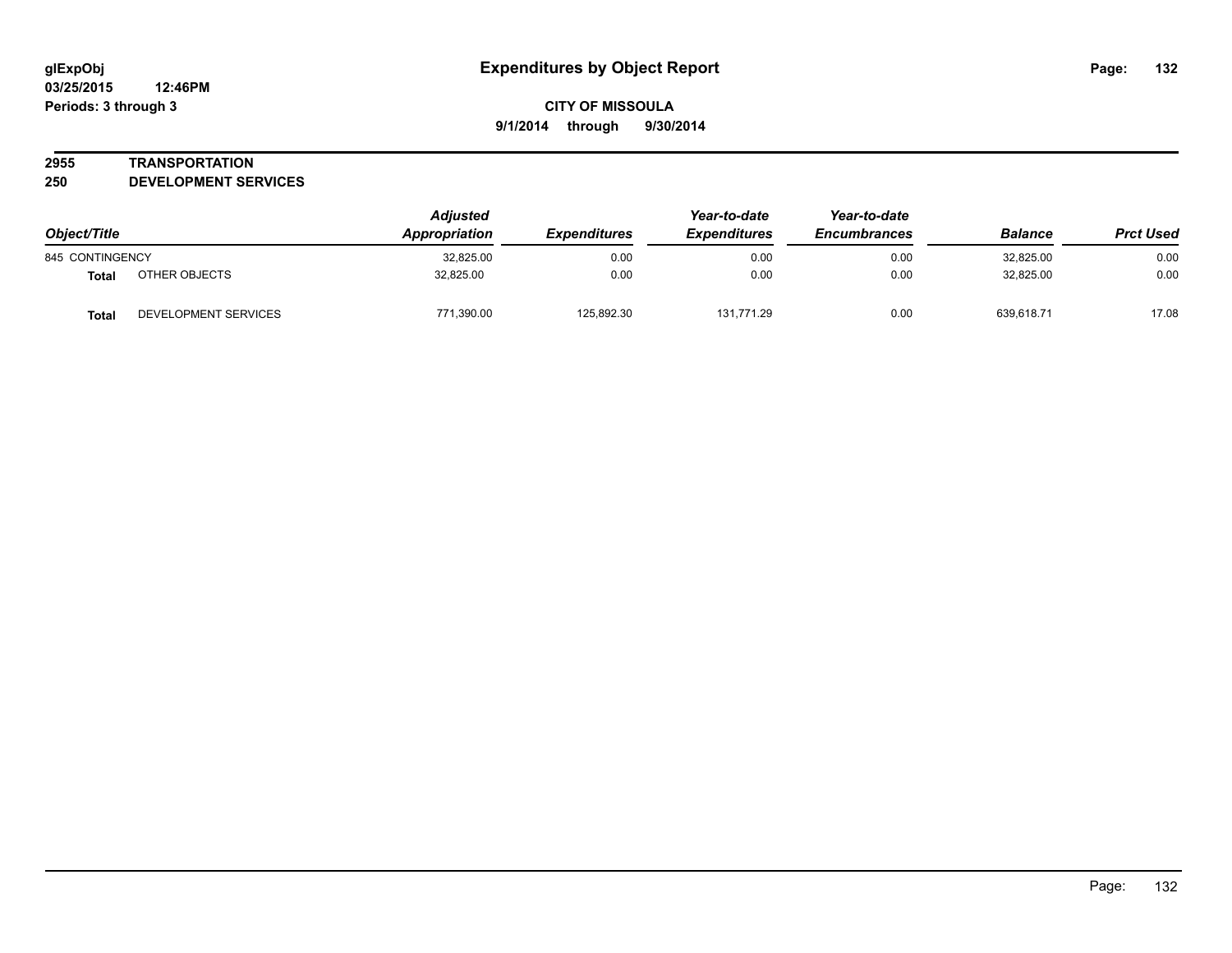#### **2955 TRANSPORTATION**

**250 DEVELOPMENT SERVICES**

| Object/Title                  |                      | <b>Adjusted</b><br>Appropriation | <b>Expenditures</b> | Year-to-date<br><b>Expenditures</b> | Year-to-date<br><b>Encumbrances</b> | <b>Balance</b> | <b>Prct Used</b> |
|-------------------------------|----------------------|----------------------------------|---------------------|-------------------------------------|-------------------------------------|----------------|------------------|
| 845 CONTINGENCY               |                      | 32,825.00                        | 0.00                | 0.00                                | 0.00                                | 32,825.00      | 0.00             |
| OTHER OBJECTS<br><b>Total</b> |                      | 32.825.00                        | 0.00                | 0.00                                | 0.00                                | 32.825.00      | 0.00             |
| <b>Total</b>                  | DEVELOPMENT SERVICES | 771,390.00                       | 125,892.30          | 131.771.29                          | 0.00                                | 639.618.71     | 17.08            |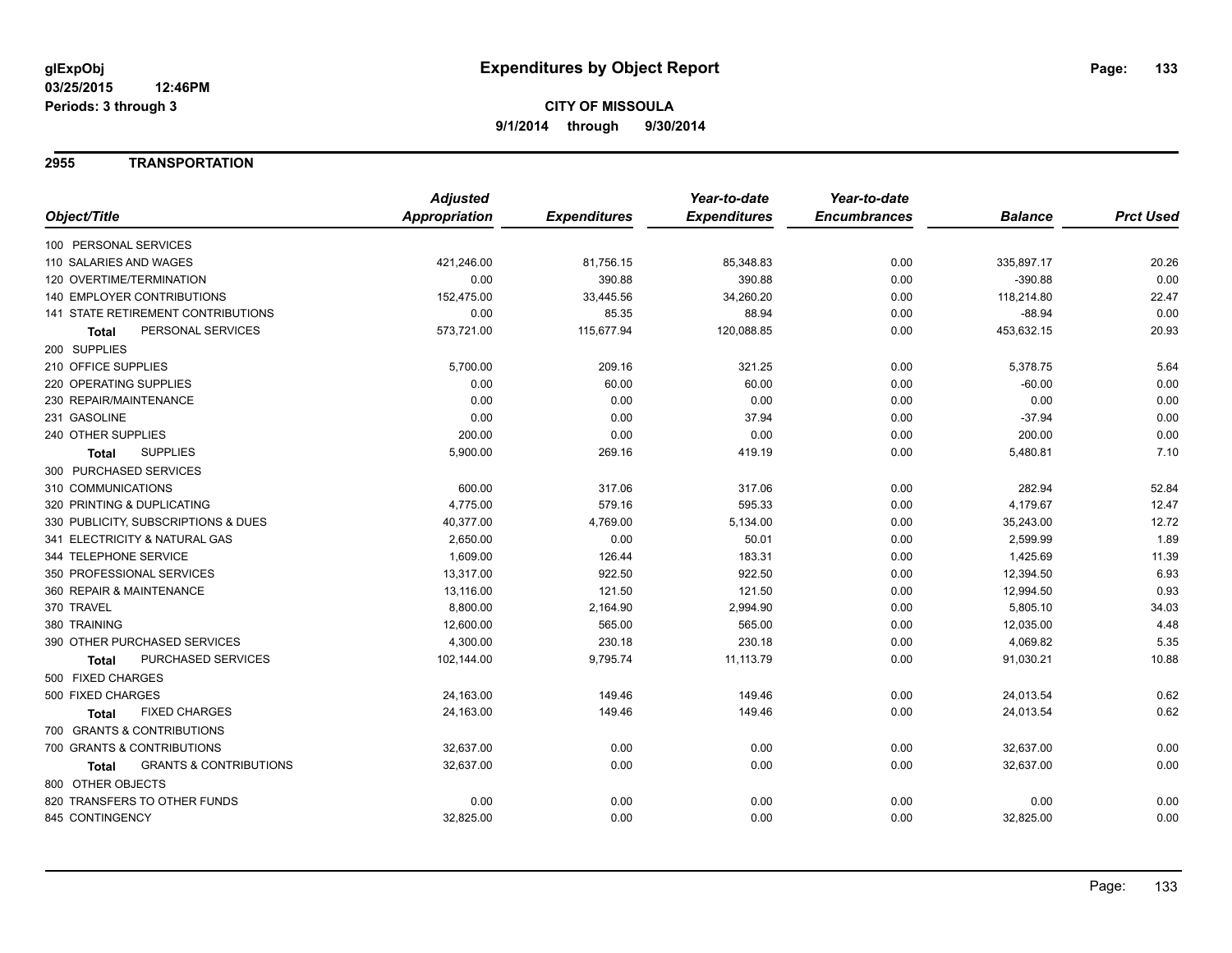## **2955 TRANSPORTATION**

|              |                                            | <b>Adjusted</b>      |                     | Year-to-date        | Year-to-date        |                |                  |
|--------------|--------------------------------------------|----------------------|---------------------|---------------------|---------------------|----------------|------------------|
| Object/Title |                                            | <b>Appropriation</b> | <b>Expenditures</b> | <b>Expenditures</b> | <b>Encumbrances</b> | <b>Balance</b> | <b>Prct Used</b> |
|              | 100 PERSONAL SERVICES                      |                      |                     |                     |                     |                |                  |
|              | 110 SALARIES AND WAGES                     | 421,246.00           | 81,756.15           | 85,348.83           | 0.00                | 335,897.17     | 20.26            |
|              | 120 OVERTIME/TERMINATION                   | 0.00                 | 390.88              | 390.88              | 0.00                | $-390.88$      | 0.00             |
|              | <b>140 EMPLOYER CONTRIBUTIONS</b>          | 152,475.00           | 33,445.56           | 34,260.20           | 0.00                | 118,214.80     | 22.47            |
|              | <b>141 STATE RETIREMENT CONTRIBUTIONS</b>  | 0.00                 | 85.35               | 88.94               | 0.00                | $-88.94$       | 0.00             |
|              | PERSONAL SERVICES<br><b>Total</b>          | 573,721.00           | 115,677.94          | 120,088.85          | 0.00                | 453,632.15     | 20.93            |
| 200 SUPPLIES |                                            |                      |                     |                     |                     |                |                  |
|              | 210 OFFICE SUPPLIES                        | 5,700.00             | 209.16              | 321.25              | 0.00                | 5,378.75       | 5.64             |
|              | 220 OPERATING SUPPLIES                     | 0.00                 | 60.00               | 60.00               | 0.00                | $-60.00$       | 0.00             |
|              | 230 REPAIR/MAINTENANCE                     | 0.00                 | 0.00                | 0.00                | 0.00                | 0.00           | 0.00             |
| 231 GASOLINE |                                            | 0.00                 | 0.00                | 37.94               | 0.00                | $-37.94$       | 0.00             |
|              | 240 OTHER SUPPLIES                         | 200.00               | 0.00                | 0.00                | 0.00                | 200.00         | 0.00             |
|              | <b>SUPPLIES</b><br><b>Total</b>            | 5,900.00             | 269.16              | 419.19              | 0.00                | 5,480.81       | 7.10             |
|              | 300 PURCHASED SERVICES                     |                      |                     |                     |                     |                |                  |
|              | 310 COMMUNICATIONS                         | 600.00               | 317.06              | 317.06              | 0.00                | 282.94         | 52.84            |
|              | 320 PRINTING & DUPLICATING                 | 4,775.00             | 579.16              | 595.33              | 0.00                | 4,179.67       | 12.47            |
|              | 330 PUBLICITY, SUBSCRIPTIONS & DUES        | 40,377.00            | 4,769.00            | 5,134.00            | 0.00                | 35,243.00      | 12.72            |
|              | 341 ELECTRICITY & NATURAL GAS              | 2,650.00             | 0.00                | 50.01               | 0.00                | 2,599.99       | 1.89             |
|              | 344 TELEPHONE SERVICE                      | 1,609.00             | 126.44              | 183.31              | 0.00                | 1,425.69       | 11.39            |
|              | 350 PROFESSIONAL SERVICES                  | 13,317.00            | 922.50              | 922.50              | 0.00                | 12,394.50      | 6.93             |
|              | 360 REPAIR & MAINTENANCE                   | 13,116.00            | 121.50              | 121.50              | 0.00                | 12,994.50      | 0.93             |
| 370 TRAVEL   |                                            | 8,800.00             | 2,164.90            | 2,994.90            | 0.00                | 5,805.10       | 34.03            |
| 380 TRAINING |                                            | 12,600.00            | 565.00              | 565.00              | 0.00                | 12,035.00      | 4.48             |
|              | 390 OTHER PURCHASED SERVICES               | 4,300.00             | 230.18              | 230.18              | 0.00                | 4,069.82       | 5.35             |
|              | PURCHASED SERVICES<br><b>Total</b>         | 102,144.00           | 9,795.74            | 11,113.79           | 0.00                | 91,030.21      | 10.88            |
|              | 500 FIXED CHARGES                          |                      |                     |                     |                     |                |                  |
|              | 500 FIXED CHARGES                          | 24,163.00            | 149.46              | 149.46              | 0.00                | 24,013.54      | 0.62             |
|              | <b>FIXED CHARGES</b><br>Total              | 24,163.00            | 149.46              | 149.46              | 0.00                | 24,013.54      | 0.62             |
|              | 700 GRANTS & CONTRIBUTIONS                 |                      |                     |                     |                     |                |                  |
|              | 700 GRANTS & CONTRIBUTIONS                 | 32,637.00            | 0.00                | 0.00                | 0.00                | 32,637.00      | 0.00             |
|              | <b>GRANTS &amp; CONTRIBUTIONS</b><br>Total | 32,637.00            | 0.00                | 0.00                | 0.00                | 32,637.00      | 0.00             |
|              | 800 OTHER OBJECTS                          |                      |                     |                     |                     |                |                  |
|              | 820 TRANSFERS TO OTHER FUNDS               | 0.00                 | 0.00                | 0.00                | 0.00                | 0.00           | 0.00             |
|              | 845 CONTINGENCY                            | 32,825.00            | 0.00                | 0.00                | 0.00                | 32,825.00      | 0.00             |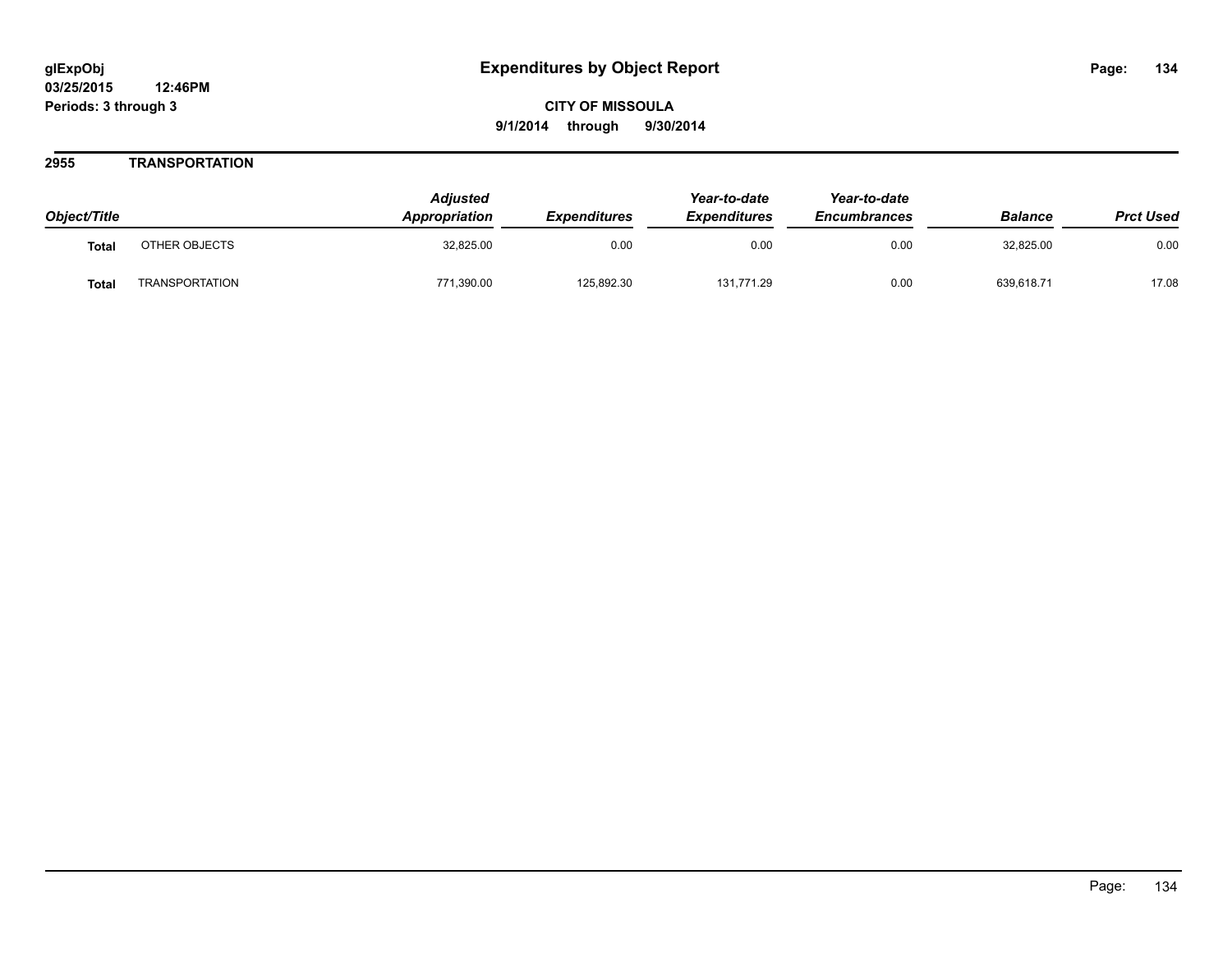## **2955 TRANSPORTATION**

| Object/Title |                       | <b>Adjusted</b><br><b>Appropriation</b> | <b>Expenditures</b> | Year-to-date<br><b>Expenditures</b> | Year-to-date<br><b>Encumbrances</b> | <b>Balance</b> | <b>Prct Used</b> |
|--------------|-----------------------|-----------------------------------------|---------------------|-------------------------------------|-------------------------------------|----------------|------------------|
| <b>Total</b> | OTHER OBJECTS         | 32,825.00                               | 0.00                | 0.00                                | 0.00                                | 32,825.00      | 0.00             |
| <b>Total</b> | <b>TRANSPORTATION</b> | 771,390.00                              | 125,892.30          | 131.771.29                          | 0.00                                | 639,618.71     | 17.08            |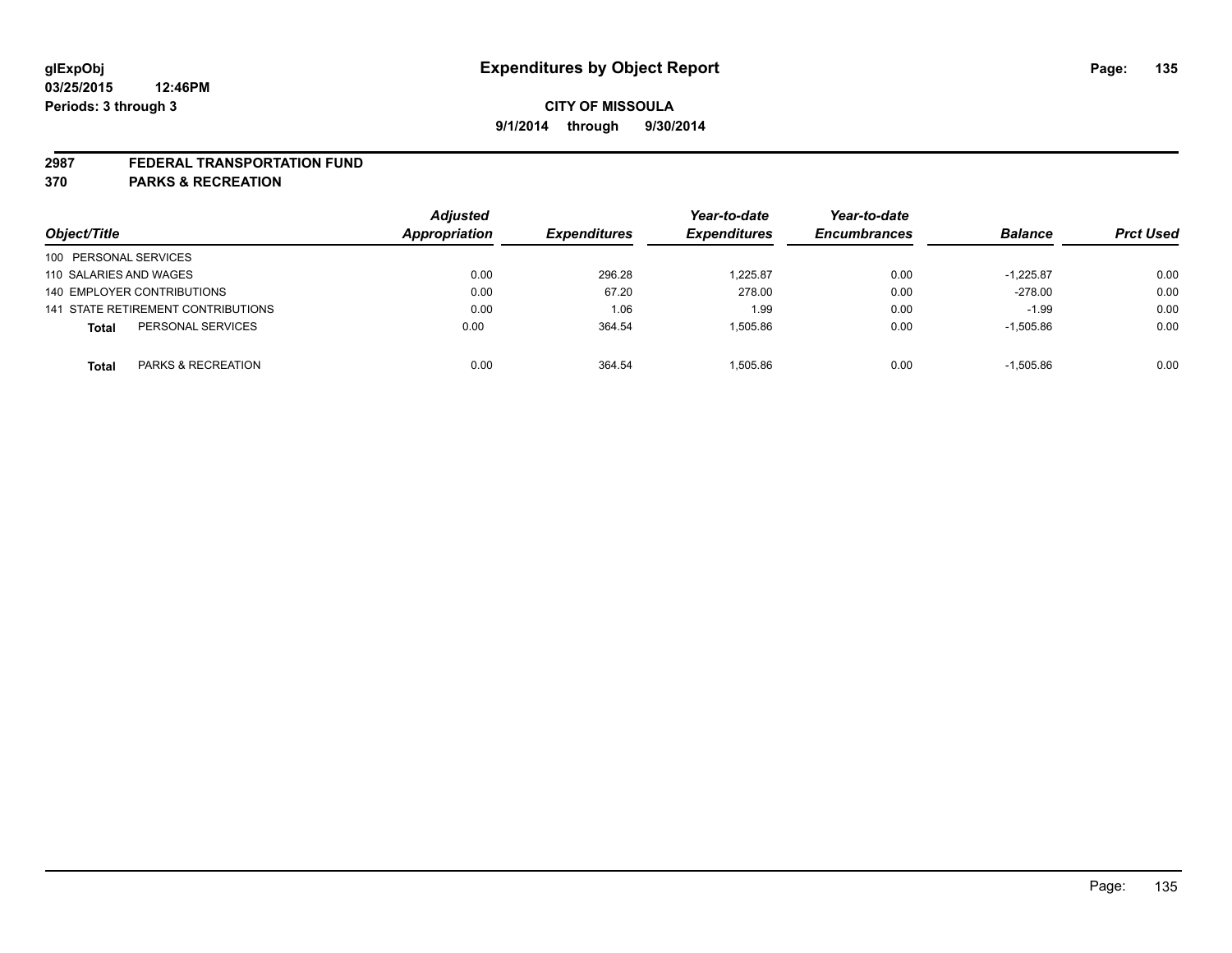#### **2987 FEDERAL TRANSPORTATION FUND**

**370 PARKS & RECREATION**

|                                    | <b>Adjusted</b> |                     | Year-to-date        | Year-to-date        |                |                  |
|------------------------------------|-----------------|---------------------|---------------------|---------------------|----------------|------------------|
| Object/Title                       | Appropriation   | <b>Expenditures</b> | <b>Expenditures</b> | <b>Encumbrances</b> | <b>Balance</b> | <b>Prct Used</b> |
| 100 PERSONAL SERVICES              |                 |                     |                     |                     |                |                  |
| 110 SALARIES AND WAGES             | 0.00            | 296.28              | 1.225.87            | 0.00                | $-1.225.87$    | 0.00             |
| 140 EMPLOYER CONTRIBUTIONS         | 0.00            | 67.20               | 278.00              | 0.00                | $-278.00$      | 0.00             |
| 141 STATE RETIREMENT CONTRIBUTIONS | 0.00            | 1.06                | 1.99                | 0.00                | $-1.99$        | 0.00             |
| PERSONAL SERVICES<br><b>Total</b>  | 0.00            | 364.54              | 1.505.86            | 0.00                | $-1,505.86$    | 0.00             |
| PARKS & RECREATION<br><b>Total</b> | 0.00            | 364.54              | 1.505.86            | 0.00                | $-1.505.86$    | 0.00             |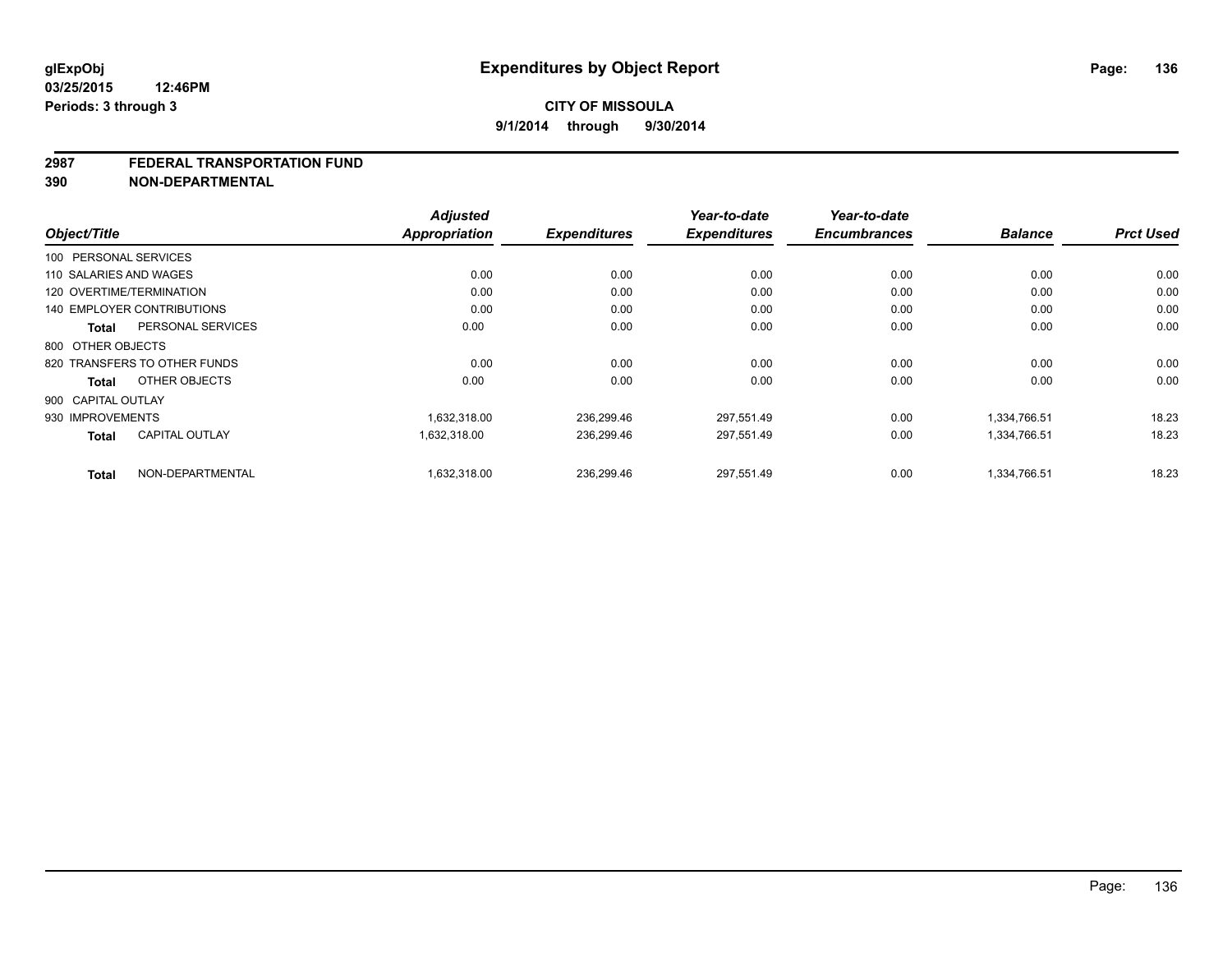#### **2987 FEDERAL TRANSPORTATION FUND**

**390 NON-DEPARTMENTAL**

| Object/Title                          | <b>Adjusted</b><br><b>Appropriation</b> | <b>Expenditures</b> | Year-to-date<br><b>Expenditures</b> | Year-to-date<br><b>Encumbrances</b> | <b>Balance</b> | <b>Prct Used</b> |
|---------------------------------------|-----------------------------------------|---------------------|-------------------------------------|-------------------------------------|----------------|------------------|
|                                       |                                         |                     |                                     |                                     |                |                  |
| 100 PERSONAL SERVICES                 |                                         |                     |                                     |                                     |                |                  |
| 110 SALARIES AND WAGES                | 0.00                                    | 0.00                | 0.00                                | 0.00                                | 0.00           | 0.00             |
| 120 OVERTIME/TERMINATION              | 0.00                                    | 0.00                | 0.00                                | 0.00                                | 0.00           | 0.00             |
| <b>140 EMPLOYER CONTRIBUTIONS</b>     | 0.00                                    | 0.00                | 0.00                                | 0.00                                | 0.00           | 0.00             |
| PERSONAL SERVICES<br><b>Total</b>     | 0.00                                    | 0.00                | 0.00                                | 0.00                                | 0.00           | 0.00             |
| 800 OTHER OBJECTS                     |                                         |                     |                                     |                                     |                |                  |
| 820 TRANSFERS TO OTHER FUNDS          | 0.00                                    | 0.00                | 0.00                                | 0.00                                | 0.00           | 0.00             |
| OTHER OBJECTS<br><b>Total</b>         | 0.00                                    | 0.00                | 0.00                                | 0.00                                | 0.00           | 0.00             |
| 900 CAPITAL OUTLAY                    |                                         |                     |                                     |                                     |                |                  |
| 930 IMPROVEMENTS                      | 1,632,318.00                            | 236,299.46          | 297,551.49                          | 0.00                                | 1,334,766.51   | 18.23            |
| <b>CAPITAL OUTLAY</b><br><b>Total</b> | 1,632,318.00                            | 236,299.46          | 297,551.49                          | 0.00                                | 1,334,766.51   | 18.23            |
| NON-DEPARTMENTAL<br><b>Total</b>      | 1,632,318.00                            | 236,299.46          | 297,551.49                          | 0.00                                | 1,334,766.51   | 18.23            |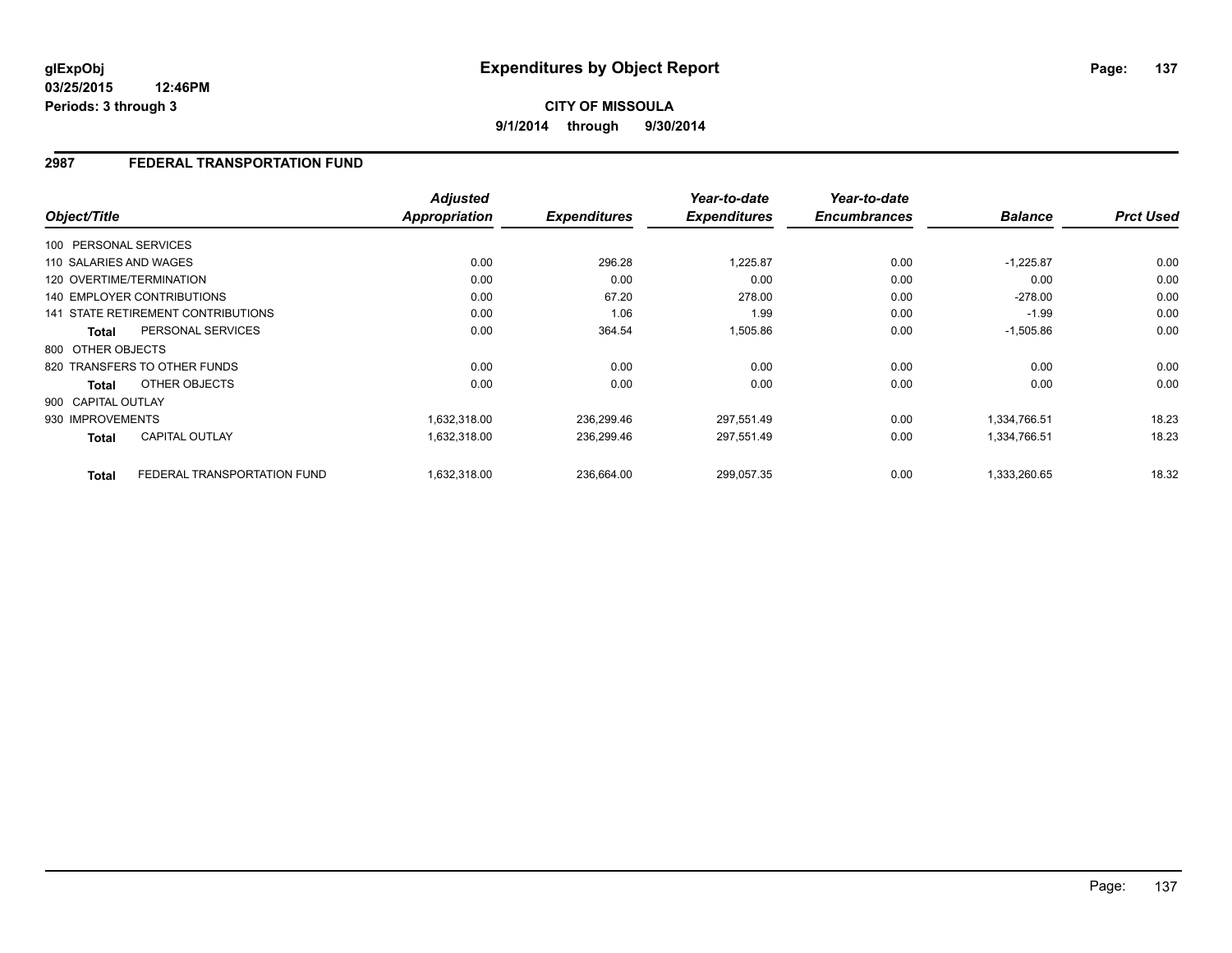**03/25/2015 12:46PM Periods: 3 through 3**

**CITY OF MISSOULA 9/1/2014 through 9/30/2014**

## **2987 FEDERAL TRANSPORTATION FUND**

| Object/Title           |                                    | <b>Adjusted</b><br>Appropriation | <b>Expenditures</b> | Year-to-date<br><b>Expenditures</b> | Year-to-date<br><b>Encumbrances</b> | <b>Balance</b> | <b>Prct Used</b> |
|------------------------|------------------------------------|----------------------------------|---------------------|-------------------------------------|-------------------------------------|----------------|------------------|
|                        |                                    |                                  |                     |                                     |                                     |                |                  |
| 100 PERSONAL SERVICES  |                                    |                                  |                     |                                     |                                     |                |                  |
| 110 SALARIES AND WAGES |                                    | 0.00                             | 296.28              | 1,225.87                            | 0.00                                | $-1,225.87$    | 0.00             |
|                        | 120 OVERTIME/TERMINATION           | 0.00                             | 0.00                | 0.00                                | 0.00                                | 0.00           | 0.00             |
|                        | <b>140 EMPLOYER CONTRIBUTIONS</b>  | 0.00                             | 67.20               | 278.00                              | 0.00                                | $-278.00$      | 0.00             |
|                        | 141 STATE RETIREMENT CONTRIBUTIONS | 0.00                             | 1.06                | 1.99                                | 0.00                                | $-1.99$        | 0.00             |
| <b>Total</b>           | PERSONAL SERVICES                  | 0.00                             | 364.54              | 1,505.86                            | 0.00                                | $-1,505.86$    | 0.00             |
| 800 OTHER OBJECTS      |                                    |                                  |                     |                                     |                                     |                |                  |
|                        | 820 TRANSFERS TO OTHER FUNDS       | 0.00                             | 0.00                | 0.00                                | 0.00                                | 0.00           | 0.00             |
| <b>Total</b>           | OTHER OBJECTS                      | 0.00                             | 0.00                | 0.00                                | 0.00                                | 0.00           | 0.00             |
| 900 CAPITAL OUTLAY     |                                    |                                  |                     |                                     |                                     |                |                  |
| 930 IMPROVEMENTS       |                                    | 1,632,318.00                     | 236,299.46          | 297,551.49                          | 0.00                                | 1,334,766.51   | 18.23            |
| <b>Total</b>           | <b>CAPITAL OUTLAY</b>              | 1,632,318.00                     | 236,299.46          | 297,551.49                          | 0.00                                | 1,334,766.51   | 18.23            |
| <b>Total</b>           | FEDERAL TRANSPORTATION FUND        | 1,632,318.00                     | 236,664.00          | 299,057.35                          | 0.00                                | 1.333.260.65   | 18.32            |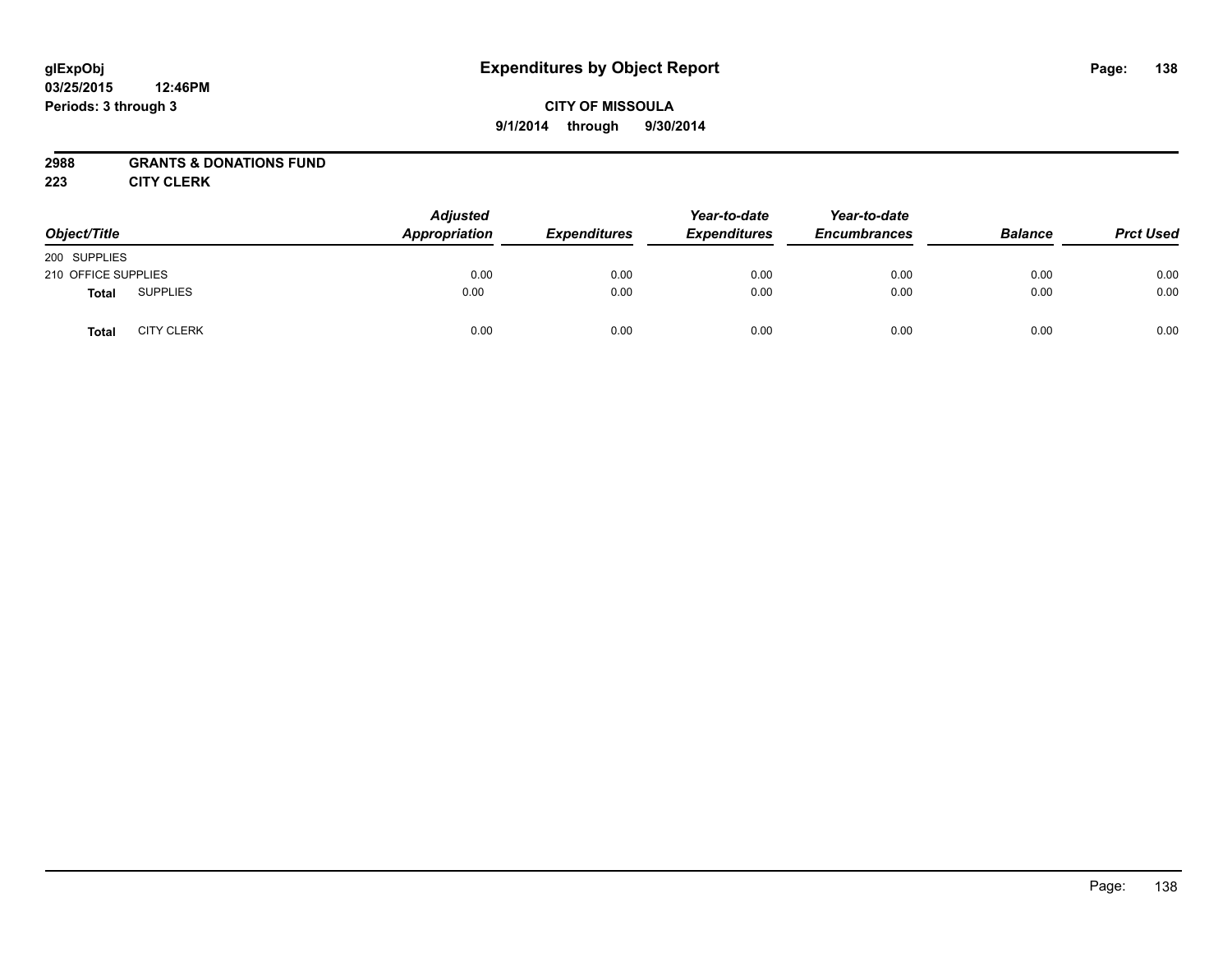#### **03/25/2015 12:46PM Periods: 3 through 3**

# **CITY OF MISSOULA 9/1/2014 through 9/30/2014**

## **2988 GRANTS & DONATIONS FUND**

**223 CITY CLERK**

| Object/Title        |                   | <b>Adjusted</b><br>Appropriation | <b>Expenditures</b> | Year-to-date<br><b>Expenditures</b> | Year-to-date<br><b>Encumbrances</b> | <b>Balance</b> | <b>Prct Used</b> |
|---------------------|-------------------|----------------------------------|---------------------|-------------------------------------|-------------------------------------|----------------|------------------|
| 200 SUPPLIES        |                   |                                  |                     |                                     |                                     |                |                  |
| 210 OFFICE SUPPLIES |                   | 0.00                             | 0.00                | 0.00                                | 0.00                                | 0.00           | 0.00             |
| <b>Total</b>        | <b>SUPPLIES</b>   | 0.00                             | 0.00                | 0.00                                | 0.00                                | 0.00           | 0.00             |
| <b>Total</b>        | <b>CITY CLERK</b> | 0.00                             | 0.00                | 0.00                                | 0.00                                | 0.00           | 0.00             |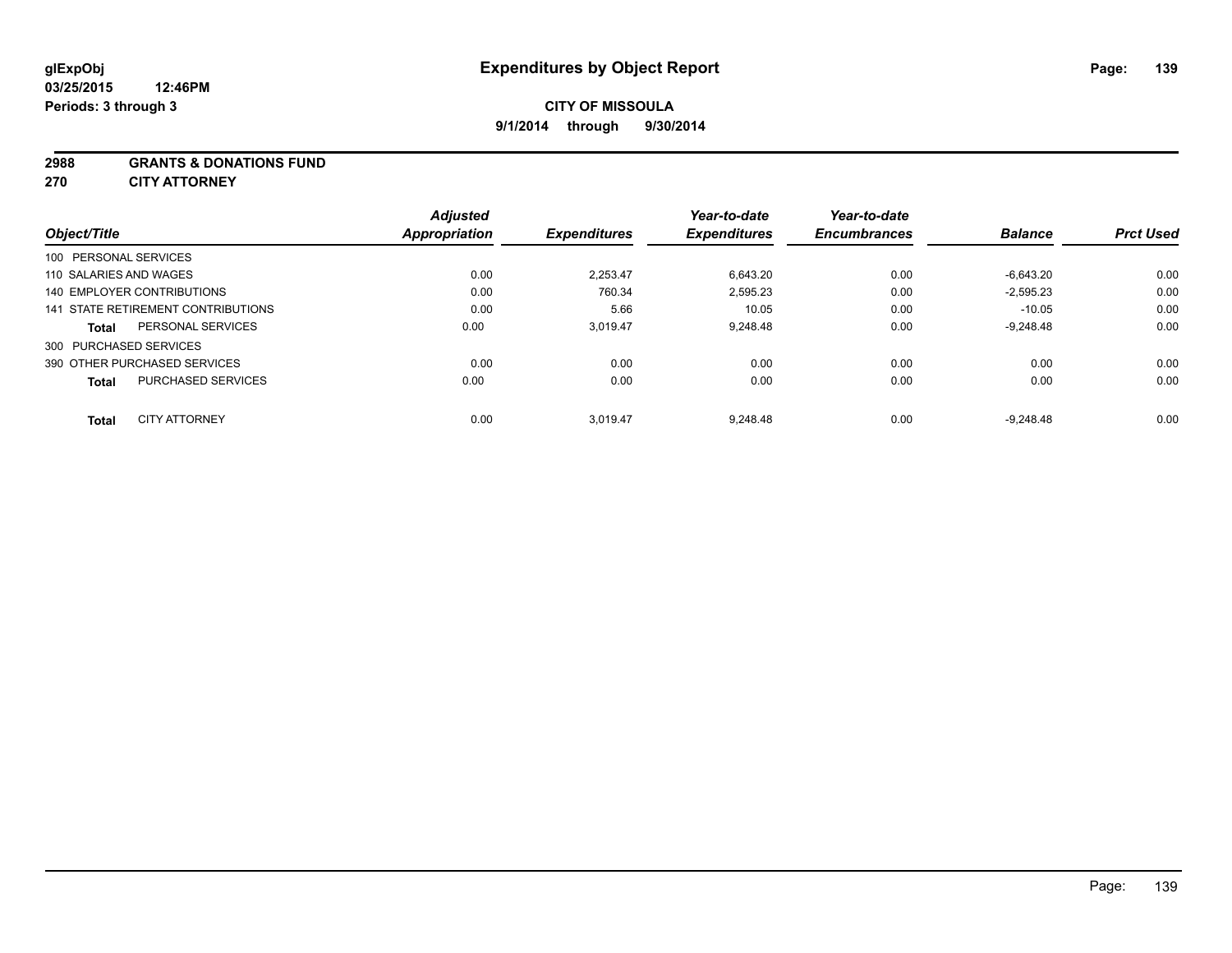#### **2988 GRANTS & DONATIONS FUND**

**270 CITY ATTORNEY**

| Object/Title                              | <b>Adjusted</b><br>Appropriation | <b>Expenditures</b> | Year-to-date<br><b>Expenditures</b> | Year-to-date<br><b>Encumbrances</b> | <b>Balance</b> | <b>Prct Used</b> |
|-------------------------------------------|----------------------------------|---------------------|-------------------------------------|-------------------------------------|----------------|------------------|
| 100 PERSONAL SERVICES                     |                                  |                     |                                     |                                     |                |                  |
| 110 SALARIES AND WAGES                    | 0.00                             | 2.253.47            | 6,643.20                            | 0.00                                | $-6.643.20$    | 0.00             |
| 140 EMPLOYER CONTRIBUTIONS                | 0.00                             | 760.34              | 2,595.23                            | 0.00                                | $-2,595.23$    | 0.00             |
| 141 STATE RETIREMENT CONTRIBUTIONS        | 0.00                             | 5.66                | 10.05                               | 0.00                                | $-10.05$       | 0.00             |
| PERSONAL SERVICES<br><b>Total</b>         | 0.00                             | 3.019.47            | 9.248.48                            | 0.00                                | $-9.248.48$    | 0.00             |
| 300 PURCHASED SERVICES                    |                                  |                     |                                     |                                     |                |                  |
| 390 OTHER PURCHASED SERVICES              | 0.00                             | 0.00                | 0.00                                | 0.00                                | 0.00           | 0.00             |
| <b>PURCHASED SERVICES</b><br><b>Total</b> | 0.00                             | 0.00                | 0.00                                | 0.00                                | 0.00           | 0.00             |
|                                           |                                  |                     |                                     |                                     |                |                  |
| <b>CITY ATTORNEY</b><br><b>Total</b>      | 0.00                             | 3.019.47            | 9.248.48                            | 0.00                                | $-9.248.48$    | 0.00             |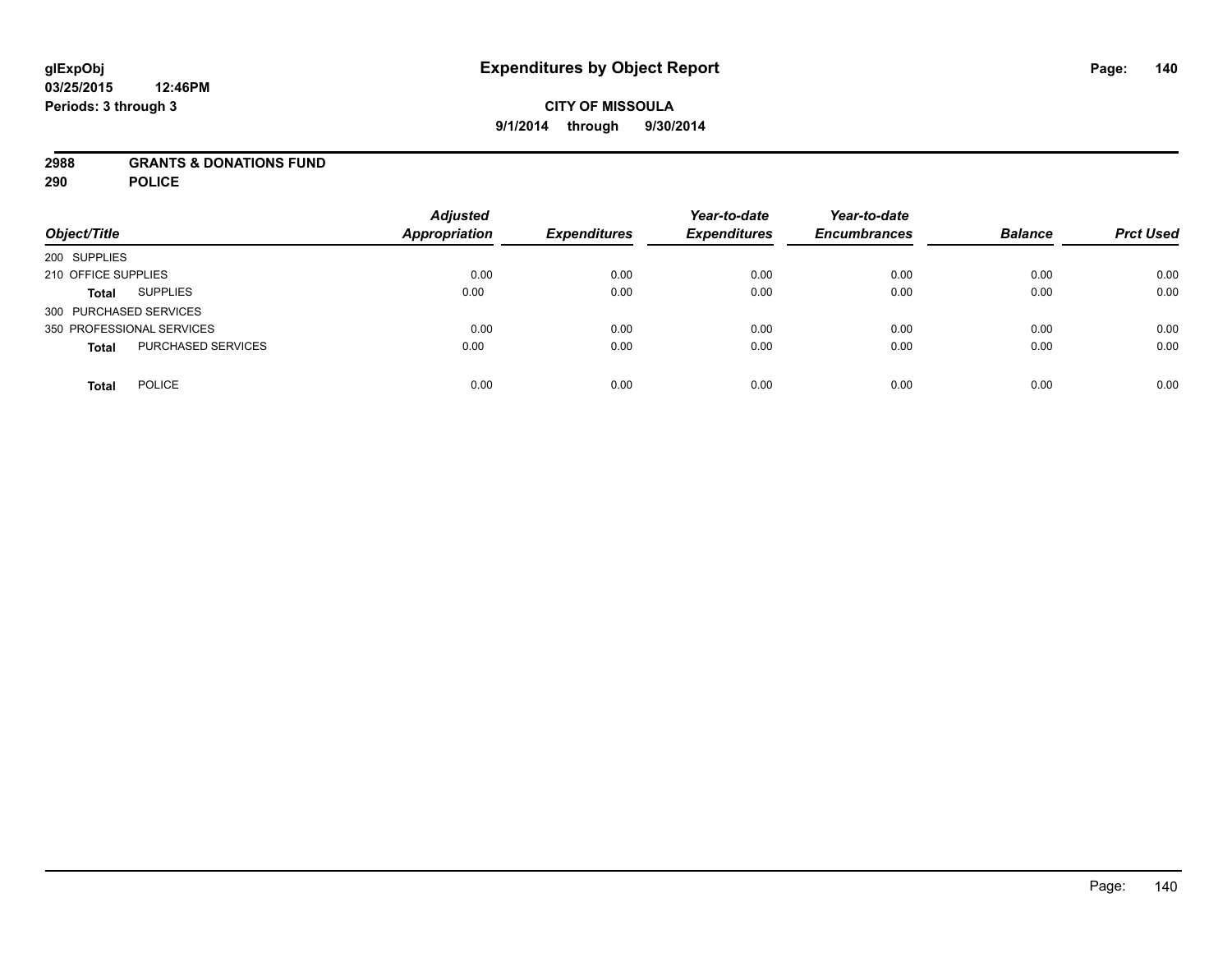## **2988 GRANTS & DONATIONS FUND**

**290 POLICE**

| Object/Title                       | <b>Adjusted</b><br><b>Appropriation</b> | <b>Expenditures</b> | Year-to-date<br><b>Expenditures</b> | Year-to-date<br><b>Encumbrances</b> | <b>Balance</b> | <b>Prct Used</b> |
|------------------------------------|-----------------------------------------|---------------------|-------------------------------------|-------------------------------------|----------------|------------------|
| 200 SUPPLIES                       |                                         |                     |                                     |                                     |                |                  |
| 210 OFFICE SUPPLIES                | 0.00                                    | 0.00                | 0.00                                | 0.00                                | 0.00           | 0.00             |
| <b>SUPPLIES</b><br><b>Total</b>    | 0.00                                    | 0.00                | 0.00                                | 0.00                                | 0.00           | 0.00             |
| 300 PURCHASED SERVICES             |                                         |                     |                                     |                                     |                |                  |
| 350 PROFESSIONAL SERVICES          | 0.00                                    | 0.00                | 0.00                                | 0.00                                | 0.00           | 0.00             |
| PURCHASED SERVICES<br><b>Total</b> | 0.00                                    | 0.00                | 0.00                                | 0.00                                | 0.00           | 0.00             |
| <b>POLICE</b><br><b>Total</b>      | 0.00                                    | 0.00                | 0.00                                | 0.00                                | 0.00           | 0.00             |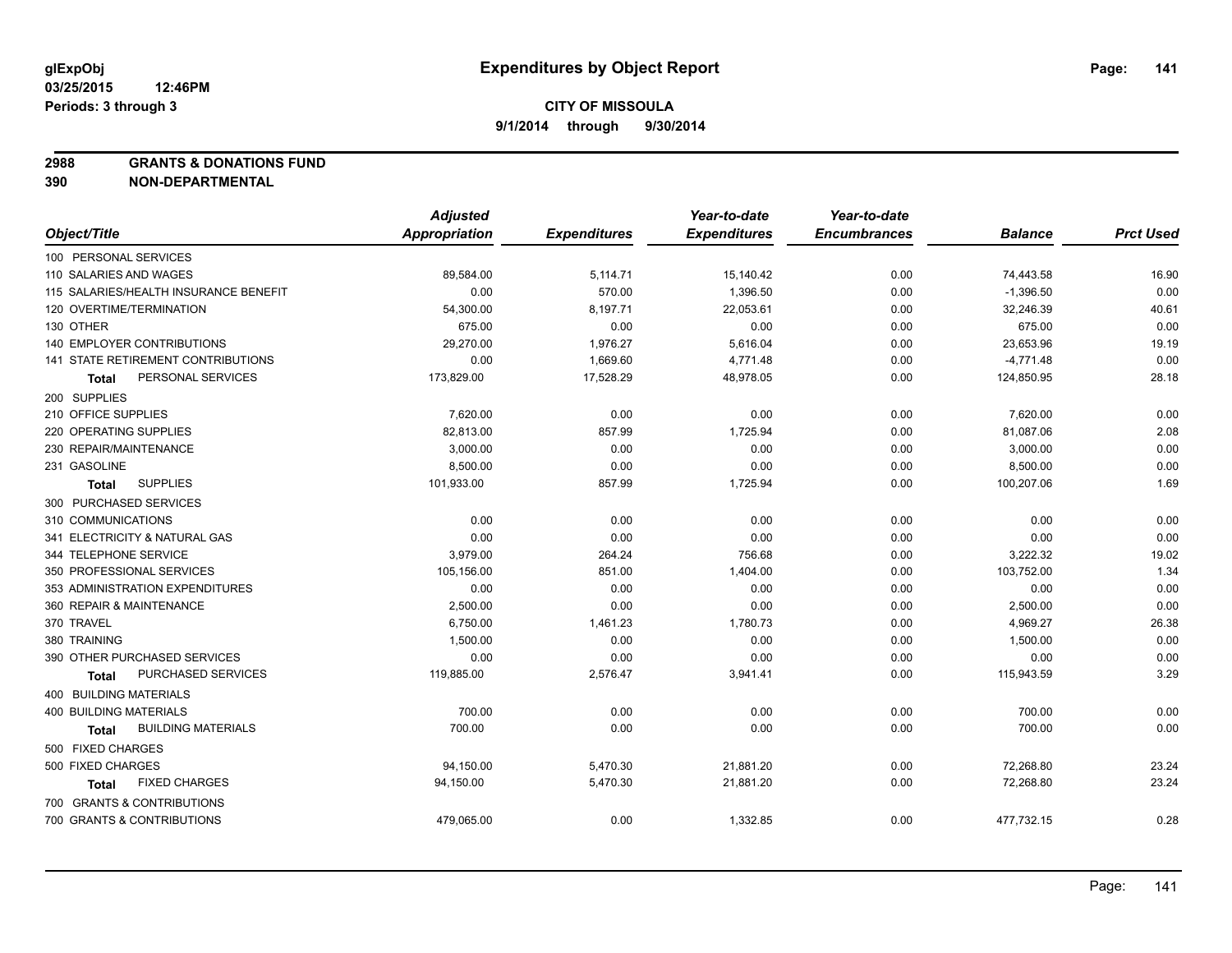**2988 GRANTS & DONATIONS FUND**

**390 NON-DEPARTMENTAL**

|                                           | <b>Adjusted</b>      |                     | Year-to-date        | Year-to-date        |                |                  |
|-------------------------------------------|----------------------|---------------------|---------------------|---------------------|----------------|------------------|
| Object/Title                              | <b>Appropriation</b> | <b>Expenditures</b> | <b>Expenditures</b> | <b>Encumbrances</b> | <b>Balance</b> | <b>Prct Used</b> |
| 100 PERSONAL SERVICES                     |                      |                     |                     |                     |                |                  |
| 110 SALARIES AND WAGES                    | 89,584.00            | 5,114.71            | 15,140.42           | 0.00                | 74,443.58      | 16.90            |
| 115 SALARIES/HEALTH INSURANCE BENEFIT     | 0.00                 | 570.00              | 1,396.50            | 0.00                | $-1,396.50$    | 0.00             |
| 120 OVERTIME/TERMINATION                  | 54,300.00            | 8,197.71            | 22,053.61           | 0.00                | 32,246.39      | 40.61            |
| 130 OTHER                                 | 675.00               | 0.00                | 0.00                | 0.00                | 675.00         | 0.00             |
| <b>140 EMPLOYER CONTRIBUTIONS</b>         | 29,270.00            | 1,976.27            | 5,616.04            | 0.00                | 23,653.96      | 19.19            |
| 141 STATE RETIREMENT CONTRIBUTIONS        | 0.00                 | 1,669.60            | 4,771.48            | 0.00                | $-4,771.48$    | 0.00             |
| PERSONAL SERVICES<br>Total                | 173,829.00           | 17,528.29           | 48,978.05           | 0.00                | 124,850.95     | 28.18            |
| 200 SUPPLIES                              |                      |                     |                     |                     |                |                  |
| 210 OFFICE SUPPLIES                       | 7,620.00             | 0.00                | 0.00                | 0.00                | 7,620.00       | 0.00             |
| 220 OPERATING SUPPLIES                    | 82,813.00            | 857.99              | 1,725.94            | 0.00                | 81,087.06      | 2.08             |
| 230 REPAIR/MAINTENANCE                    | 3,000.00             | 0.00                | 0.00                | 0.00                | 3,000.00       | 0.00             |
| 231 GASOLINE                              | 8,500.00             | 0.00                | 0.00                | 0.00                | 8,500.00       | 0.00             |
| <b>SUPPLIES</b><br><b>Total</b>           | 101,933.00           | 857.99              | 1,725.94            | 0.00                | 100,207.06     | 1.69             |
| 300 PURCHASED SERVICES                    |                      |                     |                     |                     |                |                  |
| 310 COMMUNICATIONS                        | 0.00                 | 0.00                | 0.00                | 0.00                | 0.00           | 0.00             |
| 341 ELECTRICITY & NATURAL GAS             | 0.00                 | 0.00                | 0.00                | 0.00                | 0.00           | 0.00             |
| 344 TELEPHONE SERVICE                     | 3,979.00             | 264.24              | 756.68              | 0.00                | 3,222.32       | 19.02            |
| 350 PROFESSIONAL SERVICES                 | 105,156.00           | 851.00              | 1,404.00            | 0.00                | 103,752.00     | 1.34             |
| 353 ADMINISTRATION EXPENDITURES           | 0.00                 | 0.00                | 0.00                | 0.00                | 0.00           | 0.00             |
| 360 REPAIR & MAINTENANCE                  | 2,500.00             | 0.00                | 0.00                | 0.00                | 2,500.00       | 0.00             |
| 370 TRAVEL                                | 6,750.00             | 1,461.23            | 1,780.73            | 0.00                | 4,969.27       | 26.38            |
| 380 TRAINING                              | 1,500.00             | 0.00                | 0.00                | 0.00                | 1,500.00       | 0.00             |
| 390 OTHER PURCHASED SERVICES              | 0.00                 | 0.00                | 0.00                | 0.00                | 0.00           | 0.00             |
| PURCHASED SERVICES<br>Total               | 119,885.00           | 2,576.47            | 3,941.41            | 0.00                | 115,943.59     | 3.29             |
| 400 BUILDING MATERIALS                    |                      |                     |                     |                     |                |                  |
| <b>400 BUILDING MATERIALS</b>             | 700.00               | 0.00                | 0.00                | 0.00                | 700.00         | 0.00             |
| <b>BUILDING MATERIALS</b><br><b>Total</b> | 700.00               | 0.00                | 0.00                | 0.00                | 700.00         | 0.00             |
| 500 FIXED CHARGES                         |                      |                     |                     |                     |                |                  |
| 500 FIXED CHARGES                         | 94,150.00            | 5,470.30            | 21,881.20           | 0.00                | 72,268.80      | 23.24            |
| <b>FIXED CHARGES</b><br>Total             | 94,150.00            | 5,470.30            | 21,881.20           | 0.00                | 72,268.80      | 23.24            |
| 700 GRANTS & CONTRIBUTIONS                |                      |                     |                     |                     |                |                  |
| 700 GRANTS & CONTRIBUTIONS                | 479,065.00           | 0.00                | 1,332.85            | 0.00                | 477,732.15     | 0.28             |
|                                           |                      |                     |                     |                     |                |                  |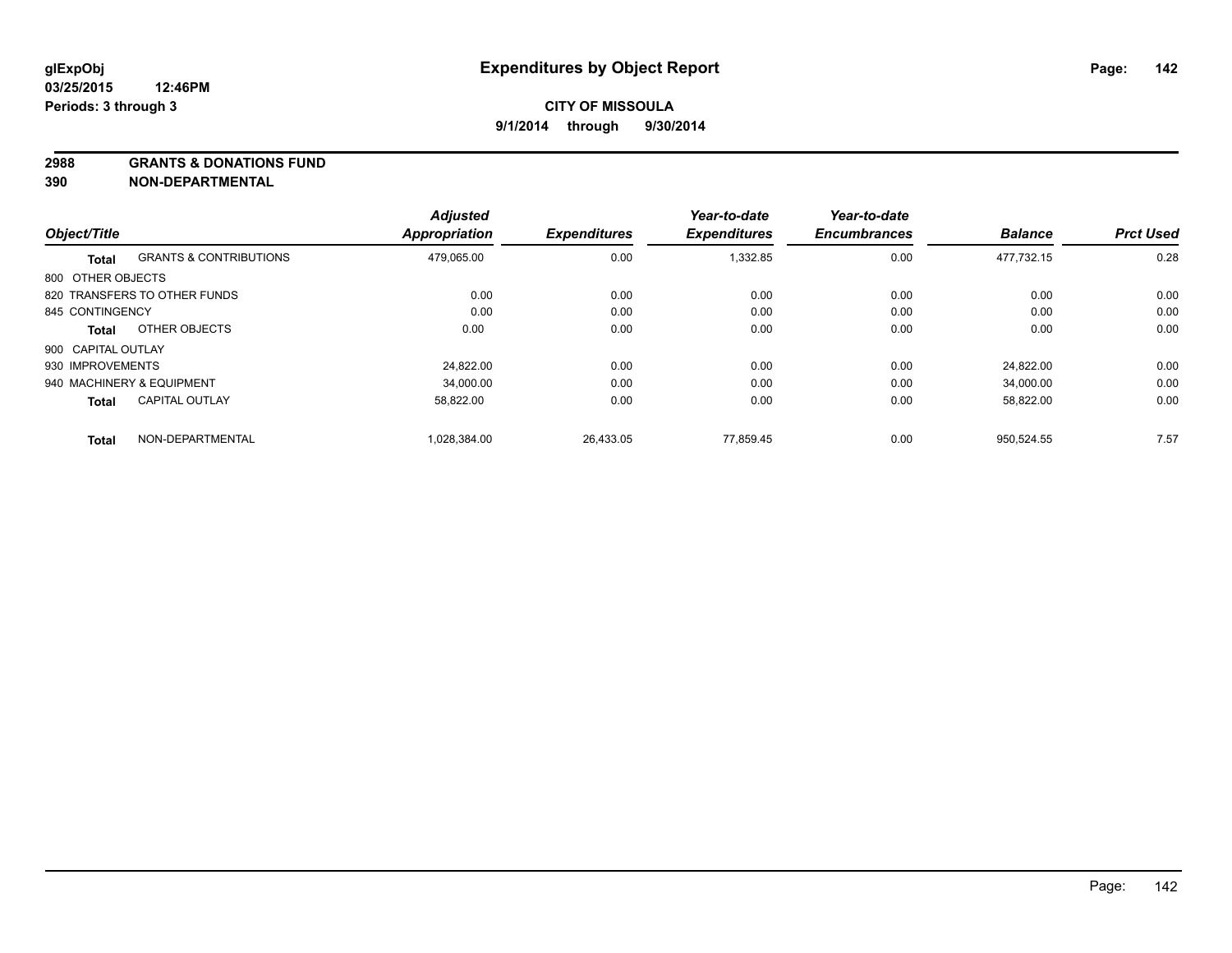#### **2988 GRANTS & DONATIONS FUND**

**390 NON-DEPARTMENTAL**

|                    |                                   | <b>Adjusted</b>      |                     | Year-to-date        | Year-to-date        |                |                  |
|--------------------|-----------------------------------|----------------------|---------------------|---------------------|---------------------|----------------|------------------|
| Object/Title       |                                   | <b>Appropriation</b> | <b>Expenditures</b> | <b>Expenditures</b> | <b>Encumbrances</b> | <b>Balance</b> | <b>Prct Used</b> |
| Total              | <b>GRANTS &amp; CONTRIBUTIONS</b> | 479.065.00           | 0.00                | 1,332.85            | 0.00                | 477.732.15     | 0.28             |
| 800 OTHER OBJECTS  |                                   |                      |                     |                     |                     |                |                  |
|                    | 820 TRANSFERS TO OTHER FUNDS      | 0.00                 | 0.00                | 0.00                | 0.00                | 0.00           | 0.00             |
| 845 CONTINGENCY    |                                   | 0.00                 | 0.00                | 0.00                | 0.00                | 0.00           | 0.00             |
| Total              | OTHER OBJECTS                     | 0.00                 | 0.00                | 0.00                | 0.00                | 0.00           | 0.00             |
| 900 CAPITAL OUTLAY |                                   |                      |                     |                     |                     |                |                  |
| 930 IMPROVEMENTS   |                                   | 24.822.00            | 0.00                | 0.00                | 0.00                | 24.822.00      | 0.00             |
|                    | 940 MACHINERY & EQUIPMENT         | 34.000.00            | 0.00                | 0.00                | 0.00                | 34.000.00      | 0.00             |
| <b>Total</b>       | <b>CAPITAL OUTLAY</b>             | 58,822.00            | 0.00                | 0.00                | 0.00                | 58,822.00      | 0.00             |
| <b>Total</b>       | NON-DEPARTMENTAL                  | 1,028,384.00         | 26,433.05           | 77.859.45           | 0.00                | 950.524.55     | 7.57             |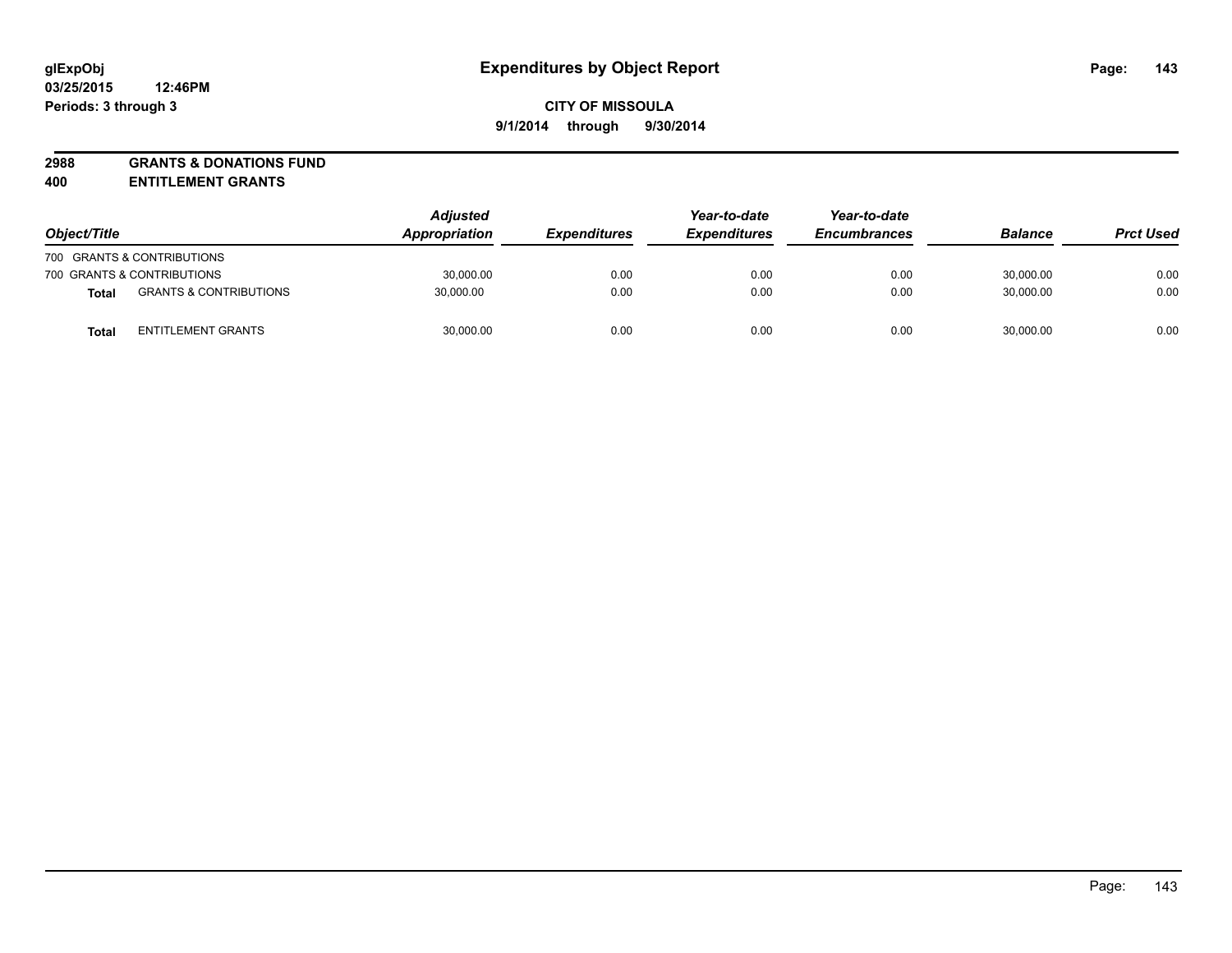# **2988 GRANTS & DONATIONS FUND**

**400 ENTITLEMENT GRANTS**

| Object/Title               |                                   | <b>Adjusted</b><br><b>Appropriation</b> | <i><b>Expenditures</b></i> | Year-to-date<br><b>Expenditures</b> | Year-to-date<br><b>Encumbrances</b> | <b>Balance</b> | <b>Prct Used</b> |
|----------------------------|-----------------------------------|-----------------------------------------|----------------------------|-------------------------------------|-------------------------------------|----------------|------------------|
|                            | 700 GRANTS & CONTRIBUTIONS        |                                         |                            |                                     |                                     |                |                  |
| 700 GRANTS & CONTRIBUTIONS |                                   | 30,000.00                               | 0.00                       | 0.00                                | 0.00                                | 30,000.00      | 0.00             |
| <b>Total</b>               | <b>GRANTS &amp; CONTRIBUTIONS</b> | 30,000.00                               | 0.00                       | 0.00                                | 0.00                                | 30.000.00      | 0.00             |
| <b>Total</b>               | <b>ENTITLEMENT GRANTS</b>         | 30,000.00                               | 0.00                       | 0.00                                | 0.00                                | 30,000.00      | 0.00             |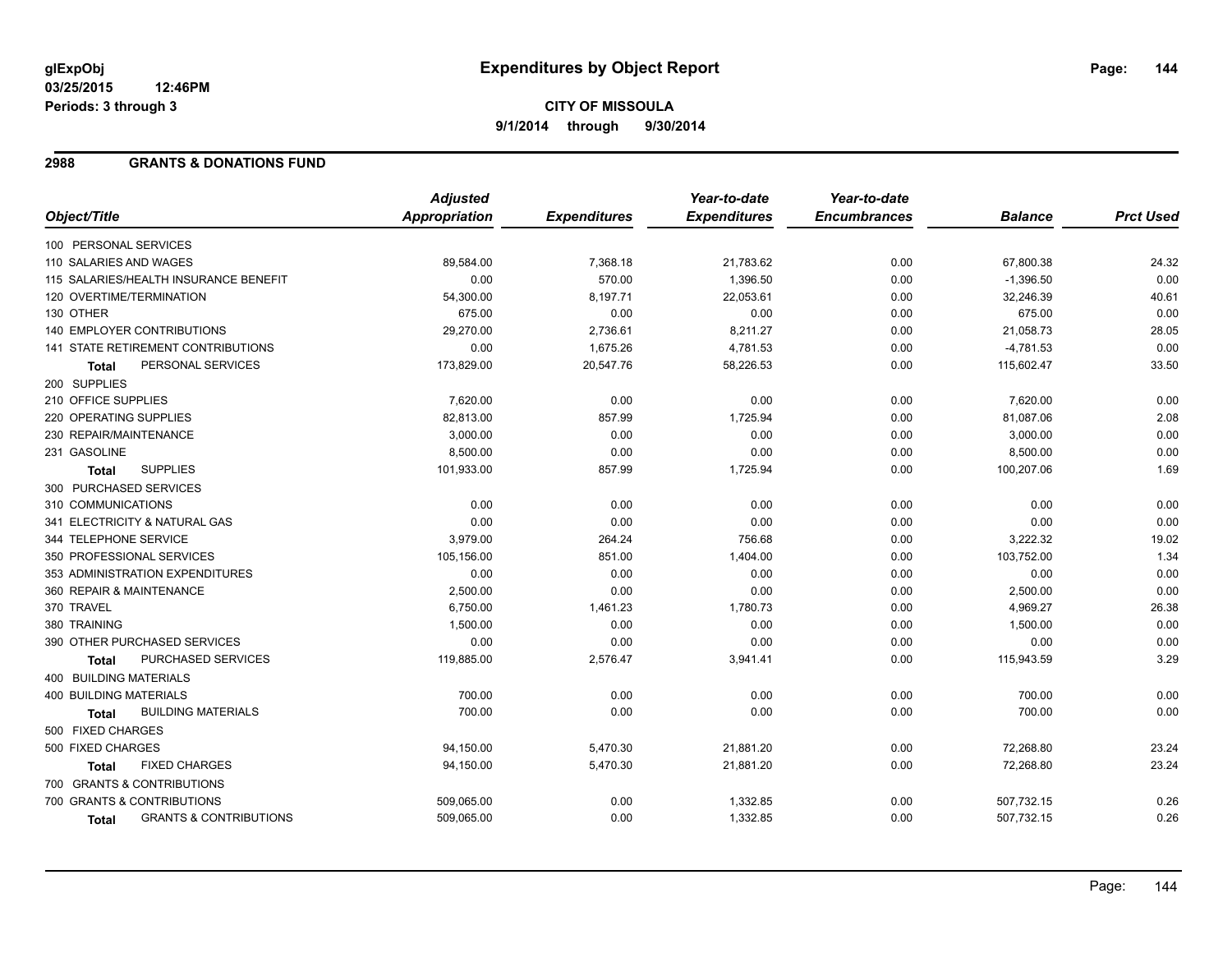#### **03/25/2015 12:46PM Periods: 3 through 3**

# **CITY OF MISSOULA 9/1/2014 through 9/30/2014**

### **2988 GRANTS & DONATIONS FUND**

|                                                   | <b>Adjusted</b>      |                     | Year-to-date        | Year-to-date        |                |                  |
|---------------------------------------------------|----------------------|---------------------|---------------------|---------------------|----------------|------------------|
| Object/Title                                      | <b>Appropriation</b> | <b>Expenditures</b> | <b>Expenditures</b> | <b>Encumbrances</b> | <b>Balance</b> | <b>Prct Used</b> |
| 100 PERSONAL SERVICES                             |                      |                     |                     |                     |                |                  |
| 110 SALARIES AND WAGES                            | 89,584.00            | 7,368.18            | 21,783.62           | 0.00                | 67,800.38      | 24.32            |
| 115 SALARIES/HEALTH INSURANCE BENEFIT             | 0.00                 | 570.00              | 1,396.50            | 0.00                | $-1,396.50$    | 0.00             |
| 120 OVERTIME/TERMINATION                          | 54,300.00            | 8,197.71            | 22,053.61           | 0.00                | 32,246.39      | 40.61            |
| 130 OTHER                                         | 675.00               | 0.00                | 0.00                | 0.00                | 675.00         | 0.00             |
| <b>140 EMPLOYER CONTRIBUTIONS</b>                 | 29,270.00            | 2,736.61            | 8,211.27            | 0.00                | 21,058.73      | 28.05            |
| <b>141 STATE RETIREMENT CONTRIBUTIONS</b>         | 0.00                 | 1,675.26            | 4,781.53            | 0.00                | $-4,781.53$    | 0.00             |
| PERSONAL SERVICES<br><b>Total</b>                 | 173,829.00           | 20,547.76           | 58,226.53           | 0.00                | 115,602.47     | 33.50            |
| 200 SUPPLIES                                      |                      |                     |                     |                     |                |                  |
| 210 OFFICE SUPPLIES                               | 7,620.00             | 0.00                | 0.00                | 0.00                | 7,620.00       | 0.00             |
| 220 OPERATING SUPPLIES                            | 82,813.00            | 857.99              | 1,725.94            | 0.00                | 81,087.06      | 2.08             |
| 230 REPAIR/MAINTENANCE                            | 3,000.00             | 0.00                | 0.00                | 0.00                | 3,000.00       | 0.00             |
| 231 GASOLINE                                      | 8,500.00             | 0.00                | 0.00                | 0.00                | 8,500.00       | 0.00             |
| <b>SUPPLIES</b><br><b>Total</b>                   | 101,933.00           | 857.99              | 1,725.94            | 0.00                | 100,207.06     | 1.69             |
| 300 PURCHASED SERVICES                            |                      |                     |                     |                     |                |                  |
| 310 COMMUNICATIONS                                | 0.00                 | 0.00                | 0.00                | 0.00                | 0.00           | 0.00             |
| 341 ELECTRICITY & NATURAL GAS                     | 0.00                 | 0.00                | 0.00                | 0.00                | 0.00           | 0.00             |
| 344 TELEPHONE SERVICE                             | 3,979.00             | 264.24              | 756.68              | 0.00                | 3,222.32       | 19.02            |
| 350 PROFESSIONAL SERVICES                         | 105,156.00           | 851.00              | 1,404.00            | 0.00                | 103,752.00     | 1.34             |
| 353 ADMINISTRATION EXPENDITURES                   | 0.00                 | 0.00                | 0.00                | 0.00                | 0.00           | 0.00             |
| 360 REPAIR & MAINTENANCE                          | 2,500.00             | 0.00                | 0.00                | 0.00                | 2,500.00       | 0.00             |
| 370 TRAVEL                                        | 6,750.00             | 1,461.23            | 1,780.73            | 0.00                | 4,969.27       | 26.38            |
| 380 TRAINING                                      | 1,500.00             | 0.00                | 0.00                | 0.00                | 1,500.00       | 0.00             |
| 390 OTHER PURCHASED SERVICES                      | 0.00                 | 0.00                | 0.00                | 0.00                | 0.00           | 0.00             |
| PURCHASED SERVICES<br><b>Total</b>                | 119,885.00           | 2,576.47            | 3,941.41            | 0.00                | 115,943.59     | 3.29             |
| <b>400 BUILDING MATERIALS</b>                     |                      |                     |                     |                     |                |                  |
| <b>400 BUILDING MATERIALS</b>                     | 700.00               | 0.00                | 0.00                | 0.00                | 700.00         | 0.00             |
| <b>BUILDING MATERIALS</b><br><b>Total</b>         | 700.00               | 0.00                | 0.00                | 0.00                | 700.00         | 0.00             |
| 500 FIXED CHARGES                                 |                      |                     |                     |                     |                |                  |
| 500 FIXED CHARGES                                 | 94,150.00            | 5,470.30            | 21,881.20           | 0.00                | 72,268.80      | 23.24            |
| <b>FIXED CHARGES</b><br><b>Total</b>              | 94,150.00            | 5,470.30            | 21,881.20           | 0.00                | 72,268.80      | 23.24            |
| 700 GRANTS & CONTRIBUTIONS                        |                      |                     |                     |                     |                |                  |
| 700 GRANTS & CONTRIBUTIONS                        | 509,065.00           | 0.00                | 1,332.85            | 0.00                | 507,732.15     | 0.26             |
| <b>GRANTS &amp; CONTRIBUTIONS</b><br><b>Total</b> | 509,065.00           | 0.00                | 1,332.85            | 0.00                | 507,732.15     | 0.26             |
|                                                   |                      |                     |                     |                     |                |                  |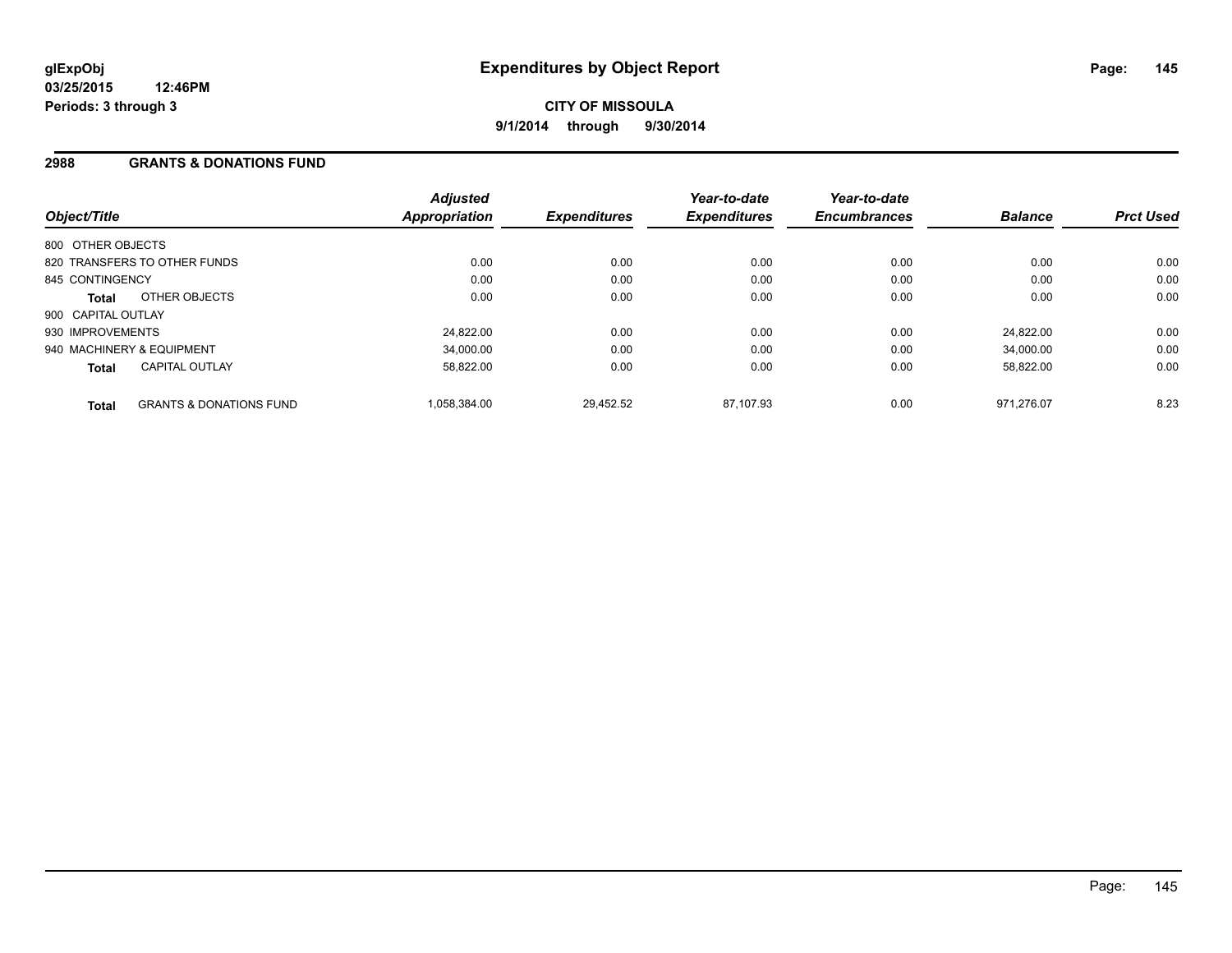## **2988 GRANTS & DONATIONS FUND**

| Object/Title              |                                    | <b>Adjusted</b><br><b>Appropriation</b> | <b>Expenditures</b> | Year-to-date<br><b>Expenditures</b> | Year-to-date<br><b>Encumbrances</b> | <b>Balance</b> | <b>Prct Used</b> |
|---------------------------|------------------------------------|-----------------------------------------|---------------------|-------------------------------------|-------------------------------------|----------------|------------------|
| 800 OTHER OBJECTS         |                                    |                                         |                     |                                     |                                     |                |                  |
|                           | 820 TRANSFERS TO OTHER FUNDS       | 0.00                                    | 0.00                | 0.00                                | 0.00                                | 0.00           | 0.00             |
| 845 CONTINGENCY           |                                    | 0.00                                    | 0.00                | 0.00                                | 0.00                                | 0.00           | 0.00             |
| Total                     | OTHER OBJECTS                      | 0.00                                    | 0.00                | 0.00                                | 0.00                                | 0.00           | 0.00             |
| 900 CAPITAL OUTLAY        |                                    |                                         |                     |                                     |                                     |                |                  |
| 930 IMPROVEMENTS          |                                    | 24.822.00                               | 0.00                | 0.00                                | 0.00                                | 24.822.00      | 0.00             |
| 940 MACHINERY & EQUIPMENT |                                    | 34,000.00                               | 0.00                | 0.00                                | 0.00                                | 34,000.00      | 0.00             |
| <b>Total</b>              | <b>CAPITAL OUTLAY</b>              | 58.822.00                               | 0.00                | 0.00                                | 0.00                                | 58.822.00      | 0.00             |
| <b>Total</b>              | <b>GRANTS &amp; DONATIONS FUND</b> | 1,058,384.00                            | 29,452.52           | 87.107.93                           | 0.00                                | 971.276.07     | 8.23             |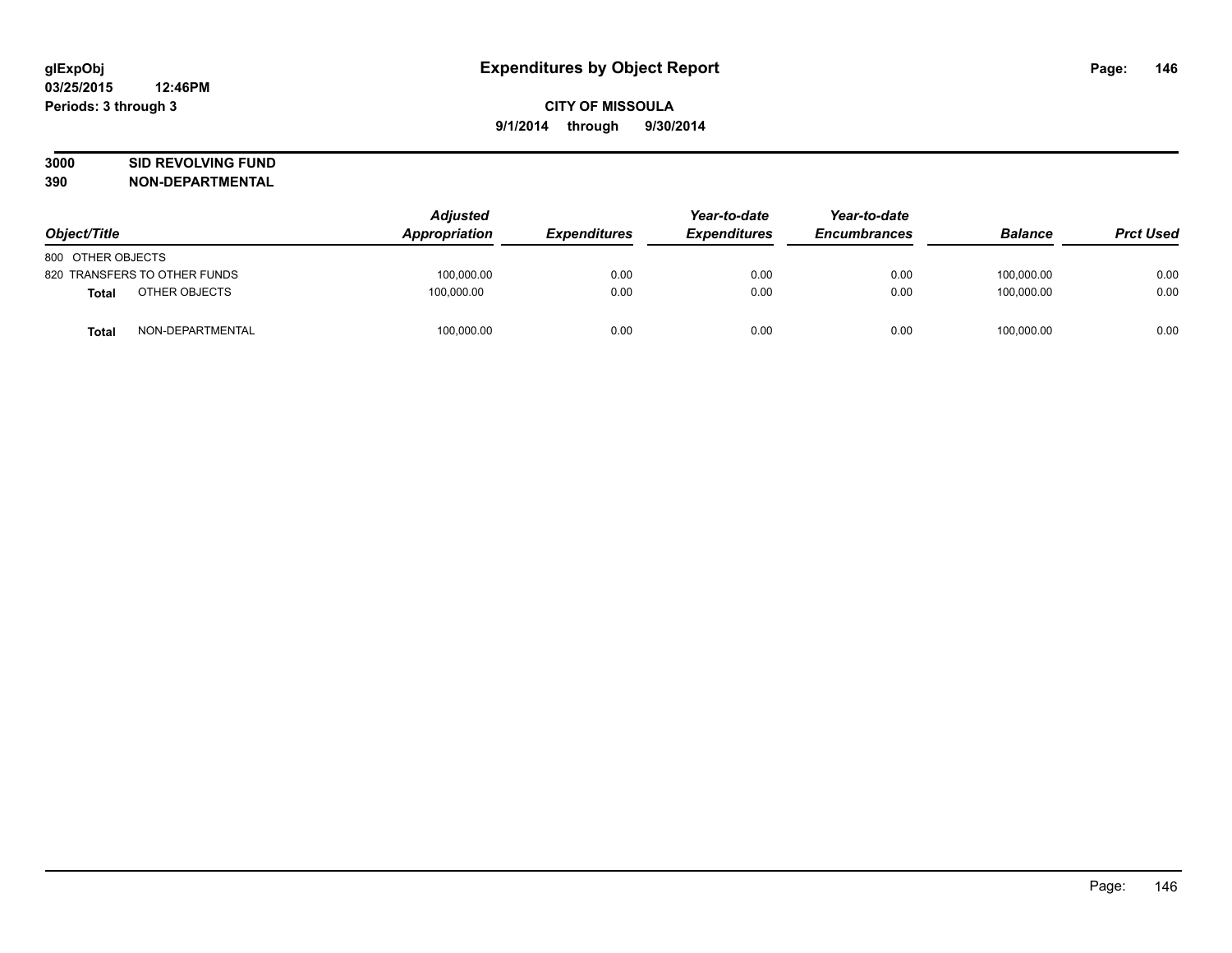# **3000 SID REVOLVING FUND**

| Object/Title                     | <b>Adjusted</b><br>Appropriation | <b>Expenditures</b> | Year-to-date<br><b>Expenditures</b> | Year-to-date<br><b>Encumbrances</b> | <b>Balance</b> | <b>Prct Used</b> |
|----------------------------------|----------------------------------|---------------------|-------------------------------------|-------------------------------------|----------------|------------------|
| 800 OTHER OBJECTS                |                                  |                     |                                     |                                     |                |                  |
| 820 TRANSFERS TO OTHER FUNDS     | 100,000.00                       | 0.00                | 0.00                                | 0.00                                | 100.000.00     | 0.00             |
| OTHER OBJECTS<br><b>Total</b>    | 100.000.00                       | 0.00                | 0.00                                | 0.00                                | 100.000.00     | 0.00             |
| NON-DEPARTMENTAL<br><b>Total</b> | 100,000.00                       | 0.00                | 0.00                                | 0.00                                | 100,000.00     | 0.00             |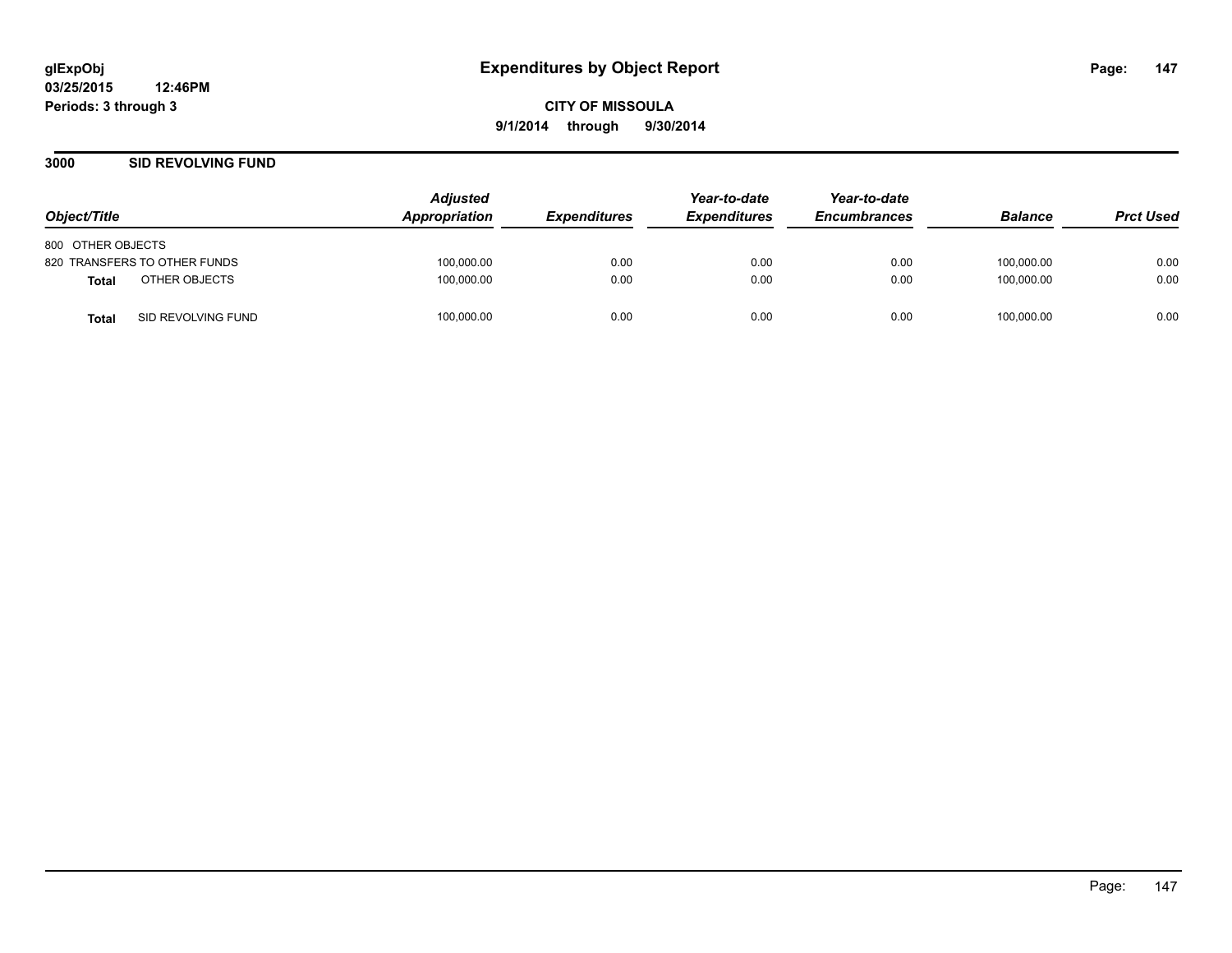### **3000 SID REVOLVING FUND**

| Object/Title                       | <b>Adjusted</b><br>Appropriation | <i><b>Expenditures</b></i> | Year-to-date<br><b>Expenditures</b> | Year-to-date<br><b>Encumbrances</b> | <b>Balance</b> | <b>Prct Used</b> |
|------------------------------------|----------------------------------|----------------------------|-------------------------------------|-------------------------------------|----------------|------------------|
| 800 OTHER OBJECTS                  |                                  |                            |                                     |                                     |                |                  |
| 820 TRANSFERS TO OTHER FUNDS       | 100,000.00                       | 0.00                       | 0.00                                | 0.00                                | 100,000.00     | 0.00             |
| OTHER OBJECTS<br>Total             | 100,000.00                       | 0.00                       | 0.00                                | 0.00                                | 100.000.00     | 0.00             |
| SID REVOLVING FUND<br><b>Total</b> | 100,000.00                       | 0.00                       | 0.00                                | 0.00                                | 100,000.00     | 0.00             |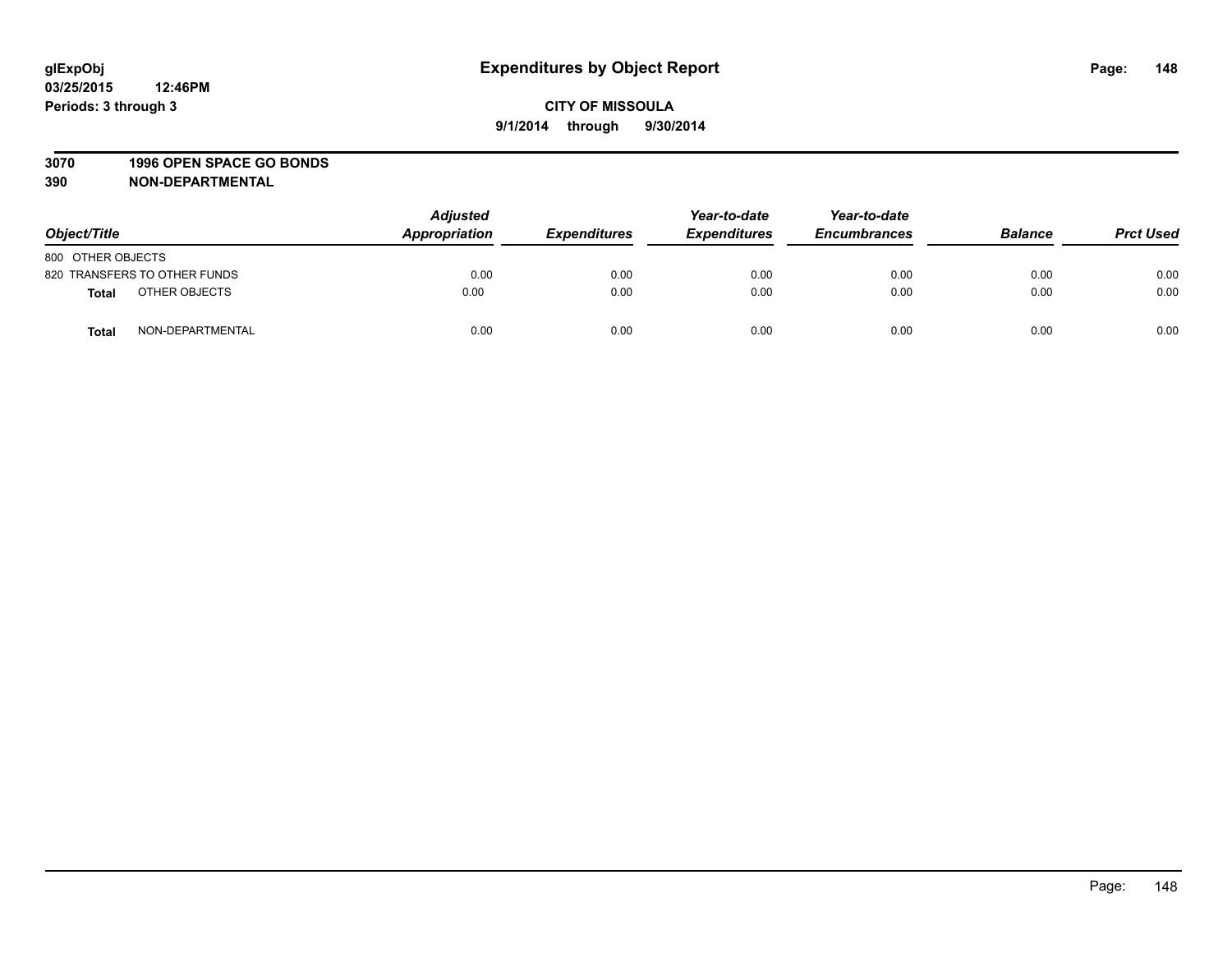### **3070 1996 OPEN SPACE GO BONDS**

| Object/Title      |                              | <b>Adjusted</b><br>Appropriation | <b>Expenditures</b> | Year-to-date<br><b>Expenditures</b> | Year-to-date<br><b>Encumbrances</b> | <b>Balance</b> | <b>Prct Used</b> |
|-------------------|------------------------------|----------------------------------|---------------------|-------------------------------------|-------------------------------------|----------------|------------------|
| 800 OTHER OBJECTS |                              |                                  |                     |                                     |                                     |                |                  |
|                   | 820 TRANSFERS TO OTHER FUNDS | 0.00                             | 0.00                | 0.00                                | 0.00                                | 0.00           | 0.00             |
| Total             | OTHER OBJECTS                | 0.00                             | 0.00                | 0.00                                | 0.00                                | 0.00           | 0.00             |
| <b>Total</b>      | NON-DEPARTMENTAL             | 0.00                             | 0.00                | 0.00                                | 0.00                                | 0.00           | 0.00             |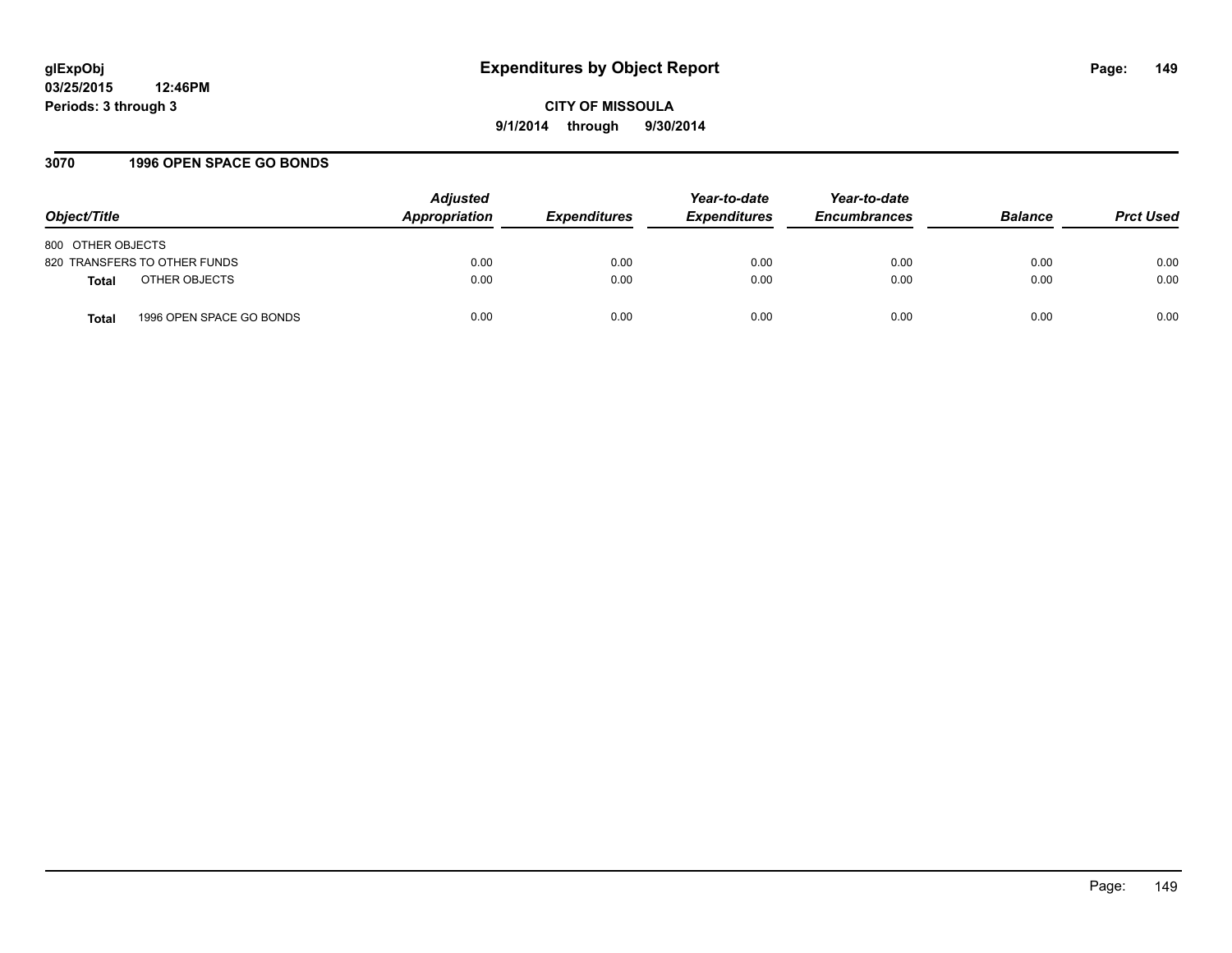# **glExpObj Expenditures by Object Report Page: 149**

**03/25/2015 12:46PM Periods: 3 through 3**

**CITY OF MISSOULA 9/1/2014 through 9/30/2014**

## **3070 1996 OPEN SPACE GO BONDS**

| Object/Title                      | <b>Adjusted</b><br>Appropriation | <b>Expenditures</b> | Year-to-date<br><b>Expenditures</b> | Year-to-date<br><b>Encumbrances</b> | <b>Balance</b> | <b>Prct Used</b> |
|-----------------------------------|----------------------------------|---------------------|-------------------------------------|-------------------------------------|----------------|------------------|
| 800 OTHER OBJECTS                 |                                  |                     |                                     |                                     |                |                  |
| 820 TRANSFERS TO OTHER FUNDS      | 0.00                             | 0.00                | 0.00                                | 0.00                                | 0.00           | 0.00             |
| OTHER OBJECTS<br><b>Total</b>     | 0.00                             | 0.00                | 0.00                                | 0.00                                | 0.00           | 0.00             |
| 1996 OPEN SPACE GO BONDS<br>Total | 0.00                             | 0.00                | 0.00                                | 0.00                                | 0.00           | 0.00             |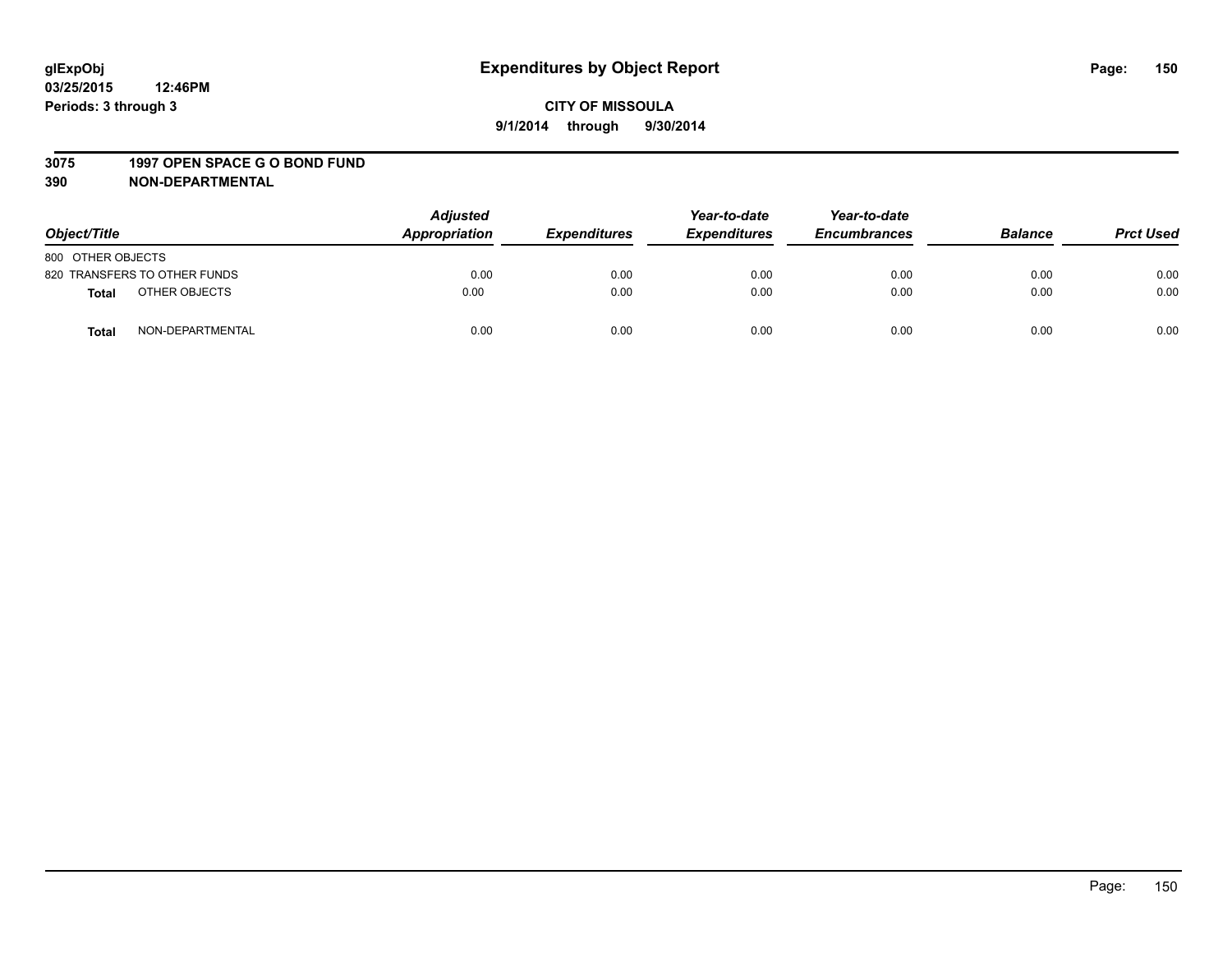#### **3075 1997 OPEN SPACE G O BOND FUND**

| Object/Title      |                              | <b>Adjusted</b><br>Appropriation | <b>Expenditures</b> | Year-to-date<br><b>Expenditures</b> | Year-to-date<br><b>Encumbrances</b> | <b>Balance</b> | <b>Prct Used</b> |
|-------------------|------------------------------|----------------------------------|---------------------|-------------------------------------|-------------------------------------|----------------|------------------|
| 800 OTHER OBJECTS |                              |                                  |                     |                                     |                                     |                |                  |
|                   | 820 TRANSFERS TO OTHER FUNDS | 0.00                             | 0.00                | 0.00                                | 0.00                                | 0.00           | 0.00             |
| Total             | OTHER OBJECTS                | 0.00                             | 0.00                | 0.00                                | 0.00                                | 0.00           | 0.00             |
| <b>Total</b>      | NON-DEPARTMENTAL             | 0.00                             | 0.00                | 0.00                                | 0.00                                | 0.00           | 0.00             |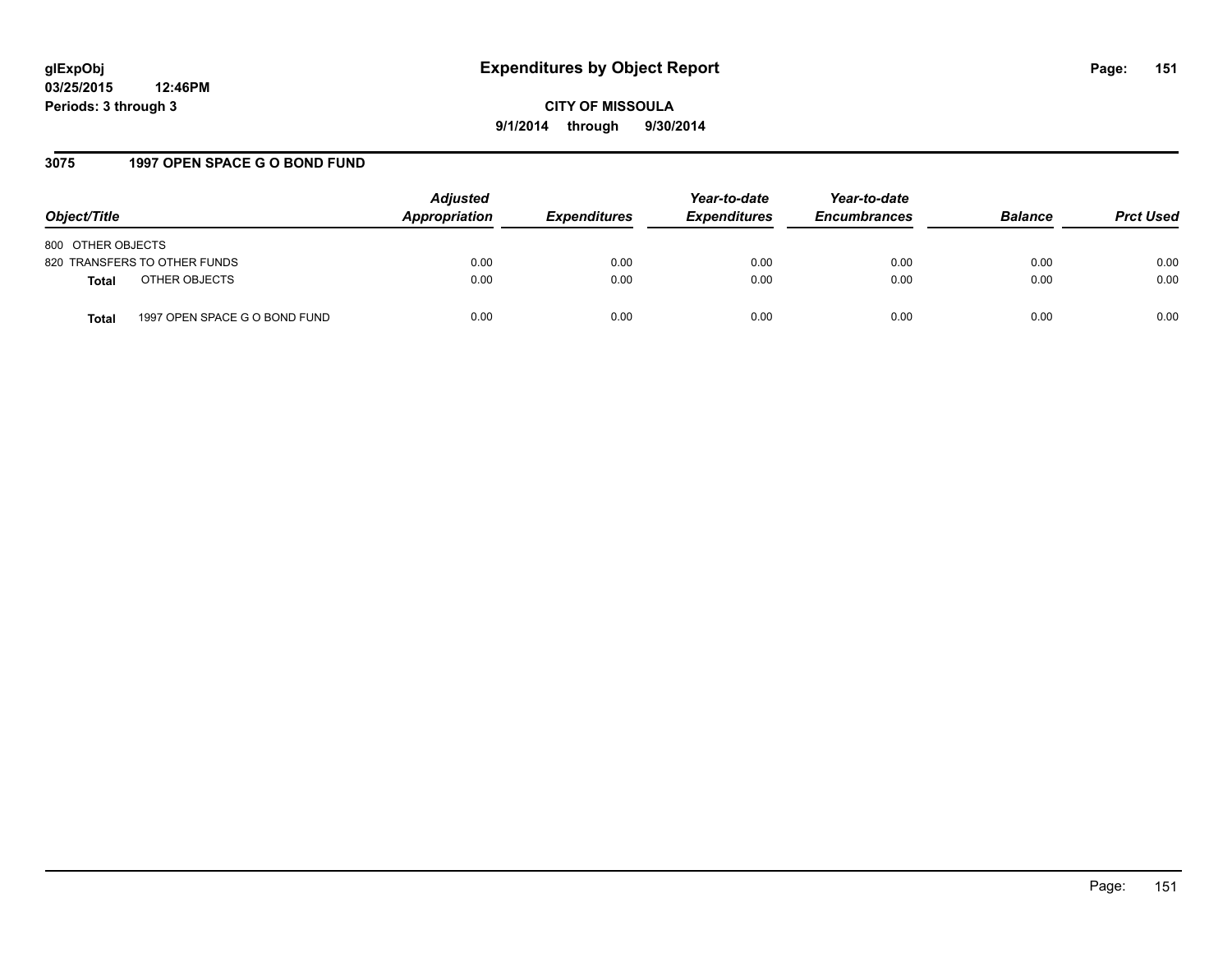# **glExpObj Expenditures by Object Report Page: 151**

**03/25/2015 12:46PM Periods: 3 through 3**

**CITY OF MISSOULA 9/1/2014 through 9/30/2014**

## **3075 1997 OPEN SPACE G O BOND FUND**

| Object/Title                                  | <b>Adjusted</b><br>Appropriation | <b>Expenditures</b> | Year-to-date<br><b>Expenditures</b> | Year-to-date<br><b>Encumbrances</b> | <b>Balance</b> | <b>Prct Used</b> |
|-----------------------------------------------|----------------------------------|---------------------|-------------------------------------|-------------------------------------|----------------|------------------|
| 800 OTHER OBJECTS                             |                                  |                     |                                     |                                     |                |                  |
| 820 TRANSFERS TO OTHER FUNDS                  | 0.00                             | 0.00                | 0.00                                | 0.00                                | 0.00           | 0.00             |
| OTHER OBJECTS<br><b>Total</b>                 | 0.00                             | 0.00                | 0.00                                | 0.00                                | 0.00           | 0.00             |
| 1997 OPEN SPACE G O BOND FUND<br><b>Total</b> | 0.00                             | 0.00                | 0.00                                | 0.00                                | 0.00           | 0.00             |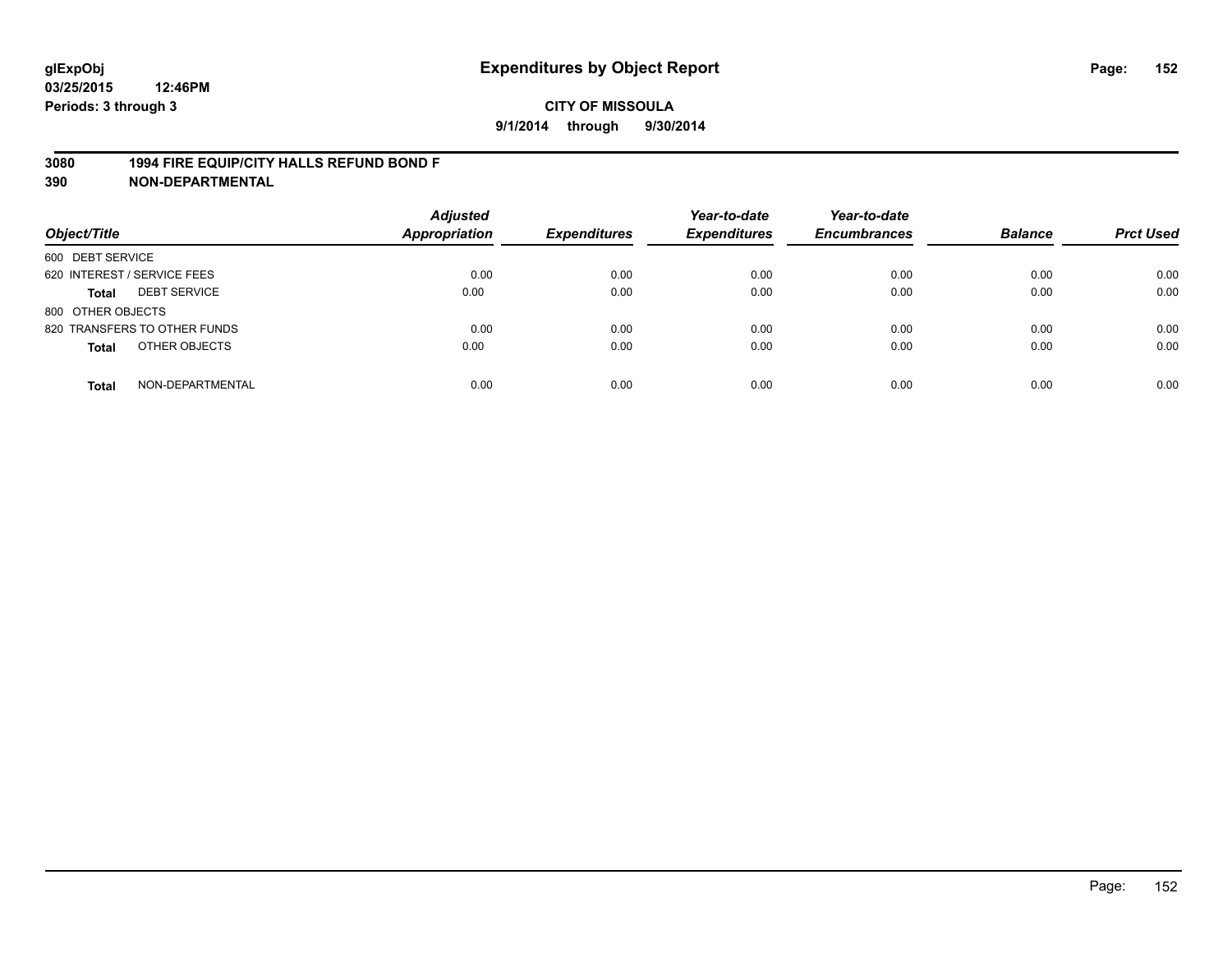## **3080 1994 FIRE EQUIP/CITY HALLS REFUND BOND F**

| Object/Title                     | <b>Adjusted</b><br><b>Appropriation</b> | <b>Expenditures</b> | Year-to-date<br><b>Expenditures</b> | Year-to-date<br><b>Encumbrances</b> | <b>Balance</b> | <b>Prct Used</b> |
|----------------------------------|-----------------------------------------|---------------------|-------------------------------------|-------------------------------------|----------------|------------------|
| 600 DEBT SERVICE                 |                                         |                     |                                     |                                     |                |                  |
| 620 INTEREST / SERVICE FEES      | 0.00                                    | 0.00                | 0.00                                | 0.00                                | 0.00           | 0.00             |
| <b>DEBT SERVICE</b><br>Total     | 0.00                                    | 0.00                | 0.00                                | 0.00                                | 0.00           | 0.00             |
| 800 OTHER OBJECTS                |                                         |                     |                                     |                                     |                |                  |
| 820 TRANSFERS TO OTHER FUNDS     | 0.00                                    | 0.00                | 0.00                                | 0.00                                | 0.00           | 0.00             |
| OTHER OBJECTS<br><b>Total</b>    | 0.00                                    | 0.00                | 0.00                                | 0.00                                | 0.00           | 0.00             |
| NON-DEPARTMENTAL<br><b>Total</b> | 0.00                                    | 0.00                | 0.00                                | 0.00                                | 0.00           | 0.00             |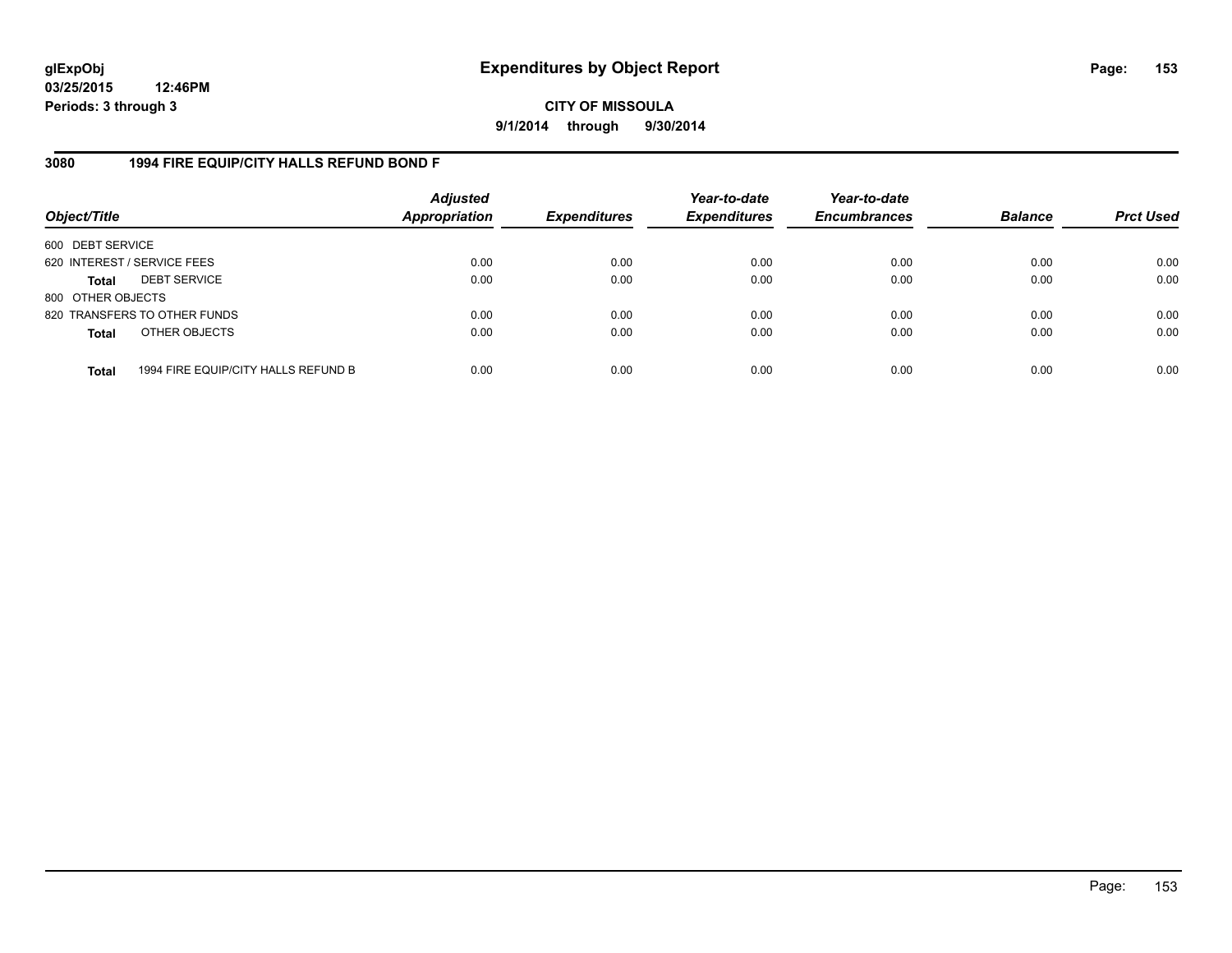**CITY OF MISSOULA 9/1/2014 through 9/30/2014**

## **3080 1994 FIRE EQUIP/CITY HALLS REFUND BOND F**

| Object/Title                |                                     | <b>Adjusted</b><br>Appropriation | <b>Expenditures</b> | Year-to-date<br><b>Expenditures</b> | Year-to-date<br><b>Encumbrances</b> | <b>Balance</b> | <b>Prct Used</b> |
|-----------------------------|-------------------------------------|----------------------------------|---------------------|-------------------------------------|-------------------------------------|----------------|------------------|
| 600 DEBT SERVICE            |                                     |                                  |                     |                                     |                                     |                |                  |
| 620 INTEREST / SERVICE FEES |                                     | 0.00                             | 0.00                | 0.00                                | 0.00                                | 0.00           | 0.00             |
| <b>Total</b>                | <b>DEBT SERVICE</b>                 | 0.00                             | 0.00                | 0.00                                | 0.00                                | 0.00           | 0.00             |
| 800 OTHER OBJECTS           |                                     |                                  |                     |                                     |                                     |                |                  |
|                             | 820 TRANSFERS TO OTHER FUNDS        | 0.00                             | 0.00                | 0.00                                | 0.00                                | 0.00           | 0.00             |
| <b>Total</b>                | OTHER OBJECTS                       | 0.00                             | 0.00                | 0.00                                | 0.00                                | 0.00           | 0.00             |
| <b>Total</b>                | 1994 FIRE EQUIP/CITY HALLS REFUND B | 0.00                             | 0.00                | 0.00                                | 0.00                                | 0.00           | 0.00             |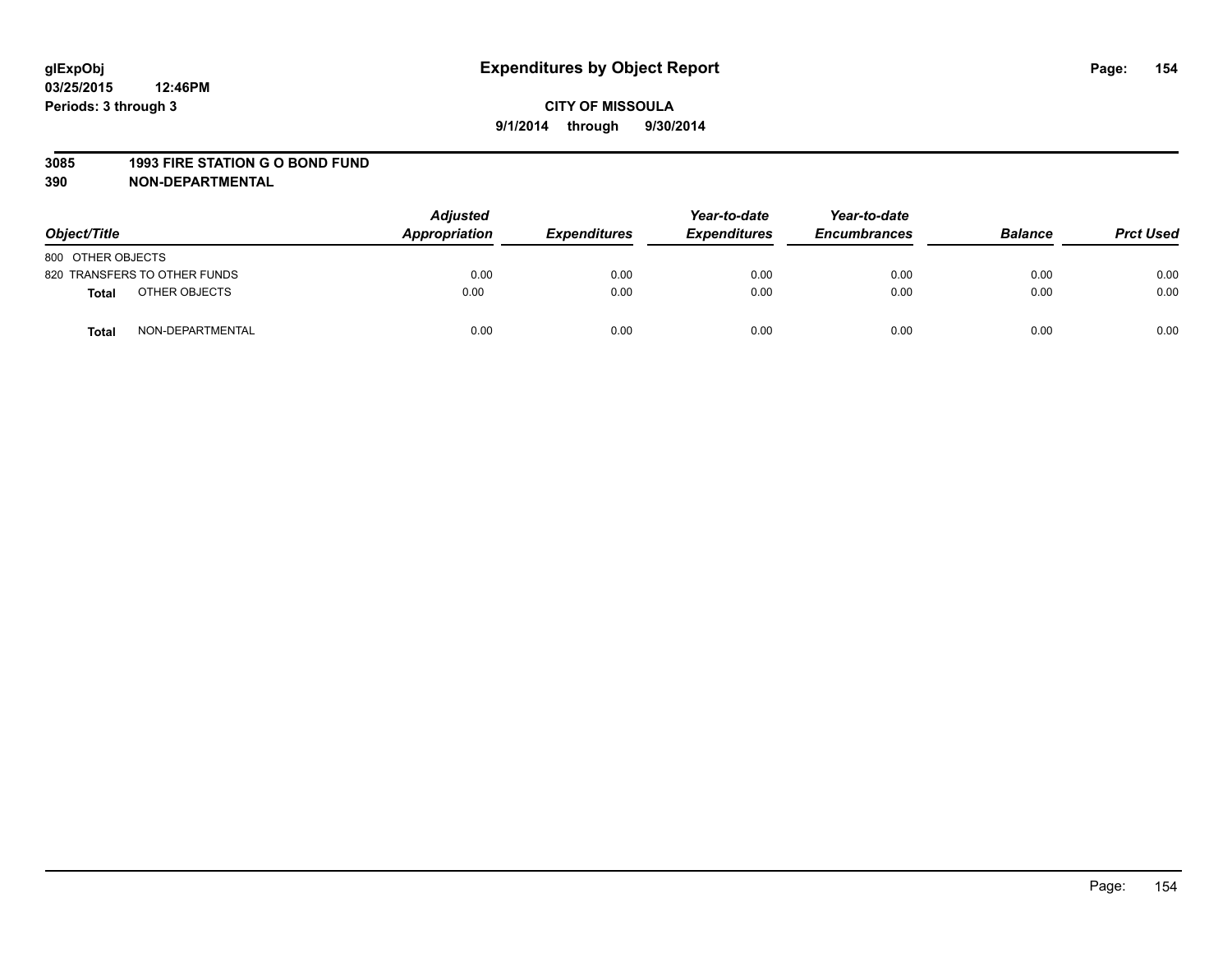#### **3085 1993 FIRE STATION G O BOND FUND**

| Object/Title      |                              | <b>Adjusted</b><br>Appropriation | <b>Expenditures</b> | Year-to-date<br><b>Expenditures</b> | Year-to-date<br><b>Encumbrances</b> | <b>Balance</b> | <b>Prct Used</b> |
|-------------------|------------------------------|----------------------------------|---------------------|-------------------------------------|-------------------------------------|----------------|------------------|
| 800 OTHER OBJECTS |                              |                                  |                     |                                     |                                     |                |                  |
|                   | 820 TRANSFERS TO OTHER FUNDS | 0.00                             | 0.00                | 0.00                                | 0.00                                | 0.00           | 0.00             |
| Total             | OTHER OBJECTS                | 0.00                             | 0.00                | 0.00                                | 0.00                                | 0.00           | 0.00             |
| <b>Total</b>      | NON-DEPARTMENTAL             | 0.00                             | 0.00                | 0.00                                | 0.00                                | 0.00           | 0.00             |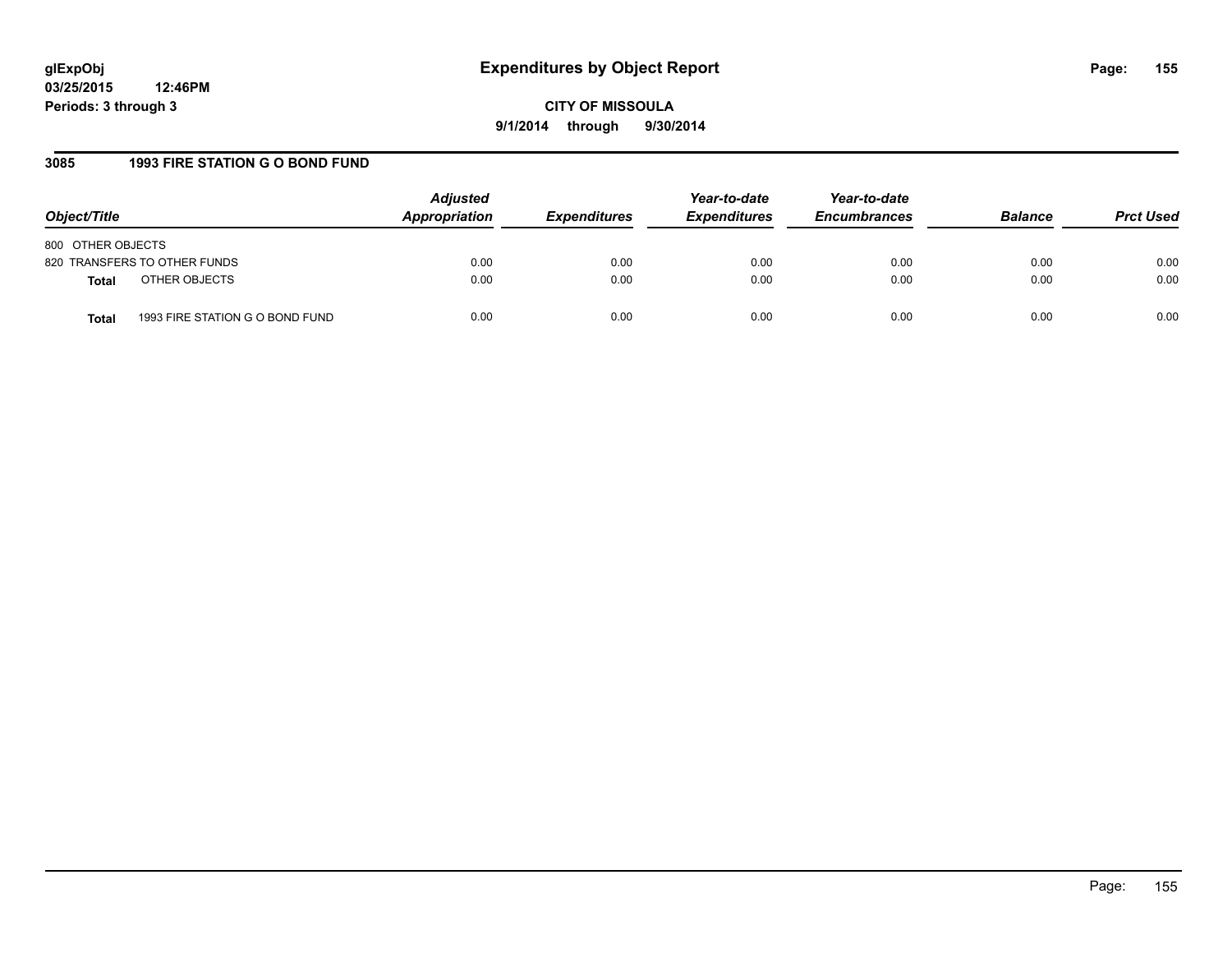## **3085 1993 FIRE STATION G O BOND FUND**

| Object/Title                                    | <b>Adjusted</b><br>Appropriation | <b>Expenditures</b> | Year-to-date<br><b>Expenditures</b> | Year-to-date<br><b>Encumbrances</b> | <b>Balance</b> | <b>Prct Used</b> |
|-------------------------------------------------|----------------------------------|---------------------|-------------------------------------|-------------------------------------|----------------|------------------|
| 800 OTHER OBJECTS                               |                                  |                     |                                     |                                     |                |                  |
| 820 TRANSFERS TO OTHER FUNDS                    | 0.00                             | 0.00                | 0.00                                | 0.00                                | 0.00           | 0.00             |
| OTHER OBJECTS<br><b>Total</b>                   | 0.00                             | 0.00                | 0.00                                | 0.00                                | 0.00           | 0.00             |
| 1993 FIRE STATION G O BOND FUND<br><b>Total</b> | 0.00                             | 0.00                | 0.00                                | 0.00                                | 0.00           | 0.00             |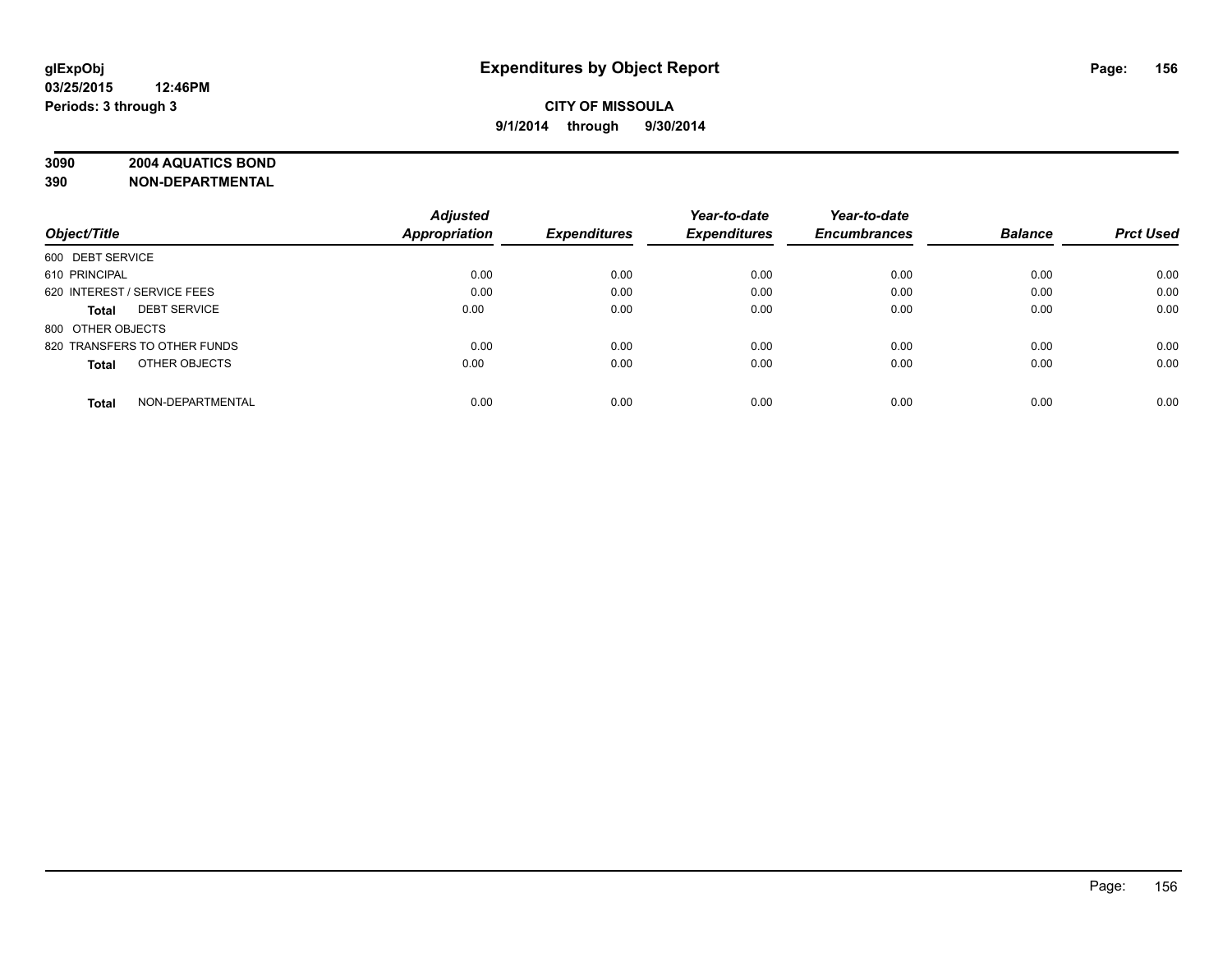## **3090 2004 AQUATICS BOND**

|                                     | <b>Adjusted</b>      |                     | Year-to-date        | Year-to-date        |                |                  |
|-------------------------------------|----------------------|---------------------|---------------------|---------------------|----------------|------------------|
| Object/Title                        | <b>Appropriation</b> | <b>Expenditures</b> | <b>Expenditures</b> | <b>Encumbrances</b> | <b>Balance</b> | <b>Prct Used</b> |
| 600 DEBT SERVICE                    |                      |                     |                     |                     |                |                  |
| 610 PRINCIPAL                       | 0.00                 | 0.00                | 0.00                | 0.00                | 0.00           | 0.00             |
| 620 INTEREST / SERVICE FEES         | 0.00                 | 0.00                | 0.00                | 0.00                | 0.00           | 0.00             |
| <b>DEBT SERVICE</b><br><b>Total</b> | 0.00                 | 0.00                | 0.00                | 0.00                | 0.00           | 0.00             |
| 800 OTHER OBJECTS                   |                      |                     |                     |                     |                |                  |
| 820 TRANSFERS TO OTHER FUNDS        | 0.00                 | 0.00                | 0.00                | 0.00                | 0.00           | 0.00             |
| OTHER OBJECTS<br><b>Total</b>       | 0.00                 | 0.00                | 0.00                | 0.00                | 0.00           | 0.00             |
| NON-DEPARTMENTAL<br><b>Total</b>    | 0.00                 | 0.00                | 0.00                | 0.00                | 0.00           | 0.00             |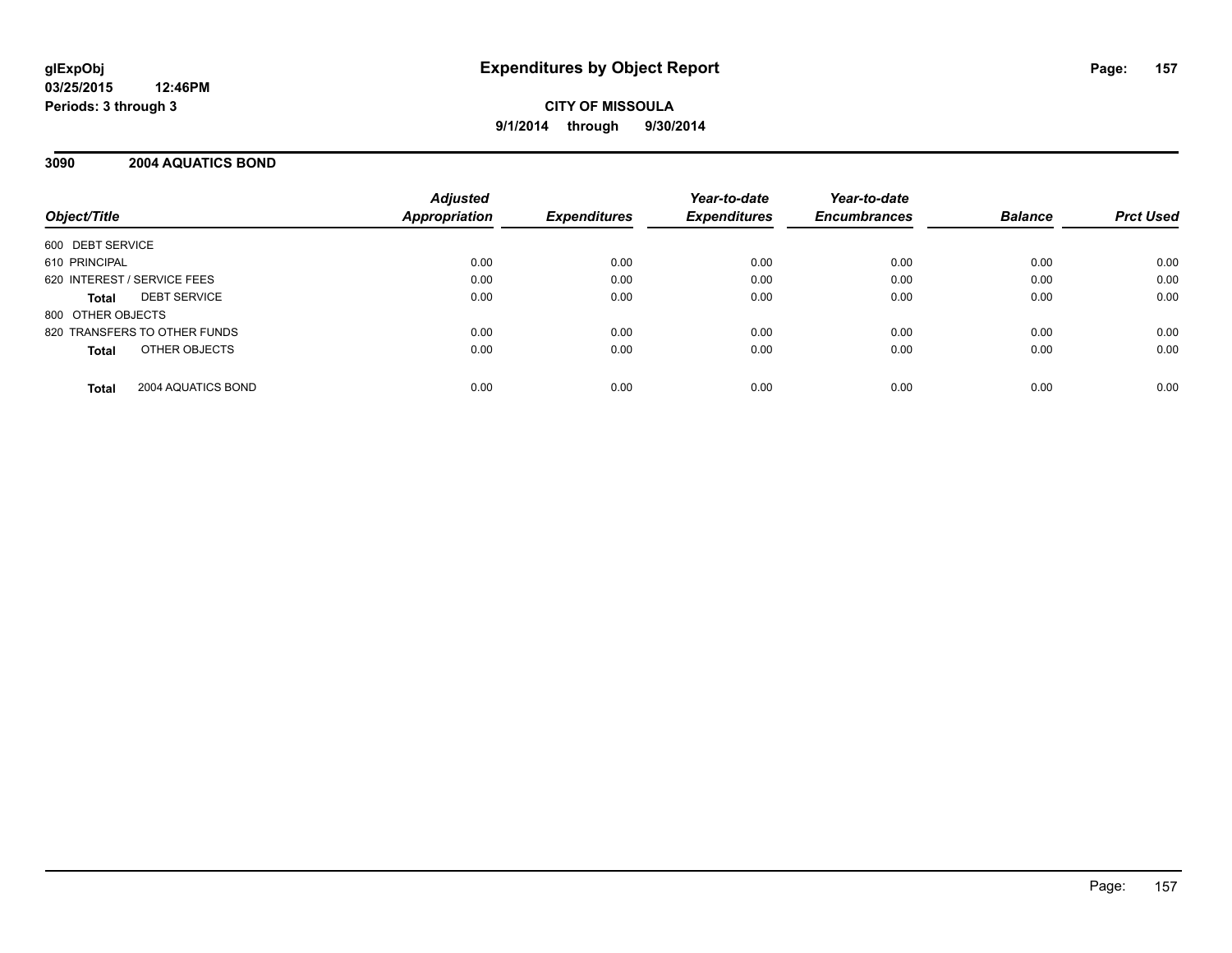**CITY OF MISSOULA 9/1/2014 through 9/30/2014**

## **3090 2004 AQUATICS BOND**

| Object/Title                       | <b>Adjusted</b><br><b>Appropriation</b> | <b>Expenditures</b> | Year-to-date<br><b>Expenditures</b> | Year-to-date<br><b>Encumbrances</b> | <b>Balance</b> | <b>Prct Used</b> |
|------------------------------------|-----------------------------------------|---------------------|-------------------------------------|-------------------------------------|----------------|------------------|
| 600 DEBT SERVICE                   |                                         |                     |                                     |                                     |                |                  |
| 610 PRINCIPAL                      | 0.00                                    | 0.00                | 0.00                                | 0.00                                | 0.00           | 0.00             |
| 620 INTEREST / SERVICE FEES        | 0.00                                    | 0.00                | 0.00                                | 0.00                                | 0.00           | 0.00             |
| <b>DEBT SERVICE</b><br>Total       | 0.00                                    | 0.00                | 0.00                                | 0.00                                | 0.00           | 0.00             |
| 800 OTHER OBJECTS                  |                                         |                     |                                     |                                     |                |                  |
| 820 TRANSFERS TO OTHER FUNDS       | 0.00                                    | 0.00                | 0.00                                | 0.00                                | 0.00           | 0.00             |
| OTHER OBJECTS<br><b>Total</b>      | 0.00                                    | 0.00                | 0.00                                | 0.00                                | 0.00           | 0.00             |
| 2004 AQUATICS BOND<br><b>Total</b> | 0.00                                    | 0.00                | 0.00                                | 0.00                                | 0.00           | 0.00             |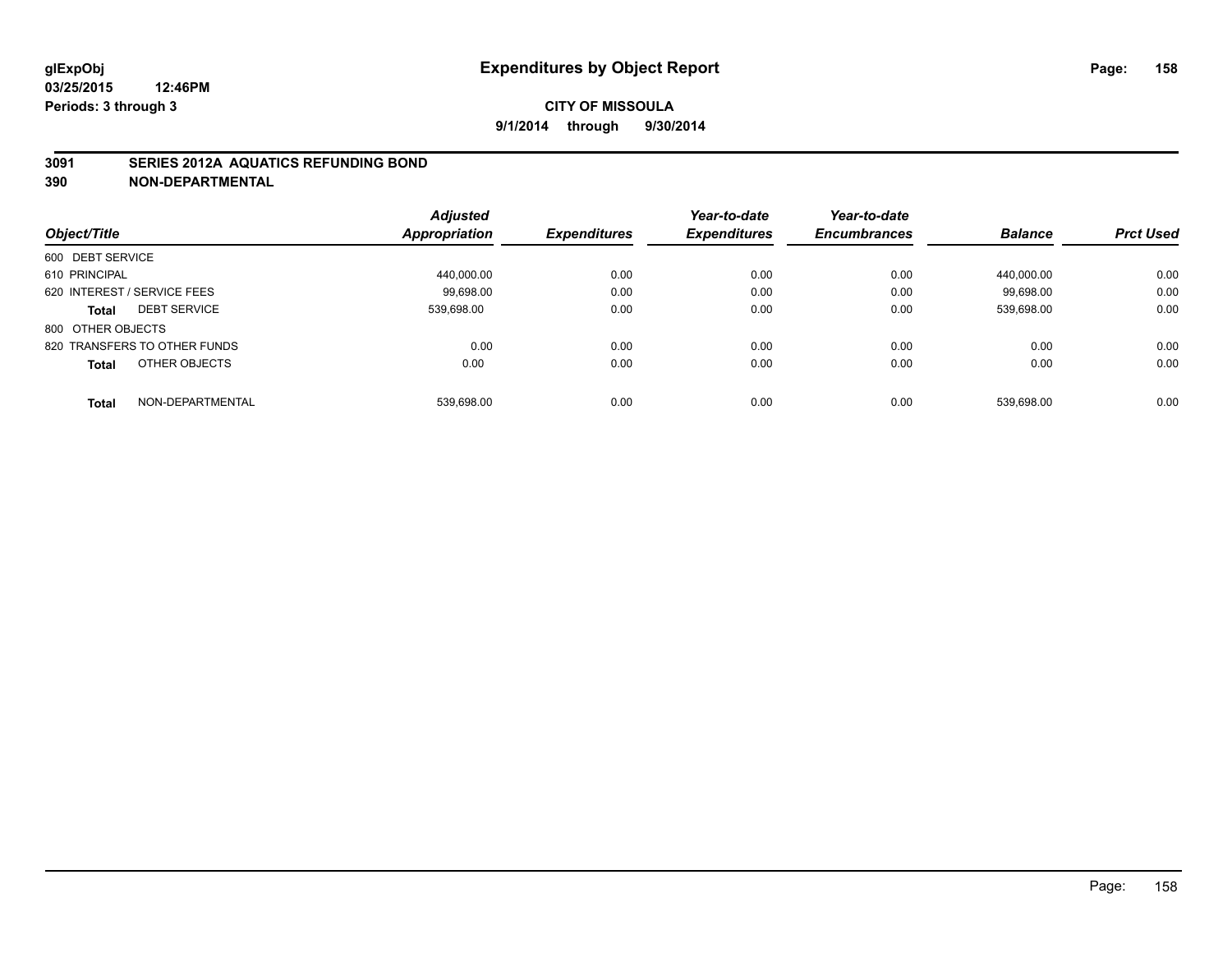## **3091 SERIES 2012A AQUATICS REFUNDING BOND**

|                                  | <b>Adjusted</b> |                     | Year-to-date        | Year-to-date        |                |                  |
|----------------------------------|-----------------|---------------------|---------------------|---------------------|----------------|------------------|
| Object/Title                     | Appropriation   | <b>Expenditures</b> | <b>Expenditures</b> | <b>Encumbrances</b> | <b>Balance</b> | <b>Prct Used</b> |
| 600 DEBT SERVICE                 |                 |                     |                     |                     |                |                  |
| 610 PRINCIPAL                    | 440.000.00      | 0.00                | 0.00                | 0.00                | 440.000.00     | 0.00             |
| 620 INTEREST / SERVICE FEES      | 99.698.00       | 0.00                | 0.00                | 0.00                | 99.698.00      | 0.00             |
| <b>DEBT SERVICE</b><br>Total     | 539.698.00      | 0.00                | 0.00                | 0.00                | 539.698.00     | 0.00             |
| 800 OTHER OBJECTS                |                 |                     |                     |                     |                |                  |
| 820 TRANSFERS TO OTHER FUNDS     | 0.00            | 0.00                | 0.00                | 0.00                | 0.00           | 0.00             |
| OTHER OBJECTS<br><b>Total</b>    | 0.00            | 0.00                | 0.00                | 0.00                | 0.00           | 0.00             |
| NON-DEPARTMENTAL<br><b>Total</b> | 539.698.00      | 0.00                | 0.00                | 0.00                | 539.698.00     | 0.00             |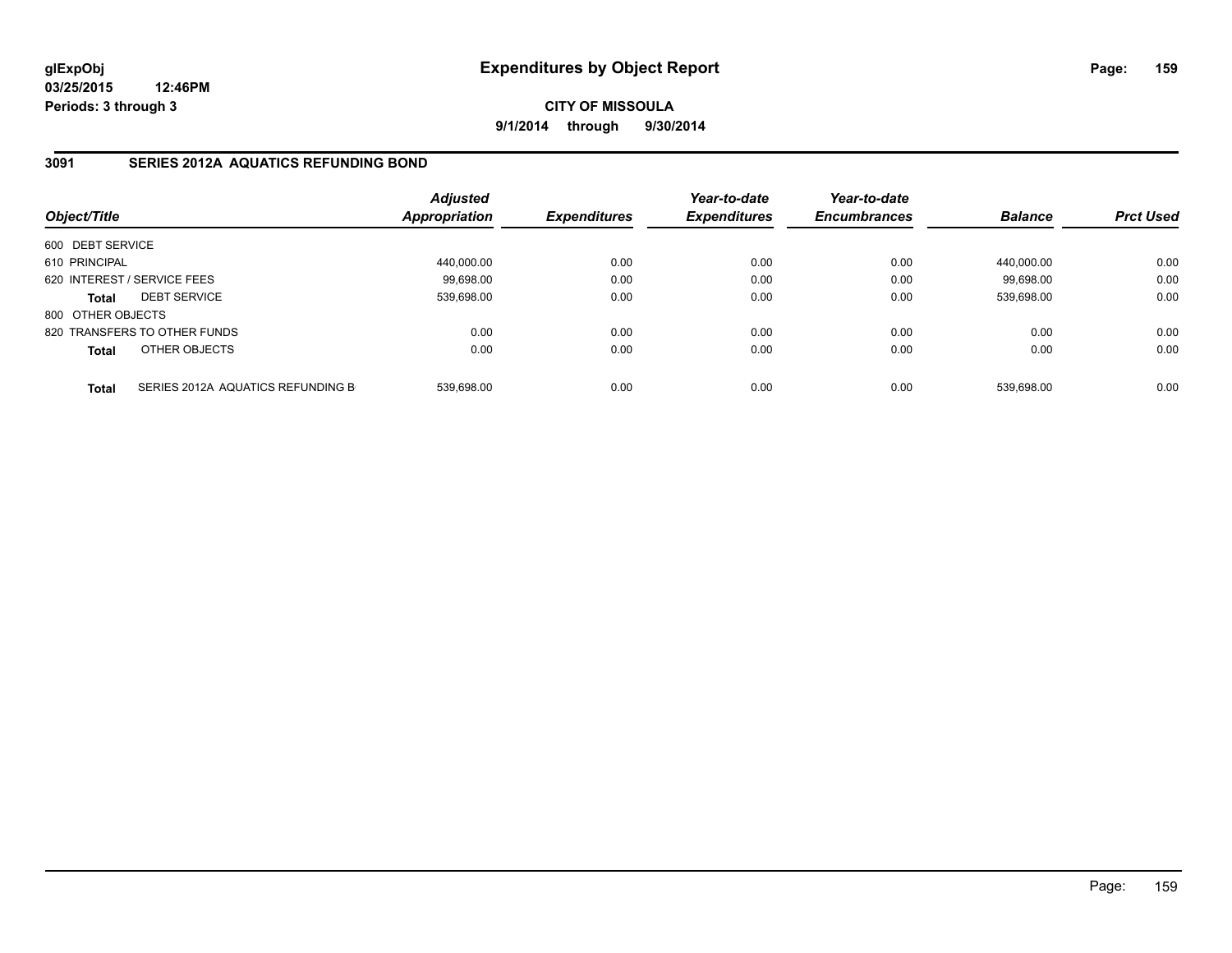**CITY OF MISSOULA 9/1/2014 through 9/30/2014**

## **3091 SERIES 2012A AQUATICS REFUNDING BOND**

| Object/Title                |                                   | <b>Adjusted</b><br><b>Appropriation</b> | <b>Expenditures</b> | Year-to-date<br><b>Expenditures</b> | Year-to-date<br><b>Encumbrances</b> | <b>Balance</b> | <b>Prct Used</b> |
|-----------------------------|-----------------------------------|-----------------------------------------|---------------------|-------------------------------------|-------------------------------------|----------------|------------------|
| 600 DEBT SERVICE            |                                   |                                         |                     |                                     |                                     |                |                  |
| 610 PRINCIPAL               |                                   | 440,000.00                              | 0.00                | 0.00                                | 0.00                                | 440.000.00     | 0.00             |
| 620 INTEREST / SERVICE FEES |                                   | 99.698.00                               | 0.00                | 0.00                                | 0.00                                | 99.698.00      | 0.00             |
| <b>Total</b>                | <b>DEBT SERVICE</b>               | 539.698.00                              | 0.00                | 0.00                                | 0.00                                | 539.698.00     | 0.00             |
| 800 OTHER OBJECTS           |                                   |                                         |                     |                                     |                                     |                |                  |
|                             | 820 TRANSFERS TO OTHER FUNDS      | 0.00                                    | 0.00                | 0.00                                | 0.00                                | 0.00           | 0.00             |
| <b>Total</b>                | OTHER OBJECTS                     | 0.00                                    | 0.00                | 0.00                                | 0.00                                | 0.00           | 0.00             |
| <b>Total</b>                | SERIES 2012A AQUATICS REFUNDING B | 539.698.00                              | 0.00                | 0.00                                | 0.00                                | 539.698.00     | 0.00             |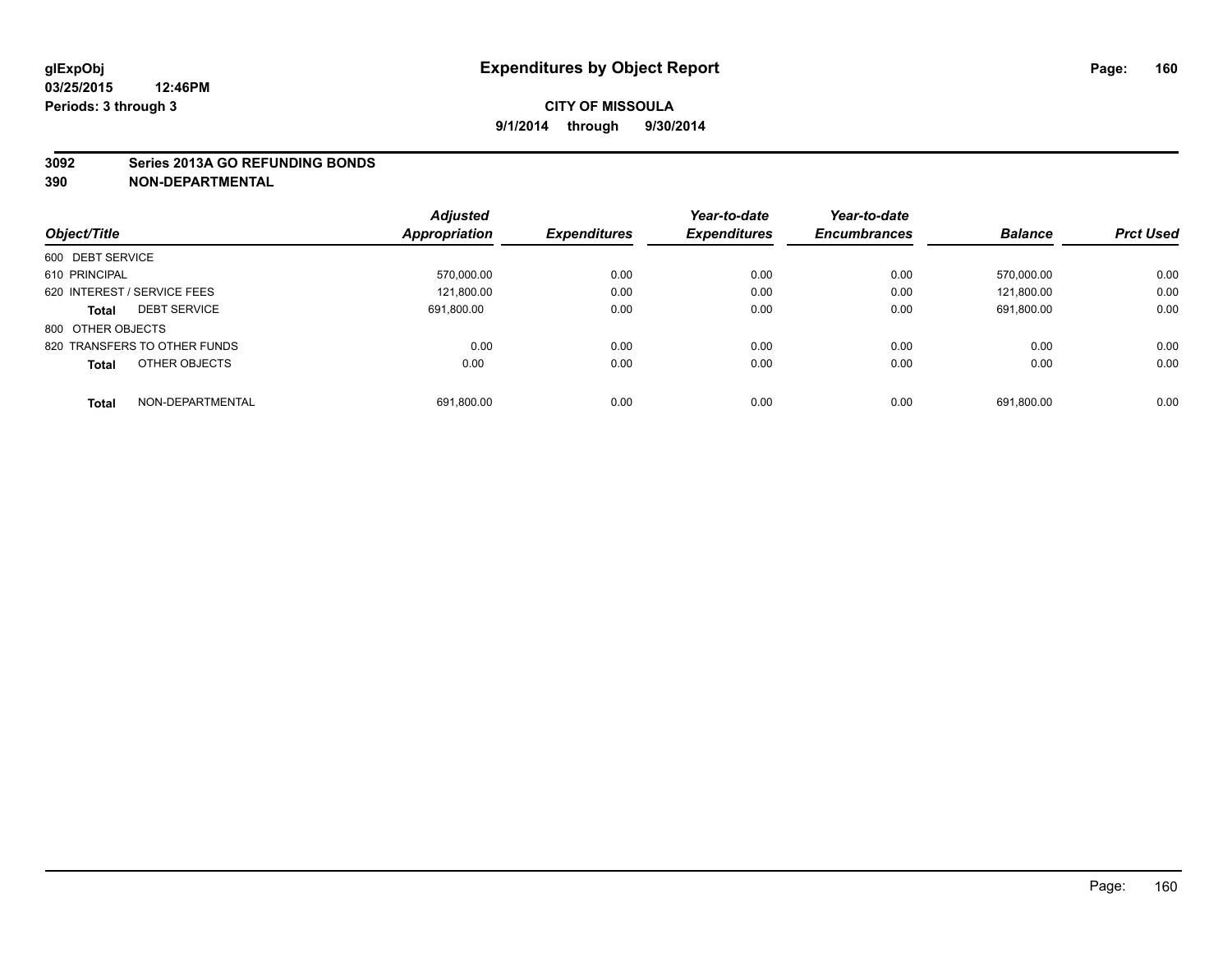#### **3092 Series 2013A GO REFUNDING BONDS**

|                                     | <b>Adjusted</b><br>Appropriation | <b>Expenditures</b> | Year-to-date<br><b>Expenditures</b> | Year-to-date<br><b>Encumbrances</b> |                | <b>Prct Used</b> |
|-------------------------------------|----------------------------------|---------------------|-------------------------------------|-------------------------------------|----------------|------------------|
| Object/Title                        |                                  |                     |                                     |                                     | <b>Balance</b> |                  |
| 600 DEBT SERVICE                    |                                  |                     |                                     |                                     |                |                  |
| 610 PRINCIPAL                       | 570,000.00                       | 0.00                | 0.00                                | 0.00                                | 570.000.00     | 0.00             |
| 620 INTEREST / SERVICE FEES         | 121.800.00                       | 0.00                | 0.00                                | 0.00                                | 121.800.00     | 0.00             |
| <b>DEBT SERVICE</b><br><b>Total</b> | 691.800.00                       | 0.00                | 0.00                                | 0.00                                | 691.800.00     | 0.00             |
| 800 OTHER OBJECTS                   |                                  |                     |                                     |                                     |                |                  |
| 820 TRANSFERS TO OTHER FUNDS        | 0.00                             | 0.00                | 0.00                                | 0.00                                | 0.00           | 0.00             |
| OTHER OBJECTS<br><b>Total</b>       | 0.00                             | 0.00                | 0.00                                | 0.00                                | 0.00           | 0.00             |
| NON-DEPARTMENTAL<br><b>Total</b>    | 691.800.00                       | 0.00                | 0.00                                | 0.00                                | 691.800.00     | 0.00             |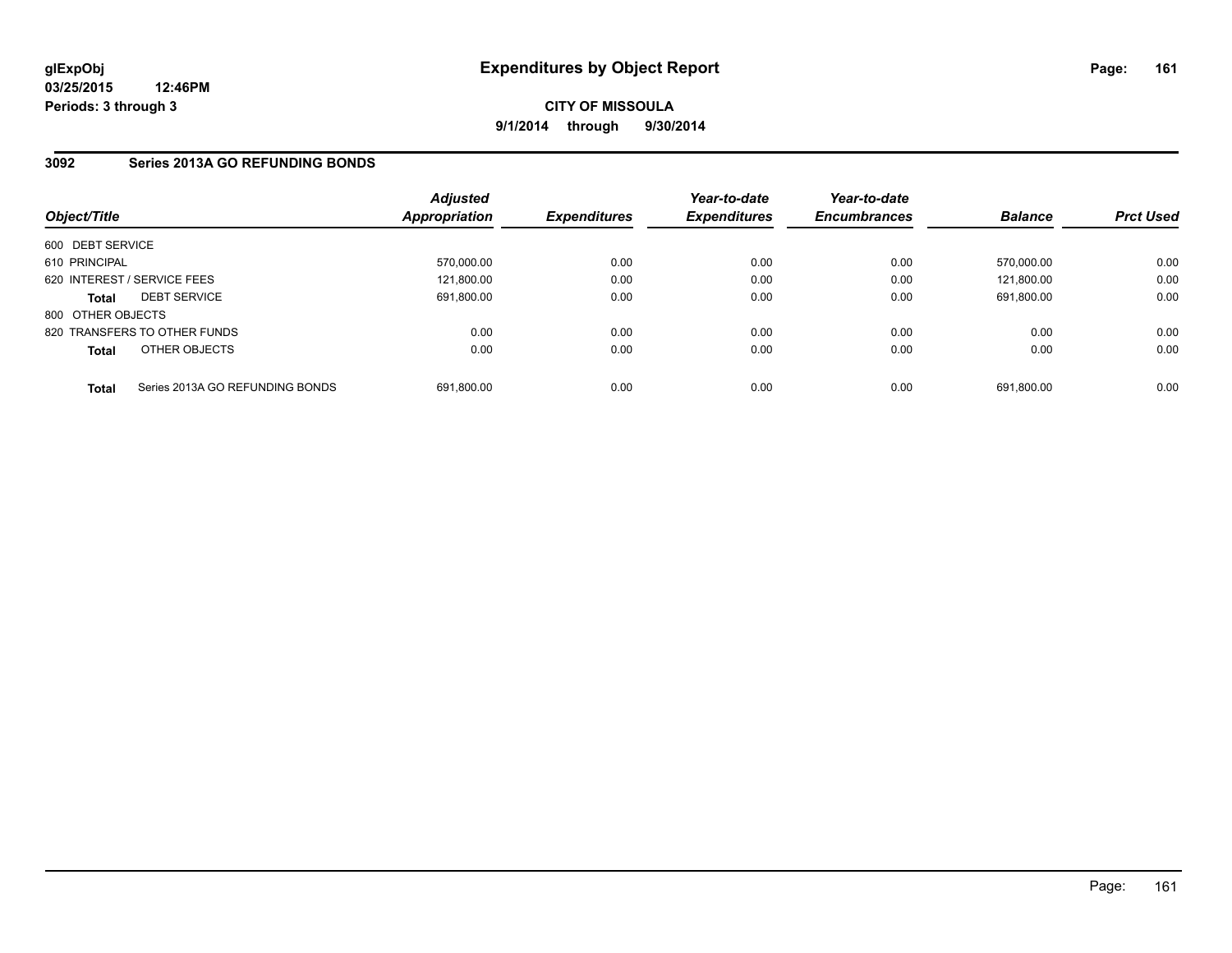## **CITY OF MISSOULA 9/1/2014 through 9/30/2014**

## **3092 Series 2013A GO REFUNDING BONDS**

| Object/Title      |                                 | <b>Adjusted</b><br>Appropriation | <b>Expenditures</b> | Year-to-date<br><b>Expenditures</b> | Year-to-date<br><b>Encumbrances</b> | <b>Balance</b> | <b>Prct Used</b> |
|-------------------|---------------------------------|----------------------------------|---------------------|-------------------------------------|-------------------------------------|----------------|------------------|
| 600 DEBT SERVICE  |                                 |                                  |                     |                                     |                                     |                |                  |
| 610 PRINCIPAL     |                                 | 570,000.00                       | 0.00                | 0.00                                | 0.00                                | 570.000.00     | 0.00             |
|                   | 620 INTEREST / SERVICE FEES     | 121.800.00                       | 0.00                | 0.00                                | 0.00                                | 121.800.00     | 0.00             |
| <b>Total</b>      | <b>DEBT SERVICE</b>             | 691.800.00                       | 0.00                | 0.00                                | 0.00                                | 691.800.00     | 0.00             |
| 800 OTHER OBJECTS |                                 |                                  |                     |                                     |                                     |                |                  |
|                   | 820 TRANSFERS TO OTHER FUNDS    | 0.00                             | 0.00                | 0.00                                | 0.00                                | 0.00           | 0.00             |
| <b>Total</b>      | OTHER OBJECTS                   | 0.00                             | 0.00                | 0.00                                | 0.00                                | 0.00           | 0.00             |
| <b>Total</b>      | Series 2013A GO REFUNDING BONDS | 691.800.00                       | 0.00                | 0.00                                | 0.00                                | 691.800.00     | 0.00             |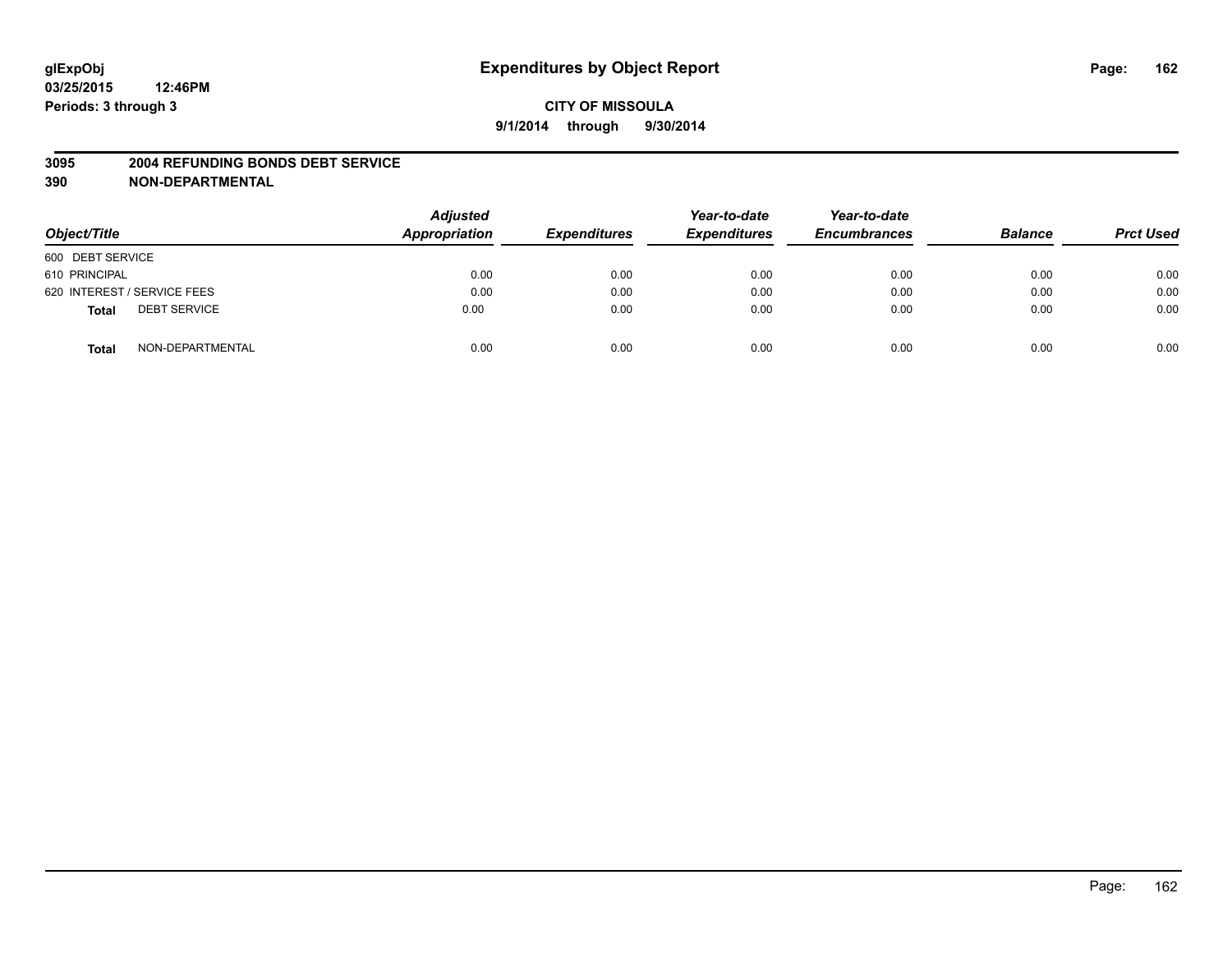#### **3095 2004 REFUNDING BONDS DEBT SERVICE**

| Object/Title                        | <b>Adjusted</b><br>Appropriation | <b>Expenditures</b> | Year-to-date<br><b>Expenditures</b> | Year-to-date<br><b>Encumbrances</b> | <b>Balance</b> | <b>Prct Used</b> |
|-------------------------------------|----------------------------------|---------------------|-------------------------------------|-------------------------------------|----------------|------------------|
| 600 DEBT SERVICE                    |                                  |                     |                                     |                                     |                |                  |
| 610 PRINCIPAL                       | 0.00                             | 0.00                | 0.00                                | 0.00                                | 0.00           | 0.00             |
| 620 INTEREST / SERVICE FEES         | 0.00                             | 0.00                | 0.00                                | 0.00                                | 0.00           | 0.00             |
| <b>DEBT SERVICE</b><br><b>Total</b> | 0.00                             | 0.00                | 0.00                                | 0.00                                | 0.00           | 0.00             |
| NON-DEPARTMENTAL<br><b>Total</b>    | 0.00                             | 0.00                | 0.00                                | 0.00                                | 0.00           | 0.00             |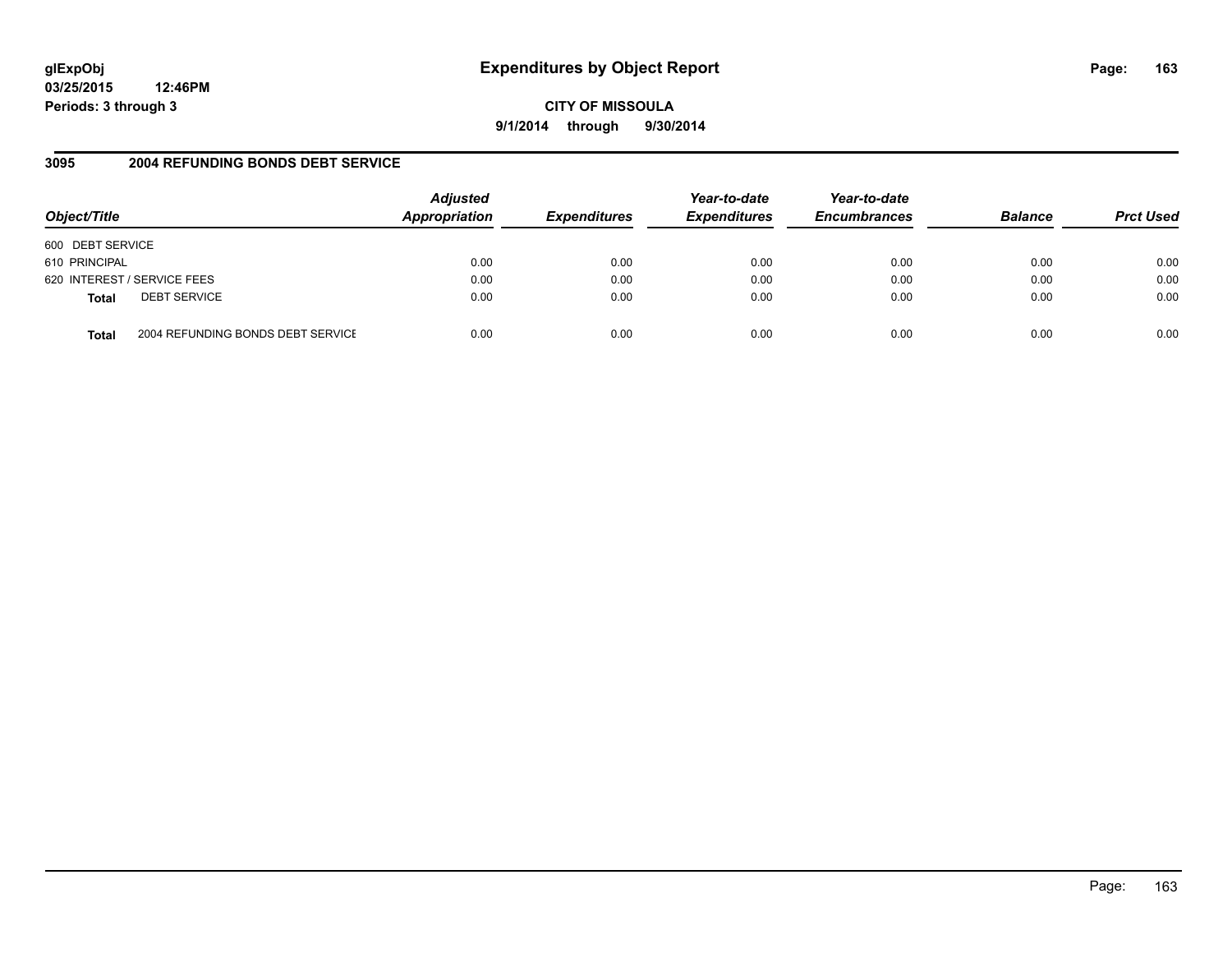# **glExpObj Expenditures by Object Report Page: 163**

**03/25/2015 12:46PM Periods: 3 through 3**

**9/1/2014 through 9/30/2014**

## **3095 2004 REFUNDING BONDS DEBT SERVICE**

| Object/Title     |                                   | <b>Adjusted</b><br>Appropriation | <b>Expenditures</b> | Year-to-date<br><b>Expenditures</b> | Year-to-date<br><b>Encumbrances</b> | <b>Balance</b> | <b>Prct Used</b> |
|------------------|-----------------------------------|----------------------------------|---------------------|-------------------------------------|-------------------------------------|----------------|------------------|
| 600 DEBT SERVICE |                                   |                                  |                     |                                     |                                     |                |                  |
| 610 PRINCIPAL    |                                   | 0.00                             | 0.00                | 0.00                                | 0.00                                | 0.00           | 0.00             |
|                  | 620 INTEREST / SERVICE FEES       | 0.00                             | 0.00                | 0.00                                | 0.00                                | 0.00           | 0.00             |
| <b>Total</b>     | <b>DEBT SERVICE</b>               | 0.00                             | 0.00                | 0.00                                | 0.00                                | 0.00           | 0.00             |
| Total            | 2004 REFUNDING BONDS DEBT SERVICE | 0.00                             | 0.00                | 0.00                                | 0.00                                | 0.00           | 0.00             |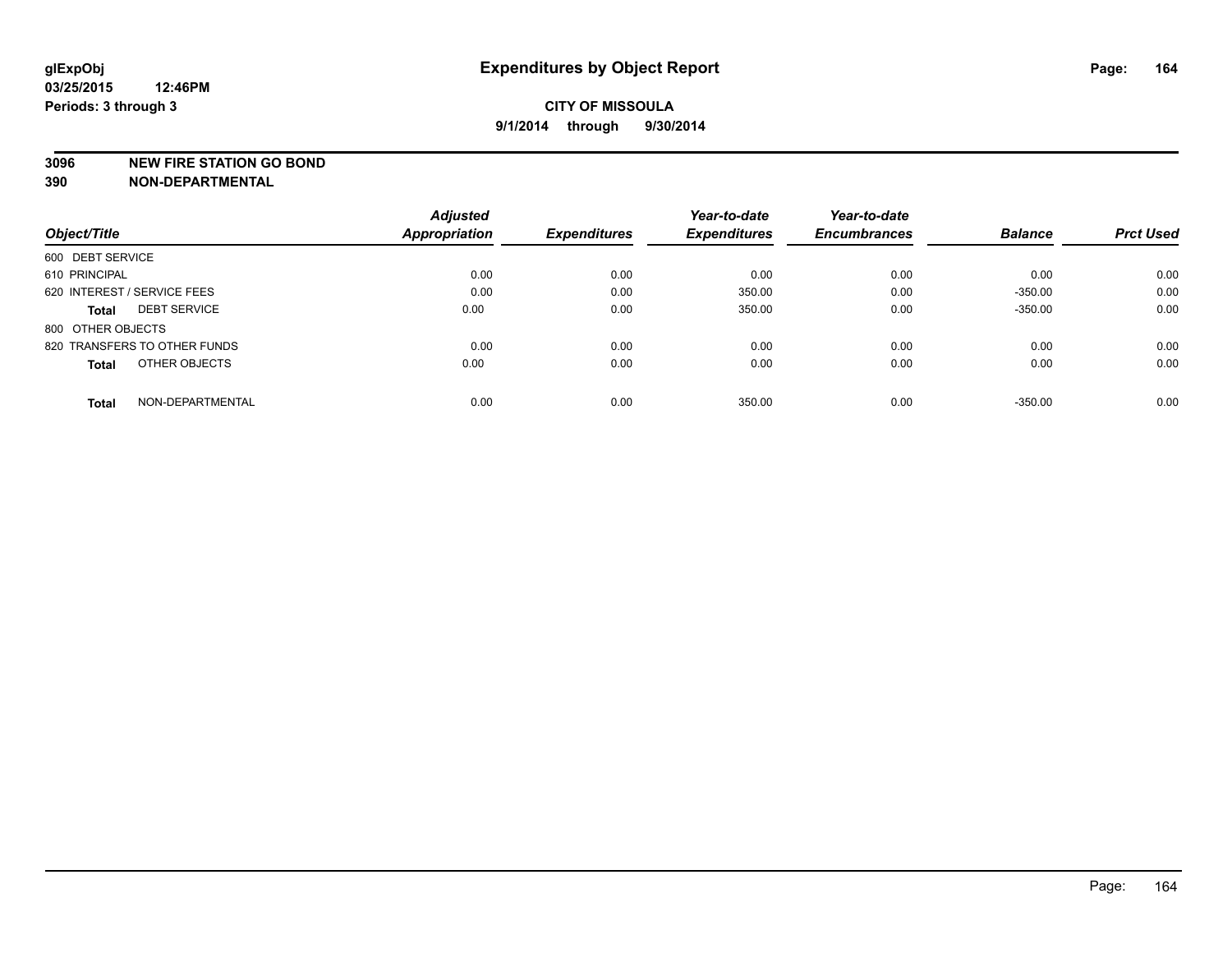#### **3096 NEW FIRE STATION GO BOND**

|                                     | <b>Adjusted</b>      |                     | Year-to-date        | Year-to-date        |                |                  |
|-------------------------------------|----------------------|---------------------|---------------------|---------------------|----------------|------------------|
| Object/Title                        | <b>Appropriation</b> | <b>Expenditures</b> | <b>Expenditures</b> | <b>Encumbrances</b> | <b>Balance</b> | <b>Prct Used</b> |
| 600 DEBT SERVICE                    |                      |                     |                     |                     |                |                  |
| 610 PRINCIPAL                       | 0.00                 | 0.00                | 0.00                | 0.00                | 0.00           | 0.00             |
| 620 INTEREST / SERVICE FEES         | 0.00                 | 0.00                | 350.00              | 0.00                | $-350.00$      | 0.00             |
| <b>DEBT SERVICE</b><br><b>Total</b> | 0.00                 | 0.00                | 350.00              | 0.00                | $-350.00$      | 0.00             |
| 800 OTHER OBJECTS                   |                      |                     |                     |                     |                |                  |
| 820 TRANSFERS TO OTHER FUNDS        | 0.00                 | 0.00                | 0.00                | 0.00                | 0.00           | 0.00             |
| OTHER OBJECTS<br><b>Total</b>       | 0.00                 | 0.00                | 0.00                | 0.00                | 0.00           | 0.00             |
| NON-DEPARTMENTAL<br>Total           | 0.00                 | 0.00                | 350.00              | 0.00                | $-350.00$      | 0.00             |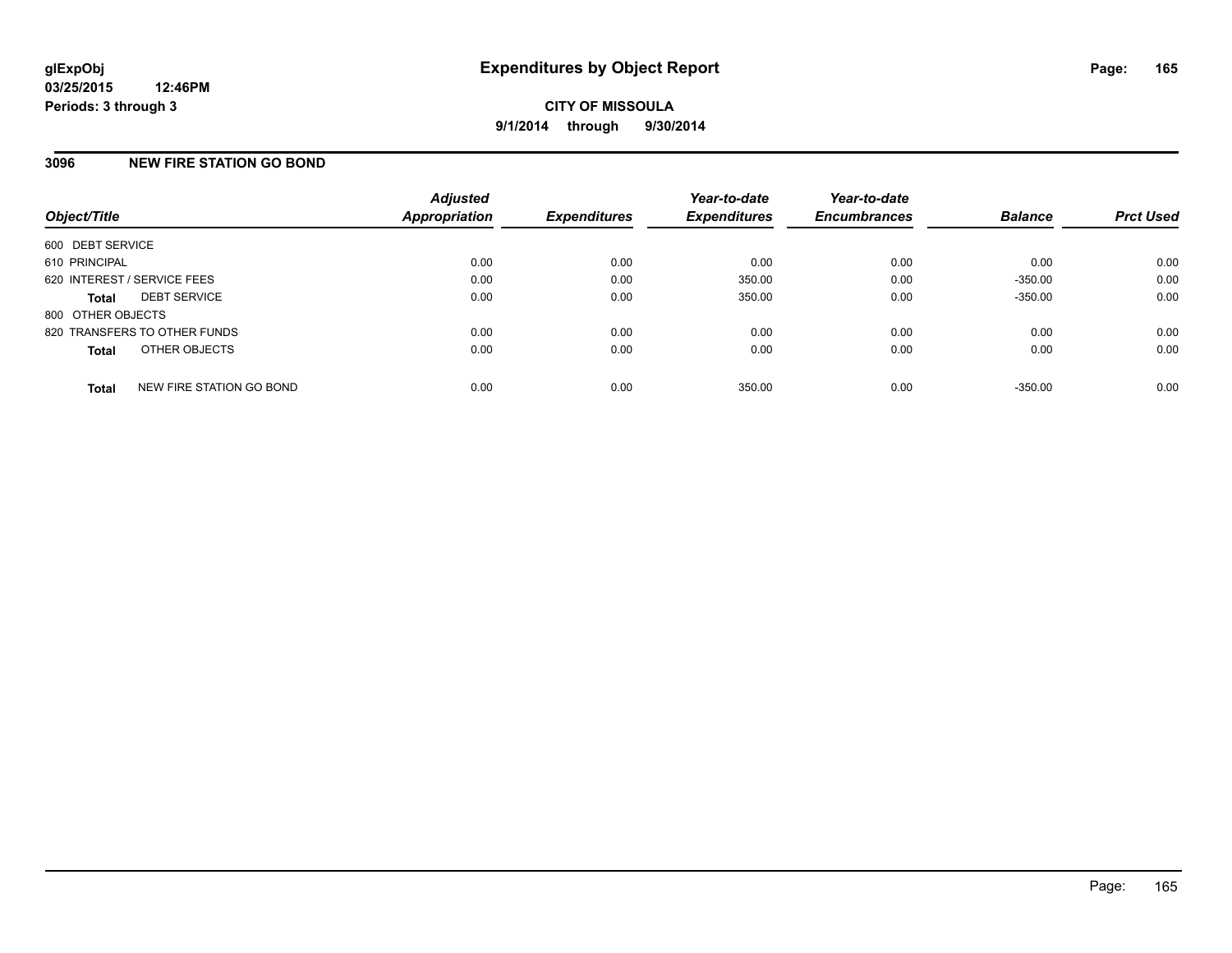## **3096 NEW FIRE STATION GO BOND**

| Object/Title                             | <b>Adjusted</b><br>Appropriation | <b>Expenditures</b> | Year-to-date<br><b>Expenditures</b> | Year-to-date<br><b>Encumbrances</b> | <b>Balance</b> | <b>Prct Used</b> |
|------------------------------------------|----------------------------------|---------------------|-------------------------------------|-------------------------------------|----------------|------------------|
| 600 DEBT SERVICE                         |                                  |                     |                                     |                                     |                |                  |
| 610 PRINCIPAL                            | 0.00                             | 0.00                | 0.00                                | 0.00                                | 0.00           | 0.00             |
| 620 INTEREST / SERVICE FEES              | 0.00                             | 0.00                | 350.00                              | 0.00                                | $-350.00$      | 0.00             |
| <b>DEBT SERVICE</b><br><b>Total</b>      | 0.00                             | 0.00                | 350.00                              | 0.00                                | $-350.00$      | 0.00             |
| 800 OTHER OBJECTS                        |                                  |                     |                                     |                                     |                |                  |
| 820 TRANSFERS TO OTHER FUNDS             | 0.00                             | 0.00                | 0.00                                | 0.00                                | 0.00           | 0.00             |
| OTHER OBJECTS<br><b>Total</b>            | 0.00                             | 0.00                | 0.00                                | 0.00                                | 0.00           | 0.00             |
| NEW FIRE STATION GO BOND<br><b>Total</b> | 0.00                             | 0.00                | 350.00                              | 0.00                                | $-350.00$      | 0.00             |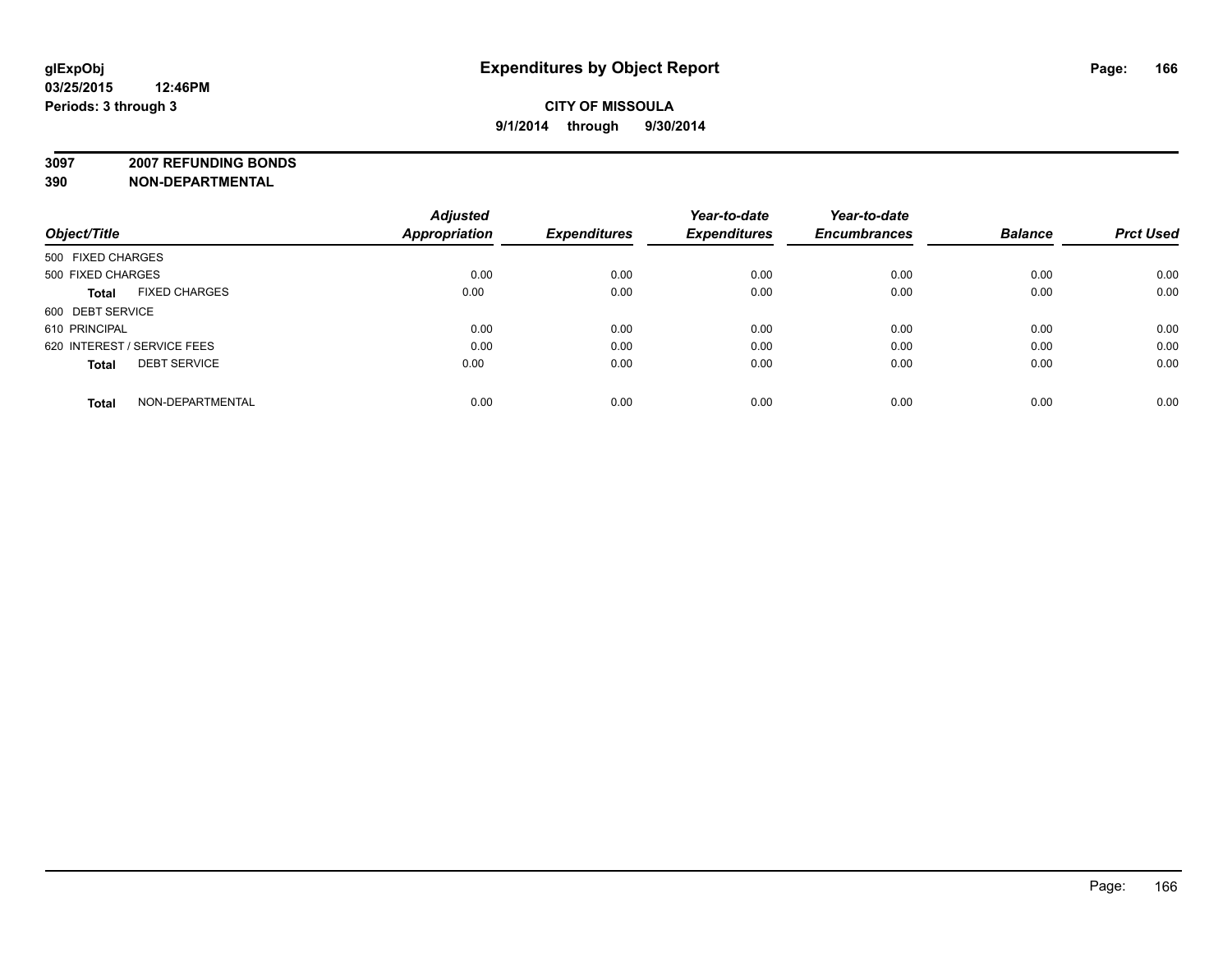## **CITY OF MISSOULA 9/1/2014 through 9/30/2014**

**3097 2007 REFUNDING BONDS**

| Object/Title                         | <b>Adjusted</b><br><b>Appropriation</b> | <b>Expenditures</b> | Year-to-date<br><b>Expenditures</b> | Year-to-date<br><b>Encumbrances</b> | <b>Balance</b> | <b>Prct Used</b> |
|--------------------------------------|-----------------------------------------|---------------------|-------------------------------------|-------------------------------------|----------------|------------------|
|                                      |                                         |                     |                                     |                                     |                |                  |
| 500 FIXED CHARGES                    |                                         |                     |                                     |                                     |                |                  |
| 500 FIXED CHARGES                    | 0.00                                    | 0.00                | 0.00                                | 0.00                                | 0.00           | 0.00             |
| <b>FIXED CHARGES</b><br><b>Total</b> | 0.00                                    | 0.00                | 0.00                                | 0.00                                | 0.00           | 0.00             |
| 600 DEBT SERVICE                     |                                         |                     |                                     |                                     |                |                  |
| 610 PRINCIPAL                        | 0.00                                    | 0.00                | 0.00                                | 0.00                                | 0.00           | 0.00             |
| 620 INTEREST / SERVICE FEES          | 0.00                                    | 0.00                | 0.00                                | 0.00                                | 0.00           | 0.00             |
| <b>DEBT SERVICE</b><br><b>Total</b>  | 0.00                                    | 0.00                | 0.00                                | 0.00                                | 0.00           | 0.00             |
| NON-DEPARTMENTAL<br><b>Total</b>     | 0.00                                    | 0.00                | 0.00                                | 0.00                                | 0.00           | 0.00             |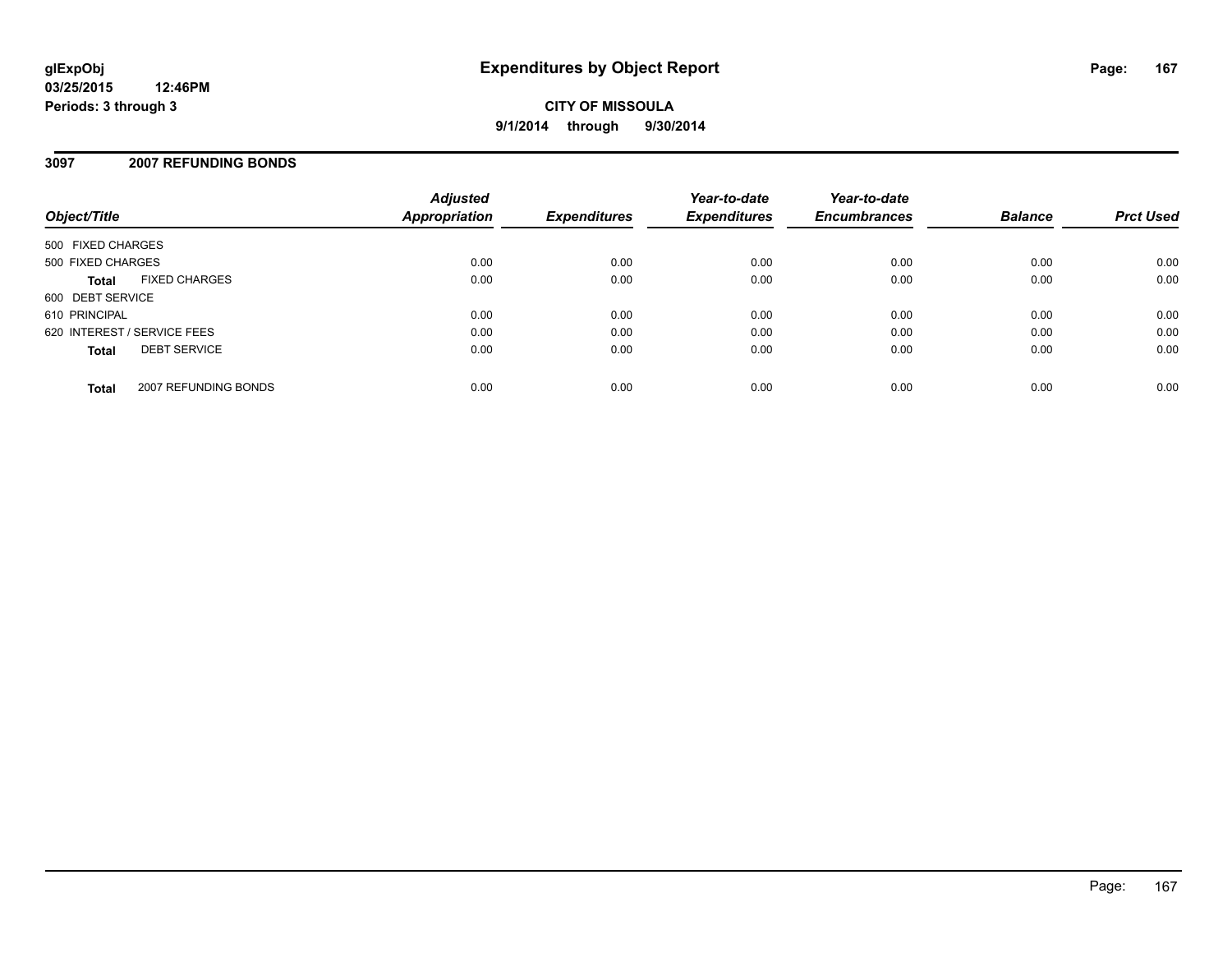## **3097 2007 REFUNDING BONDS**

| Object/Title                         | <b>Adjusted</b><br>Appropriation | <b>Expenditures</b> | Year-to-date<br><b>Expenditures</b> | Year-to-date<br><b>Encumbrances</b> | <b>Balance</b> | <b>Prct Used</b> |
|--------------------------------------|----------------------------------|---------------------|-------------------------------------|-------------------------------------|----------------|------------------|
| 500 FIXED CHARGES                    |                                  |                     |                                     |                                     |                |                  |
| 500 FIXED CHARGES                    | 0.00                             | 0.00                | 0.00                                | 0.00                                | 0.00           | 0.00             |
| <b>FIXED CHARGES</b><br><b>Total</b> | 0.00                             | 0.00                | 0.00                                | 0.00                                | 0.00           | 0.00             |
| 600 DEBT SERVICE                     |                                  |                     |                                     |                                     |                |                  |
| 610 PRINCIPAL                        | 0.00                             | 0.00                | 0.00                                | 0.00                                | 0.00           | 0.00             |
| 620 INTEREST / SERVICE FEES          | 0.00                             | 0.00                | 0.00                                | 0.00                                | 0.00           | 0.00             |
| <b>DEBT SERVICE</b><br><b>Total</b>  | 0.00                             | 0.00                | 0.00                                | 0.00                                | 0.00           | 0.00             |
| 2007 REFUNDING BONDS<br><b>Total</b> | 0.00                             | 0.00                | 0.00                                | 0.00                                | 0.00           | 0.00             |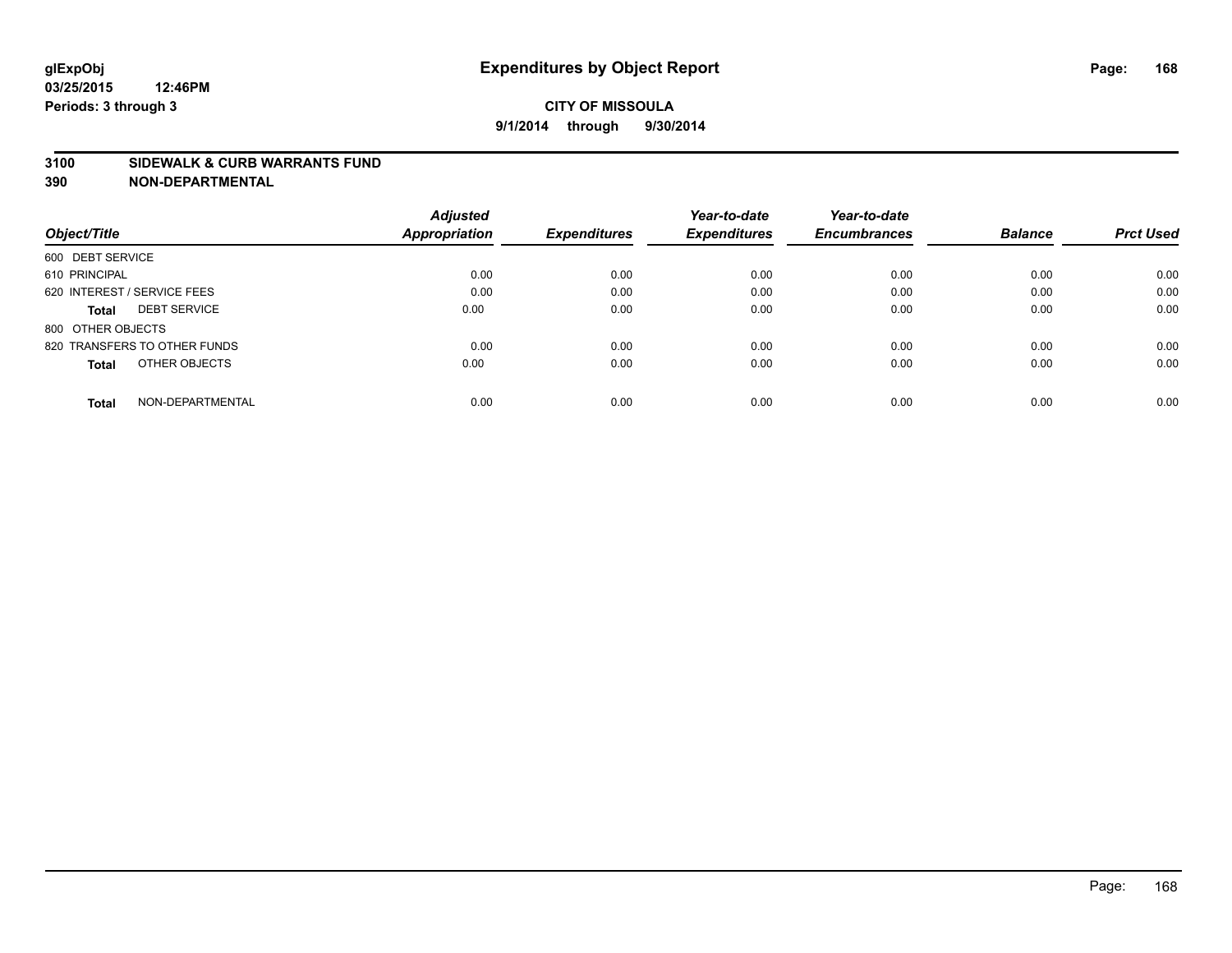#### **3100 SIDEWALK & CURB WARRANTS FUND**

|                                     | <b>Adjusted</b><br><b>Appropriation</b> | <b>Expenditures</b> | Year-to-date<br><b>Expenditures</b> | Year-to-date<br><b>Encumbrances</b> | <b>Balance</b> | <b>Prct Used</b> |
|-------------------------------------|-----------------------------------------|---------------------|-------------------------------------|-------------------------------------|----------------|------------------|
| Object/Title                        |                                         |                     |                                     |                                     |                |                  |
| 600 DEBT SERVICE                    |                                         |                     |                                     |                                     |                |                  |
| 610 PRINCIPAL                       | 0.00                                    | 0.00                | 0.00                                | 0.00                                | 0.00           | 0.00             |
| 620 INTEREST / SERVICE FEES         | 0.00                                    | 0.00                | 0.00                                | 0.00                                | 0.00           | 0.00             |
| <b>DEBT SERVICE</b><br><b>Total</b> | 0.00                                    | 0.00                | 0.00                                | 0.00                                | 0.00           | 0.00             |
| 800 OTHER OBJECTS                   |                                         |                     |                                     |                                     |                |                  |
| 820 TRANSFERS TO OTHER FUNDS        | 0.00                                    | 0.00                | 0.00                                | 0.00                                | 0.00           | 0.00             |
| OTHER OBJECTS<br><b>Total</b>       | 0.00                                    | 0.00                | 0.00                                | 0.00                                | 0.00           | 0.00             |
| NON-DEPARTMENTAL<br><b>Total</b>    | 0.00                                    | 0.00                | 0.00                                | 0.00                                | 0.00           | 0.00             |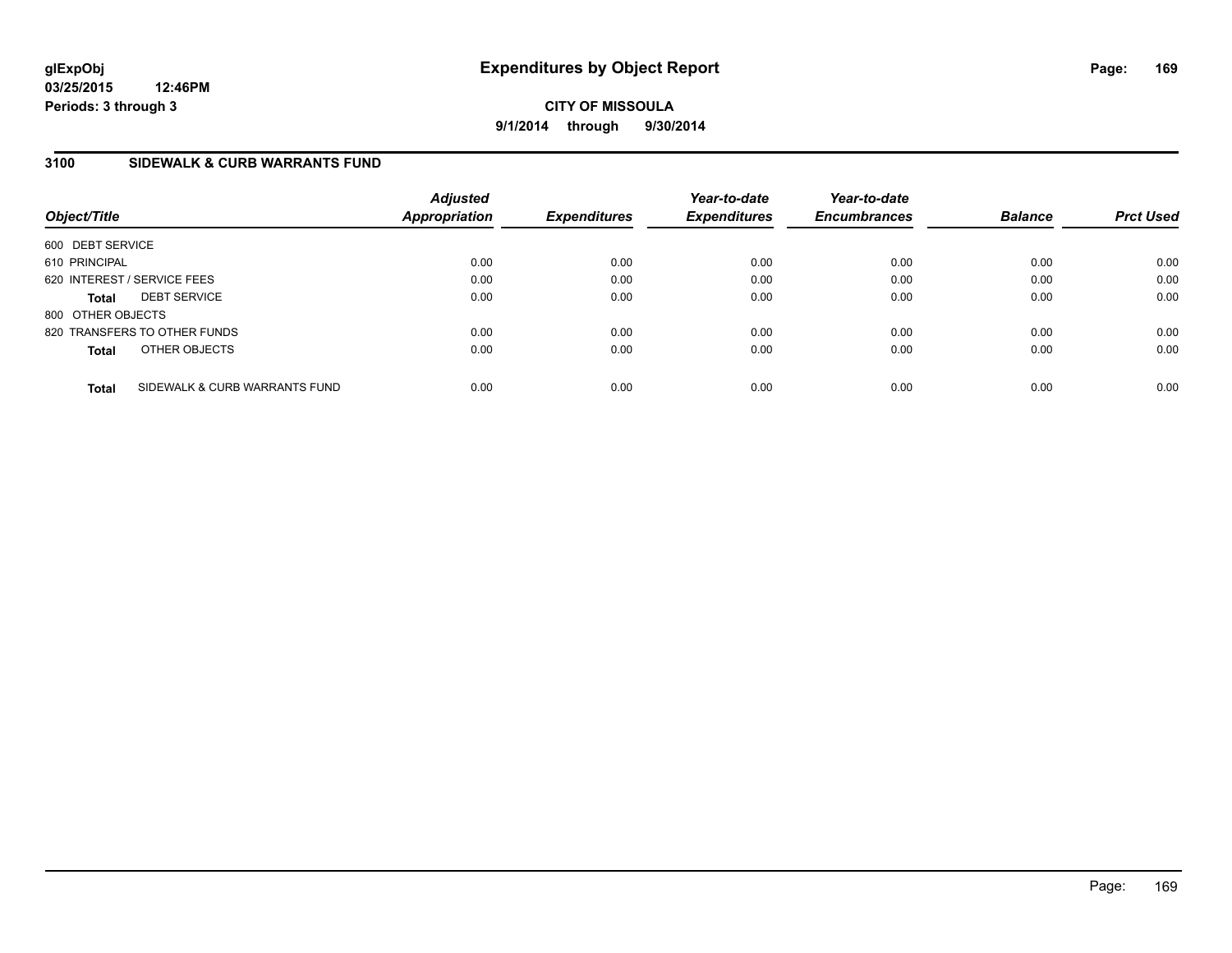**CITY OF MISSOULA 9/1/2014 through 9/30/2014**

## **3100 SIDEWALK & CURB WARRANTS FUND**

| Object/Title      |                               | <b>Adjusted</b><br>Appropriation | <b>Expenditures</b> | Year-to-date<br><b>Expenditures</b> | Year-to-date<br><b>Encumbrances</b> | <b>Balance</b> | <b>Prct Used</b> |
|-------------------|-------------------------------|----------------------------------|---------------------|-------------------------------------|-------------------------------------|----------------|------------------|
| 600 DEBT SERVICE  |                               |                                  |                     |                                     |                                     |                |                  |
| 610 PRINCIPAL     |                               | 0.00                             | 0.00                | 0.00                                | 0.00                                | 0.00           | 0.00             |
|                   | 620 INTEREST / SERVICE FEES   | 0.00                             | 0.00                | 0.00                                | 0.00                                | 0.00           | 0.00             |
| <b>Total</b>      | <b>DEBT SERVICE</b>           | 0.00                             | 0.00                | 0.00                                | 0.00                                | 0.00           | 0.00             |
| 800 OTHER OBJECTS |                               |                                  |                     |                                     |                                     |                |                  |
|                   | 820 TRANSFERS TO OTHER FUNDS  | 0.00                             | 0.00                | 0.00                                | 0.00                                | 0.00           | 0.00             |
| <b>Total</b>      | OTHER OBJECTS                 | 0.00                             | 0.00                | 0.00                                | 0.00                                | 0.00           | 0.00             |
| <b>Total</b>      | SIDEWALK & CURB WARRANTS FUND | 0.00                             | 0.00                | 0.00                                | 0.00                                | 0.00           | 0.00             |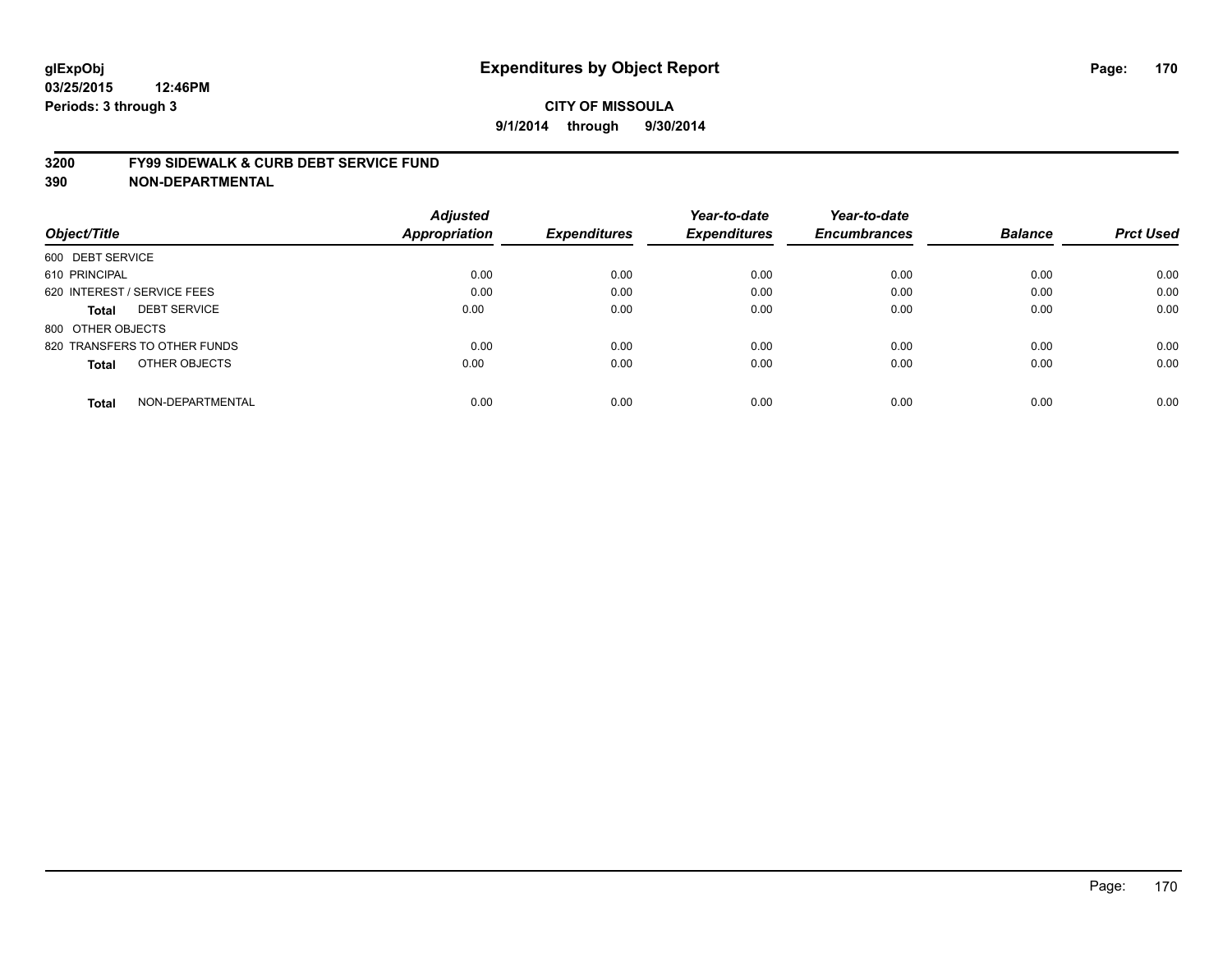#### **3200 FY99 SIDEWALK & CURB DEBT SERVICE FUND**

| Object/Title                     | <b>Adjusted</b><br><b>Appropriation</b> | <b>Expenditures</b> | Year-to-date<br><b>Expenditures</b> | Year-to-date<br><b>Encumbrances</b> | <b>Balance</b> | <b>Prct Used</b> |
|----------------------------------|-----------------------------------------|---------------------|-------------------------------------|-------------------------------------|----------------|------------------|
|                                  |                                         |                     |                                     |                                     |                |                  |
| 600 DEBT SERVICE                 |                                         |                     |                                     |                                     |                |                  |
| 610 PRINCIPAL                    | 0.00                                    | 0.00                | 0.00                                | 0.00                                | 0.00           | 0.00             |
| 620 INTEREST / SERVICE FEES      | 0.00                                    | 0.00                | 0.00                                | 0.00                                | 0.00           | 0.00             |
| <b>DEBT SERVICE</b><br>Total     | 0.00                                    | 0.00                | 0.00                                | 0.00                                | 0.00           | 0.00             |
| 800 OTHER OBJECTS                |                                         |                     |                                     |                                     |                |                  |
| 820 TRANSFERS TO OTHER FUNDS     | 0.00                                    | 0.00                | 0.00                                | 0.00                                | 0.00           | 0.00             |
| OTHER OBJECTS<br>Total           | 0.00                                    | 0.00                | 0.00                                | 0.00                                | 0.00           | 0.00             |
| NON-DEPARTMENTAL<br><b>Total</b> | 0.00                                    | 0.00                | 0.00                                | 0.00                                | 0.00           | 0.00             |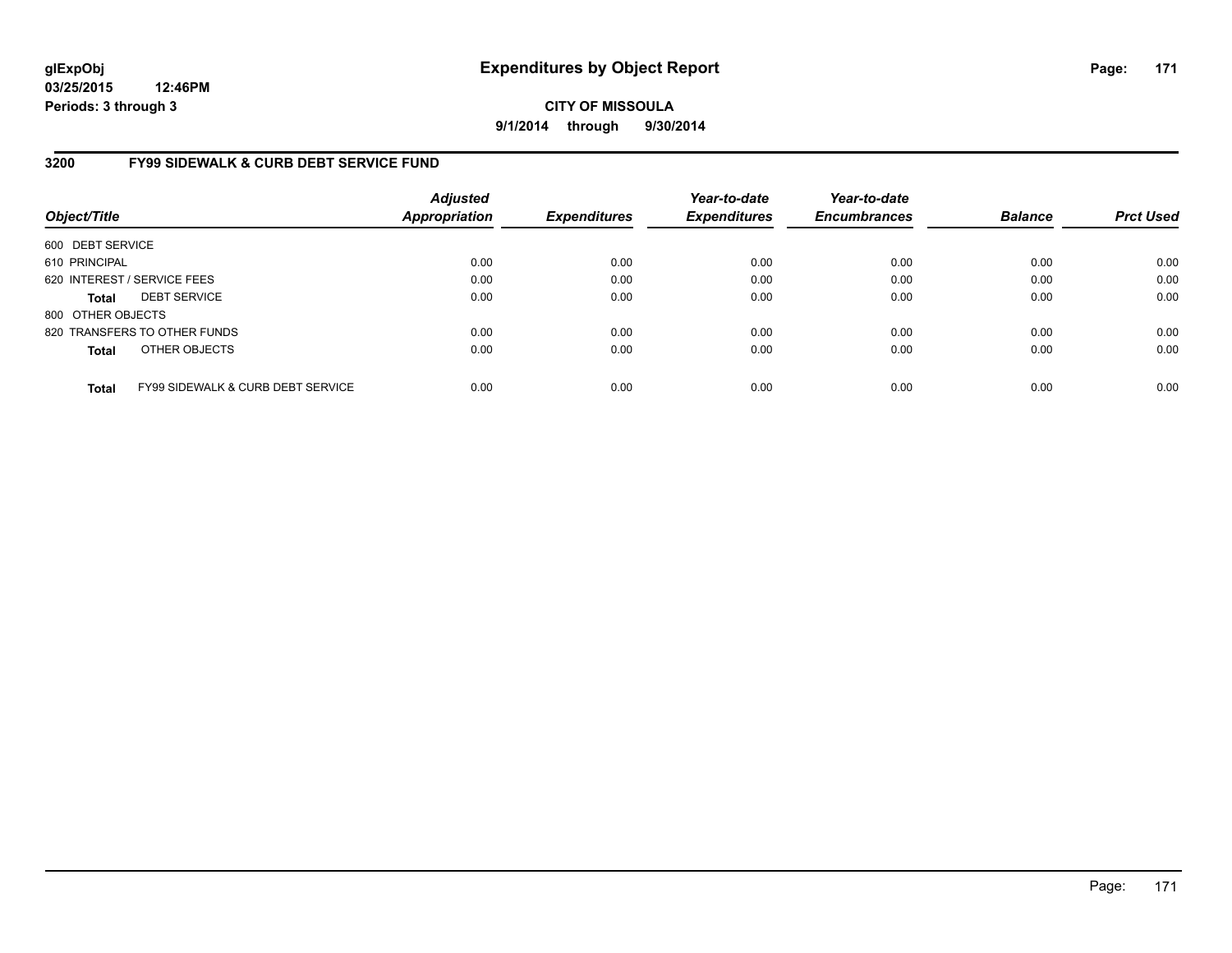**CITY OF MISSOULA 9/1/2014 through 9/30/2014**

## **3200 FY99 SIDEWALK & CURB DEBT SERVICE FUND**

| Object/Title      |                                              | <b>Adjusted</b><br><b>Appropriation</b> | <b>Expenditures</b> | Year-to-date<br><b>Expenditures</b> | Year-to-date<br><b>Encumbrances</b> | <b>Balance</b> | <b>Prct Used</b> |
|-------------------|----------------------------------------------|-----------------------------------------|---------------------|-------------------------------------|-------------------------------------|----------------|------------------|
| 600 DEBT SERVICE  |                                              |                                         |                     |                                     |                                     |                |                  |
| 610 PRINCIPAL     |                                              | 0.00                                    | 0.00                | 0.00                                | 0.00                                | 0.00           | 0.00             |
|                   | 620 INTEREST / SERVICE FEES                  | 0.00                                    | 0.00                | 0.00                                | 0.00                                | 0.00           | 0.00             |
| <b>Total</b>      | <b>DEBT SERVICE</b>                          | 0.00                                    | 0.00                | 0.00                                | 0.00                                | 0.00           | 0.00             |
| 800 OTHER OBJECTS |                                              |                                         |                     |                                     |                                     |                |                  |
|                   | 820 TRANSFERS TO OTHER FUNDS                 | 0.00                                    | 0.00                | 0.00                                | 0.00                                | 0.00           | 0.00             |
| <b>Total</b>      | OTHER OBJECTS                                | 0.00                                    | 0.00                | 0.00                                | 0.00                                | 0.00           | 0.00             |
| <b>Total</b>      | <b>FY99 SIDEWALK &amp; CURB DEBT SERVICE</b> | 0.00                                    | 0.00                | 0.00                                | 0.00                                | 0.00           | 0.00             |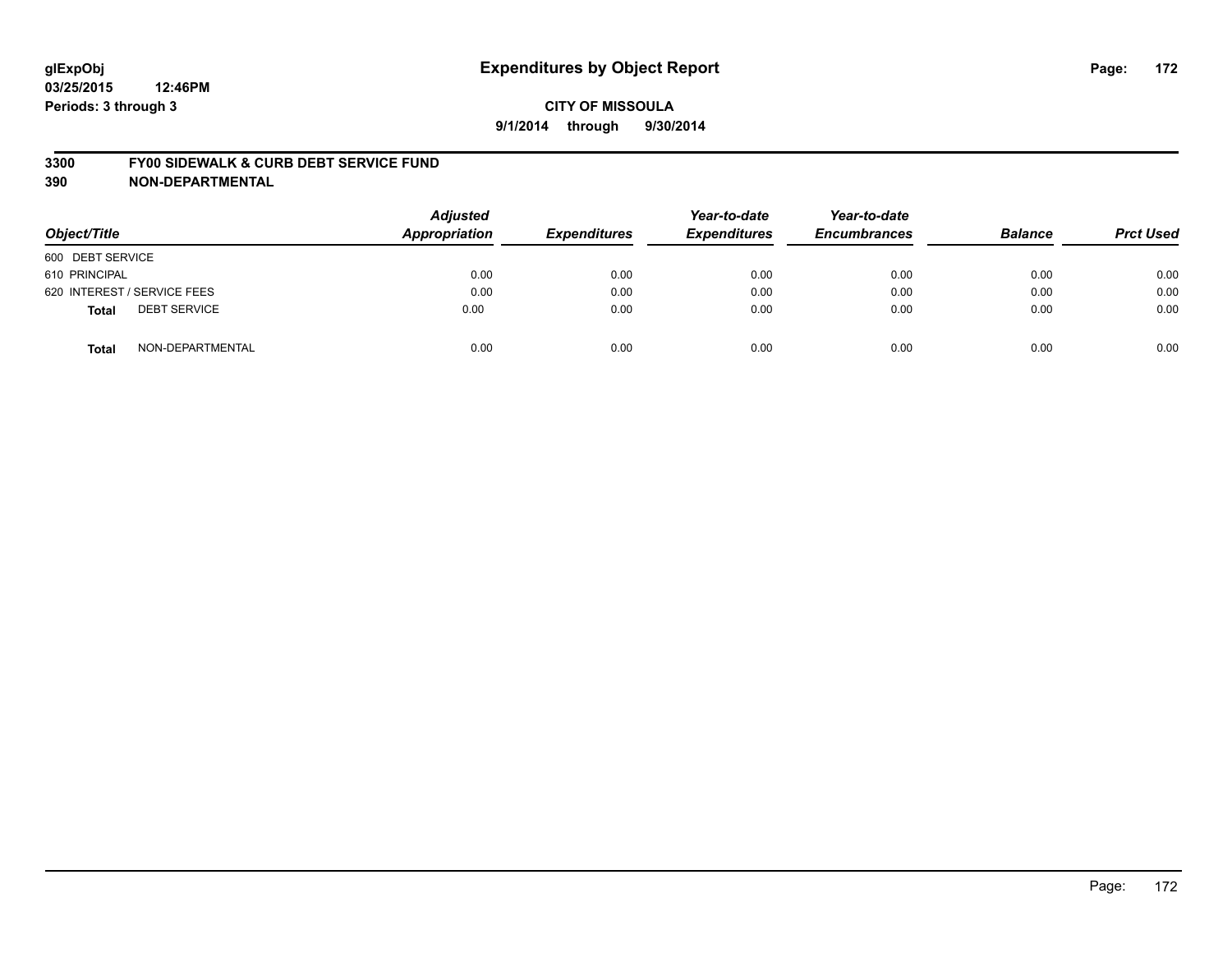#### **3300 FY00 SIDEWALK & CURB DEBT SERVICE FUND**

| Object/Title                        | <b>Adjusted</b><br><b>Appropriation</b> | <b>Expenditures</b> | Year-to-date<br><b>Expenditures</b> | Year-to-date<br><b>Encumbrances</b> | <b>Balance</b> | <b>Prct Used</b> |
|-------------------------------------|-----------------------------------------|---------------------|-------------------------------------|-------------------------------------|----------------|------------------|
| 600 DEBT SERVICE                    |                                         |                     |                                     |                                     |                |                  |
| 610 PRINCIPAL                       | 0.00                                    | 0.00                | 0.00                                | 0.00                                | 0.00           | 0.00             |
| 620 INTEREST / SERVICE FEES         | 0.00                                    | 0.00                | 0.00                                | 0.00                                | 0.00           | 0.00             |
| <b>DEBT SERVICE</b><br><b>Total</b> | 0.00                                    | 0.00                | 0.00                                | 0.00                                | 0.00           | 0.00             |
| NON-DEPARTMENTAL<br><b>Total</b>    | 0.00                                    | 0.00                | 0.00                                | 0.00                                | 0.00           | 0.00             |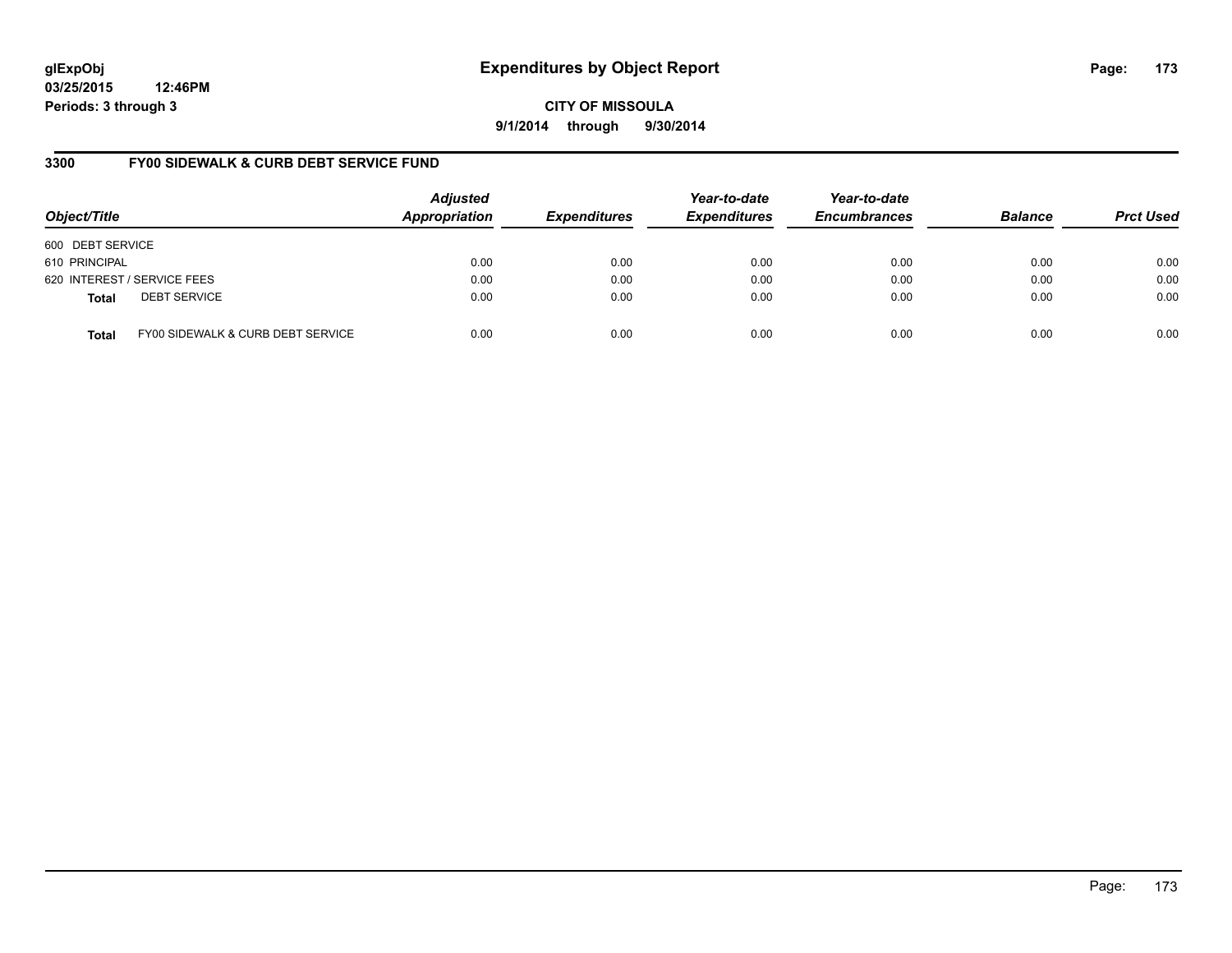# **glExpObj Expenditures by Object Report Page: 173**

**03/25/2015 12:46PM Periods: 3 through 3**

**9/1/2014 through 9/30/2014**

## **3300 FY00 SIDEWALK & CURB DEBT SERVICE FUND**

| Object/Title     |                                   | <b>Adjusted</b><br>Appropriation | <b>Expenditures</b> | Year-to-date<br><b>Expenditures</b> | Year-to-date<br><b>Encumbrances</b> | <b>Balance</b> | <b>Prct Used</b> |
|------------------|-----------------------------------|----------------------------------|---------------------|-------------------------------------|-------------------------------------|----------------|------------------|
| 600 DEBT SERVICE |                                   |                                  |                     |                                     |                                     |                |                  |
| 610 PRINCIPAL    |                                   | 0.00                             | 0.00                | 0.00                                | 0.00                                | 0.00           | 0.00             |
|                  | 620 INTEREST / SERVICE FEES       | 0.00                             | 0.00                | 0.00                                | 0.00                                | 0.00           | 0.00             |
| <b>Total</b>     | <b>DEBT SERVICE</b>               | 0.00                             | 0.00                | 0.00                                | 0.00                                | 0.00           | 0.00             |
| Total            | FY00 SIDEWALK & CURB DEBT SERVICE | 0.00                             | 0.00                | 0.00                                | 0.00                                | 0.00           | 0.00             |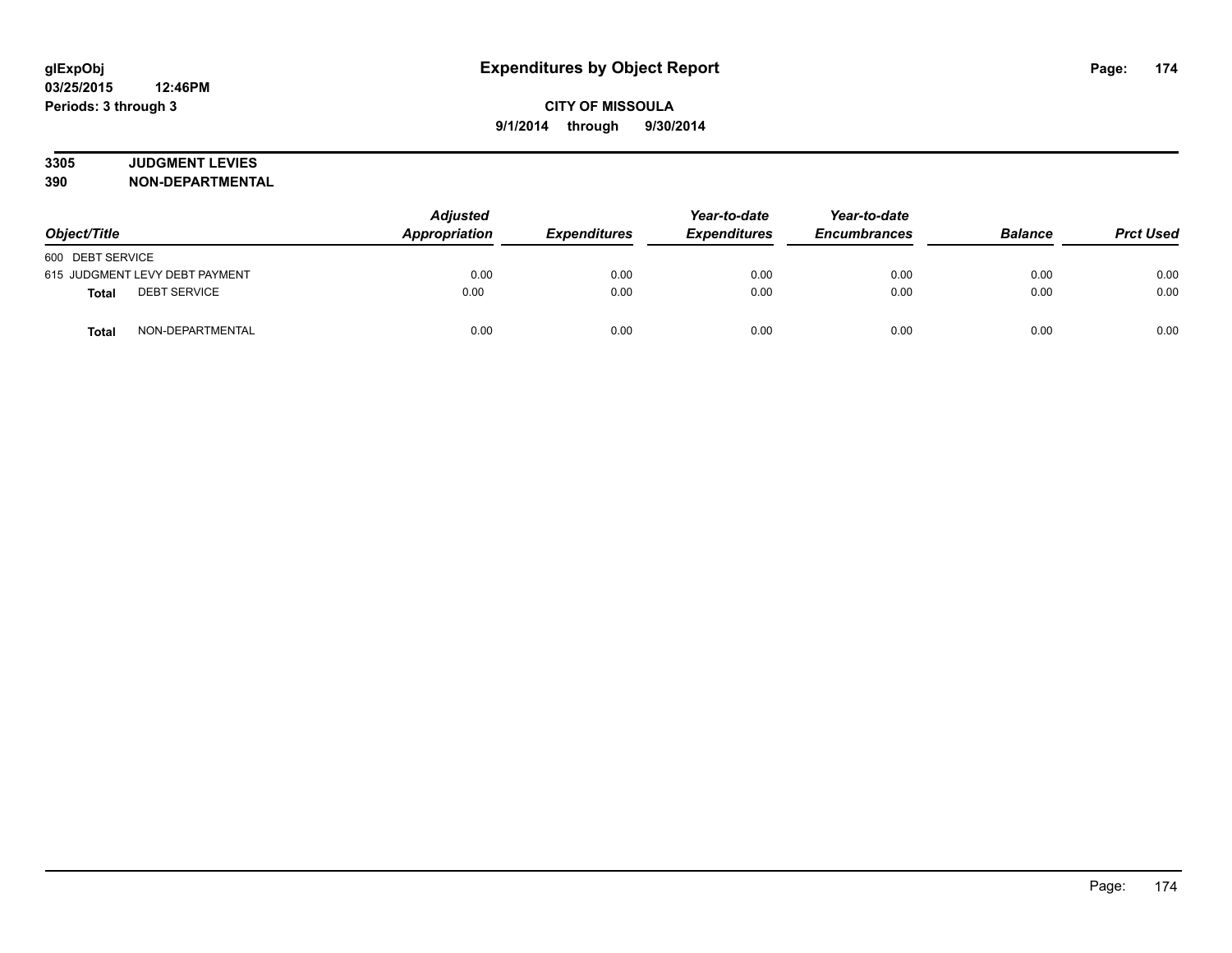# **3305 JUDGMENT LEVIES**

| Object/Title                        | <b>Adjusted</b><br>Appropriation | <b>Expenditures</b> | Year-to-date<br><b>Expenditures</b> | Year-to-date<br><b>Encumbrances</b> | <b>Balance</b> | <b>Prct Used</b> |
|-------------------------------------|----------------------------------|---------------------|-------------------------------------|-------------------------------------|----------------|------------------|
| 600 DEBT SERVICE                    |                                  |                     |                                     |                                     |                |                  |
| 615 JUDGMENT LEVY DEBT PAYMENT      | 0.00                             | 0.00                | 0.00                                | 0.00                                | 0.00           | 0.00             |
| <b>DEBT SERVICE</b><br><b>Total</b> | 0.00                             | 0.00                | 0.00                                | 0.00                                | 0.00           | 0.00             |
| NON-DEPARTMENTAL<br>Total           | 0.00                             | 0.00                | 0.00                                | 0.00                                | 0.00           | 0.00             |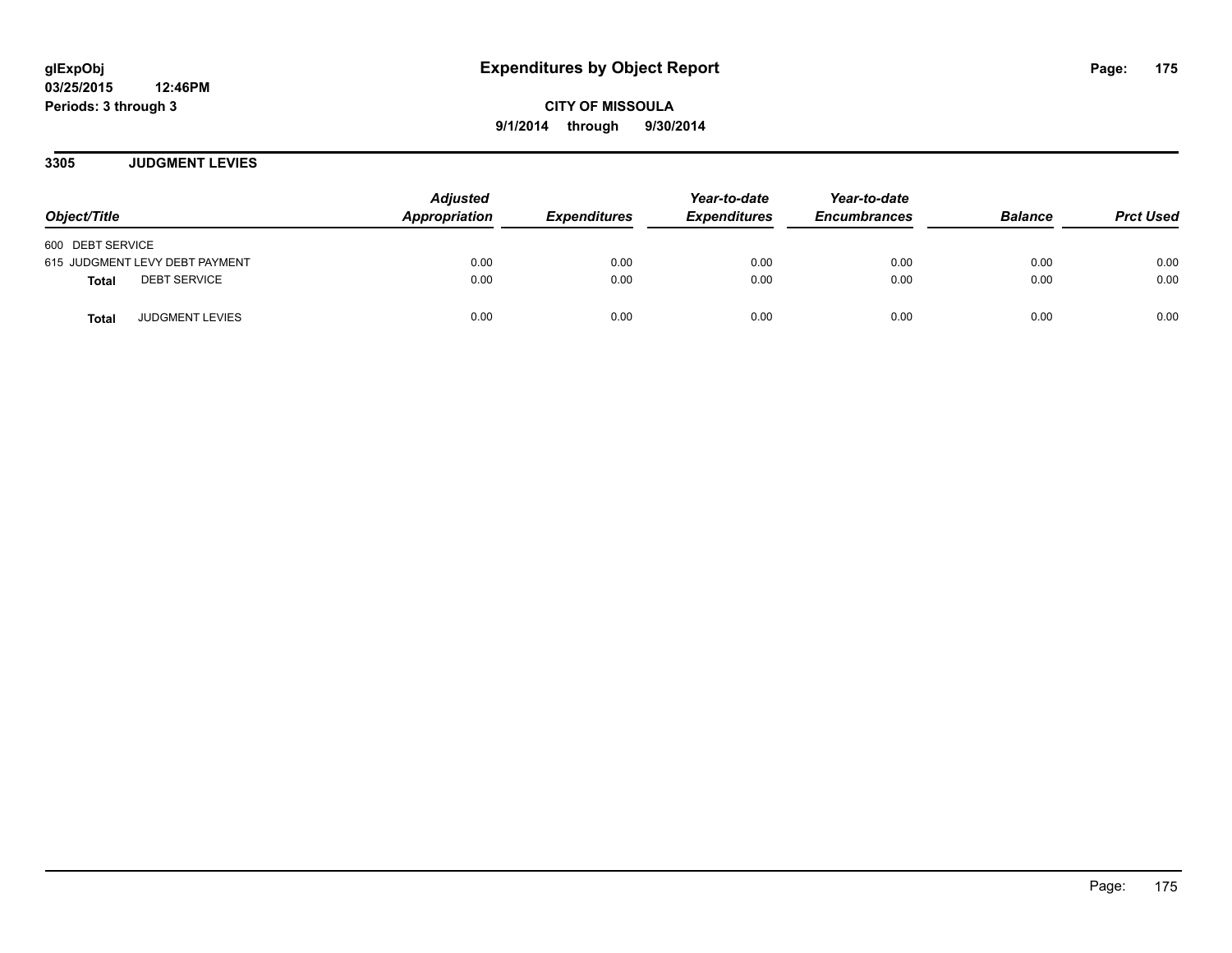**3305 JUDGMENT LEVIES**

| Object/Title                           | <b>Adjusted</b><br>Appropriation | <b>Expenditures</b> | Year-to-date<br><b>Expenditures</b> | Year-to-date<br><b>Encumbrances</b> | <b>Balance</b> | <b>Prct Used</b> |
|----------------------------------------|----------------------------------|---------------------|-------------------------------------|-------------------------------------|----------------|------------------|
| 600 DEBT SERVICE                       |                                  |                     |                                     |                                     |                |                  |
| 615 JUDGMENT LEVY DEBT PAYMENT         | 0.00                             | 0.00                | 0.00                                | 0.00                                | 0.00           | 0.00             |
| <b>DEBT SERVICE</b><br><b>Total</b>    | 0.00                             | 0.00                | 0.00                                | 0.00                                | 0.00           | 0.00             |
| <b>JUDGMENT LEVIES</b><br><b>Total</b> | 0.00                             | 0.00                | 0.00                                | 0.00                                | 0.00           | 0.00             |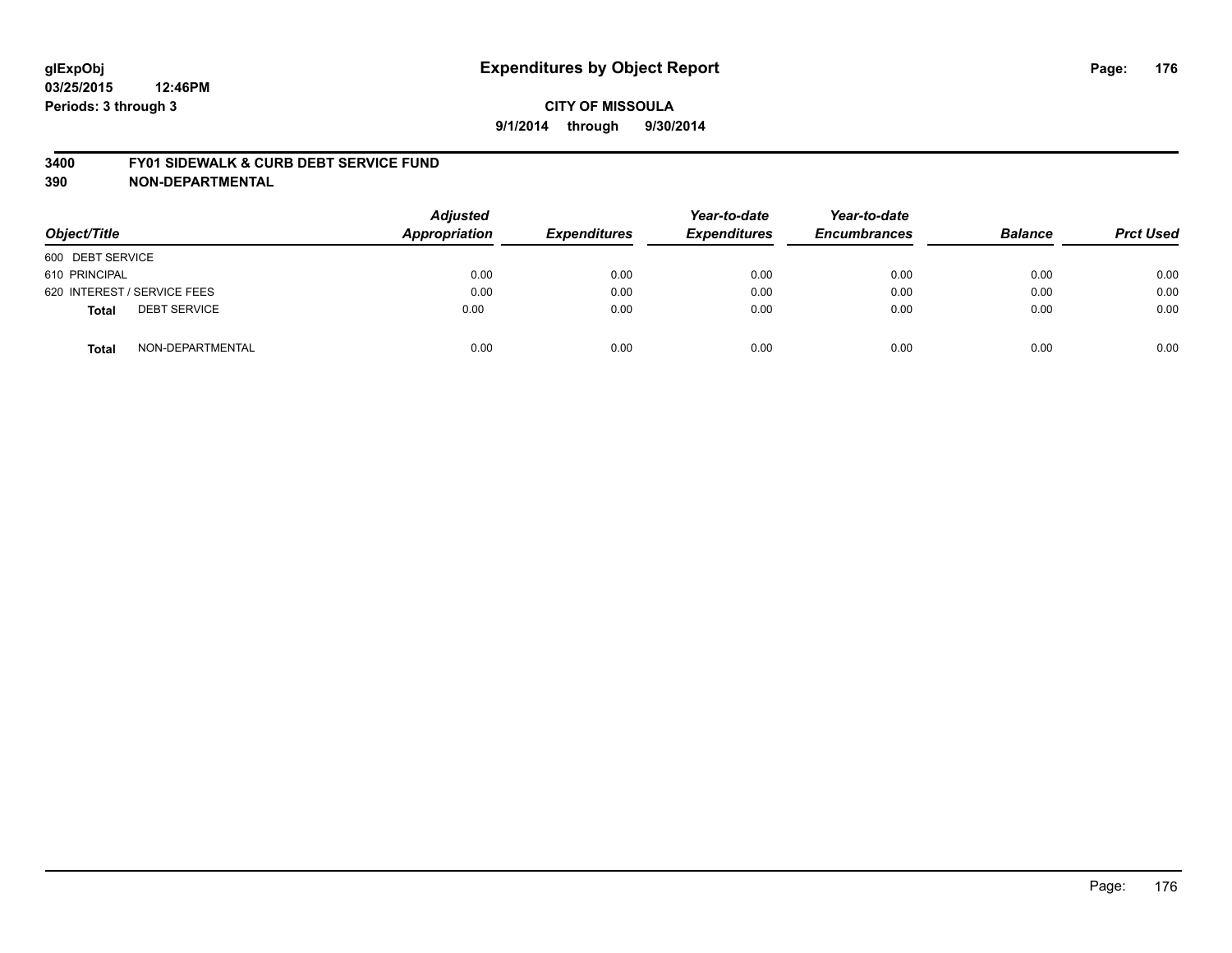#### **3400 FY01 SIDEWALK & CURB DEBT SERVICE FUND**

| Object/Title                        | <b>Adjusted</b><br><b>Appropriation</b> | <b>Expenditures</b> | Year-to-date<br><b>Expenditures</b> | Year-to-date<br><b>Encumbrances</b> | <b>Balance</b> | <b>Prct Used</b> |
|-------------------------------------|-----------------------------------------|---------------------|-------------------------------------|-------------------------------------|----------------|------------------|
| 600 DEBT SERVICE                    |                                         |                     |                                     |                                     |                |                  |
| 610 PRINCIPAL                       | 0.00                                    | 0.00                | 0.00                                | 0.00                                | 0.00           | 0.00             |
| 620 INTEREST / SERVICE FEES         | 0.00                                    | 0.00                | 0.00                                | 0.00                                | 0.00           | 0.00             |
| <b>DEBT SERVICE</b><br><b>Total</b> | 0.00                                    | 0.00                | 0.00                                | 0.00                                | 0.00           | 0.00             |
| NON-DEPARTMENTAL<br><b>Total</b>    | 0.00                                    | 0.00                | 0.00                                | 0.00                                | 0.00           | 0.00             |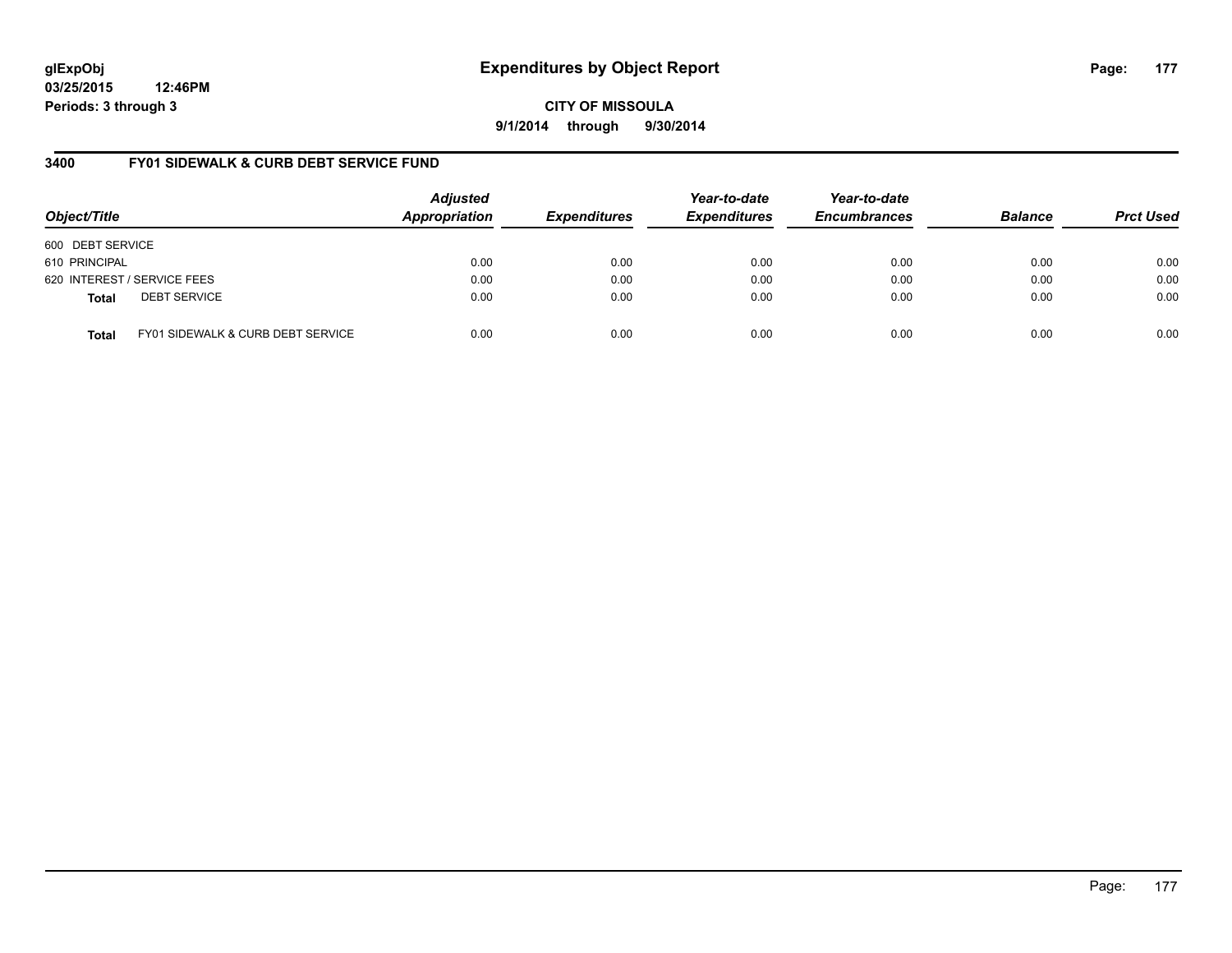# **glExpObj Expenditures by Object Report Page: 177**

**03/25/2015 12:46PM Periods: 3 through 3**

**9/1/2014 through 9/30/2014**

## **3400 FY01 SIDEWALK & CURB DEBT SERVICE FUND**

| Object/Title     |                                   | <b>Adjusted</b><br>Appropriation | <b>Expenditures</b> | Year-to-date<br><b>Expenditures</b> | Year-to-date<br><b>Encumbrances</b> | <b>Balance</b> | <b>Prct Used</b> |
|------------------|-----------------------------------|----------------------------------|---------------------|-------------------------------------|-------------------------------------|----------------|------------------|
| 600 DEBT SERVICE |                                   |                                  |                     |                                     |                                     |                |                  |
| 610 PRINCIPAL    |                                   | 0.00                             | 0.00                | 0.00                                | 0.00                                | 0.00           | 0.00             |
|                  | 620 INTEREST / SERVICE FEES       | 0.00                             | 0.00                | 0.00                                | 0.00                                | 0.00           | 0.00             |
| <b>Total</b>     | <b>DEBT SERVICE</b>               | 0.00                             | 0.00                | 0.00                                | 0.00                                | 0.00           | 0.00             |
| Total            | FY01 SIDEWALK & CURB DEBT SERVICE | 0.00                             | 0.00                | 0.00                                | 0.00                                | 0.00           | 0.00             |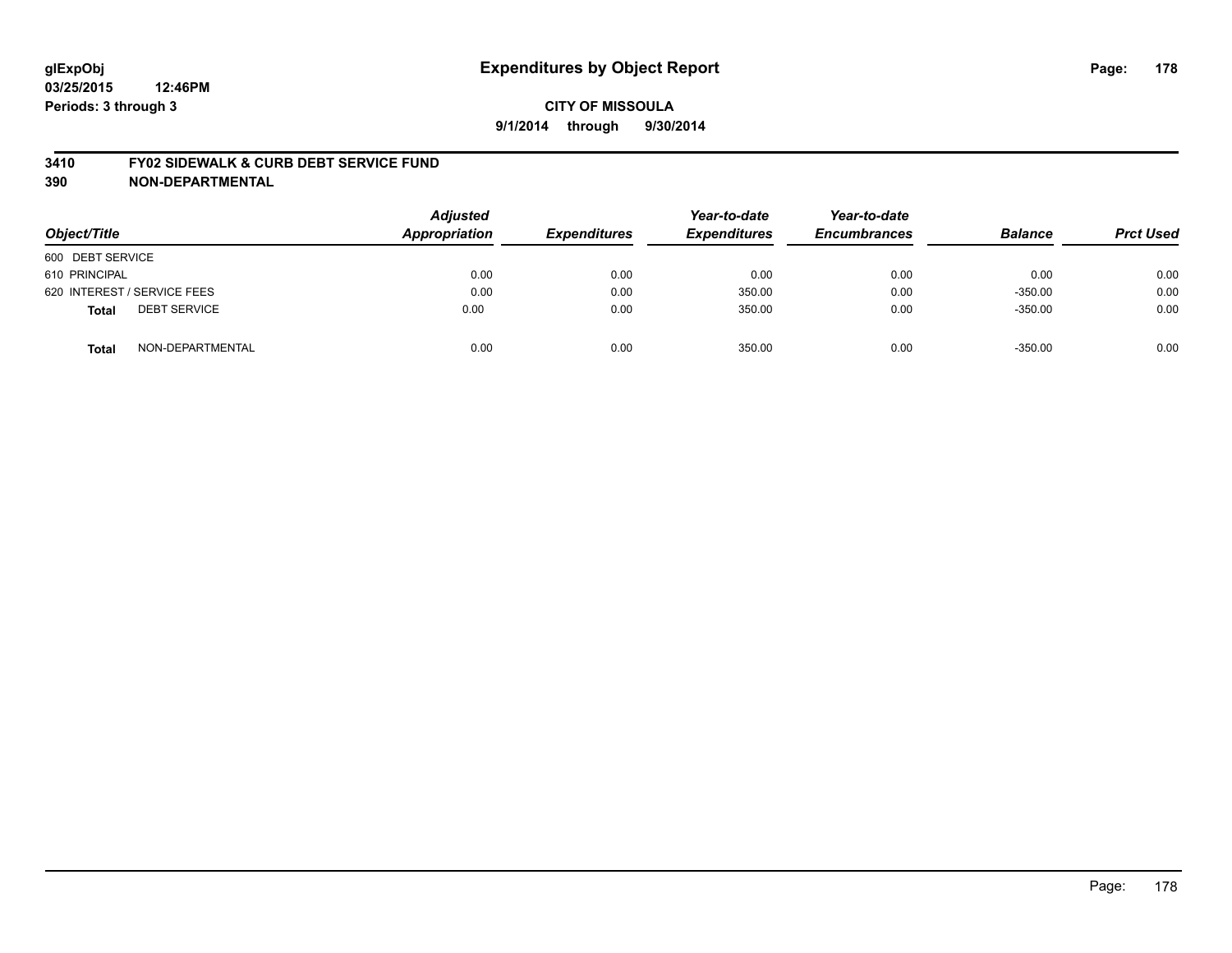#### **3410 FY02 SIDEWALK & CURB DEBT SERVICE FUND**

| Object/Title                        | <b>Adjusted</b><br><b>Appropriation</b> | <b>Expenditures</b> | Year-to-date<br><b>Expenditures</b> | Year-to-date<br><b>Encumbrances</b> | <b>Balance</b> | <b>Prct Used</b> |
|-------------------------------------|-----------------------------------------|---------------------|-------------------------------------|-------------------------------------|----------------|------------------|
| 600 DEBT SERVICE                    |                                         |                     |                                     |                                     |                |                  |
| 610 PRINCIPAL                       | 0.00                                    | 0.00                | 0.00                                | 0.00                                | 0.00           | 0.00             |
| 620 INTEREST / SERVICE FEES         | 0.00                                    | 0.00                | 350.00                              | 0.00                                | $-350.00$      | 0.00             |
| <b>DEBT SERVICE</b><br><b>Total</b> | 0.00                                    | 0.00                | 350.00                              | 0.00                                | $-350.00$      | 0.00             |
| NON-DEPARTMENTAL<br><b>Total</b>    | 0.00                                    | 0.00                | 350.00                              | 0.00                                | $-350.00$      | 0.00             |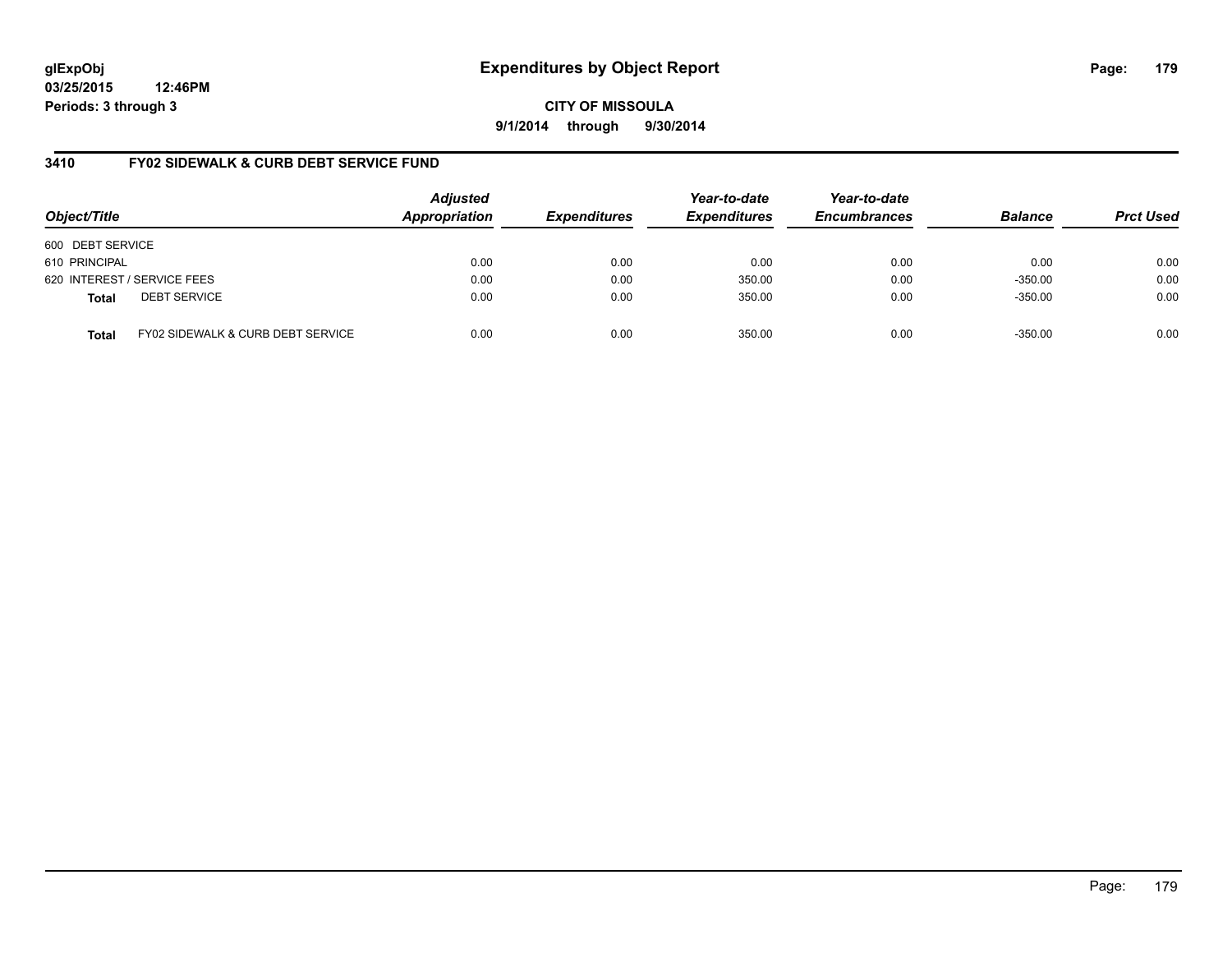**CITY OF MISSOULA 9/1/2014 through 9/30/2014**

## **3410 FY02 SIDEWALK & CURB DEBT SERVICE FUND**

| Object/Title     |                                   | <b>Adjusted</b><br>Appropriation | <b>Expenditures</b> | Year-to-date<br><b>Expenditures</b> | Year-to-date<br><b>Encumbrances</b> | <b>Balance</b> | <b>Prct Used</b> |
|------------------|-----------------------------------|----------------------------------|---------------------|-------------------------------------|-------------------------------------|----------------|------------------|
| 600 DEBT SERVICE |                                   |                                  |                     |                                     |                                     |                |                  |
| 610 PRINCIPAL    |                                   | 0.00                             | 0.00                | 0.00                                | 0.00                                | 0.00           | 0.00             |
|                  | 620 INTEREST / SERVICE FEES       | 0.00                             | 0.00                | 350.00                              | 0.00                                | $-350.00$      | 0.00             |
| <b>Total</b>     | <b>DEBT SERVICE</b>               | 0.00                             | 0.00                | 350.00                              | 0.00                                | $-350.00$      | 0.00             |
| <b>Total</b>     | FY02 SIDEWALK & CURB DEBT SERVICE | 0.00                             | 0.00                | 350.00                              | 0.00                                | $-350.00$      | 0.00             |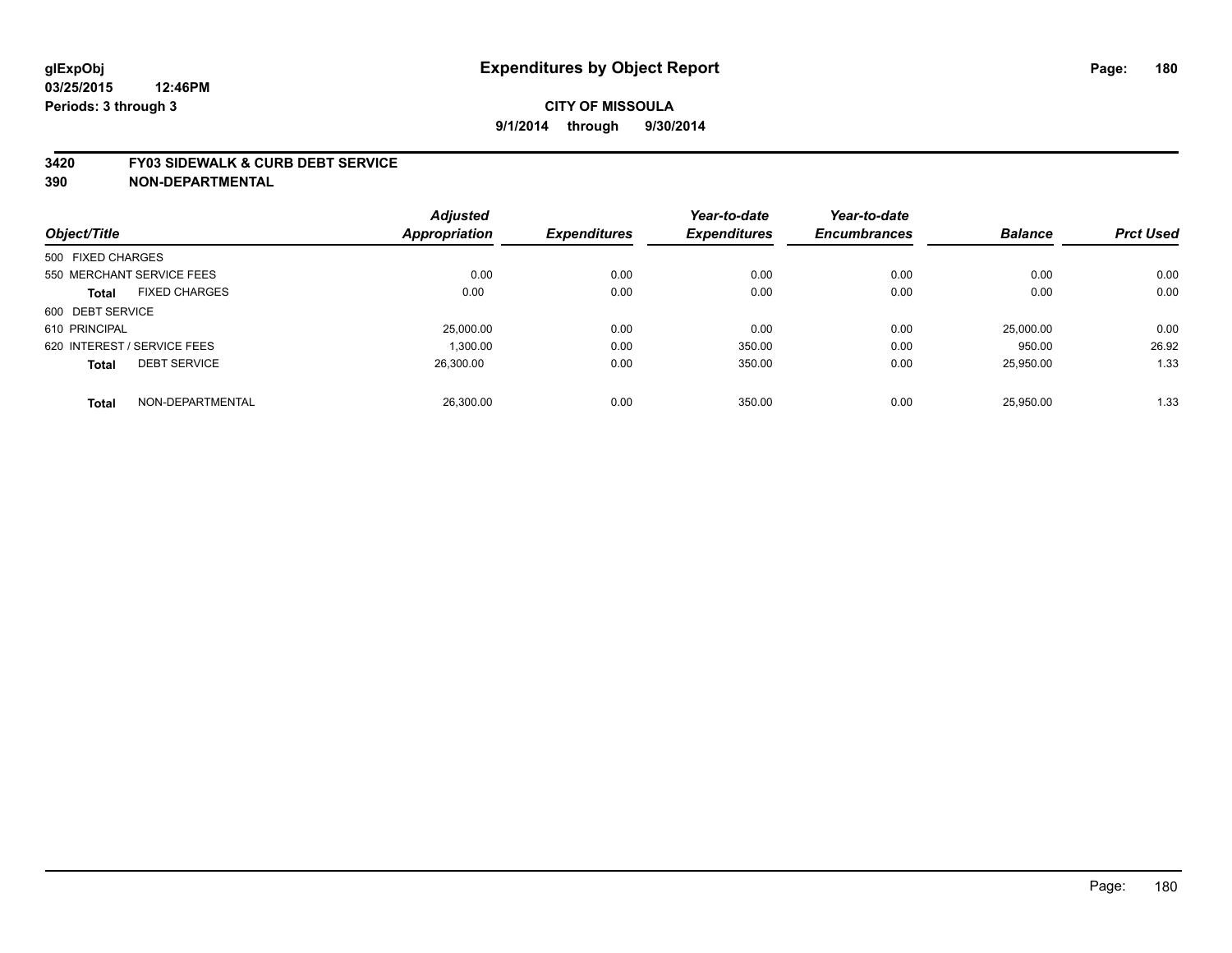#### **3420 FY03 SIDEWALK & CURB DEBT SERVICE**

|                             |                      | <b>Adjusted</b>      |                     | Year-to-date        | Year-to-date        |                |                  |
|-----------------------------|----------------------|----------------------|---------------------|---------------------|---------------------|----------------|------------------|
| Object/Title                |                      | <b>Appropriation</b> | <b>Expenditures</b> | <b>Expenditures</b> | <b>Encumbrances</b> | <b>Balance</b> | <b>Prct Used</b> |
| 500 FIXED CHARGES           |                      |                      |                     |                     |                     |                |                  |
| 550 MERCHANT SERVICE FEES   |                      | 0.00                 | 0.00                | 0.00                | 0.00                | 0.00           | 0.00             |
| <b>Total</b>                | <b>FIXED CHARGES</b> | 0.00                 | 0.00                | 0.00                | 0.00                | 0.00           | 0.00             |
| 600 DEBT SERVICE            |                      |                      |                     |                     |                     |                |                  |
| 610 PRINCIPAL               |                      | 25,000.00            | 0.00                | 0.00                | 0.00                | 25,000.00      | 0.00             |
| 620 INTEREST / SERVICE FEES |                      | 1.300.00             | 0.00                | 350.00              | 0.00                | 950.00         | 26.92            |
| <b>Total</b>                | <b>DEBT SERVICE</b>  | 26.300.00            | 0.00                | 350.00              | 0.00                | 25,950.00      | 1.33             |
| <b>Total</b>                | NON-DEPARTMENTAL     | 26.300.00            | 0.00                | 350.00              | 0.00                | 25.950.00      | 1.33             |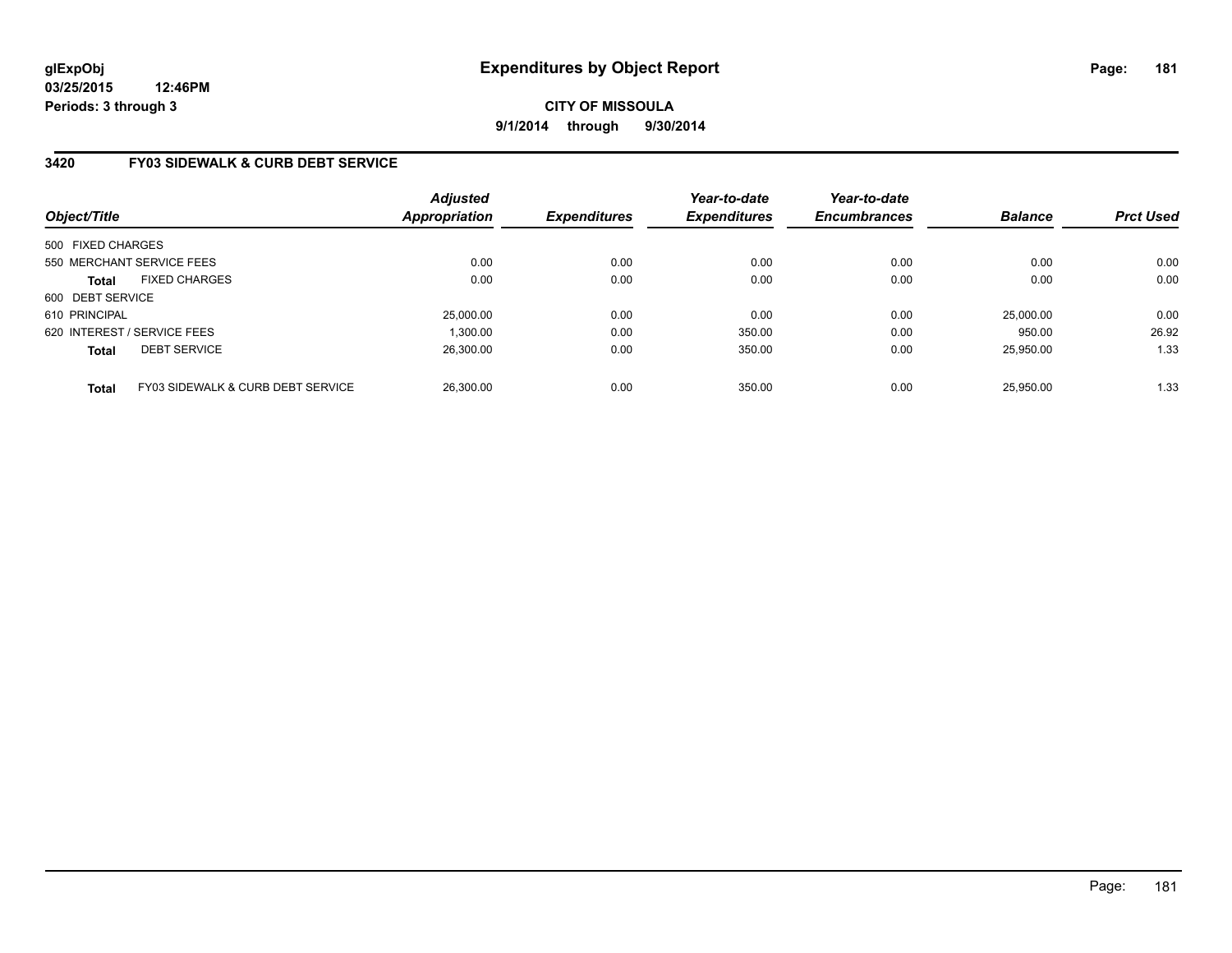# **3420 FY03 SIDEWALK & CURB DEBT SERVICE**

| Object/Title                |                                   | <b>Adjusted</b><br><b>Appropriation</b> | <b>Expenditures</b> | Year-to-date<br><b>Expenditures</b> | Year-to-date<br><b>Encumbrances</b> | <b>Balance</b> | <b>Prct Used</b> |
|-----------------------------|-----------------------------------|-----------------------------------------|---------------------|-------------------------------------|-------------------------------------|----------------|------------------|
| 500 FIXED CHARGES           |                                   |                                         |                     |                                     |                                     |                |                  |
| 550 MERCHANT SERVICE FEES   |                                   | 0.00                                    | 0.00                | 0.00                                | 0.00                                | 0.00           | 0.00             |
| <b>Total</b>                | <b>FIXED CHARGES</b>              | 0.00                                    | 0.00                | 0.00                                | 0.00                                | 0.00           | 0.00             |
| 600 DEBT SERVICE            |                                   |                                         |                     |                                     |                                     |                |                  |
| 610 PRINCIPAL               |                                   | 25,000.00                               | 0.00                | 0.00                                | 0.00                                | 25,000.00      | 0.00             |
| 620 INTEREST / SERVICE FEES |                                   | 1.300.00                                | 0.00                | 350.00                              | 0.00                                | 950.00         | 26.92            |
| <b>Total</b>                | <b>DEBT SERVICE</b>               | 26.300.00                               | 0.00                | 350.00                              | 0.00                                | 25.950.00      | 1.33             |
| <b>Total</b>                | FY03 SIDEWALK & CURB DEBT SERVICE | 26.300.00                               | 0.00                | 350.00                              | 0.00                                | 25.950.00      | 1.33             |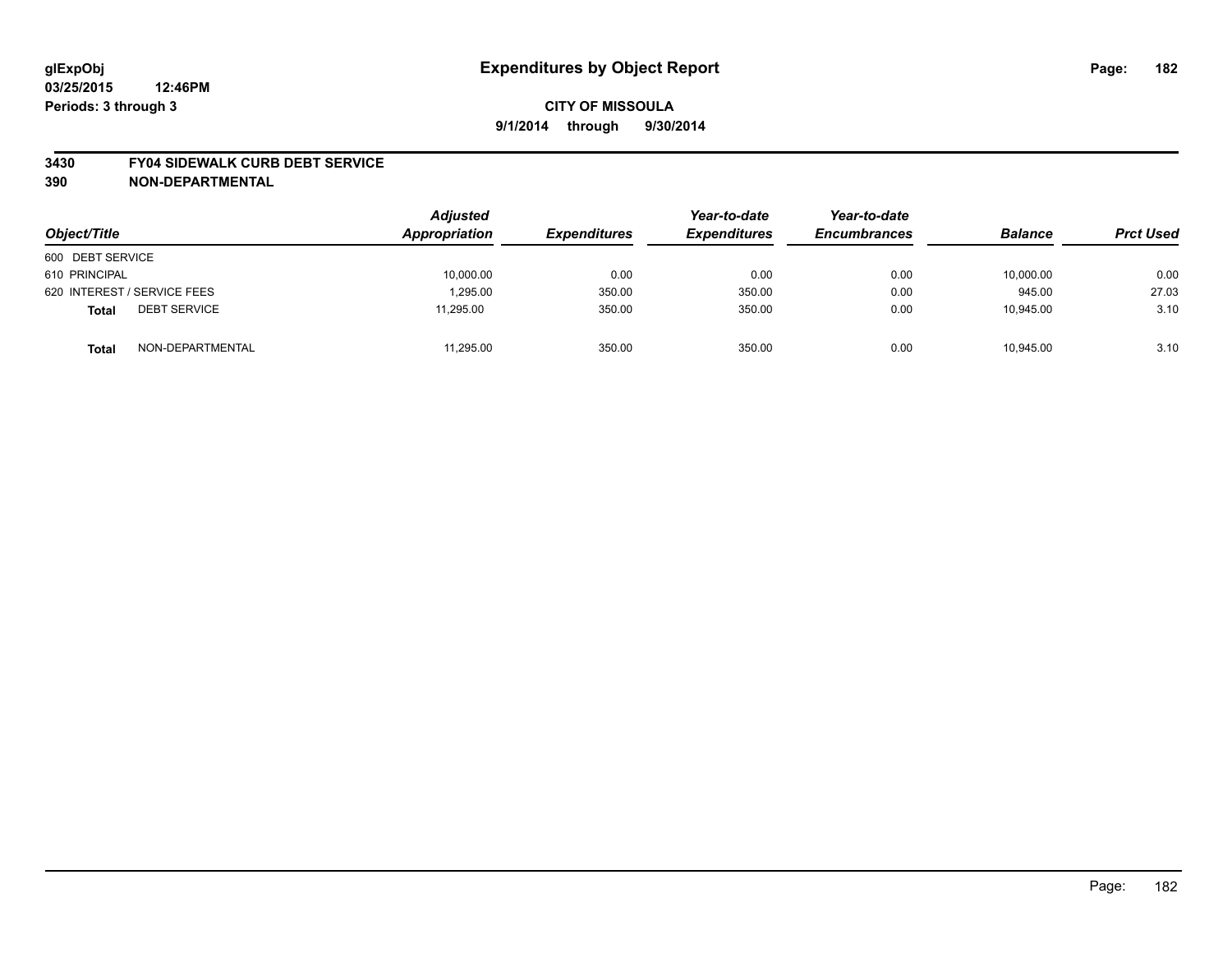#### **3430 FY04 SIDEWALK CURB DEBT SERVICE**

| Object/Title                        | <b>Adjusted</b><br>Appropriation | <b>Expenditures</b> | Year-to-date<br><b>Expenditures</b> | Year-to-date<br><b>Encumbrances</b> | <b>Balance</b> | <b>Prct Used</b> |
|-------------------------------------|----------------------------------|---------------------|-------------------------------------|-------------------------------------|----------------|------------------|
| 600 DEBT SERVICE                    |                                  |                     |                                     |                                     |                |                  |
| 610 PRINCIPAL                       | 10,000.00                        | 0.00                | 0.00                                | 0.00                                | 10,000.00      | 0.00             |
| 620 INTEREST / SERVICE FEES         | 1,295.00                         | 350.00              | 350.00                              | 0.00                                | 945.00         | 27.03            |
| <b>DEBT SERVICE</b><br><b>Total</b> | 11.295.00                        | 350.00              | 350.00                              | 0.00                                | 10.945.00      | 3.10             |
| NON-DEPARTMENTAL<br><b>Total</b>    | 11,295.00                        | 350.00              | 350.00                              | 0.00                                | 10,945.00      | 3.10             |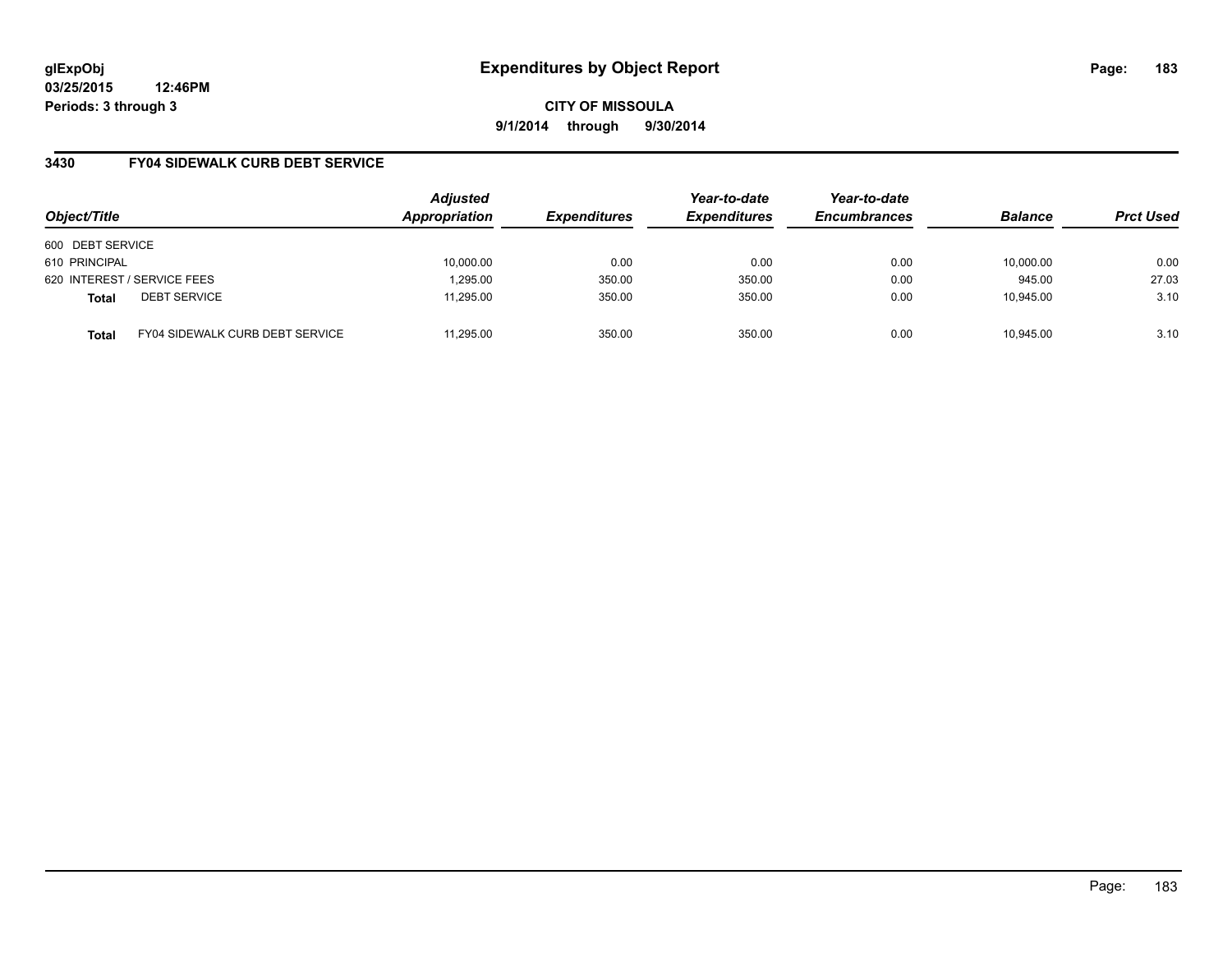**03/25/2015 12:46PM Periods: 3 through 3**

**CITY OF MISSOULA 9/1/2014 through 9/30/2014**

## **3430 FY04 SIDEWALK CURB DEBT SERVICE**

| Object/Title     |                                        | <b>Adjusted</b><br>Appropriation | <b>Expenditures</b> | Year-to-date<br><b>Expenditures</b> | Year-to-date<br><b>Encumbrances</b> | <b>Balance</b> | <b>Prct Used</b> |
|------------------|----------------------------------------|----------------------------------|---------------------|-------------------------------------|-------------------------------------|----------------|------------------|
| 600 DEBT SERVICE |                                        |                                  |                     |                                     |                                     |                |                  |
| 610 PRINCIPAL    |                                        | 10,000.00                        | 0.00                | 0.00                                | 0.00                                | 10,000.00      | 0.00             |
|                  | 620 INTEREST / SERVICE FEES            | 1,295.00                         | 350.00              | 350.00                              | 0.00                                | 945.00         | 27.03            |
| <b>Total</b>     | <b>DEBT SERVICE</b>                    | 11.295.00                        | 350.00              | 350.00                              | 0.00                                | 10.945.00      | 3.10             |
| <b>Total</b>     | <b>FY04 SIDEWALK CURB DEBT SERVICE</b> | 11.295.00                        | 350.00              | 350.00                              | 0.00                                | 10.945.00      | 3.10             |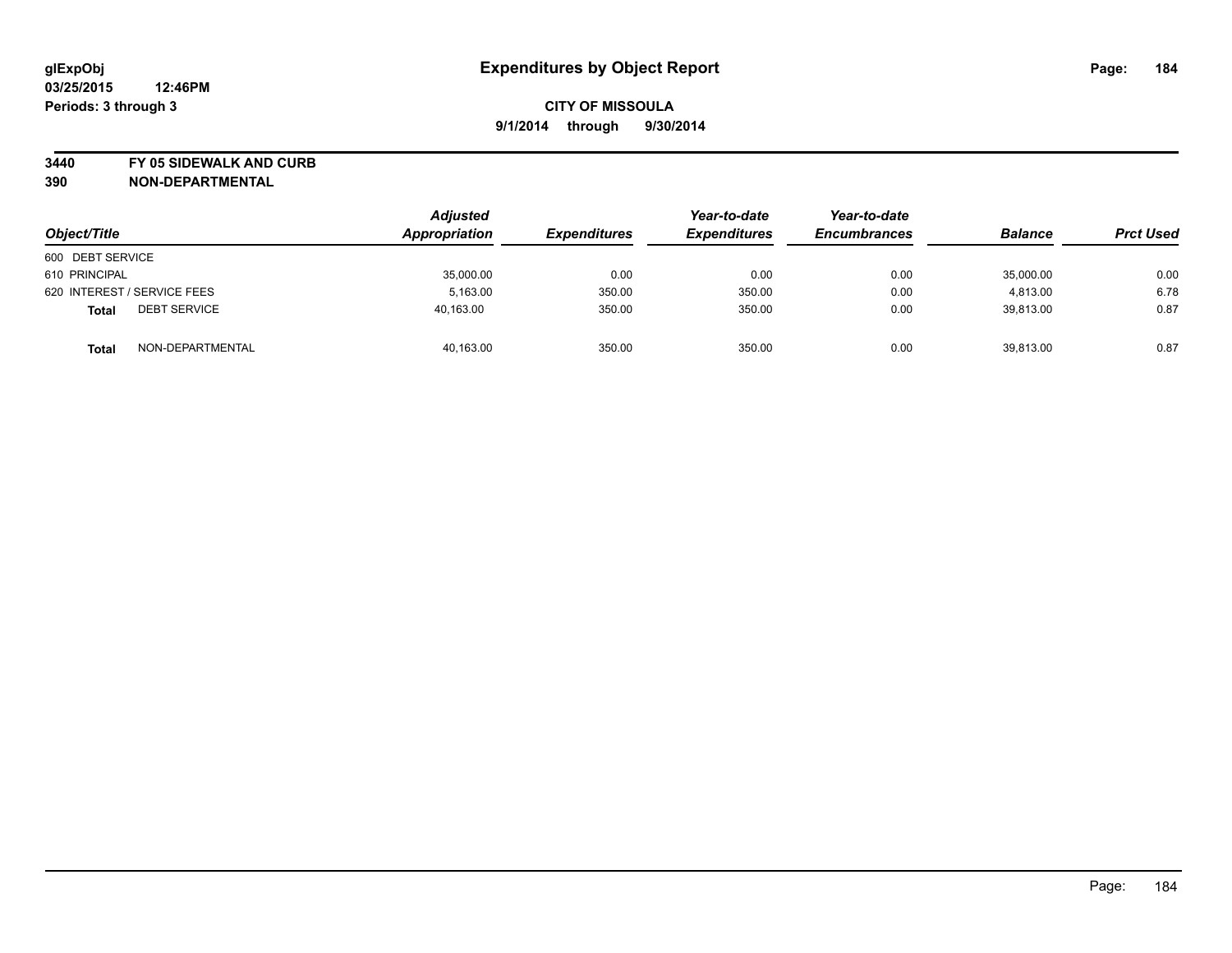**3440 FY 05 SIDEWALK AND CURB**

| Object/Title                        | <b>Adjusted</b><br>Appropriation | <b>Expenditures</b> | Year-to-date<br><b>Expenditures</b> | Year-to-date<br><b>Encumbrances</b> | <b>Balance</b> | <b>Prct Used</b> |
|-------------------------------------|----------------------------------|---------------------|-------------------------------------|-------------------------------------|----------------|------------------|
| 600 DEBT SERVICE                    |                                  |                     |                                     |                                     |                |                  |
| 610 PRINCIPAL                       | 35,000.00                        | 0.00                | 0.00                                | 0.00                                | 35,000.00      | 0.00             |
| 620 INTEREST / SERVICE FEES         | 5.163.00                         | 350.00              | 350.00                              | 0.00                                | 4,813.00       | 6.78             |
| <b>DEBT SERVICE</b><br><b>Total</b> | 40,163.00                        | 350.00              | 350.00                              | 0.00                                | 39,813.00      | 0.87             |
| NON-DEPARTMENTAL<br><b>Total</b>    | 40,163.00                        | 350.00              | 350.00                              | 0.00                                | 39,813.00      | 0.87             |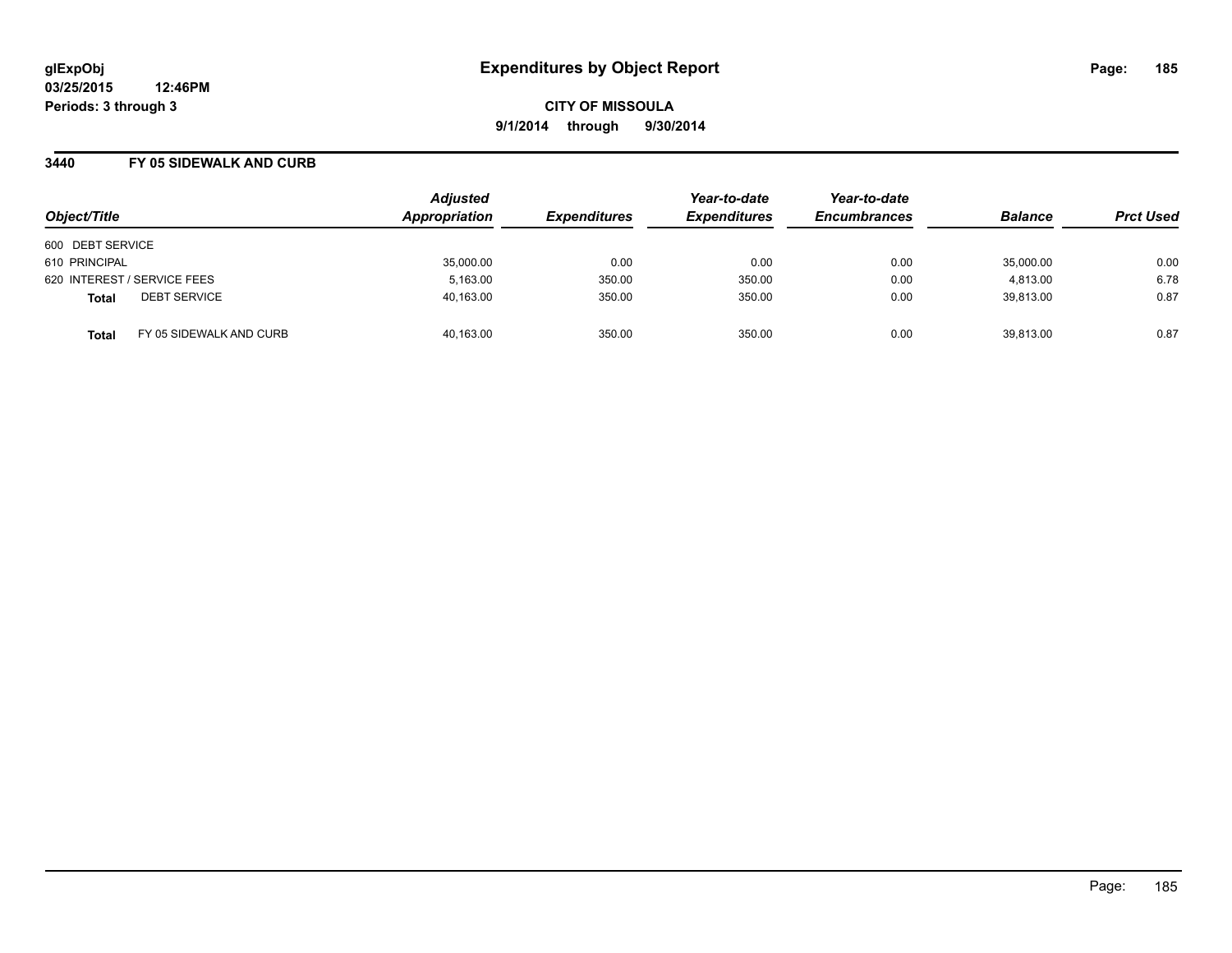**03/25/2015 12:46PM Periods: 3 through 3**

**CITY OF MISSOULA 9/1/2014 through 9/30/2014**

#### **3440 FY 05 SIDEWALK AND CURB**

| Object/Title                            | <b>Adjusted</b><br>Appropriation | <b>Expenditures</b> | Year-to-date<br><b>Expenditures</b> | Year-to-date<br><b>Encumbrances</b> | <b>Balance</b> | <b>Prct Used</b> |
|-----------------------------------------|----------------------------------|---------------------|-------------------------------------|-------------------------------------|----------------|------------------|
| 600 DEBT SERVICE                        |                                  |                     |                                     |                                     |                |                  |
| 610 PRINCIPAL                           | 35,000.00                        | 0.00                | 0.00                                | 0.00                                | 35,000.00      | 0.00             |
| 620 INTEREST / SERVICE FEES             | 5,163.00                         | 350.00              | 350.00                              | 0.00                                | 4.813.00       | 6.78             |
| <b>DEBT SERVICE</b><br><b>Total</b>     | 40,163.00                        | 350.00              | 350.00                              | 0.00                                | 39.813.00      | 0.87             |
| FY 05 SIDEWALK AND CURB<br><b>Total</b> | 40.163.00                        | 350.00              | 350.00                              | 0.00                                | 39.813.00      | 0.87             |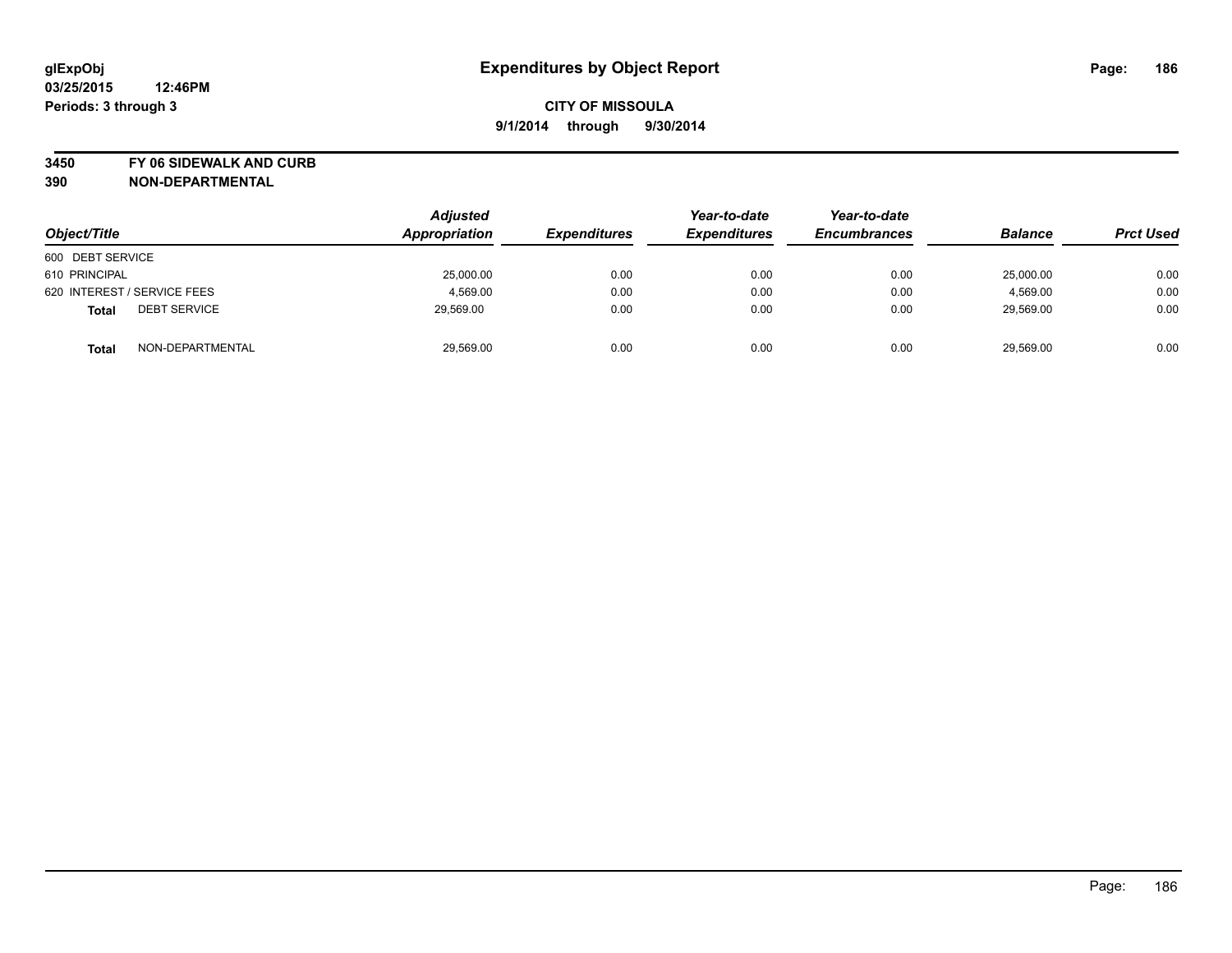**3450 FY 06 SIDEWALK AND CURB**

| Object/Title                        | <b>Adjusted</b><br>Appropriation | <b>Expenditures</b> | Year-to-date<br><b>Expenditures</b> | Year-to-date<br><b>Encumbrances</b> | <b>Balance</b> | <b>Prct Used</b> |
|-------------------------------------|----------------------------------|---------------------|-------------------------------------|-------------------------------------|----------------|------------------|
| 600 DEBT SERVICE                    |                                  |                     |                                     |                                     |                |                  |
| 610 PRINCIPAL                       | 25,000.00                        | 0.00                | 0.00                                | 0.00                                | 25,000.00      | 0.00             |
| 620 INTEREST / SERVICE FEES         | 4,569.00                         | 0.00                | 0.00                                | 0.00                                | 4,569.00       | 0.00             |
| <b>DEBT SERVICE</b><br><b>Total</b> | 29,569.00                        | 0.00                | 0.00                                | 0.00                                | 29,569.00      | 0.00             |
| NON-DEPARTMENTAL<br><b>Total</b>    | 29,569.00                        | 0.00                | 0.00                                | 0.00                                | 29,569.00      | 0.00             |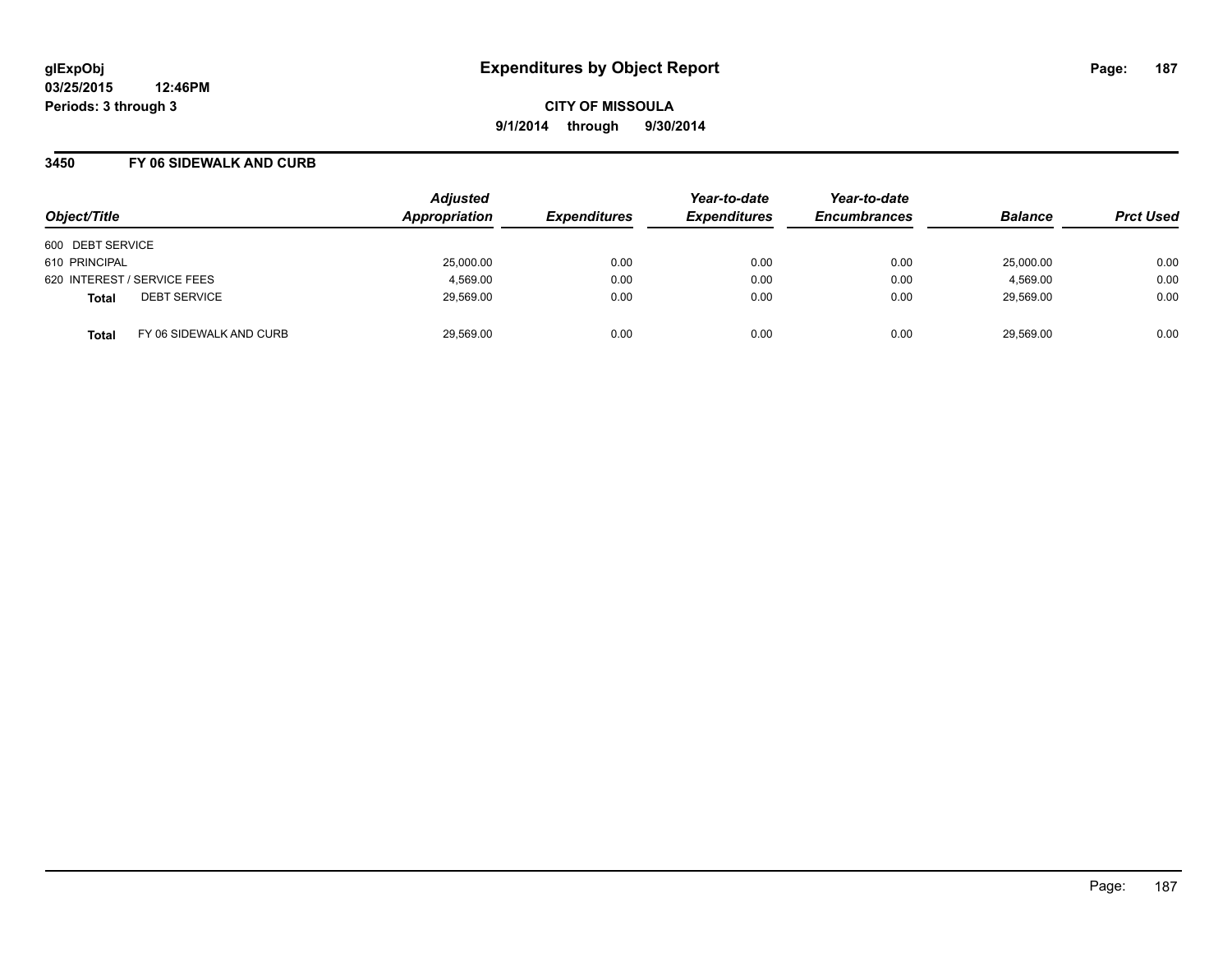**03/25/2015 12:46PM Periods: 3 through 3**

**CITY OF MISSOULA 9/1/2014 through 9/30/2014**

#### **3450 FY 06 SIDEWALK AND CURB**

| Object/Title                            | <b>Adjusted</b><br>Appropriation | <b>Expenditures</b> | Year-to-date<br><b>Expenditures</b> | Year-to-date<br><b>Encumbrances</b> | <b>Balance</b> | <b>Prct Used</b> |
|-----------------------------------------|----------------------------------|---------------------|-------------------------------------|-------------------------------------|----------------|------------------|
| 600 DEBT SERVICE                        |                                  |                     |                                     |                                     |                |                  |
| 610 PRINCIPAL                           | 25,000.00                        | 0.00                | 0.00                                | 0.00                                | 25,000.00      | 0.00             |
| 620 INTEREST / SERVICE FEES             | 4,569.00                         | 0.00                | 0.00                                | 0.00                                | 4,569.00       | 0.00             |
| <b>DEBT SERVICE</b><br><b>Total</b>     | 29,569.00                        | 0.00                | 0.00                                | 0.00                                | 29,569.00      | 0.00             |
| FY 06 SIDEWALK AND CURB<br><b>Total</b> | 29,569.00                        | 0.00                | 0.00                                | 0.00                                | 29,569.00      | 0.00             |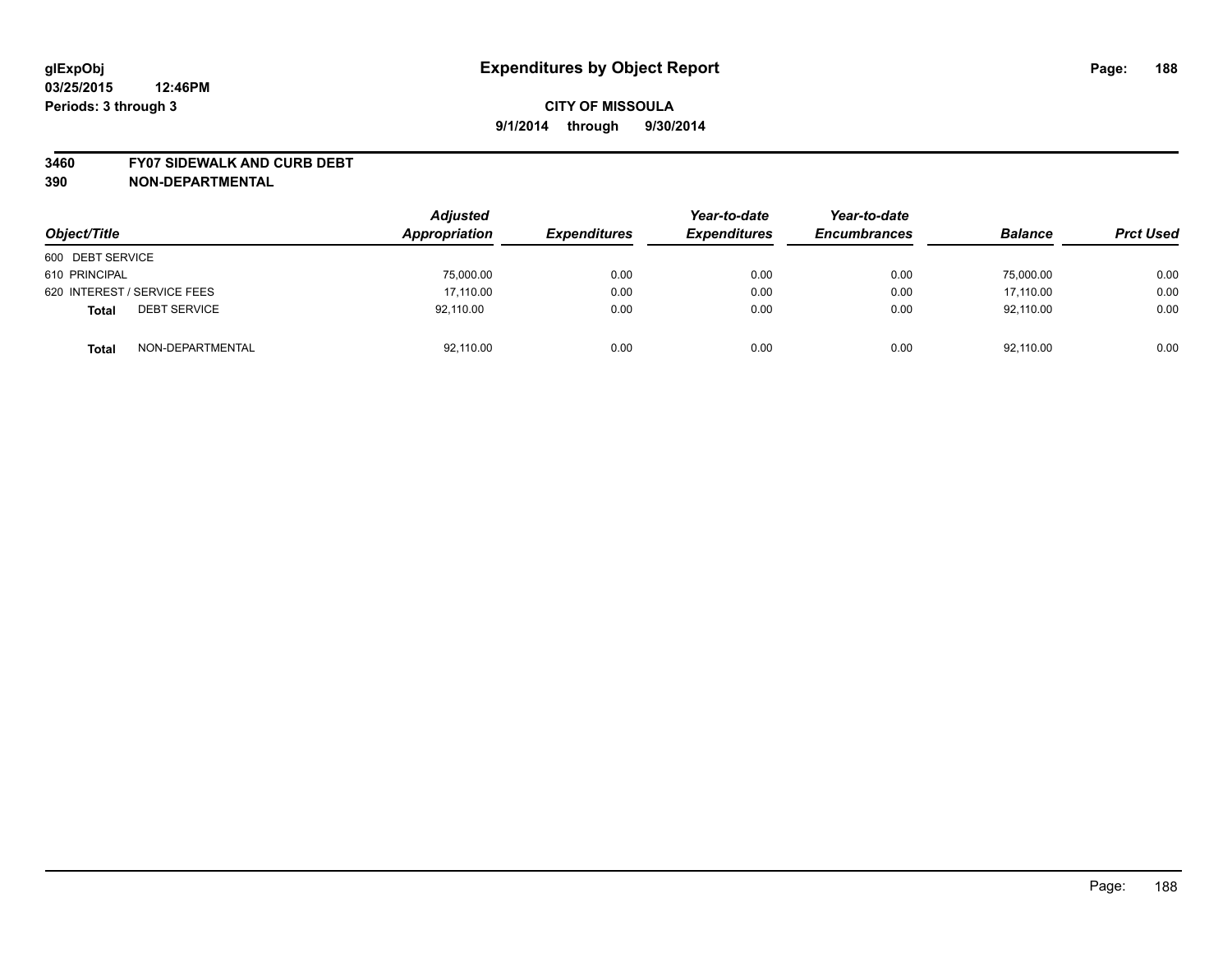#### **3460 FY07 SIDEWALK AND CURB DEBT**

| Object/Title                        | <b>Adjusted</b><br>Appropriation | <b>Expenditures</b> | Year-to-date<br><b>Expenditures</b> | Year-to-date<br><b>Encumbrances</b> | <b>Balance</b> | <b>Prct Used</b> |
|-------------------------------------|----------------------------------|---------------------|-------------------------------------|-------------------------------------|----------------|------------------|
| 600 DEBT SERVICE                    |                                  |                     |                                     |                                     |                |                  |
| 610 PRINCIPAL                       | 75,000.00                        | 0.00                | 0.00                                | 0.00                                | 75,000.00      | 0.00             |
| 620 INTEREST / SERVICE FEES         | 17,110.00                        | 0.00                | 0.00                                | 0.00                                | 17,110.00      | 0.00             |
| <b>DEBT SERVICE</b><br><b>Total</b> | 92,110.00                        | 0.00                | 0.00                                | 0.00                                | 92,110.00      | 0.00             |
| NON-DEPARTMENTAL<br><b>Total</b>    | 92,110.00                        | 0.00                | 0.00                                | 0.00                                | 92.110.00      | 0.00             |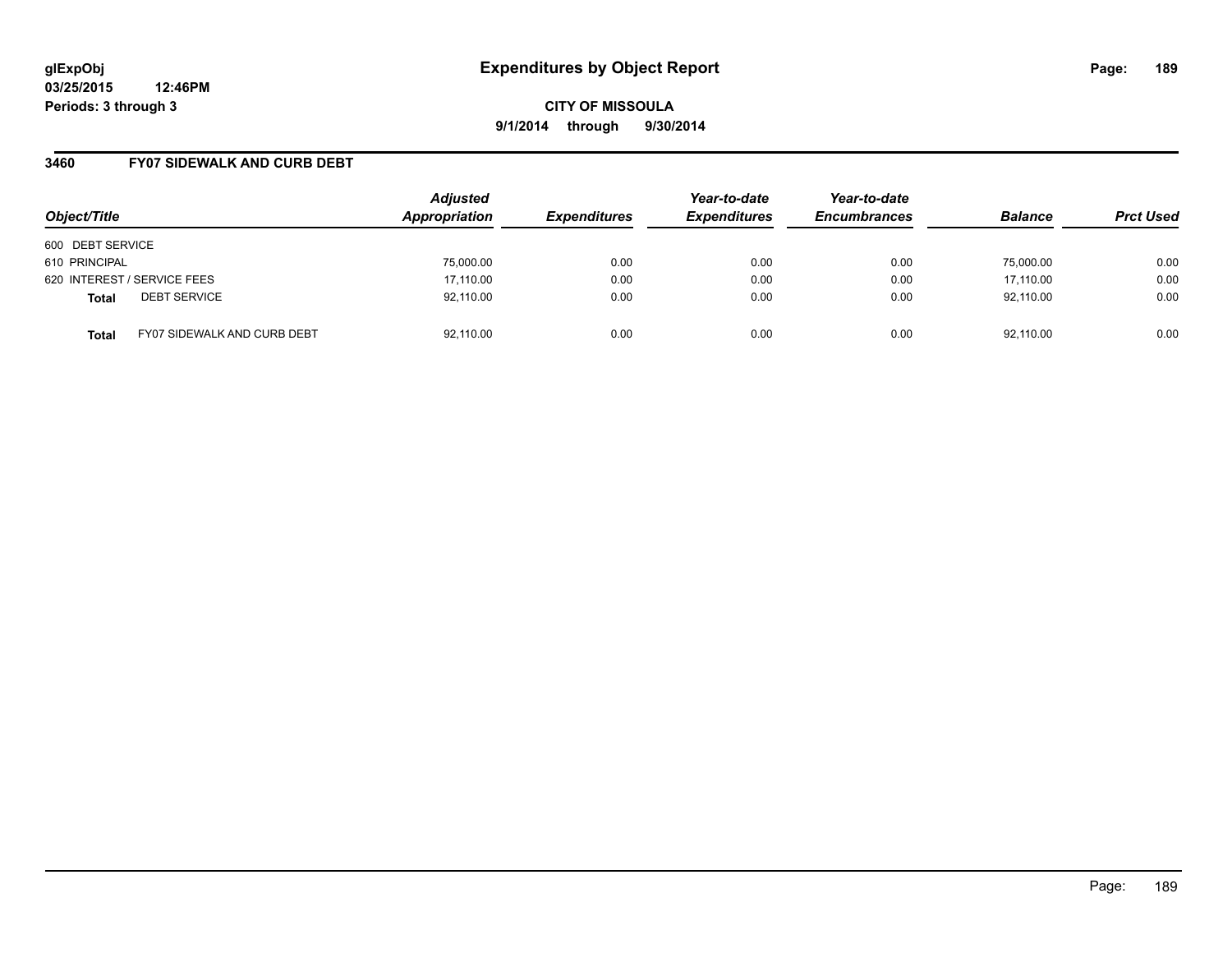**03/25/2015 12:46PM Periods: 3 through 3**

**CITY OF MISSOULA 9/1/2014 through 9/30/2014**

### **3460 FY07 SIDEWALK AND CURB DEBT**

| Object/Title                                       | <b>Adjusted</b><br>Appropriation | <b>Expenditures</b> | Year-to-date<br><b>Expenditures</b> | Year-to-date<br><b>Encumbrances</b> | <b>Balance</b> | <b>Prct Used</b> |
|----------------------------------------------------|----------------------------------|---------------------|-------------------------------------|-------------------------------------|----------------|------------------|
| 600 DEBT SERVICE                                   |                                  |                     |                                     |                                     |                |                  |
| 610 PRINCIPAL                                      | 75,000.00                        | 0.00                | 0.00                                | 0.00                                | 75.000.00      | 0.00             |
| 620 INTEREST / SERVICE FEES                        | 17,110.00                        | 0.00                | 0.00                                | 0.00                                | 17,110.00      | 0.00             |
| <b>DEBT SERVICE</b><br><b>Total</b>                | 92,110.00                        | 0.00                | 0.00                                | 0.00                                | 92,110.00      | 0.00             |
| <b>FY07 SIDEWALK AND CURB DEBT</b><br><b>Total</b> | 92,110.00                        | 0.00                | 0.00                                | 0.00                                | 92,110.00      | 0.00             |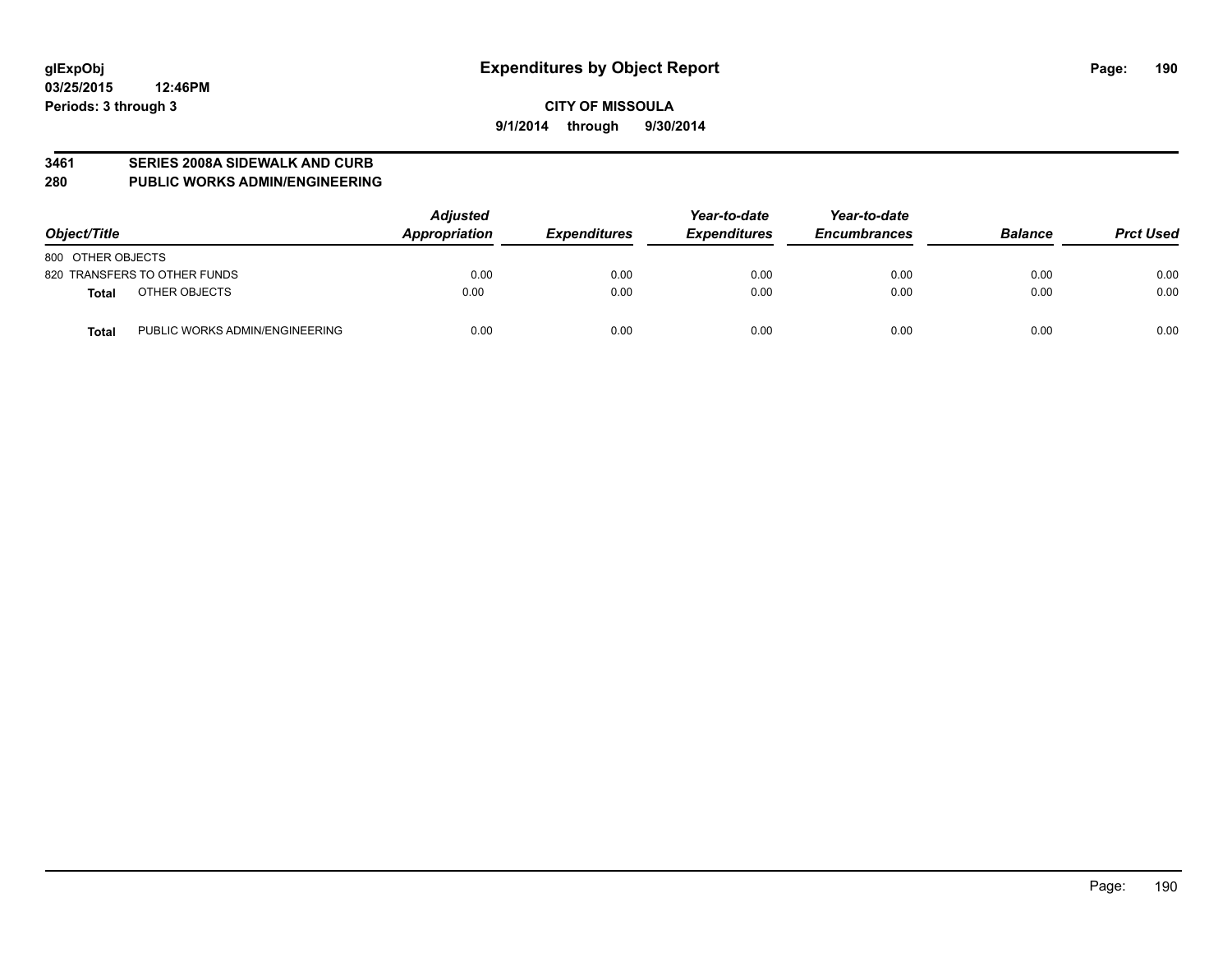#### **3461 SERIES 2008A SIDEWALK AND CURB**

**280 PUBLIC WORKS ADMIN/ENGINEERING**

| Object/Title                                   | <b>Adjusted</b><br>Appropriation | <b>Expenditures</b> | Year-to-date<br><b>Expenditures</b> | Year-to-date<br><b>Encumbrances</b> | <b>Balance</b> | <b>Prct Used</b> |
|------------------------------------------------|----------------------------------|---------------------|-------------------------------------|-------------------------------------|----------------|------------------|
| 800 OTHER OBJECTS                              |                                  |                     |                                     |                                     |                |                  |
| 820 TRANSFERS TO OTHER FUNDS                   | 0.00                             | 0.00                | 0.00                                | 0.00                                | 0.00           | 0.00             |
| OTHER OBJECTS<br>Total                         | 0.00                             | 0.00                | 0.00                                | 0.00                                | 0.00           | 0.00             |
| PUBLIC WORKS ADMIN/ENGINEERING<br><b>Total</b> | 0.00                             | 0.00                | 0.00                                | 0.00                                | 0.00           | 0.00             |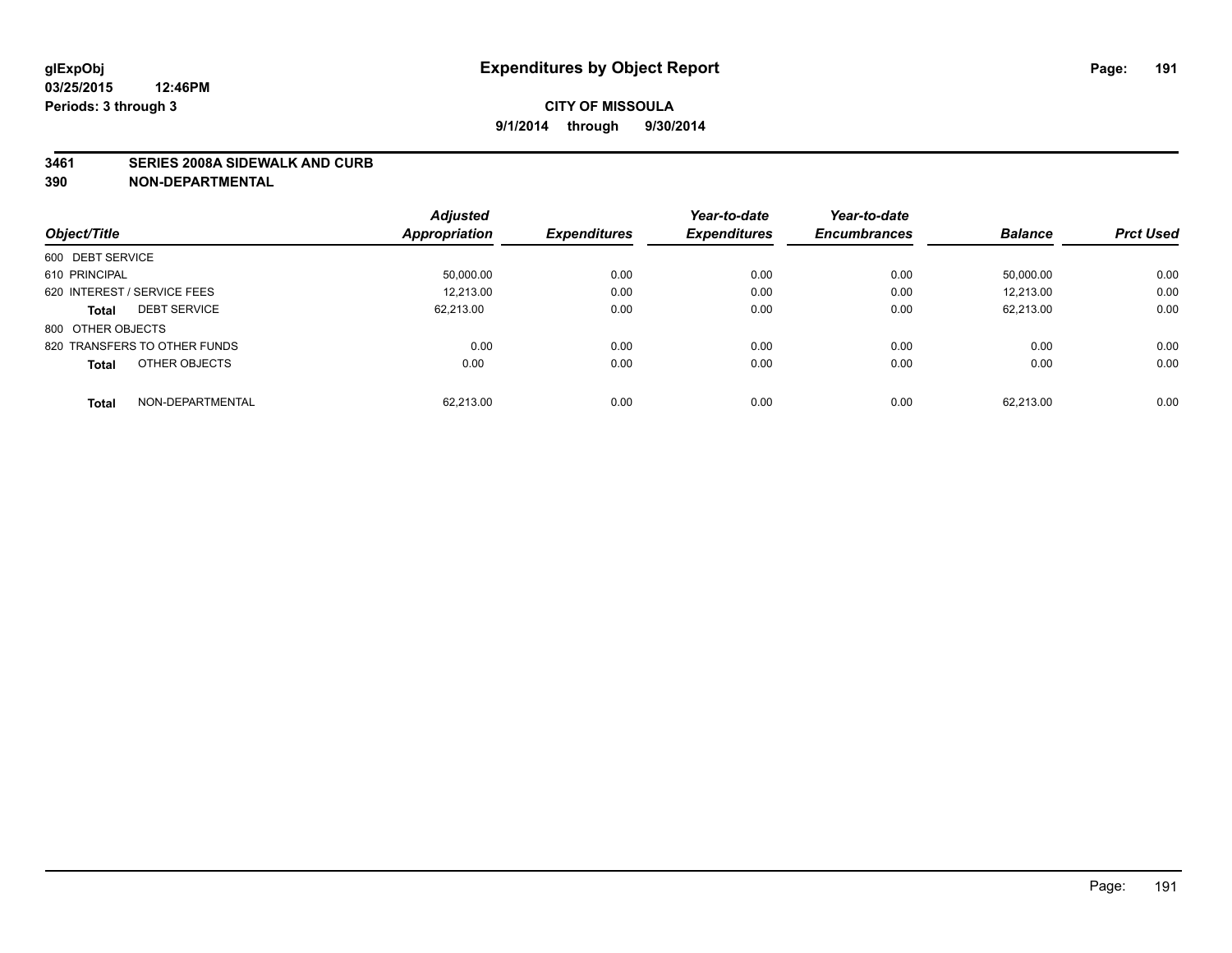#### **3461 SERIES 2008A SIDEWALK AND CURB**

|                                     | <b>Adjusted</b>      |                     | Year-to-date        | Year-to-date        |                |                  |
|-------------------------------------|----------------------|---------------------|---------------------|---------------------|----------------|------------------|
| Object/Title                        | <b>Appropriation</b> | <b>Expenditures</b> | <b>Expenditures</b> | <b>Encumbrances</b> | <b>Balance</b> | <b>Prct Used</b> |
| 600 DEBT SERVICE                    |                      |                     |                     |                     |                |                  |
| 610 PRINCIPAL                       | 50,000.00            | 0.00                | 0.00                | 0.00                | 50,000.00      | 0.00             |
| 620 INTEREST / SERVICE FEES         | 12,213.00            | 0.00                | 0.00                | 0.00                | 12.213.00      | 0.00             |
| <b>DEBT SERVICE</b><br><b>Total</b> | 62,213.00            | 0.00                | 0.00                | 0.00                | 62,213.00      | 0.00             |
| 800 OTHER OBJECTS                   |                      |                     |                     |                     |                |                  |
| 820 TRANSFERS TO OTHER FUNDS        | 0.00                 | 0.00                | 0.00                | 0.00                | 0.00           | 0.00             |
| OTHER OBJECTS<br>Total              | 0.00                 | 0.00                | 0.00                | 0.00                | 0.00           | 0.00             |
| NON-DEPARTMENTAL<br><b>Total</b>    | 62.213.00            | 0.00                | 0.00                | 0.00                | 62.213.00      | 0.00             |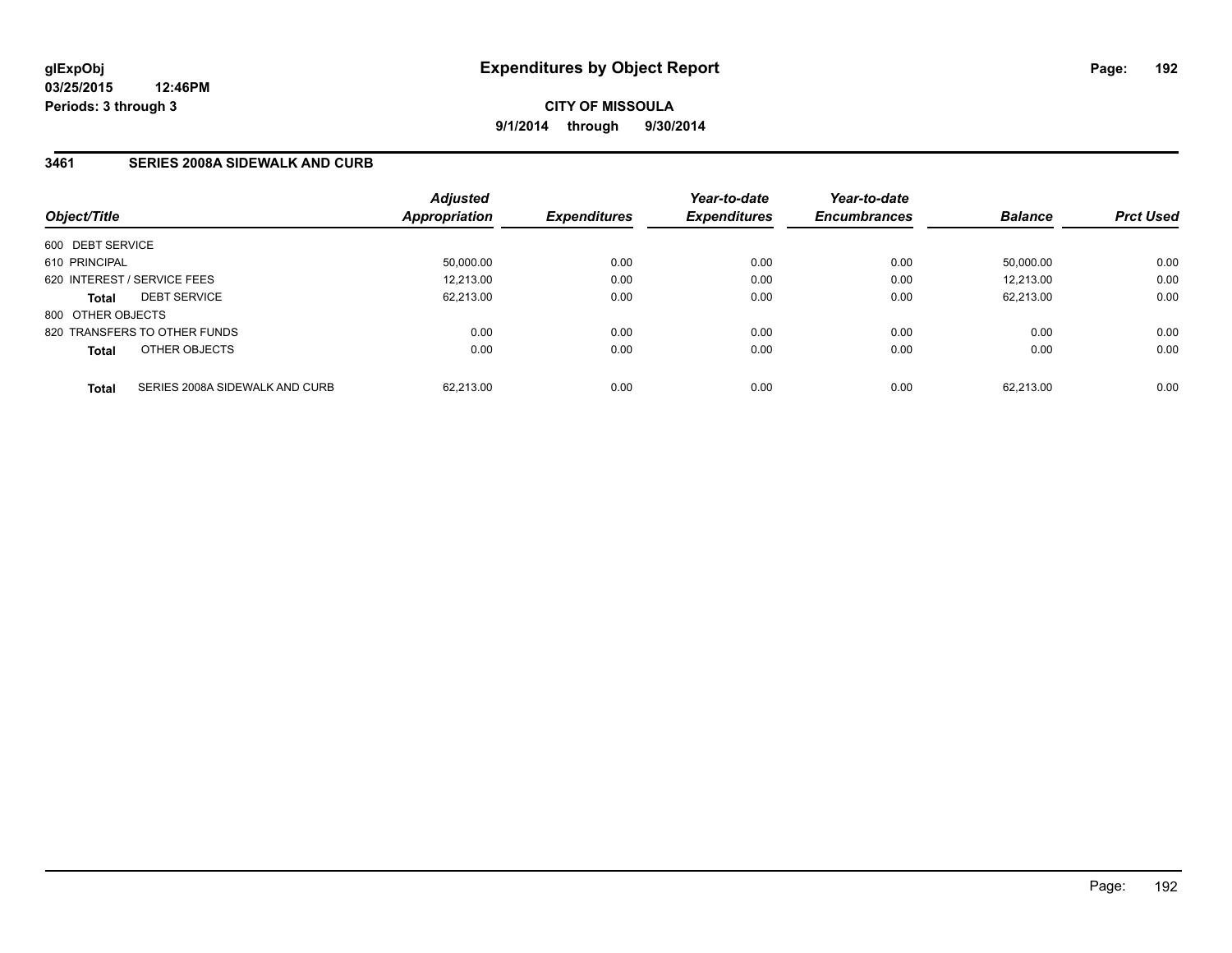## **3461 SERIES 2008A SIDEWALK AND CURB**

| Object/Title      |                                | <b>Adjusted</b><br>Appropriation | <b>Expenditures</b> | Year-to-date<br><b>Expenditures</b> | Year-to-date<br><b>Encumbrances</b> | <b>Balance</b> | <b>Prct Used</b> |
|-------------------|--------------------------------|----------------------------------|---------------------|-------------------------------------|-------------------------------------|----------------|------------------|
| 600 DEBT SERVICE  |                                |                                  |                     |                                     |                                     |                |                  |
| 610 PRINCIPAL     |                                | 50,000.00                        | 0.00                | 0.00                                | 0.00                                | 50.000.00      | 0.00             |
|                   | 620 INTEREST / SERVICE FEES    | 12,213.00                        | 0.00                | 0.00                                | 0.00                                | 12.213.00      | 0.00             |
| <b>Total</b>      | <b>DEBT SERVICE</b>            | 62.213.00                        | 0.00                | 0.00                                | 0.00                                | 62.213.00      | 0.00             |
| 800 OTHER OBJECTS |                                |                                  |                     |                                     |                                     |                |                  |
|                   | 820 TRANSFERS TO OTHER FUNDS   | 0.00                             | 0.00                | 0.00                                | 0.00                                | 0.00           | 0.00             |
| <b>Total</b>      | OTHER OBJECTS                  | 0.00                             | 0.00                | 0.00                                | 0.00                                | 0.00           | 0.00             |
| <b>Total</b>      | SERIES 2008A SIDEWALK AND CURB | 62.213.00                        | 0.00                | 0.00                                | 0.00                                | 62.213.00      | 0.00             |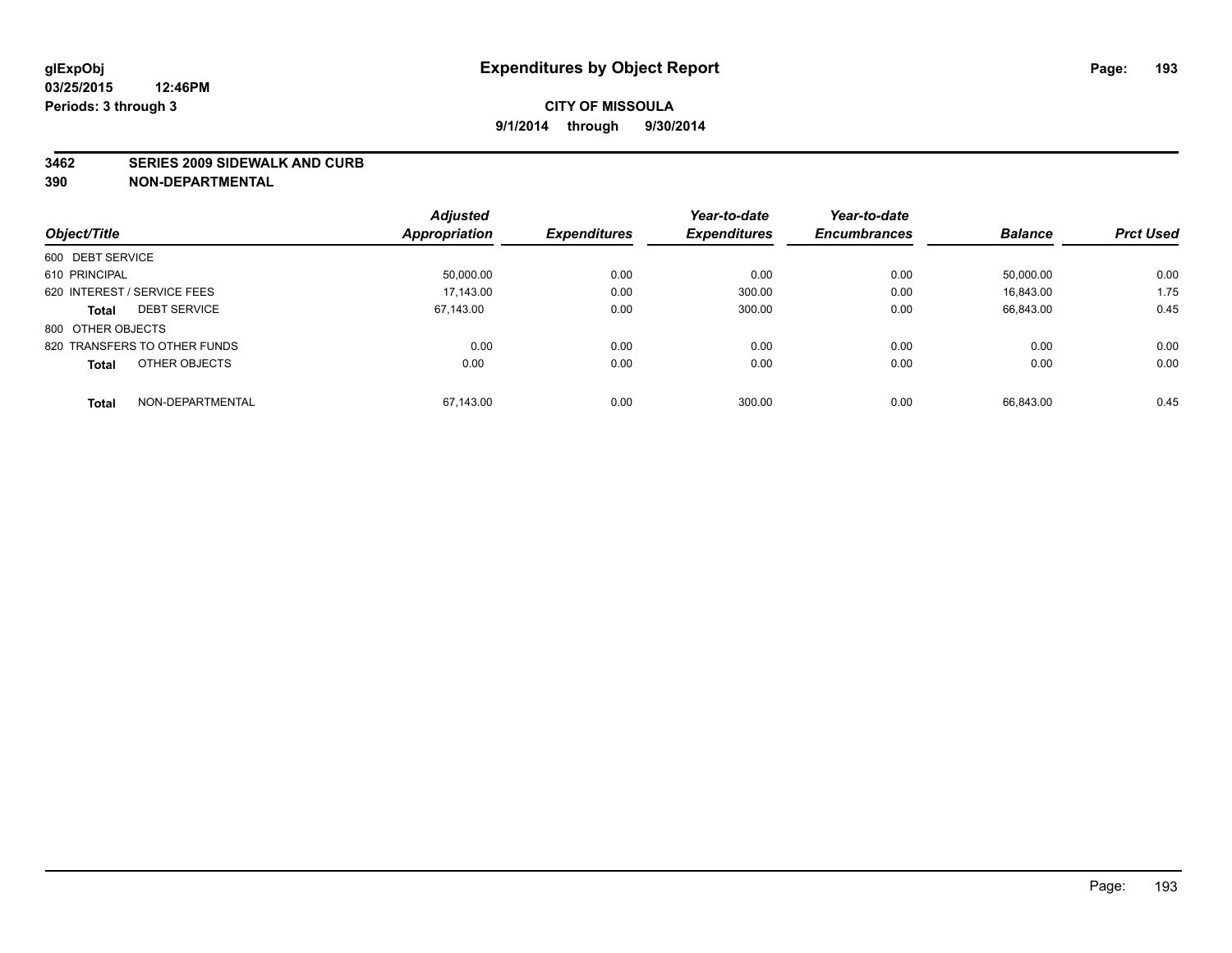#### **3462 SERIES 2009 SIDEWALK AND CURB**

|                                     | <b>Adjusted</b>      |                     | Year-to-date        | Year-to-date        |                |                  |
|-------------------------------------|----------------------|---------------------|---------------------|---------------------|----------------|------------------|
| Object/Title                        | <b>Appropriation</b> | <b>Expenditures</b> | <b>Expenditures</b> | <b>Encumbrances</b> | <b>Balance</b> | <b>Prct Used</b> |
| 600 DEBT SERVICE                    |                      |                     |                     |                     |                |                  |
| 610 PRINCIPAL                       | 50.000.00            | 0.00                | 0.00                | 0.00                | 50.000.00      | 0.00             |
| 620 INTEREST / SERVICE FEES         | 17.143.00            | 0.00                | 300.00              | 0.00                | 16.843.00      | 1.75             |
| <b>DEBT SERVICE</b><br><b>Total</b> | 67.143.00            | 0.00                | 300.00              | 0.00                | 66.843.00      | 0.45             |
| 800 OTHER OBJECTS                   |                      |                     |                     |                     |                |                  |
| 820 TRANSFERS TO OTHER FUNDS        | 0.00                 | 0.00                | 0.00                | 0.00                | 0.00           | 0.00             |
| OTHER OBJECTS<br><b>Total</b>       | 0.00                 | 0.00                | 0.00                | 0.00                | 0.00           | 0.00             |
| NON-DEPARTMENTAL<br><b>Total</b>    | 67.143.00            | 0.00                | 300.00              | 0.00                | 66.843.00      | 0.45             |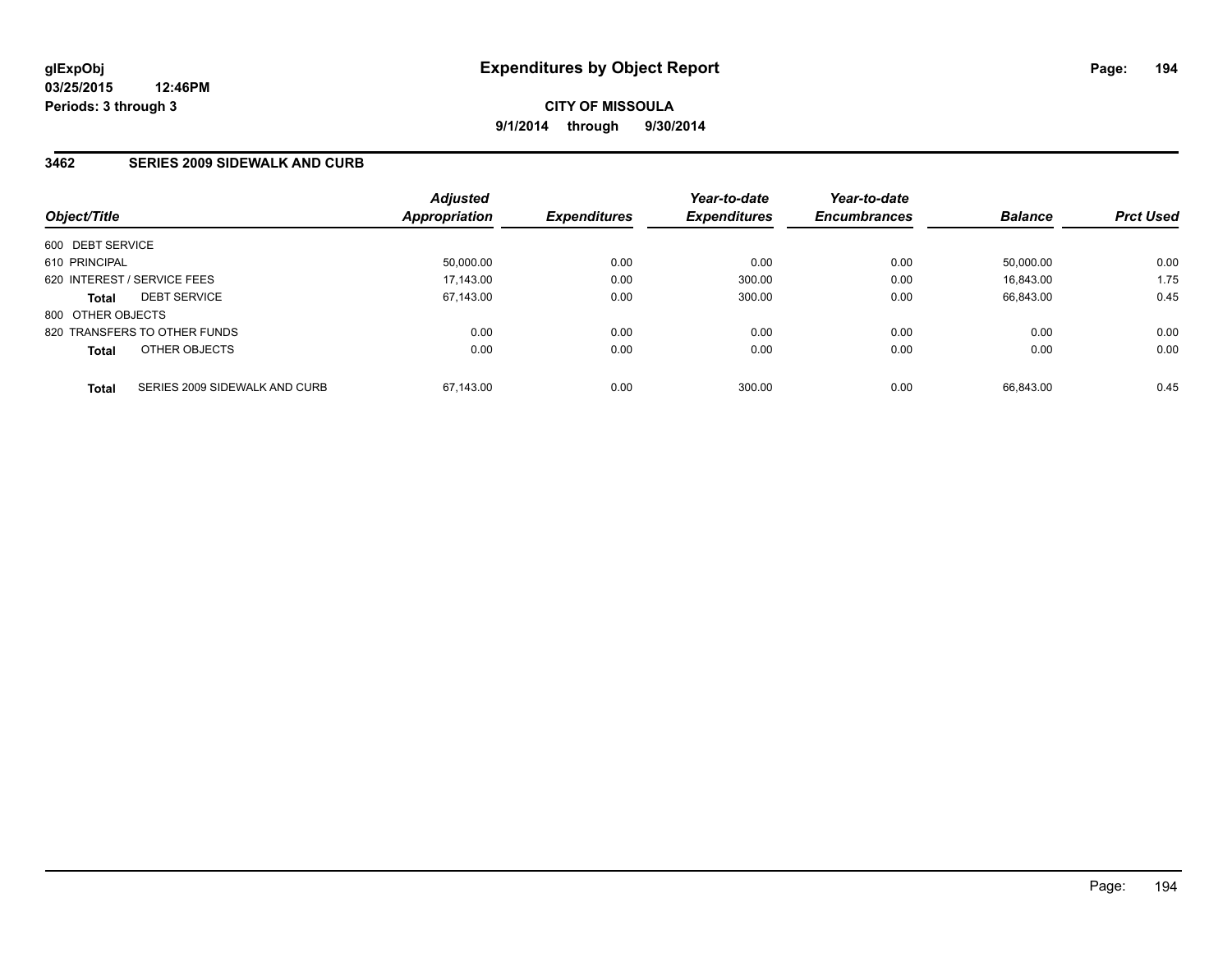## **3462 SERIES 2009 SIDEWALK AND CURB**

| Object/Title      |                               | <b>Adjusted</b><br><b>Appropriation</b> | <b>Expenditures</b> | Year-to-date<br><b>Expenditures</b> | Year-to-date<br><b>Encumbrances</b> | <b>Balance</b> | <b>Prct Used</b> |
|-------------------|-------------------------------|-----------------------------------------|---------------------|-------------------------------------|-------------------------------------|----------------|------------------|
| 600 DEBT SERVICE  |                               |                                         |                     |                                     |                                     |                |                  |
| 610 PRINCIPAL     |                               | 50,000.00                               | 0.00                | 0.00                                | 0.00                                | 50.000.00      | 0.00             |
|                   | 620 INTEREST / SERVICE FEES   | 17.143.00                               | 0.00                | 300.00                              | 0.00                                | 16.843.00      | 1.75             |
| <b>Total</b>      | <b>DEBT SERVICE</b>           | 67.143.00                               | 0.00                | 300.00                              | 0.00                                | 66,843.00      | 0.45             |
| 800 OTHER OBJECTS |                               |                                         |                     |                                     |                                     |                |                  |
|                   | 820 TRANSFERS TO OTHER FUNDS  | 0.00                                    | 0.00                | 0.00                                | 0.00                                | 0.00           | 0.00             |
| <b>Total</b>      | OTHER OBJECTS                 | 0.00                                    | 0.00                | 0.00                                | 0.00                                | 0.00           | 0.00             |
| <b>Total</b>      | SERIES 2009 SIDEWALK AND CURB | 67.143.00                               | 0.00                | 300.00                              | 0.00                                | 66.843.00      | 0.45             |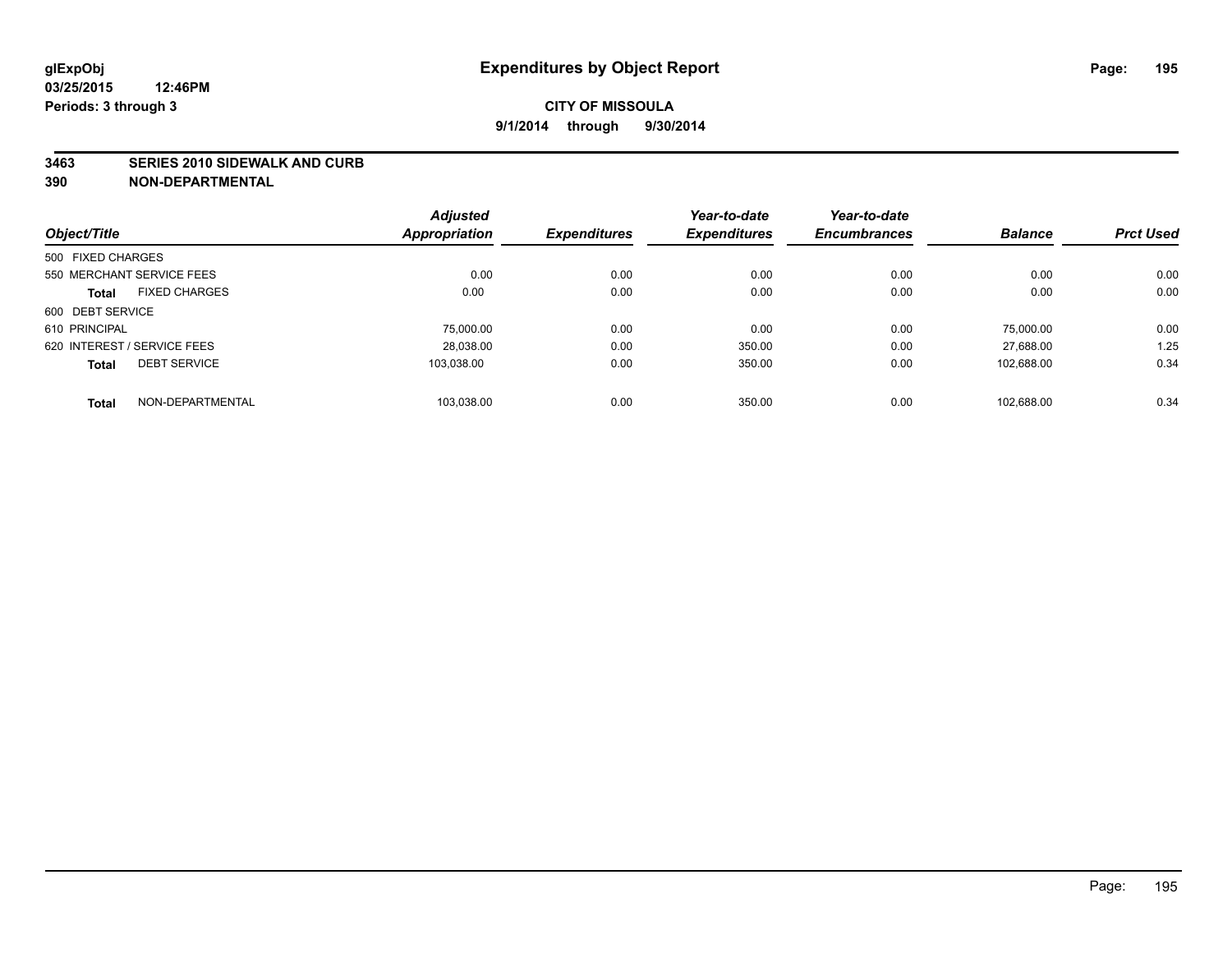#### **3463 SERIES 2010 SIDEWALK AND CURB**

|                                      | <b>Adjusted</b>      |                     | Year-to-date        | Year-to-date        |                |                  |
|--------------------------------------|----------------------|---------------------|---------------------|---------------------|----------------|------------------|
| Object/Title                         | <b>Appropriation</b> | <b>Expenditures</b> | <b>Expenditures</b> | <b>Encumbrances</b> | <b>Balance</b> | <b>Prct Used</b> |
| 500 FIXED CHARGES                    |                      |                     |                     |                     |                |                  |
| 550 MERCHANT SERVICE FEES            | 0.00                 | 0.00                | 0.00                | 0.00                | 0.00           | 0.00             |
| <b>FIXED CHARGES</b><br><b>Total</b> | 0.00                 | 0.00                | 0.00                | 0.00                | 0.00           | 0.00             |
| 600 DEBT SERVICE                     |                      |                     |                     |                     |                |                  |
| 610 PRINCIPAL                        | 75,000.00            | 0.00                | 0.00                | 0.00                | 75.000.00      | 0.00             |
| 620 INTEREST / SERVICE FEES          | 28,038.00            | 0.00                | 350.00              | 0.00                | 27.688.00      | 1.25             |
| <b>DEBT SERVICE</b><br><b>Total</b>  | 103.038.00           | 0.00                | 350.00              | 0.00                | 102.688.00     | 0.34             |
| NON-DEPARTMENTAL<br><b>Total</b>     | 103,038.00           | 0.00                | 350.00              | 0.00                | 102.688.00     | 0.34             |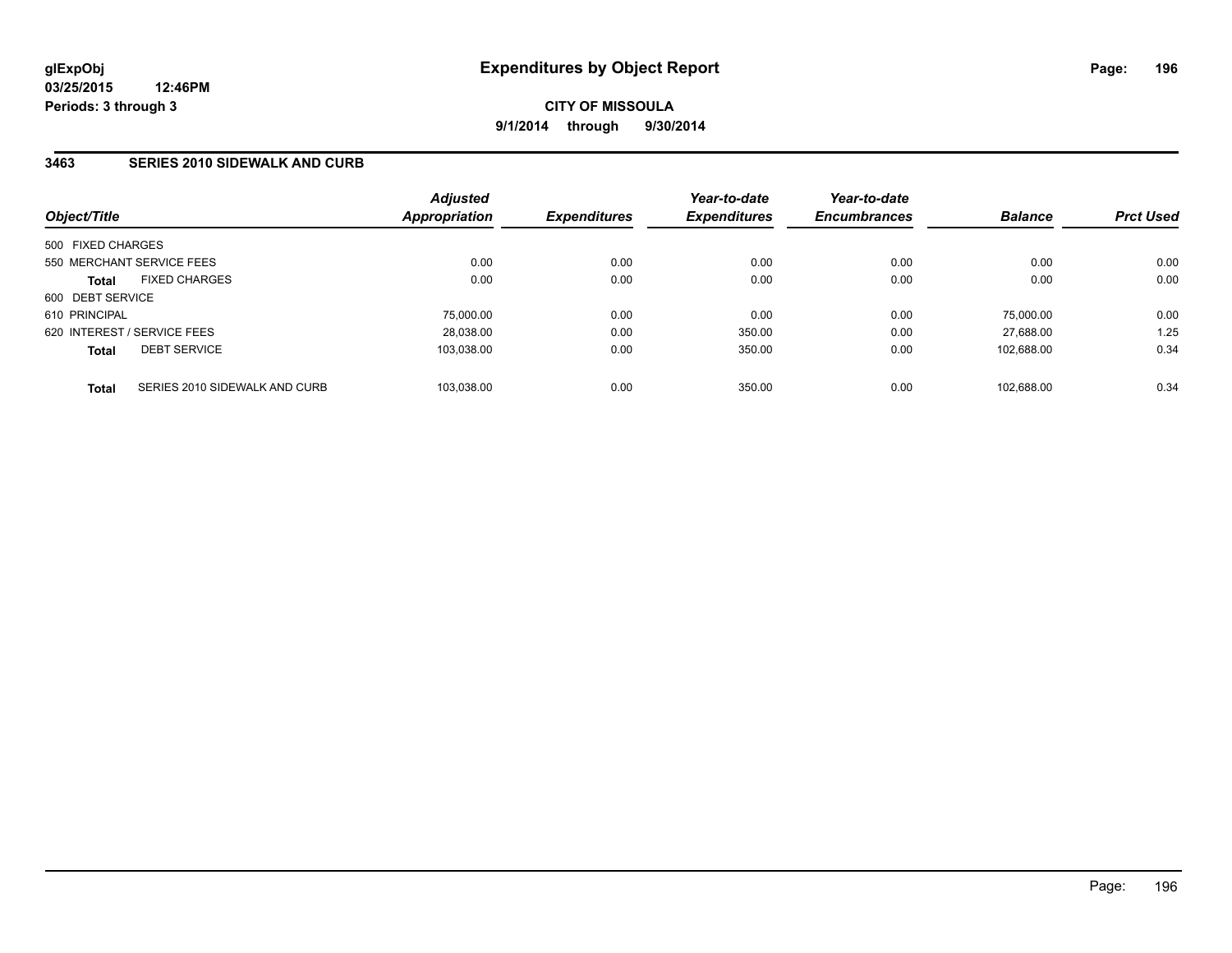## **3463 SERIES 2010 SIDEWALK AND CURB**

| Object/Title      |                               | <b>Adjusted</b><br>Appropriation | <b>Expenditures</b> | Year-to-date<br><b>Expenditures</b> | Year-to-date<br><b>Encumbrances</b> | <b>Balance</b> | <b>Prct Used</b> |
|-------------------|-------------------------------|----------------------------------|---------------------|-------------------------------------|-------------------------------------|----------------|------------------|
| 500 FIXED CHARGES |                               |                                  |                     |                                     |                                     |                |                  |
|                   | 550 MERCHANT SERVICE FEES     | 0.00                             | 0.00                | 0.00                                | 0.00                                | 0.00           | 0.00             |
| <b>Total</b>      | <b>FIXED CHARGES</b>          | 0.00                             | 0.00                | 0.00                                | 0.00                                | 0.00           | 0.00             |
| 600 DEBT SERVICE  |                               |                                  |                     |                                     |                                     |                |                  |
| 610 PRINCIPAL     |                               | 75,000.00                        | 0.00                | 0.00                                | 0.00                                | 75.000.00      | 0.00             |
|                   | 620 INTEREST / SERVICE FEES   | 28.038.00                        | 0.00                | 350.00                              | 0.00                                | 27.688.00      | 1.25             |
| <b>Total</b>      | <b>DEBT SERVICE</b>           | 103.038.00                       | 0.00                | 350.00                              | 0.00                                | 102.688.00     | 0.34             |
| <b>Total</b>      | SERIES 2010 SIDEWALK AND CURB | 103.038.00                       | 0.00                | 350.00                              | 0.00                                | 102.688.00     | 0.34             |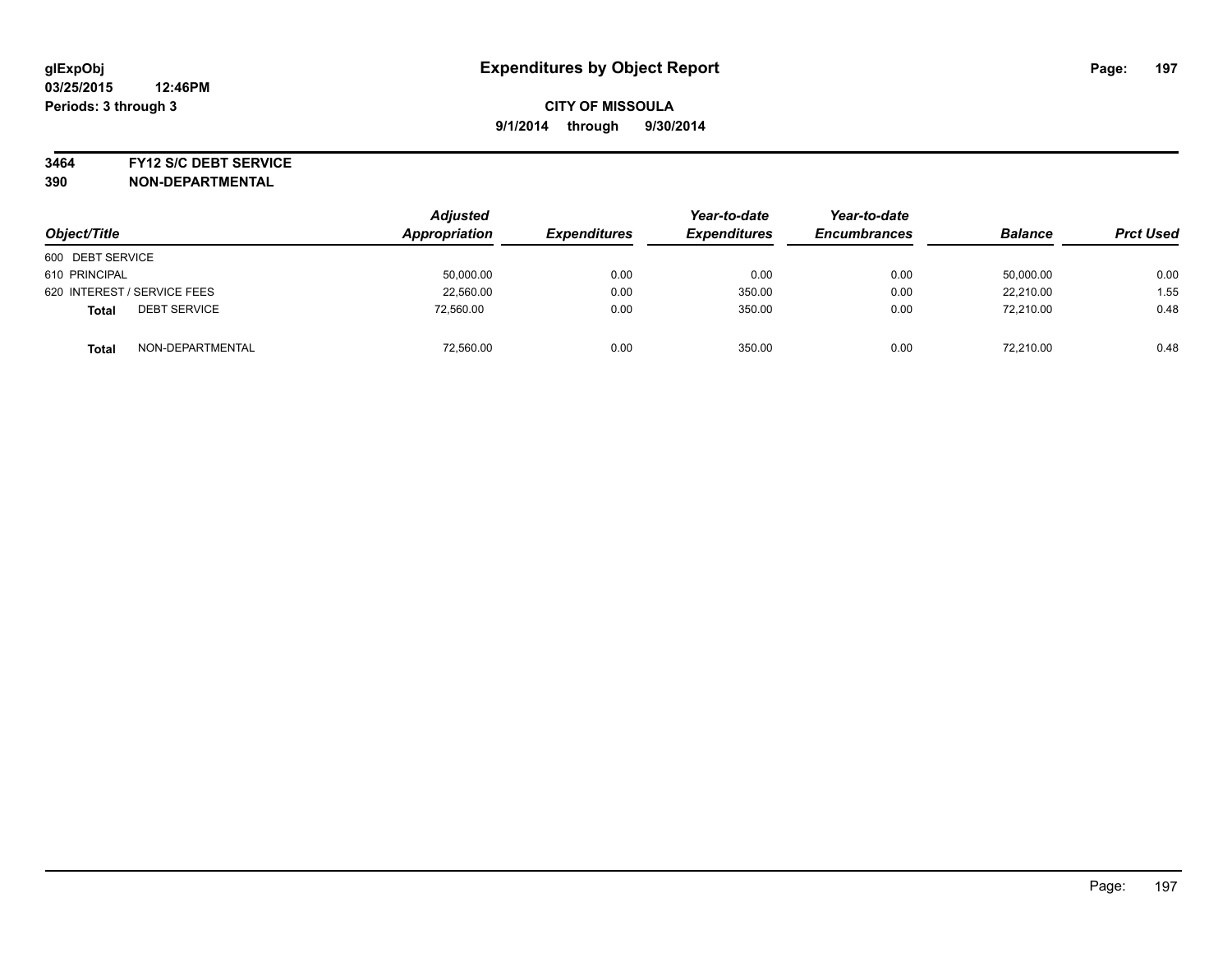#### **3464 FY12 S/C DEBT SERVICE**

| Object/Title                        | <b>Adjusted</b><br>Appropriation | <b>Expenditures</b> | Year-to-date<br><b>Expenditures</b> | Year-to-date<br><b>Encumbrances</b> | <b>Balance</b> | <b>Prct Used</b> |
|-------------------------------------|----------------------------------|---------------------|-------------------------------------|-------------------------------------|----------------|------------------|
| 600 DEBT SERVICE                    |                                  |                     |                                     |                                     |                |                  |
| 610 PRINCIPAL                       | 50,000.00                        | 0.00                | 0.00                                | 0.00                                | 50,000.00      | 0.00             |
| 620 INTEREST / SERVICE FEES         | 22,560.00                        | 0.00                | 350.00                              | 0.00                                | 22.210.00      | 1.55             |
| <b>DEBT SERVICE</b><br><b>Total</b> | 72,560.00                        | 0.00                | 350.00                              | 0.00                                | 72.210.00      | 0.48             |
| NON-DEPARTMENTAL<br><b>Total</b>    | 72,560.00                        | 0.00                | 350.00                              | 0.00                                | 72.210.00      | 0.48             |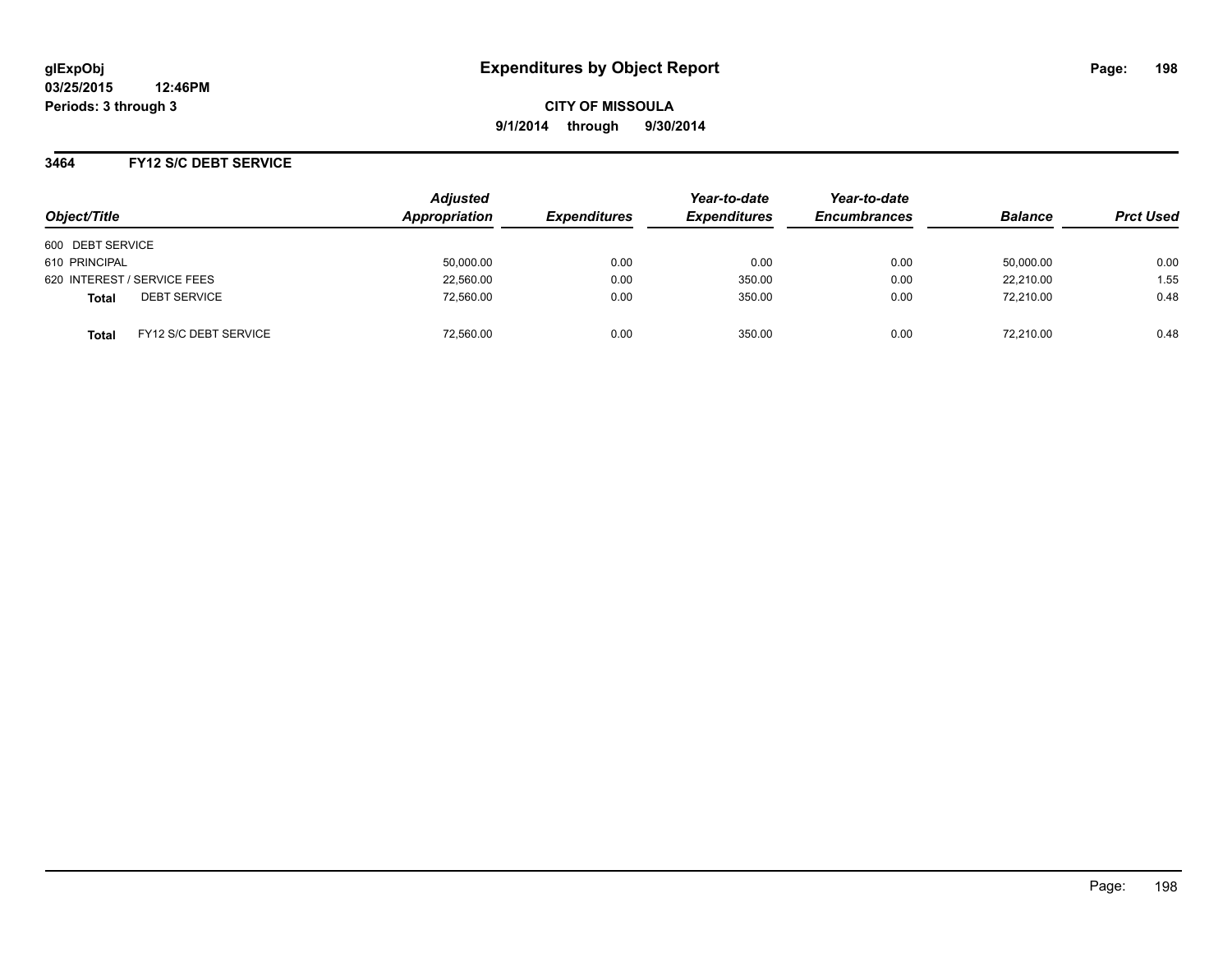## **3464 FY12 S/C DEBT SERVICE**

| Object/Title                   | <b>Adjusted</b><br>Appropriation | <b>Expenditures</b> | Year-to-date<br><b>Expenditures</b> | Year-to-date<br><b>Encumbrances</b> | <b>Balance</b> | <b>Prct Used</b> |
|--------------------------------|----------------------------------|---------------------|-------------------------------------|-------------------------------------|----------------|------------------|
| 600 DEBT SERVICE               |                                  |                     |                                     |                                     |                |                  |
| 610 PRINCIPAL                  | 50,000.00                        | 0.00                | 0.00                                | 0.00                                | 50,000.00      | 0.00             |
| 620 INTEREST / SERVICE FEES    | 22,560.00                        | 0.00                | 350.00                              | 0.00                                | 22.210.00      | 1.55             |
| <b>DEBT SERVICE</b><br>Total   | 72,560.00                        | 0.00                | 350.00                              | 0.00                                | 72,210.00      | 0.48             |
| FY12 S/C DEBT SERVICE<br>Total | 72,560.00                        | 0.00                | 350.00                              | 0.00                                | 72,210.00      | 0.48             |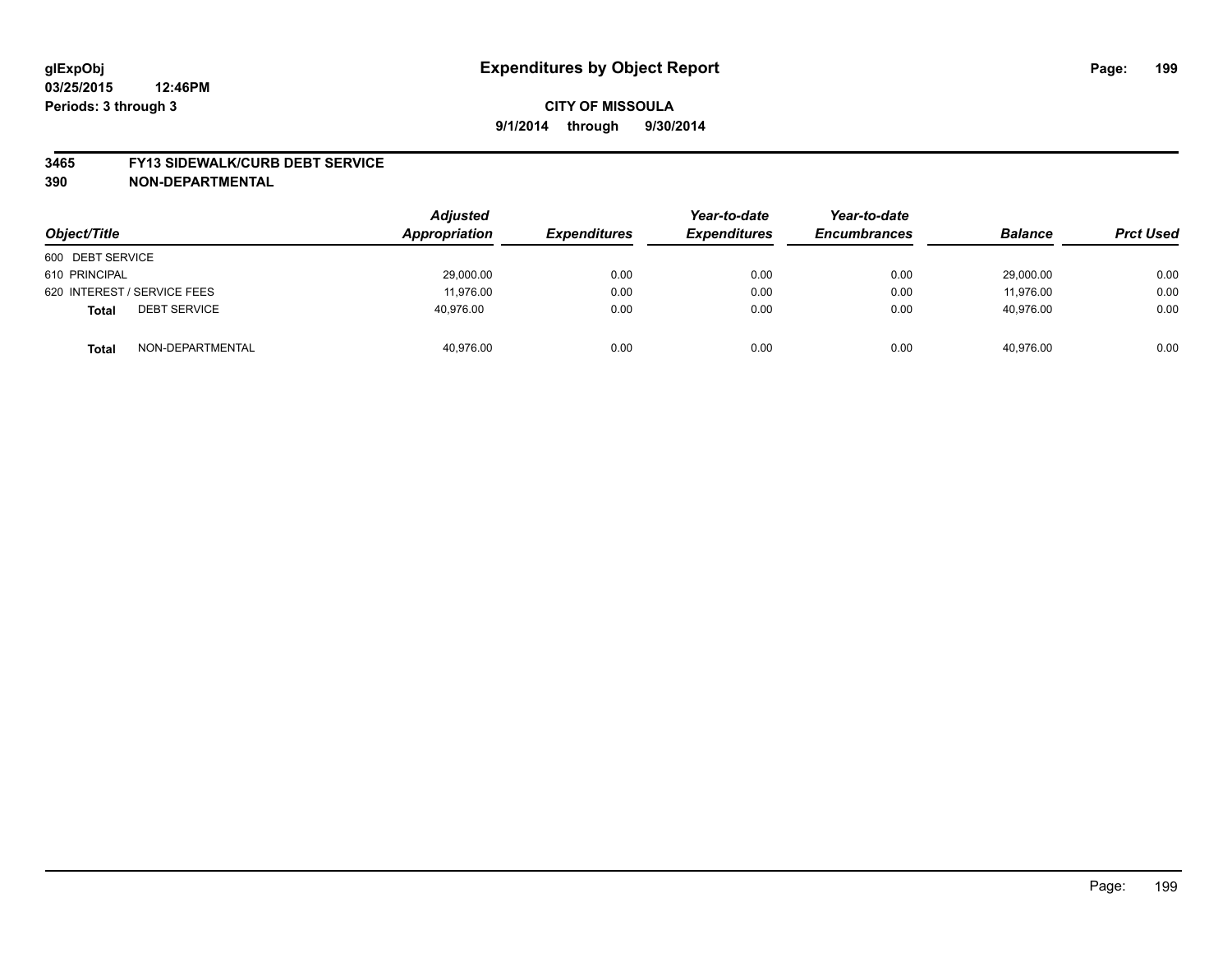#### **3465 FY13 SIDEWALK/CURB DEBT SERVICE**

| Object/Title                        | <b>Adjusted</b><br>Appropriation | <b>Expenditures</b> | Year-to-date<br><b>Expenditures</b> | Year-to-date<br><b>Encumbrances</b> | <b>Balance</b> | <b>Prct Used</b> |
|-------------------------------------|----------------------------------|---------------------|-------------------------------------|-------------------------------------|----------------|------------------|
| 600 DEBT SERVICE                    |                                  |                     |                                     |                                     |                |                  |
| 610 PRINCIPAL                       | 29,000.00                        | 0.00                | 0.00                                | 0.00                                | 29,000.00      | 0.00             |
| 620 INTEREST / SERVICE FEES         | 11.976.00                        | 0.00                | 0.00                                | 0.00                                | 11.976.00      | 0.00             |
| <b>DEBT SERVICE</b><br><b>Total</b> | 40,976.00                        | 0.00                | 0.00                                | 0.00                                | 40,976.00      | 0.00             |
| NON-DEPARTMENTAL<br><b>Total</b>    | 40,976.00                        | 0.00                | 0.00                                | 0.00                                | 40.976.00      | 0.00             |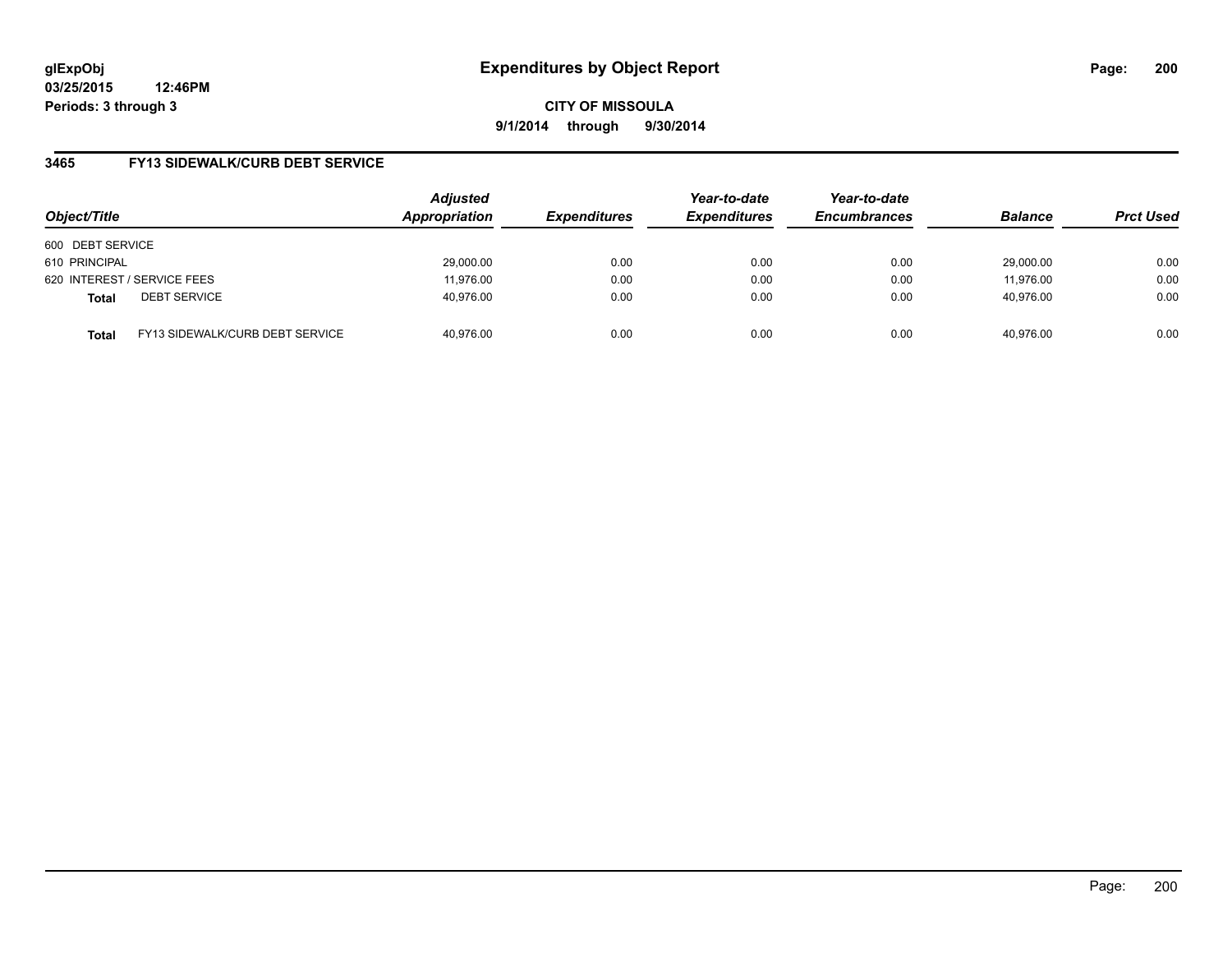**03/25/2015 12:46PM Periods: 3 through 3**

**CITY OF MISSOULA 9/1/2014 through 9/30/2014**

## **3465 FY13 SIDEWALK/CURB DEBT SERVICE**

| Object/Title     |                                 | <b>Adjusted</b><br>Appropriation | <b>Expenditures</b> | Year-to-date<br><b>Expenditures</b> | Year-to-date<br><b>Encumbrances</b> | <b>Balance</b> | <b>Prct Used</b> |
|------------------|---------------------------------|----------------------------------|---------------------|-------------------------------------|-------------------------------------|----------------|------------------|
| 600 DEBT SERVICE |                                 |                                  |                     |                                     |                                     |                |                  |
| 610 PRINCIPAL    |                                 | 29,000.00                        | 0.00                | 0.00                                | 0.00                                | 29.000.00      | 0.00             |
|                  | 620 INTEREST / SERVICE FEES     | 11.976.00                        | 0.00                | 0.00                                | 0.00                                | 11,976.00      | 0.00             |
| <b>Total</b>     | <b>DEBT SERVICE</b>             | 40,976.00                        | 0.00                | 0.00                                | 0.00                                | 40.976.00      | 0.00             |
| <b>Total</b>     | FY13 SIDEWALK/CURB DEBT SERVICE | 40.976.00                        | 0.00                | 0.00                                | 0.00                                | 40.976.00      | 0.00             |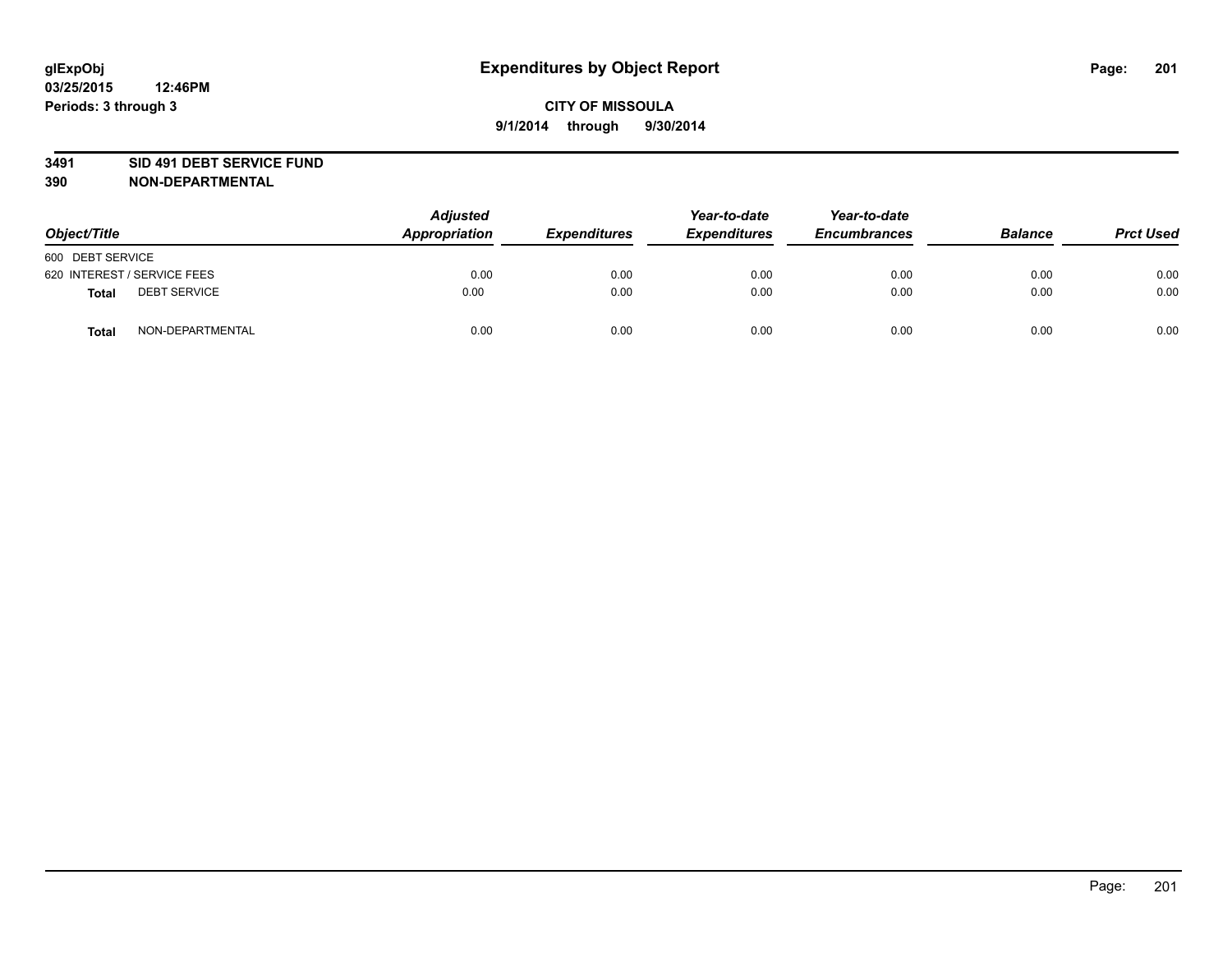#### **3491 SID 491 DEBT SERVICE FUND**

| Object/Title                 | <b>Adjusted</b><br>Appropriation | <b>Expenditures</b> | Year-to-date<br><b>Expenditures</b> | Year-to-date<br><b>Encumbrances</b> | <b>Balance</b> | <b>Prct Used</b> |
|------------------------------|----------------------------------|---------------------|-------------------------------------|-------------------------------------|----------------|------------------|
| 600 DEBT SERVICE             |                                  |                     |                                     |                                     |                |                  |
| 620 INTEREST / SERVICE FEES  | 0.00                             | 0.00                | 0.00                                | 0.00                                | 0.00           | 0.00             |
| <b>DEBT SERVICE</b><br>Total | 0.00                             | 0.00                | 0.00                                | 0.00                                | 0.00           | 0.00             |
| NON-DEPARTMENTAL<br>Total    | 0.00                             | 0.00                | 0.00                                | 0.00                                | 0.00           | 0.00             |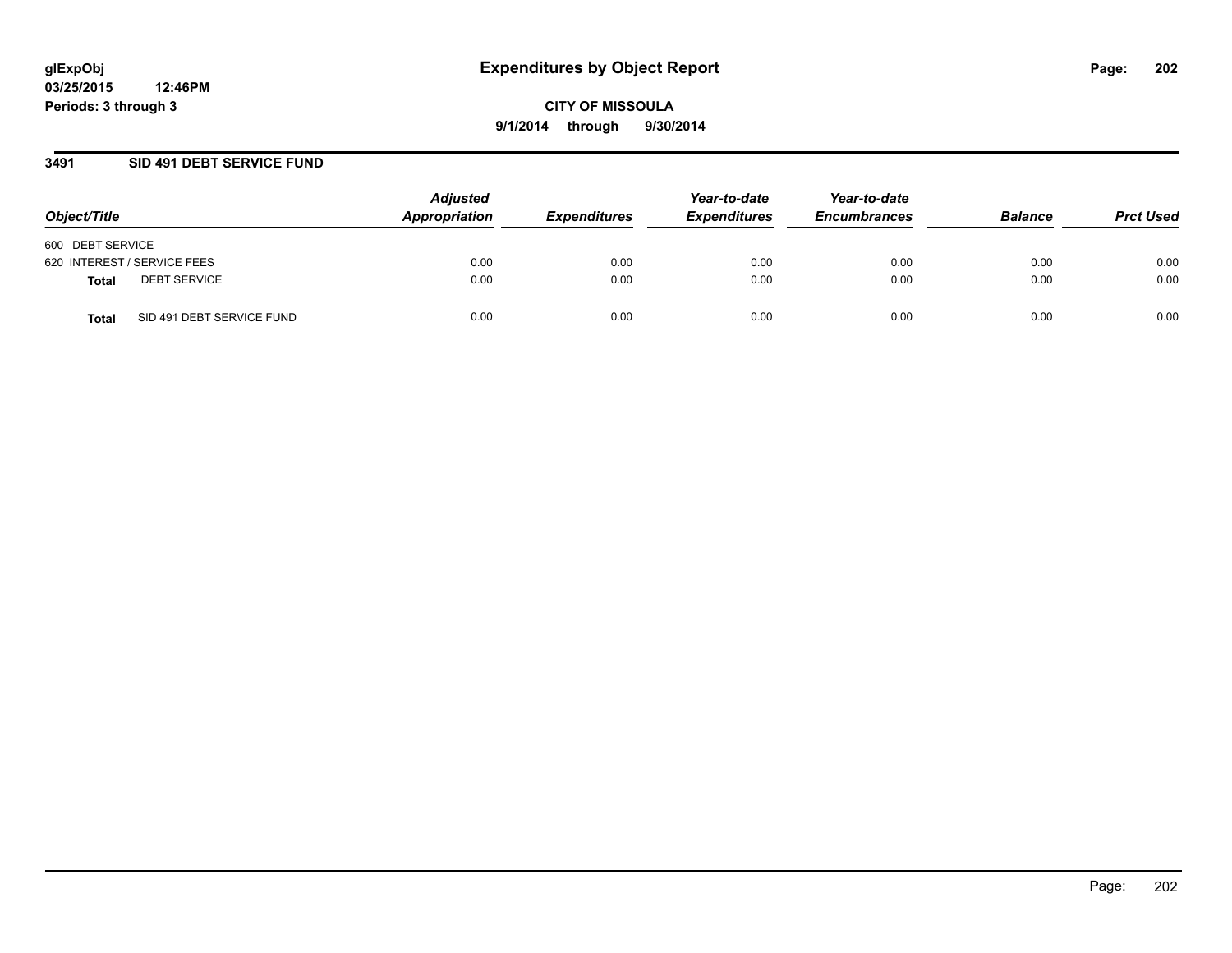## **3491 SID 491 DEBT SERVICE FUND**

| Object/Title                              | <b>Adjusted</b><br>Appropriation | <b>Expenditures</b> | Year-to-date<br><b>Expenditures</b> | Year-to-date<br><b>Encumbrances</b> | <b>Balance</b> | <b>Prct Used</b> |
|-------------------------------------------|----------------------------------|---------------------|-------------------------------------|-------------------------------------|----------------|------------------|
| 600 DEBT SERVICE                          |                                  |                     |                                     |                                     |                |                  |
| 620 INTEREST / SERVICE FEES               | 0.00                             | 0.00                | 0.00                                | 0.00                                | 0.00           | 0.00             |
| <b>DEBT SERVICE</b><br><b>Total</b>       | 0.00                             | 0.00                | 0.00                                | 0.00                                | 0.00           | 0.00             |
| SID 491 DEBT SERVICE FUND<br><b>Total</b> | 0.00                             | 0.00                | 0.00                                | 0.00                                | 0.00           | 0.00             |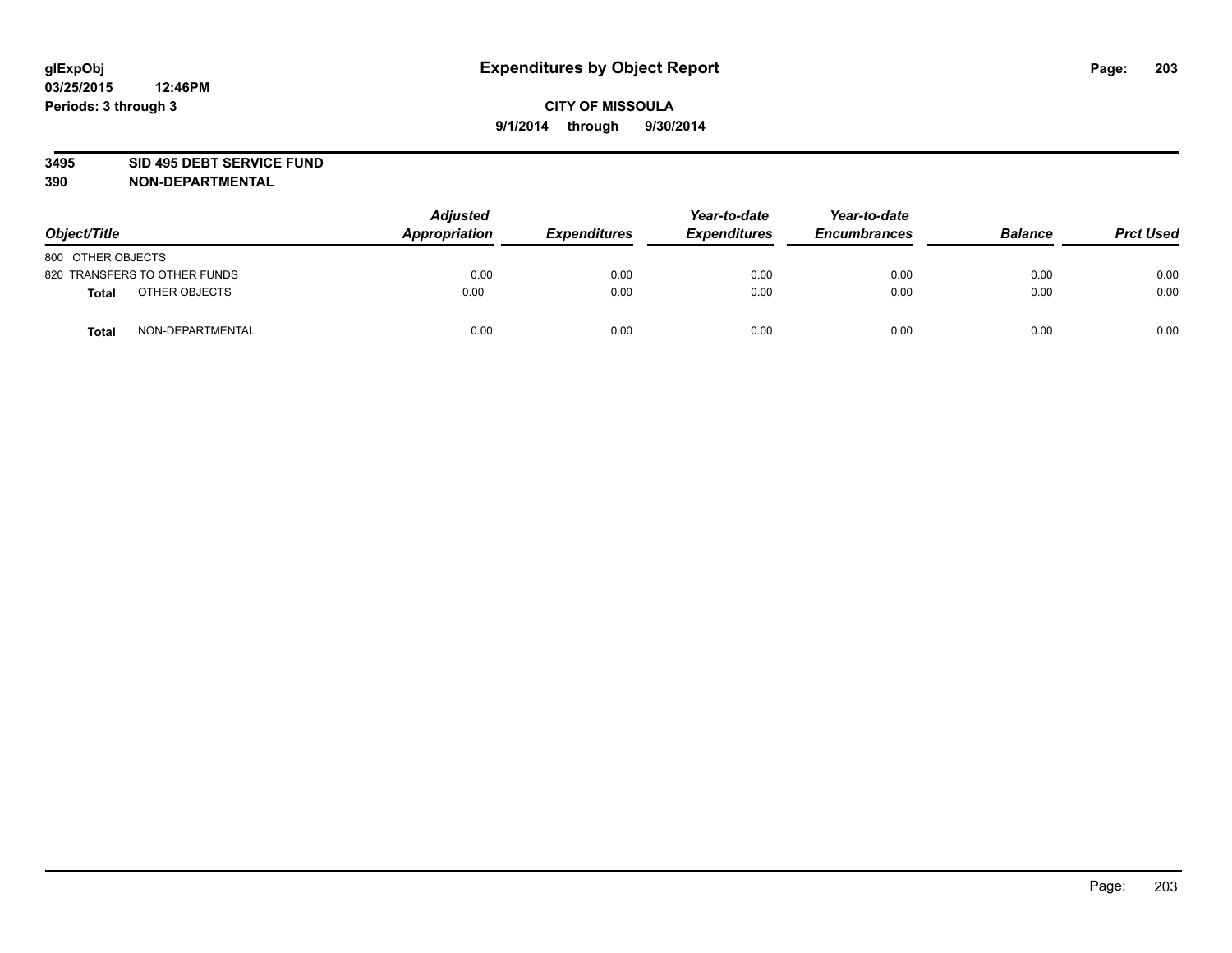#### **3495 SID 495 DEBT SERVICE FUND**

| Object/Title                     | <b>Adjusted</b><br>Appropriation | <b>Expenditures</b> | Year-to-date<br><b>Expenditures</b> | Year-to-date<br><b>Encumbrances</b> | <b>Balance</b> | <b>Prct Used</b> |
|----------------------------------|----------------------------------|---------------------|-------------------------------------|-------------------------------------|----------------|------------------|
| 800 OTHER OBJECTS                |                                  |                     |                                     |                                     |                |                  |
| 820 TRANSFERS TO OTHER FUNDS     | 0.00                             | 0.00                | 0.00                                | 0.00                                | 0.00           | 0.00             |
| OTHER OBJECTS<br><b>Total</b>    | 0.00                             | 0.00                | 0.00                                | 0.00                                | 0.00           | 0.00             |
| NON-DEPARTMENTAL<br><b>Total</b> | 0.00                             | 0.00                | 0.00                                | 0.00                                | 0.00           | 0.00             |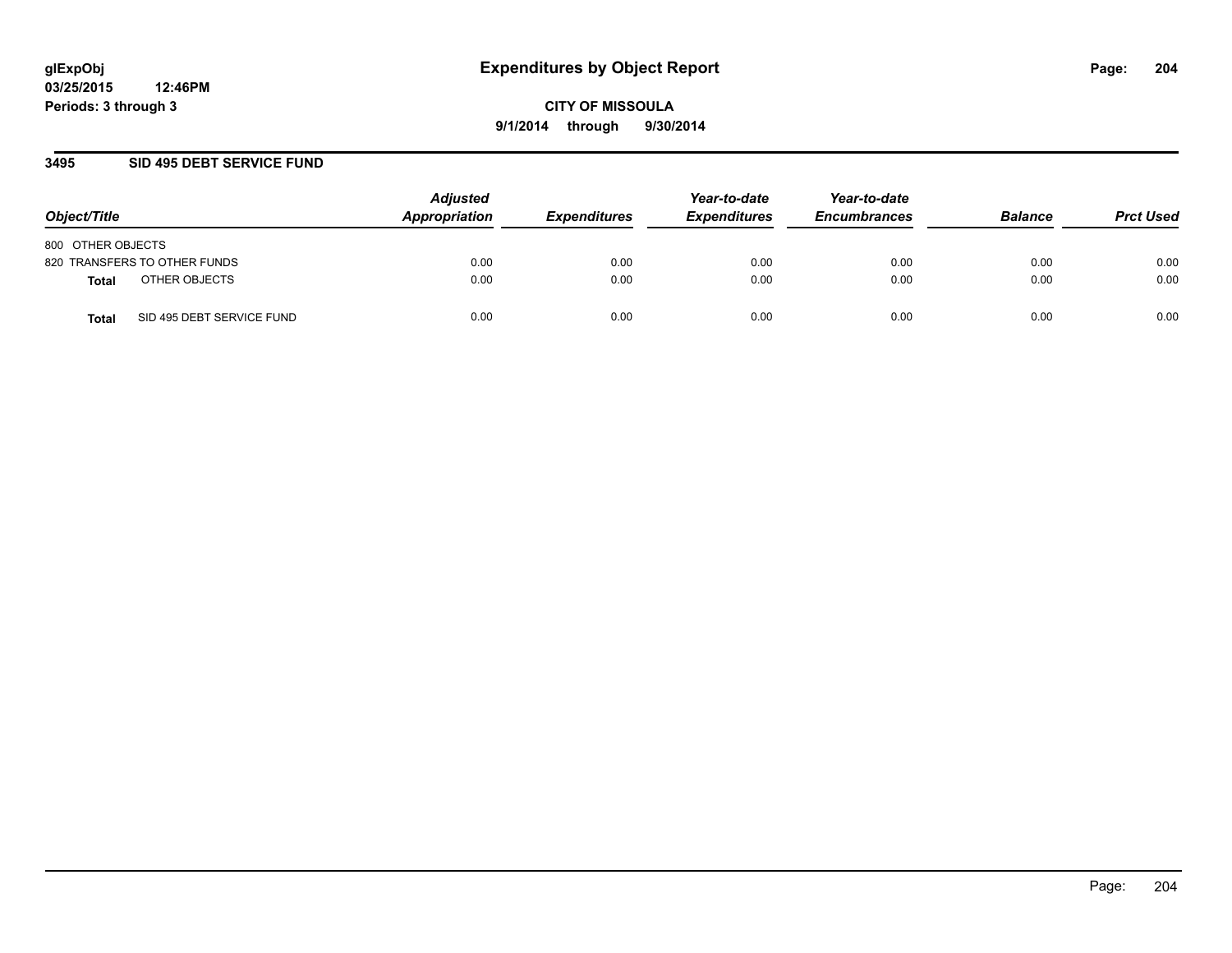## **3495 SID 495 DEBT SERVICE FUND**

| Object/Title                              | <b>Adjusted</b><br>Appropriation | <b>Expenditures</b> | Year-to-date<br><b>Expenditures</b> | Year-to-date<br><b>Encumbrances</b> | <b>Balance</b> | <b>Prct Used</b> |
|-------------------------------------------|----------------------------------|---------------------|-------------------------------------|-------------------------------------|----------------|------------------|
| 800 OTHER OBJECTS                         |                                  |                     |                                     |                                     |                |                  |
| 820 TRANSFERS TO OTHER FUNDS              | 0.00                             | 0.00                | 0.00                                | 0.00                                | 0.00           | 0.00             |
| OTHER OBJECTS<br><b>Total</b>             | 0.00                             | 0.00                | 0.00                                | 0.00                                | 0.00           | 0.00             |
| SID 495 DEBT SERVICE FUND<br><b>Total</b> | 0.00                             | 0.00                | 0.00                                | 0.00                                | 0.00           | 0.00             |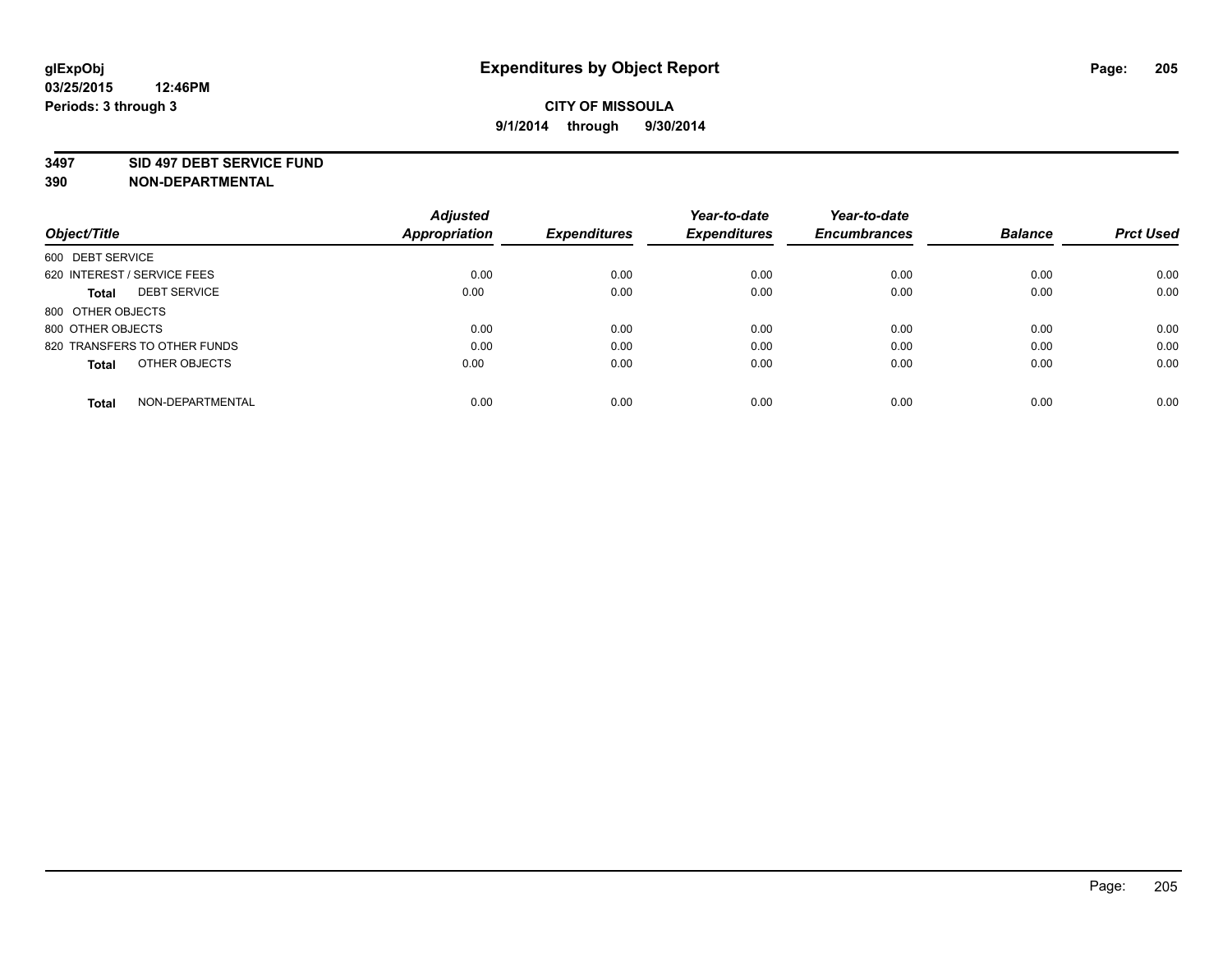#### **3497 SID 497 DEBT SERVICE FUND**

|                                     | <b>Adjusted</b>      |                     | Year-to-date        | Year-to-date        |                |                  |
|-------------------------------------|----------------------|---------------------|---------------------|---------------------|----------------|------------------|
| Object/Title                        | <b>Appropriation</b> | <b>Expenditures</b> | <b>Expenditures</b> | <b>Encumbrances</b> | <b>Balance</b> | <b>Prct Used</b> |
| 600 DEBT SERVICE                    |                      |                     |                     |                     |                |                  |
| 620 INTEREST / SERVICE FEES         | 0.00                 | 0.00                | 0.00                | 0.00                | 0.00           | 0.00             |
| <b>DEBT SERVICE</b><br><b>Total</b> | 0.00                 | 0.00                | 0.00                | 0.00                | 0.00           | 0.00             |
| 800 OTHER OBJECTS                   |                      |                     |                     |                     |                |                  |
| 800 OTHER OBJECTS                   | 0.00                 | 0.00                | 0.00                | 0.00                | 0.00           | 0.00             |
| 820 TRANSFERS TO OTHER FUNDS        | 0.00                 | 0.00                | 0.00                | 0.00                | 0.00           | 0.00             |
| OTHER OBJECTS<br><b>Total</b>       | 0.00                 | 0.00                | 0.00                | 0.00                | 0.00           | 0.00             |
| NON-DEPARTMENTAL<br>Total           | 0.00                 | 0.00                | 0.00                | 0.00                | 0.00           | 0.00             |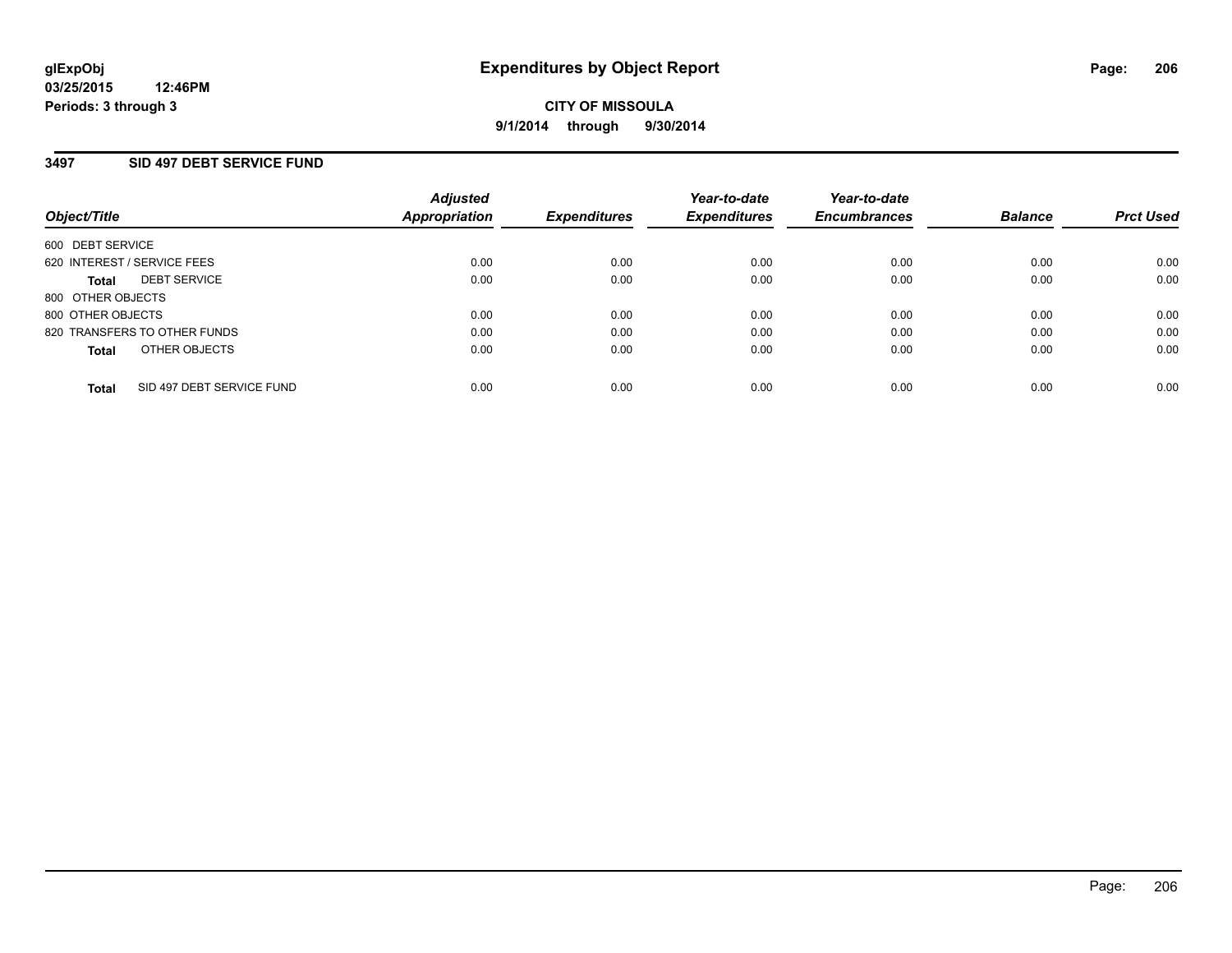## **3497 SID 497 DEBT SERVICE FUND**

| Object/Title                              | <b>Adjusted</b><br><b>Appropriation</b> | <b>Expenditures</b> | Year-to-date<br><b>Expenditures</b> | Year-to-date<br><b>Encumbrances</b> | <b>Balance</b> | <b>Prct Used</b> |
|-------------------------------------------|-----------------------------------------|---------------------|-------------------------------------|-------------------------------------|----------------|------------------|
| 600 DEBT SERVICE                          |                                         |                     |                                     |                                     |                |                  |
| 620 INTEREST / SERVICE FEES               | 0.00                                    | 0.00                | 0.00                                | 0.00                                | 0.00           | 0.00             |
| <b>DEBT SERVICE</b><br>Total              | 0.00                                    | 0.00                | 0.00                                | 0.00                                | 0.00           | 0.00             |
| 800 OTHER OBJECTS                         |                                         |                     |                                     |                                     |                |                  |
| 800 OTHER OBJECTS                         | 0.00                                    | 0.00                | 0.00                                | 0.00                                | 0.00           | 0.00             |
| 820 TRANSFERS TO OTHER FUNDS              | 0.00                                    | 0.00                | 0.00                                | 0.00                                | 0.00           | 0.00             |
| OTHER OBJECTS<br><b>Total</b>             | 0.00                                    | 0.00                | 0.00                                | 0.00                                | 0.00           | 0.00             |
| SID 497 DEBT SERVICE FUND<br><b>Total</b> | 0.00                                    | 0.00                | 0.00                                | 0.00                                | 0.00           | 0.00             |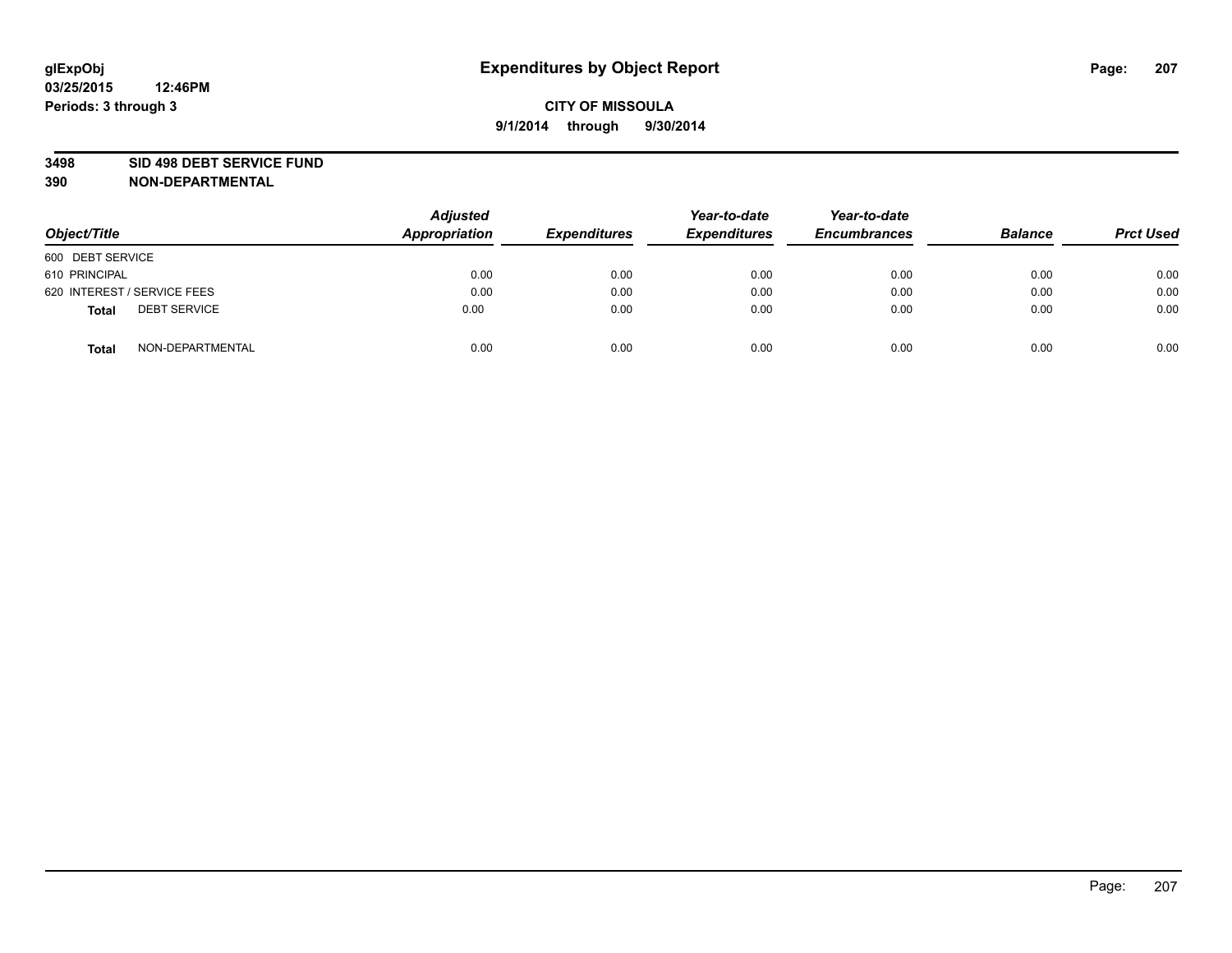#### **3498 SID 498 DEBT SERVICE FUND**

| Object/Title                        | <b>Adjusted</b><br>Appropriation | <b>Expenditures</b> | Year-to-date<br><b>Expenditures</b> | Year-to-date<br><b>Encumbrances</b> | <b>Balance</b> | <b>Prct Used</b> |
|-------------------------------------|----------------------------------|---------------------|-------------------------------------|-------------------------------------|----------------|------------------|
| 600 DEBT SERVICE                    |                                  |                     |                                     |                                     |                |                  |
| 610 PRINCIPAL                       | 0.00                             | 0.00                | 0.00                                | 0.00                                | 0.00           | 0.00             |
| 620 INTEREST / SERVICE FEES         | 0.00                             | 0.00                | 0.00                                | 0.00                                | 0.00           | 0.00             |
| <b>DEBT SERVICE</b><br><b>Total</b> | 0.00                             | 0.00                | 0.00                                | 0.00                                | 0.00           | 0.00             |
| NON-DEPARTMENTAL<br><b>Total</b>    | 0.00                             | 0.00                | 0.00                                | 0.00                                | 0.00           | 0.00             |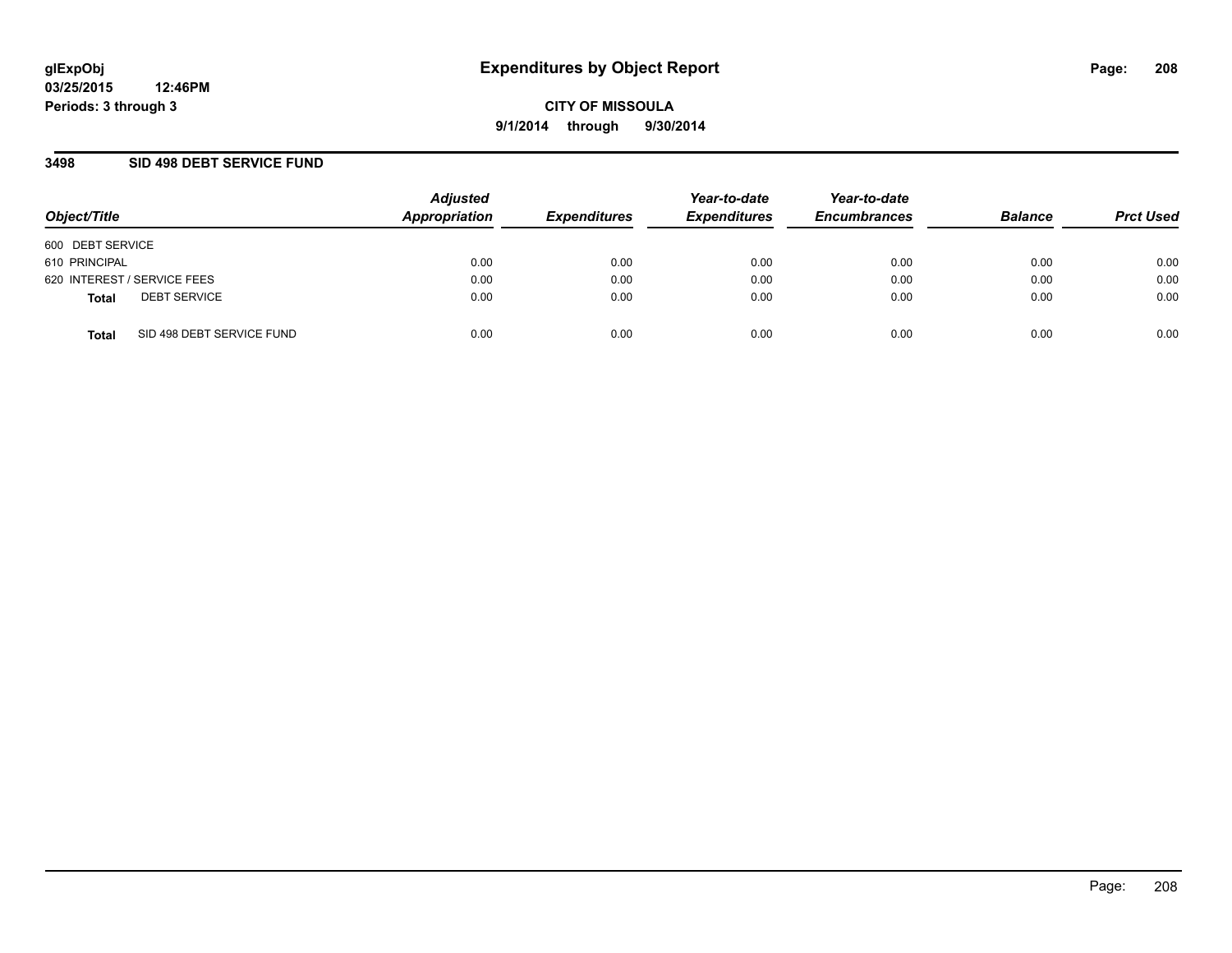## **3498 SID 498 DEBT SERVICE FUND**

| Object/Title                              | <b>Adjusted</b><br>Appropriation | <b>Expenditures</b> | Year-to-date<br><b>Expenditures</b> | Year-to-date<br><b>Encumbrances</b> | <b>Balance</b> | <b>Prct Used</b> |
|-------------------------------------------|----------------------------------|---------------------|-------------------------------------|-------------------------------------|----------------|------------------|
| 600 DEBT SERVICE                          |                                  |                     |                                     |                                     |                |                  |
| 610 PRINCIPAL                             | 0.00                             | 0.00                | 0.00                                | 0.00                                | 0.00           | 0.00             |
| 620 INTEREST / SERVICE FEES               | 0.00                             | 0.00                | 0.00                                | 0.00                                | 0.00           | 0.00             |
| <b>DEBT SERVICE</b><br><b>Total</b>       | 0.00                             | 0.00                | 0.00                                | 0.00                                | 0.00           | 0.00             |
| SID 498 DEBT SERVICE FUND<br><b>Total</b> | 0.00                             | 0.00                | 0.00                                | 0.00                                | 0.00           | 0.00             |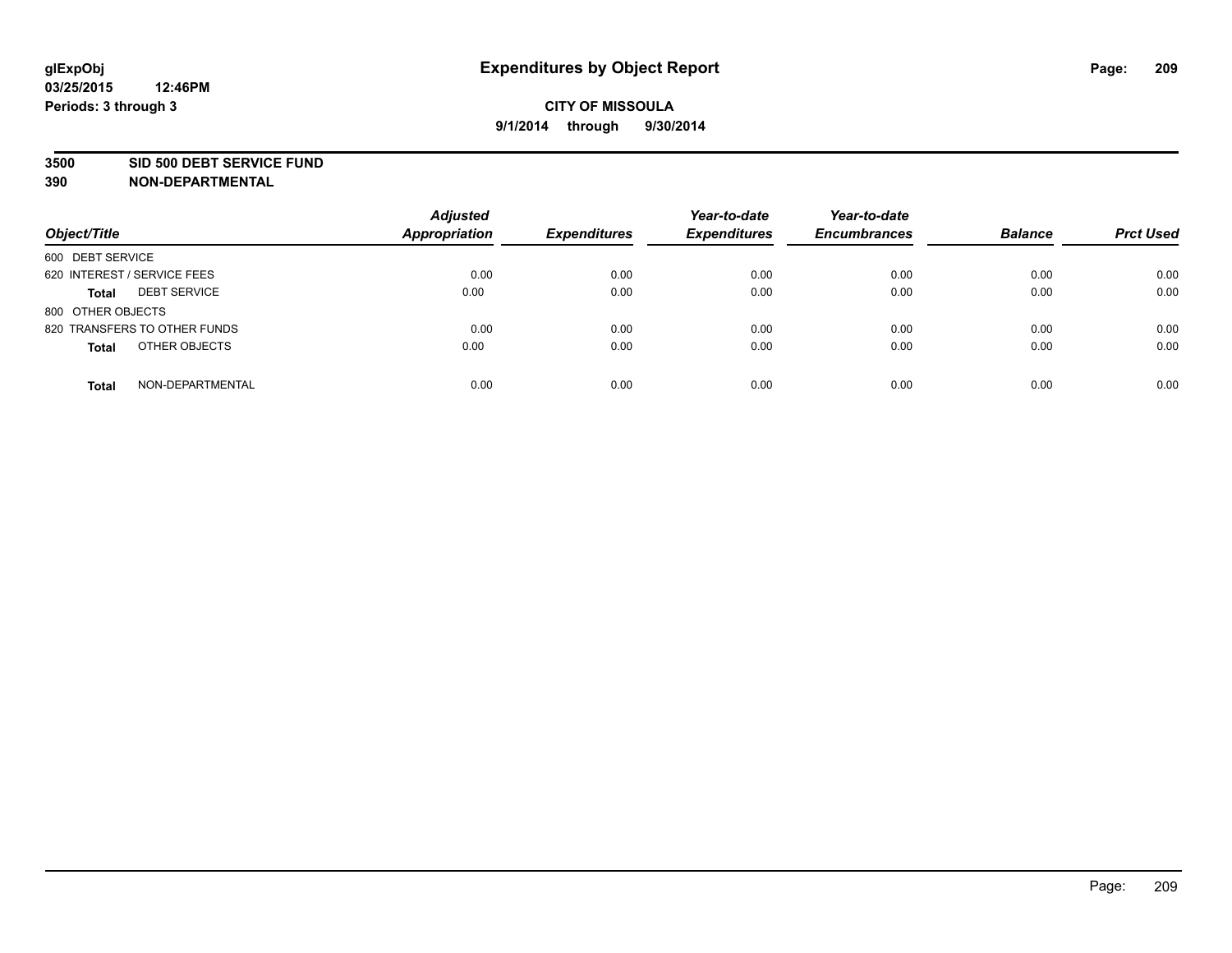#### **3500 SID 500 DEBT SERVICE FUND**

| Object/Title                        | <b>Adjusted</b><br><b>Appropriation</b> | <b>Expenditures</b> | Year-to-date<br><b>Expenditures</b> | Year-to-date<br><b>Encumbrances</b> | <b>Balance</b> | <b>Prct Used</b> |
|-------------------------------------|-----------------------------------------|---------------------|-------------------------------------|-------------------------------------|----------------|------------------|
| 600 DEBT SERVICE                    |                                         |                     |                                     |                                     |                |                  |
| 620 INTEREST / SERVICE FEES         | 0.00                                    | 0.00                | 0.00                                | 0.00                                | 0.00           | 0.00             |
| <b>DEBT SERVICE</b><br><b>Total</b> | 0.00                                    | 0.00                | 0.00                                | 0.00                                | 0.00           | 0.00             |
| 800 OTHER OBJECTS                   |                                         |                     |                                     |                                     |                |                  |
| 820 TRANSFERS TO OTHER FUNDS        | 0.00                                    | 0.00                | 0.00                                | 0.00                                | 0.00           | 0.00             |
| OTHER OBJECTS<br><b>Total</b>       | 0.00                                    | 0.00                | 0.00                                | 0.00                                | 0.00           | 0.00             |
| NON-DEPARTMENTAL<br><b>Total</b>    | 0.00                                    | 0.00                | 0.00                                | 0.00                                | 0.00           | 0.00             |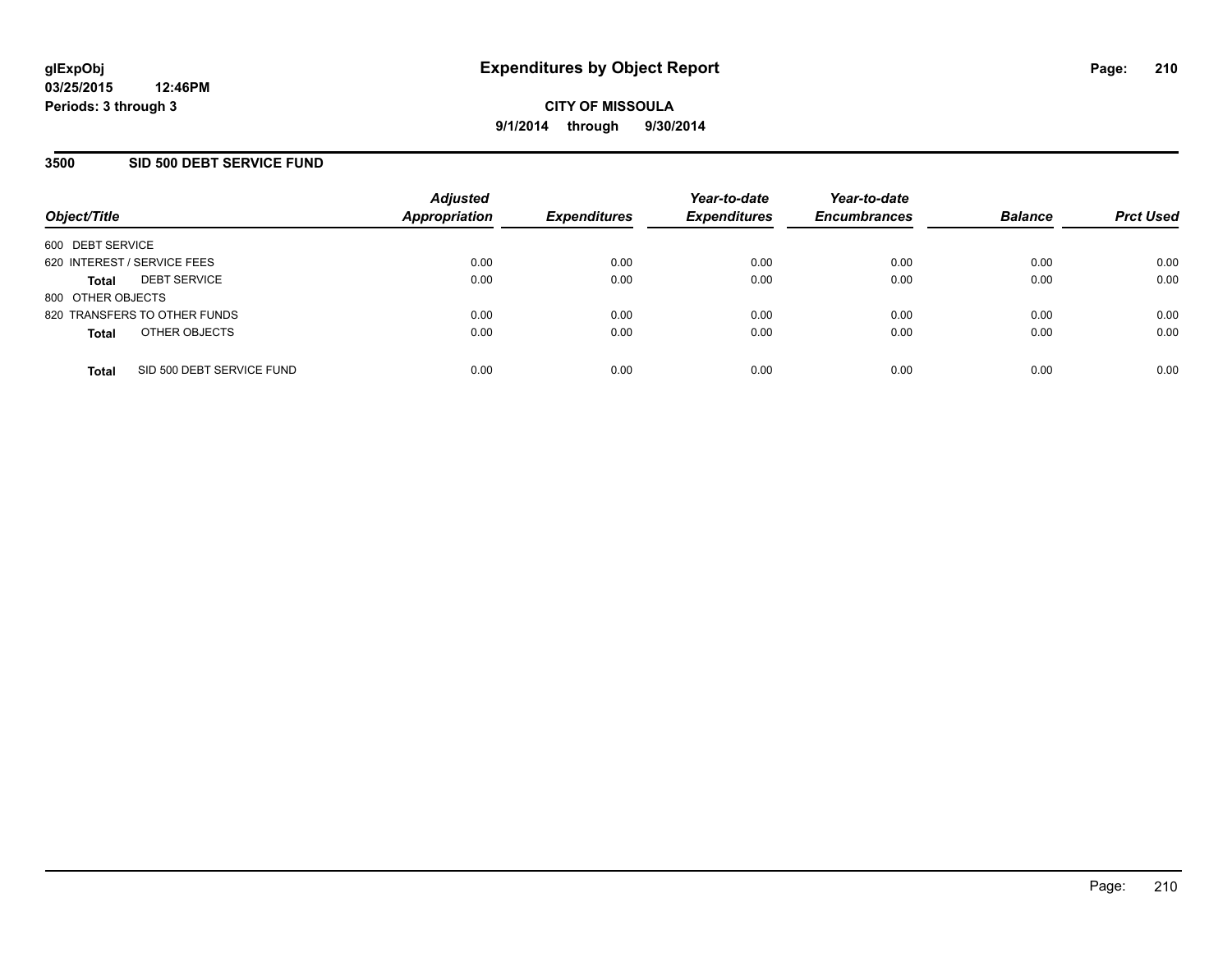## **3500 SID 500 DEBT SERVICE FUND**

| Object/Title                |                              | <b>Adjusted</b><br><b>Appropriation</b> | <b>Expenditures</b> | Year-to-date<br><b>Expenditures</b> | Year-to-date<br><b>Encumbrances</b> | <b>Balance</b> | <b>Prct Used</b> |
|-----------------------------|------------------------------|-----------------------------------------|---------------------|-------------------------------------|-------------------------------------|----------------|------------------|
| 600 DEBT SERVICE            |                              |                                         |                     |                                     |                                     |                |                  |
| 620 INTEREST / SERVICE FEES |                              | 0.00                                    | 0.00                | 0.00                                | 0.00                                | 0.00           | 0.00             |
| <b>Total</b>                | <b>DEBT SERVICE</b>          | 0.00                                    | 0.00                | 0.00                                | 0.00                                | 0.00           | 0.00             |
| 800 OTHER OBJECTS           |                              |                                         |                     |                                     |                                     |                |                  |
|                             | 820 TRANSFERS TO OTHER FUNDS | 0.00                                    | 0.00                | 0.00                                | 0.00                                | 0.00           | 0.00             |
| <b>Total</b>                | OTHER OBJECTS                | 0.00                                    | 0.00                | 0.00                                | 0.00                                | 0.00           | 0.00             |
| <b>Total</b>                | SID 500 DEBT SERVICE FUND    | 0.00                                    | 0.00                | 0.00                                | 0.00                                | 0.00           | 0.00             |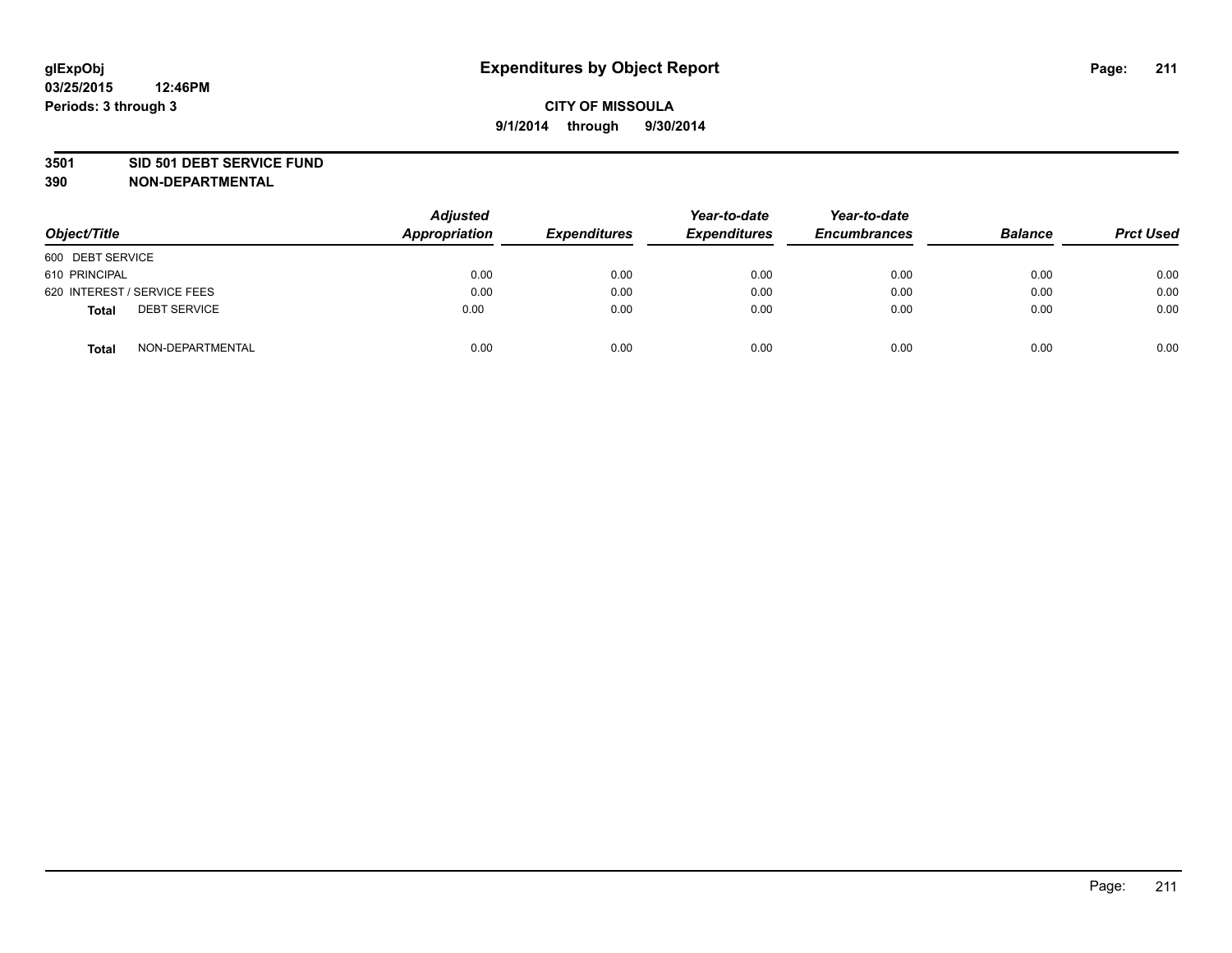#### **3501 SID 501 DEBT SERVICE FUND**

| Object/Title                        | <b>Adjusted</b><br><b>Appropriation</b> | <b>Expenditures</b> | Year-to-date<br><b>Expenditures</b> | Year-to-date<br><b>Encumbrances</b> | <b>Balance</b> | <b>Prct Used</b> |
|-------------------------------------|-----------------------------------------|---------------------|-------------------------------------|-------------------------------------|----------------|------------------|
| 600 DEBT SERVICE                    |                                         |                     |                                     |                                     |                |                  |
| 610 PRINCIPAL                       | 0.00                                    | 0.00                | 0.00                                | 0.00                                | 0.00           | 0.00             |
| 620 INTEREST / SERVICE FEES         | 0.00                                    | 0.00                | 0.00                                | 0.00                                | 0.00           | 0.00             |
| <b>DEBT SERVICE</b><br><b>Total</b> | 0.00                                    | 0.00                | 0.00                                | 0.00                                | 0.00           | 0.00             |
| NON-DEPARTMENTAL<br><b>Total</b>    | 0.00                                    | 0.00                | 0.00                                | 0.00                                | 0.00           | 0.00             |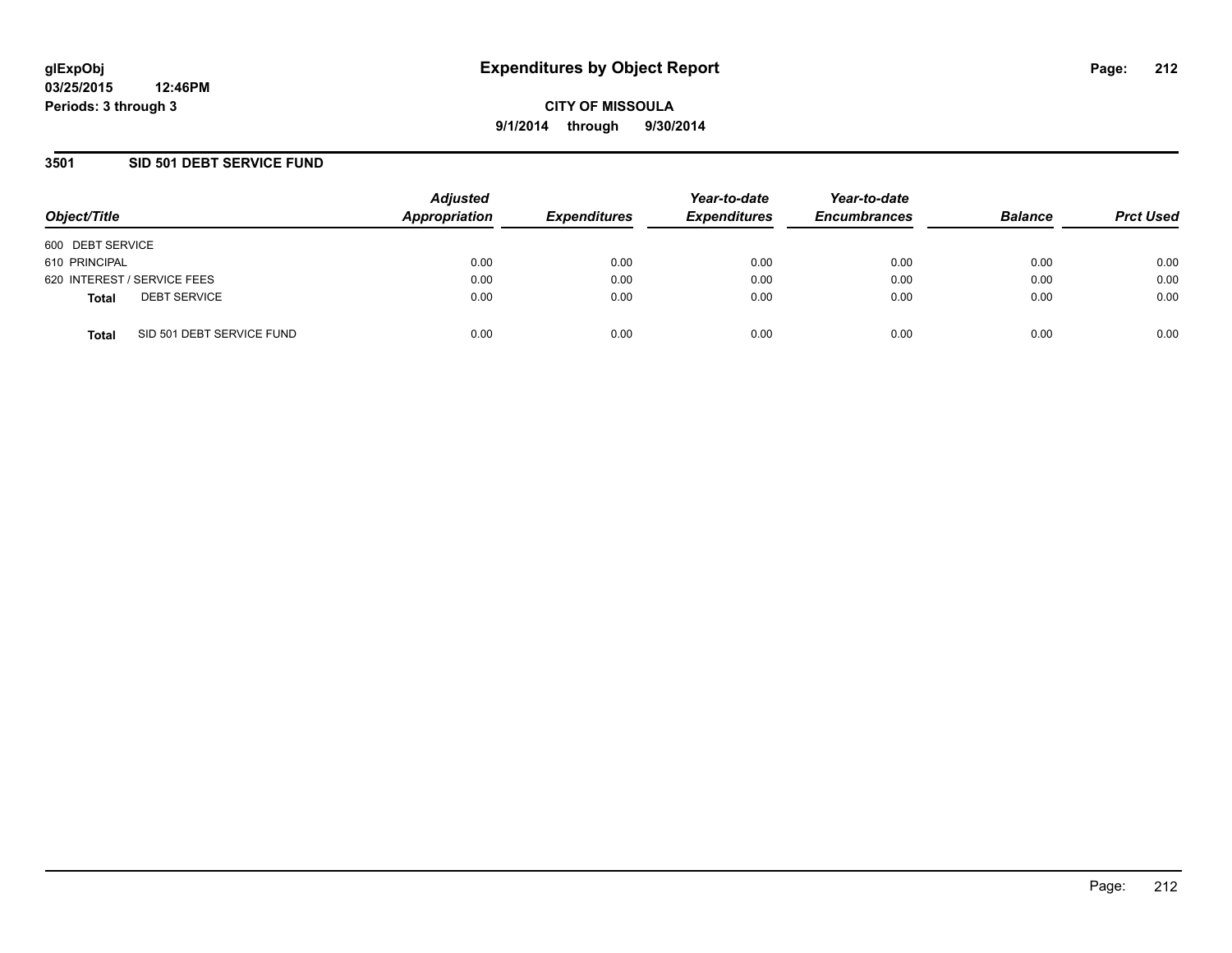## **3501 SID 501 DEBT SERVICE FUND**

| Object/Title     |                             | <b>Adjusted</b><br>Appropriation | <b>Expenditures</b> | Year-to-date<br><b>Expenditures</b> | Year-to-date<br><b>Encumbrances</b> | <b>Balance</b> | <b>Prct Used</b> |
|------------------|-----------------------------|----------------------------------|---------------------|-------------------------------------|-------------------------------------|----------------|------------------|
| 600 DEBT SERVICE |                             |                                  |                     |                                     |                                     |                |                  |
| 610 PRINCIPAL    |                             | 0.00                             | 0.00                | 0.00                                | 0.00                                | 0.00           | 0.00             |
|                  | 620 INTEREST / SERVICE FEES | 0.00                             | 0.00                | 0.00                                | 0.00                                | 0.00           | 0.00             |
| <b>Total</b>     | <b>DEBT SERVICE</b>         | 0.00                             | 0.00                | 0.00                                | 0.00                                | 0.00           | 0.00             |
| <b>Total</b>     | SID 501 DEBT SERVICE FUND   | 0.00                             | 0.00                | 0.00                                | 0.00                                | 0.00           | 0.00             |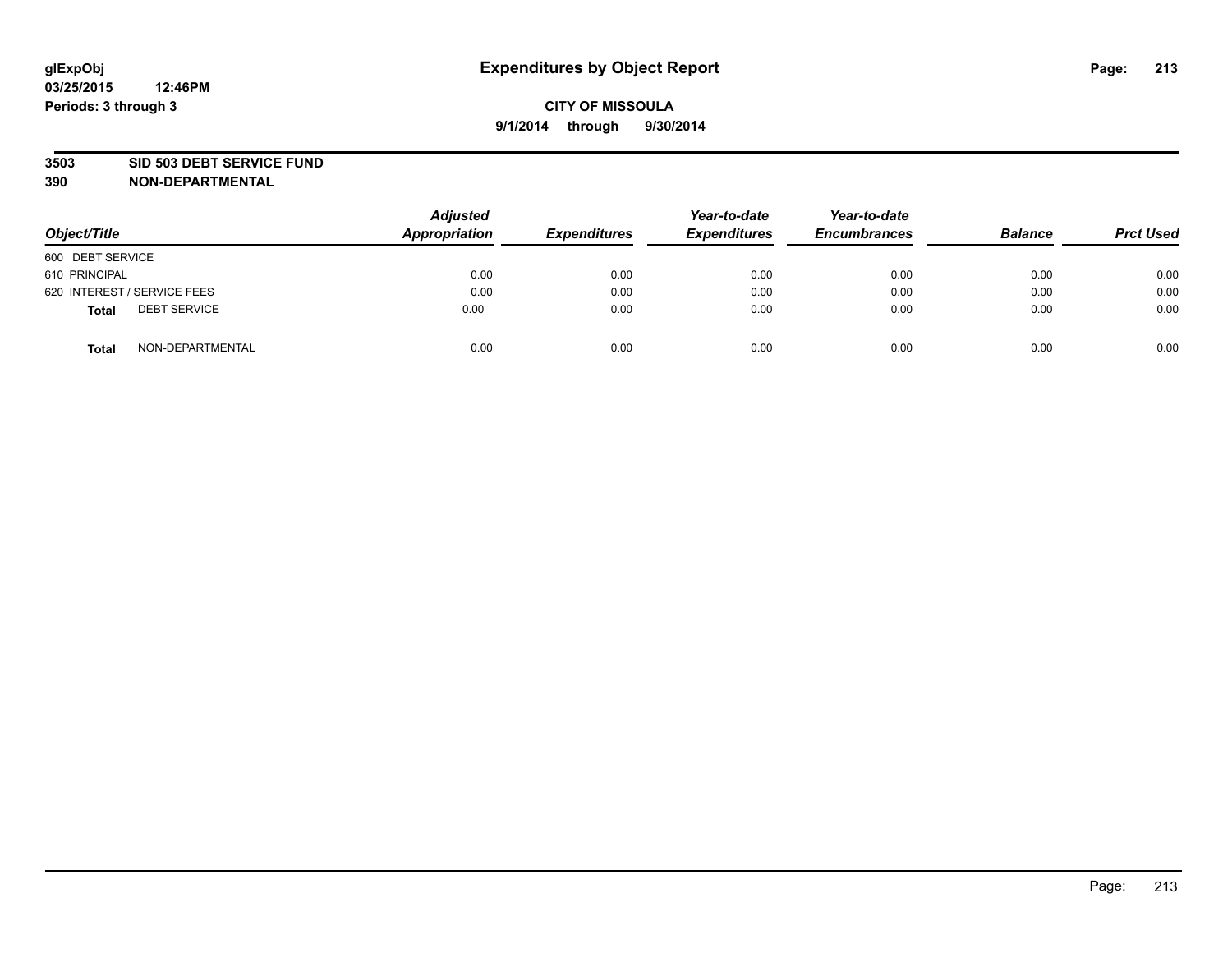#### **3503 SID 503 DEBT SERVICE FUND**

| Object/Title                        | <b>Adjusted</b><br>Appropriation | <b>Expenditures</b> | Year-to-date<br><b>Expenditures</b> | Year-to-date<br><b>Encumbrances</b> | <b>Balance</b> | <b>Prct Used</b> |
|-------------------------------------|----------------------------------|---------------------|-------------------------------------|-------------------------------------|----------------|------------------|
| 600 DEBT SERVICE                    |                                  |                     |                                     |                                     |                |                  |
| 610 PRINCIPAL                       | 0.00                             | 0.00                | 0.00                                | 0.00                                | 0.00           | 0.00             |
| 620 INTEREST / SERVICE FEES         | 0.00                             | 0.00                | 0.00                                | 0.00                                | 0.00           | 0.00             |
| <b>DEBT SERVICE</b><br><b>Total</b> | 0.00                             | 0.00                | 0.00                                | 0.00                                | 0.00           | 0.00             |
| NON-DEPARTMENTAL<br><b>Total</b>    | 0.00                             | 0.00                | 0.00                                | 0.00                                | 0.00           | 0.00             |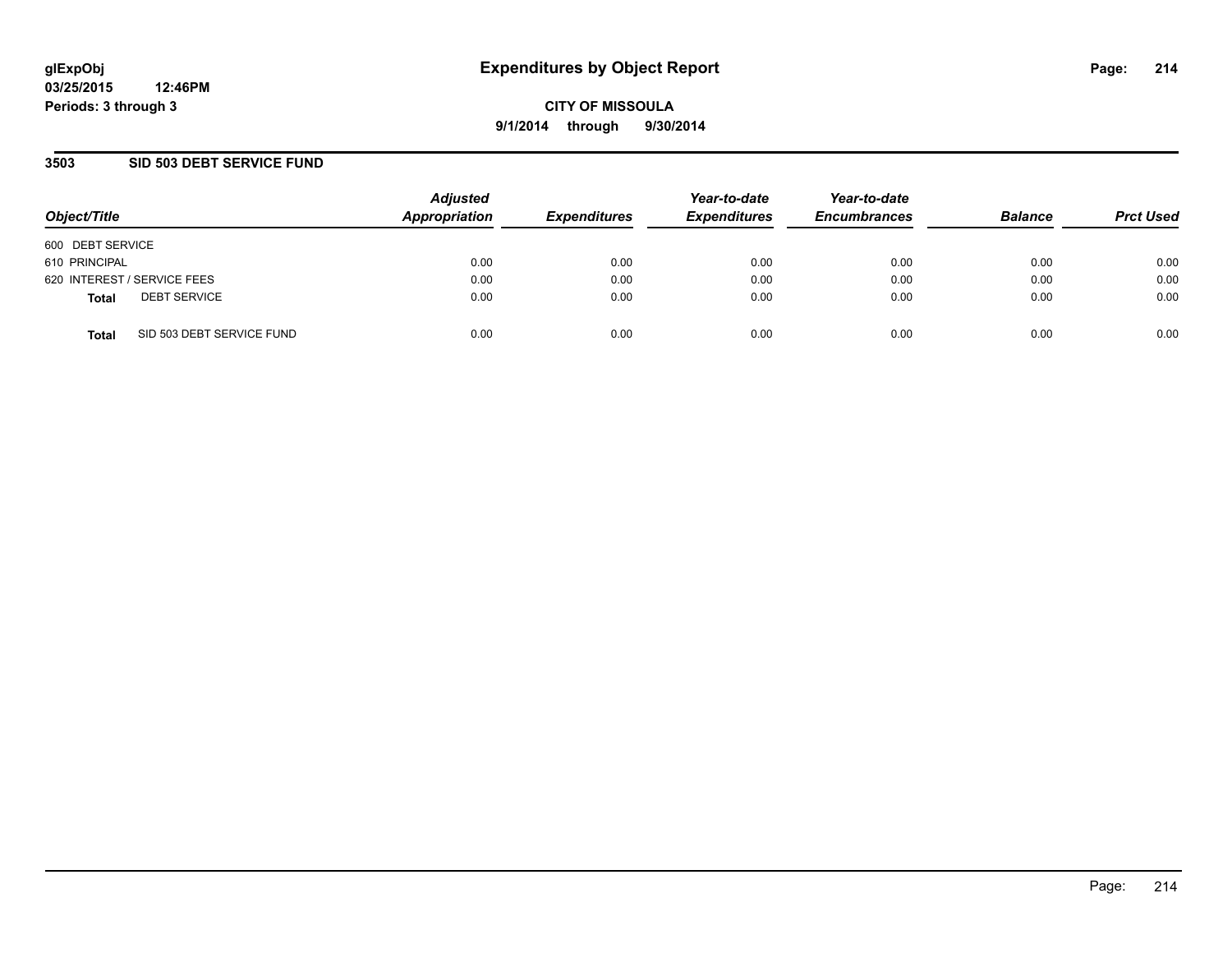## **3503 SID 503 DEBT SERVICE FUND**

| Object/Title     |                             | <b>Adjusted</b><br>Appropriation | <b>Expenditures</b> | Year-to-date<br><b>Expenditures</b> | Year-to-date<br><b>Encumbrances</b> | <b>Balance</b> | <b>Prct Used</b> |
|------------------|-----------------------------|----------------------------------|---------------------|-------------------------------------|-------------------------------------|----------------|------------------|
| 600 DEBT SERVICE |                             |                                  |                     |                                     |                                     |                |                  |
| 610 PRINCIPAL    |                             | 0.00                             | 0.00                | 0.00                                | 0.00                                | 0.00           | 0.00             |
|                  | 620 INTEREST / SERVICE FEES | 0.00                             | 0.00                | 0.00                                | 0.00                                | 0.00           | 0.00             |
| <b>Total</b>     | <b>DEBT SERVICE</b>         | 0.00                             | 0.00                | 0.00                                | 0.00                                | 0.00           | 0.00             |
| <b>Total</b>     | SID 503 DEBT SERVICE FUND   | 0.00                             | 0.00                | 0.00                                | 0.00                                | 0.00           | 0.00             |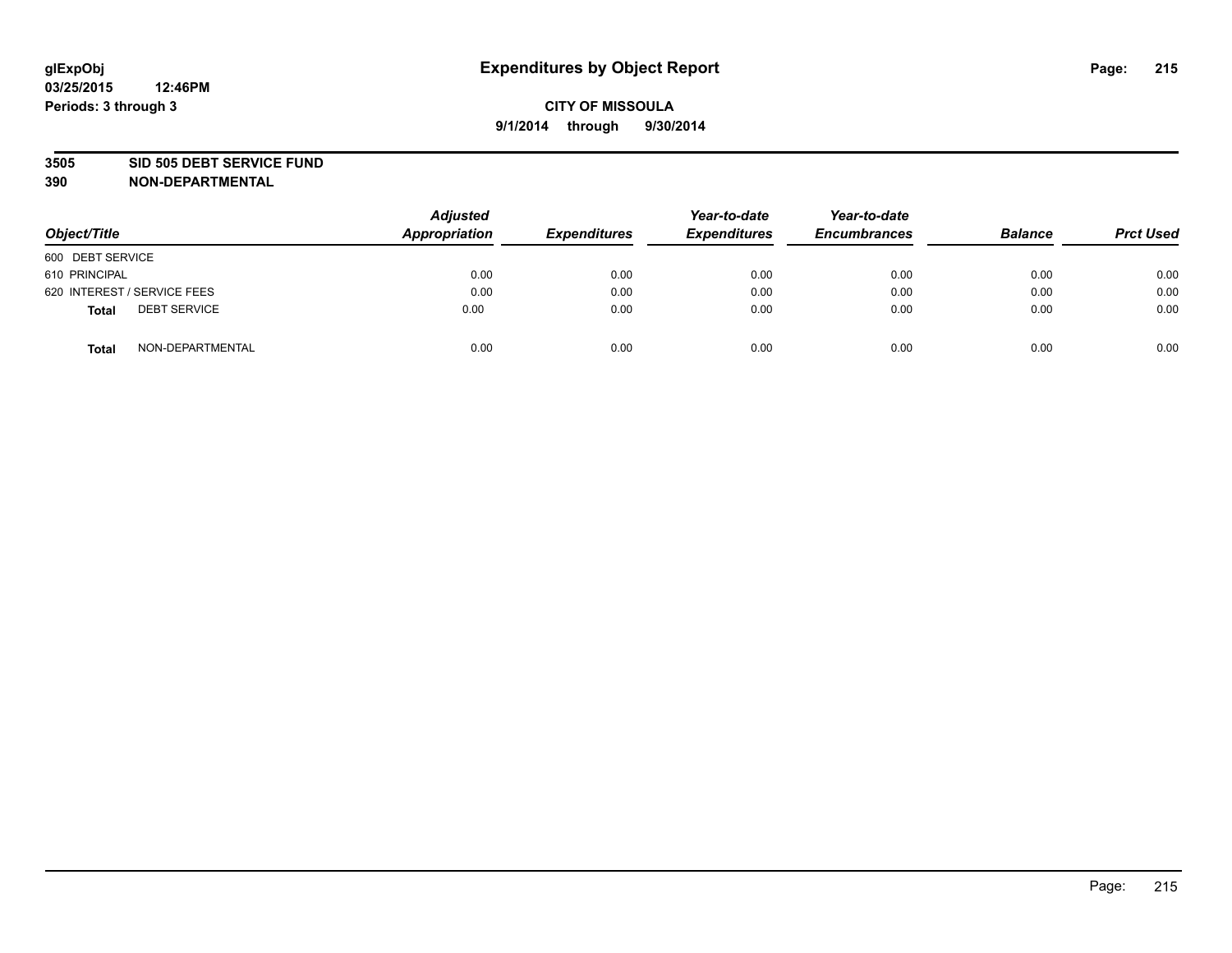#### **3505 SID 505 DEBT SERVICE FUND**

| Object/Title                        | <b>Adjusted</b><br>Appropriation | <b>Expenditures</b> | Year-to-date<br><b>Expenditures</b> | Year-to-date<br><b>Encumbrances</b> | <b>Balance</b> | <b>Prct Used</b> |
|-------------------------------------|----------------------------------|---------------------|-------------------------------------|-------------------------------------|----------------|------------------|
| 600 DEBT SERVICE                    |                                  |                     |                                     |                                     |                |                  |
| 610 PRINCIPAL                       | 0.00                             | 0.00                | 0.00                                | 0.00                                | 0.00           | 0.00             |
| 620 INTEREST / SERVICE FEES         | 0.00                             | 0.00                | 0.00                                | 0.00                                | 0.00           | 0.00             |
| <b>DEBT SERVICE</b><br><b>Total</b> | 0.00                             | 0.00                | 0.00                                | 0.00                                | 0.00           | 0.00             |
| NON-DEPARTMENTAL<br><b>Total</b>    | 0.00                             | 0.00                | 0.00                                | 0.00                                | 0.00           | 0.00             |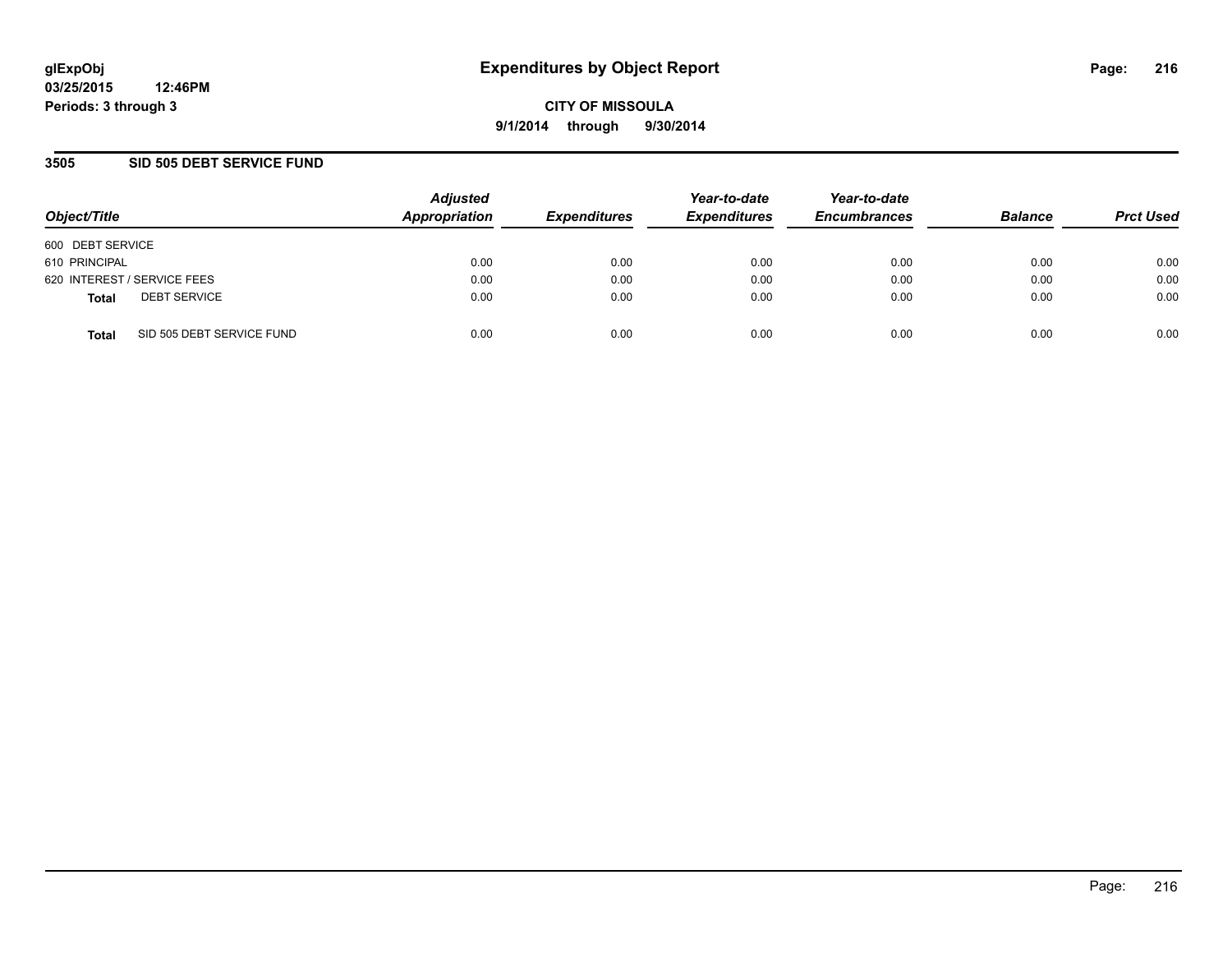## **3505 SID 505 DEBT SERVICE FUND**

| Object/Title                              | <b>Adjusted</b><br>Appropriation | <b>Expenditures</b> | Year-to-date<br><b>Expenditures</b> | Year-to-date<br><b>Encumbrances</b> | <b>Balance</b> | <b>Prct Used</b> |
|-------------------------------------------|----------------------------------|---------------------|-------------------------------------|-------------------------------------|----------------|------------------|
| 600 DEBT SERVICE                          |                                  |                     |                                     |                                     |                |                  |
| 610 PRINCIPAL                             | 0.00                             | 0.00                | 0.00                                | 0.00                                | 0.00           | 0.00             |
| 620 INTEREST / SERVICE FEES               | 0.00                             | 0.00                | 0.00                                | 0.00                                | 0.00           | 0.00             |
| <b>DEBT SERVICE</b><br><b>Total</b>       | 0.00                             | 0.00                | 0.00                                | 0.00                                | 0.00           | 0.00             |
| SID 505 DEBT SERVICE FUND<br><b>Total</b> | 0.00                             | 0.00                | 0.00                                | 0.00                                | 0.00           | 0.00             |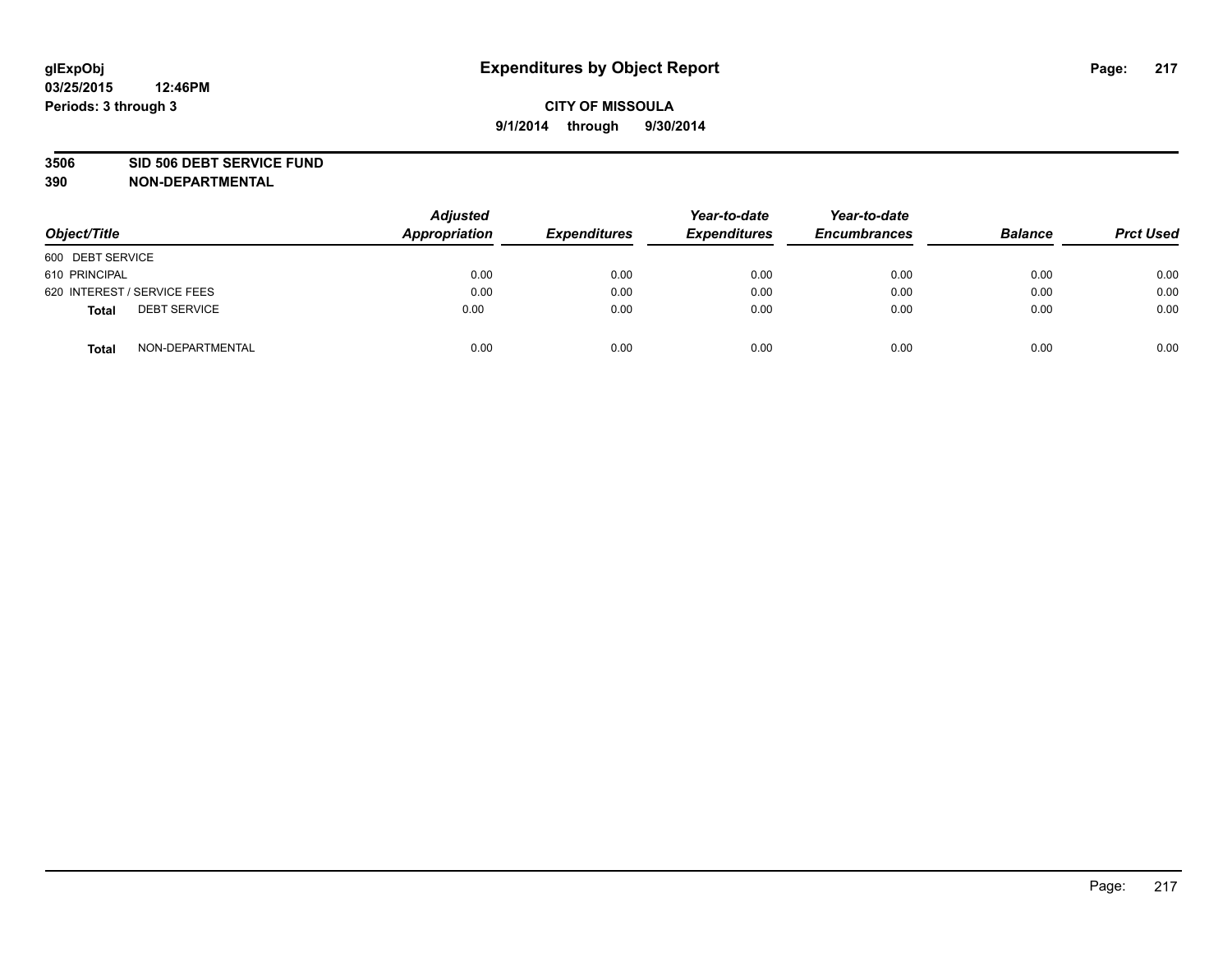#### **3506 SID 506 DEBT SERVICE FUND**

| Object/Title                        | <b>Adjusted</b><br>Appropriation | <b>Expenditures</b> | Year-to-date<br><b>Expenditures</b> | Year-to-date<br><b>Encumbrances</b> | <b>Balance</b> | <b>Prct Used</b> |
|-------------------------------------|----------------------------------|---------------------|-------------------------------------|-------------------------------------|----------------|------------------|
| 600 DEBT SERVICE                    |                                  |                     |                                     |                                     |                |                  |
| 610 PRINCIPAL                       | 0.00                             | 0.00                | 0.00                                | 0.00                                | 0.00           | 0.00             |
| 620 INTEREST / SERVICE FEES         | 0.00                             | 0.00                | 0.00                                | 0.00                                | 0.00           | 0.00             |
| <b>DEBT SERVICE</b><br><b>Total</b> | 0.00                             | 0.00                | 0.00                                | 0.00                                | 0.00           | 0.00             |
| NON-DEPARTMENTAL<br><b>Total</b>    | 0.00                             | 0.00                | 0.00                                | 0.00                                | 0.00           | 0.00             |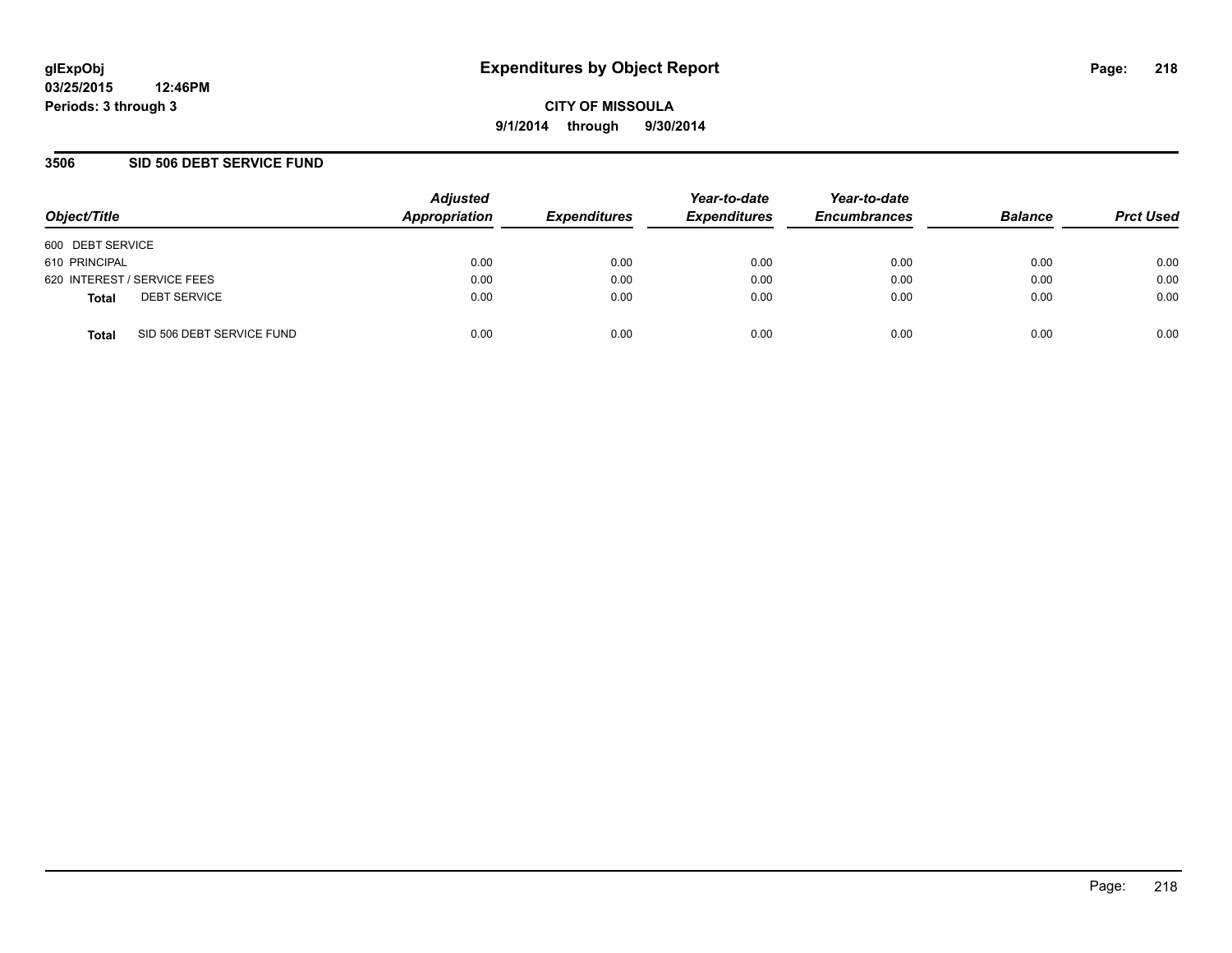**03/25/2015 12:46PM Periods: 3 through 3**

**CITY OF MISSOULA 9/1/2014 through 9/30/2014**

### **3506 SID 506 DEBT SERVICE FUND**

| Object/Title                              | <b>Adjusted</b><br>Appropriation | <b>Expenditures</b> | Year-to-date<br><b>Expenditures</b> | Year-to-date<br><b>Encumbrances</b> | <b>Balance</b> | <b>Prct Used</b> |
|-------------------------------------------|----------------------------------|---------------------|-------------------------------------|-------------------------------------|----------------|------------------|
| 600 DEBT SERVICE                          |                                  |                     |                                     |                                     |                |                  |
| 610 PRINCIPAL                             | 0.00                             | 0.00                | 0.00                                | 0.00                                | 0.00           | 0.00             |
| 620 INTEREST / SERVICE FEES               | 0.00                             | 0.00                | 0.00                                | 0.00                                | 0.00           | 0.00             |
| <b>DEBT SERVICE</b><br><b>Total</b>       | 0.00                             | 0.00                | 0.00                                | 0.00                                | 0.00           | 0.00             |
| SID 506 DEBT SERVICE FUND<br><b>Total</b> | 0.00                             | 0.00                | 0.00                                | 0.00                                | 0.00           | 0.00             |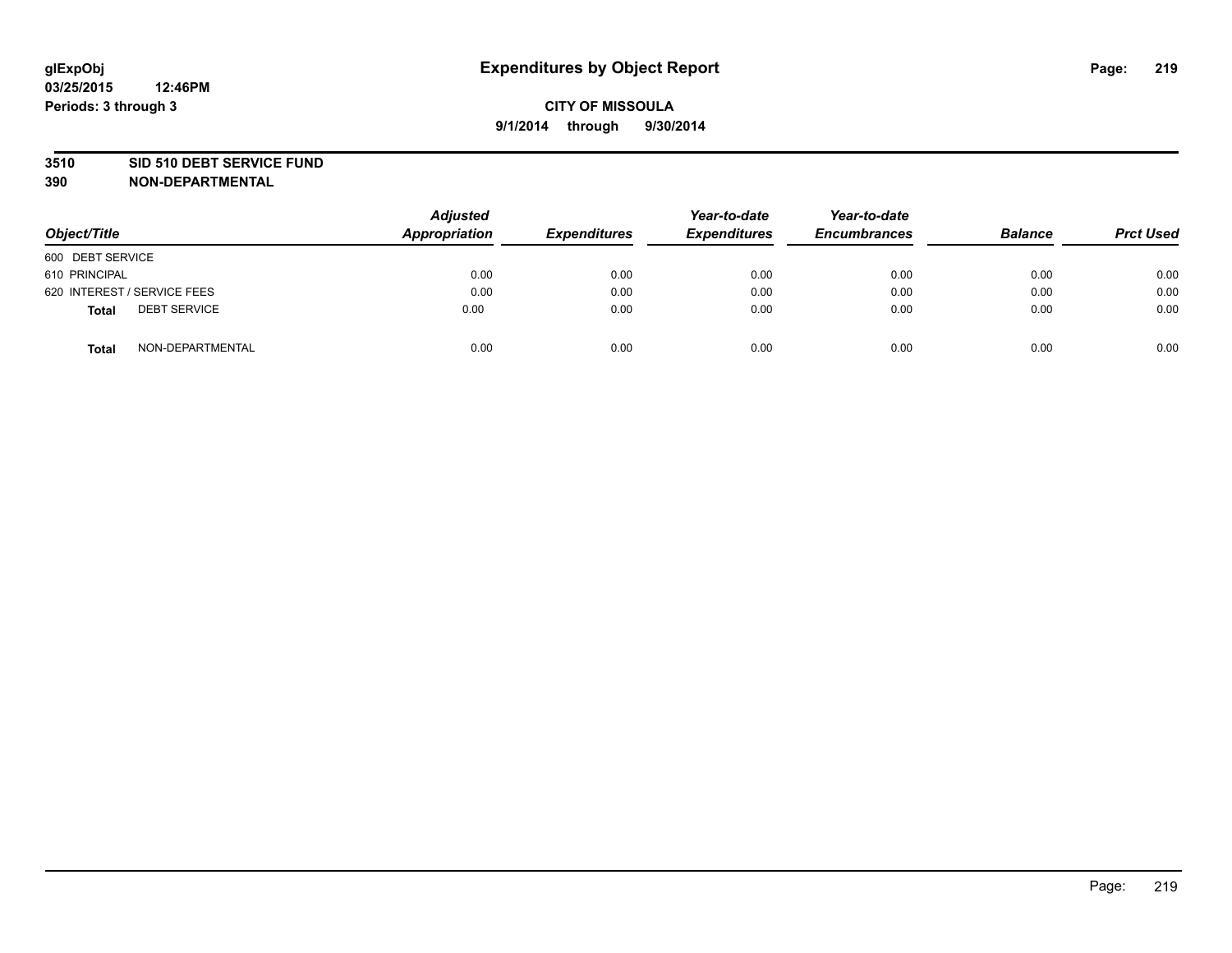#### **3510 SID 510 DEBT SERVICE FUND**

| Object/Title                        | <b>Adjusted</b><br>Appropriation | <b>Expenditures</b> | Year-to-date<br><b>Expenditures</b> | Year-to-date<br><b>Encumbrances</b> | <b>Balance</b> | <b>Prct Used</b> |
|-------------------------------------|----------------------------------|---------------------|-------------------------------------|-------------------------------------|----------------|------------------|
| 600 DEBT SERVICE                    |                                  |                     |                                     |                                     |                |                  |
| 610 PRINCIPAL                       | 0.00                             | 0.00                | 0.00                                | 0.00                                | 0.00           | 0.00             |
| 620 INTEREST / SERVICE FEES         | 0.00                             | 0.00                | 0.00                                | 0.00                                | 0.00           | 0.00             |
| <b>DEBT SERVICE</b><br><b>Total</b> | 0.00                             | 0.00                | 0.00                                | 0.00                                | 0.00           | 0.00             |
| NON-DEPARTMENTAL<br><b>Total</b>    | 0.00                             | 0.00                | 0.00                                | 0.00                                | 0.00           | 0.00             |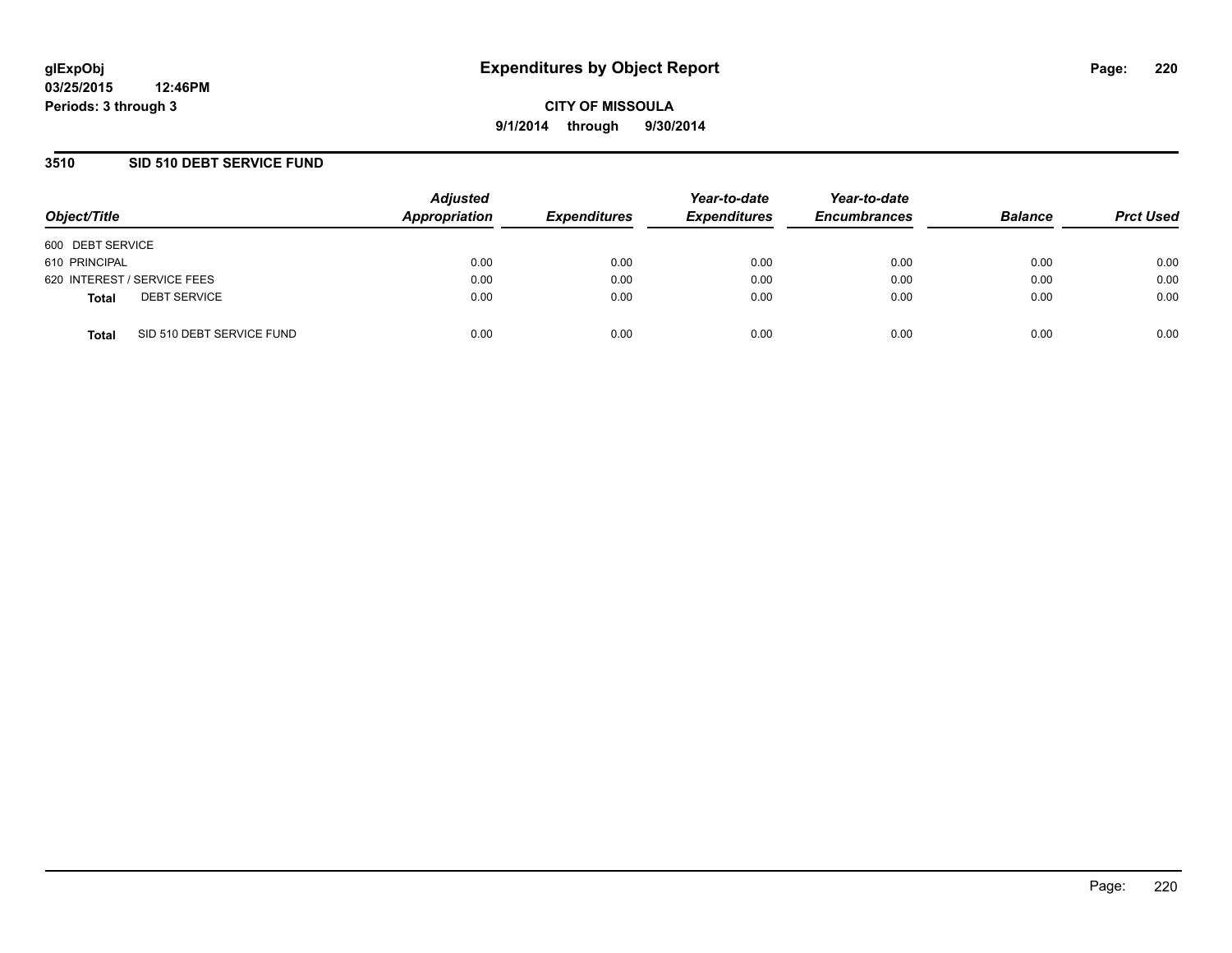### **3510 SID 510 DEBT SERVICE FUND**

| Object/Title                              | Adjusted<br><b>Appropriation</b> | <b>Expenditures</b> | Year-to-date<br><b>Expenditures</b> | Year-to-date<br><b>Encumbrances</b> | <b>Balance</b> | <b>Prct Used</b> |
|-------------------------------------------|----------------------------------|---------------------|-------------------------------------|-------------------------------------|----------------|------------------|
| 600 DEBT SERVICE                          |                                  |                     |                                     |                                     |                |                  |
| 610 PRINCIPAL                             | 0.00                             | 0.00                | 0.00                                | 0.00                                | 0.00           | 0.00             |
| 620 INTEREST / SERVICE FEES               | 0.00                             | 0.00                | 0.00                                | 0.00                                | 0.00           | 0.00             |
| <b>DEBT SERVICE</b><br><b>Total</b>       | 0.00                             | 0.00                | 0.00                                | 0.00                                | 0.00           | 0.00             |
| SID 510 DEBT SERVICE FUND<br><b>Total</b> | 0.00                             | 0.00                | 0.00                                | 0.00                                | 0.00           | 0.00             |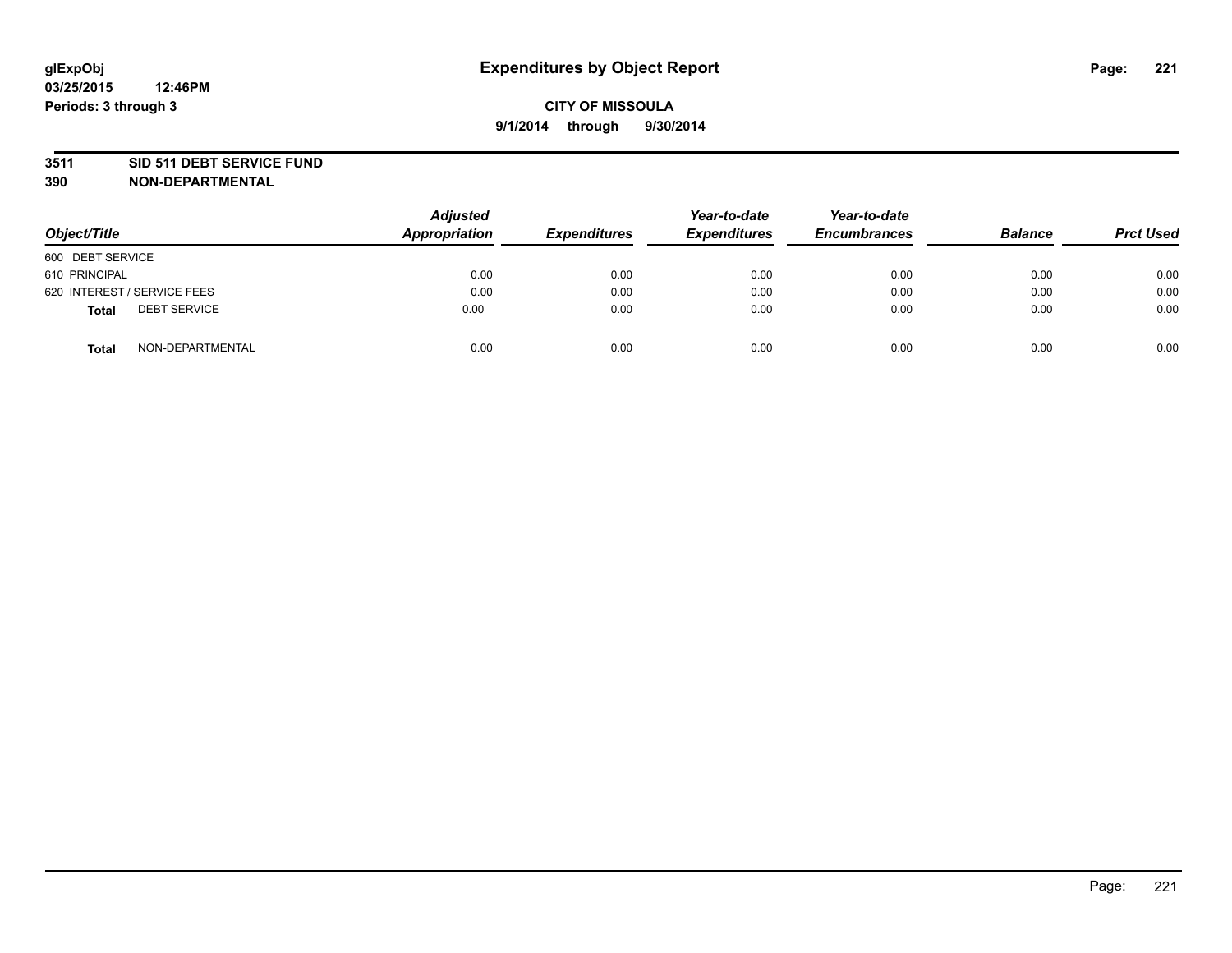#### **3511 SID 511 DEBT SERVICE FUND**

| Object/Title                 | Adjusted<br><b>Appropriation</b> | <b>Expenditures</b> | Year-to-date<br><b>Expenditures</b> | Year-to-date<br><b>Encumbrances</b> | <b>Balance</b> | <b>Prct Used</b> |
|------------------------------|----------------------------------|---------------------|-------------------------------------|-------------------------------------|----------------|------------------|
| 600 DEBT SERVICE             |                                  |                     |                                     |                                     |                |                  |
| 610 PRINCIPAL                | 0.00                             | 0.00                | 0.00                                | 0.00                                | 0.00           | 0.00             |
| 620 INTEREST / SERVICE FEES  | 0.00                             | 0.00                | 0.00                                | 0.00                                | 0.00           | 0.00             |
| <b>DEBT SERVICE</b><br>Total | 0.00                             | 0.00                | 0.00                                | 0.00                                | 0.00           | 0.00             |
| NON-DEPARTMENTAL<br>Total    | 0.00                             | 0.00                | 0.00                                | 0.00                                | 0.00           | 0.00             |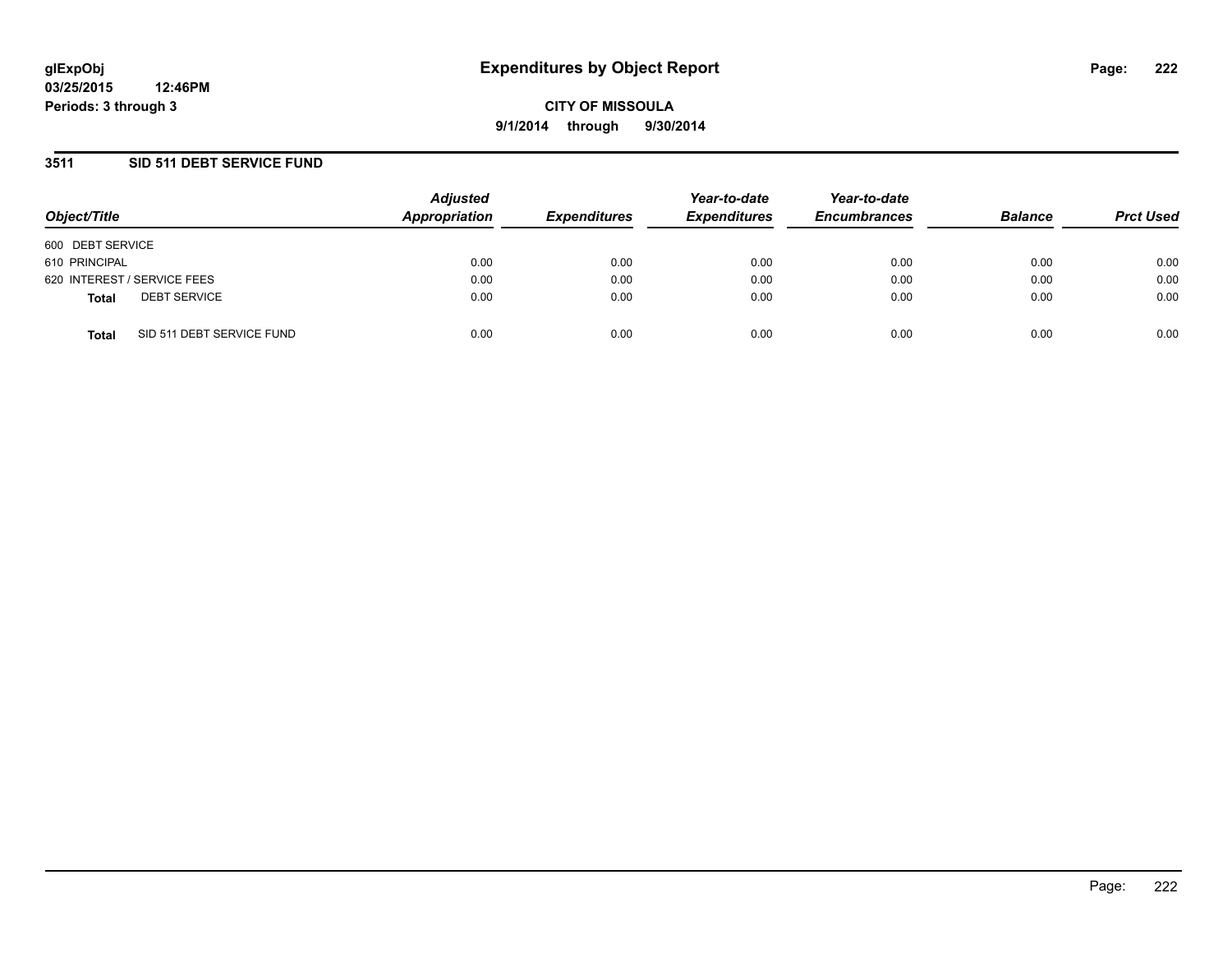### **3511 SID 511 DEBT SERVICE FUND**

| Object/Title                              | <b>Adjusted</b><br>Appropriation | <b>Expenditures</b> | Year-to-date<br><b>Expenditures</b> | Year-to-date<br><b>Encumbrances</b> | <b>Balance</b> | <b>Prct Used</b> |
|-------------------------------------------|----------------------------------|---------------------|-------------------------------------|-------------------------------------|----------------|------------------|
| 600 DEBT SERVICE                          |                                  |                     |                                     |                                     |                |                  |
| 610 PRINCIPAL                             | 0.00                             | 0.00                | 0.00                                | 0.00                                | 0.00           | 0.00             |
| 620 INTEREST / SERVICE FEES               | 0.00                             | 0.00                | 0.00                                | 0.00                                | 0.00           | 0.00             |
| <b>DEBT SERVICE</b><br><b>Total</b>       | 0.00                             | 0.00                | 0.00                                | 0.00                                | 0.00           | 0.00             |
| SID 511 DEBT SERVICE FUND<br><b>Total</b> | 0.00                             | 0.00                | 0.00                                | 0.00                                | 0.00           | 0.00             |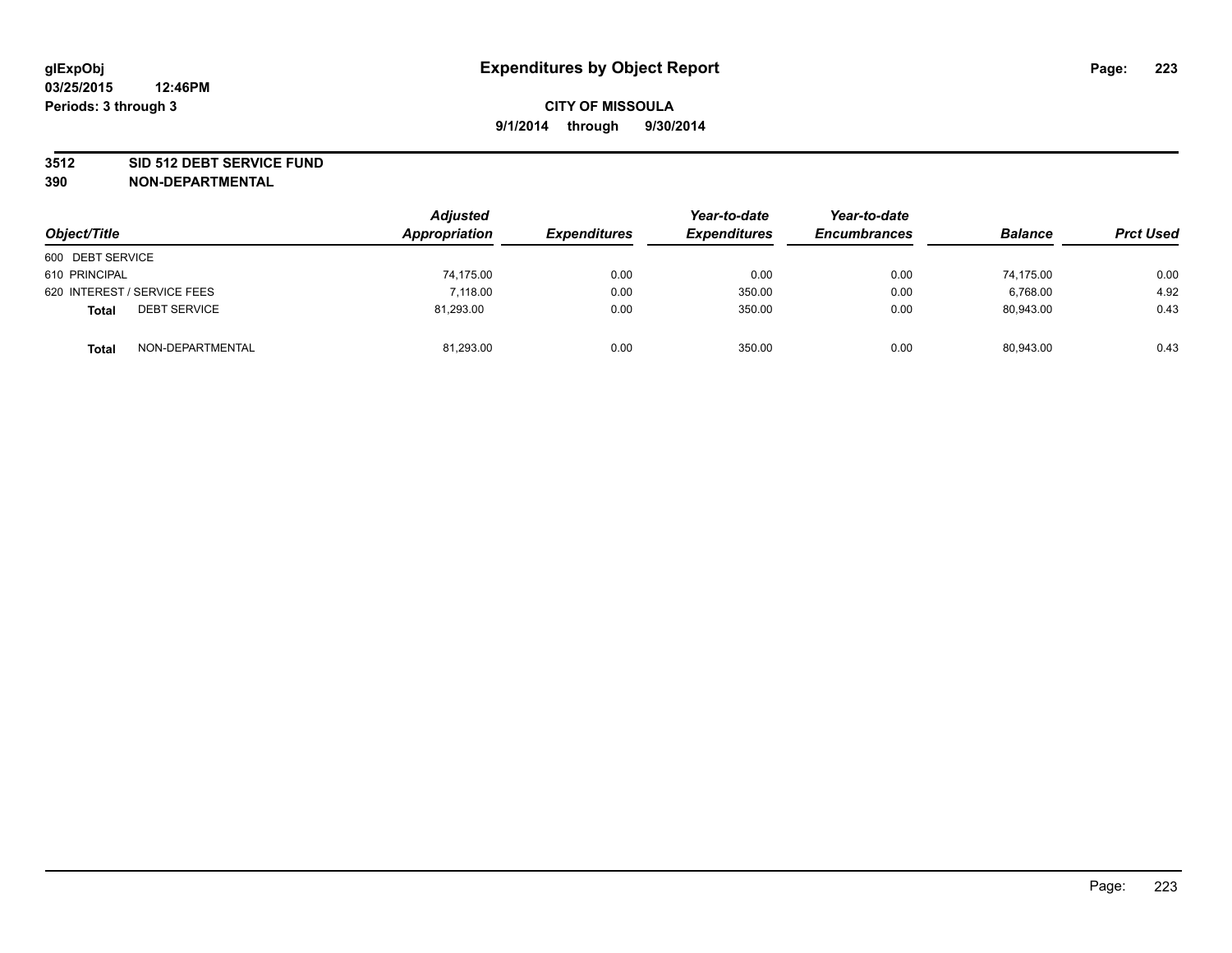#### **3512 SID 512 DEBT SERVICE FUND**

| Object/Title                        | <b>Adjusted</b><br>Appropriation | <b>Expenditures</b> | Year-to-date<br><b>Expenditures</b> | Year-to-date<br><b>Encumbrances</b> | <b>Balance</b> | <b>Prct Used</b> |
|-------------------------------------|----------------------------------|---------------------|-------------------------------------|-------------------------------------|----------------|------------------|
| 600 DEBT SERVICE                    |                                  |                     |                                     |                                     |                |                  |
| 610 PRINCIPAL                       | 74,175.00                        | 0.00                | 0.00                                | 0.00                                | 74.175.00      | 0.00             |
| 620 INTEREST / SERVICE FEES         | 7.118.00                         | 0.00                | 350.00                              | 0.00                                | 6,768.00       | 4.92             |
| <b>DEBT SERVICE</b><br><b>Total</b> | 81.293.00                        | 0.00                | 350.00                              | 0.00                                | 80.943.00      | 0.43             |
| NON-DEPARTMENTAL<br><b>Total</b>    | 81,293.00                        | 0.00                | 350.00                              | 0.00                                | 80,943.00      | 0.43             |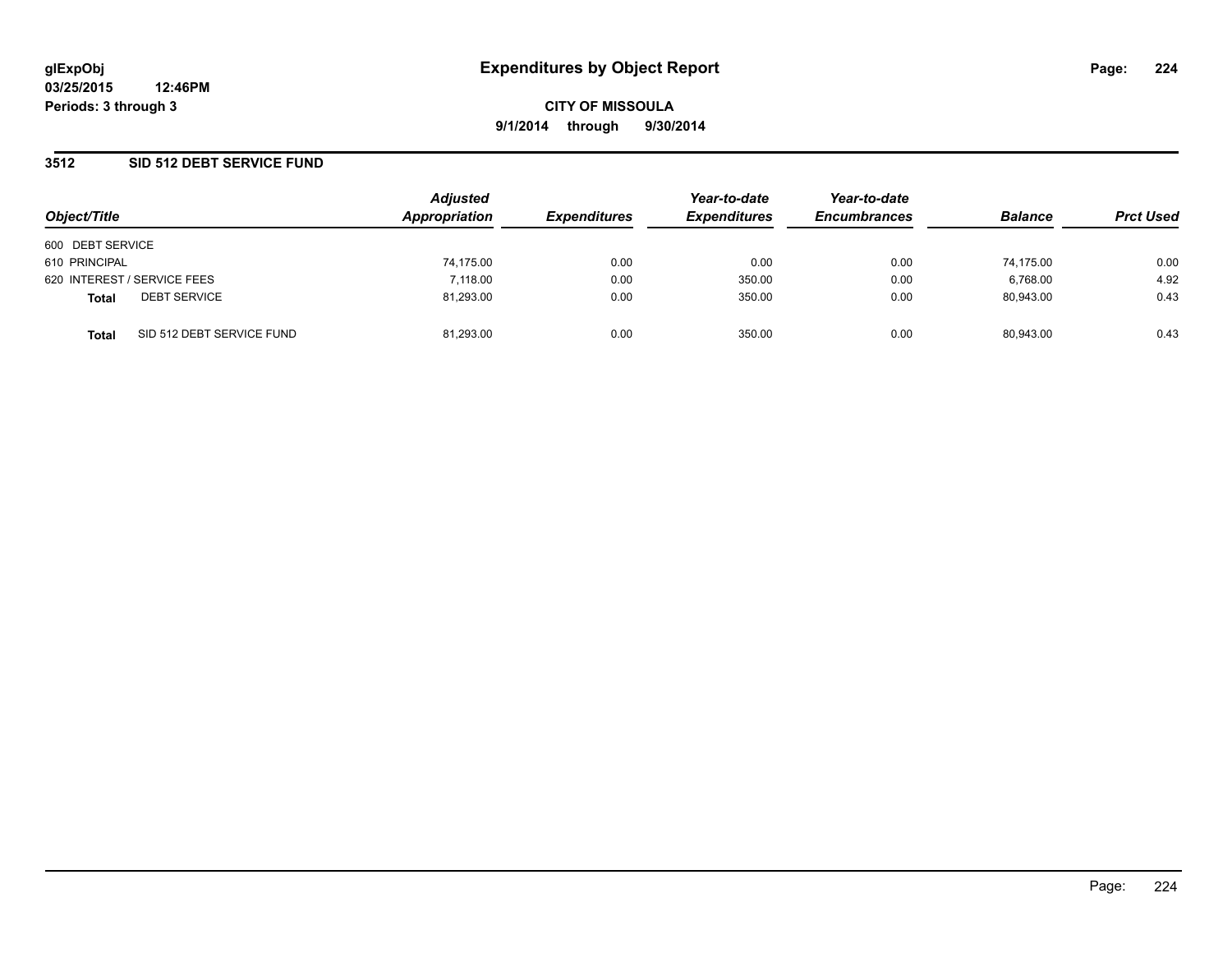### **3512 SID 512 DEBT SERVICE FUND**

| Object/Title                              |  | <b>Adjusted</b> | Year-to-date        | Year-to-date        |                     |                |                  |
|-------------------------------------------|--|-----------------|---------------------|---------------------|---------------------|----------------|------------------|
|                                           |  | Appropriation   | <b>Expenditures</b> | <b>Expenditures</b> | <b>Encumbrances</b> | <b>Balance</b> | <b>Prct Used</b> |
| 600 DEBT SERVICE                          |  |                 |                     |                     |                     |                |                  |
| 610 PRINCIPAL                             |  | 74,175.00       | 0.00                | 0.00                | 0.00                | 74.175.00      | 0.00             |
| 620 INTEREST / SERVICE FEES               |  | 7.118.00        | 0.00                | 350.00              | 0.00                | 6,768.00       | 4.92             |
| <b>DEBT SERVICE</b><br><b>Total</b>       |  | 81,293.00       | 0.00                | 350.00              | 0.00                | 80.943.00      | 0.43             |
| SID 512 DEBT SERVICE FUND<br><b>Total</b> |  | 81.293.00       | 0.00                | 350.00              | 0.00                | 80.943.00      | 0.43             |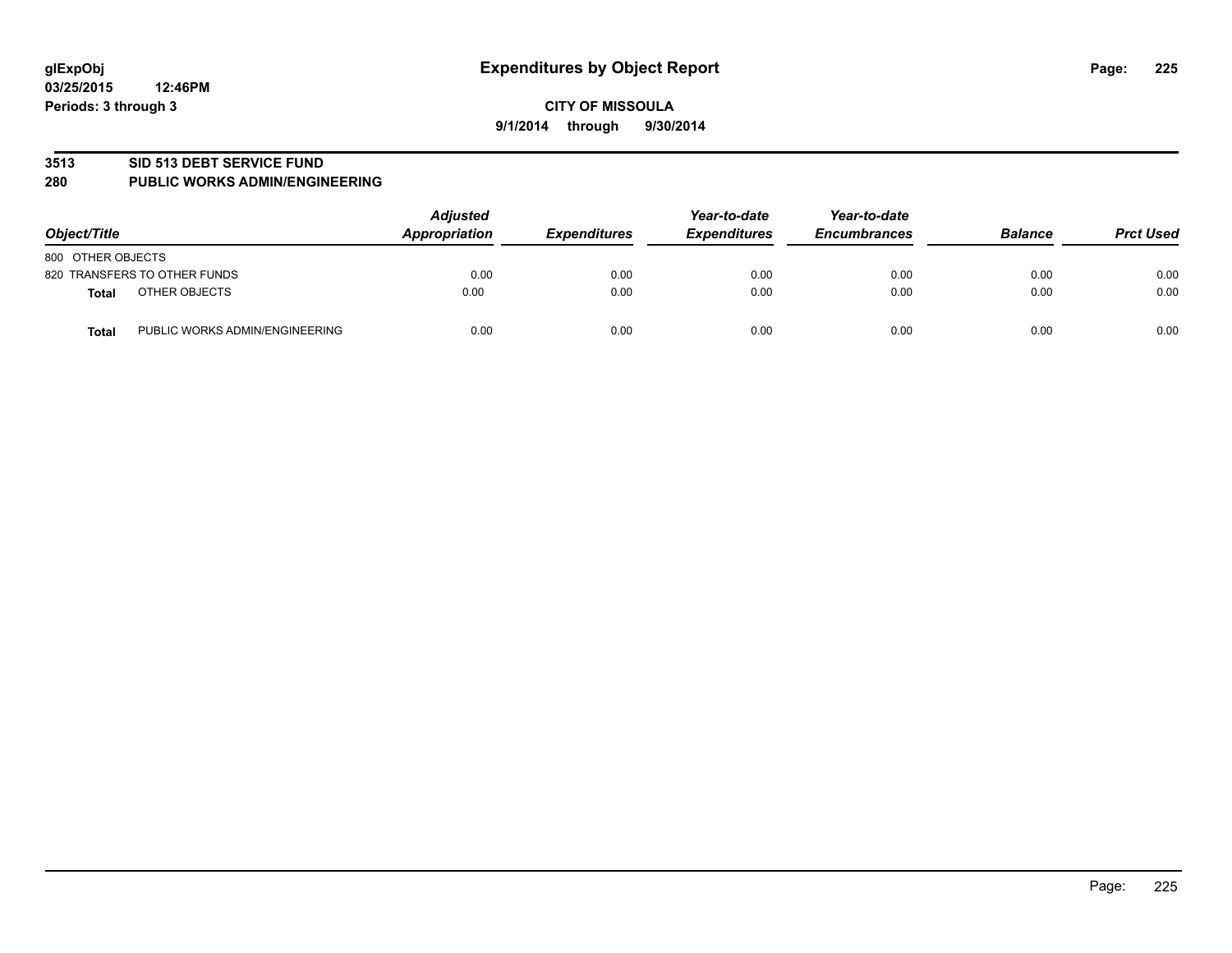#### **3513 SID 513 DEBT SERVICE FUND**

#### **280 PUBLIC WORKS ADMIN/ENGINEERING**

| Object/Title                                   | <b>Adjusted</b><br>Appropriation | <b>Expenditures</b> | Year-to-date<br><b>Expenditures</b> | Year-to-date<br><b>Encumbrances</b> | <b>Balance</b> | <b>Prct Used</b> |
|------------------------------------------------|----------------------------------|---------------------|-------------------------------------|-------------------------------------|----------------|------------------|
| 800 OTHER OBJECTS                              |                                  |                     |                                     |                                     |                |                  |
| 820 TRANSFERS TO OTHER FUNDS                   | 0.00                             | 0.00                | 0.00                                | 0.00                                | 0.00           | 0.00             |
| OTHER OBJECTS<br><b>Total</b>                  | 0.00                             | 0.00                | 0.00                                | 0.00                                | 0.00           | 0.00             |
| PUBLIC WORKS ADMIN/ENGINEERING<br><b>Total</b> | 0.00                             | 0.00                | 0.00                                | 0.00                                | 0.00           | 0.00             |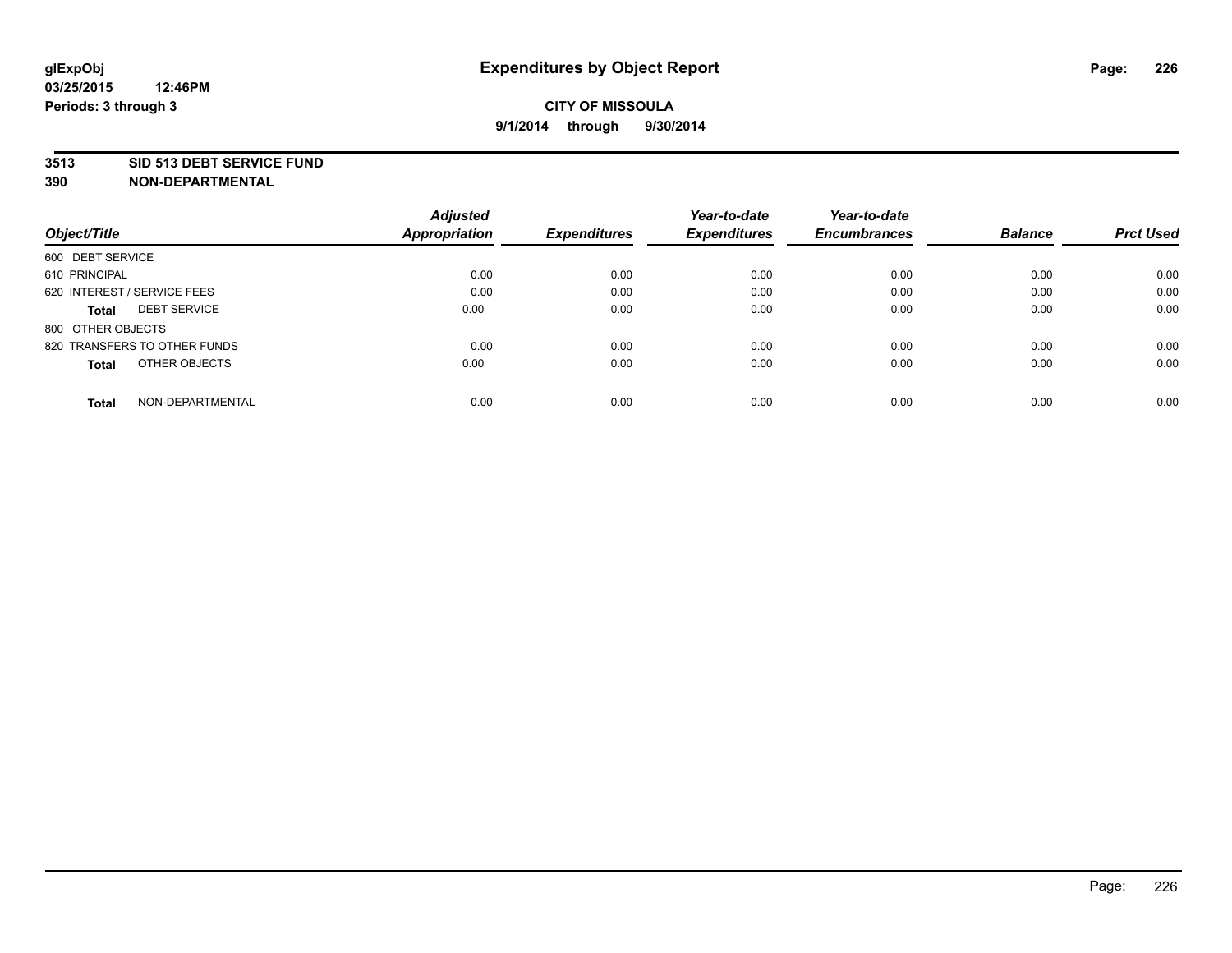#### **3513 SID 513 DEBT SERVICE FUND**

|                                     | <b>Adjusted</b>      |                     | Year-to-date        | Year-to-date        |                |                  |
|-------------------------------------|----------------------|---------------------|---------------------|---------------------|----------------|------------------|
| Object/Title                        | <b>Appropriation</b> | <b>Expenditures</b> | <b>Expenditures</b> | <b>Encumbrances</b> | <b>Balance</b> | <b>Prct Used</b> |
| 600 DEBT SERVICE                    |                      |                     |                     |                     |                |                  |
| 610 PRINCIPAL                       | 0.00                 | 0.00                | 0.00                | 0.00                | 0.00           | 0.00             |
| 620 INTEREST / SERVICE FEES         | 0.00                 | 0.00                | 0.00                | 0.00                | 0.00           | 0.00             |
| <b>DEBT SERVICE</b><br><b>Total</b> | 0.00                 | 0.00                | 0.00                | 0.00                | 0.00           | 0.00             |
| 800 OTHER OBJECTS                   |                      |                     |                     |                     |                |                  |
| 820 TRANSFERS TO OTHER FUNDS        | 0.00                 | 0.00                | 0.00                | 0.00                | 0.00           | 0.00             |
| OTHER OBJECTS<br><b>Total</b>       | 0.00                 | 0.00                | 0.00                | 0.00                | 0.00           | 0.00             |
| NON-DEPARTMENTAL<br>Total           | 0.00                 | 0.00                | 0.00                | 0.00                | 0.00           | 0.00             |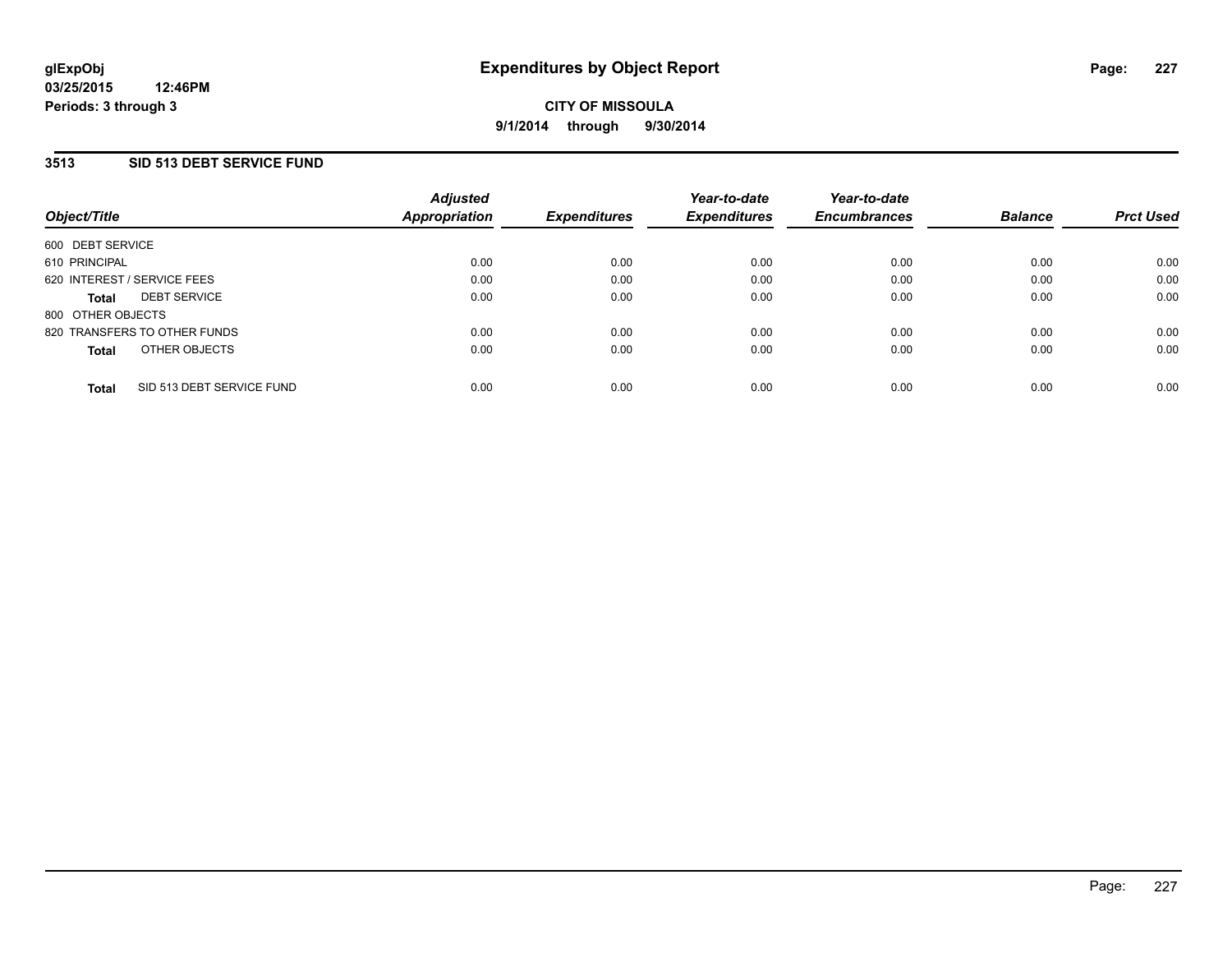### **3513 SID 513 DEBT SERVICE FUND**

| Object/Title      |                              | <b>Adjusted</b><br>Appropriation | <b>Expenditures</b> | Year-to-date<br><b>Expenditures</b> | Year-to-date<br><b>Encumbrances</b> | <b>Balance</b> | <b>Prct Used</b> |
|-------------------|------------------------------|----------------------------------|---------------------|-------------------------------------|-------------------------------------|----------------|------------------|
| 600 DEBT SERVICE  |                              |                                  |                     |                                     |                                     |                |                  |
| 610 PRINCIPAL     |                              | 0.00                             | 0.00                | 0.00                                | 0.00                                | 0.00           | 0.00             |
|                   | 620 INTEREST / SERVICE FEES  | 0.00                             | 0.00                | 0.00                                | 0.00                                | 0.00           | 0.00             |
| Total             | <b>DEBT SERVICE</b>          | 0.00                             | 0.00                | 0.00                                | 0.00                                | 0.00           | 0.00             |
| 800 OTHER OBJECTS |                              |                                  |                     |                                     |                                     |                |                  |
|                   | 820 TRANSFERS TO OTHER FUNDS | 0.00                             | 0.00                | 0.00                                | 0.00                                | 0.00           | 0.00             |
| <b>Total</b>      | OTHER OBJECTS                | 0.00                             | 0.00                | 0.00                                | 0.00                                | 0.00           | 0.00             |
|                   |                              |                                  |                     |                                     |                                     |                |                  |
| <b>Total</b>      | SID 513 DEBT SERVICE FUND    | 0.00                             | 0.00                | 0.00                                | 0.00                                | 0.00           | 0.00             |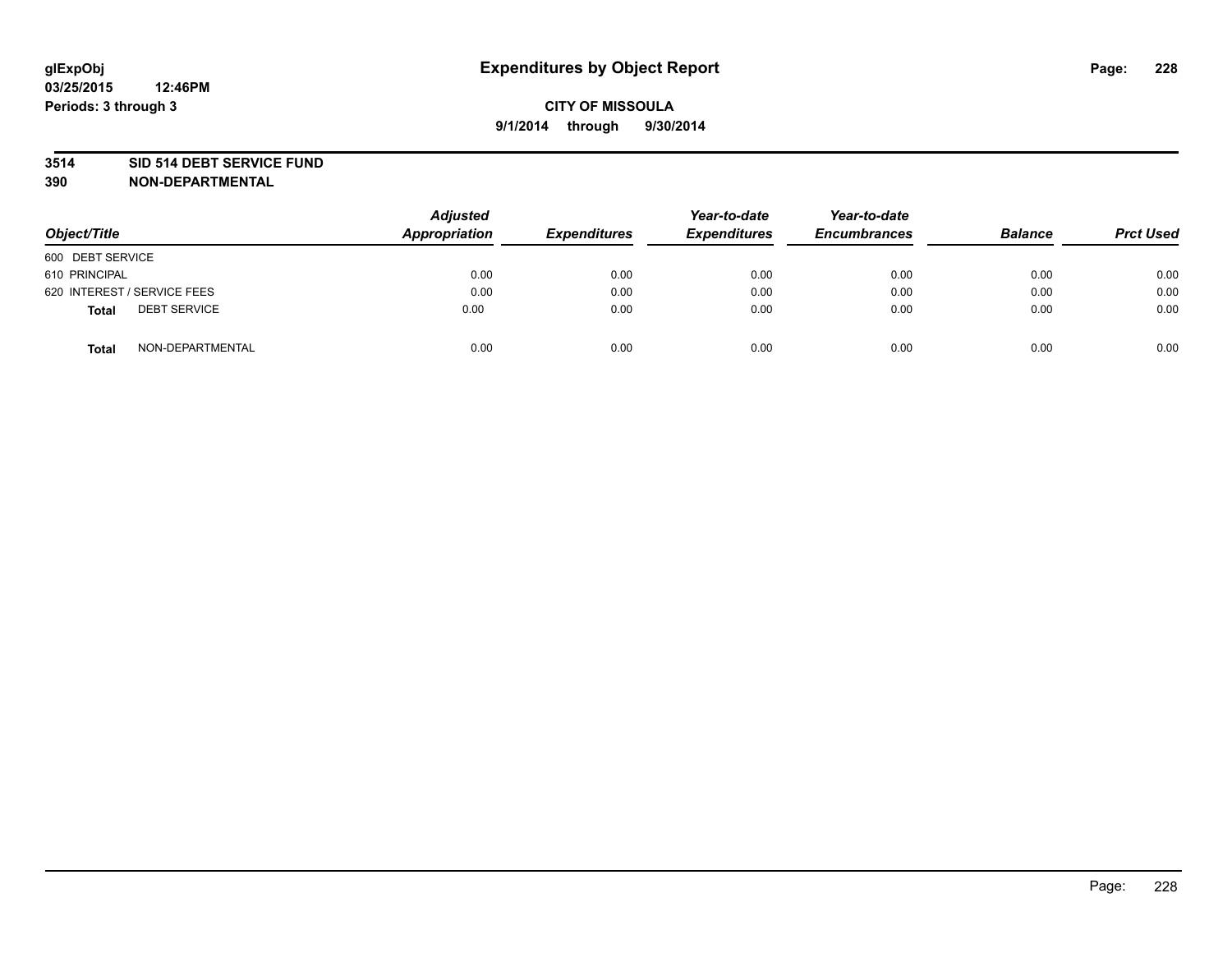#### **3514 SID 514 DEBT SERVICE FUND**

| Object/Title                        | <b>Adjusted</b><br>Appropriation | <b>Expenditures</b> | Year-to-date<br><b>Expenditures</b> | Year-to-date<br><b>Encumbrances</b> | <b>Balance</b> | <b>Prct Used</b> |
|-------------------------------------|----------------------------------|---------------------|-------------------------------------|-------------------------------------|----------------|------------------|
| 600 DEBT SERVICE                    |                                  |                     |                                     |                                     |                |                  |
| 610 PRINCIPAL                       | 0.00                             | 0.00                | 0.00                                | 0.00                                | 0.00           | 0.00             |
| 620 INTEREST / SERVICE FEES         | 0.00                             | 0.00                | 0.00                                | 0.00                                | 0.00           | 0.00             |
| <b>DEBT SERVICE</b><br><b>Total</b> | 0.00                             | 0.00                | 0.00                                | 0.00                                | 0.00           | 0.00             |
| NON-DEPARTMENTAL<br><b>Total</b>    | 0.00                             | 0.00                | 0.00                                | 0.00                                | 0.00           | 0.00             |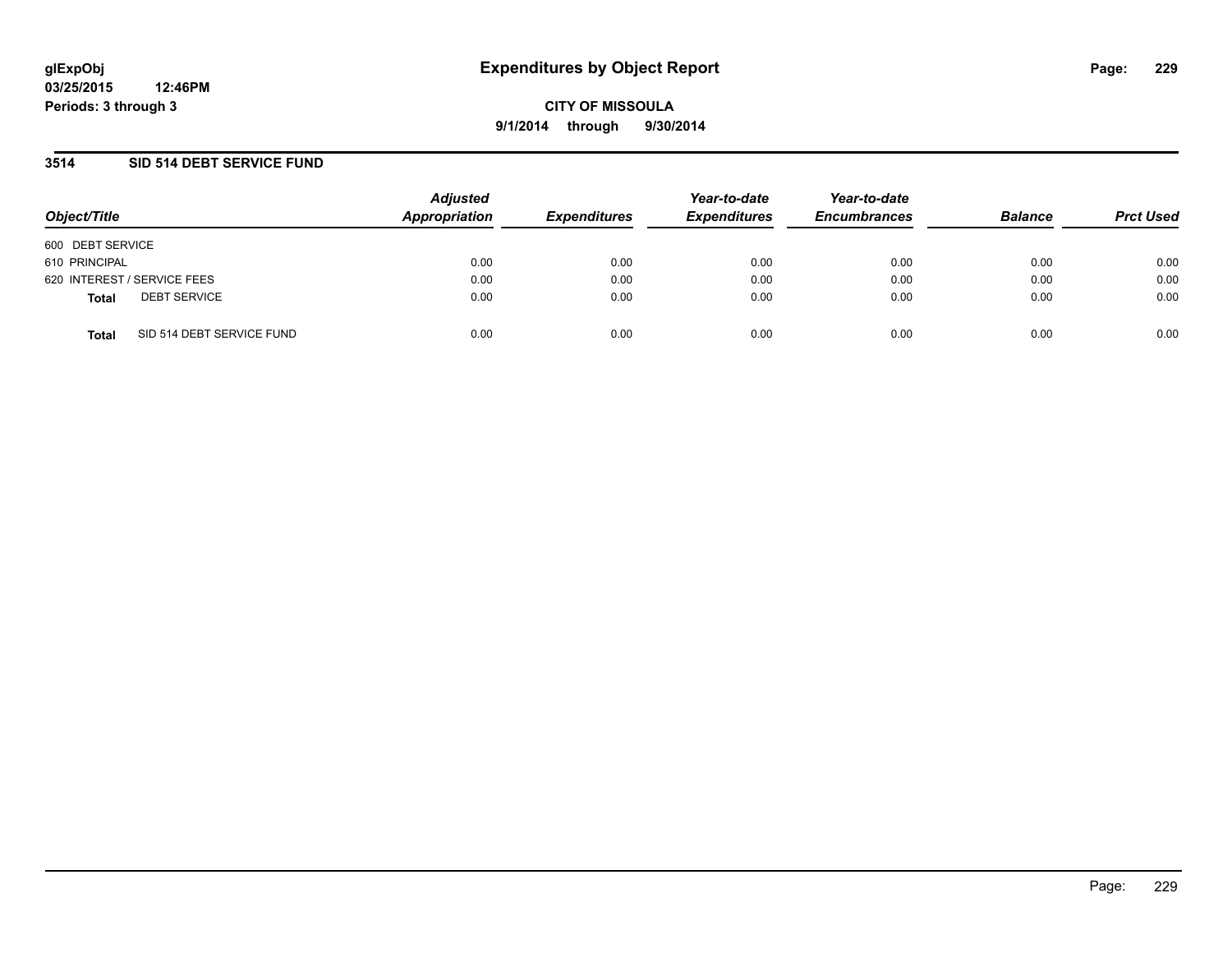### **3514 SID 514 DEBT SERVICE FUND**

| Object/Title     |                             | <b>Adjusted</b><br>Appropriation | <b>Expenditures</b> | Year-to-date<br><b>Expenditures</b> | Year-to-date<br><b>Encumbrances</b> | <b>Balance</b> | <b>Prct Used</b> |
|------------------|-----------------------------|----------------------------------|---------------------|-------------------------------------|-------------------------------------|----------------|------------------|
| 600 DEBT SERVICE |                             |                                  |                     |                                     |                                     |                |                  |
| 610 PRINCIPAL    |                             | 0.00                             | 0.00                | 0.00                                | 0.00                                | 0.00           | 0.00             |
|                  | 620 INTEREST / SERVICE FEES | 0.00                             | 0.00                | 0.00                                | 0.00                                | 0.00           | 0.00             |
| <b>Total</b>     | <b>DEBT SERVICE</b>         | 0.00                             | 0.00                | 0.00                                | 0.00                                | 0.00           | 0.00             |
| <b>Total</b>     | SID 514 DEBT SERVICE FUND   | 0.00                             | 0.00                | 0.00                                | 0.00                                | 0.00           | 0.00             |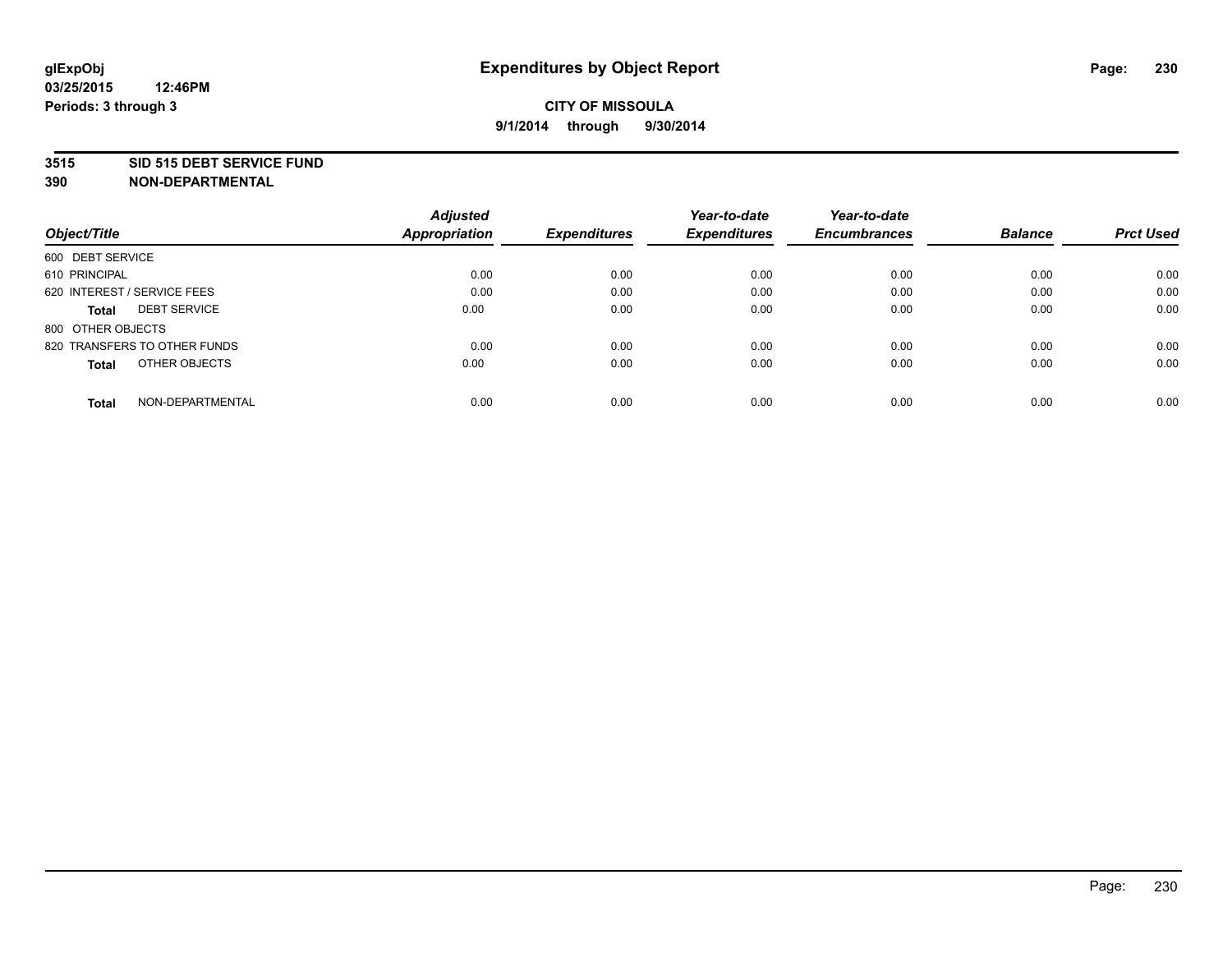#### **3515 SID 515 DEBT SERVICE FUND**

|                                     | <b>Adjusted</b>      |                     | Year-to-date        | Year-to-date        |                |                  |
|-------------------------------------|----------------------|---------------------|---------------------|---------------------|----------------|------------------|
| Object/Title                        | <b>Appropriation</b> | <b>Expenditures</b> | <b>Expenditures</b> | <b>Encumbrances</b> | <b>Balance</b> | <b>Prct Used</b> |
| 600 DEBT SERVICE                    |                      |                     |                     |                     |                |                  |
| 610 PRINCIPAL                       | 0.00                 | 0.00                | 0.00                | 0.00                | 0.00           | 0.00             |
| 620 INTEREST / SERVICE FEES         | 0.00                 | 0.00                | 0.00                | 0.00                | 0.00           | 0.00             |
| <b>DEBT SERVICE</b><br><b>Total</b> | 0.00                 | 0.00                | 0.00                | 0.00                | 0.00           | 0.00             |
| 800 OTHER OBJECTS                   |                      |                     |                     |                     |                |                  |
| 820 TRANSFERS TO OTHER FUNDS        | 0.00                 | 0.00                | 0.00                | 0.00                | 0.00           | 0.00             |
| OTHER OBJECTS<br><b>Total</b>       | 0.00                 | 0.00                | 0.00                | 0.00                | 0.00           | 0.00             |
| NON-DEPARTMENTAL<br>Total           | 0.00                 | 0.00                | 0.00                | 0.00                | 0.00           | 0.00             |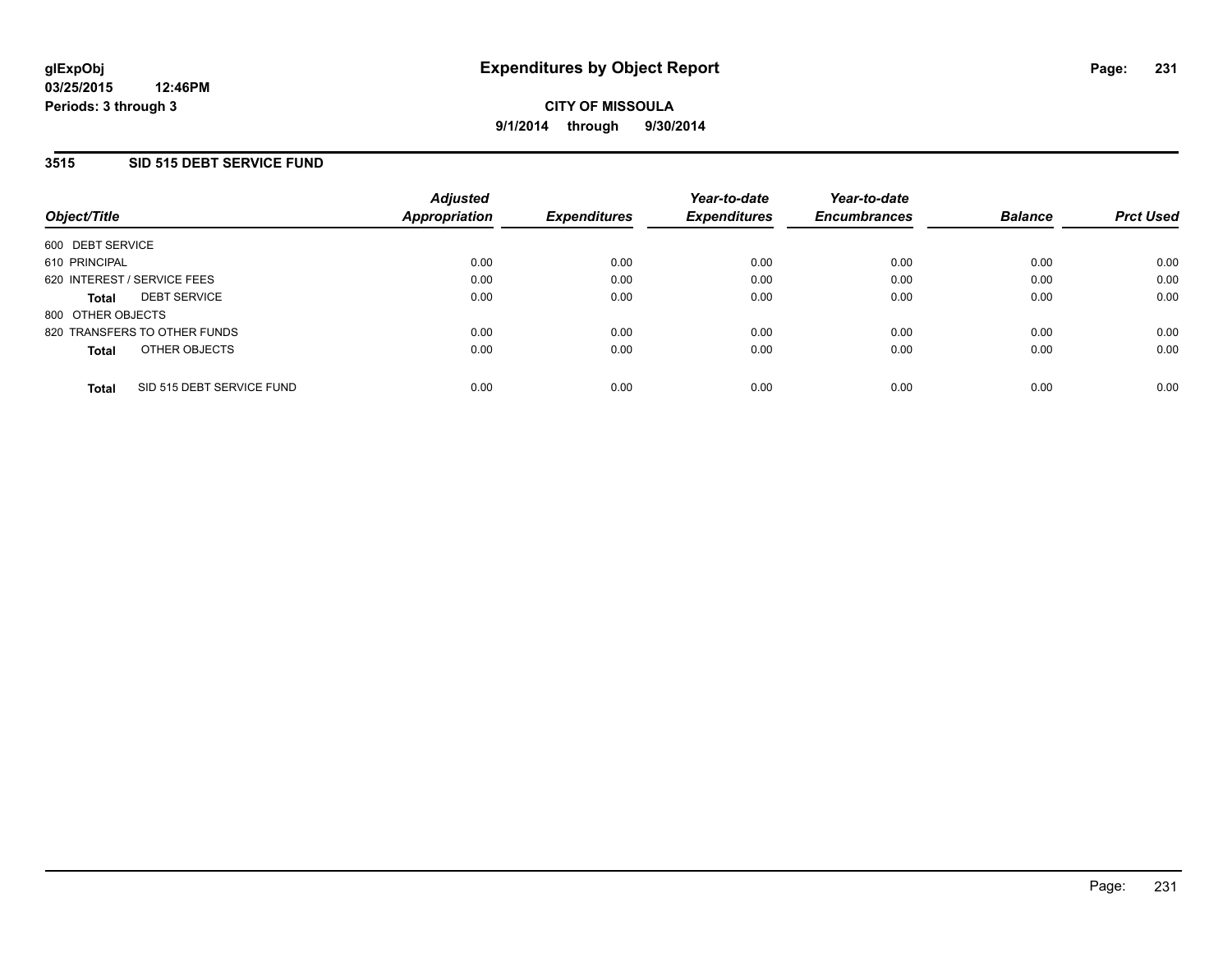## **3515 SID 515 DEBT SERVICE FUND**

| Object/Title                |                              | <b>Adjusted</b><br>Appropriation | <b>Expenditures</b> | Year-to-date<br><b>Expenditures</b> | Year-to-date<br><b>Encumbrances</b> | <b>Balance</b> | <b>Prct Used</b> |
|-----------------------------|------------------------------|----------------------------------|---------------------|-------------------------------------|-------------------------------------|----------------|------------------|
| 600 DEBT SERVICE            |                              |                                  |                     |                                     |                                     |                |                  |
| 610 PRINCIPAL               |                              | 0.00                             | 0.00                | 0.00                                | 0.00                                | 0.00           | 0.00             |
| 620 INTEREST / SERVICE FEES |                              | 0.00                             | 0.00                | 0.00                                | 0.00                                | 0.00           | 0.00             |
| <b>Total</b>                | <b>DEBT SERVICE</b>          | 0.00                             | 0.00                | 0.00                                | 0.00                                | 0.00           | 0.00             |
| 800 OTHER OBJECTS           |                              |                                  |                     |                                     |                                     |                |                  |
|                             | 820 TRANSFERS TO OTHER FUNDS | 0.00                             | 0.00                | 0.00                                | 0.00                                | 0.00           | 0.00             |
| <b>Total</b>                | OTHER OBJECTS                | 0.00                             | 0.00                | 0.00                                | 0.00                                | 0.00           | 0.00             |
| <b>Total</b>                | SID 515 DEBT SERVICE FUND    | 0.00                             | 0.00                | 0.00                                | 0.00                                | 0.00           | 0.00             |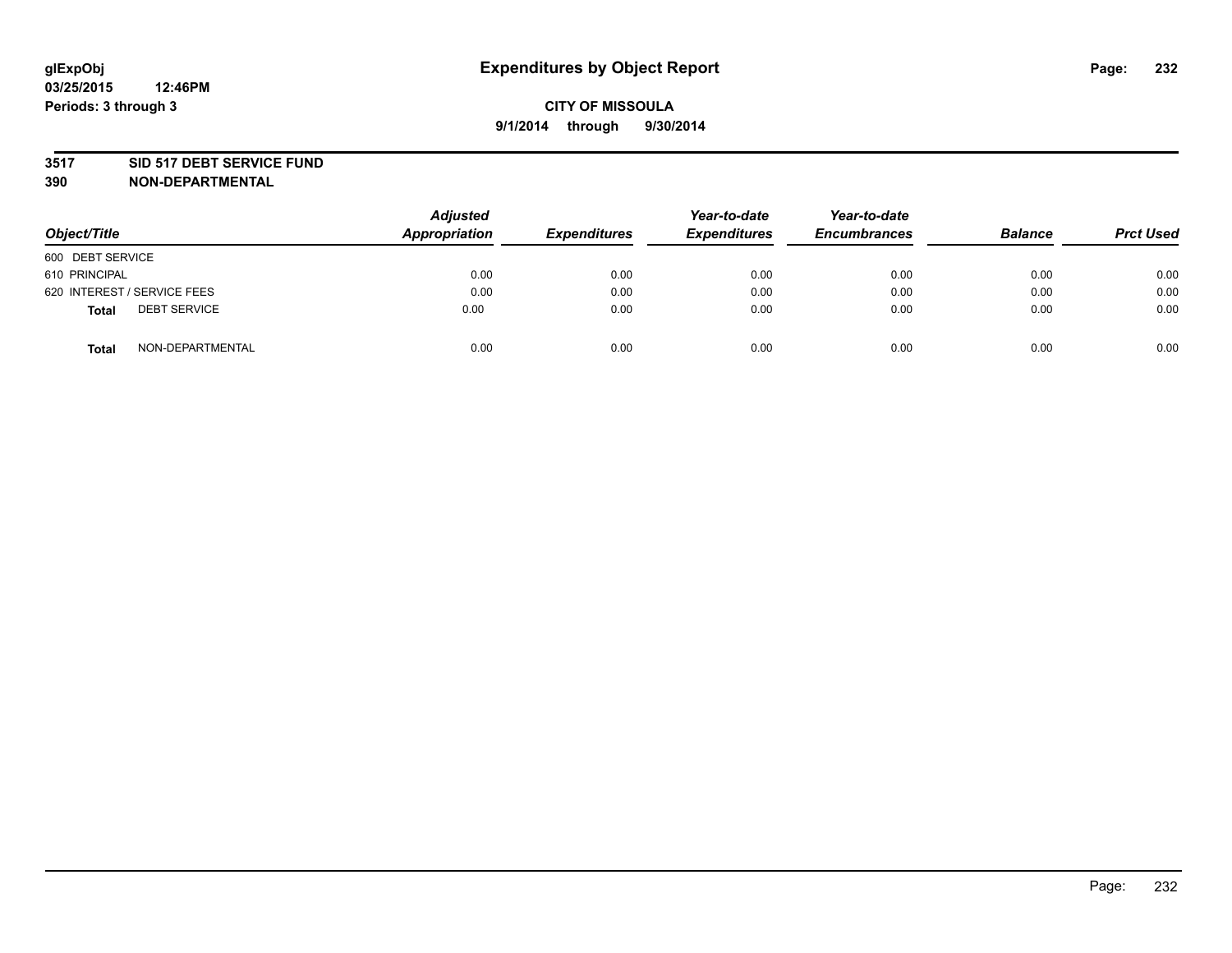#### **3517 SID 517 DEBT SERVICE FUND**

| Object/Title                        | <b>Adjusted</b><br>Appropriation | <b>Expenditures</b> | Year-to-date<br><b>Expenditures</b> | Year-to-date<br><b>Encumbrances</b> | <b>Balance</b> | <b>Prct Used</b> |
|-------------------------------------|----------------------------------|---------------------|-------------------------------------|-------------------------------------|----------------|------------------|
| 600 DEBT SERVICE                    |                                  |                     |                                     |                                     |                |                  |
| 610 PRINCIPAL                       | 0.00                             | 0.00                | 0.00                                | 0.00                                | 0.00           | 0.00             |
| 620 INTEREST / SERVICE FEES         | 0.00                             | 0.00                | 0.00                                | 0.00                                | 0.00           | 0.00             |
| <b>DEBT SERVICE</b><br><b>Total</b> | 0.00                             | 0.00                | 0.00                                | 0.00                                | 0.00           | 0.00             |
| NON-DEPARTMENTAL<br><b>Total</b>    | 0.00                             | 0.00                | 0.00                                | 0.00                                | 0.00           | 0.00             |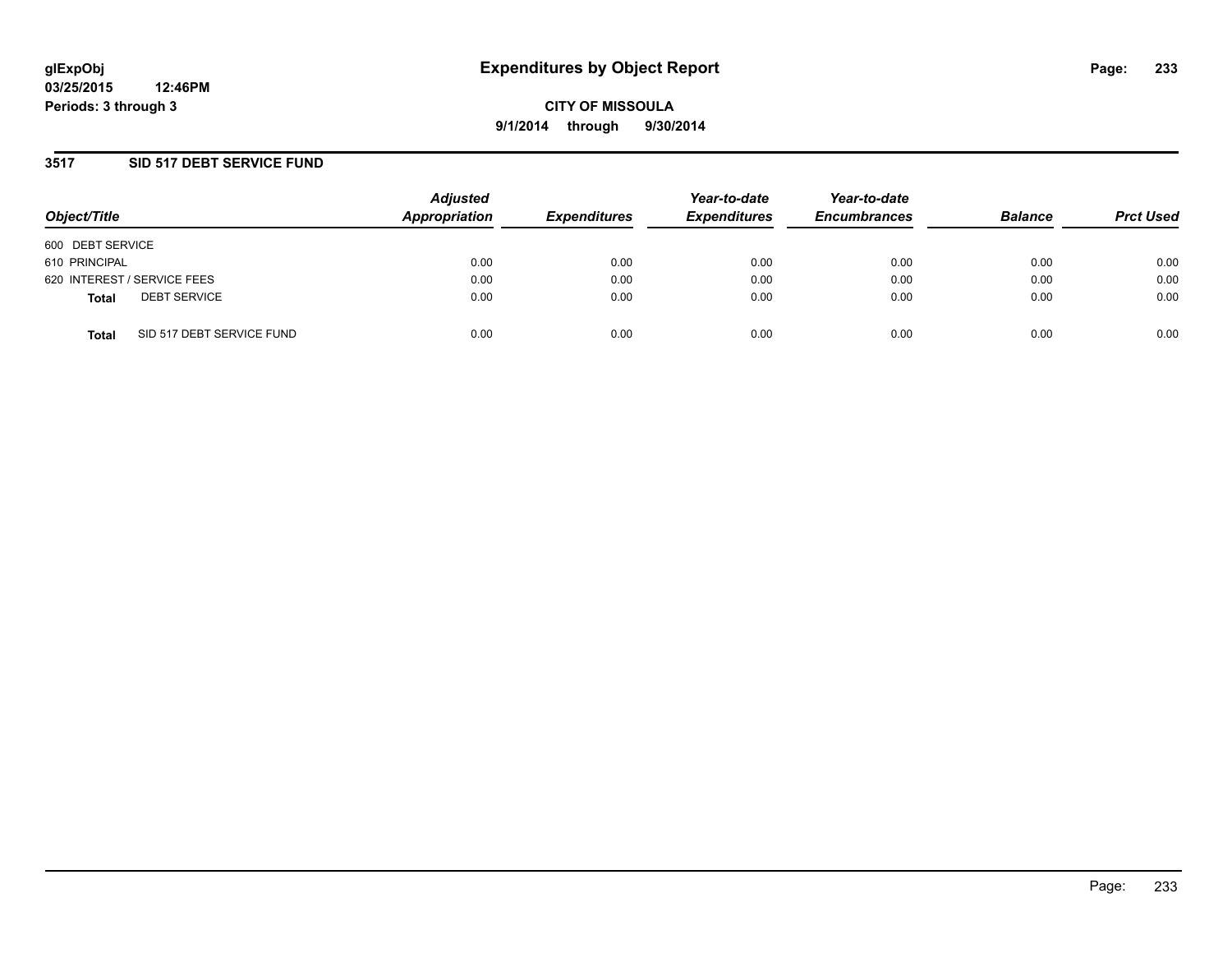### **3517 SID 517 DEBT SERVICE FUND**

| Object/Title                              | <b>Adjusted</b><br>Appropriation | <b>Expenditures</b> | Year-to-date<br><b>Expenditures</b> | Year-to-date<br><b>Encumbrances</b> | <b>Balance</b> | <b>Prct Used</b> |
|-------------------------------------------|----------------------------------|---------------------|-------------------------------------|-------------------------------------|----------------|------------------|
| 600 DEBT SERVICE                          |                                  |                     |                                     |                                     |                |                  |
| 610 PRINCIPAL                             | 0.00                             | 0.00                | 0.00                                | 0.00                                | 0.00           | 0.00             |
| 620 INTEREST / SERVICE FEES               | 0.00                             | 0.00                | 0.00                                | 0.00                                | 0.00           | 0.00             |
| <b>DEBT SERVICE</b><br><b>Total</b>       | 0.00                             | 0.00                | 0.00                                | 0.00                                | 0.00           | 0.00             |
| SID 517 DEBT SERVICE FUND<br><b>Total</b> | 0.00                             | 0.00                | 0.00                                | 0.00                                | 0.00           | 0.00             |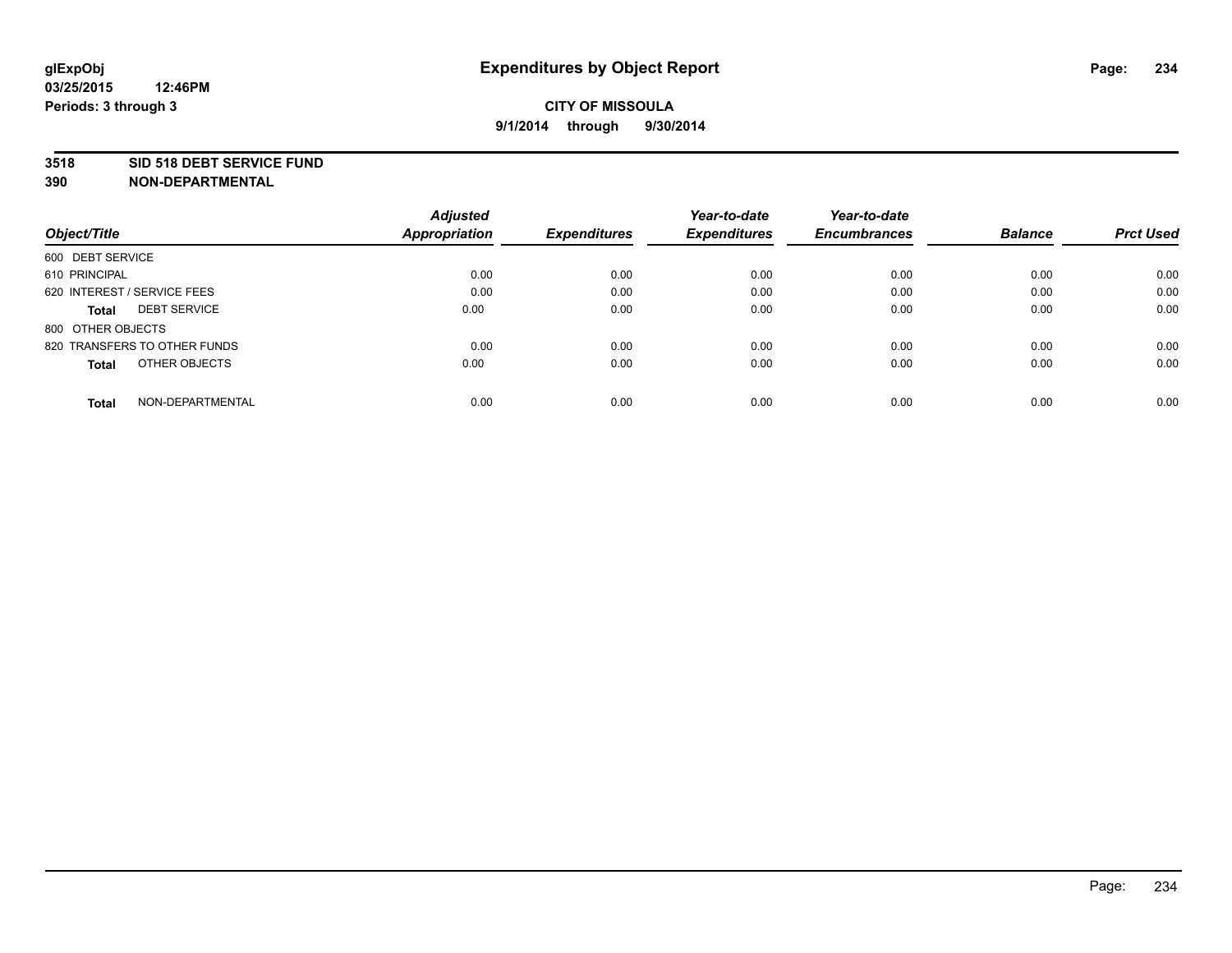#### **3518 SID 518 DEBT SERVICE FUND**

|                                     | <b>Adjusted</b>      |                     | Year-to-date        | Year-to-date        |                |                  |
|-------------------------------------|----------------------|---------------------|---------------------|---------------------|----------------|------------------|
| Object/Title                        | <b>Appropriation</b> | <b>Expenditures</b> | <b>Expenditures</b> | <b>Encumbrances</b> | <b>Balance</b> | <b>Prct Used</b> |
| 600 DEBT SERVICE                    |                      |                     |                     |                     |                |                  |
| 610 PRINCIPAL                       | 0.00                 | 0.00                | 0.00                | 0.00                | 0.00           | 0.00             |
| 620 INTEREST / SERVICE FEES         | 0.00                 | 0.00                | 0.00                | 0.00                | 0.00           | 0.00             |
| <b>DEBT SERVICE</b><br><b>Total</b> | 0.00                 | 0.00                | 0.00                | 0.00                | 0.00           | 0.00             |
| 800 OTHER OBJECTS                   |                      |                     |                     |                     |                |                  |
| 820 TRANSFERS TO OTHER FUNDS        | 0.00                 | 0.00                | 0.00                | 0.00                | 0.00           | 0.00             |
| OTHER OBJECTS<br><b>Total</b>       | 0.00                 | 0.00                | 0.00                | 0.00                | 0.00           | 0.00             |
| NON-DEPARTMENTAL<br>Total           | 0.00                 | 0.00                | 0.00                | 0.00                | 0.00           | 0.00             |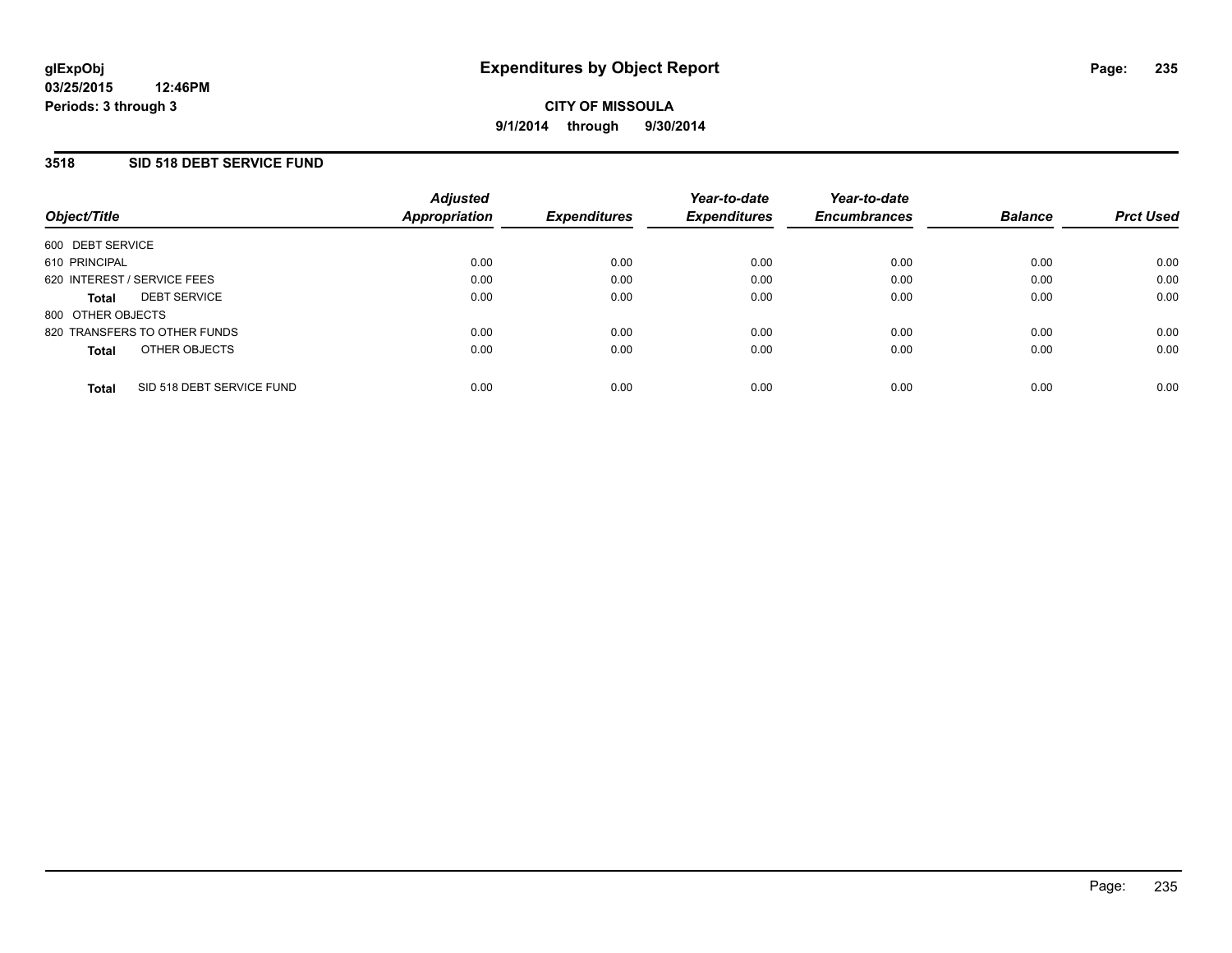### **3518 SID 518 DEBT SERVICE FUND**

| Object/Title                        |                           | <b>Adjusted</b><br>Appropriation | <b>Expenditures</b> | Year-to-date<br><b>Expenditures</b> | Year-to-date<br><b>Encumbrances</b> | <b>Balance</b> | <b>Prct Used</b> |
|-------------------------------------|---------------------------|----------------------------------|---------------------|-------------------------------------|-------------------------------------|----------------|------------------|
| 600 DEBT SERVICE                    |                           |                                  |                     |                                     |                                     |                |                  |
| 610 PRINCIPAL                       |                           | 0.00                             | 0.00                | 0.00                                | 0.00                                | 0.00           | 0.00             |
| 620 INTEREST / SERVICE FEES         |                           | 0.00                             | 0.00                | 0.00                                | 0.00                                | 0.00           | 0.00             |
| <b>DEBT SERVICE</b><br><b>Total</b> |                           | 0.00                             | 0.00                | 0.00                                | 0.00                                | 0.00           | 0.00             |
| 800 OTHER OBJECTS                   |                           |                                  |                     |                                     |                                     |                |                  |
| 820 TRANSFERS TO OTHER FUNDS        |                           | 0.00                             | 0.00                | 0.00                                | 0.00                                | 0.00           | 0.00             |
| <b>Total</b>                        | OTHER OBJECTS             | 0.00                             | 0.00                | 0.00                                | 0.00                                | 0.00           | 0.00             |
| <b>Total</b>                        | SID 518 DEBT SERVICE FUND | 0.00                             | 0.00                | 0.00                                | 0.00                                | 0.00           | 0.00             |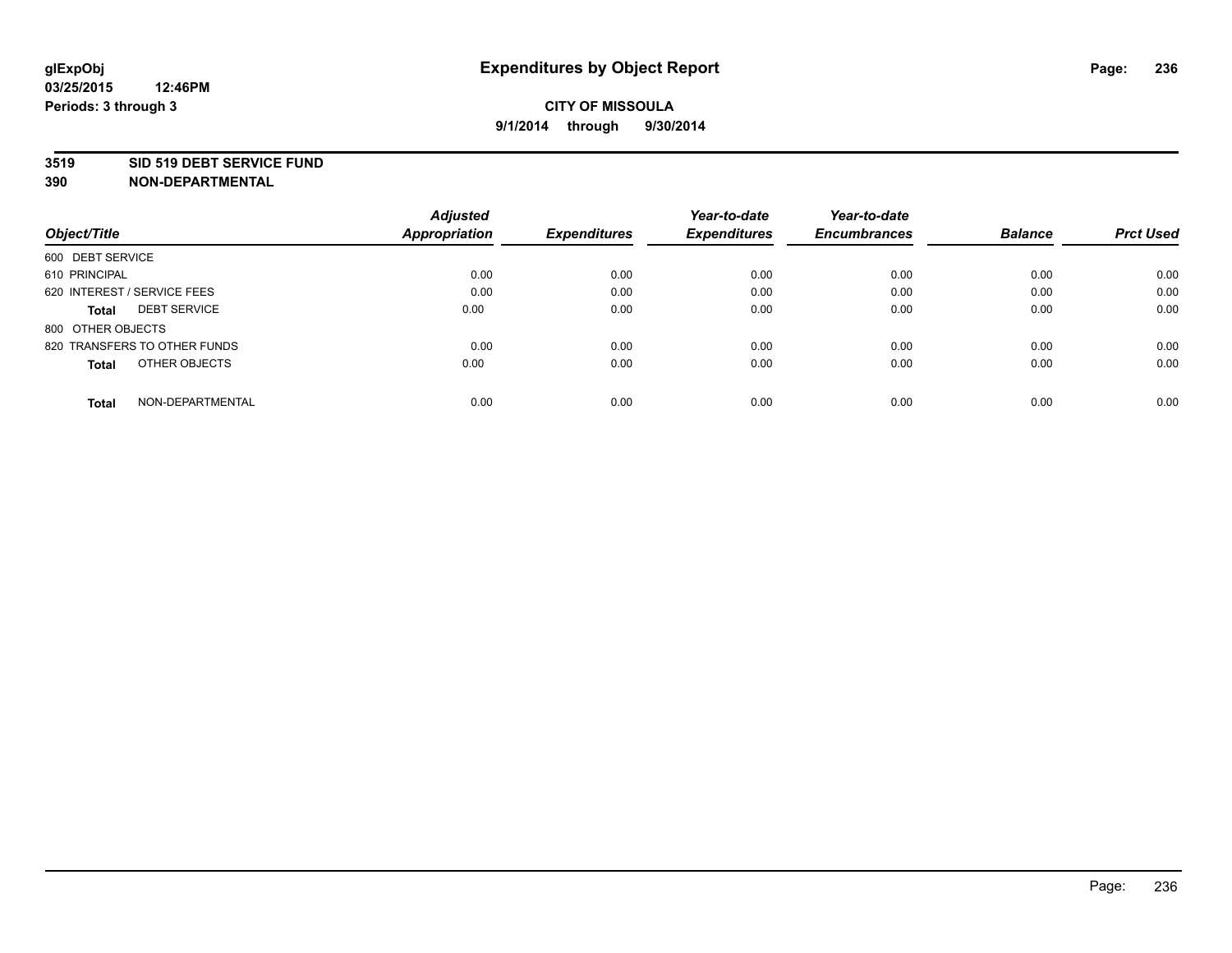#### **3519 SID 519 DEBT SERVICE FUND**

|                                     | <b>Adjusted</b>      |                     | Year-to-date        | Year-to-date        |                |                  |
|-------------------------------------|----------------------|---------------------|---------------------|---------------------|----------------|------------------|
| Object/Title                        | <b>Appropriation</b> | <b>Expenditures</b> | <b>Expenditures</b> | <b>Encumbrances</b> | <b>Balance</b> | <b>Prct Used</b> |
| 600 DEBT SERVICE                    |                      |                     |                     |                     |                |                  |
| 610 PRINCIPAL                       | 0.00                 | 0.00                | 0.00                | 0.00                | 0.00           | 0.00             |
| 620 INTEREST / SERVICE FEES         | 0.00                 | 0.00                | 0.00                | 0.00                | 0.00           | 0.00             |
| <b>DEBT SERVICE</b><br><b>Total</b> | 0.00                 | 0.00                | 0.00                | 0.00                | 0.00           | 0.00             |
| 800 OTHER OBJECTS                   |                      |                     |                     |                     |                |                  |
| 820 TRANSFERS TO OTHER FUNDS        | 0.00                 | 0.00                | 0.00                | 0.00                | 0.00           | 0.00             |
| OTHER OBJECTS<br><b>Total</b>       | 0.00                 | 0.00                | 0.00                | 0.00                | 0.00           | 0.00             |
| NON-DEPARTMENTAL<br>Total           | 0.00                 | 0.00                | 0.00                | 0.00                | 0.00           | 0.00             |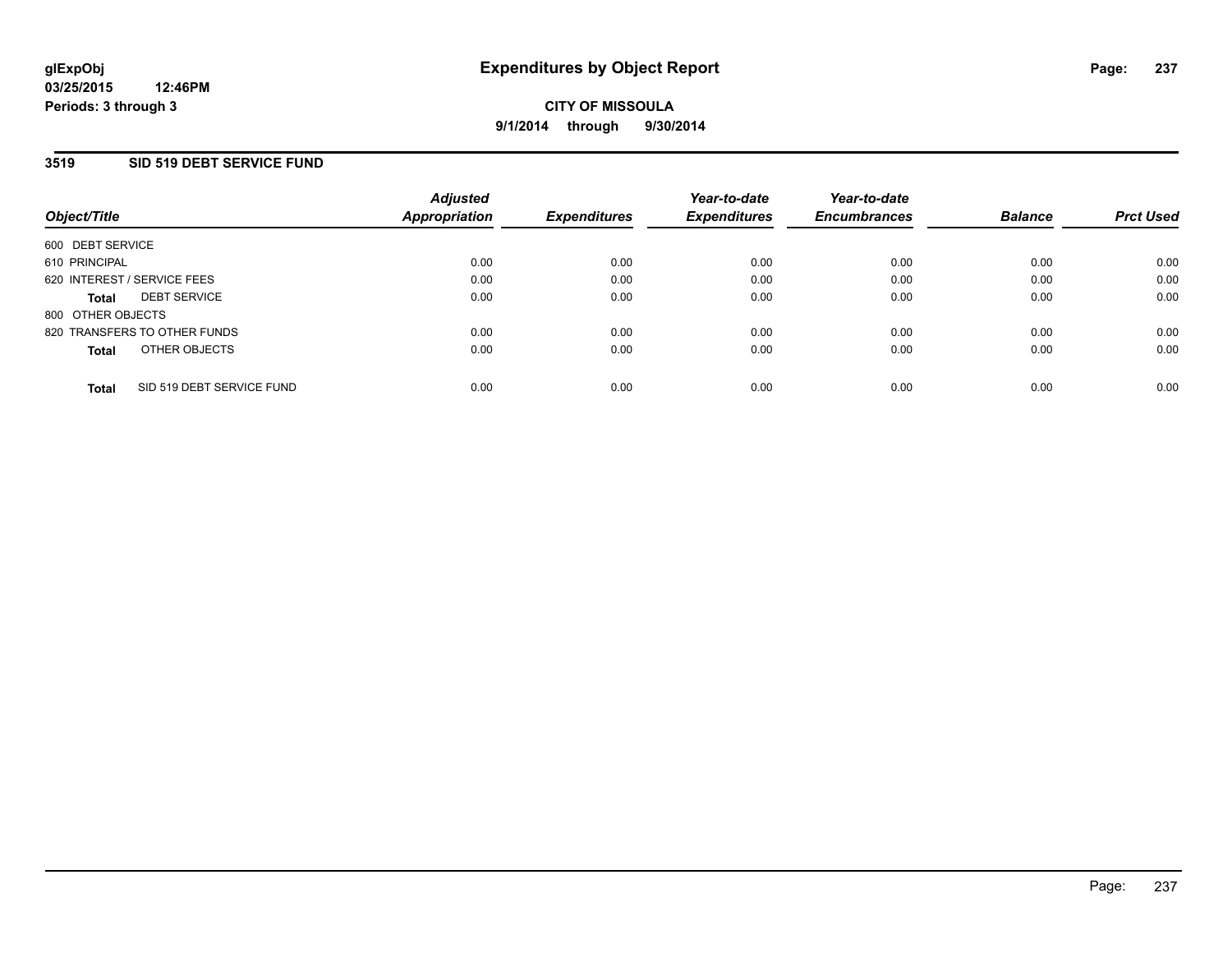### **3519 SID 519 DEBT SERVICE FUND**

| Object/Title      |                              | <b>Adjusted</b><br>Appropriation | <b>Expenditures</b> | Year-to-date<br><b>Expenditures</b> | Year-to-date<br><b>Encumbrances</b> | <b>Balance</b> | <b>Prct Used</b> |
|-------------------|------------------------------|----------------------------------|---------------------|-------------------------------------|-------------------------------------|----------------|------------------|
| 600 DEBT SERVICE  |                              |                                  |                     |                                     |                                     |                |                  |
| 610 PRINCIPAL     |                              | 0.00                             | 0.00                | 0.00                                | 0.00                                | 0.00           | 0.00             |
|                   | 620 INTEREST / SERVICE FEES  | 0.00                             | 0.00                | 0.00                                | 0.00                                | 0.00           | 0.00             |
| <b>Total</b>      | <b>DEBT SERVICE</b>          | 0.00                             | 0.00                | 0.00                                | 0.00                                | 0.00           | 0.00             |
| 800 OTHER OBJECTS |                              |                                  |                     |                                     |                                     |                |                  |
|                   | 820 TRANSFERS TO OTHER FUNDS | 0.00                             | 0.00                | 0.00                                | 0.00                                | 0.00           | 0.00             |
| <b>Total</b>      | OTHER OBJECTS                | 0.00                             | 0.00                | 0.00                                | 0.00                                | 0.00           | 0.00             |
| <b>Total</b>      | SID 519 DEBT SERVICE FUND    | 0.00                             | 0.00                | 0.00                                | 0.00                                | 0.00           | 0.00             |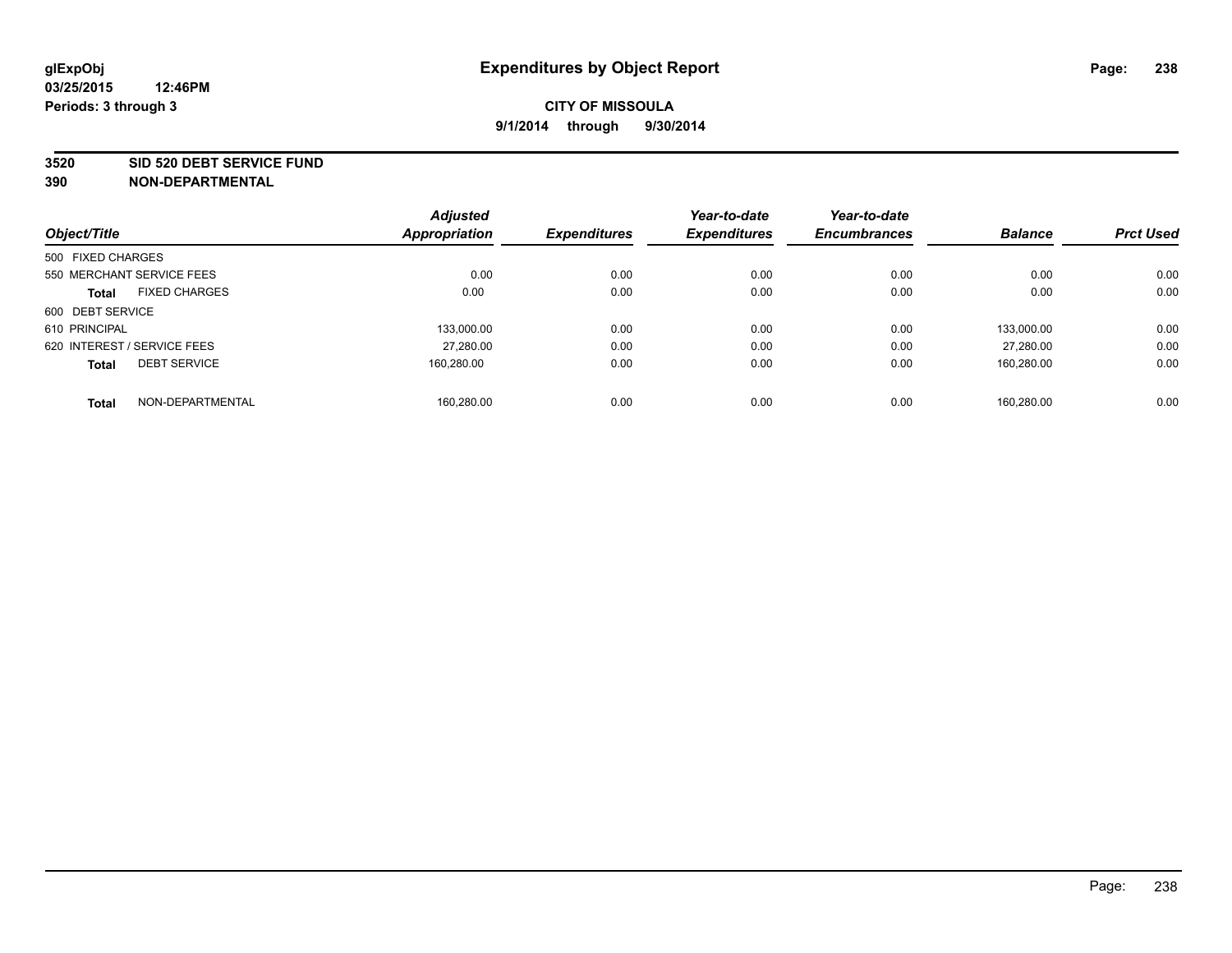#### **3520 SID 520 DEBT SERVICE FUND**

|                                      | <b>Adjusted</b> |                     | Year-to-date        | Year-to-date        |                |                  |
|--------------------------------------|-----------------|---------------------|---------------------|---------------------|----------------|------------------|
| Object/Title                         | Appropriation   | <b>Expenditures</b> | <b>Expenditures</b> | <b>Encumbrances</b> | <b>Balance</b> | <b>Prct Used</b> |
| 500 FIXED CHARGES                    |                 |                     |                     |                     |                |                  |
| 550 MERCHANT SERVICE FEES            | 0.00            | 0.00                | 0.00                | 0.00                | 0.00           | 0.00             |
| <b>FIXED CHARGES</b><br><b>Total</b> | 0.00            | 0.00                | 0.00                | 0.00                | 0.00           | 0.00             |
| 600 DEBT SERVICE                     |                 |                     |                     |                     |                |                  |
| 610 PRINCIPAL                        | 133,000.00      | 0.00                | 0.00                | 0.00                | 133.000.00     | 0.00             |
| 620 INTEREST / SERVICE FEES          | 27,280.00       | 0.00                | 0.00                | 0.00                | 27.280.00      | 0.00             |
| <b>DEBT SERVICE</b><br><b>Total</b>  | 160.280.00      | 0.00                | 0.00                | 0.00                | 160.280.00     | 0.00             |
| NON-DEPARTMENTAL<br><b>Total</b>     | 160.280.00      | 0.00                | 0.00                | 0.00                | 160.280.00     | 0.00             |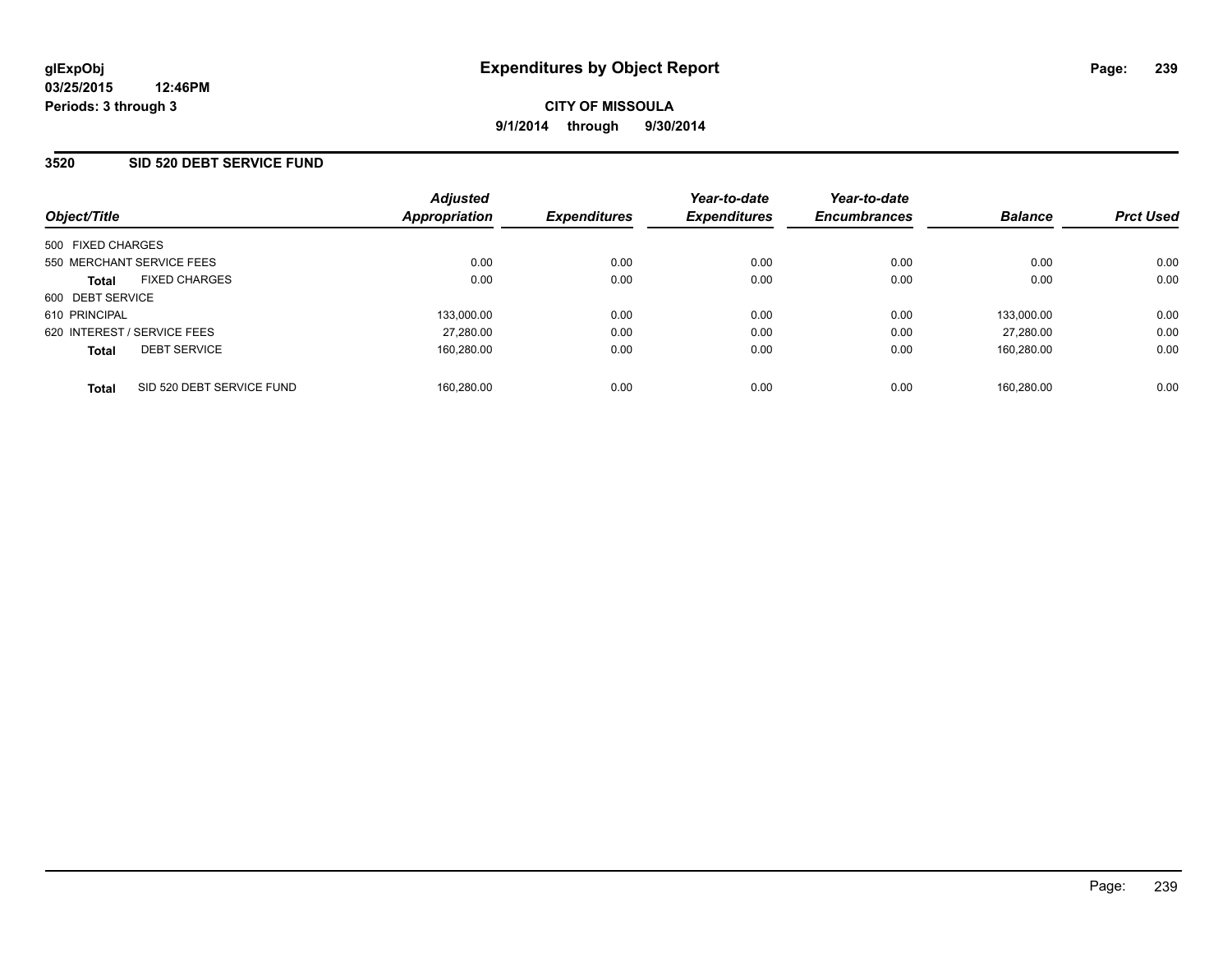### **3520 SID 520 DEBT SERVICE FUND**

| Object/Title                              | <b>Adjusted</b><br>Appropriation | <b>Expenditures</b> | Year-to-date<br><b>Expenditures</b> | Year-to-date<br><b>Encumbrances</b> | <b>Balance</b> | <b>Prct Used</b> |
|-------------------------------------------|----------------------------------|---------------------|-------------------------------------|-------------------------------------|----------------|------------------|
| 500 FIXED CHARGES                         |                                  |                     |                                     |                                     |                |                  |
| 550 MERCHANT SERVICE FEES                 | 0.00                             | 0.00                | 0.00                                | 0.00                                | 0.00           | 0.00             |
| <b>FIXED CHARGES</b><br><b>Total</b>      | 0.00                             | 0.00                | 0.00                                | 0.00                                | 0.00           | 0.00             |
| 600 DEBT SERVICE                          |                                  |                     |                                     |                                     |                |                  |
| 610 PRINCIPAL                             | 133,000.00                       | 0.00                | 0.00                                | 0.00                                | 133,000.00     | 0.00             |
| 620 INTEREST / SERVICE FEES               | 27.280.00                        | 0.00                | 0.00                                | 0.00                                | 27.280.00      | 0.00             |
| <b>DEBT SERVICE</b><br><b>Total</b>       | 160.280.00                       | 0.00                | 0.00                                | 0.00                                | 160.280.00     | 0.00             |
| SID 520 DEBT SERVICE FUND<br><b>Total</b> | 160.280.00                       | 0.00                | 0.00                                | 0.00                                | 160.280.00     | 0.00             |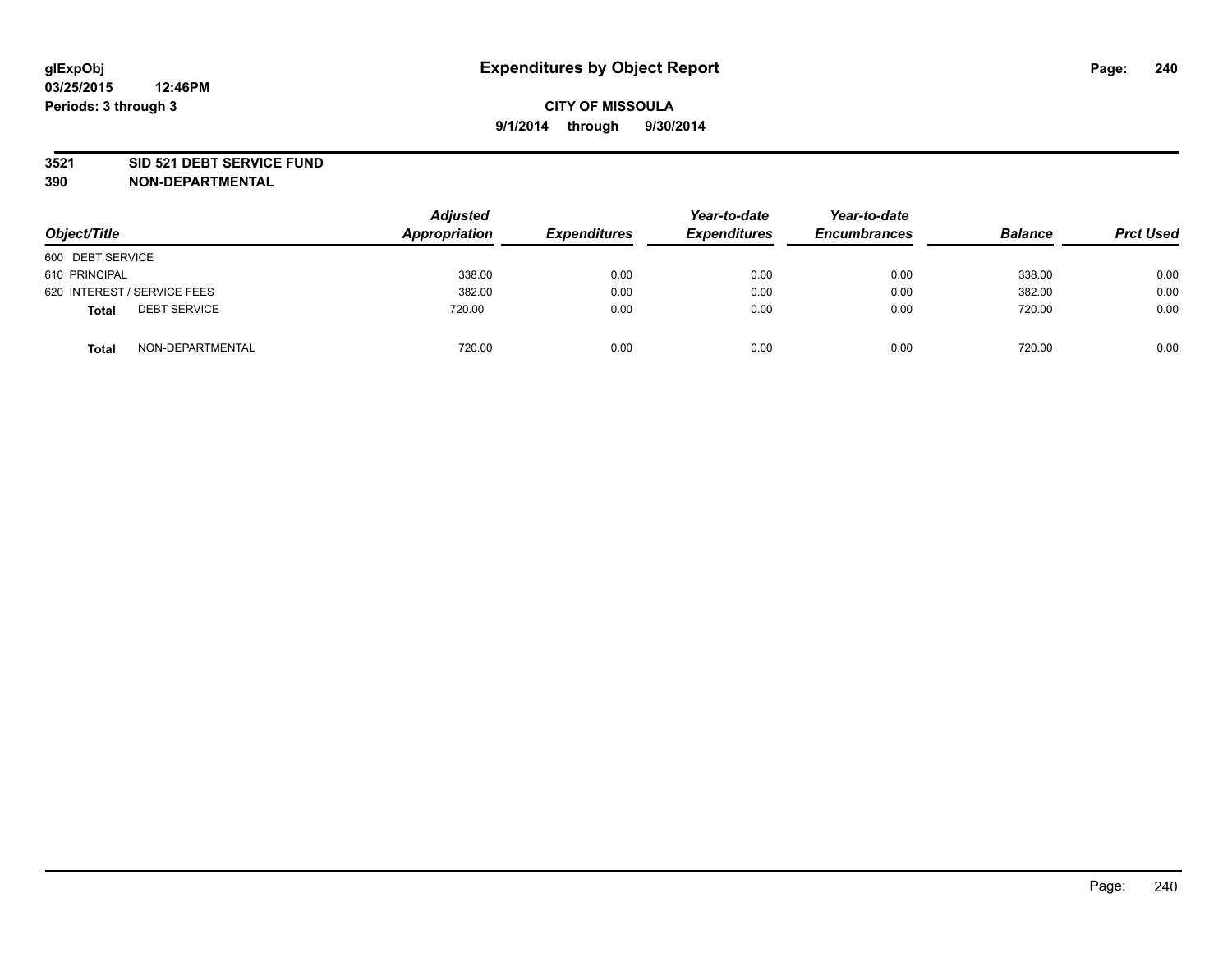#### **3521 SID 521 DEBT SERVICE FUND**

| Object/Title                        | <b>Adjusted</b><br>Appropriation | <b>Expenditures</b> | Year-to-date<br><b>Expenditures</b> | Year-to-date<br><b>Encumbrances</b> | <b>Balance</b> | <b>Prct Used</b> |
|-------------------------------------|----------------------------------|---------------------|-------------------------------------|-------------------------------------|----------------|------------------|
| 600 DEBT SERVICE                    |                                  |                     |                                     |                                     |                |                  |
| 610 PRINCIPAL                       | 338.00                           | 0.00                | 0.00                                | 0.00                                | 338.00         | 0.00             |
| 620 INTEREST / SERVICE FEES         | 382.00                           | 0.00                | 0.00                                | 0.00                                | 382.00         | 0.00             |
| <b>DEBT SERVICE</b><br><b>Total</b> | 720.00                           | 0.00                | 0.00                                | 0.00                                | 720.00         | 0.00             |
| NON-DEPARTMENTAL<br><b>Total</b>    | 720.00                           | 0.00                | 0.00                                | 0.00                                | 720.00         | 0.00             |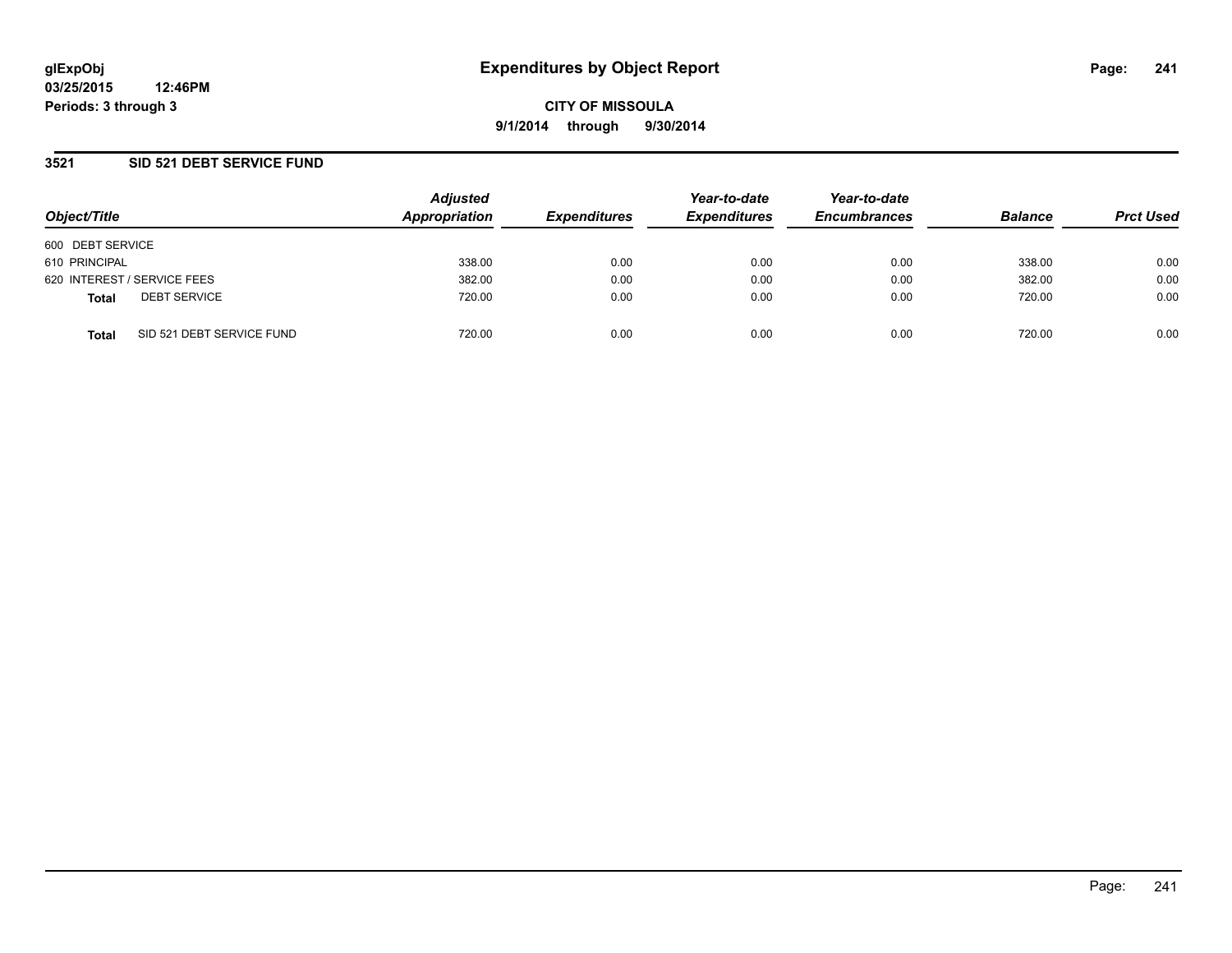### **3521 SID 521 DEBT SERVICE FUND**

| Object/Title     |                             | <b>Adjusted</b><br>Appropriation | <b>Expenditures</b> | Year-to-date<br><b>Expenditures</b> | Year-to-date<br><b>Encumbrances</b> | <b>Balance</b> | <b>Prct Used</b> |
|------------------|-----------------------------|----------------------------------|---------------------|-------------------------------------|-------------------------------------|----------------|------------------|
|                  |                             |                                  |                     |                                     |                                     |                |                  |
| 600 DEBT SERVICE |                             |                                  |                     |                                     |                                     |                |                  |
| 610 PRINCIPAL    |                             | 338.00                           | 0.00                | 0.00                                | 0.00                                | 338.00         | 0.00             |
|                  | 620 INTEREST / SERVICE FEES | 382.00                           | 0.00                | 0.00                                | 0.00                                | 382.00         | 0.00             |
| <b>Total</b>     | <b>DEBT SERVICE</b>         | 720.00                           | 0.00                | 0.00                                | 0.00                                | 720.00         | 0.00             |
| <b>Total</b>     | SID 521 DEBT SERVICE FUND   | 720.00                           | 0.00                | 0.00                                | 0.00                                | 720.00         | 0.00             |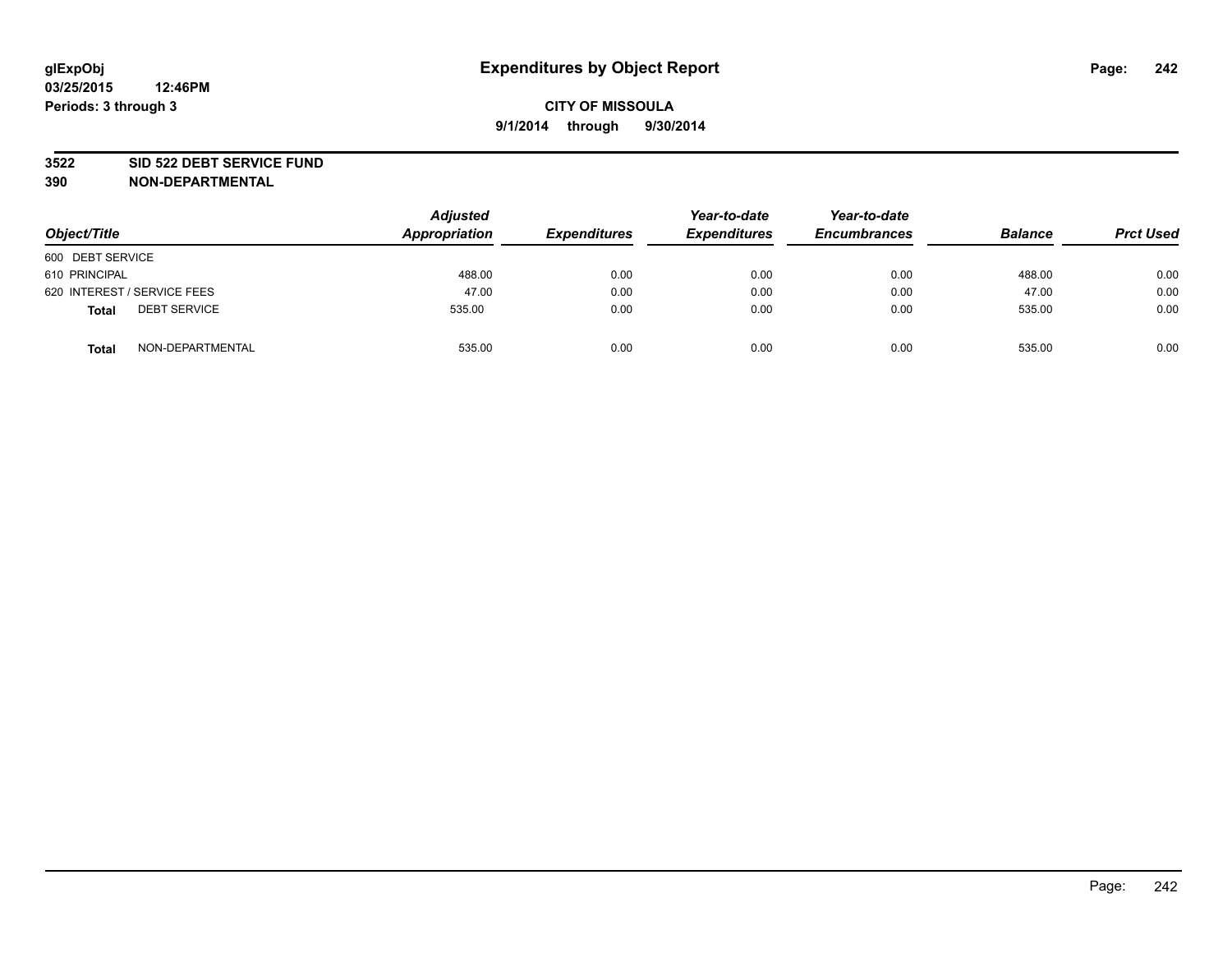#### **3522 SID 522 DEBT SERVICE FUND**

| Object/Title                        | <b>Adjusted</b><br>Appropriation | <b>Expenditures</b> | Year-to-date<br><b>Expenditures</b> | Year-to-date<br><b>Encumbrances</b> | <b>Balance</b> | <b>Prct Used</b> |
|-------------------------------------|----------------------------------|---------------------|-------------------------------------|-------------------------------------|----------------|------------------|
| 600 DEBT SERVICE                    |                                  |                     |                                     |                                     |                |                  |
| 610 PRINCIPAL                       | 488.00                           | 0.00                | 0.00                                | 0.00                                | 488.00         | 0.00             |
| 620 INTEREST / SERVICE FEES         | 47.00                            | 0.00                | 0.00                                | 0.00                                | 47.00          | 0.00             |
| <b>DEBT SERVICE</b><br><b>Total</b> | 535.00                           | 0.00                | 0.00                                | 0.00                                | 535.00         | 0.00             |
| NON-DEPARTMENTAL<br><b>Total</b>    | 535.00                           | 0.00                | 0.00                                | 0.00                                | 535.00         | 0.00             |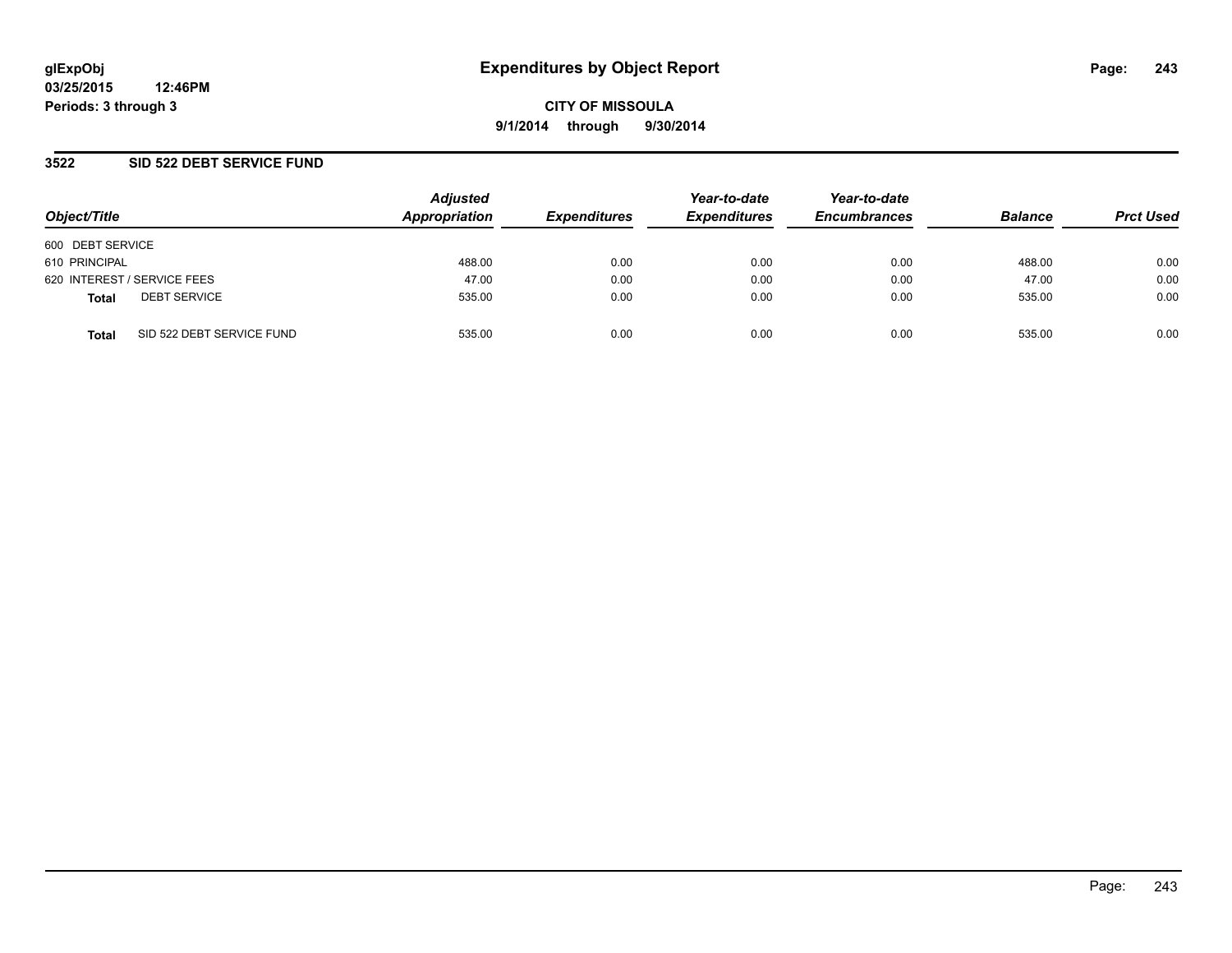### **3522 SID 522 DEBT SERVICE FUND**

| Object/Title                              | <b>Adjusted</b><br>Appropriation | <b>Expenditures</b> | Year-to-date<br><b>Expenditures</b> | Year-to-date<br><b>Encumbrances</b> | <b>Balance</b> | <b>Prct Used</b> |
|-------------------------------------------|----------------------------------|---------------------|-------------------------------------|-------------------------------------|----------------|------------------|
| 600 DEBT SERVICE                          |                                  |                     |                                     |                                     |                |                  |
| 610 PRINCIPAL                             | 488.00                           | 0.00                | 0.00                                | 0.00                                | 488.00         | 0.00             |
| 620 INTEREST / SERVICE FEES               | 47.00                            | 0.00                | 0.00                                | 0.00                                | 47.00          | 0.00             |
| <b>DEBT SERVICE</b><br><b>Total</b>       | 535.00                           | 0.00                | 0.00                                | 0.00                                | 535.00         | 0.00             |
| SID 522 DEBT SERVICE FUND<br><b>Total</b> | 535.00                           | 0.00                | 0.00                                | 0.00                                | 535.00         | 0.00             |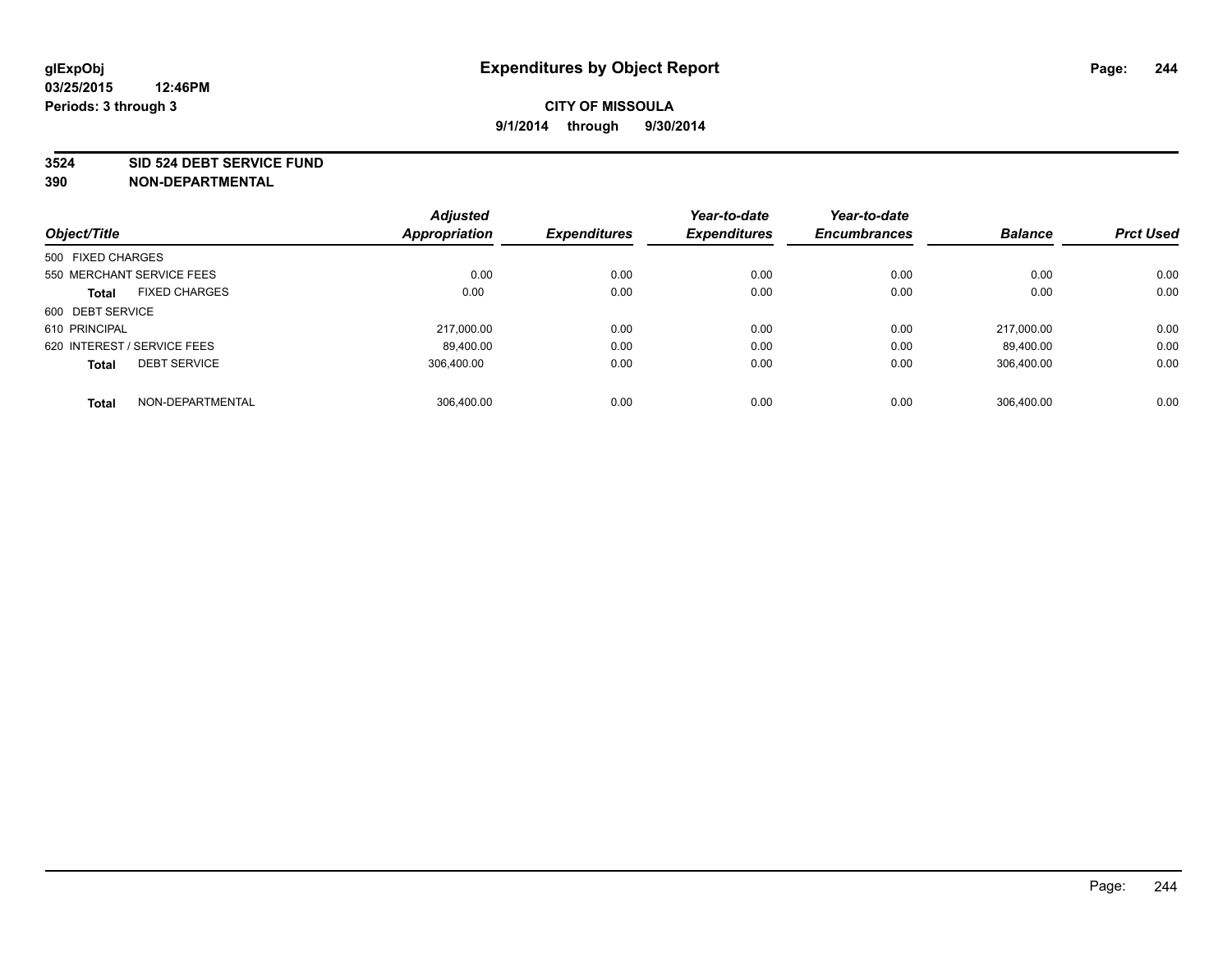#### **3524 SID 524 DEBT SERVICE FUND**

|                                      | <b>Adjusted</b>      |                     | Year-to-date        | Year-to-date        |                |                  |
|--------------------------------------|----------------------|---------------------|---------------------|---------------------|----------------|------------------|
| Object/Title                         | <b>Appropriation</b> | <b>Expenditures</b> | <b>Expenditures</b> | <b>Encumbrances</b> | <b>Balance</b> | <b>Prct Used</b> |
| 500 FIXED CHARGES                    |                      |                     |                     |                     |                |                  |
| 550 MERCHANT SERVICE FEES            | 0.00                 | 0.00                | 0.00                | 0.00                | 0.00           | 0.00             |
| <b>FIXED CHARGES</b><br><b>Total</b> | 0.00                 | 0.00                | 0.00                | 0.00                | 0.00           | 0.00             |
| 600 DEBT SERVICE                     |                      |                     |                     |                     |                |                  |
| 610 PRINCIPAL                        | 217.000.00           | 0.00                | 0.00                | 0.00                | 217.000.00     | 0.00             |
| 620 INTEREST / SERVICE FEES          | 89,400.00            | 0.00                | 0.00                | 0.00                | 89.400.00      | 0.00             |
| <b>DEBT SERVICE</b><br><b>Total</b>  | 306.400.00           | 0.00                | 0.00                | 0.00                | 306.400.00     | 0.00             |
| NON-DEPARTMENTAL<br><b>Total</b>     | 306,400.00           | 0.00                | 0.00                | 0.00                | 306.400.00     | 0.00             |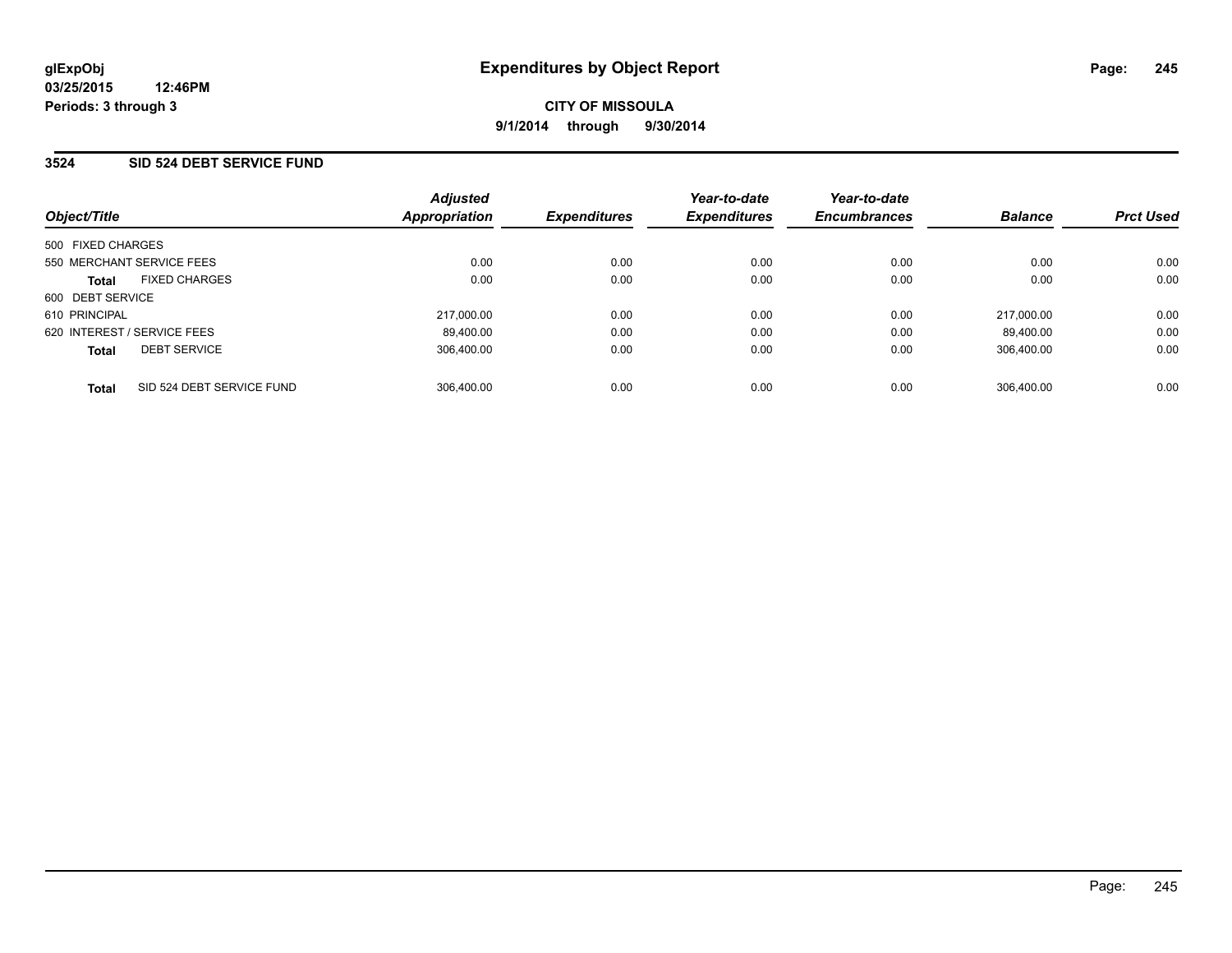### **3524 SID 524 DEBT SERVICE FUND**

| Object/Title                              | <b>Adjusted</b><br>Appropriation | <b>Expenditures</b> | Year-to-date<br><b>Expenditures</b> | Year-to-date<br><b>Encumbrances</b> | <b>Balance</b> | <b>Prct Used</b> |
|-------------------------------------------|----------------------------------|---------------------|-------------------------------------|-------------------------------------|----------------|------------------|
| 500 FIXED CHARGES                         |                                  |                     |                                     |                                     |                |                  |
| 550 MERCHANT SERVICE FEES                 | 0.00                             | 0.00                | 0.00                                | 0.00                                | 0.00           | 0.00             |
| <b>FIXED CHARGES</b><br><b>Total</b>      | 0.00                             | 0.00                | 0.00                                | 0.00                                | 0.00           | 0.00             |
| 600 DEBT SERVICE                          |                                  |                     |                                     |                                     |                |                  |
| 610 PRINCIPAL                             | 217.000.00                       | 0.00                | 0.00                                | 0.00                                | 217.000.00     | 0.00             |
| 620 INTEREST / SERVICE FEES               | 89,400.00                        | 0.00                | 0.00                                | 0.00                                | 89.400.00      | 0.00             |
| <b>DEBT SERVICE</b><br><b>Total</b>       | 306.400.00                       | 0.00                | 0.00                                | 0.00                                | 306.400.00     | 0.00             |
| SID 524 DEBT SERVICE FUND<br><b>Total</b> | 306.400.00                       | 0.00                | 0.00                                | 0.00                                | 306.400.00     | 0.00             |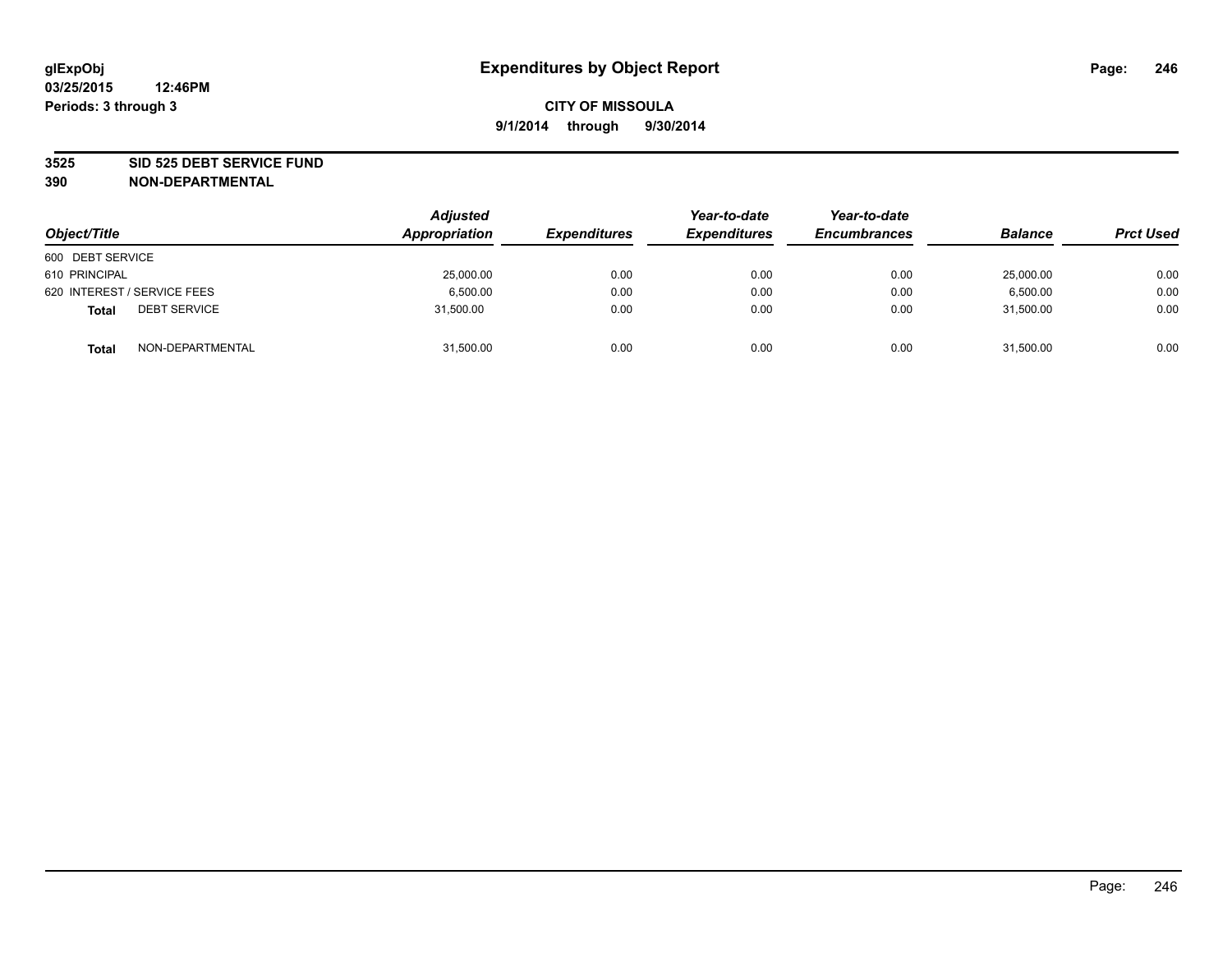#### **3525 SID 525 DEBT SERVICE FUND**

| Object/Title                        | <b>Adjusted</b><br>Appropriation | <b>Expenditures</b> | Year-to-date<br><b>Expenditures</b> | Year-to-date<br><b>Encumbrances</b> | <b>Balance</b> | <b>Prct Used</b> |
|-------------------------------------|----------------------------------|---------------------|-------------------------------------|-------------------------------------|----------------|------------------|
| 600 DEBT SERVICE                    |                                  |                     |                                     |                                     |                |                  |
| 610 PRINCIPAL                       | 25,000.00                        | 0.00                | 0.00                                | 0.00                                | 25,000.00      | 0.00             |
| 620 INTEREST / SERVICE FEES         | 6,500.00                         | 0.00                | 0.00                                | 0.00                                | 6,500.00       | 0.00             |
| <b>DEBT SERVICE</b><br><b>Total</b> | 31,500.00                        | 0.00                | 0.00                                | 0.00                                | 31,500.00      | 0.00             |
| NON-DEPARTMENTAL<br><b>Total</b>    | 31,500.00                        | 0.00                | 0.00                                | 0.00                                | 31,500.00      | 0.00             |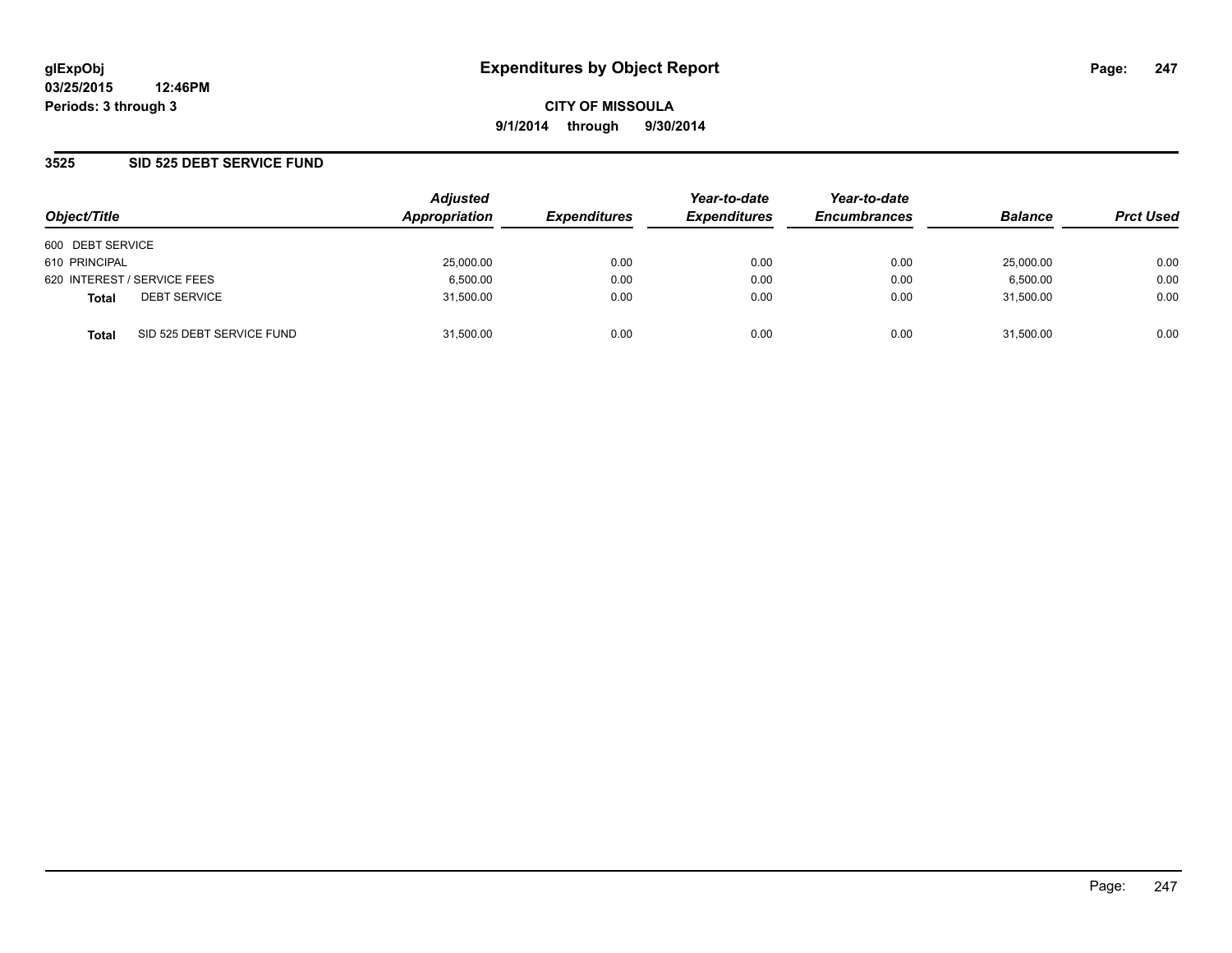**03/25/2015 12:46PM Periods: 3 through 3**

**CITY OF MISSOULA 9/1/2014 through 9/30/2014**

### **3525 SID 525 DEBT SERVICE FUND**

| Object/Title     |                             | <b>Adjusted</b><br>Appropriation | <b>Expenditures</b> | Year-to-date<br><b>Expenditures</b> | Year-to-date<br><b>Encumbrances</b> | <b>Balance</b> | <b>Prct Used</b> |
|------------------|-----------------------------|----------------------------------|---------------------|-------------------------------------|-------------------------------------|----------------|------------------|
|                  |                             |                                  |                     |                                     |                                     |                |                  |
| 600 DEBT SERVICE |                             |                                  |                     |                                     |                                     |                |                  |
| 610 PRINCIPAL    |                             | 25,000.00                        | 0.00                | 0.00                                | 0.00                                | 25,000.00      | 0.00             |
|                  | 620 INTEREST / SERVICE FEES | 6,500.00                         | 0.00                | 0.00                                | 0.00                                | 6,500.00       | 0.00             |
| <b>Total</b>     | <b>DEBT SERVICE</b>         | 31,500.00                        | 0.00                | 0.00                                | 0.00                                | 31.500.00      | 0.00             |
| <b>Total</b>     | SID 525 DEBT SERVICE FUND   | 31.500.00                        | 0.00                | 0.00                                | 0.00                                | 31.500.00      | 0.00             |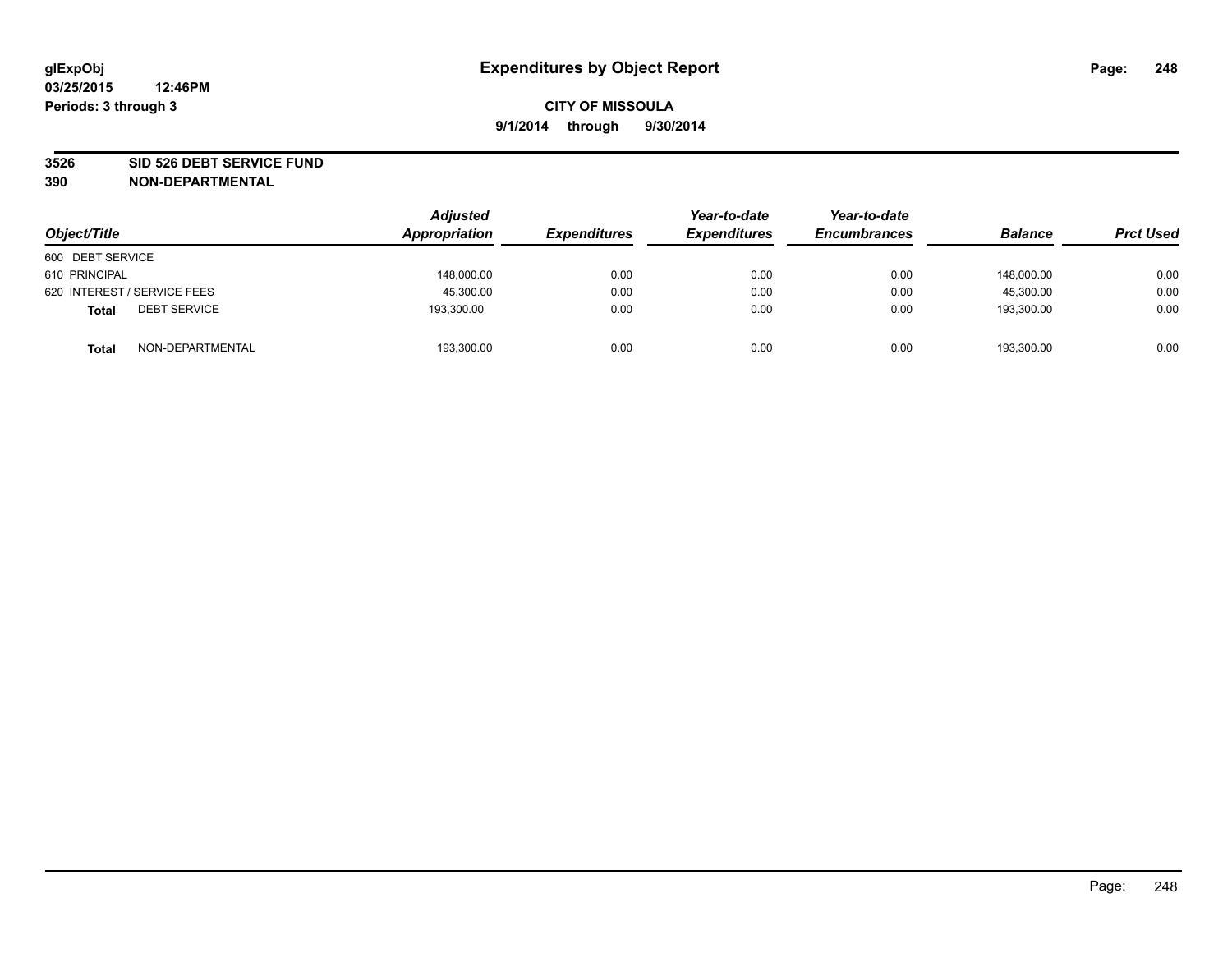#### **3526 SID 526 DEBT SERVICE FUND**

| Object/Title                        | <b>Adjusted</b><br>Appropriation | <b>Expenditures</b> | Year-to-date<br><b>Expenditures</b> | Year-to-date<br><b>Encumbrances</b> | <b>Balance</b> | <b>Prct Used</b> |
|-------------------------------------|----------------------------------|---------------------|-------------------------------------|-------------------------------------|----------------|------------------|
| 600 DEBT SERVICE                    |                                  |                     |                                     |                                     |                |                  |
| 610 PRINCIPAL                       | 148,000.00                       | 0.00                | 0.00                                | 0.00                                | 148.000.00     | 0.00             |
| 620 INTEREST / SERVICE FEES         | 45,300.00                        | 0.00                | 0.00                                | 0.00                                | 45,300.00      | 0.00             |
| <b>DEBT SERVICE</b><br><b>Total</b> | 193,300.00                       | 0.00                | 0.00                                | 0.00                                | 193,300.00     | 0.00             |
| NON-DEPARTMENTAL<br><b>Total</b>    | 193,300.00                       | 0.00                | 0.00                                | 0.00                                | 193,300.00     | 0.00             |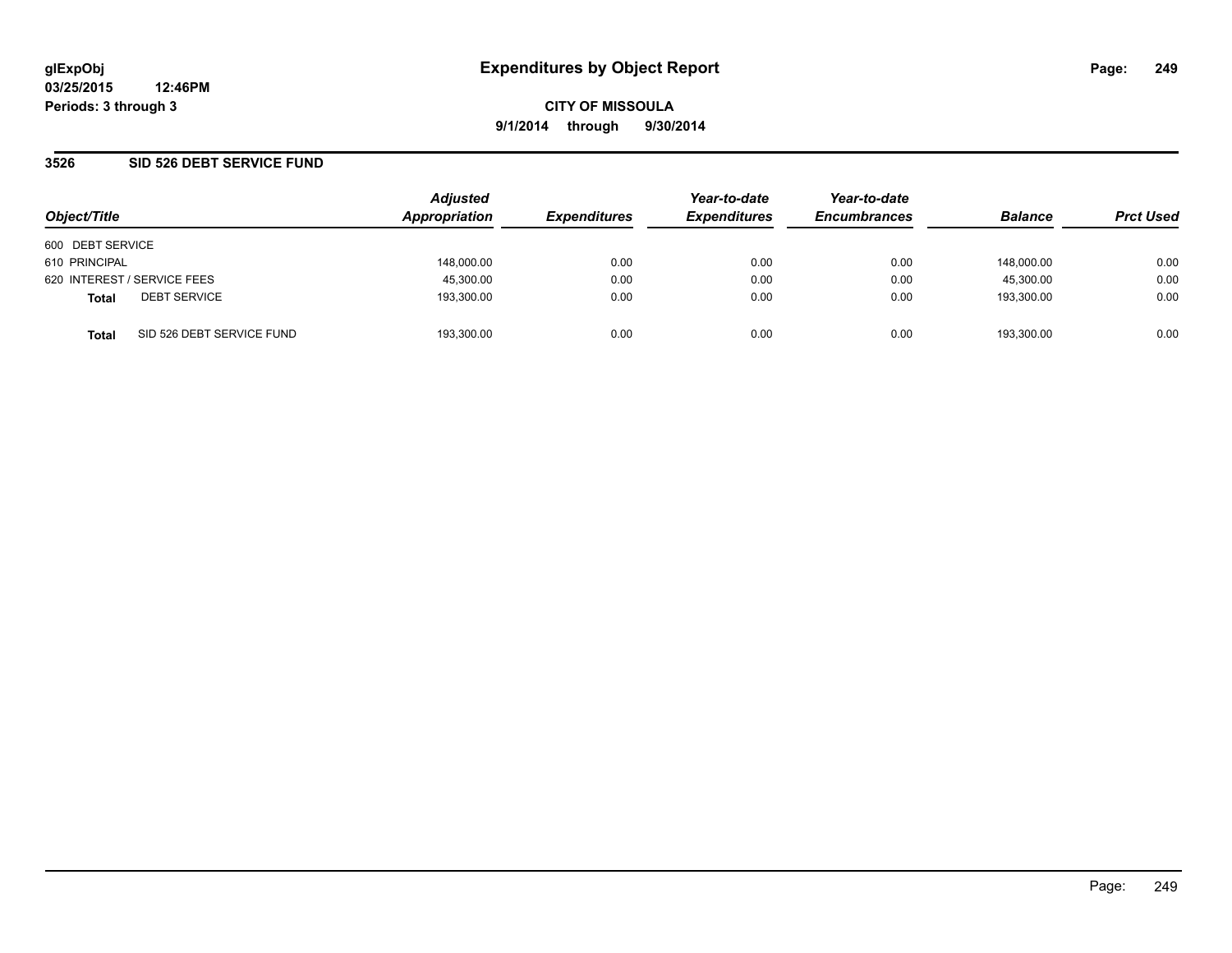**03/25/2015 12:46PM Periods: 3 through 3**

**CITY OF MISSOULA 9/1/2014 through 9/30/2014**

### **3526 SID 526 DEBT SERVICE FUND**

| Object/Title                |                           | <b>Adjusted</b><br>Appropriation | <b>Expenditures</b> | Year-to-date<br><b>Expenditures</b> | Year-to-date<br><b>Encumbrances</b> | <b>Balance</b> | <b>Prct Used</b> |
|-----------------------------|---------------------------|----------------------------------|---------------------|-------------------------------------|-------------------------------------|----------------|------------------|
| 600 DEBT SERVICE            |                           |                                  |                     |                                     |                                     |                |                  |
| 610 PRINCIPAL               |                           | 148,000.00                       | 0.00                | 0.00                                | 0.00                                | 148.000.00     | 0.00             |
| 620 INTEREST / SERVICE FEES |                           | 45,300.00                        | 0.00                | 0.00                                | 0.00                                | 45,300.00      | 0.00             |
| <b>Total</b>                | <b>DEBT SERVICE</b>       | 193,300.00                       | 0.00                | 0.00                                | 0.00                                | 193.300.00     | 0.00             |
| <b>Total</b>                | SID 526 DEBT SERVICE FUND | 193.300.00                       | 0.00                | 0.00                                | 0.00                                | 193.300.00     | 0.00             |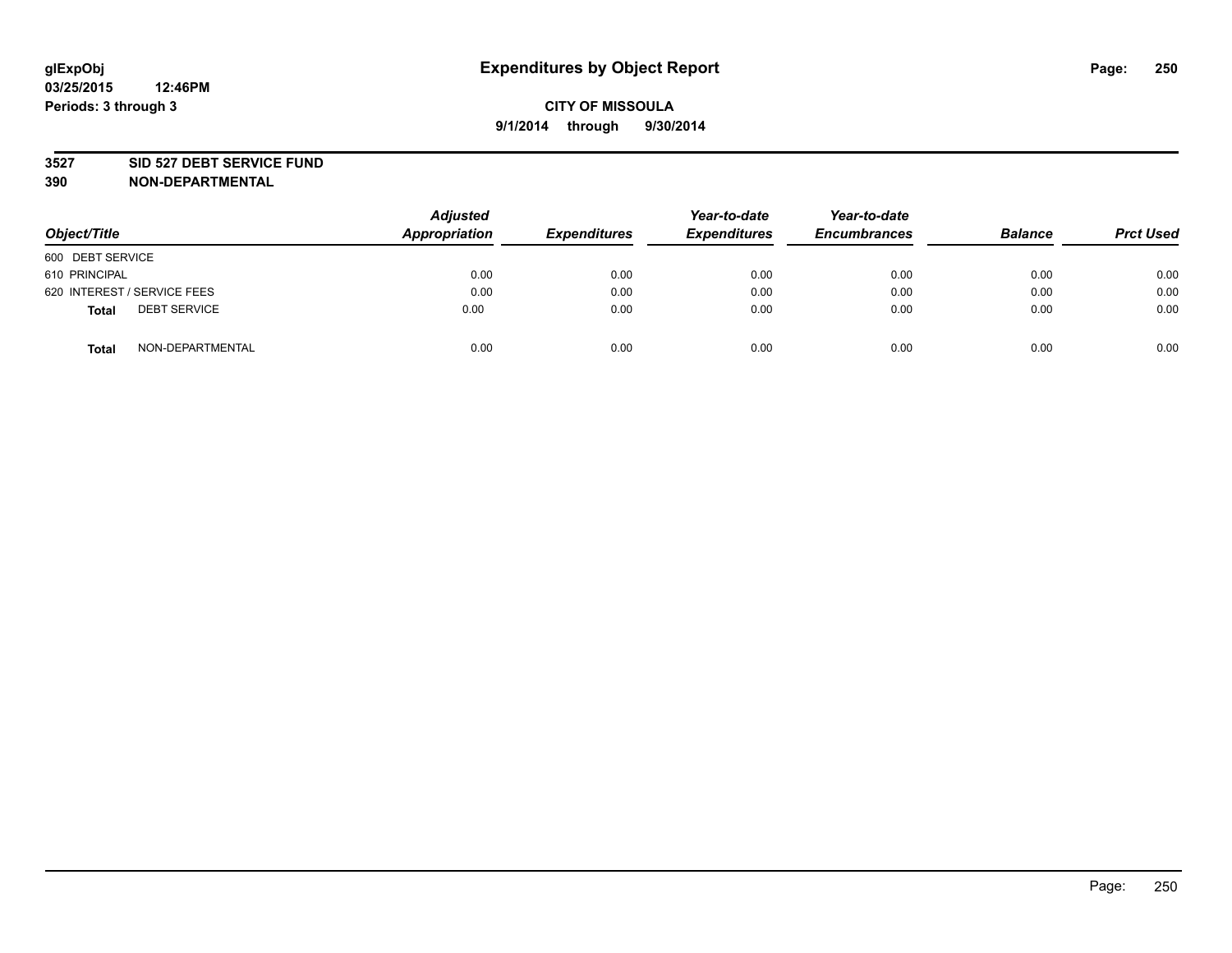#### **3527 SID 527 DEBT SERVICE FUND**

| Object/Title                 | <b>Adjusted</b><br><b>Appropriation</b> | <b>Expenditures</b> | Year-to-date<br><b>Expenditures</b> | Year-to-date<br><b>Encumbrances</b> | <b>Balance</b> | <b>Prct Used</b> |
|------------------------------|-----------------------------------------|---------------------|-------------------------------------|-------------------------------------|----------------|------------------|
| 600 DEBT SERVICE             |                                         |                     |                                     |                                     |                |                  |
| 610 PRINCIPAL                | 0.00                                    | 0.00                | 0.00                                | 0.00                                | 0.00           | 0.00             |
| 620 INTEREST / SERVICE FEES  | 0.00                                    | 0.00                | 0.00                                | 0.00                                | 0.00           | 0.00             |
| <b>DEBT SERVICE</b><br>Total | 0.00                                    | 0.00                | 0.00                                | 0.00                                | 0.00           | 0.00             |
| NON-DEPARTMENTAL<br>Total    | 0.00                                    | 0.00                | 0.00                                | 0.00                                | 0.00           | 0.00             |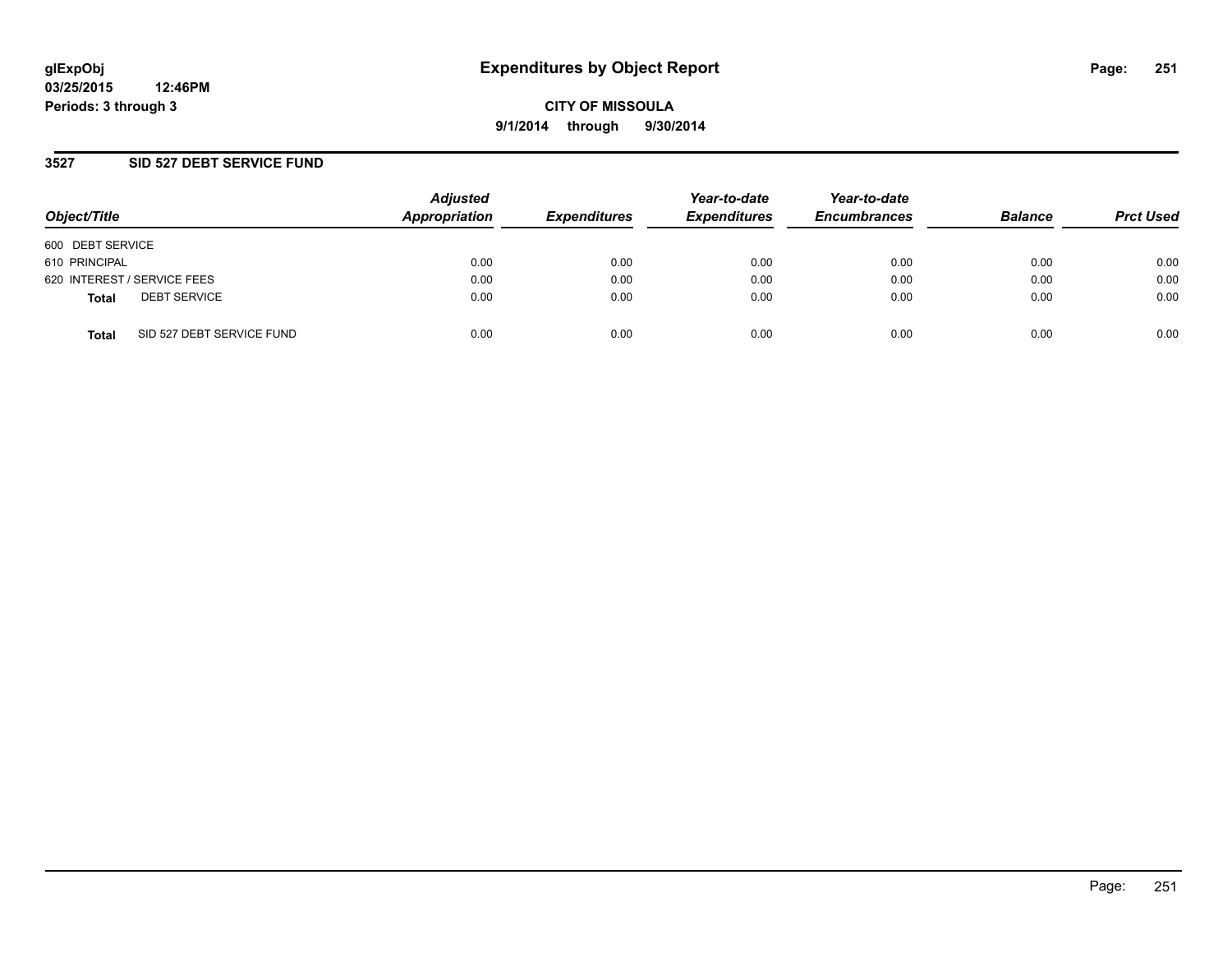### **3527 SID 527 DEBT SERVICE FUND**

| Object/Title                              | <b>Adjusted</b><br>Appropriation | <b>Expenditures</b> | Year-to-date<br><b>Expenditures</b> | Year-to-date<br><b>Encumbrances</b> | <b>Balance</b> | <b>Prct Used</b> |
|-------------------------------------------|----------------------------------|---------------------|-------------------------------------|-------------------------------------|----------------|------------------|
| 600 DEBT SERVICE                          |                                  |                     |                                     |                                     |                |                  |
| 610 PRINCIPAL                             | 0.00                             | 0.00                | 0.00                                | 0.00                                | 0.00           | 0.00             |
| 620 INTEREST / SERVICE FEES               | 0.00                             | 0.00                | 0.00                                | 0.00                                | 0.00           | 0.00             |
| <b>DEBT SERVICE</b><br><b>Total</b>       | 0.00                             | 0.00                | 0.00                                | 0.00                                | 0.00           | 0.00             |
| SID 527 DEBT SERVICE FUND<br><b>Total</b> | 0.00                             | 0.00                | 0.00                                | 0.00                                | 0.00           | 0.00             |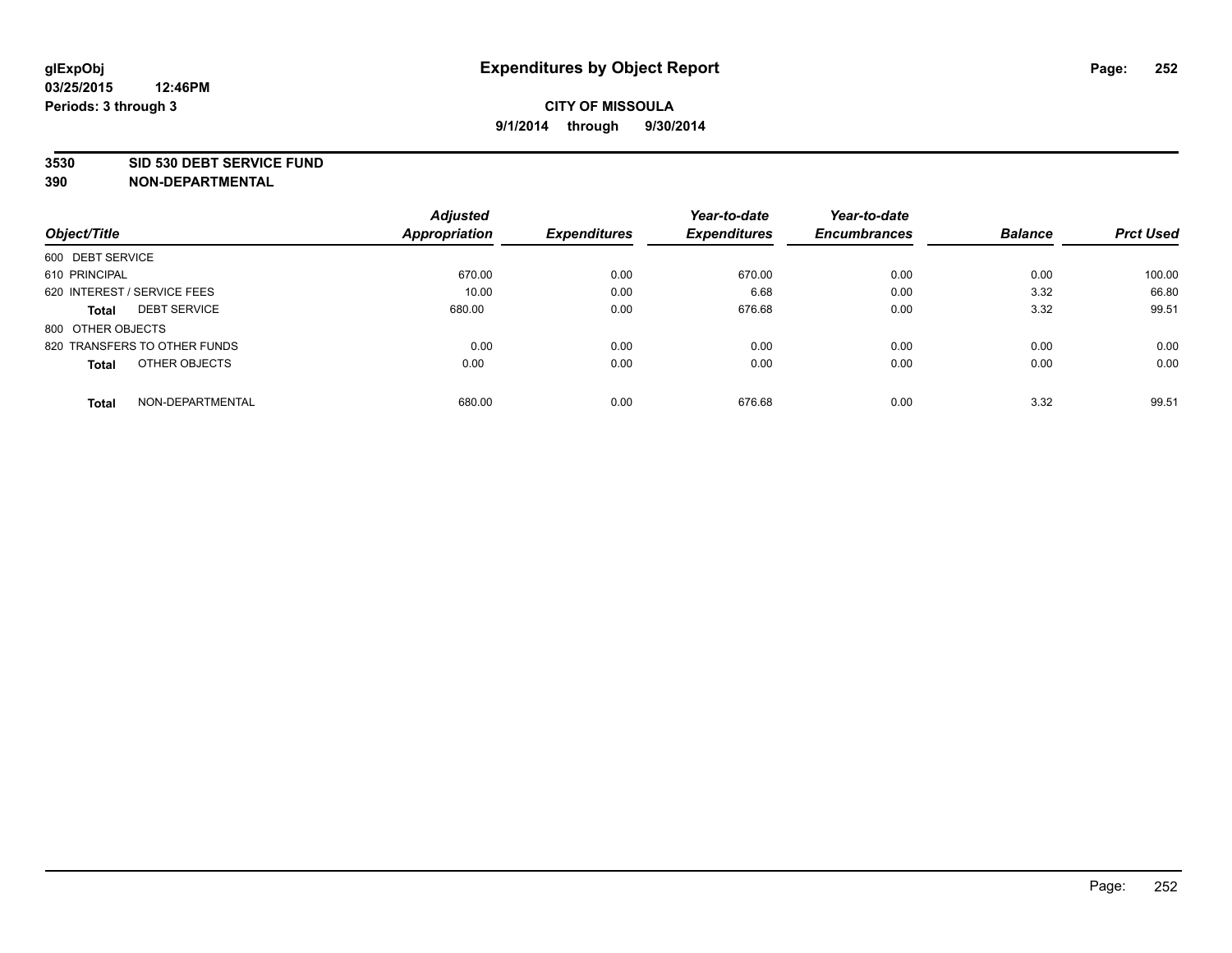#### **3530 SID 530 DEBT SERVICE FUND**

|                                     | <b>Adjusted</b> |                     | Year-to-date        | Year-to-date        |                |                  |
|-------------------------------------|-----------------|---------------------|---------------------|---------------------|----------------|------------------|
| Object/Title                        | Appropriation   | <b>Expenditures</b> | <b>Expenditures</b> | <b>Encumbrances</b> | <b>Balance</b> | <b>Prct Used</b> |
| 600 DEBT SERVICE                    |                 |                     |                     |                     |                |                  |
| 610 PRINCIPAL                       | 670.00          | 0.00                | 670.00              | 0.00                | 0.00           | 100.00           |
| 620 INTEREST / SERVICE FEES         | 10.00           | 0.00                | 6.68                | 0.00                | 3.32           | 66.80            |
| <b>DEBT SERVICE</b><br><b>Total</b> | 680.00          | 0.00                | 676.68              | 0.00                | 3.32           | 99.51            |
| 800 OTHER OBJECTS                   |                 |                     |                     |                     |                |                  |
| 820 TRANSFERS TO OTHER FUNDS        | 0.00            | 0.00                | 0.00                | 0.00                | 0.00           | 0.00             |
| OTHER OBJECTS<br><b>Total</b>       | 0.00            | 0.00                | 0.00                | 0.00                | 0.00           | 0.00             |
| NON-DEPARTMENTAL<br>Total           | 680.00          | 0.00                | 676.68              | 0.00                | 3.32           | 99.51            |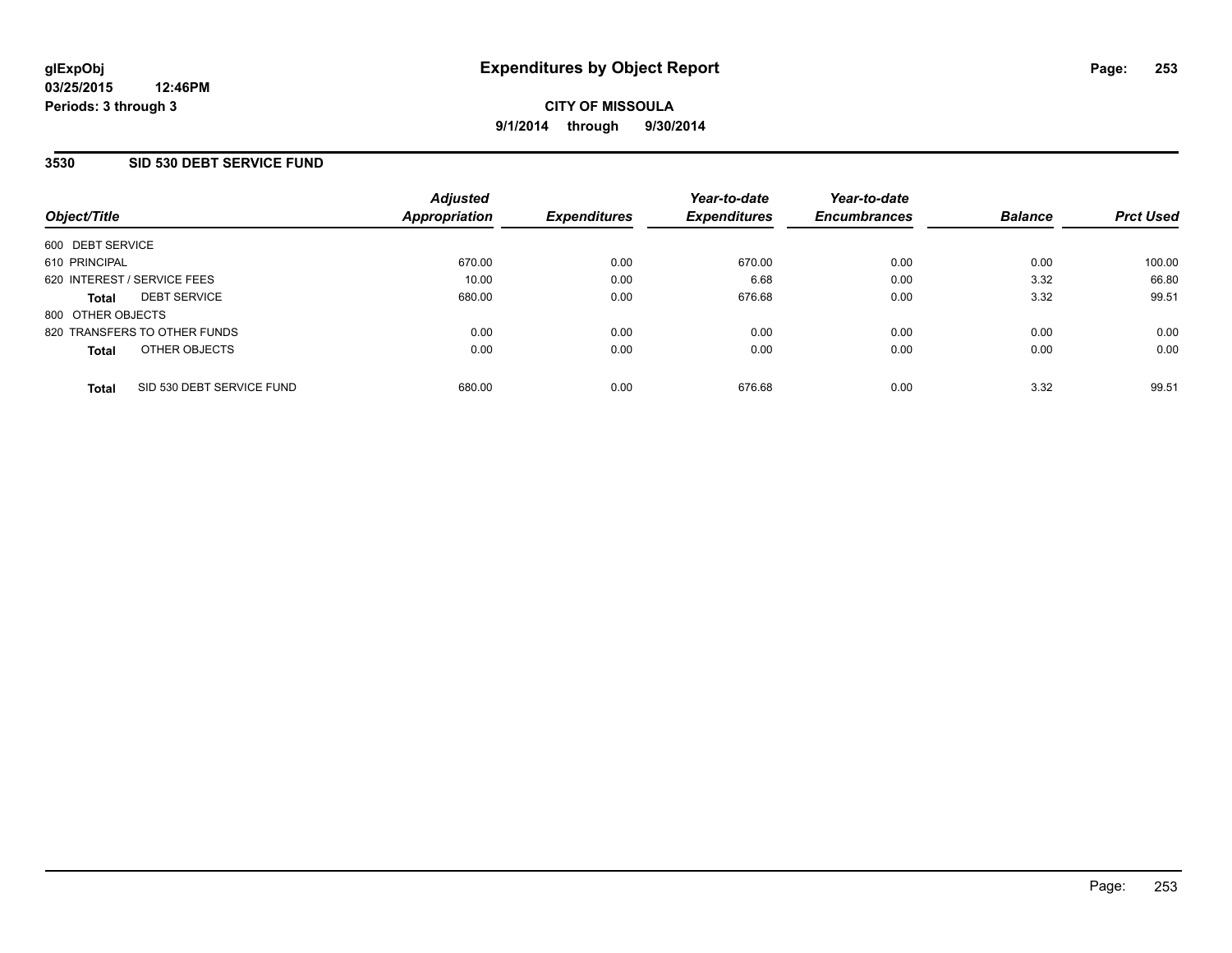## **3530 SID 530 DEBT SERVICE FUND**

| Object/Title                 |                           | <b>Adjusted</b><br>Appropriation | <b>Expenditures</b> | Year-to-date<br><b>Expenditures</b> | Year-to-date<br><b>Encumbrances</b> | <b>Balance</b> | <b>Prct Used</b> |
|------------------------------|---------------------------|----------------------------------|---------------------|-------------------------------------|-------------------------------------|----------------|------------------|
|                              |                           |                                  |                     |                                     |                                     |                |                  |
| 600 DEBT SERVICE             |                           |                                  |                     |                                     |                                     |                |                  |
| 610 PRINCIPAL                |                           | 670.00                           | 0.00                | 670.00                              | 0.00                                | 0.00           | 100.00           |
| 620 INTEREST / SERVICE FEES  |                           | 10.00                            | 0.00                | 6.68                                | 0.00                                | 3.32           | 66.80            |
| <b>Total</b>                 | <b>DEBT SERVICE</b>       | 680.00                           | 0.00                | 676.68                              | 0.00                                | 3.32           | 99.51            |
| 800 OTHER OBJECTS            |                           |                                  |                     |                                     |                                     |                |                  |
| 820 TRANSFERS TO OTHER FUNDS |                           | 0.00                             | 0.00                | 0.00                                | 0.00                                | 0.00           | 0.00             |
| <b>Total</b>                 | OTHER OBJECTS             | 0.00                             | 0.00                | 0.00                                | 0.00                                | 0.00           | 0.00             |
| <b>Total</b>                 | SID 530 DEBT SERVICE FUND | 680.00                           | 0.00                | 676.68                              | 0.00                                | 3.32           | 99.51            |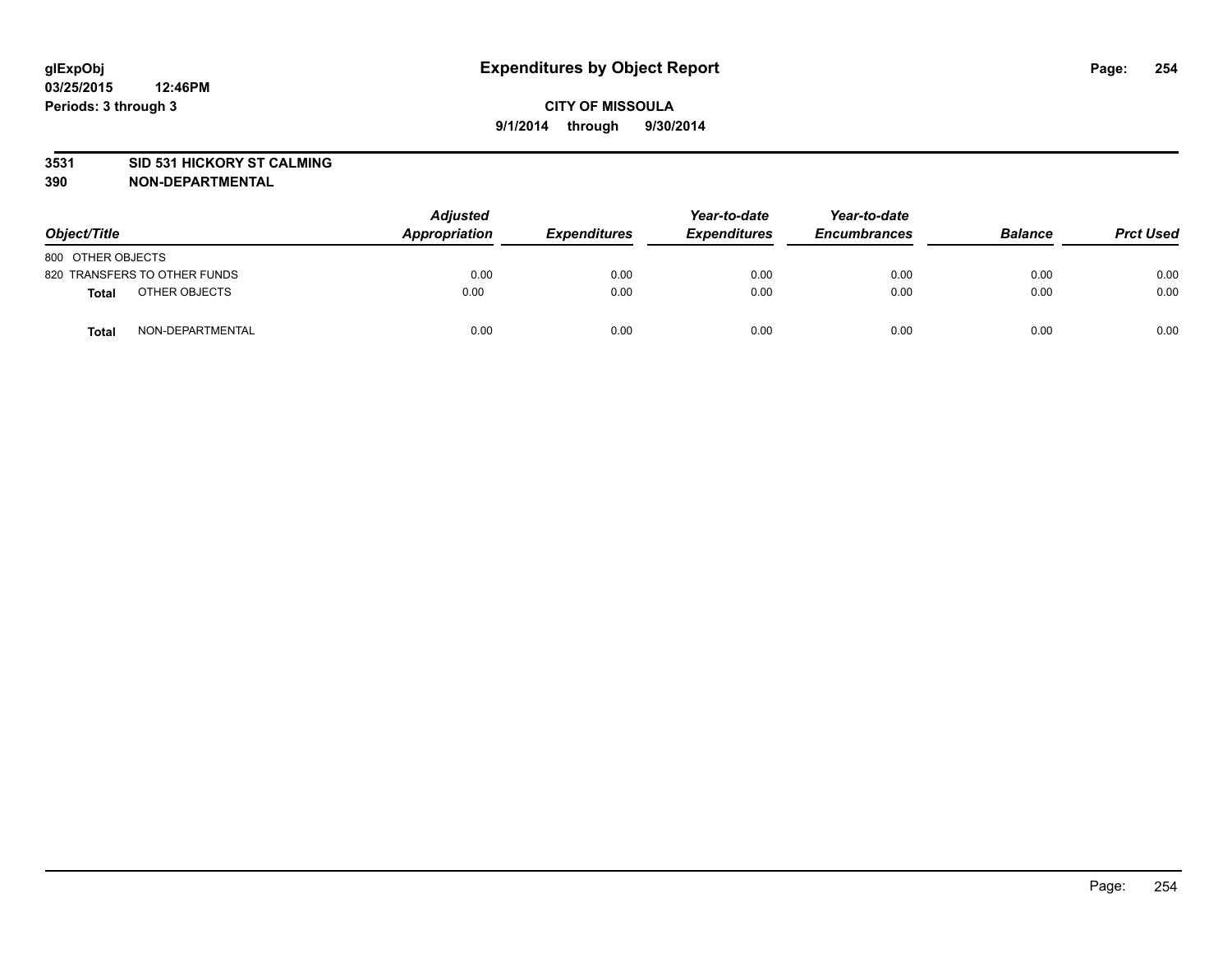### **3531 SID 531 HICKORY ST CALMING**

| Object/Title      |                              | <b>Adjusted</b><br>Appropriation | <b>Expenditures</b> | Year-to-date<br><b>Expenditures</b> | Year-to-date<br><b>Encumbrances</b> | <b>Balance</b> | <b>Prct Used</b> |
|-------------------|------------------------------|----------------------------------|---------------------|-------------------------------------|-------------------------------------|----------------|------------------|
| 800 OTHER OBJECTS |                              |                                  |                     |                                     |                                     |                |                  |
|                   | 820 TRANSFERS TO OTHER FUNDS | 0.00                             | 0.00                | 0.00                                | 0.00                                | 0.00           | 0.00             |
| Total             | OTHER OBJECTS                | 0.00                             | 0.00                | 0.00                                | 0.00                                | 0.00           | 0.00             |
| <b>Total</b>      | NON-DEPARTMENTAL             | 0.00                             | 0.00                | 0.00                                | 0.00                                | 0.00           | 0.00             |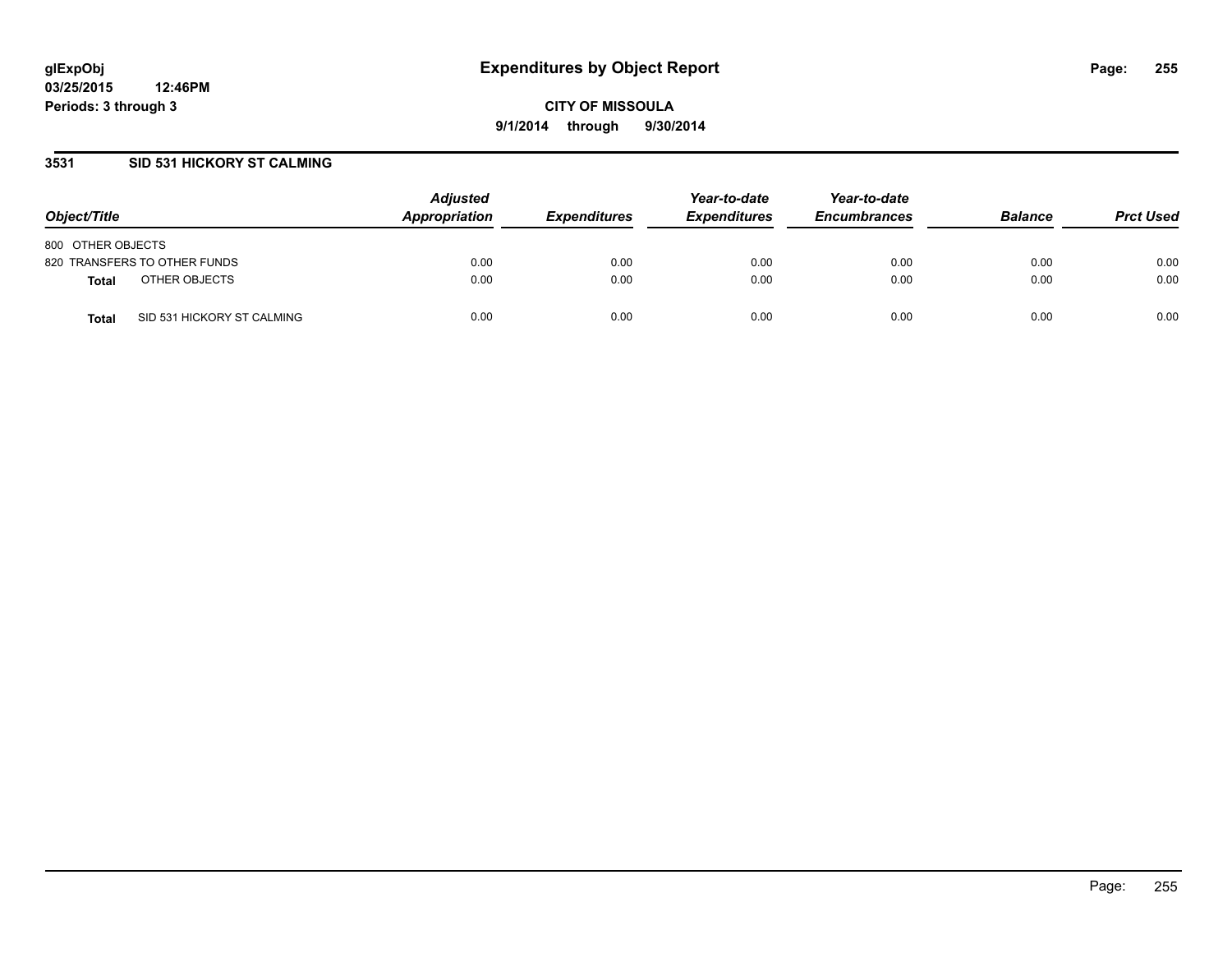## **3531 SID 531 HICKORY ST CALMING**

| Object/Title                               | <b>Adjusted</b><br>Appropriation | <b>Expenditures</b> | Year-to-date<br><b>Expenditures</b> | Year-to-date<br><b>Encumbrances</b> | <b>Balance</b> | <b>Prct Used</b> |
|--------------------------------------------|----------------------------------|---------------------|-------------------------------------|-------------------------------------|----------------|------------------|
| 800 OTHER OBJECTS                          |                                  |                     |                                     |                                     |                |                  |
| 820 TRANSFERS TO OTHER FUNDS               | 0.00                             | 0.00                | 0.00                                | 0.00                                | 0.00           | 0.00             |
| OTHER OBJECTS<br><b>Total</b>              | 0.00                             | 0.00                | 0.00                                | 0.00                                | 0.00           | 0.00             |
| SID 531 HICKORY ST CALMING<br><b>Total</b> | 0.00                             | 0.00                | 0.00                                | 0.00                                | 0.00           | 0.00             |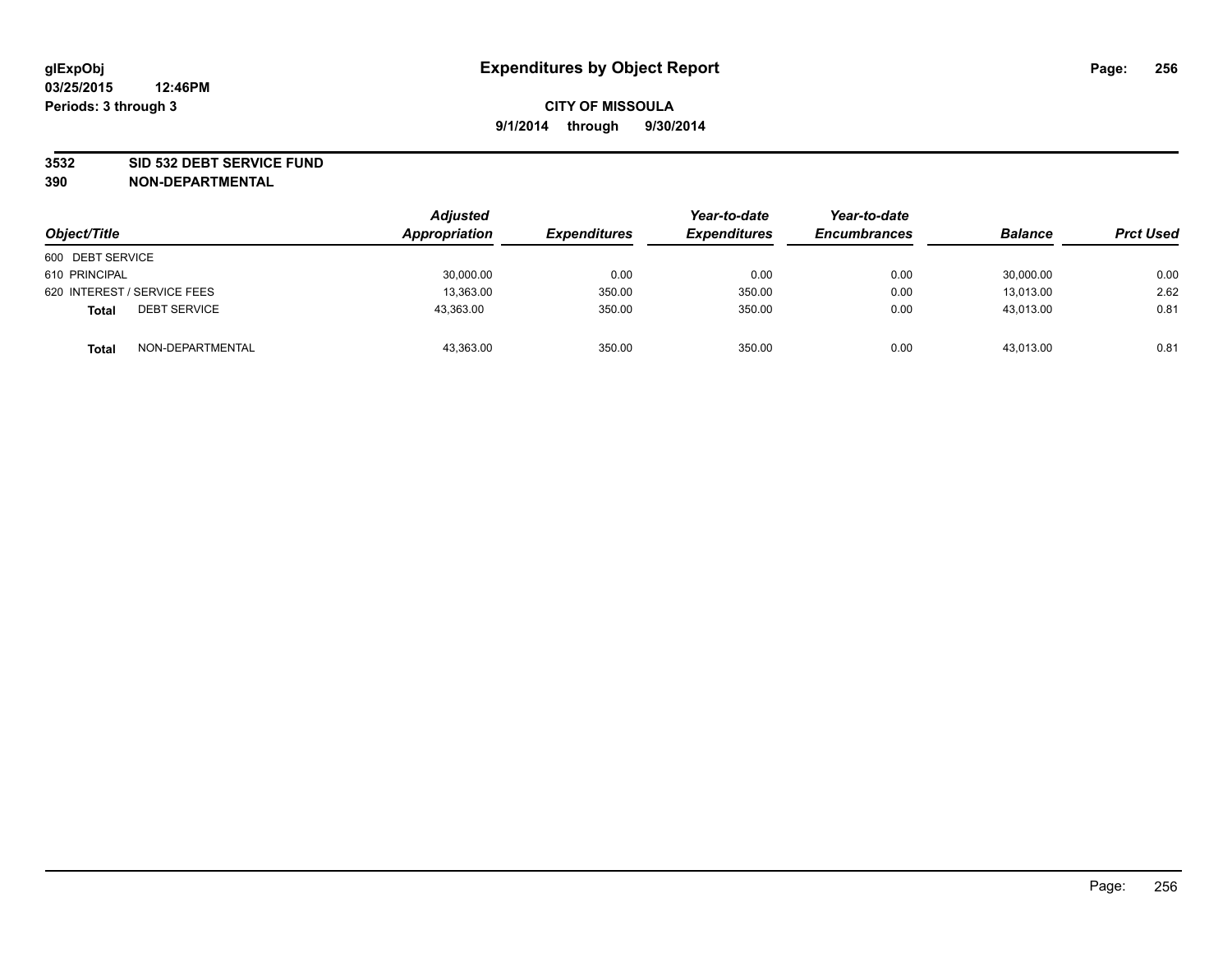### **3532 SID 532 DEBT SERVICE FUND**

| Object/Title                        | <b>Adjusted</b><br>Appropriation | <b>Expenditures</b> | Year-to-date<br><b>Expenditures</b> | Year-to-date<br><b>Encumbrances</b> | <b>Balance</b> | <b>Prct Used</b> |
|-------------------------------------|----------------------------------|---------------------|-------------------------------------|-------------------------------------|----------------|------------------|
| 600 DEBT SERVICE                    |                                  |                     |                                     |                                     |                |                  |
| 610 PRINCIPAL                       | 30,000.00                        | 0.00                | 0.00                                | 0.00                                | 30,000.00      | 0.00             |
| 620 INTEREST / SERVICE FEES         | 13,363.00                        | 350.00              | 350.00                              | 0.00                                | 13,013.00      | 2.62             |
| <b>DEBT SERVICE</b><br><b>Total</b> | 43,363.00                        | 350.00              | 350.00                              | 0.00                                | 43,013.00      | 0.81             |
| NON-DEPARTMENTAL<br><b>Total</b>    | 43,363.00                        | 350.00              | 350.00                              | 0.00                                | 43,013.00      | 0.81             |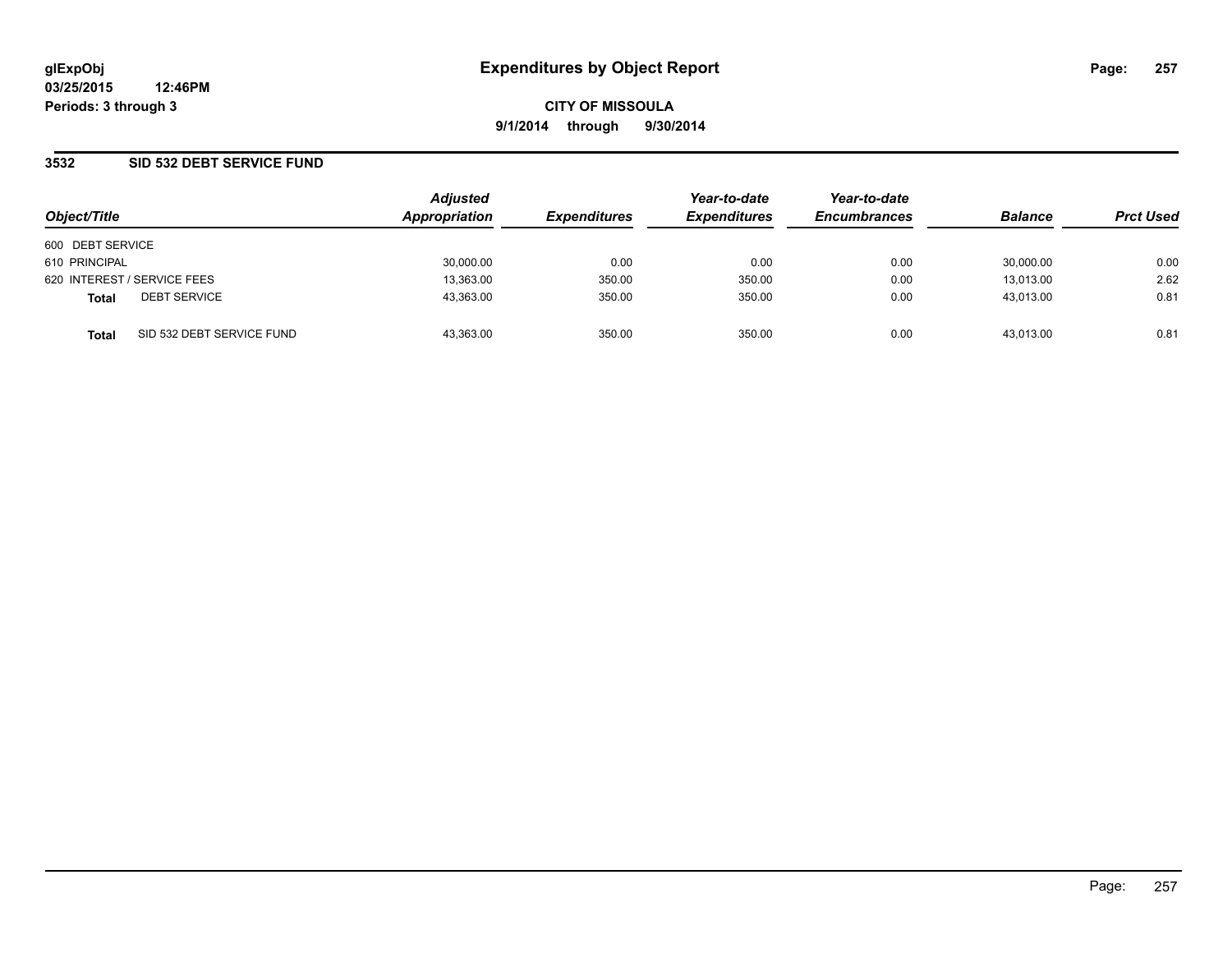**CITY OF MISSOULA 9/1/2014 through 9/30/2014**

## **3532 SID 532 DEBT SERVICE FUND**

| Object/Title                              | <b>Adjusted</b><br>Appropriation | <b>Expenditures</b> | Year-to-date<br><b>Expenditures</b> | Year-to-date<br><b>Encumbrances</b> | <b>Balance</b> | <b>Prct Used</b> |
|-------------------------------------------|----------------------------------|---------------------|-------------------------------------|-------------------------------------|----------------|------------------|
| 600 DEBT SERVICE                          |                                  |                     |                                     |                                     |                |                  |
| 610 PRINCIPAL                             | 30,000.00                        | 0.00                | 0.00                                | 0.00                                | 30,000.00      | 0.00             |
| 620 INTEREST / SERVICE FEES               | 13,363.00                        | 350.00              | 350.00                              | 0.00                                | 13.013.00      | 2.62             |
| <b>DEBT SERVICE</b><br><b>Total</b>       | 43,363.00                        | 350.00              | 350.00                              | 0.00                                | 43.013.00      | 0.81             |
| SID 532 DEBT SERVICE FUND<br><b>Total</b> | 43.363.00                        | 350.00              | 350.00                              | 0.00                                | 43.013.00      | 0.81             |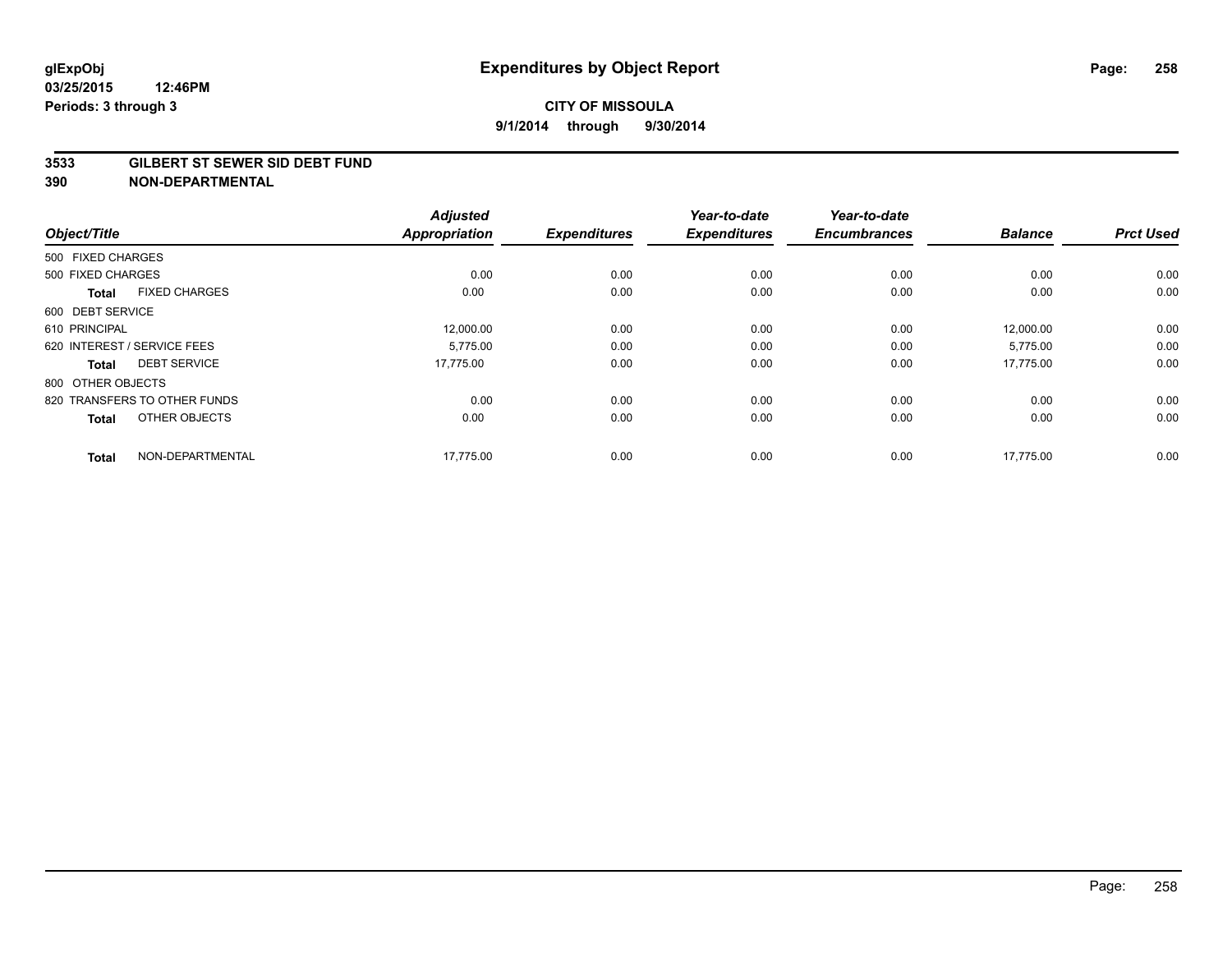#### **3533 GILBERT ST SEWER SID DEBT FUND**

| Object/Title      |                              | <b>Adjusted</b><br><b>Appropriation</b> | <b>Expenditures</b> | Year-to-date<br><b>Expenditures</b> | Year-to-date<br><b>Encumbrances</b> | <b>Balance</b> | <b>Prct Used</b> |
|-------------------|------------------------------|-----------------------------------------|---------------------|-------------------------------------|-------------------------------------|----------------|------------------|
| 500 FIXED CHARGES |                              |                                         |                     |                                     |                                     |                |                  |
| 500 FIXED CHARGES |                              | 0.00                                    | 0.00                | 0.00                                | 0.00                                | 0.00           | 0.00             |
| <b>Total</b>      | <b>FIXED CHARGES</b>         | 0.00                                    | 0.00                | 0.00                                | 0.00                                | 0.00           | 0.00             |
| 600 DEBT SERVICE  |                              |                                         |                     |                                     |                                     |                |                  |
| 610 PRINCIPAL     |                              | 12,000.00                               | 0.00                | 0.00                                | 0.00                                | 12,000.00      | 0.00             |
|                   | 620 INTEREST / SERVICE FEES  | 5.775.00                                | 0.00                | 0.00                                | 0.00                                | 5,775.00       | 0.00             |
| <b>Total</b>      | <b>DEBT SERVICE</b>          | 17,775.00                               | 0.00                | 0.00                                | 0.00                                | 17,775.00      | 0.00             |
| 800 OTHER OBJECTS |                              |                                         |                     |                                     |                                     |                |                  |
|                   | 820 TRANSFERS TO OTHER FUNDS | 0.00                                    | 0.00                | 0.00                                | 0.00                                | 0.00           | 0.00             |
| <b>Total</b>      | OTHER OBJECTS                | 0.00                                    | 0.00                | 0.00                                | 0.00                                | 0.00           | 0.00             |
| <b>Total</b>      | NON-DEPARTMENTAL             | 17,775.00                               | 0.00                | 0.00                                | 0.00                                | 17,775.00      | 0.00             |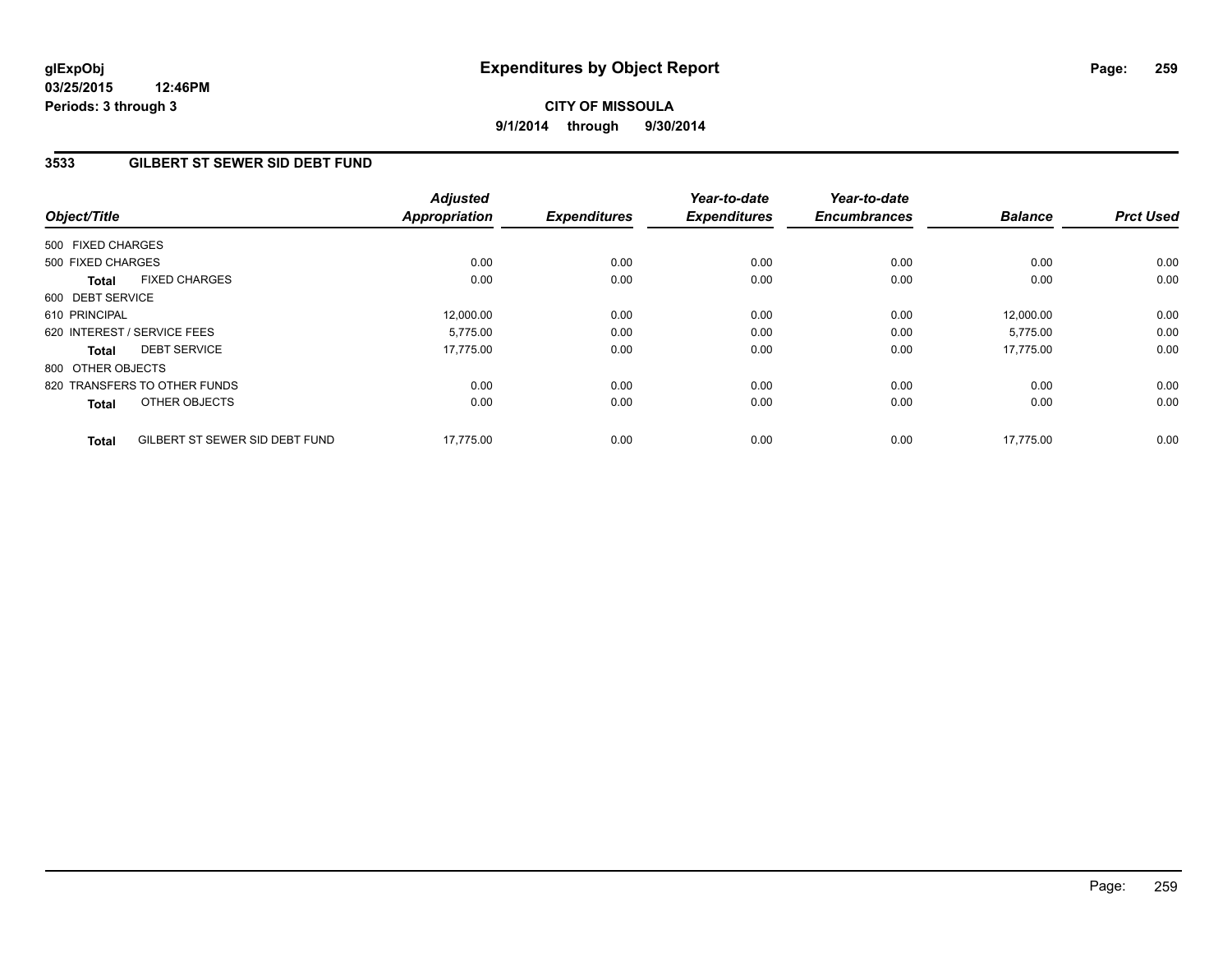# **CITY OF MISSOULA 9/1/2014 through 9/30/2014**

## **3533 GILBERT ST SEWER SID DEBT FUND**

| Object/Title                                   | <b>Adjusted</b><br>Appropriation | <b>Expenditures</b> | Year-to-date<br><b>Expenditures</b> | Year-to-date<br><b>Encumbrances</b> | <b>Balance</b> | <b>Prct Used</b> |
|------------------------------------------------|----------------------------------|---------------------|-------------------------------------|-------------------------------------|----------------|------------------|
| 500 FIXED CHARGES                              |                                  |                     |                                     |                                     |                |                  |
| 500 FIXED CHARGES                              | 0.00                             | 0.00                | 0.00                                | 0.00                                | 0.00           | 0.00             |
| <b>FIXED CHARGES</b><br>Total                  | 0.00                             | 0.00                | 0.00                                | 0.00                                | 0.00           | 0.00             |
| 600 DEBT SERVICE                               |                                  |                     |                                     |                                     |                |                  |
| 610 PRINCIPAL                                  | 12,000.00                        | 0.00                | 0.00                                | 0.00                                | 12.000.00      | 0.00             |
| 620 INTEREST / SERVICE FEES                    | 5.775.00                         | 0.00                | 0.00                                | 0.00                                | 5,775.00       | 0.00             |
| <b>DEBT SERVICE</b><br>Total                   | 17.775.00                        | 0.00                | 0.00                                | 0.00                                | 17.775.00      | 0.00             |
| 800 OTHER OBJECTS                              |                                  |                     |                                     |                                     |                |                  |
| 820 TRANSFERS TO OTHER FUNDS                   | 0.00                             | 0.00                | 0.00                                | 0.00                                | 0.00           | 0.00             |
| OTHER OBJECTS<br><b>Total</b>                  | 0.00                             | 0.00                | 0.00                                | 0.00                                | 0.00           | 0.00             |
| GILBERT ST SEWER SID DEBT FUND<br><b>Total</b> | 17,775.00                        | 0.00                | 0.00                                | 0.00                                | 17,775.00      | 0.00             |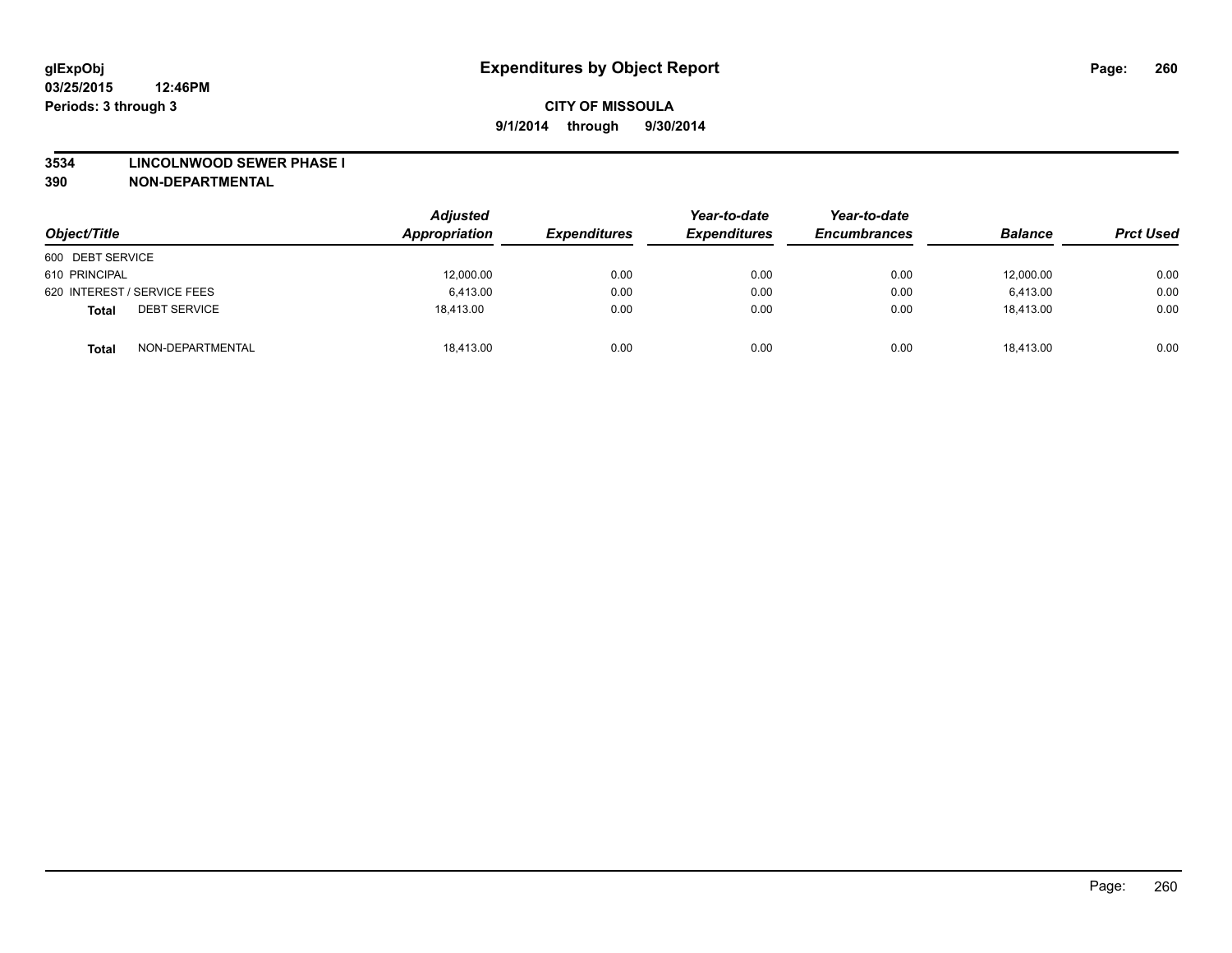#### **3534 LINCOLNWOOD SEWER PHASE I**

| Object/Title                        | <b>Adjusted</b><br>Appropriation | <b>Expenditures</b> | Year-to-date<br><b>Expenditures</b> | Year-to-date<br><b>Encumbrances</b> | <b>Balance</b> | <b>Prct Used</b> |
|-------------------------------------|----------------------------------|---------------------|-------------------------------------|-------------------------------------|----------------|------------------|
| 600 DEBT SERVICE                    |                                  |                     |                                     |                                     |                |                  |
| 610 PRINCIPAL                       | 12,000.00                        | 0.00                | 0.00                                | 0.00                                | 12,000.00      | 0.00             |
| 620 INTEREST / SERVICE FEES         | 6.413.00                         | 0.00                | 0.00                                | 0.00                                | 6.413.00       | 0.00             |
| <b>DEBT SERVICE</b><br><b>Total</b> | 18.413.00                        | 0.00                | 0.00                                | 0.00                                | 18.413.00      | 0.00             |
| NON-DEPARTMENTAL<br><b>Total</b>    | 18,413.00                        | 0.00                | 0.00                                | 0.00                                | 18.413.00      | 0.00             |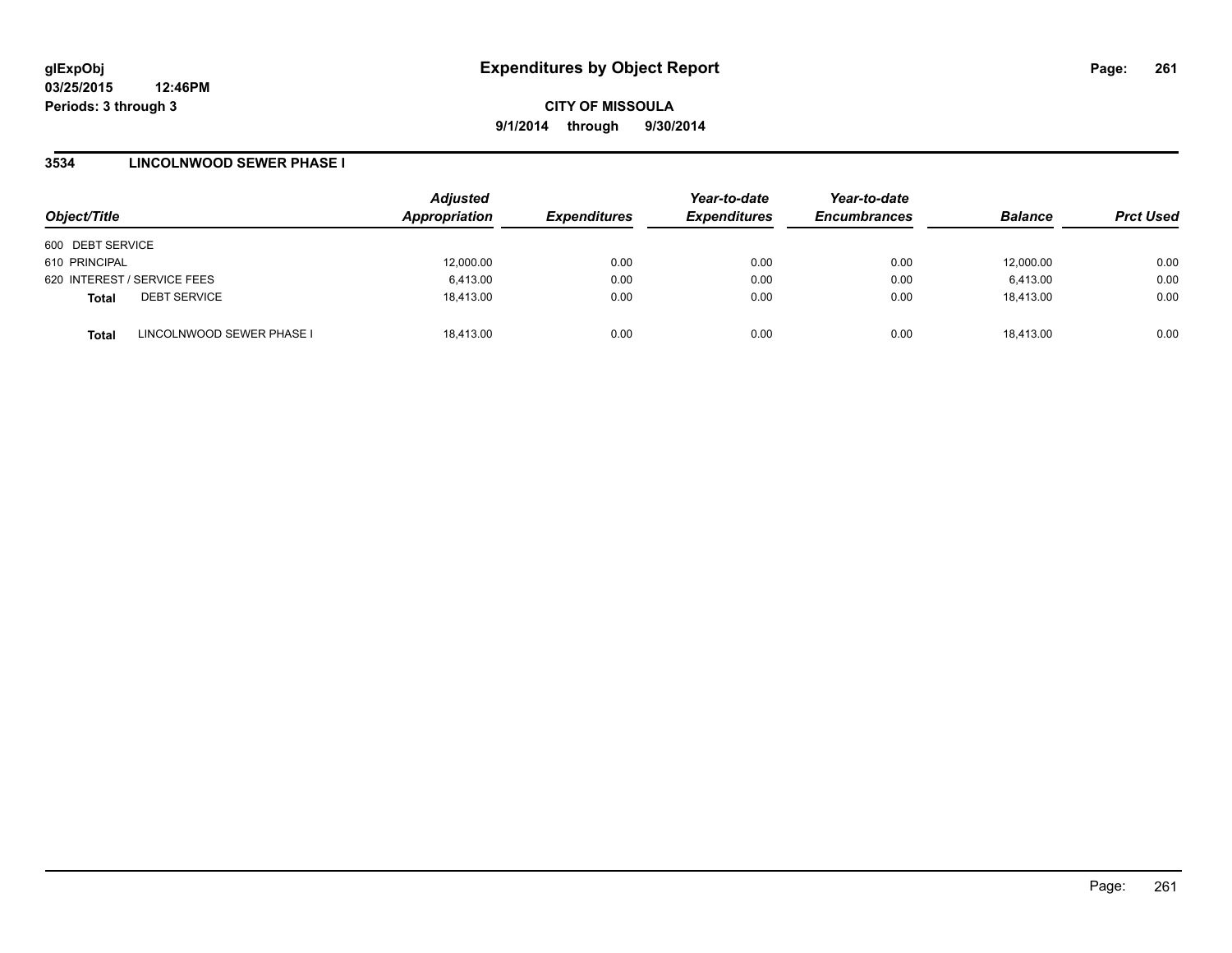### **3534 LINCOLNWOOD SEWER PHASE I**

| Object/Title     |                             | <b>Adjusted</b><br>Appropriation | <b>Expenditures</b> | Year-to-date<br><b>Expenditures</b> | Year-to-date<br><b>Encumbrances</b> | <b>Balance</b> | <b>Prct Used</b> |
|------------------|-----------------------------|----------------------------------|---------------------|-------------------------------------|-------------------------------------|----------------|------------------|
| 600 DEBT SERVICE |                             |                                  |                     |                                     |                                     |                |                  |
| 610 PRINCIPAL    |                             | 12,000.00                        | 0.00                | 0.00                                | 0.00                                | 12,000.00      | 0.00             |
|                  | 620 INTEREST / SERVICE FEES | 6,413.00                         | 0.00                | 0.00                                | 0.00                                | 6,413.00       | 0.00             |
| <b>Total</b>     | <b>DEBT SERVICE</b>         | 18,413.00                        | 0.00                | 0.00                                | 0.00                                | 18,413.00      | 0.00             |
| <b>Total</b>     | LINCOLNWOOD SEWER PHASE I   | 18,413.00                        | 0.00                | 0.00                                | 0.00                                | 18,413.00      | 0.00             |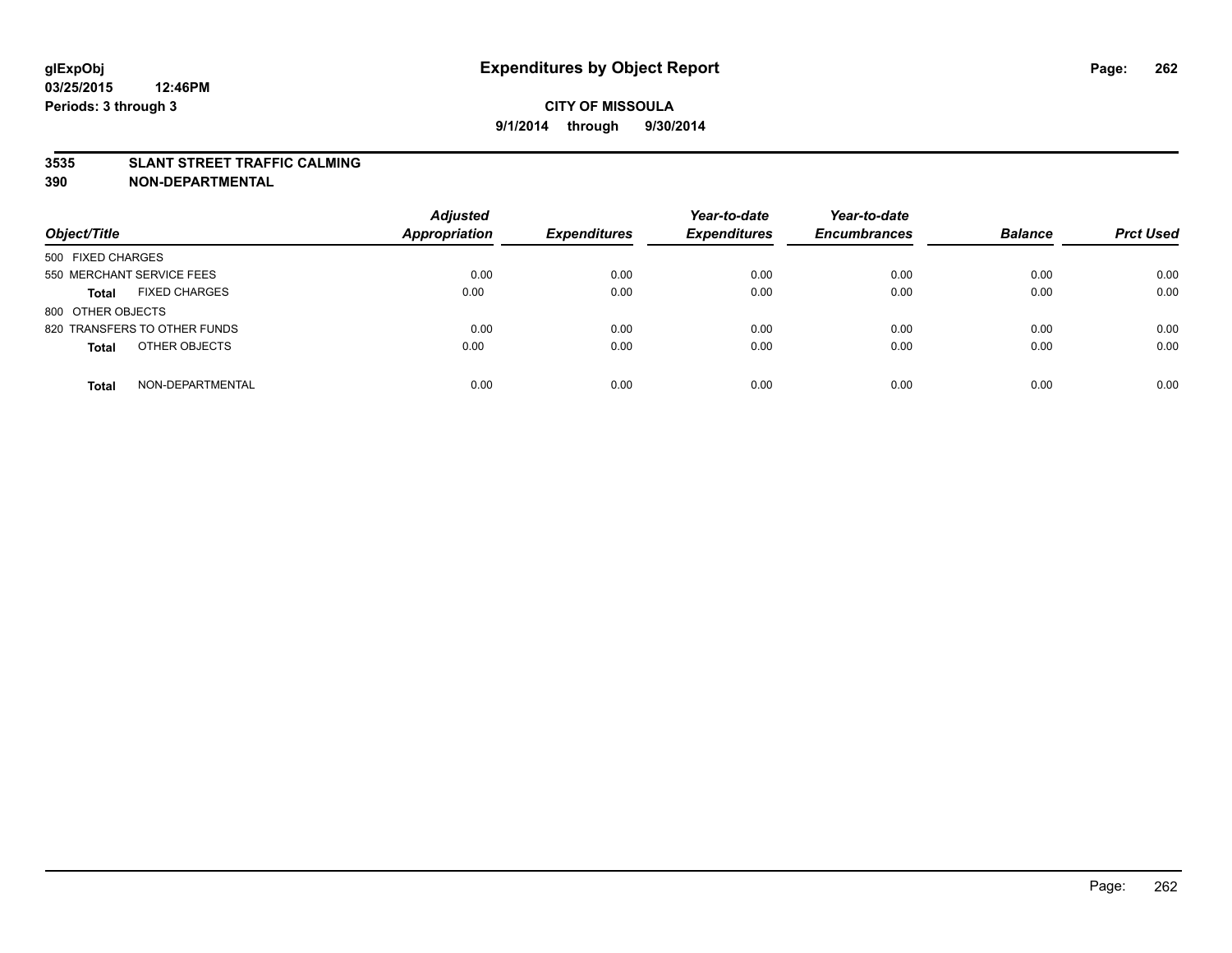### **3535 SLANT STREET TRAFFIC CALMING**

| Object/Title                         | <b>Adjusted</b><br><b>Appropriation</b> | <b>Expenditures</b> | Year-to-date<br><b>Expenditures</b> | Year-to-date<br><b>Encumbrances</b> | <b>Balance</b> | <b>Prct Used</b> |
|--------------------------------------|-----------------------------------------|---------------------|-------------------------------------|-------------------------------------|----------------|------------------|
|                                      |                                         |                     |                                     |                                     |                |                  |
| 500 FIXED CHARGES                    |                                         |                     |                                     |                                     |                |                  |
| 550 MERCHANT SERVICE FEES            | 0.00                                    | 0.00                | 0.00                                | 0.00                                | 0.00           | 0.00             |
| <b>FIXED CHARGES</b><br><b>Total</b> | 0.00                                    | 0.00                | 0.00                                | 0.00                                | 0.00           | 0.00             |
| 800 OTHER OBJECTS                    |                                         |                     |                                     |                                     |                |                  |
| 820 TRANSFERS TO OTHER FUNDS         | 0.00                                    | 0.00                | 0.00                                | 0.00                                | 0.00           | 0.00             |
| OTHER OBJECTS<br><b>Total</b>        | 0.00                                    | 0.00                | 0.00                                | 0.00                                | 0.00           | 0.00             |
|                                      |                                         |                     |                                     |                                     |                |                  |
| NON-DEPARTMENTAL<br><b>Total</b>     | 0.00                                    | 0.00                | 0.00                                | 0.00                                | 0.00           | 0.00             |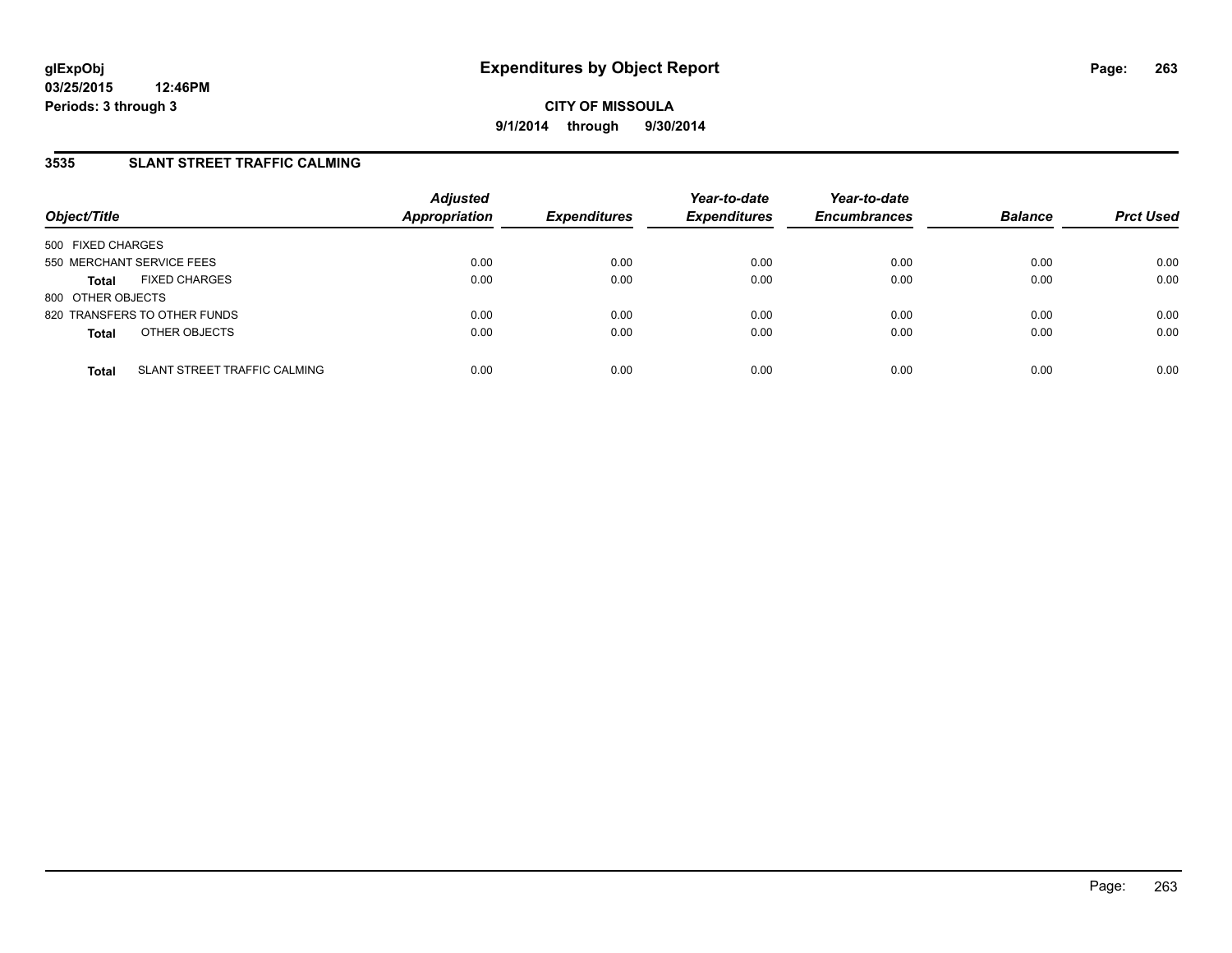## **3535 SLANT STREET TRAFFIC CALMING**

| Object/Title              |                              | <b>Adjusted</b><br>Appropriation | <b>Expenditures</b> | Year-to-date<br><b>Expenditures</b> | Year-to-date<br><b>Encumbrances</b> | <b>Balance</b> | <b>Prct Used</b> |
|---------------------------|------------------------------|----------------------------------|---------------------|-------------------------------------|-------------------------------------|----------------|------------------|
| 500 FIXED CHARGES         |                              |                                  |                     |                                     |                                     |                |                  |
| 550 MERCHANT SERVICE FEES |                              | 0.00                             | 0.00                | 0.00                                | 0.00                                | 0.00           | 0.00             |
| <b>Total</b>              | <b>FIXED CHARGES</b>         | 0.00                             | 0.00                | 0.00                                | 0.00                                | 0.00           | 0.00             |
| 800 OTHER OBJECTS         |                              |                                  |                     |                                     |                                     |                |                  |
|                           | 820 TRANSFERS TO OTHER FUNDS | 0.00                             | 0.00                | 0.00                                | 0.00                                | 0.00           | 0.00             |
| <b>Total</b>              | OTHER OBJECTS                | 0.00                             | 0.00                | 0.00                                | 0.00                                | 0.00           | 0.00             |
| <b>Total</b>              | SLANT STREET TRAFFIC CALMING | 0.00                             | 0.00                | 0.00                                | 0.00                                | 0.00           | 0.00             |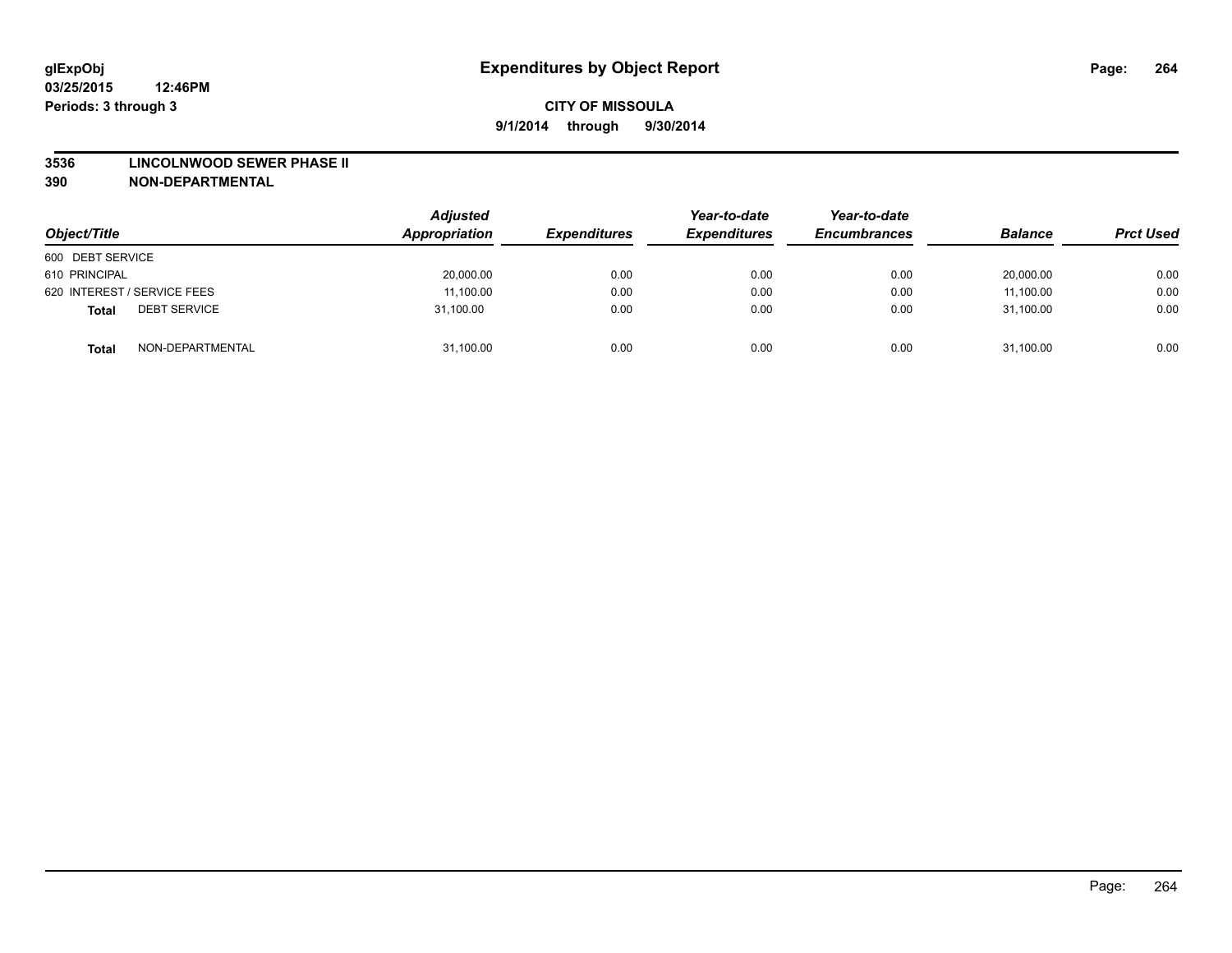#### **3536 LINCOLNWOOD SEWER PHASE II**

| Object/Title                        | <b>Adjusted</b><br>Appropriation | <b>Expenditures</b> | Year-to-date<br><b>Expenditures</b> | Year-to-date<br><b>Encumbrances</b> | <b>Balance</b> | <b>Prct Used</b> |
|-------------------------------------|----------------------------------|---------------------|-------------------------------------|-------------------------------------|----------------|------------------|
| 600 DEBT SERVICE                    |                                  |                     |                                     |                                     |                |                  |
| 610 PRINCIPAL                       | 20,000.00                        | 0.00                | 0.00                                | 0.00                                | 20,000.00      | 0.00             |
| 620 INTEREST / SERVICE FEES         | 11,100.00                        | 0.00                | 0.00                                | 0.00                                | 11,100.00      | 0.00             |
| <b>DEBT SERVICE</b><br><b>Total</b> | 31,100.00                        | 0.00                | 0.00                                | 0.00                                | 31,100.00      | 0.00             |
| NON-DEPARTMENTAL<br><b>Total</b>    | 31,100.00                        | 0.00                | 0.00                                | 0.00                                | 31,100.00      | 0.00             |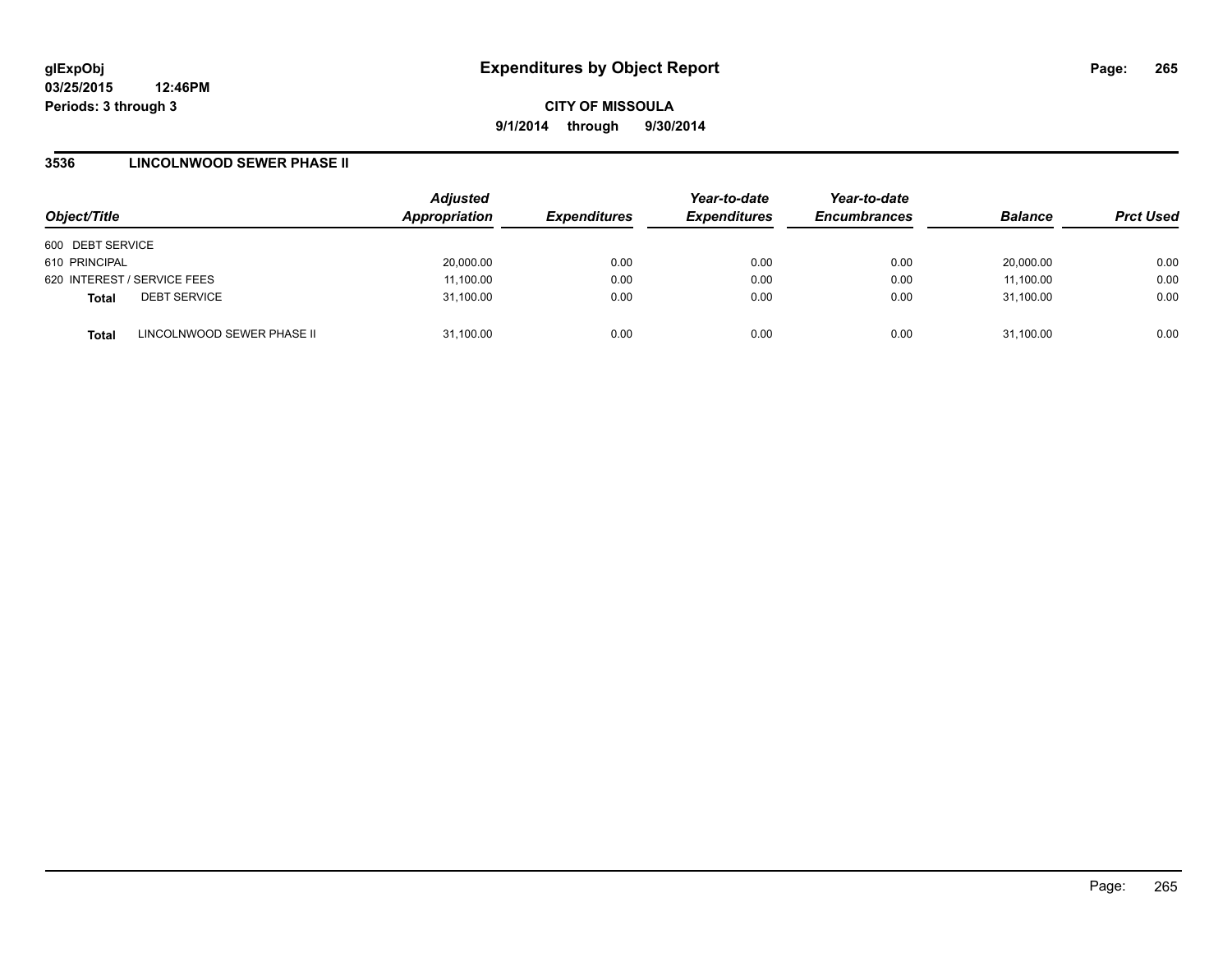**CITY OF MISSOULA 9/1/2014 through 9/30/2014**

### **3536 LINCOLNWOOD SEWER PHASE II**

| Object/Title                               | <b>Adjusted</b><br>Appropriation | <b>Expenditures</b> | Year-to-date<br><b>Expenditures</b> | Year-to-date<br><b>Encumbrances</b> | <b>Balance</b> | <b>Prct Used</b> |
|--------------------------------------------|----------------------------------|---------------------|-------------------------------------|-------------------------------------|----------------|------------------|
| 600 DEBT SERVICE                           |                                  |                     |                                     |                                     |                |                  |
| 610 PRINCIPAL                              | 20,000.00                        | 0.00                | 0.00                                | 0.00                                | 20,000.00      | 0.00             |
| 620 INTEREST / SERVICE FEES                | 11,100.00                        | 0.00                | 0.00                                | 0.00                                | 11,100.00      | 0.00             |
| <b>DEBT SERVICE</b><br><b>Total</b>        | 31,100.00                        | 0.00                | 0.00                                | 0.00                                | 31,100.00      | 0.00             |
| LINCOLNWOOD SEWER PHASE II<br><b>Total</b> | 31,100.00                        | 0.00                | 0.00                                | 0.00                                | 31,100.00      | 0.00             |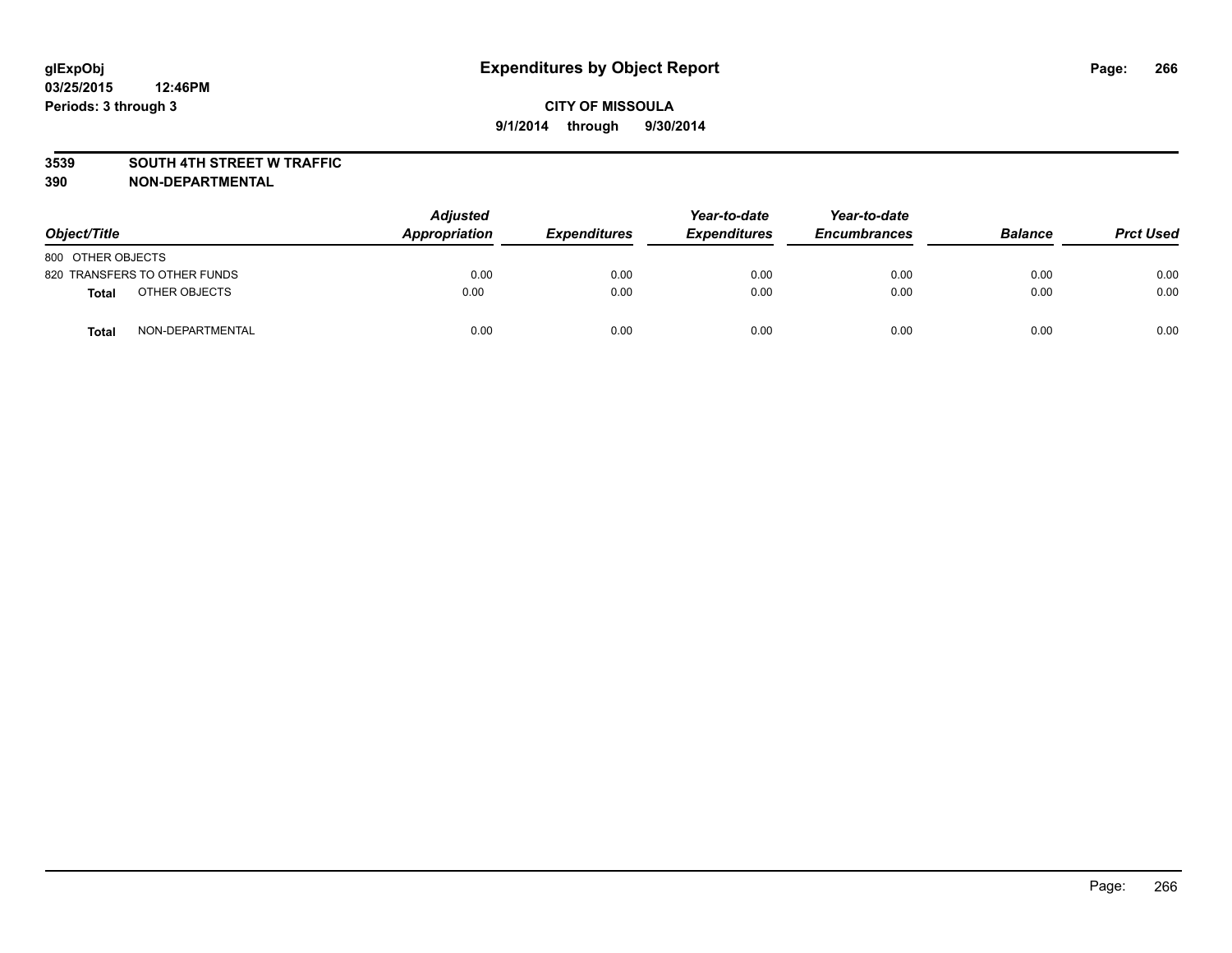### **3539 SOUTH 4TH STREET W TRAFFIC**

| Object/Title                 | <b>Adjusted</b><br>Appropriation | <b>Expenditures</b> | Year-to-date<br><b>Expenditures</b> | Year-to-date<br><b>Encumbrances</b> | <b>Balance</b> | <b>Prct Used</b> |
|------------------------------|----------------------------------|---------------------|-------------------------------------|-------------------------------------|----------------|------------------|
| 800 OTHER OBJECTS            |                                  |                     |                                     |                                     |                |                  |
| 820 TRANSFERS TO OTHER FUNDS | 0.00                             | 0.00                | 0.00                                | 0.00                                | 0.00           | 0.00             |
| OTHER OBJECTS<br>Total       | 0.00                             | 0.00                | 0.00                                | 0.00                                | 0.00           | 0.00             |
| NON-DEPARTMENTAL<br>Total    | 0.00                             | 0.00                | 0.00                                | 0.00                                | 0.00           | 0.00             |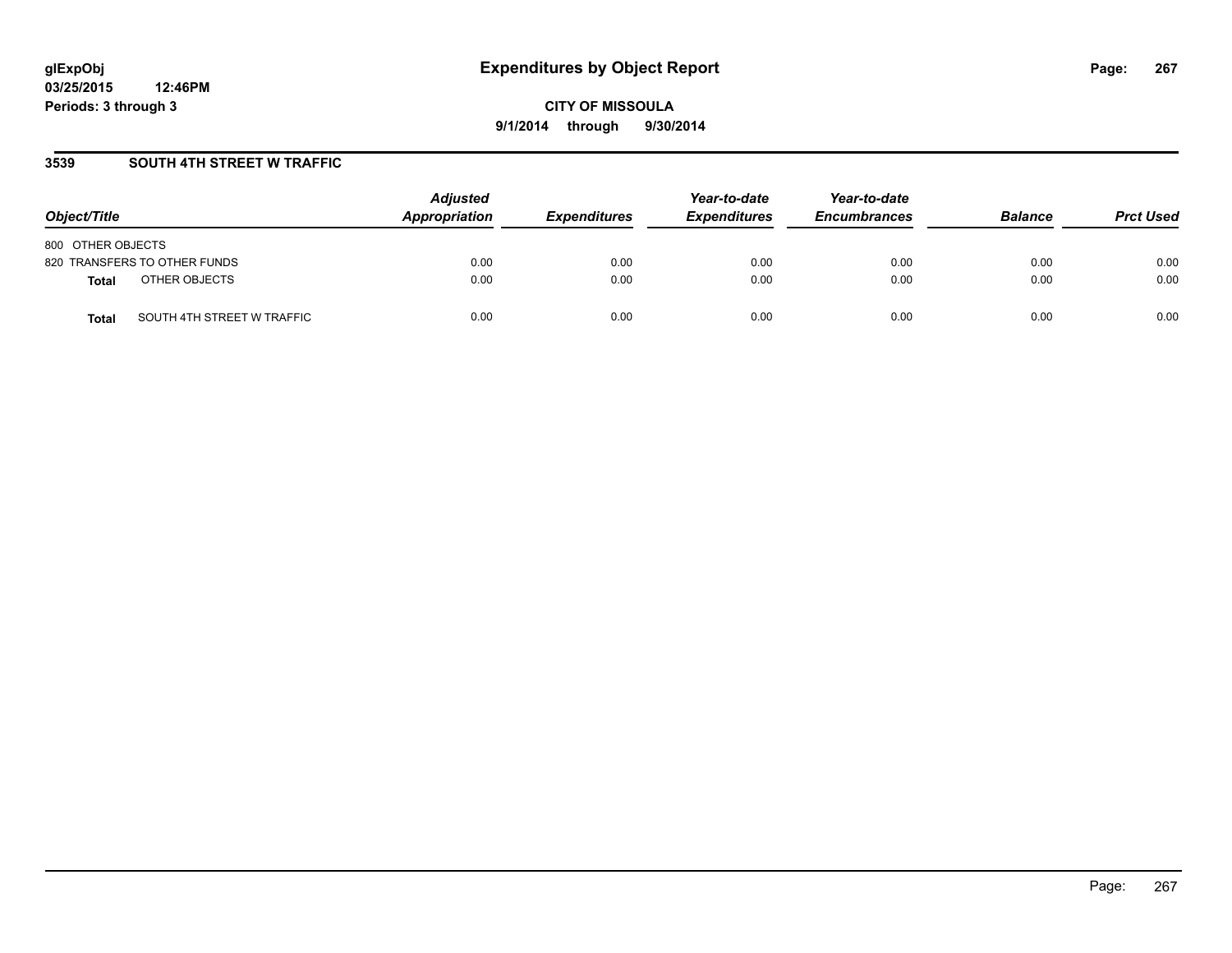## **3539 SOUTH 4TH STREET W TRAFFIC**

| Object/Title                               | <b>Adjusted</b><br>Appropriation | <b>Expenditures</b> | Year-to-date<br><b>Expenditures</b> | Year-to-date<br><b>Encumbrances</b> | <b>Balance</b> | <b>Prct Used</b> |
|--------------------------------------------|----------------------------------|---------------------|-------------------------------------|-------------------------------------|----------------|------------------|
| 800 OTHER OBJECTS                          |                                  |                     |                                     |                                     |                |                  |
| 820 TRANSFERS TO OTHER FUNDS               | 0.00                             | 0.00                | 0.00                                | 0.00                                | 0.00           | 0.00             |
| OTHER OBJECTS<br><b>Total</b>              | 0.00                             | 0.00                | 0.00                                | 0.00                                | 0.00           | 0.00             |
| SOUTH 4TH STREET W TRAFFIC<br><b>Total</b> | 0.00                             | 0.00                | 0.00                                | 0.00                                | 0.00           | 0.00             |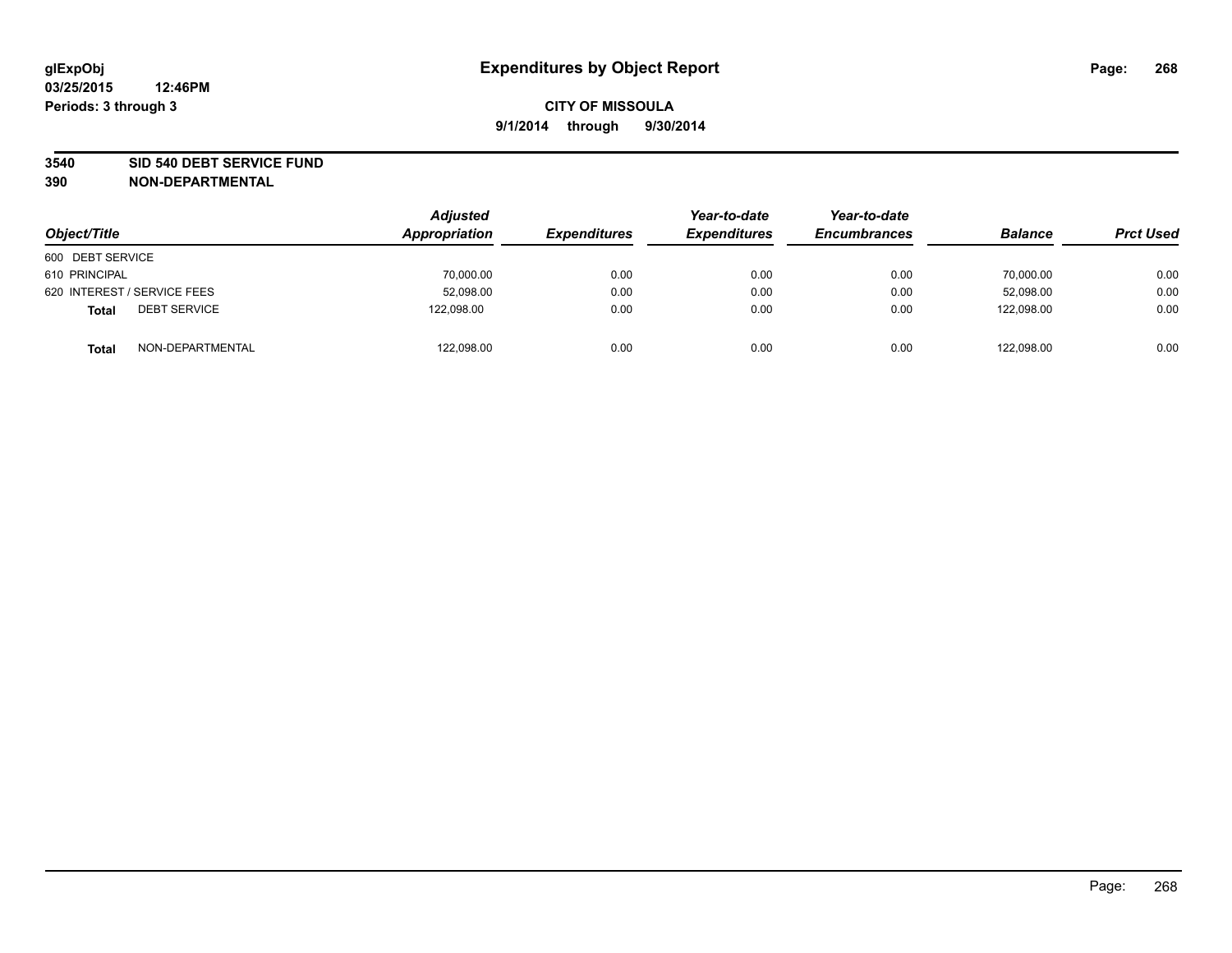### **3540 SID 540 DEBT SERVICE FUND**

| Object/Title                        | <b>Adjusted</b><br>Appropriation | <b>Expenditures</b> | Year-to-date<br><b>Expenditures</b> | Year-to-date<br><b>Encumbrances</b> | <b>Balance</b> | <b>Prct Used</b> |
|-------------------------------------|----------------------------------|---------------------|-------------------------------------|-------------------------------------|----------------|------------------|
| 600 DEBT SERVICE                    |                                  |                     |                                     |                                     |                |                  |
| 610 PRINCIPAL                       | 70,000.00                        | 0.00                | 0.00                                | 0.00                                | 70,000.00      | 0.00             |
| 620 INTEREST / SERVICE FEES         | 52,098.00                        | 0.00                | 0.00                                | 0.00                                | 52.098.00      | 0.00             |
| <b>DEBT SERVICE</b><br><b>Total</b> | 122.098.00                       | 0.00                | 0.00                                | 0.00                                | 122.098.00     | 0.00             |
| NON-DEPARTMENTAL<br><b>Total</b>    | 122,098.00                       | 0.00                | 0.00                                | 0.00                                | 122,098.00     | 0.00             |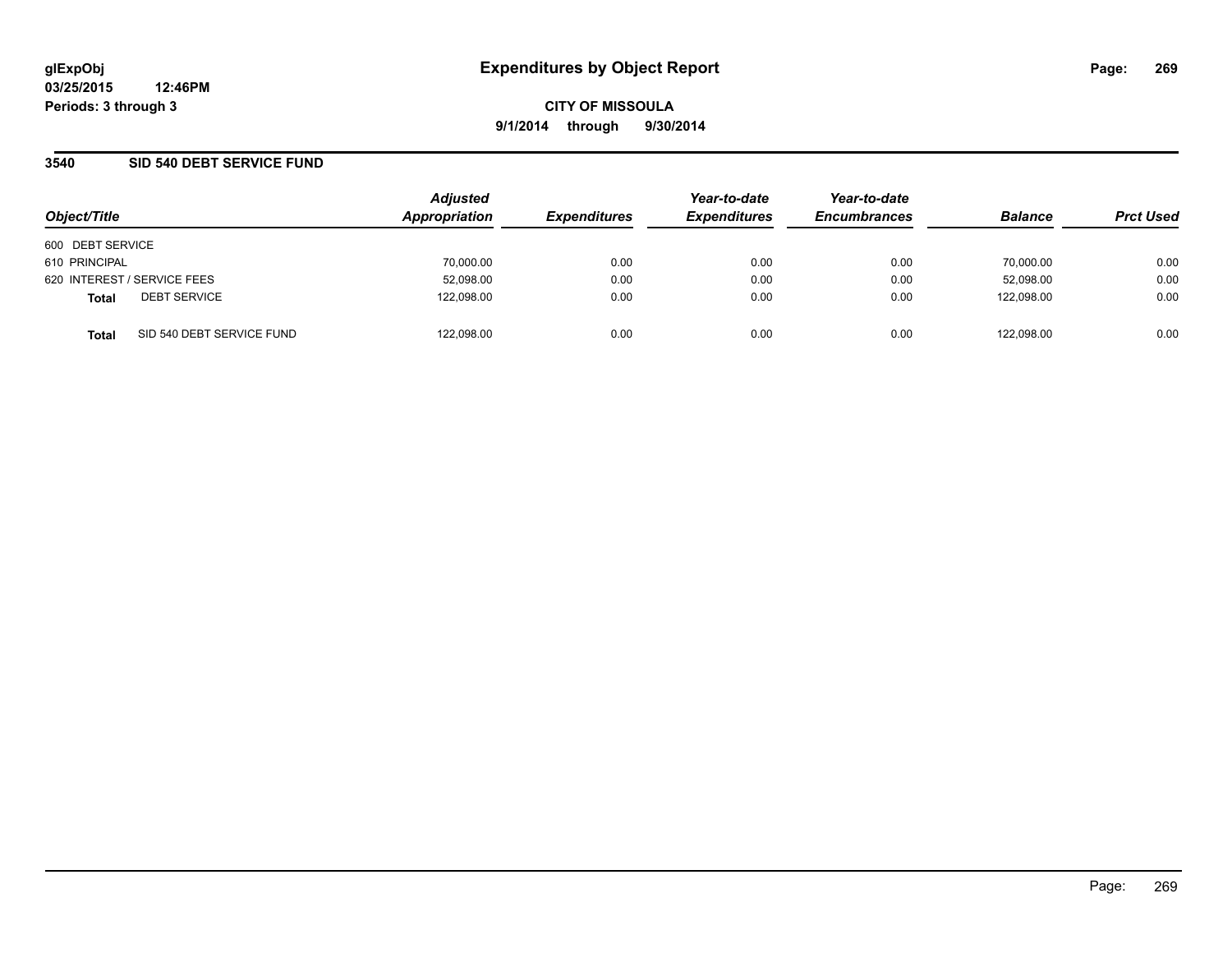**CITY OF MISSOULA 9/1/2014 through 9/30/2014**

## **3540 SID 540 DEBT SERVICE FUND**

| Object/Title                              | <b>Adjusted</b><br>Appropriation | <b>Expenditures</b> | Year-to-date<br><b>Expenditures</b> | Year-to-date<br><b>Encumbrances</b> | <b>Balance</b> | <b>Prct Used</b> |
|-------------------------------------------|----------------------------------|---------------------|-------------------------------------|-------------------------------------|----------------|------------------|
| 600 DEBT SERVICE                          |                                  |                     |                                     |                                     |                |                  |
| 610 PRINCIPAL                             | 70,000.00                        | 0.00                | 0.00                                | 0.00                                | 70,000.00      | 0.00             |
| 620 INTEREST / SERVICE FEES               | 52,098.00                        | 0.00                | 0.00                                | 0.00                                | 52,098.00      | 0.00             |
| <b>DEBT SERVICE</b><br><b>Total</b>       | 122,098.00                       | 0.00                | 0.00                                | 0.00                                | 122.098.00     | 0.00             |
| SID 540 DEBT SERVICE FUND<br><b>Total</b> | 122,098.00                       | 0.00                | 0.00                                | 0.00                                | 122.098.00     | 0.00             |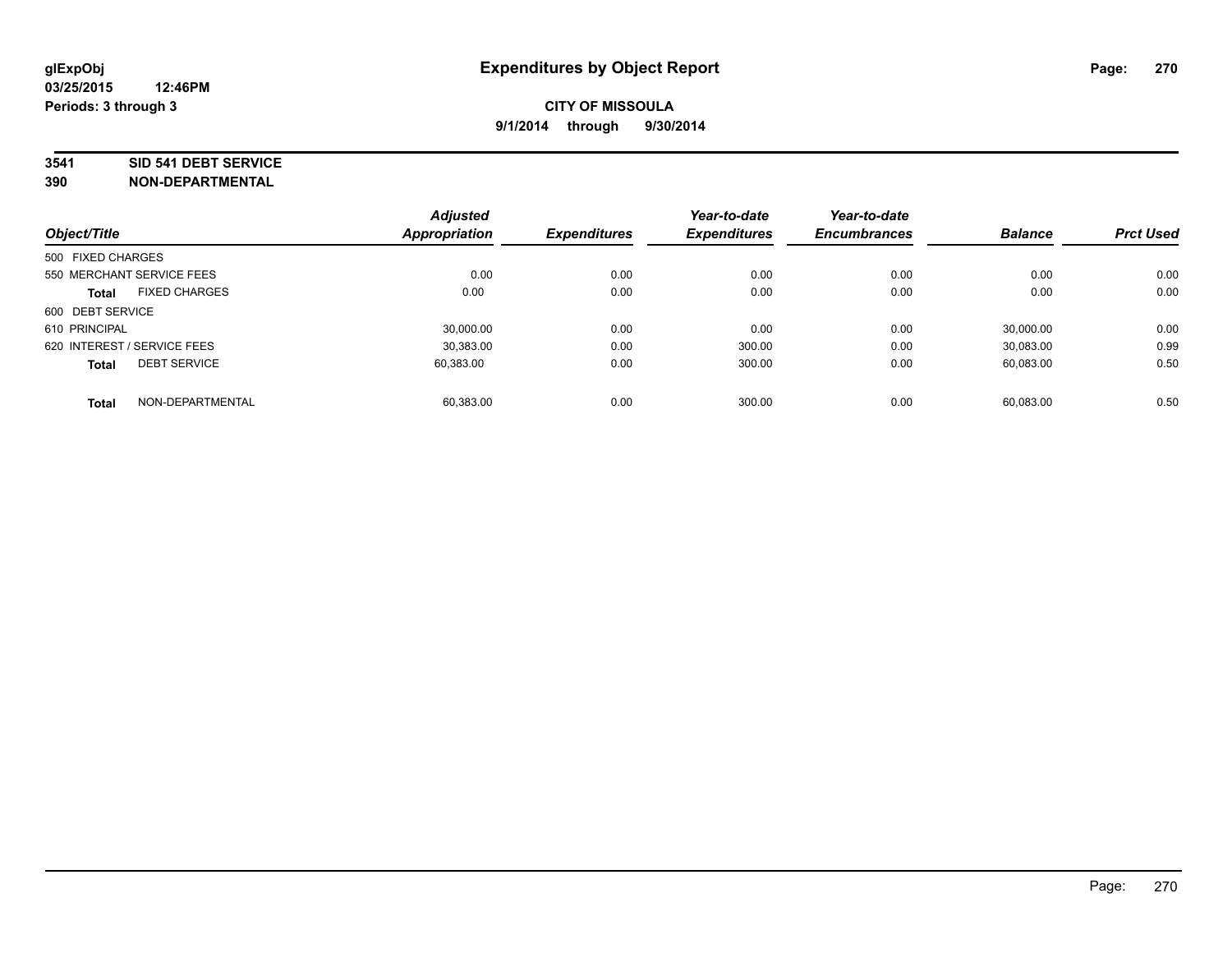#### **3541 SID 541 DEBT SERVICE**

|                             |                      | <b>Adjusted</b> |                     | Year-to-date        | Year-to-date        |                |                  |
|-----------------------------|----------------------|-----------------|---------------------|---------------------|---------------------|----------------|------------------|
| Object/Title                |                      | Appropriation   | <b>Expenditures</b> | <b>Expenditures</b> | <b>Encumbrances</b> | <b>Balance</b> | <b>Prct Used</b> |
| 500 FIXED CHARGES           |                      |                 |                     |                     |                     |                |                  |
| 550 MERCHANT SERVICE FEES   |                      | 0.00            | 0.00                | 0.00                | 0.00                | 0.00           | 0.00             |
| <b>Total</b>                | <b>FIXED CHARGES</b> | 0.00            | 0.00                | 0.00                | 0.00                | 0.00           | 0.00             |
| 600 DEBT SERVICE            |                      |                 |                     |                     |                     |                |                  |
| 610 PRINCIPAL               |                      | 30.000.00       | 0.00                | 0.00                | 0.00                | 30.000.00      | 0.00             |
| 620 INTEREST / SERVICE FEES |                      | 30.383.00       | 0.00                | 300.00              | 0.00                | 30,083.00      | 0.99             |
| <b>Total</b>                | <b>DEBT SERVICE</b>  | 60.383.00       | 0.00                | 300.00              | 0.00                | 60,083.00      | 0.50             |
| <b>Total</b>                | NON-DEPARTMENTAL     | 60.383.00       | 0.00                | 300.00              | 0.00                | 60.083.00      | 0.50             |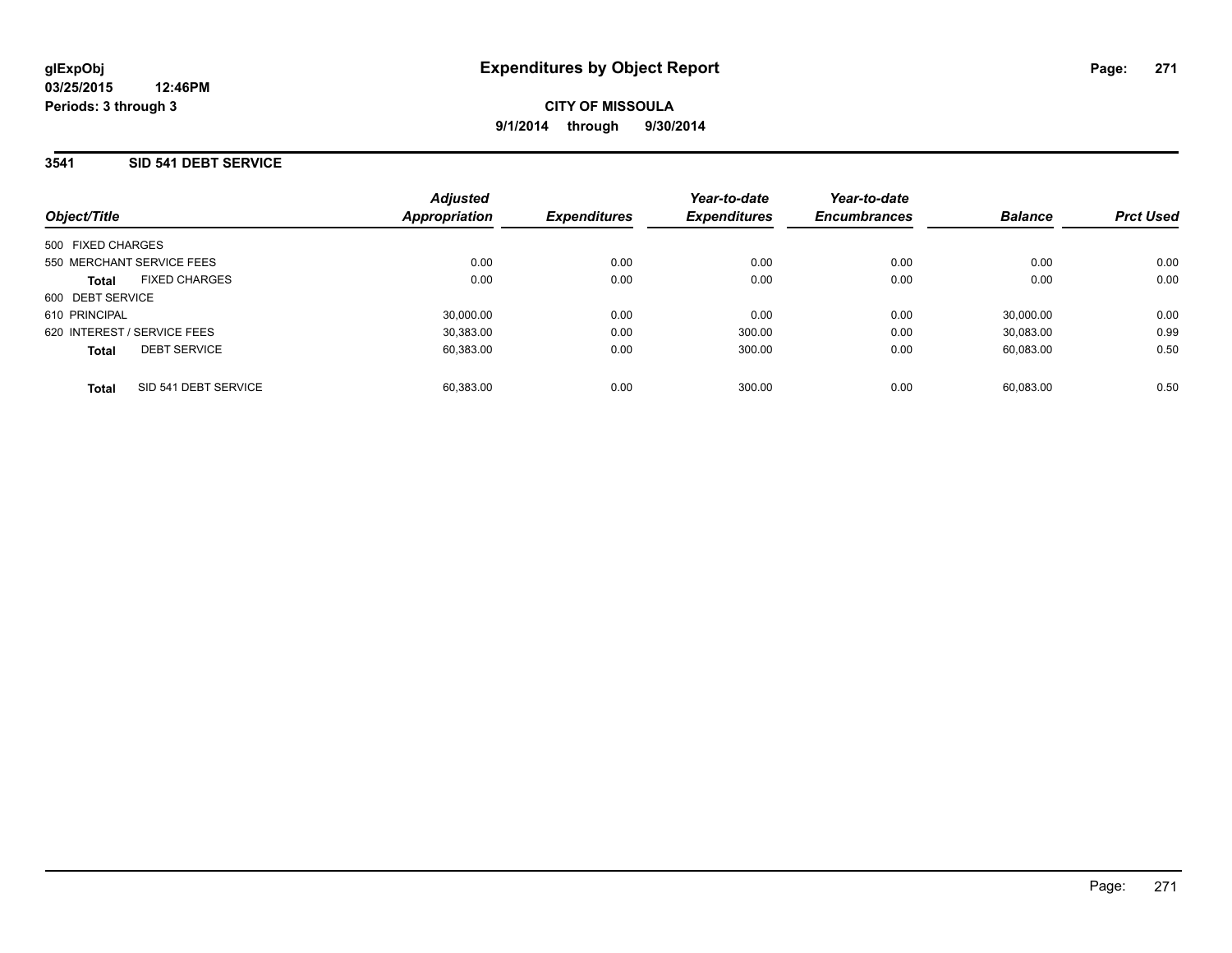### **3541 SID 541 DEBT SERVICE**

| Object/Title                         | <b>Adjusted</b><br>Appropriation | <b>Expenditures</b> | Year-to-date<br><b>Expenditures</b> | Year-to-date<br><b>Encumbrances</b> | <b>Balance</b> | <b>Prct Used</b> |
|--------------------------------------|----------------------------------|---------------------|-------------------------------------|-------------------------------------|----------------|------------------|
| 500 FIXED CHARGES                    |                                  |                     |                                     |                                     |                |                  |
| 550 MERCHANT SERVICE FEES            | 0.00                             | 0.00                | 0.00                                | 0.00                                | 0.00           | 0.00             |
| <b>FIXED CHARGES</b><br><b>Total</b> | 0.00                             | 0.00                | 0.00                                | 0.00                                | 0.00           | 0.00             |
| 600 DEBT SERVICE                     |                                  |                     |                                     |                                     |                |                  |
| 610 PRINCIPAL                        | 30.000.00                        | 0.00                | 0.00                                | 0.00                                | 30.000.00      | 0.00             |
| 620 INTEREST / SERVICE FEES          | 30.383.00                        | 0.00                | 300.00                              | 0.00                                | 30.083.00      | 0.99             |
| <b>DEBT SERVICE</b><br><b>Total</b>  | 60.383.00                        | 0.00                | 300.00                              | 0.00                                | 60.083.00      | 0.50             |
| SID 541 DEBT SERVICE<br><b>Total</b> | 60.383.00                        | 0.00                | 300.00                              | 0.00                                | 60.083.00      | 0.50             |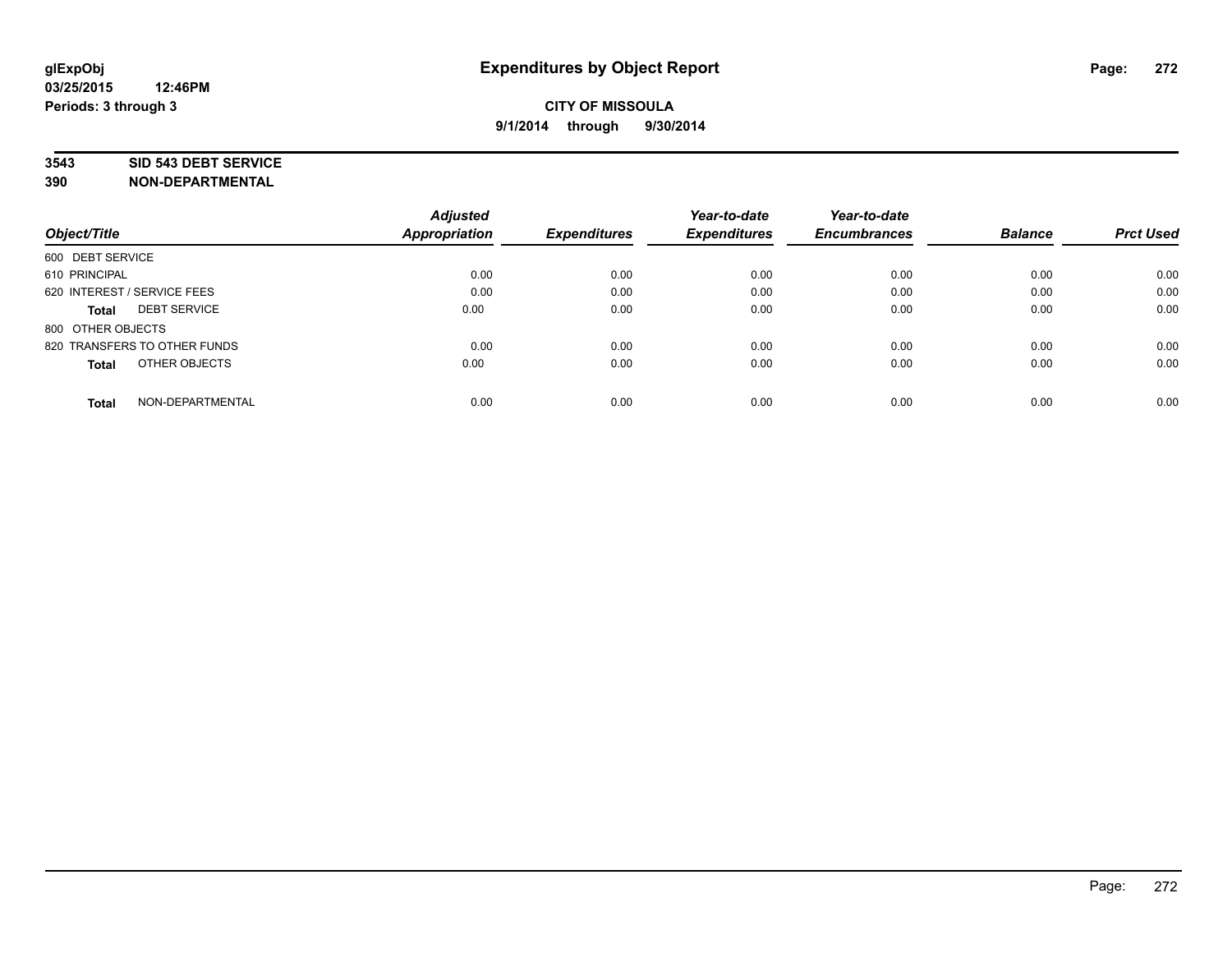### **3543 SID 543 DEBT SERVICE**

|                                     | <b>Adjusted</b><br><b>Appropriation</b> | <b>Expenditures</b> | Year-to-date<br><b>Expenditures</b> | Year-to-date<br><b>Encumbrances</b> | <b>Balance</b> | <b>Prct Used</b> |
|-------------------------------------|-----------------------------------------|---------------------|-------------------------------------|-------------------------------------|----------------|------------------|
| Object/Title                        |                                         |                     |                                     |                                     |                |                  |
| 600 DEBT SERVICE                    |                                         |                     |                                     |                                     |                |                  |
| 610 PRINCIPAL                       | 0.00                                    | 0.00                | 0.00                                | 0.00                                | 0.00           | 0.00             |
| 620 INTEREST / SERVICE FEES         | 0.00                                    | 0.00                | 0.00                                | 0.00                                | 0.00           | 0.00             |
| <b>DEBT SERVICE</b><br><b>Total</b> | 0.00                                    | 0.00                | 0.00                                | 0.00                                | 0.00           | 0.00             |
| 800 OTHER OBJECTS                   |                                         |                     |                                     |                                     |                |                  |
| 820 TRANSFERS TO OTHER FUNDS        | 0.00                                    | 0.00                | 0.00                                | 0.00                                | 0.00           | 0.00             |
| OTHER OBJECTS<br><b>Total</b>       | 0.00                                    | 0.00                | 0.00                                | 0.00                                | 0.00           | 0.00             |
| NON-DEPARTMENTAL<br><b>Total</b>    | 0.00                                    | 0.00                | 0.00                                | 0.00                                | 0.00           | 0.00             |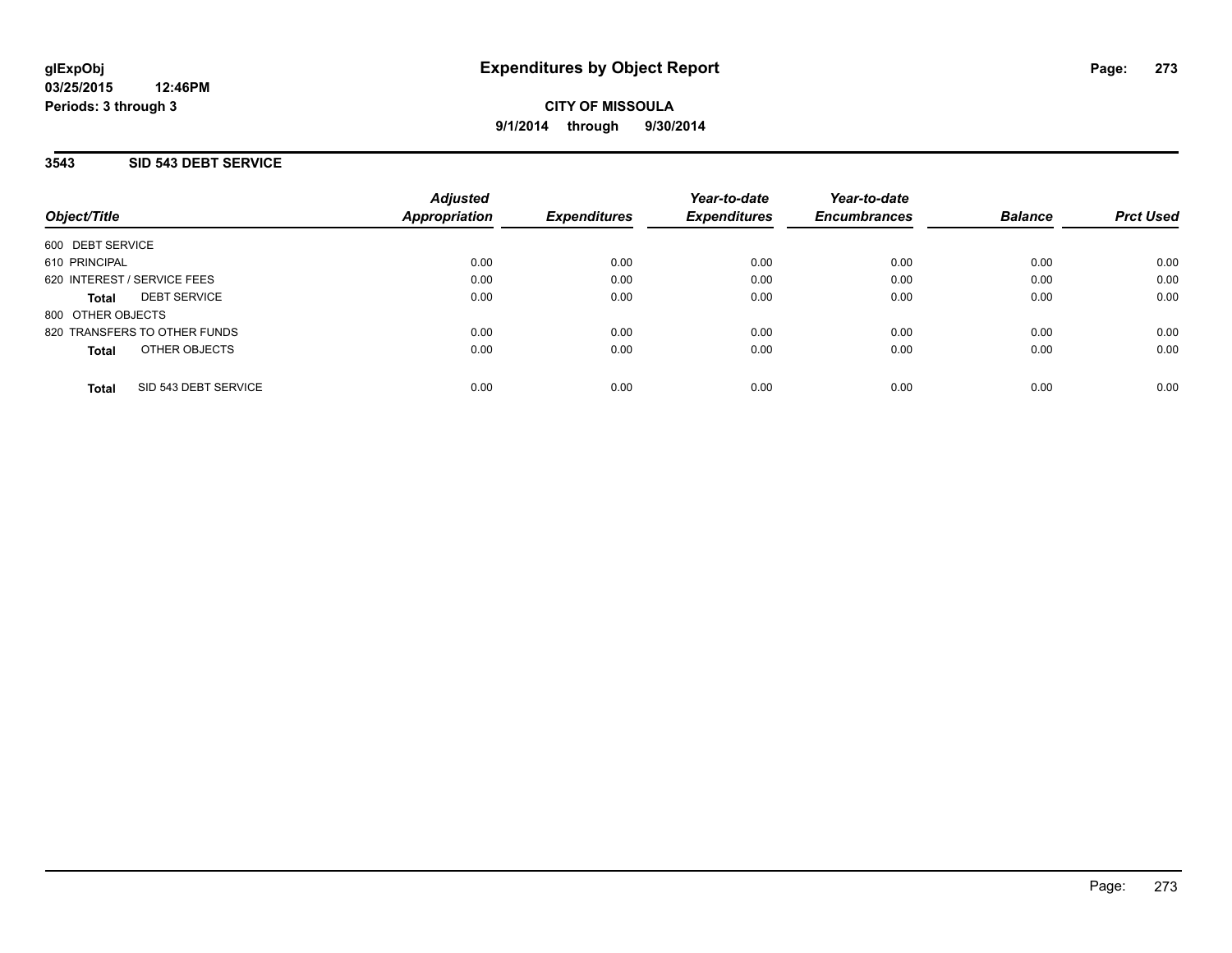## **3543 SID 543 DEBT SERVICE**

| Object/Title                         | <b>Adjusted</b><br>Appropriation | <b>Expenditures</b> | Year-to-date<br><b>Expenditures</b> | Year-to-date<br><b>Encumbrances</b> | <b>Balance</b> | <b>Prct Used</b> |
|--------------------------------------|----------------------------------|---------------------|-------------------------------------|-------------------------------------|----------------|------------------|
| 600 DEBT SERVICE                     |                                  |                     |                                     |                                     |                |                  |
| 610 PRINCIPAL                        | 0.00                             | 0.00                | 0.00                                | 0.00                                | 0.00           | 0.00             |
| 620 INTEREST / SERVICE FEES          | 0.00                             | 0.00                | 0.00                                | 0.00                                | 0.00           | 0.00             |
| <b>DEBT SERVICE</b><br><b>Total</b>  | 0.00                             | 0.00                | 0.00                                | 0.00                                | 0.00           | 0.00             |
| 800 OTHER OBJECTS                    |                                  |                     |                                     |                                     |                |                  |
| 820 TRANSFERS TO OTHER FUNDS         | 0.00                             | 0.00                | 0.00                                | 0.00                                | 0.00           | 0.00             |
| OTHER OBJECTS<br><b>Total</b>        | 0.00                             | 0.00                | 0.00                                | 0.00                                | 0.00           | 0.00             |
| SID 543 DEBT SERVICE<br><b>Total</b> | 0.00                             | 0.00                | 0.00                                | 0.00                                | 0.00           | 0.00             |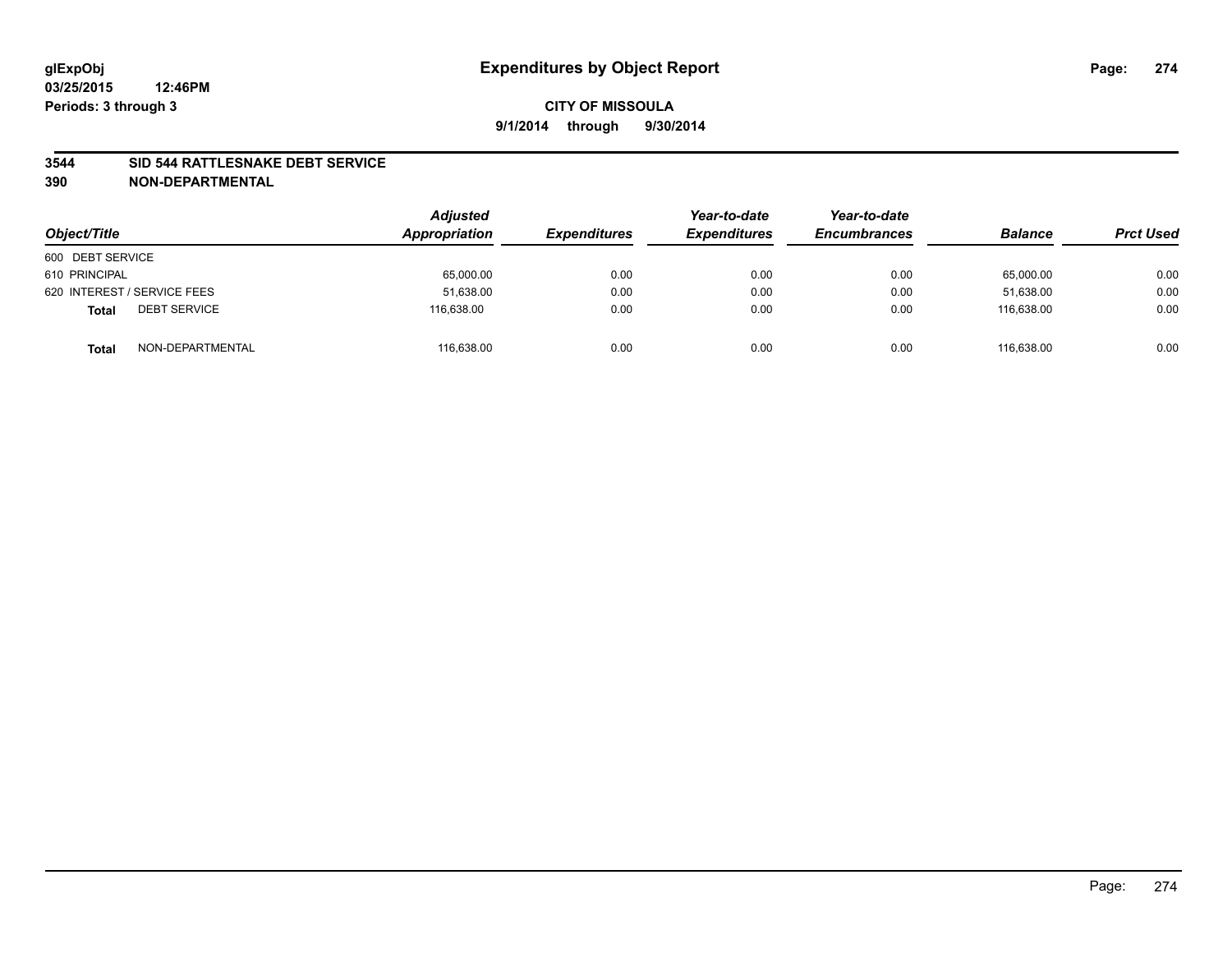### **3544 SID 544 RATTLESNAKE DEBT SERVICE**

| Object/Title                        | <b>Adjusted</b><br>Appropriation | <b>Expenditures</b> | Year-to-date<br><b>Expenditures</b> | Year-to-date<br><b>Encumbrances</b> | <b>Balance</b> | <b>Prct Used</b> |
|-------------------------------------|----------------------------------|---------------------|-------------------------------------|-------------------------------------|----------------|------------------|
| 600 DEBT SERVICE                    |                                  |                     |                                     |                                     |                |                  |
| 610 PRINCIPAL                       | 65,000.00                        | 0.00                | 0.00                                | 0.00                                | 65,000.00      | 0.00             |
| 620 INTEREST / SERVICE FEES         | 51,638.00                        | 0.00                | 0.00                                | 0.00                                | 51,638.00      | 0.00             |
| <b>DEBT SERVICE</b><br><b>Total</b> | 116.638.00                       | 0.00                | 0.00                                | 0.00                                | 116.638.00     | 0.00             |
| NON-DEPARTMENTAL<br><b>Total</b>    | 116,638.00                       | 0.00                | 0.00                                | 0.00                                | 116.638.00     | 0.00             |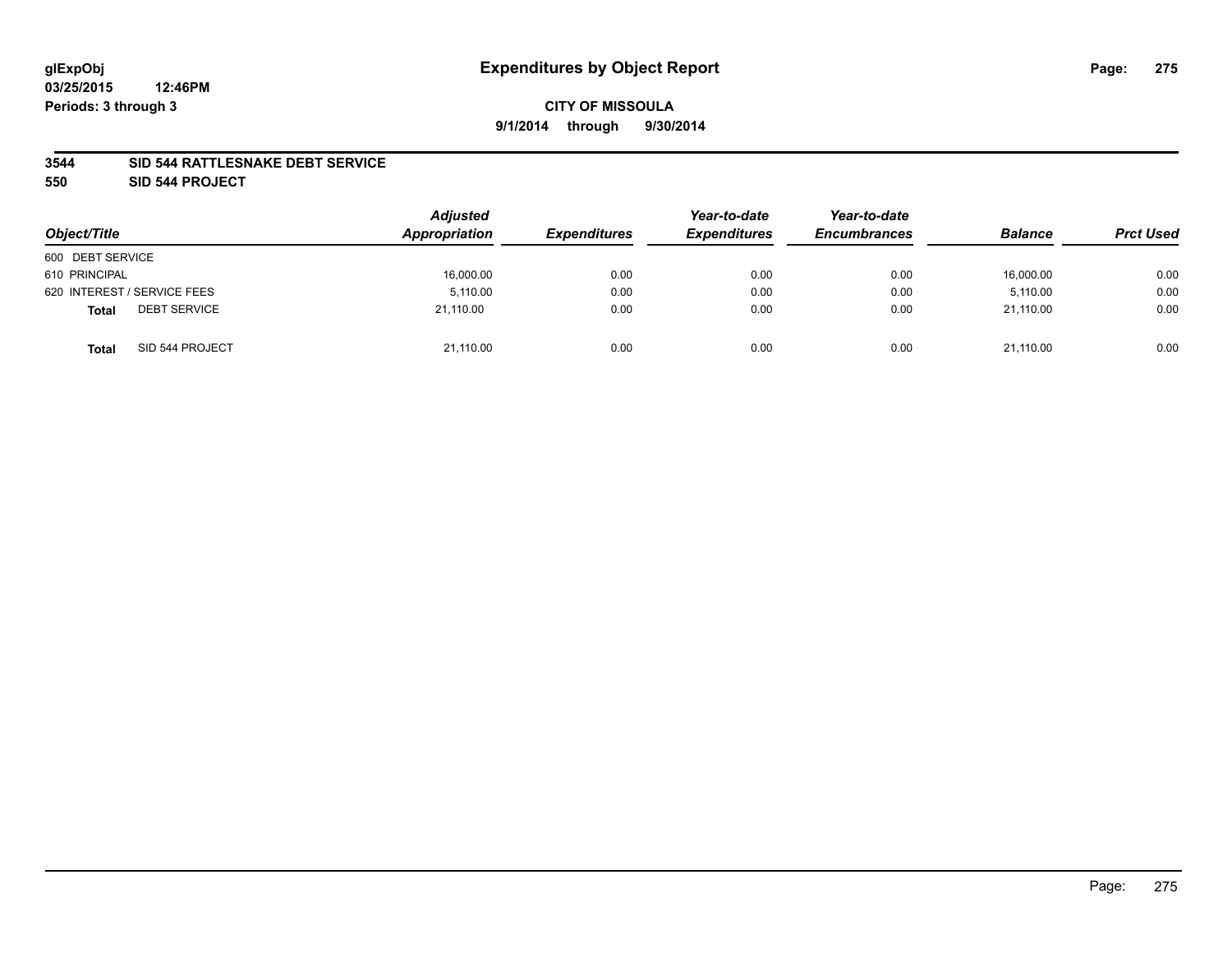### **3544 SID 544 RATTLESNAKE DEBT SERVICE**

**550 SID 544 PROJECT**

| Object/Title                        | <b>Adjusted</b><br>Appropriation | <b>Expenditures</b> | Year-to-date<br><b>Expenditures</b> | Year-to-date<br><b>Encumbrances</b> | <b>Balance</b> | <b>Prct Used</b> |
|-------------------------------------|----------------------------------|---------------------|-------------------------------------|-------------------------------------|----------------|------------------|
| 600 DEBT SERVICE                    |                                  |                     |                                     |                                     |                |                  |
| 610 PRINCIPAL                       | 16,000.00                        | 0.00                | 0.00                                | 0.00                                | 16,000.00      | 0.00             |
| 620 INTEREST / SERVICE FEES         | 5.110.00                         | 0.00                | 0.00                                | 0.00                                | 5.110.00       | 0.00             |
| <b>DEBT SERVICE</b><br><b>Total</b> | 21,110.00                        | 0.00                | 0.00                                | 0.00                                | 21,110.00      | 0.00             |
| SID 544 PROJECT<br><b>Total</b>     | 21,110.00                        | 0.00                | 0.00                                | 0.00                                | 21.110.00      | 0.00             |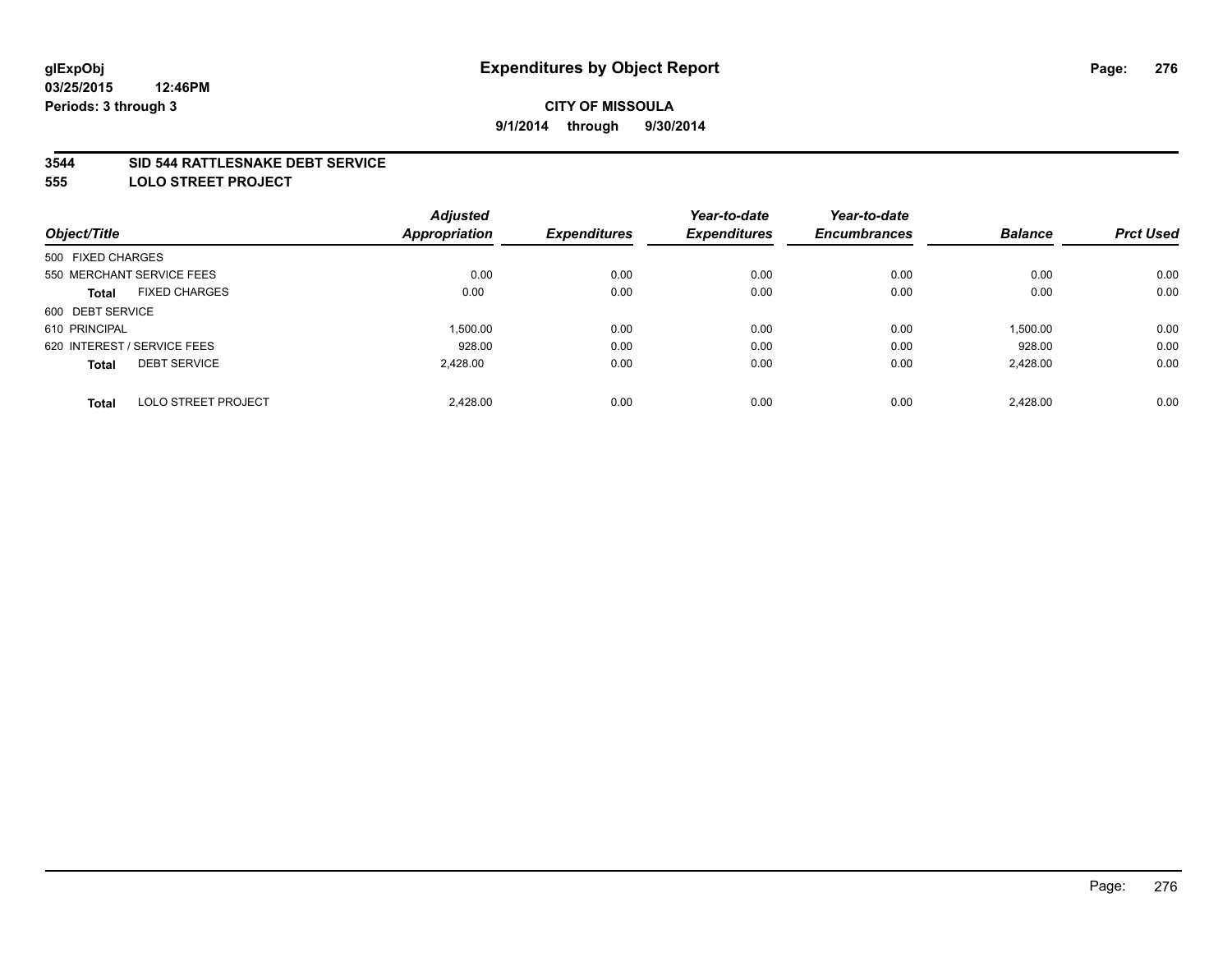### **3544 SID 544 RATTLESNAKE DEBT SERVICE**

**555 LOLO STREET PROJECT**

|                                            | <b>Adjusted</b> |                     | Year-to-date        | Year-to-date        | <b>Balance</b> |                  |
|--------------------------------------------|-----------------|---------------------|---------------------|---------------------|----------------|------------------|
| Object/Title                               | Appropriation   | <b>Expenditures</b> | <b>Expenditures</b> | <b>Encumbrances</b> |                | <b>Prct Used</b> |
| 500 FIXED CHARGES                          |                 |                     |                     |                     |                |                  |
| 550 MERCHANT SERVICE FEES                  | 0.00            | 0.00                | 0.00                | 0.00                | 0.00           | 0.00             |
| <b>FIXED CHARGES</b><br><b>Total</b>       | 0.00            | 0.00                | 0.00                | 0.00                | 0.00           | 0.00             |
| 600 DEBT SERVICE                           |                 |                     |                     |                     |                |                  |
| 610 PRINCIPAL                              | 1,500.00        | 0.00                | 0.00                | 0.00                | 1,500.00       | 0.00             |
| 620 INTEREST / SERVICE FEES                | 928.00          | 0.00                | 0.00                | 0.00                | 928.00         | 0.00             |
| <b>DEBT SERVICE</b><br><b>Total</b>        | 2,428.00        | 0.00                | 0.00                | 0.00                | 2,428.00       | 0.00             |
| <b>LOLO STREET PROJECT</b><br><b>Total</b> | 2.428.00        | 0.00                | 0.00                | 0.00                | 2.428.00       | 0.00             |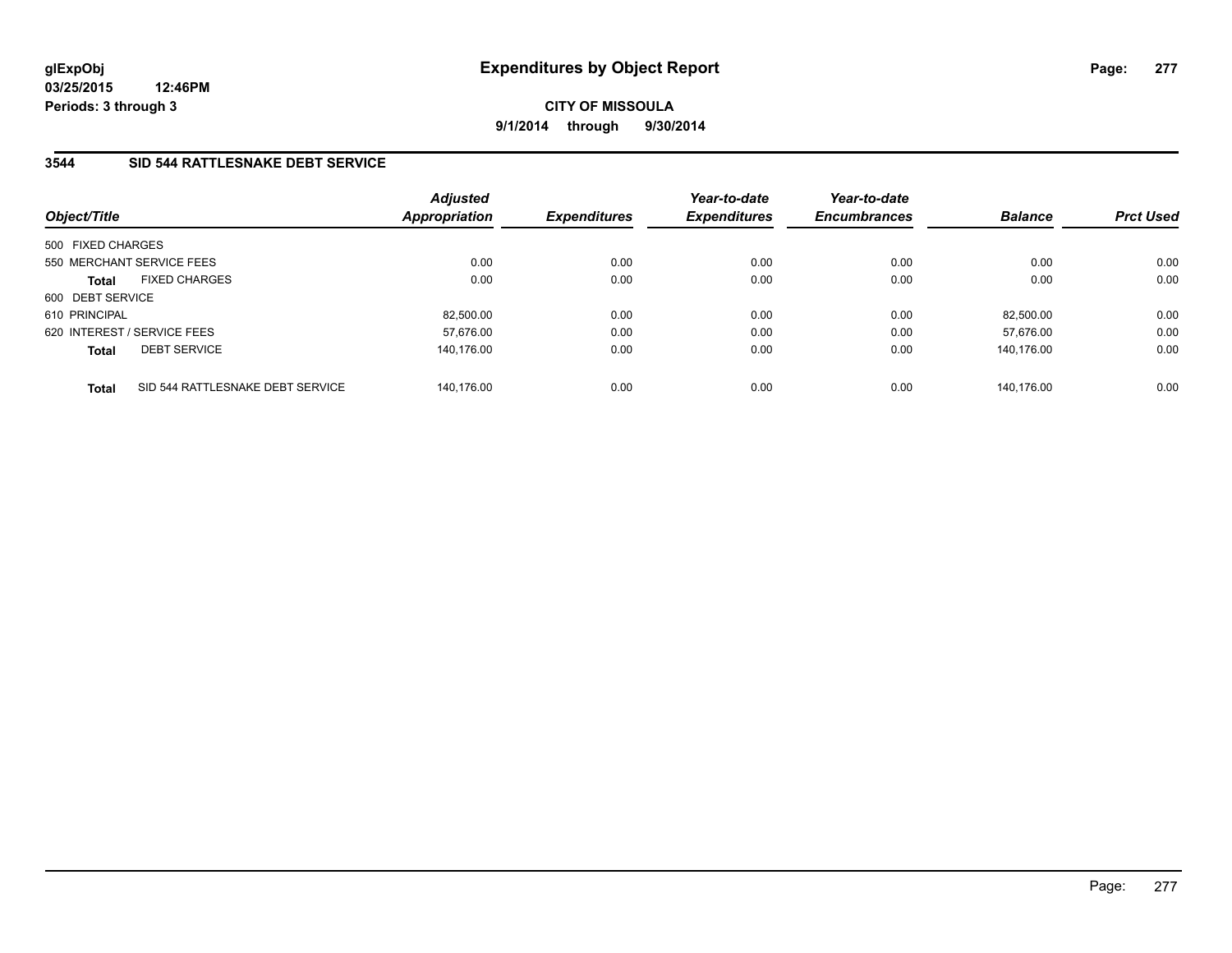# **CITY OF MISSOULA 9/1/2014 through 9/30/2014**

# **3544 SID 544 RATTLESNAKE DEBT SERVICE**

| Object/Title                                     | <b>Adjusted</b><br><b>Appropriation</b> | <b>Expenditures</b> | Year-to-date<br><b>Expenditures</b> | Year-to-date<br><b>Encumbrances</b> | <b>Balance</b> | <b>Prct Used</b> |
|--------------------------------------------------|-----------------------------------------|---------------------|-------------------------------------|-------------------------------------|----------------|------------------|
| 500 FIXED CHARGES                                |                                         |                     |                                     |                                     |                |                  |
| 550 MERCHANT SERVICE FEES                        | 0.00                                    | 0.00                | 0.00                                | 0.00                                | 0.00           | 0.00             |
| <b>FIXED CHARGES</b><br><b>Total</b>             |                                         | 0.00<br>0.00        | 0.00                                | 0.00                                | 0.00           | 0.00             |
| 600 DEBT SERVICE                                 |                                         |                     |                                     |                                     |                |                  |
| 610 PRINCIPAL                                    | 82.500.00                               | 0.00                | 0.00                                | 0.00                                | 82.500.00      | 0.00             |
| 620 INTEREST / SERVICE FEES                      | 57.676.00                               | 0.00                | 0.00                                | 0.00                                | 57.676.00      | 0.00             |
| <b>DEBT SERVICE</b><br><b>Total</b>              | 140.176.00                              | 0.00                | 0.00                                | 0.00                                | 140.176.00     | 0.00             |
| SID 544 RATTLESNAKE DEBT SERVICE<br><b>Total</b> | 140.176.00                              | 0.00                | 0.00                                | 0.00                                | 140.176.00     | 0.00             |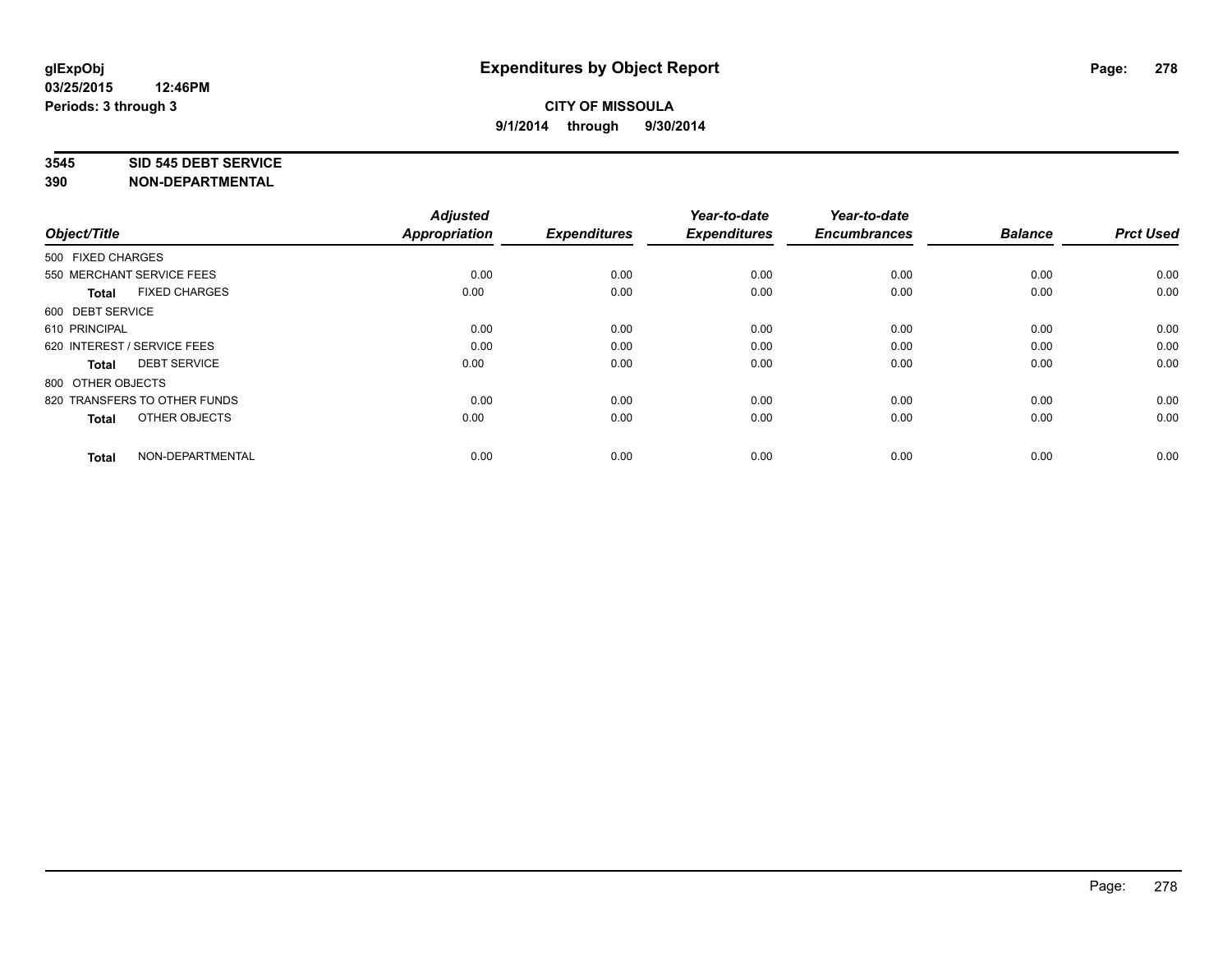#### **3545 SID 545 DEBT SERVICE**

| Object/Title                         | <b>Adjusted</b><br><b>Appropriation</b> | <b>Expenditures</b> | Year-to-date<br><b>Expenditures</b> | Year-to-date<br><b>Encumbrances</b> | <b>Balance</b> | <b>Prct Used</b> |
|--------------------------------------|-----------------------------------------|---------------------|-------------------------------------|-------------------------------------|----------------|------------------|
|                                      |                                         |                     |                                     |                                     |                |                  |
| 500 FIXED CHARGES                    |                                         |                     |                                     |                                     |                |                  |
| 550 MERCHANT SERVICE FEES            | 0.00                                    | 0.00                | 0.00                                | 0.00                                | 0.00           | 0.00             |
| <b>FIXED CHARGES</b><br><b>Total</b> | 0.00                                    | 0.00                | 0.00                                | 0.00                                | 0.00           | 0.00             |
| 600 DEBT SERVICE                     |                                         |                     |                                     |                                     |                |                  |
| 610 PRINCIPAL                        | 0.00                                    | 0.00                | 0.00                                | 0.00                                | 0.00           | 0.00             |
| 620 INTEREST / SERVICE FEES          | 0.00                                    | 0.00                | 0.00                                | 0.00                                | 0.00           | 0.00             |
| <b>DEBT SERVICE</b><br><b>Total</b>  | 0.00                                    | 0.00                | 0.00                                | 0.00                                | 0.00           | 0.00             |
| 800 OTHER OBJECTS                    |                                         |                     |                                     |                                     |                |                  |
| 820 TRANSFERS TO OTHER FUNDS         | 0.00                                    | 0.00                | 0.00                                | 0.00                                | 0.00           | 0.00             |
| OTHER OBJECTS<br><b>Total</b>        | 0.00                                    | 0.00                | 0.00                                | 0.00                                | 0.00           | 0.00             |
|                                      |                                         |                     |                                     |                                     |                |                  |
| NON-DEPARTMENTAL<br><b>Total</b>     | 0.00                                    | 0.00                | 0.00                                | 0.00                                | 0.00           | 0.00             |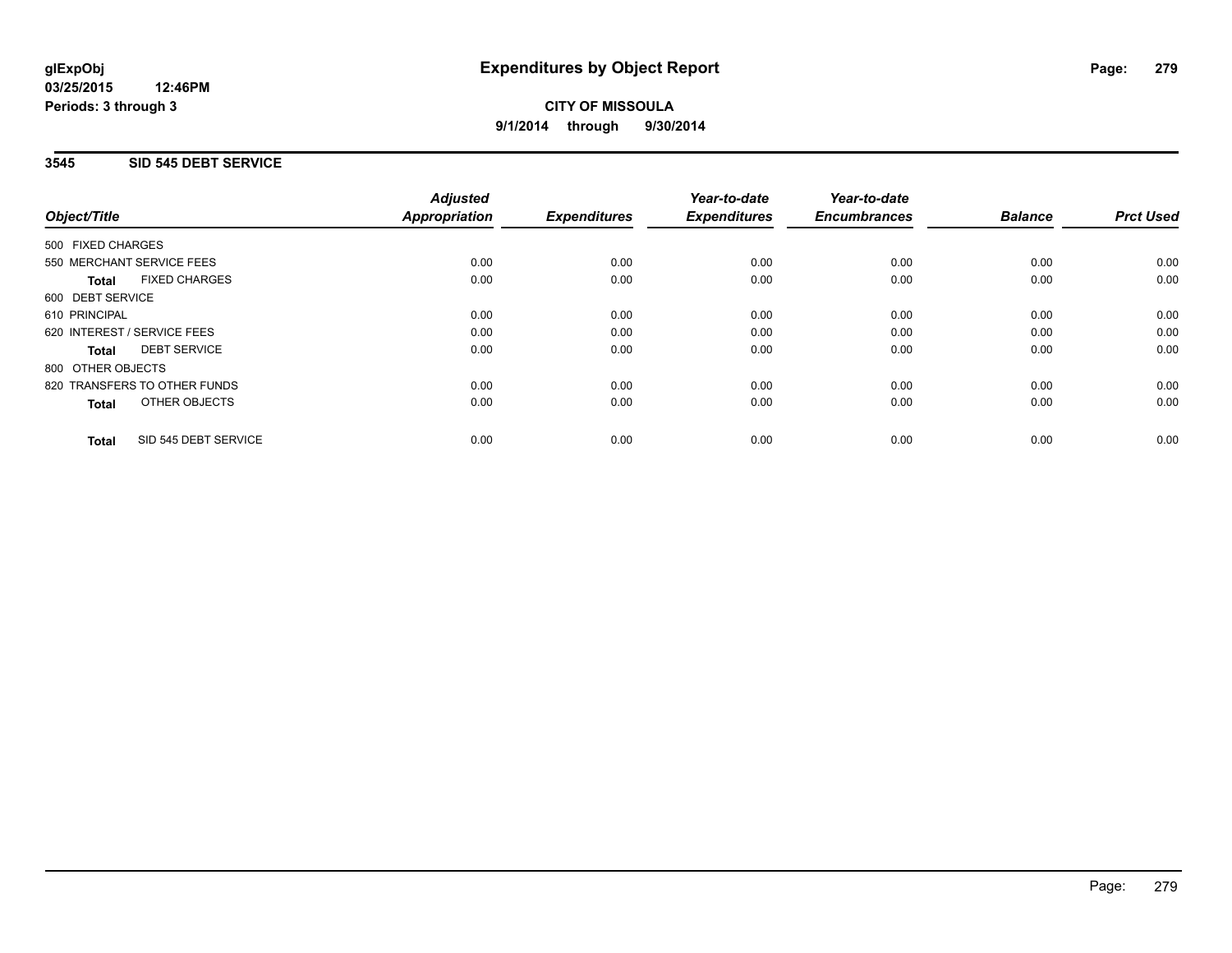## **3545 SID 545 DEBT SERVICE**

|                                      | <b>Adjusted</b>      |                     | Year-to-date        | Year-to-date<br><b>Encumbrances</b> | <b>Balance</b> | <b>Prct Used</b> |
|--------------------------------------|----------------------|---------------------|---------------------|-------------------------------------|----------------|------------------|
| Object/Title                         | <b>Appropriation</b> | <b>Expenditures</b> | <b>Expenditures</b> |                                     |                |                  |
| 500 FIXED CHARGES                    |                      |                     |                     |                                     |                |                  |
| 550 MERCHANT SERVICE FEES            | 0.00                 | 0.00                | 0.00                | 0.00                                | 0.00           | 0.00             |
| <b>FIXED CHARGES</b><br><b>Total</b> | 0.00                 | 0.00                | 0.00                | 0.00                                | 0.00           | 0.00             |
| 600 DEBT SERVICE                     |                      |                     |                     |                                     |                |                  |
| 610 PRINCIPAL                        | 0.00                 | 0.00                | 0.00                | 0.00                                | 0.00           | 0.00             |
| 620 INTEREST / SERVICE FEES          | 0.00                 | 0.00                | 0.00                | 0.00                                | 0.00           | 0.00             |
| <b>DEBT SERVICE</b><br><b>Total</b>  | 0.00                 | 0.00                | 0.00                | 0.00                                | 0.00           | 0.00             |
| 800 OTHER OBJECTS                    |                      |                     |                     |                                     |                |                  |
| 820 TRANSFERS TO OTHER FUNDS         | 0.00                 | 0.00                | 0.00                | 0.00                                | 0.00           | 0.00             |
| OTHER OBJECTS<br><b>Total</b>        | 0.00                 | 0.00                | 0.00                | 0.00                                | 0.00           | 0.00             |
| SID 545 DEBT SERVICE<br><b>Total</b> | 0.00                 | 0.00                | 0.00                | 0.00                                | 0.00           | 0.00             |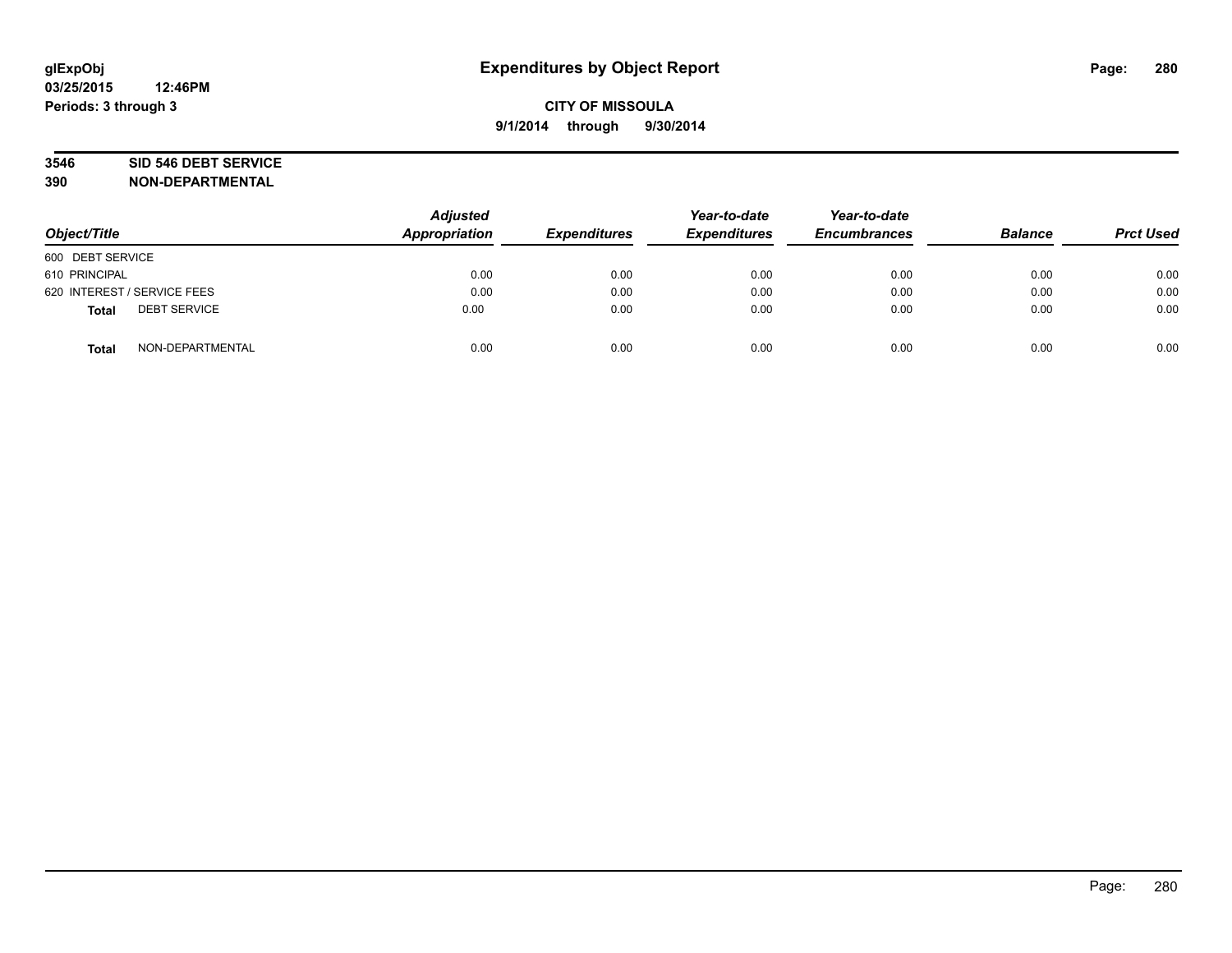# **3546 SID 546 DEBT SERVICE**

| Object/Title                        | <b>Adjusted</b><br><b>Appropriation</b> | <b>Expenditures</b> | Year-to-date<br><b>Expenditures</b> | Year-to-date<br><b>Encumbrances</b> | <b>Balance</b> | <b>Prct Used</b> |
|-------------------------------------|-----------------------------------------|---------------------|-------------------------------------|-------------------------------------|----------------|------------------|
| 600 DEBT SERVICE                    |                                         |                     |                                     |                                     |                |                  |
| 610 PRINCIPAL                       | 0.00                                    | 0.00                | 0.00                                | 0.00                                | 0.00           | 0.00             |
| 620 INTEREST / SERVICE FEES         | 0.00                                    | 0.00                | 0.00                                | 0.00                                | 0.00           | 0.00             |
| <b>DEBT SERVICE</b><br><b>Total</b> | 0.00                                    | 0.00                | 0.00                                | 0.00                                | 0.00           | 0.00             |
| NON-DEPARTMENTAL<br><b>Total</b>    | 0.00                                    | 0.00                | 0.00                                | 0.00                                | 0.00           | 0.00             |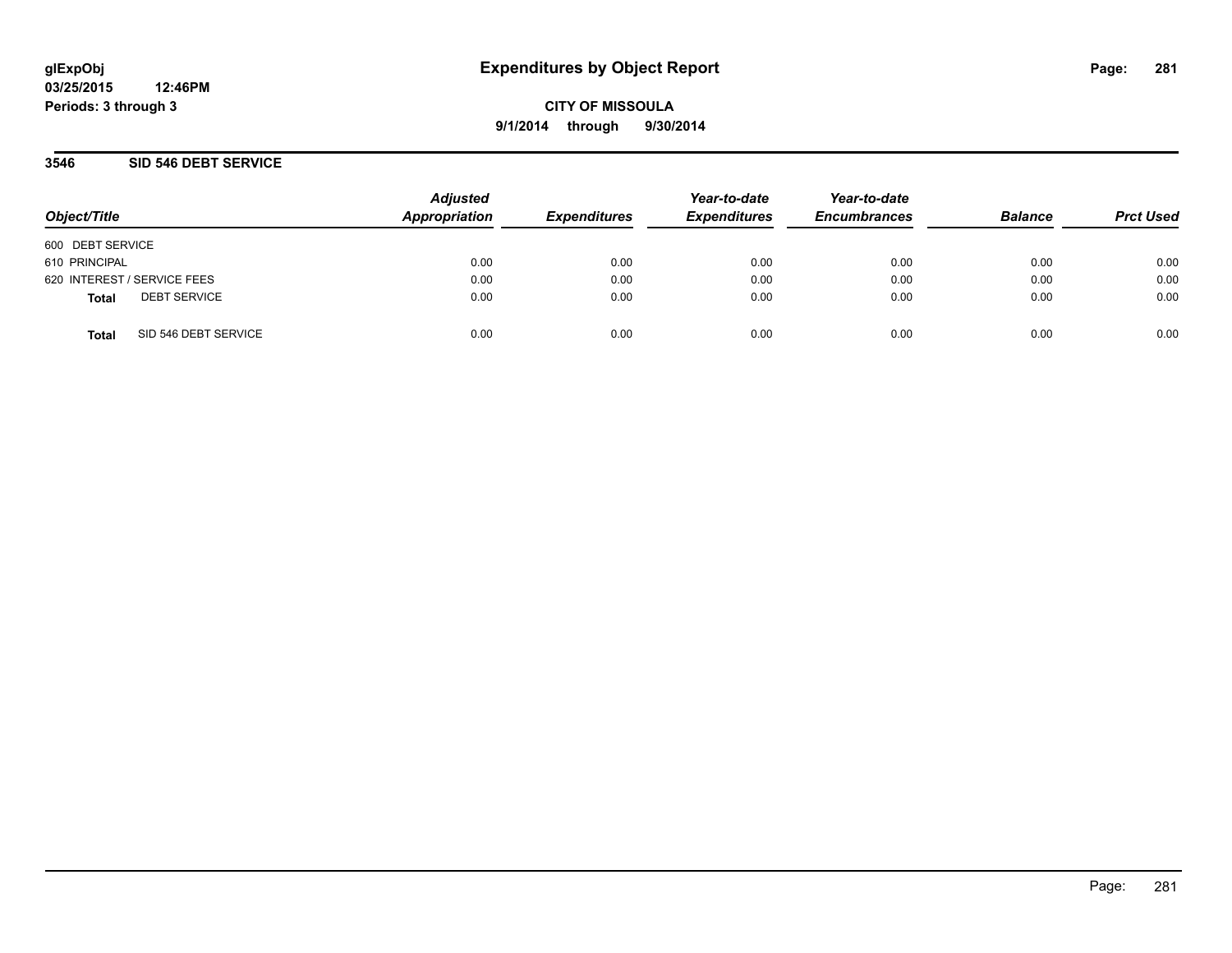**CITY OF MISSOULA 9/1/2014 through 9/30/2014**

### **3546 SID 546 DEBT SERVICE**

| Object/Title     |                             | <b>Adjusted</b><br>Appropriation | <b>Expenditures</b> | Year-to-date<br><b>Expenditures</b> | Year-to-date<br><b>Encumbrances</b> | <b>Balance</b> | <b>Prct Used</b> |
|------------------|-----------------------------|----------------------------------|---------------------|-------------------------------------|-------------------------------------|----------------|------------------|
| 600 DEBT SERVICE |                             |                                  |                     |                                     |                                     |                |                  |
| 610 PRINCIPAL    |                             | 0.00                             | 0.00                | 0.00                                | 0.00                                | 0.00           | 0.00             |
|                  | 620 INTEREST / SERVICE FEES | 0.00                             | 0.00                | 0.00                                | 0.00                                | 0.00           | 0.00             |
| <b>Total</b>     | <b>DEBT SERVICE</b>         | 0.00                             | 0.00                | 0.00                                | 0.00                                | 0.00           | 0.00             |
| <b>Total</b>     | SID 546 DEBT SERVICE        | 0.00                             | 0.00                | 0.00                                | 0.00                                | 0.00           | 0.00             |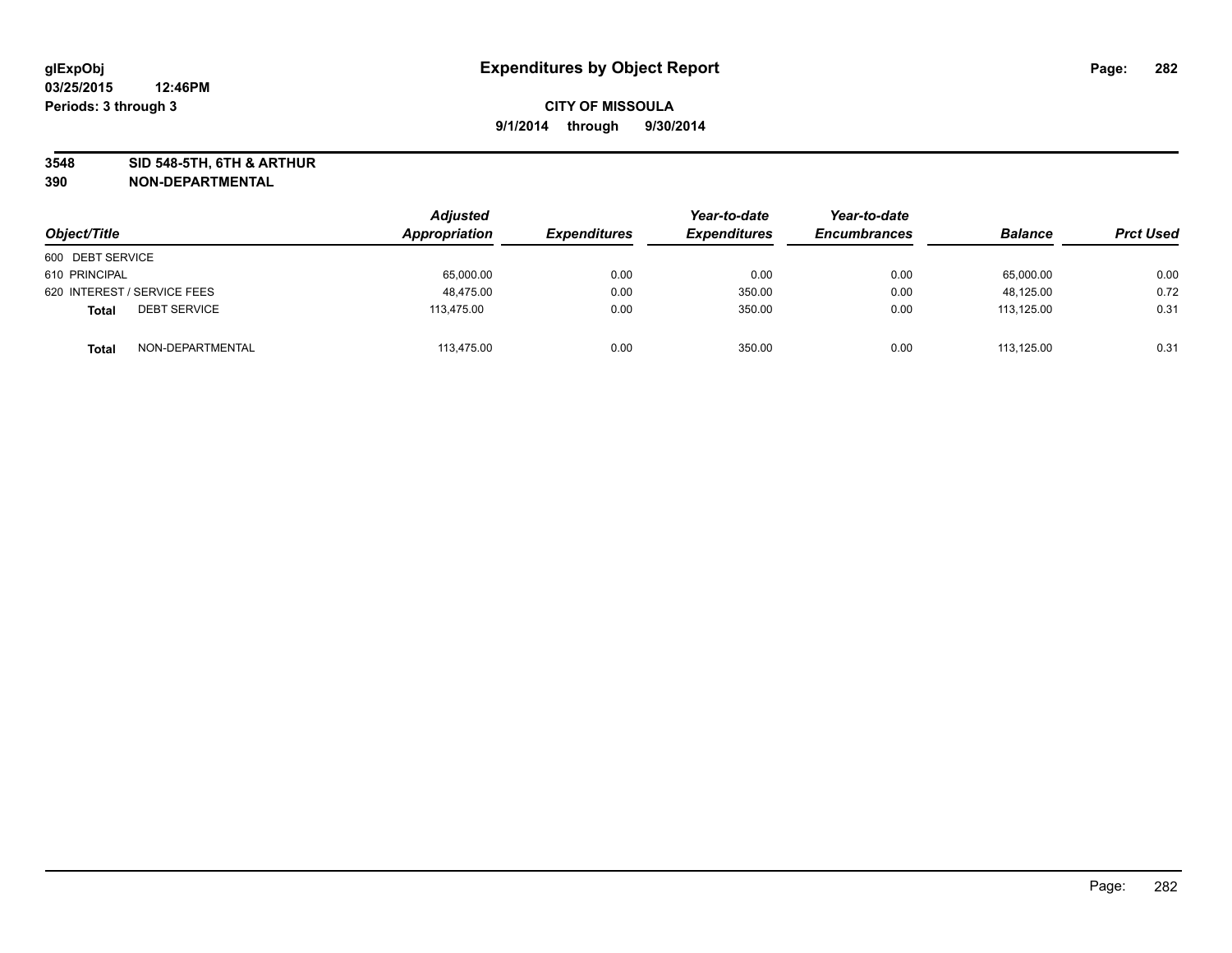**3548 SID 548-5TH, 6TH & ARTHUR**

| Object/Title                        | Adjusted<br>Appropriation | <b>Expenditures</b> | Year-to-date<br><b>Expenditures</b> | Year-to-date<br><b>Encumbrances</b> | <b>Balance</b> | <b>Prct Used</b> |
|-------------------------------------|---------------------------|---------------------|-------------------------------------|-------------------------------------|----------------|------------------|
| 600 DEBT SERVICE                    |                           |                     |                                     |                                     |                |                  |
| 610 PRINCIPAL                       | 65,000.00                 | 0.00                | 0.00                                | 0.00                                | 65,000.00      | 0.00             |
| 620 INTEREST / SERVICE FEES         | 48.475.00                 | 0.00                | 350.00                              | 0.00                                | 48,125.00      | 0.72             |
| <b>DEBT SERVICE</b><br><b>Total</b> | 113,475.00                | 0.00                | 350.00                              | 0.00                                | 113,125.00     | 0.31             |
| NON-DEPARTMENTAL<br><b>Total</b>    | 113,475.00                | 0.00                | 350.00                              | 0.00                                | 113.125.00     | 0.31             |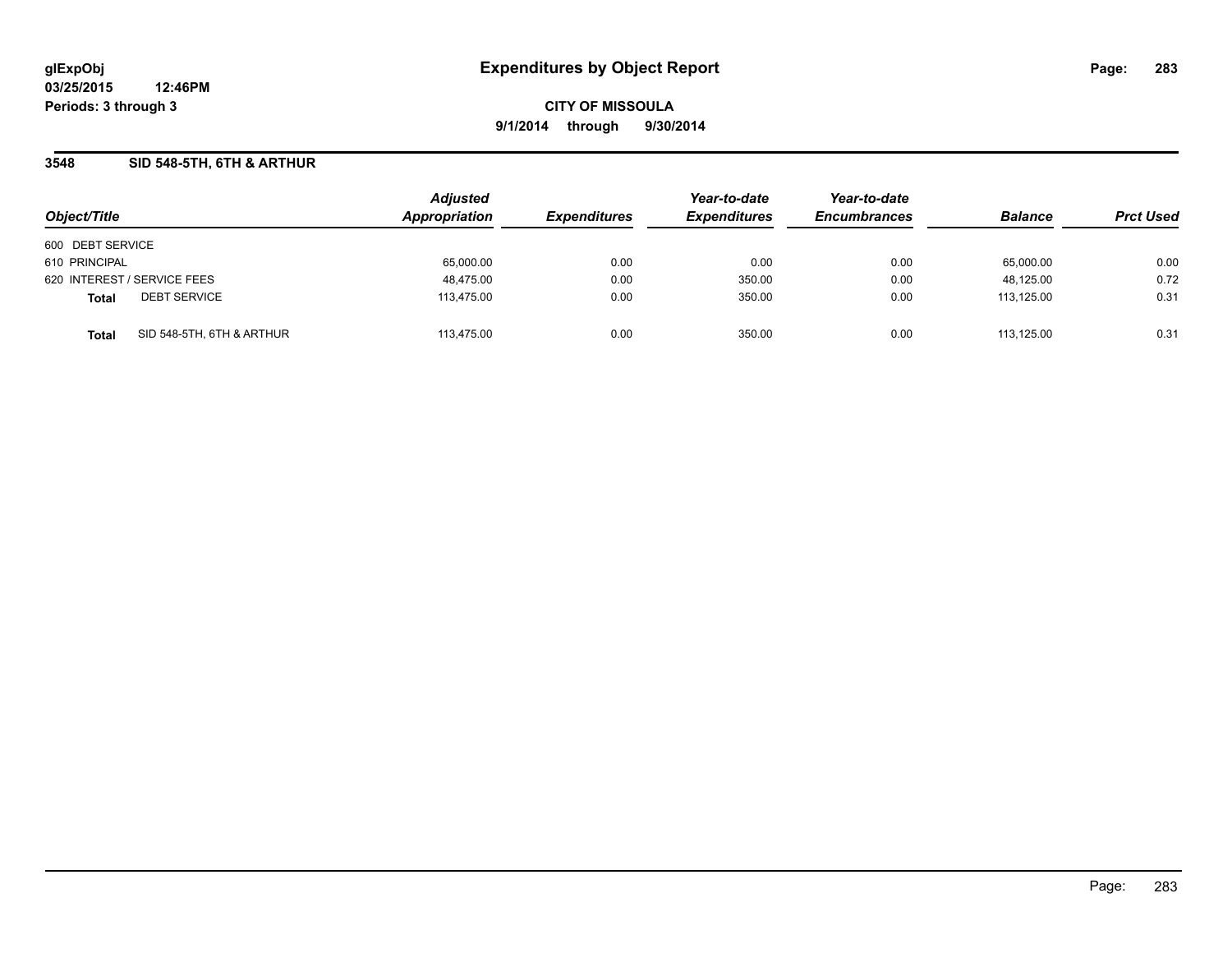**CITY OF MISSOULA 9/1/2014 through 9/30/2014**

## **3548 SID 548-5TH, 6TH & ARTHUR**

|                                           | <b>Adjusted</b> |                     | Year-to-date        | Year-to-date<br><b>Encumbrances</b> |                |                  |
|-------------------------------------------|-----------------|---------------------|---------------------|-------------------------------------|----------------|------------------|
| Object/Title                              | Appropriation   | <b>Expenditures</b> | <b>Expenditures</b> |                                     | <b>Balance</b> | <b>Prct Used</b> |
| 600 DEBT SERVICE                          |                 |                     |                     |                                     |                |                  |
| 610 PRINCIPAL                             | 65,000.00       | 0.00                | 0.00                | 0.00                                | 65,000.00      | 0.00             |
| 620 INTEREST / SERVICE FEES               | 48,475.00       | 0.00                | 350.00              | 0.00                                | 48,125.00      | 0.72             |
| <b>DEBT SERVICE</b><br><b>Total</b>       | 113,475.00      | 0.00                | 350.00              | 0.00                                | 113.125.00     | 0.31             |
| SID 548-5TH, 6TH & ARTHUR<br><b>Total</b> | 113.475.00      | 0.00                | 350.00              | 0.00                                | 113.125.00     | 0.31             |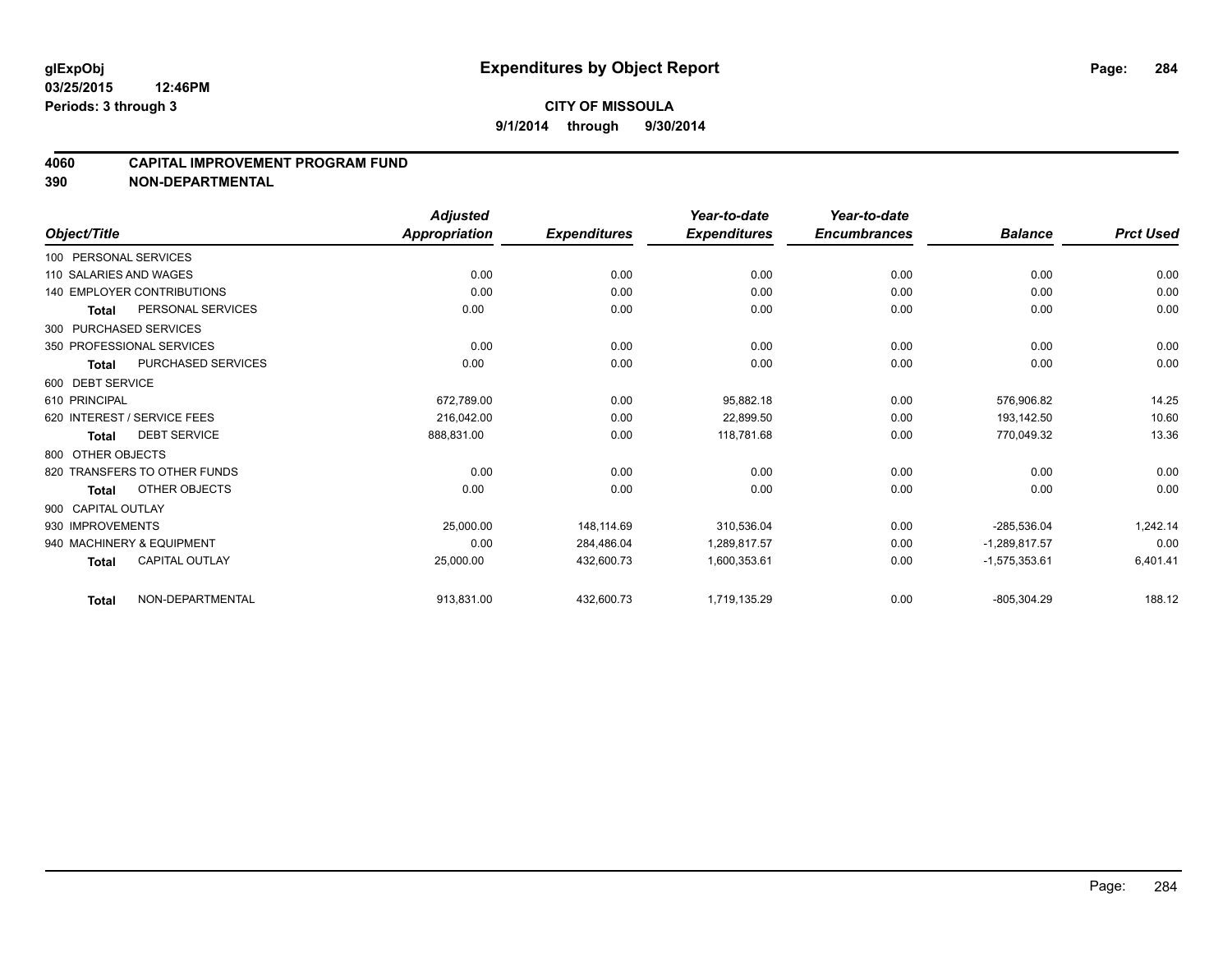#### **4060 CAPITAL IMPROVEMENT PROGRAM FUND**

|                                           | <b>Adjusted</b>      |                     | Year-to-date        | Year-to-date        |                 |                  |
|-------------------------------------------|----------------------|---------------------|---------------------|---------------------|-----------------|------------------|
| Object/Title                              | <b>Appropriation</b> | <b>Expenditures</b> | <b>Expenditures</b> | <b>Encumbrances</b> | <b>Balance</b>  | <b>Prct Used</b> |
| 100 PERSONAL SERVICES                     |                      |                     |                     |                     |                 |                  |
| 110 SALARIES AND WAGES                    | 0.00                 | 0.00                | 0.00                | 0.00                | 0.00            | 0.00             |
| 140 EMPLOYER CONTRIBUTIONS                | 0.00                 | 0.00                | 0.00                | 0.00                | 0.00            | 0.00             |
| PERSONAL SERVICES<br><b>Total</b>         | 0.00                 | 0.00                | 0.00                | 0.00                | 0.00            | 0.00             |
| 300 PURCHASED SERVICES                    |                      |                     |                     |                     |                 |                  |
| 350 PROFESSIONAL SERVICES                 | 0.00                 | 0.00                | 0.00                | 0.00                | 0.00            | 0.00             |
| <b>PURCHASED SERVICES</b><br><b>Total</b> | 0.00                 | 0.00                | 0.00                | 0.00                | 0.00            | 0.00             |
| 600 DEBT SERVICE                          |                      |                     |                     |                     |                 |                  |
| 610 PRINCIPAL                             | 672,789.00           | 0.00                | 95,882.18           | 0.00                | 576,906.82      | 14.25            |
| 620 INTEREST / SERVICE FEES               | 216.042.00           | 0.00                | 22,899.50           | 0.00                | 193,142.50      | 10.60            |
| <b>DEBT SERVICE</b><br>Total              | 888,831.00           | 0.00                | 118.781.68          | 0.00                | 770,049.32      | 13.36            |
| 800 OTHER OBJECTS                         |                      |                     |                     |                     |                 |                  |
| 820 TRANSFERS TO OTHER FUNDS              | 0.00                 | 0.00                | 0.00                | 0.00                | 0.00            | 0.00             |
| OTHER OBJECTS<br><b>Total</b>             | 0.00                 | 0.00                | 0.00                | 0.00                | 0.00            | 0.00             |
| 900 CAPITAL OUTLAY                        |                      |                     |                     |                     |                 |                  |
| 930 IMPROVEMENTS                          | 25,000.00            | 148,114.69          | 310,536.04          | 0.00                | $-285,536.04$   | 1,242.14         |
| 940 MACHINERY & EQUIPMENT                 | 0.00                 | 284,486.04          | 1,289,817.57        | 0.00                | $-1,289,817.57$ | 0.00             |
| <b>CAPITAL OUTLAY</b><br><b>Total</b>     | 25,000.00            | 432,600.73          | 1,600,353.61        | 0.00                | $-1,575,353.61$ | 6,401.41         |
| NON-DEPARTMENTAL<br><b>Total</b>          | 913,831.00           | 432,600.73          | 1,719,135.29        | 0.00                | $-805,304.29$   | 188.12           |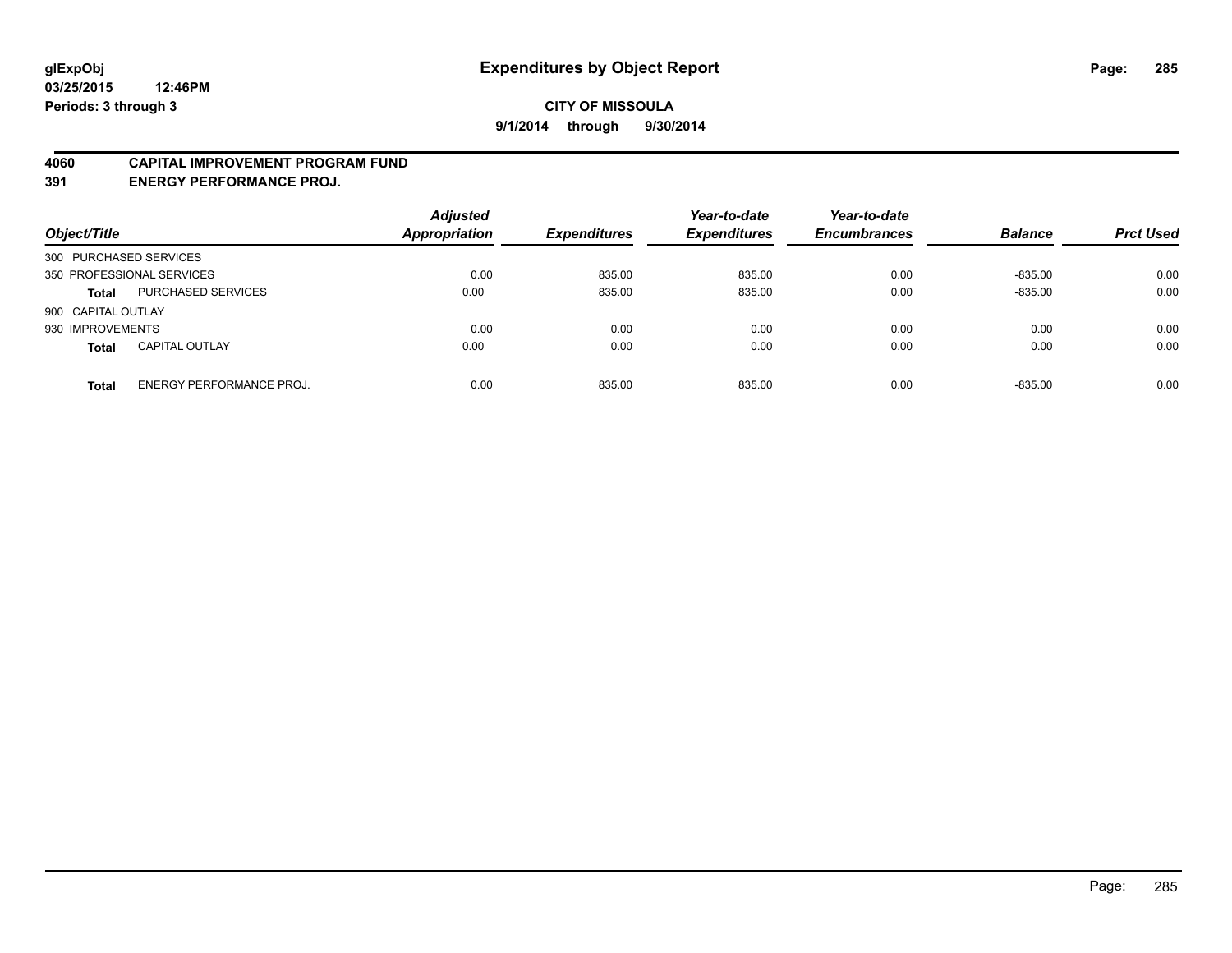#### **4060 CAPITAL IMPROVEMENT PROGRAM FUND**

**391 ENERGY PERFORMANCE PROJ.**

| Object/Title                                    | <b>Adjusted</b><br><b>Appropriation</b> | <b>Expenditures</b> | Year-to-date<br><b>Expenditures</b> | Year-to-date<br><b>Encumbrances</b> | <b>Balance</b> | <b>Prct Used</b> |
|-------------------------------------------------|-----------------------------------------|---------------------|-------------------------------------|-------------------------------------|----------------|------------------|
| 300 PURCHASED SERVICES                          |                                         |                     |                                     |                                     |                |                  |
| 350 PROFESSIONAL SERVICES                       | 0.00                                    | 835.00              | 835.00                              | 0.00                                | $-835.00$      | 0.00             |
| PURCHASED SERVICES<br><b>Total</b>              | 0.00                                    | 835.00              | 835.00                              | 0.00                                | $-835.00$      | 0.00             |
| 900 CAPITAL OUTLAY                              |                                         |                     |                                     |                                     |                |                  |
| 930 IMPROVEMENTS                                | 0.00                                    | 0.00                | 0.00                                | 0.00                                | 0.00           | 0.00             |
| <b>CAPITAL OUTLAY</b><br><b>Total</b>           | 0.00                                    | 0.00                | 0.00                                | 0.00                                | 0.00           | 0.00             |
| <b>ENERGY PERFORMANCE PROJ.</b><br><b>Total</b> | 0.00                                    | 835.00              | 835.00                              | 0.00                                | $-835.00$      | 0.00             |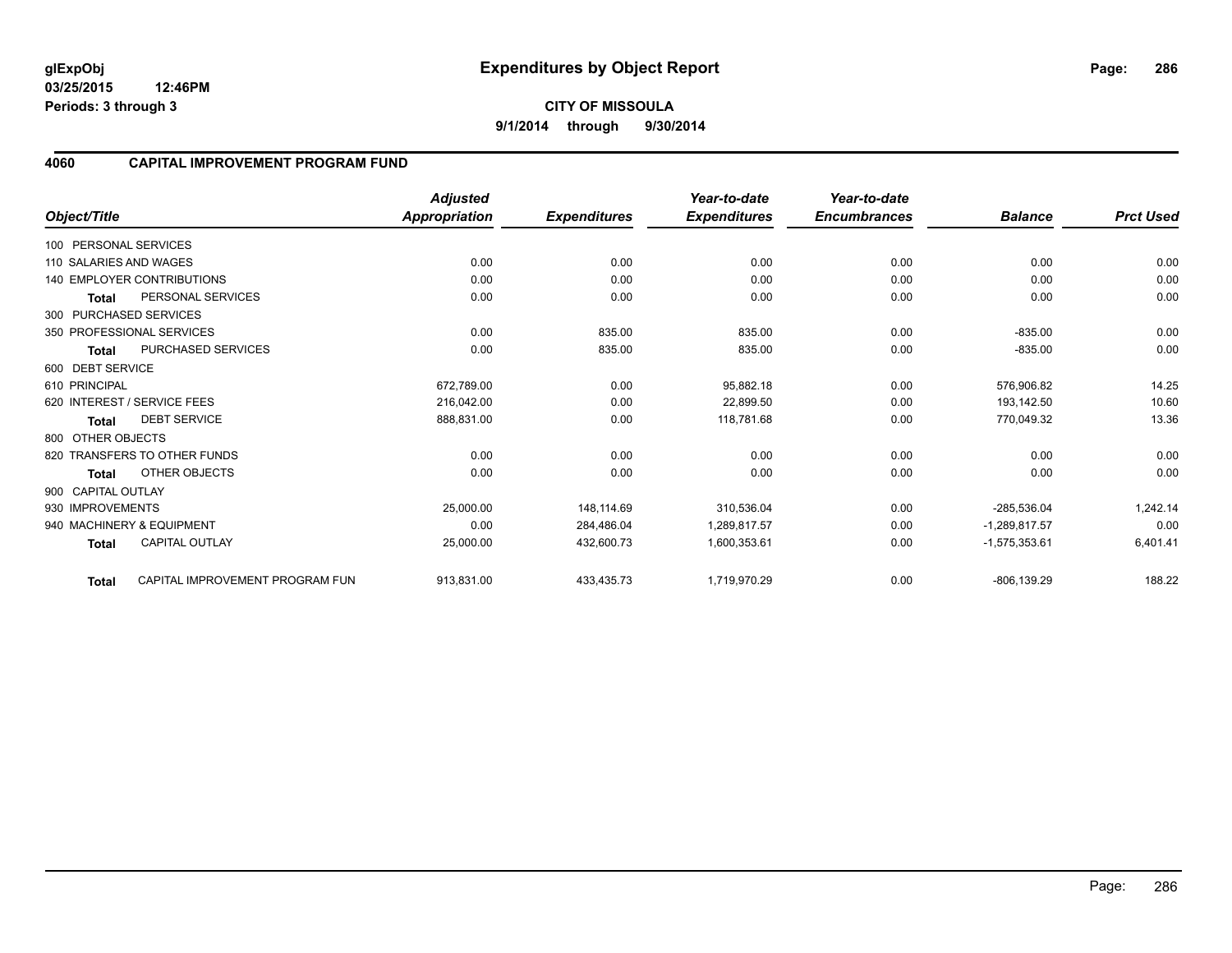### **4060 CAPITAL IMPROVEMENT PROGRAM FUND**

|                        |                                   | <b>Adjusted</b>      |                     | Year-to-date        | Year-to-date        |                 |                  |
|------------------------|-----------------------------------|----------------------|---------------------|---------------------|---------------------|-----------------|------------------|
| Object/Title           |                                   | <b>Appropriation</b> | <b>Expenditures</b> | <b>Expenditures</b> | <b>Encumbrances</b> | <b>Balance</b>  | <b>Prct Used</b> |
| 100 PERSONAL SERVICES  |                                   |                      |                     |                     |                     |                 |                  |
| 110 SALARIES AND WAGES |                                   | 0.00                 | 0.00                | 0.00                | 0.00                | 0.00            | 0.00             |
|                        | <b>140 EMPLOYER CONTRIBUTIONS</b> | 0.00                 | 0.00                | 0.00                | 0.00                | 0.00            | 0.00             |
| <b>Total</b>           | PERSONAL SERVICES                 | 0.00                 | 0.00                | 0.00                | 0.00                | 0.00            | 0.00             |
| 300 PURCHASED SERVICES |                                   |                      |                     |                     |                     |                 |                  |
|                        | 350 PROFESSIONAL SERVICES         | 0.00                 | 835.00              | 835.00              | 0.00                | $-835.00$       | 0.00             |
| <b>Total</b>           | <b>PURCHASED SERVICES</b>         | 0.00                 | 835.00              | 835.00              | 0.00                | $-835.00$       | 0.00             |
| 600 DEBT SERVICE       |                                   |                      |                     |                     |                     |                 |                  |
| 610 PRINCIPAL          |                                   | 672,789.00           | 0.00                | 95,882.18           | 0.00                | 576.906.82      | 14.25            |
|                        | 620 INTEREST / SERVICE FEES       | 216.042.00           | 0.00                | 22.899.50           | 0.00                | 193,142.50      | 10.60            |
| Total                  | <b>DEBT SERVICE</b>               | 888,831.00           | 0.00                | 118,781.68          | 0.00                | 770,049.32      | 13.36            |
| 800 OTHER OBJECTS      |                                   |                      |                     |                     |                     |                 |                  |
|                        | 820 TRANSFERS TO OTHER FUNDS      | 0.00                 | 0.00                | 0.00                | 0.00                | 0.00            | 0.00             |
| <b>Total</b>           | <b>OTHER OBJECTS</b>              | 0.00                 | 0.00                | 0.00                | 0.00                | 0.00            | 0.00             |
| 900 CAPITAL OUTLAY     |                                   |                      |                     |                     |                     |                 |                  |
| 930 IMPROVEMENTS       |                                   | 25,000.00            | 148,114.69          | 310,536.04          | 0.00                | $-285,536.04$   | 1,242.14         |
|                        | 940 MACHINERY & EQUIPMENT         | 0.00                 | 284,486.04          | 1,289,817.57        | 0.00                | $-1.289.817.57$ | 0.00             |
| <b>Total</b>           | <b>CAPITAL OUTLAY</b>             | 25,000.00            | 432,600.73          | 1,600,353.61        | 0.00                | $-1,575,353.61$ | 6,401.41         |
| Total                  | CAPITAL IMPROVEMENT PROGRAM FUN   | 913,831.00           | 433,435.73          | 1,719,970.29        | 0.00                | $-806, 139.29$  | 188.22           |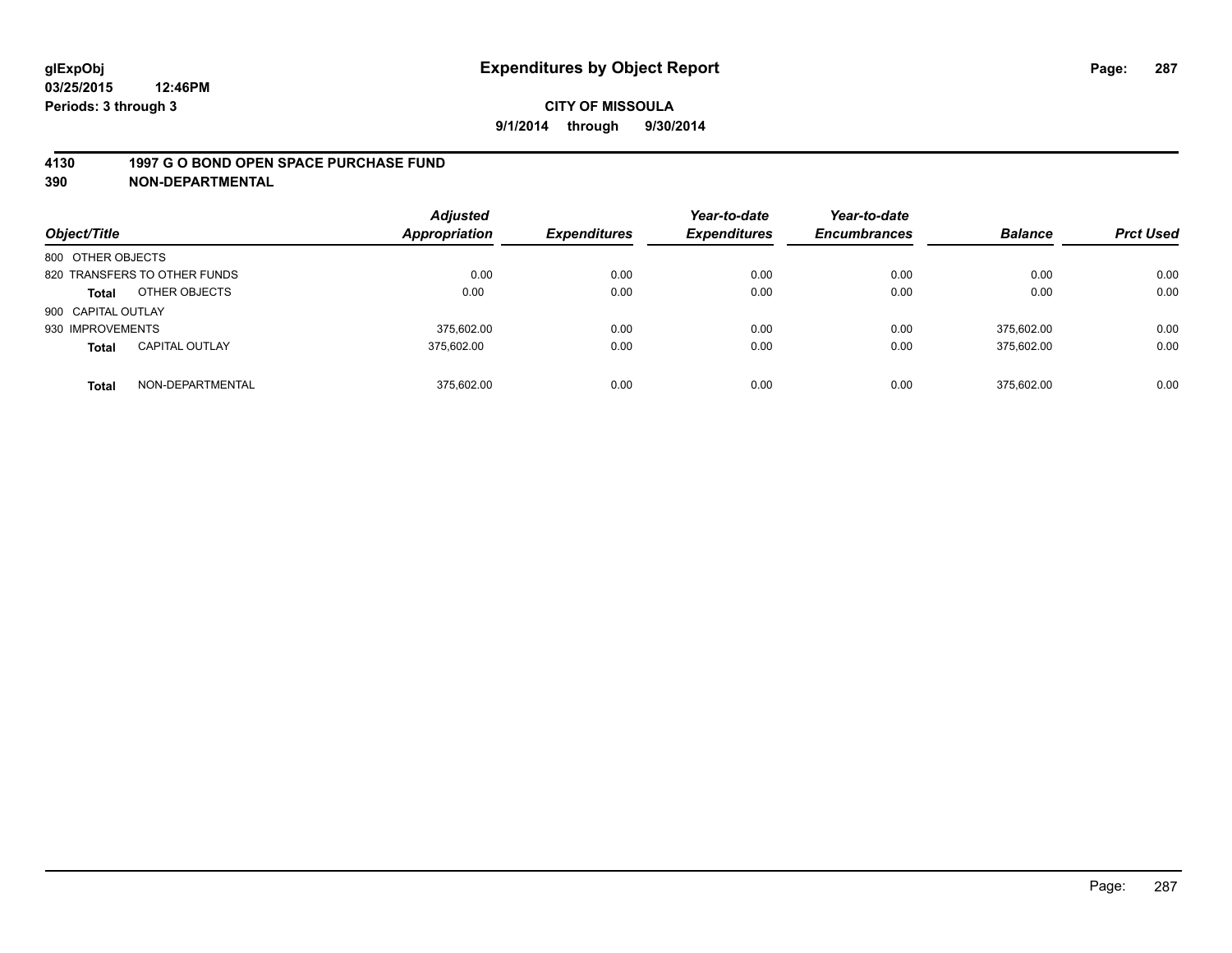### **4130 1997 G O BOND OPEN SPACE PURCHASE FUND**

| Object/Title       |                              | <b>Adjusted</b><br>Appropriation | <b>Expenditures</b> | Year-to-date<br><b>Expenditures</b> | Year-to-date<br><b>Encumbrances</b> | <b>Balance</b> | <b>Prct Used</b> |
|--------------------|------------------------------|----------------------------------|---------------------|-------------------------------------|-------------------------------------|----------------|------------------|
| 800 OTHER OBJECTS  |                              |                                  |                     |                                     |                                     |                |                  |
|                    | 820 TRANSFERS TO OTHER FUNDS | 0.00                             | 0.00                | 0.00                                | 0.00                                | 0.00           | 0.00             |
| <b>Total</b>       | OTHER OBJECTS                | 0.00                             | 0.00                | 0.00                                | 0.00                                | 0.00           | 0.00             |
| 900 CAPITAL OUTLAY |                              |                                  |                     |                                     |                                     |                |                  |
| 930 IMPROVEMENTS   |                              | 375.602.00                       | 0.00                | 0.00                                | 0.00                                | 375.602.00     | 0.00             |
| <b>Total</b>       | <b>CAPITAL OUTLAY</b>        | 375.602.00                       | 0.00                | 0.00                                | 0.00                                | 375,602.00     | 0.00             |
| <b>Total</b>       | NON-DEPARTMENTAL             | 375.602.00                       | 0.00                | 0.00                                | 0.00                                | 375.602.00     | 0.00             |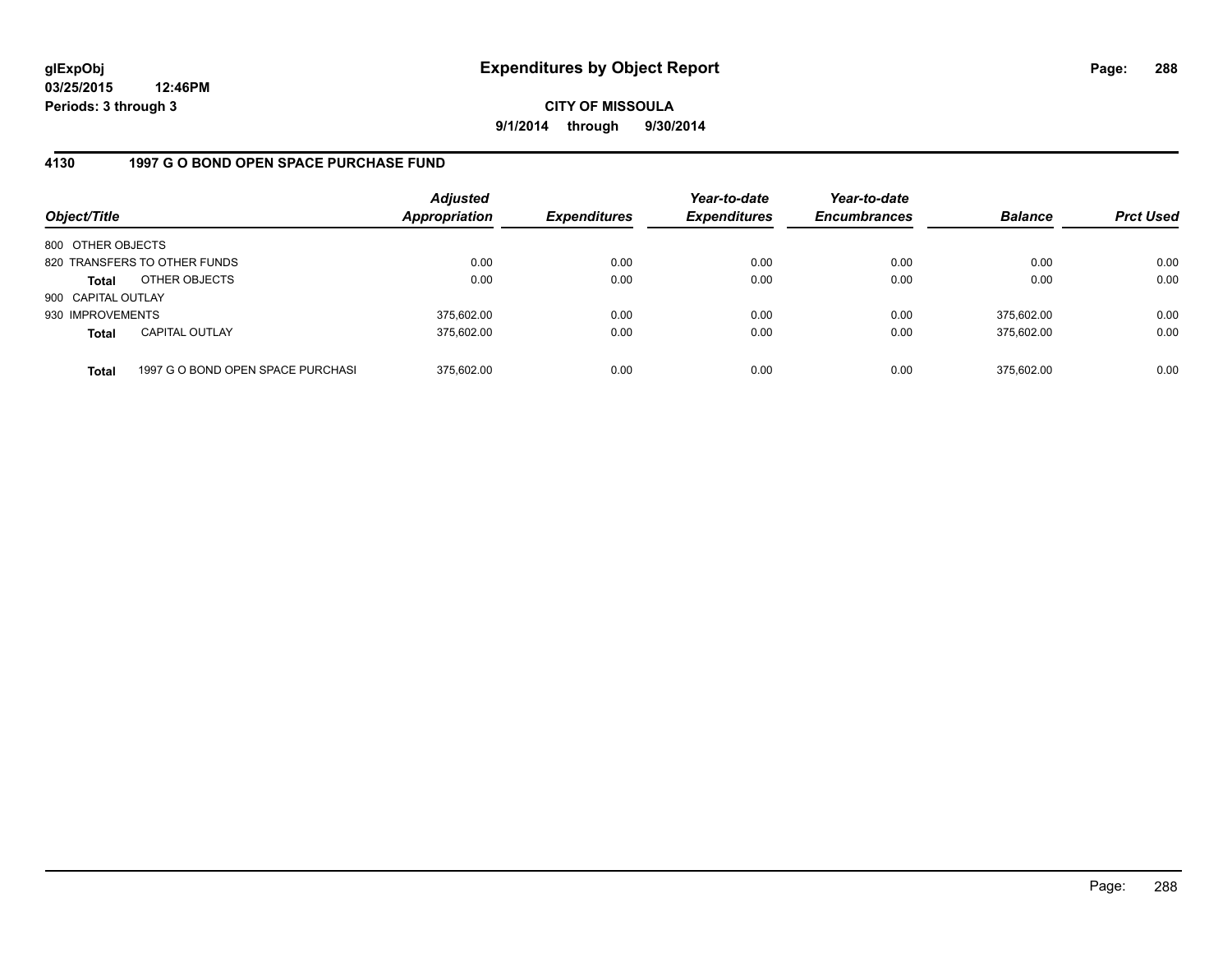**CITY OF MISSOULA 9/1/2014 through 9/30/2014**

## **4130 1997 G O BOND OPEN SPACE PURCHASE FUND**

| Object/Title       |                                   | <b>Adjusted</b><br><b>Appropriation</b> | <b>Expenditures</b> | Year-to-date<br><b>Expenditures</b> | Year-to-date<br><b>Encumbrances</b> | <b>Balance</b> | <b>Prct Used</b> |
|--------------------|-----------------------------------|-----------------------------------------|---------------------|-------------------------------------|-------------------------------------|----------------|------------------|
| 800 OTHER OBJECTS  |                                   |                                         |                     |                                     |                                     |                |                  |
|                    | 820 TRANSFERS TO OTHER FUNDS      | 0.00                                    | 0.00                | 0.00                                | 0.00                                | 0.00           | 0.00             |
| <b>Total</b>       | OTHER OBJECTS                     | 0.00                                    | 0.00                | 0.00                                | 0.00                                | 0.00           | 0.00             |
| 900 CAPITAL OUTLAY |                                   |                                         |                     |                                     |                                     |                |                  |
| 930 IMPROVEMENTS   |                                   | 375,602.00                              | 0.00                | 0.00                                | 0.00                                | 375.602.00     | 0.00             |
| <b>Total</b>       | <b>CAPITAL OUTLAY</b>             | 375,602.00                              | 0.00                | 0.00                                | 0.00                                | 375.602.00     | 0.00             |
| <b>Total</b>       | 1997 G O BOND OPEN SPACE PURCHASI | 375,602.00                              | 0.00                | 0.00                                | 0.00                                | 375,602.00     | 0.00             |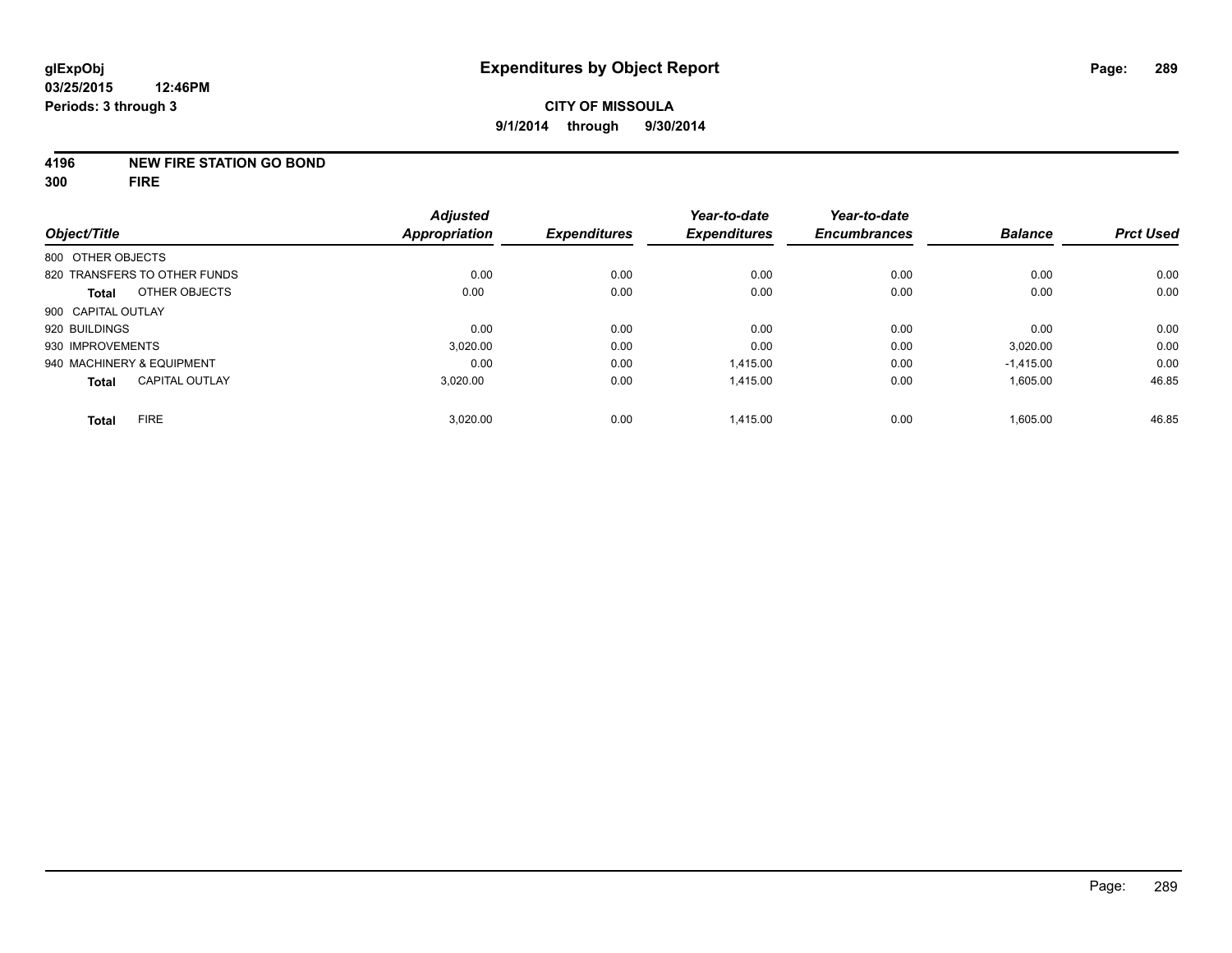#### **4196 NEW FIRE STATION GO BOND**

**300 FIRE**

| Object/Title                 |                       | <b>Adjusted</b><br><b>Appropriation</b> | <b>Expenditures</b> | Year-to-date<br><b>Expenditures</b> | Year-to-date<br><b>Encumbrances</b> | <b>Balance</b> | <b>Prct Used</b> |
|------------------------------|-----------------------|-----------------------------------------|---------------------|-------------------------------------|-------------------------------------|----------------|------------------|
|                              |                       |                                         |                     |                                     |                                     |                |                  |
| 800 OTHER OBJECTS            |                       |                                         |                     |                                     |                                     |                |                  |
| 820 TRANSFERS TO OTHER FUNDS |                       | 0.00                                    | 0.00                | 0.00                                | 0.00                                | 0.00           | 0.00             |
| <b>Total</b>                 | OTHER OBJECTS         | 0.00                                    | 0.00                | 0.00                                | 0.00                                | 0.00           | 0.00             |
| 900 CAPITAL OUTLAY           |                       |                                         |                     |                                     |                                     |                |                  |
| 920 BUILDINGS                |                       | 0.00                                    | 0.00                | 0.00                                | 0.00                                | 0.00           | 0.00             |
| 930 IMPROVEMENTS             |                       | 3.020.00                                | 0.00                | 0.00                                | 0.00                                | 3,020.00       | 0.00             |
| 940 MACHINERY & EQUIPMENT    |                       | 0.00                                    | 0.00                | 1.415.00                            | 0.00                                | $-1.415.00$    | 0.00             |
| <b>Total</b>                 | <b>CAPITAL OUTLAY</b> | 3,020.00                                | 0.00                | 1,415.00                            | 0.00                                | 1,605.00       | 46.85            |
| <b>FIRE</b><br><b>Total</b>  |                       | 3,020.00                                | 0.00                | 1,415.00                            | 0.00                                | 1,605.00       | 46.85            |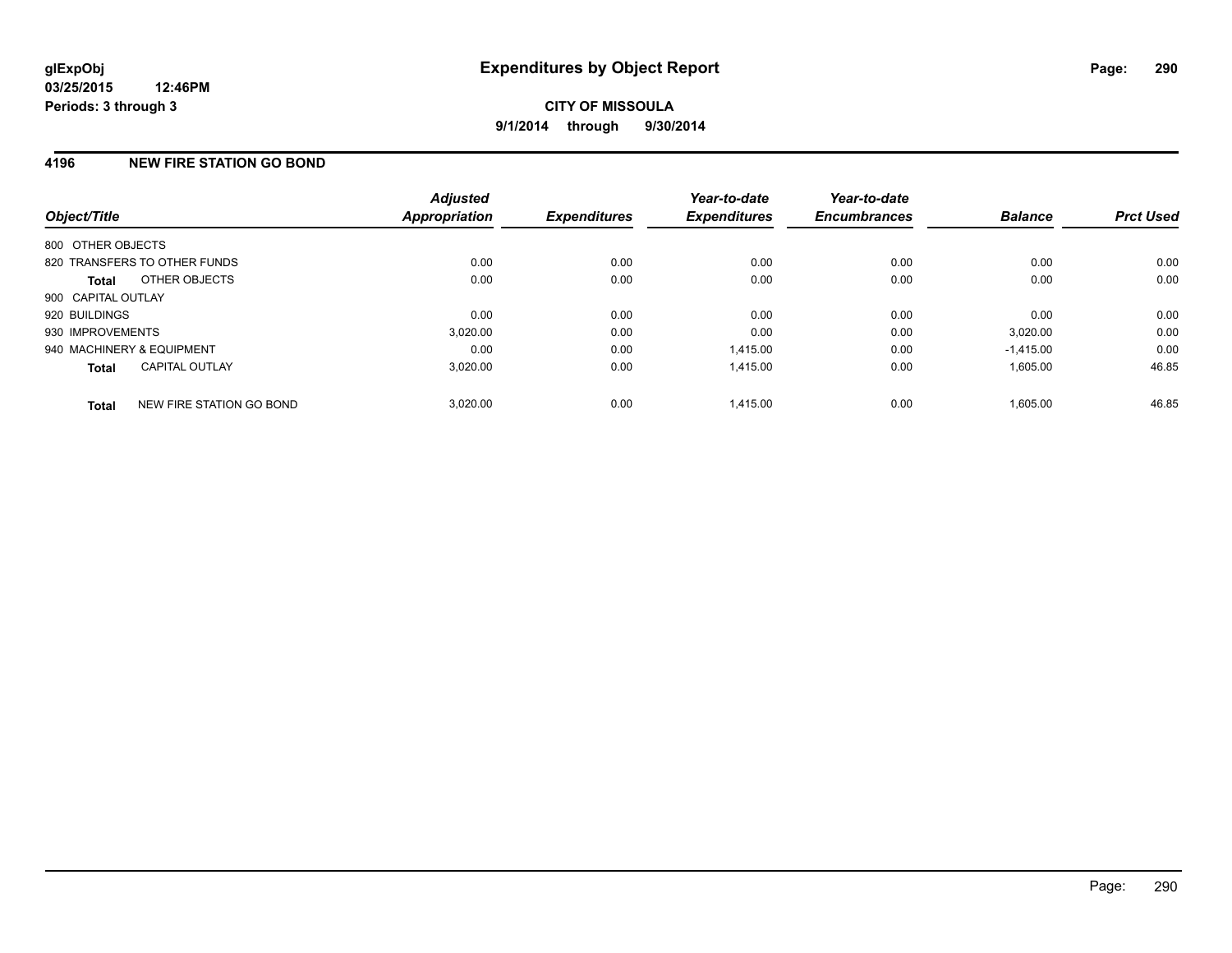## **4196 NEW FIRE STATION GO BOND**

| Object/Title              |                              | <b>Adjusted</b><br>Appropriation | <b>Expenditures</b> | Year-to-date<br><b>Expenditures</b> | Year-to-date<br><b>Encumbrances</b> | <b>Balance</b> | <b>Prct Used</b> |
|---------------------------|------------------------------|----------------------------------|---------------------|-------------------------------------|-------------------------------------|----------------|------------------|
| 800 OTHER OBJECTS         |                              |                                  |                     |                                     |                                     |                |                  |
|                           | 820 TRANSFERS TO OTHER FUNDS | 0.00                             | 0.00                | 0.00                                | 0.00                                | 0.00           | 0.00             |
| <b>Total</b>              | OTHER OBJECTS                | 0.00                             | 0.00                | 0.00                                | 0.00                                | 0.00           | 0.00             |
| 900 CAPITAL OUTLAY        |                              |                                  |                     |                                     |                                     |                |                  |
| 920 BUILDINGS             |                              | 0.00                             | 0.00                | 0.00                                | 0.00                                | 0.00           | 0.00             |
| 930 IMPROVEMENTS          |                              | 3,020.00                         | 0.00                | 0.00                                | 0.00                                | 3,020.00       | 0.00             |
| 940 MACHINERY & EQUIPMENT |                              | 0.00                             | 0.00                | 1.415.00                            | 0.00                                | $-1,415.00$    | 0.00             |
| <b>Total</b>              | <b>CAPITAL OUTLAY</b>        | 3,020.00                         | 0.00                | 1,415.00                            | 0.00                                | 1,605.00       | 46.85            |
| <b>Total</b>              | NEW FIRE STATION GO BOND     | 3.020.00                         | 0.00                | 1.415.00                            | 0.00                                | 1.605.00       | 46.85            |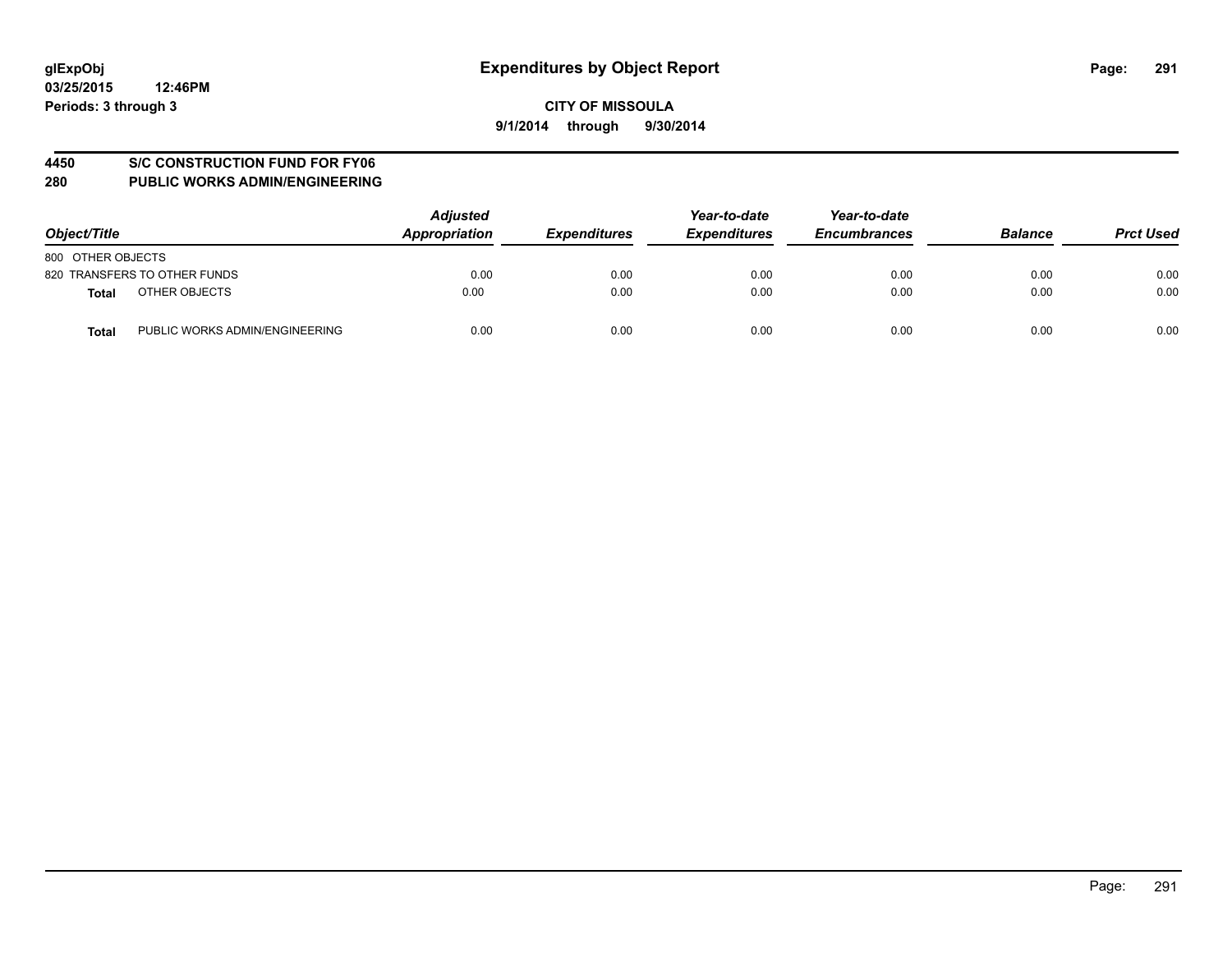#### **4450 S/C CONSTRUCTION FUND FOR FY06**

| Object/Title                                   | <b>Adjusted</b><br>Appropriation | <b>Expenditures</b> | Year-to-date<br><b>Expenditures</b> | Year-to-date<br><b>Encumbrances</b> | <b>Balance</b> | <b>Prct Used</b> |
|------------------------------------------------|----------------------------------|---------------------|-------------------------------------|-------------------------------------|----------------|------------------|
| 800 OTHER OBJECTS                              |                                  |                     |                                     |                                     |                |                  |
| 820 TRANSFERS TO OTHER FUNDS                   | 0.00                             | 0.00                | 0.00                                | 0.00                                | 0.00           | 0.00             |
| OTHER OBJECTS<br>Total                         | 0.00                             | 0.00                | 0.00                                | 0.00                                | 0.00           | 0.00             |
| PUBLIC WORKS ADMIN/ENGINEERING<br><b>Total</b> | 0.00                             | 0.00                | 0.00                                | 0.00                                | 0.00           | 0.00             |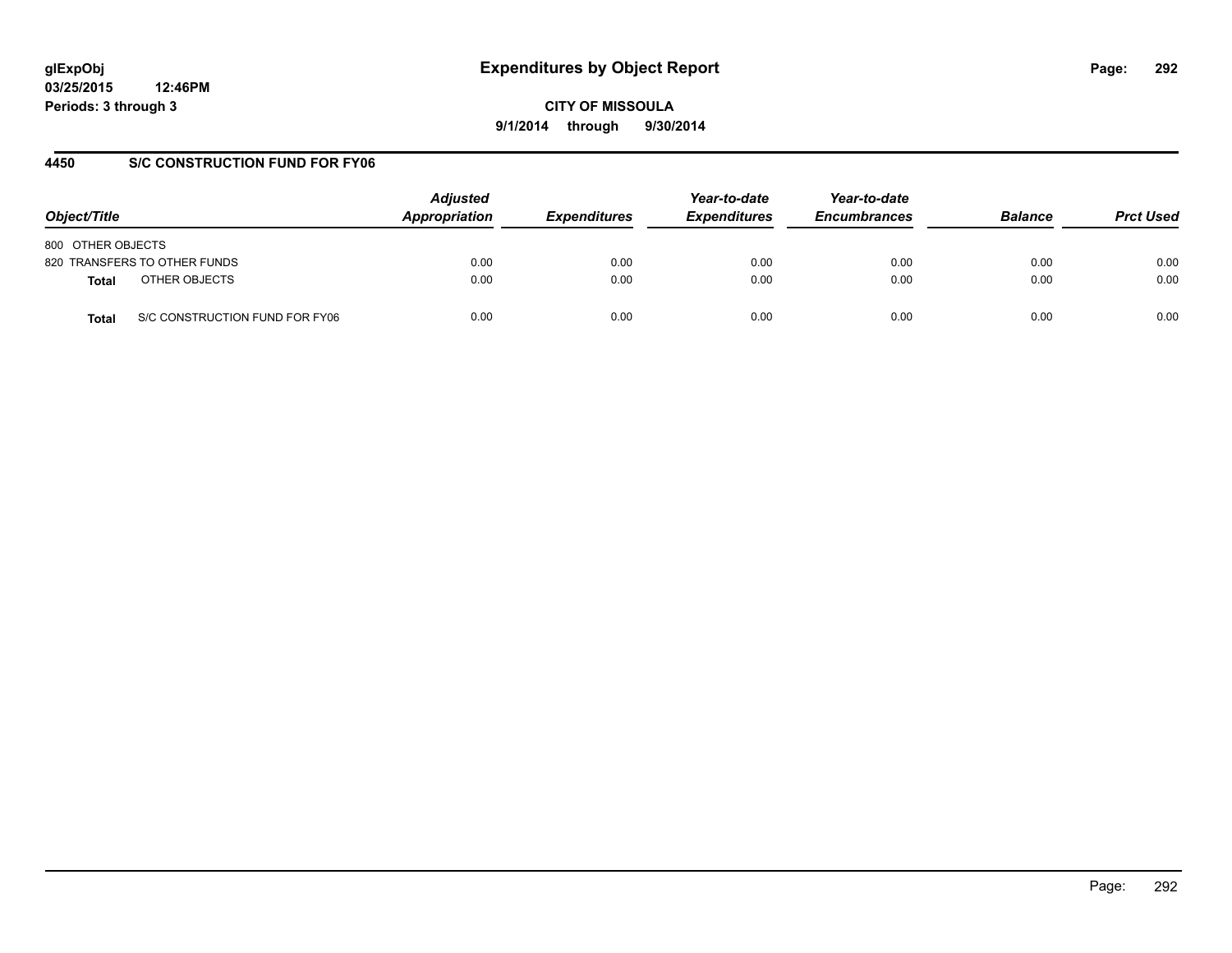# **glExpObj Expenditures by Object Report Page: 292**

**03/25/2015 12:46PM Periods: 3 through 3**

**CITY OF MISSOULA 9/1/2014 through 9/30/2014**

#### **4450 S/C CONSTRUCTION FUND FOR FY06**

| Object/Title                            | <b>Adjusted</b><br>Appropriation | <b>Expenditures</b> | Year-to-date<br><b>Expenditures</b> | Year-to-date<br><b>Encumbrances</b> | <b>Balance</b> | <b>Prct Used</b> |
|-----------------------------------------|----------------------------------|---------------------|-------------------------------------|-------------------------------------|----------------|------------------|
| 800 OTHER OBJECTS                       |                                  |                     |                                     |                                     |                |                  |
| 820 TRANSFERS TO OTHER FUNDS            | 0.00                             | 0.00                | 0.00                                | 0.00                                | 0.00           | 0.00             |
| OTHER OBJECTS<br><b>Total</b>           | 0.00                             | 0.00                | 0.00                                | 0.00                                | 0.00           | 0.00             |
| S/C CONSTRUCTION FUND FOR FY06<br>Total | 0.00                             | 0.00                | 0.00                                | 0.00                                | 0.00           | 0.00             |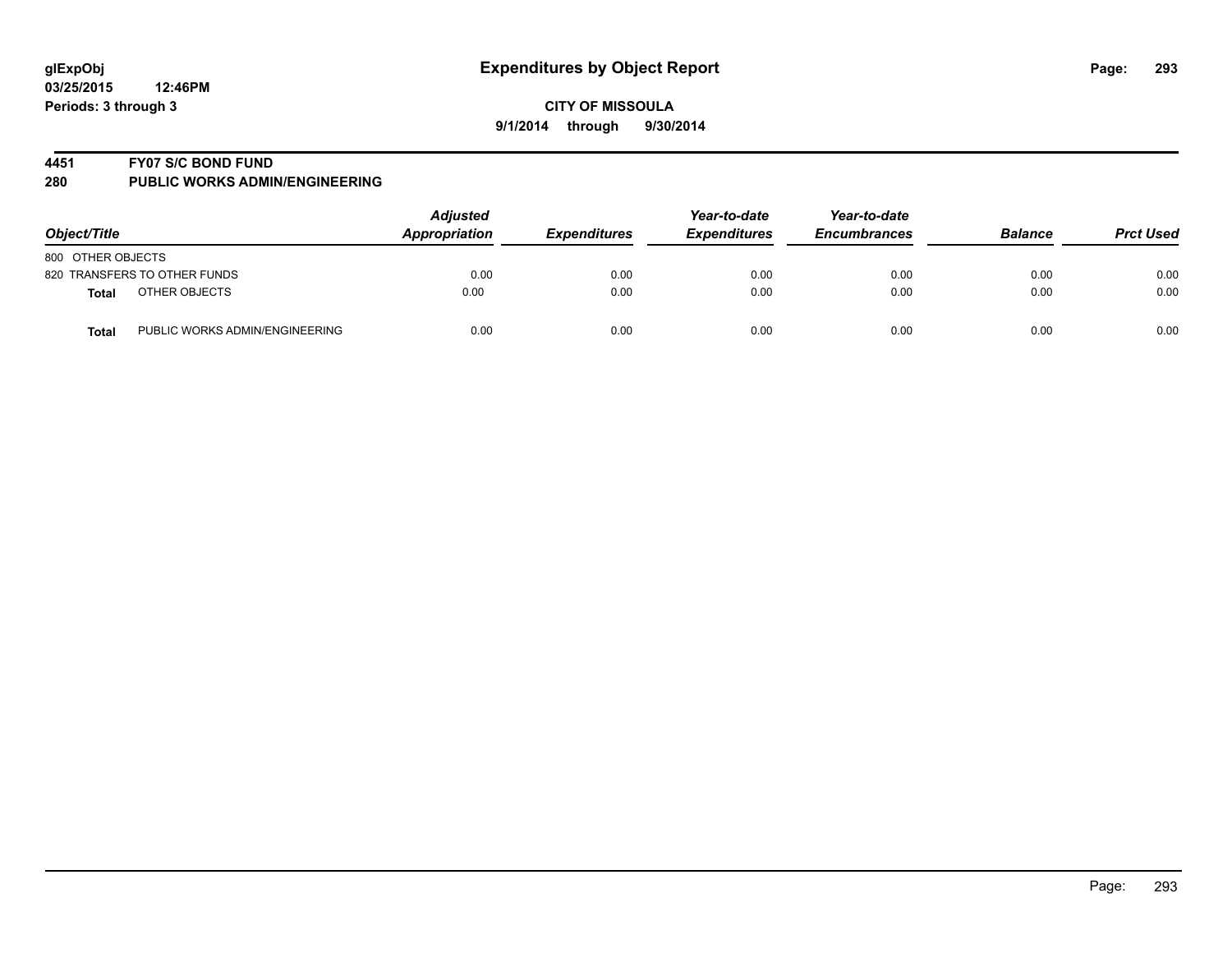#### **4451 FY07 S/C BOND FUND**

| Object/Title                                   | <b>Adjusted</b><br>Appropriation | <b>Expenditures</b> | Year-to-date<br><b>Expenditures</b> | Year-to-date<br><b>Encumbrances</b> | <b>Balance</b> | <b>Prct Used</b> |
|------------------------------------------------|----------------------------------|---------------------|-------------------------------------|-------------------------------------|----------------|------------------|
| 800 OTHER OBJECTS                              |                                  |                     |                                     |                                     |                |                  |
| 820 TRANSFERS TO OTHER FUNDS                   | 0.00                             | 0.00                | 0.00                                | 0.00                                | 0.00           | 0.00             |
| OTHER OBJECTS<br>Total                         | 0.00                             | 0.00                | 0.00                                | 0.00                                | 0.00           | 0.00             |
| PUBLIC WORKS ADMIN/ENGINEERING<br><b>Total</b> | 0.00                             | 0.00                | 0.00                                | 0.00                                | 0.00           | 0.00             |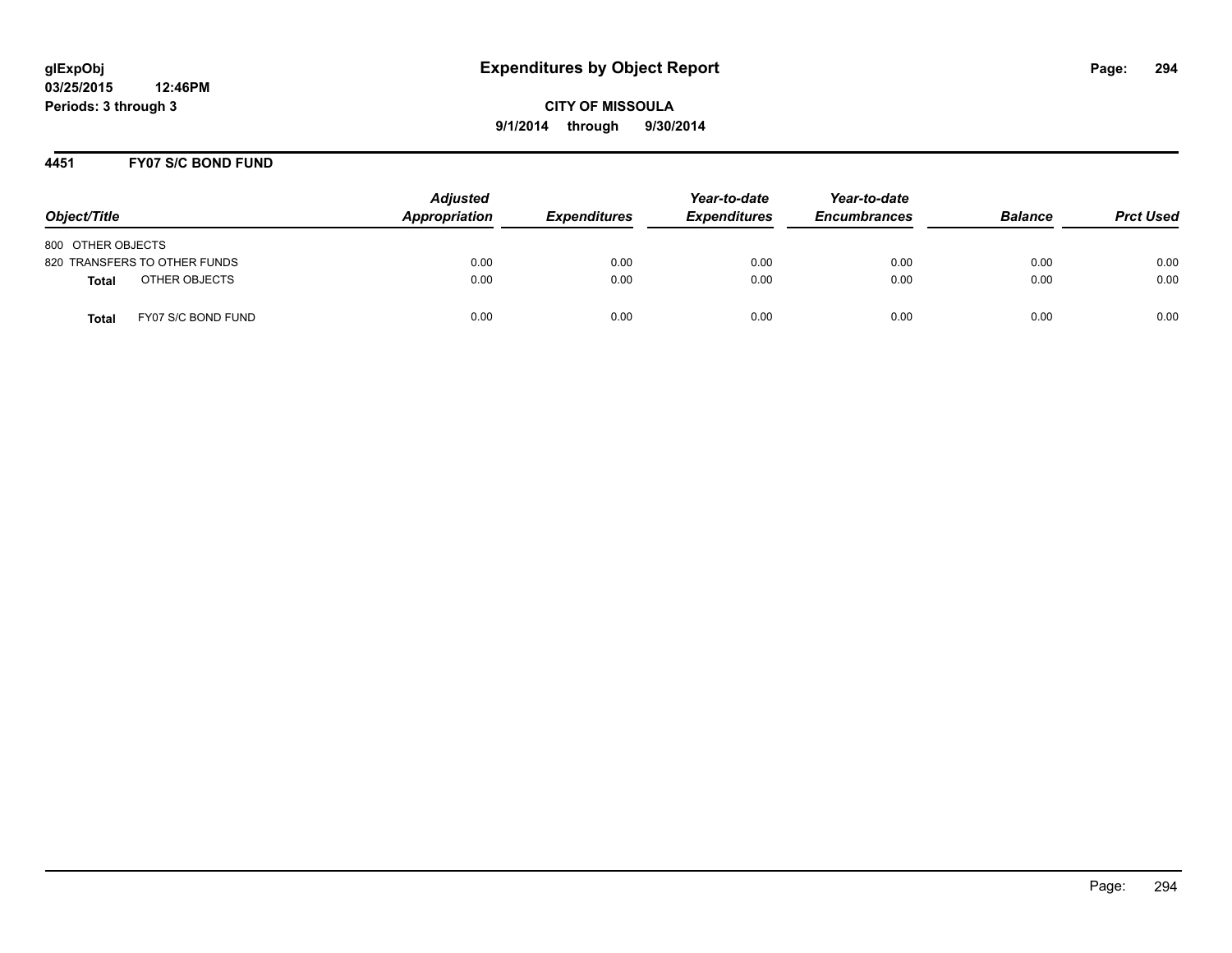#### **4451 FY07 S/C BOND FUND**

| Object/Title                       | <b>Adjusted</b><br>Appropriation | <b>Expenditures</b> | Year-to-date<br><b>Expenditures</b> | Year-to-date<br><b>Encumbrances</b> | <b>Balance</b> | <b>Prct Used</b> |
|------------------------------------|----------------------------------|---------------------|-------------------------------------|-------------------------------------|----------------|------------------|
| 800 OTHER OBJECTS                  |                                  |                     |                                     |                                     |                |                  |
| 820 TRANSFERS TO OTHER FUNDS       | 0.00                             | 0.00                | 0.00                                | 0.00                                | 0.00           | 0.00             |
| OTHER OBJECTS<br>Total             | 0.00                             | 0.00                | 0.00                                | 0.00                                | 0.00           | 0.00             |
| FY07 S/C BOND FUND<br><b>Total</b> | 0.00                             | 0.00                | 0.00                                | 0.00                                | 0.00           | 0.00             |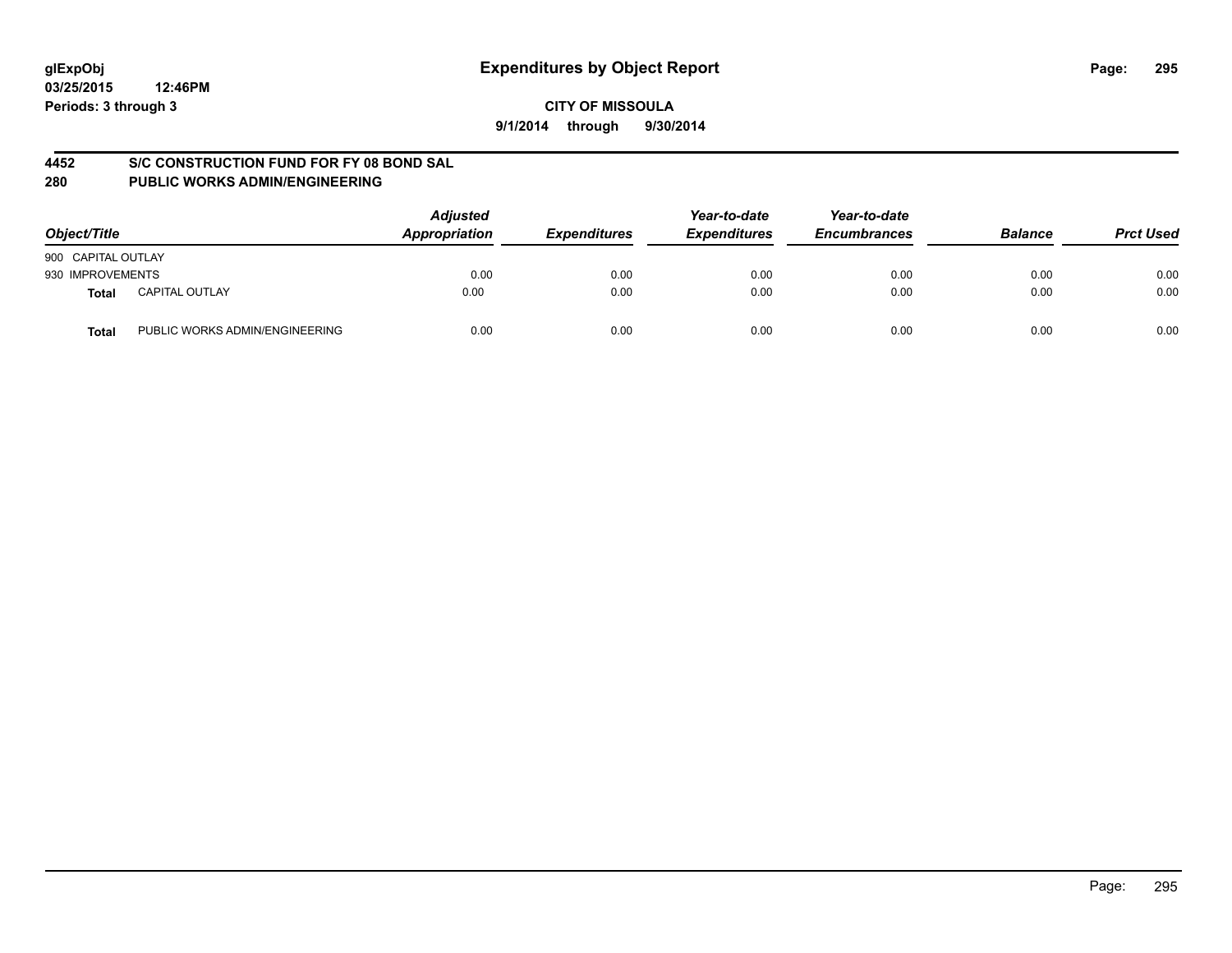#### **4452 S/C CONSTRUCTION FUND FOR FY 08 BOND SAL**

| Object/Title       |                                | <b>Adjusted</b><br>Appropriation | <b>Expenditures</b> | Year-to-date<br><b>Expenditures</b> | Year-to-date<br><b>Encumbrances</b> | <b>Balance</b> | <b>Prct Used</b> |
|--------------------|--------------------------------|----------------------------------|---------------------|-------------------------------------|-------------------------------------|----------------|------------------|
| 900 CAPITAL OUTLAY |                                |                                  |                     |                                     |                                     |                |                  |
| 930 IMPROVEMENTS   |                                | 0.00                             | 0.00                | 0.00                                | 0.00                                | 0.00           | 0.00             |
| Total              | <b>CAPITAL OUTLAY</b>          | 0.00                             | 0.00                | 0.00                                | 0.00                                | 0.00           | 0.00             |
| Total              | PUBLIC WORKS ADMIN/ENGINEERING | 0.00                             | 0.00                | 0.00                                | 0.00                                | 0.00           | 0.00             |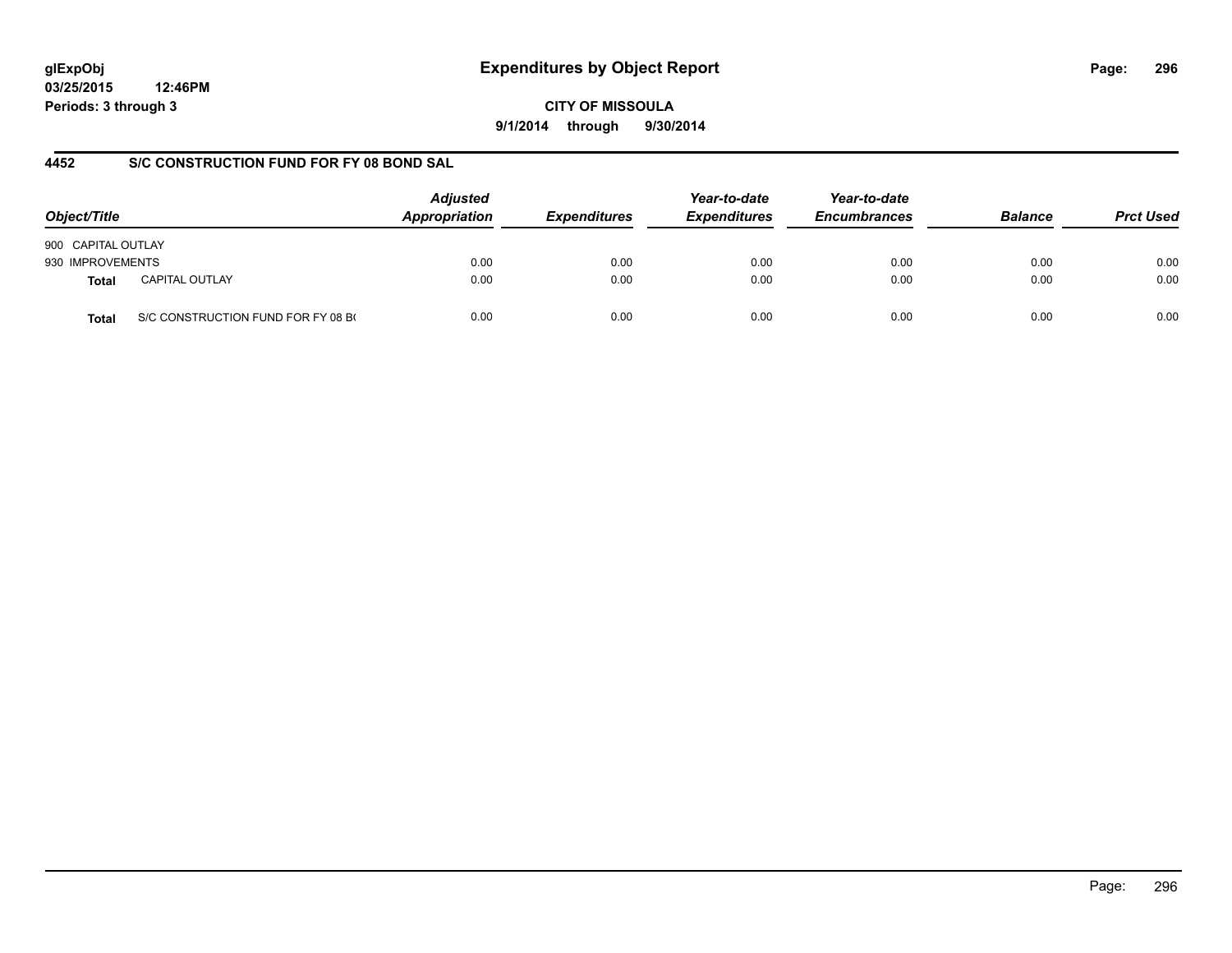## **glExpObj Expenditures by Object Report Page: 296**

**03/25/2015 12:46PM Periods: 3 through 3**

**CITY OF MISSOULA 9/1/2014 through 9/30/2014**

## **4452 S/C CONSTRUCTION FUND FOR FY 08 BOND SAL**

| Object/Title       |                                    | <b>Adjusted</b><br>Appropriation<br><b>Expenditures</b> | Year-to-date<br><b>Expenditures</b> | Year-to-date<br><b>Encumbrances</b> | <b>Balance</b> | <b>Prct Used</b> |      |
|--------------------|------------------------------------|---------------------------------------------------------|-------------------------------------|-------------------------------------|----------------|------------------|------|
| 900 CAPITAL OUTLAY |                                    |                                                         |                                     |                                     |                |                  |      |
| 930 IMPROVEMENTS   |                                    | 0.00                                                    | 0.00                                | 0.00                                | 0.00           | 0.00             | 0.00 |
| Total              | <b>CAPITAL OUTLAY</b>              | 0.00                                                    | 0.00                                | 0.00                                | 0.00           | 0.00             | 0.00 |
| Total              | S/C CONSTRUCTION FUND FOR FY 08 BO | 0.00                                                    | 0.00                                | 0.00                                | 0.00           | 0.00             | 0.00 |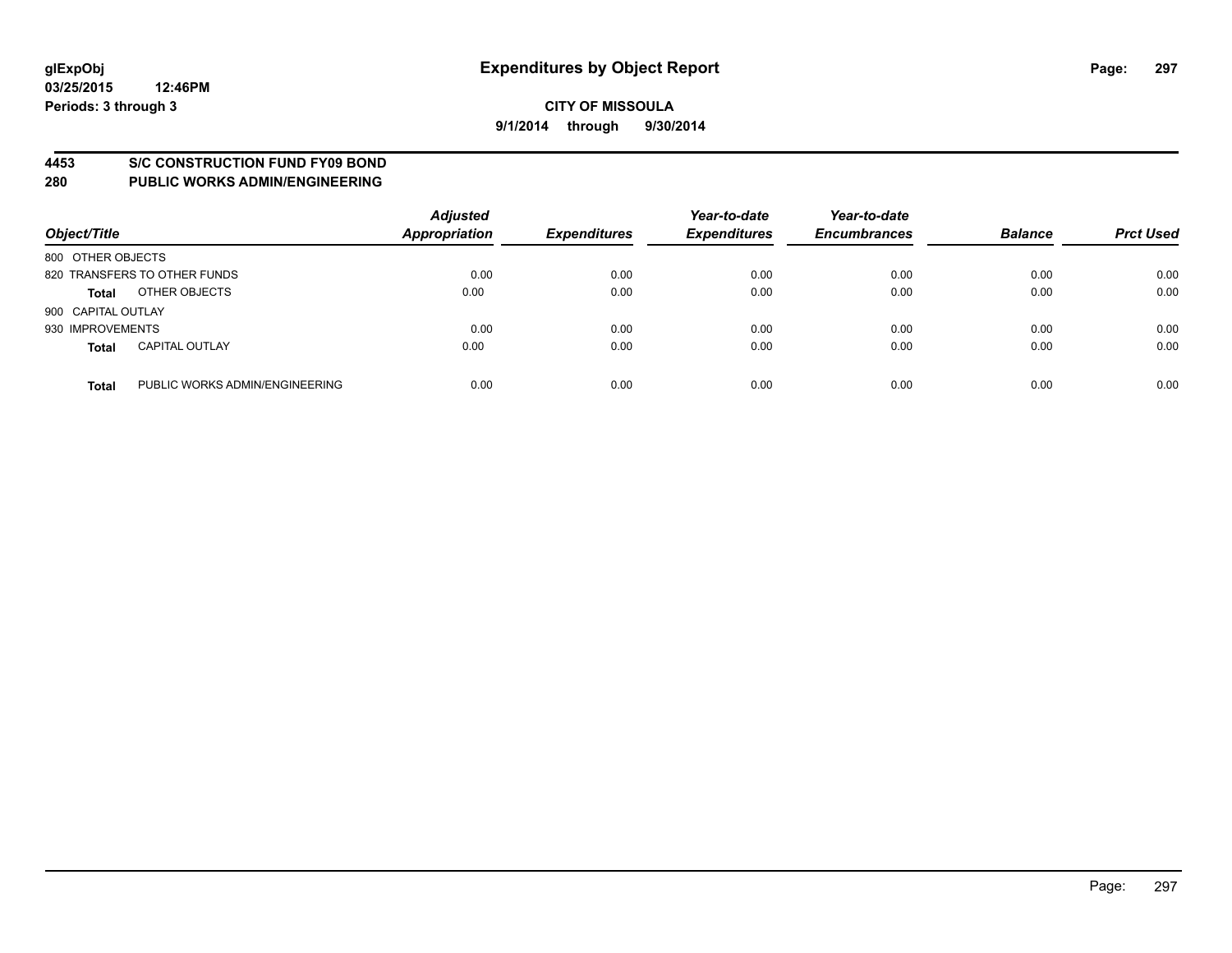#### **4453 S/C CONSTRUCTION FUND FY09 BOND**

| Object/Title       |                                | <b>Adjusted</b><br><b>Appropriation</b> | <b>Expenditures</b> | Year-to-date<br><b>Expenditures</b> | Year-to-date<br><b>Encumbrances</b> | <b>Balance</b> | <b>Prct Used</b> |
|--------------------|--------------------------------|-----------------------------------------|---------------------|-------------------------------------|-------------------------------------|----------------|------------------|
| 800 OTHER OBJECTS  |                                |                                         |                     |                                     |                                     |                |                  |
|                    | 820 TRANSFERS TO OTHER FUNDS   | 0.00                                    | 0.00                | 0.00                                | 0.00                                | 0.00           | 0.00             |
| <b>Total</b>       | OTHER OBJECTS                  | 0.00                                    | 0.00                | 0.00                                | 0.00                                | 0.00           | 0.00             |
| 900 CAPITAL OUTLAY |                                |                                         |                     |                                     |                                     |                |                  |
| 930 IMPROVEMENTS   |                                | 0.00                                    | 0.00                | 0.00                                | 0.00                                | 0.00           | 0.00             |
| <b>Total</b>       | <b>CAPITAL OUTLAY</b>          | 0.00                                    | 0.00                | 0.00                                | 0.00                                | 0.00           | 0.00             |
| <b>Total</b>       | PUBLIC WORKS ADMIN/ENGINEERING | 0.00                                    | 0.00                | 0.00                                | 0.00                                | 0.00           | 0.00             |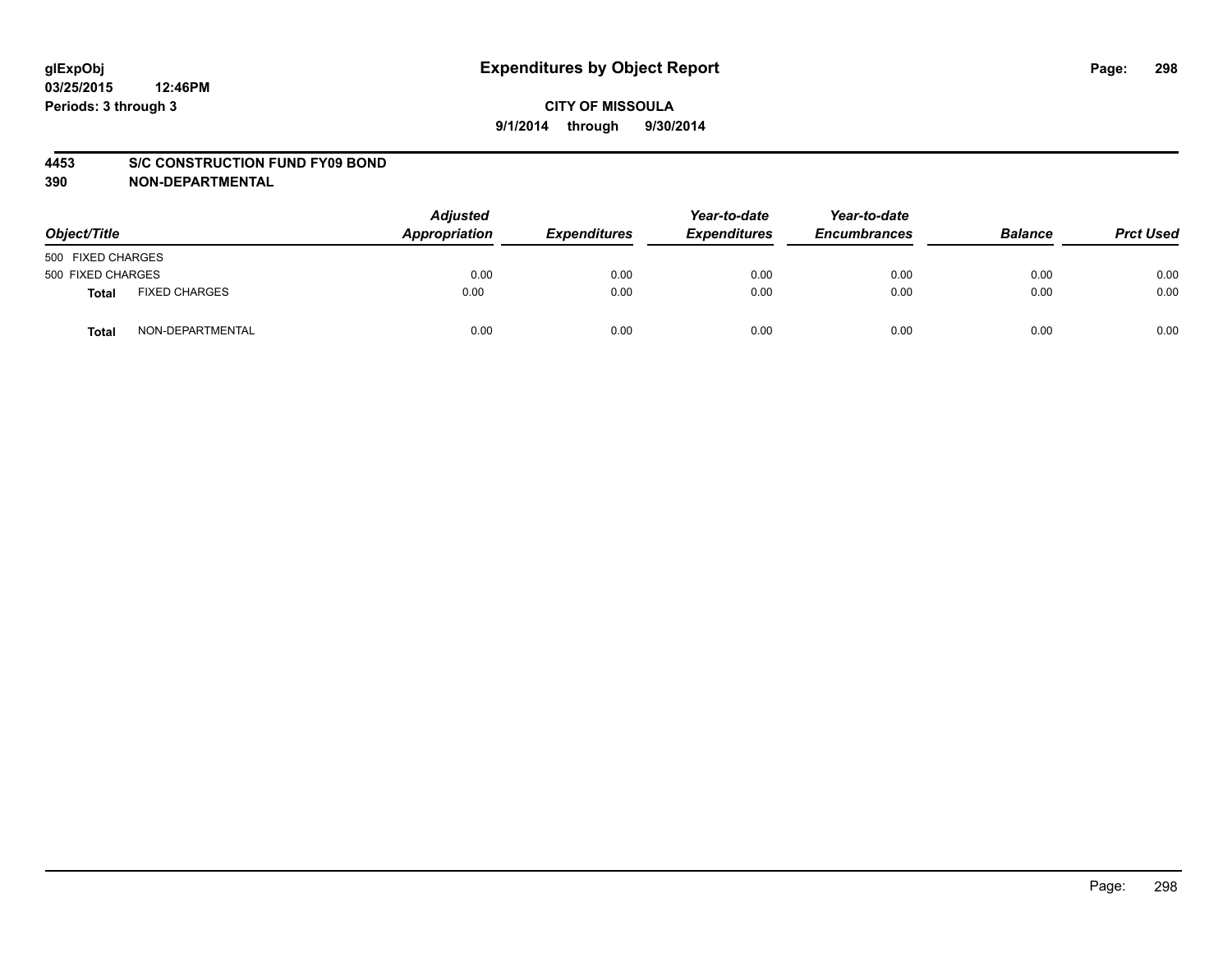#### **4453 S/C CONSTRUCTION FUND FY09 BOND**

| Object/Title      |                      | <b>Adjusted</b><br>Appropriation | <b>Expenditures</b> | Year-to-date<br><b>Expenditures</b> | Year-to-date<br><b>Encumbrances</b> | <b>Balance</b> | <b>Prct Used</b> |
|-------------------|----------------------|----------------------------------|---------------------|-------------------------------------|-------------------------------------|----------------|------------------|
| 500 FIXED CHARGES |                      |                                  |                     |                                     |                                     |                |                  |
| 500 FIXED CHARGES |                      | 0.00                             | 0.00                | 0.00                                | 0.00                                | 0.00           | 0.00             |
| Total             | <b>FIXED CHARGES</b> | 0.00                             | 0.00                | 0.00                                | 0.00                                | 0.00           | 0.00             |
| Total             | NON-DEPARTMENTAL     | 0.00                             | 0.00                | 0.00                                | 0.00                                | 0.00           | 0.00             |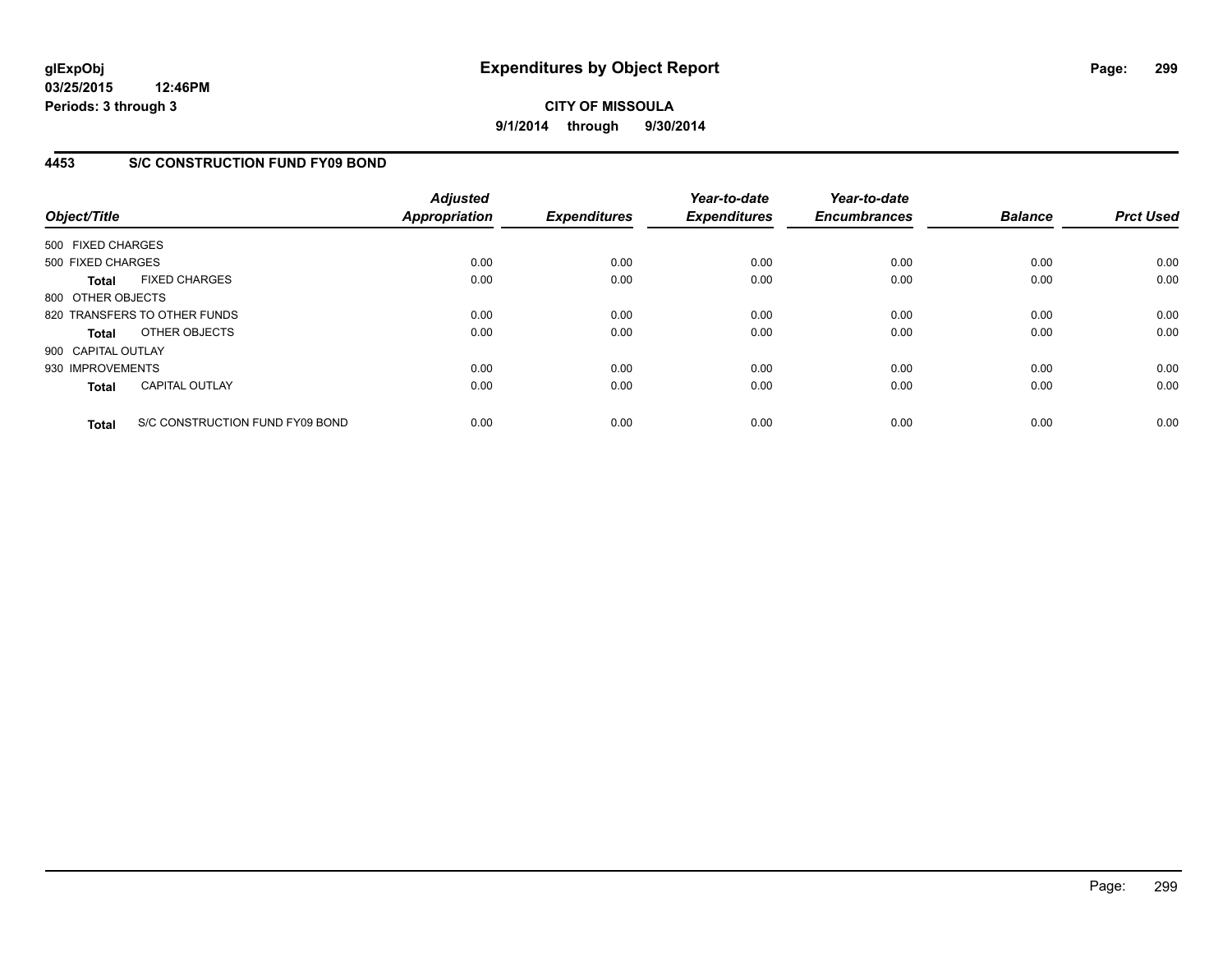**03/25/2015 12:46PM Periods: 3 through 3**

## **CITY OF MISSOULA 9/1/2014 through 9/30/2014**

## **4453 S/C CONSTRUCTION FUND FY09 BOND**

| Object/Title       |                                 | <b>Adjusted</b><br><b>Appropriation</b> | <b>Expenditures</b> | Year-to-date<br><b>Expenditures</b> | Year-to-date<br><b>Encumbrances</b> | <b>Balance</b> | <b>Prct Used</b> |
|--------------------|---------------------------------|-----------------------------------------|---------------------|-------------------------------------|-------------------------------------|----------------|------------------|
| 500 FIXED CHARGES  |                                 |                                         |                     |                                     |                                     |                |                  |
| 500 FIXED CHARGES  |                                 | 0.00                                    | 0.00                | 0.00                                | 0.00                                | 0.00           | 0.00             |
| <b>Total</b>       | <b>FIXED CHARGES</b>            | 0.00                                    | 0.00                | 0.00                                | 0.00                                | 0.00           | 0.00             |
| 800 OTHER OBJECTS  |                                 |                                         |                     |                                     |                                     |                |                  |
|                    | 820 TRANSFERS TO OTHER FUNDS    | 0.00                                    | 0.00                | 0.00                                | 0.00                                | 0.00           | 0.00             |
| <b>Total</b>       | OTHER OBJECTS                   | 0.00                                    | 0.00                | 0.00                                | 0.00                                | 0.00           | 0.00             |
| 900 CAPITAL OUTLAY |                                 |                                         |                     |                                     |                                     |                |                  |
| 930 IMPROVEMENTS   |                                 | 0.00                                    | 0.00                | 0.00                                | 0.00                                | 0.00           | 0.00             |
| <b>Total</b>       | <b>CAPITAL OUTLAY</b>           | 0.00                                    | 0.00                | 0.00                                | 0.00                                | 0.00           | 0.00             |
| <b>Total</b>       | S/C CONSTRUCTION FUND FY09 BOND | 0.00                                    | 0.00                | 0.00                                | 0.00                                | 0.00           | 0.00             |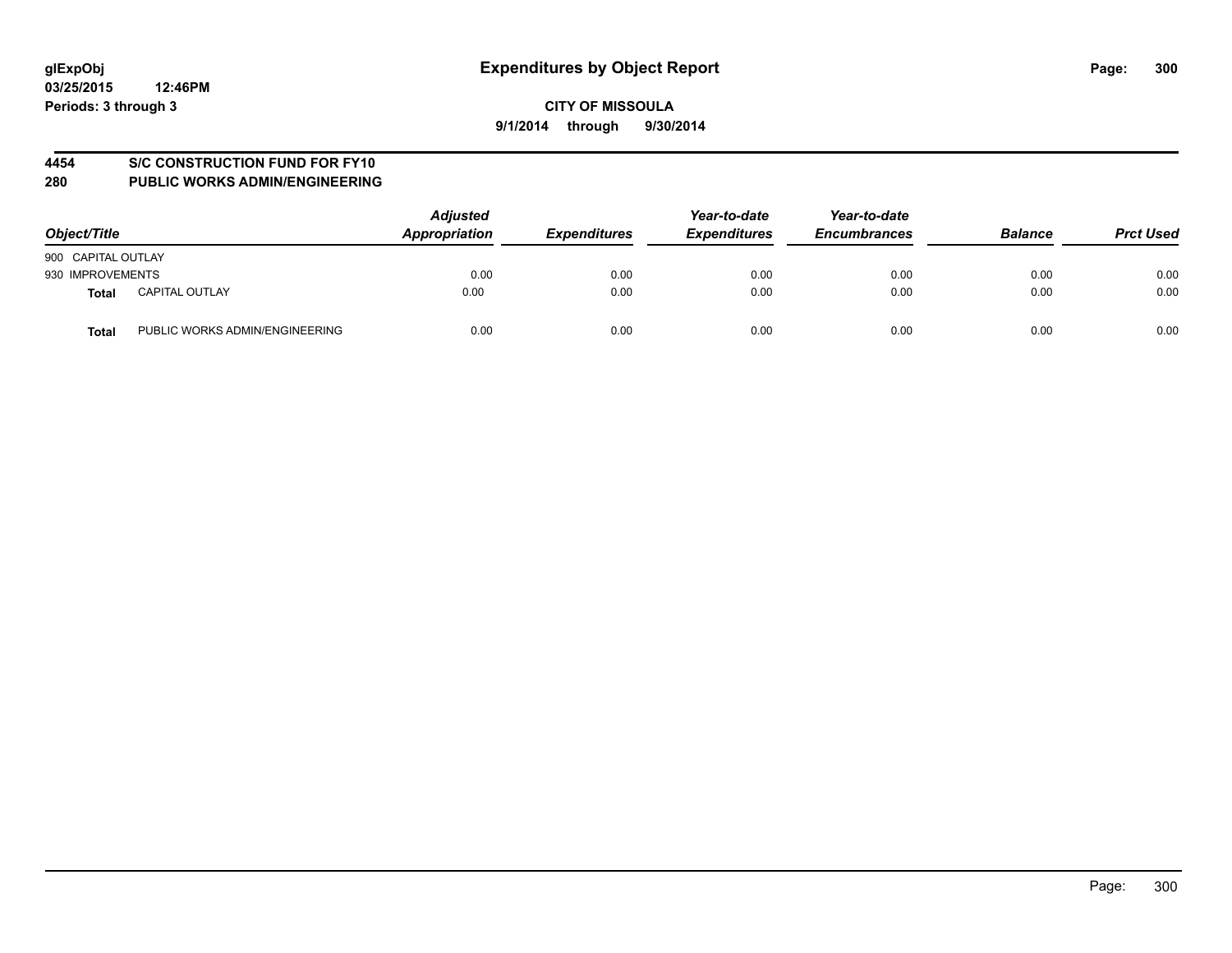#### **4454 S/C CONSTRUCTION FUND FOR FY10**

| Object/Title                            | <b>Adjusted</b><br>Appropriation | <b>Expenditures</b> | Year-to-date<br><b>Expenditures</b> | Year-to-date<br><b>Encumbrances</b> | <b>Balance</b> | <b>Prct Used</b> |
|-----------------------------------------|----------------------------------|---------------------|-------------------------------------|-------------------------------------|----------------|------------------|
| 900 CAPITAL OUTLAY                      |                                  |                     |                                     |                                     |                |                  |
| 930 IMPROVEMENTS                        | 0.00                             | 0.00                | 0.00                                | 0.00                                | 0.00           | 0.00             |
| <b>CAPITAL OUTLAY</b><br>Total          | 0.00                             | 0.00                | 0.00                                | 0.00                                | 0.00           | 0.00             |
| PUBLIC WORKS ADMIN/ENGINEERING<br>Total | 0.00                             | 0.00                | 0.00                                | 0.00                                | 0.00           | 0.00             |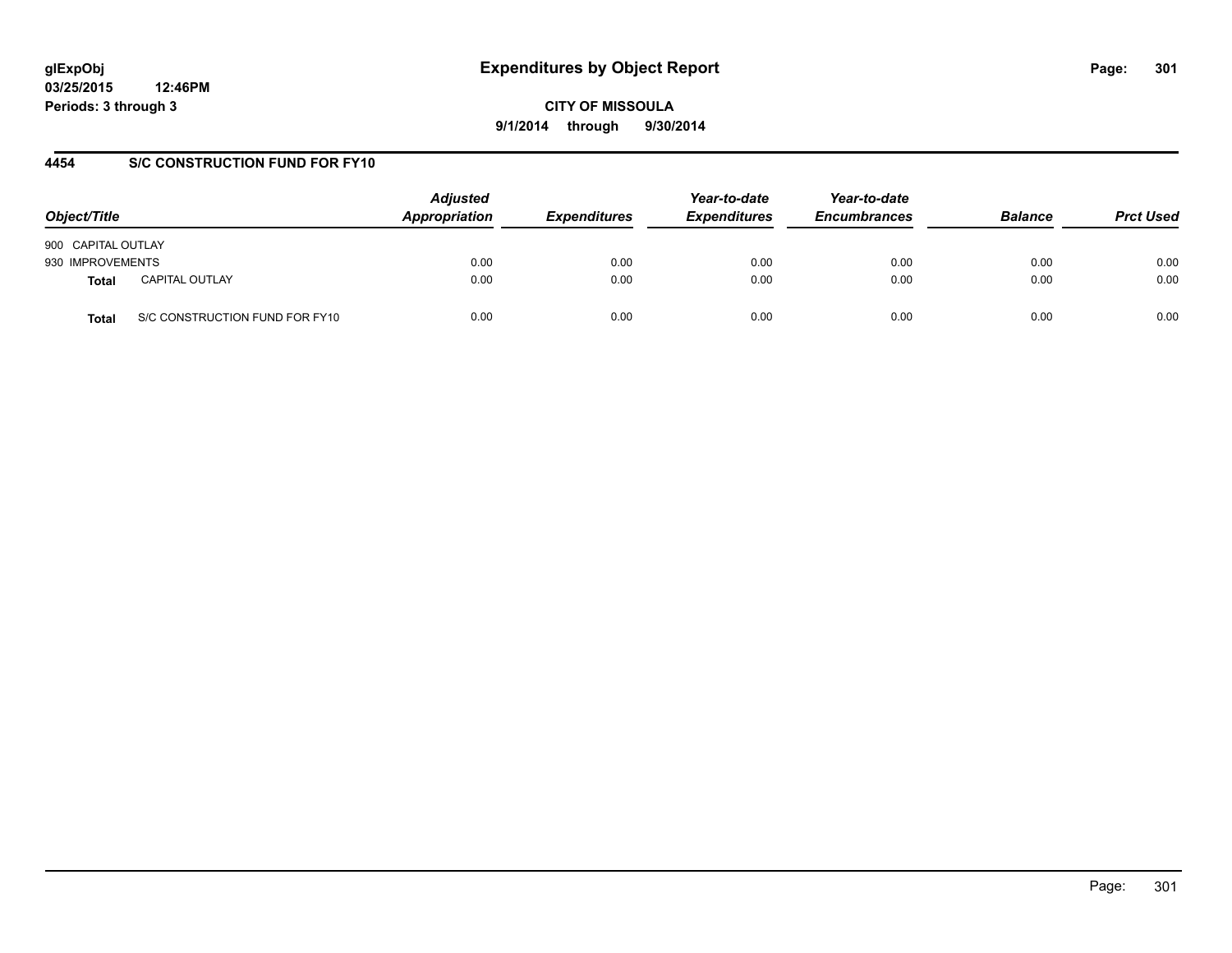# **glExpObj Expenditures by Object Report Page: 301**

**03/25/2015 12:46PM Periods: 3 through 3**

**CITY OF MISSOULA 9/1/2014 through 9/30/2014**

#### **4454 S/C CONSTRUCTION FUND FOR FY10**

| Object/Title       |                                | <b>Adjusted</b><br>Appropriation | <b>Expenditures</b> | Year-to-date<br><b>Expenditures</b> | Year-to-date<br><b>Encumbrances</b> | <b>Balance</b> | <b>Prct Used</b> |
|--------------------|--------------------------------|----------------------------------|---------------------|-------------------------------------|-------------------------------------|----------------|------------------|
| 900 CAPITAL OUTLAY |                                |                                  |                     |                                     |                                     |                |                  |
| 930 IMPROVEMENTS   |                                | 0.00                             | 0.00                | 0.00                                | 0.00                                | 0.00           | 0.00             |
| <b>Total</b>       | <b>CAPITAL OUTLAY</b>          | 0.00                             | 0.00                | 0.00                                | 0.00                                | 0.00           | 0.00             |
| Total              | S/C CONSTRUCTION FUND FOR FY10 | 0.00                             | 0.00                | 0.00                                | 0.00                                | 0.00           | 0.00             |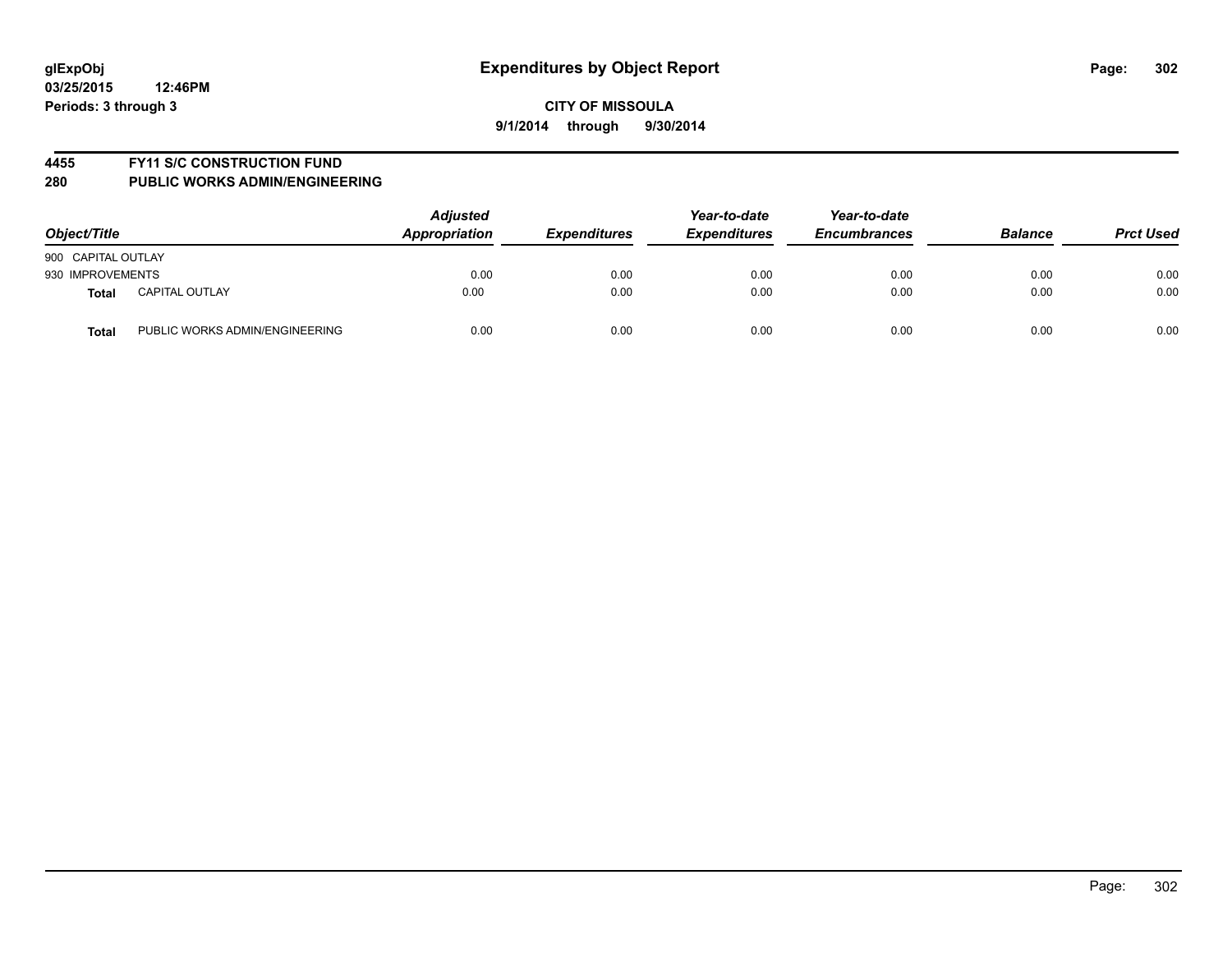#### **4455 FY11 S/C CONSTRUCTION FUND**

| Object/Title       |                                | <b>Adjusted</b><br>Appropriation | <b>Expenditures</b> | Year-to-date<br><b>Expenditures</b> | Year-to-date<br><b>Encumbrances</b> | <b>Balance</b> | <b>Prct Used</b> |
|--------------------|--------------------------------|----------------------------------|---------------------|-------------------------------------|-------------------------------------|----------------|------------------|
| 900 CAPITAL OUTLAY |                                |                                  |                     |                                     |                                     |                |                  |
| 930 IMPROVEMENTS   |                                | 0.00                             | 0.00                | 0.00                                | 0.00                                | 0.00           | 0.00             |
| <b>Total</b>       | <b>CAPITAL OUTLAY</b>          | 0.00                             | 0.00                | 0.00                                | 0.00                                | 0.00           | 0.00             |
| <b>Total</b>       | PUBLIC WORKS ADMIN/ENGINEERING | 0.00                             | 0.00                | 0.00                                | 0.00                                | 0.00           | 0.00             |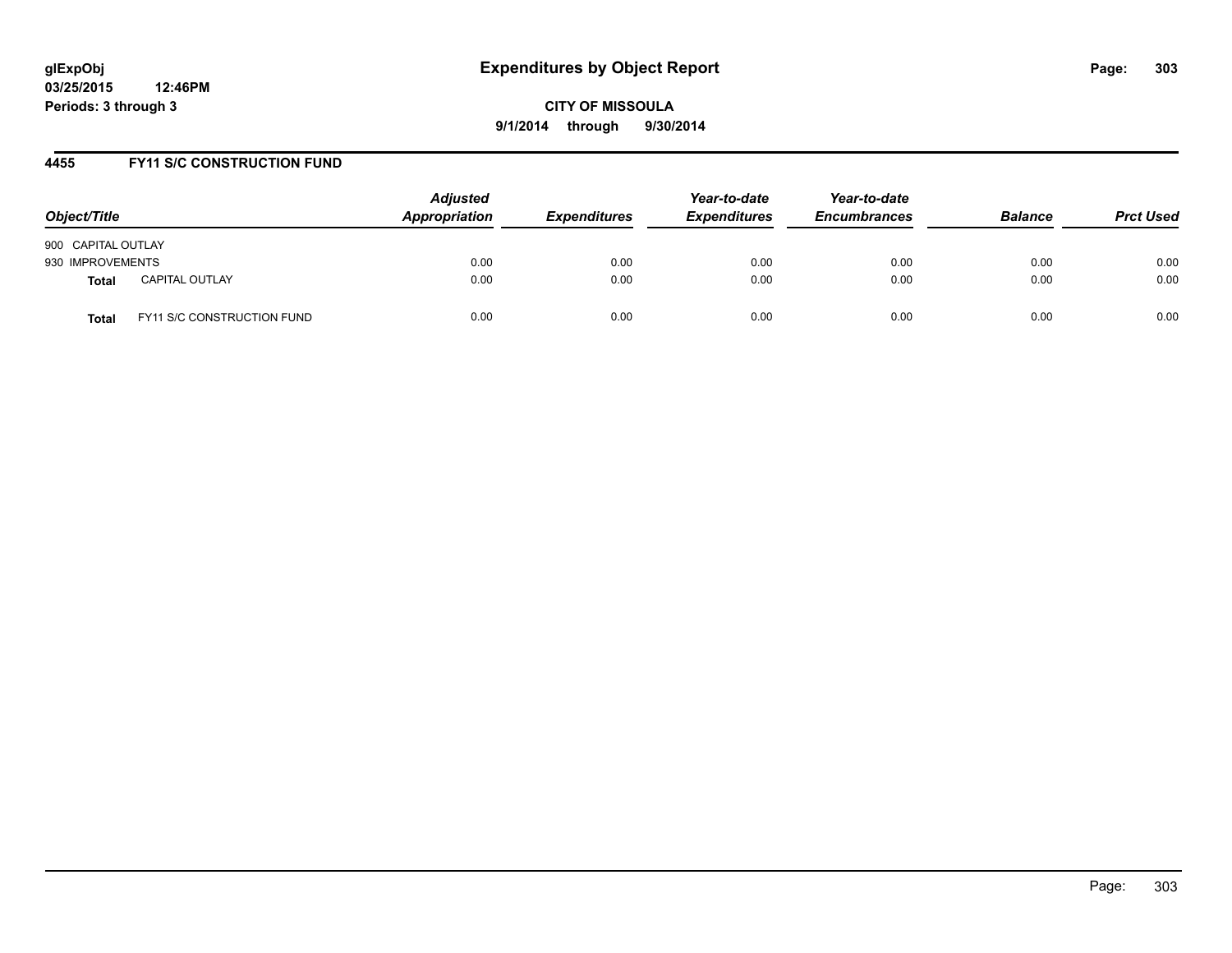#### **4455 FY11 S/C CONSTRUCTION FUND**

| Object/Title       |                            | <b>Adjusted</b><br>Appropriation | <b>Expenditures</b> | Year-to-date<br><b>Expenditures</b> | Year-to-date<br><b>Encumbrances</b> | <b>Balance</b> | <b>Prct Used</b> |
|--------------------|----------------------------|----------------------------------|---------------------|-------------------------------------|-------------------------------------|----------------|------------------|
| 900 CAPITAL OUTLAY |                            |                                  |                     |                                     |                                     |                |                  |
| 930 IMPROVEMENTS   |                            | 0.00                             | 0.00                | 0.00                                | 0.00                                | 0.00           | 0.00             |
| <b>Total</b>       | <b>CAPITAL OUTLAY</b>      | 0.00                             | 0.00                | 0.00                                | 0.00                                | 0.00           | 0.00             |
| Total              | FY11 S/C CONSTRUCTION FUND | 0.00                             | 0.00                | 0.00                                | 0.00                                | 0.00           | 0.00             |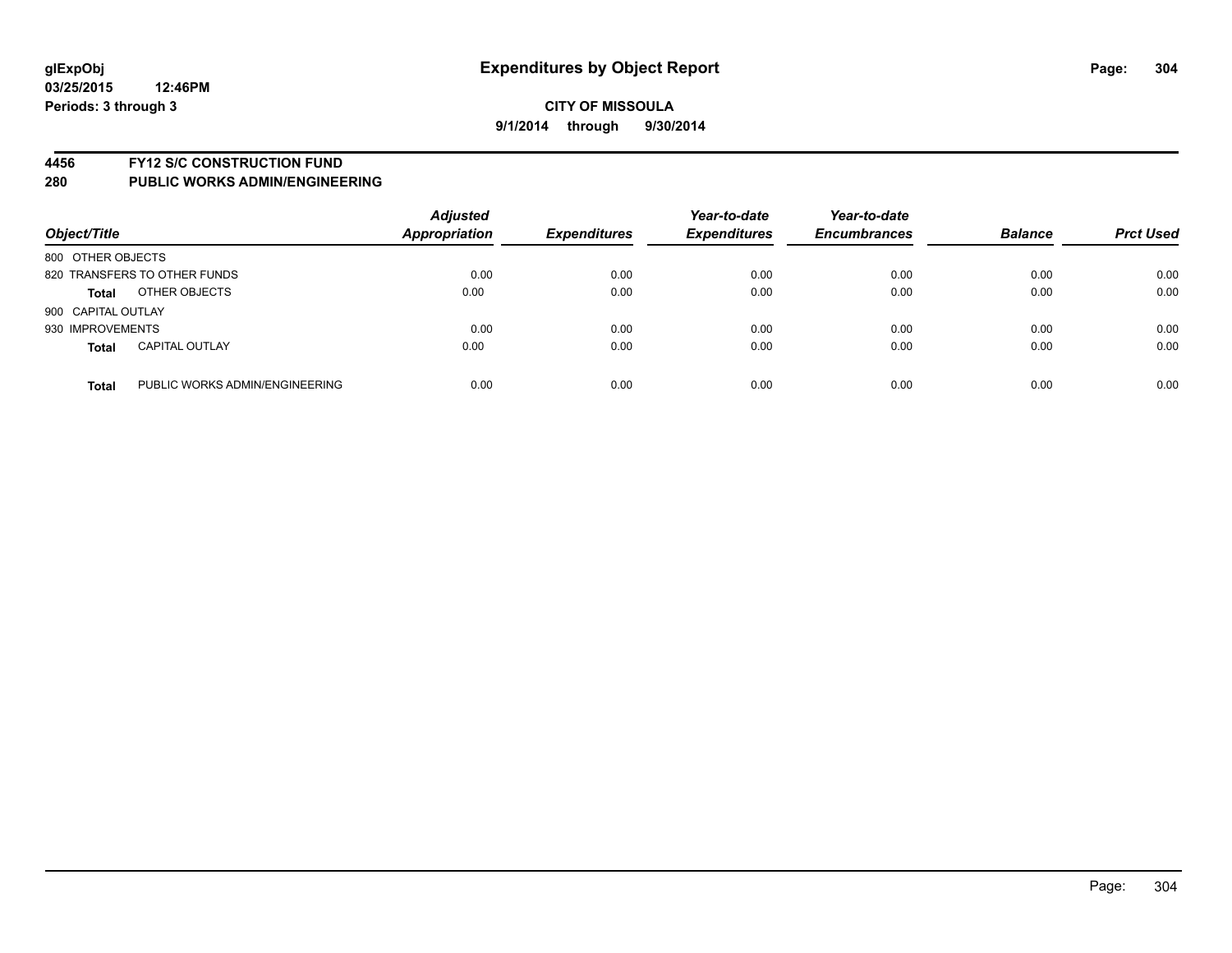#### **4456 FY12 S/C CONSTRUCTION FUND**

| Object/Title       |                                | <b>Adjusted</b><br><b>Appropriation</b> | <b>Expenditures</b> | Year-to-date<br><b>Expenditures</b> | Year-to-date<br><b>Encumbrances</b> | <b>Balance</b> | <b>Prct Used</b> |
|--------------------|--------------------------------|-----------------------------------------|---------------------|-------------------------------------|-------------------------------------|----------------|------------------|
| 800 OTHER OBJECTS  |                                |                                         |                     |                                     |                                     |                |                  |
|                    | 820 TRANSFERS TO OTHER FUNDS   | 0.00                                    | 0.00                | 0.00                                | 0.00                                | 0.00           | 0.00             |
| <b>Total</b>       | OTHER OBJECTS                  | 0.00                                    | 0.00                | 0.00                                | 0.00                                | 0.00           | 0.00             |
| 900 CAPITAL OUTLAY |                                |                                         |                     |                                     |                                     |                |                  |
| 930 IMPROVEMENTS   |                                | 0.00                                    | 0.00                | 0.00                                | 0.00                                | 0.00           | 0.00             |
| <b>Total</b>       | <b>CAPITAL OUTLAY</b>          | 0.00                                    | 0.00                | 0.00                                | 0.00                                | 0.00           | 0.00             |
| <b>Total</b>       | PUBLIC WORKS ADMIN/ENGINEERING | 0.00                                    | 0.00                | 0.00                                | 0.00                                | 0.00           | 0.00             |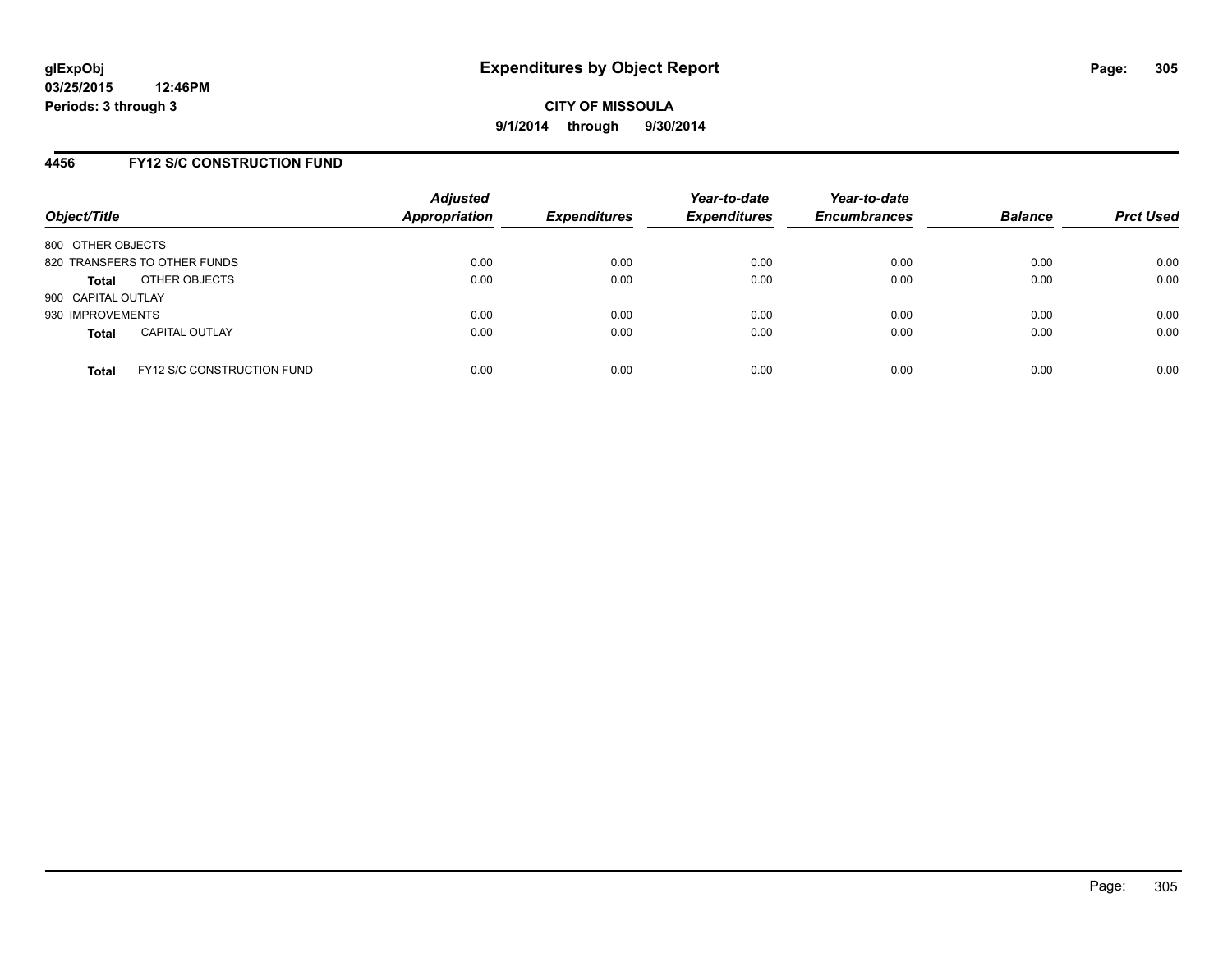#### **4456 FY12 S/C CONSTRUCTION FUND**

| Object/Title       |                                   | <b>Adjusted</b><br>Appropriation | <b>Expenditures</b> | Year-to-date<br><b>Expenditures</b> | Year-to-date<br><b>Encumbrances</b> | <b>Balance</b> | <b>Prct Used</b> |
|--------------------|-----------------------------------|----------------------------------|---------------------|-------------------------------------|-------------------------------------|----------------|------------------|
| 800 OTHER OBJECTS  |                                   |                                  |                     |                                     |                                     |                |                  |
|                    | 820 TRANSFERS TO OTHER FUNDS      | 0.00                             | 0.00                | 0.00                                | 0.00                                | 0.00           | 0.00             |
| <b>Total</b>       | OTHER OBJECTS                     | 0.00                             | 0.00                | 0.00                                | 0.00                                | 0.00           | 0.00             |
| 900 CAPITAL OUTLAY |                                   |                                  |                     |                                     |                                     |                |                  |
| 930 IMPROVEMENTS   |                                   | 0.00                             | 0.00                | 0.00                                | 0.00                                | 0.00           | 0.00             |
| <b>Total</b>       | <b>CAPITAL OUTLAY</b>             | 0.00                             | 0.00                | 0.00                                | 0.00                                | 0.00           | 0.00             |
| <b>Total</b>       | <b>FY12 S/C CONSTRUCTION FUND</b> | 0.00                             | 0.00                | 0.00                                | 0.00                                | 0.00           | 0.00             |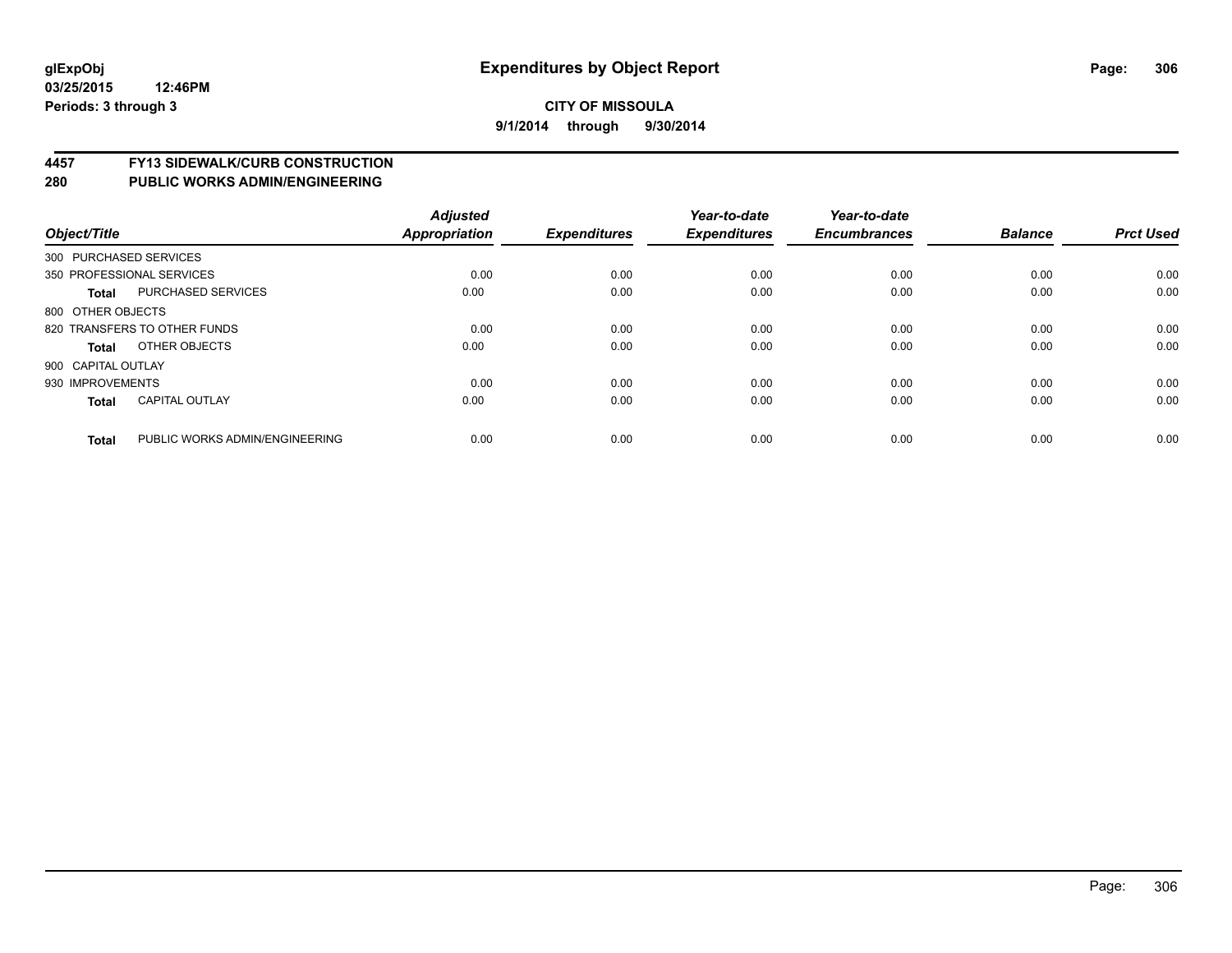# **4457 FY13 SIDEWALK/CURB CONSTRUCTION**

| Object/Title           |                                | <b>Adjusted</b><br><b>Appropriation</b> | <b>Expenditures</b> | Year-to-date<br><b>Expenditures</b> | Year-to-date<br><b>Encumbrances</b> | <b>Balance</b> | <b>Prct Used</b> |
|------------------------|--------------------------------|-----------------------------------------|---------------------|-------------------------------------|-------------------------------------|----------------|------------------|
| 300 PURCHASED SERVICES |                                |                                         |                     |                                     |                                     |                |                  |
|                        | 350 PROFESSIONAL SERVICES      | 0.00                                    | 0.00                | 0.00                                | 0.00                                | 0.00           | 0.00             |
| <b>Total</b>           | <b>PURCHASED SERVICES</b>      | 0.00                                    | 0.00                | 0.00                                | 0.00                                | 0.00           | 0.00             |
| 800 OTHER OBJECTS      |                                |                                         |                     |                                     |                                     |                |                  |
|                        | 820 TRANSFERS TO OTHER FUNDS   | 0.00                                    | 0.00                | 0.00                                | 0.00                                | 0.00           | 0.00             |
| Total                  | OTHER OBJECTS                  | 0.00                                    | 0.00                | 0.00                                | 0.00                                | 0.00           | 0.00             |
| 900 CAPITAL OUTLAY     |                                |                                         |                     |                                     |                                     |                |                  |
| 930 IMPROVEMENTS       |                                | 0.00                                    | 0.00                | 0.00                                | 0.00                                | 0.00           | 0.00             |
| <b>Total</b>           | <b>CAPITAL OUTLAY</b>          | 0.00                                    | 0.00                | 0.00                                | 0.00                                | 0.00           | 0.00             |
| <b>Total</b>           | PUBLIC WORKS ADMIN/ENGINEERING | 0.00                                    | 0.00                | 0.00                                | 0.00                                | 0.00           | 0.00             |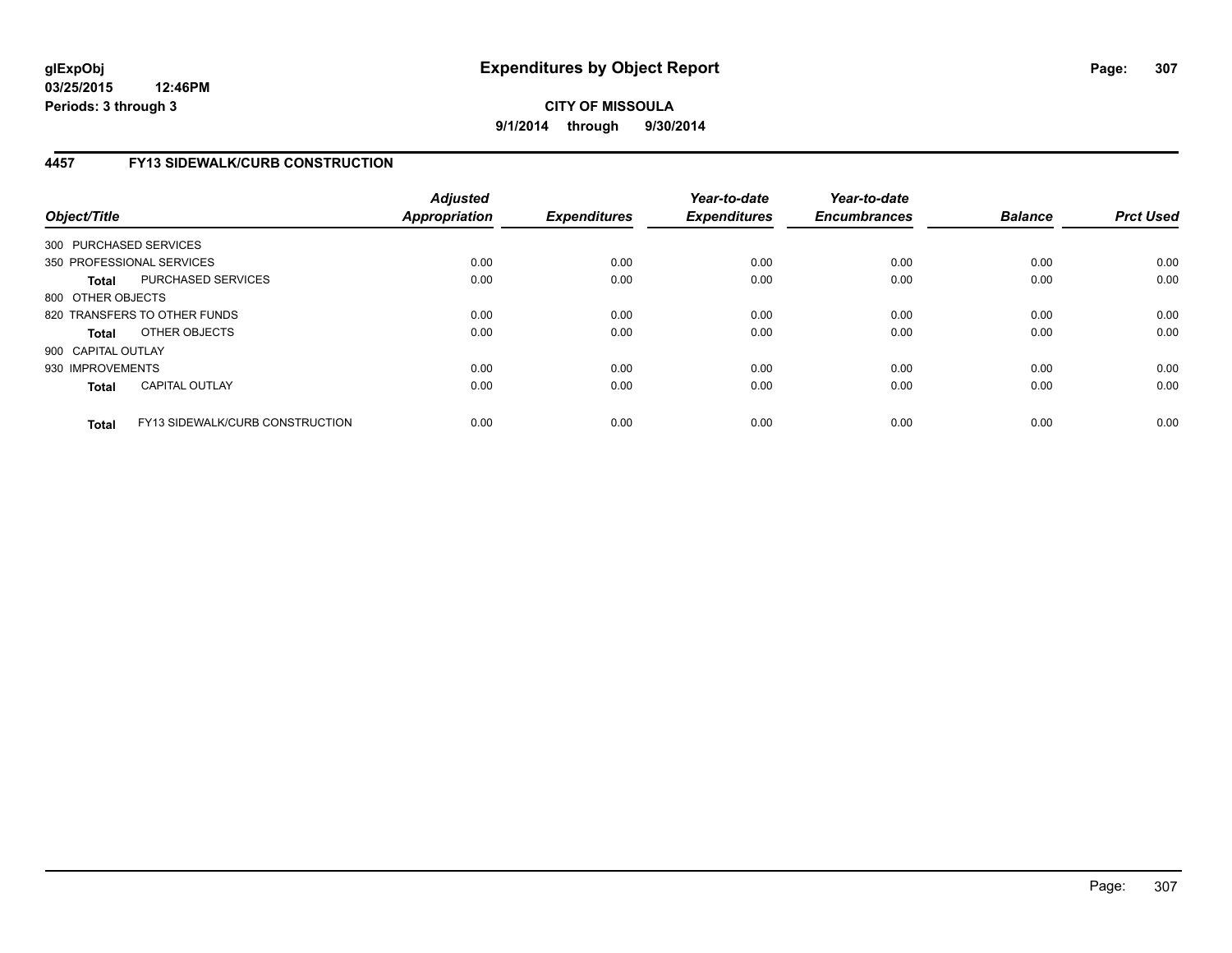**03/25/2015 12:46PM Periods: 3 through 3**

## **CITY OF MISSOULA 9/1/2014 through 9/30/2014**

## **4457 FY13 SIDEWALK/CURB CONSTRUCTION**

| Object/Title           |                                        | <b>Adjusted</b><br><b>Appropriation</b> | <b>Expenditures</b> | Year-to-date<br><b>Expenditures</b> | Year-to-date<br><b>Encumbrances</b> | <b>Balance</b> | <b>Prct Used</b> |
|------------------------|----------------------------------------|-----------------------------------------|---------------------|-------------------------------------|-------------------------------------|----------------|------------------|
| 300 PURCHASED SERVICES |                                        |                                         |                     |                                     |                                     |                |                  |
|                        | 350 PROFESSIONAL SERVICES              | 0.00                                    | 0.00                | 0.00                                | 0.00                                | 0.00           | 0.00             |
| <b>Total</b>           | PURCHASED SERVICES                     | 0.00                                    | 0.00                | 0.00                                | 0.00                                | 0.00           | 0.00             |
| 800 OTHER OBJECTS      |                                        |                                         |                     |                                     |                                     |                |                  |
|                        | 820 TRANSFERS TO OTHER FUNDS           | 0.00                                    | 0.00                | 0.00                                | 0.00                                | 0.00           | 0.00             |
| <b>Total</b>           | OTHER OBJECTS                          | 0.00                                    | 0.00                | 0.00                                | 0.00                                | 0.00           | 0.00             |
| 900 CAPITAL OUTLAY     |                                        |                                         |                     |                                     |                                     |                |                  |
| 930 IMPROVEMENTS       |                                        | 0.00                                    | 0.00                | 0.00                                | 0.00                                | 0.00           | 0.00             |
| <b>Total</b>           | <b>CAPITAL OUTLAY</b>                  | 0.00                                    | 0.00                | 0.00                                | 0.00                                | 0.00           | 0.00             |
| <b>Total</b>           | <b>FY13 SIDEWALK/CURB CONSTRUCTION</b> | 0.00                                    | 0.00                | 0.00                                | 0.00                                | 0.00           | 0.00             |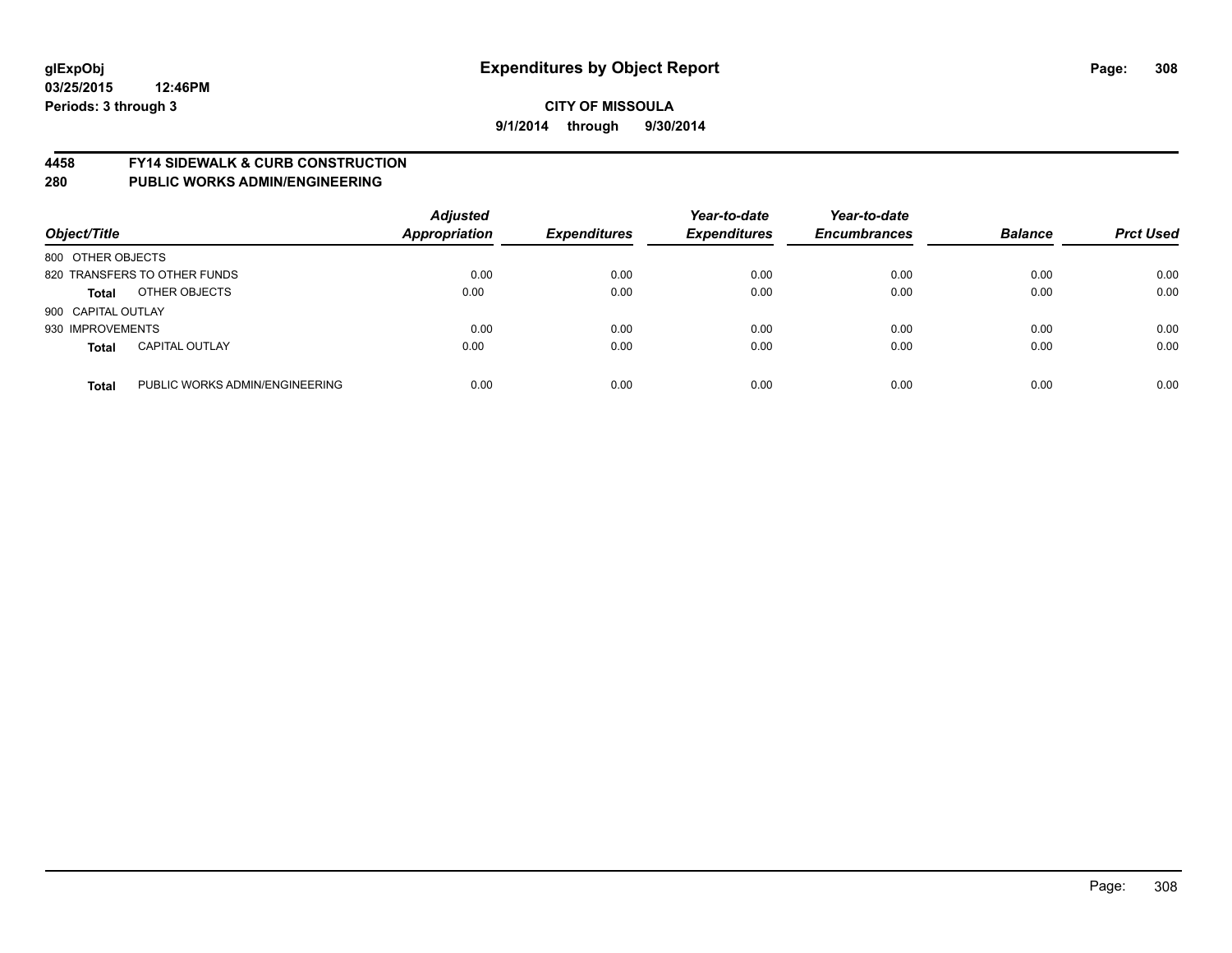## **glExpObj Expenditures by Object Report Page: 308**

#### **CITY OF MISSOULA 9/1/2014 through 9/30/2014**

#### **4458 FY14 SIDEWALK & CURB CONSTRUCTION**

| Object/Title       |                                | <b>Adjusted</b><br><b>Appropriation</b> | <b>Expenditures</b> | Year-to-date<br><b>Expenditures</b> | Year-to-date<br><b>Encumbrances</b> | <b>Balance</b> | <b>Prct Used</b> |
|--------------------|--------------------------------|-----------------------------------------|---------------------|-------------------------------------|-------------------------------------|----------------|------------------|
| 800 OTHER OBJECTS  |                                |                                         |                     |                                     |                                     |                |                  |
|                    | 820 TRANSFERS TO OTHER FUNDS   | 0.00                                    | 0.00                | 0.00                                | 0.00                                | 0.00           | 0.00             |
| <b>Total</b>       | OTHER OBJECTS                  | 0.00                                    | 0.00                | 0.00                                | 0.00                                | 0.00           | 0.00             |
| 900 CAPITAL OUTLAY |                                |                                         |                     |                                     |                                     |                |                  |
| 930 IMPROVEMENTS   |                                | 0.00                                    | 0.00                | 0.00                                | 0.00                                | 0.00           | 0.00             |
| <b>Total</b>       | <b>CAPITAL OUTLAY</b>          | 0.00                                    | 0.00                | 0.00                                | 0.00                                | 0.00           | 0.00             |
| <b>Total</b>       | PUBLIC WORKS ADMIN/ENGINEERING | 0.00                                    | 0.00                | 0.00                                | 0.00                                | 0.00           | 0.00             |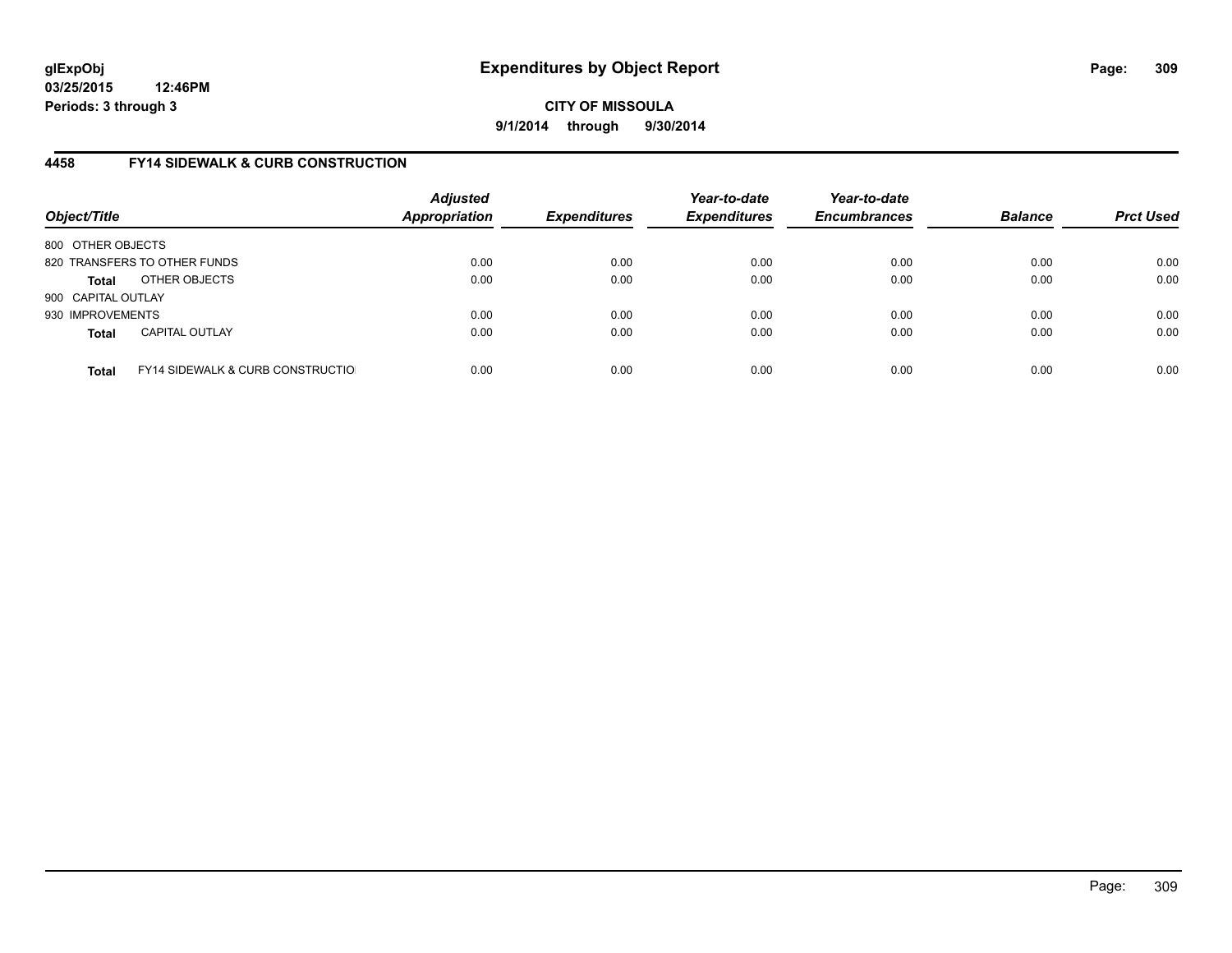**03/25/2015 12:46PM Periods: 3 through 3**

**CITY OF MISSOULA 9/1/2014 through 9/30/2014**

## **4458 FY14 SIDEWALK & CURB CONSTRUCTION**

| Object/Title       |                                              | <b>Adjusted</b><br><b>Appropriation</b> | <b>Expenditures</b> | Year-to-date<br><b>Expenditures</b> | Year-to-date<br><b>Encumbrances</b> | <b>Balance</b> | <b>Prct Used</b> |
|--------------------|----------------------------------------------|-----------------------------------------|---------------------|-------------------------------------|-------------------------------------|----------------|------------------|
| 800 OTHER OBJECTS  |                                              |                                         |                     |                                     |                                     |                |                  |
|                    | 820 TRANSFERS TO OTHER FUNDS                 | 0.00                                    | 0.00                | 0.00                                | 0.00                                | 0.00           | 0.00             |
| <b>Total</b>       | OTHER OBJECTS                                | 0.00                                    | 0.00                | 0.00                                | 0.00                                | 0.00           | 0.00             |
| 900 CAPITAL OUTLAY |                                              |                                         |                     |                                     |                                     |                |                  |
| 930 IMPROVEMENTS   |                                              | 0.00                                    | 0.00                | 0.00                                | 0.00                                | 0.00           | 0.00             |
| <b>Total</b>       | <b>CAPITAL OUTLAY</b>                        | 0.00                                    | 0.00                | 0.00                                | 0.00                                | 0.00           | 0.00             |
| <b>Total</b>       | <b>FY14 SIDEWALK &amp; CURB CONSTRUCTIOL</b> | 0.00                                    | 0.00                | 0.00                                | 0.00                                | 0.00           | 0.00             |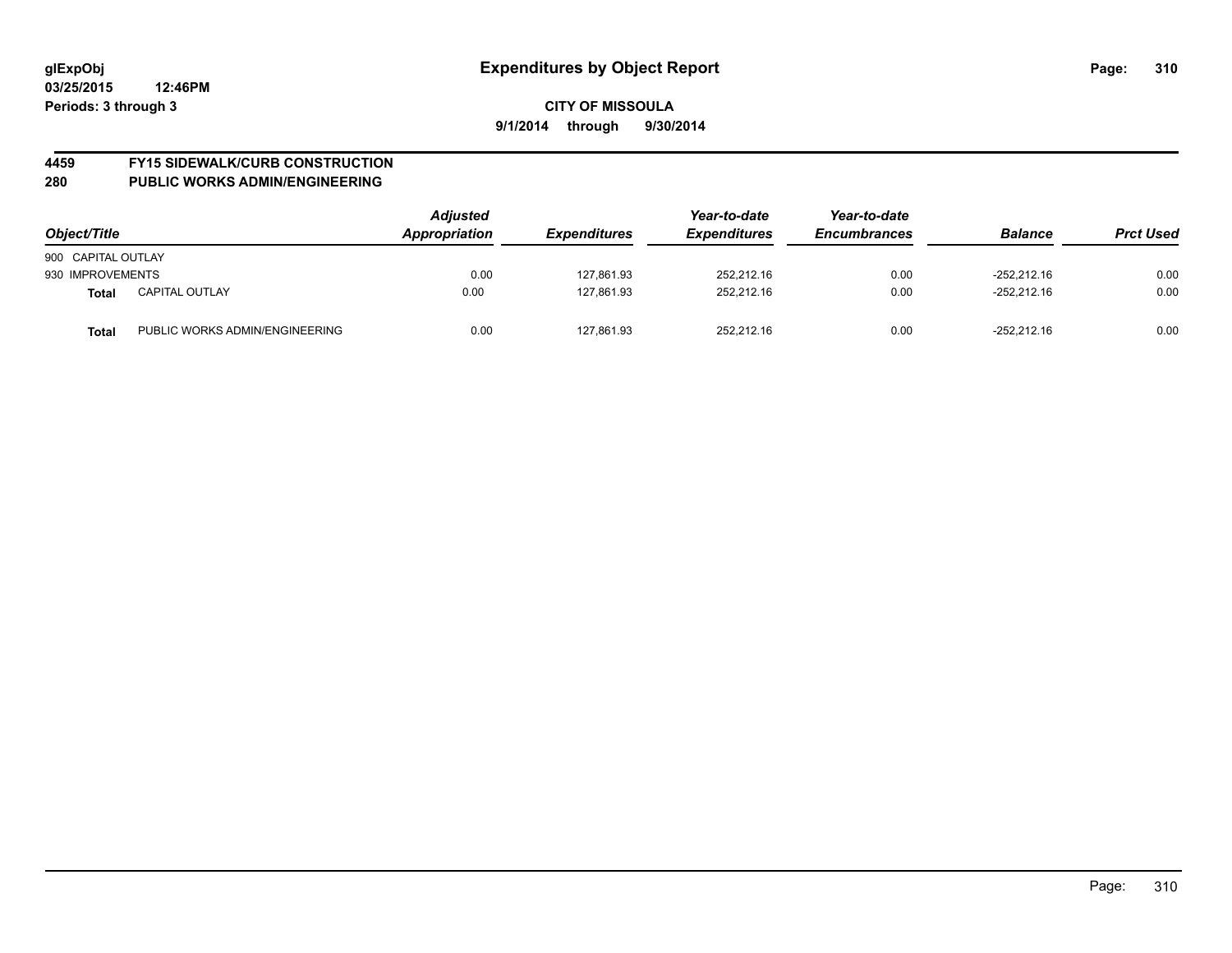# **4459 FY15 SIDEWALK/CURB CONSTRUCTION**

| Object/Title       |                                | <b>Adjusted</b><br>Appropriation | <b>Expenditures</b> | Year-to-date<br><b>Expenditures</b> | Year-to-date<br><b>Encumbrances</b> | <b>Balance</b> | <b>Prct Used</b> |
|--------------------|--------------------------------|----------------------------------|---------------------|-------------------------------------|-------------------------------------|----------------|------------------|
| 900 CAPITAL OUTLAY |                                |                                  |                     |                                     |                                     |                |                  |
| 930 IMPROVEMENTS   |                                | 0.00                             | 127.861.93          | 252.212.16                          | 0.00                                | -252.212.16    | 0.00             |
| <b>Total</b>       | <b>CAPITAL OUTLAY</b>          | 0.00                             | 127.861.93          | 252,212.16                          | 0.00                                | $-252.212.16$  | 0.00             |
| <b>Total</b>       | PUBLIC WORKS ADMIN/ENGINEERING | 0.00                             | 127,861.93          | 252,212.16                          | 0.00                                | $-252.212.16$  | 0.00             |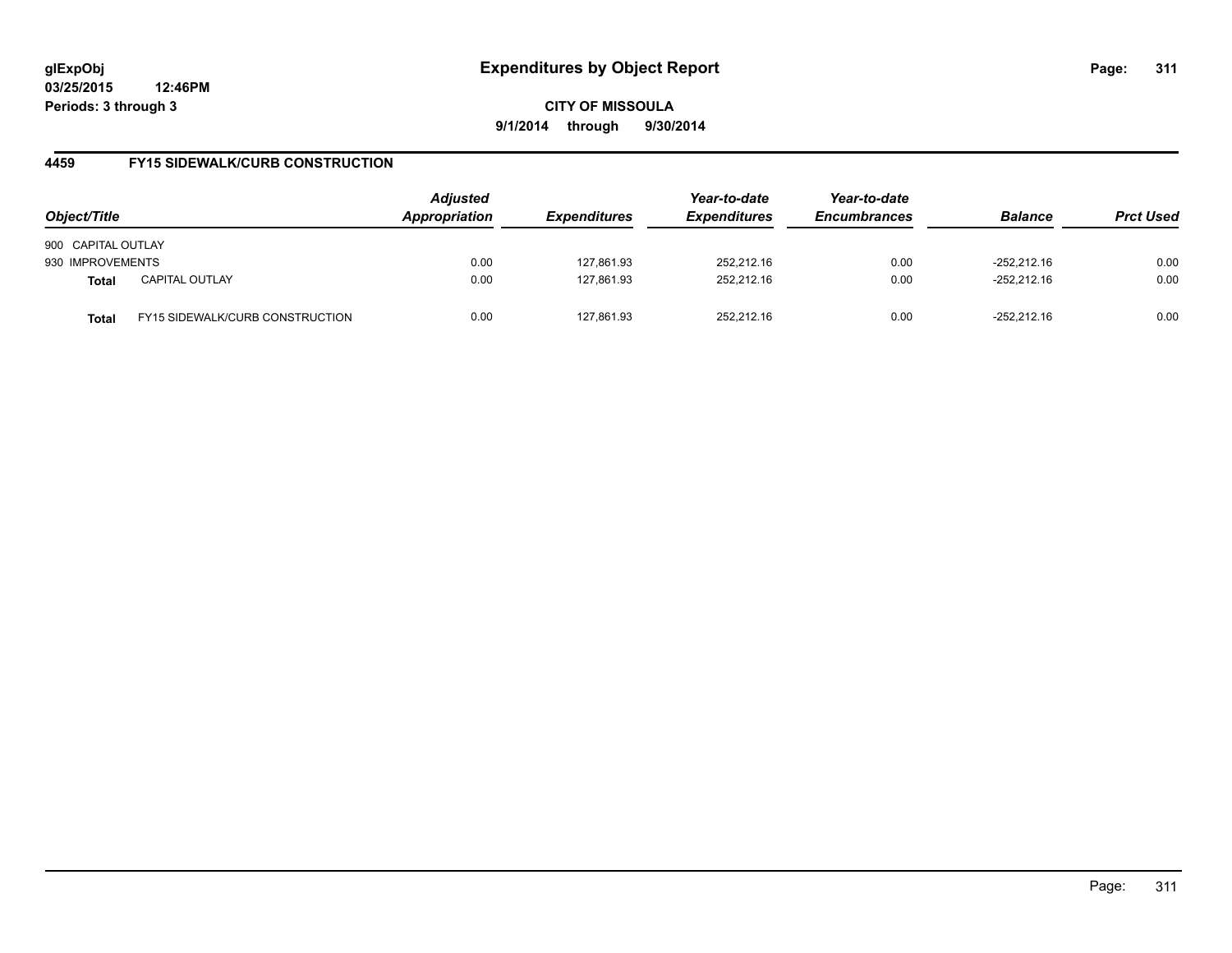**03/25/2015 12:46PM Periods: 3 through 3**

**CITY OF MISSOULA 9/1/2014 through 9/30/2014**

## **4459 FY15 SIDEWALK/CURB CONSTRUCTION**

| Object/Title       |                                        | <b>Adjusted</b><br><b>Appropriation</b> | <i><b>Expenditures</b></i> | Year-to-date<br><b>Expenditures</b> | Year-to-date<br><b>Encumbrances</b> | <b>Balance</b> | <b>Prct Used</b> |
|--------------------|----------------------------------------|-----------------------------------------|----------------------------|-------------------------------------|-------------------------------------|----------------|------------------|
| 900 CAPITAL OUTLAY |                                        |                                         |                            |                                     |                                     |                |                  |
| 930 IMPROVEMENTS   |                                        | 0.00                                    | 127.861.93                 | 252.212.16                          | 0.00                                | $-252.212.16$  | 0.00             |
| <b>Total</b>       | <b>CAPITAL OUTLAY</b>                  | 0.00                                    | 127,861.93                 | 252,212.16                          | 0.00                                | $-252.212.16$  | 0.00             |
| Total              | <b>FY15 SIDEWALK/CURB CONSTRUCTION</b> | 0.00                                    | 127.861.93                 | 252.212.16                          | 0.00                                | $-252.212.16$  | 0.00             |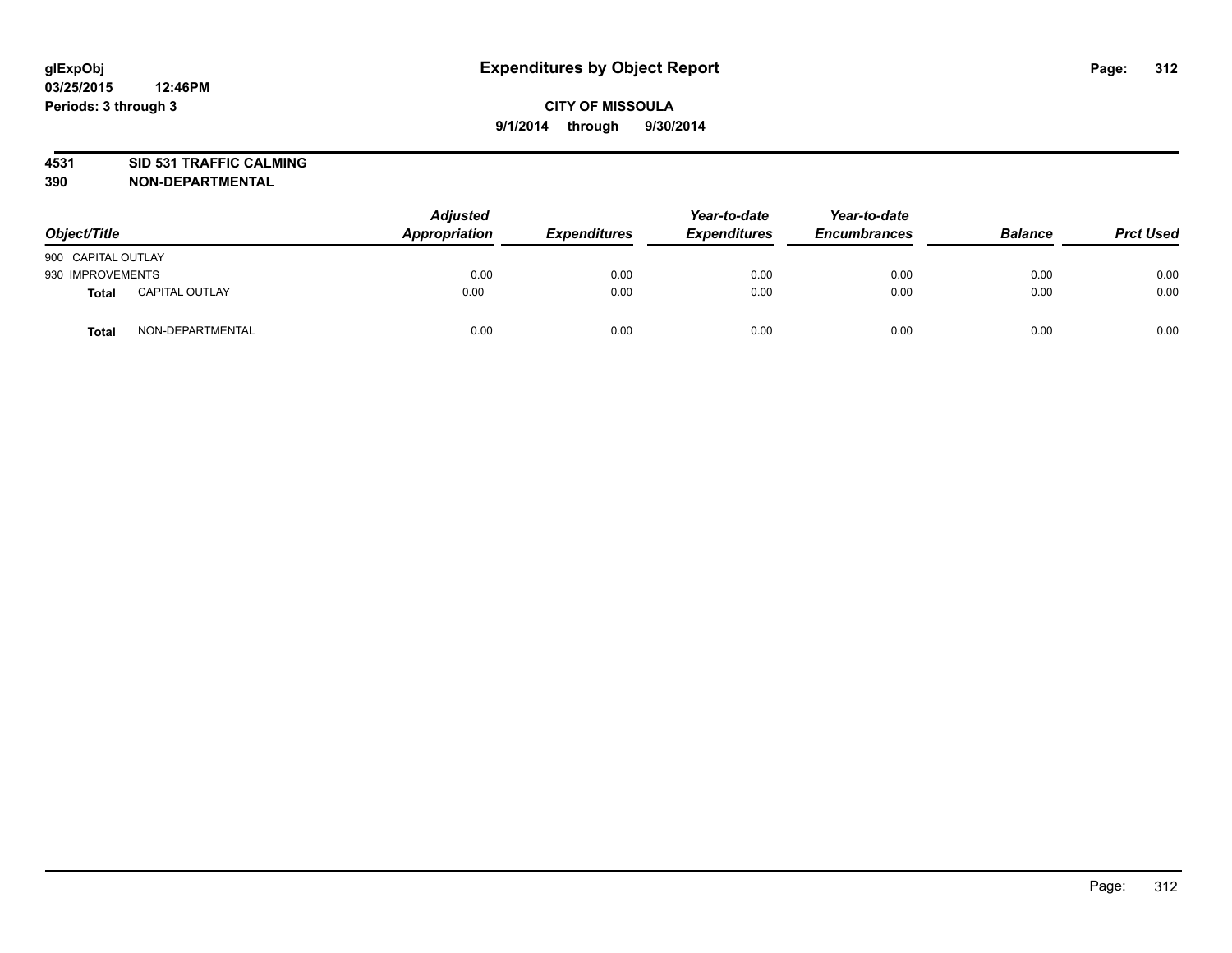# **4531 SID 531 TRAFFIC CALMING**

| Object/Title       |                       | <b>Adjusted</b><br>Appropriation | <b>Expenditures</b> | Year-to-date<br><b>Expenditures</b> | Year-to-date<br><b>Encumbrances</b> | <b>Balance</b> | <b>Prct Used</b> |
|--------------------|-----------------------|----------------------------------|---------------------|-------------------------------------|-------------------------------------|----------------|------------------|
| 900 CAPITAL OUTLAY |                       |                                  |                     |                                     |                                     |                |                  |
| 930 IMPROVEMENTS   |                       | 0.00                             | 0.00                | 0.00                                | 0.00                                | 0.00           | 0.00             |
| Total              | <b>CAPITAL OUTLAY</b> | 0.00                             | 0.00                | 0.00                                | 0.00                                | 0.00           | 0.00             |
| <b>Total</b>       | NON-DEPARTMENTAL      | 0.00                             | 0.00                | 0.00                                | 0.00                                | 0.00           | 0.00             |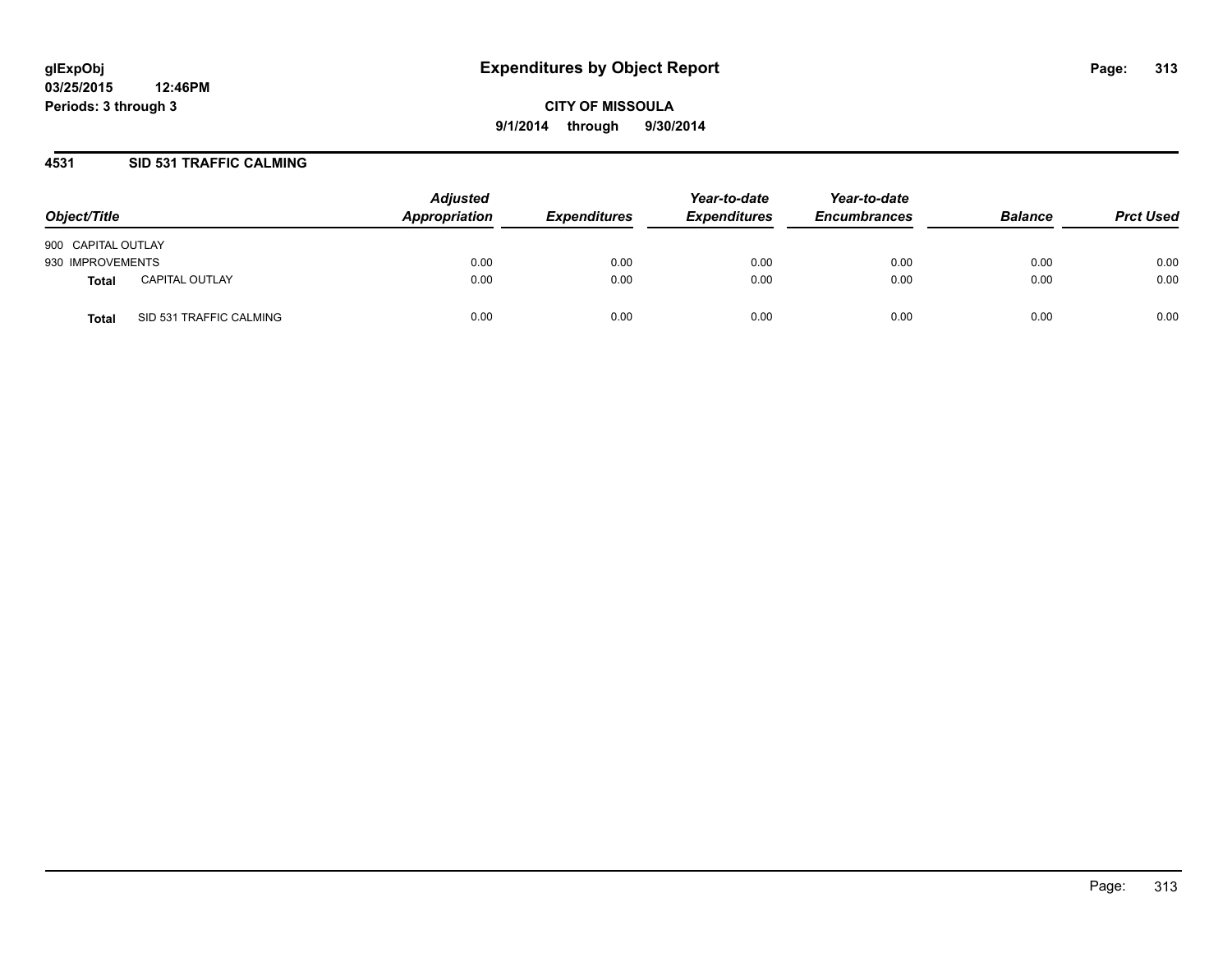#### **4531 SID 531 TRAFFIC CALMING**

| Object/Title       |                         | <b>Adjusted</b><br>Appropriation | <b>Expenditures</b> | Year-to-date<br><b>Expenditures</b> | Year-to-date<br><b>Encumbrances</b> | <b>Balance</b> | <b>Prct Used</b> |
|--------------------|-------------------------|----------------------------------|---------------------|-------------------------------------|-------------------------------------|----------------|------------------|
| 900 CAPITAL OUTLAY |                         |                                  |                     |                                     |                                     |                |                  |
| 930 IMPROVEMENTS   |                         | 0.00                             | 0.00                | 0.00                                | 0.00                                | 0.00           | 0.00             |
| Total              | <b>CAPITAL OUTLAY</b>   | 0.00                             | 0.00                | 0.00                                | 0.00                                | 0.00           | 0.00             |
| <b>Total</b>       | SID 531 TRAFFIC CALMING | 0.00                             | 0.00                | 0.00                                | 0.00                                | 0.00           | 0.00             |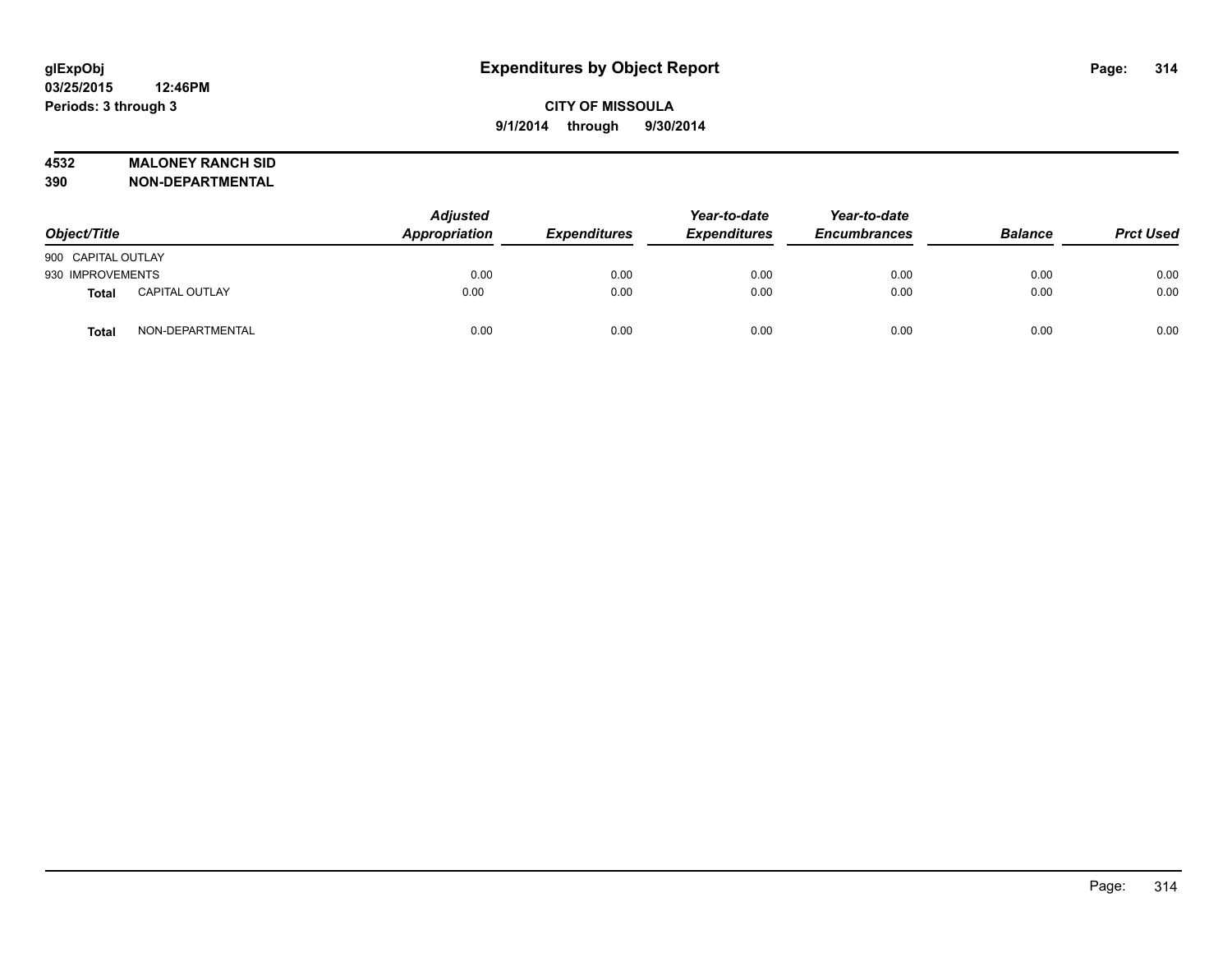#### **4532 MALONEY RANCH SID**

| Object/Title       |                       | <b>Adjusted</b><br>Appropriation | <b>Expenditures</b> | Year-to-date<br><b>Expenditures</b> | Year-to-date<br><b>Encumbrances</b> | <b>Balance</b> | <b>Prct Used</b> |
|--------------------|-----------------------|----------------------------------|---------------------|-------------------------------------|-------------------------------------|----------------|------------------|
| 900 CAPITAL OUTLAY |                       |                                  |                     |                                     |                                     |                |                  |
| 930 IMPROVEMENTS   |                       | 0.00                             | 0.00                | 0.00                                | 0.00                                | 0.00           | 0.00             |
| Total              | <b>CAPITAL OUTLAY</b> | 0.00                             | 0.00                | 0.00                                | 0.00                                | 0.00           | 0.00             |
| <b>Total</b>       | NON-DEPARTMENTAL      | 0.00                             | 0.00                | 0.00                                | 0.00                                | 0.00           | 0.00             |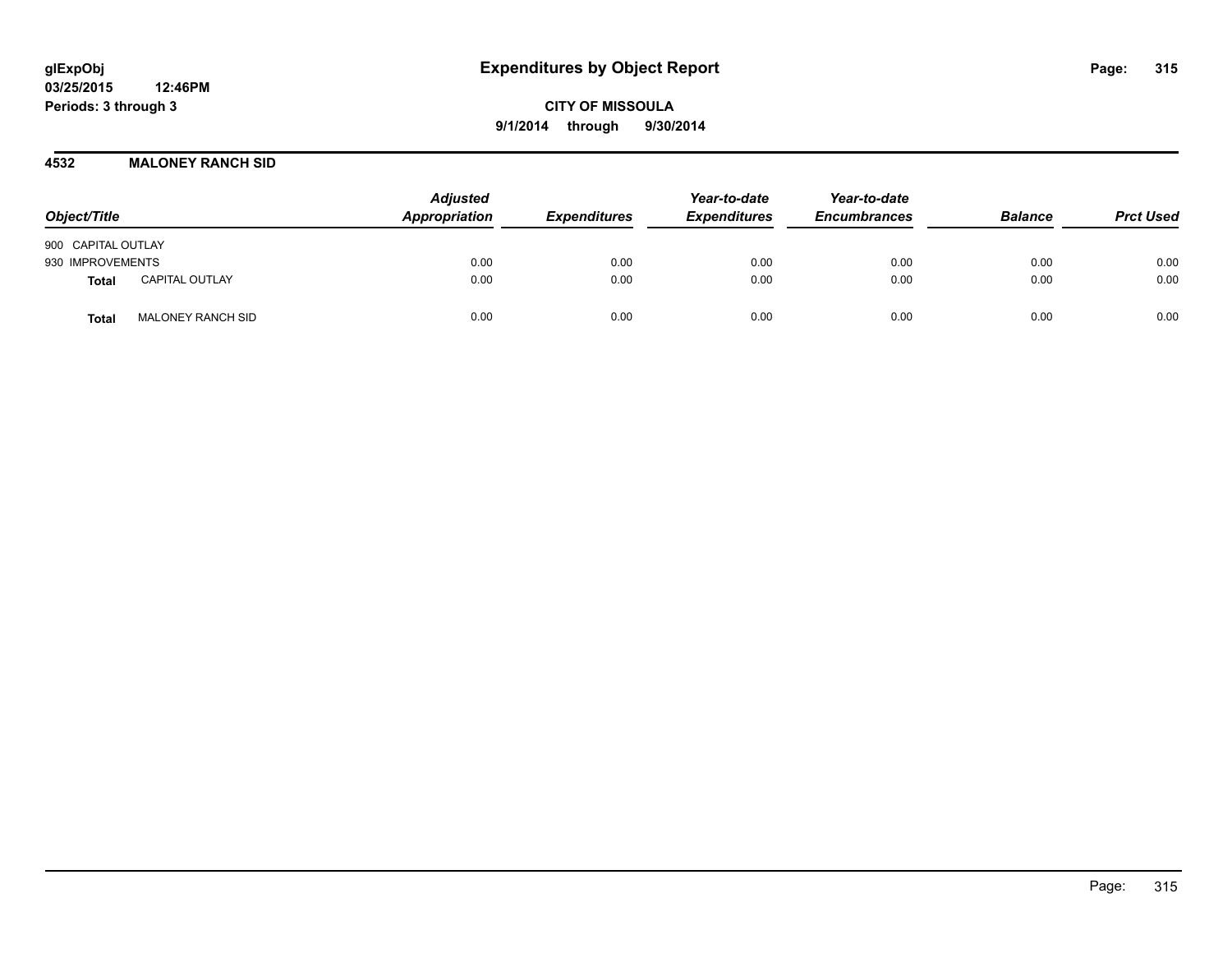#### **4532 MALONEY RANCH SID**

| Object/Title                             | <b>Adjusted</b><br>Appropriation | <b>Expenditures</b> | Year-to-date<br><b>Expenditures</b> | Year-to-date<br><b>Encumbrances</b> | <b>Balance</b> | <b>Prct Used</b> |
|------------------------------------------|----------------------------------|---------------------|-------------------------------------|-------------------------------------|----------------|------------------|
| 900 CAPITAL OUTLAY                       |                                  |                     |                                     |                                     |                |                  |
| 930 IMPROVEMENTS                         | 0.00                             | 0.00                | 0.00                                | 0.00                                | 0.00           | 0.00             |
| <b>CAPITAL OUTLAY</b><br>Total           | 0.00                             | 0.00                | 0.00                                | 0.00                                | 0.00           | 0.00             |
| <b>MALONEY RANCH SID</b><br><b>Total</b> | 0.00                             | 0.00                | 0.00                                | 0.00                                | 0.00           | 0.00             |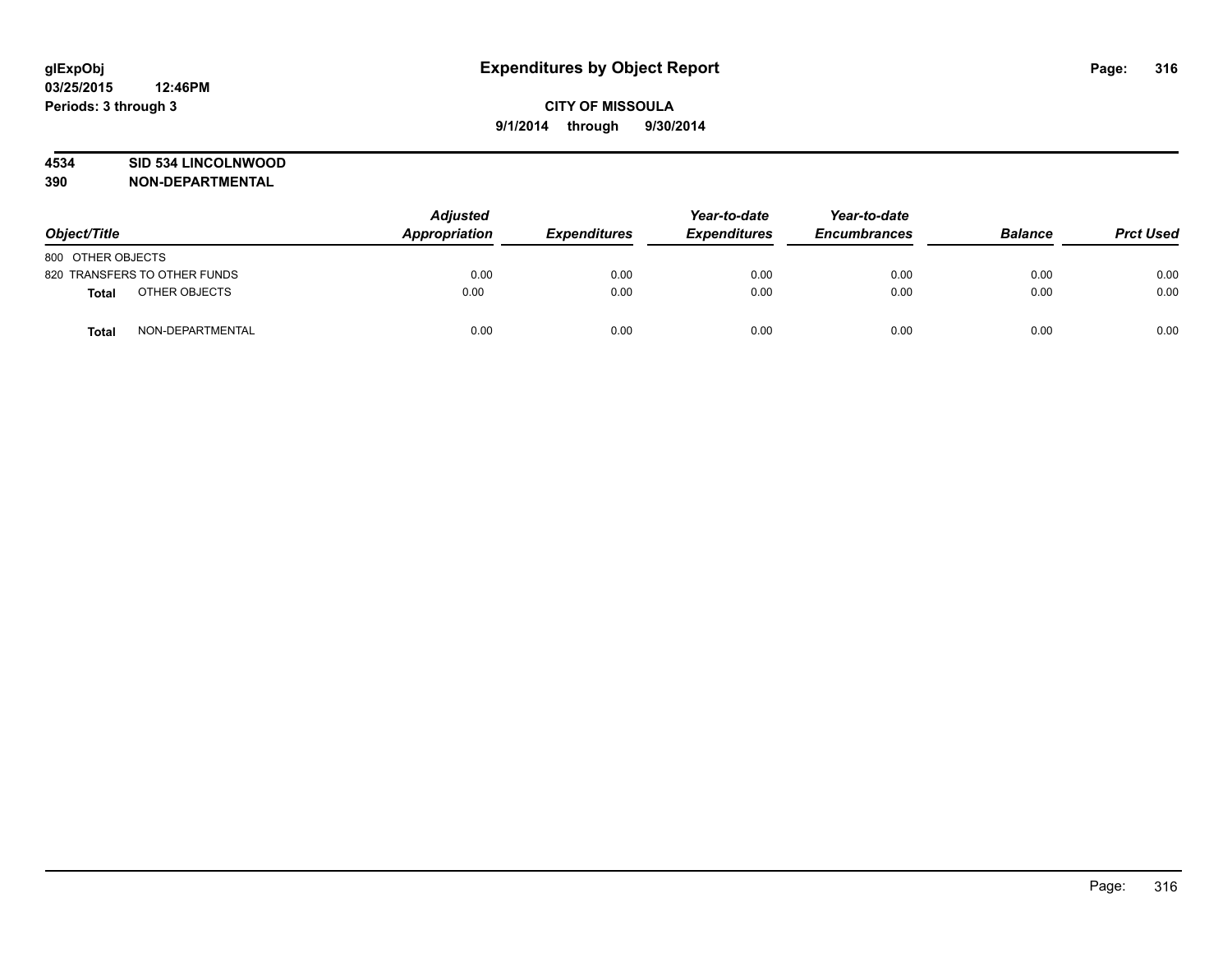#### **4534 SID 534 LINCOLNWOOD**

| Object/Title      |                              | <b>Adjusted</b><br>Appropriation | <b>Expenditures</b> | Year-to-date<br><b>Expenditures</b> | Year-to-date<br><b>Encumbrances</b> | <b>Balance</b> | <b>Prct Used</b> |
|-------------------|------------------------------|----------------------------------|---------------------|-------------------------------------|-------------------------------------|----------------|------------------|
| 800 OTHER OBJECTS |                              |                                  |                     |                                     |                                     |                |                  |
|                   | 820 TRANSFERS TO OTHER FUNDS | 0.00                             | 0.00                | 0.00                                | 0.00                                | 0.00           | 0.00             |
| <b>Total</b>      | OTHER OBJECTS                | 0.00                             | 0.00                | 0.00                                | 0.00                                | 0.00           | 0.00             |
| <b>Total</b>      | NON-DEPARTMENTAL             | 0.00                             | 0.00                | 0.00                                | 0.00                                | 0.00           | 0.00             |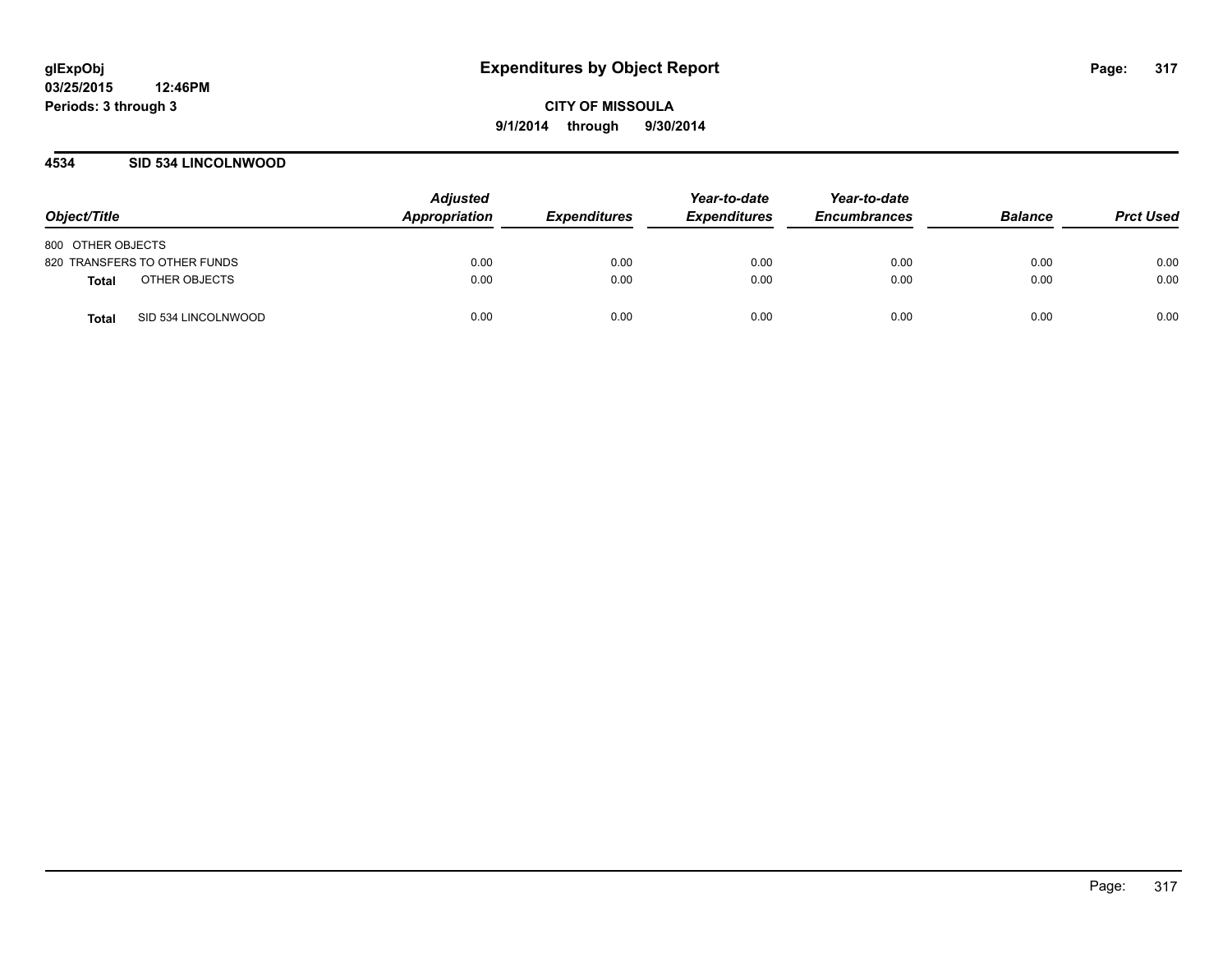#### **4534 SID 534 LINCOLNWOOD**

| Object/Title                 | <b>Adjusted</b><br>Appropriation | <b>Expenditures</b> | Year-to-date<br><b>Expenditures</b> | Year-to-date<br><b>Encumbrances</b> | <b>Balance</b> | <b>Prct Used</b> |
|------------------------------|----------------------------------|---------------------|-------------------------------------|-------------------------------------|----------------|------------------|
| 800 OTHER OBJECTS            |                                  |                     |                                     |                                     |                |                  |
| 820 TRANSFERS TO OTHER FUNDS | 0.00                             | 0.00                | 0.00                                | 0.00                                | 0.00           | 0.00             |
| OTHER OBJECTS<br>Total       | 0.00                             | 0.00                | 0.00                                | 0.00                                | 0.00           | 0.00             |
| SID 534 LINCOLNWOOD<br>Total | 0.00                             | 0.00                | 0.00                                | 0.00                                | 0.00           | 0.00             |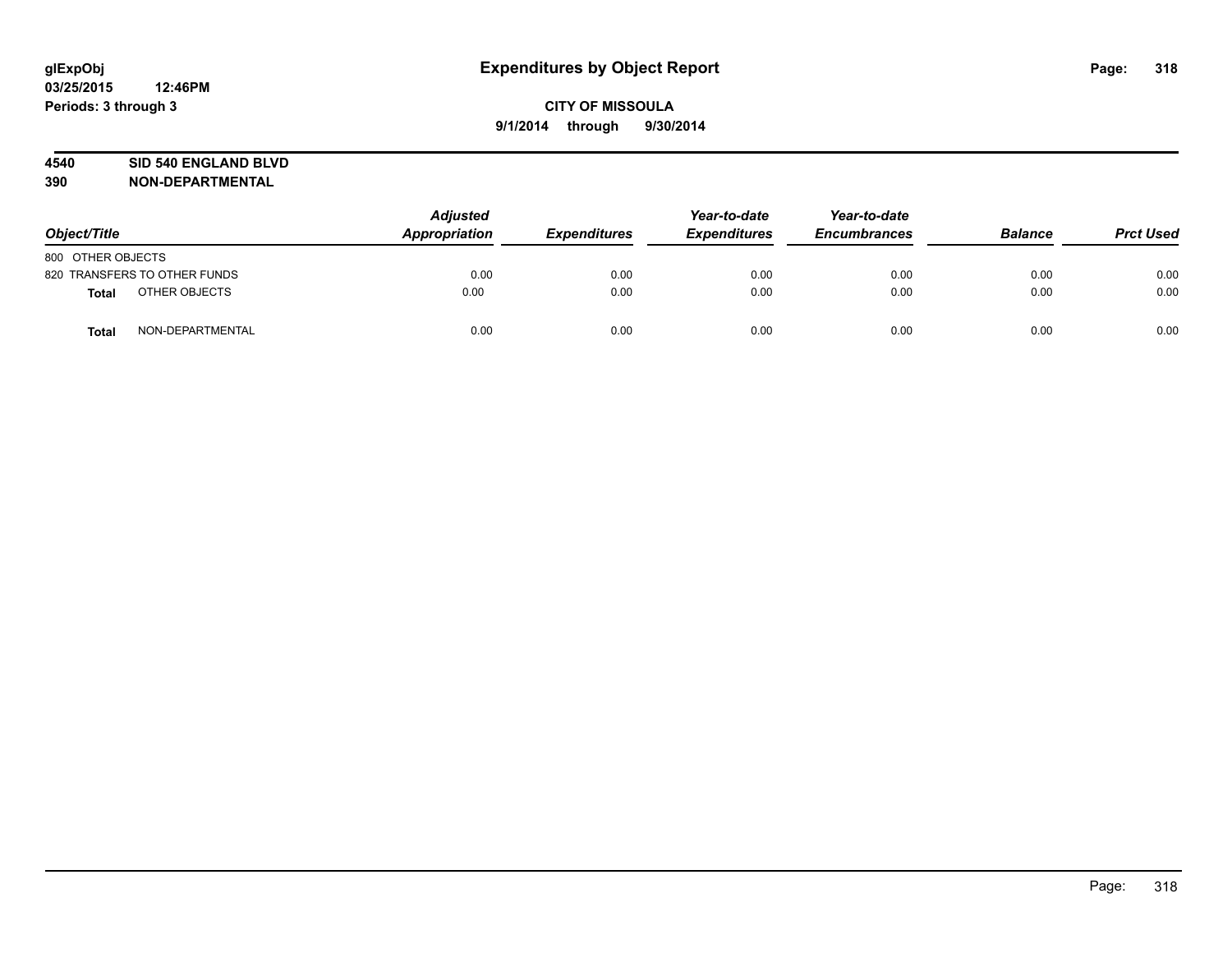#### **4540 SID 540 ENGLAND BLVD**

| Object/Title      |                              | <b>Adjusted</b><br>Appropriation | <b>Expenditures</b> | Year-to-date<br><b>Expenditures</b> | Year-to-date<br><b>Encumbrances</b> | <b>Balance</b> | <b>Prct Used</b> |
|-------------------|------------------------------|----------------------------------|---------------------|-------------------------------------|-------------------------------------|----------------|------------------|
| 800 OTHER OBJECTS |                              |                                  |                     |                                     |                                     |                |                  |
|                   | 820 TRANSFERS TO OTHER FUNDS | 0.00                             | 0.00                | 0.00                                | 0.00                                | 0.00           | 0.00             |
| <b>Total</b>      | OTHER OBJECTS                | 0.00                             | 0.00                | 0.00                                | 0.00                                | 0.00           | 0.00             |
| <b>Total</b>      | NON-DEPARTMENTAL             | 0.00                             | 0.00                | 0.00                                | 0.00                                | 0.00           | 0.00             |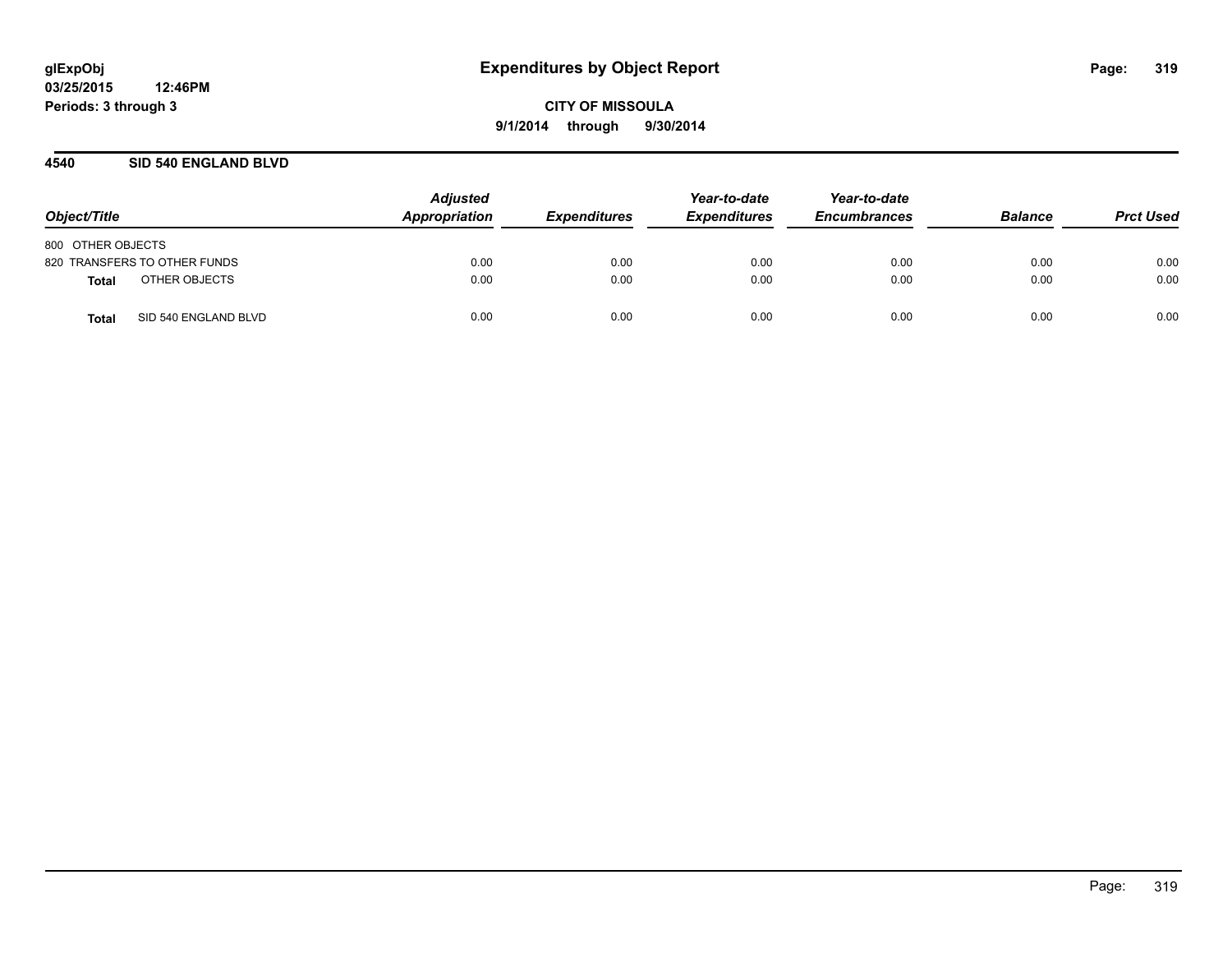#### **4540 SID 540 ENGLAND BLVD**

| Object/Title                  | <b>Adjusted</b><br>Appropriation | <b>Expenditures</b> | Year-to-date<br><b>Expenditures</b> | Year-to-date<br><b>Encumbrances</b> | <b>Balance</b> | <b>Prct Used</b> |
|-------------------------------|----------------------------------|---------------------|-------------------------------------|-------------------------------------|----------------|------------------|
| 800 OTHER OBJECTS             |                                  |                     |                                     |                                     |                |                  |
| 820 TRANSFERS TO OTHER FUNDS  | 0.00                             | 0.00                | 0.00                                | 0.00                                | 0.00           | 0.00             |
| OTHER OBJECTS<br>Total        | 0.00                             | 0.00                | 0.00                                | 0.00                                | 0.00           | 0.00             |
| SID 540 ENGLAND BLVD<br>Total | 0.00                             | 0.00                | 0.00                                | 0.00                                | 0.00           | 0.00             |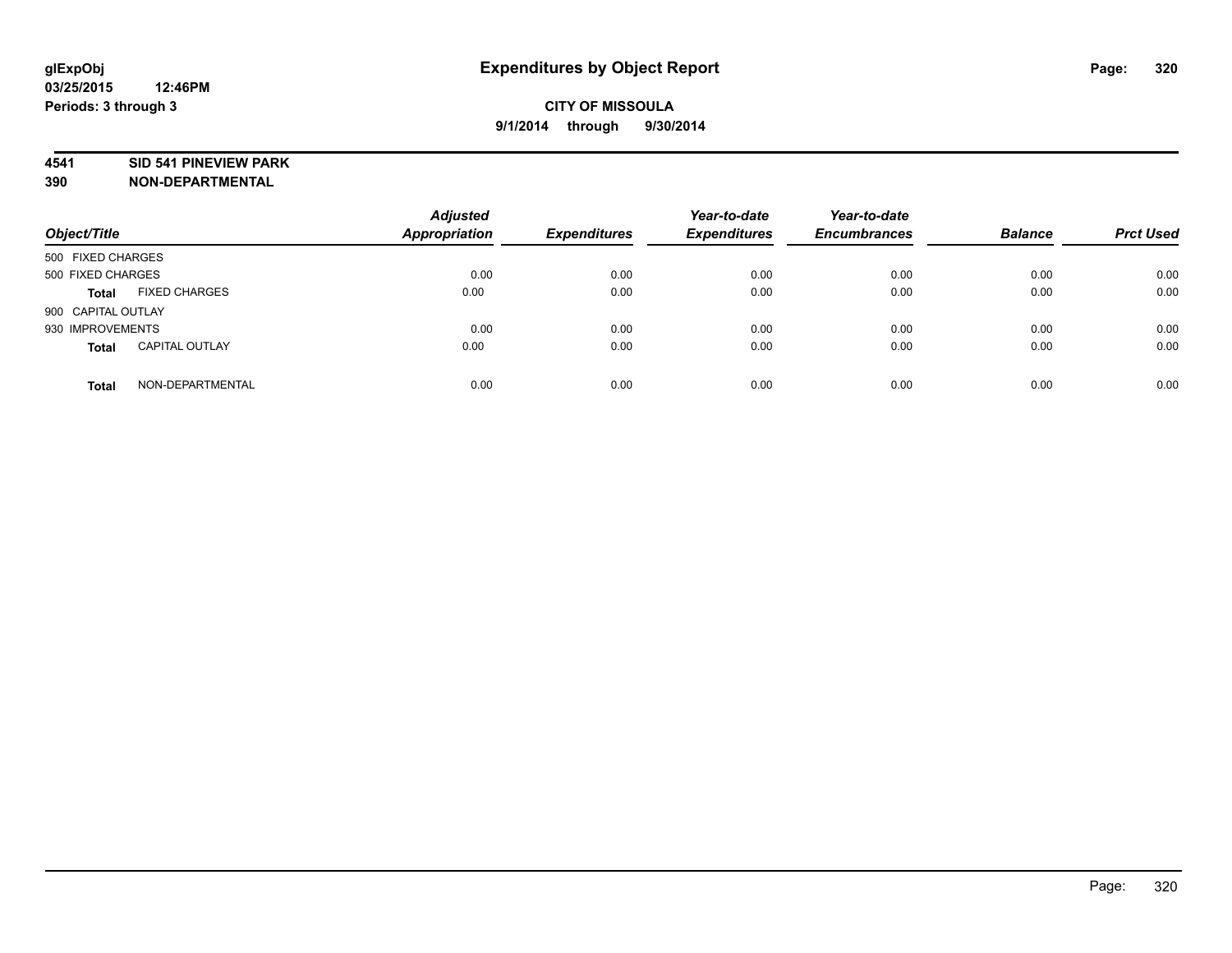#### **4541 SID 541 PINEVIEW PARK**

| Object/Title       |                       | <b>Adjusted</b><br><b>Appropriation</b> | <b>Expenditures</b> | Year-to-date<br><b>Expenditures</b> | Year-to-date<br><b>Encumbrances</b> | <b>Balance</b> | <b>Prct Used</b> |
|--------------------|-----------------------|-----------------------------------------|---------------------|-------------------------------------|-------------------------------------|----------------|------------------|
| 500 FIXED CHARGES  |                       |                                         |                     |                                     |                                     |                |                  |
| 500 FIXED CHARGES  |                       | 0.00                                    | 0.00                | 0.00                                | 0.00                                | 0.00           | 0.00             |
| <b>Total</b>       | <b>FIXED CHARGES</b>  | 0.00                                    | 0.00                | 0.00                                | 0.00                                | 0.00           | 0.00             |
| 900 CAPITAL OUTLAY |                       |                                         |                     |                                     |                                     |                |                  |
| 930 IMPROVEMENTS   |                       | 0.00                                    | 0.00                | 0.00                                | 0.00                                | 0.00           | 0.00             |
| <b>Total</b>       | <b>CAPITAL OUTLAY</b> | 0.00                                    | 0.00                | 0.00                                | 0.00                                | 0.00           | 0.00             |
| <b>Total</b>       | NON-DEPARTMENTAL      | 0.00                                    | 0.00                | 0.00                                | 0.00                                | 0.00           | 0.00             |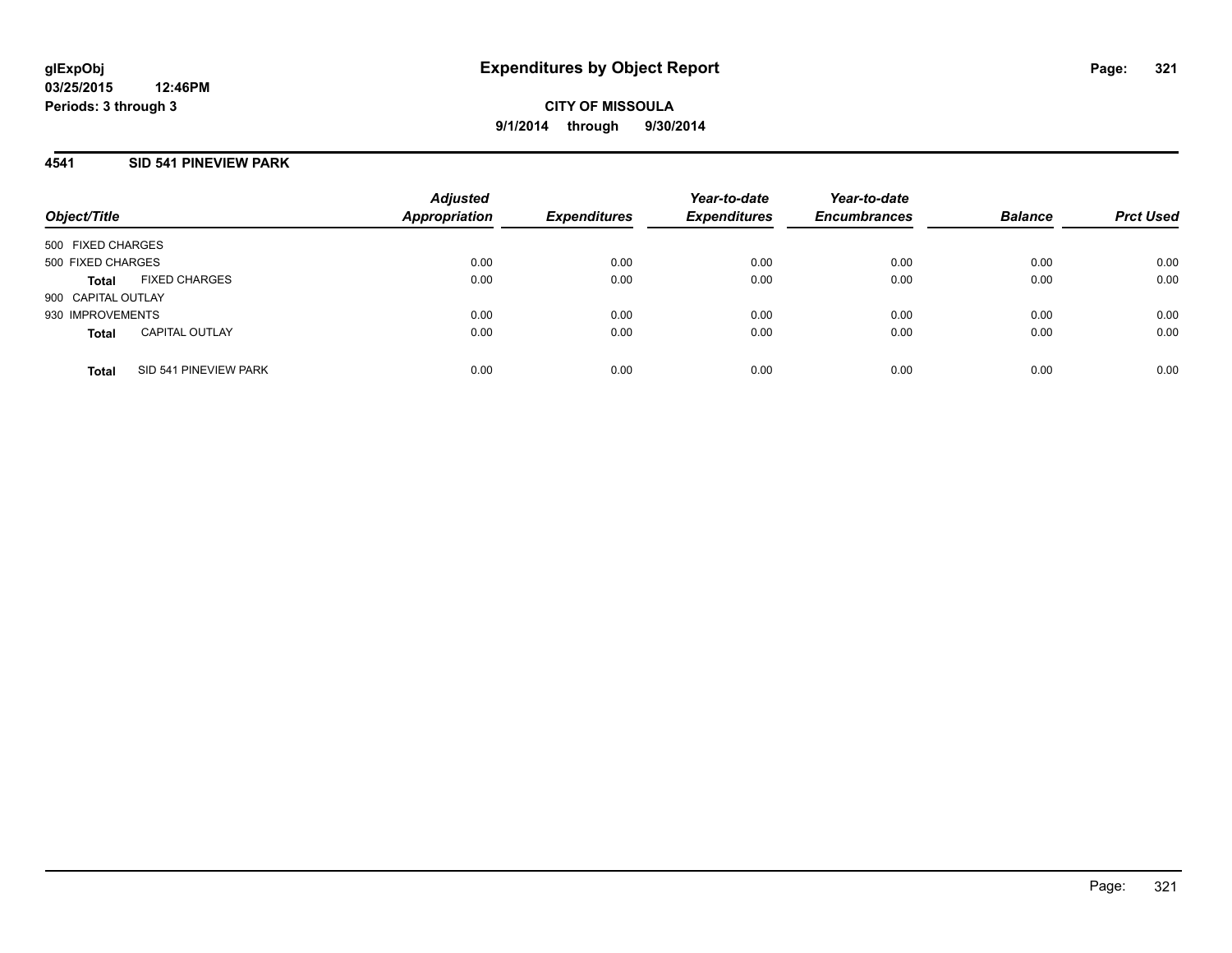## **4541 SID 541 PINEVIEW PARK**

| Object/Title       |                       | <b>Adjusted</b><br>Appropriation | <b>Expenditures</b> | Year-to-date<br><b>Expenditures</b> | Year-to-date<br><b>Encumbrances</b> | <b>Balance</b> | <b>Prct Used</b> |
|--------------------|-----------------------|----------------------------------|---------------------|-------------------------------------|-------------------------------------|----------------|------------------|
| 500 FIXED CHARGES  |                       |                                  |                     |                                     |                                     |                |                  |
| 500 FIXED CHARGES  |                       | 0.00                             | 0.00                | 0.00                                | 0.00                                | 0.00           | 0.00             |
| <b>Total</b>       | <b>FIXED CHARGES</b>  | 0.00                             | 0.00                | 0.00                                | 0.00                                | 0.00           | 0.00             |
| 900 CAPITAL OUTLAY |                       |                                  |                     |                                     |                                     |                |                  |
| 930 IMPROVEMENTS   |                       | 0.00                             | 0.00                | 0.00                                | 0.00                                | 0.00           | 0.00             |
| <b>Total</b>       | <b>CAPITAL OUTLAY</b> | 0.00                             | 0.00                | 0.00                                | 0.00                                | 0.00           | 0.00             |
| <b>Total</b>       | SID 541 PINEVIEW PARK | 0.00                             | 0.00                | 0.00                                | 0.00                                | 0.00           | 0.00             |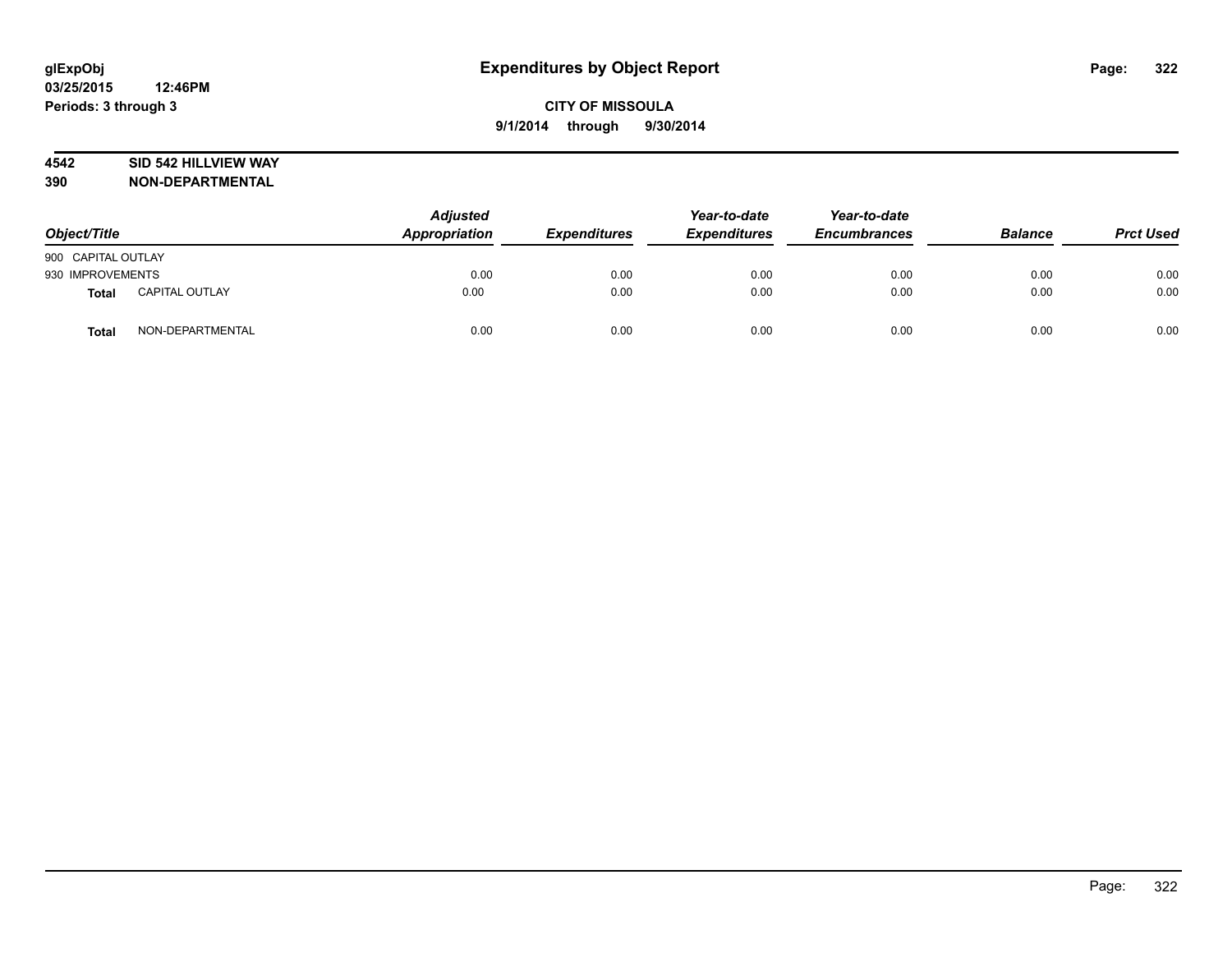#### **4542 SID 542 HILLVIEW WAY**

| Object/Title       |                  | <b>Adjusted</b><br>Appropriation | <b>Expenditures</b> | Year-to-date<br><b>Expenditures</b> | Year-to-date<br><b>Encumbrances</b> | <b>Balance</b> | <b>Prct Used</b> |
|--------------------|------------------|----------------------------------|---------------------|-------------------------------------|-------------------------------------|----------------|------------------|
| 900 CAPITAL OUTLAY |                  |                                  |                     |                                     |                                     |                |                  |
| 930 IMPROVEMENTS   |                  | 0.00                             | 0.00                | 0.00                                | 0.00                                | 0.00           | 0.00             |
| <b>Total</b>       | CAPITAL OUTLAY   | 0.00                             | 0.00                | 0.00                                | 0.00                                | 0.00           | 0.00             |
| Total              | NON-DEPARTMENTAL | 0.00                             | 0.00                | 0.00                                | 0.00                                | 0.00           | 0.00             |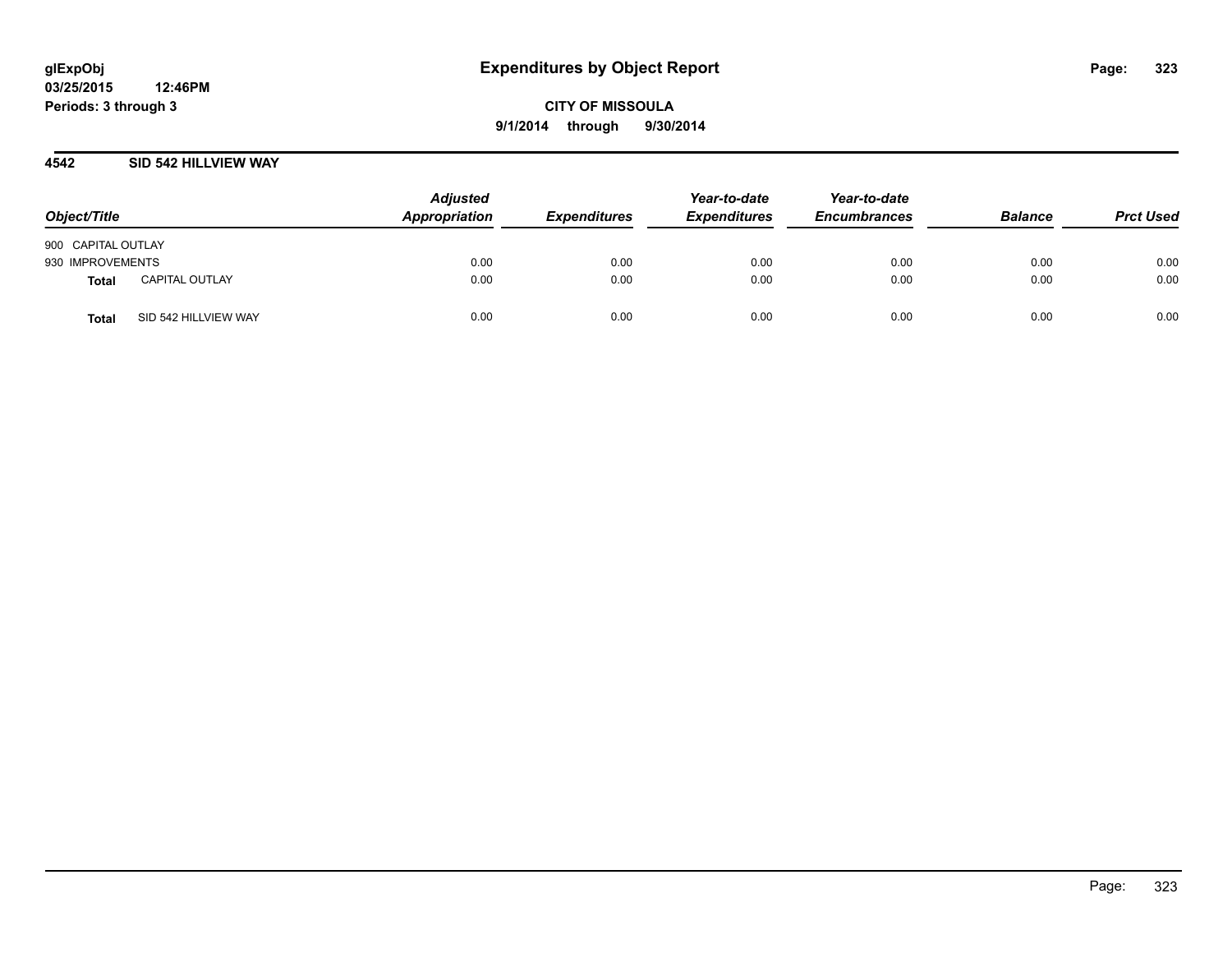#### **4542 SID 542 HILLVIEW WAY**

| Object/Title                         | <b>Adjusted</b><br>Appropriation | <b>Expenditures</b> | Year-to-date<br><b>Expenditures</b> | Year-to-date<br><b>Encumbrances</b> | <b>Balance</b> | <b>Prct Used</b> |
|--------------------------------------|----------------------------------|---------------------|-------------------------------------|-------------------------------------|----------------|------------------|
| 900 CAPITAL OUTLAY                   |                                  |                     |                                     |                                     |                |                  |
| 930 IMPROVEMENTS                     | 0.00                             | 0.00                | 0.00                                | 0.00                                | 0.00           | 0.00             |
| CAPITAL OUTLAY<br><b>Total</b>       | 0.00                             | 0.00                | 0.00                                | 0.00                                | 0.00           | 0.00             |
| SID 542 HILLVIEW WAY<br><b>Total</b> | 0.00                             | 0.00                | 0.00                                | 0.00                                | 0.00           | 0.00             |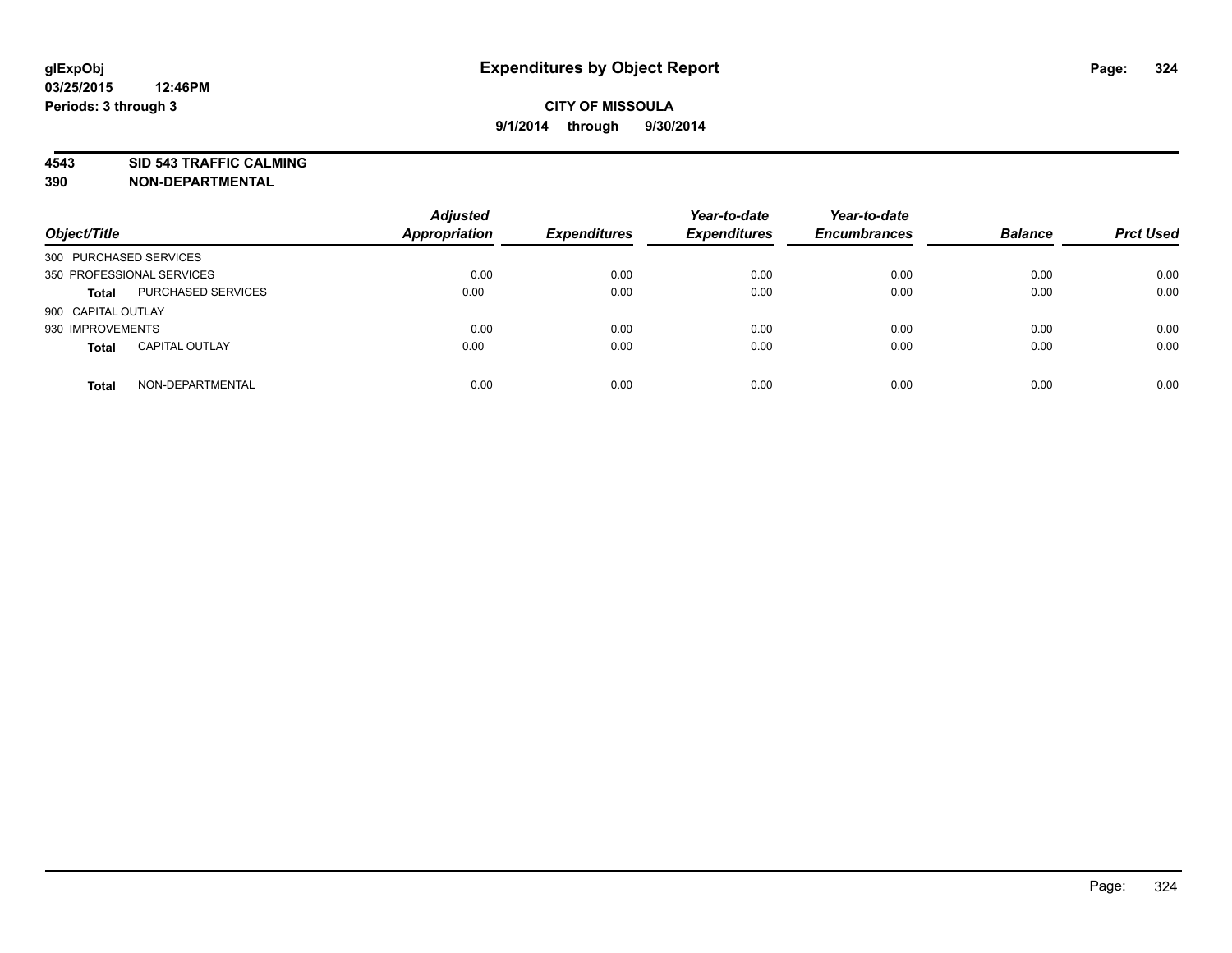**4543 SID 543 TRAFFIC CALMING**

| Object/Title              |                           | <b>Adjusted</b><br><b>Appropriation</b> | <b>Expenditures</b> | Year-to-date<br><b>Expenditures</b> | Year-to-date<br><b>Encumbrances</b> | <b>Balance</b> | <b>Prct Used</b> |
|---------------------------|---------------------------|-----------------------------------------|---------------------|-------------------------------------|-------------------------------------|----------------|------------------|
| 300 PURCHASED SERVICES    |                           |                                         |                     |                                     |                                     |                |                  |
| 350 PROFESSIONAL SERVICES |                           | 0.00                                    | 0.00                | 0.00                                | 0.00                                | 0.00           | 0.00             |
| <b>Total</b>              | <b>PURCHASED SERVICES</b> | 0.00                                    | 0.00                | 0.00                                | 0.00                                | 0.00           | 0.00             |
| 900 CAPITAL OUTLAY        |                           |                                         |                     |                                     |                                     |                |                  |
| 930 IMPROVEMENTS          |                           | 0.00                                    | 0.00                | 0.00                                | 0.00                                | 0.00           | 0.00             |
| <b>Total</b>              | <b>CAPITAL OUTLAY</b>     | 0.00                                    | 0.00                | 0.00                                | 0.00                                | 0.00           | 0.00             |
| <b>Total</b>              | NON-DEPARTMENTAL          | 0.00                                    | 0.00                | 0.00                                | 0.00                                | 0.00           | 0.00             |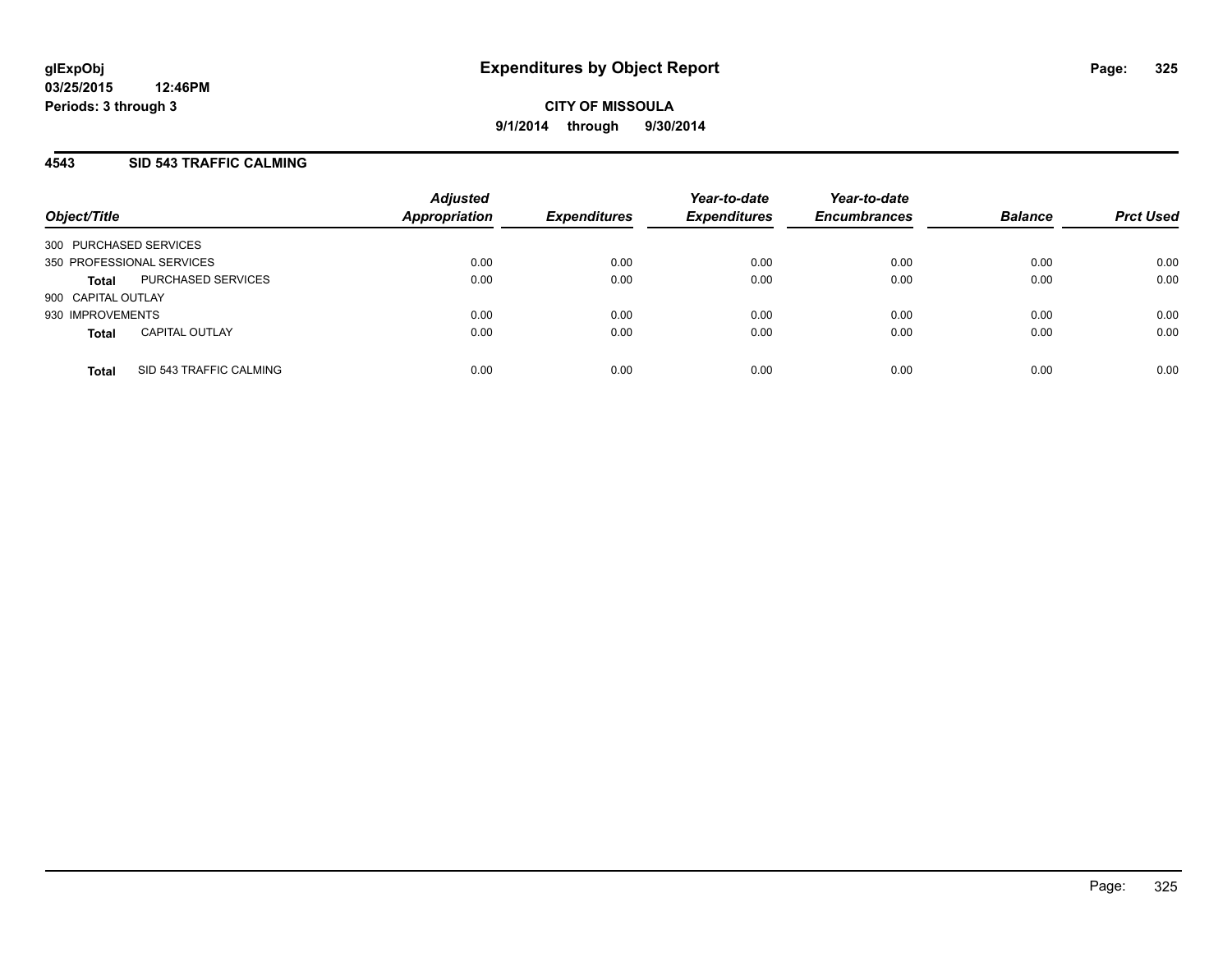#### **4543 SID 543 TRAFFIC CALMING**

| Object/Title           |                           | <b>Adjusted</b><br><b>Appropriation</b> | <b>Expenditures</b> | Year-to-date<br><b>Expenditures</b> | Year-to-date<br><b>Encumbrances</b> | <b>Balance</b> | <b>Prct Used</b> |
|------------------------|---------------------------|-----------------------------------------|---------------------|-------------------------------------|-------------------------------------|----------------|------------------|
| 300 PURCHASED SERVICES |                           |                                         |                     |                                     |                                     |                |                  |
|                        | 350 PROFESSIONAL SERVICES | 0.00                                    | 0.00                | 0.00                                | 0.00                                | 0.00           | 0.00             |
| <b>Total</b>           | PURCHASED SERVICES        | 0.00                                    | 0.00                | 0.00                                | 0.00                                | 0.00           | 0.00             |
| 900 CAPITAL OUTLAY     |                           |                                         |                     |                                     |                                     |                |                  |
| 930 IMPROVEMENTS       |                           | 0.00                                    | 0.00                | 0.00                                | 0.00                                | 0.00           | 0.00             |
| <b>Total</b>           | <b>CAPITAL OUTLAY</b>     | 0.00                                    | 0.00                | 0.00                                | 0.00                                | 0.00           | 0.00             |
| <b>Total</b>           | SID 543 TRAFFIC CALMING   | 0.00                                    | 0.00                | 0.00                                | 0.00                                | 0.00           | 0.00             |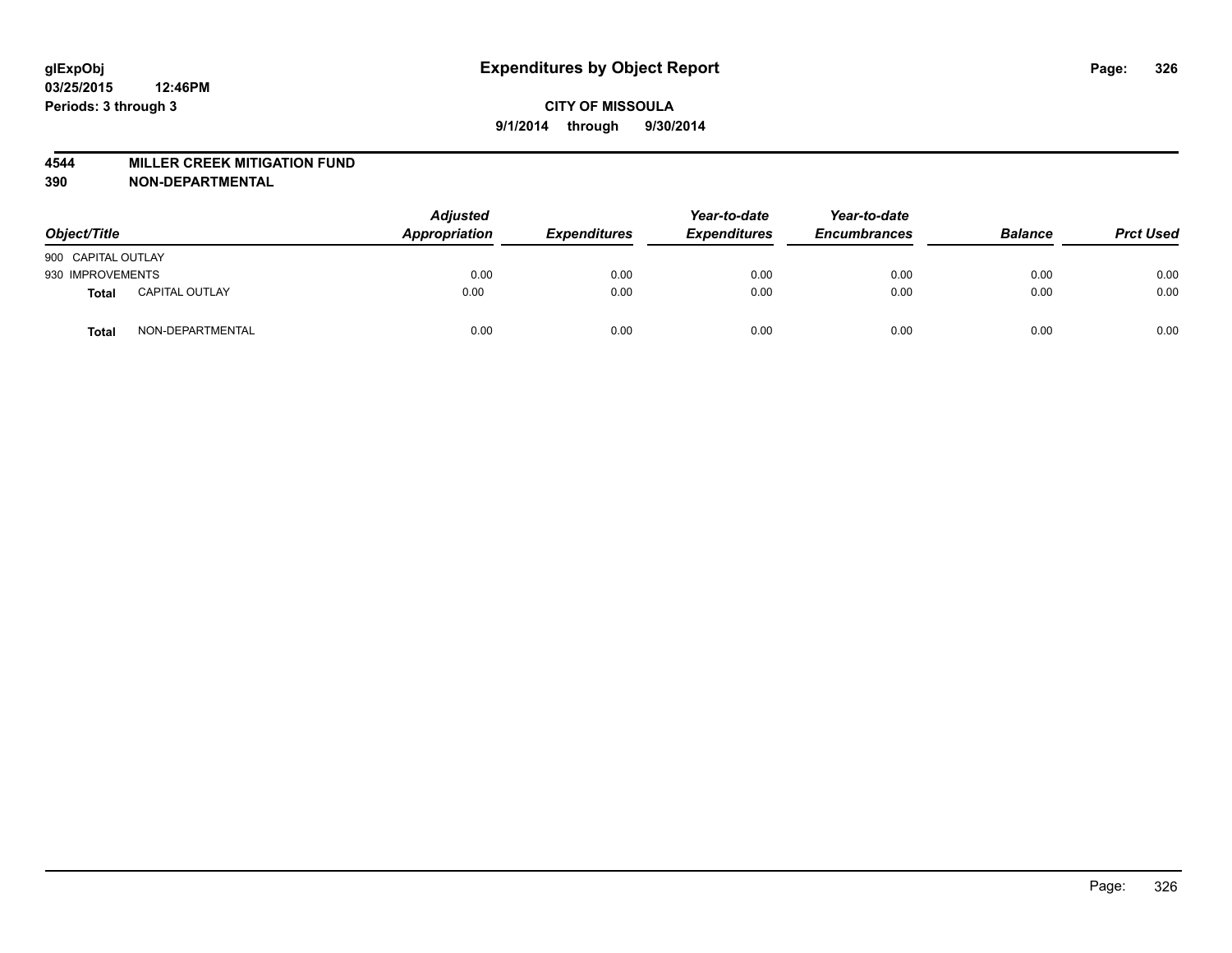#### **4544 MILLER CREEK MITIGATION FUND**

| Object/Title       |                       | <b>Adjusted</b><br>Appropriation | <b>Expenditures</b> | Year-to-date<br><b>Expenditures</b> | Year-to-date<br><b>Encumbrances</b> | <b>Balance</b> | <b>Prct Used</b> |
|--------------------|-----------------------|----------------------------------|---------------------|-------------------------------------|-------------------------------------|----------------|------------------|
| 900 CAPITAL OUTLAY |                       |                                  |                     |                                     |                                     |                |                  |
| 930 IMPROVEMENTS   |                       | 0.00                             | 0.00                | 0.00                                | 0.00                                | 0.00           | 0.00             |
| Total              | <b>CAPITAL OUTLAY</b> | 0.00                             | 0.00                | 0.00                                | 0.00                                | 0.00           | 0.00             |
| Total              | NON-DEPARTMENTAL      | 0.00                             | 0.00                | 0.00                                | 0.00                                | 0.00           | 0.00             |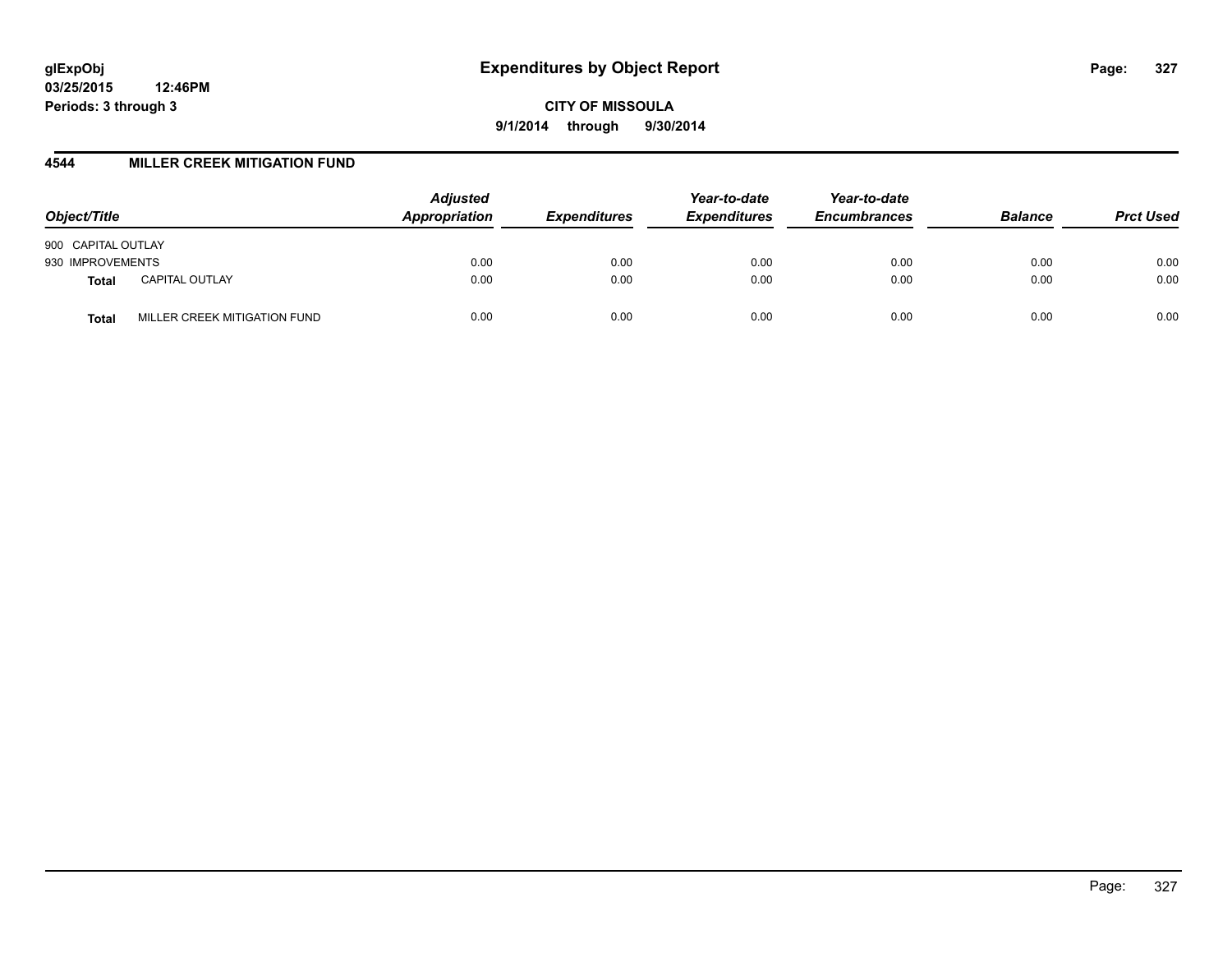**CITY OF MISSOULA 9/1/2014 through 9/30/2014**

#### **4544 MILLER CREEK MITIGATION FUND**

| Object/Title                          | <b>Adjusted</b><br>Appropriation | <b>Expenditures</b> | Year-to-date<br><b>Expenditures</b> | Year-to-date<br><b>Encumbrances</b> | <b>Balance</b> | <b>Prct Used</b> |
|---------------------------------------|----------------------------------|---------------------|-------------------------------------|-------------------------------------|----------------|------------------|
| 900 CAPITAL OUTLAY                    |                                  |                     |                                     |                                     |                |                  |
| 930 IMPROVEMENTS                      | 0.00                             | 0.00                | 0.00                                | 0.00                                | 0.00           | 0.00             |
| <b>CAPITAL OUTLAY</b><br><b>Total</b> | 0.00                             | 0.00                | 0.00                                | 0.00                                | 0.00           | 0.00             |
| MILLER CREEK MITIGATION FUND<br>Total | 0.00                             | 0.00                | 0.00                                | 0.00                                | 0.00           | 0.00             |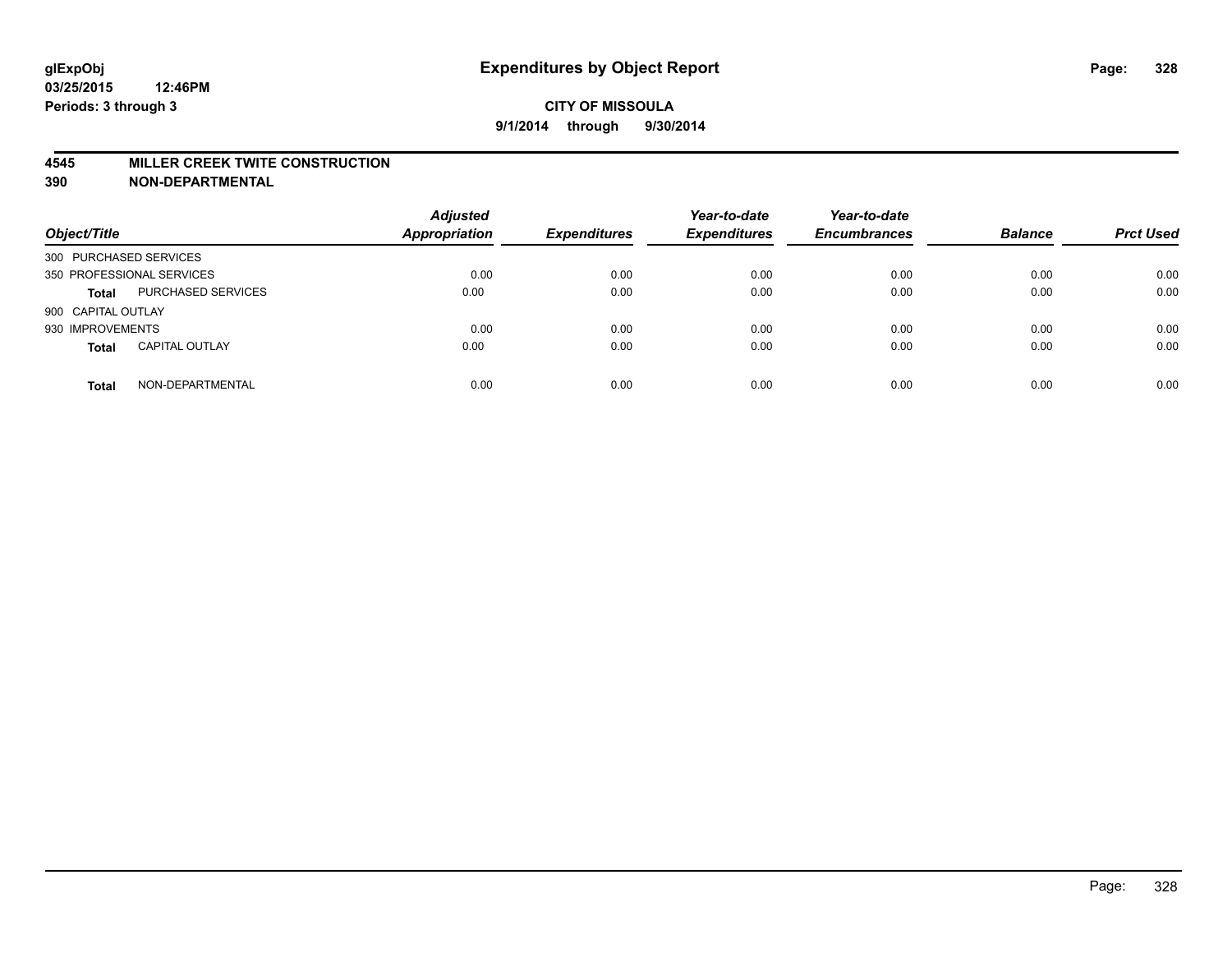#### **4545 MILLER CREEK TWITE CONSTRUCTION**

| Object/Title              |                       | <b>Adjusted</b><br>Appropriation | <b>Expenditures</b> | Year-to-date<br><b>Expenditures</b> | Year-to-date<br><b>Encumbrances</b> | <b>Balance</b> | <b>Prct Used</b> |
|---------------------------|-----------------------|----------------------------------|---------------------|-------------------------------------|-------------------------------------|----------------|------------------|
| 300 PURCHASED SERVICES    |                       |                                  |                     |                                     |                                     |                |                  |
| 350 PROFESSIONAL SERVICES |                       | 0.00                             | 0.00                | 0.00                                | 0.00                                | 0.00           | 0.00             |
| <b>Total</b>              | PURCHASED SERVICES    | 0.00                             | 0.00                | 0.00                                | 0.00                                | 0.00           | 0.00             |
| 900 CAPITAL OUTLAY        |                       |                                  |                     |                                     |                                     |                |                  |
| 930 IMPROVEMENTS          |                       | 0.00                             | 0.00                | 0.00                                | 0.00                                | 0.00           | 0.00             |
| <b>Total</b>              | <b>CAPITAL OUTLAY</b> | 0.00                             | 0.00                | 0.00                                | 0.00                                | 0.00           | 0.00             |
| <b>Total</b>              | NON-DEPARTMENTAL      | 0.00                             | 0.00                | 0.00                                | 0.00                                | 0.00           | 0.00             |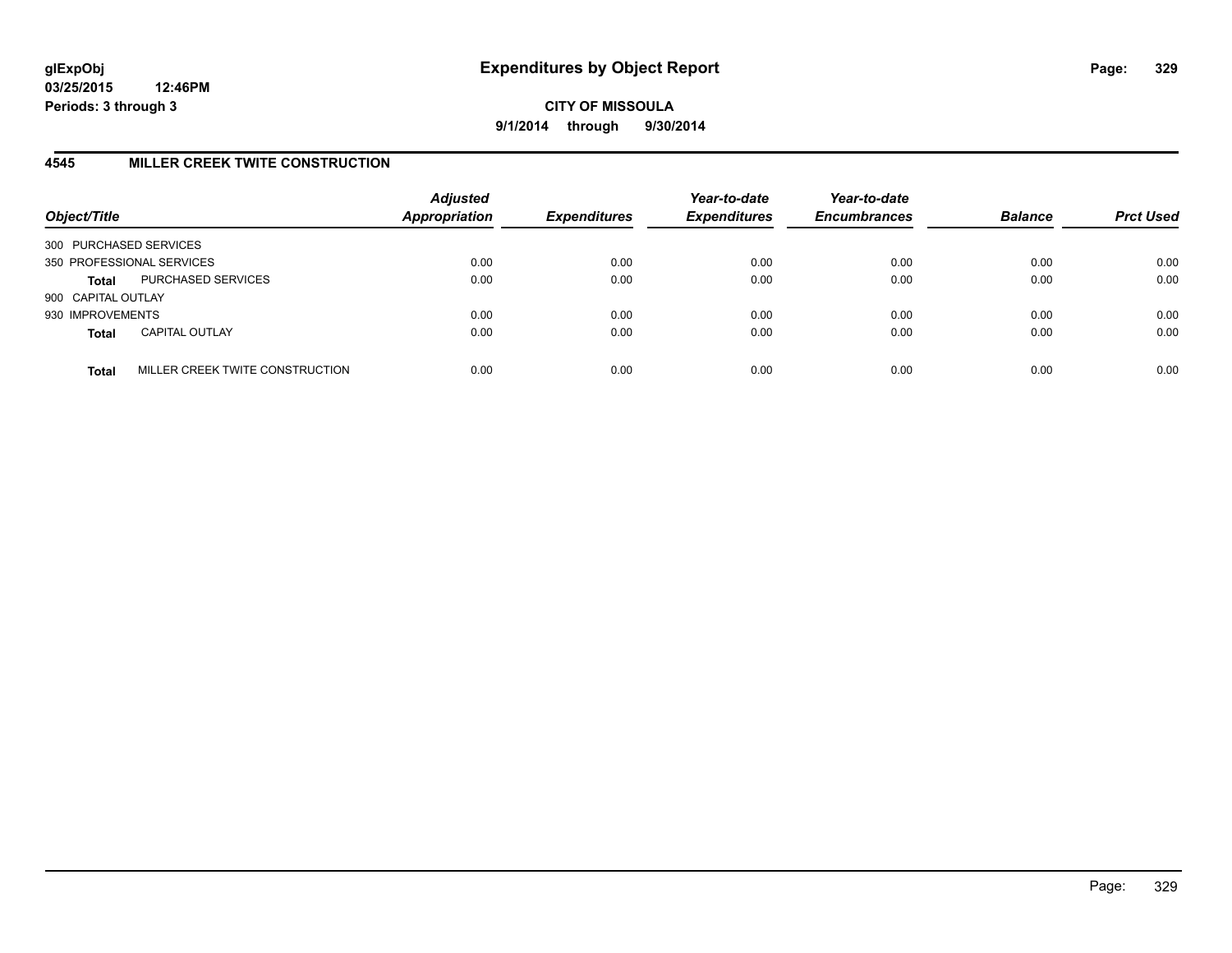**CITY OF MISSOULA 9/1/2014 through 9/30/2014**

## **4545 MILLER CREEK TWITE CONSTRUCTION**

| Object/Title           |                                 | <b>Adjusted</b><br>Appropriation | <b>Expenditures</b> | Year-to-date<br><b>Expenditures</b> | Year-to-date<br><b>Encumbrances</b> | <b>Balance</b> | <b>Prct Used</b> |
|------------------------|---------------------------------|----------------------------------|---------------------|-------------------------------------|-------------------------------------|----------------|------------------|
| 300 PURCHASED SERVICES |                                 |                                  |                     |                                     |                                     |                |                  |
|                        | 350 PROFESSIONAL SERVICES       | 0.00                             | 0.00                | 0.00                                | 0.00                                | 0.00           | 0.00             |
| <b>Total</b>           | PURCHASED SERVICES              | 0.00                             | 0.00                | 0.00                                | 0.00                                | 0.00           | 0.00             |
| 900 CAPITAL OUTLAY     |                                 |                                  |                     |                                     |                                     |                |                  |
| 930 IMPROVEMENTS       |                                 | 0.00                             | 0.00                | 0.00                                | 0.00                                | 0.00           | 0.00             |
| <b>Total</b>           | <b>CAPITAL OUTLAY</b>           | 0.00                             | 0.00                | 0.00                                | 0.00                                | 0.00           | 0.00             |
| <b>Total</b>           | MILLER CREEK TWITE CONSTRUCTION | 0.00                             | 0.00                | 0.00                                | 0.00                                | 0.00           | 0.00             |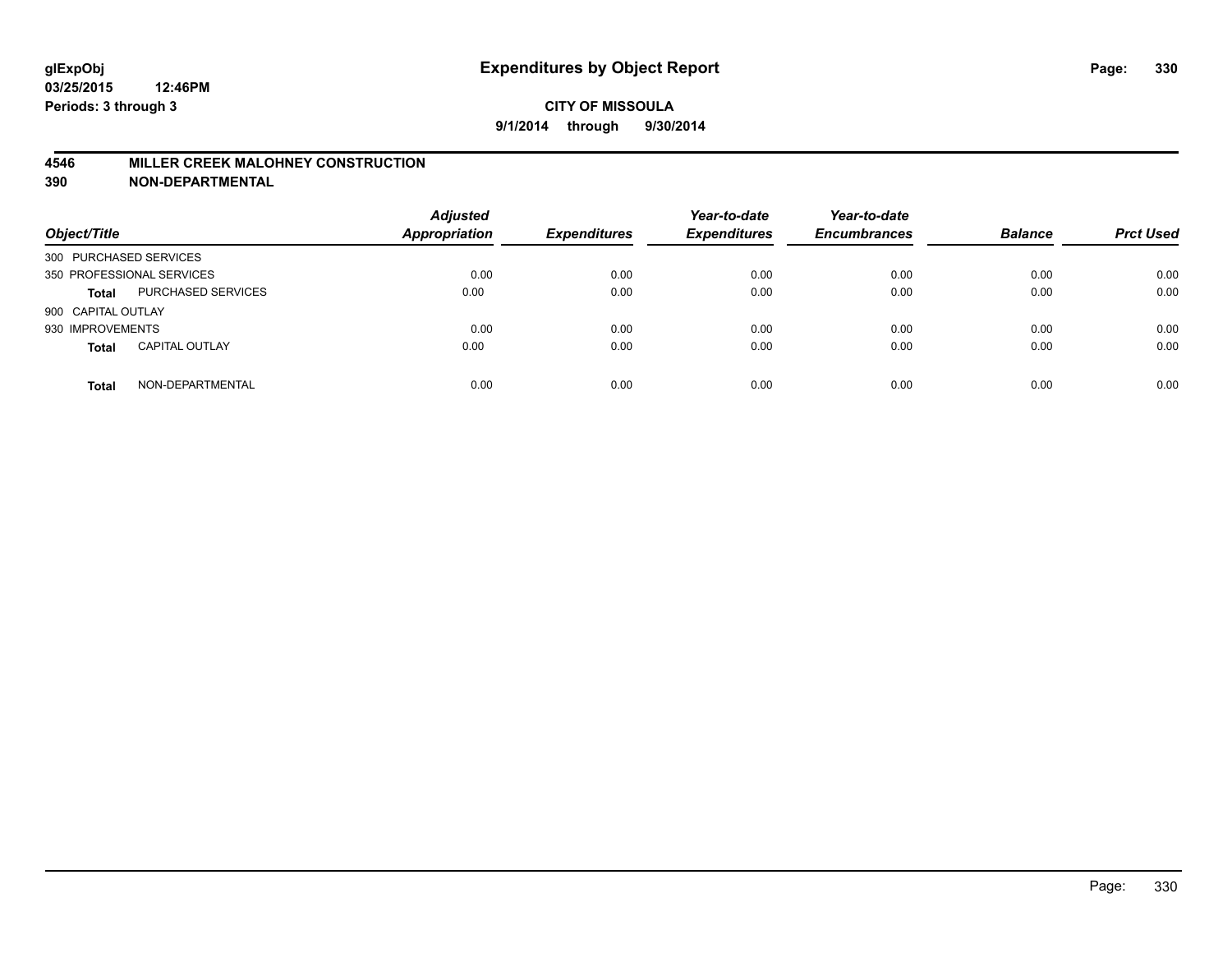#### **4546 MILLER CREEK MALOHNEY CONSTRUCTION**

| Object/Title              |                       | <b>Adjusted</b><br>Appropriation | <b>Expenditures</b> | Year-to-date<br><b>Expenditures</b> | Year-to-date<br><b>Encumbrances</b> | <b>Balance</b> | <b>Prct Used</b> |
|---------------------------|-----------------------|----------------------------------|---------------------|-------------------------------------|-------------------------------------|----------------|------------------|
| 300 PURCHASED SERVICES    |                       |                                  |                     |                                     |                                     |                |                  |
| 350 PROFESSIONAL SERVICES |                       | 0.00                             | 0.00                | 0.00                                | 0.00                                | 0.00           | 0.00             |
| <b>Total</b>              | PURCHASED SERVICES    | 0.00                             | 0.00                | 0.00                                | 0.00                                | 0.00           | 0.00             |
| 900 CAPITAL OUTLAY        |                       |                                  |                     |                                     |                                     |                |                  |
| 930 IMPROVEMENTS          |                       | 0.00                             | 0.00                | 0.00                                | 0.00                                | 0.00           | 0.00             |
| <b>Total</b>              | <b>CAPITAL OUTLAY</b> | 0.00                             | 0.00                | 0.00                                | 0.00                                | 0.00           | 0.00             |
| <b>Total</b>              | NON-DEPARTMENTAL      | 0.00                             | 0.00                | 0.00                                | 0.00                                | 0.00           | 0.00             |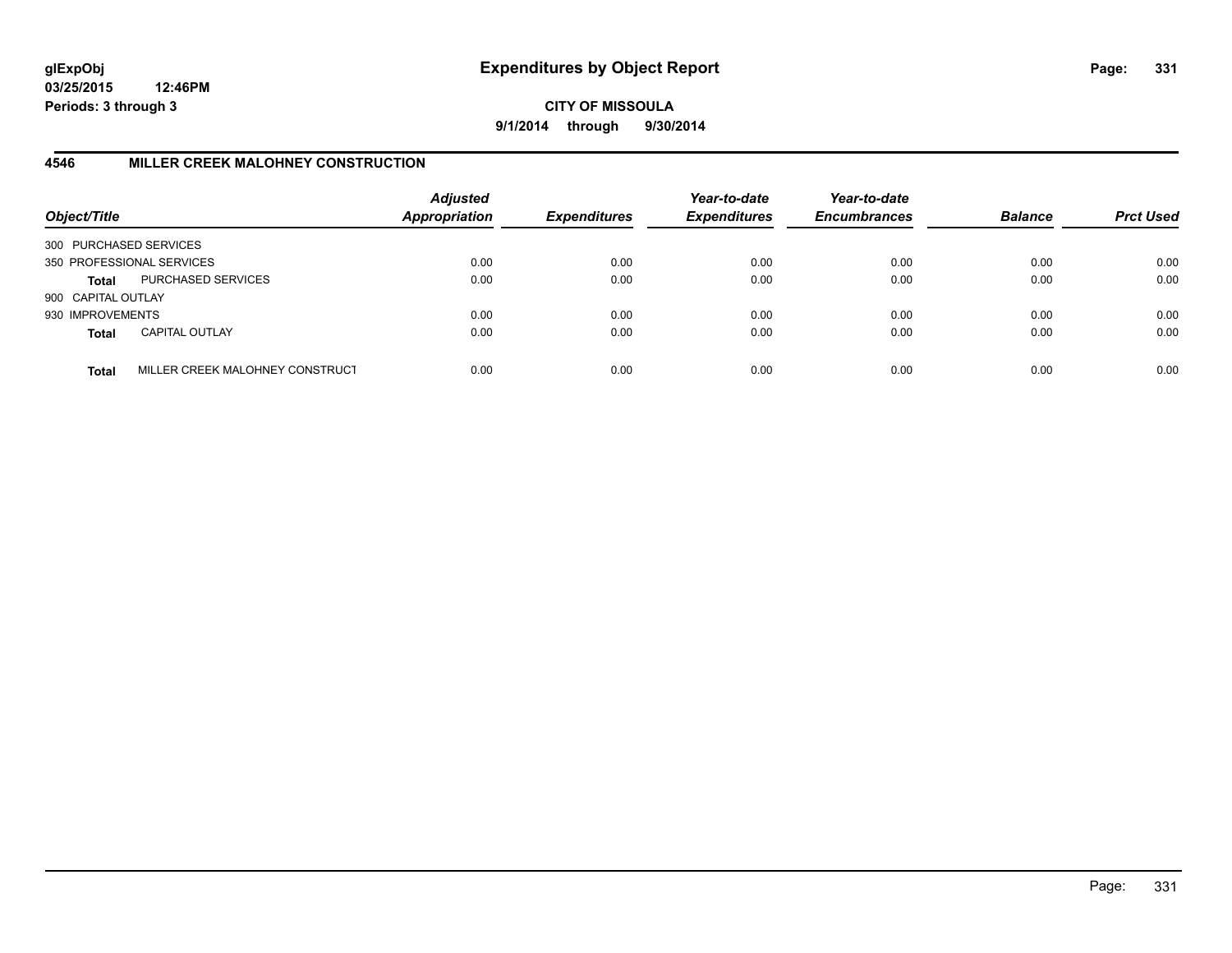**CITY OF MISSOULA 9/1/2014 through 9/30/2014**

## **4546 MILLER CREEK MALOHNEY CONSTRUCTION**

| Object/Title           |                                 | <b>Adjusted</b><br><b>Appropriation</b> | <b>Expenditures</b> | Year-to-date<br><b>Expenditures</b> | Year-to-date<br><b>Encumbrances</b> | <b>Balance</b> | <b>Prct Used</b> |
|------------------------|---------------------------------|-----------------------------------------|---------------------|-------------------------------------|-------------------------------------|----------------|------------------|
| 300 PURCHASED SERVICES |                                 |                                         |                     |                                     |                                     |                |                  |
|                        | 350 PROFESSIONAL SERVICES       | 0.00                                    | 0.00                | 0.00                                | 0.00                                | 0.00           | 0.00             |
| Total                  | PURCHASED SERVICES              | 0.00                                    | 0.00                | 0.00                                | 0.00                                | 0.00           | 0.00             |
| 900 CAPITAL OUTLAY     |                                 |                                         |                     |                                     |                                     |                |                  |
| 930 IMPROVEMENTS       |                                 | 0.00                                    | 0.00                | 0.00                                | 0.00                                | 0.00           | 0.00             |
| <b>Total</b>           | <b>CAPITAL OUTLAY</b>           | 0.00                                    | 0.00                | 0.00                                | 0.00                                | 0.00           | 0.00             |
| <b>Total</b>           | MILLER CREEK MALOHNEY CONSTRUCT | 0.00                                    | 0.00                | 0.00                                | 0.00                                | 0.00           | 0.00             |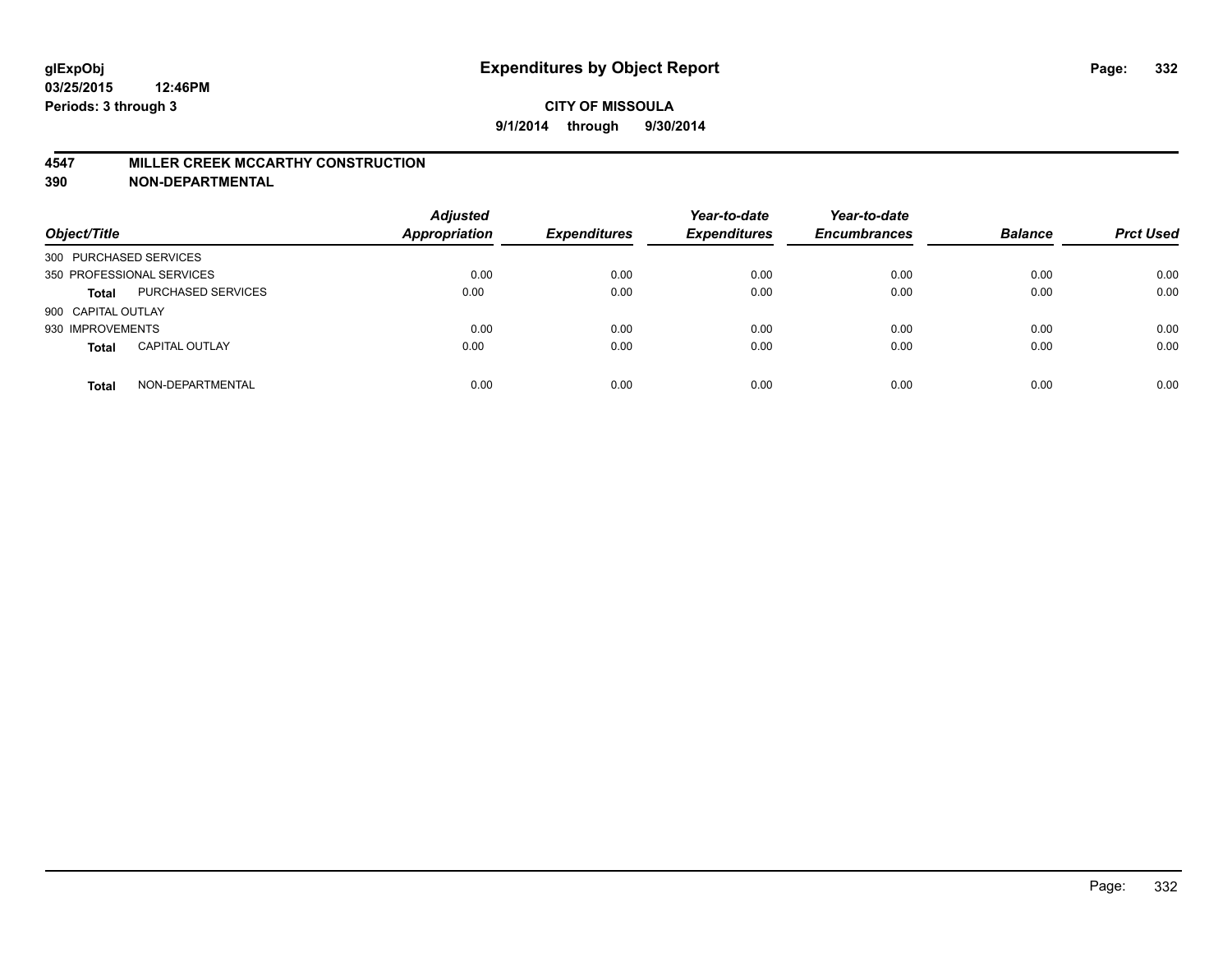#### **4547 MILLER CREEK MCCARTHY CONSTRUCTION**

| Object/Title              |                       | <b>Adjusted</b><br><b>Appropriation</b> | <b>Expenditures</b> | Year-to-date<br><b>Expenditures</b> | Year-to-date<br><b>Encumbrances</b> | <b>Balance</b> | <b>Prct Used</b> |
|---------------------------|-----------------------|-----------------------------------------|---------------------|-------------------------------------|-------------------------------------|----------------|------------------|
| 300 PURCHASED SERVICES    |                       |                                         |                     |                                     |                                     |                |                  |
| 350 PROFESSIONAL SERVICES |                       | 0.00                                    | 0.00                | 0.00                                | 0.00                                | 0.00           | 0.00             |
| <b>Total</b>              | PURCHASED SERVICES    | 0.00                                    | 0.00                | 0.00                                | 0.00                                | 0.00           | 0.00             |
| 900 CAPITAL OUTLAY        |                       |                                         |                     |                                     |                                     |                |                  |
| 930 IMPROVEMENTS          |                       | 0.00                                    | 0.00                | 0.00                                | 0.00                                | 0.00           | 0.00             |
| <b>Total</b>              | <b>CAPITAL OUTLAY</b> | 0.00                                    | 0.00                | 0.00                                | 0.00                                | 0.00           | 0.00             |
| <b>Total</b>              | NON-DEPARTMENTAL      | 0.00                                    | 0.00                | 0.00                                | 0.00                                | 0.00           | 0.00             |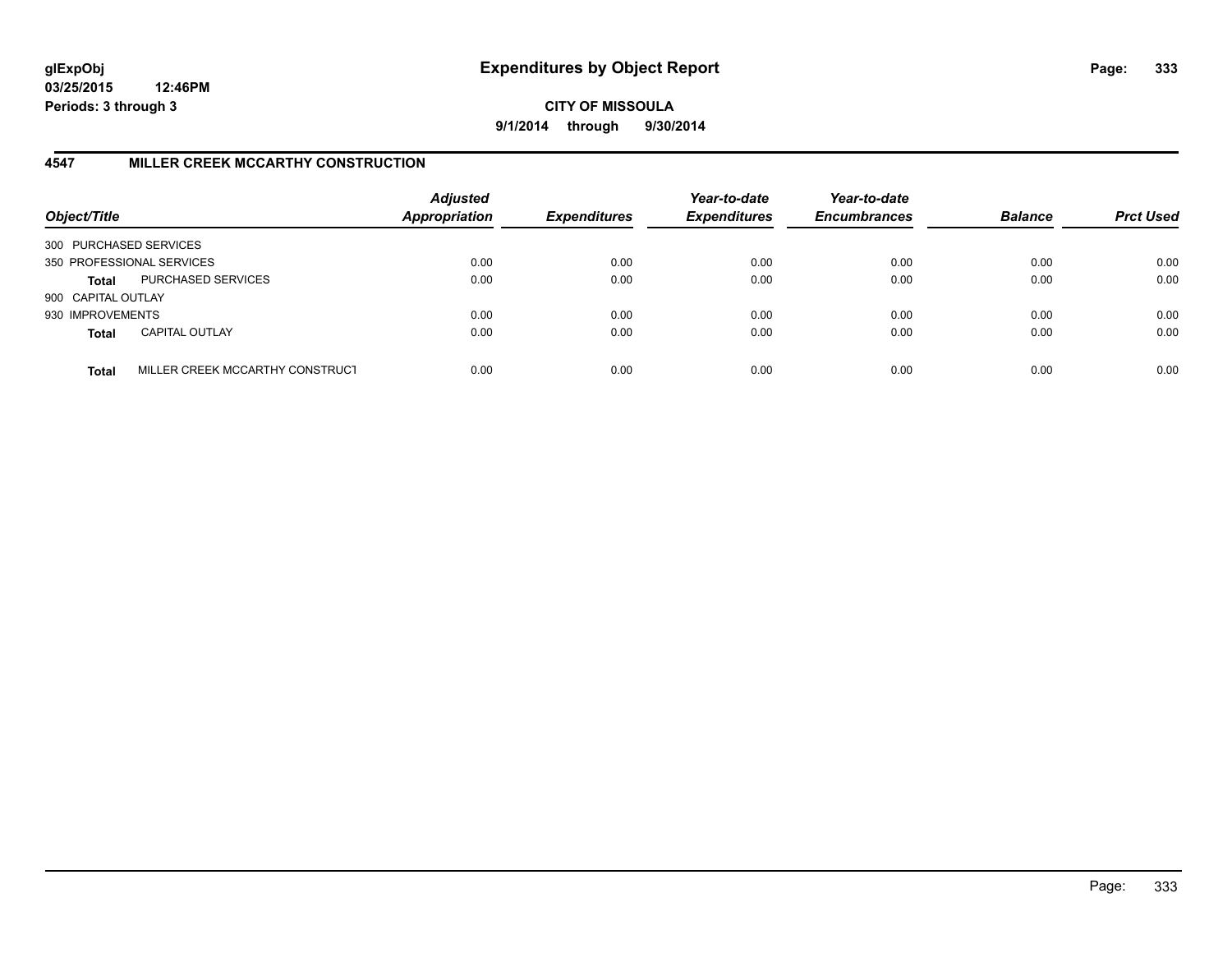**CITY OF MISSOULA 9/1/2014 through 9/30/2014**

## **4547 MILLER CREEK MCCARTHY CONSTRUCTION**

| Object/Title           |                                 | <b>Adjusted</b><br><b>Appropriation</b> | <b>Expenditures</b> | Year-to-date<br><b>Expenditures</b> | Year-to-date<br><b>Encumbrances</b> | <b>Balance</b> | <b>Prct Used</b> |
|------------------------|---------------------------------|-----------------------------------------|---------------------|-------------------------------------|-------------------------------------|----------------|------------------|
| 300 PURCHASED SERVICES |                                 |                                         |                     |                                     |                                     |                |                  |
|                        | 350 PROFESSIONAL SERVICES       | 0.00                                    | 0.00                | 0.00                                | 0.00                                | 0.00           | 0.00             |
| Total                  | PURCHASED SERVICES              | 0.00                                    | 0.00                | 0.00                                | 0.00                                | 0.00           | 0.00             |
| 900 CAPITAL OUTLAY     |                                 |                                         |                     |                                     |                                     |                |                  |
| 930 IMPROVEMENTS       |                                 | 0.00                                    | 0.00                | 0.00                                | 0.00                                | 0.00           | 0.00             |
| <b>Total</b>           | <b>CAPITAL OUTLAY</b>           | 0.00                                    | 0.00                | 0.00                                | 0.00                                | 0.00           | 0.00             |
| <b>Total</b>           | MILLER CREEK MCCARTHY CONSTRUCT | 0.00                                    | 0.00                | 0.00                                | 0.00                                | 0.00           | 0.00             |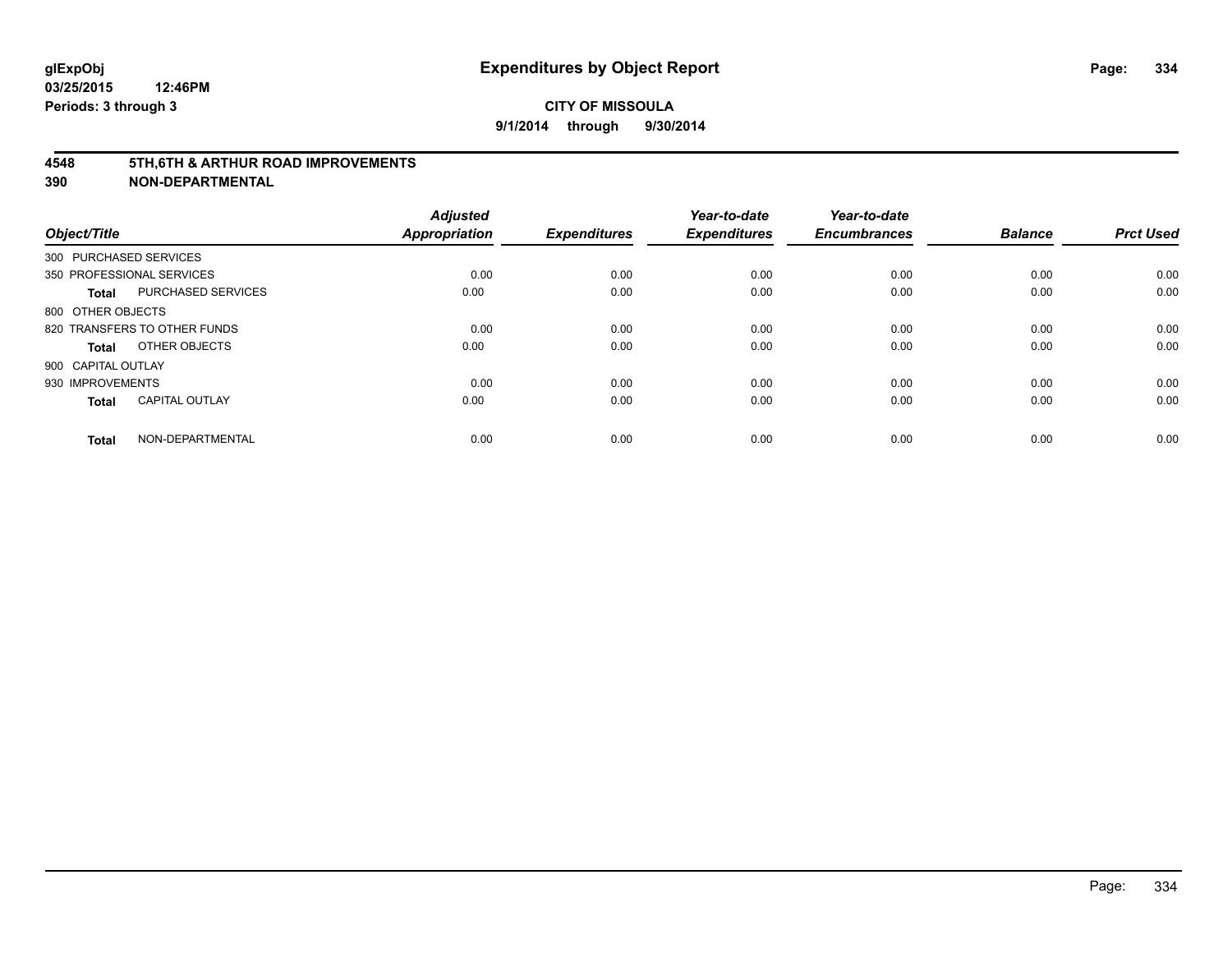#### **4548 5TH,6TH & ARTHUR ROAD IMPROVEMENTS**

| Object/Title           |                              | <b>Adjusted</b><br><b>Appropriation</b> | <b>Expenditures</b> | Year-to-date<br><b>Expenditures</b> | Year-to-date<br><b>Encumbrances</b> | <b>Balance</b> | <b>Prct Used</b> |
|------------------------|------------------------------|-----------------------------------------|---------------------|-------------------------------------|-------------------------------------|----------------|------------------|
| 300 PURCHASED SERVICES |                              |                                         |                     |                                     |                                     |                |                  |
|                        | 350 PROFESSIONAL SERVICES    | 0.00                                    | 0.00                | 0.00                                | 0.00                                | 0.00           | 0.00             |
| <b>Total</b>           | <b>PURCHASED SERVICES</b>    | 0.00                                    | 0.00                | 0.00                                | 0.00                                | 0.00           | 0.00             |
| 800 OTHER OBJECTS      |                              |                                         |                     |                                     |                                     |                |                  |
|                        | 820 TRANSFERS TO OTHER FUNDS | 0.00                                    | 0.00                | 0.00                                | 0.00                                | 0.00           | 0.00             |
| Total                  | OTHER OBJECTS                | 0.00                                    | 0.00                | 0.00                                | 0.00                                | 0.00           | 0.00             |
| 900 CAPITAL OUTLAY     |                              |                                         |                     |                                     |                                     |                |                  |
| 930 IMPROVEMENTS       |                              | 0.00                                    | 0.00                | 0.00                                | 0.00                                | 0.00           | 0.00             |
| Total                  | <b>CAPITAL OUTLAY</b>        | 0.00                                    | 0.00                | 0.00                                | 0.00                                | 0.00           | 0.00             |
| <b>Total</b>           | NON-DEPARTMENTAL             | 0.00                                    | 0.00                | 0.00                                | 0.00                                | 0.00           | 0.00             |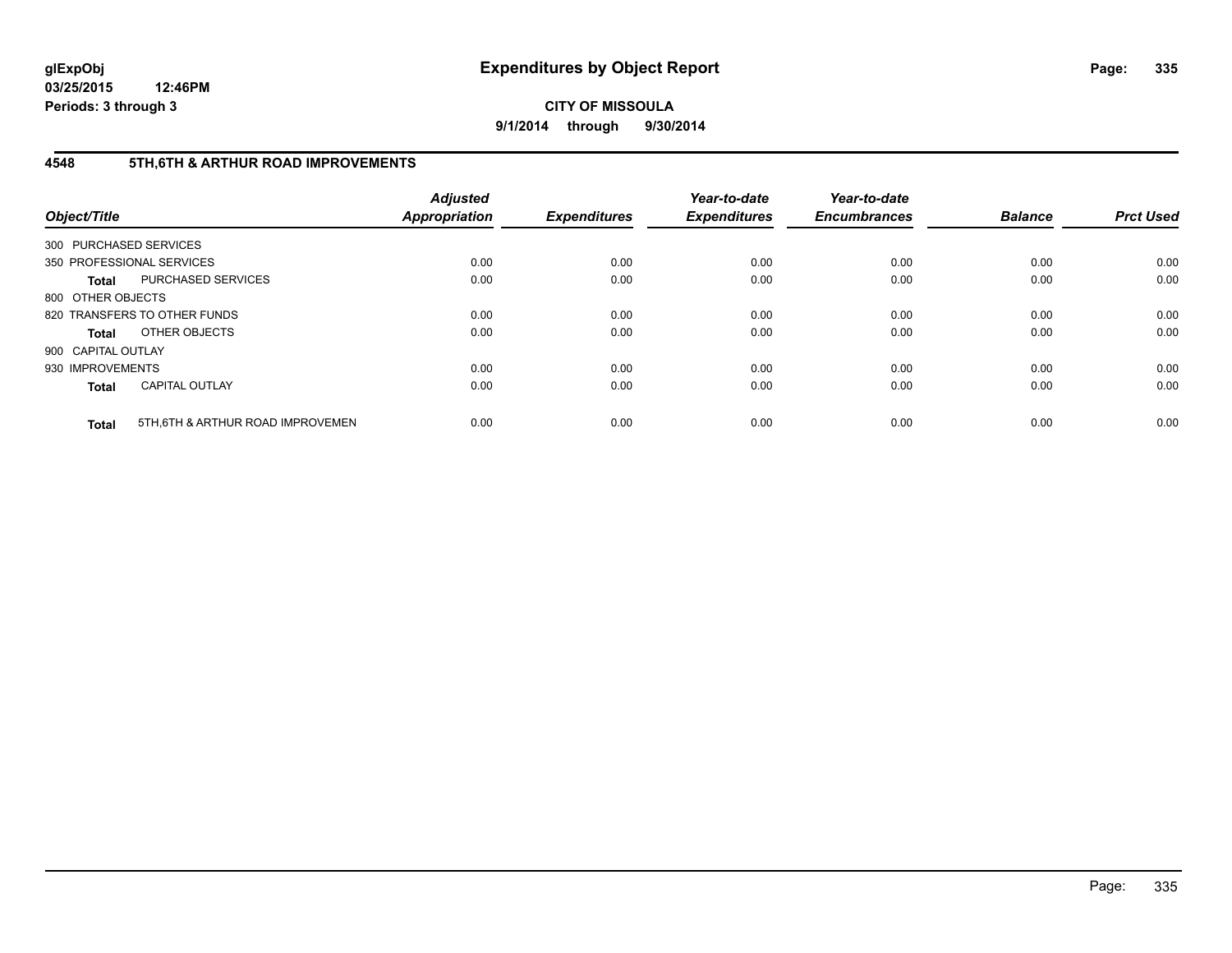**CITY OF MISSOULA 9/1/2014 through 9/30/2014**

## **4548 5TH,6TH & ARTHUR ROAD IMPROVEMENTS**

| Object/Title           |                                  | <b>Adjusted</b><br>Appropriation | <b>Expenditures</b> | Year-to-date<br><b>Expenditures</b> | Year-to-date<br><b>Encumbrances</b> | <b>Balance</b> | <b>Prct Used</b> |
|------------------------|----------------------------------|----------------------------------|---------------------|-------------------------------------|-------------------------------------|----------------|------------------|
| 300 PURCHASED SERVICES |                                  |                                  |                     |                                     |                                     |                |                  |
|                        | 350 PROFESSIONAL SERVICES        | 0.00                             | 0.00                | 0.00                                | 0.00                                | 0.00           | 0.00             |
| <b>Total</b>           | PURCHASED SERVICES               | 0.00                             | 0.00                | 0.00                                | 0.00                                | 0.00           | 0.00             |
| 800 OTHER OBJECTS      |                                  |                                  |                     |                                     |                                     |                |                  |
|                        | 820 TRANSFERS TO OTHER FUNDS     | 0.00                             | 0.00                | 0.00                                | 0.00                                | 0.00           | 0.00             |
| <b>Total</b>           | OTHER OBJECTS                    | 0.00                             | 0.00                | 0.00                                | 0.00                                | 0.00           | 0.00             |
| 900 CAPITAL OUTLAY     |                                  |                                  |                     |                                     |                                     |                |                  |
| 930 IMPROVEMENTS       |                                  | 0.00                             | 0.00                | 0.00                                | 0.00                                | 0.00           | 0.00             |
| <b>Total</b>           | <b>CAPITAL OUTLAY</b>            | 0.00                             | 0.00                | 0.00                                | 0.00                                | 0.00           | 0.00             |
| <b>Total</b>           | 5TH.6TH & ARTHUR ROAD IMPROVEMEN | 0.00                             | 0.00                | 0.00                                | 0.00                                | 0.00           | 0.00             |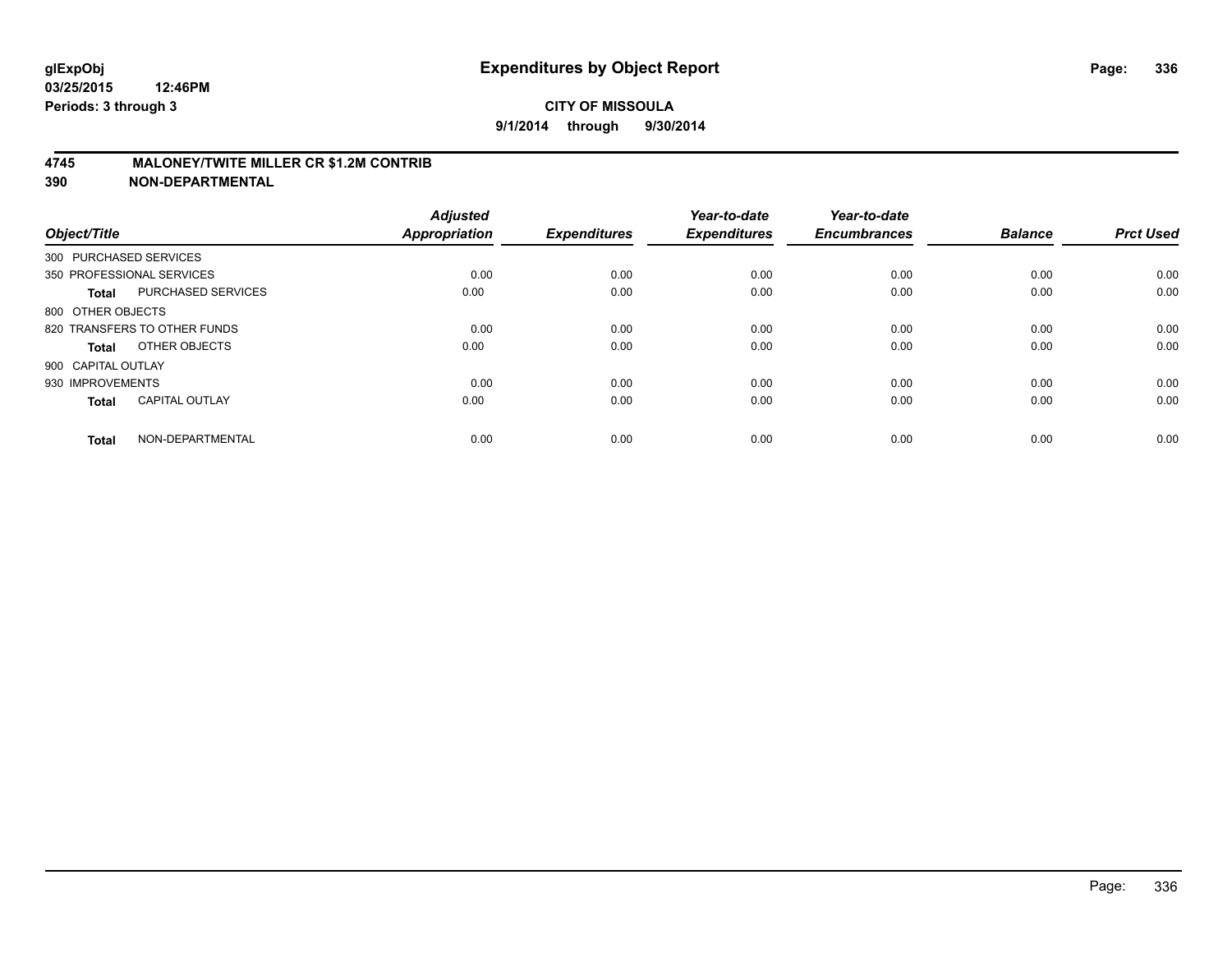#### **4745 MALONEY/TWITE MILLER CR \$1.2M CONTRIB**

| Object/Title           |                              | <b>Adjusted</b><br><b>Appropriation</b> | <b>Expenditures</b> | Year-to-date<br><b>Expenditures</b> | Year-to-date<br><b>Encumbrances</b> | <b>Balance</b> | <b>Prct Used</b> |
|------------------------|------------------------------|-----------------------------------------|---------------------|-------------------------------------|-------------------------------------|----------------|------------------|
| 300 PURCHASED SERVICES |                              |                                         |                     |                                     |                                     |                |                  |
|                        | 350 PROFESSIONAL SERVICES    | 0.00                                    | 0.00                | 0.00                                | 0.00                                | 0.00           | 0.00             |
| <b>Total</b>           | <b>PURCHASED SERVICES</b>    | 0.00                                    | 0.00                | 0.00                                | 0.00                                | 0.00           | 0.00             |
| 800 OTHER OBJECTS      |                              |                                         |                     |                                     |                                     |                |                  |
|                        | 820 TRANSFERS TO OTHER FUNDS | 0.00                                    | 0.00                | 0.00                                | 0.00                                | 0.00           | 0.00             |
| Total                  | OTHER OBJECTS                | 0.00                                    | 0.00                | 0.00                                | 0.00                                | 0.00           | 0.00             |
| 900 CAPITAL OUTLAY     |                              |                                         |                     |                                     |                                     |                |                  |
| 930 IMPROVEMENTS       |                              | 0.00                                    | 0.00                | 0.00                                | 0.00                                | 0.00           | 0.00             |
| <b>Total</b>           | <b>CAPITAL OUTLAY</b>        | 0.00                                    | 0.00                | 0.00                                | 0.00                                | 0.00           | 0.00             |
| <b>Total</b>           | NON-DEPARTMENTAL             | 0.00                                    | 0.00                | 0.00                                | 0.00                                | 0.00           | 0.00             |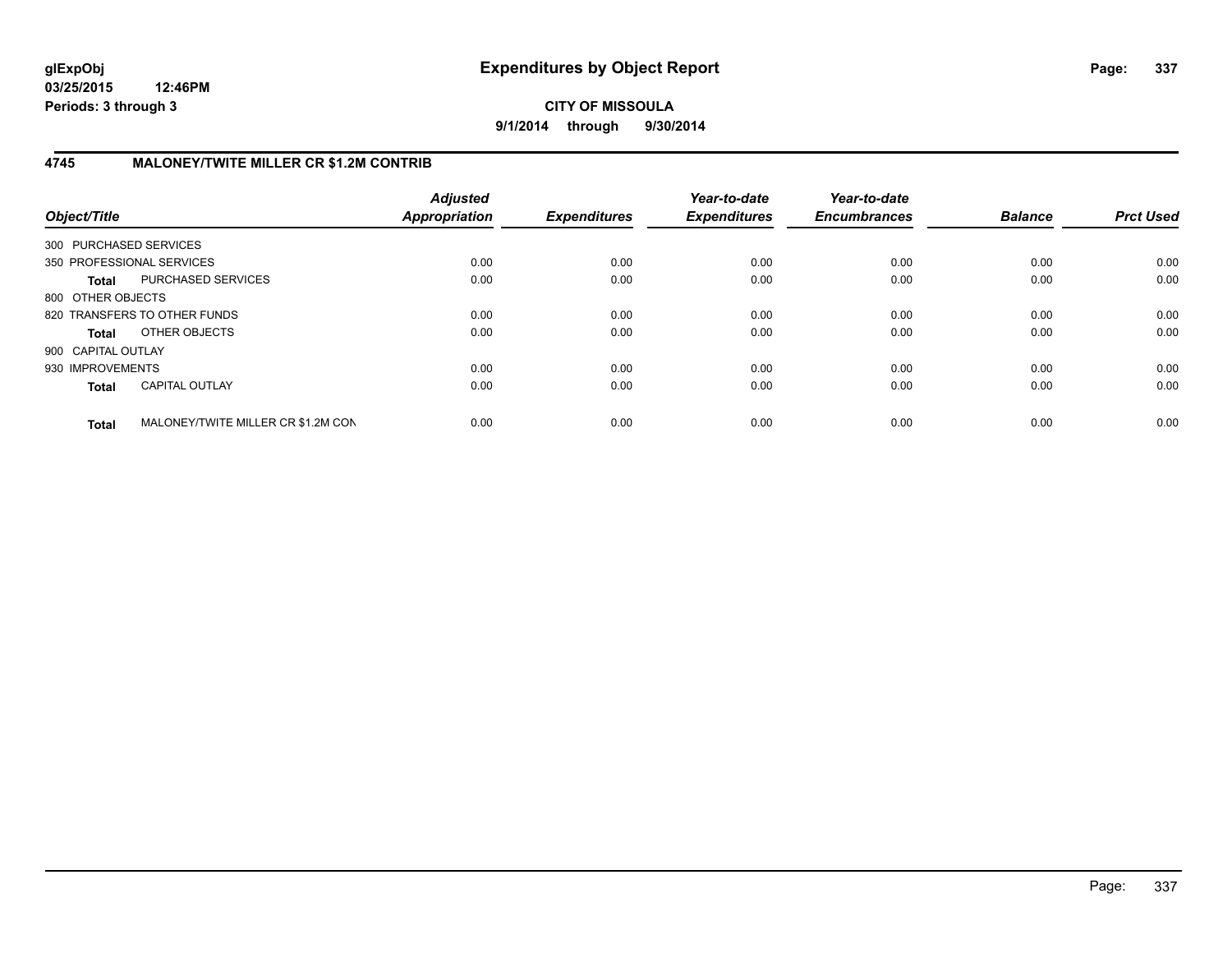## **CITY OF MISSOULA 9/1/2014 through 9/30/2014**

## **4745 MALONEY/TWITE MILLER CR \$1.2M CONTRIB**

| Object/Title           |                                    | <b>Adjusted</b><br><b>Appropriation</b> | <b>Expenditures</b> | Year-to-date<br><b>Expenditures</b> | Year-to-date<br><b>Encumbrances</b> | <b>Balance</b> | <b>Prct Used</b> |
|------------------------|------------------------------------|-----------------------------------------|---------------------|-------------------------------------|-------------------------------------|----------------|------------------|
| 300 PURCHASED SERVICES |                                    |                                         |                     |                                     |                                     |                |                  |
|                        | 350 PROFESSIONAL SERVICES          | 0.00                                    | 0.00                | 0.00                                | 0.00                                | 0.00           | 0.00             |
| <b>Total</b>           | PURCHASED SERVICES                 | 0.00                                    | 0.00                | 0.00                                | 0.00                                | 0.00           | 0.00             |
| 800 OTHER OBJECTS      |                                    |                                         |                     |                                     |                                     |                |                  |
|                        | 820 TRANSFERS TO OTHER FUNDS       | 0.00                                    | 0.00                | 0.00                                | 0.00                                | 0.00           | 0.00             |
| <b>Total</b>           | OTHER OBJECTS                      | 0.00                                    | 0.00                | 0.00                                | 0.00                                | 0.00           | 0.00             |
| 900 CAPITAL OUTLAY     |                                    |                                         |                     |                                     |                                     |                |                  |
| 930 IMPROVEMENTS       |                                    | 0.00                                    | 0.00                | 0.00                                | 0.00                                | 0.00           | 0.00             |
| <b>Total</b>           | <b>CAPITAL OUTLAY</b>              | 0.00                                    | 0.00                | 0.00                                | 0.00                                | 0.00           | 0.00             |
| <b>Total</b>           | MALONEY/TWITE MILLER CR \$1.2M CON | 0.00                                    | 0.00                | 0.00                                | 0.00                                | 0.00           | 0.00             |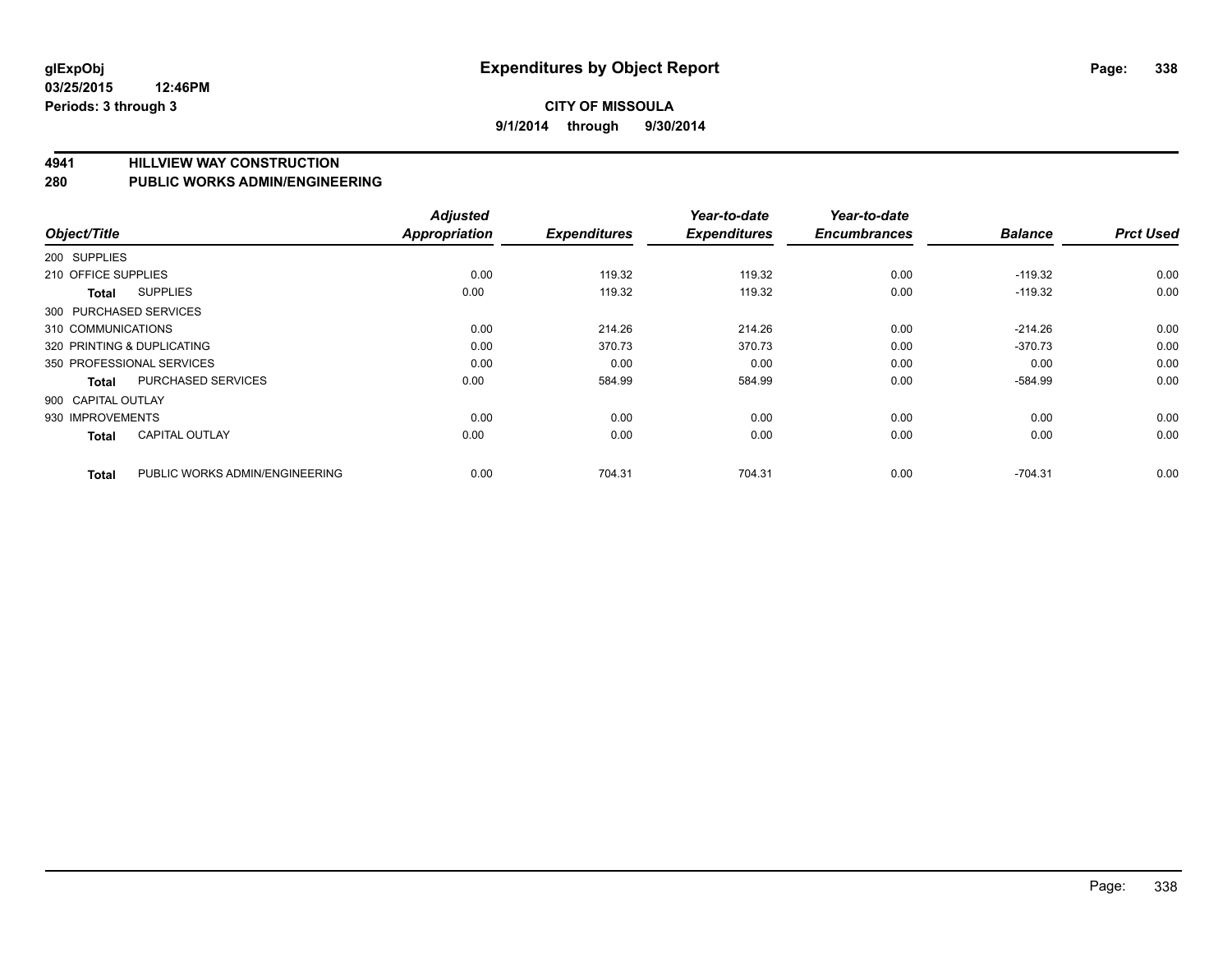#### **4941 HILLVIEW WAY CONSTRUCTION**

#### **280 PUBLIC WORKS ADMIN/ENGINEERING**

| Object/Title               |                                | <b>Adjusted</b><br><b>Appropriation</b> | <b>Expenditures</b> | Year-to-date<br><b>Expenditures</b> | Year-to-date<br><b>Encumbrances</b> | <b>Balance</b> | <b>Prct Used</b> |
|----------------------------|--------------------------------|-----------------------------------------|---------------------|-------------------------------------|-------------------------------------|----------------|------------------|
|                            |                                |                                         |                     |                                     |                                     |                |                  |
| 200 SUPPLIES               |                                |                                         |                     |                                     |                                     |                |                  |
| 210 OFFICE SUPPLIES        |                                | 0.00                                    | 119.32              | 119.32                              | 0.00                                | $-119.32$      | 0.00             |
| Total                      | <b>SUPPLIES</b>                | 0.00                                    | 119.32              | 119.32                              | 0.00                                | $-119.32$      | 0.00             |
| 300 PURCHASED SERVICES     |                                |                                         |                     |                                     |                                     |                |                  |
| 310 COMMUNICATIONS         |                                | 0.00                                    | 214.26              | 214.26                              | 0.00                                | $-214.26$      | 0.00             |
| 320 PRINTING & DUPLICATING |                                | 0.00                                    | 370.73              | 370.73                              | 0.00                                | $-370.73$      | 0.00             |
| 350 PROFESSIONAL SERVICES  |                                | 0.00                                    | 0.00                | 0.00                                | 0.00                                | 0.00           | 0.00             |
| <b>Total</b>               | <b>PURCHASED SERVICES</b>      | 0.00                                    | 584.99              | 584.99                              | 0.00                                | $-584.99$      | 0.00             |
| 900 CAPITAL OUTLAY         |                                |                                         |                     |                                     |                                     |                |                  |
| 930 IMPROVEMENTS           |                                | 0.00                                    | 0.00                | 0.00                                | 0.00                                | 0.00           | 0.00             |
| <b>Total</b>               | <b>CAPITAL OUTLAY</b>          | 0.00                                    | 0.00                | 0.00                                | 0.00                                | 0.00           | 0.00             |
| <b>Total</b>               | PUBLIC WORKS ADMIN/ENGINEERING | 0.00                                    | 704.31              | 704.31                              | 0.00                                | $-704.31$      | 0.00             |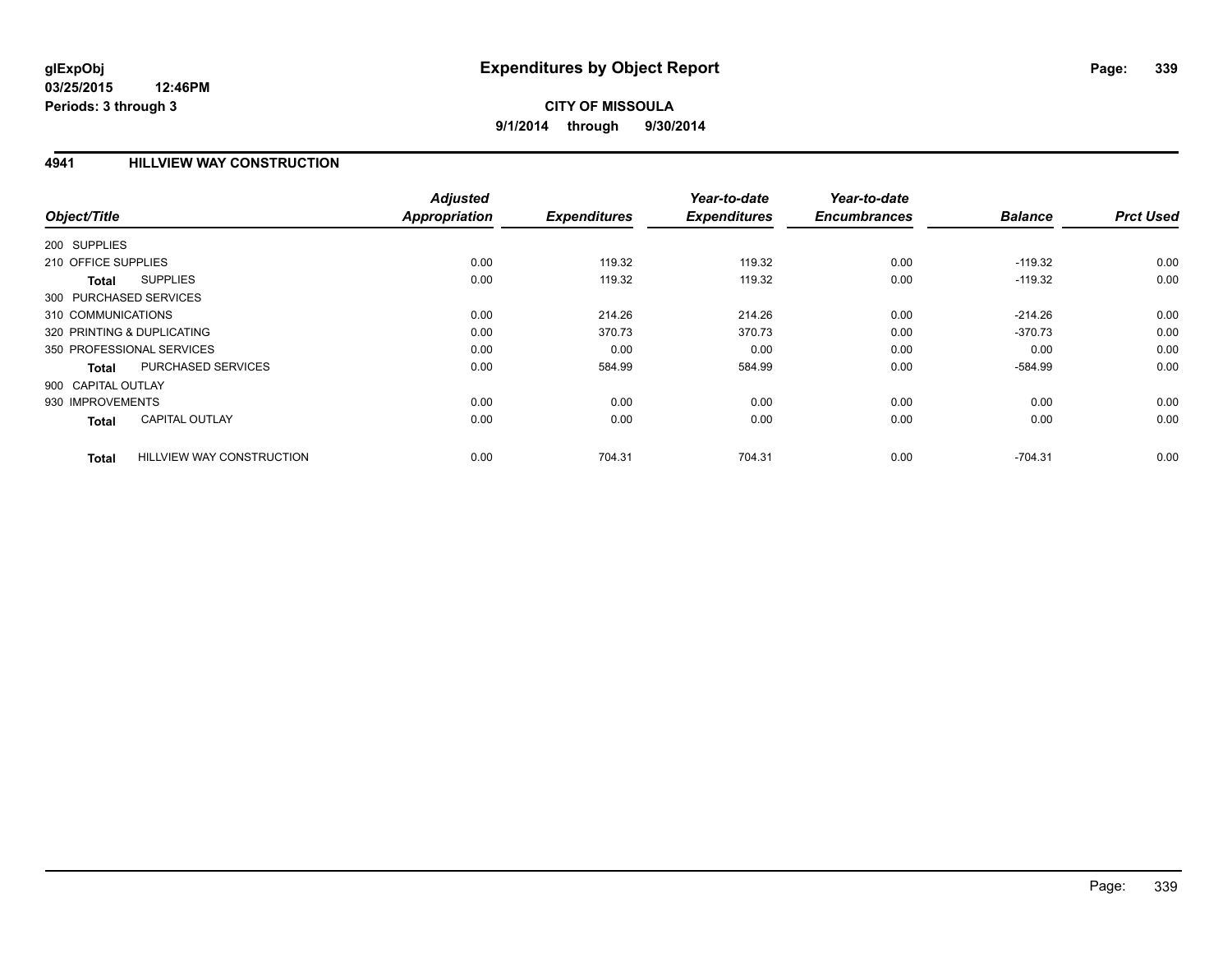#### **4941 HILLVIEW WAY CONSTRUCTION**

|                                           | <b>Adjusted</b>      |                     | Year-to-date        | Year-to-date        |                |                  |
|-------------------------------------------|----------------------|---------------------|---------------------|---------------------|----------------|------------------|
| Object/Title                              | <b>Appropriation</b> | <b>Expenditures</b> | <b>Expenditures</b> | <b>Encumbrances</b> | <b>Balance</b> | <b>Prct Used</b> |
| 200 SUPPLIES                              |                      |                     |                     |                     |                |                  |
| 210 OFFICE SUPPLIES                       | 0.00                 | 119.32              | 119.32              | 0.00                | $-119.32$      | 0.00             |
| <b>SUPPLIES</b><br>Total                  | 0.00                 | 119.32              | 119.32              | 0.00                | $-119.32$      | 0.00             |
| 300 PURCHASED SERVICES                    |                      |                     |                     |                     |                |                  |
| 310 COMMUNICATIONS                        | 0.00                 | 214.26              | 214.26              | 0.00                | $-214.26$      | 0.00             |
| 320 PRINTING & DUPLICATING                | 0.00                 | 370.73              | 370.73              | 0.00                | $-370.73$      | 0.00             |
| 350 PROFESSIONAL SERVICES                 | 0.00                 | 0.00                | 0.00                | 0.00                | 0.00           | 0.00             |
| PURCHASED SERVICES<br>Total               | 0.00                 | 584.99              | 584.99              | 0.00                | $-584.99$      | 0.00             |
| 900 CAPITAL OUTLAY                        |                      |                     |                     |                     |                |                  |
| 930 IMPROVEMENTS                          | 0.00                 | 0.00                | 0.00                | 0.00                | 0.00           | 0.00             |
| <b>CAPITAL OUTLAY</b><br><b>Total</b>     | 0.00                 | 0.00                | 0.00                | 0.00                | 0.00           | 0.00             |
| <b>HILLVIEW WAY CONSTRUCTION</b><br>Total | 0.00                 | 704.31              | 704.31              | 0.00                | $-704.31$      | 0.00             |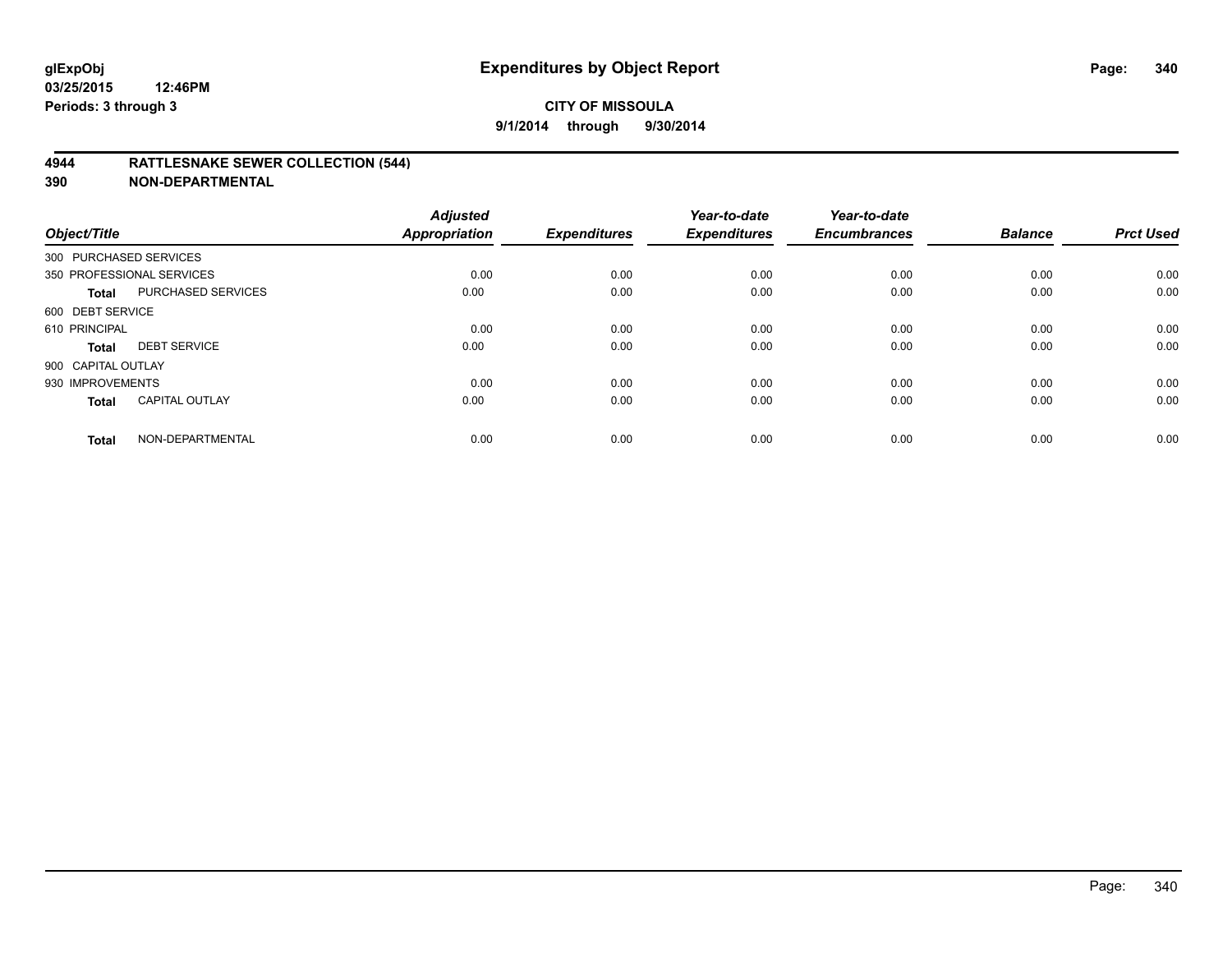#### **4944 RATTLESNAKE SEWER COLLECTION (544)**

| Object/Title           |                           | <b>Adjusted</b><br><b>Appropriation</b> | <b>Expenditures</b> | Year-to-date<br><b>Expenditures</b> | Year-to-date<br><b>Encumbrances</b> | <b>Balance</b> | <b>Prct Used</b> |
|------------------------|---------------------------|-----------------------------------------|---------------------|-------------------------------------|-------------------------------------|----------------|------------------|
| 300 PURCHASED SERVICES |                           |                                         |                     |                                     |                                     |                |                  |
|                        | 350 PROFESSIONAL SERVICES | 0.00                                    | 0.00                | 0.00                                | 0.00                                | 0.00           | 0.00             |
| <b>Total</b>           | <b>PURCHASED SERVICES</b> | 0.00                                    | 0.00                | 0.00                                | 0.00                                | 0.00           | 0.00             |
| 600 DEBT SERVICE       |                           |                                         |                     |                                     |                                     |                |                  |
| 610 PRINCIPAL          |                           | 0.00                                    | 0.00                | 0.00                                | 0.00                                | 0.00           | 0.00             |
| <b>Total</b>           | <b>DEBT SERVICE</b>       | 0.00                                    | 0.00                | 0.00                                | 0.00                                | 0.00           | 0.00             |
| 900 CAPITAL OUTLAY     |                           |                                         |                     |                                     |                                     |                |                  |
| 930 IMPROVEMENTS       |                           | 0.00                                    | 0.00                | 0.00                                | 0.00                                | 0.00           | 0.00             |
| Total                  | <b>CAPITAL OUTLAY</b>     | 0.00                                    | 0.00                | 0.00                                | 0.00                                | 0.00           | 0.00             |
| <b>Total</b>           | NON-DEPARTMENTAL          | 0.00                                    | 0.00                | 0.00                                | 0.00                                | 0.00           | 0.00             |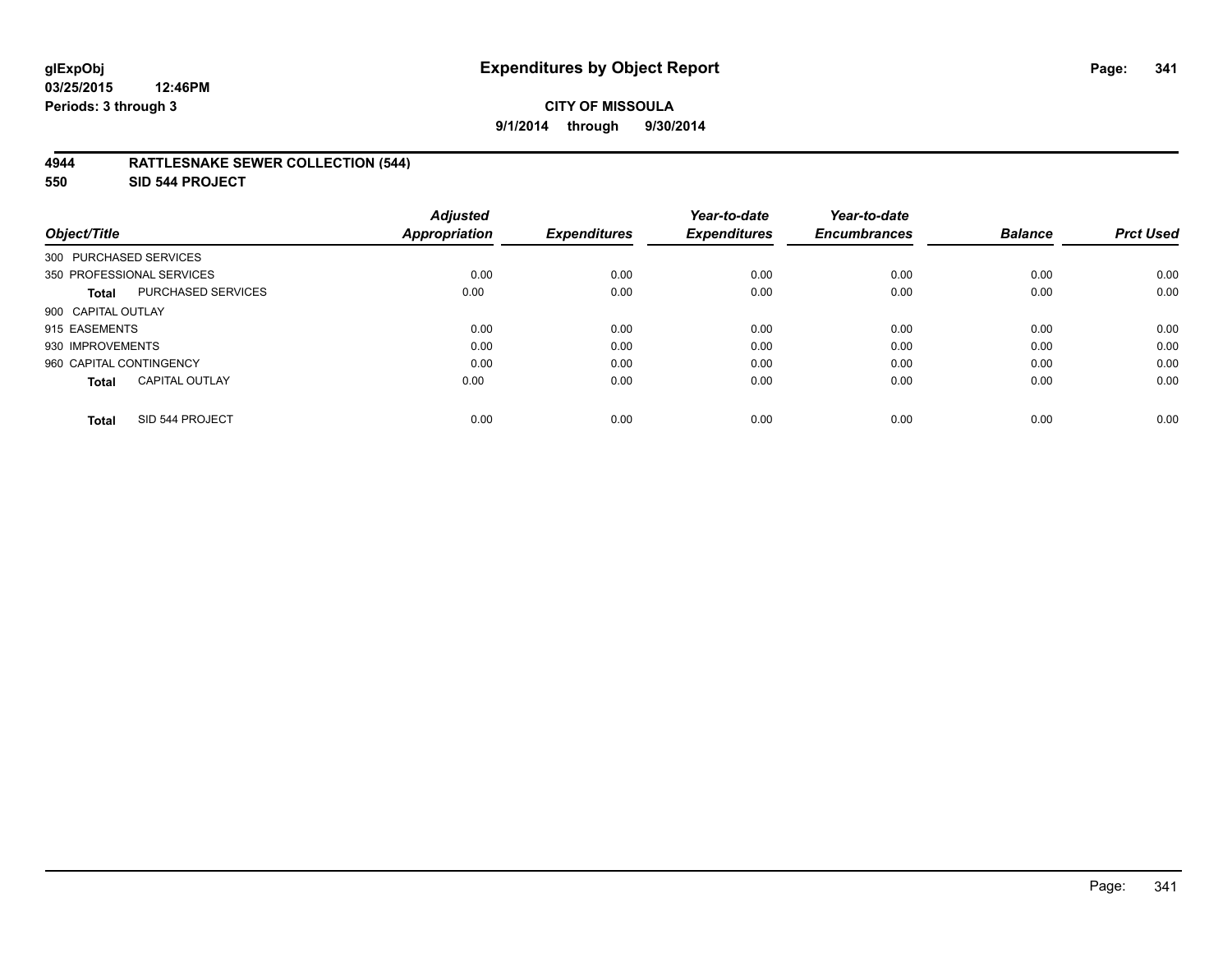#### **4944 RATTLESNAKE SEWER COLLECTION (544)**

**550 SID 544 PROJECT**

| Object/Title                          | <b>Adjusted</b><br><b>Appropriation</b> | <b>Expenditures</b> | Year-to-date<br><b>Expenditures</b> | Year-to-date<br><b>Encumbrances</b> | <b>Balance</b> | <b>Prct Used</b> |
|---------------------------------------|-----------------------------------------|---------------------|-------------------------------------|-------------------------------------|----------------|------------------|
| 300 PURCHASED SERVICES                |                                         |                     |                                     |                                     |                |                  |
| 350 PROFESSIONAL SERVICES             | 0.00                                    | 0.00                | 0.00                                | 0.00                                | 0.00           | 0.00             |
| PURCHASED SERVICES<br><b>Total</b>    | 0.00                                    | 0.00                | 0.00                                | 0.00                                | 0.00           | 0.00             |
| 900 CAPITAL OUTLAY                    |                                         |                     |                                     |                                     |                |                  |
| 915 EASEMENTS                         | 0.00                                    | 0.00                | 0.00                                | 0.00                                | 0.00           | 0.00             |
| 930 IMPROVEMENTS                      | 0.00                                    | 0.00                | 0.00                                | 0.00                                | 0.00           | 0.00             |
| 960 CAPITAL CONTINGENCY               | 0.00                                    | 0.00                | 0.00                                | 0.00                                | 0.00           | 0.00             |
| <b>CAPITAL OUTLAY</b><br><b>Total</b> | 0.00                                    | 0.00                | 0.00                                | 0.00                                | 0.00           | 0.00             |
| SID 544 PROJECT<br><b>Total</b>       | 0.00                                    | 0.00                | 0.00                                | 0.00                                | 0.00           | 0.00             |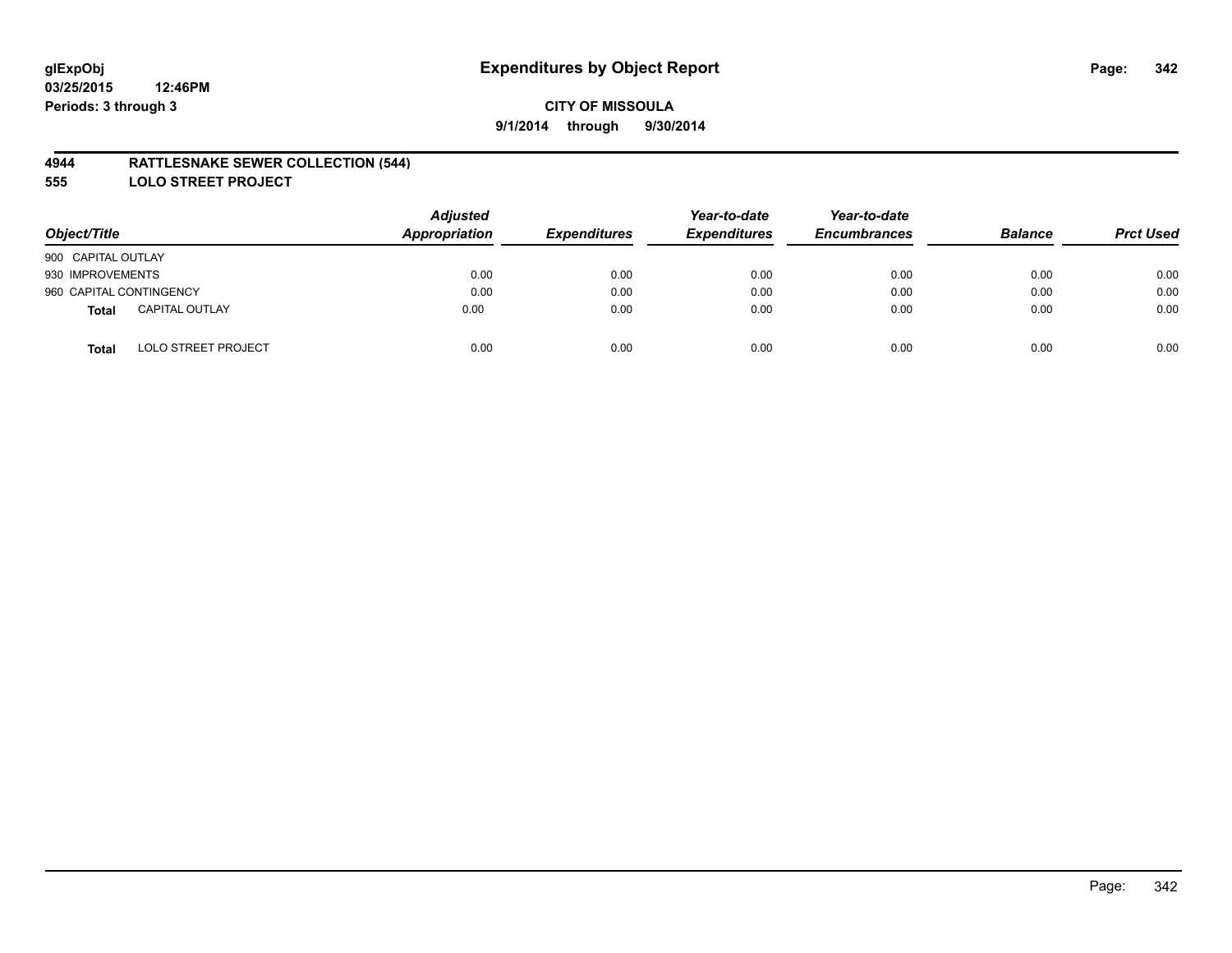#### **4944 RATTLESNAKE SEWER COLLECTION (544)**

**555 LOLO STREET PROJECT**

| Object/Title                          | <b>Adjusted</b><br>Appropriation | <b>Expenditures</b> | Year-to-date<br><b>Expenditures</b> | Year-to-date<br><b>Encumbrances</b> | <b>Balance</b> | <b>Prct Used</b> |
|---------------------------------------|----------------------------------|---------------------|-------------------------------------|-------------------------------------|----------------|------------------|
| 900 CAPITAL OUTLAY                    |                                  |                     |                                     |                                     |                |                  |
| 930 IMPROVEMENTS                      | 0.00                             | 0.00                | 0.00                                | 0.00                                | 0.00           | 0.00             |
| 960 CAPITAL CONTINGENCY               | 0.00                             | 0.00                | 0.00                                | 0.00                                | 0.00           | 0.00             |
| <b>CAPITAL OUTLAY</b><br><b>Total</b> | 0.00                             | 0.00                | 0.00                                | 0.00                                | 0.00           | 0.00             |
| <b>LOLO STREET PROJECT</b><br>Total   | 0.00                             | 0.00                | 0.00                                | 0.00                                | 0.00           | 0.00             |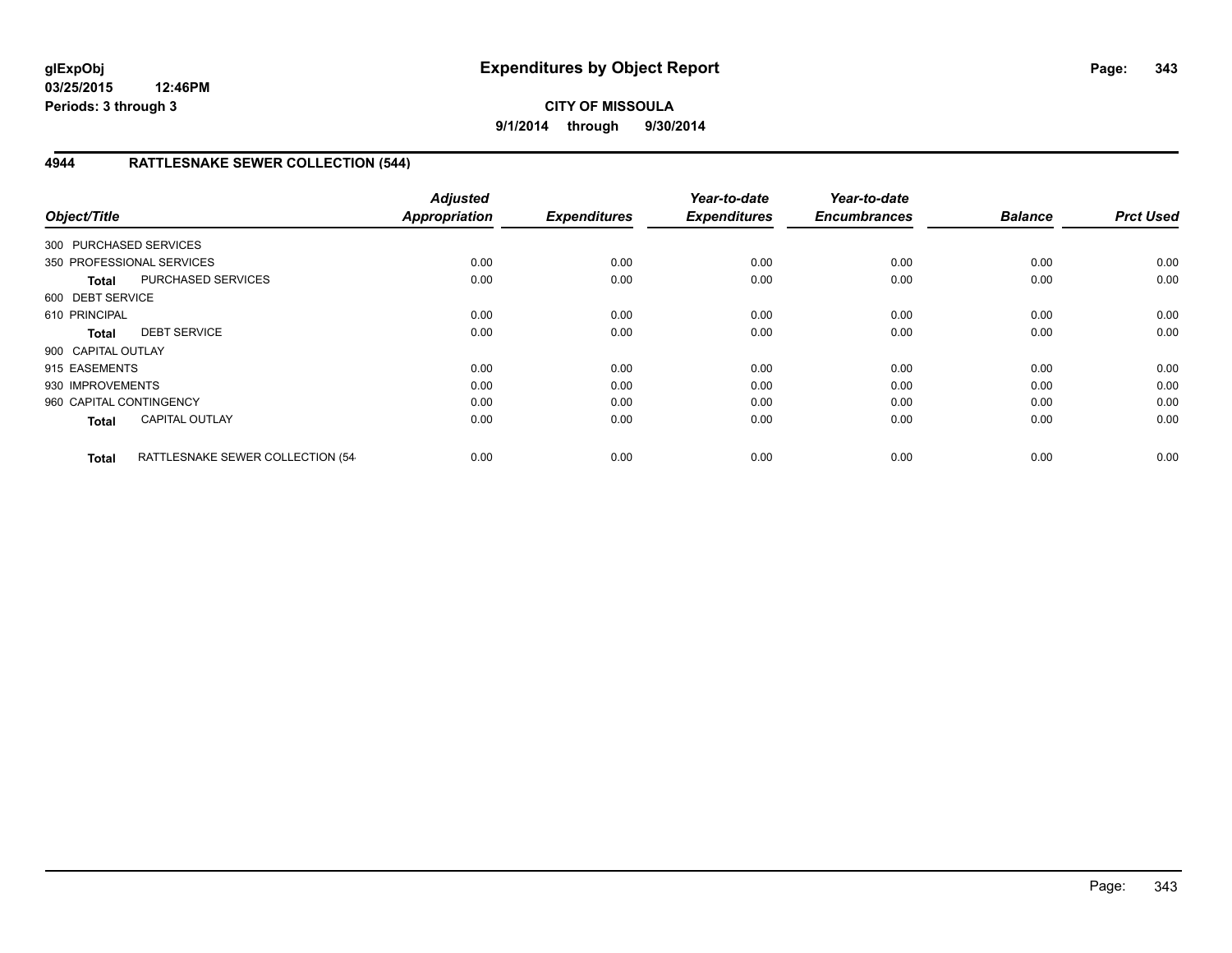## **CITY OF MISSOULA 9/1/2014 through 9/30/2014**

## **4944 RATTLESNAKE SEWER COLLECTION (544)**

| Object/Title            |                                  | <b>Adjusted</b><br><b>Appropriation</b> | <b>Expenditures</b> | Year-to-date<br><b>Expenditures</b> | Year-to-date<br><b>Encumbrances</b> | <b>Balance</b> | <b>Prct Used</b> |
|-------------------------|----------------------------------|-----------------------------------------|---------------------|-------------------------------------|-------------------------------------|----------------|------------------|
| 300 PURCHASED SERVICES  |                                  |                                         |                     |                                     |                                     |                |                  |
|                         |                                  |                                         |                     |                                     |                                     |                |                  |
|                         | 350 PROFESSIONAL SERVICES        | 0.00                                    | 0.00                | 0.00                                | 0.00                                | 0.00           | 0.00             |
| <b>Total</b>            | PURCHASED SERVICES               | 0.00                                    | 0.00                | 0.00                                | 0.00                                | 0.00           | 0.00             |
| 600 DEBT SERVICE        |                                  |                                         |                     |                                     |                                     |                |                  |
| 610 PRINCIPAL           |                                  | 0.00                                    | 0.00                | 0.00                                | 0.00                                | 0.00           | 0.00             |
| <b>Total</b>            | <b>DEBT SERVICE</b>              | 0.00                                    | 0.00                | 0.00                                | 0.00                                | 0.00           | 0.00             |
| 900 CAPITAL OUTLAY      |                                  |                                         |                     |                                     |                                     |                |                  |
| 915 EASEMENTS           |                                  | 0.00                                    | 0.00                | 0.00                                | 0.00                                | 0.00           | 0.00             |
| 930 IMPROVEMENTS        |                                  | 0.00                                    | 0.00                | 0.00                                | 0.00                                | 0.00           | 0.00             |
| 960 CAPITAL CONTINGENCY |                                  | 0.00                                    | 0.00                | 0.00                                | 0.00                                | 0.00           | 0.00             |
| <b>Total</b>            | <b>CAPITAL OUTLAY</b>            | 0.00                                    | 0.00                | 0.00                                | 0.00                                | 0.00           | 0.00             |
| <b>Total</b>            | RATTLESNAKE SEWER COLLECTION (54 | 0.00                                    | 0.00                | 0.00                                | 0.00                                | 0.00           | 0.00             |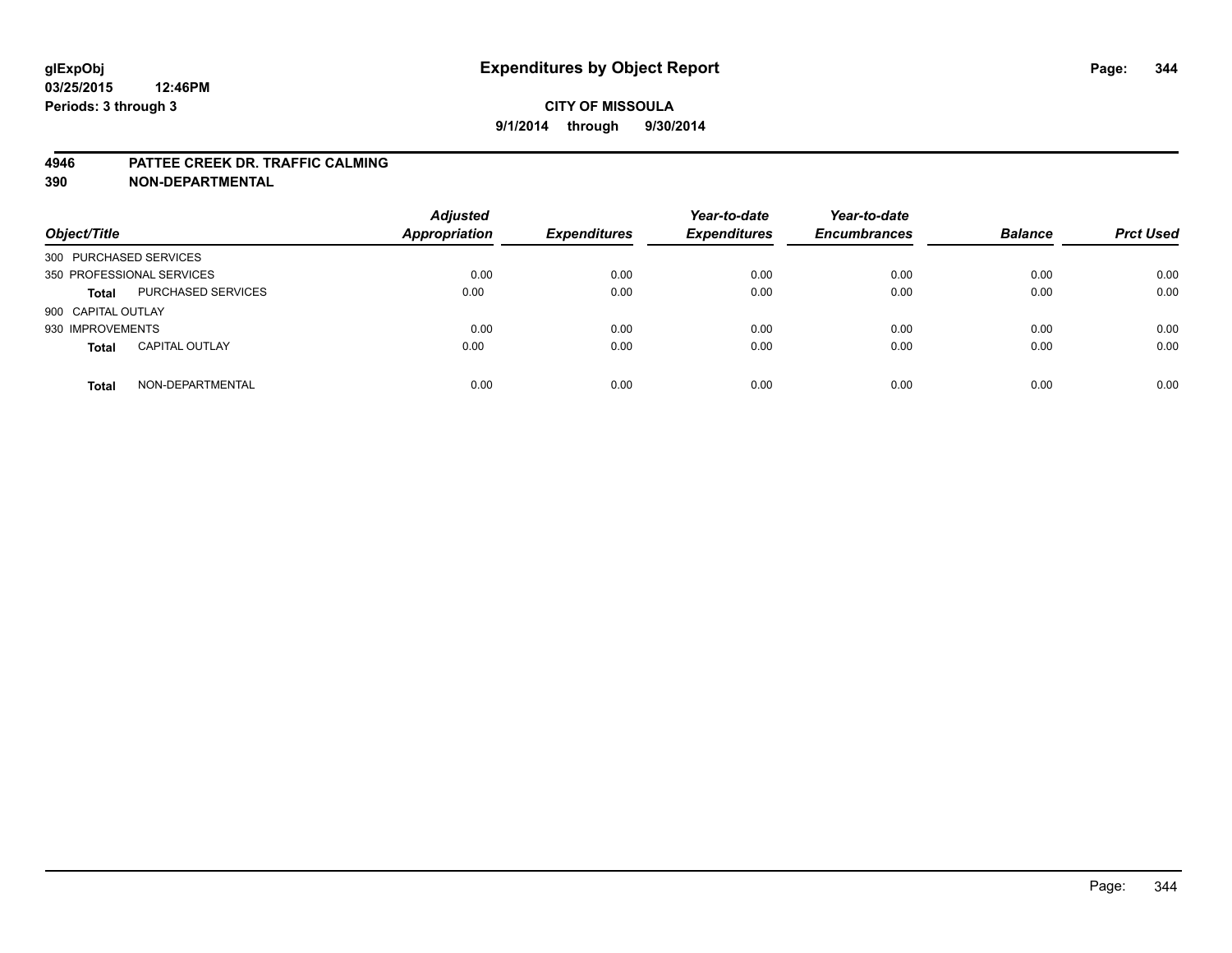#### **4946 PATTEE CREEK DR. TRAFFIC CALMING**

| Object/Title              |                       | <b>Adjusted</b><br><b>Appropriation</b> | <b>Expenditures</b> | Year-to-date<br><b>Expenditures</b> | Year-to-date<br><b>Encumbrances</b> | <b>Balance</b> | <b>Prct Used</b> |
|---------------------------|-----------------------|-----------------------------------------|---------------------|-------------------------------------|-------------------------------------|----------------|------------------|
| 300 PURCHASED SERVICES    |                       |                                         |                     |                                     |                                     |                |                  |
| 350 PROFESSIONAL SERVICES |                       | 0.00                                    | 0.00                | 0.00                                | 0.00                                | 0.00           | 0.00             |
| <b>Total</b>              | PURCHASED SERVICES    | 0.00                                    | 0.00                | 0.00                                | 0.00                                | 0.00           | 0.00             |
| 900 CAPITAL OUTLAY        |                       |                                         |                     |                                     |                                     |                |                  |
| 930 IMPROVEMENTS          |                       | 0.00                                    | 0.00                | 0.00                                | 0.00                                | 0.00           | 0.00             |
| <b>Total</b>              | <b>CAPITAL OUTLAY</b> | 0.00                                    | 0.00                | 0.00                                | 0.00                                | 0.00           | 0.00             |
| <b>Total</b>              | NON-DEPARTMENTAL      | 0.00                                    | 0.00                | 0.00                                | 0.00                                | 0.00           | 0.00             |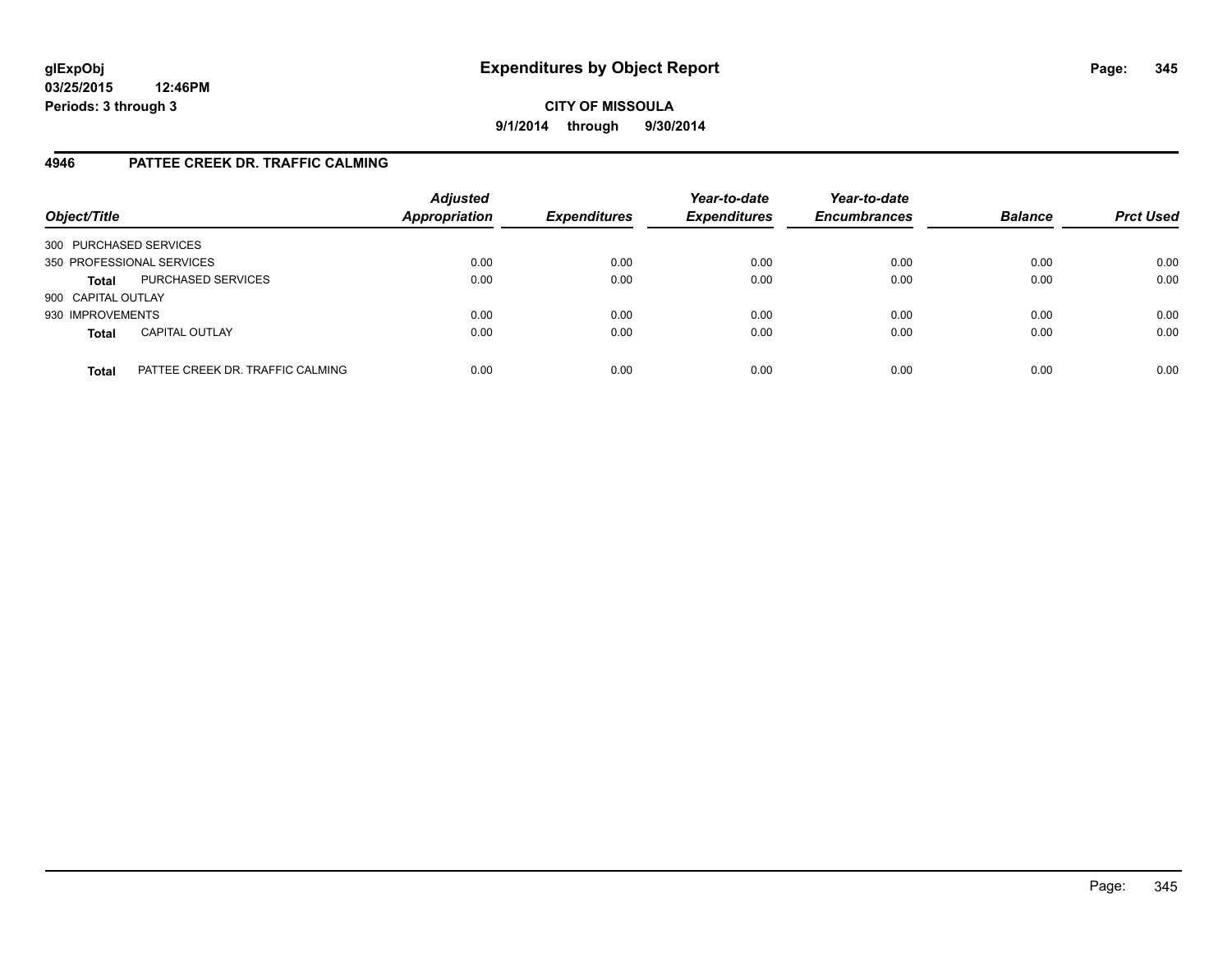**CITY OF MISSOULA 9/1/2014 through 9/30/2014**

#### **4946 PATTEE CREEK DR. TRAFFIC CALMING**

| Object/Title           |                                  | <b>Adjusted</b><br><b>Appropriation</b> | <b>Expenditures</b> | Year-to-date<br><b>Expenditures</b> | Year-to-date<br><b>Encumbrances</b> | <b>Balance</b> | <b>Prct Used</b> |
|------------------------|----------------------------------|-----------------------------------------|---------------------|-------------------------------------|-------------------------------------|----------------|------------------|
| 300 PURCHASED SERVICES |                                  |                                         |                     |                                     |                                     |                |                  |
|                        | 350 PROFESSIONAL SERVICES        | 0.00                                    | 0.00                | 0.00                                | 0.00                                | 0.00           | 0.00             |
| <b>Total</b>           | PURCHASED SERVICES               | 0.00                                    | 0.00                | 0.00                                | 0.00                                | 0.00           | 0.00             |
| 900 CAPITAL OUTLAY     |                                  |                                         |                     |                                     |                                     |                |                  |
| 930 IMPROVEMENTS       |                                  | 0.00                                    | 0.00                | 0.00                                | 0.00                                | 0.00           | 0.00             |
| <b>Total</b>           | <b>CAPITAL OUTLAY</b>            | 0.00                                    | 0.00                | 0.00                                | 0.00                                | 0.00           | 0.00             |
| <b>Total</b>           | PATTEE CREEK DR. TRAFFIC CALMING | 0.00                                    | 0.00                | 0.00                                | 0.00                                | 0.00           | 0.00             |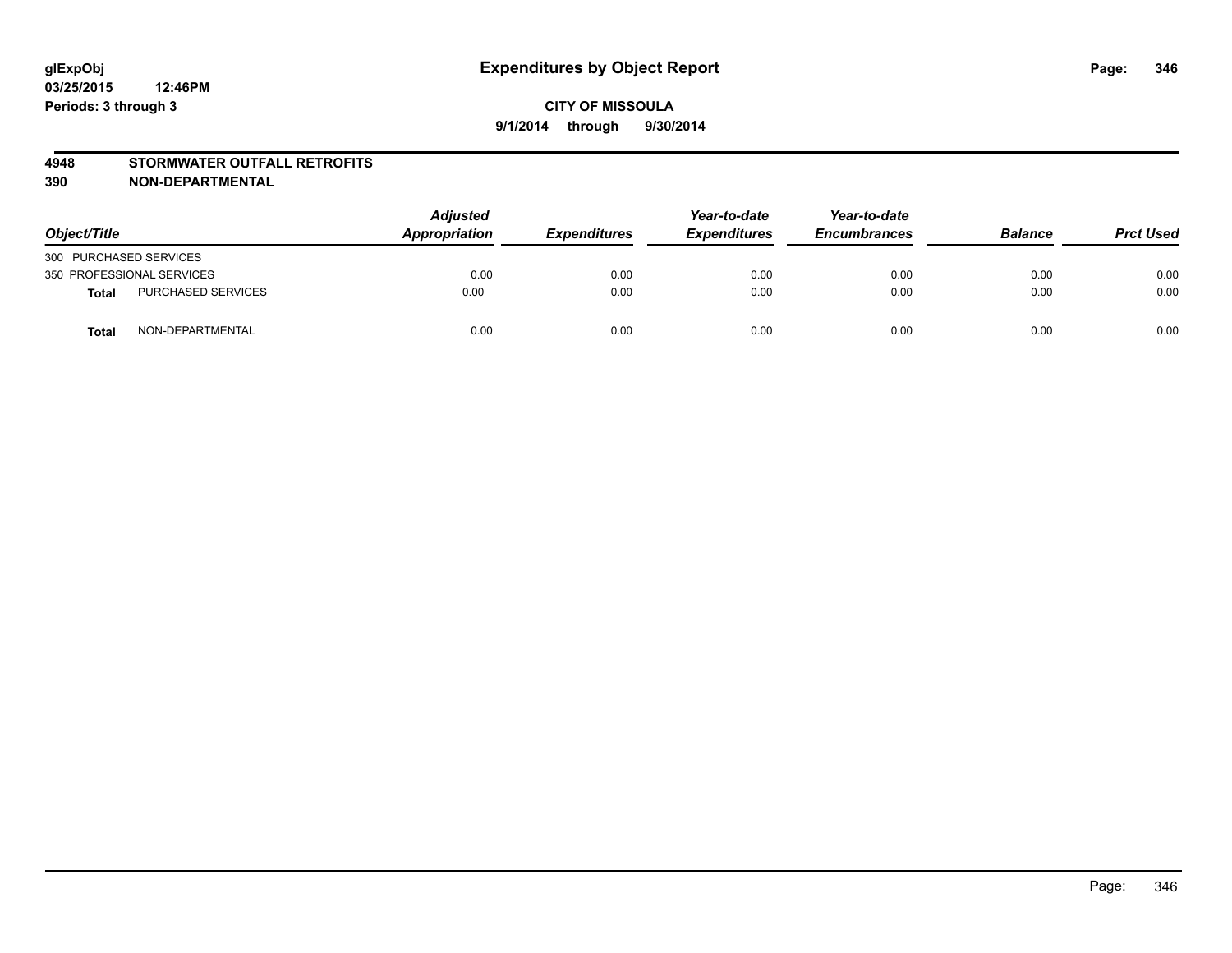#### **4948 STORMWATER OUTFALL RETROFITS**

| Object/Title              |                           | Adjusted<br>Appropriation | <b>Expenditures</b> | Year-to-date<br><b>Expenditures</b> | Year-to-date<br><b>Encumbrances</b> | <b>Balance</b> | <b>Prct Used</b> |
|---------------------------|---------------------------|---------------------------|---------------------|-------------------------------------|-------------------------------------|----------------|------------------|
| 300 PURCHASED SERVICES    |                           |                           |                     |                                     |                                     |                |                  |
| 350 PROFESSIONAL SERVICES |                           | 0.00                      | 0.00                | 0.00                                | 0.00                                | 0.00           | 0.00             |
| <b>Total</b>              | <b>PURCHASED SERVICES</b> | 0.00                      | 0.00                | 0.00                                | 0.00                                | 0.00           | 0.00             |
| <b>Total</b>              | NON-DEPARTMENTAL          | 0.00                      | 0.00                | 0.00                                | 0.00                                | 0.00           | 0.00             |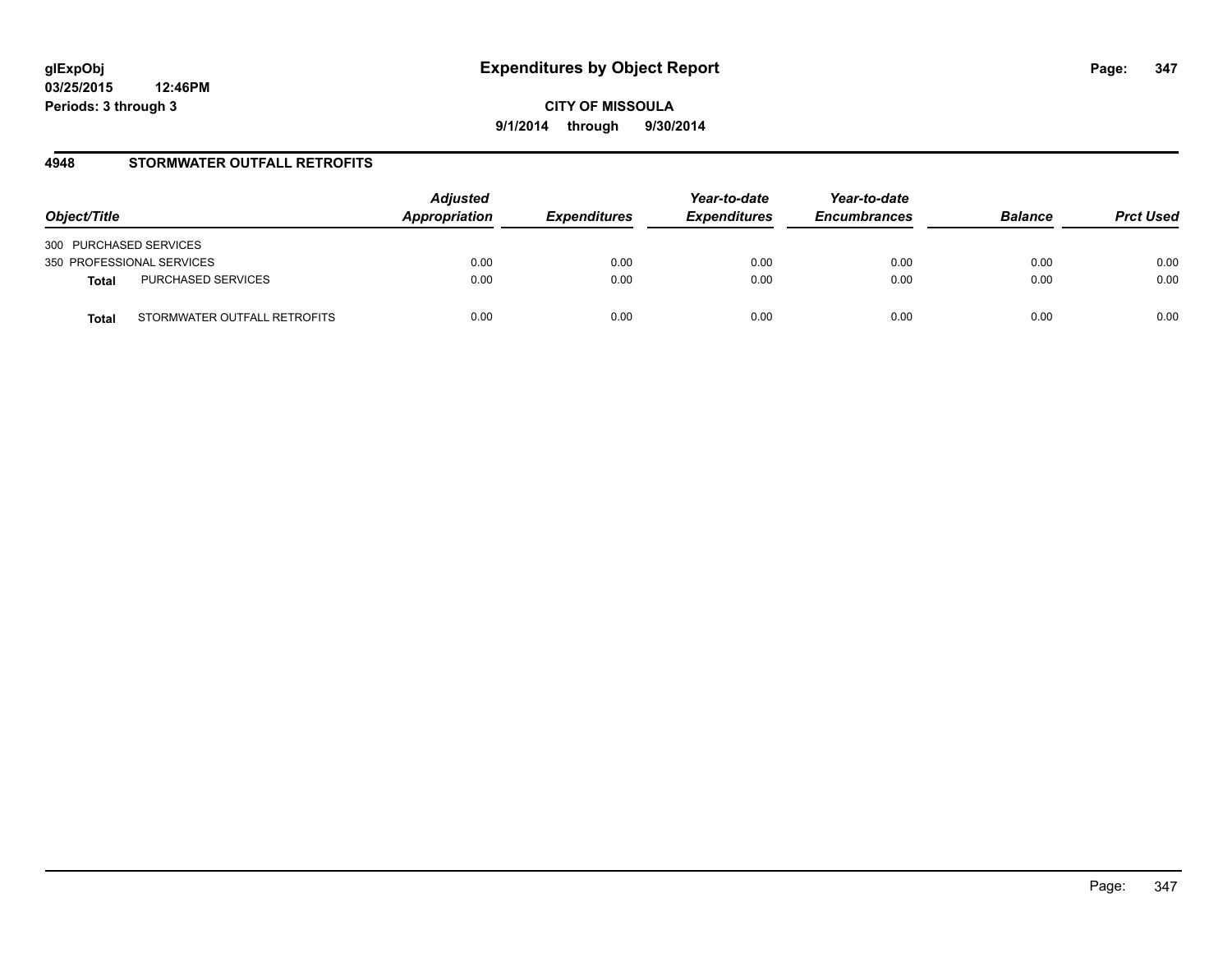**CITY OF MISSOULA 9/1/2014 through 9/30/2014**

#### **4948 STORMWATER OUTFALL RETROFITS**

| Object/Title                          | <b>Adjusted</b><br>Appropriation | <b>Expenditures</b> | Year-to-date<br><b>Expenditures</b> | Year-to-date<br><b>Encumbrances</b> | <b>Balance</b> | <b>Prct Used</b> |
|---------------------------------------|----------------------------------|---------------------|-------------------------------------|-------------------------------------|----------------|------------------|
| 300 PURCHASED SERVICES                |                                  |                     |                                     |                                     |                |                  |
| 350 PROFESSIONAL SERVICES             | 0.00                             | 0.00                | 0.00                                | 0.00                                | 0.00           | 0.00             |
| PURCHASED SERVICES<br><b>Total</b>    | 0.00                             | 0.00                | 0.00                                | 0.00                                | 0.00           | 0.00             |
| STORMWATER OUTFALL RETROFITS<br>Total | 0.00                             | 0.00                | 0.00                                | 0.00                                | 0.00           | 0.00             |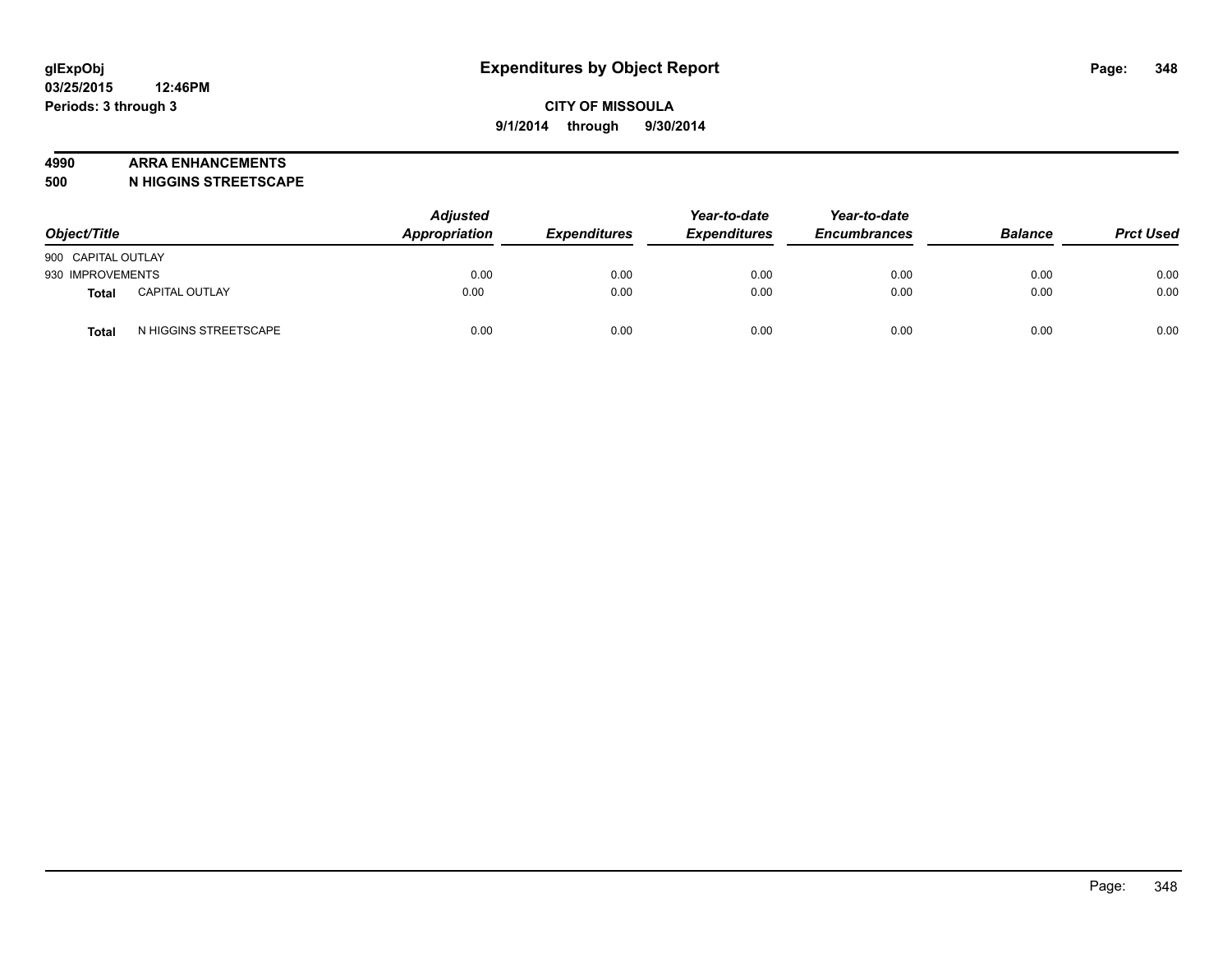#### **4990 ARRA ENHANCEMENTS**

**500 N HIGGINS STREETSCAPE**

| Object/Title       |                       | <b>Adjusted</b><br>Appropriation | <b>Expenditures</b> | Year-to-date<br><b>Expenditures</b> | Year-to-date<br><b>Encumbrances</b> | <b>Balance</b> | <b>Prct Used</b> |
|--------------------|-----------------------|----------------------------------|---------------------|-------------------------------------|-------------------------------------|----------------|------------------|
| 900 CAPITAL OUTLAY |                       |                                  |                     |                                     |                                     |                |                  |
| 930 IMPROVEMENTS   |                       | 0.00                             | 0.00                | 0.00                                | 0.00                                | 0.00           | 0.00             |
| Total              | <b>CAPITAL OUTLAY</b> | 0.00                             | 0.00                | 0.00                                | 0.00                                | 0.00           | 0.00             |
| <b>Total</b>       | N HIGGINS STREETSCAPE | 0.00                             | 0.00                | 0.00                                | 0.00                                | 0.00           | 0.00             |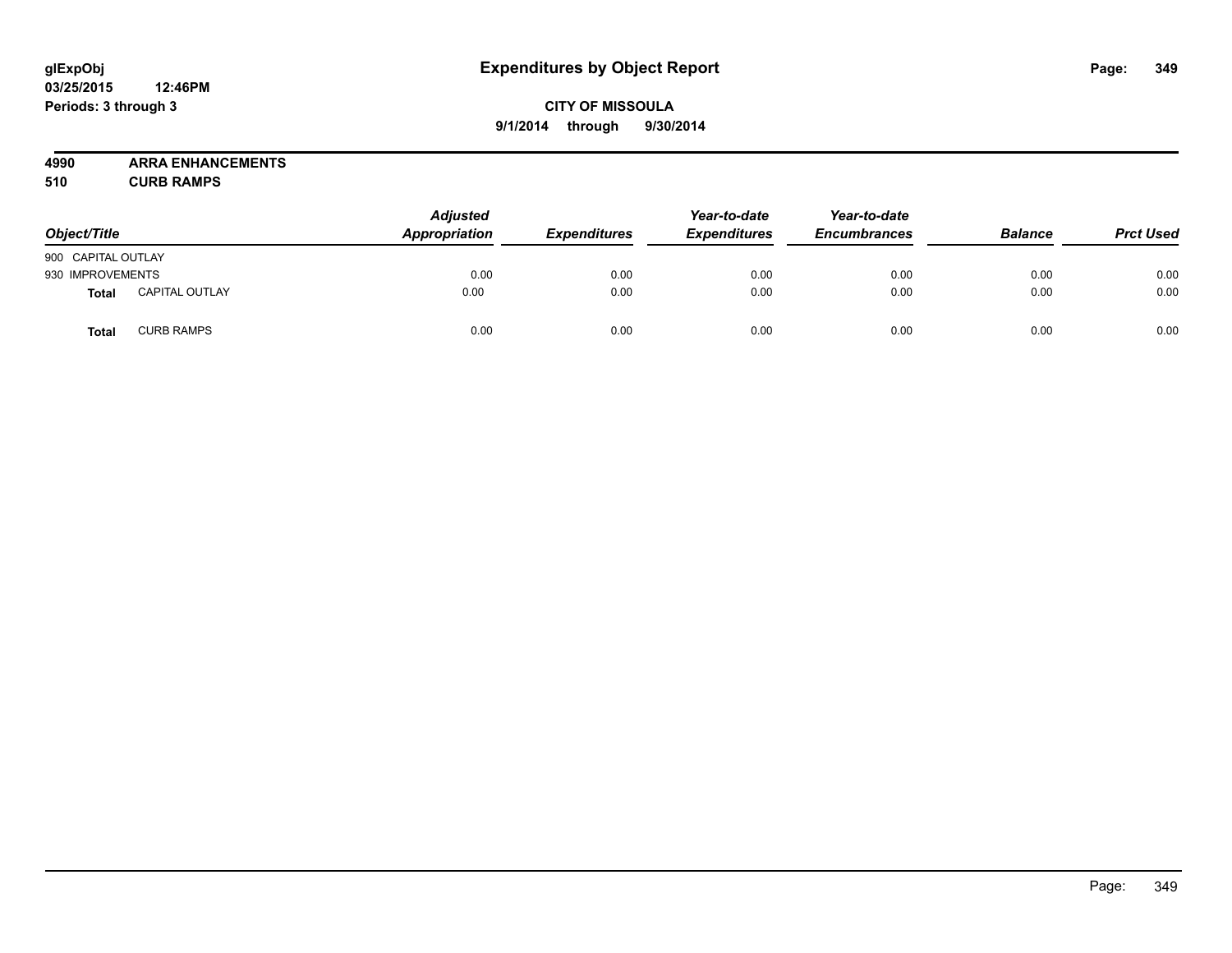## **CITY OF MISSOULA 9/1/2014 through 9/30/2014**

**4990 ARRA ENHANCEMENTS**

**510 CURB RAMPS**

| Object/Title       |                       | <b>Adjusted</b><br>Appropriation | <b>Expenditures</b> | Year-to-date<br><b>Expenditures</b> | Year-to-date<br><b>Encumbrances</b> | <b>Balance</b> | <b>Prct Used</b> |
|--------------------|-----------------------|----------------------------------|---------------------|-------------------------------------|-------------------------------------|----------------|------------------|
| 900 CAPITAL OUTLAY |                       |                                  |                     |                                     |                                     |                |                  |
| 930 IMPROVEMENTS   |                       | 0.00                             | 0.00                | 0.00                                | 0.00                                | 0.00           | 0.00             |
| Total              | <b>CAPITAL OUTLAY</b> | 0.00                             | 0.00                | 0.00                                | 0.00                                | 0.00           | 0.00             |
| <b>Total</b>       | <b>CURB RAMPS</b>     | 0.00                             | 0.00                | 0.00                                | 0.00                                | 0.00           | 0.00             |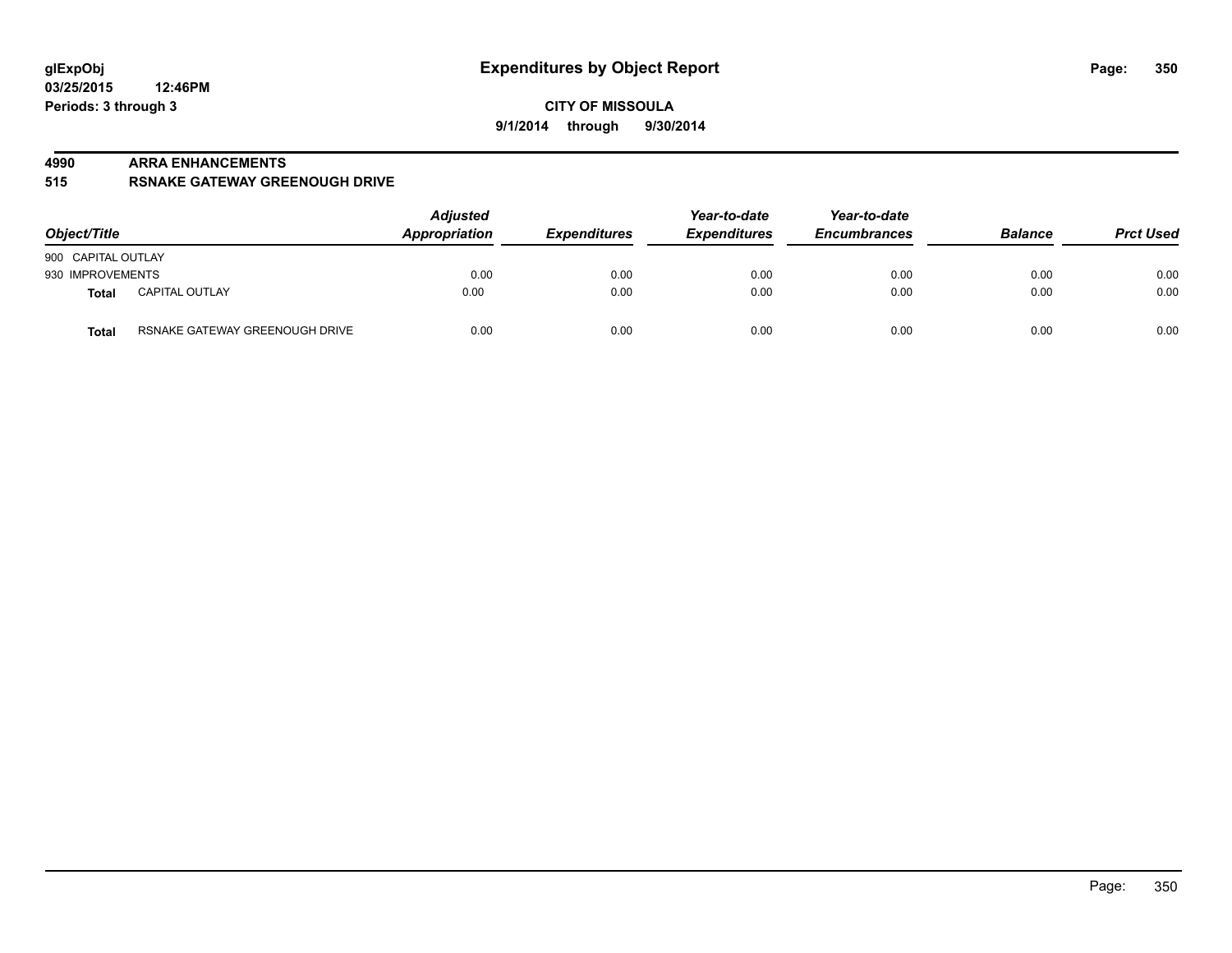#### **4990 ARRA ENHANCEMENTS**

**515 RSNAKE GATEWAY GREENOUGH DRIVE**

| Object/Title       |                                | <b>Adjusted</b><br>Appropriation | <b>Expenditures</b> | Year-to-date<br><b>Expenditures</b> | Year-to-date<br><b>Encumbrances</b> | <b>Balance</b> | <b>Prct Used</b> |
|--------------------|--------------------------------|----------------------------------|---------------------|-------------------------------------|-------------------------------------|----------------|------------------|
| 900 CAPITAL OUTLAY |                                |                                  |                     |                                     |                                     |                |                  |
| 930 IMPROVEMENTS   |                                | 0.00                             | 0.00                | 0.00                                | 0.00                                | 0.00           | 0.00             |
| Total              | <b>CAPITAL OUTLAY</b>          | 0.00                             | 0.00                | 0.00                                | 0.00                                | 0.00           | 0.00             |
| <b>Total</b>       | RSNAKE GATEWAY GREENOUGH DRIVE | 0.00                             | 0.00                | 0.00                                | 0.00                                | 0.00           | 0.00             |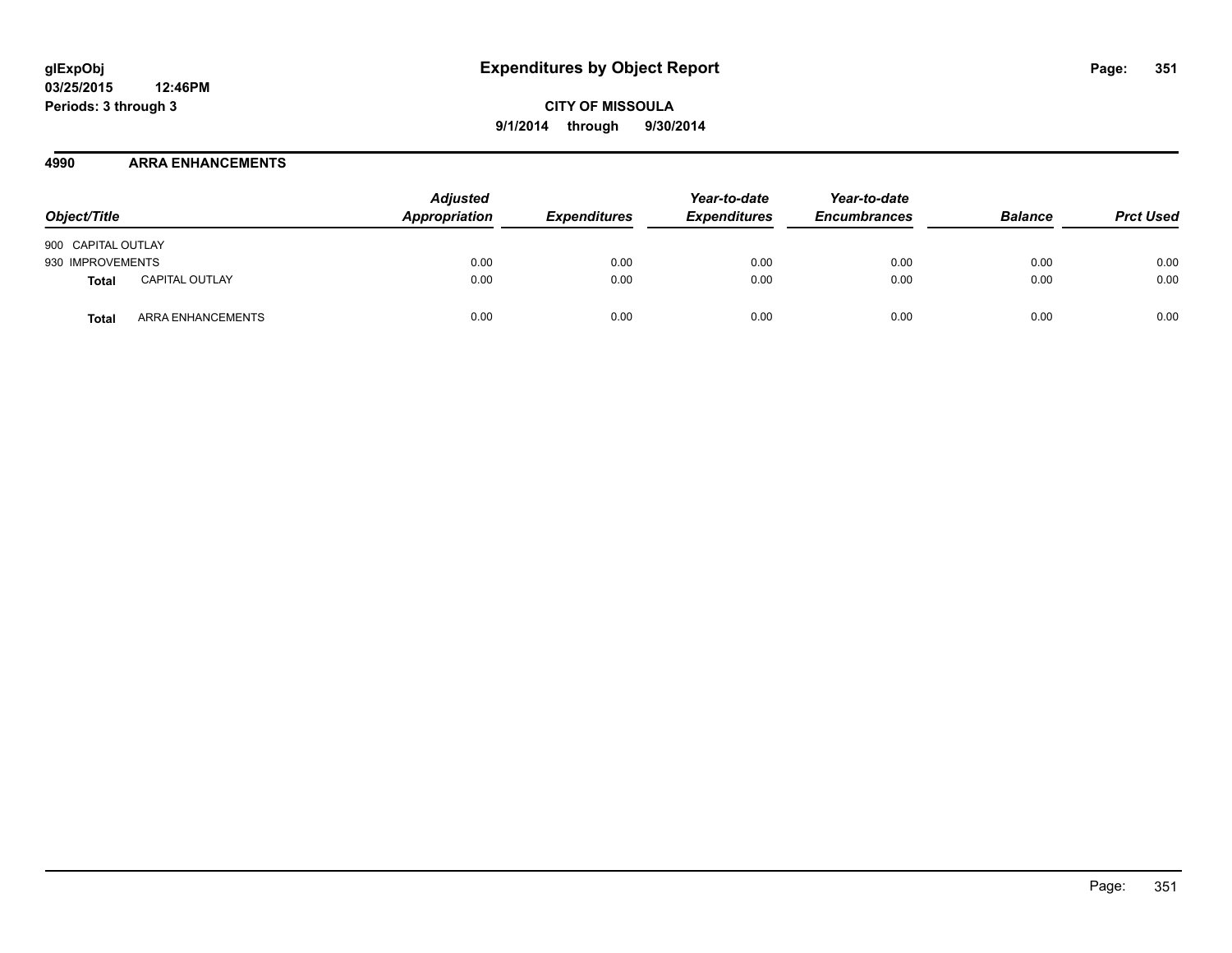#### **4990 ARRA ENHANCEMENTS**

| Object/Title                   | <b>Adjusted</b><br>Appropriation | <b>Expenditures</b> | Year-to-date<br><b>Expenditures</b> | Year-to-date<br><b>Encumbrances</b> | <b>Balance</b> | <b>Prct Used</b> |
|--------------------------------|----------------------------------|---------------------|-------------------------------------|-------------------------------------|----------------|------------------|
| 900 CAPITAL OUTLAY             |                                  |                     |                                     |                                     |                |                  |
| 930 IMPROVEMENTS               | 0.00                             | 0.00                | 0.00                                | 0.00                                | 0.00           | 0.00             |
| <b>CAPITAL OUTLAY</b><br>Total | 0.00                             | 0.00                | 0.00                                | 0.00                                | 0.00           | 0.00             |
| ARRA ENHANCEMENTS<br>Total     | 0.00                             | 0.00                | 0.00                                | 0.00                                | 0.00           | 0.00             |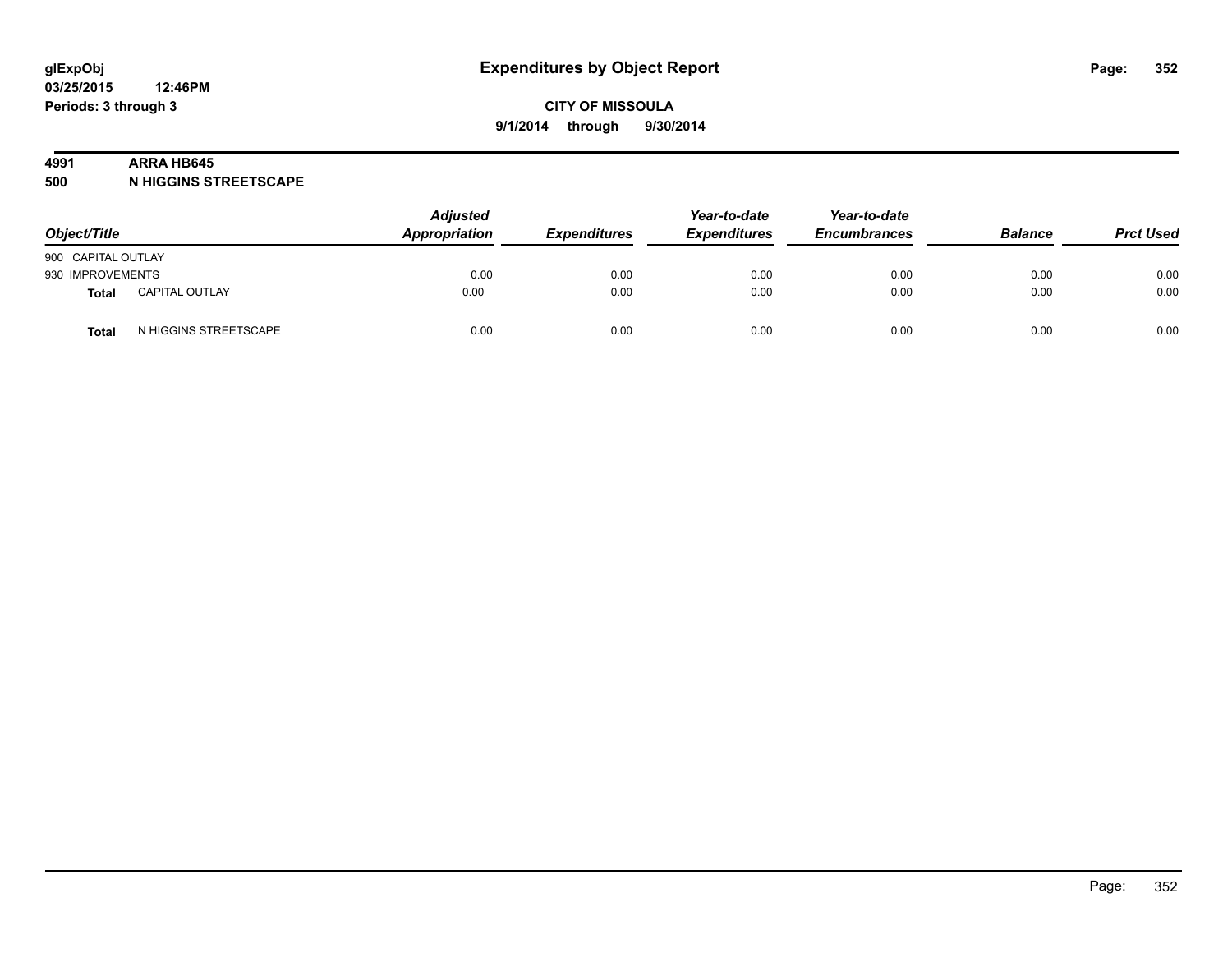#### **4991 ARRA HB645**

**500 N HIGGINS STREETSCAPE**

| Object/Title       |                       | <b>Adjusted</b><br><b>Appropriation</b> | <b>Expenditures</b> | Year-to-date<br><b>Expenditures</b> | Year-to-date<br><b>Encumbrances</b> | <b>Balance</b> | <b>Prct Used</b> |
|--------------------|-----------------------|-----------------------------------------|---------------------|-------------------------------------|-------------------------------------|----------------|------------------|
| 900 CAPITAL OUTLAY |                       |                                         |                     |                                     |                                     |                |                  |
| 930 IMPROVEMENTS   |                       | 0.00                                    | 0.00                | 0.00                                | 0.00                                | 0.00           | 0.00             |
| <b>Total</b>       | <b>CAPITAL OUTLAY</b> | 0.00                                    | 0.00                | 0.00                                | 0.00                                | 0.00           | 0.00             |
| Total              | N HIGGINS STREETSCAPE | 0.00                                    | 0.00                | 0.00                                | 0.00                                | 0.00           | 0.00             |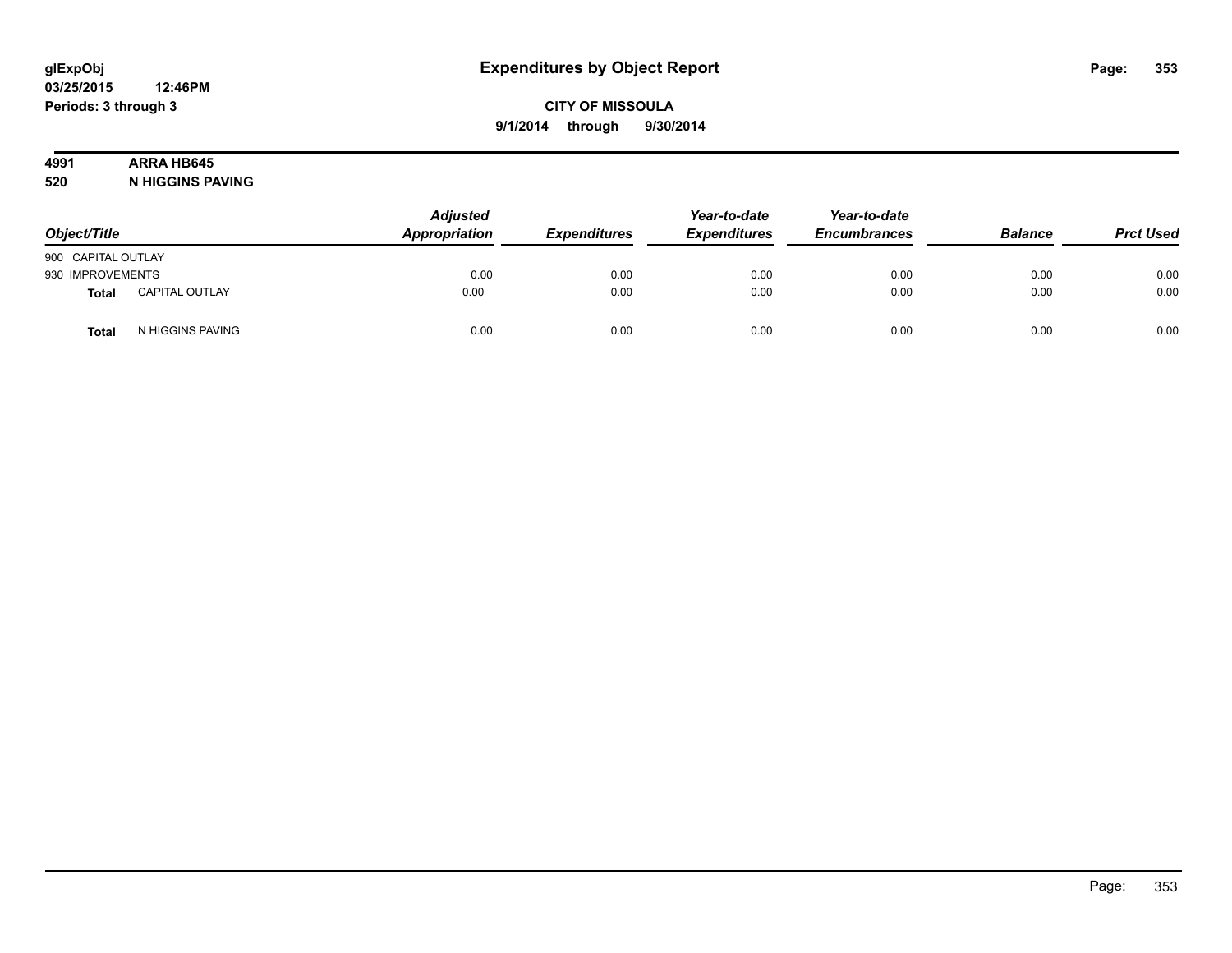# **4991 ARRA HB645**

**520 N HIGGINS PAVING**

| Object/Title       |                       | <b>Adjusted</b><br>Appropriation | <b>Expenditures</b> | Year-to-date<br><b>Expenditures</b> | Year-to-date<br><b>Encumbrances</b> | <b>Balance</b> | <b>Prct Used</b> |
|--------------------|-----------------------|----------------------------------|---------------------|-------------------------------------|-------------------------------------|----------------|------------------|
| 900 CAPITAL OUTLAY |                       |                                  |                     |                                     |                                     |                |                  |
| 930 IMPROVEMENTS   |                       | 0.00                             | 0.00                | 0.00                                | 0.00                                | 0.00           | 0.00             |
| <b>Total</b>       | <b>CAPITAL OUTLAY</b> | 0.00                             | 0.00                | 0.00                                | 0.00                                | 0.00           | 0.00             |
| Total              | N HIGGINS PAVING      | 0.00                             | 0.00                | 0.00                                | 0.00                                | 0.00           | 0.00             |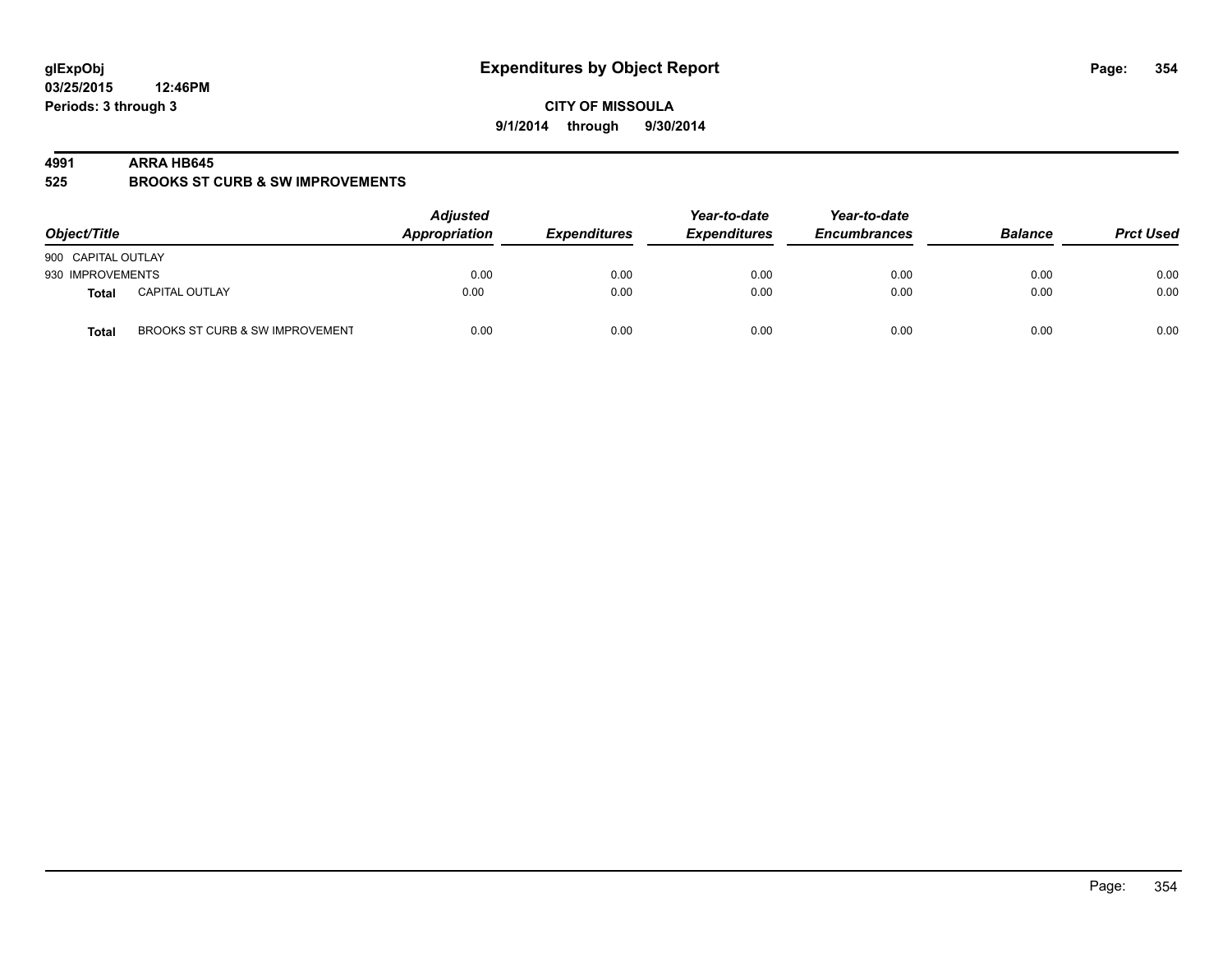**CITY OF MISSOULA 9/1/2014 through 9/30/2014**

#### **4991 ARRA HB645**

**525 BROOKS ST CURB & SW IMPROVEMENTS**

| Object/Title       |                                 | <b>Adjusted</b><br>Appropriation | <b>Expenditures</b> | Year-to-date<br><b>Expenditures</b> | Year-to-date<br><b>Encumbrances</b> | <b>Balance</b> | <b>Prct Used</b> |
|--------------------|---------------------------------|----------------------------------|---------------------|-------------------------------------|-------------------------------------|----------------|------------------|
| 900 CAPITAL OUTLAY |                                 |                                  |                     |                                     |                                     |                |                  |
| 930 IMPROVEMENTS   |                                 | 0.00                             | 0.00                | 0.00                                | 0.00                                | 0.00           | 0.00             |
| <b>Total</b>       | <b>CAPITAL OUTLAY</b>           | 0.00                             | 0.00                | 0.00                                | 0.00                                | 0.00           | 0.00             |
| <b>Total</b>       | BROOKS ST CURB & SW IMPROVEMENT | 0.00                             | 0.00                | 0.00                                | 0.00                                | 0.00           | 0.00             |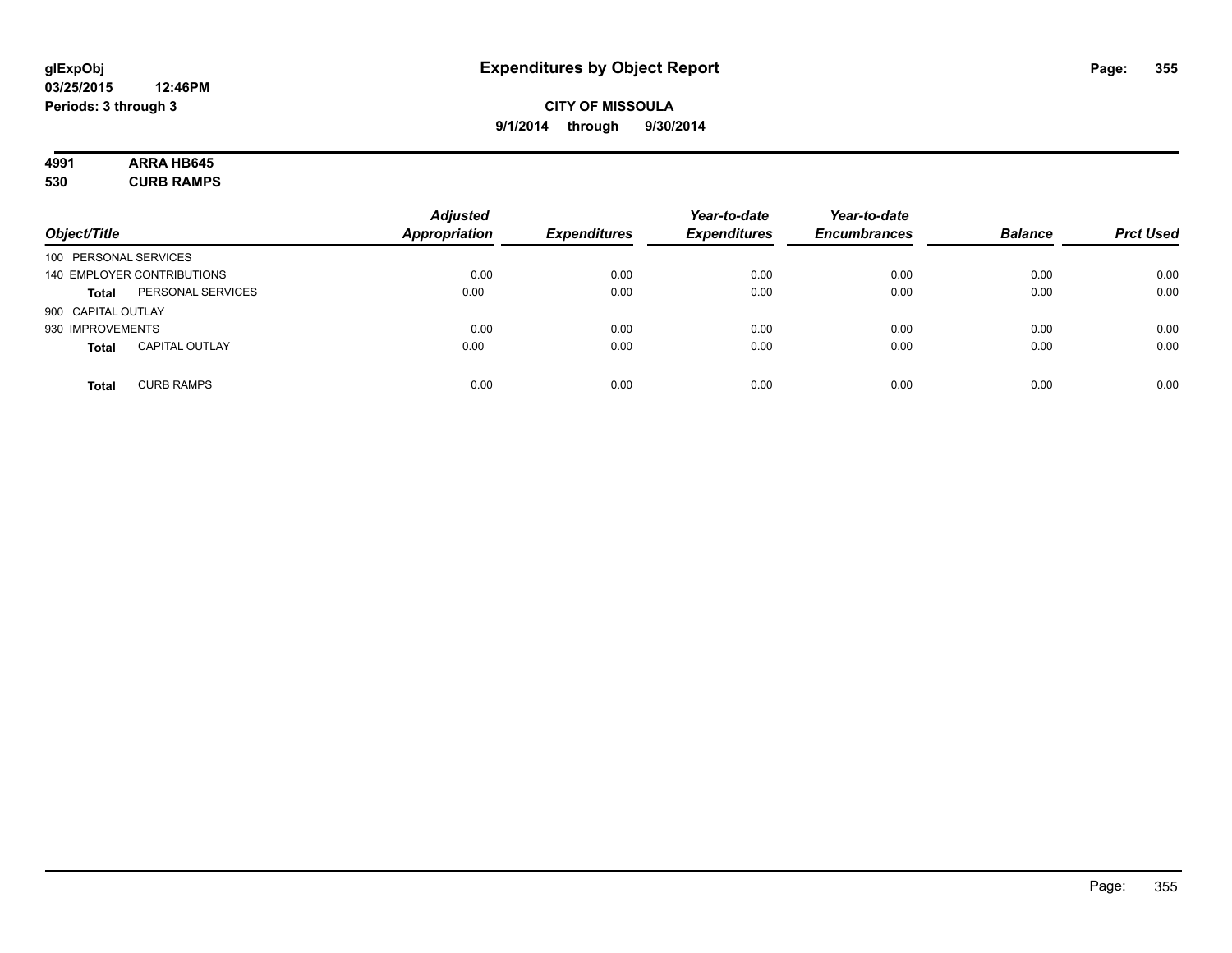# **4991 ARRA HB645**

**530 CURB RAMPS**

| Object/Title          |                            | <b>Adjusted</b><br><b>Appropriation</b> | <b>Expenditures</b> | Year-to-date<br><b>Expenditures</b> | Year-to-date<br><b>Encumbrances</b> | <b>Balance</b> | <b>Prct Used</b> |
|-----------------------|----------------------------|-----------------------------------------|---------------------|-------------------------------------|-------------------------------------|----------------|------------------|
| 100 PERSONAL SERVICES |                            |                                         |                     |                                     |                                     |                |                  |
|                       | 140 EMPLOYER CONTRIBUTIONS | 0.00                                    | 0.00                | 0.00                                | 0.00                                | 0.00           | 0.00             |
| <b>Total</b>          | PERSONAL SERVICES          | 0.00                                    | 0.00                | 0.00                                | 0.00                                | 0.00           | 0.00             |
| 900 CAPITAL OUTLAY    |                            |                                         |                     |                                     |                                     |                |                  |
| 930 IMPROVEMENTS      |                            | 0.00                                    | 0.00                | 0.00                                | 0.00                                | 0.00           | 0.00             |
| <b>Total</b>          | <b>CAPITAL OUTLAY</b>      | 0.00                                    | 0.00                | 0.00                                | 0.00                                | 0.00           | 0.00             |
| <b>Total</b>          | <b>CURB RAMPS</b>          | 0.00                                    | 0.00                | 0.00                                | 0.00                                | 0.00           | 0.00             |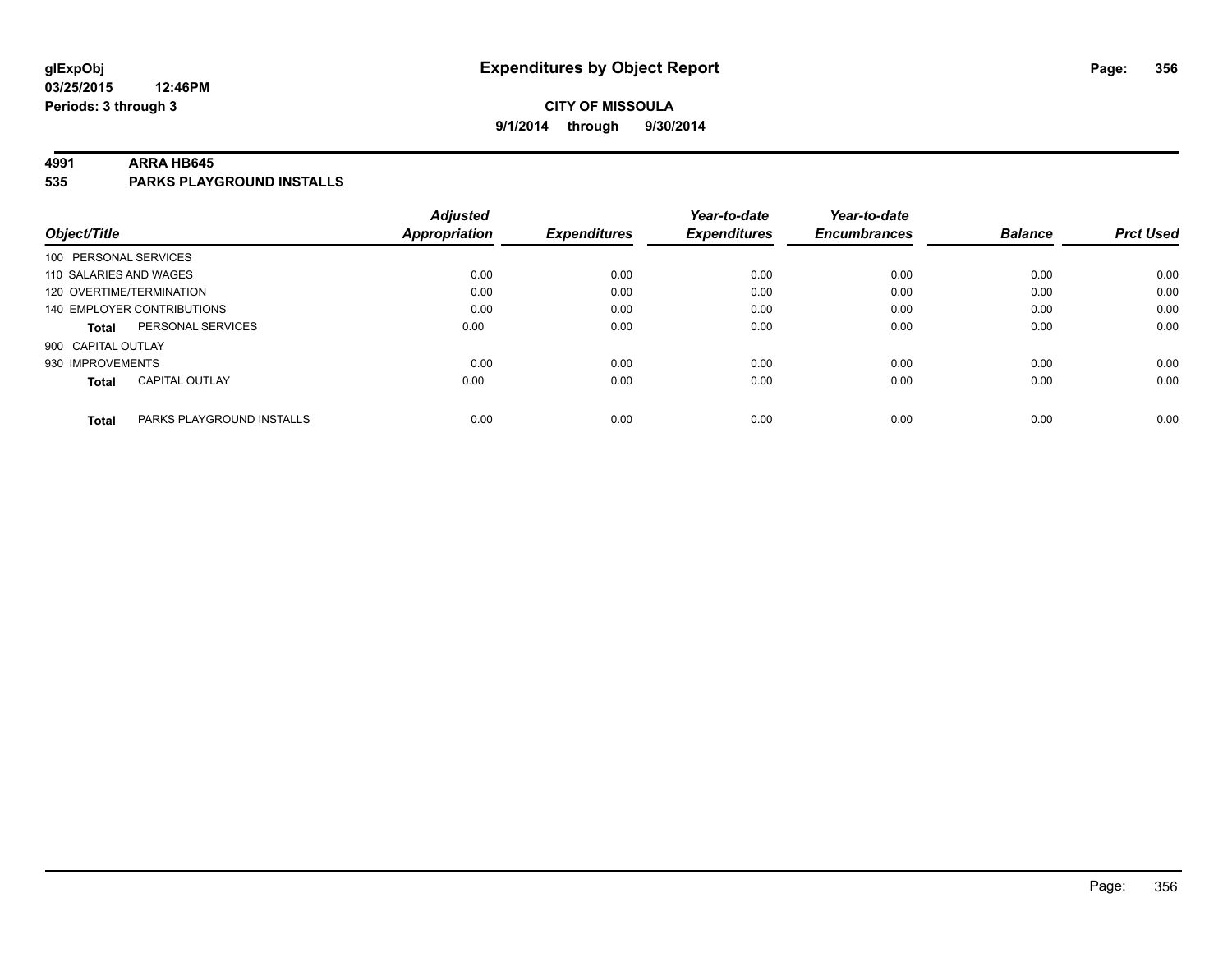## **CITY OF MISSOULA 9/1/2014 through 9/30/2014**

#### **4991 ARRA HB645**

**535 PARKS PLAYGROUND INSTALLS**

|                          |                            | <b>Adjusted</b>      |                     | Year-to-date        | Year-to-date        |                |                  |
|--------------------------|----------------------------|----------------------|---------------------|---------------------|---------------------|----------------|------------------|
| Object/Title             |                            | <b>Appropriation</b> | <b>Expenditures</b> | <b>Expenditures</b> | <b>Encumbrances</b> | <b>Balance</b> | <b>Prct Used</b> |
| 100 PERSONAL SERVICES    |                            |                      |                     |                     |                     |                |                  |
| 110 SALARIES AND WAGES   |                            | 0.00                 | 0.00                | 0.00                | 0.00                | 0.00           | 0.00             |
| 120 OVERTIME/TERMINATION |                            | 0.00                 | 0.00                | 0.00                | 0.00                | 0.00           | 0.00             |
|                          | 140 EMPLOYER CONTRIBUTIONS | 0.00                 | 0.00                | 0.00                | 0.00                | 0.00           | 0.00             |
| Total                    | PERSONAL SERVICES          | 0.00                 | 0.00                | 0.00                | 0.00                | 0.00           | 0.00             |
| 900 CAPITAL OUTLAY       |                            |                      |                     |                     |                     |                |                  |
| 930 IMPROVEMENTS         |                            | 0.00                 | 0.00                | 0.00                | 0.00                | 0.00           | 0.00             |
| <b>Total</b>             | <b>CAPITAL OUTLAY</b>      | 0.00                 | 0.00                | 0.00                | 0.00                | 0.00           | 0.00             |
|                          |                            |                      |                     |                     |                     |                |                  |
| <b>Total</b>             | PARKS PLAYGROUND INSTALLS  | 0.00                 | 0.00                | 0.00                | 0.00                | 0.00           | 0.00             |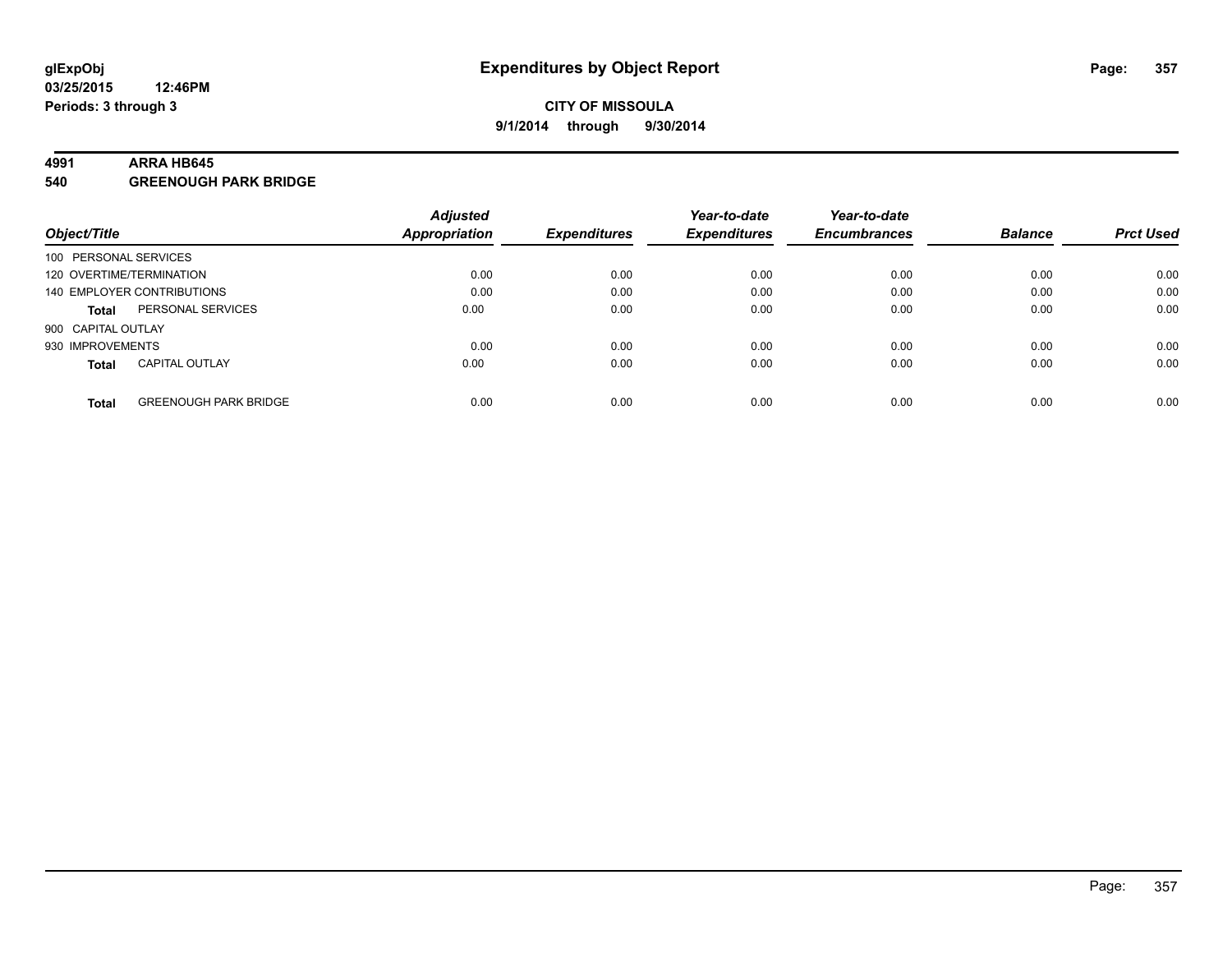#### **4991 ARRA HB645**

**540 GREENOUGH PARK BRIDGE**

|                          |                              | <b>Adjusted</b> |                     | Year-to-date        | Year-to-date        |                |                  |
|--------------------------|------------------------------|-----------------|---------------------|---------------------|---------------------|----------------|------------------|
| Object/Title             |                              | Appropriation   | <b>Expenditures</b> | <b>Expenditures</b> | <b>Encumbrances</b> | <b>Balance</b> | <b>Prct Used</b> |
| 100 PERSONAL SERVICES    |                              |                 |                     |                     |                     |                |                  |
| 120 OVERTIME/TERMINATION |                              | 0.00            | 0.00                | 0.00                | 0.00                | 0.00           | 0.00             |
|                          | 140 EMPLOYER CONTRIBUTIONS   | 0.00            | 0.00                | 0.00                | 0.00                | 0.00           | 0.00             |
| <b>Total</b>             | PERSONAL SERVICES            | 0.00            | 0.00                | 0.00                | 0.00                | 0.00           | 0.00             |
| 900 CAPITAL OUTLAY       |                              |                 |                     |                     |                     |                |                  |
| 930 IMPROVEMENTS         |                              | 0.00            | 0.00                | 0.00                | 0.00                | 0.00           | 0.00             |
| <b>Total</b>             | <b>CAPITAL OUTLAY</b>        | 0.00            | 0.00                | 0.00                | 0.00                | 0.00           | 0.00             |
| <b>Total</b>             | <b>GREENOUGH PARK BRIDGE</b> | 0.00            | 0.00                | 0.00                | 0.00                | 0.00           | 0.00             |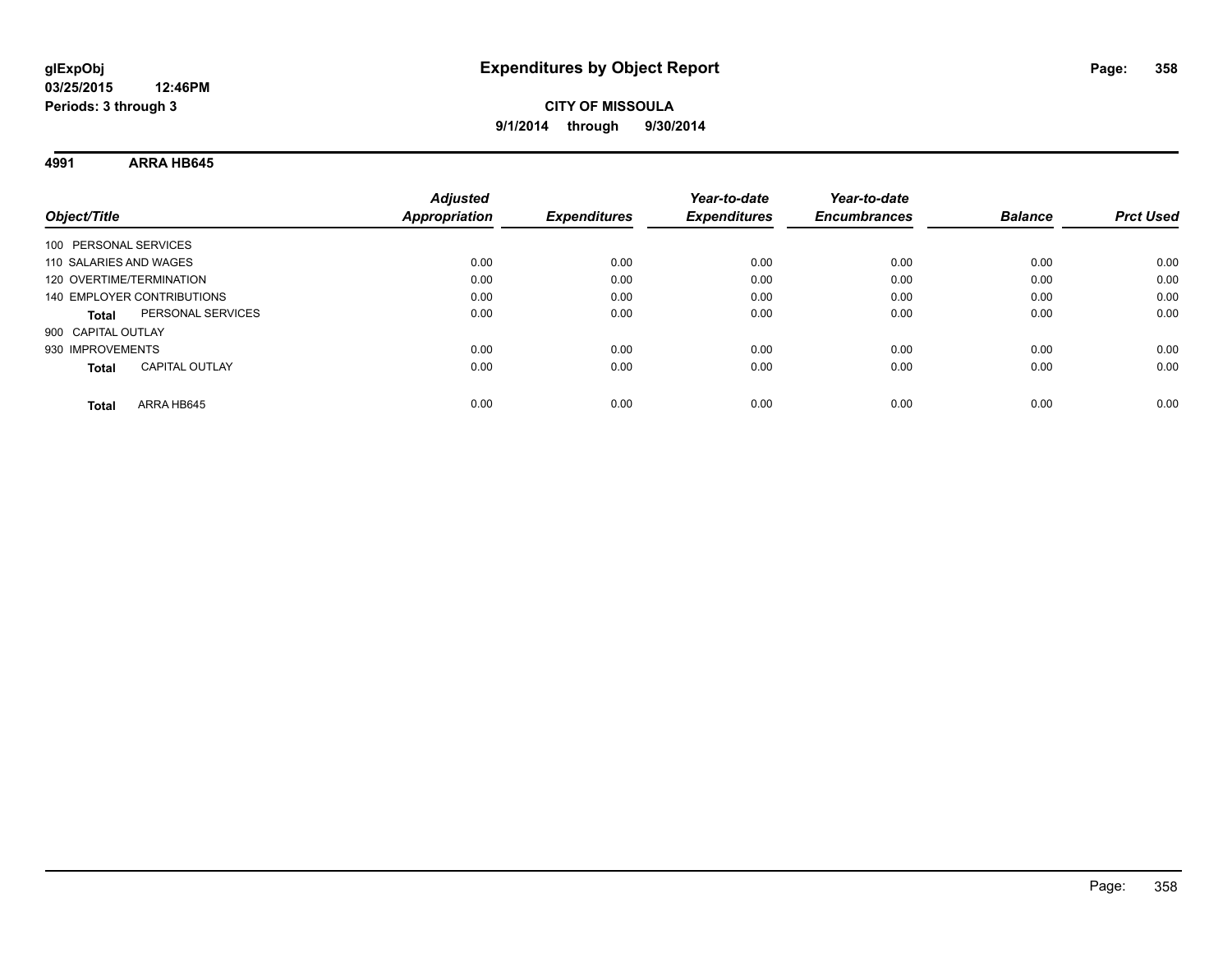**4991 ARRA HB645**

| Object/Title                          | <b>Adjusted</b><br><b>Appropriation</b> | <b>Expenditures</b> | Year-to-date<br><b>Expenditures</b> | Year-to-date<br><b>Encumbrances</b> | <b>Balance</b> | <b>Prct Used</b> |
|---------------------------------------|-----------------------------------------|---------------------|-------------------------------------|-------------------------------------|----------------|------------------|
| 100 PERSONAL SERVICES                 |                                         |                     |                                     |                                     |                |                  |
| 110 SALARIES AND WAGES                | 0.00                                    | 0.00                | 0.00                                | 0.00                                | 0.00           | 0.00             |
| 120 OVERTIME/TERMINATION              | 0.00                                    | 0.00                | 0.00                                | 0.00                                | 0.00           | 0.00             |
| 140 EMPLOYER CONTRIBUTIONS            | 0.00                                    | 0.00                | 0.00                                | 0.00                                | 0.00           | 0.00             |
| PERSONAL SERVICES<br><b>Total</b>     | 0.00                                    | 0.00                | 0.00                                | 0.00                                | 0.00           | 0.00             |
| 900 CAPITAL OUTLAY                    |                                         |                     |                                     |                                     |                |                  |
| 930 IMPROVEMENTS                      | 0.00                                    | 0.00                | 0.00                                | 0.00                                | 0.00           | 0.00             |
| <b>CAPITAL OUTLAY</b><br><b>Total</b> | 0.00                                    | 0.00                | 0.00                                | 0.00                                | 0.00           | 0.00             |
| ARRA HB645<br>Total                   | 0.00                                    | 0.00                | 0.00                                | 0.00                                | 0.00           | 0.00             |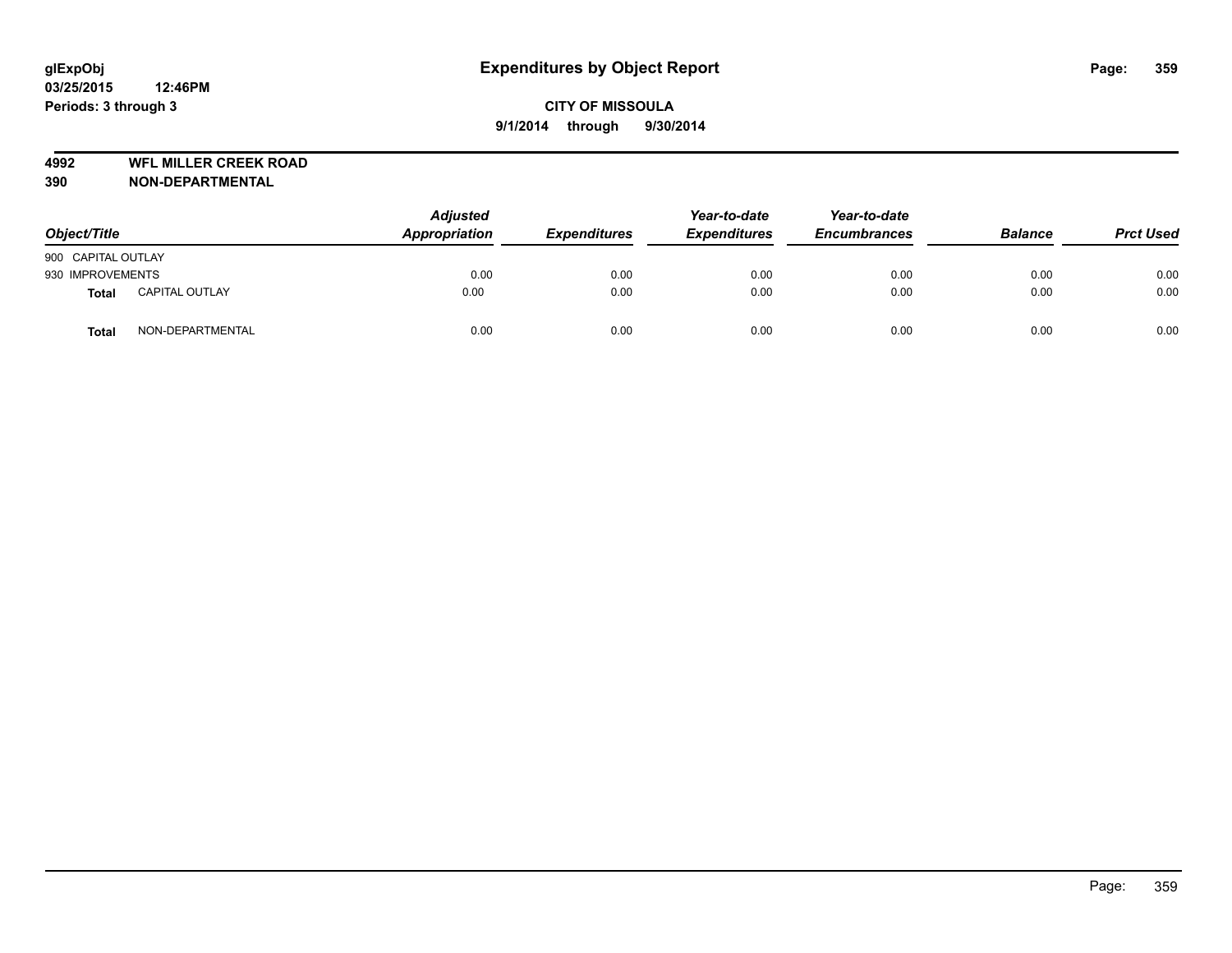**4992 WFL MILLER CREEK ROAD**

| Object/Title       |                       | <b>Adjusted</b><br>Appropriation | <b>Expenditures</b> | Year-to-date<br><b>Expenditures</b> | Year-to-date<br><b>Encumbrances</b> | <b>Balance</b> | <b>Prct Used</b> |
|--------------------|-----------------------|----------------------------------|---------------------|-------------------------------------|-------------------------------------|----------------|------------------|
| 900 CAPITAL OUTLAY |                       |                                  |                     |                                     |                                     |                |                  |
| 930 IMPROVEMENTS   |                       | 0.00                             | 0.00                | 0.00                                | 0.00                                | 0.00           | 0.00             |
| <b>Total</b>       | <b>CAPITAL OUTLAY</b> | 0.00                             | 0.00                | 0.00                                | 0.00                                | 0.00           | 0.00             |
| <b>Total</b>       | NON-DEPARTMENTAL      | 0.00                             | 0.00                | 0.00                                | 0.00                                | 0.00           | 0.00             |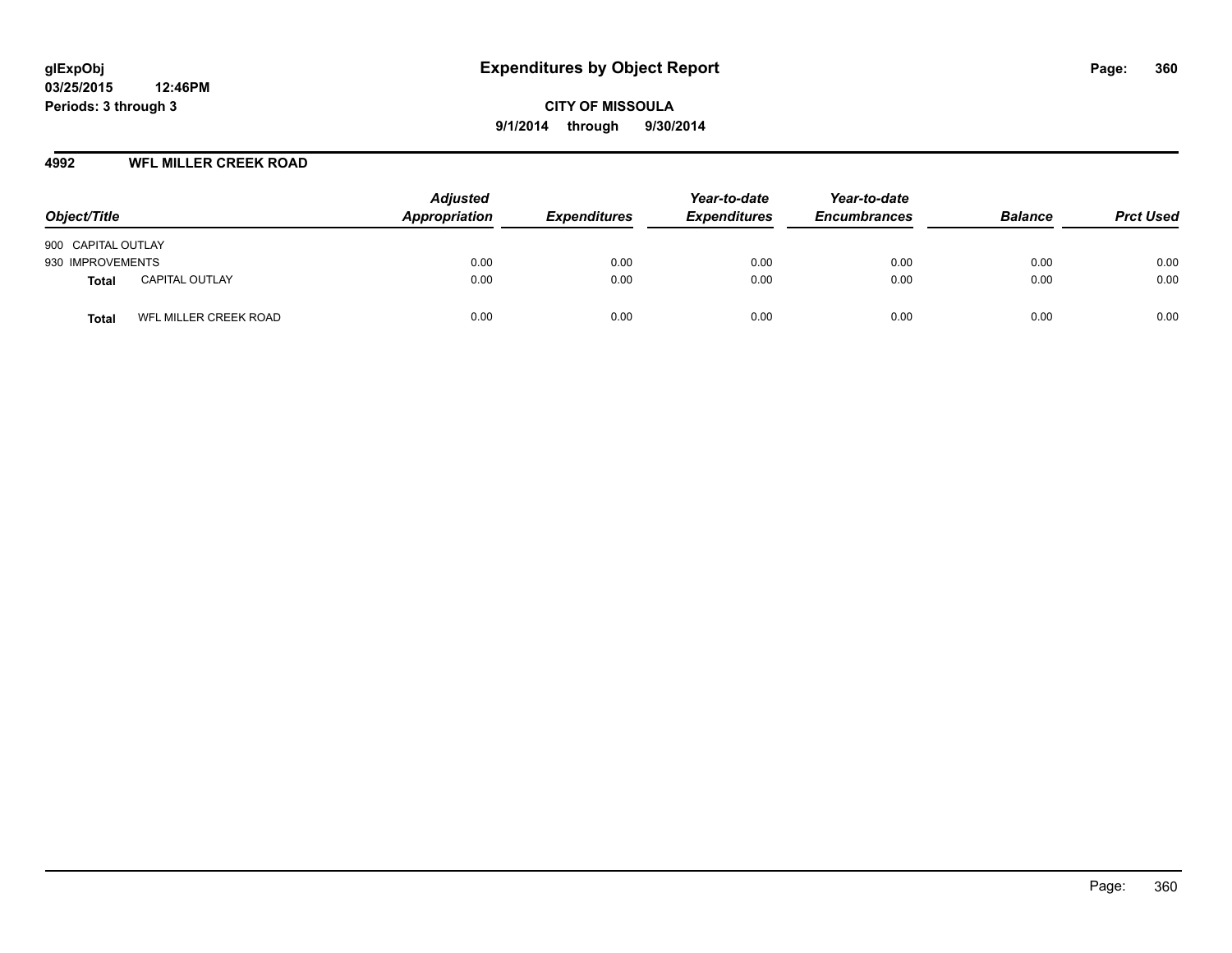#### **4992 WFL MILLER CREEK ROAD**

| Object/Title                          | <b>Adjusted</b><br>Appropriation | <b>Expenditures</b> | Year-to-date<br><b>Expenditures</b> | Year-to-date<br><b>Encumbrances</b> | <b>Balance</b> | <b>Prct Used</b> |
|---------------------------------------|----------------------------------|---------------------|-------------------------------------|-------------------------------------|----------------|------------------|
| 900 CAPITAL OUTLAY                    |                                  |                     |                                     |                                     |                |                  |
| 930 IMPROVEMENTS                      | 0.00                             | 0.00                | 0.00                                | 0.00                                | 0.00           | 0.00             |
| <b>CAPITAL OUTLAY</b><br><b>Total</b> | 0.00                             | 0.00                | 0.00                                | 0.00                                | 0.00           | 0.00             |
| WFL MILLER CREEK ROAD<br><b>Total</b> | 0.00                             | 0.00                | 0.00                                | 0.00                                | 0.00           | 0.00             |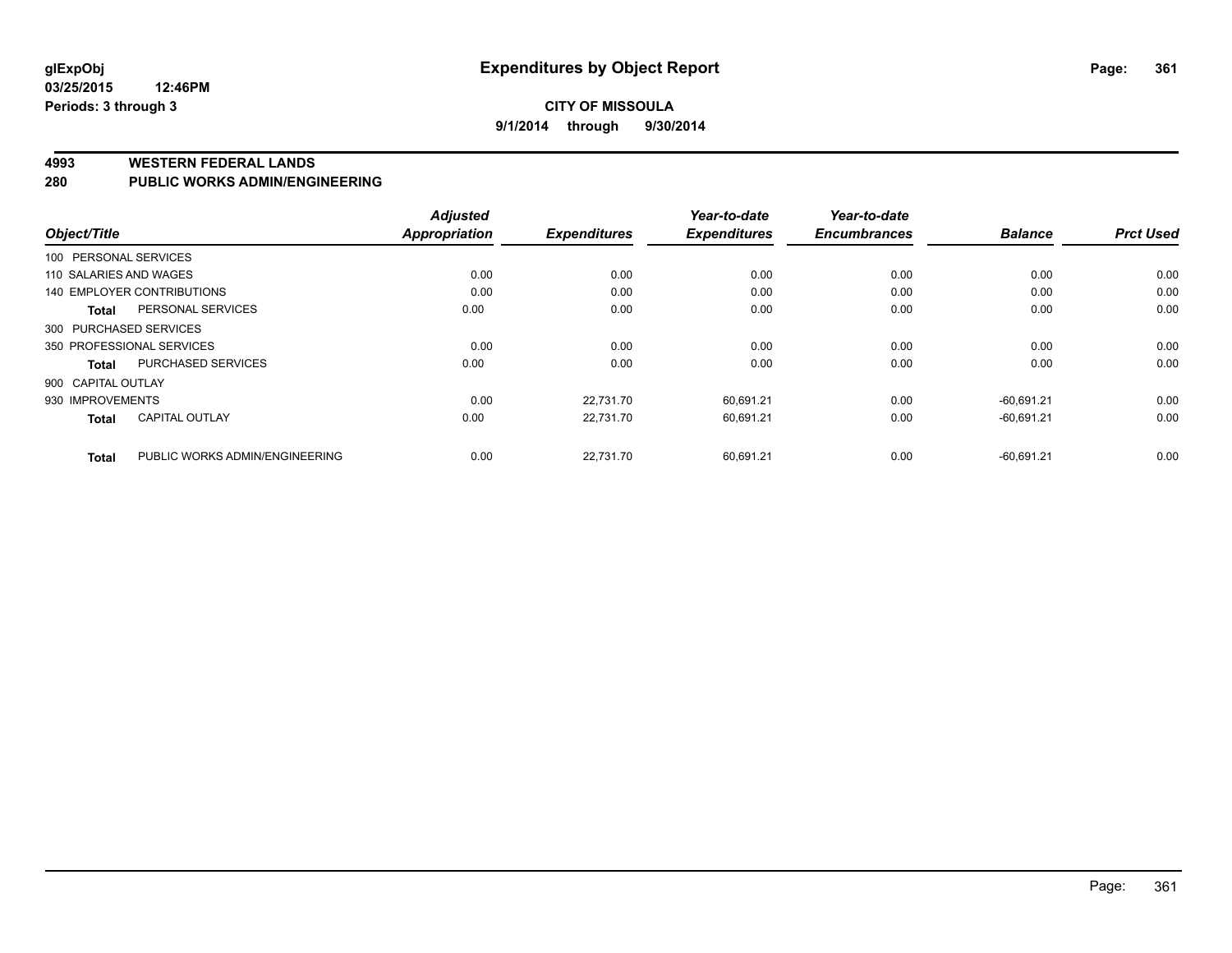#### **CITY OF MISSOULA 9/1/2014 through 9/30/2014**

#### **4993 WESTERN FEDERAL LANDS**

#### **280 PUBLIC WORKS ADMIN/ENGINEERING**

|                                       | <b>Adjusted</b>                        |                     | Year-to-date        | Year-to-date        |                |                  |
|---------------------------------------|----------------------------------------|---------------------|---------------------|---------------------|----------------|------------------|
| Object/Title                          | <b>Appropriation</b>                   | <b>Expenditures</b> | <b>Expenditures</b> | <b>Encumbrances</b> | <b>Balance</b> | <b>Prct Used</b> |
| 100 PERSONAL SERVICES                 |                                        |                     |                     |                     |                |                  |
| 110 SALARIES AND WAGES                | 0.00                                   | 0.00                | 0.00                | 0.00                | 0.00           | 0.00             |
| 140 EMPLOYER CONTRIBUTIONS            | 0.00                                   | 0.00                | 0.00                | 0.00                | 0.00           | 0.00             |
| PERSONAL SERVICES<br><b>Total</b>     | 0.00                                   | 0.00                | 0.00                | 0.00                | 0.00           | 0.00             |
| 300 PURCHASED SERVICES                |                                        |                     |                     |                     |                |                  |
| 350 PROFESSIONAL SERVICES             | 0.00                                   | 0.00                | 0.00                | 0.00                | 0.00           | 0.00             |
| PURCHASED SERVICES<br>Total           | 0.00                                   | 0.00                | 0.00                | 0.00                | 0.00           | 0.00             |
| 900 CAPITAL OUTLAY                    |                                        |                     |                     |                     |                |                  |
| 930 IMPROVEMENTS                      | 0.00                                   | 22,731.70           | 60,691.21           | 0.00                | $-60,691.21$   | 0.00             |
| <b>CAPITAL OUTLAY</b><br><b>Total</b> | 0.00                                   | 22.731.70           | 60.691.21           | 0.00                | $-60.691.21$   | 0.00             |
| <b>Total</b>                          | 0.00<br>PUBLIC WORKS ADMIN/ENGINEERING | 22.731.70           | 60.691.21           | 0.00                | $-60.691.21$   | 0.00             |
|                                       |                                        |                     |                     |                     |                |                  |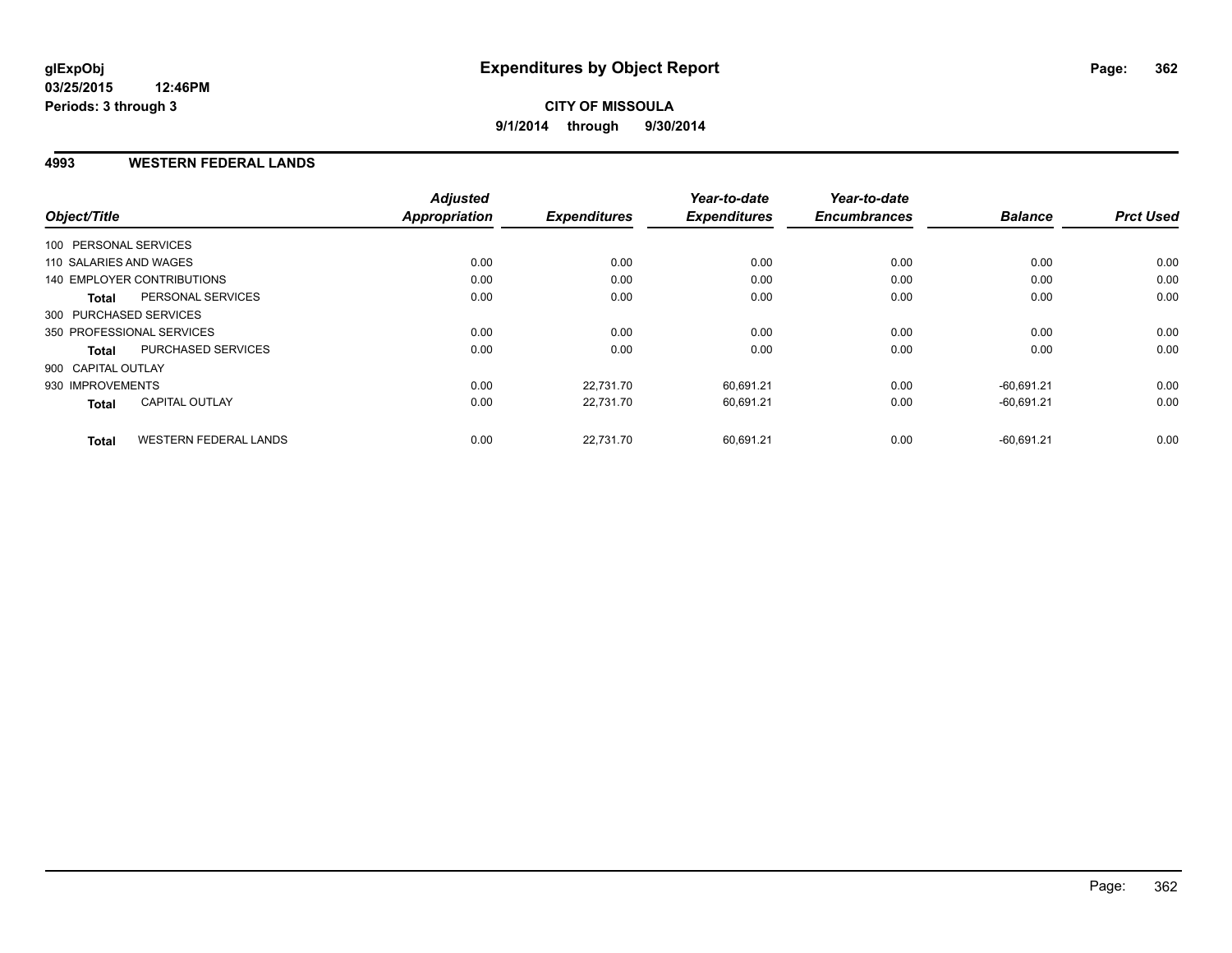#### **4993 WESTERN FEDERAL LANDS**

| Object/Title           |                              | <b>Adjusted</b><br>Appropriation | <b>Expenditures</b> | Year-to-date<br><b>Expenditures</b> | Year-to-date<br><b>Encumbrances</b> | <b>Balance</b> | <b>Prct Used</b> |
|------------------------|------------------------------|----------------------------------|---------------------|-------------------------------------|-------------------------------------|----------------|------------------|
|                        |                              |                                  |                     |                                     |                                     |                |                  |
| 100 PERSONAL SERVICES  |                              |                                  |                     |                                     |                                     |                |                  |
| 110 SALARIES AND WAGES |                              | 0.00                             | 0.00                | 0.00                                | 0.00                                | 0.00           | 0.00             |
|                        | 140 EMPLOYER CONTRIBUTIONS   | 0.00                             | 0.00                | 0.00                                | 0.00                                | 0.00           | 0.00             |
| <b>Total</b>           | PERSONAL SERVICES            | 0.00                             | 0.00                | 0.00                                | 0.00                                | 0.00           | 0.00             |
| 300 PURCHASED SERVICES |                              |                                  |                     |                                     |                                     |                |                  |
|                        | 350 PROFESSIONAL SERVICES    | 0.00                             | 0.00                | 0.00                                | 0.00                                | 0.00           | 0.00             |
| <b>Total</b>           | PURCHASED SERVICES           | 0.00                             | 0.00                | 0.00                                | 0.00                                | 0.00           | 0.00             |
| 900 CAPITAL OUTLAY     |                              |                                  |                     |                                     |                                     |                |                  |
| 930 IMPROVEMENTS       |                              | 0.00                             | 22,731.70           | 60,691.21                           | 0.00                                | $-60.691.21$   | 0.00             |
| <b>Total</b>           | <b>CAPITAL OUTLAY</b>        | 0.00                             | 22,731.70           | 60,691.21                           | 0.00                                | $-60,691.21$   | 0.00             |
| Total                  | <b>WESTERN FEDERAL LANDS</b> | 0.00                             | 22.731.70           | 60.691.21                           | 0.00                                | $-60.691.21$   | 0.00             |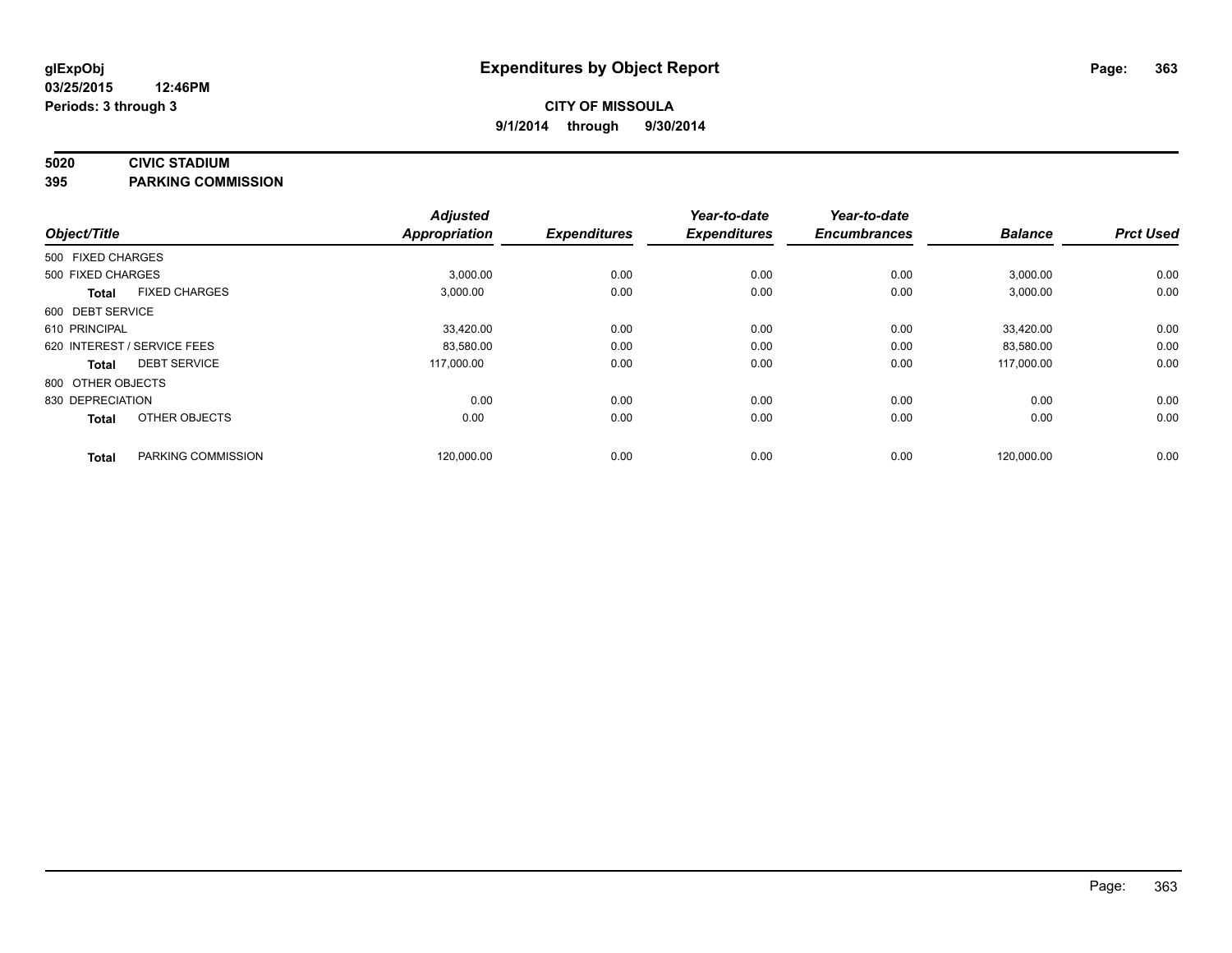### **5020 CIVIC STADIUM**

**395 PARKING COMMISSION**

| Object/Title      |                             | <b>Adjusted</b><br><b>Appropriation</b> | <b>Expenditures</b> | Year-to-date<br><b>Expenditures</b> | Year-to-date<br><b>Encumbrances</b> | <b>Balance</b> | <b>Prct Used</b> |
|-------------------|-----------------------------|-----------------------------------------|---------------------|-------------------------------------|-------------------------------------|----------------|------------------|
| 500 FIXED CHARGES |                             |                                         |                     |                                     |                                     |                |                  |
| 500 FIXED CHARGES |                             | 3,000.00                                | 0.00                | 0.00                                | 0.00                                | 3,000.00       | 0.00             |
| <b>Total</b>      | <b>FIXED CHARGES</b>        | 3,000.00                                | 0.00                | 0.00                                | 0.00                                | 3,000.00       | 0.00             |
| 600 DEBT SERVICE  |                             |                                         |                     |                                     |                                     |                |                  |
| 610 PRINCIPAL     |                             | 33,420.00                               | 0.00                | 0.00                                | 0.00                                | 33,420.00      | 0.00             |
|                   | 620 INTEREST / SERVICE FEES | 83,580.00                               | 0.00                | 0.00                                | 0.00                                | 83,580.00      | 0.00             |
| <b>Total</b>      | <b>DEBT SERVICE</b>         | 117,000.00                              | 0.00                | 0.00                                | 0.00                                | 117.000.00     | 0.00             |
| 800 OTHER OBJECTS |                             |                                         |                     |                                     |                                     |                |                  |
| 830 DEPRECIATION  |                             | 0.00                                    | 0.00                | 0.00                                | 0.00                                | 0.00           | 0.00             |
| <b>Total</b>      | OTHER OBJECTS               | 0.00                                    | 0.00                | 0.00                                | 0.00                                | 0.00           | 0.00             |
| <b>Total</b>      | PARKING COMMISSION          | 120,000.00                              | 0.00                | 0.00                                | 0.00                                | 120,000.00     | 0.00             |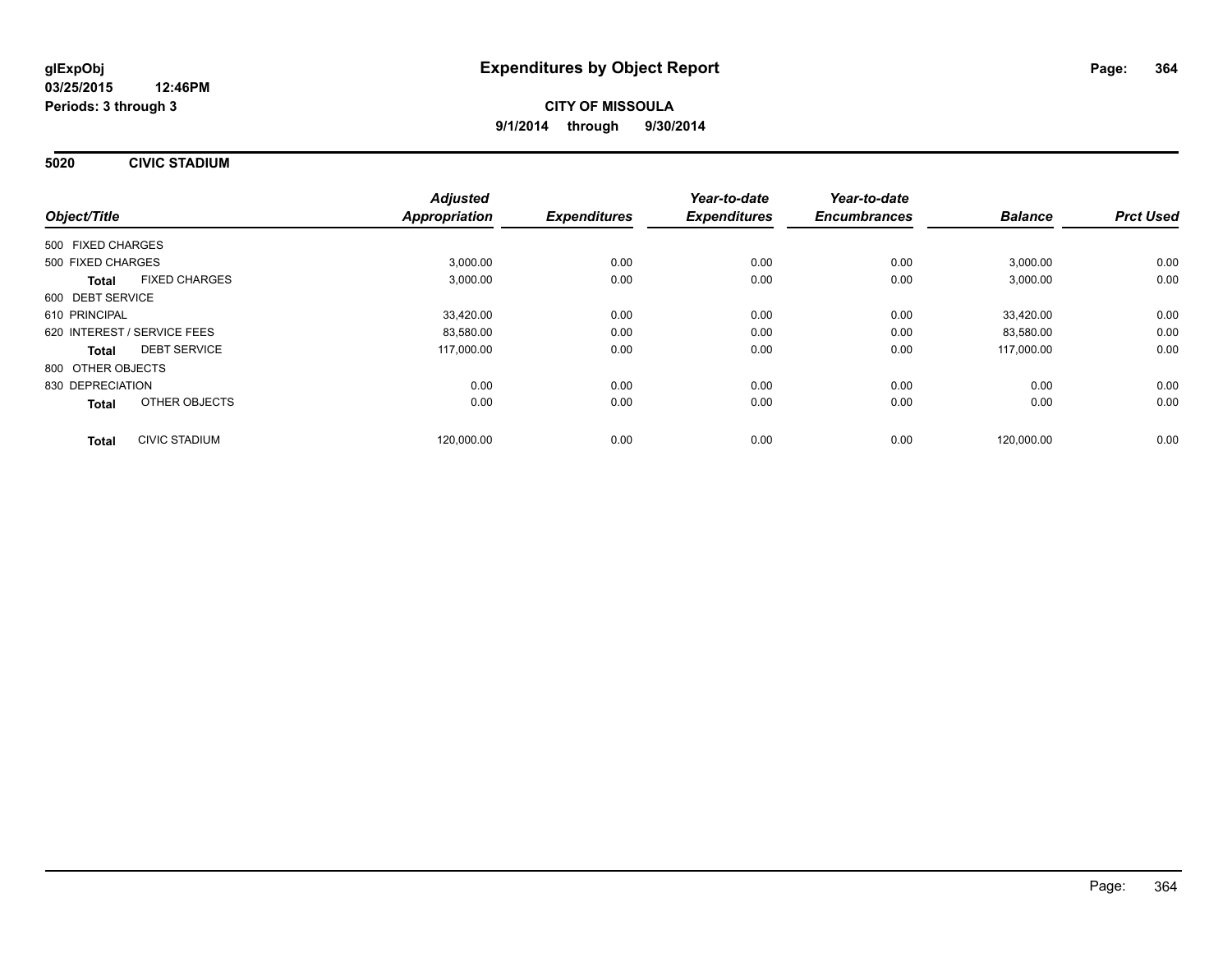**5020 CIVIC STADIUM**

|                             |                      | <b>Adjusted</b>      |                     | Year-to-date        | Year-to-date        |                |                  |
|-----------------------------|----------------------|----------------------|---------------------|---------------------|---------------------|----------------|------------------|
| Object/Title                |                      | <b>Appropriation</b> | <b>Expenditures</b> | <b>Expenditures</b> | <b>Encumbrances</b> | <b>Balance</b> | <b>Prct Used</b> |
| 500 FIXED CHARGES           |                      |                      |                     |                     |                     |                |                  |
| 500 FIXED CHARGES           |                      | 3,000.00             | 0.00                | 0.00                | 0.00                | 3,000.00       | 0.00             |
| <b>Total</b>                | <b>FIXED CHARGES</b> | 3,000.00             | 0.00                | 0.00                | 0.00                | 3,000.00       | 0.00             |
| 600 DEBT SERVICE            |                      |                      |                     |                     |                     |                |                  |
| 610 PRINCIPAL               |                      | 33,420.00            | 0.00                | 0.00                | 0.00                | 33,420.00      | 0.00             |
| 620 INTEREST / SERVICE FEES |                      | 83,580.00            | 0.00                | 0.00                | 0.00                | 83,580.00      | 0.00             |
| <b>Total</b>                | <b>DEBT SERVICE</b>  | 117,000.00           | 0.00                | 0.00                | 0.00                | 117,000.00     | 0.00             |
| 800 OTHER OBJECTS           |                      |                      |                     |                     |                     |                |                  |
| 830 DEPRECIATION            |                      | 0.00                 | 0.00                | 0.00                | 0.00                | 0.00           | 0.00             |
| Total                       | OTHER OBJECTS        | 0.00                 | 0.00                | 0.00                | 0.00                | 0.00           | 0.00             |
| <b>Total</b>                | <b>CIVIC STADIUM</b> | 120.000.00           | 0.00                | 0.00                | 0.00                | 120.000.00     | 0.00             |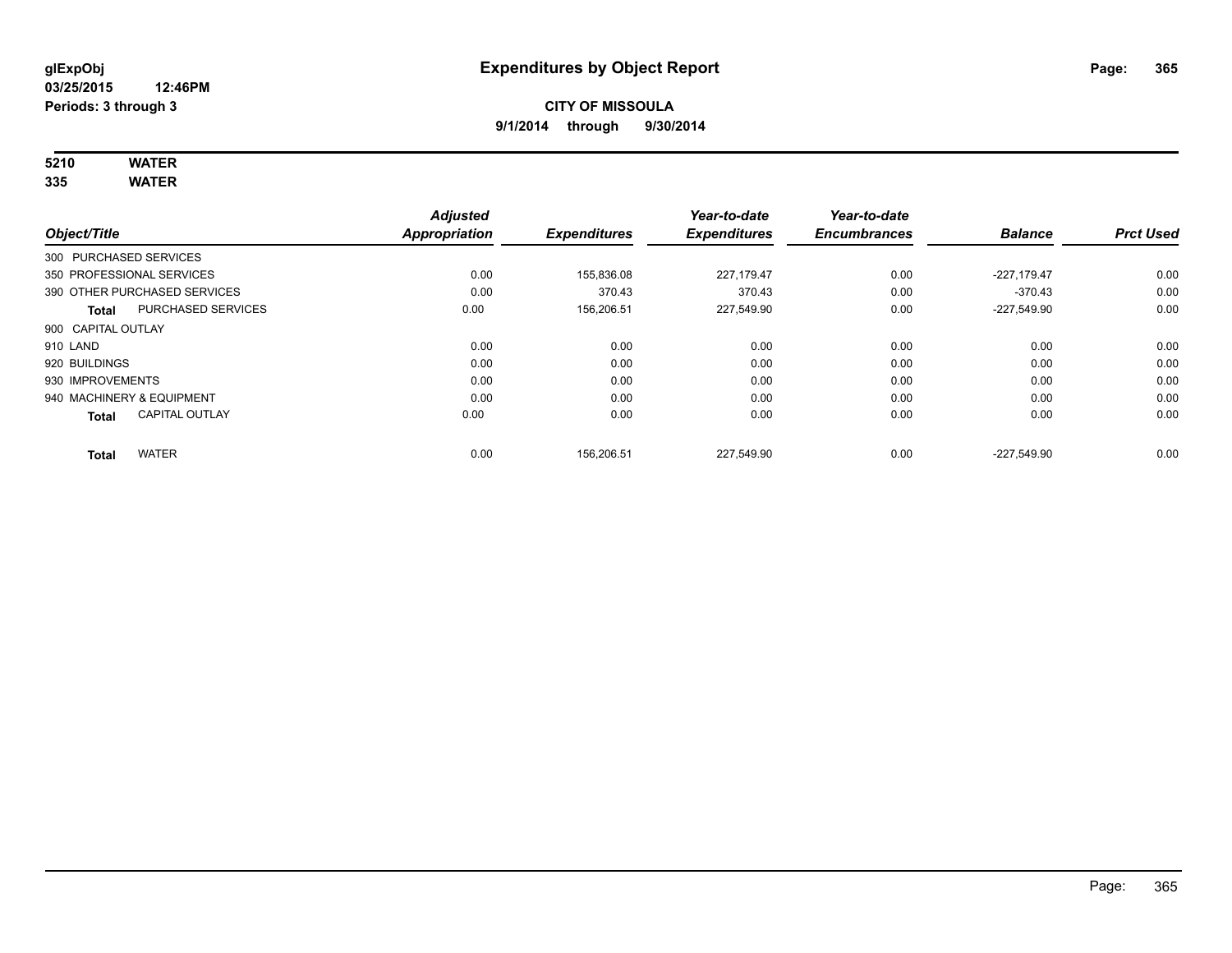# **5210 WATER**

**335 WATER**

|                                           | <b>Adjusted</b>      |                     | Year-to-date        | Year-to-date        |                |                  |
|-------------------------------------------|----------------------|---------------------|---------------------|---------------------|----------------|------------------|
| Object/Title                              | <b>Appropriation</b> | <b>Expenditures</b> | <b>Expenditures</b> | <b>Encumbrances</b> | <b>Balance</b> | <b>Prct Used</b> |
| 300 PURCHASED SERVICES                    |                      |                     |                     |                     |                |                  |
| 350 PROFESSIONAL SERVICES                 | 0.00                 | 155,836.08          | 227.179.47          | 0.00                | $-227.179.47$  | 0.00             |
| 390 OTHER PURCHASED SERVICES              | 0.00                 | 370.43              | 370.43              | 0.00                | $-370.43$      | 0.00             |
| <b>PURCHASED SERVICES</b><br><b>Total</b> | 0.00                 | 156.206.51          | 227,549.90          | 0.00                | $-227,549.90$  | 0.00             |
| 900 CAPITAL OUTLAY                        |                      |                     |                     |                     |                |                  |
| 910 LAND                                  | 0.00                 | 0.00                | 0.00                | 0.00                | 0.00           | 0.00             |
| 920 BUILDINGS                             | 0.00                 | 0.00                | 0.00                | 0.00                | 0.00           | 0.00             |
| 930 IMPROVEMENTS                          | 0.00                 | 0.00                | 0.00                | 0.00                | 0.00           | 0.00             |
| 940 MACHINERY & EQUIPMENT                 | 0.00                 | 0.00                | 0.00                | 0.00                | 0.00           | 0.00             |
| <b>CAPITAL OUTLAY</b><br><b>Total</b>     | 0.00                 | 0.00                | 0.00                | 0.00                | 0.00           | 0.00             |
| <b>WATER</b><br><b>Total</b>              | 0.00                 | 156.206.51          | 227.549.90          | 0.00                | $-227.549.90$  | 0.00             |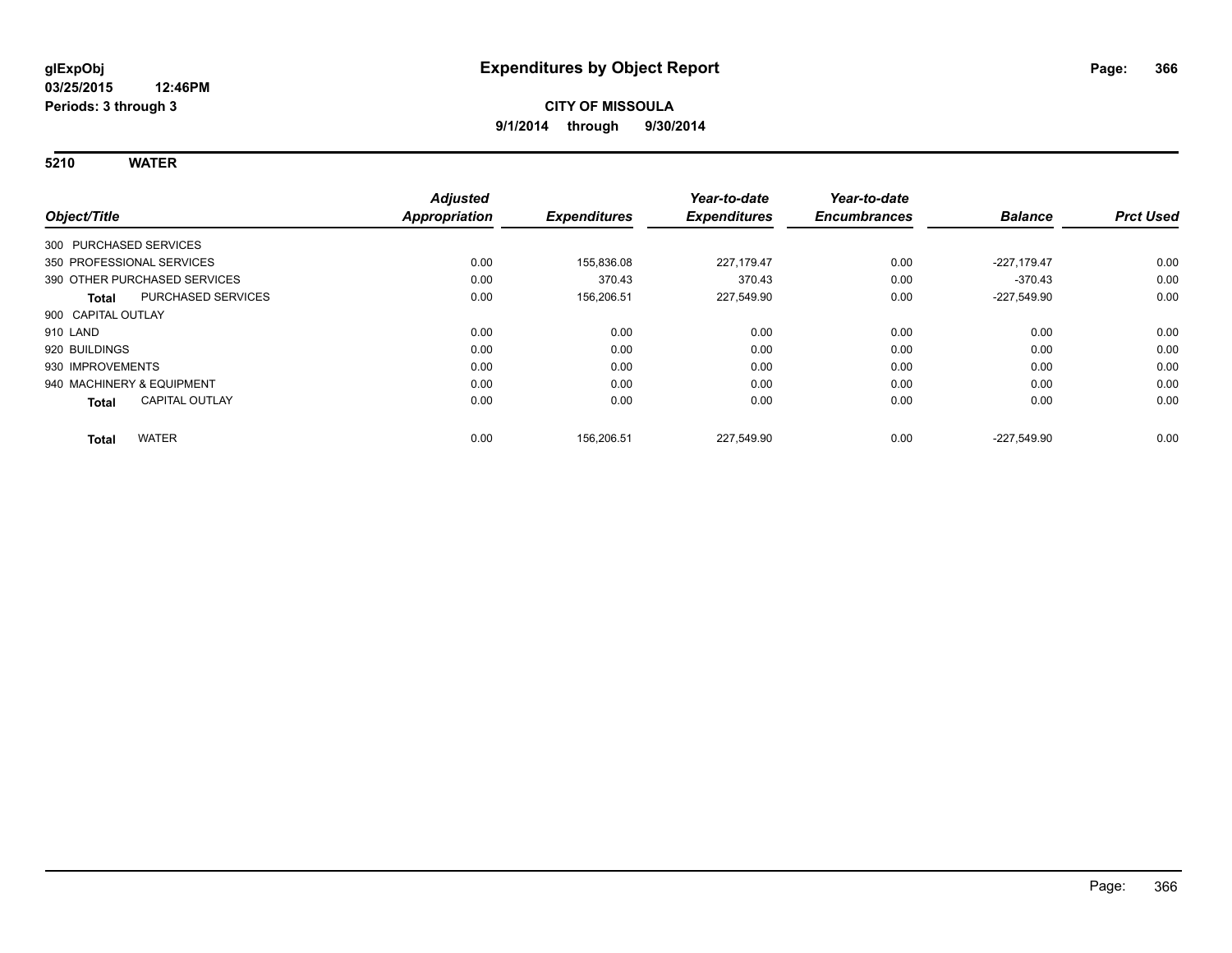**5210 WATER**

|                                       | <b>Adjusted</b> |                     | Year-to-date        | Year-to-date        |                |                  |
|---------------------------------------|-----------------|---------------------|---------------------|---------------------|----------------|------------------|
| Object/Title                          | Appropriation   | <b>Expenditures</b> | <b>Expenditures</b> | <b>Encumbrances</b> | <b>Balance</b> | <b>Prct Used</b> |
| 300 PURCHASED SERVICES                |                 |                     |                     |                     |                |                  |
| 350 PROFESSIONAL SERVICES             | 0.00            | 155.836.08          | 227.179.47          | 0.00                | $-227.179.47$  | 0.00             |
| 390 OTHER PURCHASED SERVICES          | 0.00            | 370.43              | 370.43              | 0.00                | $-370.43$      | 0.00             |
| PURCHASED SERVICES<br>Total           | 0.00            | 156,206.51          | 227,549.90          | 0.00                | $-227,549.90$  | 0.00             |
| 900 CAPITAL OUTLAY                    |                 |                     |                     |                     |                |                  |
| 910 LAND                              | 0.00            | 0.00                | 0.00                | 0.00                | 0.00           | 0.00             |
| 920 BUILDINGS                         | 0.00            | 0.00                | 0.00                | 0.00                | 0.00           | 0.00             |
| 930 IMPROVEMENTS                      | 0.00            | 0.00                | 0.00                | 0.00                | 0.00           | 0.00             |
| 940 MACHINERY & EQUIPMENT             | 0.00            | 0.00                | 0.00                | 0.00                | 0.00           | 0.00             |
| <b>CAPITAL OUTLAY</b><br><b>Total</b> | 0.00            | 0.00                | 0.00                | 0.00                | 0.00           | 0.00             |
| <b>WATER</b><br><b>Total</b>          | 0.00            | 156,206.51          | 227,549.90          | 0.00                | $-227.549.90$  | 0.00             |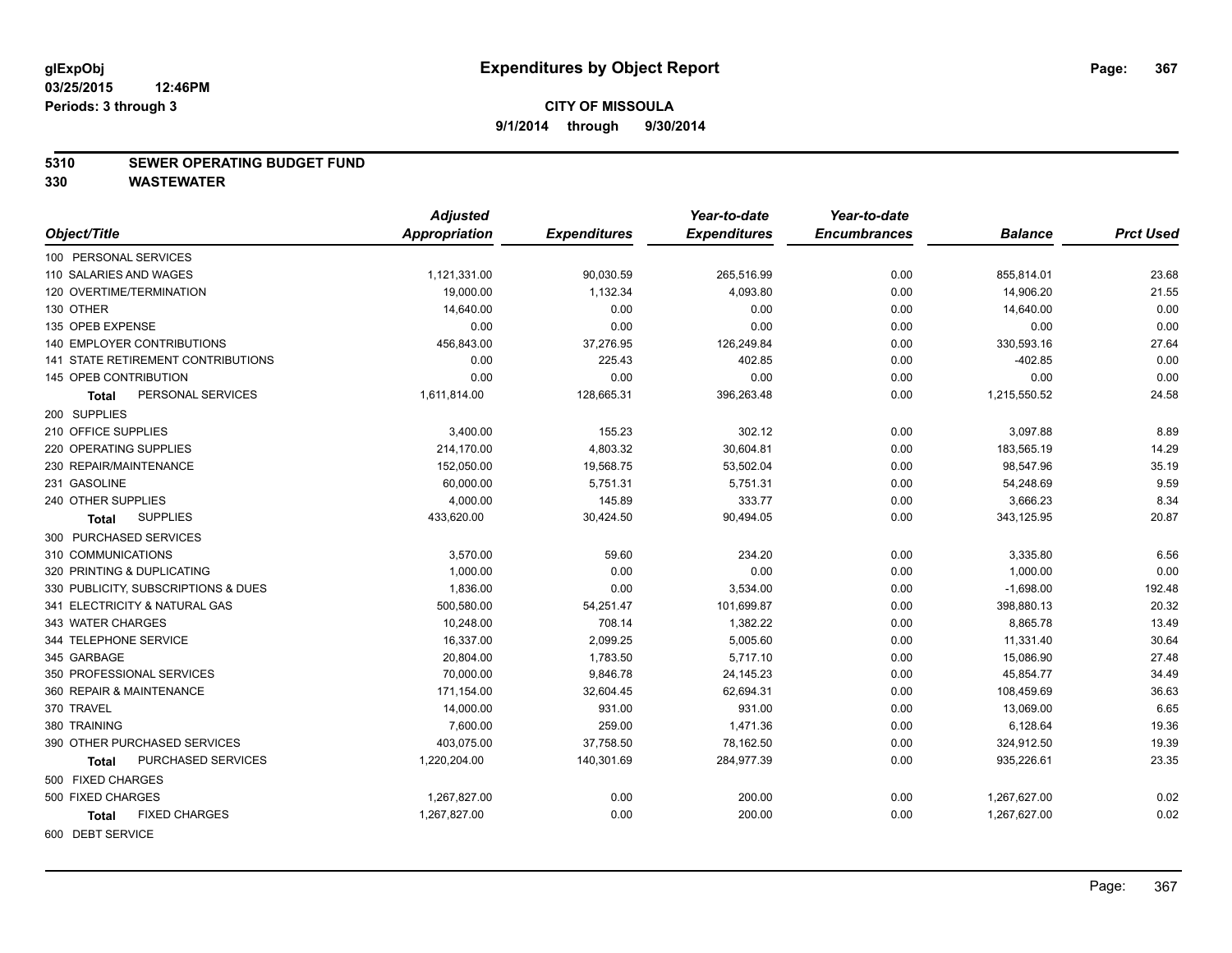#### **5310 SEWER OPERATING BUDGET FUND**

|                                           | <b>Adjusted</b>      |                     | Year-to-date        | Year-to-date        |                |                  |
|-------------------------------------------|----------------------|---------------------|---------------------|---------------------|----------------|------------------|
| Object/Title                              | <b>Appropriation</b> | <b>Expenditures</b> | <b>Expenditures</b> | <b>Encumbrances</b> | <b>Balance</b> | <b>Prct Used</b> |
| 100 PERSONAL SERVICES                     |                      |                     |                     |                     |                |                  |
| 110 SALARIES AND WAGES                    | 1,121,331.00         | 90,030.59           | 265,516.99          | 0.00                | 855,814.01     | 23.68            |
| 120 OVERTIME/TERMINATION                  | 19,000.00            | 1,132.34            | 4,093.80            | 0.00                | 14,906.20      | 21.55            |
| 130 OTHER                                 | 14,640.00            | 0.00                | 0.00                | 0.00                | 14,640.00      | 0.00             |
| 135 OPEB EXPENSE                          | 0.00                 | 0.00                | 0.00                | 0.00                | 0.00           | 0.00             |
| <b>140 EMPLOYER CONTRIBUTIONS</b>         | 456,843.00           | 37,276.95           | 126,249.84          | 0.00                | 330,593.16     | 27.64            |
| <b>141 STATE RETIREMENT CONTRIBUTIONS</b> | 0.00                 | 225.43              | 402.85              | 0.00                | $-402.85$      | 0.00             |
| 145 OPEB CONTRIBUTION                     | 0.00                 | 0.00                | 0.00                | 0.00                | 0.00           | 0.00             |
| PERSONAL SERVICES<br>Total                | 1,611,814.00         | 128,665.31          | 396,263.48          | 0.00                | 1,215,550.52   | 24.58            |
| 200 SUPPLIES                              |                      |                     |                     |                     |                |                  |
| 210 OFFICE SUPPLIES                       | 3,400.00             | 155.23              | 302.12              | 0.00                | 3,097.88       | 8.89             |
| 220 OPERATING SUPPLIES                    | 214,170.00           | 4,803.32            | 30,604.81           | 0.00                | 183,565.19     | 14.29            |
| 230 REPAIR/MAINTENANCE                    | 152,050.00           | 19,568.75           | 53,502.04           | 0.00                | 98,547.96      | 35.19            |
| 231 GASOLINE                              | 60,000.00            | 5,751.31            | 5,751.31            | 0.00                | 54,248.69      | 9.59             |
| 240 OTHER SUPPLIES                        | 4,000.00             | 145.89              | 333.77              | 0.00                | 3,666.23       | 8.34             |
| <b>SUPPLIES</b><br><b>Total</b>           | 433,620.00           | 30,424.50           | 90,494.05           | 0.00                | 343,125.95     | 20.87            |
| 300 PURCHASED SERVICES                    |                      |                     |                     |                     |                |                  |
| 310 COMMUNICATIONS                        | 3,570.00             | 59.60               | 234.20              | 0.00                | 3,335.80       | 6.56             |
| 320 PRINTING & DUPLICATING                | 1,000.00             | 0.00                | 0.00                | 0.00                | 1,000.00       | 0.00             |
| 330 PUBLICITY, SUBSCRIPTIONS & DUES       | 1,836.00             | 0.00                | 3,534.00            | 0.00                | $-1,698.00$    | 192.48           |
| 341 ELECTRICITY & NATURAL GAS             | 500,580.00           | 54,251.47           | 101,699.87          | 0.00                | 398,880.13     | 20.32            |
| 343 WATER CHARGES                         | 10,248.00            | 708.14              | 1,382.22            | 0.00                | 8,865.78       | 13.49            |
| 344 TELEPHONE SERVICE                     | 16,337.00            | 2,099.25            | 5,005.60            | 0.00                | 11,331.40      | 30.64            |
| 345 GARBAGE                               | 20,804.00            | 1,783.50            | 5,717.10            | 0.00                | 15,086.90      | 27.48            |
| 350 PROFESSIONAL SERVICES                 | 70,000.00            | 9,846.78            | 24,145.23           | 0.00                | 45,854.77      | 34.49            |
| 360 REPAIR & MAINTENANCE                  | 171,154.00           | 32,604.45           | 62,694.31           | 0.00                | 108,459.69     | 36.63            |
| 370 TRAVEL                                | 14,000.00            | 931.00              | 931.00              | 0.00                | 13,069.00      | 6.65             |
| 380 TRAINING                              | 7,600.00             | 259.00              | 1,471.36            | 0.00                | 6,128.64       | 19.36            |
| 390 OTHER PURCHASED SERVICES              | 403,075.00           | 37,758.50           | 78,162.50           | 0.00                | 324,912.50     | 19.39            |
| PURCHASED SERVICES<br>Total               | 1,220,204.00         | 140,301.69          | 284,977.39          | 0.00                | 935,226.61     | 23.35            |
| 500 FIXED CHARGES                         |                      |                     |                     |                     |                |                  |
| 500 FIXED CHARGES                         | 1,267,827.00         | 0.00                | 200.00              | 0.00                | 1,267,627.00   | 0.02             |
| <b>FIXED CHARGES</b><br><b>Total</b>      | 1,267,827.00         | 0.00                | 200.00              | 0.00                | 1,267,627.00   | 0.02             |
| 600 DEBT SERVICE                          |                      |                     |                     |                     |                |                  |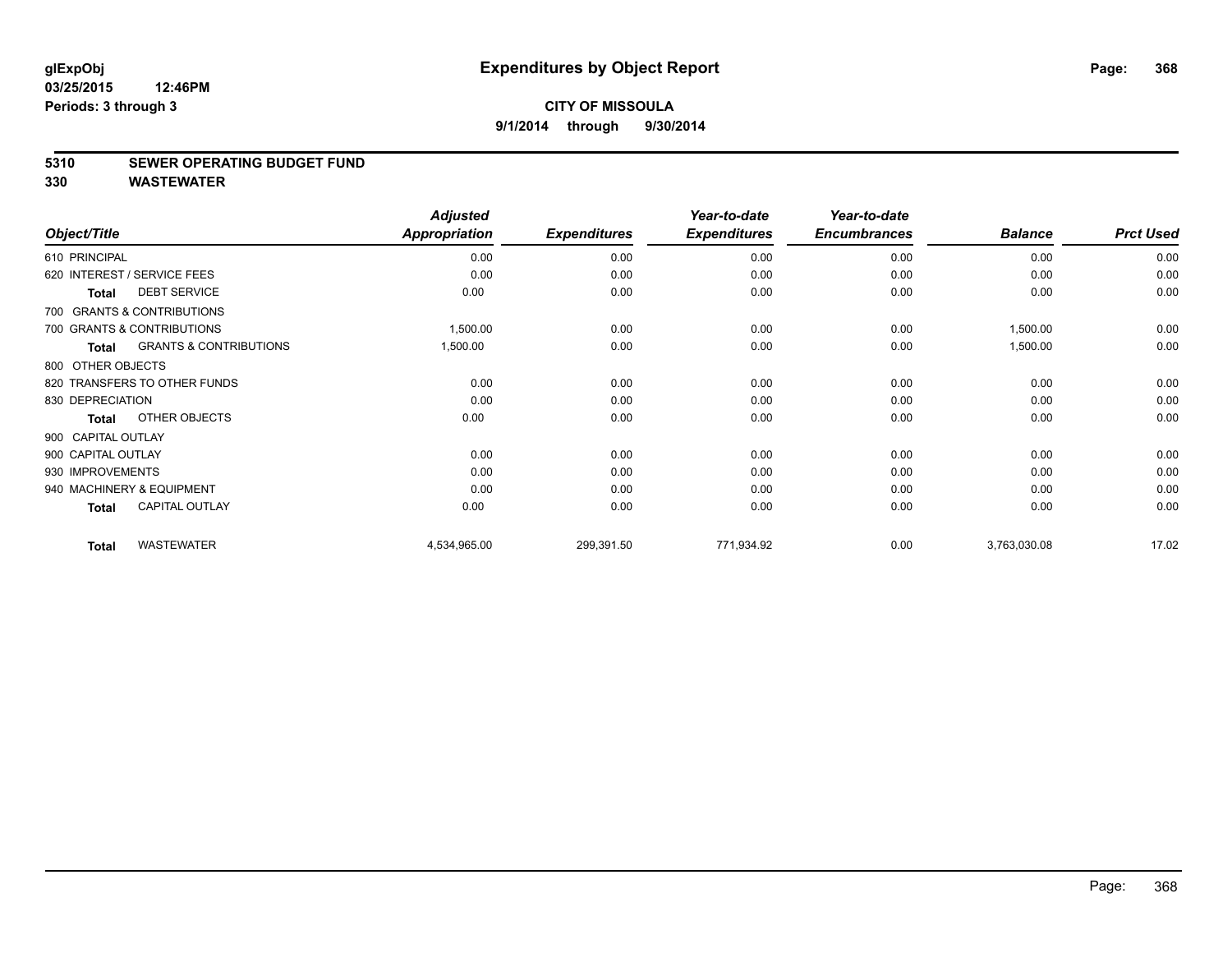#### **5310 SEWER OPERATING BUDGET FUND**

|                    |                                   | <b>Adjusted</b>      |                     | Year-to-date        | Year-to-date        |                |                  |
|--------------------|-----------------------------------|----------------------|---------------------|---------------------|---------------------|----------------|------------------|
| Object/Title       |                                   | <b>Appropriation</b> | <b>Expenditures</b> | <b>Expenditures</b> | <b>Encumbrances</b> | <b>Balance</b> | <b>Prct Used</b> |
| 610 PRINCIPAL      |                                   | 0.00                 | 0.00                | 0.00                | 0.00                | 0.00           | 0.00             |
|                    | 620 INTEREST / SERVICE FEES       | 0.00                 | 0.00                | 0.00                | 0.00                | 0.00           | 0.00             |
| <b>Total</b>       | <b>DEBT SERVICE</b>               | 0.00                 | 0.00                | 0.00                | 0.00                | 0.00           | 0.00             |
|                    | 700 GRANTS & CONTRIBUTIONS        |                      |                     |                     |                     |                |                  |
|                    | 700 GRANTS & CONTRIBUTIONS        | 1,500.00             | 0.00                | 0.00                | 0.00                | 1,500.00       | 0.00             |
| Total              | <b>GRANTS &amp; CONTRIBUTIONS</b> | 1,500.00             | 0.00                | 0.00                | 0.00                | 1,500.00       | 0.00             |
| 800 OTHER OBJECTS  |                                   |                      |                     |                     |                     |                |                  |
|                    | 820 TRANSFERS TO OTHER FUNDS      | 0.00                 | 0.00                | 0.00                | 0.00                | 0.00           | 0.00             |
| 830 DEPRECIATION   |                                   | 0.00                 | 0.00                | 0.00                | 0.00                | 0.00           | 0.00             |
| Total              | OTHER OBJECTS                     | 0.00                 | 0.00                | 0.00                | 0.00                | 0.00           | 0.00             |
| 900 CAPITAL OUTLAY |                                   |                      |                     |                     |                     |                |                  |
| 900 CAPITAL OUTLAY |                                   | 0.00                 | 0.00                | 0.00                | 0.00                | 0.00           | 0.00             |
| 930 IMPROVEMENTS   |                                   | 0.00                 | 0.00                | 0.00                | 0.00                | 0.00           | 0.00             |
|                    | 940 MACHINERY & EQUIPMENT         | 0.00                 | 0.00                | 0.00                | 0.00                | 0.00           | 0.00             |
| <b>Total</b>       | <b>CAPITAL OUTLAY</b>             | 0.00                 | 0.00                | 0.00                | 0.00                | 0.00           | 0.00             |
| <b>Total</b>       | <b>WASTEWATER</b>                 | 4,534,965.00         | 299,391.50          | 771,934.92          | 0.00                | 3,763,030.08   | 17.02            |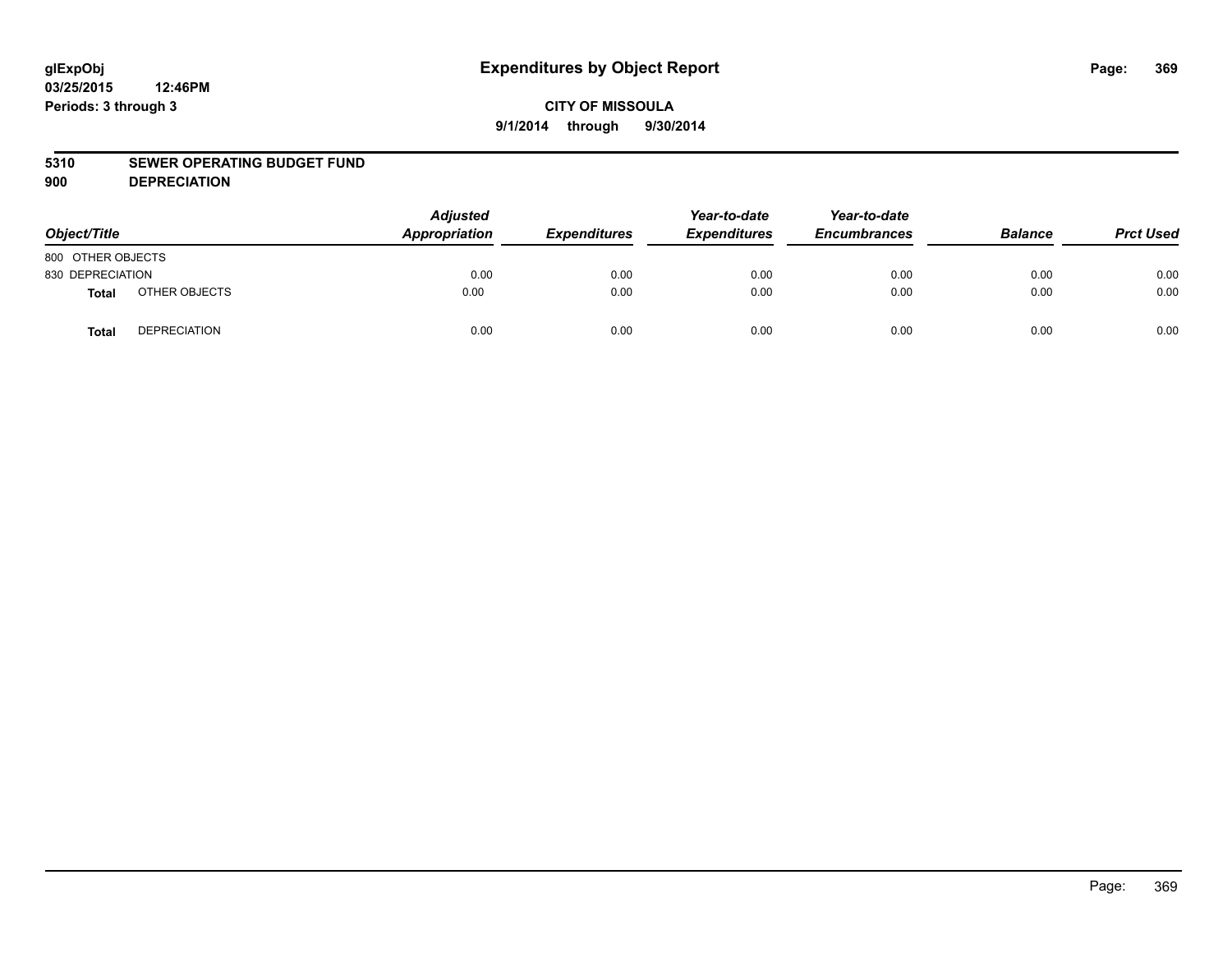#### **5310 SEWER OPERATING BUDGET FUND**

**900 DEPRECIATION**

| Object/Title      |                     | <b>Adjusted</b><br>Appropriation | <b>Expenditures</b> | Year-to-date<br><b>Expenditures</b> | Year-to-date<br><b>Encumbrances</b> | <b>Balance</b> | <b>Prct Used</b> |
|-------------------|---------------------|----------------------------------|---------------------|-------------------------------------|-------------------------------------|----------------|------------------|
| 800 OTHER OBJECTS |                     |                                  |                     |                                     |                                     |                |                  |
| 830 DEPRECIATION  |                     | 0.00                             | 0.00                | 0.00                                | 0.00                                | 0.00           | 0.00             |
| <b>Total</b>      | OTHER OBJECTS       | 0.00                             | 0.00                | 0.00                                | 0.00                                | 0.00           | 0.00             |
| <b>Total</b>      | <b>DEPRECIATION</b> | 0.00                             | 0.00                | 0.00                                | 0.00                                | 0.00           | 0.00             |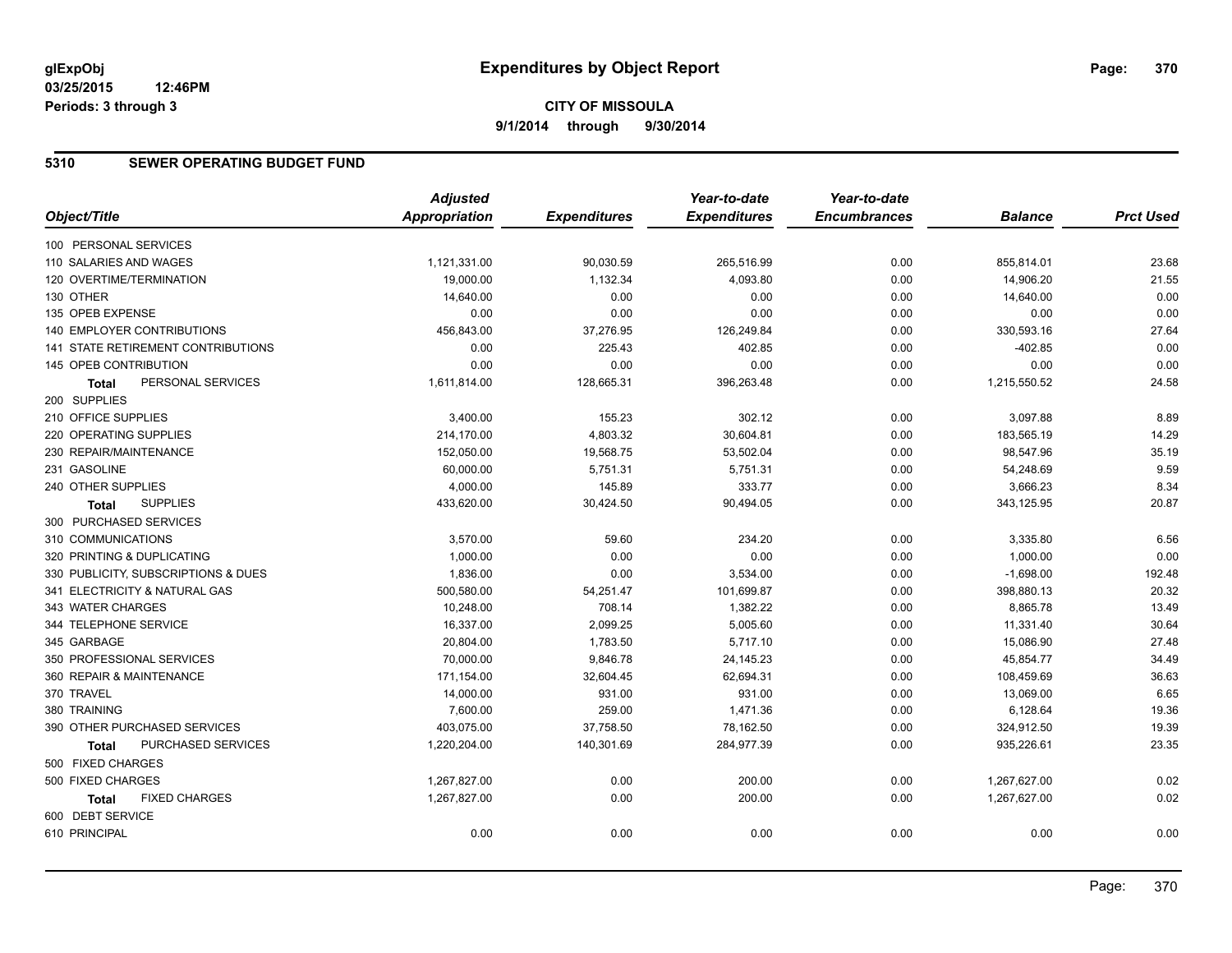# **CITY OF MISSOULA 9/1/2014 through 9/30/2014**

#### **5310 SEWER OPERATING BUDGET FUND**

|                                      | <b>Adjusted</b>      |                     | Year-to-date        | Year-to-date        |                |                  |
|--------------------------------------|----------------------|---------------------|---------------------|---------------------|----------------|------------------|
| Object/Title                         | <b>Appropriation</b> | <b>Expenditures</b> | <b>Expenditures</b> | <b>Encumbrances</b> | <b>Balance</b> | <b>Prct Used</b> |
| 100 PERSONAL SERVICES                |                      |                     |                     |                     |                |                  |
| 110 SALARIES AND WAGES               | 1,121,331.00         | 90,030.59           | 265,516.99          | 0.00                | 855,814.01     | 23.68            |
| 120 OVERTIME/TERMINATION             | 19,000.00            | 1,132.34            | 4,093.80            | 0.00                | 14,906.20      | 21.55            |
| 130 OTHER                            | 14,640.00            | 0.00                | 0.00                | 0.00                | 14,640.00      | 0.00             |
| 135 OPEB EXPENSE                     | 0.00                 | 0.00                | 0.00                | 0.00                | 0.00           | 0.00             |
| 140 EMPLOYER CONTRIBUTIONS           | 456,843.00           | 37,276.95           | 126,249.84          | 0.00                | 330,593.16     | 27.64            |
| 141 STATE RETIREMENT CONTRIBUTIONS   | 0.00                 | 225.43              | 402.85              | 0.00                | $-402.85$      | 0.00             |
| <b>145 OPEB CONTRIBUTION</b>         | 0.00                 | 0.00                | 0.00                | 0.00                | 0.00           | 0.00             |
| PERSONAL SERVICES<br><b>Total</b>    | 1,611,814.00         | 128,665.31          | 396,263.48          | 0.00                | 1,215,550.52   | 24.58            |
| 200 SUPPLIES                         |                      |                     |                     |                     |                |                  |
| 210 OFFICE SUPPLIES                  | 3,400.00             | 155.23              | 302.12              | 0.00                | 3,097.88       | 8.89             |
| 220 OPERATING SUPPLIES               | 214,170.00           | 4,803.32            | 30,604.81           | 0.00                | 183,565.19     | 14.29            |
| 230 REPAIR/MAINTENANCE               | 152,050.00           | 19,568.75           | 53,502.04           | 0.00                | 98,547.96      | 35.19            |
| 231 GASOLINE                         | 60,000.00            | 5,751.31            | 5,751.31            | 0.00                | 54,248.69      | 9.59             |
| 240 OTHER SUPPLIES                   | 4,000.00             | 145.89              | 333.77              | 0.00                | 3,666.23       | 8.34             |
| <b>SUPPLIES</b><br><b>Total</b>      | 433,620.00           | 30,424.50           | 90,494.05           | 0.00                | 343,125.95     | 20.87            |
| 300 PURCHASED SERVICES               |                      |                     |                     |                     |                |                  |
| 310 COMMUNICATIONS                   | 3,570.00             | 59.60               | 234.20              | 0.00                | 3,335.80       | 6.56             |
| 320 PRINTING & DUPLICATING           | 1,000.00             | 0.00                | 0.00                | 0.00                | 1,000.00       | 0.00             |
| 330 PUBLICITY, SUBSCRIPTIONS & DUES  | 1,836.00             | 0.00                | 3,534.00            | 0.00                | $-1,698.00$    | 192.48           |
| 341 ELECTRICITY & NATURAL GAS        | 500,580.00           | 54,251.47           | 101,699.87          | 0.00                | 398,880.13     | 20.32            |
| 343 WATER CHARGES                    | 10,248.00            | 708.14              | 1,382.22            | 0.00                | 8,865.78       | 13.49            |
| 344 TELEPHONE SERVICE                | 16,337.00            | 2,099.25            | 5,005.60            | 0.00                | 11,331.40      | 30.64            |
| 345 GARBAGE                          | 20,804.00            | 1,783.50            | 5,717.10            | 0.00                | 15,086.90      | 27.48            |
| 350 PROFESSIONAL SERVICES            | 70,000.00            | 9,846.78            | 24,145.23           | 0.00                | 45,854.77      | 34.49            |
| 360 REPAIR & MAINTENANCE             | 171,154.00           | 32,604.45           | 62,694.31           | 0.00                | 108,459.69     | 36.63            |
| 370 TRAVEL                           | 14,000.00            | 931.00              | 931.00              | 0.00                | 13,069.00      | 6.65             |
| 380 TRAINING                         | 7,600.00             | 259.00              | 1,471.36            | 0.00                | 6,128.64       | 19.36            |
| 390 OTHER PURCHASED SERVICES         | 403,075.00           | 37,758.50           | 78,162.50           | 0.00                | 324,912.50     | 19.39            |
| PURCHASED SERVICES<br><b>Total</b>   | 1,220,204.00         | 140,301.69          | 284,977.39          | 0.00                | 935,226.61     | 23.35            |
| 500 FIXED CHARGES                    |                      |                     |                     |                     |                |                  |
| 500 FIXED CHARGES                    | 1,267,827.00         | 0.00                | 200.00              | 0.00                | 1,267,627.00   | 0.02             |
| <b>FIXED CHARGES</b><br><b>Total</b> | 1,267,827.00         | 0.00                | 200.00              | 0.00                | 1,267,627.00   | 0.02             |
| 600 DEBT SERVICE                     |                      |                     |                     |                     |                |                  |
| 610 PRINCIPAL                        | 0.00                 | 0.00                | 0.00                | 0.00                | 0.00           | 0.00             |
|                                      |                      |                     |                     |                     |                |                  |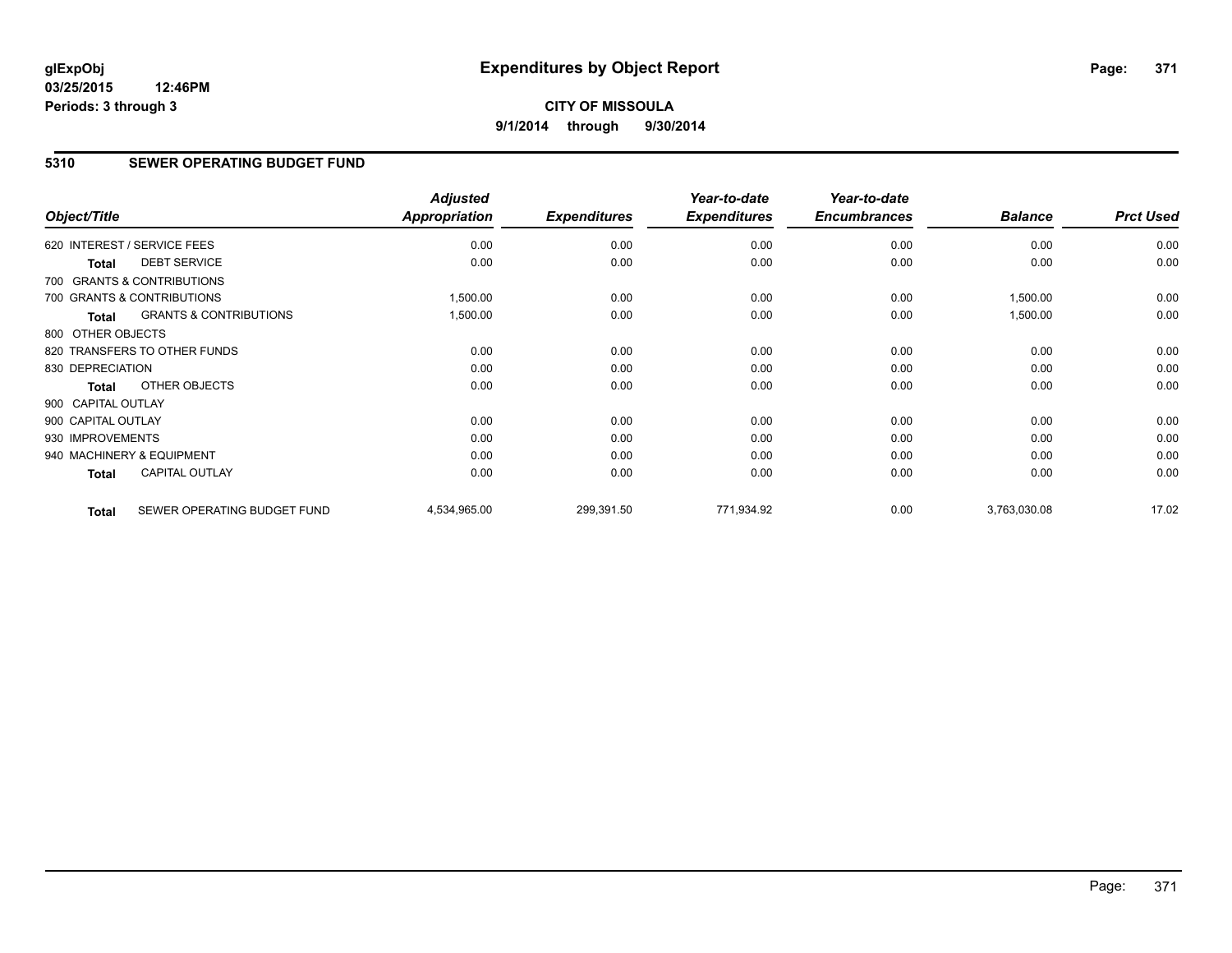# **CITY OF MISSOULA 9/1/2014 through 9/30/2014**

#### **5310 SEWER OPERATING BUDGET FUND**

| Object/Title       |                                   | <b>Adjusted</b><br><b>Appropriation</b> | <b>Expenditures</b> | Year-to-date<br><b>Expenditures</b> | Year-to-date<br><b>Encumbrances</b> | <b>Balance</b> | <b>Prct Used</b> |
|--------------------|-----------------------------------|-----------------------------------------|---------------------|-------------------------------------|-------------------------------------|----------------|------------------|
|                    | 620 INTEREST / SERVICE FEES       | 0.00                                    | 0.00                | 0.00                                | 0.00                                | 0.00           | 0.00             |
| <b>Total</b>       | <b>DEBT SERVICE</b>               | 0.00                                    | 0.00                | 0.00                                | 0.00                                | 0.00           | 0.00             |
|                    | 700 GRANTS & CONTRIBUTIONS        |                                         |                     |                                     |                                     |                |                  |
|                    | 700 GRANTS & CONTRIBUTIONS        | 1,500.00                                | 0.00                | 0.00                                | 0.00                                | 1,500.00       | 0.00             |
| <b>Total</b>       | <b>GRANTS &amp; CONTRIBUTIONS</b> | 1,500.00                                | 0.00                | 0.00                                | 0.00                                | 1,500.00       | 0.00             |
| 800 OTHER OBJECTS  |                                   |                                         |                     |                                     |                                     |                |                  |
|                    | 820 TRANSFERS TO OTHER FUNDS      | 0.00                                    | 0.00                | 0.00                                | 0.00                                | 0.00           | 0.00             |
| 830 DEPRECIATION   |                                   | 0.00                                    | 0.00                | 0.00                                | 0.00                                | 0.00           | 0.00             |
| <b>Total</b>       | OTHER OBJECTS                     | 0.00                                    | 0.00                | 0.00                                | 0.00                                | 0.00           | 0.00             |
| 900 CAPITAL OUTLAY |                                   |                                         |                     |                                     |                                     |                |                  |
| 900 CAPITAL OUTLAY |                                   | 0.00                                    | 0.00                | 0.00                                | 0.00                                | 0.00           | 0.00             |
| 930 IMPROVEMENTS   |                                   | 0.00                                    | 0.00                | 0.00                                | 0.00                                | 0.00           | 0.00             |
|                    | 940 MACHINERY & EQUIPMENT         | 0.00                                    | 0.00                | 0.00                                | 0.00                                | 0.00           | 0.00             |
| <b>Total</b>       | <b>CAPITAL OUTLAY</b>             | 0.00                                    | 0.00                | 0.00                                | 0.00                                | 0.00           | 0.00             |
| <b>Total</b>       | SEWER OPERATING BUDGET FUND       | 4,534,965.00                            | 299,391.50          | 771,934.92                          | 0.00                                | 3,763,030.08   | 17.02            |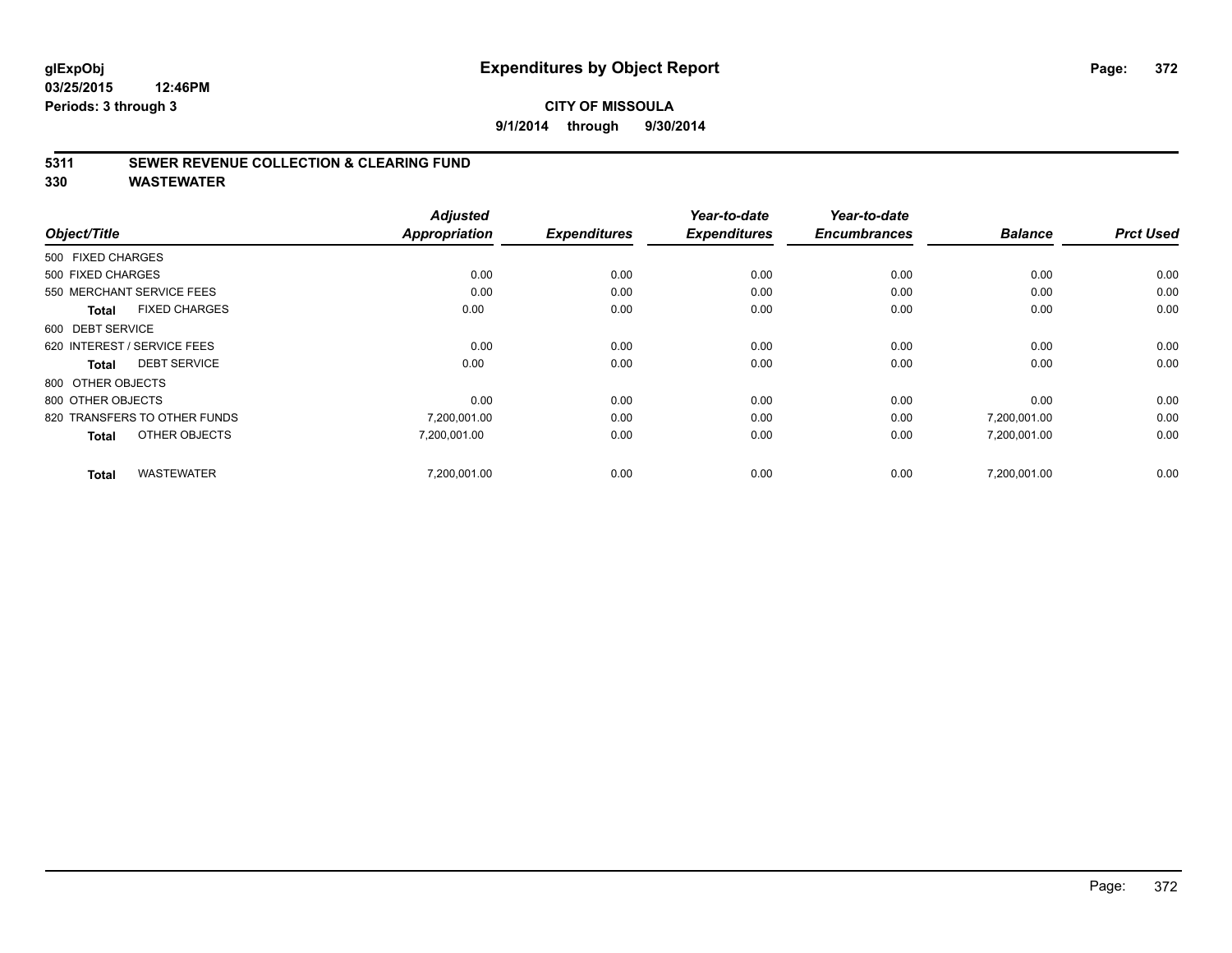#### **CITY OF MISSOULA 9/1/2014 through 9/30/2014**

#### **5311 SEWER REVENUE COLLECTION & CLEARING FUND**

|                                      | <b>Adjusted</b><br><b>Appropriation</b> |                     | Year-to-date        | Year-to-date<br><b>Encumbrances</b> | <b>Balance</b> | <b>Prct Used</b> |
|--------------------------------------|-----------------------------------------|---------------------|---------------------|-------------------------------------|----------------|------------------|
| Object/Title                         |                                         | <b>Expenditures</b> | <b>Expenditures</b> |                                     |                |                  |
| 500 FIXED CHARGES                    |                                         |                     |                     |                                     |                |                  |
| 500 FIXED CHARGES                    | 0.00                                    | 0.00                | 0.00                | 0.00                                | 0.00           | 0.00             |
| 550 MERCHANT SERVICE FEES            | 0.00                                    | 0.00                | 0.00                | 0.00                                | 0.00           | 0.00             |
| <b>FIXED CHARGES</b><br><b>Total</b> | 0.00                                    | 0.00                | 0.00                | 0.00                                | 0.00           | 0.00             |
| 600 DEBT SERVICE                     |                                         |                     |                     |                                     |                |                  |
| 620 INTEREST / SERVICE FEES          | 0.00                                    | 0.00                | 0.00                | 0.00                                | 0.00           | 0.00             |
| <b>DEBT SERVICE</b><br><b>Total</b>  | 0.00                                    | 0.00                | 0.00                | 0.00                                | 0.00           | 0.00             |
| 800 OTHER OBJECTS                    |                                         |                     |                     |                                     |                |                  |
| 800 OTHER OBJECTS                    | 0.00                                    | 0.00                | 0.00                | 0.00                                | 0.00           | 0.00             |
| 820 TRANSFERS TO OTHER FUNDS         | 7,200,001.00                            | 0.00                | 0.00                | 0.00                                | 7,200,001.00   | 0.00             |
| OTHER OBJECTS<br><b>Total</b>        | 7,200,001.00                            | 0.00                | 0.00                | 0.00                                | 7,200,001.00   | 0.00             |
| <b>WASTEWATER</b><br><b>Total</b>    | 7,200,001.00                            | 0.00                | 0.00                | 0.00                                | 7,200,001.00   | 0.00             |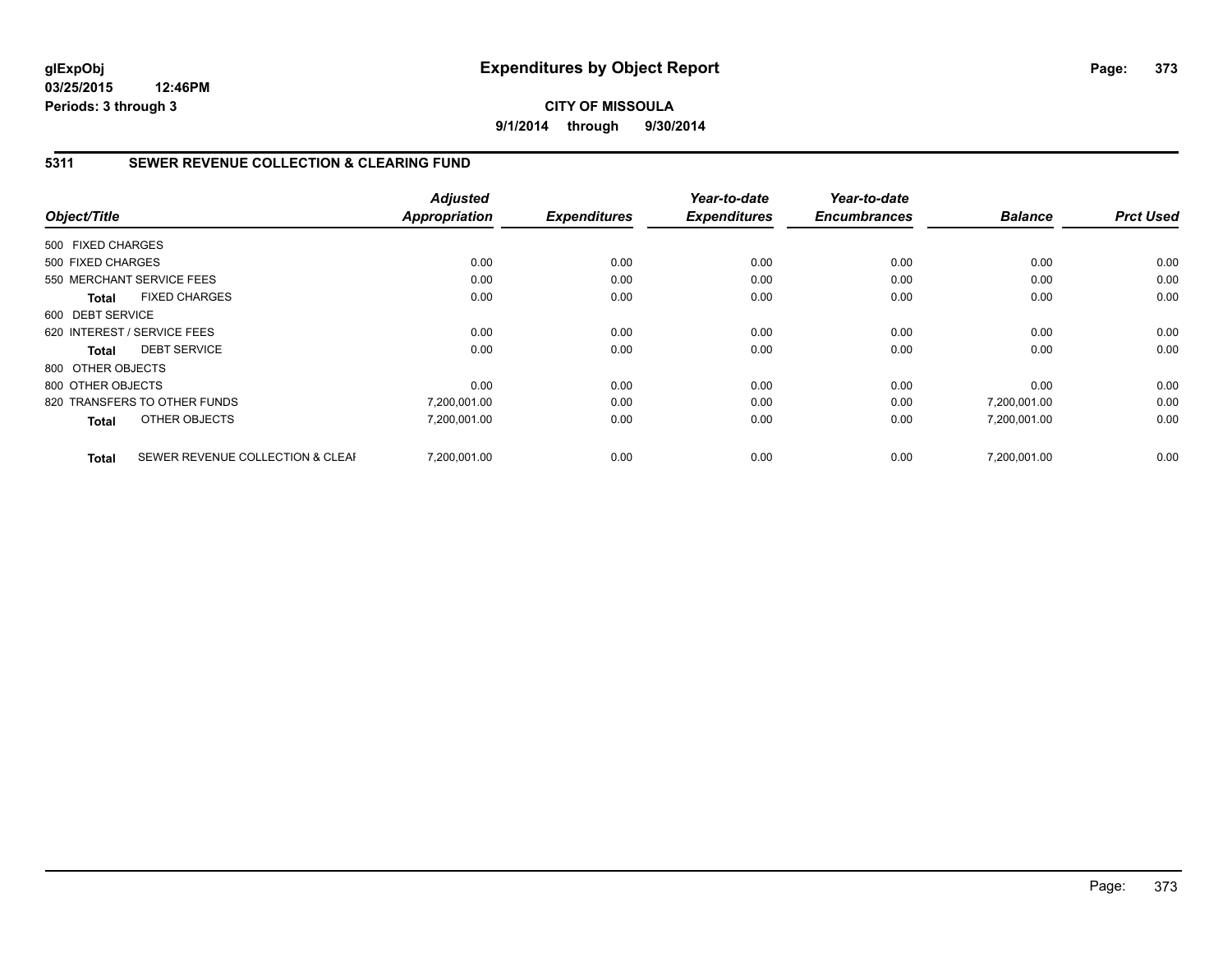#### **CITY OF MISSOULA 9/1/2014 through 9/30/2014**

#### **5311 SEWER REVENUE COLLECTION & CLEARING FUND**

|                   |                                  | <b>Adjusted</b>      |                     | Year-to-date        | Year-to-date        |                | <b>Prct Used</b> |
|-------------------|----------------------------------|----------------------|---------------------|---------------------|---------------------|----------------|------------------|
| Object/Title      |                                  | <b>Appropriation</b> | <b>Expenditures</b> | <b>Expenditures</b> | <b>Encumbrances</b> | <b>Balance</b> |                  |
| 500 FIXED CHARGES |                                  |                      |                     |                     |                     |                |                  |
| 500 FIXED CHARGES |                                  | 0.00                 | 0.00                | 0.00                | 0.00                | 0.00           | 0.00             |
|                   | 550 MERCHANT SERVICE FEES        | 0.00                 | 0.00                | 0.00                | 0.00                | 0.00           | 0.00             |
| Total             | <b>FIXED CHARGES</b>             | 0.00                 | 0.00                | 0.00                | 0.00                | 0.00           | 0.00             |
| 600 DEBT SERVICE  |                                  |                      |                     |                     |                     |                |                  |
|                   | 620 INTEREST / SERVICE FEES      | 0.00                 | 0.00                | 0.00                | 0.00                | 0.00           | 0.00             |
| Total             | <b>DEBT SERVICE</b>              | 0.00                 | 0.00                | 0.00                | 0.00                | 0.00           | 0.00             |
| 800 OTHER OBJECTS |                                  |                      |                     |                     |                     |                |                  |
| 800 OTHER OBJECTS |                                  | 0.00                 | 0.00                | 0.00                | 0.00                | 0.00           | 0.00             |
|                   | 820 TRANSFERS TO OTHER FUNDS     | 7,200,001.00         | 0.00                | 0.00                | 0.00                | 7,200,001.00   | 0.00             |
| <b>Total</b>      | OTHER OBJECTS                    | 7,200,001.00         | 0.00                | 0.00                | 0.00                | 7,200,001.00   | 0.00             |
| <b>Total</b>      | SEWER REVENUE COLLECTION & CLEAF | 7.200.001.00         | 0.00                | 0.00                | 0.00                | 7.200.001.00   | 0.00             |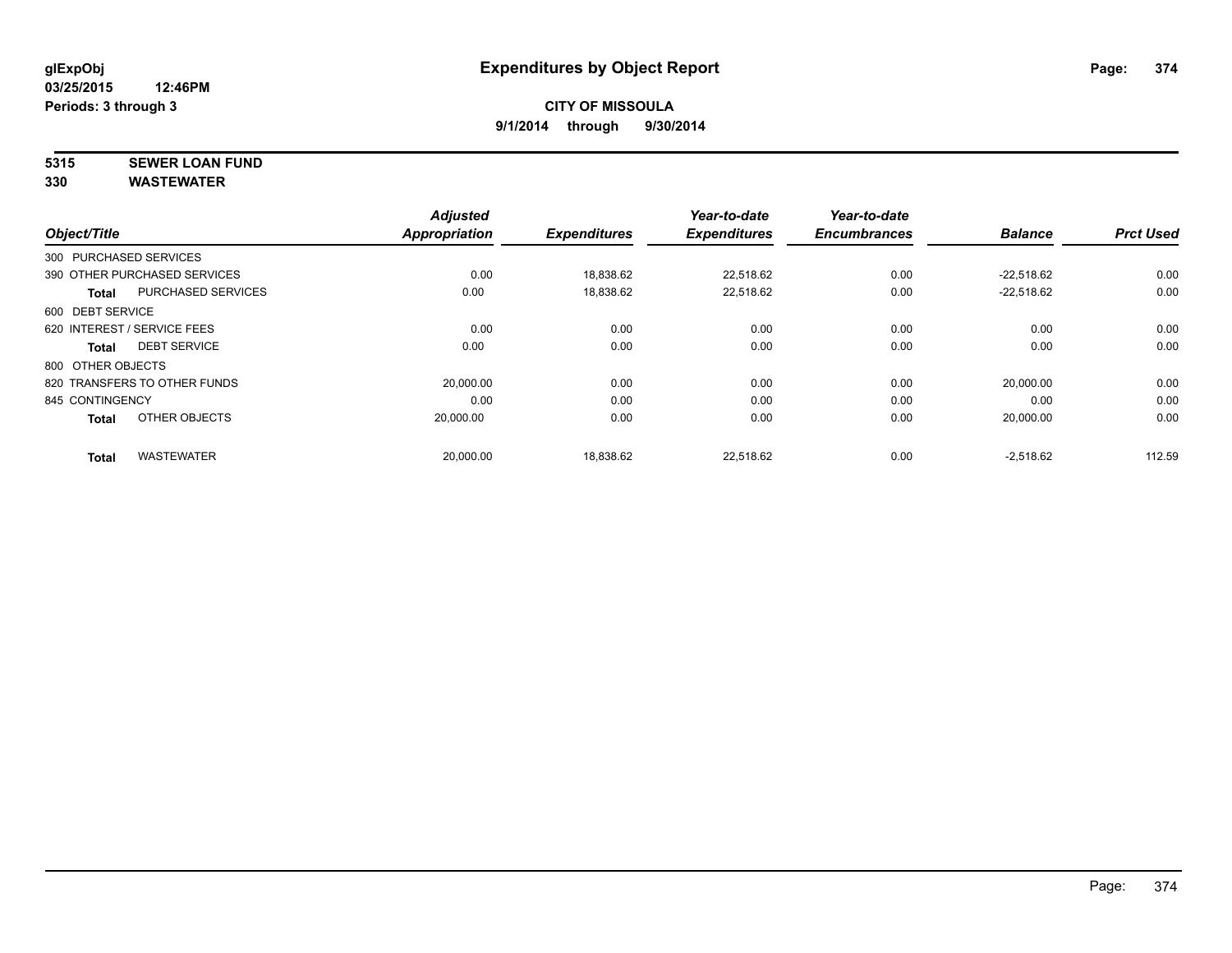# **5315 SEWER LOAN FUND**

|                   |                              | <b>Adjusted</b> |                     | Year-to-date        | Year-to-date        |                |                  |
|-------------------|------------------------------|-----------------|---------------------|---------------------|---------------------|----------------|------------------|
| Object/Title      |                              | Appropriation   | <b>Expenditures</b> | <b>Expenditures</b> | <b>Encumbrances</b> | <b>Balance</b> | <b>Prct Used</b> |
|                   | 300 PURCHASED SERVICES       |                 |                     |                     |                     |                |                  |
|                   | 390 OTHER PURCHASED SERVICES | 0.00            | 18.838.62           | 22.518.62           | 0.00                | $-22.518.62$   | 0.00             |
| <b>Total</b>      | PURCHASED SERVICES           | 0.00            | 18,838.62           | 22,518.62           | 0.00                | $-22,518.62$   | 0.00             |
| 600 DEBT SERVICE  |                              |                 |                     |                     |                     |                |                  |
|                   | 620 INTEREST / SERVICE FEES  | 0.00            | 0.00                | 0.00                | 0.00                | 0.00           | 0.00             |
| Total             | <b>DEBT SERVICE</b>          | 0.00            | 0.00                | 0.00                | 0.00                | 0.00           | 0.00             |
| 800 OTHER OBJECTS |                              |                 |                     |                     |                     |                |                  |
|                   | 820 TRANSFERS TO OTHER FUNDS | 20,000.00       | 0.00                | 0.00                | 0.00                | 20,000.00      | 0.00             |
| 845 CONTINGENCY   |                              | 0.00            | 0.00                | 0.00                | 0.00                | 0.00           | 0.00             |
| <b>Total</b>      | OTHER OBJECTS                | 20.000.00       | 0.00                | 0.00                | 0.00                | 20.000.00      | 0.00             |
| <b>Total</b>      | <b>WASTEWATER</b>            | 20,000.00       | 18,838.62           | 22,518.62           | 0.00                | $-2,518.62$    | 112.59           |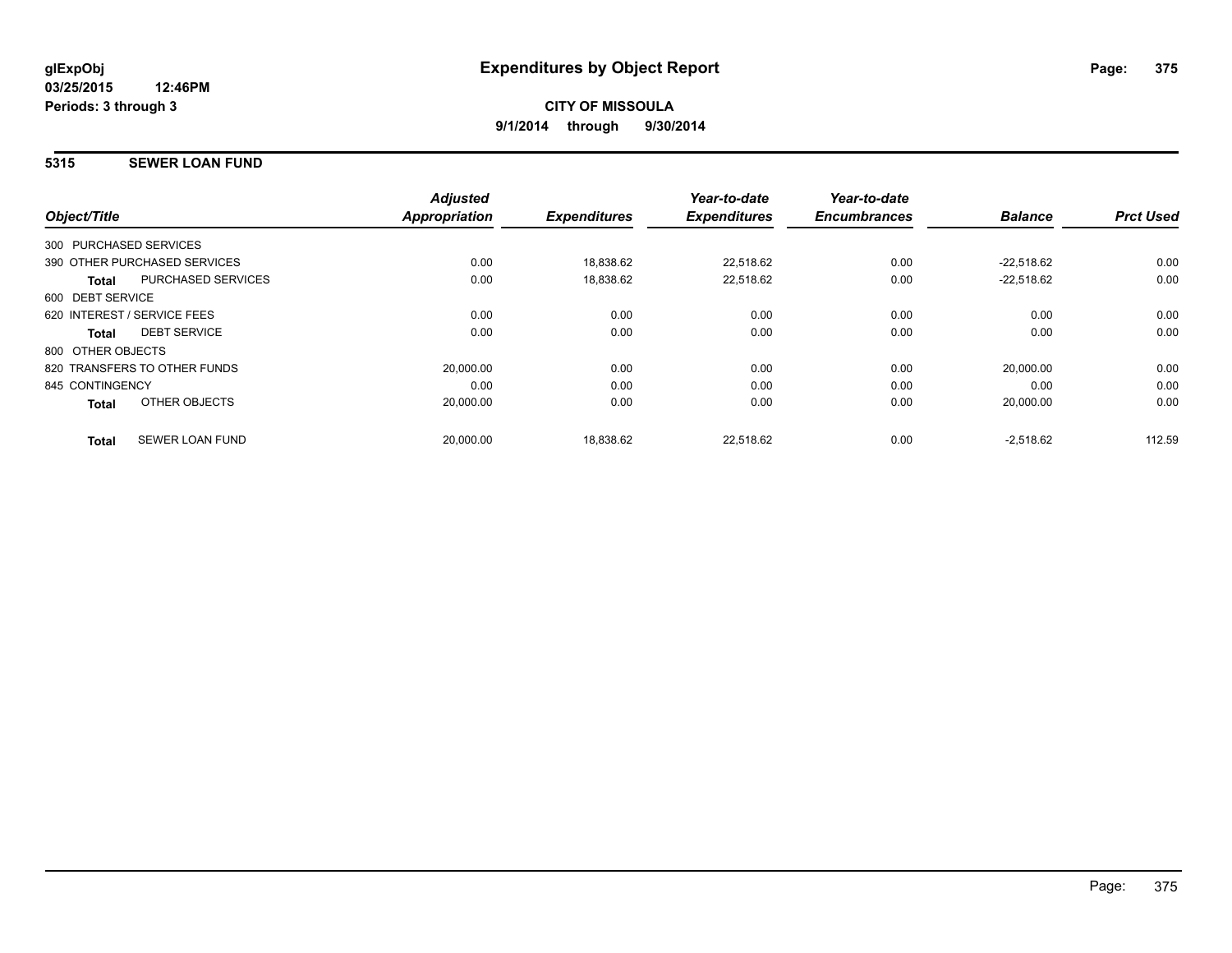#### **5315 SEWER LOAN FUND**

| Object/Title      |                              | <b>Adjusted</b><br>Appropriation | <b>Expenditures</b> | Year-to-date<br><b>Expenditures</b> | Year-to-date<br><b>Encumbrances</b> | <b>Balance</b> | <b>Prct Used</b> |
|-------------------|------------------------------|----------------------------------|---------------------|-------------------------------------|-------------------------------------|----------------|------------------|
|                   | 300 PURCHASED SERVICES       |                                  |                     |                                     |                                     |                |                  |
|                   | 390 OTHER PURCHASED SERVICES | 0.00                             | 18,838.62           | 22.518.62                           | 0.00                                | $-22.518.62$   | 0.00             |
| <b>Total</b>      | <b>PURCHASED SERVICES</b>    | 0.00                             | 18,838.62           | 22,518.62                           | 0.00                                | $-22.518.62$   | 0.00             |
| 600 DEBT SERVICE  |                              |                                  |                     |                                     |                                     |                |                  |
|                   | 620 INTEREST / SERVICE FEES  | 0.00                             | 0.00                | 0.00                                | 0.00                                | 0.00           | 0.00             |
| Total             | <b>DEBT SERVICE</b>          | 0.00                             | 0.00                | 0.00                                | 0.00                                | 0.00           | 0.00             |
| 800 OTHER OBJECTS |                              |                                  |                     |                                     |                                     |                |                  |
|                   | 820 TRANSFERS TO OTHER FUNDS | 20,000.00                        | 0.00                | 0.00                                | 0.00                                | 20,000.00      | 0.00             |
| 845 CONTINGENCY   |                              | 0.00                             | 0.00                | 0.00                                | 0.00                                | 0.00           | 0.00             |
| <b>Total</b>      | OTHER OBJECTS                | 20,000.00                        | 0.00                | 0.00                                | 0.00                                | 20,000.00      | 0.00             |
| <b>Total</b>      | <b>SEWER LOAN FUND</b>       | 20,000.00                        | 18,838.62           | 22.518.62                           | 0.00                                | $-2,518.62$    | 112.59           |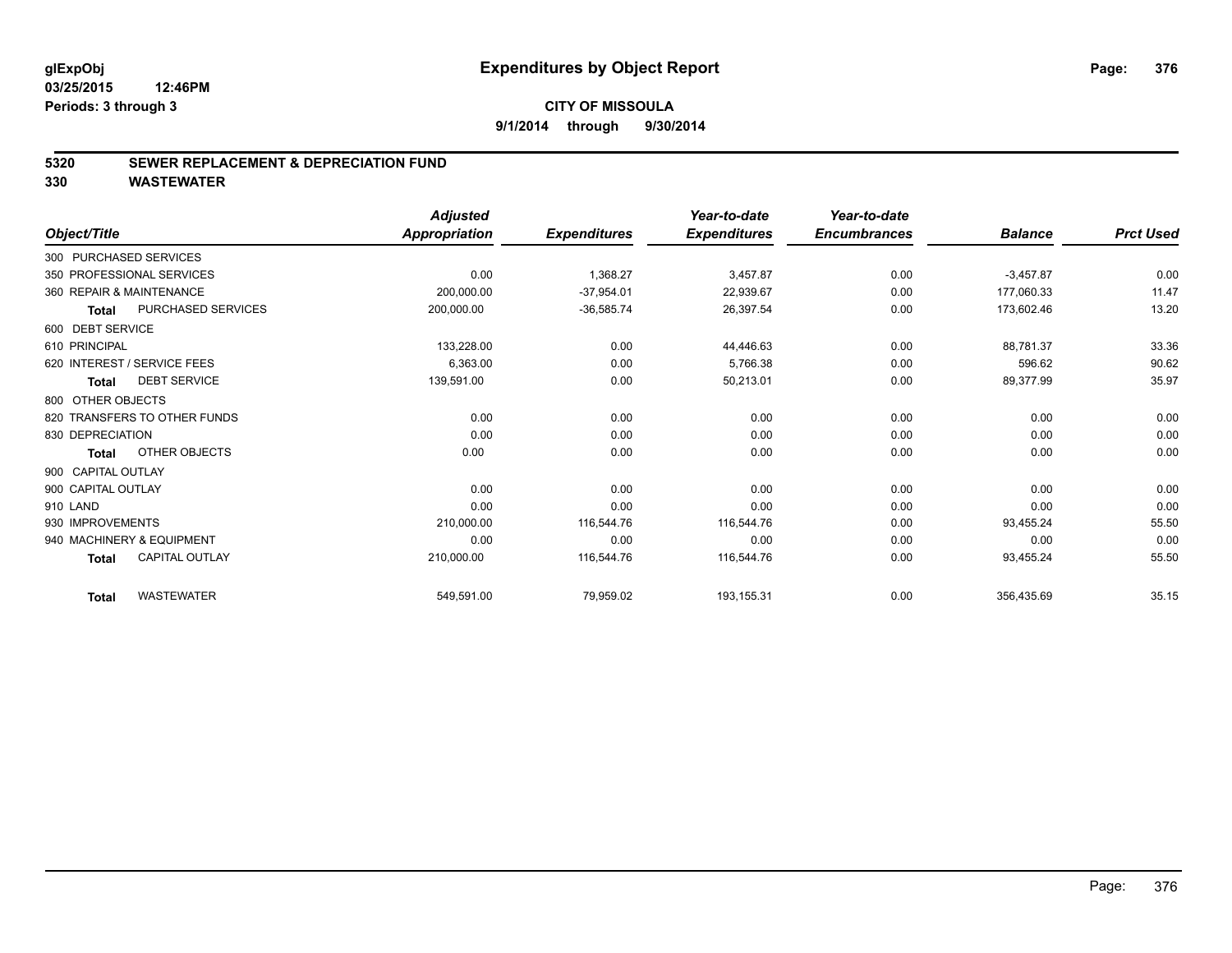#### **5320 SEWER REPLACEMENT & DEPRECIATION FUND**

|                             |                              | <b>Adjusted</b> |                     | Year-to-date        | Year-to-date        |                |                  |
|-----------------------------|------------------------------|-----------------|---------------------|---------------------|---------------------|----------------|------------------|
| Object/Title                |                              | Appropriation   | <b>Expenditures</b> | <b>Expenditures</b> | <b>Encumbrances</b> | <b>Balance</b> | <b>Prct Used</b> |
| 300 PURCHASED SERVICES      |                              |                 |                     |                     |                     |                |                  |
| 350 PROFESSIONAL SERVICES   |                              | 0.00            | 1,368.27            | 3,457.87            | 0.00                | $-3,457.87$    | 0.00             |
| 360 REPAIR & MAINTENANCE    |                              | 200,000.00      | $-37,954.01$        | 22,939.67           | 0.00                | 177,060.33     | 11.47            |
| <b>Total</b>                | <b>PURCHASED SERVICES</b>    | 200,000.00      | $-36,585.74$        | 26,397.54           | 0.00                | 173,602.46     | 13.20            |
| 600 DEBT SERVICE            |                              |                 |                     |                     |                     |                |                  |
| 610 PRINCIPAL               |                              | 133,228.00      | 0.00                | 44,446.63           | 0.00                | 88,781.37      | 33.36            |
| 620 INTEREST / SERVICE FEES |                              | 6,363.00        | 0.00                | 5,766.38            | 0.00                | 596.62         | 90.62            |
| <b>Total</b>                | <b>DEBT SERVICE</b>          | 139,591.00      | 0.00                | 50,213.01           | 0.00                | 89,377.99      | 35.97            |
| 800 OTHER OBJECTS           |                              |                 |                     |                     |                     |                |                  |
|                             | 820 TRANSFERS TO OTHER FUNDS | 0.00            | 0.00                | 0.00                | 0.00                | 0.00           | 0.00             |
| 830 DEPRECIATION            |                              | 0.00            | 0.00                | 0.00                | 0.00                | 0.00           | 0.00             |
| <b>Total</b>                | OTHER OBJECTS                | 0.00            | 0.00                | 0.00                | 0.00                | 0.00           | 0.00             |
| 900 CAPITAL OUTLAY          |                              |                 |                     |                     |                     |                |                  |
| 900 CAPITAL OUTLAY          |                              | 0.00            | 0.00                | 0.00                | 0.00                | 0.00           | 0.00             |
| 910 LAND                    |                              | 0.00            | 0.00                | 0.00                | 0.00                | 0.00           | 0.00             |
| 930 IMPROVEMENTS            |                              | 210,000.00      | 116,544.76          | 116.544.76          | 0.00                | 93,455.24      | 55.50            |
| 940 MACHINERY & EQUIPMENT   |                              | 0.00            | 0.00                | 0.00                | 0.00                | 0.00           | 0.00             |
| <b>Total</b>                | <b>CAPITAL OUTLAY</b>        | 210,000.00      | 116,544.76          | 116,544.76          | 0.00                | 93,455.24      | 55.50            |
| <b>Total</b>                | <b>WASTEWATER</b>            | 549,591.00      | 79,959.02           | 193,155.31          | 0.00                | 356,435.69     | 35.15            |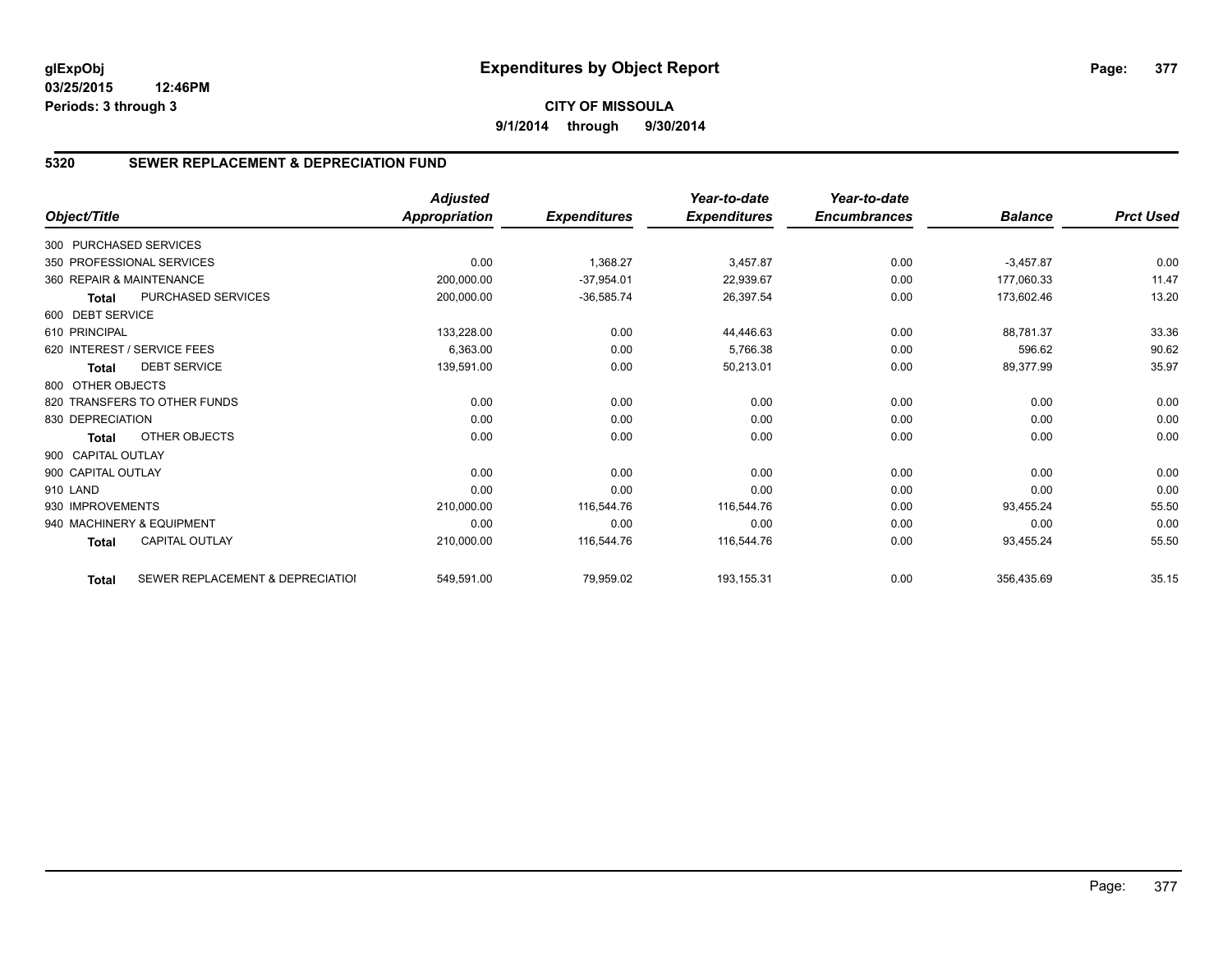#### **5320 SEWER REPLACEMENT & DEPRECIATION FUND**

|                        |                                  | <b>Adjusted</b> |                     | Year-to-date        | Year-to-date        |                |                  |
|------------------------|----------------------------------|-----------------|---------------------|---------------------|---------------------|----------------|------------------|
| Object/Title           |                                  | Appropriation   | <b>Expenditures</b> | <b>Expenditures</b> | <b>Encumbrances</b> | <b>Balance</b> | <b>Prct Used</b> |
| 300 PURCHASED SERVICES |                                  |                 |                     |                     |                     |                |                  |
|                        | 350 PROFESSIONAL SERVICES        | 0.00            | 1,368.27            | 3,457.87            | 0.00                | $-3,457.87$    | 0.00             |
|                        | 360 REPAIR & MAINTENANCE         | 200,000.00      | $-37,954.01$        | 22,939.67           | 0.00                | 177,060.33     | 11.47            |
| <b>Total</b>           | PURCHASED SERVICES               | 200,000.00      | $-36,585.74$        | 26,397.54           | 0.00                | 173,602.46     | 13.20            |
| 600 DEBT SERVICE       |                                  |                 |                     |                     |                     |                |                  |
| 610 PRINCIPAL          |                                  | 133,228.00      | 0.00                | 44,446.63           | 0.00                | 88,781.37      | 33.36            |
|                        | 620 INTEREST / SERVICE FEES      | 6,363.00        | 0.00                | 5,766.38            | 0.00                | 596.62         | 90.62            |
| <b>Total</b>           | <b>DEBT SERVICE</b>              | 139,591.00      | 0.00                | 50,213.01           | 0.00                | 89,377.99      | 35.97            |
| 800 OTHER OBJECTS      |                                  |                 |                     |                     |                     |                |                  |
|                        | 820 TRANSFERS TO OTHER FUNDS     | 0.00            | 0.00                | 0.00                | 0.00                | 0.00           | 0.00             |
| 830 DEPRECIATION       |                                  | 0.00            | 0.00                | 0.00                | 0.00                | 0.00           | 0.00             |
| <b>Total</b>           | OTHER OBJECTS                    | 0.00            | 0.00                | 0.00                | 0.00                | 0.00           | 0.00             |
| 900 CAPITAL OUTLAY     |                                  |                 |                     |                     |                     |                |                  |
| 900 CAPITAL OUTLAY     |                                  | 0.00            | 0.00                | 0.00                | 0.00                | 0.00           | 0.00             |
| 910 LAND               |                                  | 0.00            | 0.00                | 0.00                | 0.00                | 0.00           | 0.00             |
| 930 IMPROVEMENTS       |                                  | 210,000.00      | 116,544.76          | 116,544.76          | 0.00                | 93,455.24      | 55.50            |
|                        | 940 MACHINERY & EQUIPMENT        | 0.00            | 0.00                | 0.00                | 0.00                | 0.00           | 0.00             |
| <b>Total</b>           | <b>CAPITAL OUTLAY</b>            | 210,000.00      | 116,544.76          | 116,544.76          | 0.00                | 93,455.24      | 55.50            |
| <b>Total</b>           | SEWER REPLACEMENT & DEPRECIATION | 549,591.00      | 79,959.02           | 193,155.31          | 0.00                | 356,435.69     | 35.15            |

Page: 377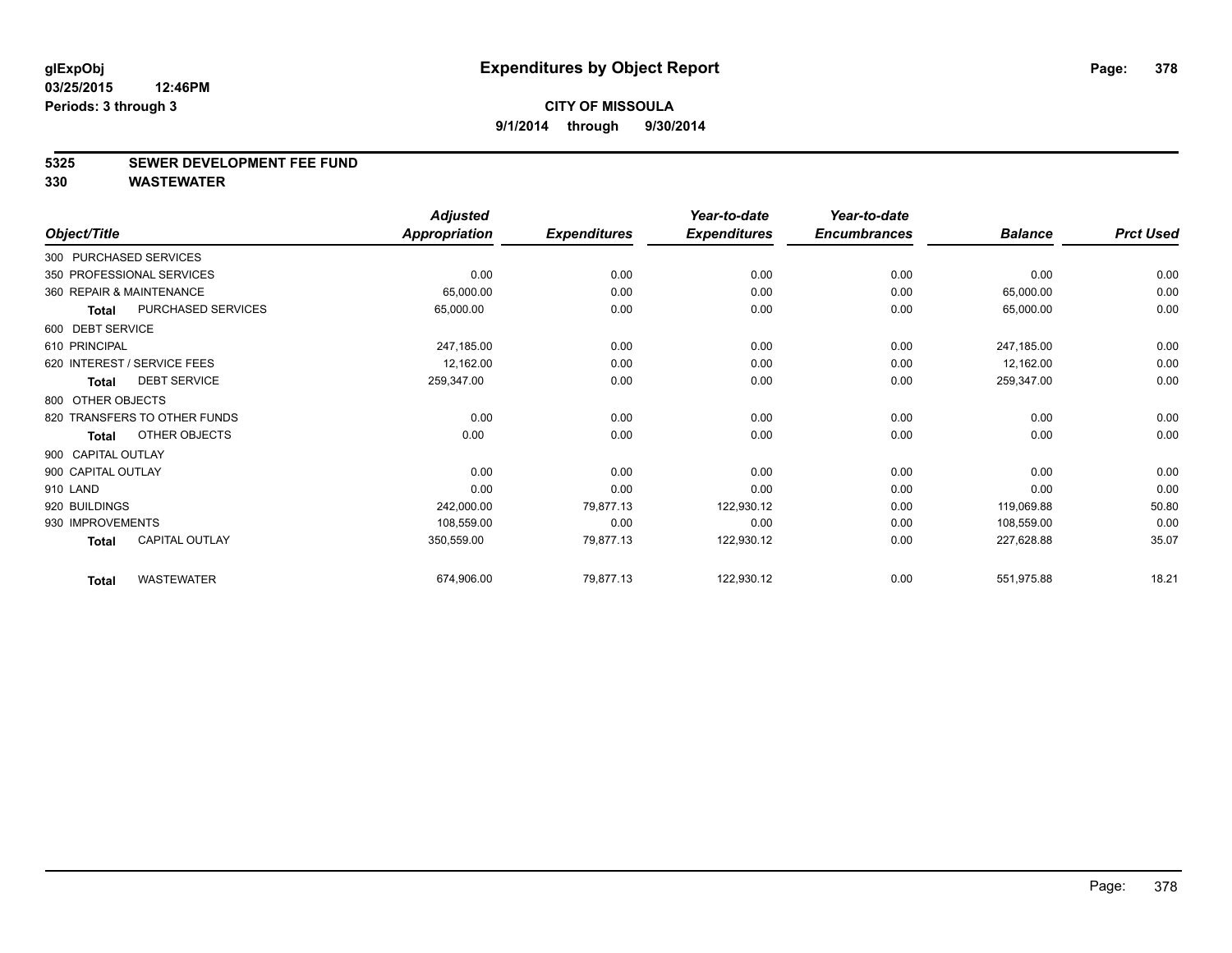#### **5325 SEWER DEVELOPMENT FEE FUND**

|                    |                              | <b>Adjusted</b>      |                     | Year-to-date        | Year-to-date        |                |                  |
|--------------------|------------------------------|----------------------|---------------------|---------------------|---------------------|----------------|------------------|
| Object/Title       |                              | <b>Appropriation</b> | <b>Expenditures</b> | <b>Expenditures</b> | <b>Encumbrances</b> | <b>Balance</b> | <b>Prct Used</b> |
|                    | 300 PURCHASED SERVICES       |                      |                     |                     |                     |                |                  |
|                    | 350 PROFESSIONAL SERVICES    | 0.00                 | 0.00                | 0.00                | 0.00                | 0.00           | 0.00             |
|                    | 360 REPAIR & MAINTENANCE     | 65,000.00            | 0.00                | 0.00                | 0.00                | 65,000.00      | 0.00             |
| <b>Total</b>       | PURCHASED SERVICES           | 65,000.00            | 0.00                | 0.00                | 0.00                | 65,000.00      | 0.00             |
| 600 DEBT SERVICE   |                              |                      |                     |                     |                     |                |                  |
| 610 PRINCIPAL      |                              | 247,185.00           | 0.00                | 0.00                | 0.00                | 247,185.00     | 0.00             |
|                    | 620 INTEREST / SERVICE FEES  | 12,162.00            | 0.00                | 0.00                | 0.00                | 12,162.00      | 0.00             |
| <b>Total</b>       | <b>DEBT SERVICE</b>          | 259,347.00           | 0.00                | 0.00                | 0.00                | 259,347.00     | 0.00             |
| 800 OTHER OBJECTS  |                              |                      |                     |                     |                     |                |                  |
|                    | 820 TRANSFERS TO OTHER FUNDS | 0.00                 | 0.00                | 0.00                | 0.00                | 0.00           | 0.00             |
| <b>Total</b>       | OTHER OBJECTS                | 0.00                 | 0.00                | 0.00                | 0.00                | 0.00           | 0.00             |
| 900 CAPITAL OUTLAY |                              |                      |                     |                     |                     |                |                  |
| 900 CAPITAL OUTLAY |                              | 0.00                 | 0.00                | 0.00                | 0.00                | 0.00           | 0.00             |
| 910 LAND           |                              | 0.00                 | 0.00                | 0.00                | 0.00                | 0.00           | 0.00             |
| 920 BUILDINGS      |                              | 242,000.00           | 79,877.13           | 122,930.12          | 0.00                | 119,069.88     | 50.80            |
| 930 IMPROVEMENTS   |                              | 108,559.00           | 0.00                | 0.00                | 0.00                | 108,559.00     | 0.00             |
| <b>Total</b>       | CAPITAL OUTLAY               | 350,559.00           | 79,877.13           | 122,930.12          | 0.00                | 227,628.88     | 35.07            |
| <b>Total</b>       | <b>WASTEWATER</b>            | 674,906.00           | 79,877.13           | 122,930.12          | 0.00                | 551,975.88     | 18.21            |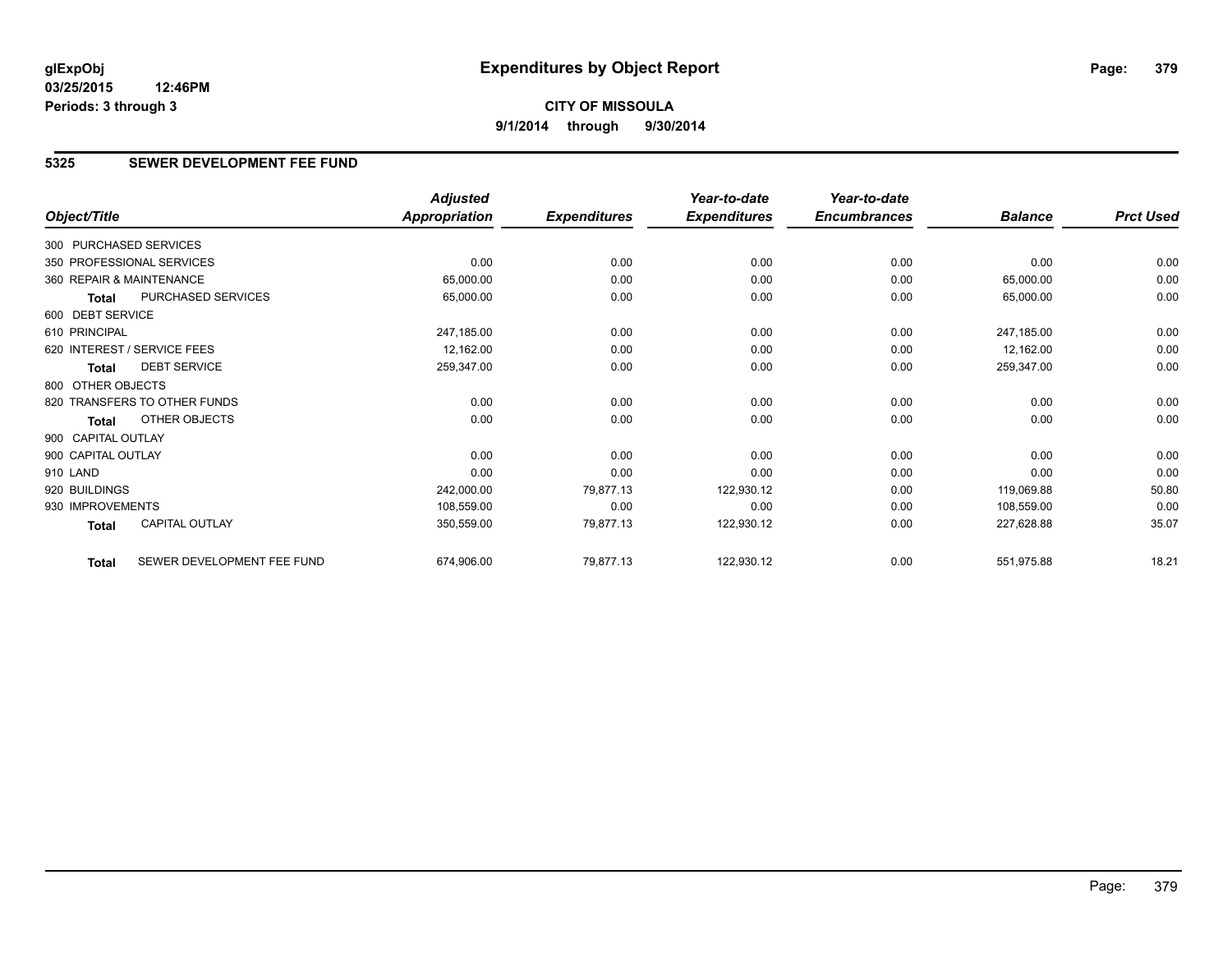# **CITY OF MISSOULA 9/1/2014 through 9/30/2014**

## **5325 SEWER DEVELOPMENT FEE FUND**

|                        |                              | <b>Adjusted</b>      |                     | Year-to-date        | Year-to-date        |                |                  |
|------------------------|------------------------------|----------------------|---------------------|---------------------|---------------------|----------------|------------------|
| Object/Title           |                              | <b>Appropriation</b> | <b>Expenditures</b> | <b>Expenditures</b> | <b>Encumbrances</b> | <b>Balance</b> | <b>Prct Used</b> |
| 300 PURCHASED SERVICES |                              |                      |                     |                     |                     |                |                  |
|                        | 350 PROFESSIONAL SERVICES    | 0.00                 | 0.00                | 0.00                | 0.00                | 0.00           | 0.00             |
|                        | 360 REPAIR & MAINTENANCE     | 65,000.00            | 0.00                | 0.00                | 0.00                | 65,000.00      | 0.00             |
| <b>Total</b>           | PURCHASED SERVICES           | 65,000.00            | 0.00                | 0.00                | 0.00                | 65,000.00      | 0.00             |
| 600 DEBT SERVICE       |                              |                      |                     |                     |                     |                |                  |
| 610 PRINCIPAL          |                              | 247,185.00           | 0.00                | 0.00                | 0.00                | 247,185.00     | 0.00             |
|                        | 620 INTEREST / SERVICE FEES  | 12,162.00            | 0.00                | 0.00                | 0.00                | 12,162.00      | 0.00             |
| <b>Total</b>           | <b>DEBT SERVICE</b>          | 259,347.00           | 0.00                | 0.00                | 0.00                | 259,347.00     | 0.00             |
| 800 OTHER OBJECTS      |                              |                      |                     |                     |                     |                |                  |
|                        | 820 TRANSFERS TO OTHER FUNDS | 0.00                 | 0.00                | 0.00                | 0.00                | 0.00           | 0.00             |
| Total                  | OTHER OBJECTS                | 0.00                 | 0.00                | 0.00                | 0.00                | 0.00           | 0.00             |
| 900 CAPITAL OUTLAY     |                              |                      |                     |                     |                     |                |                  |
| 900 CAPITAL OUTLAY     |                              | 0.00                 | 0.00                | 0.00                | 0.00                | 0.00           | 0.00             |
| 910 LAND               |                              | 0.00                 | 0.00                | 0.00                | 0.00                | 0.00           | 0.00             |
| 920 BUILDINGS          |                              | 242,000.00           | 79,877.13           | 122,930.12          | 0.00                | 119,069.88     | 50.80            |
| 930 IMPROVEMENTS       |                              | 108,559.00           | 0.00                | 0.00                | 0.00                | 108,559.00     | 0.00             |
| Total                  | <b>CAPITAL OUTLAY</b>        | 350,559.00           | 79,877.13           | 122,930.12          | 0.00                | 227,628.88     | 35.07            |
| <b>Total</b>           | SEWER DEVELOPMENT FEE FUND   | 674,906.00           | 79,877.13           | 122,930.12          | 0.00                | 551,975.88     | 18.21            |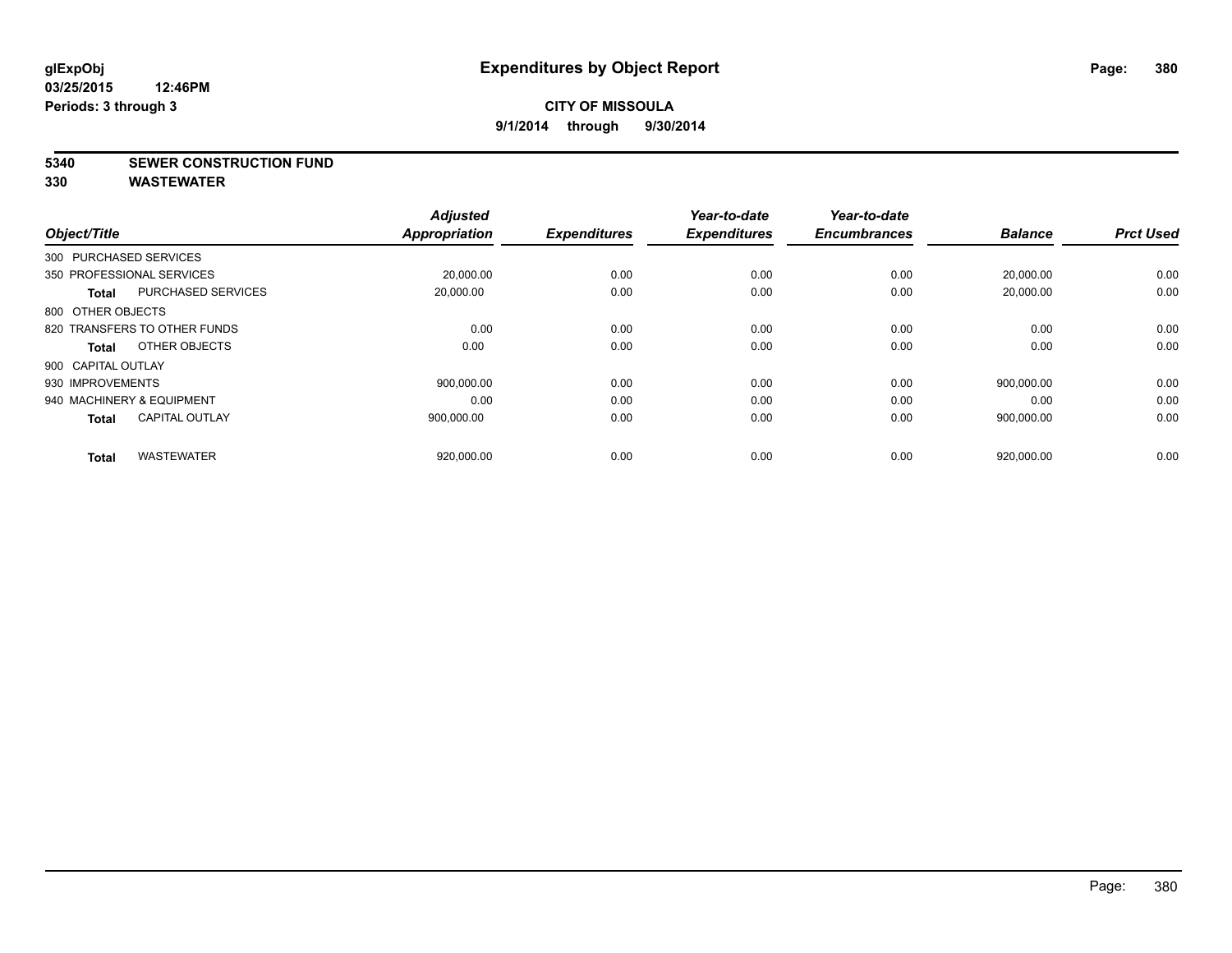#### **5340 SEWER CONSTRUCTION FUND**

| Object/Title              |                              | <b>Adjusted</b><br><b>Appropriation</b> | <b>Expenditures</b> | Year-to-date<br><b>Expenditures</b> | Year-to-date<br><b>Encumbrances</b> | <b>Balance</b> | <b>Prct Used</b> |
|---------------------------|------------------------------|-----------------------------------------|---------------------|-------------------------------------|-------------------------------------|----------------|------------------|
| 300 PURCHASED SERVICES    |                              |                                         |                     |                                     |                                     |                |                  |
| 350 PROFESSIONAL SERVICES |                              |                                         |                     |                                     |                                     |                |                  |
|                           |                              | 20,000.00                               | 0.00                | 0.00                                | 0.00                                | 20,000.00      | 0.00             |
| <b>Total</b>              | <b>PURCHASED SERVICES</b>    | 20,000.00                               | 0.00                | 0.00                                | 0.00                                | 20,000.00      | 0.00             |
| 800 OTHER OBJECTS         |                              |                                         |                     |                                     |                                     |                |                  |
|                           | 820 TRANSFERS TO OTHER FUNDS | 0.00                                    | 0.00                | 0.00                                | 0.00                                | 0.00           | 0.00             |
| Total                     | OTHER OBJECTS                | 0.00                                    | 0.00                | 0.00                                | 0.00                                | 0.00           | 0.00             |
| 900 CAPITAL OUTLAY        |                              |                                         |                     |                                     |                                     |                |                  |
| 930 IMPROVEMENTS          |                              | 900,000.00                              | 0.00                | 0.00                                | 0.00                                | 900.000.00     | 0.00             |
| 940 MACHINERY & EQUIPMENT |                              | 0.00                                    | 0.00                | 0.00                                | 0.00                                | 0.00           | 0.00             |
| <b>Total</b>              | <b>CAPITAL OUTLAY</b>        | 900,000.00                              | 0.00                | 0.00                                | 0.00                                | 900,000.00     | 0.00             |
|                           |                              |                                         |                     |                                     |                                     |                |                  |
| <b>Total</b>              | <b>WASTEWATER</b>            | 920,000.00                              | 0.00                | 0.00                                | 0.00                                | 920,000.00     | 0.00             |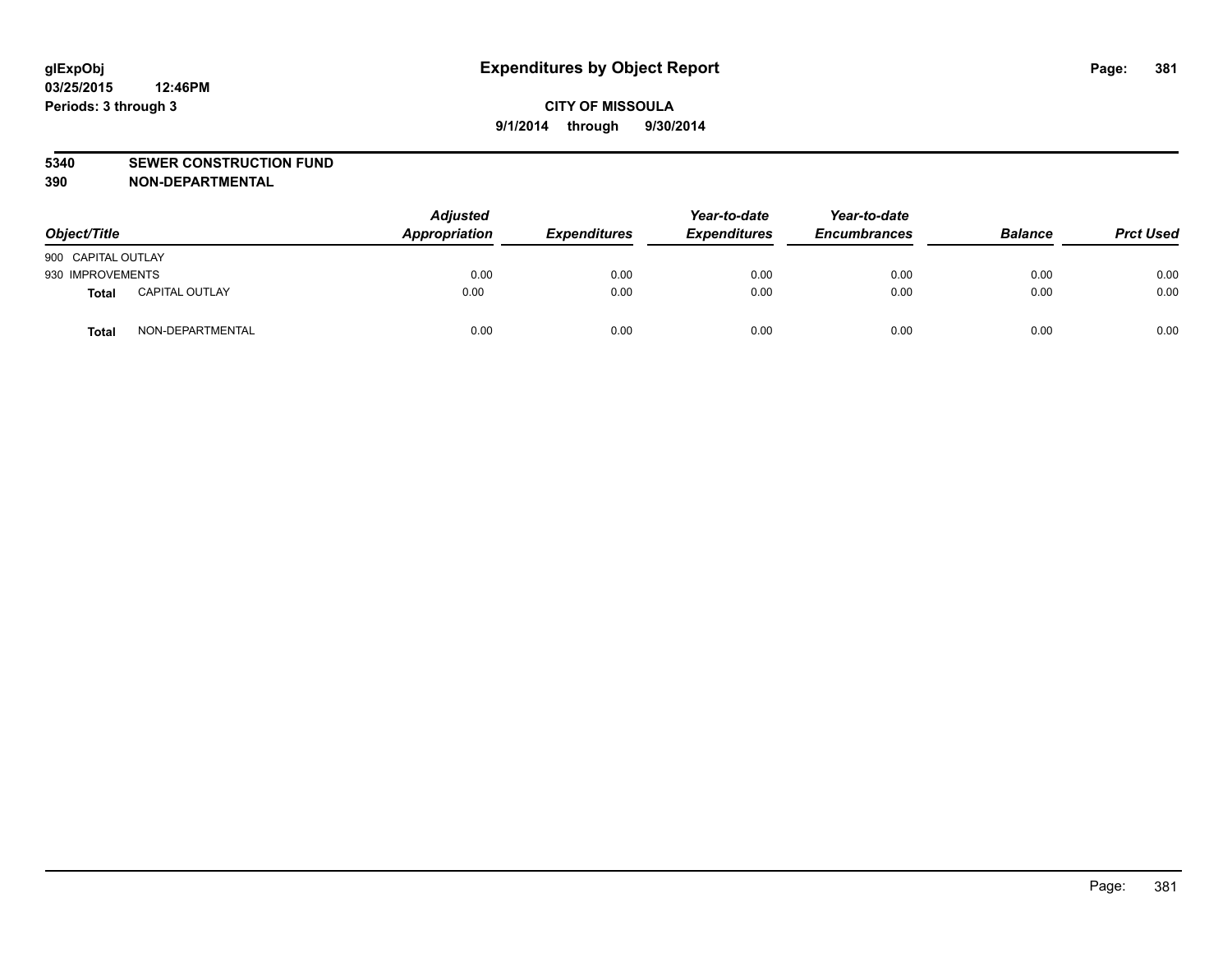#### **5340 SEWER CONSTRUCTION FUND**

**390 NON-DEPARTMENTAL**

| Object/Title       |                       | <b>Adjusted</b><br>Appropriation | <b>Expenditures</b> | Year-to-date<br><b>Expenditures</b> | Year-to-date<br><b>Encumbrances</b> | <b>Balance</b> | <b>Prct Used</b> |
|--------------------|-----------------------|----------------------------------|---------------------|-------------------------------------|-------------------------------------|----------------|------------------|
| 900 CAPITAL OUTLAY |                       |                                  |                     |                                     |                                     |                |                  |
| 930 IMPROVEMENTS   |                       | 0.00                             | 0.00                | 0.00                                | 0.00                                | 0.00           | 0.00             |
| Total              | <b>CAPITAL OUTLAY</b> | 0.00                             | 0.00                | 0.00                                | 0.00                                | 0.00           | 0.00             |
| Total              | NON-DEPARTMENTAL      | 0.00                             | 0.00                | 0.00                                | 0.00                                | 0.00           | 0.00             |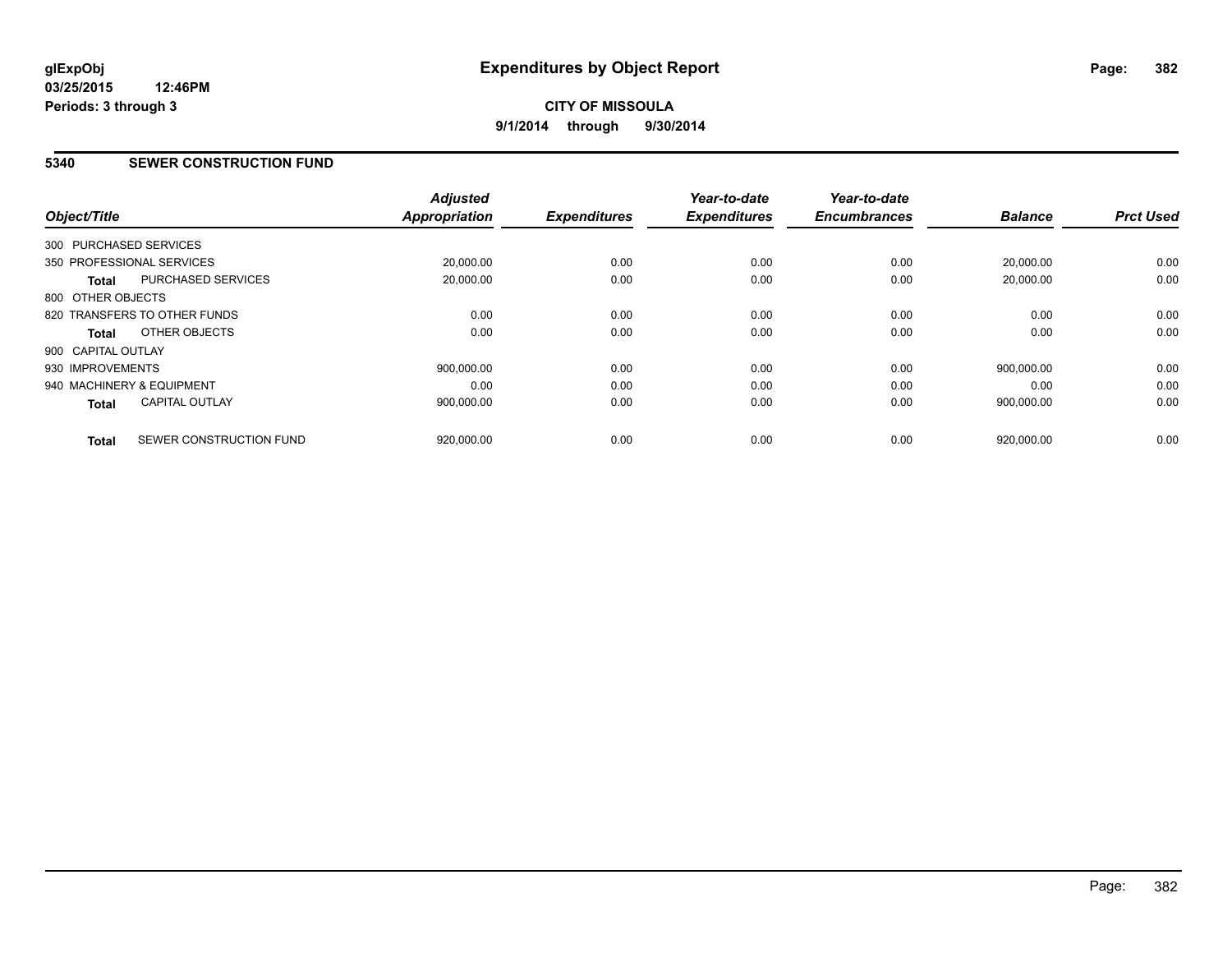#### **5340 SEWER CONSTRUCTION FUND**

| Object/Title           |                              | <b>Adjusted</b><br><b>Appropriation</b> | <b>Expenditures</b> | Year-to-date<br><b>Expenditures</b> | Year-to-date<br><b>Encumbrances</b> | <b>Balance</b> | <b>Prct Used</b> |
|------------------------|------------------------------|-----------------------------------------|---------------------|-------------------------------------|-------------------------------------|----------------|------------------|
| 300 PURCHASED SERVICES |                              |                                         |                     |                                     |                                     |                |                  |
|                        | 350 PROFESSIONAL SERVICES    | 20,000.00                               | 0.00                | 0.00                                | 0.00                                | 20,000.00      | 0.00             |
| <b>Total</b>           | PURCHASED SERVICES           | 20.000.00                               | 0.00                | 0.00                                | 0.00                                | 20.000.00      | 0.00             |
| 800 OTHER OBJECTS      |                              |                                         |                     |                                     |                                     |                |                  |
|                        | 820 TRANSFERS TO OTHER FUNDS | 0.00                                    | 0.00                | 0.00                                | 0.00                                | 0.00           | 0.00             |
| Total                  | OTHER OBJECTS                | 0.00                                    | 0.00                | 0.00                                | 0.00                                | 0.00           | 0.00             |
| 900 CAPITAL OUTLAY     |                              |                                         |                     |                                     |                                     |                |                  |
| 930 IMPROVEMENTS       |                              | 900.000.00                              | 0.00                | 0.00                                | 0.00                                | 900.000.00     | 0.00             |
|                        | 940 MACHINERY & EQUIPMENT    | 0.00                                    | 0.00                | 0.00                                | 0.00                                | 0.00           | 0.00             |
| Total                  | <b>CAPITAL OUTLAY</b>        | 900,000.00                              | 0.00                | 0.00                                | 0.00                                | 900,000.00     | 0.00             |
| <b>Total</b>           | SEWER CONSTRUCTION FUND      | 920,000.00                              | 0.00                | 0.00                                | 0.00                                | 920,000.00     | 0.00             |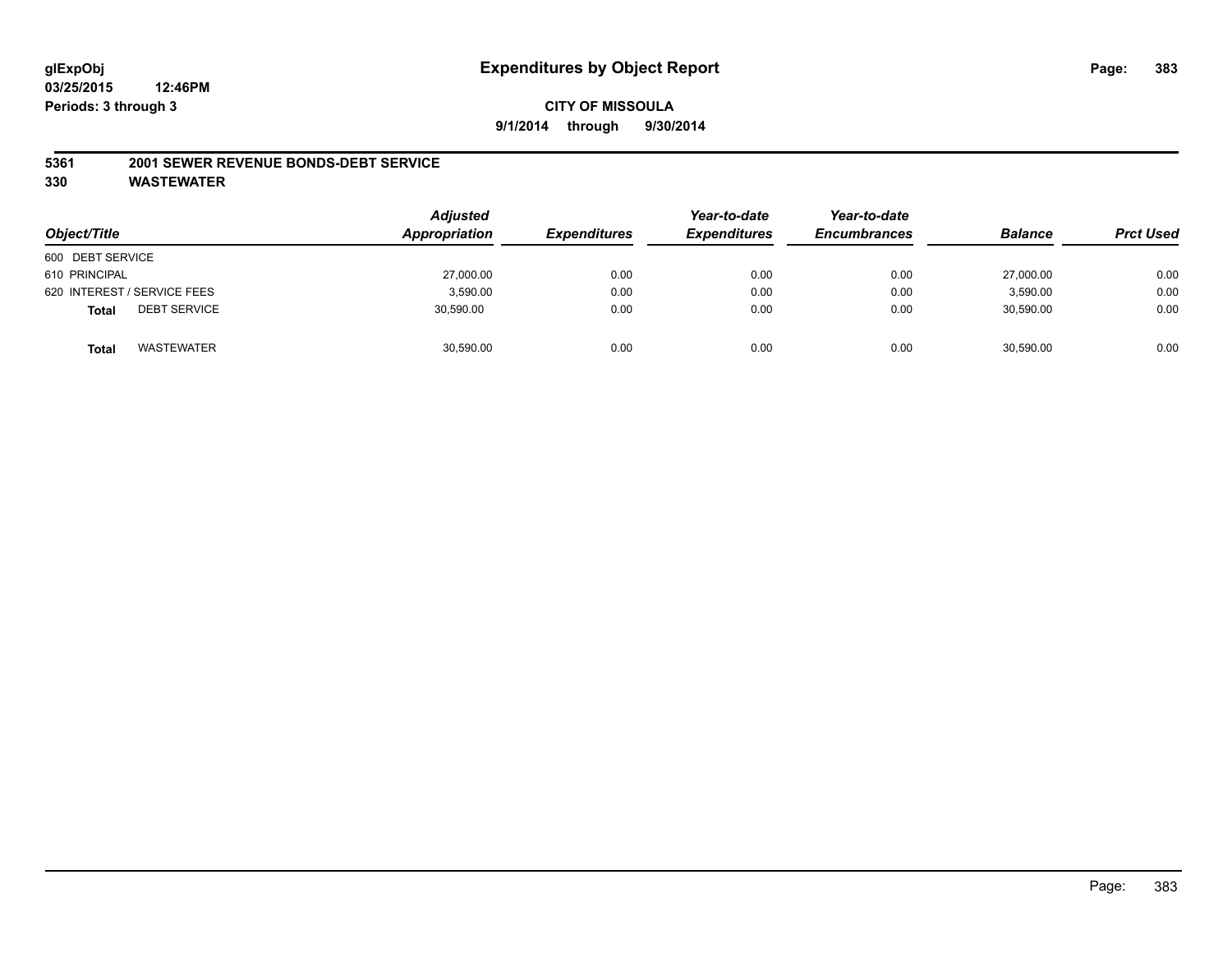#### **CITY OF MISSOULA 9/1/2014 through 9/30/2014**

#### **5361 2001 SEWER REVENUE BONDS-DEBT SERVICE**

| Object/Title                        | <b>Adjusted</b><br>Appropriation | <b>Expenditures</b> | Year-to-date<br><b>Expenditures</b> | Year-to-date<br><b>Encumbrances</b> | <b>Balance</b> | <b>Prct Used</b> |
|-------------------------------------|----------------------------------|---------------------|-------------------------------------|-------------------------------------|----------------|------------------|
| 600 DEBT SERVICE                    |                                  |                     |                                     |                                     |                |                  |
| 610 PRINCIPAL                       | 27,000.00                        | 0.00                | 0.00                                | 0.00                                | 27,000.00      | 0.00             |
| 620 INTEREST / SERVICE FEES         | 3,590.00                         | 0.00                | 0.00                                | 0.00                                | 3,590.00       | 0.00             |
| <b>DEBT SERVICE</b><br><b>Total</b> | 30,590.00                        | 0.00                | 0.00                                | 0.00                                | 30,590.00      | 0.00             |
| WASTEWATER<br><b>Total</b>          | 30,590.00                        | 0.00                | 0.00                                | 0.00                                | 30,590.00      | 0.00             |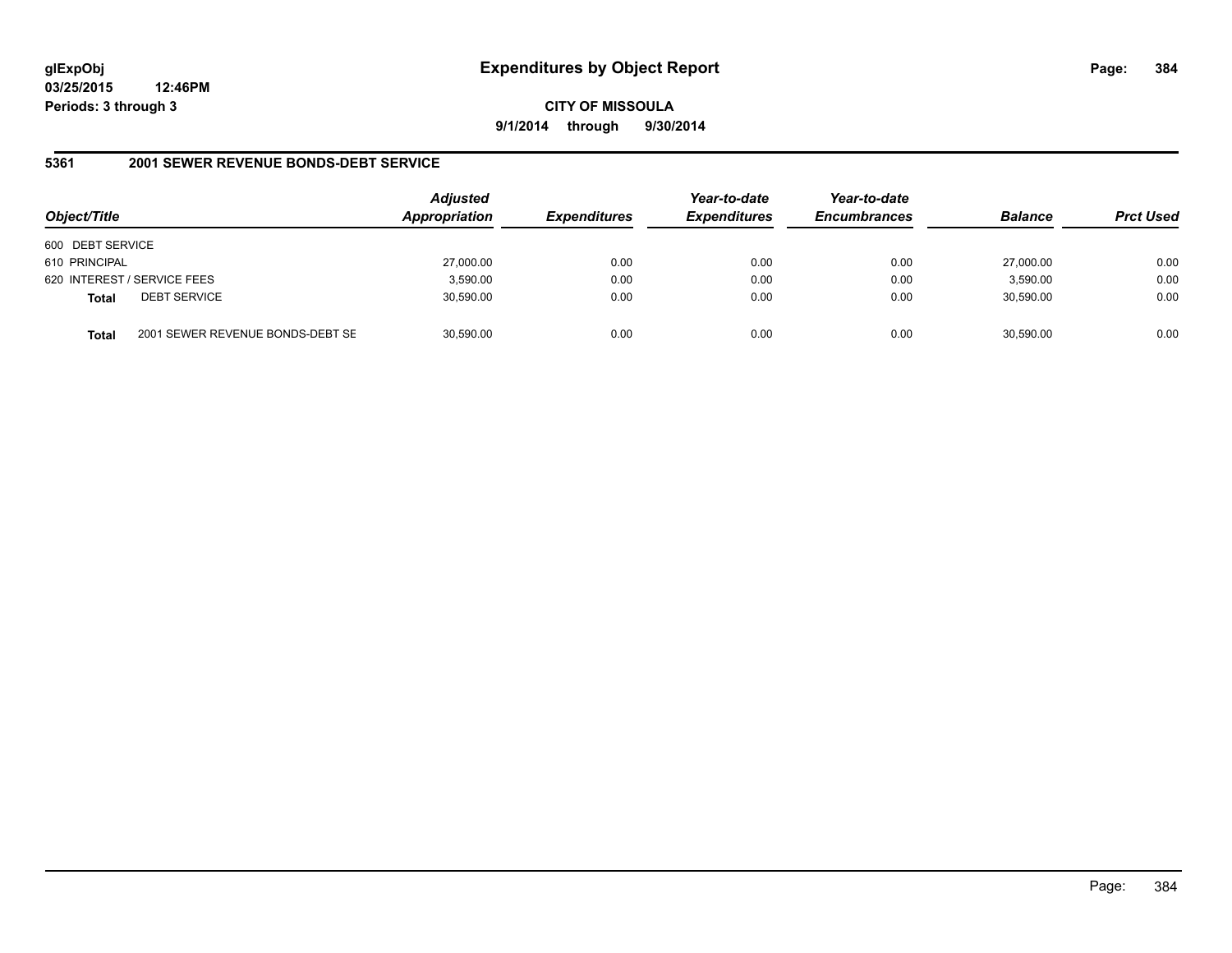**CITY OF MISSOULA 9/1/2014 through 9/30/2014**

#### **5361 2001 SEWER REVENUE BONDS-DEBT SERVICE**

| Object/Title     |                                  | <b>Adjusted</b><br><b>Appropriation</b> | <b>Expenditures</b> | Year-to-date<br><b>Expenditures</b> | Year-to-date<br><b>Encumbrances</b> | <b>Balance</b> | <b>Prct Used</b> |
|------------------|----------------------------------|-----------------------------------------|---------------------|-------------------------------------|-------------------------------------|----------------|------------------|
| 600 DEBT SERVICE |                                  |                                         |                     |                                     |                                     |                |                  |
| 610 PRINCIPAL    |                                  | 27,000.00                               | 0.00                | 0.00                                | 0.00                                | 27.000.00      | 0.00             |
|                  | 620 INTEREST / SERVICE FEES      | 3,590.00                                | 0.00                | 0.00                                | 0.00                                | 3,590.00       | 0.00             |
| <b>Total</b>     | <b>DEBT SERVICE</b>              | 30,590.00                               | 0.00                | 0.00                                | 0.00                                | 30,590.00      | 0.00             |
| Total            | 2001 SEWER REVENUE BONDS-DEBT SE | 30,590.00                               | 0.00                | 0.00                                | 0.00                                | 30,590.00      | 0.00             |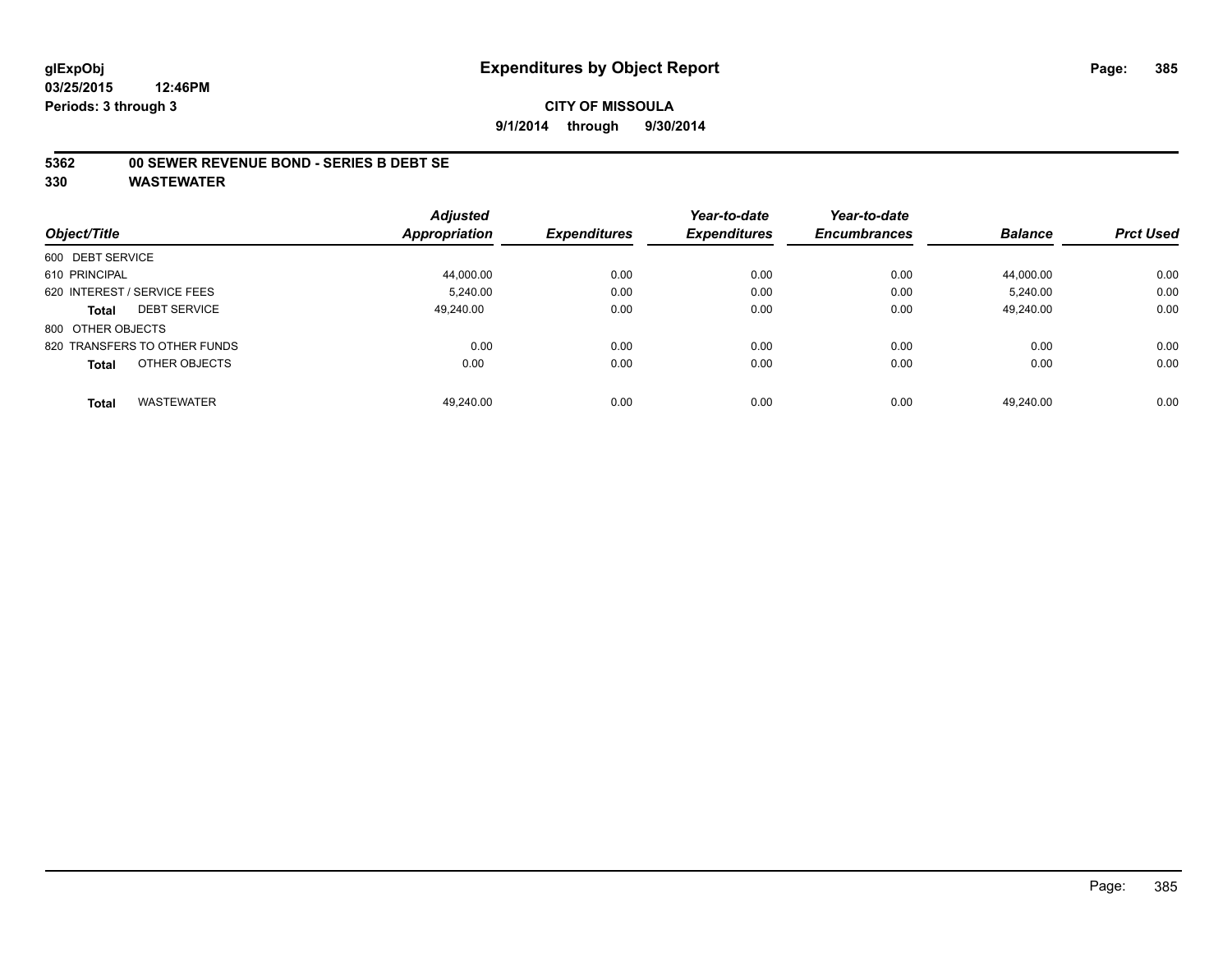#### **CITY OF MISSOULA 9/1/2014 through 9/30/2014**

#### **5362 00 SEWER REVENUE BOND - SERIES B DEBT SE**

|                                     | <b>Adjusted</b>      |                     | Year-to-date        | Year-to-date        |                |                  |
|-------------------------------------|----------------------|---------------------|---------------------|---------------------|----------------|------------------|
| Object/Title                        | <b>Appropriation</b> | <b>Expenditures</b> | <b>Expenditures</b> | <b>Encumbrances</b> | <b>Balance</b> | <b>Prct Used</b> |
| 600 DEBT SERVICE                    |                      |                     |                     |                     |                |                  |
| 610 PRINCIPAL                       | 44,000.00            | 0.00                | 0.00                | 0.00                | 44,000.00      | 0.00             |
| 620 INTEREST / SERVICE FEES         | 5.240.00             | 0.00                | 0.00                | 0.00                | 5.240.00       | 0.00             |
| <b>DEBT SERVICE</b><br><b>Total</b> | 49.240.00            | 0.00                | 0.00                | 0.00                | 49.240.00      | 0.00             |
| 800 OTHER OBJECTS                   |                      |                     |                     |                     |                |                  |
| 820 TRANSFERS TO OTHER FUNDS        | 0.00                 | 0.00                | 0.00                | 0.00                | 0.00           | 0.00             |
| OTHER OBJECTS<br><b>Total</b>       | 0.00                 | 0.00                | 0.00                | 0.00                | 0.00           | 0.00             |
| <b>WASTEWATER</b><br><b>Total</b>   | 49.240.00            | 0.00                | 0.00                | 0.00                | 49.240.00      | 0.00             |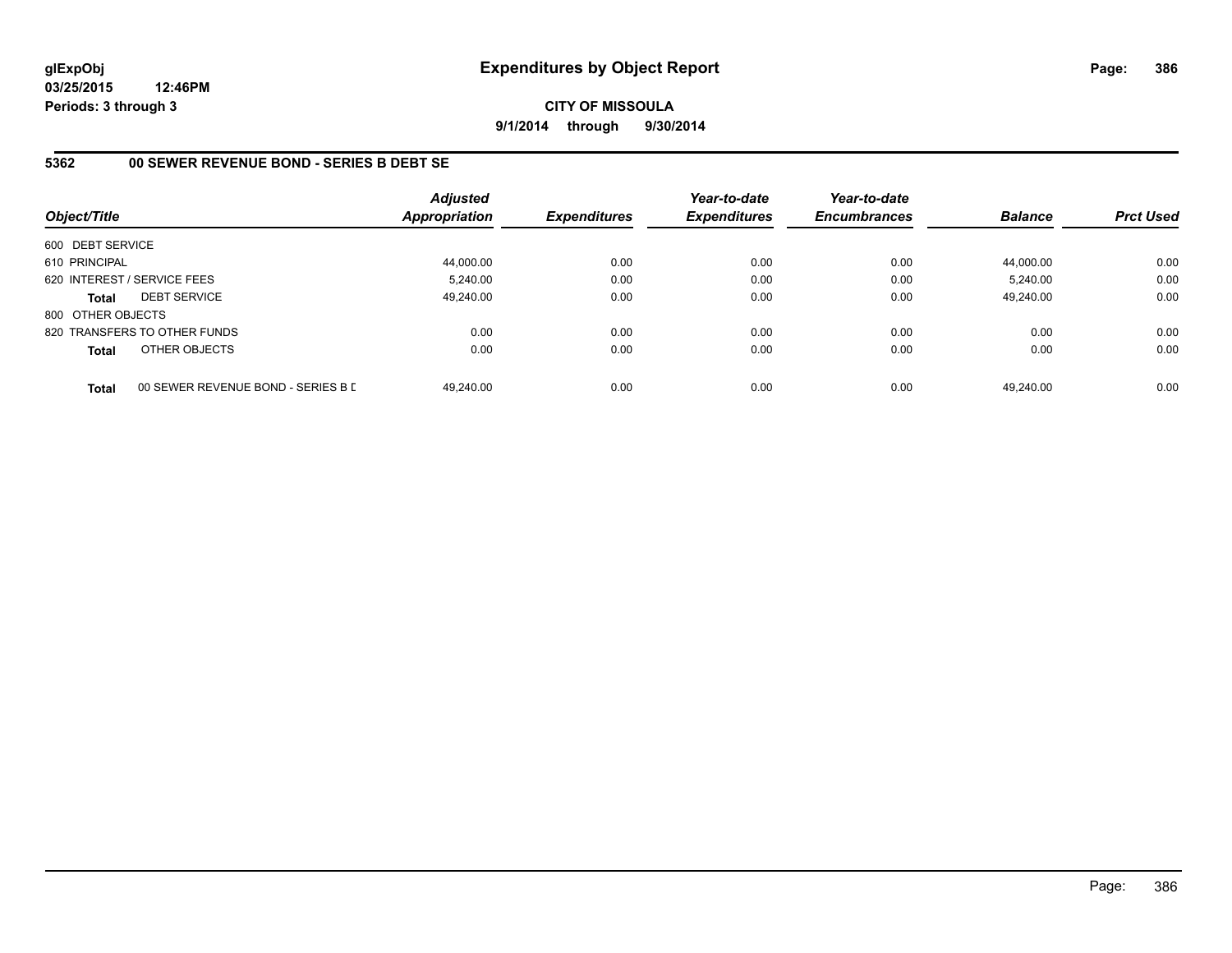**CITY OF MISSOULA 9/1/2014 through 9/30/2014**

#### **5362 00 SEWER REVENUE BOND - SERIES B DEBT SE**

| Object/Title      |                                    | <b>Adjusted</b><br><b>Appropriation</b> | <b>Expenditures</b> | Year-to-date<br><b>Expenditures</b> | Year-to-date<br><b>Encumbrances</b> | <b>Balance</b> | <b>Prct Used</b> |
|-------------------|------------------------------------|-----------------------------------------|---------------------|-------------------------------------|-------------------------------------|----------------|------------------|
| 600 DEBT SERVICE  |                                    |                                         |                     |                                     |                                     |                |                  |
| 610 PRINCIPAL     |                                    | 44,000.00                               | 0.00                | 0.00                                | 0.00                                | 44.000.00      | 0.00             |
|                   | 620 INTEREST / SERVICE FEES        | 5.240.00                                | 0.00                | 0.00                                | 0.00                                | 5.240.00       | 0.00             |
| <b>Total</b>      | <b>DEBT SERVICE</b>                | 49.240.00                               | 0.00                | 0.00                                | 0.00                                | 49.240.00      | 0.00             |
| 800 OTHER OBJECTS |                                    |                                         |                     |                                     |                                     |                |                  |
|                   | 820 TRANSFERS TO OTHER FUNDS       | 0.00                                    | 0.00                | 0.00                                | 0.00                                | 0.00           | 0.00             |
| <b>Total</b>      | OTHER OBJECTS                      | 0.00                                    | 0.00                | 0.00                                | 0.00                                | 0.00           | 0.00             |
| <b>Total</b>      | 00 SEWER REVENUE BOND - SERIES B D | 49.240.00                               | 0.00                | 0.00                                | 0.00                                | 49.240.00      | 0.00             |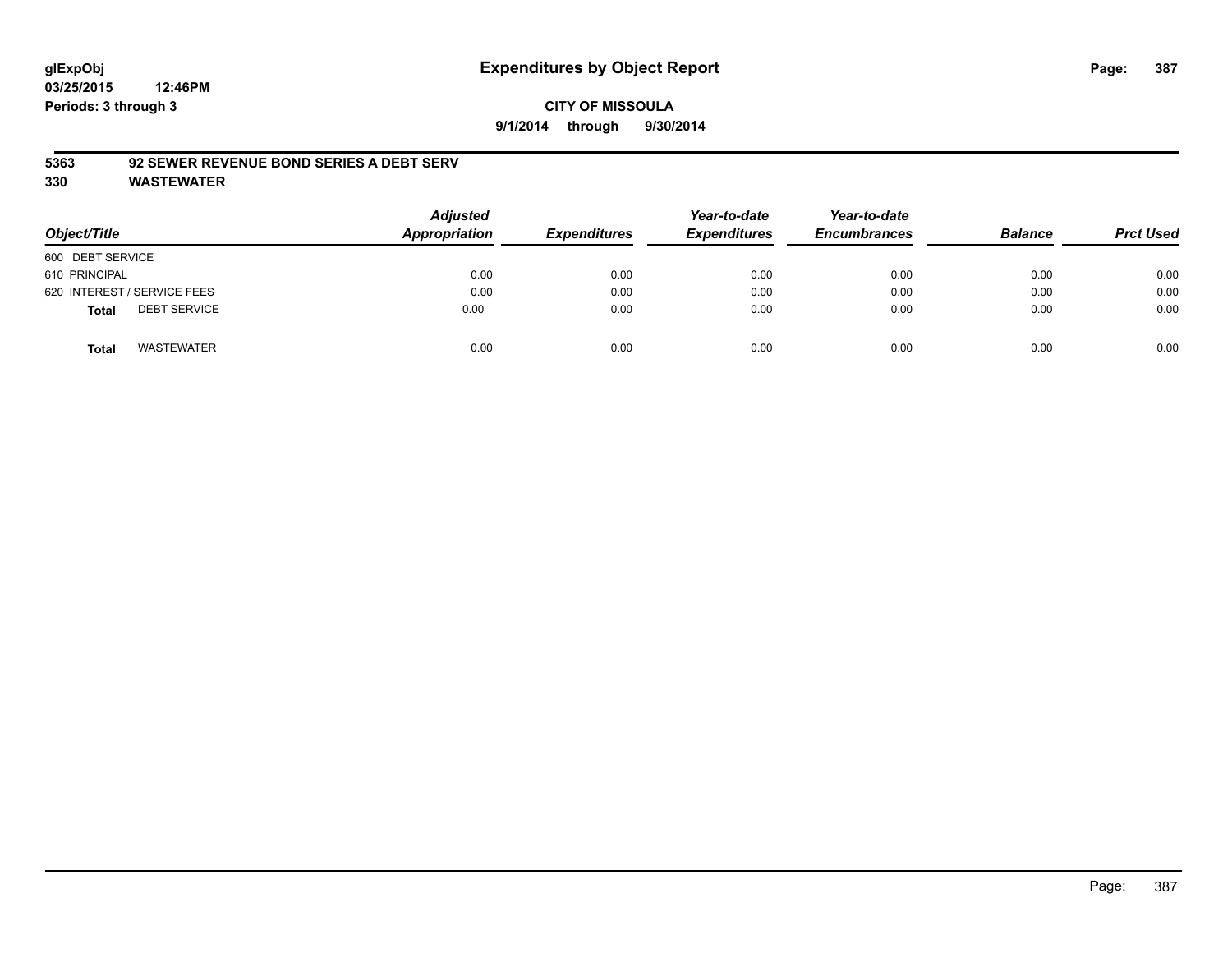#### **CITY OF MISSOULA 9/1/2014 through 9/30/2014**

#### **5363 92 SEWER REVENUE BOND SERIES A DEBT SERV**

| Object/Title                        | <b>Adjusted</b><br><b>Appropriation</b> | <b>Expenditures</b> | Year-to-date<br><b>Expenditures</b> | Year-to-date<br><b>Encumbrances</b> | <b>Balance</b> | <b>Prct Used</b> |
|-------------------------------------|-----------------------------------------|---------------------|-------------------------------------|-------------------------------------|----------------|------------------|
| 600 DEBT SERVICE                    |                                         |                     |                                     |                                     |                |                  |
| 610 PRINCIPAL                       | 0.00                                    | 0.00                | 0.00                                | 0.00                                | 0.00           | 0.00             |
| 620 INTEREST / SERVICE FEES         | 0.00                                    | 0.00                | 0.00                                | 0.00                                | 0.00           | 0.00             |
| <b>DEBT SERVICE</b><br><b>Total</b> | 0.00                                    | 0.00                | 0.00                                | 0.00                                | 0.00           | 0.00             |
| WASTEWATER<br><b>Total</b>          | 0.00                                    | 0.00                | 0.00                                | 0.00                                | 0.00           | 0.00             |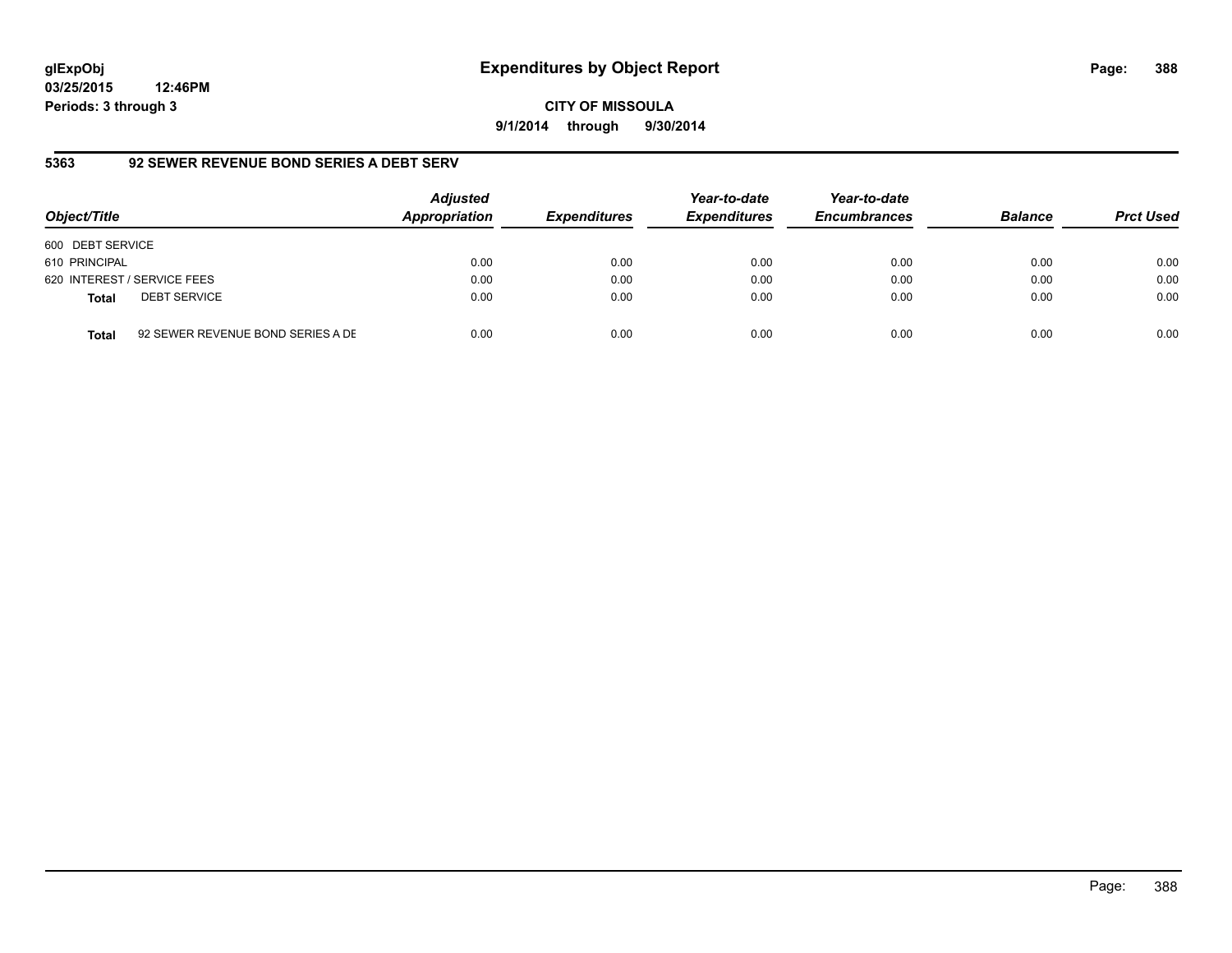**03/25/2015 12:46PM Periods: 3 through 3**

**5363 92 SEWER REVENUE BOND SERIES A DEBT SERV**

| Object/Title     |                                   | <b>Adjusted</b><br>Appropriation | <b>Expenditures</b> | Year-to-date<br><b>Expenditures</b> | Year-to-date<br><b>Encumbrances</b> | <b>Balance</b> | <b>Prct Used</b> |
|------------------|-----------------------------------|----------------------------------|---------------------|-------------------------------------|-------------------------------------|----------------|------------------|
| 600 DEBT SERVICE |                                   |                                  |                     |                                     |                                     |                |                  |
| 610 PRINCIPAL    |                                   | 0.00                             | 0.00                | 0.00                                | 0.00                                | 0.00           | 0.00             |
|                  | 620 INTEREST / SERVICE FEES       | 0.00                             | 0.00                | 0.00                                | 0.00                                | 0.00           | 0.00             |
| <b>Total</b>     | <b>DEBT SERVICE</b>               | 0.00                             | 0.00                | 0.00                                | 0.00                                | 0.00           | 0.00             |
| <b>Total</b>     | 92 SEWER REVENUE BOND SERIES A DE | 0.00                             | 0.00                | 0.00                                | 0.00                                | 0.00           | 0.00             |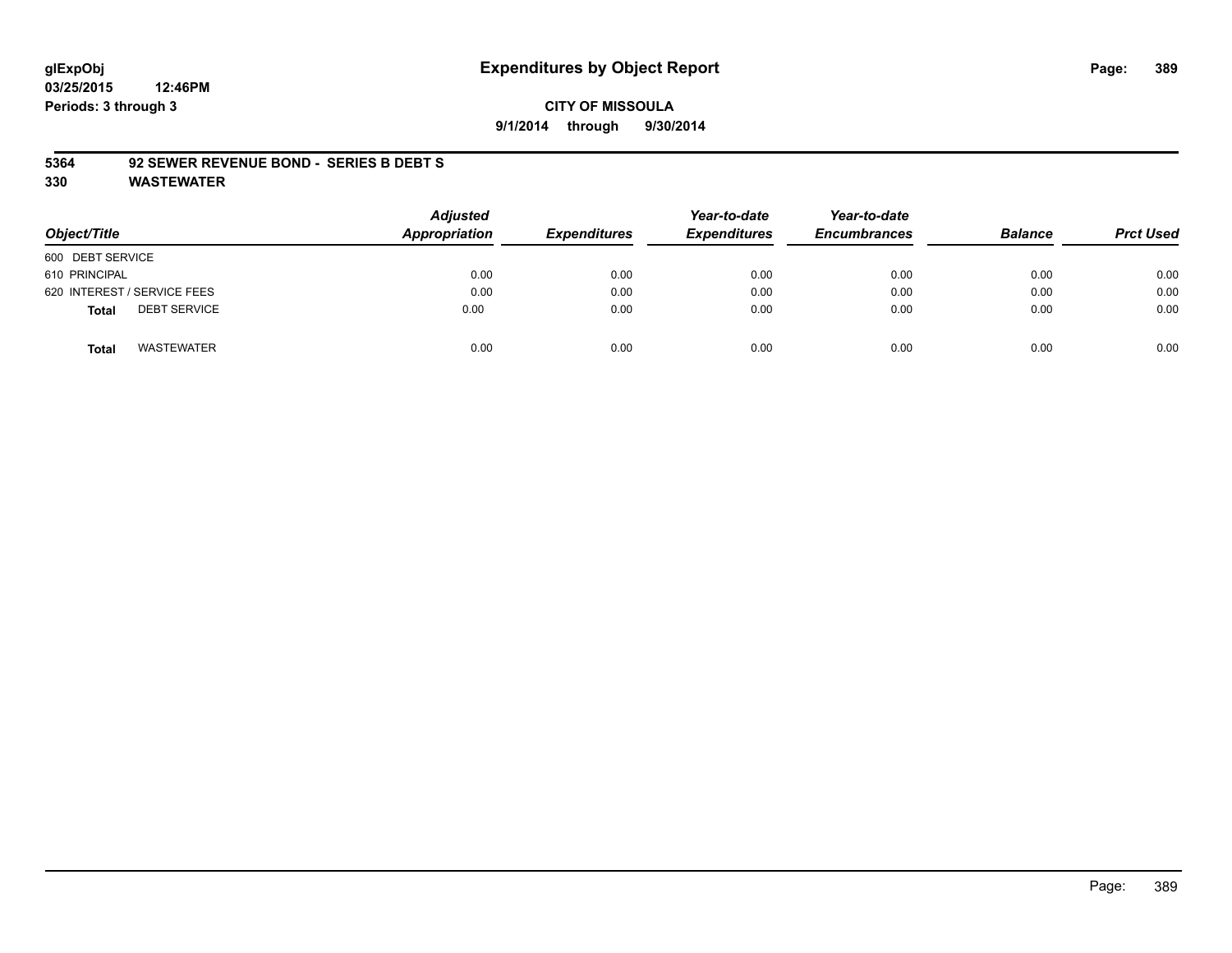**03/25/2015 12:46PM Periods: 3 through 3**

#### **CITY OF MISSOULA 9/1/2014 through 9/30/2014**

#### **5364 92 SEWER REVENUE BOND - SERIES B DEBT S**

| Object/Title                        | Adjusted<br>Appropriation | <b>Expenditures</b> | Year-to-date<br><b>Expenditures</b> | Year-to-date<br><b>Encumbrances</b> | <b>Balance</b> | <b>Prct Used</b> |
|-------------------------------------|---------------------------|---------------------|-------------------------------------|-------------------------------------|----------------|------------------|
| 600 DEBT SERVICE                    |                           |                     |                                     |                                     |                |                  |
| 610 PRINCIPAL                       | 0.00                      | 0.00                | 0.00                                | 0.00                                | 0.00           | 0.00             |
| 620 INTEREST / SERVICE FEES         | 0.00                      | 0.00                | 0.00                                | 0.00                                | 0.00           | 0.00             |
| <b>DEBT SERVICE</b><br><b>Total</b> | 0.00                      | 0.00                | 0.00                                | 0.00                                | 0.00           | 0.00             |
| <b>WASTEWATER</b><br><b>Total</b>   | 0.00                      | 0.00                | 0.00                                | 0.00                                | 0.00           | 0.00             |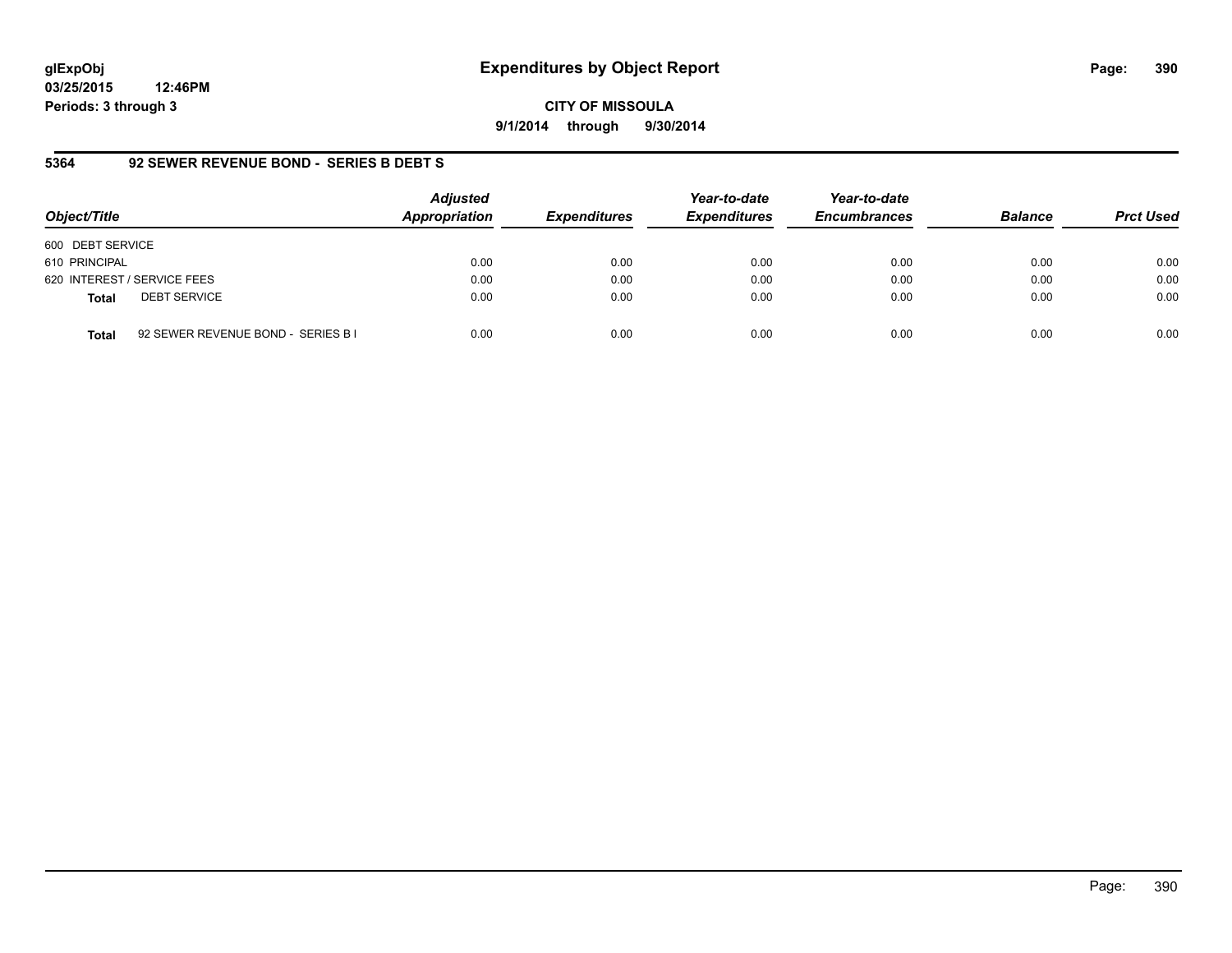**03/25/2015 12:46PM Periods: 3 through 3**

**CITY OF MISSOULA 9/1/2014 through 9/30/2014**

#### **5364 92 SEWER REVENUE BOND - SERIES B DEBT S**

| Object/Title                        | <b>Adjusted</b><br>Appropriation           | <b>Expenditures</b> | Year-to-date<br><b>Expenditures</b> | Year-to-date<br><b>Encumbrances</b> | <b>Balance</b> | <b>Prct Used</b> |
|-------------------------------------|--------------------------------------------|---------------------|-------------------------------------|-------------------------------------|----------------|------------------|
| 600 DEBT SERVICE                    |                                            |                     |                                     |                                     |                |                  |
| 610 PRINCIPAL                       | 0.00                                       | 0.00                | 0.00                                | 0.00                                | 0.00           | 0.00             |
| 620 INTEREST / SERVICE FEES         | 0.00                                       | 0.00                | 0.00                                | 0.00                                | 0.00           | 0.00             |
| <b>DEBT SERVICE</b><br><b>Total</b> | 0.00                                       | 0.00                | 0.00                                | 0.00                                | 0.00           | 0.00             |
| <b>Total</b>                        | 0.00<br>92 SEWER REVENUE BOND - SERIES B I | 0.00                | 0.00                                | 0.00                                | 0.00           | 0.00             |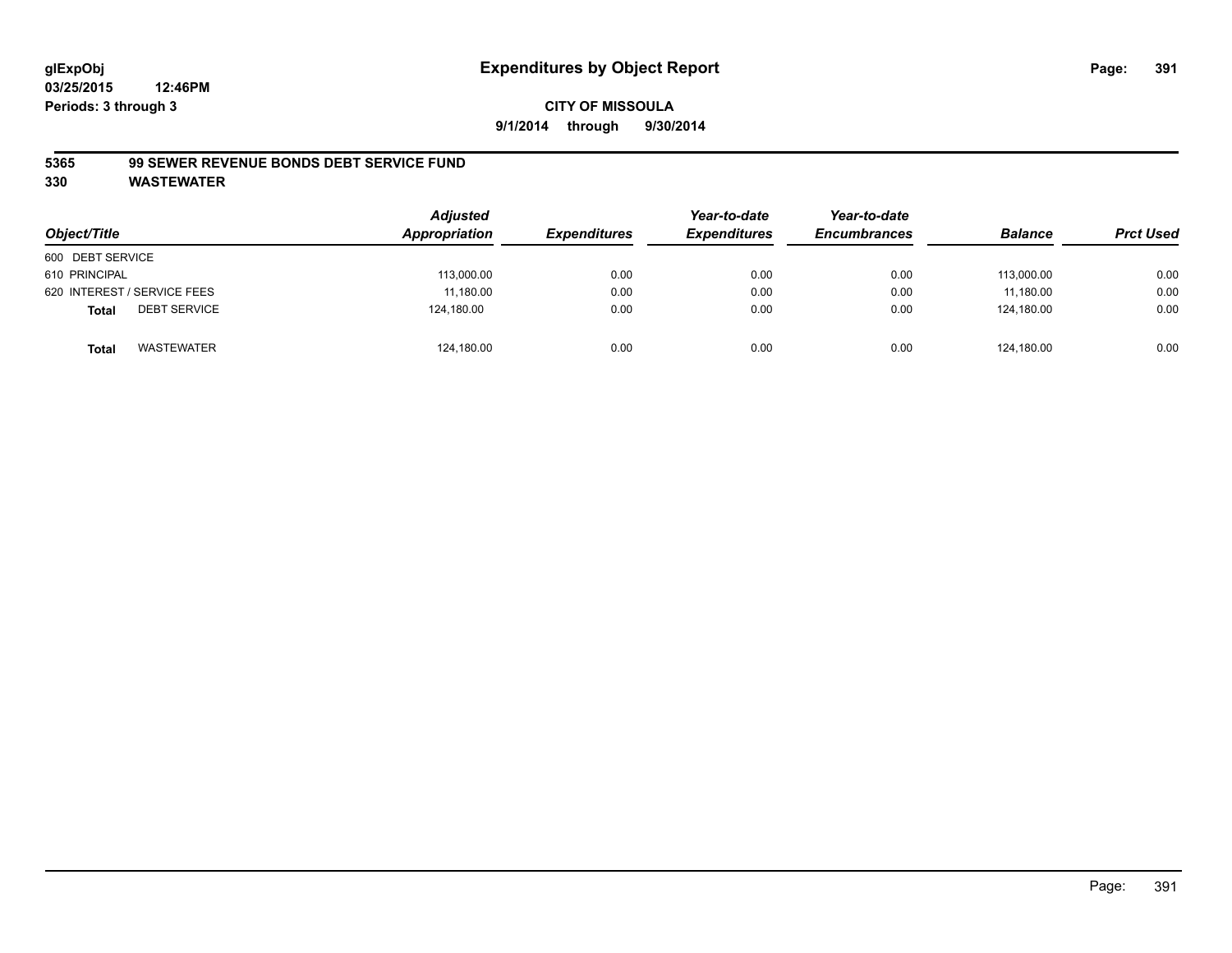#### **CITY OF MISSOULA 9/1/2014 through 9/30/2014**

#### **5365 99 SEWER REVENUE BONDS DEBT SERVICE FUND**

| Object/Title                        | <b>Adjusted</b><br>Appropriation | <b>Expenditures</b> | Year-to-date<br><b>Expenditures</b> | Year-to-date<br><b>Encumbrances</b> | <b>Balance</b> | <b>Prct Used</b> |
|-------------------------------------|----------------------------------|---------------------|-------------------------------------|-------------------------------------|----------------|------------------|
| 600 DEBT SERVICE                    |                                  |                     |                                     |                                     |                |                  |
| 610 PRINCIPAL                       | 113,000.00                       | 0.00                | 0.00                                | 0.00                                | 113.000.00     | 0.00             |
| 620 INTEREST / SERVICE FEES         | 11,180.00                        | 0.00                | 0.00                                | 0.00                                | 11.180.00      | 0.00             |
| <b>DEBT SERVICE</b><br><b>Total</b> | 124,180.00                       | 0.00                | 0.00                                | 0.00                                | 124.180.00     | 0.00             |
| WASTEWATER<br><b>Total</b>          | 124,180.00                       | 0.00                | 0.00                                | 0.00                                | 124.180.00     | 0.00             |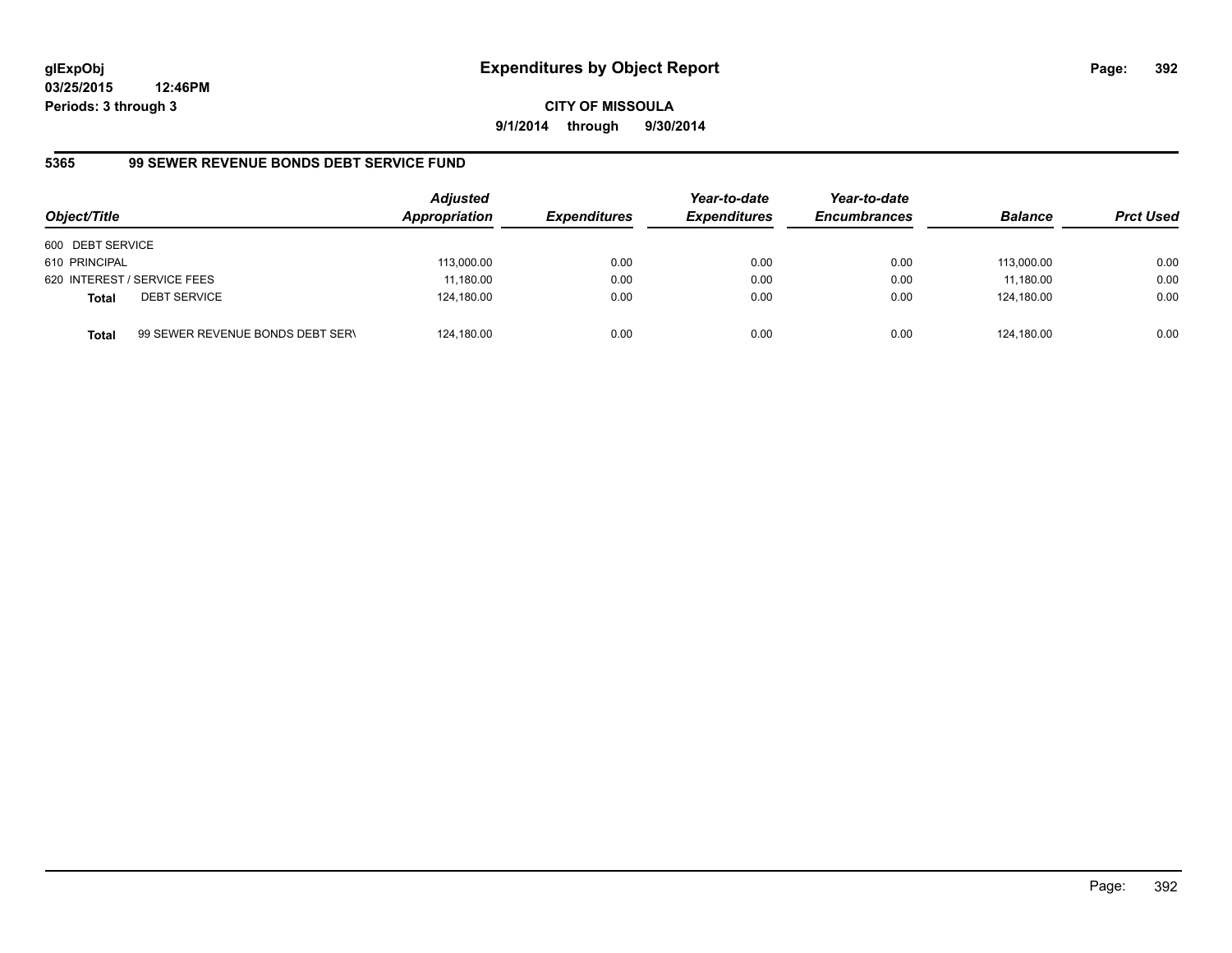**03/25/2015 12:46PM Periods: 3 through 3**

**9/1/2014 through 9/30/2014**

# **5365 99 SEWER REVENUE BONDS DEBT SERVICE FUND**

| Object/Title                |                                  | <b>Adjusted</b><br><b>Appropriation</b> | <b>Expenditures</b> | Year-to-date<br><i><b>Expenditures</b></i> | Year-to-date<br><b>Encumbrances</b> | <b>Balance</b> | <b>Prct Used</b> |
|-----------------------------|----------------------------------|-----------------------------------------|---------------------|--------------------------------------------|-------------------------------------|----------------|------------------|
| 600 DEBT SERVICE            |                                  |                                         |                     |                                            |                                     |                |                  |
| 610 PRINCIPAL               |                                  | 113,000.00                              | 0.00                | 0.00                                       | 0.00                                | 113.000.00     | 0.00             |
| 620 INTEREST / SERVICE FEES |                                  | 11,180.00                               | 0.00                | 0.00                                       | 0.00                                | 11.180.00      | 0.00             |
| Total                       | <b>DEBT SERVICE</b>              | 124,180.00                              | 0.00                | 0.00                                       | 0.00                                | 124.180.00     | 0.00             |
| Total                       | 99 SEWER REVENUE BONDS DEBT SERN | 124,180.00                              | 0.00                | 0.00                                       | 0.00                                | 124.180.00     | 0.00             |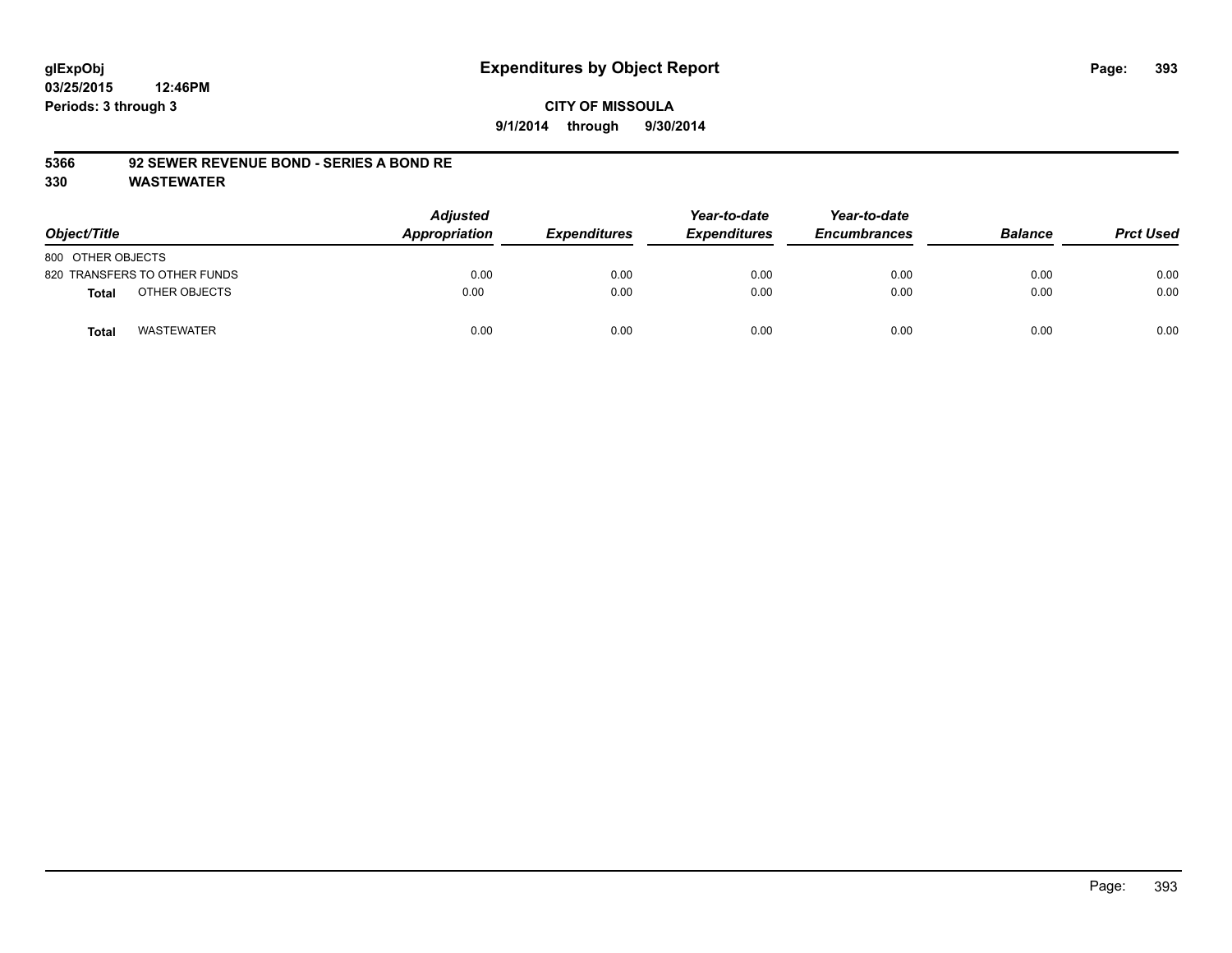#### **CITY OF MISSOULA 9/1/2014 through 9/30/2014**

#### **5366 92 SEWER REVENUE BOND - SERIES A BOND RE**

| Object/Title                 | <b>Adjusted</b><br>Appropriation | <b>Expenditures</b> | Year-to-date<br><b>Expenditures</b> | Year-to-date<br><b>Encumbrances</b> | <b>Balance</b> | <b>Prct Used</b> |
|------------------------------|----------------------------------|---------------------|-------------------------------------|-------------------------------------|----------------|------------------|
| 800 OTHER OBJECTS            |                                  |                     |                                     |                                     |                |                  |
| 820 TRANSFERS TO OTHER FUNDS | 0.00                             | 0.00                | 0.00                                | 0.00                                | 0.00           | 0.00             |
| OTHER OBJECTS<br>Total       | 0.00                             | 0.00                | 0.00                                | 0.00                                | 0.00           | 0.00             |
| <b>WASTEWATER</b><br>Total   | 0.00                             | 0.00                | 0.00                                | 0.00                                | 0.00           | 0.00             |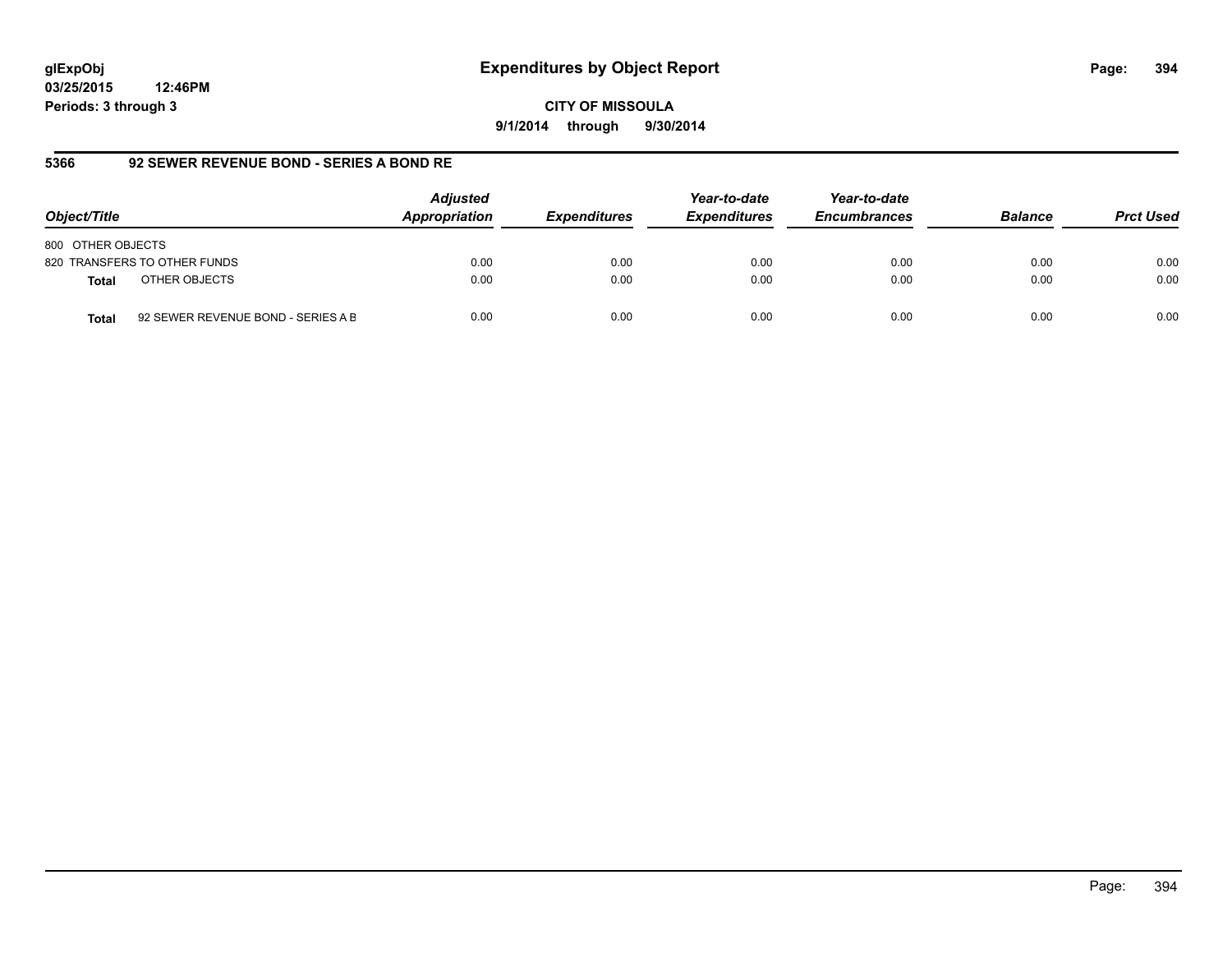**03/25/2015 12:46PM Periods: 3 through 3**

**9/1/2014 through 9/30/2014**

## **5366 92 SEWER REVENUE BOND - SERIES A BOND RE**

| Object/Title                                       | <b>Adjusted</b><br>Appropriation | <b>Expenditures</b> | Year-to-date<br><b>Expenditures</b> | Year-to-date<br><b>Encumbrances</b> | <b>Balance</b> | <b>Prct Used</b> |
|----------------------------------------------------|----------------------------------|---------------------|-------------------------------------|-------------------------------------|----------------|------------------|
| 800 OTHER OBJECTS                                  |                                  |                     |                                     |                                     |                |                  |
| 820 TRANSFERS TO OTHER FUNDS                       | 0.00                             | 0.00                | 0.00                                | 0.00                                | 0.00           | 0.00             |
| OTHER OBJECTS<br><b>Total</b>                      | 0.00                             | 0.00                | 0.00                                | 0.00                                | 0.00           | 0.00             |
| 92 SEWER REVENUE BOND - SERIES A B<br><b>Total</b> | 0.00                             | 0.00                | 0.00                                | 0.00                                | 0.00           | 0.00             |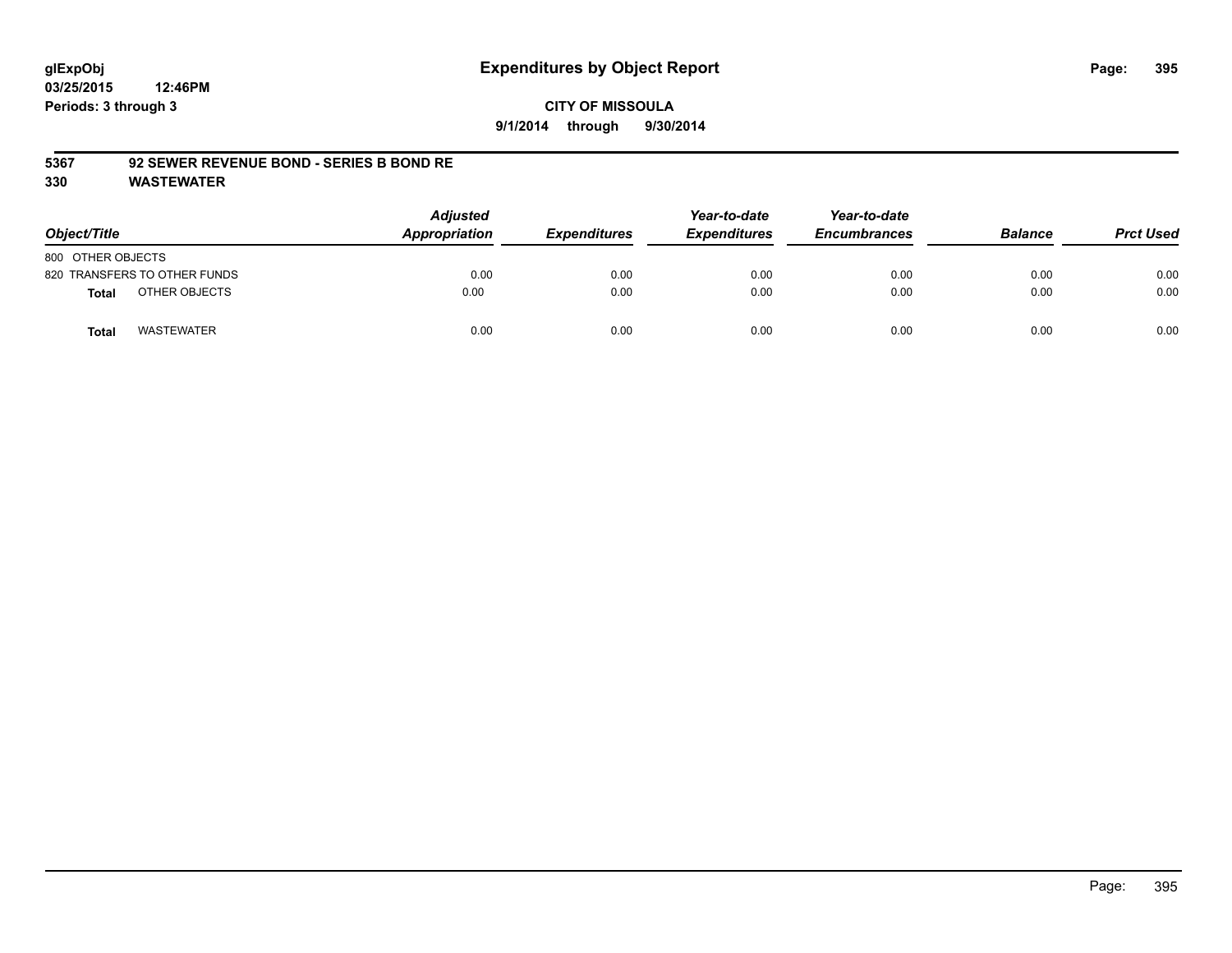#### **CITY OF MISSOULA 9/1/2014 through 9/30/2014**

#### **5367 92 SEWER REVENUE BOND - SERIES B BOND RE**

| Object/Title                 | <b>Adjusted</b><br>Appropriation | <b>Expenditures</b> | Year-to-date<br><b>Expenditures</b> | Year-to-date<br><b>Encumbrances</b> | <b>Balance</b> | <b>Prct Used</b> |
|------------------------------|----------------------------------|---------------------|-------------------------------------|-------------------------------------|----------------|------------------|
| 800 OTHER OBJECTS            |                                  |                     |                                     |                                     |                |                  |
| 820 TRANSFERS TO OTHER FUNDS | 0.00                             | 0.00                | 0.00                                | 0.00                                | 0.00           | 0.00             |
| OTHER OBJECTS<br>Total       | 0.00                             | 0.00                | 0.00                                | 0.00                                | 0.00           | 0.00             |
| <b>WASTEWATER</b><br>Total   | 0.00                             | 0.00                | 0.00                                | 0.00                                | 0.00           | 0.00             |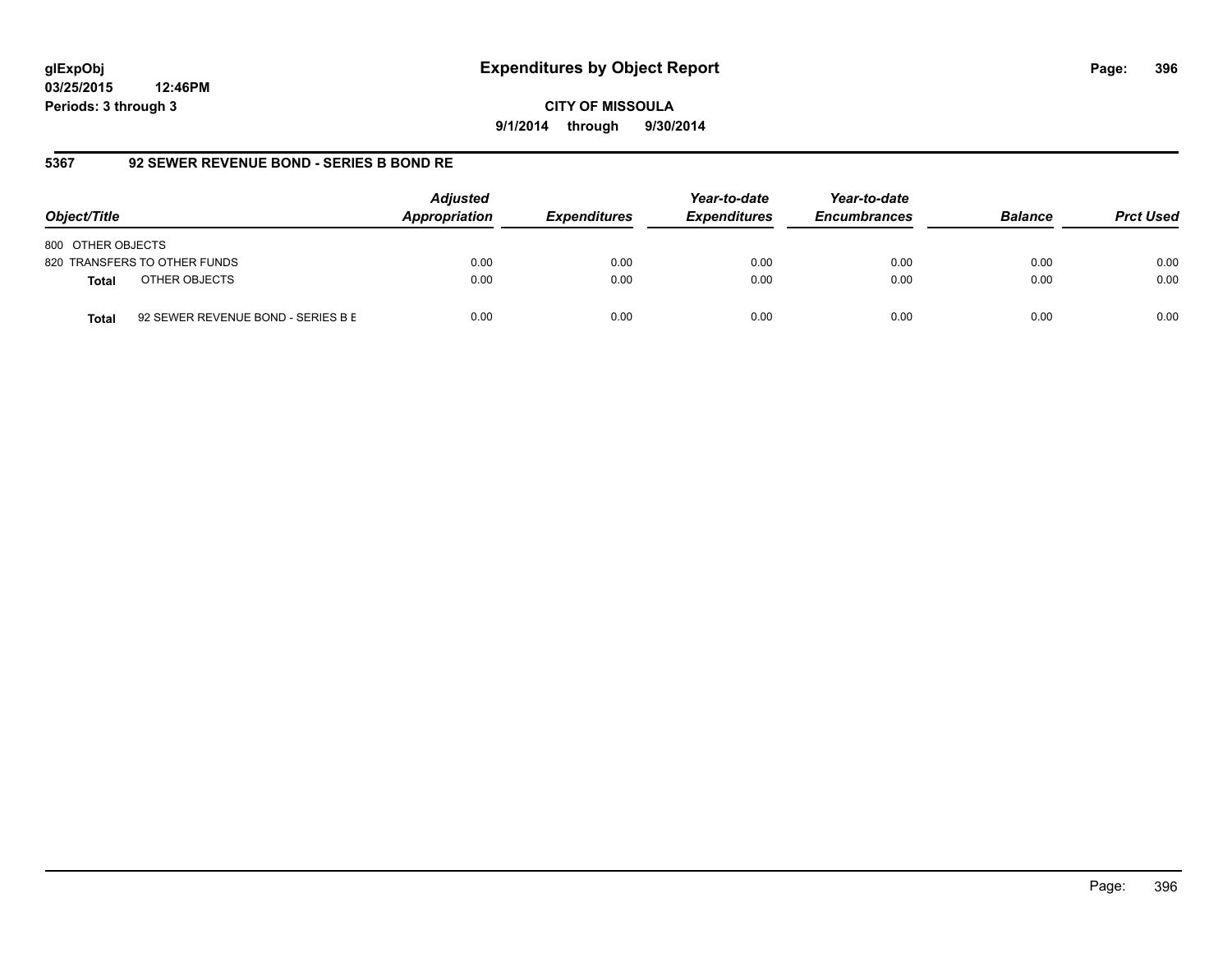**03/25/2015 12:46PM Periods: 3 through 3**

**9/1/2014 through 9/30/2014**

#### **5367 92 SEWER REVENUE BOND - SERIES B BOND RE**

| Object/Title                                       | <b>Adjusted</b><br>Appropriation | <b>Expenditures</b> | Year-to-date<br><b>Expenditures</b> | Year-to-date<br><b>Encumbrances</b> | <b>Balance</b> | <b>Prct Used</b> |
|----------------------------------------------------|----------------------------------|---------------------|-------------------------------------|-------------------------------------|----------------|------------------|
| 800 OTHER OBJECTS                                  |                                  |                     |                                     |                                     |                |                  |
| 820 TRANSFERS TO OTHER FUNDS                       | 0.00                             | 0.00                | 0.00                                | 0.00                                | 0.00           | 0.00             |
| OTHER OBJECTS<br><b>Total</b>                      | 0.00                             | 0.00                | 0.00                                | 0.00                                | 0.00           | 0.00             |
| 92 SEWER REVENUE BOND - SERIES B E<br><b>Total</b> | 0.00                             | 0.00                | 0.00                                | 0.00                                | 0.00           | 0.00             |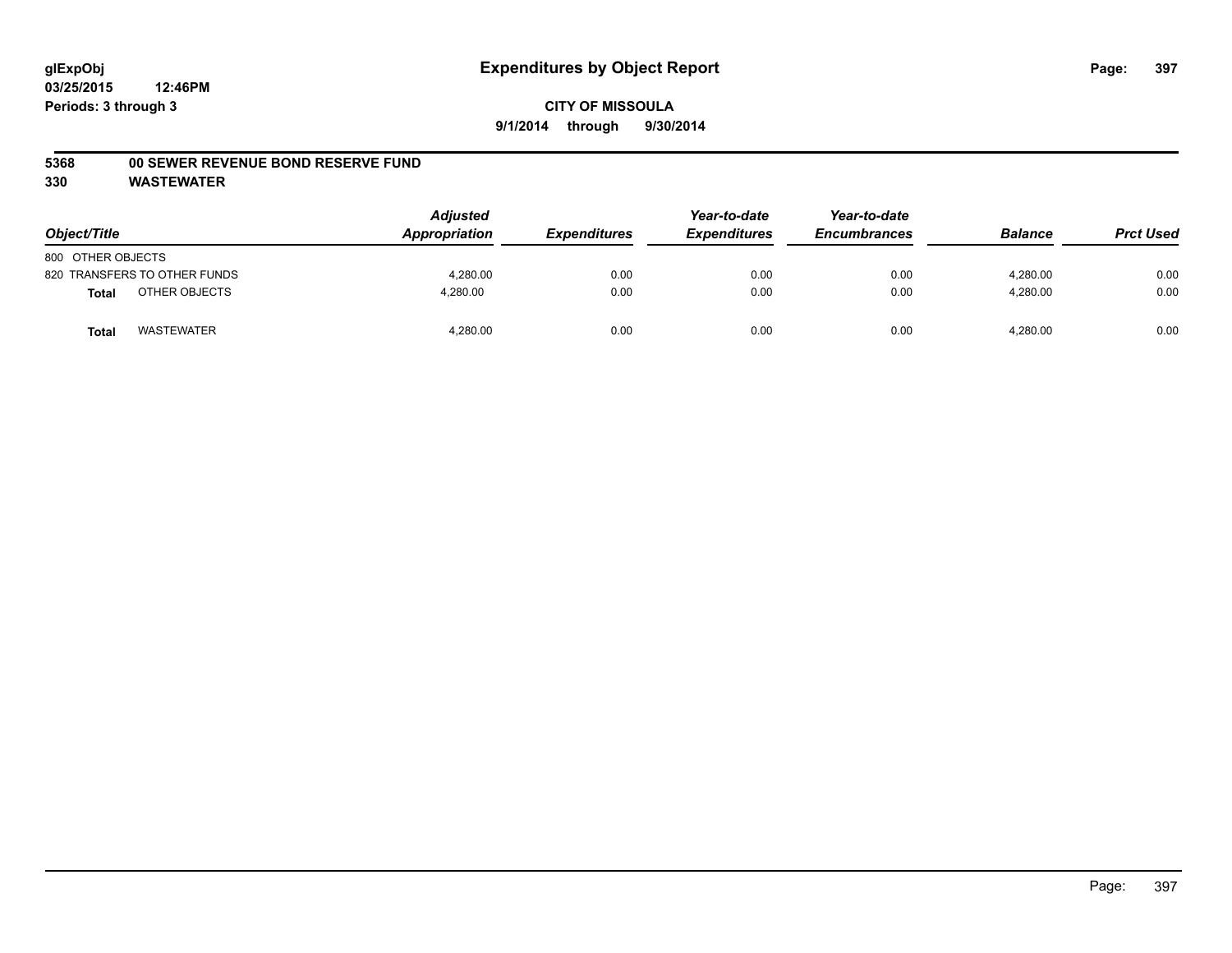#### **5368 00 SEWER REVENUE BOND RESERVE FUND**

| Object/Title      |                              | <b>Adjusted</b><br>Appropriation | <b>Expenditures</b> | Year-to-date<br><b>Expenditures</b> | Year-to-date<br><b>Encumbrances</b> | <b>Balance</b> | <b>Prct Used</b> |
|-------------------|------------------------------|----------------------------------|---------------------|-------------------------------------|-------------------------------------|----------------|------------------|
| 800 OTHER OBJECTS |                              |                                  |                     |                                     |                                     |                |                  |
|                   | 820 TRANSFERS TO OTHER FUNDS | 4.280.00                         | 0.00                | 0.00                                | 0.00                                | 4.280.00       | 0.00             |
| <b>Total</b>      | OTHER OBJECTS                | 4,280.00                         | 0.00                | 0.00                                | 0.00                                | 4,280.00       | 0.00             |
| <b>Total</b>      | <b>WASTEWATER</b>            | 4,280.00                         | 0.00                | 0.00                                | 0.00                                | 4,280.00       | 0.00             |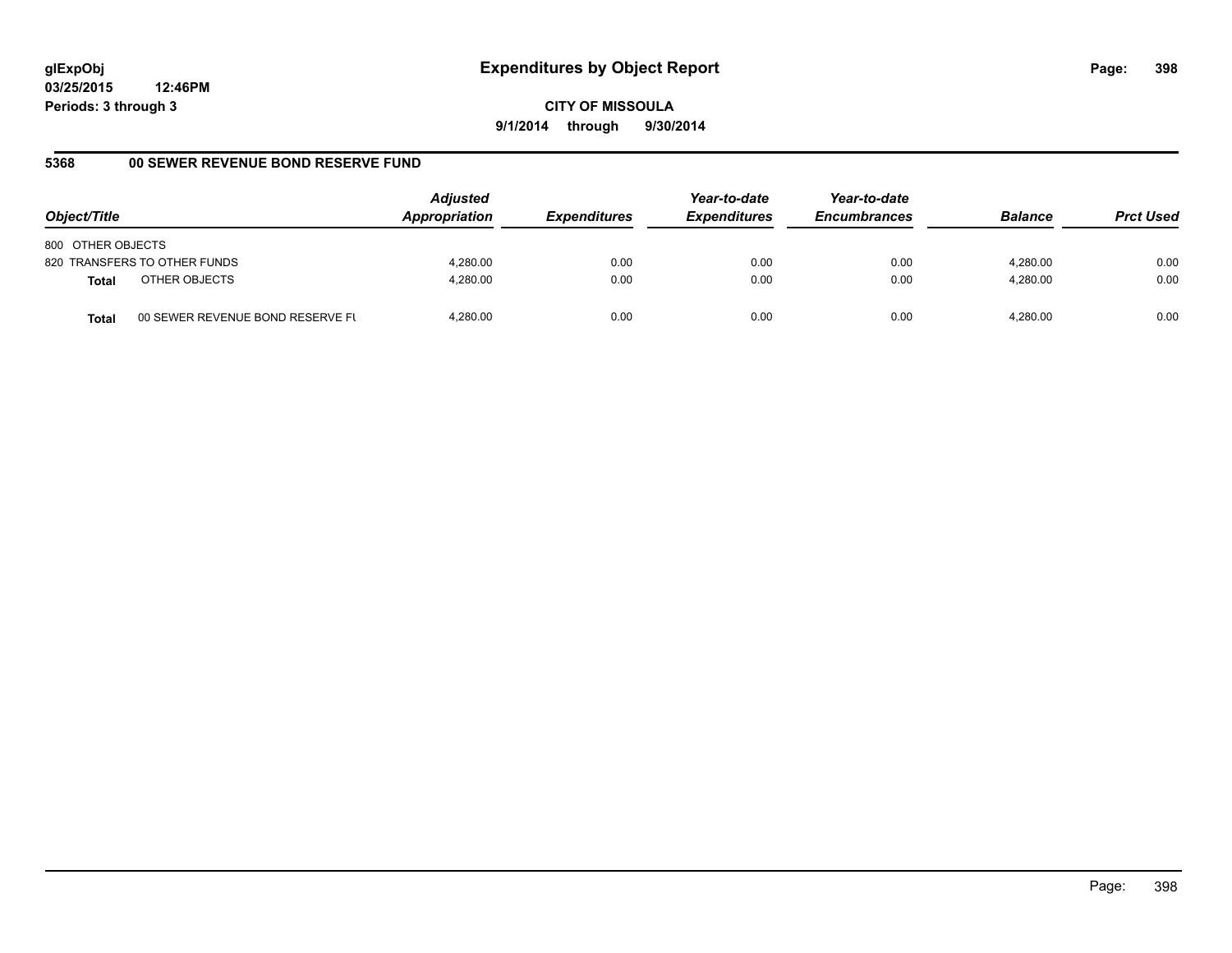**CITY OF MISSOULA 9/1/2014 through 9/30/2014**

### **5368 00 SEWER REVENUE BOND RESERVE FUND**

| Object/Title                              | <b>Adjusted</b><br>Appropriation | <b>Expenditures</b> | Year-to-date<br><b>Expenditures</b> | Year-to-date<br><b>Encumbrances</b> | <b>Balance</b> | <b>Prct Used</b> |
|-------------------------------------------|----------------------------------|---------------------|-------------------------------------|-------------------------------------|----------------|------------------|
| 800 OTHER OBJECTS                         |                                  |                     |                                     |                                     |                |                  |
| 820 TRANSFERS TO OTHER FUNDS              | 4.280.00                         | 0.00                | 0.00                                | 0.00                                | 4.280.00       | 0.00             |
| OTHER OBJECTS<br><b>Total</b>             | 4.280.00                         | 0.00                | 0.00                                | 0.00                                | 4.280.00       | 0.00             |
| 00 SEWER REVENUE BOND RESERVE FL<br>Total | 4.280.00                         | 0.00                | 0.00                                | 0.00                                | 4.280.00       | 0.00             |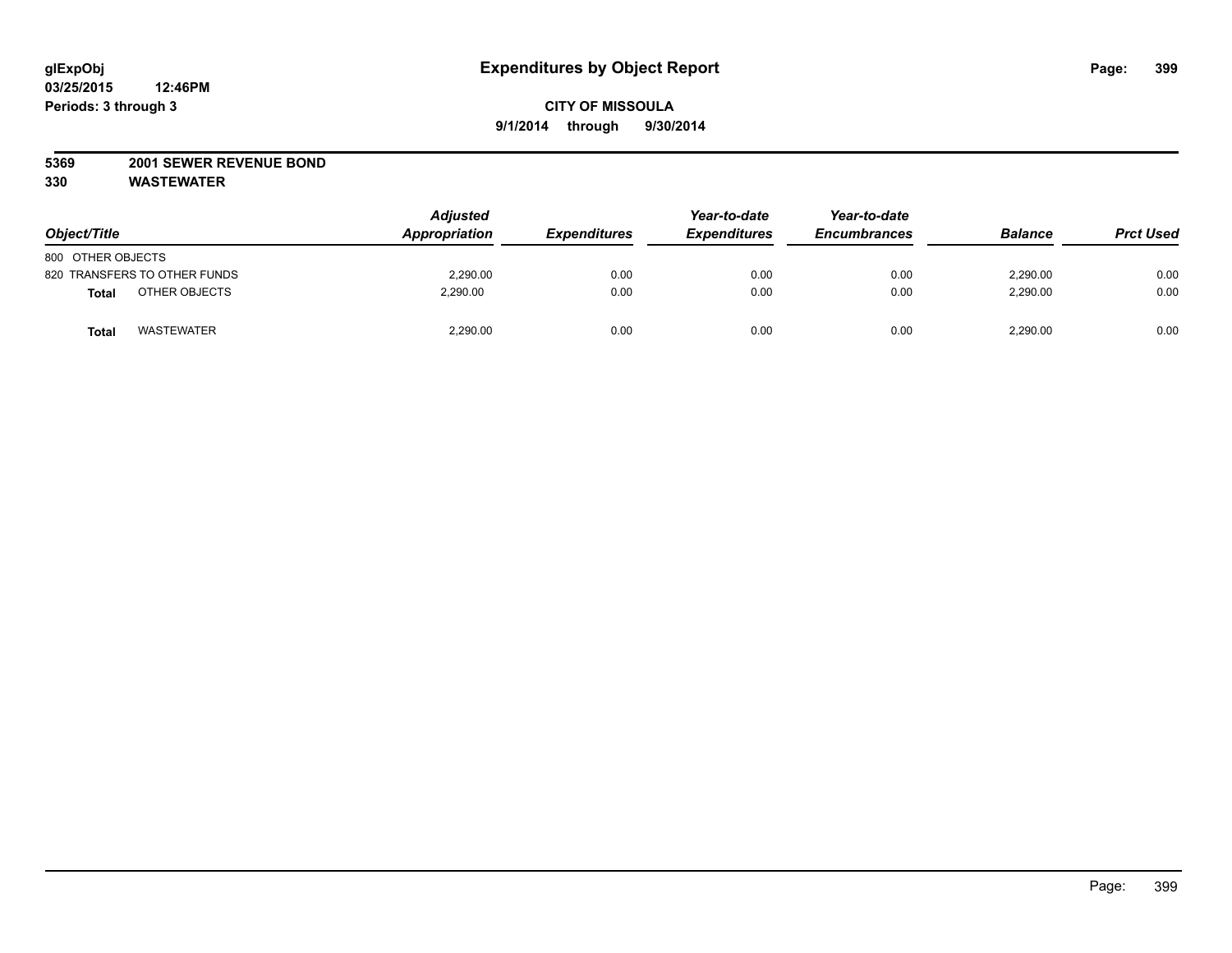### **5369 2001 SEWER REVENUE BOND**

| Object/Title                  | <b>Adjusted</b><br>Appropriation | <b>Expenditures</b> | Year-to-date<br><b>Expenditures</b> | Year-to-date<br><b>Encumbrances</b> | <b>Balance</b> | <b>Prct Used</b> |
|-------------------------------|----------------------------------|---------------------|-------------------------------------|-------------------------------------|----------------|------------------|
| 800 OTHER OBJECTS             |                                  |                     |                                     |                                     |                |                  |
| 820 TRANSFERS TO OTHER FUNDS  | 2,290.00                         | 0.00                | 0.00                                | 0.00                                | 2,290.00       | 0.00             |
| OTHER OBJECTS<br><b>Total</b> | 2,290.00                         | 0.00                | 0.00                                | 0.00                                | 2,290.00       | 0.00             |
| <b>WASTEWATER</b><br>Tota     | 2,290.00                         | 0.00                | 0.00                                | 0.00                                | 2,290.00       | 0.00             |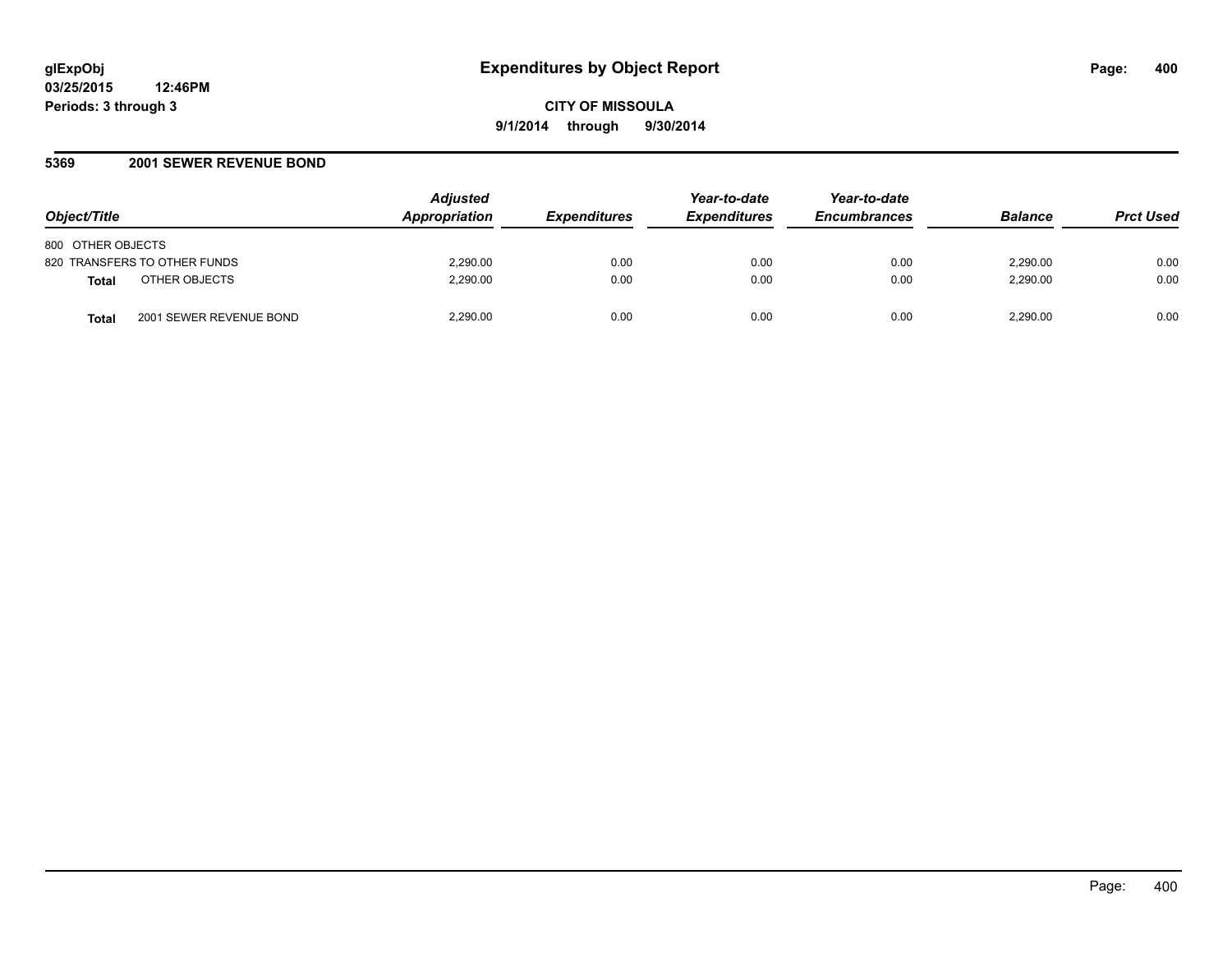#### **5369 2001 SEWER REVENUE BOND**

| Object/Title                            | <b>Adjusted</b><br><b>Appropriation</b> | <b>Expenditures</b> | Year-to-date<br><b>Expenditures</b> | Year-to-date<br><b>Encumbrances</b> | <b>Balance</b> | <b>Prct Used</b> |
|-----------------------------------------|-----------------------------------------|---------------------|-------------------------------------|-------------------------------------|----------------|------------------|
| 800 OTHER OBJECTS                       |                                         |                     |                                     |                                     |                |                  |
| 820 TRANSFERS TO OTHER FUNDS            | 2,290.00                                | 0.00                | 0.00                                | 0.00                                | 2.290.00       | 0.00             |
| OTHER OBJECTS<br><b>Total</b>           | 2,290.00                                | 0.00                | 0.00                                | 0.00                                | 2,290.00       | 0.00             |
| 2001 SEWER REVENUE BOND<br><b>Total</b> | 2,290.00                                | 0.00                | 0.00                                | 0.00                                | 2,290.00       | 0.00             |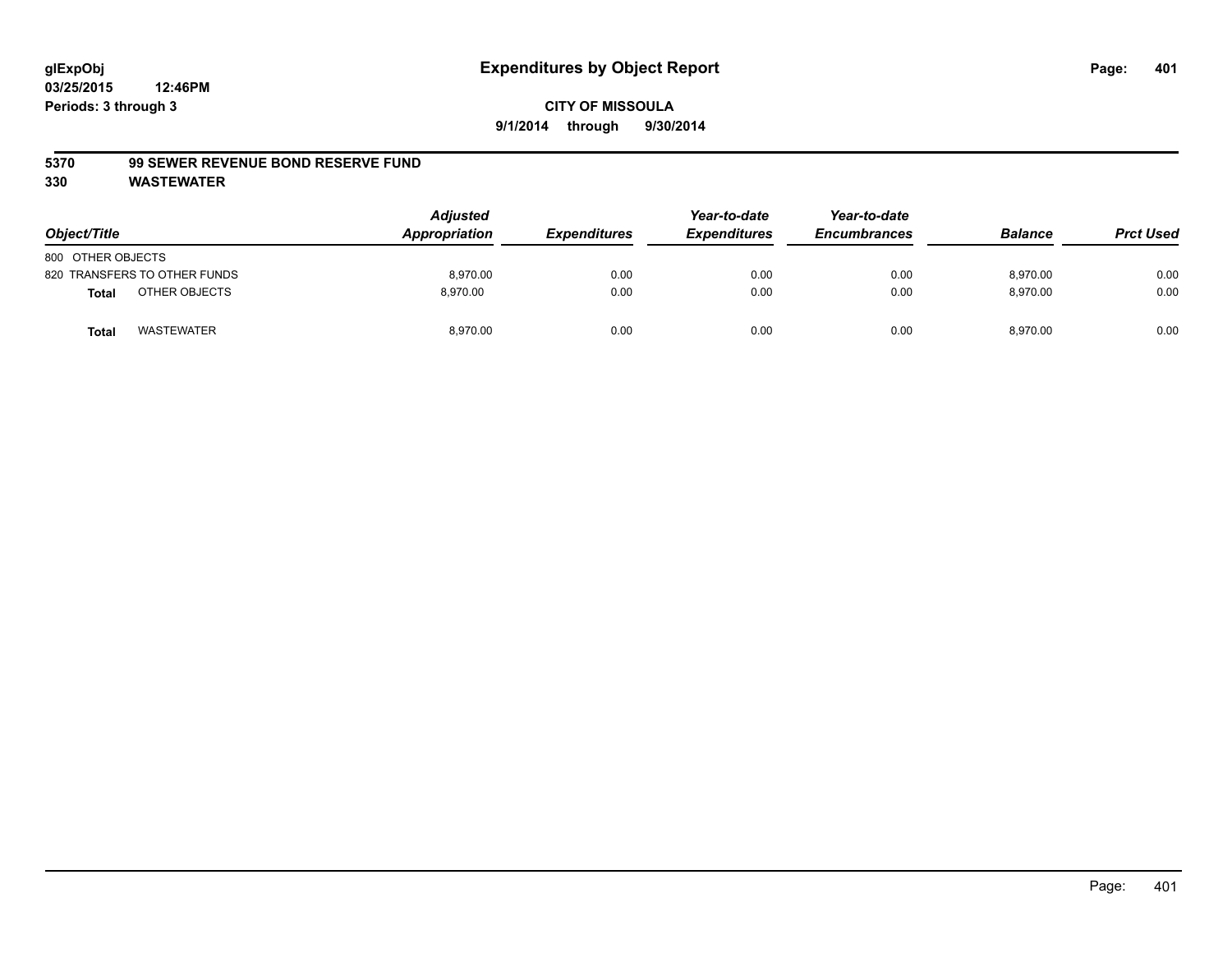#### **5370 99 SEWER REVENUE BOND RESERVE FUND**

| Object/Title                      | <b>Adjusted</b><br>Appropriation | <b>Expenditures</b> | Year-to-date<br><b>Expenditures</b> | Year-to-date<br><b>Encumbrances</b> | <b>Balance</b> | <b>Prct Used</b> |
|-----------------------------------|----------------------------------|---------------------|-------------------------------------|-------------------------------------|----------------|------------------|
| 800 OTHER OBJECTS                 |                                  |                     |                                     |                                     |                |                  |
| 820 TRANSFERS TO OTHER FUNDS      | 8.970.00                         | 0.00                | 0.00                                | 0.00                                | 8.970.00       | 0.00             |
| OTHER OBJECTS<br><b>Total</b>     | 8.970.00                         | 0.00                | 0.00                                | 0.00                                | 8,970.00       | 0.00             |
| <b>WASTEWATER</b><br><b>Total</b> | 8,970.00                         | 0.00                | 0.00                                | 0.00                                | 8,970.00       | 0.00             |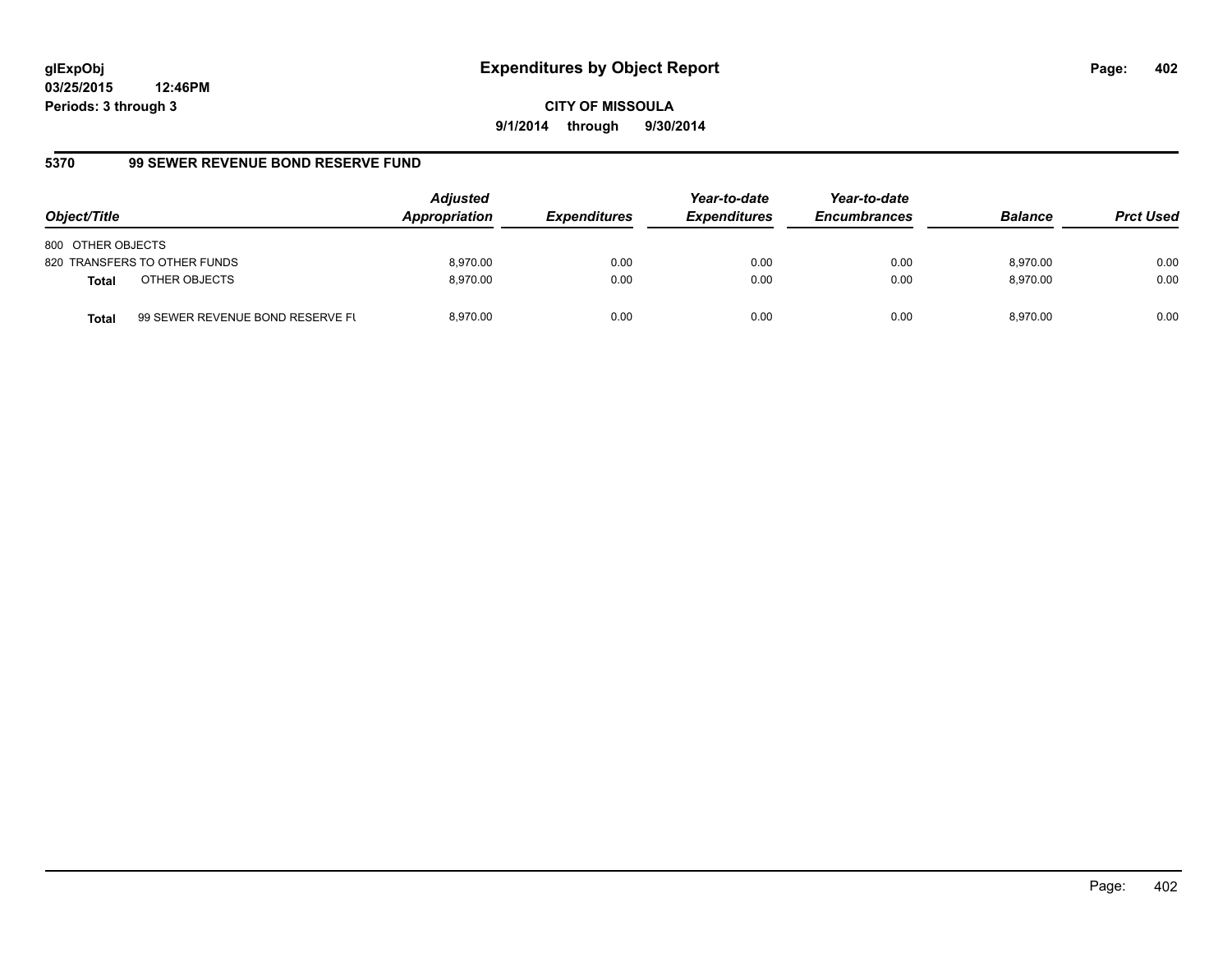**CITY OF MISSOULA 9/1/2014 through 9/30/2014**

### **5370 99 SEWER REVENUE BOND RESERVE FUND**

| Object/Title                  |                                  | <b>Adjusted</b><br>Appropriation | <b>Expenditures</b> | Year-to-date<br><b>Expenditures</b> | Year-to-date<br><b>Encumbrances</b> | <b>Balance</b> | <b>Prct Used</b> |
|-------------------------------|----------------------------------|----------------------------------|---------------------|-------------------------------------|-------------------------------------|----------------|------------------|
| 800 OTHER OBJECTS             |                                  |                                  |                     |                                     |                                     |                |                  |
| 820 TRANSFERS TO OTHER FUNDS  |                                  | 8.970.00                         | 0.00                | 0.00                                | 0.00                                | 8.970.00       | 0.00             |
| OTHER OBJECTS<br><b>Total</b> |                                  | 8.970.00                         | 0.00                | 0.00                                | 0.00                                | 8.970.00       | 0.00             |
| <b>Total</b>                  | 99 SEWER REVENUE BOND RESERVE FL | 8.970.00                         | 0.00                | 0.00                                | 0.00                                | 8.970.00       | 0.00             |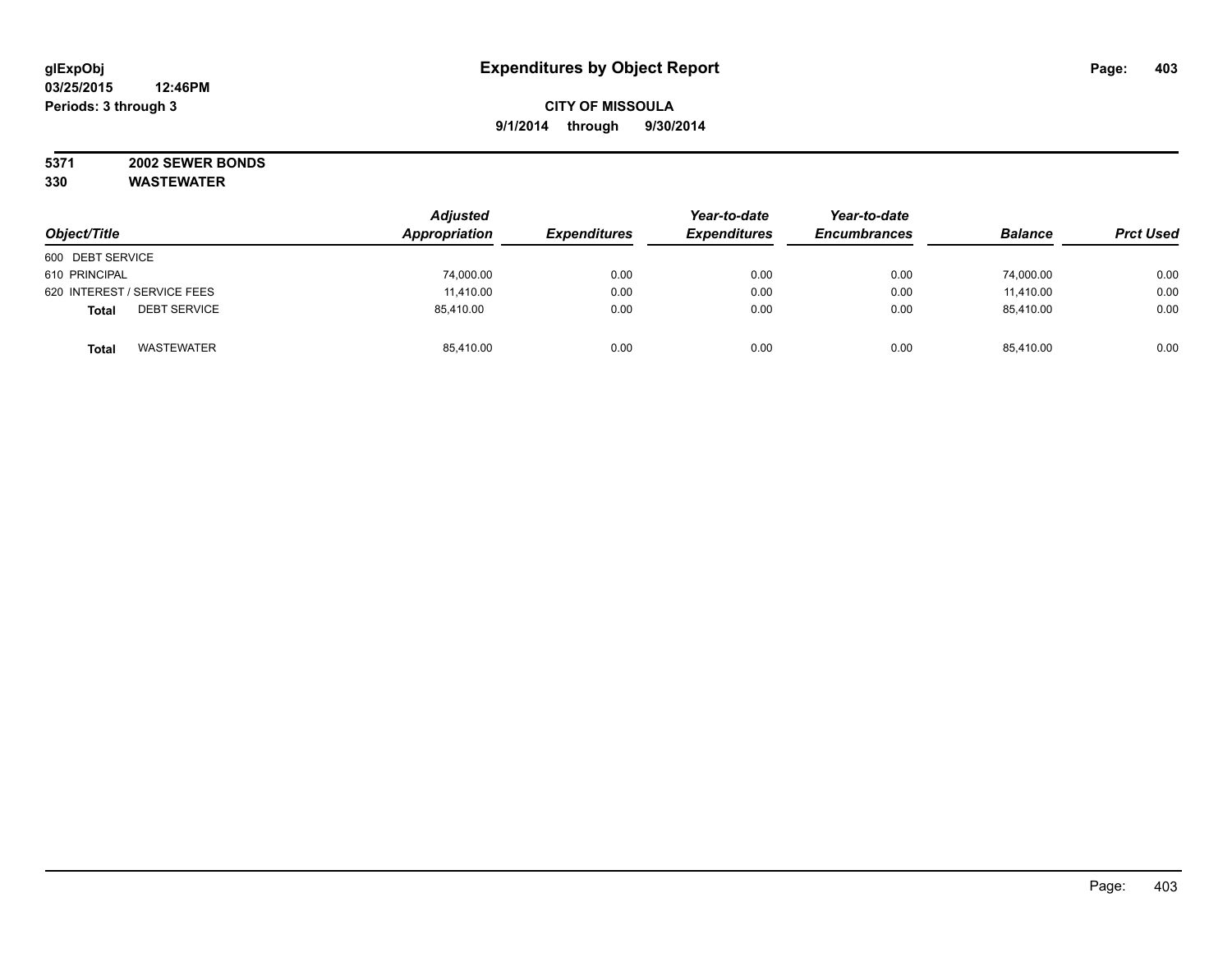#### **5371 2002 SEWER BONDS 330 WASTEWATER**

| Object/Title                        | <b>Adjusted</b><br>Appropriation | <b>Expenditures</b> | Year-to-date<br><b>Expenditures</b> | Year-to-date<br><b>Encumbrances</b> | <b>Balance</b> | <b>Prct Used</b> |
|-------------------------------------|----------------------------------|---------------------|-------------------------------------|-------------------------------------|----------------|------------------|
| 600 DEBT SERVICE                    |                                  |                     |                                     |                                     |                |                  |
| 610 PRINCIPAL                       | 74,000.00                        | 0.00                | 0.00                                | 0.00                                | 74,000.00      | 0.00             |
| 620 INTEREST / SERVICE FEES         | 11,410.00                        | 0.00                | 0.00                                | 0.00                                | 11,410.00      | 0.00             |
| <b>DEBT SERVICE</b><br><b>Total</b> | 85,410.00                        | 0.00                | 0.00                                | 0.00                                | 85,410.00      | 0.00             |
| <b>WASTEWATER</b><br><b>Total</b>   | 85,410.00                        | 0.00                | 0.00                                | 0.00                                | 85.410.00      | 0.00             |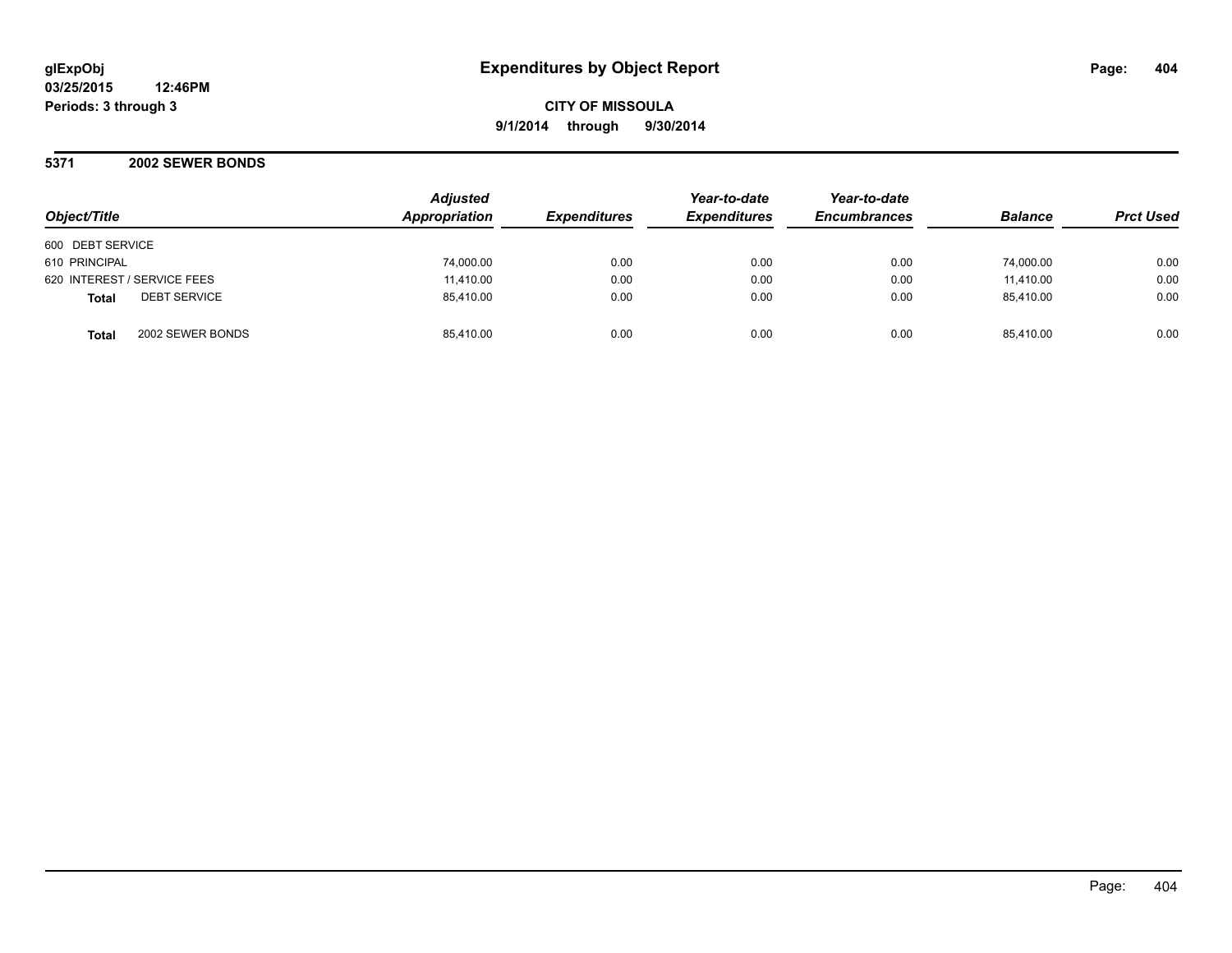**CITY OF MISSOULA 9/1/2014 through 9/30/2014**

**5371 2002 SEWER BONDS**

| Object/Title                        | <b>Adjusted</b><br>Appropriation | <b>Expenditures</b> | Year-to-date<br><b>Expenditures</b> | Year-to-date<br><b>Encumbrances</b> | <b>Balance</b> | <b>Prct Used</b> |
|-------------------------------------|----------------------------------|---------------------|-------------------------------------|-------------------------------------|----------------|------------------|
| 600 DEBT SERVICE                    |                                  |                     |                                     |                                     |                |                  |
| 610 PRINCIPAL                       | 74,000.00                        | 0.00                | 0.00                                | 0.00                                | 74,000.00      | 0.00             |
| 620 INTEREST / SERVICE FEES         | 11,410.00                        | 0.00                | 0.00                                | 0.00                                | 11,410.00      | 0.00             |
| <b>DEBT SERVICE</b><br><b>Total</b> | 85,410.00                        | 0.00                | 0.00                                | 0.00                                | 85.410.00      | 0.00             |
| 2002 SEWER BONDS<br><b>Total</b>    | 85,410.00                        | 0.00                | 0.00                                | 0.00                                | 85.410.00      | 0.00             |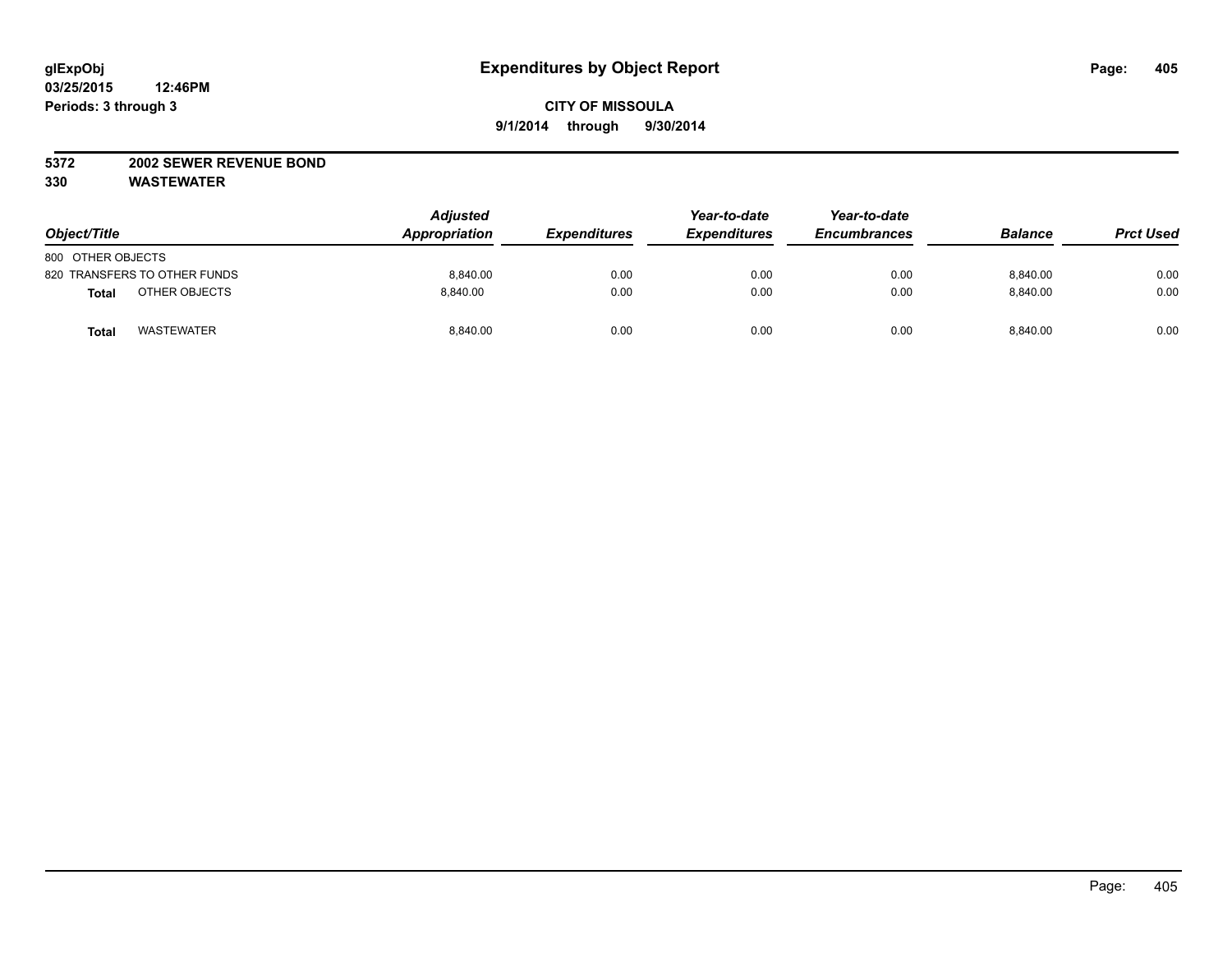### **5372 2002 SEWER REVENUE BOND**

| Object/Title                      | <b>Adjusted</b><br>Appropriation | <b>Expenditures</b> | Year-to-date<br><b>Expenditures</b> | Year-to-date<br><b>Encumbrances</b> | <b>Balance</b> | <b>Prct Used</b> |
|-----------------------------------|----------------------------------|---------------------|-------------------------------------|-------------------------------------|----------------|------------------|
| 800 OTHER OBJECTS                 |                                  |                     |                                     |                                     |                |                  |
| 820 TRANSFERS TO OTHER FUNDS      | 8.840.00                         | 0.00                | 0.00                                | 0.00                                | 8.840.00       | 0.00             |
| OTHER OBJECTS<br><b>Total</b>     | 8.840.00                         | 0.00                | 0.00                                | 0.00                                | 8.840.00       | 0.00             |
| <b>WASTEWATER</b><br><b>Total</b> | 8,840.00                         | 0.00                | 0.00                                | 0.00                                | 8,840.00       | 0.00             |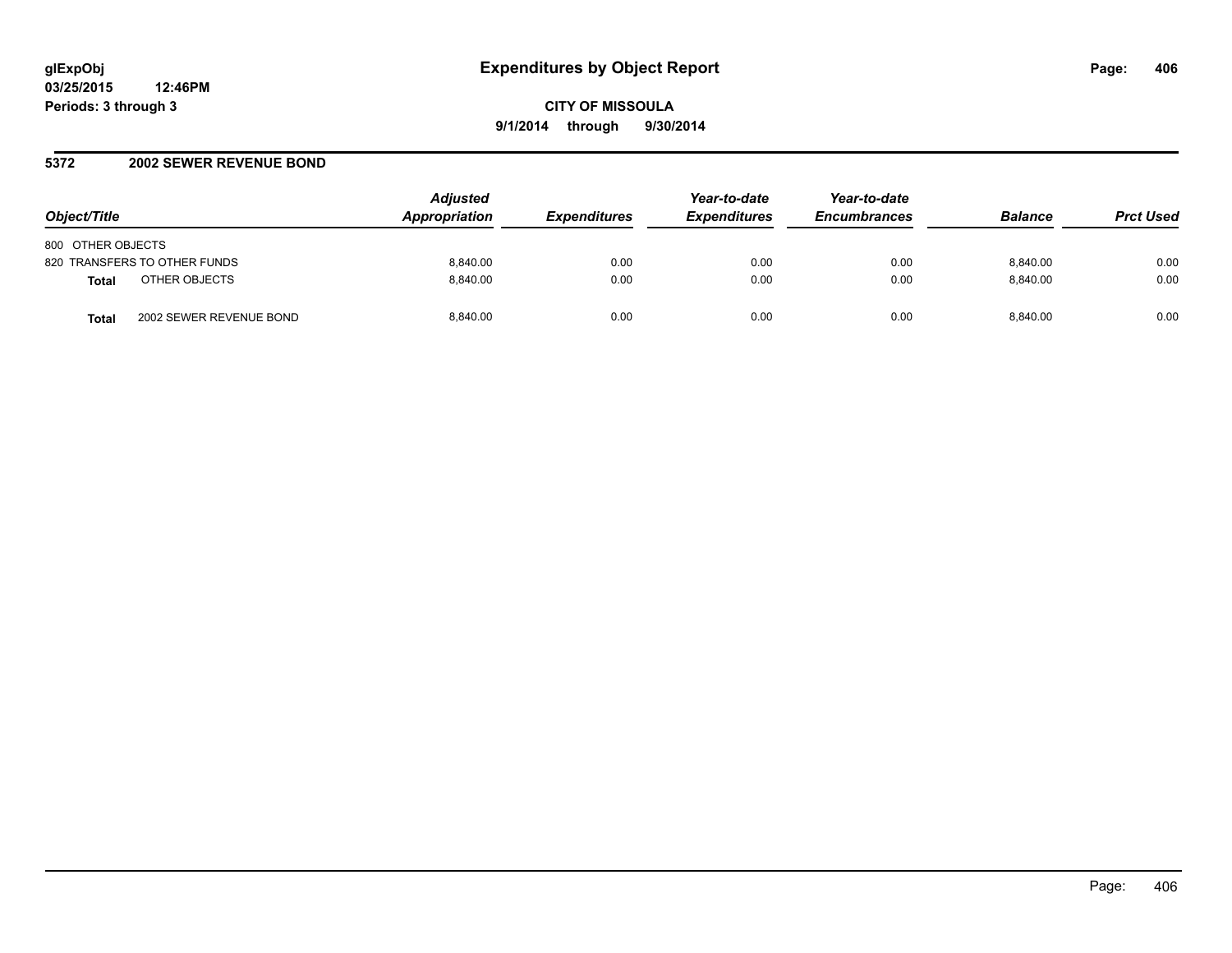### **5372 2002 SEWER REVENUE BOND**

| Object/Title                            | <b>Adjusted</b><br><b>Appropriation</b> | <b>Expenditures</b> | Year-to-date<br><b>Expenditures</b> | Year-to-date<br><b>Encumbrances</b> | <b>Balance</b> | <b>Prct Used</b> |
|-----------------------------------------|-----------------------------------------|---------------------|-------------------------------------|-------------------------------------|----------------|------------------|
| 800 OTHER OBJECTS                       |                                         |                     |                                     |                                     |                |                  |
| 820 TRANSFERS TO OTHER FUNDS            | 8.840.00                                | 0.00                | 0.00                                | 0.00                                | 8.840.00       | 0.00             |
| OTHER OBJECTS<br><b>Total</b>           | 8.840.00                                | 0.00                | 0.00                                | 0.00                                | 8.840.00       | 0.00             |
| 2002 SEWER REVENUE BOND<br><b>Total</b> | 8.840.00                                | 0.00                | 0.00                                | 0.00                                | 8.840.00       | 0.00             |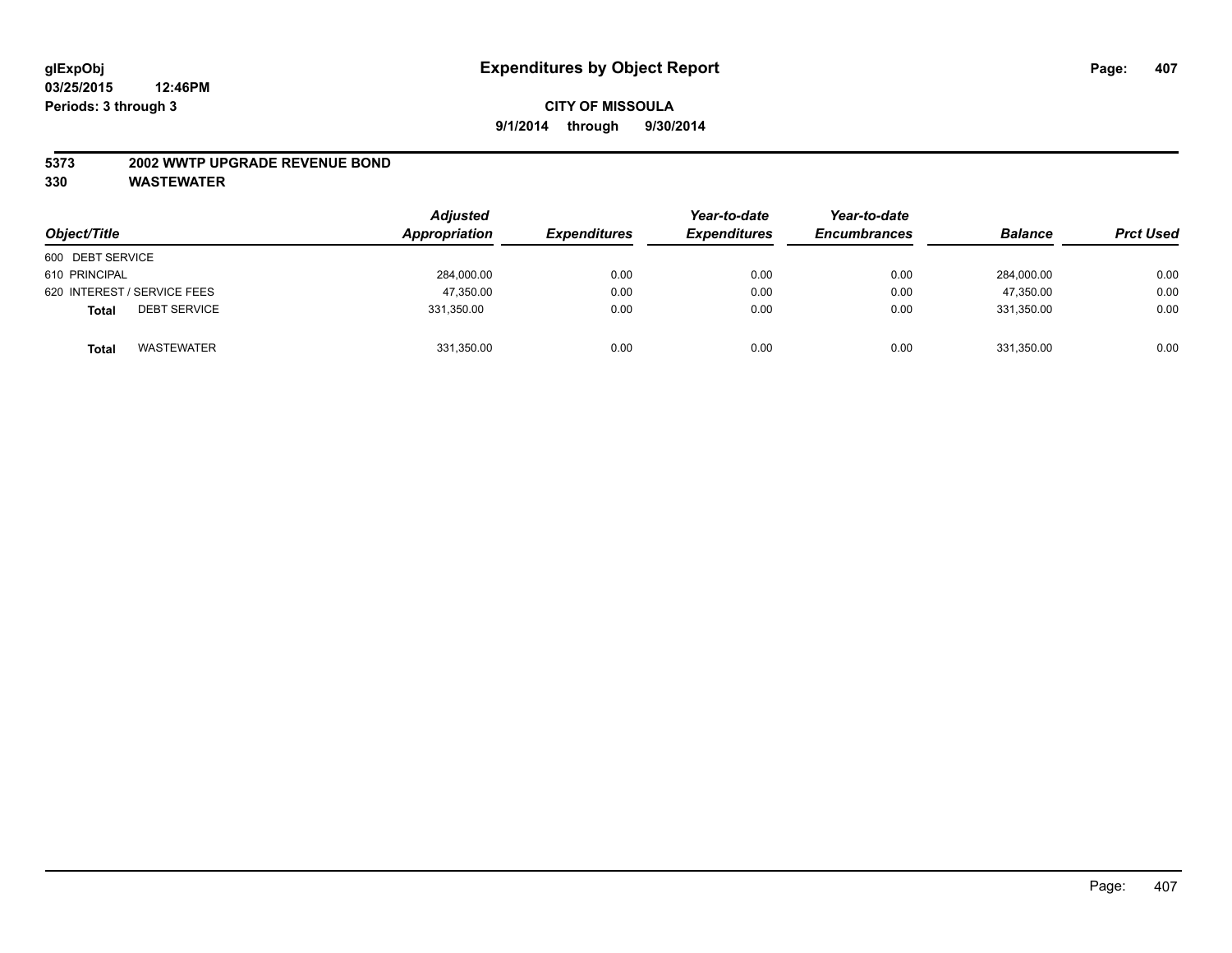#### **5373 2002 WWTP UPGRADE REVENUE BOND**

| Object/Title                        | <b>Adjusted</b><br>Appropriation | <b>Expenditures</b> | Year-to-date<br><b>Expenditures</b> | Year-to-date<br><b>Encumbrances</b> | <b>Balance</b> | <b>Prct Used</b> |
|-------------------------------------|----------------------------------|---------------------|-------------------------------------|-------------------------------------|----------------|------------------|
| 600 DEBT SERVICE                    |                                  |                     |                                     |                                     |                |                  |
| 610 PRINCIPAL                       | 284,000.00                       | 0.00                | 0.00                                | 0.00                                | 284,000.00     | 0.00             |
| 620 INTEREST / SERVICE FEES         | 47,350.00                        | 0.00                | 0.00                                | 0.00                                | 47.350.00      | 0.00             |
| <b>DEBT SERVICE</b><br><b>Total</b> | 331,350.00                       | 0.00                | 0.00                                | 0.00                                | 331.350.00     | 0.00             |
| WASTEWATER<br><b>Total</b>          | 331,350.00                       | 0.00                | 0.00                                | 0.00                                | 331,350.00     | 0.00             |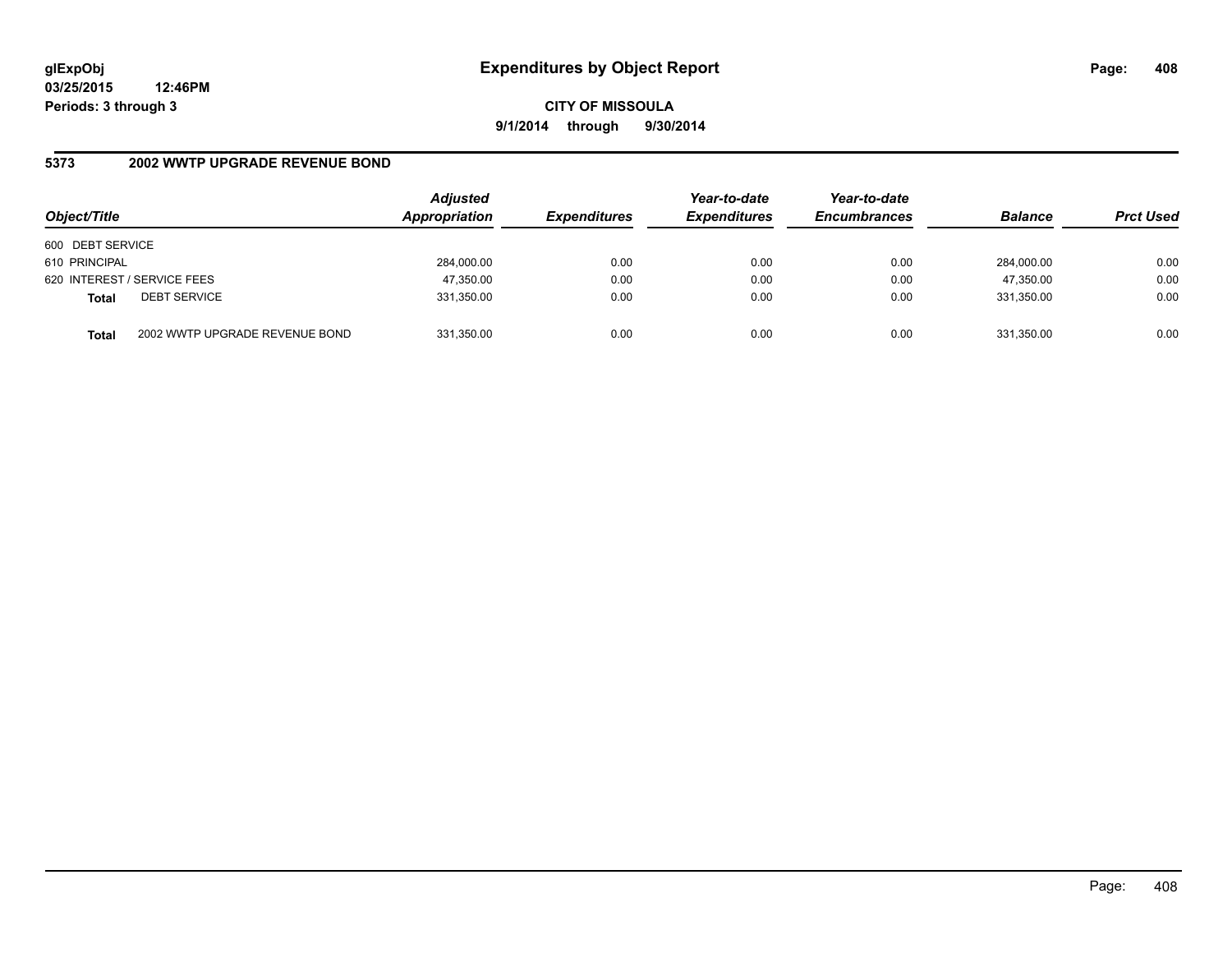**CITY OF MISSOULA 9/1/2014 through 9/30/2014**

### **5373 2002 WWTP UPGRADE REVENUE BOND**

| Object/Title     |                                | <b>Adjusted</b><br>Appropriation | <b>Expenditures</b> | Year-to-date<br><b>Expenditures</b> | Year-to-date<br><b>Encumbrances</b> | <b>Balance</b> | <b>Prct Used</b> |
|------------------|--------------------------------|----------------------------------|---------------------|-------------------------------------|-------------------------------------|----------------|------------------|
| 600 DEBT SERVICE |                                |                                  |                     |                                     |                                     |                |                  |
| 610 PRINCIPAL    |                                | 284,000.00                       | 0.00                | 0.00                                | 0.00                                | 284.000.00     | 0.00             |
|                  | 620 INTEREST / SERVICE FEES    | 47,350.00                        | 0.00                | 0.00                                | 0.00                                | 47,350.00      | 0.00             |
| <b>Total</b>     | <b>DEBT SERVICE</b>            | 331,350.00                       | 0.00                | 0.00                                | 0.00                                | 331.350.00     | 0.00             |
| <b>Total</b>     | 2002 WWTP UPGRADE REVENUE BOND | 331,350.00                       | 0.00                | 0.00                                | 0.00                                | 331,350.00     | 0.00             |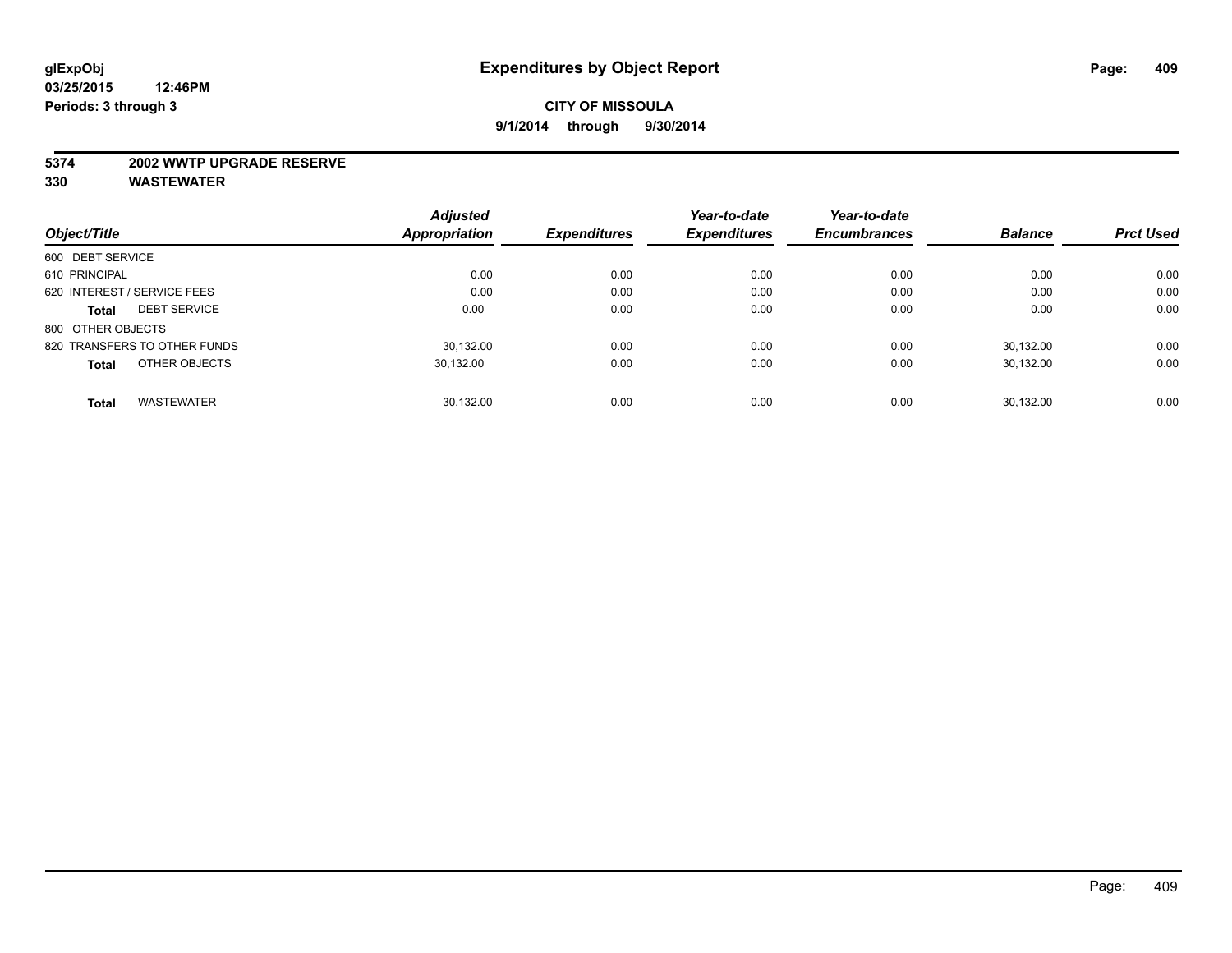#### **5374 2002 WWTP UPGRADE RESERVE**

|                                     | <b>Adjusted</b>      |                     | Year-to-date        | Year-to-date        |                |                  |
|-------------------------------------|----------------------|---------------------|---------------------|---------------------|----------------|------------------|
| Object/Title                        | <b>Appropriation</b> | <b>Expenditures</b> | <b>Expenditures</b> | <b>Encumbrances</b> | <b>Balance</b> | <b>Prct Used</b> |
| 600 DEBT SERVICE                    |                      |                     |                     |                     |                |                  |
| 610 PRINCIPAL                       | 0.00                 | 0.00                | 0.00                | 0.00                | 0.00           | 0.00             |
| 620 INTEREST / SERVICE FEES         | 0.00                 | 0.00                | 0.00                | 0.00                | 0.00           | 0.00             |
| <b>DEBT SERVICE</b><br><b>Total</b> | 0.00                 | 0.00                | 0.00                | 0.00                | 0.00           | 0.00             |
| 800 OTHER OBJECTS                   |                      |                     |                     |                     |                |                  |
| 820 TRANSFERS TO OTHER FUNDS        | 30.132.00            | 0.00                | 0.00                | 0.00                | 30.132.00      | 0.00             |
| OTHER OBJECTS<br><b>Total</b>       | 30,132.00            | 0.00                | 0.00                | 0.00                | 30,132.00      | 0.00             |
| <b>WASTEWATER</b><br><b>Total</b>   | 30.132.00            | 0.00                | 0.00                | 0.00                | 30.132.00      | 0.00             |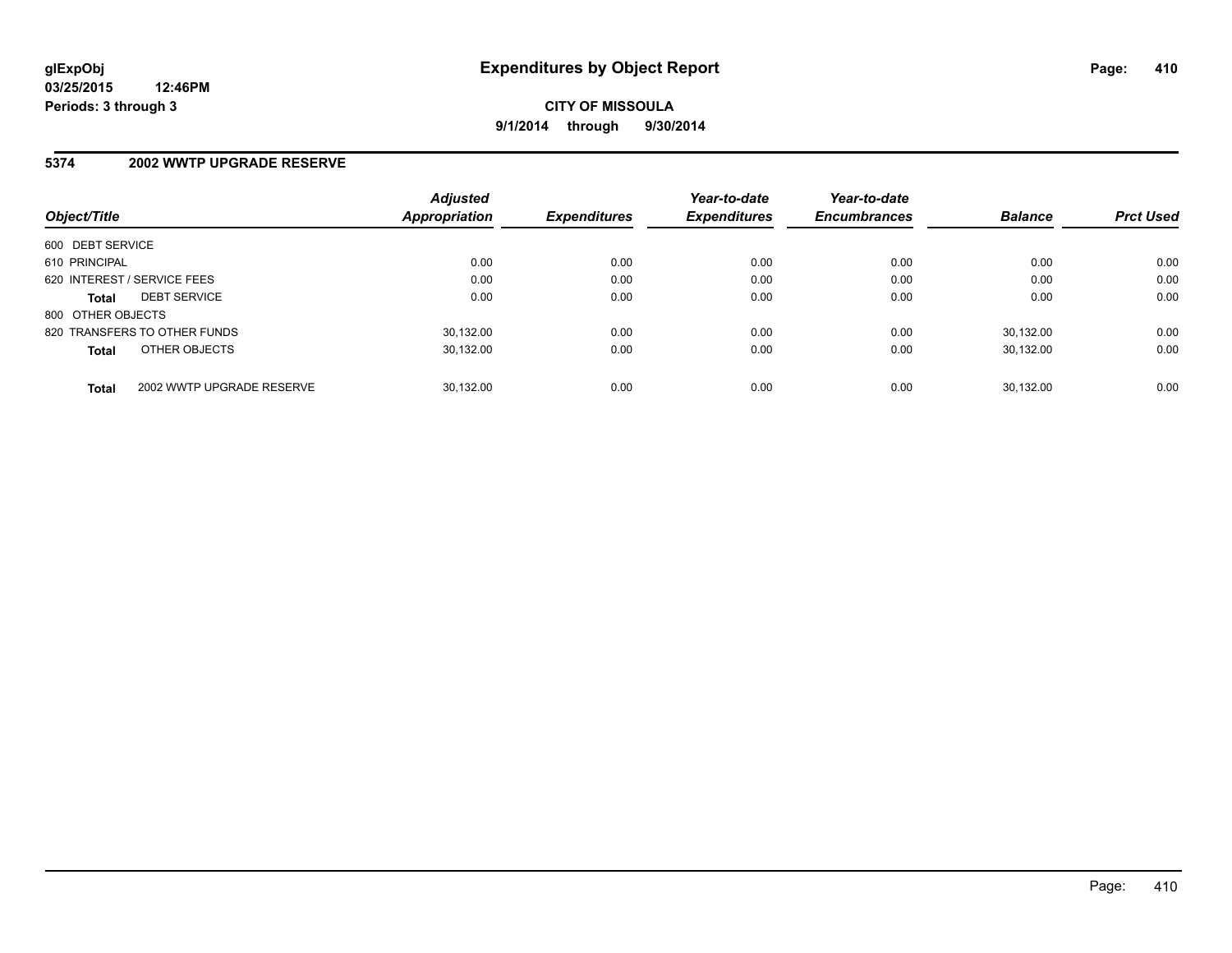### **5374 2002 WWTP UPGRADE RESERVE**

|                             |                              | <b>Adjusted</b> |                     | Year-to-date        | Year-to-date        |                |                  |
|-----------------------------|------------------------------|-----------------|---------------------|---------------------|---------------------|----------------|------------------|
| Object/Title                |                              | Appropriation   | <b>Expenditures</b> | <b>Expenditures</b> | <b>Encumbrances</b> | <b>Balance</b> | <b>Prct Used</b> |
| 600 DEBT SERVICE            |                              |                 |                     |                     |                     |                |                  |
| 610 PRINCIPAL               |                              | 0.00            | 0.00                | 0.00                | 0.00                | 0.00           | 0.00             |
| 620 INTEREST / SERVICE FEES |                              | 0.00            | 0.00                | 0.00                | 0.00                | 0.00           | 0.00             |
| <b>Total</b>                | <b>DEBT SERVICE</b>          | 0.00            | 0.00                | 0.00                | 0.00                | 0.00           | 0.00             |
| 800 OTHER OBJECTS           |                              |                 |                     |                     |                     |                |                  |
|                             | 820 TRANSFERS TO OTHER FUNDS | 30.132.00       | 0.00                | 0.00                | 0.00                | 30.132.00      | 0.00             |
| <b>Total</b>                | OTHER OBJECTS                | 30.132.00       | 0.00                | 0.00                | 0.00                | 30.132.00      | 0.00             |
| <b>Total</b>                | 2002 WWTP UPGRADE RESERVE    | 30.132.00       | 0.00                | 0.00                | 0.00                | 30.132.00      | 0.00             |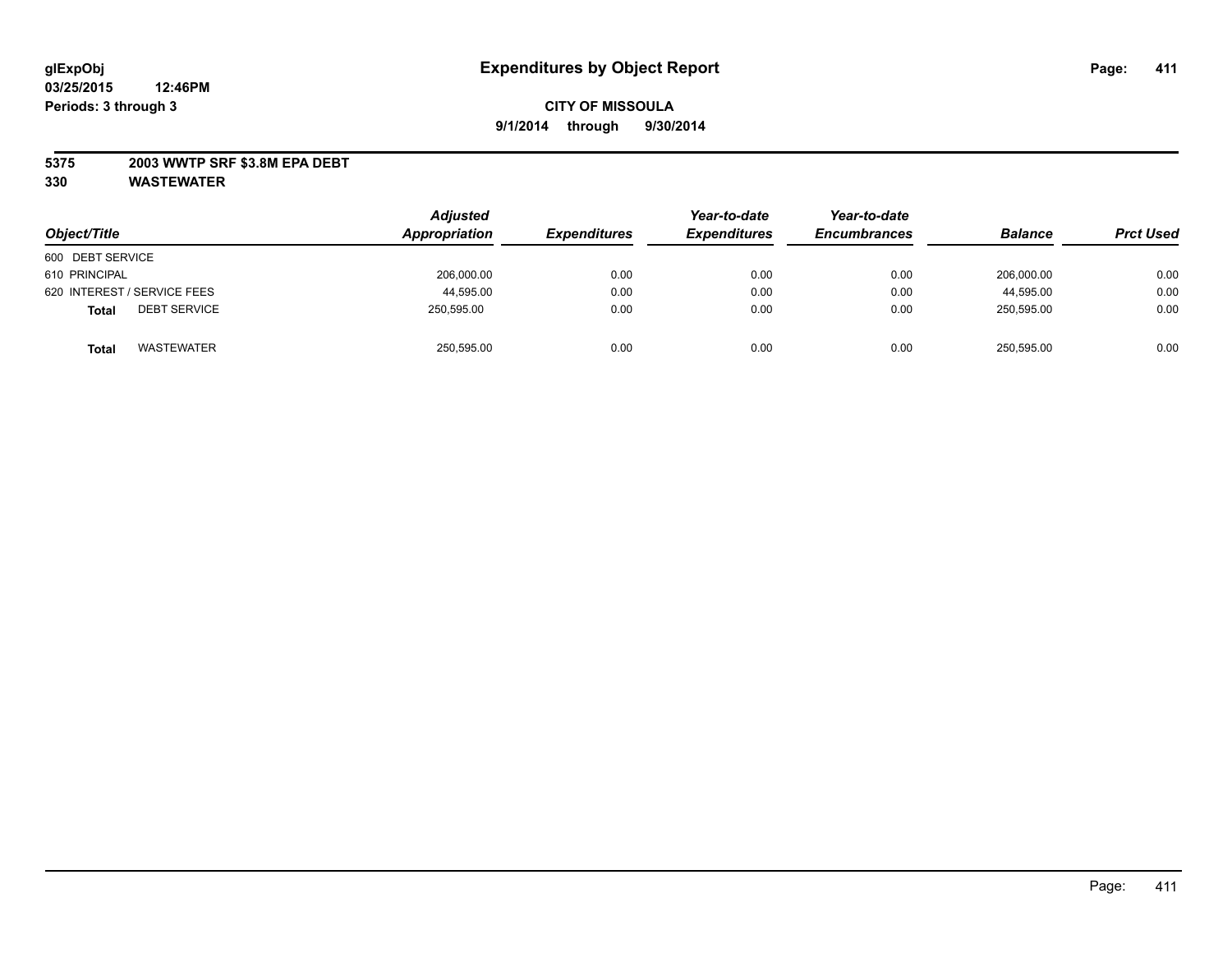### **5375 2003 WWTP SRF \$3.8M EPA DEBT**

| Object/Title                        | <b>Adjusted</b><br>Appropriation | <b>Expenditures</b> | Year-to-date<br><b>Expenditures</b> | Year-to-date<br><b>Encumbrances</b> | <b>Balance</b> | <b>Prct Used</b> |
|-------------------------------------|----------------------------------|---------------------|-------------------------------------|-------------------------------------|----------------|------------------|
| 600 DEBT SERVICE                    |                                  |                     |                                     |                                     |                |                  |
| 610 PRINCIPAL                       | 206,000.00                       | 0.00                | 0.00                                | 0.00                                | 206.000.00     | 0.00             |
| 620 INTEREST / SERVICE FEES         | 44,595.00                        | 0.00                | 0.00                                | 0.00                                | 44,595.00      | 0.00             |
| <b>DEBT SERVICE</b><br><b>Total</b> | 250.595.00                       | 0.00                | 0.00                                | 0.00                                | 250.595.00     | 0.00             |
| <b>WASTEWATER</b><br><b>Total</b>   | 250,595.00                       | 0.00                | 0.00                                | 0.00                                | 250,595.00     | 0.00             |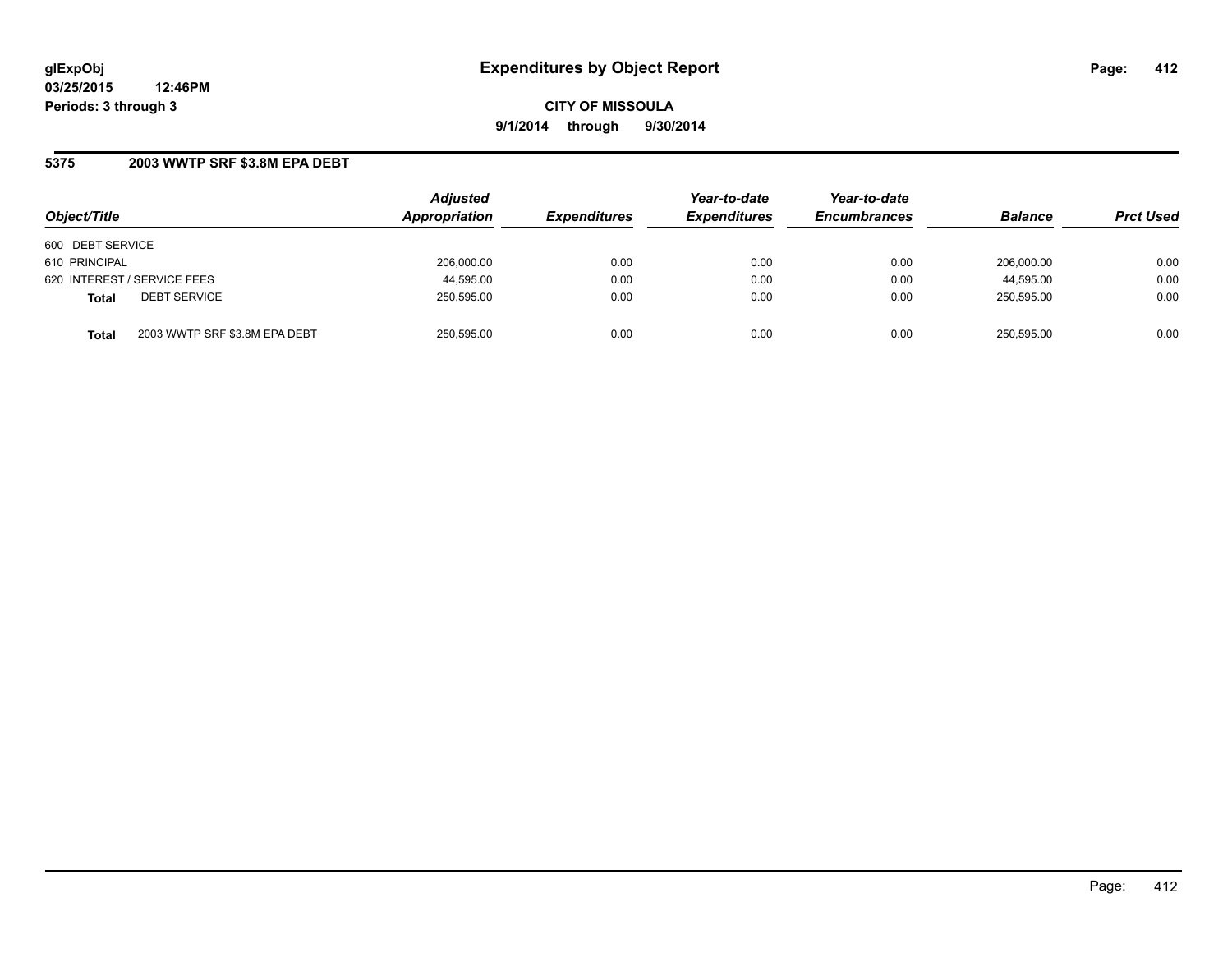**CITY OF MISSOULA 9/1/2014 through 9/30/2014**

### **5375 2003 WWTP SRF \$3.8M EPA DEBT**

| Object/Title                                  | <b>Adjusted</b><br>Appropriation | <b>Expenditures</b> | Year-to-date<br><b>Expenditures</b> | Year-to-date<br><b>Encumbrances</b> | <b>Balance</b> | <b>Prct Used</b> |
|-----------------------------------------------|----------------------------------|---------------------|-------------------------------------|-------------------------------------|----------------|------------------|
| 600 DEBT SERVICE                              |                                  |                     |                                     |                                     |                |                  |
| 610 PRINCIPAL                                 | 206.000.00                       | 0.00                | 0.00                                | 0.00                                | 206.000.00     | 0.00             |
| 620 INTEREST / SERVICE FEES                   | 44,595.00                        | 0.00                | 0.00                                | 0.00                                | 44,595.00      | 0.00             |
| <b>DEBT SERVICE</b><br><b>Total</b>           | 250,595.00                       | 0.00                | 0.00                                | 0.00                                | 250.595.00     | 0.00             |
| 2003 WWTP SRF \$3.8M EPA DEBT<br><b>Total</b> | 250,595.00                       | 0.00                | 0.00                                | 0.00                                | 250,595.00     | 0.00             |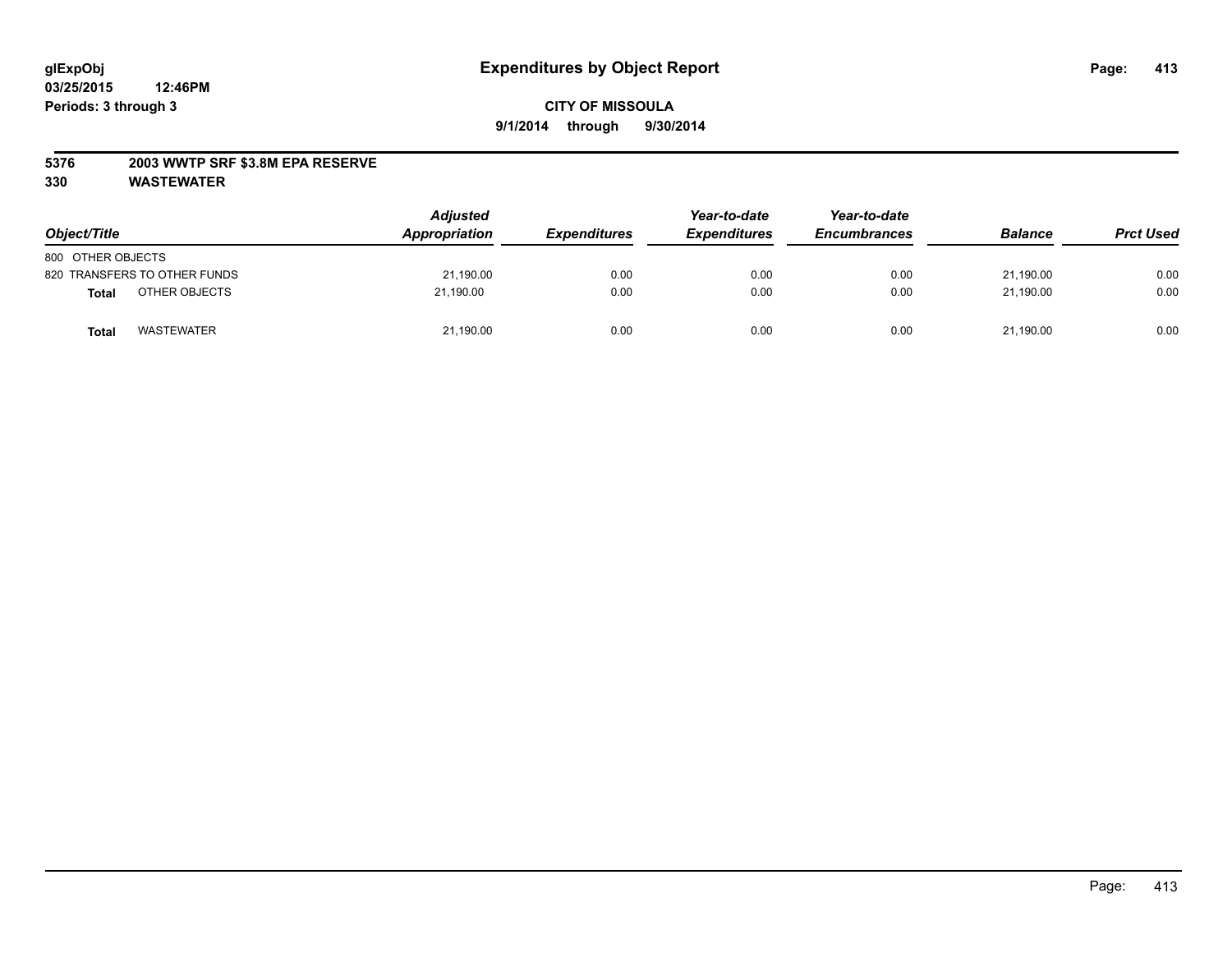### **5376 2003 WWTP SRF \$3.8M EPA RESERVE**

| Object/Title                      | <b>Adjusted</b><br>Appropriation | <b>Expenditures</b> | Year-to-date<br><b>Expenditures</b> | Year-to-date<br><b>Encumbrances</b> | <b>Balance</b> | <b>Prct Used</b> |
|-----------------------------------|----------------------------------|---------------------|-------------------------------------|-------------------------------------|----------------|------------------|
| 800 OTHER OBJECTS                 |                                  |                     |                                     |                                     |                |                  |
| 820 TRANSFERS TO OTHER FUNDS      | 21,190.00                        | 0.00                | 0.00                                | 0.00                                | 21.190.00      | 0.00             |
| OTHER OBJECTS<br><b>Total</b>     | 21.190.00                        | 0.00                | 0.00                                | 0.00                                | 21.190.00      | 0.00             |
| <b>WASTEWATER</b><br><b>Total</b> | 21,190.00                        | 0.00                | 0.00                                | 0.00                                | 21,190.00      | 0.00             |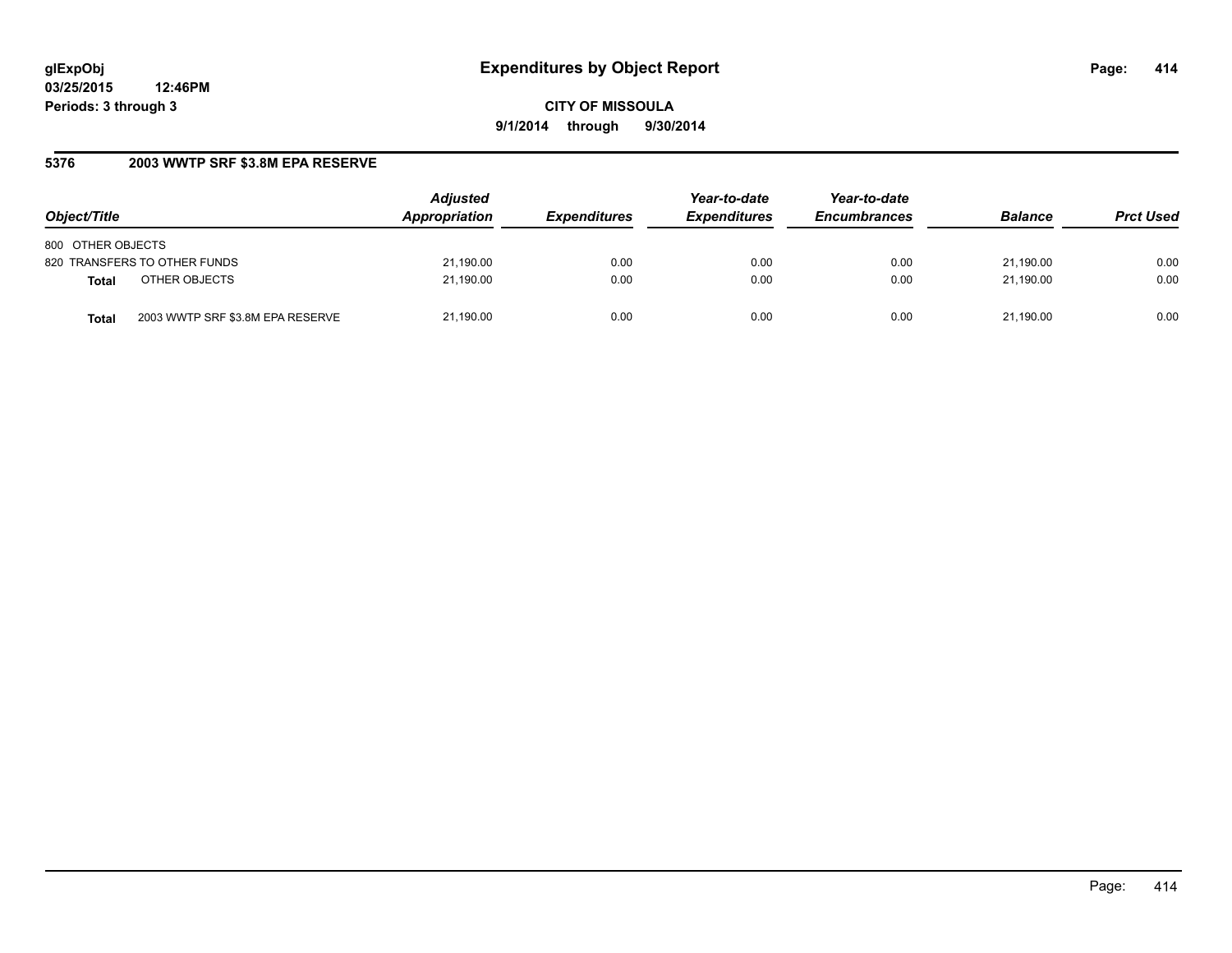**CITY OF MISSOULA 9/1/2014 through 9/30/2014**

### **5376 2003 WWTP SRF \$3.8M EPA RESERVE**

| Object/Title                              | <b>Adjusted</b><br>Appropriation | <b>Expenditures</b> | Year-to-date<br><b>Expenditures</b> | Year-to-date<br><b>Encumbrances</b> | <b>Balance</b> | <b>Prct Used</b> |
|-------------------------------------------|----------------------------------|---------------------|-------------------------------------|-------------------------------------|----------------|------------------|
| 800 OTHER OBJECTS                         |                                  |                     |                                     |                                     |                |                  |
| 820 TRANSFERS TO OTHER FUNDS              | 21,190.00                        | 0.00                | 0.00                                | 0.00                                | 21.190.00      | 0.00             |
| OTHER OBJECTS<br>Total                    | 21.190.00                        | 0.00                | 0.00                                | 0.00                                | 21.190.00      | 0.00             |
| 2003 WWTP SRF \$3.8M EPA RESERVE<br>Total | 21,190.00                        | 0.00                | 0.00                                | 0.00                                | 21.190.00      | 0.00             |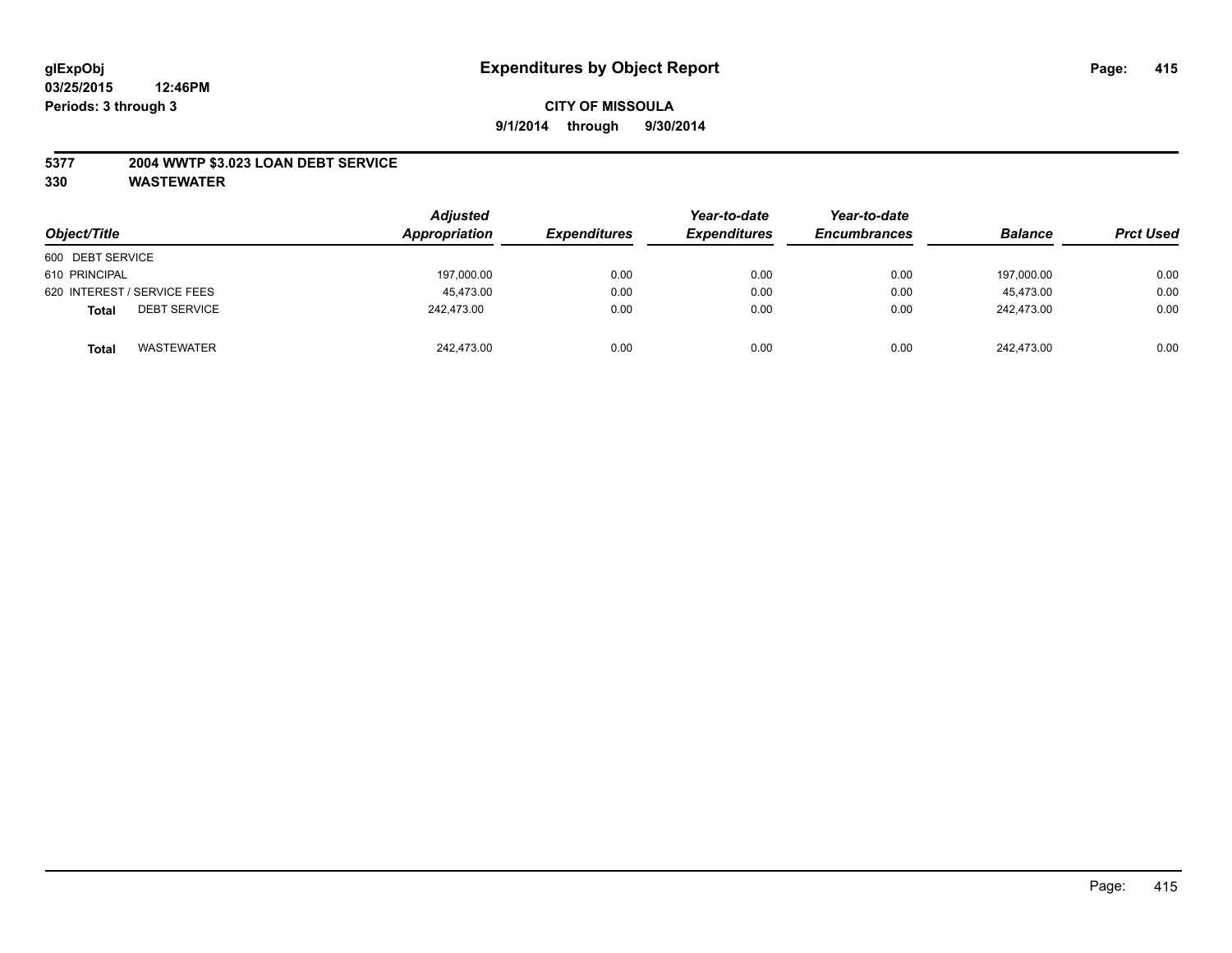### **5377 2004 WWTP \$3.023 LOAN DEBT SERVICE**

| Object/Title                        | <b>Adjusted</b><br>Appropriation | <b>Expenditures</b> | Year-to-date<br><b>Expenditures</b> | Year-to-date<br><b>Encumbrances</b> | <b>Balance</b> | <b>Prct Used</b> |
|-------------------------------------|----------------------------------|---------------------|-------------------------------------|-------------------------------------|----------------|------------------|
| 600 DEBT SERVICE                    |                                  |                     |                                     |                                     |                |                  |
| 610 PRINCIPAL                       | 197,000.00                       | 0.00                | 0.00                                | 0.00                                | 197.000.00     | 0.00             |
| 620 INTEREST / SERVICE FEES         | 45.473.00                        | 0.00                | 0.00                                | 0.00                                | 45.473.00      | 0.00             |
| <b>DEBT SERVICE</b><br><b>Total</b> | 242.473.00                       | 0.00                | 0.00                                | 0.00                                | 242.473.00     | 0.00             |
| <b>WASTEWATER</b><br><b>Total</b>   | 242,473.00                       | 0.00                | 0.00                                | 0.00                                | 242,473.00     | 0.00             |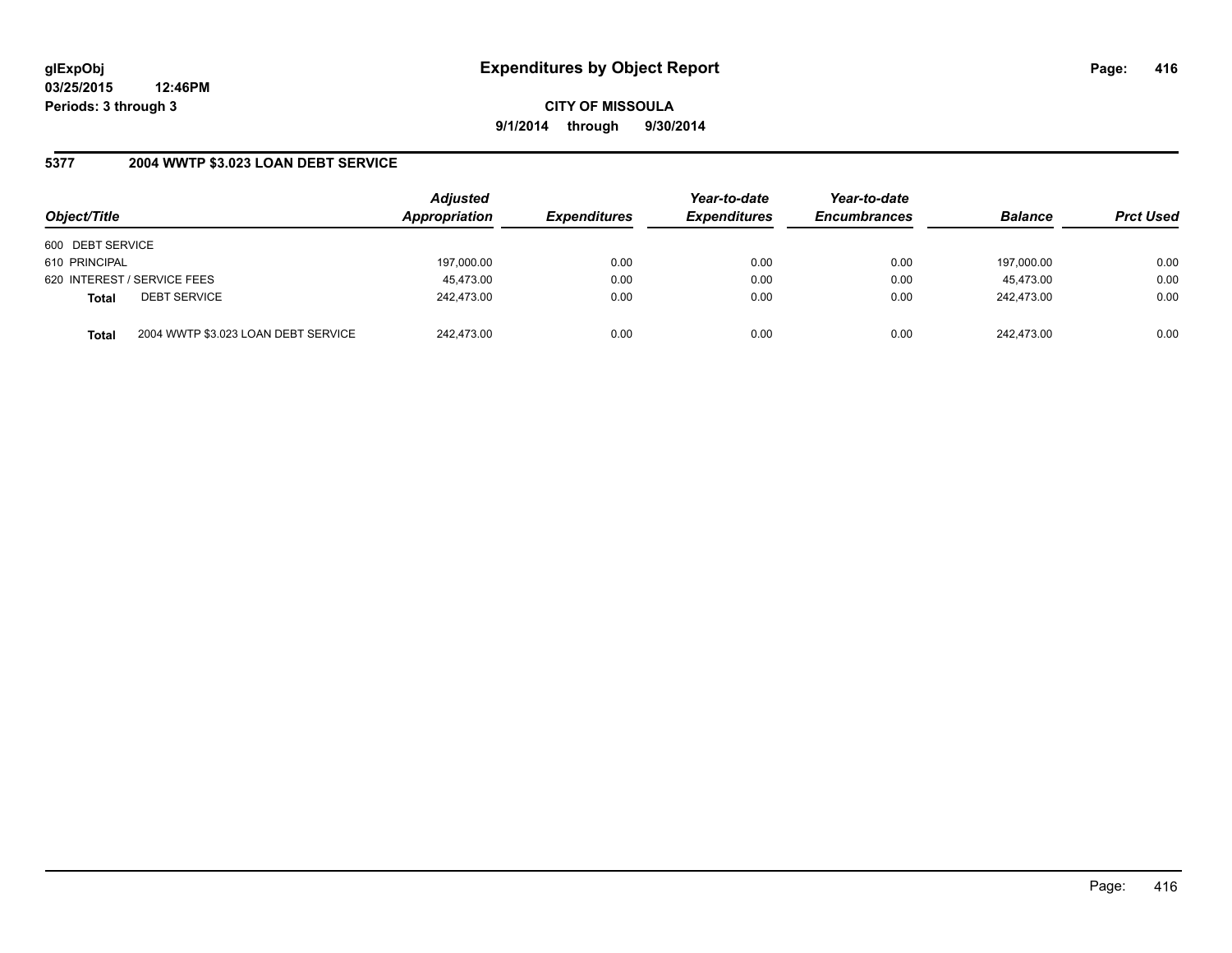**CITY OF MISSOULA 9/1/2014 through 9/30/2014**

### **5377 2004 WWTP \$3.023 LOAN DEBT SERVICE**

| Object/Title                        |                                     | <b>Adjusted</b><br>Appropriation | <b>Expenditures</b> | Year-to-date<br><b>Expenditures</b> | Year-to-date<br><b>Encumbrances</b> | <b>Balance</b> | <b>Prct Used</b> |
|-------------------------------------|-------------------------------------|----------------------------------|---------------------|-------------------------------------|-------------------------------------|----------------|------------------|
| 600 DEBT SERVICE                    |                                     |                                  |                     |                                     |                                     |                |                  |
| 610 PRINCIPAL                       |                                     | 197,000.00                       | 0.00                | 0.00                                | 0.00                                | 197,000.00     | 0.00             |
| 620 INTEREST / SERVICE FEES         |                                     | 45,473.00                        | 0.00                | 0.00                                | 0.00                                | 45.473.00      | 0.00             |
| <b>DEBT SERVICE</b><br><b>Total</b> |                                     | 242.473.00                       | 0.00                | 0.00                                | 0.00                                | 242.473.00     | 0.00             |
| <b>Total</b>                        | 2004 WWTP \$3.023 LOAN DEBT SERVICE | 242.473.00                       | 0.00                | 0.00                                | 0.00                                | 242.473.00     | 0.00             |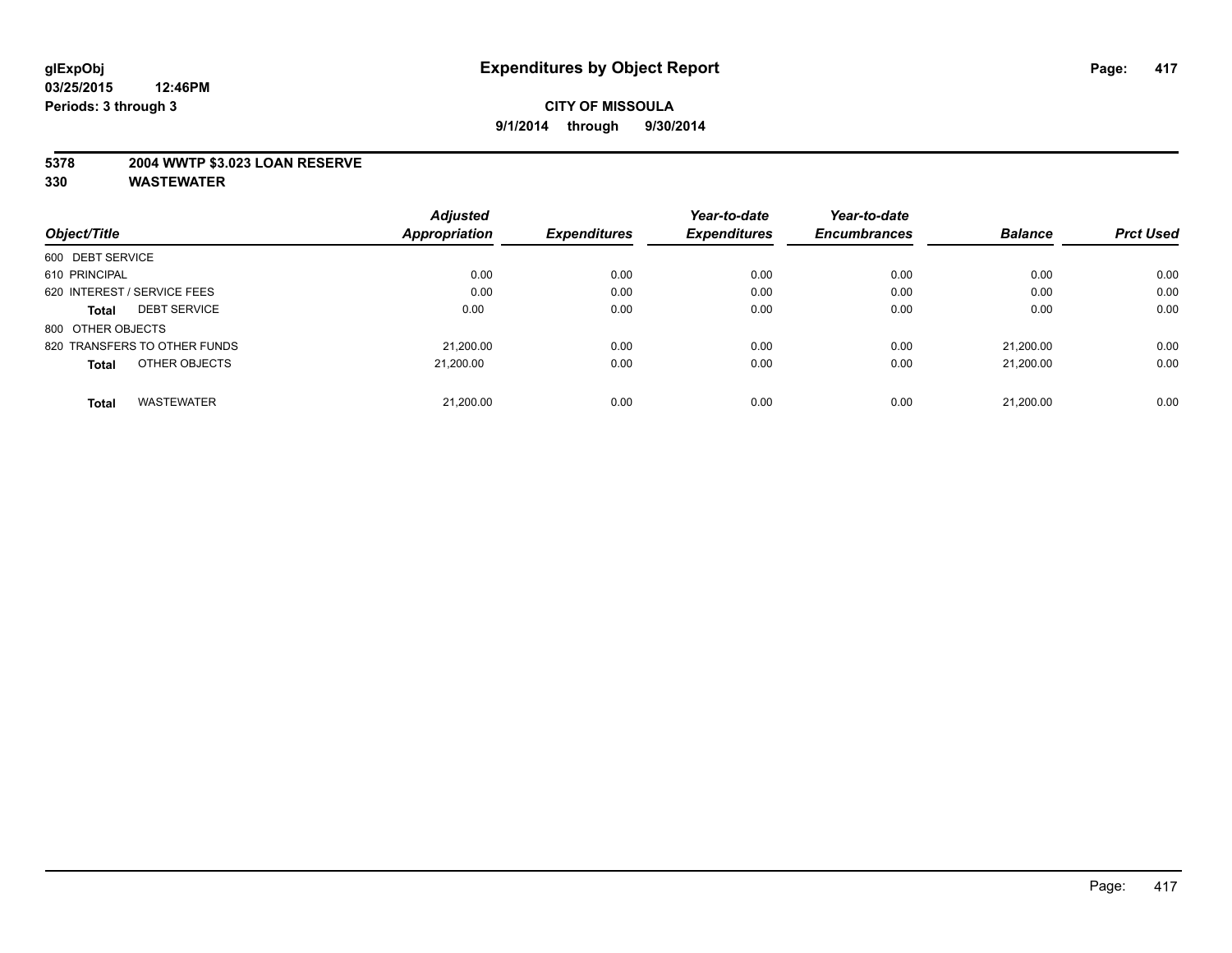### **5378 2004 WWTP \$3.023 LOAN RESERVE**

|                                     | <b>Adjusted</b> |                     | Year-to-date        | Year-to-date        |                |                  |
|-------------------------------------|-----------------|---------------------|---------------------|---------------------|----------------|------------------|
| Object/Title                        | Appropriation   | <b>Expenditures</b> | <b>Expenditures</b> | <b>Encumbrances</b> | <b>Balance</b> | <b>Prct Used</b> |
| 600 DEBT SERVICE                    |                 |                     |                     |                     |                |                  |
| 610 PRINCIPAL                       | 0.00            | 0.00                | 0.00                | 0.00                | 0.00           | 0.00             |
| 620 INTEREST / SERVICE FEES         | 0.00            | 0.00                | 0.00                | 0.00                | 0.00           | 0.00             |
| <b>DEBT SERVICE</b><br><b>Total</b> | 0.00            | 0.00                | 0.00                | 0.00                | 0.00           | 0.00             |
| 800 OTHER OBJECTS                   |                 |                     |                     |                     |                |                  |
| 820 TRANSFERS TO OTHER FUNDS        | 21.200.00       | 0.00                | 0.00                | 0.00                | 21.200.00      | 0.00             |
| OTHER OBJECTS<br><b>Total</b>       | 21.200.00       | 0.00                | 0.00                | 0.00                | 21.200.00      | 0.00             |
| <b>WASTEWATER</b><br>Total          | 21.200.00       | 0.00                | 0.00                | 0.00                | 21,200.00      | 0.00             |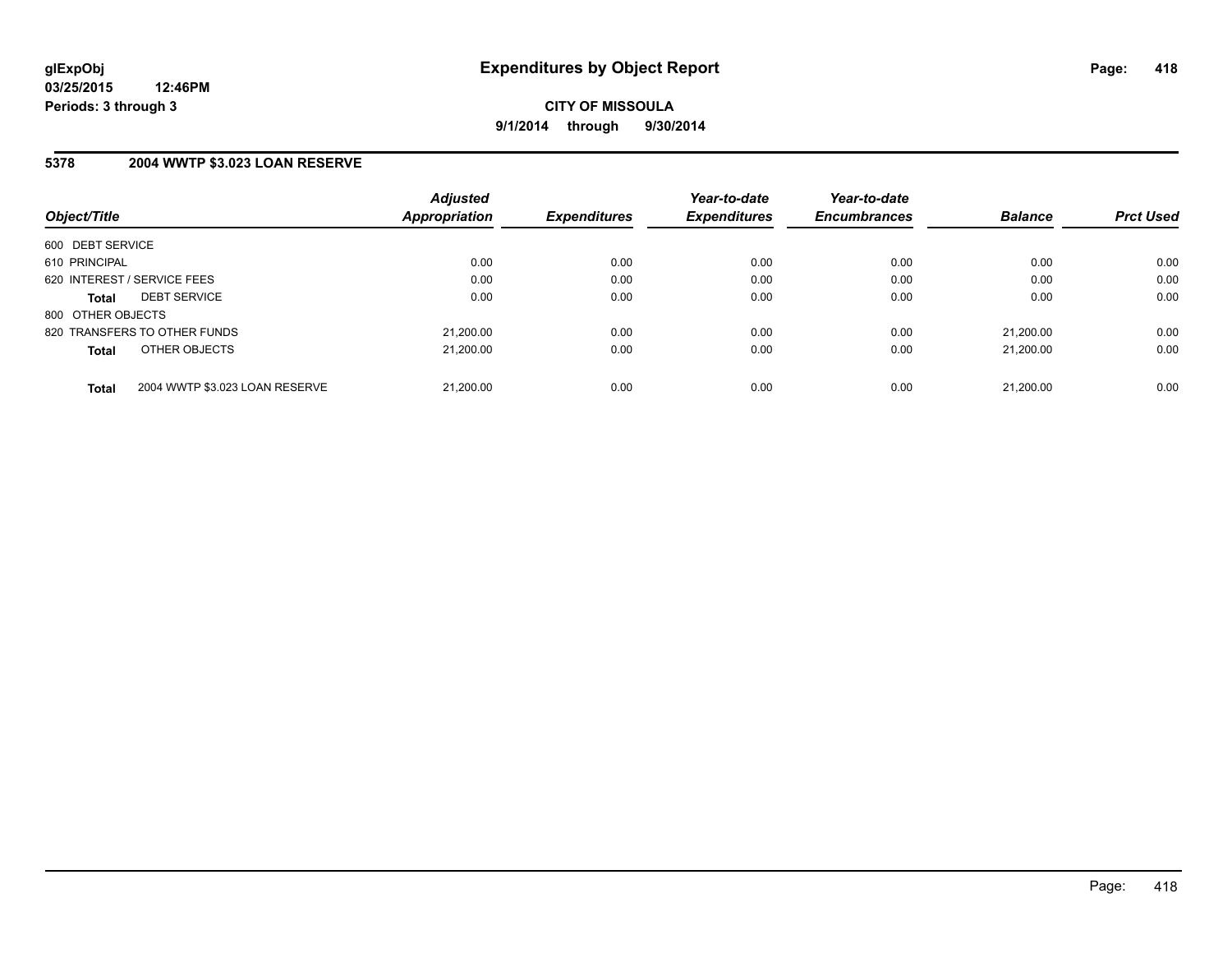### **5378 2004 WWTP \$3.023 LOAN RESERVE**

| Object/Title      |                                | <b>Adjusted</b><br>Appropriation | <b>Expenditures</b> | Year-to-date<br><b>Expenditures</b> | Year-to-date<br><b>Encumbrances</b> | <b>Balance</b> | <b>Prct Used</b> |
|-------------------|--------------------------------|----------------------------------|---------------------|-------------------------------------|-------------------------------------|----------------|------------------|
|                   |                                |                                  |                     |                                     |                                     |                |                  |
| 600 DEBT SERVICE  |                                |                                  |                     |                                     |                                     |                |                  |
| 610 PRINCIPAL     |                                | 0.00                             | 0.00                | 0.00                                | 0.00                                | 0.00           | 0.00             |
|                   | 620 INTEREST / SERVICE FEES    | 0.00                             | 0.00                | 0.00                                | 0.00                                | 0.00           | 0.00             |
| <b>Total</b>      | <b>DEBT SERVICE</b>            | 0.00                             | 0.00                | 0.00                                | 0.00                                | 0.00           | 0.00             |
| 800 OTHER OBJECTS |                                |                                  |                     |                                     |                                     |                |                  |
|                   | 820 TRANSFERS TO OTHER FUNDS   | 21,200.00                        | 0.00                | 0.00                                | 0.00                                | 21.200.00      | 0.00             |
| <b>Total</b>      | OTHER OBJECTS                  | 21.200.00                        | 0.00                | 0.00                                | 0.00                                | 21.200.00      | 0.00             |
|                   |                                |                                  |                     |                                     |                                     |                |                  |
| <b>Total</b>      | 2004 WWTP \$3.023 LOAN RESERVE | 21.200.00                        | 0.00                | 0.00                                | 0.00                                | 21.200.00      | 0.00             |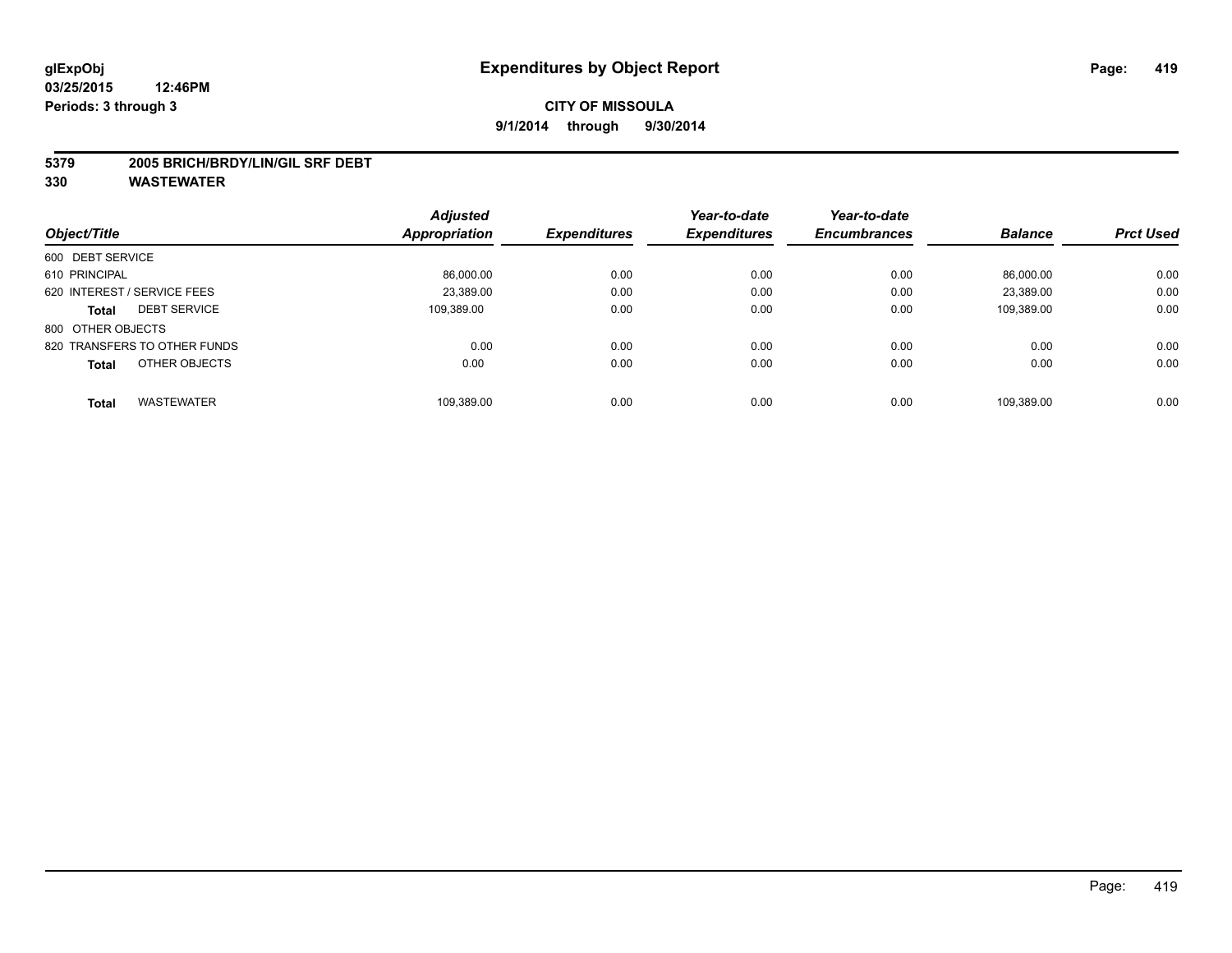#### **5379 2005 BRICH/BRDY/LIN/GIL SRF DEBT**

|                                     | <b>Adjusted</b> |                     | Year-to-date        | Year-to-date        |                |                  |
|-------------------------------------|-----------------|---------------------|---------------------|---------------------|----------------|------------------|
| Object/Title                        | Appropriation   | <b>Expenditures</b> | <b>Expenditures</b> | <b>Encumbrances</b> | <b>Balance</b> | <b>Prct Used</b> |
| 600 DEBT SERVICE                    |                 |                     |                     |                     |                |                  |
| 610 PRINCIPAL                       | 86,000.00       | 0.00                | 0.00                | 0.00                | 86.000.00      | 0.00             |
| 620 INTEREST / SERVICE FEES         | 23.389.00       | 0.00                | 0.00                | 0.00                | 23.389.00      | 0.00             |
| <b>DEBT SERVICE</b><br><b>Total</b> | 109.389.00      | 0.00                | 0.00                | 0.00                | 109,389.00     | 0.00             |
| 800 OTHER OBJECTS                   |                 |                     |                     |                     |                |                  |
| 820 TRANSFERS TO OTHER FUNDS        | 0.00            | 0.00                | 0.00                | 0.00                | 0.00           | 0.00             |
| OTHER OBJECTS<br><b>Total</b>       | 0.00            | 0.00                | 0.00                | 0.00                | 0.00           | 0.00             |
| <b>WASTEWATER</b><br>Total          | 109,389.00      | 0.00                | 0.00                | 0.00                | 109.389.00     | 0.00             |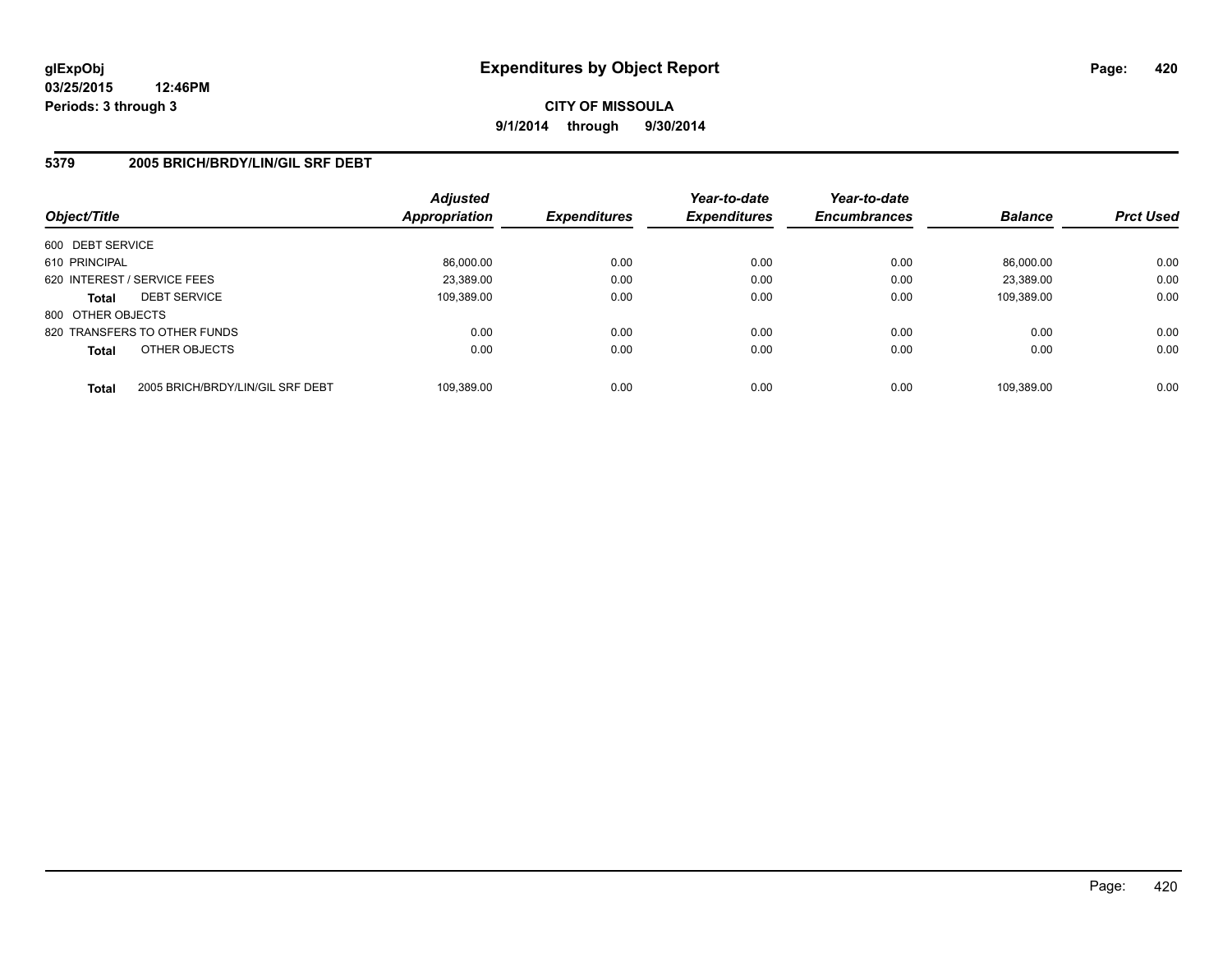**CITY OF MISSOULA 9/1/2014 through 9/30/2014**

### **5379 2005 BRICH/BRDY/LIN/GIL SRF DEBT**

| Object/Title      |                                  | <b>Adjusted</b><br>Appropriation | <b>Expenditures</b> | Year-to-date<br><b>Expenditures</b> | Year-to-date<br><b>Encumbrances</b> | <b>Balance</b> | <b>Prct Used</b> |
|-------------------|----------------------------------|----------------------------------|---------------------|-------------------------------------|-------------------------------------|----------------|------------------|
| 600 DEBT SERVICE  |                                  |                                  |                     |                                     |                                     |                |                  |
| 610 PRINCIPAL     |                                  | 86,000.00                        | 0.00                | 0.00                                | 0.00                                | 86.000.00      | 0.00             |
|                   | 620 INTEREST / SERVICE FEES      | 23.389.00                        | 0.00                | 0.00                                | 0.00                                | 23.389.00      | 0.00             |
| <b>Total</b>      | <b>DEBT SERVICE</b>              | 109.389.00                       | 0.00                | 0.00                                | 0.00                                | 109.389.00     | 0.00             |
| 800 OTHER OBJECTS |                                  |                                  |                     |                                     |                                     |                |                  |
|                   | 820 TRANSFERS TO OTHER FUNDS     | 0.00                             | 0.00                | 0.00                                | 0.00                                | 0.00           | 0.00             |
| <b>Total</b>      | OTHER OBJECTS                    | 0.00                             | 0.00                | 0.00                                | 0.00                                | 0.00           | 0.00             |
| <b>Total</b>      | 2005 BRICH/BRDY/LIN/GIL SRF DEBT | 109.389.00                       | 0.00                | 0.00                                | 0.00                                | 109.389.00     | 0.00             |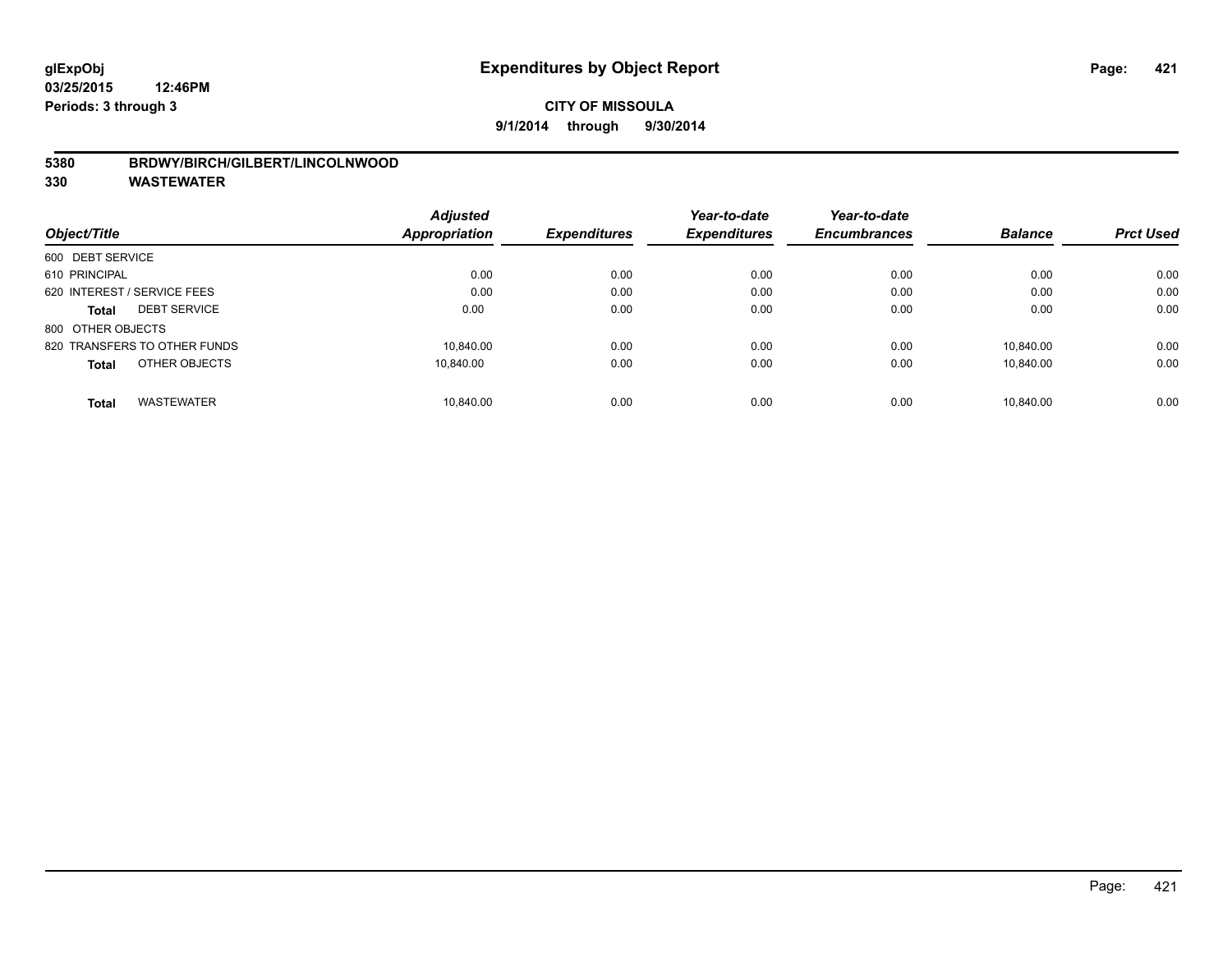#### **5380 BRDWY/BIRCH/GILBERT/LINCOLNWOOD**

|                                   | <b>Adjusted</b> |                     | Year-to-date<br><b>Expenditures</b> | Year-to-date        |                | <b>Prct Used</b> |
|-----------------------------------|-----------------|---------------------|-------------------------------------|---------------------|----------------|------------------|
| Object/Title                      | Appropriation   | <b>Expenditures</b> |                                     | <b>Encumbrances</b> | <b>Balance</b> |                  |
| 600 DEBT SERVICE                  |                 |                     |                                     |                     |                |                  |
| 610 PRINCIPAL                     | 0.00            | 0.00                | 0.00                                | 0.00                | 0.00           | 0.00             |
| 620 INTEREST / SERVICE FEES       | 0.00            | 0.00                | 0.00                                | 0.00                | 0.00           | 0.00             |
| <b>DEBT SERVICE</b><br>Total      | 0.00            | 0.00                | 0.00                                | 0.00                | 0.00           | 0.00             |
| 800 OTHER OBJECTS                 |                 |                     |                                     |                     |                |                  |
| 820 TRANSFERS TO OTHER FUNDS      | 10.840.00       | 0.00                | 0.00                                | 0.00                | 10.840.00      | 0.00             |
| OTHER OBJECTS<br><b>Total</b>     | 10.840.00       | 0.00                | 0.00                                | 0.00                | 10.840.00      | 0.00             |
| <b>WASTEWATER</b><br><b>Total</b> | 10.840.00       | 0.00                | 0.00                                | 0.00                | 10.840.00      | 0.00             |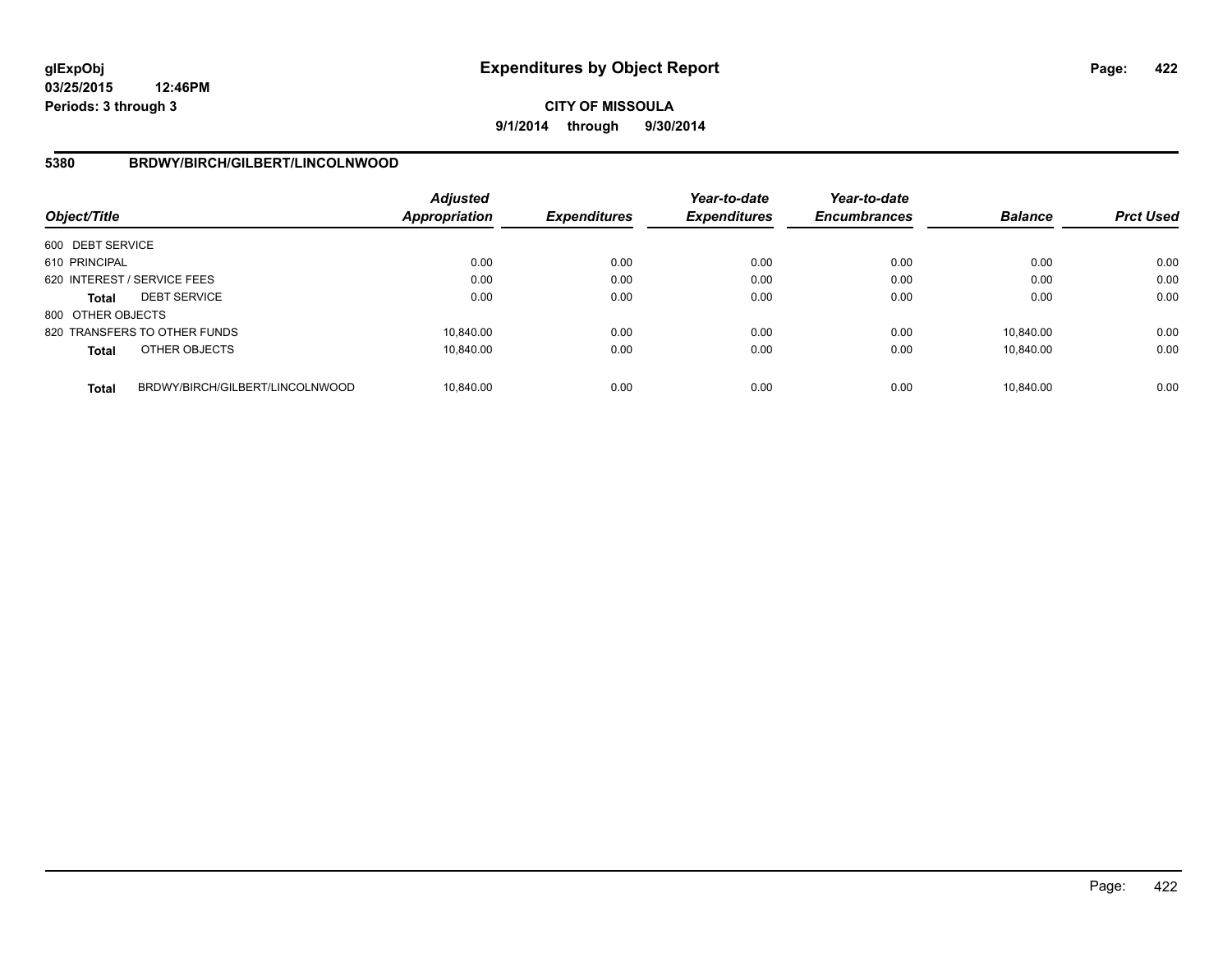# **CITY OF MISSOULA 9/1/2014 through 9/30/2014**

### **5380 BRDWY/BIRCH/GILBERT/LINCOLNWOOD**

| Object/Title      |                                 | Adjusted<br><b>Appropriation</b> | <b>Expenditures</b> | Year-to-date<br><b>Expenditures</b> | Year-to-date<br><b>Encumbrances</b> | <b>Balance</b> | <b>Prct Used</b> |
|-------------------|---------------------------------|----------------------------------|---------------------|-------------------------------------|-------------------------------------|----------------|------------------|
| 600 DEBT SERVICE  |                                 |                                  |                     |                                     |                                     |                |                  |
| 610 PRINCIPAL     |                                 | 0.00                             | 0.00                | 0.00                                | 0.00                                | 0.00           | 0.00             |
|                   | 620 INTEREST / SERVICE FEES     | 0.00                             | 0.00                | 0.00                                | 0.00                                | 0.00           | 0.00             |
| <b>Total</b>      | <b>DEBT SERVICE</b>             | 0.00                             | 0.00                | 0.00                                | 0.00                                | 0.00           | 0.00             |
| 800 OTHER OBJECTS |                                 |                                  |                     |                                     |                                     |                |                  |
|                   | 820 TRANSFERS TO OTHER FUNDS    | 10.840.00                        | 0.00                | 0.00                                | 0.00                                | 10.840.00      | 0.00             |
| <b>Total</b>      | OTHER OBJECTS                   | 10.840.00                        | 0.00                | 0.00                                | 0.00                                | 10.840.00      | 0.00             |
| <b>Total</b>      | BRDWY/BIRCH/GILBERT/LINCOLNWOOD | 10.840.00                        | 0.00                | 0.00                                | 0.00                                | 10.840.00      | 0.00             |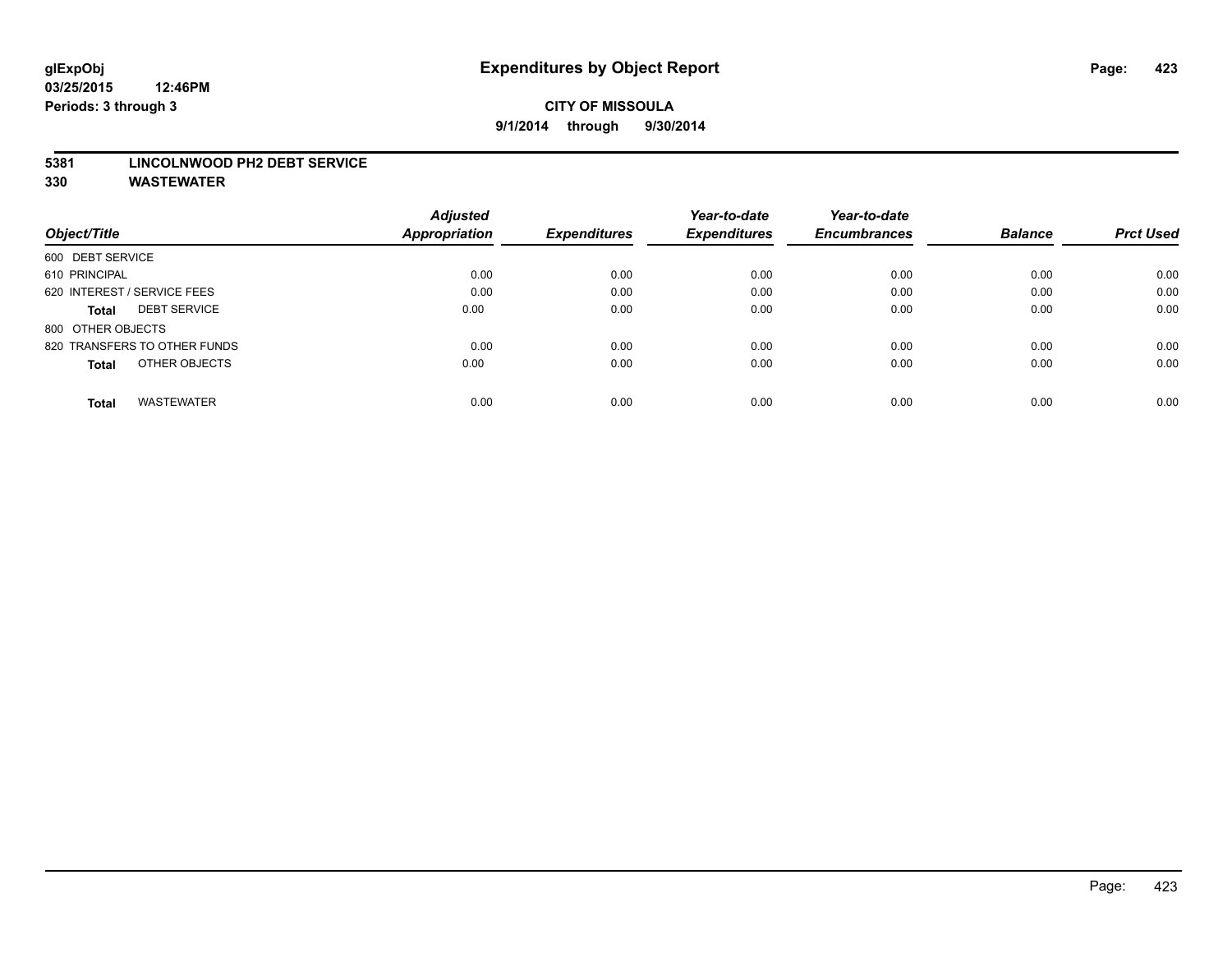#### **5381 LINCOLNWOOD PH2 DEBT SERVICE**

|                                     | <b>Adjusted</b>      |                     | Year-to-date        | Year-to-date        |                |                  |
|-------------------------------------|----------------------|---------------------|---------------------|---------------------|----------------|------------------|
| Object/Title                        | <b>Appropriation</b> | <b>Expenditures</b> | <b>Expenditures</b> | <b>Encumbrances</b> | <b>Balance</b> | <b>Prct Used</b> |
| 600 DEBT SERVICE                    |                      |                     |                     |                     |                |                  |
| 610 PRINCIPAL                       | 0.00                 | 0.00                | 0.00                | 0.00                | 0.00           | 0.00             |
| 620 INTEREST / SERVICE FEES         | 0.00                 | 0.00                | 0.00                | 0.00                | 0.00           | 0.00             |
| <b>DEBT SERVICE</b><br><b>Total</b> | 0.00                 | 0.00                | 0.00                | 0.00                | 0.00           | 0.00             |
| 800 OTHER OBJECTS                   |                      |                     |                     |                     |                |                  |
| 820 TRANSFERS TO OTHER FUNDS        | 0.00                 | 0.00                | 0.00                | 0.00                | 0.00           | 0.00             |
| OTHER OBJECTS<br><b>Total</b>       | 0.00                 | 0.00                | 0.00                | 0.00                | 0.00           | 0.00             |
| <b>WASTEWATER</b><br>Total          | 0.00                 | 0.00                | 0.00                | 0.00                | 0.00           | 0.00             |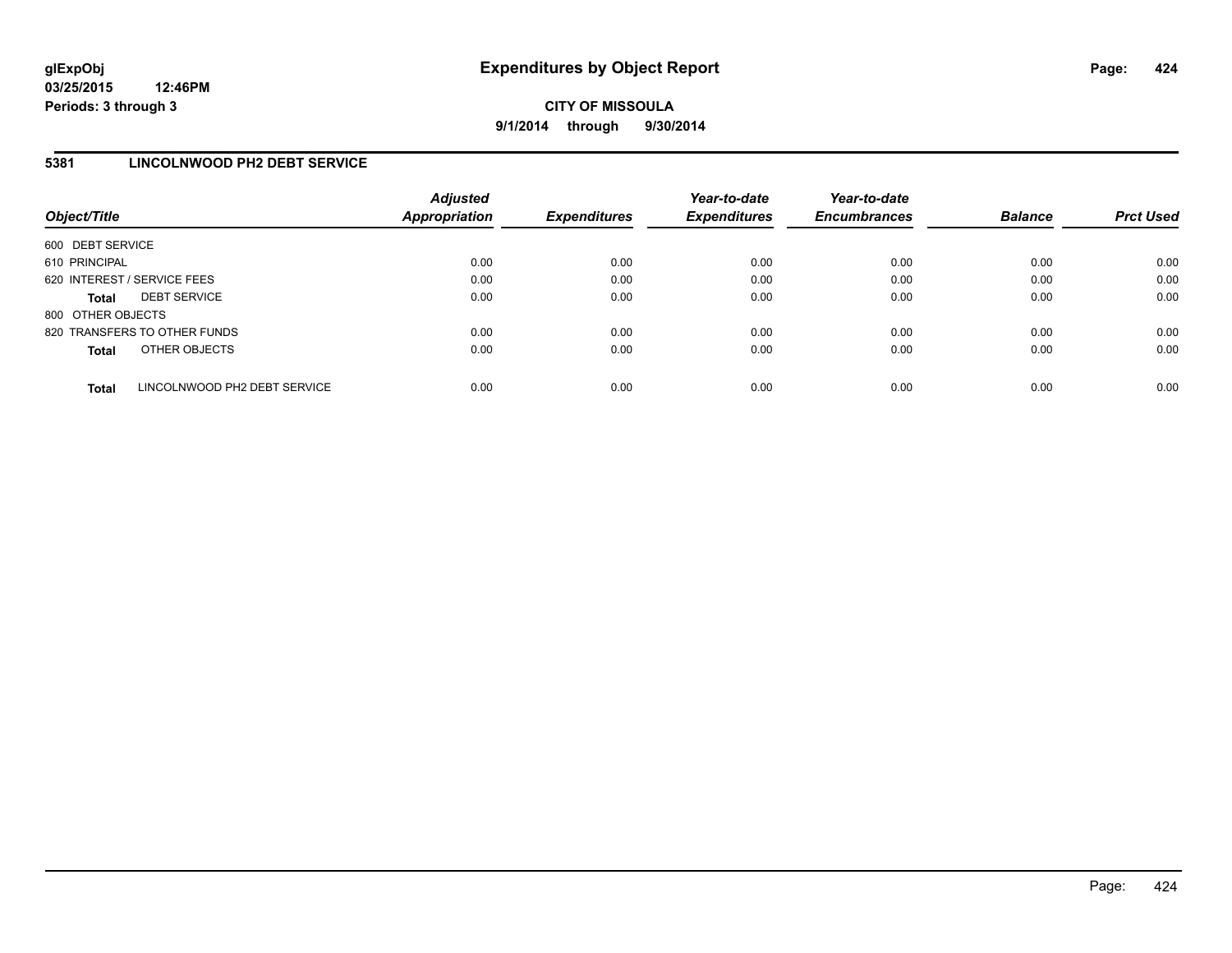**CITY OF MISSOULA 9/1/2014 through 9/30/2014**

### **5381 LINCOLNWOOD PH2 DEBT SERVICE**

| Object/Title                |                              | <b>Adjusted</b><br>Appropriation | <b>Expenditures</b> | Year-to-date<br><b>Expenditures</b> | Year-to-date<br><b>Encumbrances</b> | <b>Balance</b> | <b>Prct Used</b> |
|-----------------------------|------------------------------|----------------------------------|---------------------|-------------------------------------|-------------------------------------|----------------|------------------|
| 600 DEBT SERVICE            |                              |                                  |                     |                                     |                                     |                |                  |
| 610 PRINCIPAL               |                              | 0.00                             | 0.00                | 0.00                                | 0.00                                | 0.00           | 0.00             |
| 620 INTEREST / SERVICE FEES |                              | 0.00                             | 0.00                | 0.00                                | 0.00                                | 0.00           | 0.00             |
| <b>Total</b>                | <b>DEBT SERVICE</b>          | 0.00                             | 0.00                | 0.00                                | 0.00                                | 0.00           | 0.00             |
| 800 OTHER OBJECTS           |                              |                                  |                     |                                     |                                     |                |                  |
|                             | 820 TRANSFERS TO OTHER FUNDS | 0.00                             | 0.00                | 0.00                                | 0.00                                | 0.00           | 0.00             |
| <b>Total</b>                | OTHER OBJECTS                | 0.00                             | 0.00                | 0.00                                | 0.00                                | 0.00           | 0.00             |
|                             |                              |                                  |                     |                                     |                                     |                |                  |
| <b>Total</b>                | LINCOLNWOOD PH2 DEBT SERVICE | 0.00                             | 0.00                | 0.00                                | 0.00                                | 0.00           | 0.00             |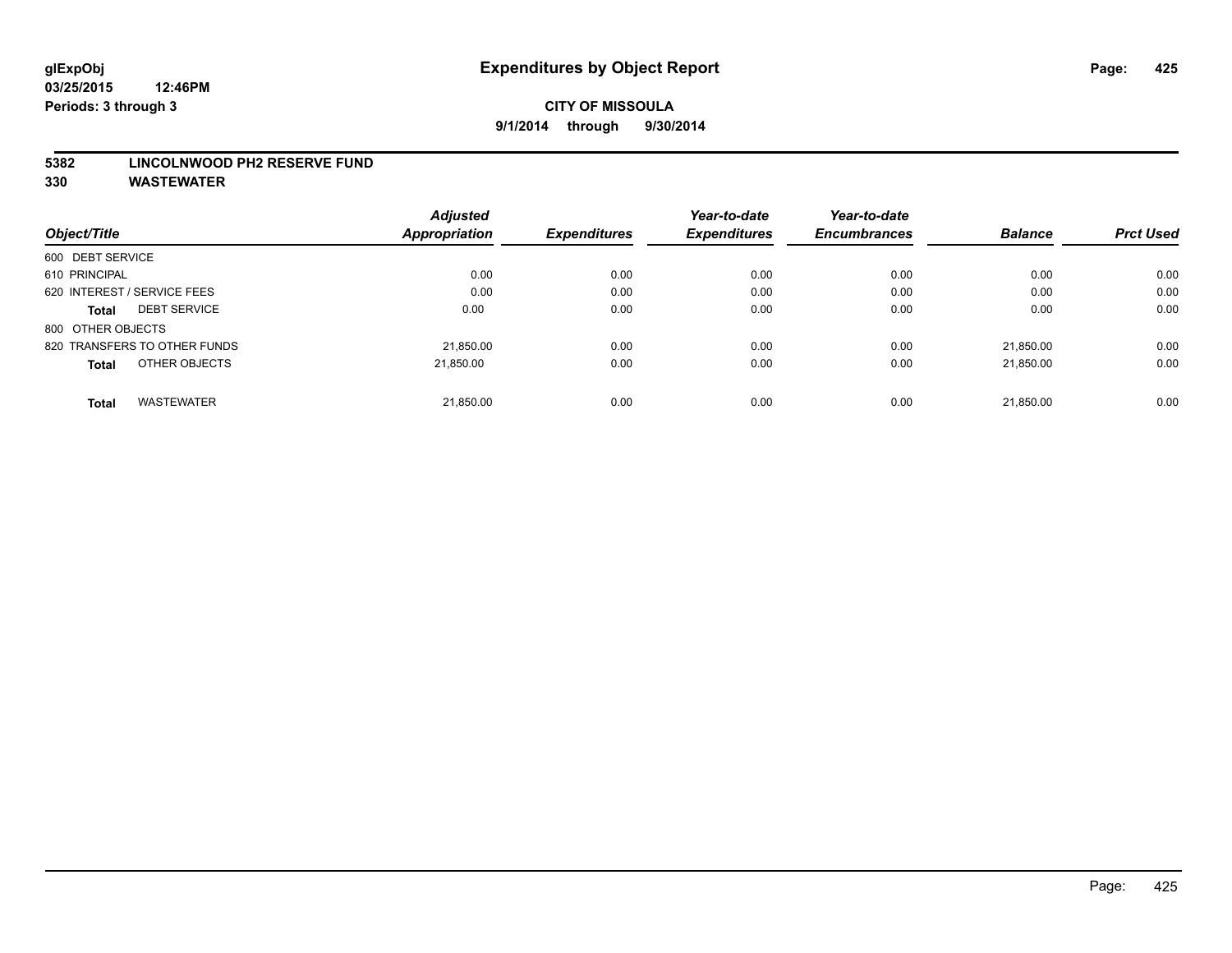#### **5382 LINCOLNWOOD PH2 RESERVE FUND**

|                                     | <b>Adjusted</b>      |                     | Year-to-date        | Year-to-date        |                |                  |
|-------------------------------------|----------------------|---------------------|---------------------|---------------------|----------------|------------------|
| Object/Title                        | <b>Appropriation</b> | <b>Expenditures</b> | <b>Expenditures</b> | <b>Encumbrances</b> | <b>Balance</b> | <b>Prct Used</b> |
| 600 DEBT SERVICE                    |                      |                     |                     |                     |                |                  |
| 610 PRINCIPAL                       | 0.00                 | 0.00                | 0.00                | 0.00                | 0.00           | 0.00             |
| 620 INTEREST / SERVICE FEES         | 0.00                 | 0.00                | 0.00                | 0.00                | 0.00           | 0.00             |
| <b>DEBT SERVICE</b><br><b>Total</b> | 0.00                 | 0.00                | 0.00                | 0.00                | 0.00           | 0.00             |
| 800 OTHER OBJECTS                   |                      |                     |                     |                     |                |                  |
| 820 TRANSFERS TO OTHER FUNDS        | 21,850.00            | 0.00                | 0.00                | 0.00                | 21.850.00      | 0.00             |
| OTHER OBJECTS<br><b>Total</b>       | 21.850.00            | 0.00                | 0.00                | 0.00                | 21.850.00      | 0.00             |
| <b>WASTEWATER</b><br><b>Total</b>   | 21,850.00            | 0.00                | 0.00                | 0.00                | 21.850.00      | 0.00             |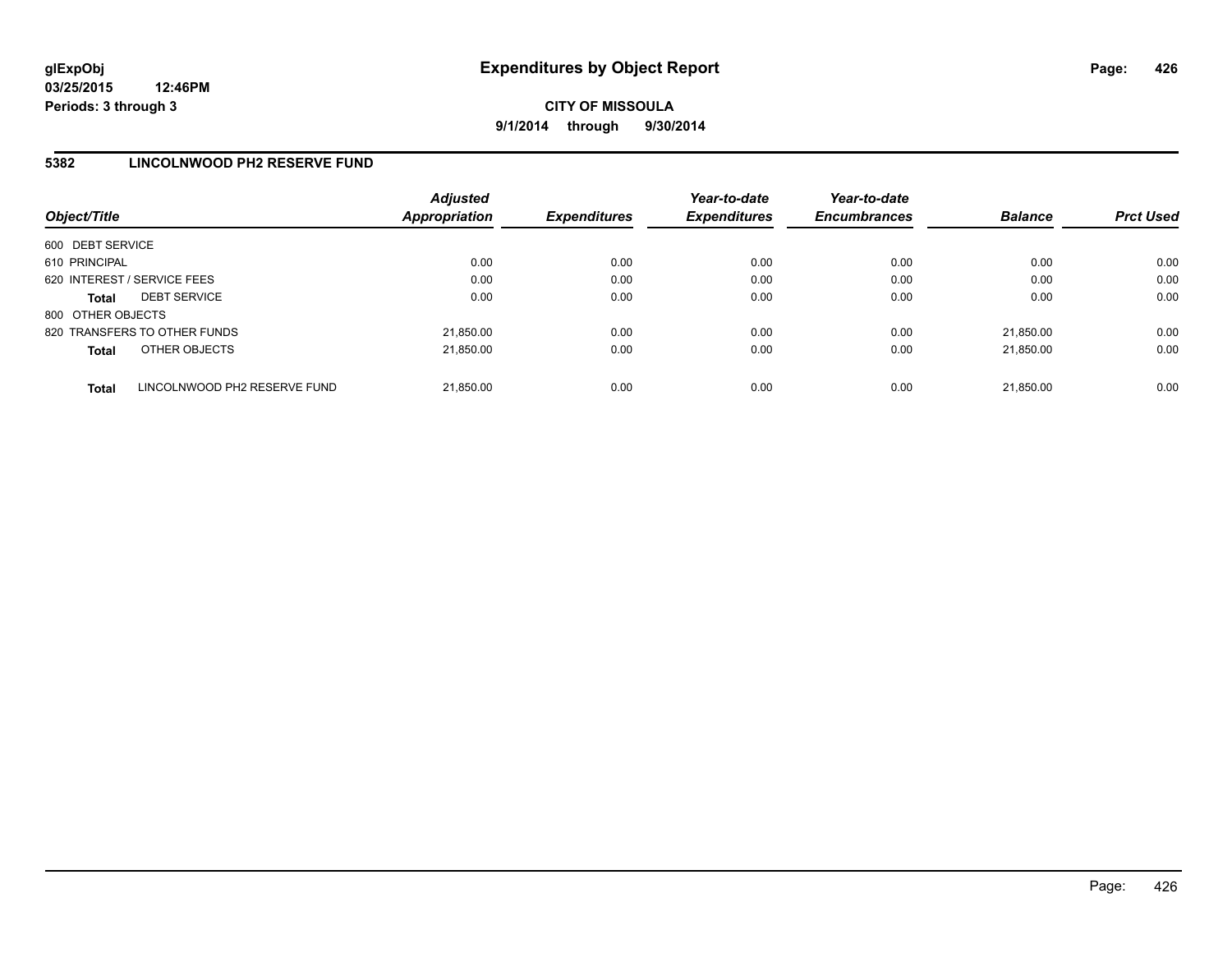**CITY OF MISSOULA 9/1/2014 through 9/30/2014**

### **5382 LINCOLNWOOD PH2 RESERVE FUND**

| Object/Title      |                              | <b>Adjusted</b><br><b>Appropriation</b> | <b>Expenditures</b> | Year-to-date<br><b>Expenditures</b> | Year-to-date<br><b>Encumbrances</b> | <b>Balance</b> | <b>Prct Used</b> |
|-------------------|------------------------------|-----------------------------------------|---------------------|-------------------------------------|-------------------------------------|----------------|------------------|
| 600 DEBT SERVICE  |                              |                                         |                     |                                     |                                     |                |                  |
| 610 PRINCIPAL     |                              | 0.00                                    | 0.00                | 0.00                                | 0.00                                | 0.00           | 0.00             |
|                   | 620 INTEREST / SERVICE FEES  | 0.00                                    | 0.00                | 0.00                                | 0.00                                | 0.00           | 0.00             |
| <b>Total</b>      | <b>DEBT SERVICE</b>          | 0.00                                    | 0.00                | 0.00                                | 0.00                                | 0.00           | 0.00             |
| 800 OTHER OBJECTS |                              |                                         |                     |                                     |                                     |                |                  |
|                   | 820 TRANSFERS TO OTHER FUNDS | 21.850.00                               | 0.00                | 0.00                                | 0.00                                | 21.850.00      | 0.00             |
| <b>Total</b>      | OTHER OBJECTS                | 21.850.00                               | 0.00                | 0.00                                | 0.00                                | 21.850.00      | 0.00             |
| <b>Total</b>      | LINCOLNWOOD PH2 RESERVE FUND | 21.850.00                               | 0.00                | 0.00                                | 0.00                                | 21.850.00      | 0.00             |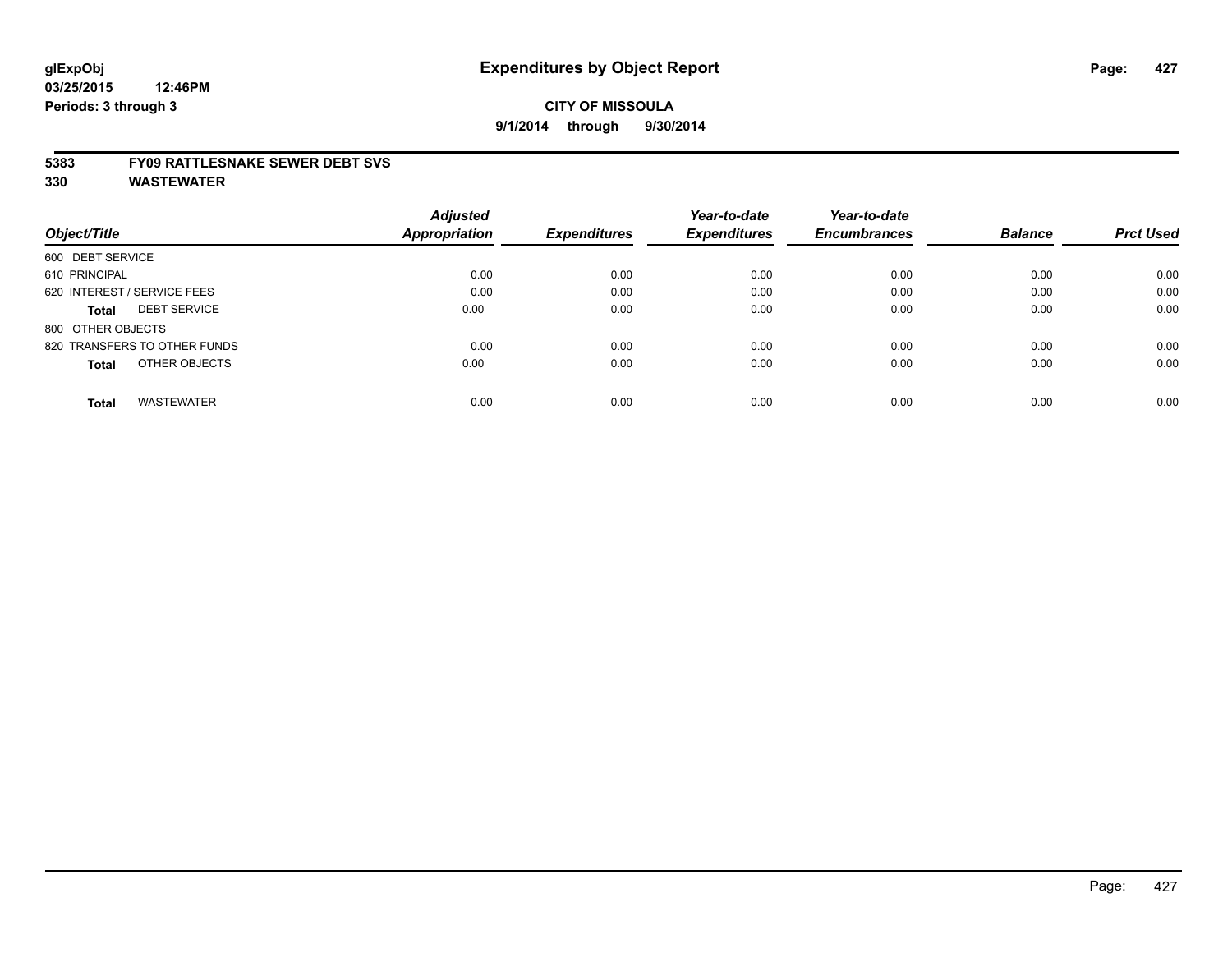#### **5383 FY09 RATTLESNAKE SEWER DEBT SVS**

|                                     | <b>Adjusted</b> |                     | Year-to-date        | Year-to-date        | <b>Balance</b> | <b>Prct Used</b> |
|-------------------------------------|-----------------|---------------------|---------------------|---------------------|----------------|------------------|
| Object/Title                        | Appropriation   | <b>Expenditures</b> | <b>Expenditures</b> | <b>Encumbrances</b> |                |                  |
| 600 DEBT SERVICE                    |                 |                     |                     |                     |                |                  |
| 610 PRINCIPAL                       | 0.00            | 0.00                | 0.00                | 0.00                | 0.00           | 0.00             |
| 620 INTEREST / SERVICE FEES         | 0.00            | 0.00                | 0.00                | 0.00                | 0.00           | 0.00             |
| <b>DEBT SERVICE</b><br><b>Total</b> | 0.00            | 0.00                | 0.00                | 0.00                | 0.00           | 0.00             |
| 800 OTHER OBJECTS                   |                 |                     |                     |                     |                |                  |
| 820 TRANSFERS TO OTHER FUNDS        | 0.00            | 0.00                | 0.00                | 0.00                | 0.00           | 0.00             |
| OTHER OBJECTS<br><b>Total</b>       | 0.00            | 0.00                | 0.00                | 0.00                | 0.00           | 0.00             |
| <b>WASTEWATER</b><br>Total          | 0.00            | 0.00                | 0.00                | 0.00                | 0.00           | 0.00             |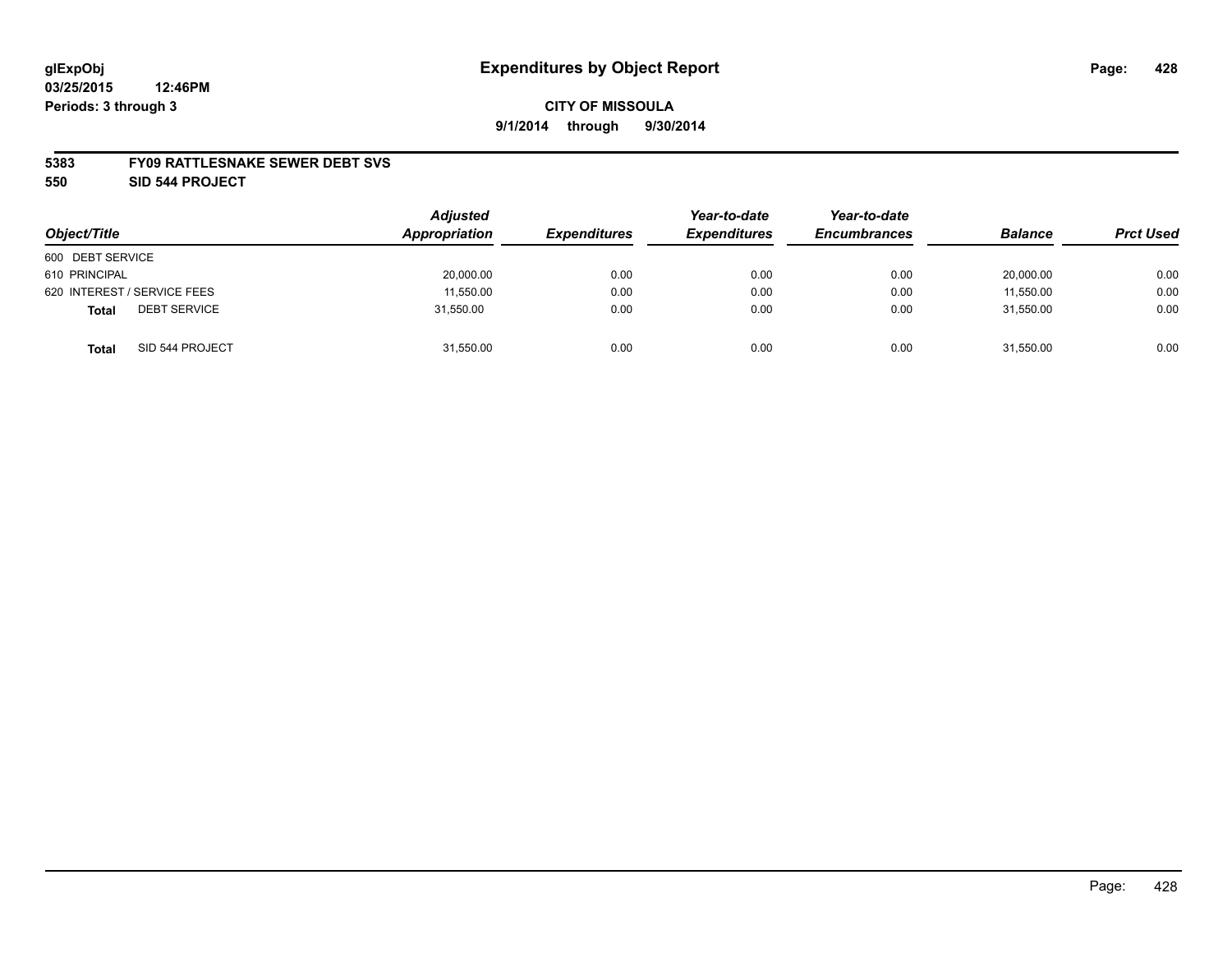#### **5383 FY09 RATTLESNAKE SEWER DEBT SVS**

**550 SID 544 PROJECT**

|                                     | <b>Adjusted</b><br>Appropriation |                     | Year-to-date        | Year-to-date        |                |                  |
|-------------------------------------|----------------------------------|---------------------|---------------------|---------------------|----------------|------------------|
| Object/Title                        |                                  | <b>Expenditures</b> | <b>Expenditures</b> | <b>Encumbrances</b> | <b>Balance</b> | <b>Prct Used</b> |
| 600 DEBT SERVICE                    |                                  |                     |                     |                     |                |                  |
| 610 PRINCIPAL                       | 20,000.00                        | 0.00                | 0.00                | 0.00                | 20,000.00      | 0.00             |
| 620 INTEREST / SERVICE FEES         | 11,550.00                        | 0.00                | 0.00                | 0.00                | 11,550.00      | 0.00             |
| <b>DEBT SERVICE</b><br><b>Total</b> | 31,550.00                        | 0.00                | 0.00                | 0.00                | 31,550.00      | 0.00             |
| SID 544 PROJECT<br><b>Total</b>     | 31,550.00                        | 0.00                | 0.00                | 0.00                | 31,550.00      | 0.00             |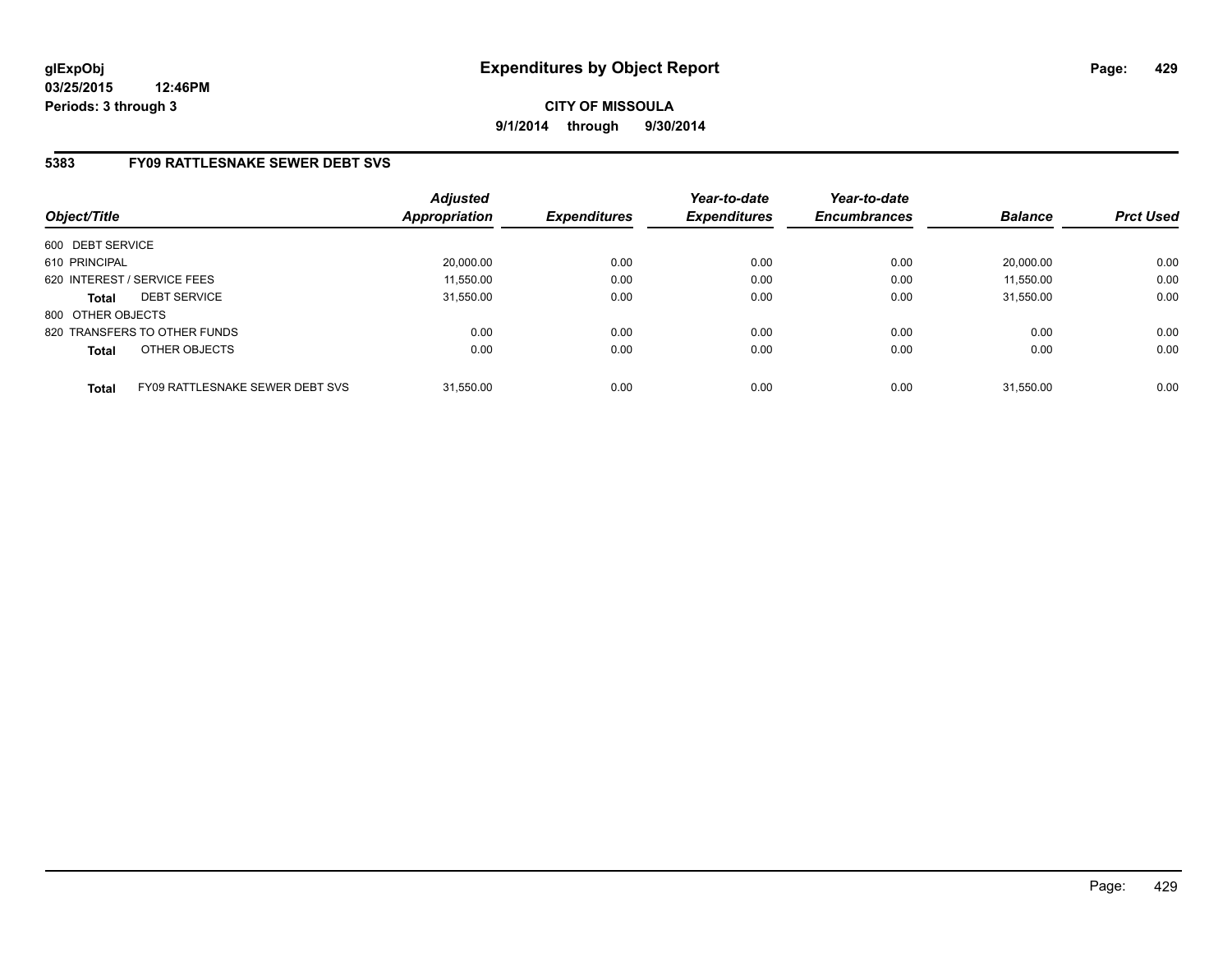# **5383 FY09 RATTLESNAKE SEWER DEBT SVS**

| Object/Title      |                                 | <b>Adjusted</b><br><b>Appropriation</b> | <b>Expenditures</b> | Year-to-date<br><b>Expenditures</b> | Year-to-date<br><b>Encumbrances</b> | <b>Balance</b> | <b>Prct Used</b> |
|-------------------|---------------------------------|-----------------------------------------|---------------------|-------------------------------------|-------------------------------------|----------------|------------------|
| 600 DEBT SERVICE  |                                 |                                         |                     |                                     |                                     |                |                  |
| 610 PRINCIPAL     |                                 | 20,000.00                               | 0.00                | 0.00                                | 0.00                                | 20.000.00      | 0.00             |
|                   | 620 INTEREST / SERVICE FEES     | 11,550.00                               | 0.00                | 0.00                                | 0.00                                | 11,550.00      | 0.00             |
| <b>Total</b>      | <b>DEBT SERVICE</b>             | 31,550.00                               | 0.00                | 0.00                                | 0.00                                | 31.550.00      | 0.00             |
| 800 OTHER OBJECTS |                                 |                                         |                     |                                     |                                     |                |                  |
|                   | 820 TRANSFERS TO OTHER FUNDS    | 0.00                                    | 0.00                | 0.00                                | 0.00                                | 0.00           | 0.00             |
| <b>Total</b>      | OTHER OBJECTS                   | 0.00                                    | 0.00                | 0.00                                | 0.00                                | 0.00           | 0.00             |
| <b>Total</b>      | FY09 RATTLESNAKE SEWER DEBT SVS | 31.550.00                               | 0.00                | 0.00                                | 0.00                                | 31.550.00      | 0.00             |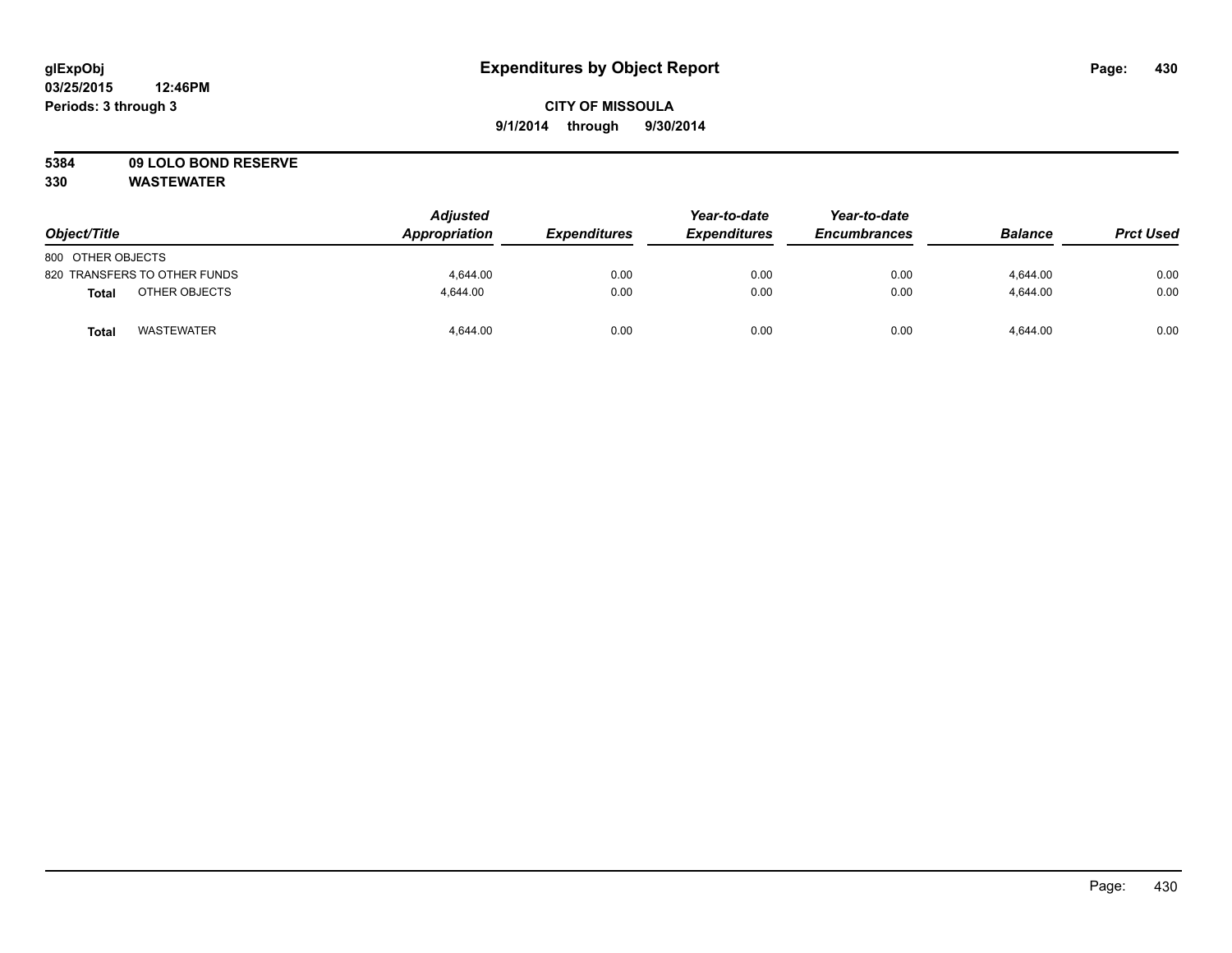# **CITY OF MISSOULA 9/1/2014 through 9/30/2014**

# **5384 09 LOLO BOND RESERVE**

| Object/Title                  | <b>Adjusted</b><br>Appropriation | <b>Expenditures</b> | Year-to-date<br><b>Expenditures</b> | Year-to-date<br><b>Encumbrances</b> | <b>Balance</b> | <b>Prct Used</b> |
|-------------------------------|----------------------------------|---------------------|-------------------------------------|-------------------------------------|----------------|------------------|
| 800 OTHER OBJECTS             |                                  |                     |                                     |                                     |                |                  |
| 820 TRANSFERS TO OTHER FUNDS  | 4,644.00                         | 0.00                | 0.00                                | 0.00                                | 4,644.00       | 0.00             |
| OTHER OBJECTS<br><b>Total</b> | 4.644.00                         | 0.00                | 0.00                                | 0.00                                | 4.644.00       | 0.00             |
| <b>WASTEWATER</b><br>Tota     | 4,644.00                         | 0.00                | 0.00                                | 0.00                                | 4.644.00       | 0.00             |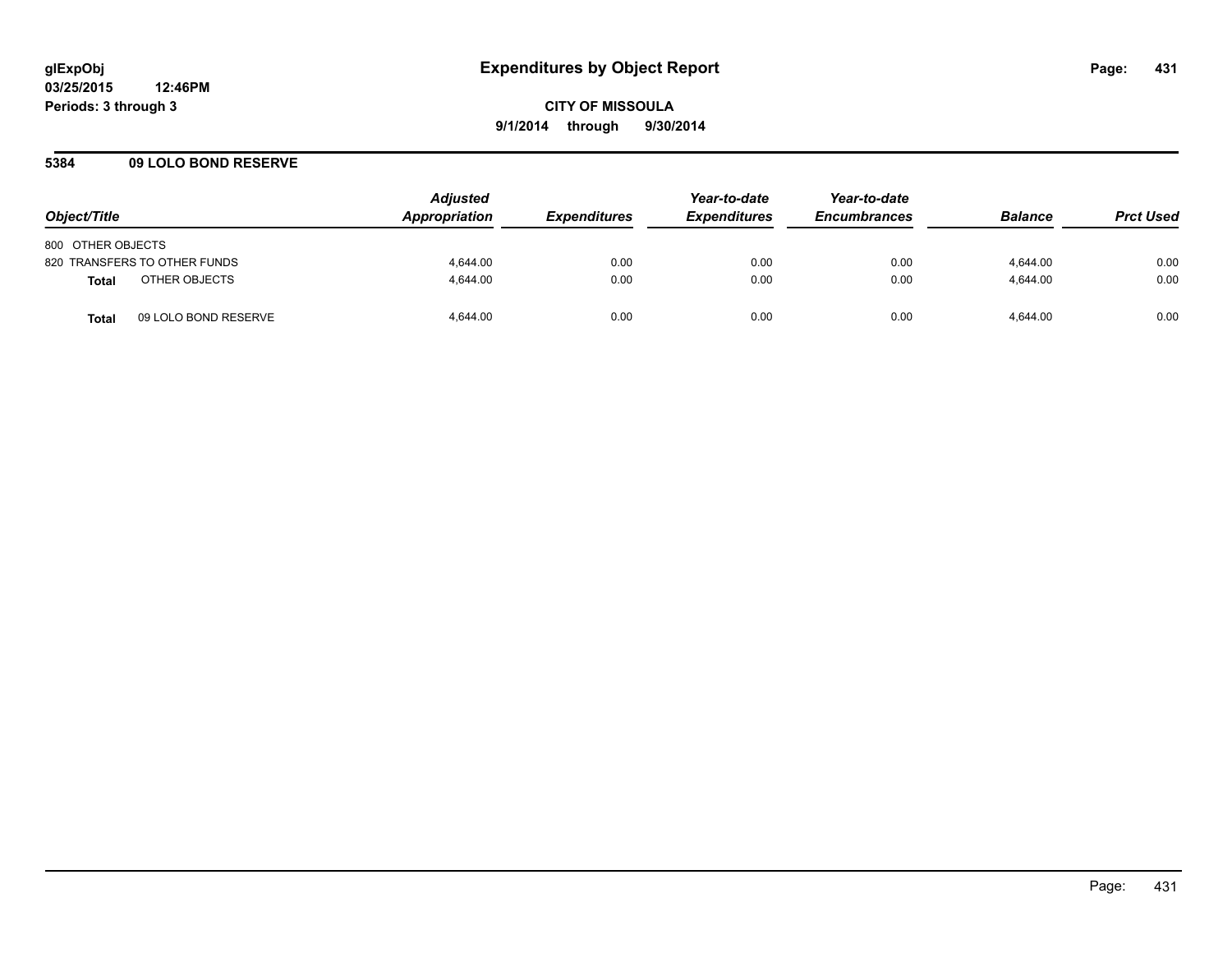### **5384 09 LOLO BOND RESERVE**

| Object/Title                         | <b>Adjusted</b><br><b>Appropriation</b> | <i><b>Expenditures</b></i> | Year-to-date<br><b>Expenditures</b> | Year-to-date<br><b>Encumbrances</b> | <b>Balance</b> | <b>Prct Used</b> |
|--------------------------------------|-----------------------------------------|----------------------------|-------------------------------------|-------------------------------------|----------------|------------------|
| 800 OTHER OBJECTS                    |                                         |                            |                                     |                                     |                |                  |
| 820 TRANSFERS TO OTHER FUNDS         | 4.644.00                                | 0.00                       | 0.00                                | 0.00                                | 4.644.00       | 0.00             |
| OTHER OBJECTS<br><b>Total</b>        | 4.644.00                                | 0.00                       | 0.00                                | 0.00                                | 4.644.00       | 0.00             |
| 09 LOLO BOND RESERVE<br><b>Total</b> | 4.644.00                                | 0.00                       | 0.00                                | 0.00                                | 4.644.00       | 0.00             |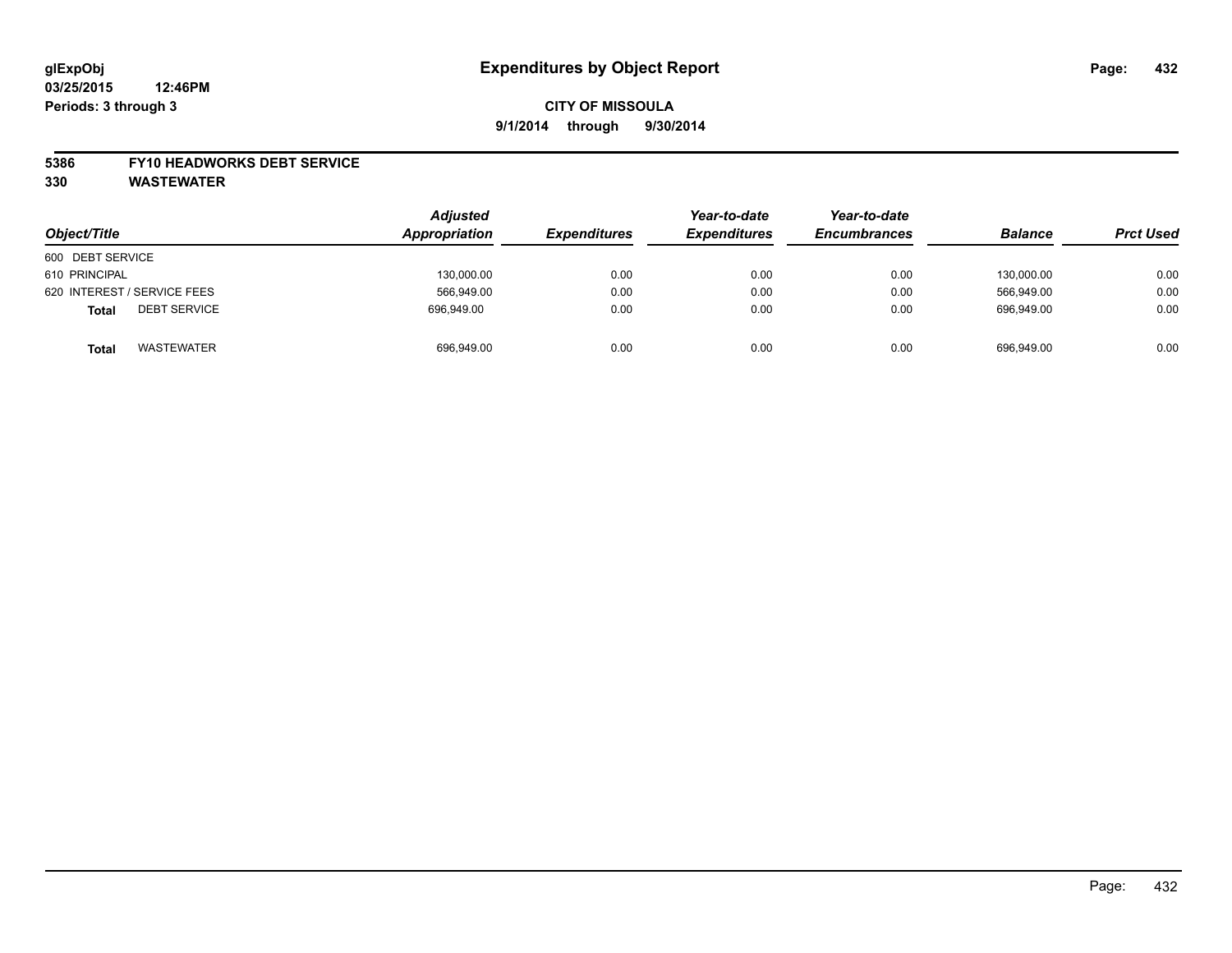#### **5386 FY10 HEADWORKS DEBT SERVICE**

| Object/Title                        | <b>Adjusted</b><br>Appropriation | <b>Expenditures</b> | Year-to-date<br><b>Expenditures</b> | Year-to-date<br><b>Encumbrances</b> | <b>Balance</b> | <b>Prct Used</b> |
|-------------------------------------|----------------------------------|---------------------|-------------------------------------|-------------------------------------|----------------|------------------|
| 600 DEBT SERVICE                    |                                  |                     |                                     |                                     |                |                  |
| 610 PRINCIPAL                       | 130,000.00                       | 0.00                | 0.00                                | 0.00                                | 130.000.00     | 0.00             |
| 620 INTEREST / SERVICE FEES         | 566,949.00                       | 0.00                | 0.00                                | 0.00                                | 566,949.00     | 0.00             |
| <b>DEBT SERVICE</b><br><b>Total</b> | 696.949.00                       | 0.00                | 0.00                                | 0.00                                | 696.949.00     | 0.00             |
| <b>WASTEWATER</b><br><b>Total</b>   | 696,949.00                       | 0.00                | 0.00                                | 0.00                                | 696,949.00     | 0.00             |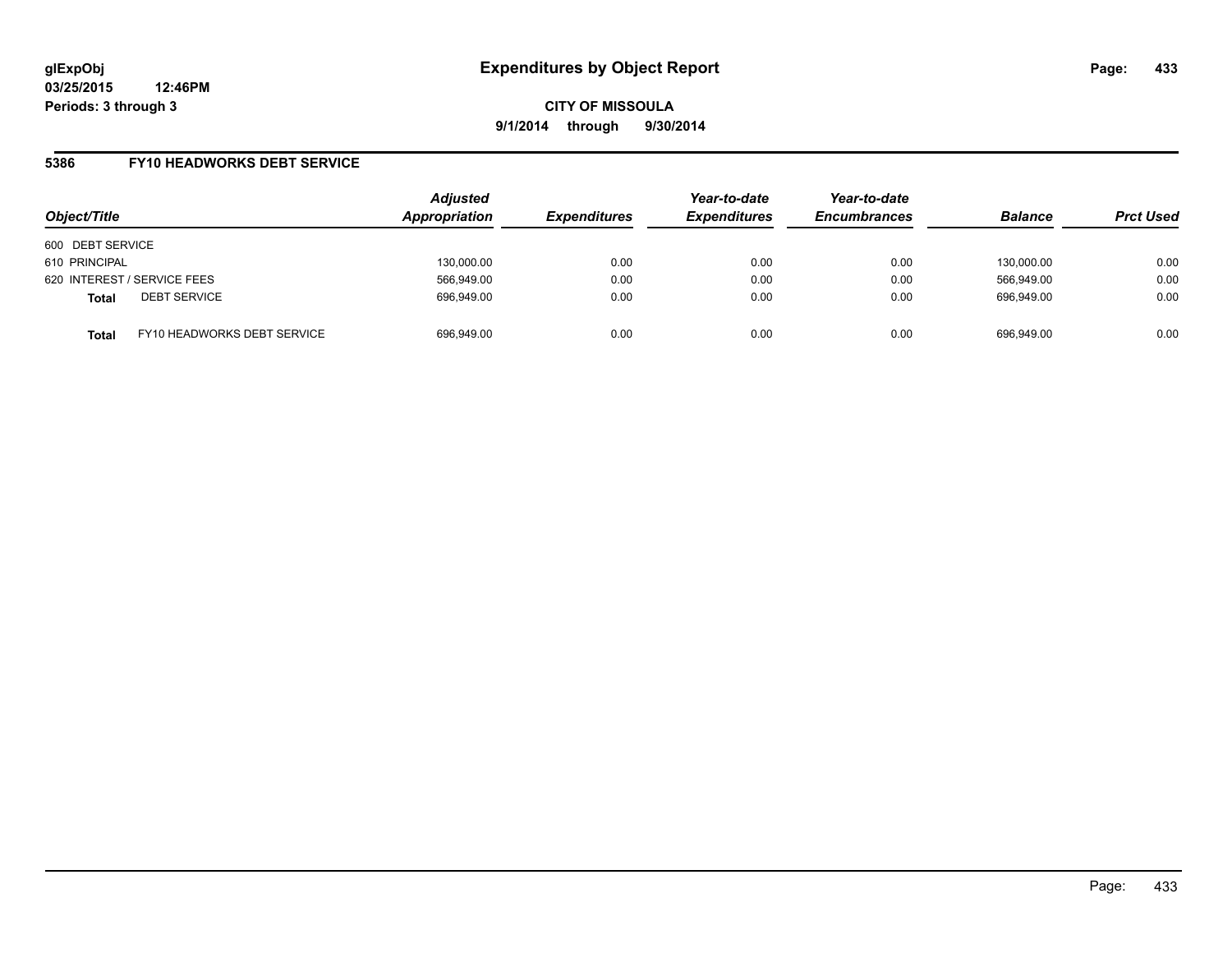## **5386 FY10 HEADWORKS DEBT SERVICE**

| Object/Title                |                             | <b>Adjusted</b><br>Appropriation | <b>Expenditures</b> | Year-to-date<br><b>Expenditures</b> | Year-to-date<br><b>Encumbrances</b> | <b>Balance</b> | <b>Prct Used</b> |
|-----------------------------|-----------------------------|----------------------------------|---------------------|-------------------------------------|-------------------------------------|----------------|------------------|
| 600 DEBT SERVICE            |                             |                                  |                     |                                     |                                     |                |                  |
| 610 PRINCIPAL               |                             | 130,000.00                       | 0.00                | 0.00                                | 0.00                                | 130.000.00     | 0.00             |
| 620 INTEREST / SERVICE FEES |                             | 566,949.00                       | 0.00                | 0.00                                | 0.00                                | 566.949.00     | 0.00             |
| <b>Total</b>                | <b>DEBT SERVICE</b>         | 696,949.00                       | 0.00                | 0.00                                | 0.00                                | 696.949.00     | 0.00             |
| <b>Total</b>                | FY10 HEADWORKS DEBT SERVICE | 696,949.00                       | 0.00                | 0.00                                | 0.00                                | 696.949.00     | 0.00             |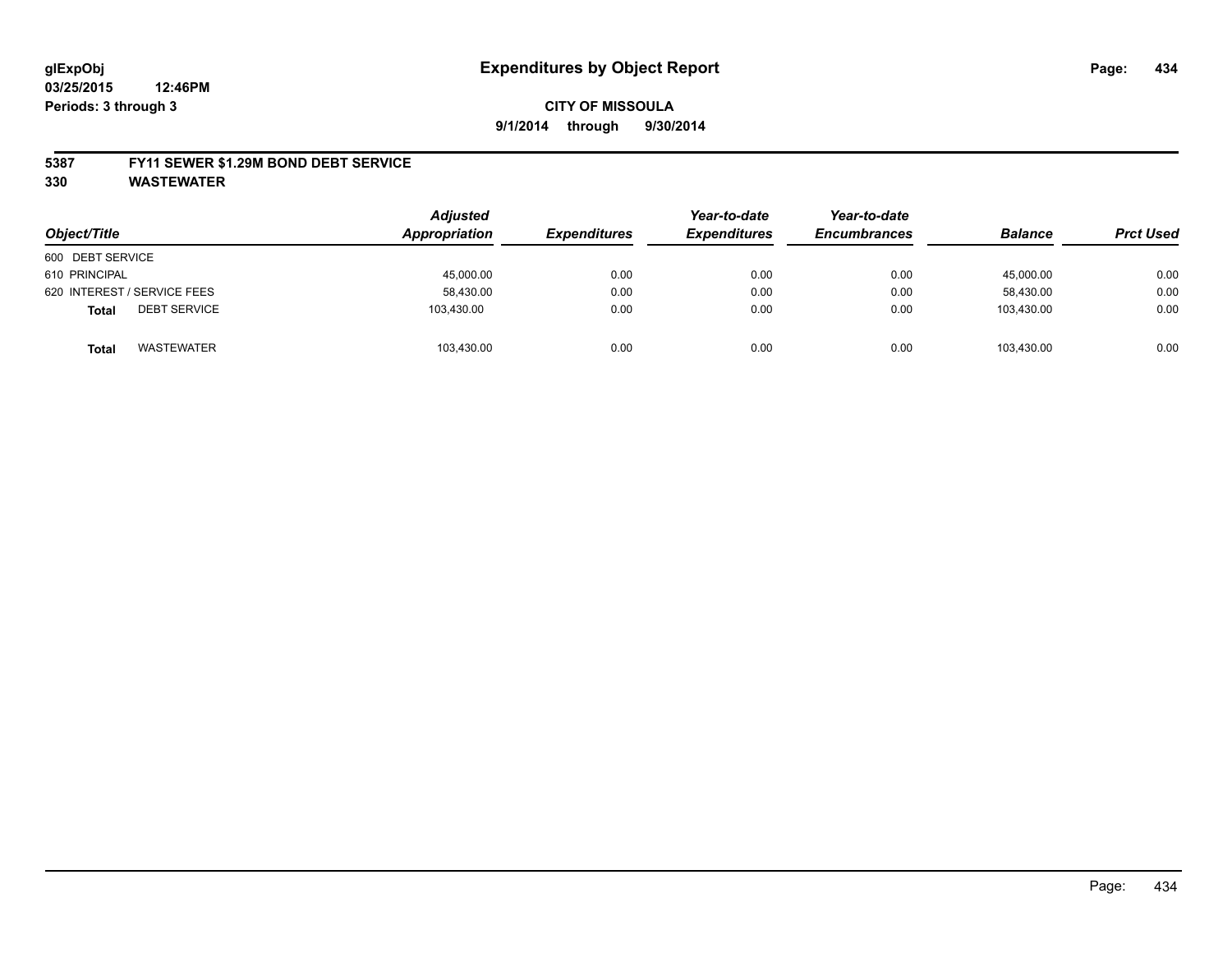#### **5387 FY11 SEWER \$1.29M BOND DEBT SERVICE**

**330 WASTEWATER**

| Object/Title                        | <b>Adjusted</b><br>Appropriation | <b>Expenditures</b> | Year-to-date<br><b>Expenditures</b> | Year-to-date<br><b>Encumbrances</b> | <b>Balance</b> | <b>Prct Used</b> |
|-------------------------------------|----------------------------------|---------------------|-------------------------------------|-------------------------------------|----------------|------------------|
| 600 DEBT SERVICE                    |                                  |                     |                                     |                                     |                |                  |
| 610 PRINCIPAL                       | 45,000.00                        | 0.00                | 0.00                                | 0.00                                | 45,000.00      | 0.00             |
| 620 INTEREST / SERVICE FEES         | 58,430.00                        | 0.00                | 0.00                                | 0.00                                | 58.430.00      | 0.00             |
| <b>DEBT SERVICE</b><br><b>Total</b> | 103.430.00                       | 0.00                | 0.00                                | 0.00                                | 103.430.00     | 0.00             |
| WASTEWATER<br><b>Total</b>          | 103,430.00                       | 0.00                | 0.00                                | 0.00                                | 103.430.00     | 0.00             |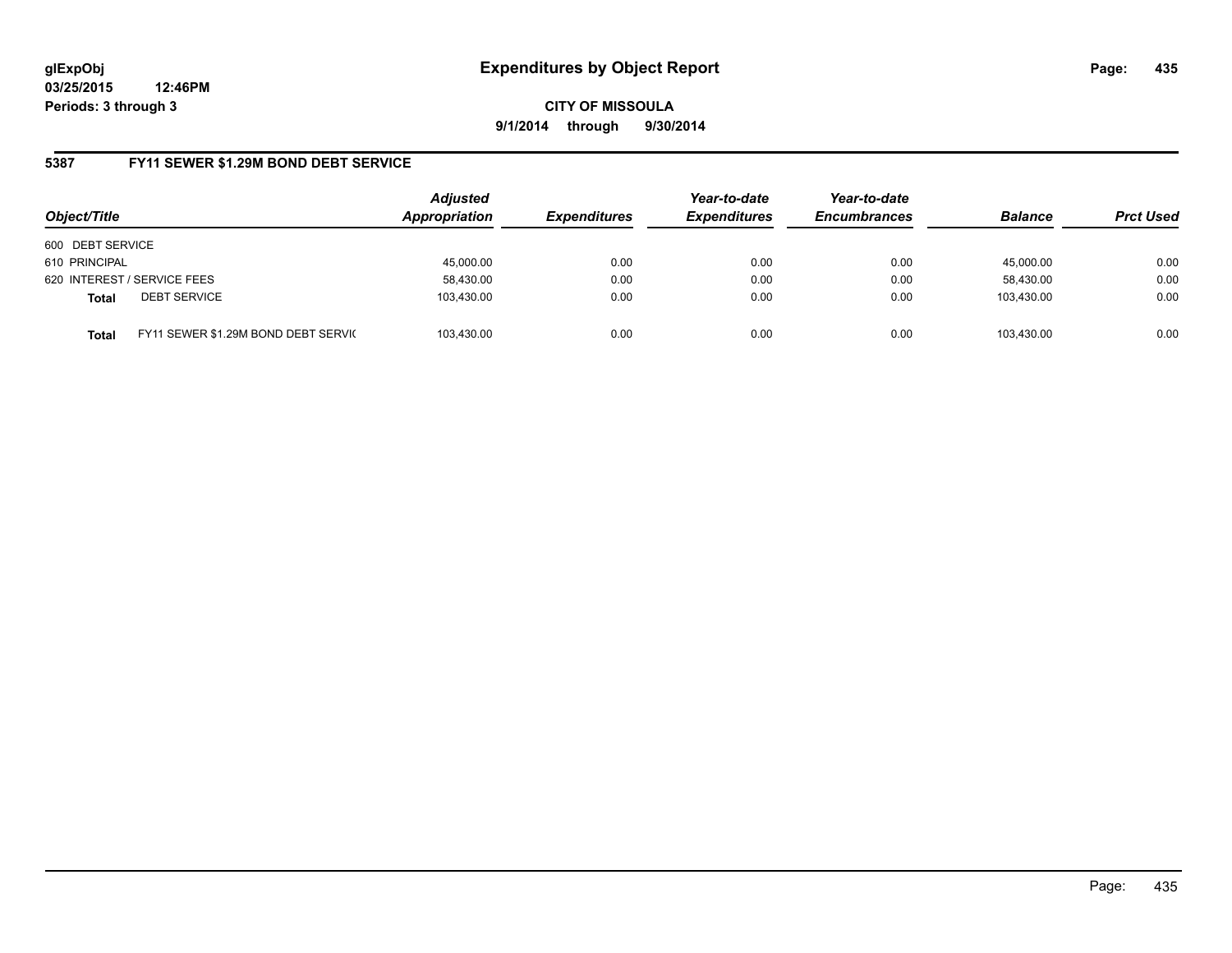**CITY OF MISSOULA 9/1/2014 through 9/30/2014**

## **5387 FY11 SEWER \$1.29M BOND DEBT SERVICE**

| Object/Title                |                                      | <b>Adjusted</b><br>Appropriation | <b>Expenditures</b> | Year-to-date<br><b>Expenditures</b> | Year-to-date<br><b>Encumbrances</b> | <b>Balance</b> | <b>Prct Used</b> |
|-----------------------------|--------------------------------------|----------------------------------|---------------------|-------------------------------------|-------------------------------------|----------------|------------------|
| 600 DEBT SERVICE            |                                      |                                  |                     |                                     |                                     |                |                  |
| 610 PRINCIPAL               |                                      | 45,000.00                        | 0.00                | 0.00                                | 0.00                                | 45.000.00      | 0.00             |
| 620 INTEREST / SERVICE FEES |                                      | 58,430.00                        | 0.00                | 0.00                                | 0.00                                | 58,430.00      | 0.00             |
| <b>Total</b>                | <b>DEBT SERVICE</b>                  | 103,430.00                       | 0.00                | 0.00                                | 0.00                                | 103.430.00     | 0.00             |
| <b>Total</b>                | FY11 SEWER \$1.29M BOND DEBT SERVICE | 103.430.00                       | 0.00                | 0.00                                | 0.00                                | 103.430.00     | 0.00             |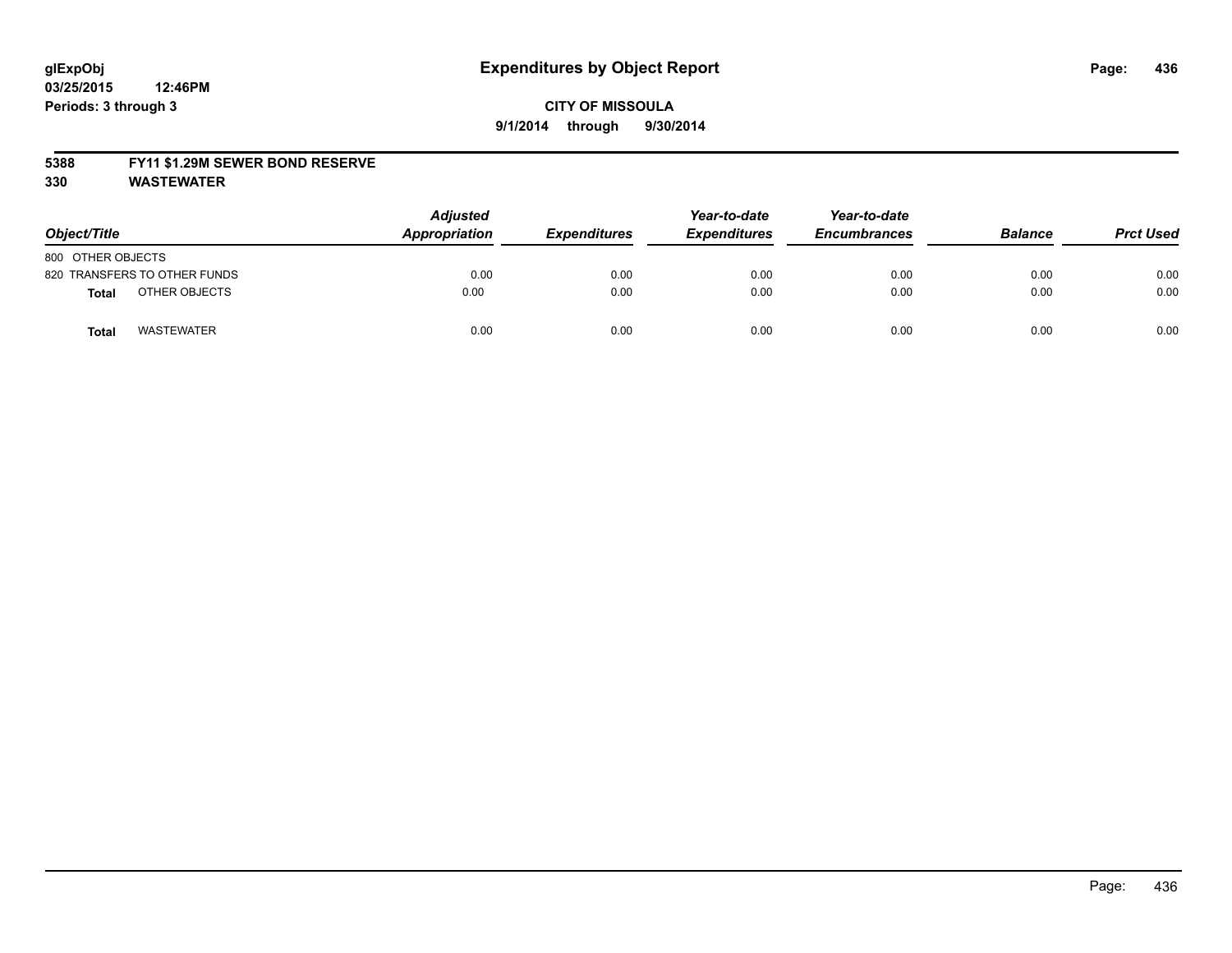#### **5388 FY11 \$1.29M SEWER BOND RESERVE**

**330 WASTEWATER**

| Object/Title                 | <b>Adjusted</b><br>Appropriation | <b>Expenditures</b> | Year-to-date<br><b>Expenditures</b> | Year-to-date<br><b>Encumbrances</b> | <b>Balance</b> | <b>Prct Used</b> |
|------------------------------|----------------------------------|---------------------|-------------------------------------|-------------------------------------|----------------|------------------|
| 800 OTHER OBJECTS            |                                  |                     |                                     |                                     |                |                  |
| 820 TRANSFERS TO OTHER FUNDS | 0.00                             | 0.00                | 0.00                                | 0.00                                | 0.00           | 0.00             |
| OTHER OBJECTS<br>Total       | 0.00                             | 0.00                | 0.00                                | 0.00                                | 0.00           | 0.00             |
| <b>WASTEWATER</b><br>Tota    | 0.00                             | 0.00                | 0.00                                | 0.00                                | 0.00           | 0.00             |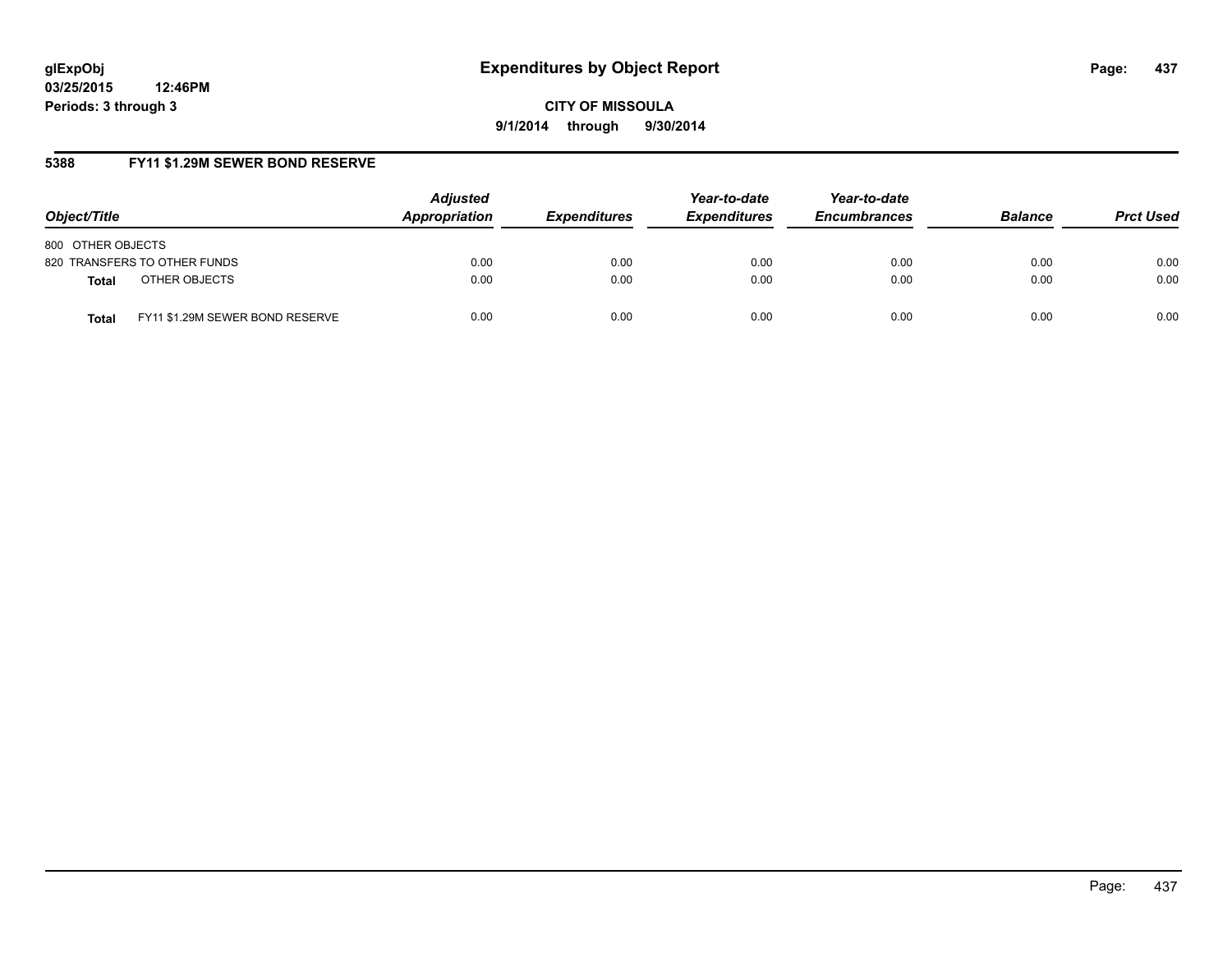**CITY OF MISSOULA 9/1/2014 through 9/30/2014**

## **5388 FY11 \$1.29M SEWER BOND RESERVE**

| Object/Title                                    | <b>Adjusted</b><br>Appropriation | <b>Expenditures</b> | Year-to-date<br><b>Expenditures</b> | Year-to-date<br><b>Encumbrances</b> | <b>Balance</b> | <b>Prct Used</b> |
|-------------------------------------------------|----------------------------------|---------------------|-------------------------------------|-------------------------------------|----------------|------------------|
| 800 OTHER OBJECTS                               |                                  |                     |                                     |                                     |                |                  |
| 820 TRANSFERS TO OTHER FUNDS                    | 0.00                             | 0.00                | 0.00                                | 0.00                                | 0.00           | 0.00             |
| OTHER OBJECTS<br><b>Total</b>                   | 0.00                             | 0.00                | 0.00                                | 0.00                                | 0.00           | 0.00             |
| FY11 \$1.29M SEWER BOND RESERVE<br><b>Total</b> | 0.00                             | 0.00                | 0.00                                | 0.00                                | 0.00           | 0.00             |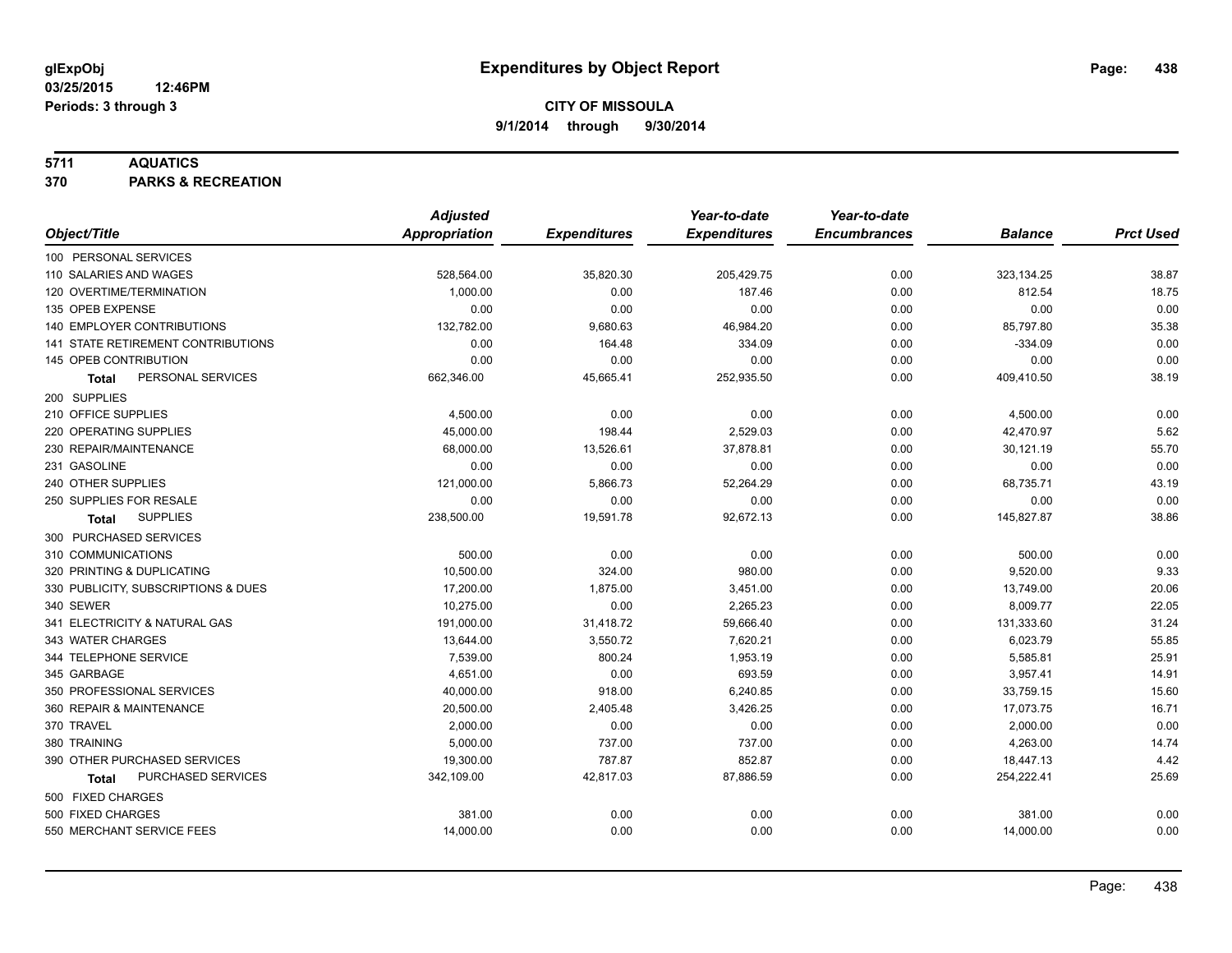## **5711 AQUATICS**

**370 PARKS & RECREATION**

|                                           | <b>Adjusted</b> |                     | Year-to-date        | Year-to-date        |                |                  |
|-------------------------------------------|-----------------|---------------------|---------------------|---------------------|----------------|------------------|
| Object/Title                              | Appropriation   | <b>Expenditures</b> | <b>Expenditures</b> | <b>Encumbrances</b> | <b>Balance</b> | <b>Prct Used</b> |
| 100 PERSONAL SERVICES                     |                 |                     |                     |                     |                |                  |
| 110 SALARIES AND WAGES                    | 528,564.00      | 35,820.30           | 205,429.75          | 0.00                | 323,134.25     | 38.87            |
| 120 OVERTIME/TERMINATION                  | 1,000.00        | 0.00                | 187.46              | 0.00                | 812.54         | 18.75            |
| 135 OPEB EXPENSE                          | 0.00            | 0.00                | 0.00                | 0.00                | 0.00           | 0.00             |
| 140 EMPLOYER CONTRIBUTIONS                | 132,782.00      | 9,680.63            | 46,984.20           | 0.00                | 85,797.80      | 35.38            |
| <b>141 STATE RETIREMENT CONTRIBUTIONS</b> | 0.00            | 164.48              | 334.09              | 0.00                | $-334.09$      | 0.00             |
| 145 OPEB CONTRIBUTION                     | 0.00            | 0.00                | 0.00                | 0.00                | 0.00           | 0.00             |
| PERSONAL SERVICES<br><b>Total</b>         | 662,346.00      | 45,665.41           | 252,935.50          | 0.00                | 409,410.50     | 38.19            |
| 200 SUPPLIES                              |                 |                     |                     |                     |                |                  |
| 210 OFFICE SUPPLIES                       | 4,500.00        | 0.00                | 0.00                | 0.00                | 4,500.00       | 0.00             |
| 220 OPERATING SUPPLIES                    | 45,000.00       | 198.44              | 2,529.03            | 0.00                | 42,470.97      | 5.62             |
| 230 REPAIR/MAINTENANCE                    | 68,000.00       | 13,526.61           | 37,878.81           | 0.00                | 30,121.19      | 55.70            |
| 231 GASOLINE                              | 0.00            | 0.00                | 0.00                | 0.00                | 0.00           | 0.00             |
| 240 OTHER SUPPLIES                        | 121,000.00      | 5,866.73            | 52,264.29           | 0.00                | 68,735.71      | 43.19            |
| 250 SUPPLIES FOR RESALE                   | 0.00            | 0.00                | 0.00                | 0.00                | 0.00           | 0.00             |
| <b>SUPPLIES</b><br>Total                  | 238,500.00      | 19,591.78           | 92,672.13           | 0.00                | 145,827.87     | 38.86            |
| 300 PURCHASED SERVICES                    |                 |                     |                     |                     |                |                  |
| 310 COMMUNICATIONS                        | 500.00          | 0.00                | 0.00                | 0.00                | 500.00         | 0.00             |
| 320 PRINTING & DUPLICATING                | 10,500.00       | 324.00              | 980.00              | 0.00                | 9,520.00       | 9.33             |
| 330 PUBLICITY, SUBSCRIPTIONS & DUES       | 17,200.00       | 1,875.00            | 3,451.00            | 0.00                | 13,749.00      | 20.06            |
| 340 SEWER                                 | 10,275.00       | 0.00                | 2,265.23            | 0.00                | 8,009.77       | 22.05            |
| 341 ELECTRICITY & NATURAL GAS             | 191,000.00      | 31,418.72           | 59,666.40           | 0.00                | 131,333.60     | 31.24            |
| 343 WATER CHARGES                         | 13,644.00       | 3,550.72            | 7,620.21            | 0.00                | 6,023.79       | 55.85            |
| 344 TELEPHONE SERVICE                     | 7,539.00        | 800.24              | 1,953.19            | 0.00                | 5,585.81       | 25.91            |
| 345 GARBAGE                               | 4,651.00        | 0.00                | 693.59              | 0.00                | 3,957.41       | 14.91            |
| 350 PROFESSIONAL SERVICES                 | 40,000.00       | 918.00              | 6,240.85            | 0.00                | 33,759.15      | 15.60            |
| 360 REPAIR & MAINTENANCE                  | 20,500.00       | 2,405.48            | 3,426.25            | 0.00                | 17,073.75      | 16.71            |
| 370 TRAVEL                                | 2,000.00        | 0.00                | 0.00                | 0.00                | 2,000.00       | 0.00             |
| 380 TRAINING                              | 5,000.00        | 737.00              | 737.00              | 0.00                | 4,263.00       | 14.74            |
| 390 OTHER PURCHASED SERVICES              | 19,300.00       | 787.87              | 852.87              | 0.00                | 18,447.13      | 4.42             |
| PURCHASED SERVICES<br>Total               | 342,109.00      | 42,817.03           | 87,886.59           | 0.00                | 254,222.41     | 25.69            |
| 500 FIXED CHARGES                         |                 |                     |                     |                     |                |                  |
| 500 FIXED CHARGES                         | 381.00          | 0.00                | 0.00                | 0.00                | 381.00         | 0.00             |
| 550 MERCHANT SERVICE FEES                 | 14,000.00       | 0.00                | 0.00                | 0.00                | 14,000.00      | 0.00             |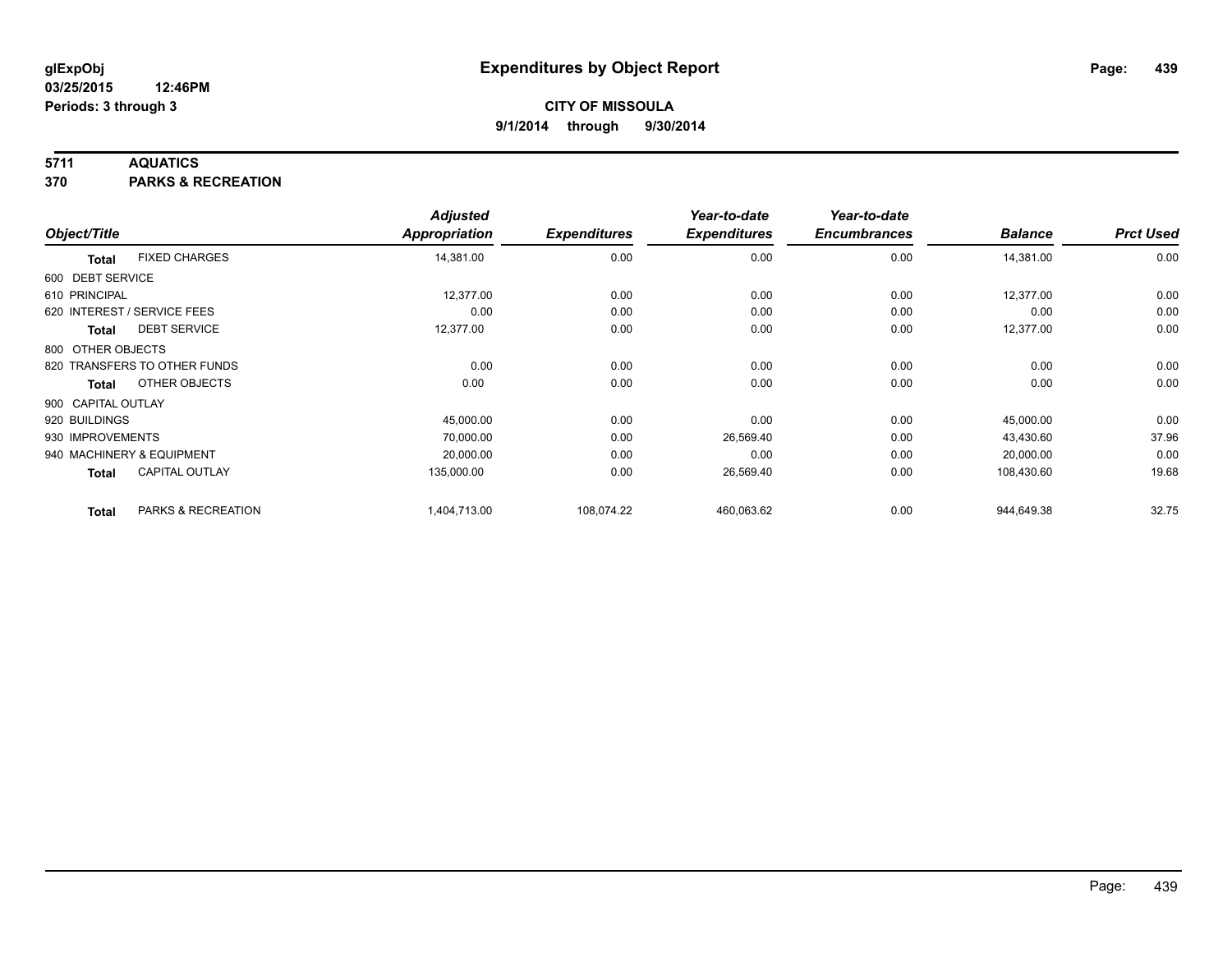## **5711 AQUATICS**

**370 PARKS & RECREATION**

|                    |                              | <b>Adjusted</b> |                     | Year-to-date        | Year-to-date        |                |                  |
|--------------------|------------------------------|-----------------|---------------------|---------------------|---------------------|----------------|------------------|
| Object/Title       |                              | Appropriation   | <b>Expenditures</b> | <b>Expenditures</b> | <b>Encumbrances</b> | <b>Balance</b> | <b>Prct Used</b> |
| <b>Total</b>       | <b>FIXED CHARGES</b>         | 14,381.00       | 0.00                | 0.00                | 0.00                | 14,381.00      | 0.00             |
| 600 DEBT SERVICE   |                              |                 |                     |                     |                     |                |                  |
| 610 PRINCIPAL      |                              | 12,377.00       | 0.00                | 0.00                | 0.00                | 12,377.00      | 0.00             |
|                    | 620 INTEREST / SERVICE FEES  | 0.00            | 0.00                | 0.00                | 0.00                | 0.00           | 0.00             |
| Total              | <b>DEBT SERVICE</b>          | 12,377.00       | 0.00                | 0.00                | 0.00                | 12,377.00      | 0.00             |
| 800 OTHER OBJECTS  |                              |                 |                     |                     |                     |                |                  |
|                    | 820 TRANSFERS TO OTHER FUNDS | 0.00            | 0.00                | 0.00                | 0.00                | 0.00           | 0.00             |
| <b>Total</b>       | OTHER OBJECTS                | 0.00            | 0.00                | 0.00                | 0.00                | 0.00           | 0.00             |
| 900 CAPITAL OUTLAY |                              |                 |                     |                     |                     |                |                  |
| 920 BUILDINGS      |                              | 45,000.00       | 0.00                | 0.00                | 0.00                | 45,000.00      | 0.00             |
| 930 IMPROVEMENTS   |                              | 70,000.00       | 0.00                | 26,569.40           | 0.00                | 43,430.60      | 37.96            |
|                    | 940 MACHINERY & EQUIPMENT    | 20,000.00       | 0.00                | 0.00                | 0.00                | 20,000.00      | 0.00             |
| Total              | <b>CAPITAL OUTLAY</b>        | 135,000.00      | 0.00                | 26,569.40           | 0.00                | 108,430.60     | 19.68            |
| <b>Total</b>       | PARKS & RECREATION           | 1,404,713.00    | 108,074.22          | 460,063.62          | 0.00                | 944,649.38     | 32.75            |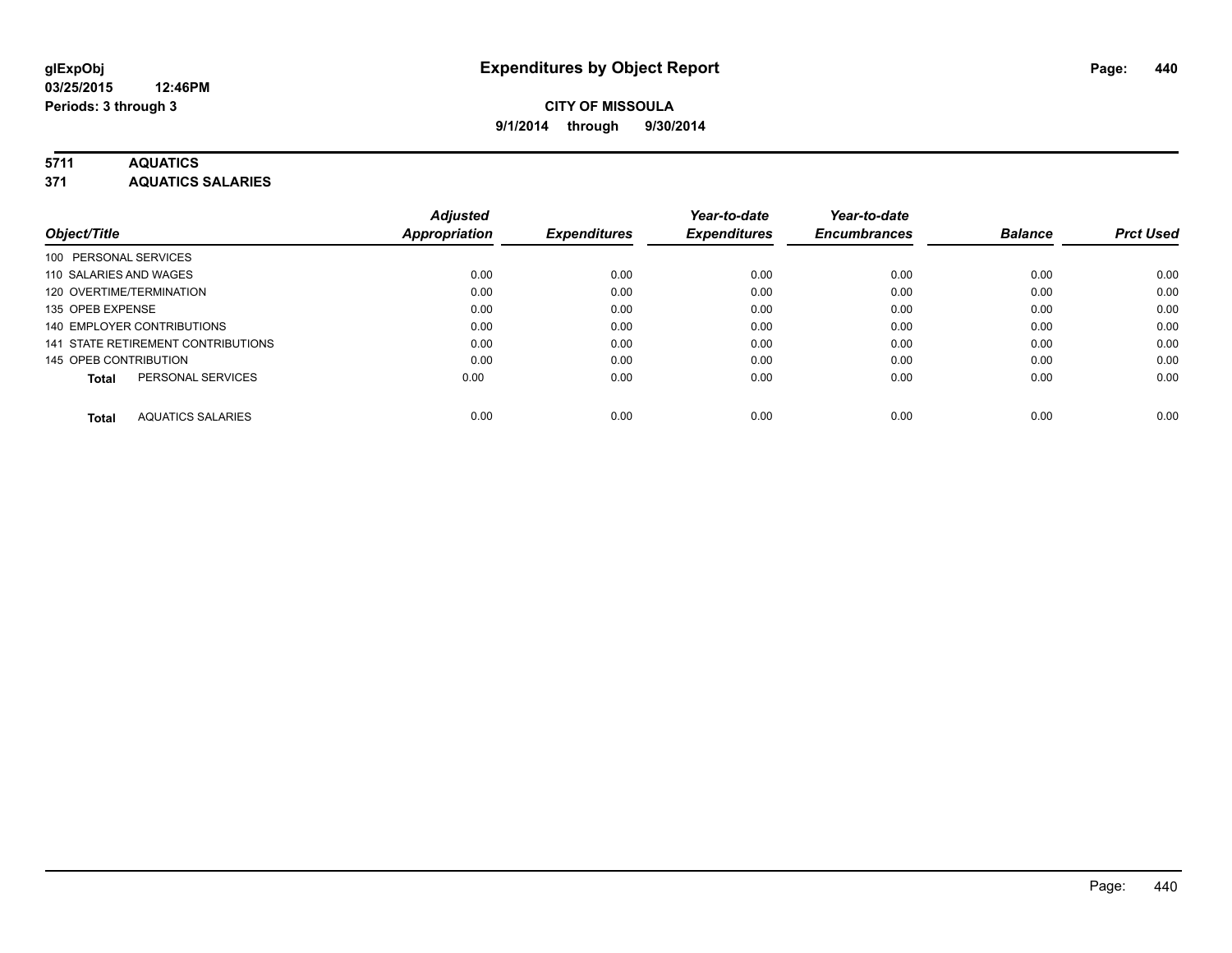## **5711 AQUATICS**

**371 AQUATICS SALARIES**

|                                          | <b>Adjusted</b>      |                     | Year-to-date        | Year-to-date        |                |                  |
|------------------------------------------|----------------------|---------------------|---------------------|---------------------|----------------|------------------|
| Object/Title                             | <b>Appropriation</b> | <b>Expenditures</b> | <b>Expenditures</b> | <b>Encumbrances</b> | <b>Balance</b> | <b>Prct Used</b> |
| 100 PERSONAL SERVICES                    |                      |                     |                     |                     |                |                  |
| 110 SALARIES AND WAGES                   | 0.00                 | 0.00                | 0.00                | 0.00                | 0.00           | 0.00             |
| 120 OVERTIME/TERMINATION                 | 0.00                 | 0.00                | 0.00                | 0.00                | 0.00           | 0.00             |
| 135 OPEB EXPENSE                         | 0.00                 | 0.00                | 0.00                | 0.00                | 0.00           | 0.00             |
| 140 EMPLOYER CONTRIBUTIONS               | 0.00                 | 0.00                | 0.00                | 0.00                | 0.00           | 0.00             |
| 141 STATE RETIREMENT CONTRIBUTIONS       | 0.00                 | 0.00                | 0.00                | 0.00                | 0.00           | 0.00             |
| 145 OPEB CONTRIBUTION                    | 0.00                 | 0.00                | 0.00                | 0.00                | 0.00           | 0.00             |
| PERSONAL SERVICES<br><b>Total</b>        | 0.00                 | 0.00                | 0.00                | 0.00                | 0.00           | 0.00             |
| <b>AQUATICS SALARIES</b><br><b>Total</b> | 0.00                 | 0.00                | 0.00                | 0.00                | 0.00           | 0.00             |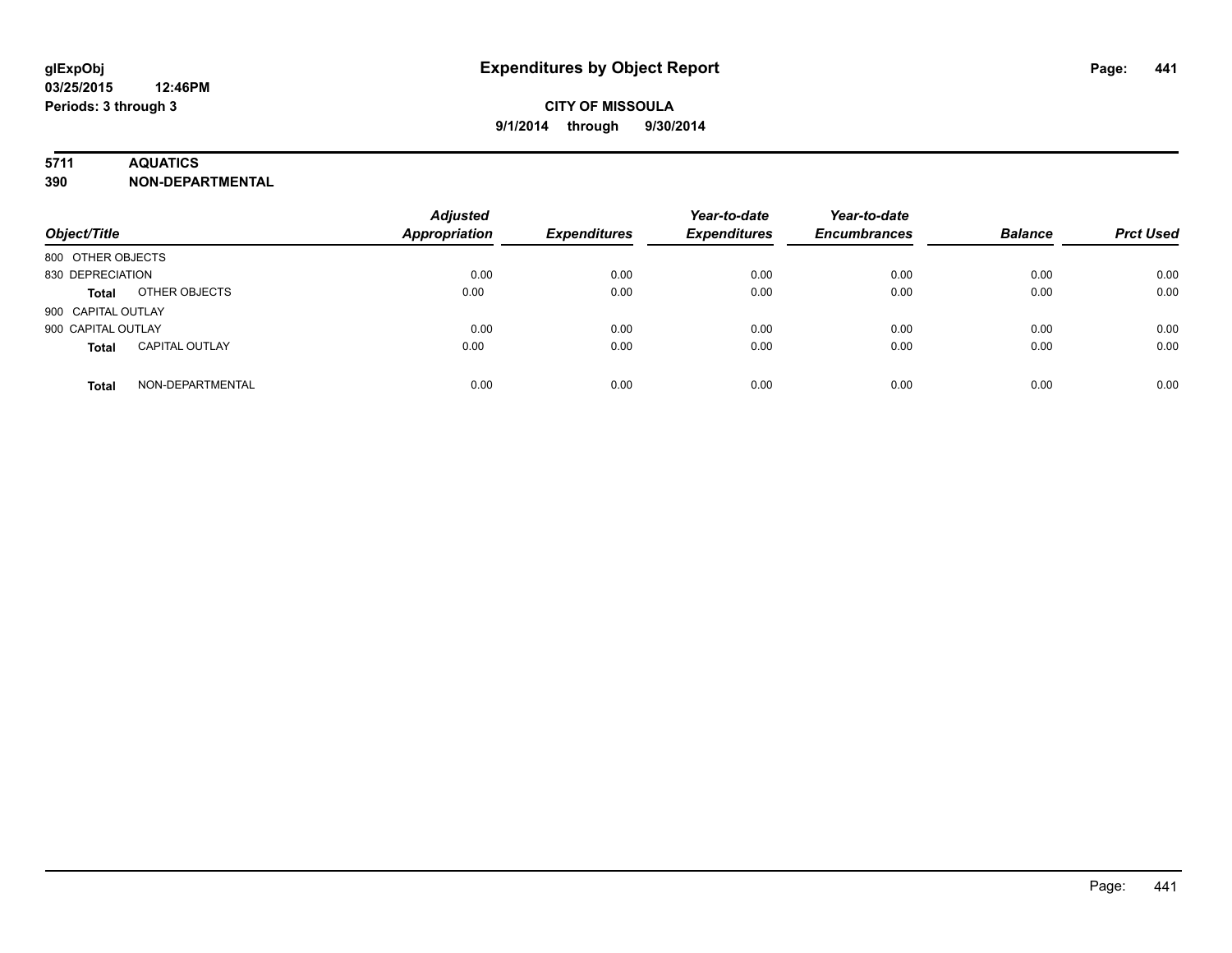### **5711 AQUATICS**

**390 NON-DEPARTMENTAL**

| Object/Title                          | <b>Adjusted</b><br><b>Appropriation</b> | <b>Expenditures</b> | Year-to-date<br><b>Expenditures</b> | Year-to-date<br><b>Encumbrances</b> | <b>Balance</b> | <b>Prct Used</b> |
|---------------------------------------|-----------------------------------------|---------------------|-------------------------------------|-------------------------------------|----------------|------------------|
| 800 OTHER OBJECTS                     |                                         |                     |                                     |                                     |                |                  |
| 830 DEPRECIATION                      | 0.00                                    | 0.00                | 0.00                                | 0.00                                | 0.00           | 0.00             |
| OTHER OBJECTS<br><b>Total</b>         | 0.00                                    | 0.00                | 0.00                                | 0.00                                | 0.00           | 0.00             |
| 900 CAPITAL OUTLAY                    |                                         |                     |                                     |                                     |                |                  |
| 900 CAPITAL OUTLAY                    | 0.00                                    | 0.00                | 0.00                                | 0.00                                | 0.00           | 0.00             |
| <b>CAPITAL OUTLAY</b><br><b>Total</b> | 0.00                                    | 0.00                | 0.00                                | 0.00                                | 0.00           | 0.00             |
| NON-DEPARTMENTAL<br><b>Total</b>      | 0.00                                    | 0.00                | 0.00                                | 0.00                                | 0.00           | 0.00             |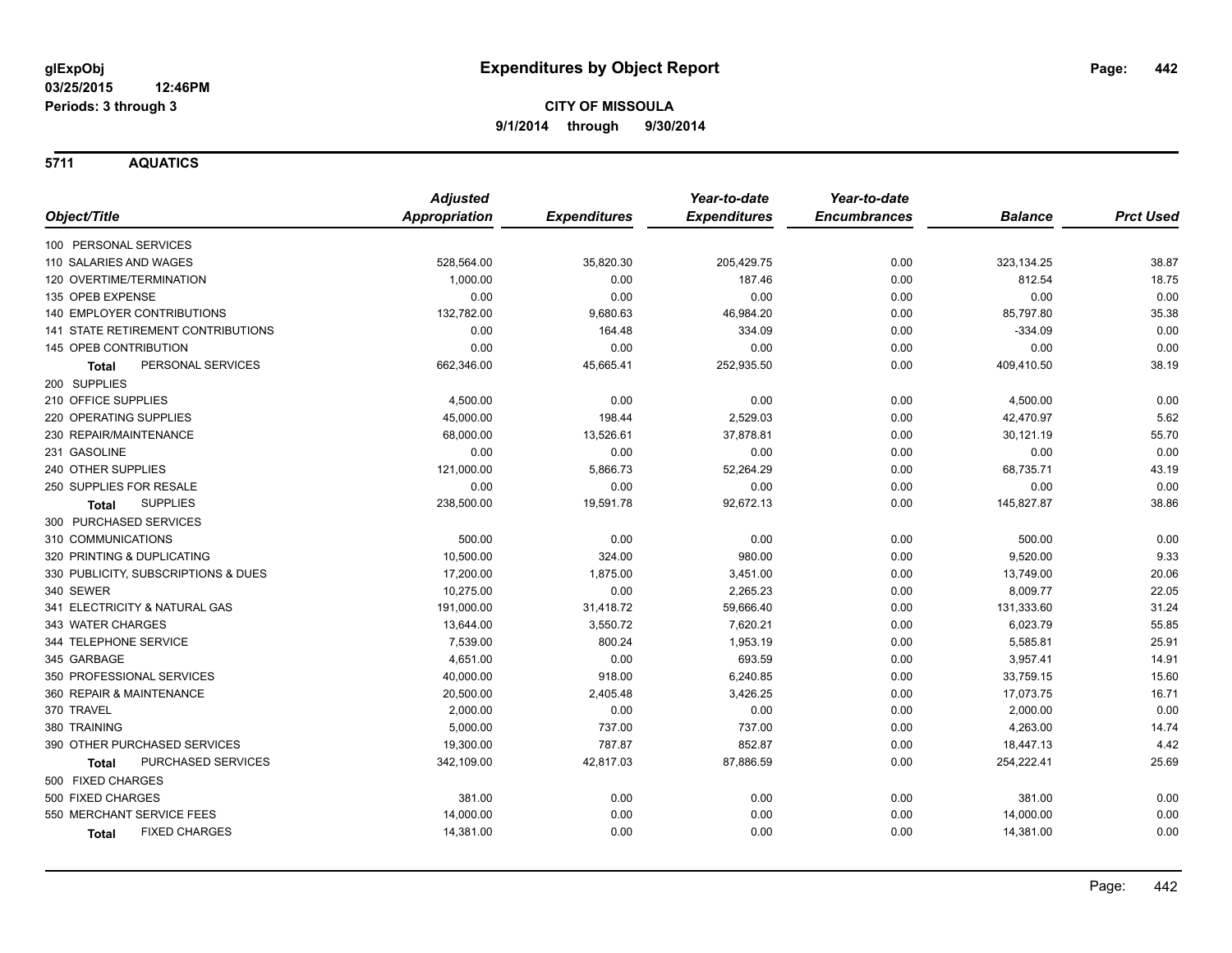**5711 AQUATICS**

|                                      | <b>Adjusted</b>      |                     | Year-to-date        | Year-to-date        |                |                  |
|--------------------------------------|----------------------|---------------------|---------------------|---------------------|----------------|------------------|
| Object/Title                         | <b>Appropriation</b> | <b>Expenditures</b> | <b>Expenditures</b> | <b>Encumbrances</b> | <b>Balance</b> | <b>Prct Used</b> |
| 100 PERSONAL SERVICES                |                      |                     |                     |                     |                |                  |
| 110 SALARIES AND WAGES               | 528,564.00           | 35,820.30           | 205,429.75          | 0.00                | 323,134.25     | 38.87            |
| 120 OVERTIME/TERMINATION             | 1,000.00             | 0.00                | 187.46              | 0.00                | 812.54         | 18.75            |
| 135 OPEB EXPENSE                     | 0.00                 | 0.00                | 0.00                | 0.00                | 0.00           | 0.00             |
| <b>140 EMPLOYER CONTRIBUTIONS</b>    | 132,782.00           | 9,680.63            | 46,984.20           | 0.00                | 85,797.80      | 35.38            |
| 141 STATE RETIREMENT CONTRIBUTIONS   | 0.00                 | 164.48              | 334.09              | 0.00                | $-334.09$      | 0.00             |
| 145 OPEB CONTRIBUTION                | 0.00                 | 0.00                | 0.00                | 0.00                | 0.00           | 0.00             |
| PERSONAL SERVICES<br>Total           | 662,346.00           | 45,665.41           | 252,935.50          | 0.00                | 409,410.50     | 38.19            |
| 200 SUPPLIES                         |                      |                     |                     |                     |                |                  |
| 210 OFFICE SUPPLIES                  | 4,500.00             | 0.00                | 0.00                | 0.00                | 4,500.00       | 0.00             |
| 220 OPERATING SUPPLIES               | 45,000.00            | 198.44              | 2,529.03            | 0.00                | 42,470.97      | 5.62             |
| 230 REPAIR/MAINTENANCE               | 68,000.00            | 13,526.61           | 37,878.81           | 0.00                | 30,121.19      | 55.70            |
| 231 GASOLINE                         | 0.00                 | 0.00                | 0.00                | 0.00                | 0.00           | 0.00             |
| 240 OTHER SUPPLIES                   | 121,000.00           | 5,866.73            | 52,264.29           | 0.00                | 68,735.71      | 43.19            |
| 250 SUPPLIES FOR RESALE              | 0.00                 | 0.00                | 0.00                | 0.00                | 0.00           | 0.00             |
| <b>SUPPLIES</b><br>Total             | 238,500.00           | 19,591.78           | 92,672.13           | 0.00                | 145,827.87     | 38.86            |
| 300 PURCHASED SERVICES               |                      |                     |                     |                     |                |                  |
| 310 COMMUNICATIONS                   | 500.00               | 0.00                | 0.00                | 0.00                | 500.00         | 0.00             |
| 320 PRINTING & DUPLICATING           | 10,500.00            | 324.00              | 980.00              | 0.00                | 9,520.00       | 9.33             |
| 330 PUBLICITY, SUBSCRIPTIONS & DUES  | 17,200.00            | 1,875.00            | 3,451.00            | 0.00                | 13,749.00      | 20.06            |
| 340 SEWER                            | 10,275.00            | 0.00                | 2,265.23            | 0.00                | 8,009.77       | 22.05            |
| 341 ELECTRICITY & NATURAL GAS        | 191,000.00           | 31,418.72           | 59,666.40           | 0.00                | 131,333.60     | 31.24            |
| 343 WATER CHARGES                    | 13,644.00            | 3,550.72            | 7,620.21            | 0.00                | 6,023.79       | 55.85            |
| 344 TELEPHONE SERVICE                | 7,539.00             | 800.24              | 1,953.19            | 0.00                | 5,585.81       | 25.91            |
| 345 GARBAGE                          | 4,651.00             | 0.00                | 693.59              | 0.00                | 3,957.41       | 14.91            |
| 350 PROFESSIONAL SERVICES            | 40,000.00            | 918.00              | 6,240.85            | 0.00                | 33,759.15      | 15.60            |
| 360 REPAIR & MAINTENANCE             | 20,500.00            | 2,405.48            | 3,426.25            | 0.00                | 17,073.75      | 16.71            |
| 370 TRAVEL                           | 2,000.00             | 0.00                | 0.00                | 0.00                | 2,000.00       | 0.00             |
| 380 TRAINING                         | 5,000.00             | 737.00              | 737.00              | 0.00                | 4,263.00       | 14.74            |
| 390 OTHER PURCHASED SERVICES         | 19,300.00            | 787.87              | 852.87              | 0.00                | 18,447.13      | 4.42             |
| PURCHASED SERVICES<br><b>Total</b>   | 342,109.00           | 42,817.03           | 87,886.59           | 0.00                | 254,222.41     | 25.69            |
| 500 FIXED CHARGES                    |                      |                     |                     |                     |                |                  |
| 500 FIXED CHARGES                    | 381.00               | 0.00                | 0.00                | 0.00                | 381.00         | 0.00             |
| 550 MERCHANT SERVICE FEES            | 14,000.00            | 0.00                | 0.00                | 0.00                | 14,000.00      | 0.00             |
| <b>FIXED CHARGES</b><br><b>Total</b> | 14,381.00            | 0.00                | 0.00                | 0.00                | 14,381.00      | 0.00             |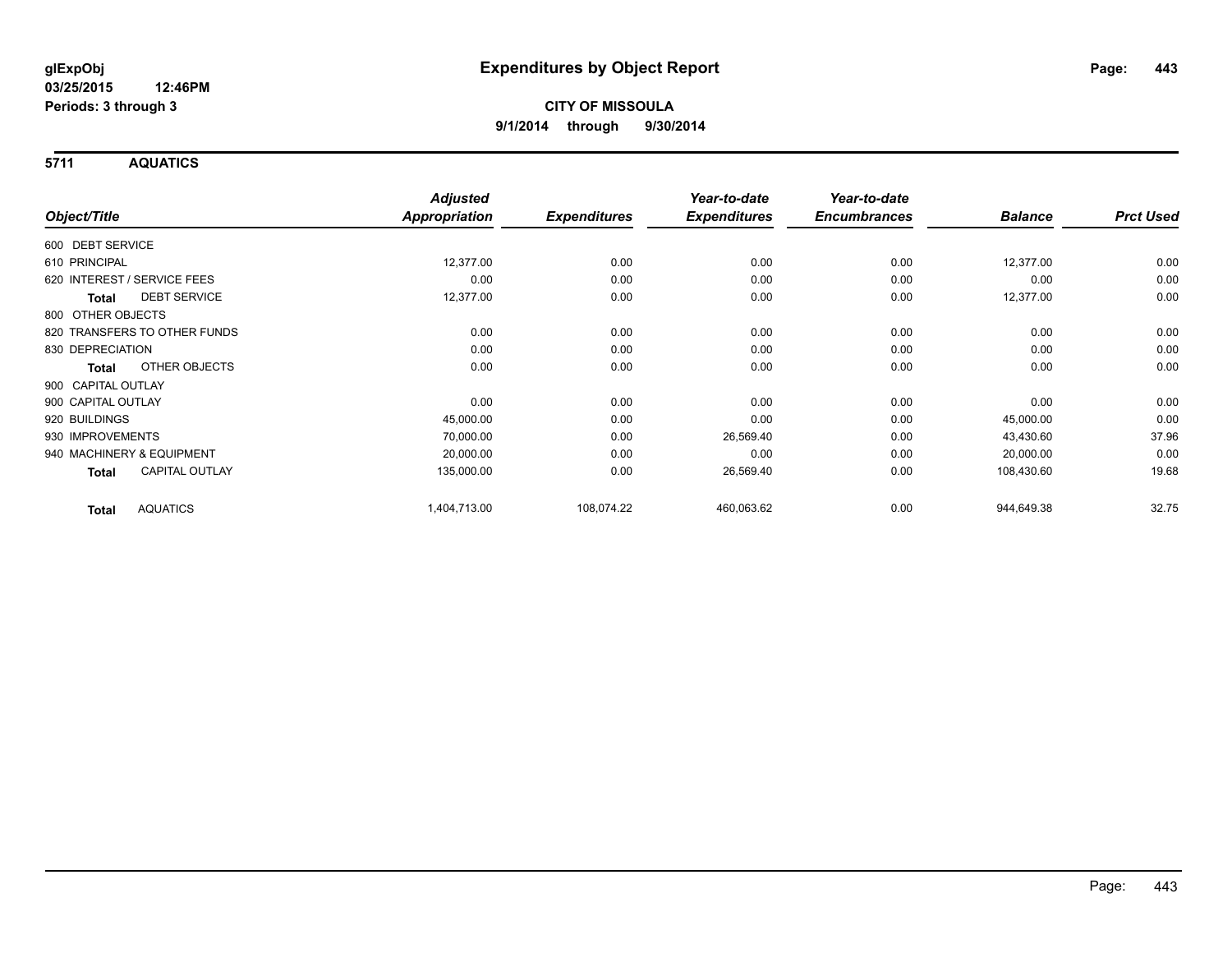**5711 AQUATICS**

|                                       | <b>Adjusted</b>      |                     | Year-to-date        | Year-to-date        |                |                  |
|---------------------------------------|----------------------|---------------------|---------------------|---------------------|----------------|------------------|
| Object/Title                          | <b>Appropriation</b> | <b>Expenditures</b> | <b>Expenditures</b> | <b>Encumbrances</b> | <b>Balance</b> | <b>Prct Used</b> |
| 600 DEBT SERVICE                      |                      |                     |                     |                     |                |                  |
| 610 PRINCIPAL                         | 12,377.00            | 0.00                | 0.00                | 0.00                | 12,377.00      | 0.00             |
| 620 INTEREST / SERVICE FEES           | 0.00                 | 0.00                | 0.00                | 0.00                | 0.00           | 0.00             |
| <b>DEBT SERVICE</b><br><b>Total</b>   | 12,377.00            | 0.00                | 0.00                | 0.00                | 12,377.00      | 0.00             |
| 800 OTHER OBJECTS                     |                      |                     |                     |                     |                |                  |
| 820 TRANSFERS TO OTHER FUNDS          | 0.00                 | 0.00                | 0.00                | 0.00                | 0.00           | 0.00             |
| 830 DEPRECIATION                      | 0.00                 | 0.00                | 0.00                | 0.00                | 0.00           | 0.00             |
| OTHER OBJECTS<br>Total                | 0.00                 | 0.00                | 0.00                | 0.00                | 0.00           | 0.00             |
| 900 CAPITAL OUTLAY                    |                      |                     |                     |                     |                |                  |
| 900 CAPITAL OUTLAY                    | 0.00                 | 0.00                | 0.00                | 0.00                | 0.00           | 0.00             |
| 920 BUILDINGS                         | 45,000.00            | 0.00                | 0.00                | 0.00                | 45,000.00      | 0.00             |
| 930 IMPROVEMENTS                      | 70,000.00            | 0.00                | 26,569.40           | 0.00                | 43,430.60      | 37.96            |
| 940 MACHINERY & EQUIPMENT             | 20,000.00            | 0.00                | 0.00                | 0.00                | 20,000.00      | 0.00             |
| <b>CAPITAL OUTLAY</b><br><b>Total</b> | 135,000.00           | 0.00                | 26,569.40           | 0.00                | 108,430.60     | 19.68            |
| <b>AQUATICS</b><br><b>Total</b>       | 1,404,713.00         | 108,074.22          | 460,063.62          | 0.00                | 944,649.38     | 32.75            |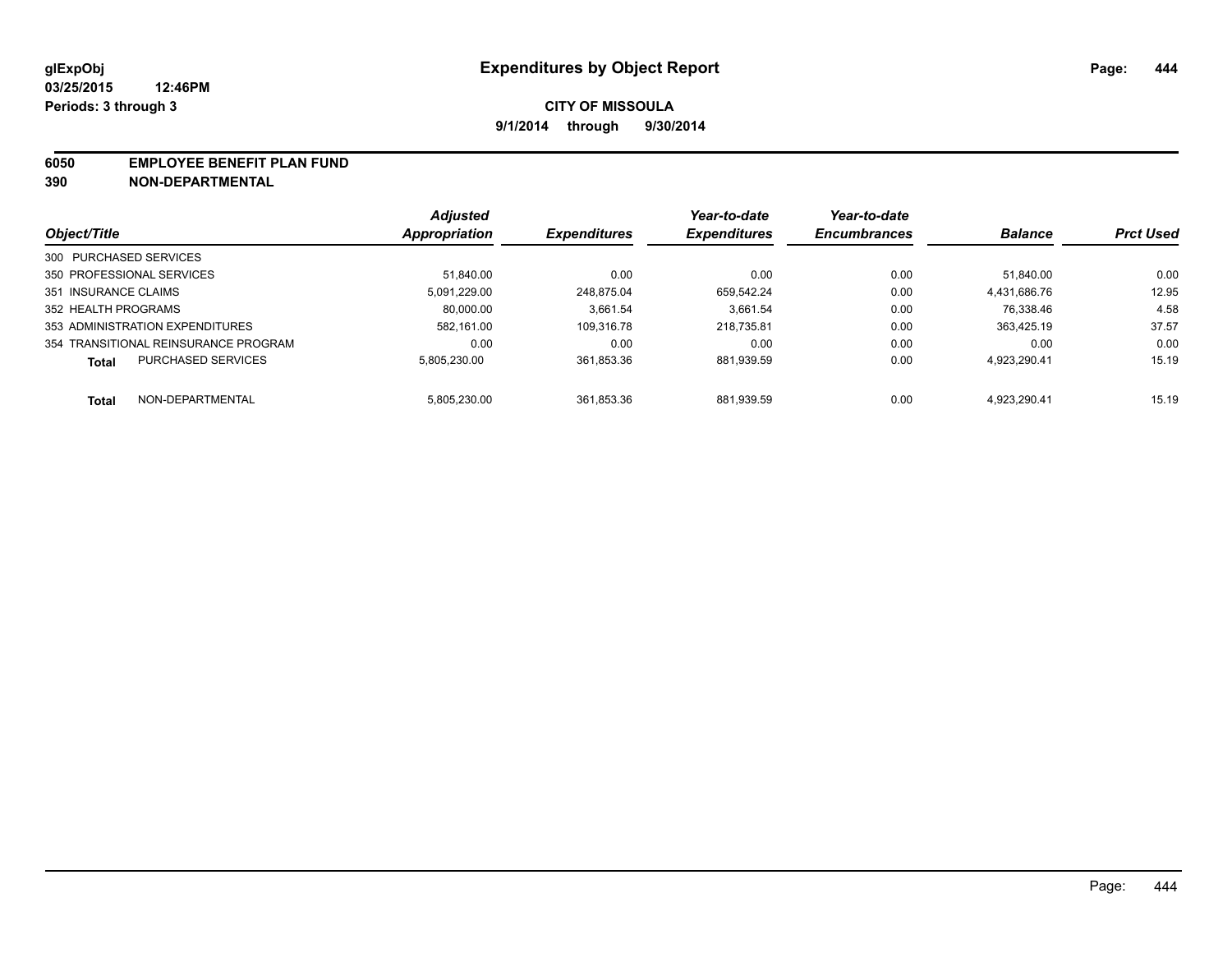#### **6050 EMPLOYEE BENEFIT PLAN FUND**

**390 NON-DEPARTMENTAL**

|                                           | <b>Adjusted</b> | <b>Expenditures</b> | Year-to-date<br><b>Expenditures</b> | Year-to-date<br><b>Encumbrances</b> | <b>Balance</b> | <b>Prct Used</b> |
|-------------------------------------------|-----------------|---------------------|-------------------------------------|-------------------------------------|----------------|------------------|
| Object/Title                              | Appropriation   |                     |                                     |                                     |                |                  |
| 300 PURCHASED SERVICES                    |                 |                     |                                     |                                     |                |                  |
| 350 PROFESSIONAL SERVICES                 | 51.840.00       | 0.00                | 0.00                                | 0.00                                | 51.840.00      | 0.00             |
| 351 INSURANCE CLAIMS                      | 5.091.229.00    | 248.875.04          | 659.542.24                          | 0.00                                | 4.431.686.76   | 12.95            |
| 352 HEALTH PROGRAMS                       | 80.000.00       | 3.661.54            | 3.661.54                            | 0.00                                | 76.338.46      | 4.58             |
| 353 ADMINISTRATION EXPENDITURES           | 582.161.00      | 109.316.78          | 218.735.81                          | 0.00                                | 363.425.19     | 37.57            |
| 354 TRANSITIONAL REINSURANCE PROGRAM      | 0.00            | 0.00                | 0.00                                | 0.00                                | 0.00           | 0.00             |
| <b>PURCHASED SERVICES</b><br><b>Total</b> | 5.805.230.00    | 361.853.36          | 881.939.59                          | 0.00                                | 4.923.290.41   | 15.19            |
| NON-DEPARTMENTAL<br>Total                 | 5.805.230.00    | 361.853.36          | 881.939.59                          | 0.00                                | 4.923.290.41   | 15.19            |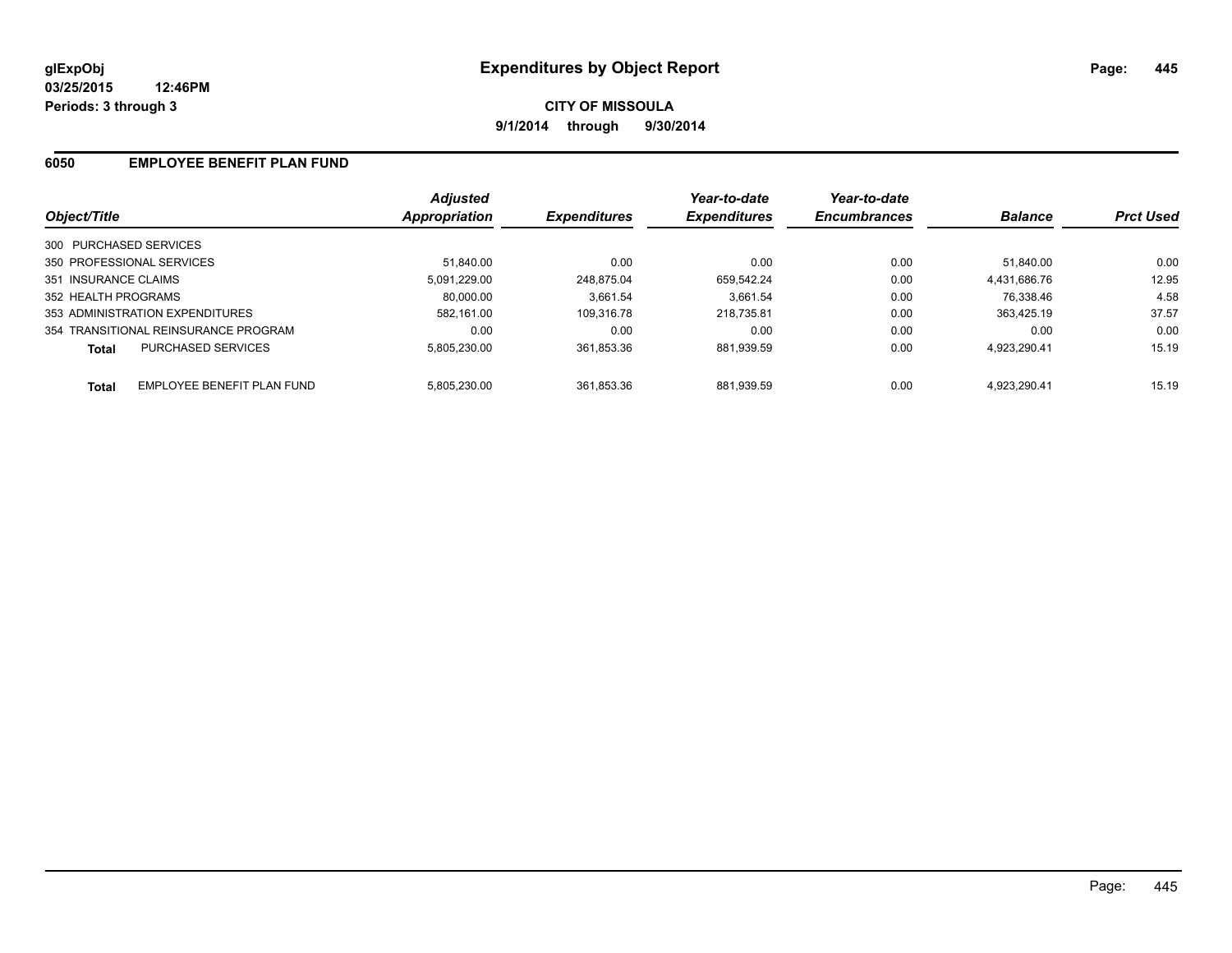**CITY OF MISSOULA 9/1/2014 through 9/30/2014**

### **6050 EMPLOYEE BENEFIT PLAN FUND**

| Object/Title                               | <b>Adjusted</b><br>Appropriation | <b>Expenditures</b> | Year-to-date<br><b>Expenditures</b> | Year-to-date<br><b>Encumbrances</b> | <b>Balance</b> | <b>Prct Used</b> |
|--------------------------------------------|----------------------------------|---------------------|-------------------------------------|-------------------------------------|----------------|------------------|
| 300 PURCHASED SERVICES                     |                                  |                     |                                     |                                     |                |                  |
| 350 PROFESSIONAL SERVICES                  | 51.840.00                        | 0.00                | 0.00                                | 0.00                                | 51.840.00      | 0.00             |
| 351 INSURANCE CLAIMS                       | 5.091.229.00                     | 248.875.04          | 659.542.24                          | 0.00                                | 4,431,686.76   | 12.95            |
| 352 HEALTH PROGRAMS                        | 80.000.00                        | 3.661.54            | 3.661.54                            | 0.00                                | 76.338.46      | 4.58             |
| 353 ADMINISTRATION EXPENDITURES            | 582.161.00                       | 109.316.78          | 218.735.81                          | 0.00                                | 363.425.19     | 37.57            |
| 354 TRANSITIONAL REINSURANCE PROGRAM       | 0.00                             | 0.00                | 0.00                                | 0.00                                | 0.00           | 0.00             |
| PURCHASED SERVICES<br><b>Total</b>         | 5.805.230.00                     | 361.853.36          | 881.939.59                          | 0.00                                | 4,923,290.41   | 15.19            |
| EMPLOYEE BENEFIT PLAN FUND<br><b>Total</b> | 5.805.230.00                     | 361.853.36          | 881.939.59                          | 0.00                                | 4.923.290.41   | 15.19            |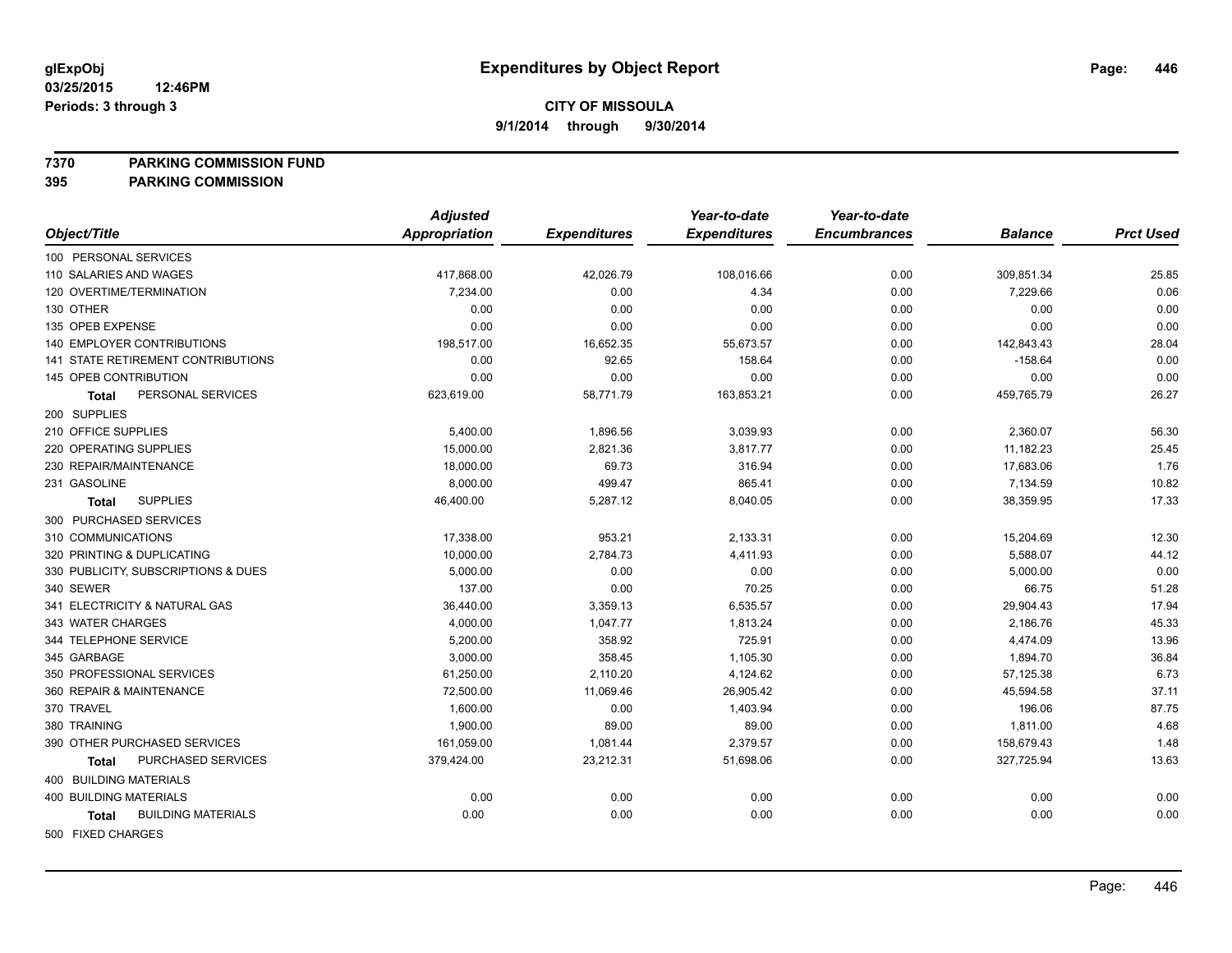**7370 PARKING COMMISSION FUND**

**395 PARKING COMMISSION**

|                                           | <b>Adjusted</b>      |                     | Year-to-date        | Year-to-date        |                |                  |
|-------------------------------------------|----------------------|---------------------|---------------------|---------------------|----------------|------------------|
| Object/Title                              | <b>Appropriation</b> | <b>Expenditures</b> | <b>Expenditures</b> | <b>Encumbrances</b> | <b>Balance</b> | <b>Prct Used</b> |
| 100 PERSONAL SERVICES                     |                      |                     |                     |                     |                |                  |
| 110 SALARIES AND WAGES                    | 417,868.00           | 42,026.79           | 108,016.66          | 0.00                | 309,851.34     | 25.85            |
| 120 OVERTIME/TERMINATION                  | 7.234.00             | 0.00                | 4.34                | 0.00                | 7,229.66       | 0.06             |
| 130 OTHER                                 | 0.00                 | 0.00                | 0.00                | 0.00                | 0.00           | 0.00             |
| 135 OPEB EXPENSE                          | 0.00                 | 0.00                | 0.00                | 0.00                | 0.00           | 0.00             |
| <b>140 EMPLOYER CONTRIBUTIONS</b>         | 198,517.00           | 16,652.35           | 55,673.57           | 0.00                | 142,843.43     | 28.04            |
| 141 STATE RETIREMENT CONTRIBUTIONS        | 0.00                 | 92.65               | 158.64              | 0.00                | $-158.64$      | 0.00             |
| 145 OPEB CONTRIBUTION                     | 0.00                 | 0.00                | 0.00                | 0.00                | 0.00           | 0.00             |
| PERSONAL SERVICES<br>Total                | 623,619.00           | 58,771.79           | 163,853.21          | 0.00                | 459,765.79     | 26.27            |
| 200 SUPPLIES                              |                      |                     |                     |                     |                |                  |
| 210 OFFICE SUPPLIES                       | 5,400.00             | 1,896.56            | 3,039.93            | 0.00                | 2,360.07       | 56.30            |
| 220 OPERATING SUPPLIES                    | 15,000.00            | 2,821.36            | 3,817.77            | 0.00                | 11,182.23      | 25.45            |
| 230 REPAIR/MAINTENANCE                    | 18,000.00            | 69.73               | 316.94              | 0.00                | 17,683.06      | 1.76             |
| 231 GASOLINE                              | 8,000.00             | 499.47              | 865.41              | 0.00                | 7,134.59       | 10.82            |
| <b>SUPPLIES</b><br><b>Total</b>           | 46,400.00            | 5,287.12            | 8,040.05            | 0.00                | 38,359.95      | 17.33            |
| 300 PURCHASED SERVICES                    |                      |                     |                     |                     |                |                  |
| 310 COMMUNICATIONS                        | 17,338.00            | 953.21              | 2,133.31            | 0.00                | 15,204.69      | 12.30            |
| 320 PRINTING & DUPLICATING                | 10,000.00            | 2,784.73            | 4,411.93            | 0.00                | 5,588.07       | 44.12            |
| 330 PUBLICITY, SUBSCRIPTIONS & DUES       | 5,000.00             | 0.00                | 0.00                | 0.00                | 5,000.00       | 0.00             |
| 340 SEWER                                 | 137.00               | 0.00                | 70.25               | 0.00                | 66.75          | 51.28            |
| 341 ELECTRICITY & NATURAL GAS             | 36,440.00            | 3,359.13            | 6,535.57            | 0.00                | 29,904.43      | 17.94            |
| 343 WATER CHARGES                         | 4,000.00             | 1,047.77            | 1,813.24            | 0.00                | 2,186.76       | 45.33            |
| 344 TELEPHONE SERVICE                     | 5,200.00             | 358.92              | 725.91              | 0.00                | 4,474.09       | 13.96            |
| 345 GARBAGE                               | 3,000.00             | 358.45              | 1,105.30            | 0.00                | 1,894.70       | 36.84            |
| 350 PROFESSIONAL SERVICES                 | 61,250.00            | 2,110.20            | 4,124.62            | 0.00                | 57,125.38      | 6.73             |
| 360 REPAIR & MAINTENANCE                  | 72,500.00            | 11,069.46           | 26,905.42           | 0.00                | 45,594.58      | 37.11            |
| 370 TRAVEL                                | 1,600.00             | 0.00                | 1,403.94            | 0.00                | 196.06         | 87.75            |
| 380 TRAINING                              | 1,900.00             | 89.00               | 89.00               | 0.00                | 1,811.00       | 4.68             |
| 390 OTHER PURCHASED SERVICES              | 161,059.00           | 1,081.44            | 2,379.57            | 0.00                | 158,679.43     | 1.48             |
| PURCHASED SERVICES<br><b>Total</b>        | 379,424.00           | 23,212.31           | 51,698.06           | 0.00                | 327,725.94     | 13.63            |
| <b>400 BUILDING MATERIALS</b>             |                      |                     |                     |                     |                |                  |
| 400 BUILDING MATERIALS                    | 0.00                 | 0.00                | 0.00                | 0.00                | 0.00           | 0.00             |
| <b>BUILDING MATERIALS</b><br><b>Total</b> | 0.00                 | 0.00                | 0.00                | 0.00                | 0.00           | 0.00             |
| FOR FIVED OUADOFO                         |                      |                     |                     |                     |                |                  |

500 FIXED CHARGES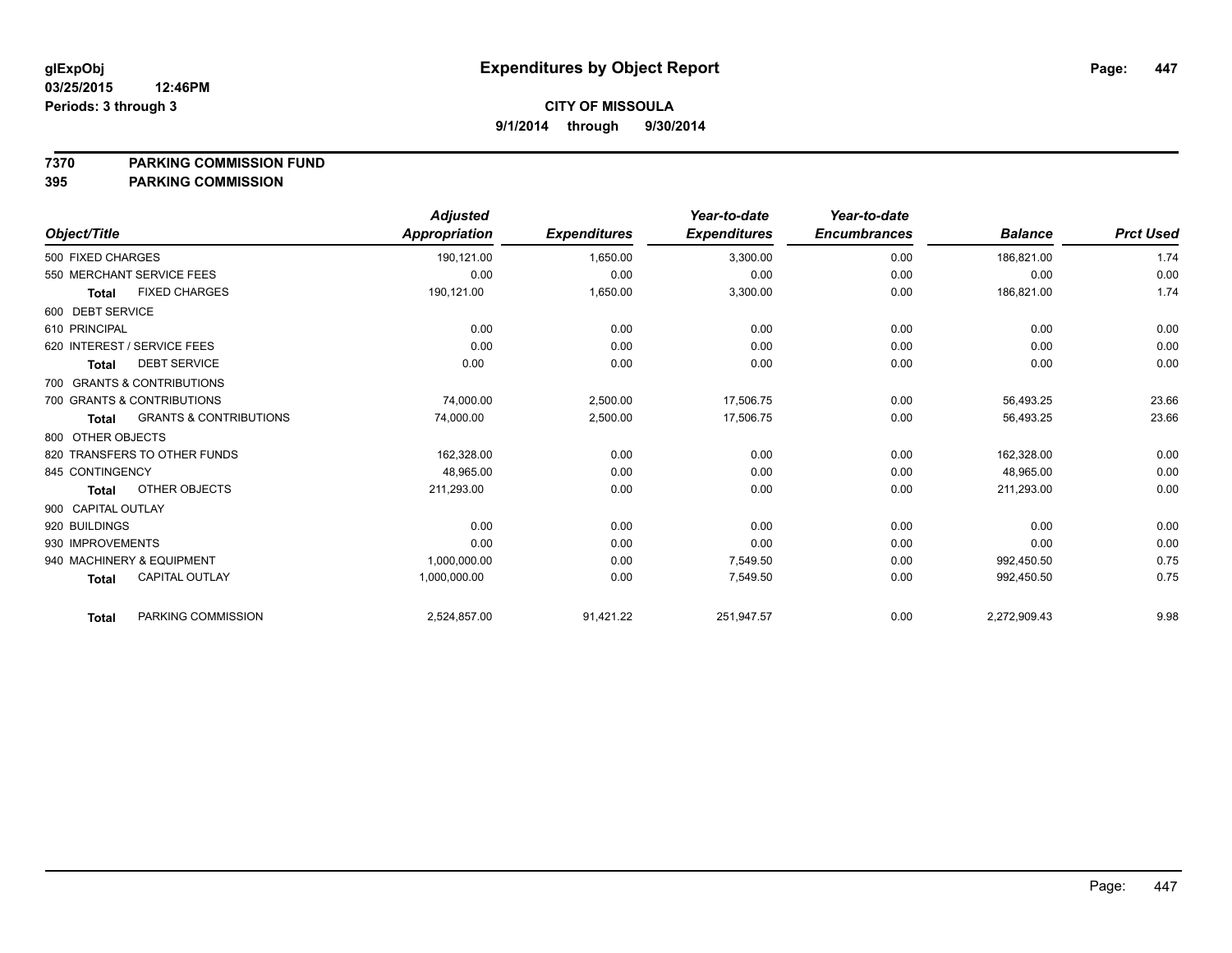#### **7370 PARKING COMMISSION FUND**

|                             |                                   | <b>Adjusted</b>      |                     | Year-to-date        | Year-to-date        |                |                  |
|-----------------------------|-----------------------------------|----------------------|---------------------|---------------------|---------------------|----------------|------------------|
| Object/Title                |                                   | <b>Appropriation</b> | <b>Expenditures</b> | <b>Expenditures</b> | <b>Encumbrances</b> | <b>Balance</b> | <b>Prct Used</b> |
| 500 FIXED CHARGES           |                                   | 190,121.00           | 1,650.00            | 3,300.00            | 0.00                | 186,821.00     | 1.74             |
| 550 MERCHANT SERVICE FEES   |                                   | 0.00                 | 0.00                | 0.00                | 0.00                | 0.00           | 0.00             |
| <b>Total</b>                | <b>FIXED CHARGES</b>              | 190,121.00           | 1,650.00            | 3,300.00            | 0.00                | 186,821.00     | 1.74             |
| 600 DEBT SERVICE            |                                   |                      |                     |                     |                     |                |                  |
| 610 PRINCIPAL               |                                   | 0.00                 | 0.00                | 0.00                | 0.00                | 0.00           | 0.00             |
| 620 INTEREST / SERVICE FEES |                                   | 0.00                 | 0.00                | 0.00                | 0.00                | 0.00           | 0.00             |
| <b>Total</b>                | <b>DEBT SERVICE</b>               | 0.00                 | 0.00                | 0.00                | 0.00                | 0.00           | 0.00             |
| 700 GRANTS & CONTRIBUTIONS  |                                   |                      |                     |                     |                     |                |                  |
| 700 GRANTS & CONTRIBUTIONS  |                                   | 74,000.00            | 2,500.00            | 17,506.75           | 0.00                | 56,493.25      | 23.66            |
| <b>Total</b>                | <b>GRANTS &amp; CONTRIBUTIONS</b> | 74,000.00            | 2,500.00            | 17,506.75           | 0.00                | 56,493.25      | 23.66            |
| 800 OTHER OBJECTS           |                                   |                      |                     |                     |                     |                |                  |
|                             | 820 TRANSFERS TO OTHER FUNDS      | 162,328.00           | 0.00                | 0.00                | 0.00                | 162,328.00     | 0.00             |
| 845 CONTINGENCY             |                                   | 48,965.00            | 0.00                | 0.00                | 0.00                | 48,965.00      | 0.00             |
| <b>Total</b>                | OTHER OBJECTS                     | 211,293.00           | 0.00                | 0.00                | 0.00                | 211,293.00     | 0.00             |
| 900 CAPITAL OUTLAY          |                                   |                      |                     |                     |                     |                |                  |
| 920 BUILDINGS               |                                   | 0.00                 | 0.00                | 0.00                | 0.00                | 0.00           | 0.00             |
| 930 IMPROVEMENTS            |                                   | 0.00                 | 0.00                | 0.00                | 0.00                | 0.00           | 0.00             |
| 940 MACHINERY & EQUIPMENT   |                                   | 1,000,000.00         | 0.00                | 7,549.50            | 0.00                | 992.450.50     | 0.75             |
| <b>Total</b>                | <b>CAPITAL OUTLAY</b>             | 1,000,000.00         | 0.00                | 7,549.50            | 0.00                | 992,450.50     | 0.75             |
| <b>Total</b>                | PARKING COMMISSION                | 2,524,857.00         | 91,421.22           | 251,947.57          | 0.00                | 2,272,909.43   | 9.98             |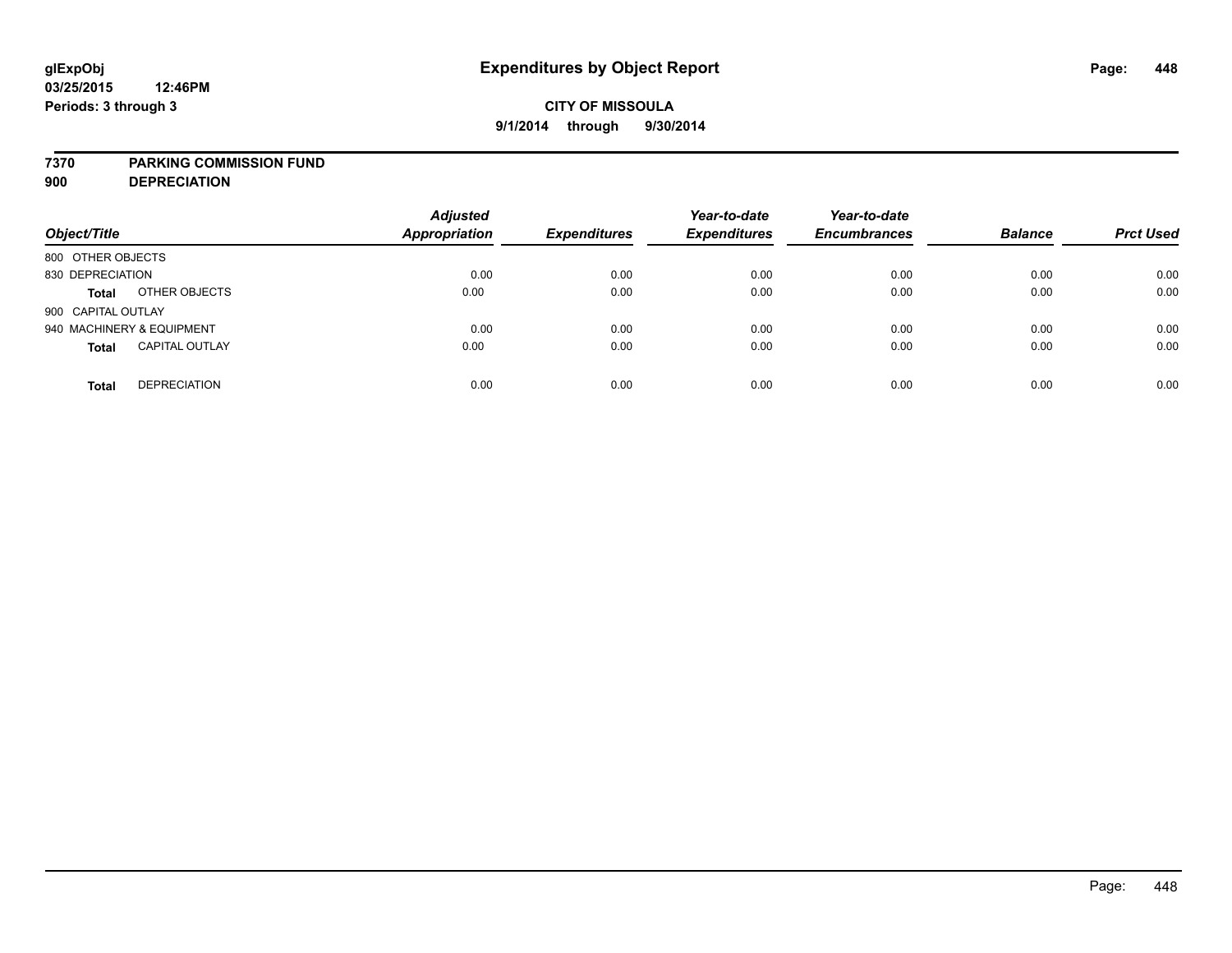### **7370 PARKING COMMISSION FUND**

**900 DEPRECIATION**

| Object/Title                          | <b>Adjusted</b><br><b>Appropriation</b> | <b>Expenditures</b> | Year-to-date<br><b>Expenditures</b> | Year-to-date<br><b>Encumbrances</b> | <b>Balance</b> | <b>Prct Used</b> |
|---------------------------------------|-----------------------------------------|---------------------|-------------------------------------|-------------------------------------|----------------|------------------|
| 800 OTHER OBJECTS                     |                                         |                     |                                     |                                     |                |                  |
| 830 DEPRECIATION                      | 0.00                                    | 0.00                | 0.00                                | 0.00                                | 0.00           | 0.00             |
| OTHER OBJECTS<br><b>Total</b>         | 0.00                                    | 0.00                | 0.00                                | 0.00                                | 0.00           | 0.00             |
| 900 CAPITAL OUTLAY                    |                                         |                     |                                     |                                     |                |                  |
| 940 MACHINERY & EQUIPMENT             | 0.00                                    | 0.00                | 0.00                                | 0.00                                | 0.00           | 0.00             |
| <b>CAPITAL OUTLAY</b><br><b>Total</b> | 0.00                                    | 0.00                | 0.00                                | 0.00                                | 0.00           | 0.00             |
| <b>DEPRECIATION</b><br><b>Total</b>   | 0.00                                    | 0.00                | 0.00                                | 0.00                                | 0.00           | 0.00             |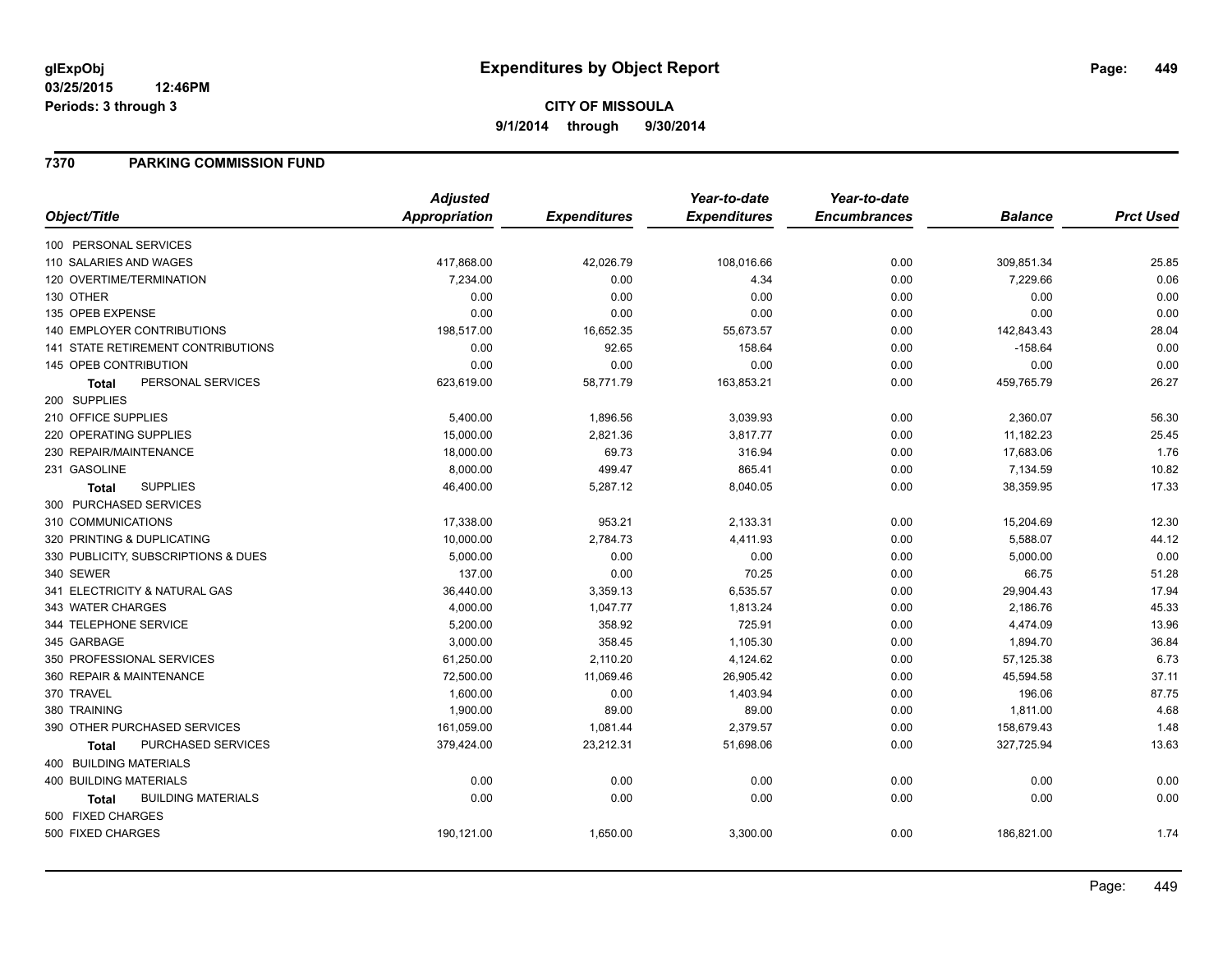## **7370 PARKING COMMISSION FUND**

|                                           | <b>Adjusted</b>      |                     | Year-to-date        | Year-to-date        |                |                  |
|-------------------------------------------|----------------------|---------------------|---------------------|---------------------|----------------|------------------|
| Object/Title                              | <b>Appropriation</b> | <b>Expenditures</b> | <b>Expenditures</b> | <b>Encumbrances</b> | <b>Balance</b> | <b>Prct Used</b> |
| 100 PERSONAL SERVICES                     |                      |                     |                     |                     |                |                  |
| 110 SALARIES AND WAGES                    | 417,868.00           | 42,026.79           | 108,016.66          | 0.00                | 309,851.34     | 25.85            |
| 120 OVERTIME/TERMINATION                  | 7,234.00             | 0.00                | 4.34                | 0.00                | 7,229.66       | 0.06             |
| 130 OTHER                                 | 0.00                 | 0.00                | 0.00                | 0.00                | 0.00           | 0.00             |
| 135 OPEB EXPENSE                          | 0.00                 | 0.00                | 0.00                | 0.00                | 0.00           | 0.00             |
| 140 EMPLOYER CONTRIBUTIONS                | 198,517.00           | 16,652.35           | 55,673.57           | 0.00                | 142,843.43     | 28.04            |
| 141 STATE RETIREMENT CONTRIBUTIONS        | 0.00                 | 92.65               | 158.64              | 0.00                | $-158.64$      | 0.00             |
| 145 OPEB CONTRIBUTION                     | 0.00                 | 0.00                | 0.00                | 0.00                | 0.00           | 0.00             |
| PERSONAL SERVICES<br>Total                | 623,619.00           | 58,771.79           | 163,853.21          | 0.00                | 459,765.79     | 26.27            |
| 200 SUPPLIES                              |                      |                     |                     |                     |                |                  |
| 210 OFFICE SUPPLIES                       | 5,400.00             | 1,896.56            | 3,039.93            | 0.00                | 2,360.07       | 56.30            |
| 220 OPERATING SUPPLIES                    | 15,000.00            | 2,821.36            | 3,817.77            | 0.00                | 11,182.23      | 25.45            |
| 230 REPAIR/MAINTENANCE                    | 18,000.00            | 69.73               | 316.94              | 0.00                | 17,683.06      | 1.76             |
| 231 GASOLINE                              | 8,000.00             | 499.47              | 865.41              | 0.00                | 7,134.59       | 10.82            |
| <b>SUPPLIES</b><br><b>Total</b>           | 46,400.00            | 5,287.12            | 8,040.05            | 0.00                | 38,359.95      | 17.33            |
| 300 PURCHASED SERVICES                    |                      |                     |                     |                     |                |                  |
| 310 COMMUNICATIONS                        | 17,338.00            | 953.21              | 2,133.31            | 0.00                | 15,204.69      | 12.30            |
| 320 PRINTING & DUPLICATING                | 10,000.00            | 2,784.73            | 4,411.93            | 0.00                | 5,588.07       | 44.12            |
| 330 PUBLICITY, SUBSCRIPTIONS & DUES       | 5,000.00             | 0.00                | 0.00                | 0.00                | 5,000.00       | 0.00             |
| 340 SEWER                                 | 137.00               | 0.00                | 70.25               | 0.00                | 66.75          | 51.28            |
| 341 ELECTRICITY & NATURAL GAS             | 36,440.00            | 3,359.13            | 6,535.57            | 0.00                | 29,904.43      | 17.94            |
| 343 WATER CHARGES                         | 4,000.00             | 1,047.77            | 1,813.24            | 0.00                | 2,186.76       | 45.33            |
| 344 TELEPHONE SERVICE                     | 5,200.00             | 358.92              | 725.91              | 0.00                | 4,474.09       | 13.96            |
| 345 GARBAGE                               | 3,000.00             | 358.45              | 1,105.30            | 0.00                | 1,894.70       | 36.84            |
| 350 PROFESSIONAL SERVICES                 | 61,250.00            | 2,110.20            | 4,124.62            | 0.00                | 57,125.38      | 6.73             |
| 360 REPAIR & MAINTENANCE                  | 72,500.00            | 11,069.46           | 26,905.42           | 0.00                | 45,594.58      | 37.11            |
| 370 TRAVEL                                | 1,600.00             | 0.00                | 1,403.94            | 0.00                | 196.06         | 87.75            |
| 380 TRAINING                              | 1,900.00             | 89.00               | 89.00               | 0.00                | 1,811.00       | 4.68             |
| 390 OTHER PURCHASED SERVICES              | 161,059.00           | 1,081.44            | 2,379.57            | 0.00                | 158,679.43     | 1.48             |
| PURCHASED SERVICES<br><b>Total</b>        | 379,424.00           | 23,212.31           | 51,698.06           | 0.00                | 327,725.94     | 13.63            |
| 400 BUILDING MATERIALS                    |                      |                     |                     |                     |                |                  |
| <b>400 BUILDING MATERIALS</b>             | 0.00                 | 0.00                | 0.00                | 0.00                | 0.00           | 0.00             |
| <b>BUILDING MATERIALS</b><br><b>Total</b> | 0.00                 | 0.00                | 0.00                | 0.00                | 0.00           | 0.00             |
| 500 FIXED CHARGES                         |                      |                     |                     |                     |                |                  |
| 500 FIXED CHARGES                         | 190,121.00           | 1,650.00            | 3,300.00            | 0.00                | 186,821.00     | 1.74             |
|                                           |                      |                     |                     |                     |                |                  |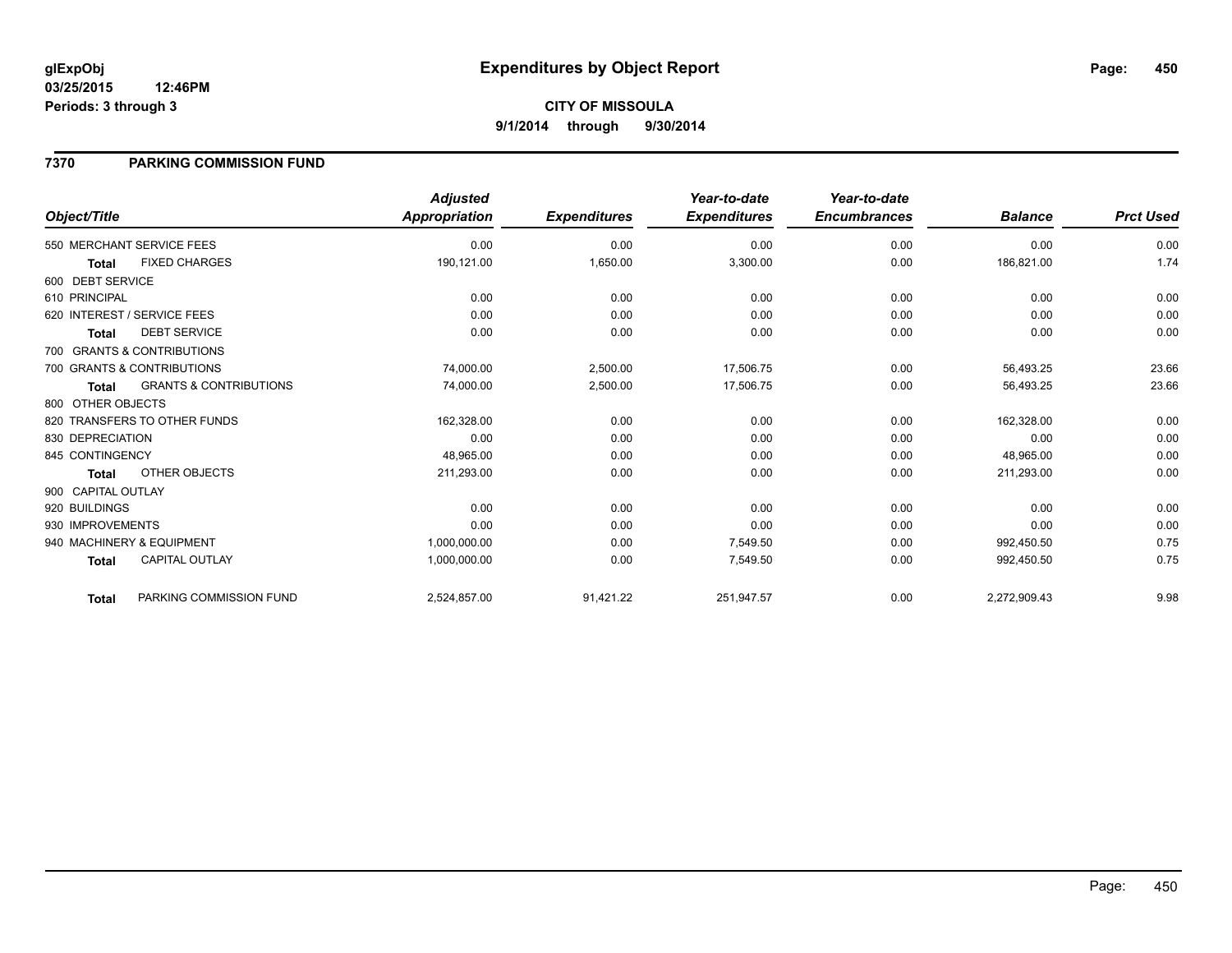# **CITY OF MISSOULA 9/1/2014 through 9/30/2014**

## **7370 PARKING COMMISSION FUND**

|                    |                                   | <b>Adjusted</b>      |                     | Year-to-date        | Year-to-date        |                |                  |
|--------------------|-----------------------------------|----------------------|---------------------|---------------------|---------------------|----------------|------------------|
| Object/Title       |                                   | <b>Appropriation</b> | <b>Expenditures</b> | <b>Expenditures</b> | <b>Encumbrances</b> | <b>Balance</b> | <b>Prct Used</b> |
|                    | 550 MERCHANT SERVICE FEES         | 0.00                 | 0.00                | 0.00                | 0.00                | 0.00           | 0.00             |
| <b>Total</b>       | <b>FIXED CHARGES</b>              | 190,121.00           | 1,650.00            | 3,300.00            | 0.00                | 186,821.00     | 1.74             |
| 600 DEBT SERVICE   |                                   |                      |                     |                     |                     |                |                  |
| 610 PRINCIPAL      |                                   | 0.00                 | 0.00                | 0.00                | 0.00                | 0.00           | 0.00             |
|                    | 620 INTEREST / SERVICE FEES       | 0.00                 | 0.00                | 0.00                | 0.00                | 0.00           | 0.00             |
| <b>Total</b>       | <b>DEBT SERVICE</b>               | 0.00                 | 0.00                | 0.00                | 0.00                | 0.00           | 0.00             |
|                    | 700 GRANTS & CONTRIBUTIONS        |                      |                     |                     |                     |                |                  |
|                    | 700 GRANTS & CONTRIBUTIONS        | 74,000.00            | 2,500.00            | 17,506.75           | 0.00                | 56,493.25      | 23.66            |
| <b>Total</b>       | <b>GRANTS &amp; CONTRIBUTIONS</b> | 74,000.00            | 2,500.00            | 17,506.75           | 0.00                | 56,493.25      | 23.66            |
| 800 OTHER OBJECTS  |                                   |                      |                     |                     |                     |                |                  |
|                    | 820 TRANSFERS TO OTHER FUNDS      | 162,328.00           | 0.00                | 0.00                | 0.00                | 162,328.00     | 0.00             |
| 830 DEPRECIATION   |                                   | 0.00                 | 0.00                | 0.00                | 0.00                | 0.00           | 0.00             |
| 845 CONTINGENCY    |                                   | 48,965.00            | 0.00                | 0.00                | 0.00                | 48,965.00      | 0.00             |
| <b>Total</b>       | OTHER OBJECTS                     | 211.293.00           | 0.00                | 0.00                | 0.00                | 211,293.00     | 0.00             |
| 900 CAPITAL OUTLAY |                                   |                      |                     |                     |                     |                |                  |
| 920 BUILDINGS      |                                   | 0.00                 | 0.00                | 0.00                | 0.00                | 0.00           | 0.00             |
| 930 IMPROVEMENTS   |                                   | 0.00                 | 0.00                | 0.00                | 0.00                | 0.00           | 0.00             |
|                    | 940 MACHINERY & EQUIPMENT         | 1,000,000.00         | 0.00                | 7,549.50            | 0.00                | 992,450.50     | 0.75             |
| <b>Total</b>       | <b>CAPITAL OUTLAY</b>             | 1,000,000.00         | 0.00                | 7,549.50            | 0.00                | 992,450.50     | 0.75             |
| <b>Total</b>       | PARKING COMMISSION FUND           | 2,524,857.00         | 91,421.22           | 251,947.57          | 0.00                | 2,272,909.43   | 9.98             |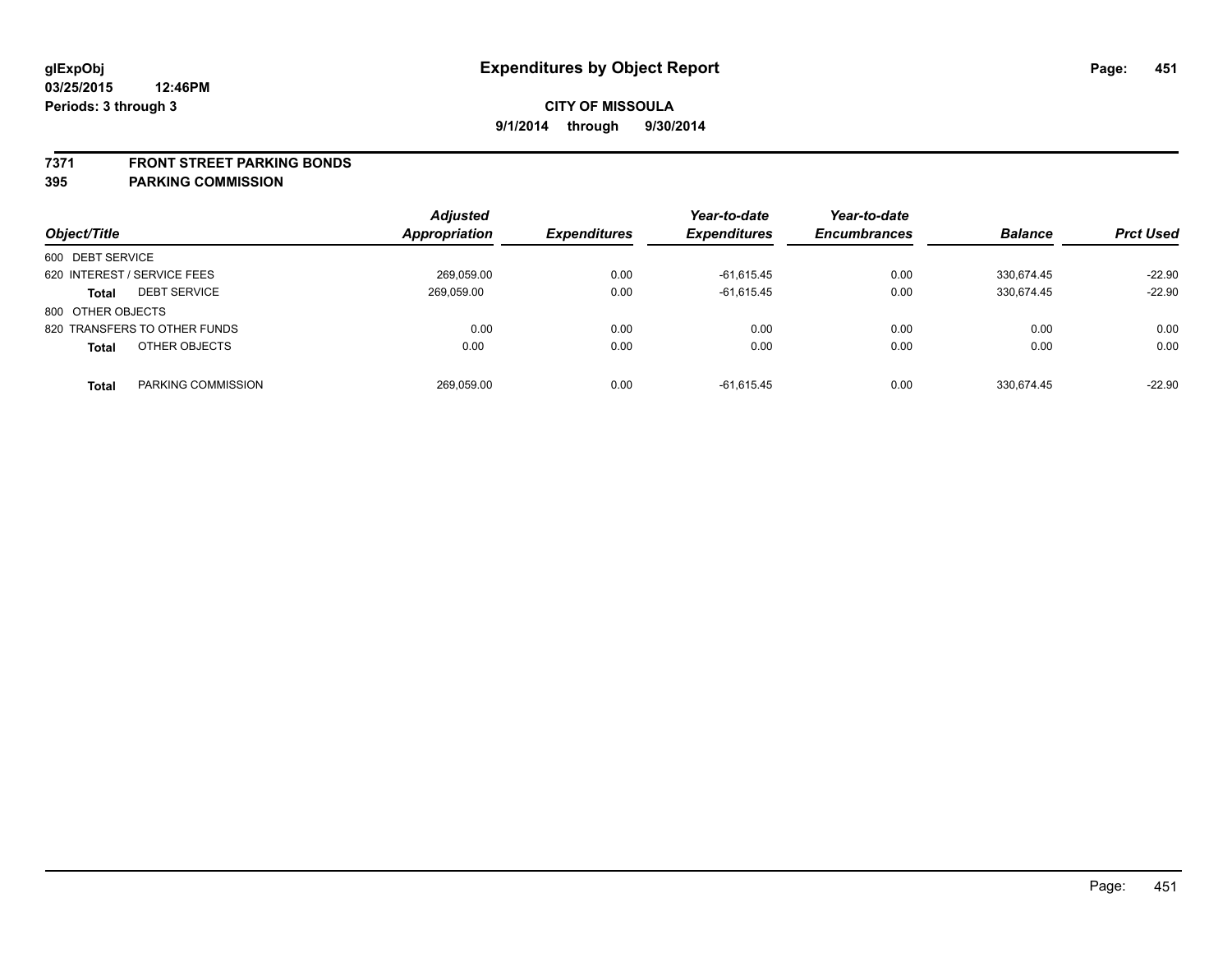#### **7371 FRONT STREET PARKING BONDS**

| Object/Title                        | <b>Adjusted</b><br><b>Appropriation</b> | <b>Expenditures</b> | Year-to-date<br><b>Expenditures</b> | Year-to-date<br><b>Encumbrances</b> | <b>Balance</b> | <b>Prct Used</b> |
|-------------------------------------|-----------------------------------------|---------------------|-------------------------------------|-------------------------------------|----------------|------------------|
| 600 DEBT SERVICE                    |                                         |                     |                                     |                                     |                |                  |
| 620 INTEREST / SERVICE FEES         | 269,059.00                              | 0.00                | $-61,615.45$                        | 0.00                                | 330,674.45     | $-22.90$         |
| <b>DEBT SERVICE</b><br><b>Total</b> | 269.059.00                              | 0.00                | $-61,615.45$                        | 0.00                                | 330.674.45     | $-22.90$         |
| 800 OTHER OBJECTS                   |                                         |                     |                                     |                                     |                |                  |
| 820 TRANSFERS TO OTHER FUNDS        | 0.00                                    | 0.00                | 0.00                                | 0.00                                | 0.00           | 0.00             |
| OTHER OBJECTS<br><b>Total</b>       | 0.00                                    | 0.00                | 0.00                                | 0.00                                | 0.00           | 0.00             |
| PARKING COMMISSION<br><b>Total</b>  | 269.059.00                              | 0.00                | $-61.615.45$                        | 0.00                                | 330.674.45     | $-22.90$         |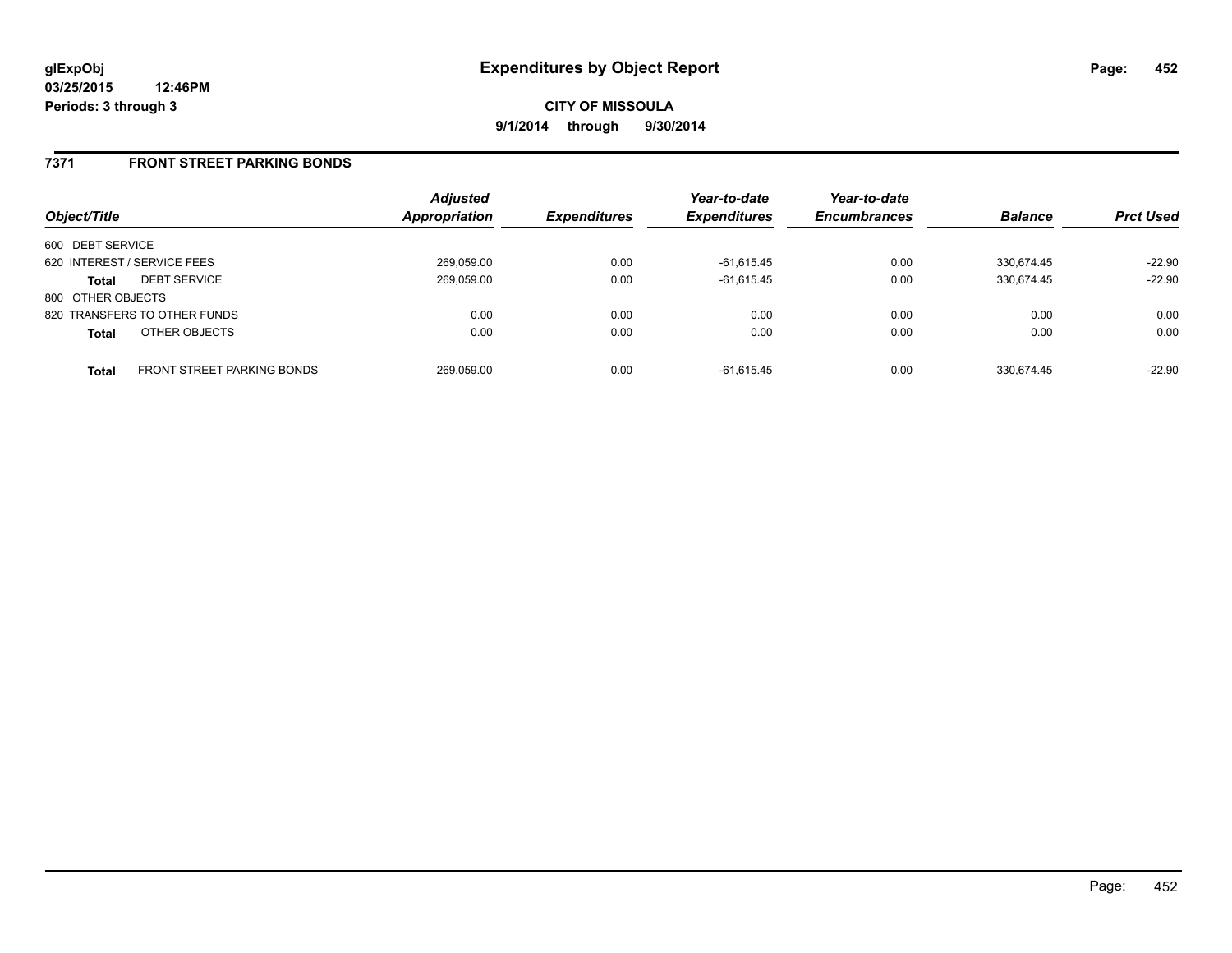## **7371 FRONT STREET PARKING BONDS**

| Object/Title                |                                   | <b>Adjusted</b><br><b>Appropriation</b> | <b>Expenditures</b> | Year-to-date<br><b>Expenditures</b> | Year-to-date<br><b>Encumbrances</b> | <b>Balance</b> | <b>Prct Used</b> |
|-----------------------------|-----------------------------------|-----------------------------------------|---------------------|-------------------------------------|-------------------------------------|----------------|------------------|
| 600 DEBT SERVICE            |                                   |                                         |                     |                                     |                                     |                |                  |
| 620 INTEREST / SERVICE FEES |                                   | 269,059.00                              | 0.00                | $-61,615.45$                        | 0.00                                | 330.674.45     | $-22.90$         |
| <b>Total</b>                | <b>DEBT SERVICE</b>               | 269,059.00                              | 0.00                | $-61,615.45$                        | 0.00                                | 330.674.45     | $-22.90$         |
| 800 OTHER OBJECTS           |                                   |                                         |                     |                                     |                                     |                |                  |
|                             | 820 TRANSFERS TO OTHER FUNDS      | 0.00                                    | 0.00                | 0.00                                | 0.00                                | 0.00           | 0.00             |
| <b>Total</b>                | OTHER OBJECTS                     | 0.00                                    | 0.00                | 0.00                                | 0.00                                | 0.00           | 0.00             |
| <b>Total</b>                | <b>FRONT STREET PARKING BONDS</b> | 269,059.00                              | 0.00                | $-61.615.45$                        | 0.00                                | 330.674.45     | $-22.90$         |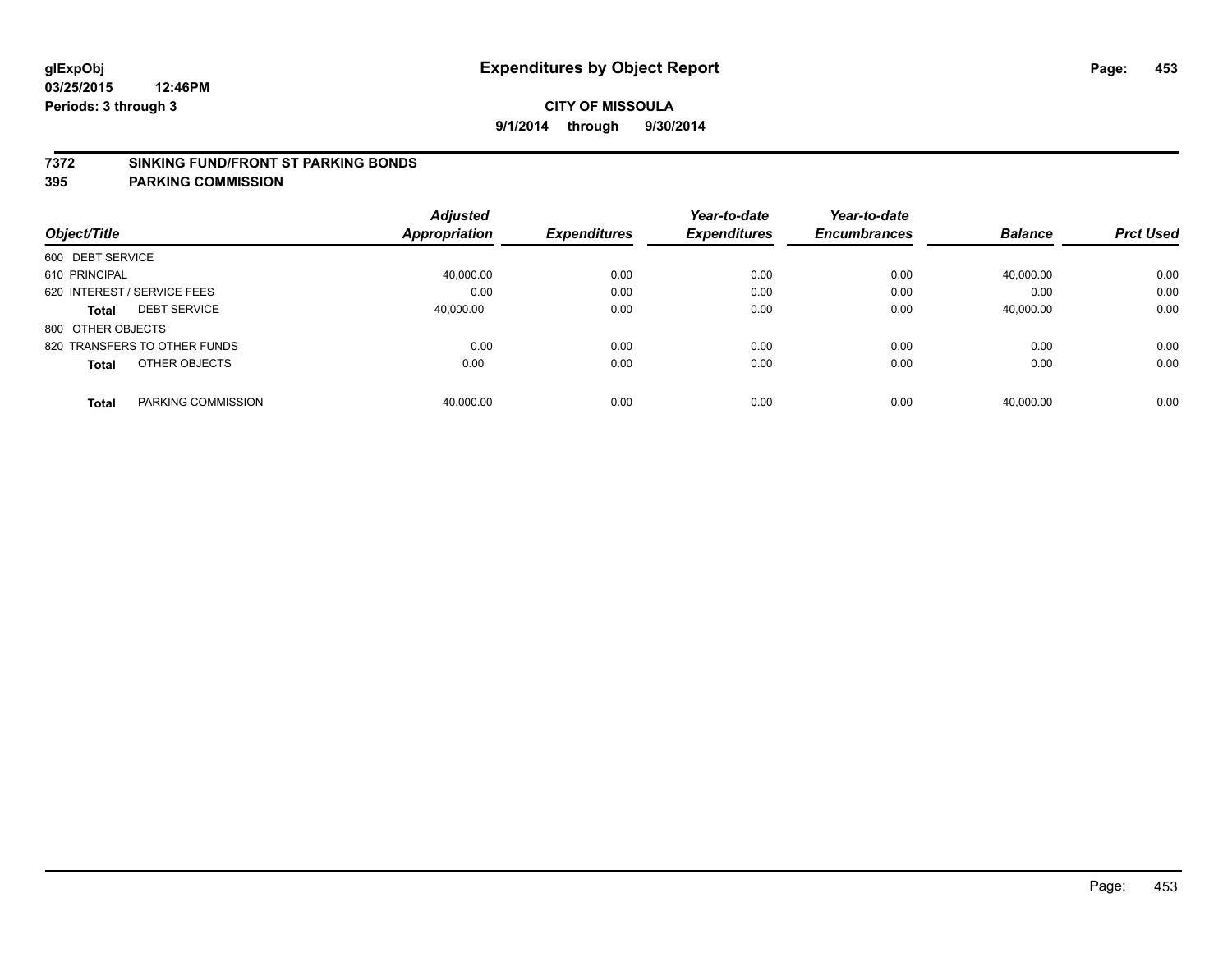#### **7372 SINKING FUND/FRONT ST PARKING BONDS**

| Object/Title                       | <b>Adjusted</b><br><b>Appropriation</b> | <b>Expenditures</b> | Year-to-date<br><b>Expenditures</b> | Year-to-date<br><b>Encumbrances</b> | <b>Balance</b> | <b>Prct Used</b> |
|------------------------------------|-----------------------------------------|---------------------|-------------------------------------|-------------------------------------|----------------|------------------|
| 600 DEBT SERVICE                   |                                         |                     |                                     |                                     |                |                  |
| 610 PRINCIPAL                      | 40,000.00                               | 0.00                | 0.00                                | 0.00                                | 40,000.00      | 0.00             |
| 620 INTEREST / SERVICE FEES        | 0.00                                    | 0.00                | 0.00                                | 0.00                                | 0.00           | 0.00             |
| <b>DEBT SERVICE</b><br>Total       | 40.000.00                               | 0.00                | 0.00                                | 0.00                                | 40,000.00      | 0.00             |
| 800 OTHER OBJECTS                  |                                         |                     |                                     |                                     |                |                  |
| 820 TRANSFERS TO OTHER FUNDS       | 0.00                                    | 0.00                | 0.00                                | 0.00                                | 0.00           | 0.00             |
| OTHER OBJECTS<br><b>Total</b>      | 0.00                                    | 0.00                | 0.00                                | 0.00                                | 0.00           | 0.00             |
| PARKING COMMISSION<br><b>Total</b> | 40.000.00                               | 0.00                | 0.00                                | 0.00                                | 40.000.00      | 0.00             |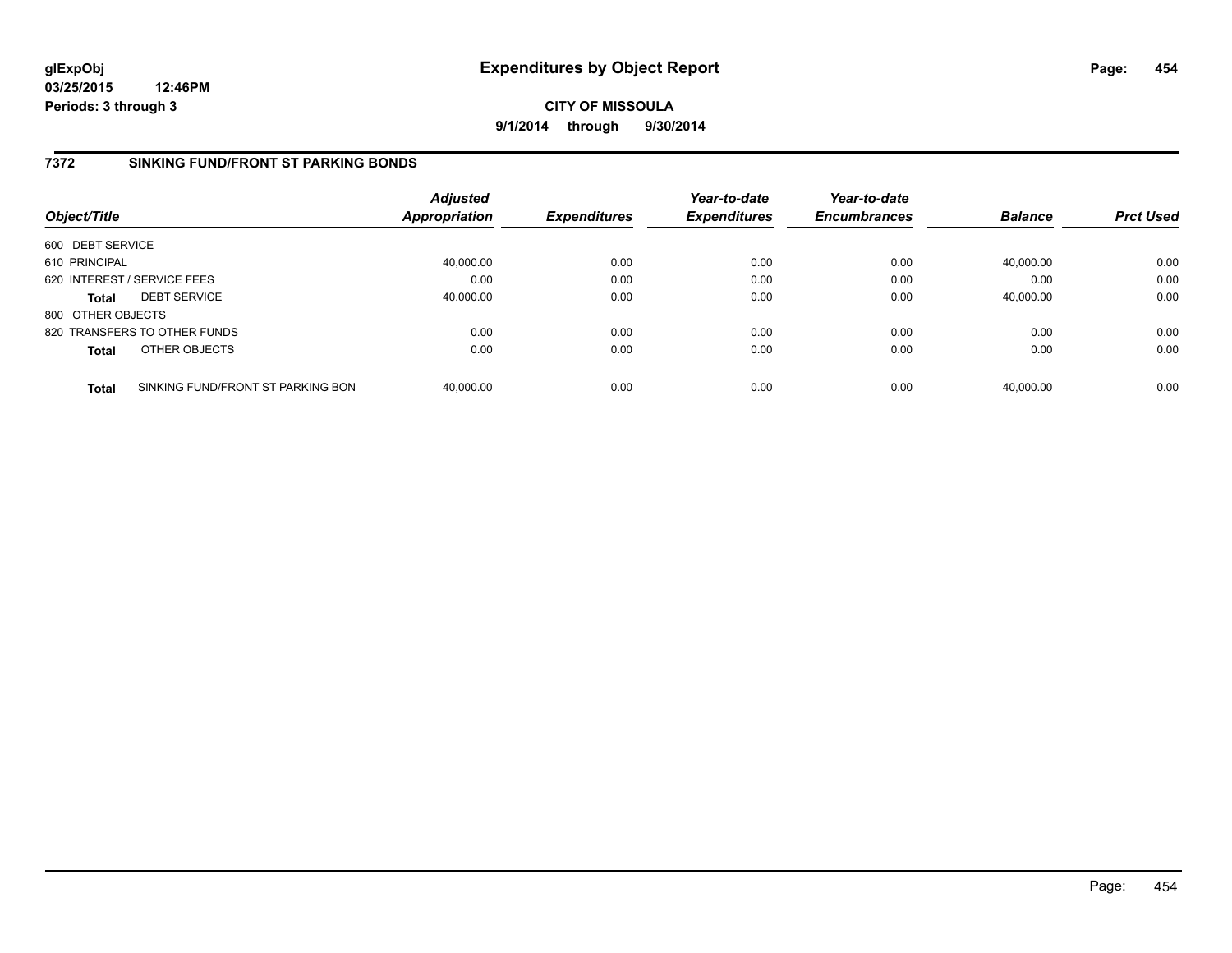**CITY OF MISSOULA 9/1/2014 through 9/30/2014**

## **7372 SINKING FUND/FRONT ST PARKING BONDS**

| Object/Title      |                                   | <b>Adjusted</b><br>Appropriation | <b>Expenditures</b> | Year-to-date<br><b>Expenditures</b> | Year-to-date<br><b>Encumbrances</b> | <b>Balance</b> | <b>Prct Used</b> |
|-------------------|-----------------------------------|----------------------------------|---------------------|-------------------------------------|-------------------------------------|----------------|------------------|
| 600 DEBT SERVICE  |                                   |                                  |                     |                                     |                                     |                |                  |
| 610 PRINCIPAL     |                                   | 40,000.00                        | 0.00                | 0.00                                | 0.00                                | 40,000.00      | 0.00             |
|                   | 620 INTEREST / SERVICE FEES       | 0.00                             | 0.00                | 0.00                                | 0.00                                | 0.00           | 0.00             |
| <b>Total</b>      | <b>DEBT SERVICE</b>               | 40.000.00                        | 0.00                | 0.00                                | 0.00                                | 40.000.00      | 0.00             |
| 800 OTHER OBJECTS |                                   |                                  |                     |                                     |                                     |                |                  |
|                   | 820 TRANSFERS TO OTHER FUNDS      | 0.00                             | 0.00                | 0.00                                | 0.00                                | 0.00           | 0.00             |
| <b>Total</b>      | OTHER OBJECTS                     | 0.00                             | 0.00                | 0.00                                | 0.00                                | 0.00           | 0.00             |
| <b>Total</b>      | SINKING FUND/FRONT ST PARKING BON | 40.000.00                        | 0.00                | 0.00                                | 0.00                                | 40.000.00      | 0.00             |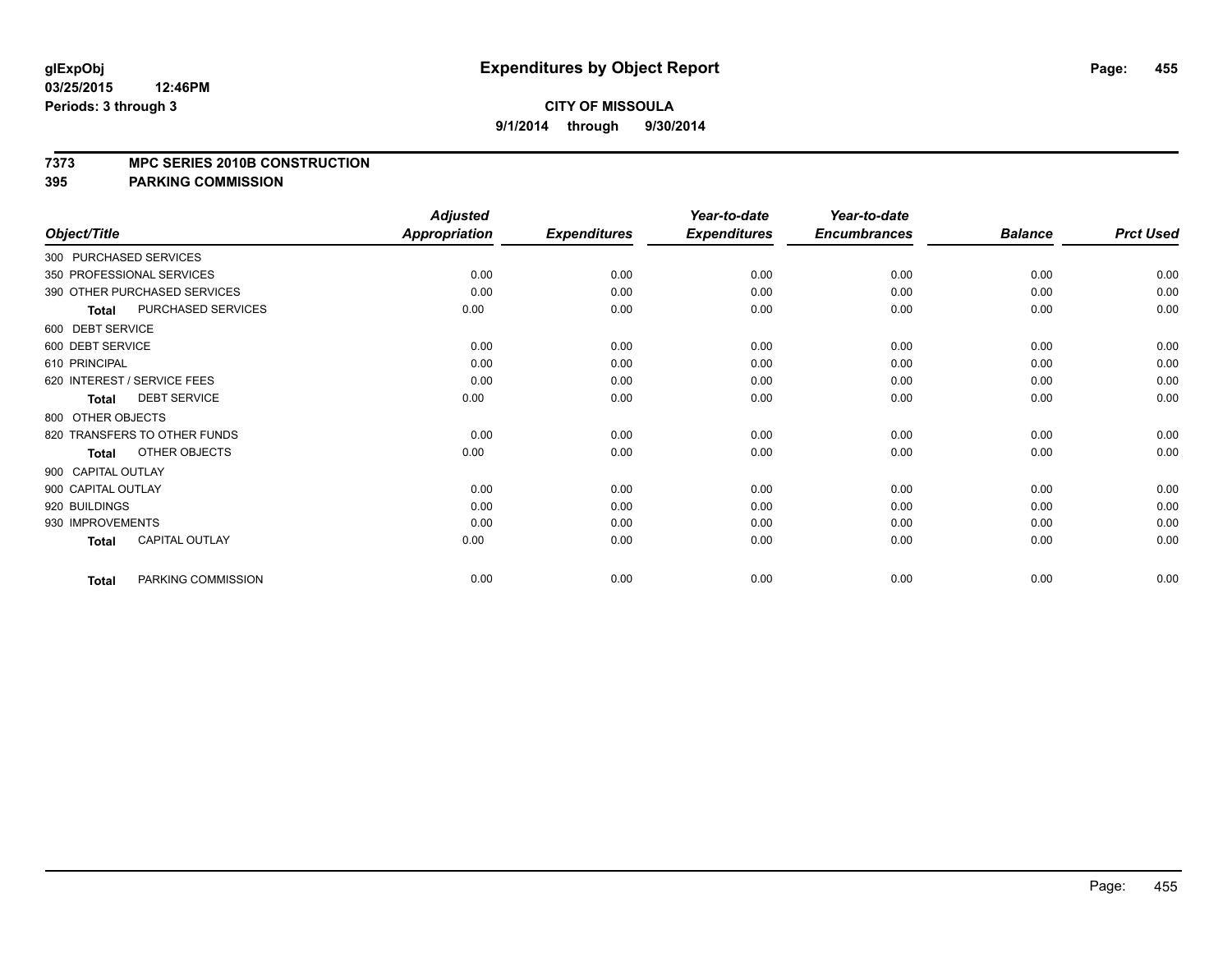#### **7373 MPC SERIES 2010B CONSTRUCTION**

|                    |                              | <b>Adjusted</b>      |                     | Year-to-date        | Year-to-date        |                |                  |
|--------------------|------------------------------|----------------------|---------------------|---------------------|---------------------|----------------|------------------|
| Object/Title       |                              | <b>Appropriation</b> | <b>Expenditures</b> | <b>Expenditures</b> | <b>Encumbrances</b> | <b>Balance</b> | <b>Prct Used</b> |
|                    | 300 PURCHASED SERVICES       |                      |                     |                     |                     |                |                  |
|                    | 350 PROFESSIONAL SERVICES    | 0.00                 | 0.00                | 0.00                | 0.00                | 0.00           | 0.00             |
|                    | 390 OTHER PURCHASED SERVICES | 0.00                 | 0.00                | 0.00                | 0.00                | 0.00           | 0.00             |
| <b>Total</b>       | PURCHASED SERVICES           | 0.00                 | 0.00                | 0.00                | 0.00                | 0.00           | 0.00             |
| 600 DEBT SERVICE   |                              |                      |                     |                     |                     |                |                  |
| 600 DEBT SERVICE   |                              | 0.00                 | 0.00                | 0.00                | 0.00                | 0.00           | 0.00             |
| 610 PRINCIPAL      |                              | 0.00                 | 0.00                | 0.00                | 0.00                | 0.00           | 0.00             |
|                    | 620 INTEREST / SERVICE FEES  | 0.00                 | 0.00                | 0.00                | 0.00                | 0.00           | 0.00             |
| <b>Total</b>       | <b>DEBT SERVICE</b>          | 0.00                 | 0.00                | 0.00                | 0.00                | 0.00           | 0.00             |
| 800 OTHER OBJECTS  |                              |                      |                     |                     |                     |                |                  |
|                    | 820 TRANSFERS TO OTHER FUNDS | 0.00                 | 0.00                | 0.00                | 0.00                | 0.00           | 0.00             |
| <b>Total</b>       | OTHER OBJECTS                | 0.00                 | 0.00                | 0.00                | 0.00                | 0.00           | 0.00             |
| 900 CAPITAL OUTLAY |                              |                      |                     |                     |                     |                |                  |
| 900 CAPITAL OUTLAY |                              | 0.00                 | 0.00                | 0.00                | 0.00                | 0.00           | 0.00             |
| 920 BUILDINGS      |                              | 0.00                 | 0.00                | 0.00                | 0.00                | 0.00           | 0.00             |
| 930 IMPROVEMENTS   |                              | 0.00                 | 0.00                | 0.00                | 0.00                | 0.00           | 0.00             |
| <b>Total</b>       | <b>CAPITAL OUTLAY</b>        | 0.00                 | 0.00                | 0.00                | 0.00                | 0.00           | 0.00             |
| <b>Total</b>       | PARKING COMMISSION           | 0.00                 | 0.00                | 0.00                | 0.00                | 0.00           | 0.00             |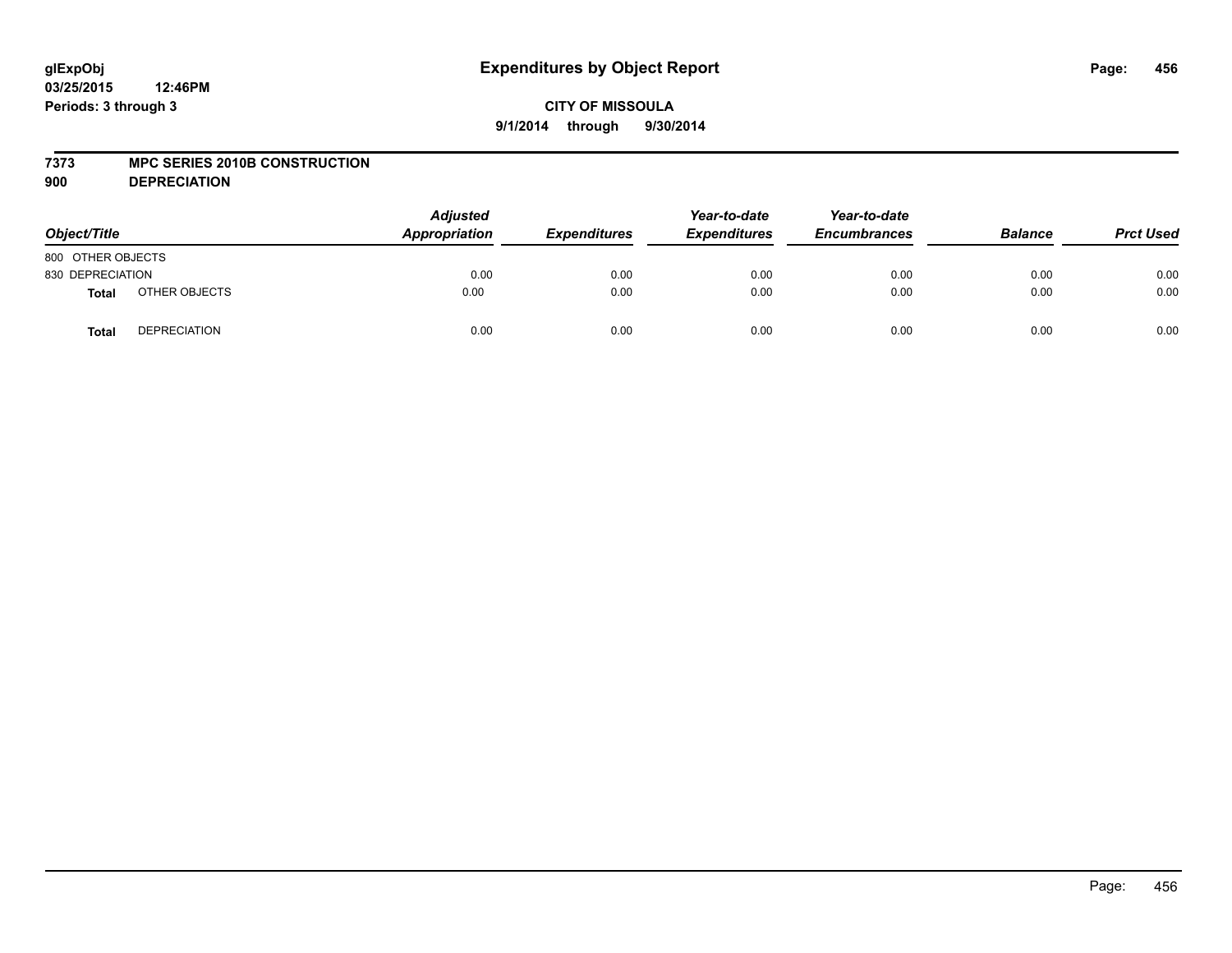## **CITY OF MISSOULA 9/1/2014 through 9/30/2014**

### **7373 MPC SERIES 2010B CONSTRUCTION**

**900 DEPRECIATION**

| Object/Title      |                     | <b>Adjusted</b><br>Appropriation | <b>Expenditures</b> | Year-to-date<br><b>Expenditures</b> | Year-to-date<br><b>Encumbrances</b> | <b>Balance</b> | <b>Prct Used</b> |
|-------------------|---------------------|----------------------------------|---------------------|-------------------------------------|-------------------------------------|----------------|------------------|
| 800 OTHER OBJECTS |                     |                                  |                     |                                     |                                     |                |                  |
| 830 DEPRECIATION  |                     | 0.00                             | 0.00                | 0.00                                | 0.00                                | 0.00           | 0.00             |
| <b>Total</b>      | OTHER OBJECTS       | 0.00                             | 0.00                | 0.00                                | 0.00                                | 0.00           | 0.00             |
| <b>Total</b>      | <b>DEPRECIATION</b> | 0.00                             | 0.00                | 0.00                                | 0.00                                | 0.00           | 0.00             |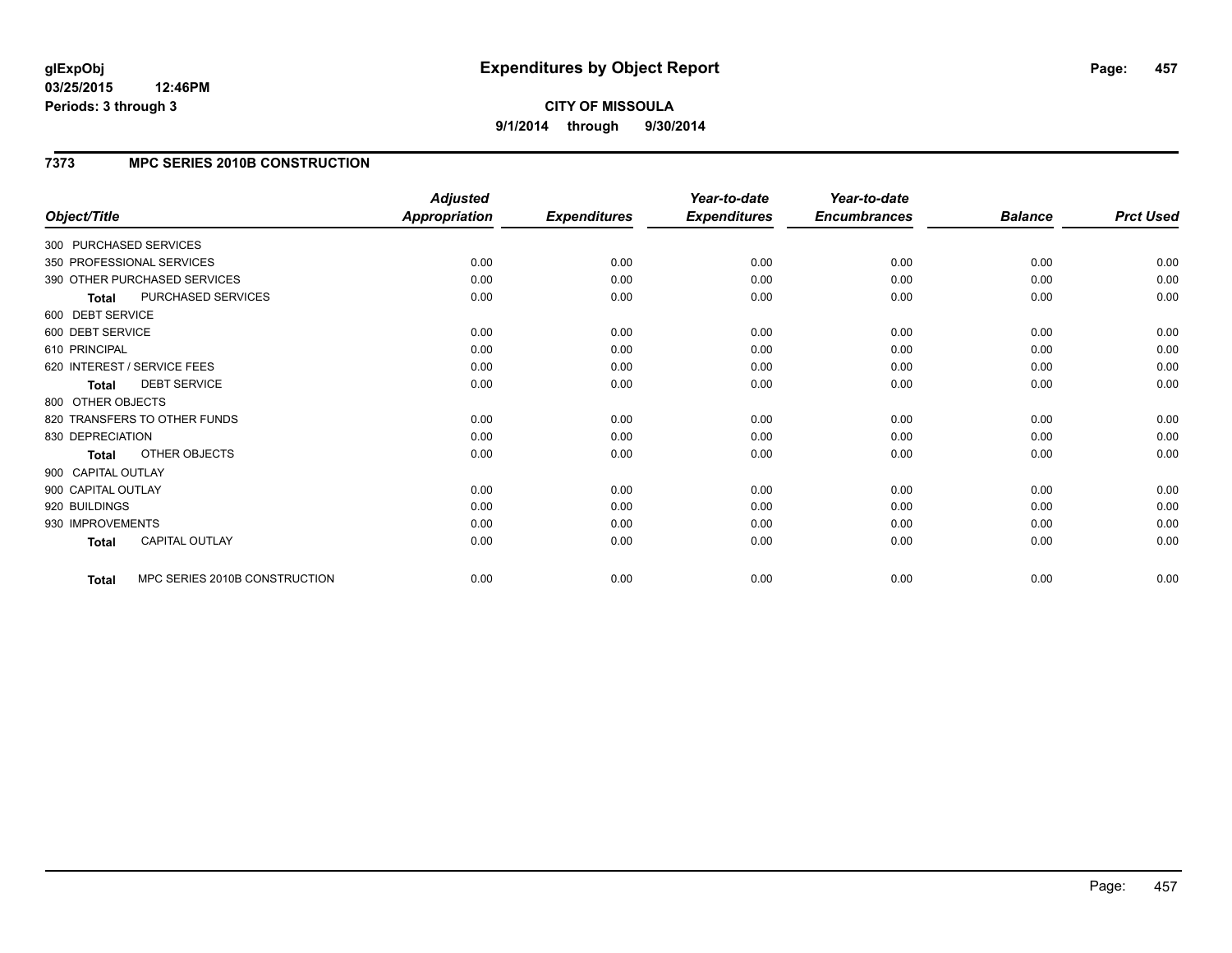# **CITY OF MISSOULA 9/1/2014 through 9/30/2014**

## **7373 MPC SERIES 2010B CONSTRUCTION**

|                        |                               | <b>Adjusted</b>      |                     | Year-to-date        | Year-to-date        |                |                  |
|------------------------|-------------------------------|----------------------|---------------------|---------------------|---------------------|----------------|------------------|
| Object/Title           |                               | <b>Appropriation</b> | <b>Expenditures</b> | <b>Expenditures</b> | <b>Encumbrances</b> | <b>Balance</b> | <b>Prct Used</b> |
| 300 PURCHASED SERVICES |                               |                      |                     |                     |                     |                |                  |
|                        | 350 PROFESSIONAL SERVICES     | 0.00                 | 0.00                | 0.00                | 0.00                | 0.00           | 0.00             |
|                        | 390 OTHER PURCHASED SERVICES  | 0.00                 | 0.00                | 0.00                | 0.00                | 0.00           | 0.00             |
| <b>Total</b>           | PURCHASED SERVICES            | 0.00                 | 0.00                | 0.00                | 0.00                | 0.00           | 0.00             |
| 600 DEBT SERVICE       |                               |                      |                     |                     |                     |                |                  |
| 600 DEBT SERVICE       |                               | 0.00                 | 0.00                | 0.00                | 0.00                | 0.00           | 0.00             |
| 610 PRINCIPAL          |                               | 0.00                 | 0.00                | 0.00                | 0.00                | 0.00           | 0.00             |
|                        | 620 INTEREST / SERVICE FEES   | 0.00                 | 0.00                | 0.00                | 0.00                | 0.00           | 0.00             |
| <b>Total</b>           | <b>DEBT SERVICE</b>           | 0.00                 | 0.00                | 0.00                | 0.00                | 0.00           | 0.00             |
| 800 OTHER OBJECTS      |                               |                      |                     |                     |                     |                |                  |
|                        | 820 TRANSFERS TO OTHER FUNDS  | 0.00                 | 0.00                | 0.00                | 0.00                | 0.00           | 0.00             |
| 830 DEPRECIATION       |                               | 0.00                 | 0.00                | 0.00                | 0.00                | 0.00           | 0.00             |
| Total                  | OTHER OBJECTS                 | 0.00                 | 0.00                | 0.00                | 0.00                | 0.00           | 0.00             |
| 900 CAPITAL OUTLAY     |                               |                      |                     |                     |                     |                |                  |
| 900 CAPITAL OUTLAY     |                               | 0.00                 | 0.00                | 0.00                | 0.00                | 0.00           | 0.00             |
| 920 BUILDINGS          |                               | 0.00                 | 0.00                | 0.00                | 0.00                | 0.00           | 0.00             |
| 930 IMPROVEMENTS       |                               | 0.00                 | 0.00                | 0.00                | 0.00                | 0.00           | 0.00             |
| Total                  | <b>CAPITAL OUTLAY</b>         | 0.00                 | 0.00                | 0.00                | 0.00                | 0.00           | 0.00             |
| Total                  | MPC SERIES 2010B CONSTRUCTION | 0.00                 | 0.00                | 0.00                | 0.00                | 0.00           | 0.00             |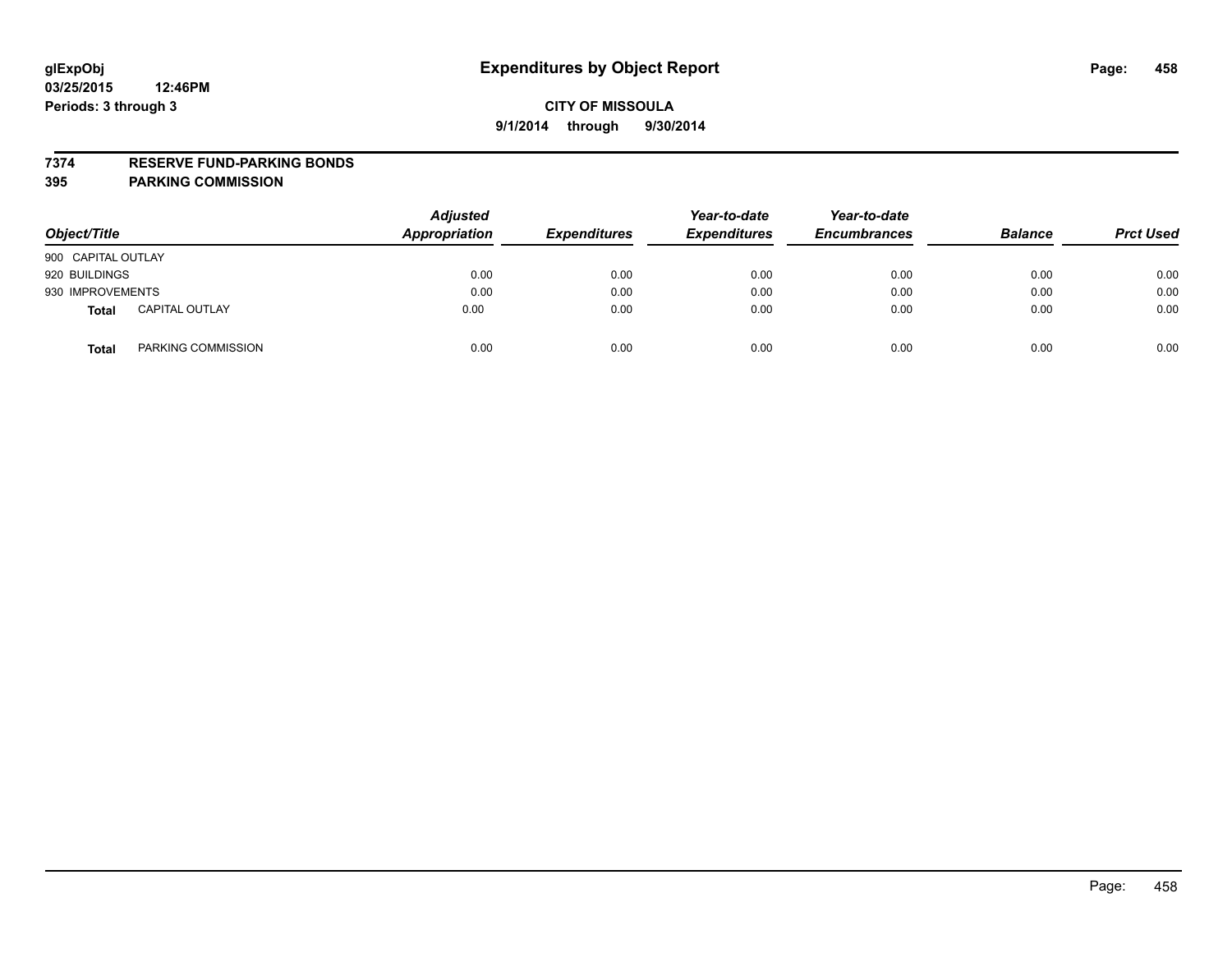### **7374 RESERVE FUND-PARKING BONDS**

| Object/Title                          | <b>Adjusted</b><br><b>Appropriation</b> | <b>Expenditures</b> | Year-to-date<br><b>Expenditures</b> | Year-to-date<br><b>Encumbrances</b> | <b>Balance</b> | <b>Prct Used</b> |
|---------------------------------------|-----------------------------------------|---------------------|-------------------------------------|-------------------------------------|----------------|------------------|
| 900 CAPITAL OUTLAY                    |                                         |                     |                                     |                                     |                |                  |
| 920 BUILDINGS                         | 0.00                                    | 0.00                | 0.00                                | 0.00                                | 0.00           | 0.00             |
| 930 IMPROVEMENTS                      | 0.00                                    | 0.00                | 0.00                                | 0.00                                | 0.00           | 0.00             |
| <b>CAPITAL OUTLAY</b><br><b>Total</b> | 0.00                                    | 0.00                | 0.00                                | 0.00                                | 0.00           | 0.00             |
| PARKING COMMISSION<br><b>Total</b>    | 0.00                                    | 0.00                | 0.00                                | 0.00                                | 0.00           | 0.00             |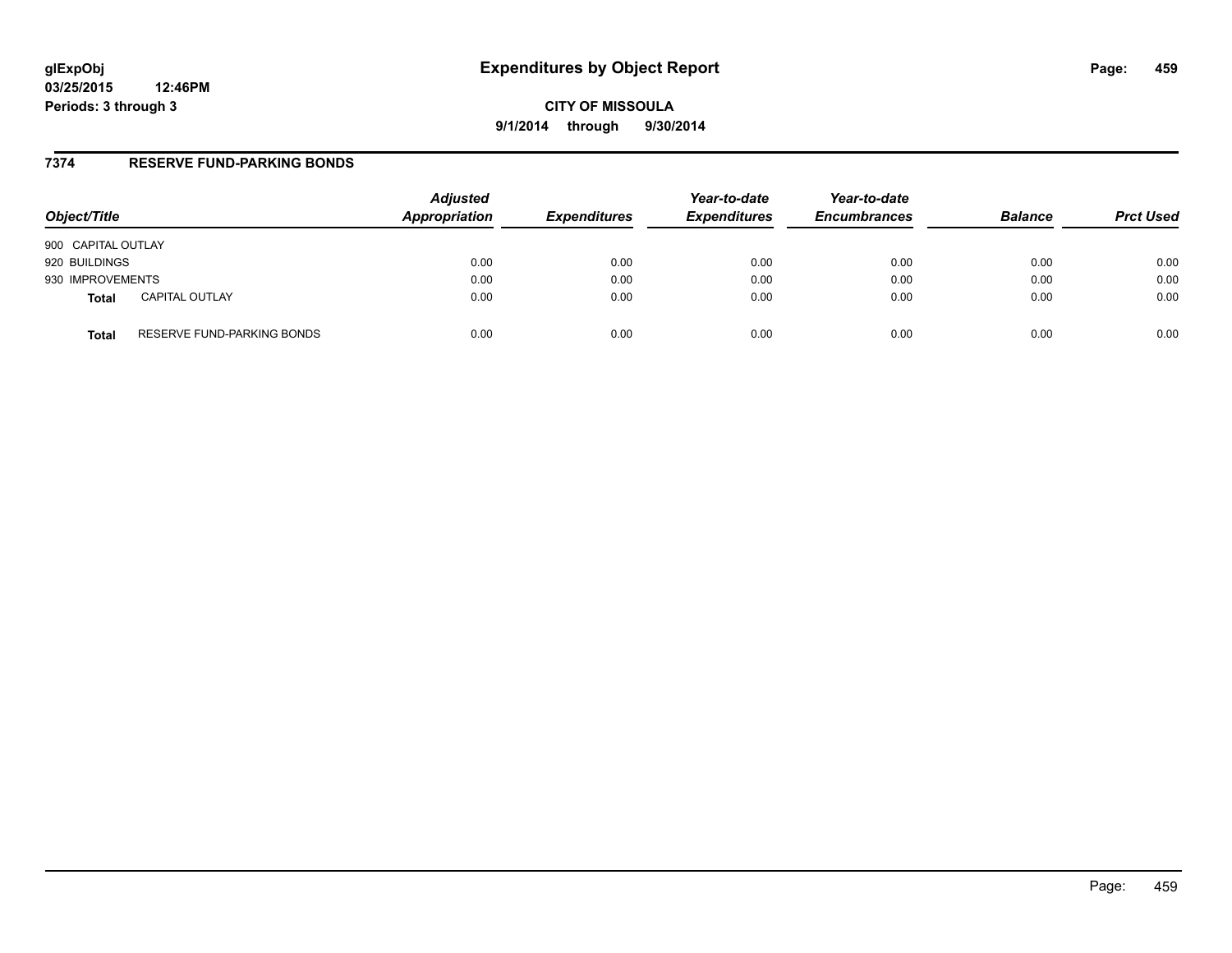# **glExpObj Expenditures by Object Report Page: 459**

**03/25/2015 12:46PM Periods: 3 through 3**

**CITY OF MISSOULA 9/1/2014 through 9/30/2014**

## **7374 RESERVE FUND-PARKING BONDS**

| Object/Title       |                            | <b>Adjusted</b><br>Appropriation | <b>Expenditures</b> | Year-to-date<br><b>Expenditures</b> | Year-to-date<br><b>Encumbrances</b> | <b>Balance</b> | <b>Prct Used</b> |
|--------------------|----------------------------|----------------------------------|---------------------|-------------------------------------|-------------------------------------|----------------|------------------|
| 900 CAPITAL OUTLAY |                            |                                  |                     |                                     |                                     |                |                  |
| 920 BUILDINGS      |                            | 0.00                             | 0.00                | 0.00                                | 0.00                                | 0.00           | 0.00             |
| 930 IMPROVEMENTS   |                            | 0.00                             | 0.00                | 0.00                                | 0.00                                | 0.00           | 0.00             |
| <b>Total</b>       | <b>CAPITAL OUTLAY</b>      | 0.00                             | 0.00                | 0.00                                | 0.00                                | 0.00           | 0.00             |
| <b>Total</b>       | RESERVE FUND-PARKING BONDS | 0.00                             | 0.00                | 0.00                                | 0.00                                | 0.00           | 0.00             |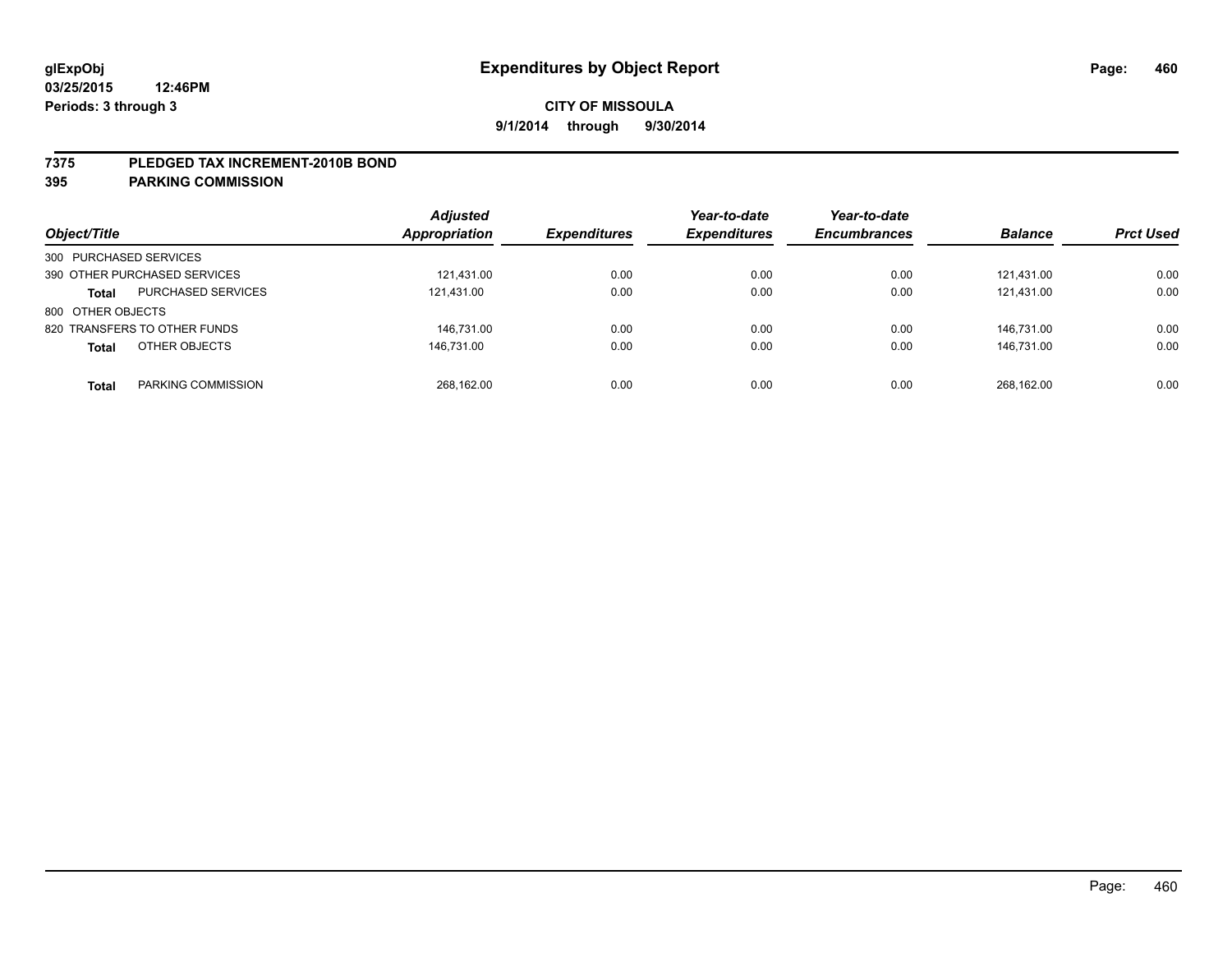#### **7375 PLEDGED TAX INCREMENT-2010B BOND**

| Object/Title                              | <b>Adjusted</b><br><b>Appropriation</b> | <b>Expenditures</b> | Year-to-date<br><b>Expenditures</b> | Year-to-date<br><b>Encumbrances</b> | <b>Balance</b> | <b>Prct Used</b> |
|-------------------------------------------|-----------------------------------------|---------------------|-------------------------------------|-------------------------------------|----------------|------------------|
| 300 PURCHASED SERVICES                    |                                         |                     |                                     |                                     |                |                  |
| 390 OTHER PURCHASED SERVICES              | 121.431.00                              | 0.00                | 0.00                                | 0.00                                | 121.431.00     | 0.00             |
| <b>PURCHASED SERVICES</b><br><b>Total</b> | 121,431.00                              | 0.00                | 0.00                                | 0.00                                | 121,431.00     | 0.00             |
| 800 OTHER OBJECTS                         |                                         |                     |                                     |                                     |                |                  |
| 820 TRANSFERS TO OTHER FUNDS              | 146.731.00                              | 0.00                | 0.00                                | 0.00                                | 146.731.00     | 0.00             |
| OTHER OBJECTS<br><b>Total</b>             | 146.731.00                              | 0.00                | 0.00                                | 0.00                                | 146.731.00     | 0.00             |
| PARKING COMMISSION<br><b>Total</b>        | 268.162.00                              | 0.00                | 0.00                                | 0.00                                | 268.162.00     | 0.00             |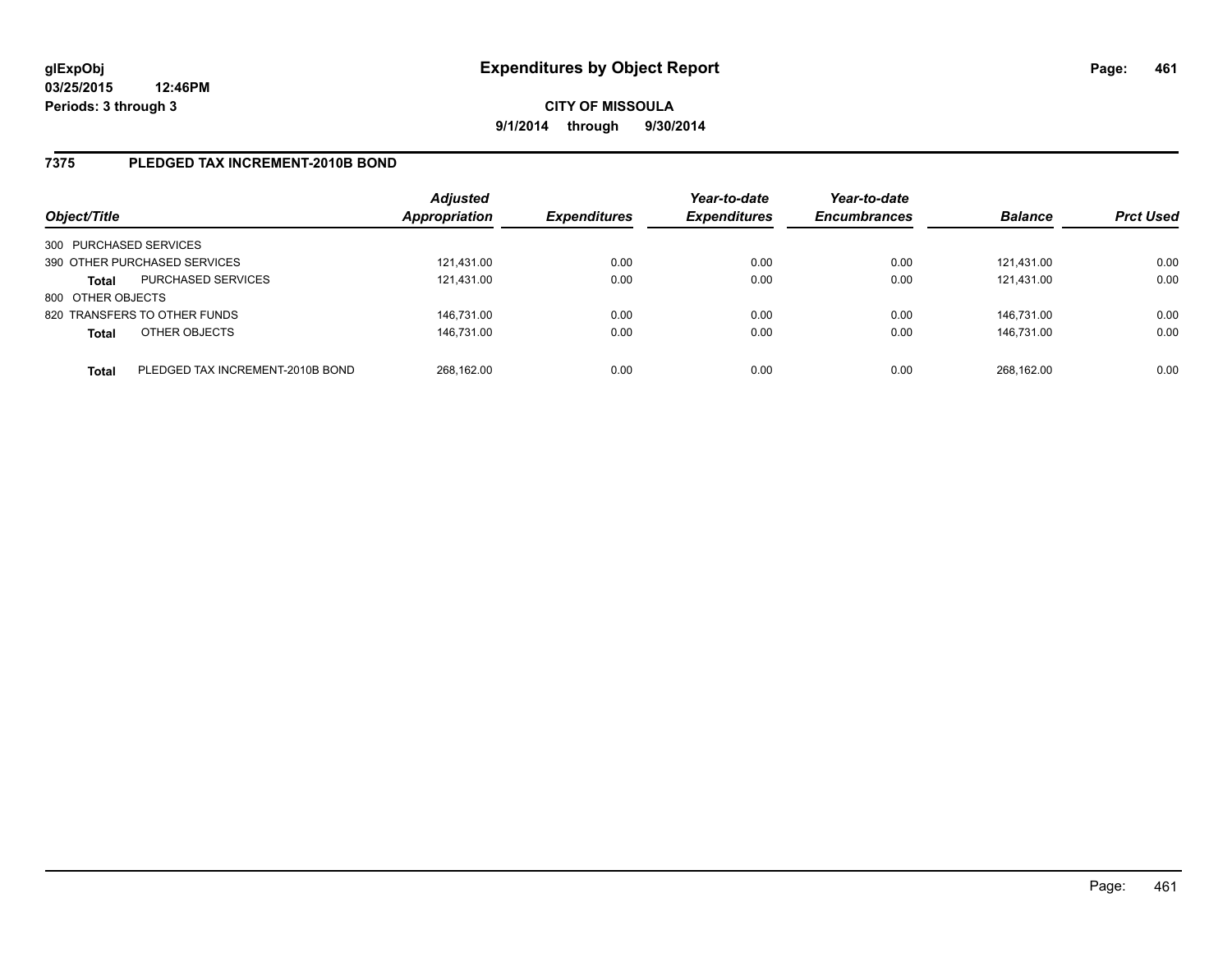## **7375 PLEDGED TAX INCREMENT-2010B BOND**

| Object/Title           |                                  | <b>Adjusted</b><br><b>Appropriation</b> | <b>Expenditures</b> | Year-to-date<br><b>Expenditures</b> | Year-to-date<br><b>Encumbrances</b> | <b>Balance</b> | <b>Prct Used</b> |
|------------------------|----------------------------------|-----------------------------------------|---------------------|-------------------------------------|-------------------------------------|----------------|------------------|
| 300 PURCHASED SERVICES |                                  |                                         |                     |                                     |                                     |                |                  |
|                        | 390 OTHER PURCHASED SERVICES     | 121,431.00                              | 0.00                | 0.00                                | 0.00                                | 121.431.00     | 0.00             |
| Total                  | <b>PURCHASED SERVICES</b>        | 121,431.00                              | 0.00                | 0.00                                | 0.00                                | 121.431.00     | 0.00             |
| 800 OTHER OBJECTS      |                                  |                                         |                     |                                     |                                     |                |                  |
|                        | 820 TRANSFERS TO OTHER FUNDS     | 146,731.00                              | 0.00                | 0.00                                | 0.00                                | 146.731.00     | 0.00             |
| <b>Total</b>           | OTHER OBJECTS                    | 146,731.00                              | 0.00                | 0.00                                | 0.00                                | 146.731.00     | 0.00             |
| <b>Total</b>           | PLEDGED TAX INCREMENT-2010B BOND | 268.162.00                              | 0.00                | 0.00                                | 0.00                                | 268.162.00     | 0.00             |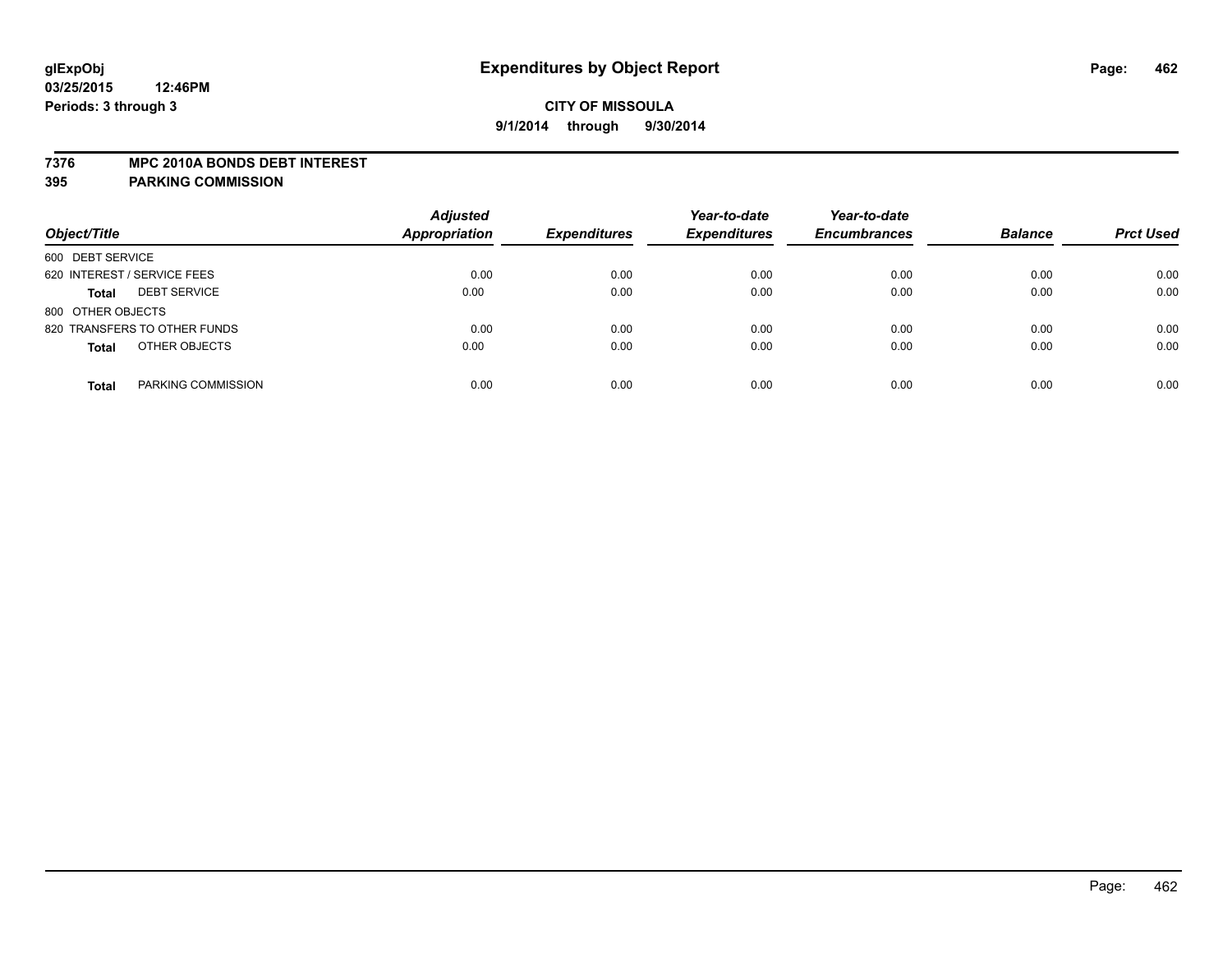#### **7376 MPC 2010A BONDS DEBT INTEREST**

| Object/Title                        | <b>Adjusted</b><br><b>Appropriation</b> | <b>Expenditures</b> | Year-to-date<br><b>Expenditures</b> | Year-to-date<br><b>Encumbrances</b> | <b>Balance</b> | <b>Prct Used</b> |
|-------------------------------------|-----------------------------------------|---------------------|-------------------------------------|-------------------------------------|----------------|------------------|
| 600 DEBT SERVICE                    |                                         |                     |                                     |                                     |                |                  |
| 620 INTEREST / SERVICE FEES         | 0.00                                    | 0.00                | 0.00                                | 0.00                                | 0.00           | 0.00             |
| <b>DEBT SERVICE</b><br><b>Total</b> | 0.00                                    | 0.00                | 0.00                                | 0.00                                | 0.00           | 0.00             |
| 800 OTHER OBJECTS                   |                                         |                     |                                     |                                     |                |                  |
| 820 TRANSFERS TO OTHER FUNDS        | 0.00                                    | 0.00                | 0.00                                | 0.00                                | 0.00           | 0.00             |
| OTHER OBJECTS<br><b>Total</b>       | 0.00                                    | 0.00                | 0.00                                | 0.00                                | 0.00           | 0.00             |
| PARKING COMMISSION<br><b>Total</b>  | 0.00                                    | 0.00                | 0.00                                | 0.00                                | 0.00           | 0.00             |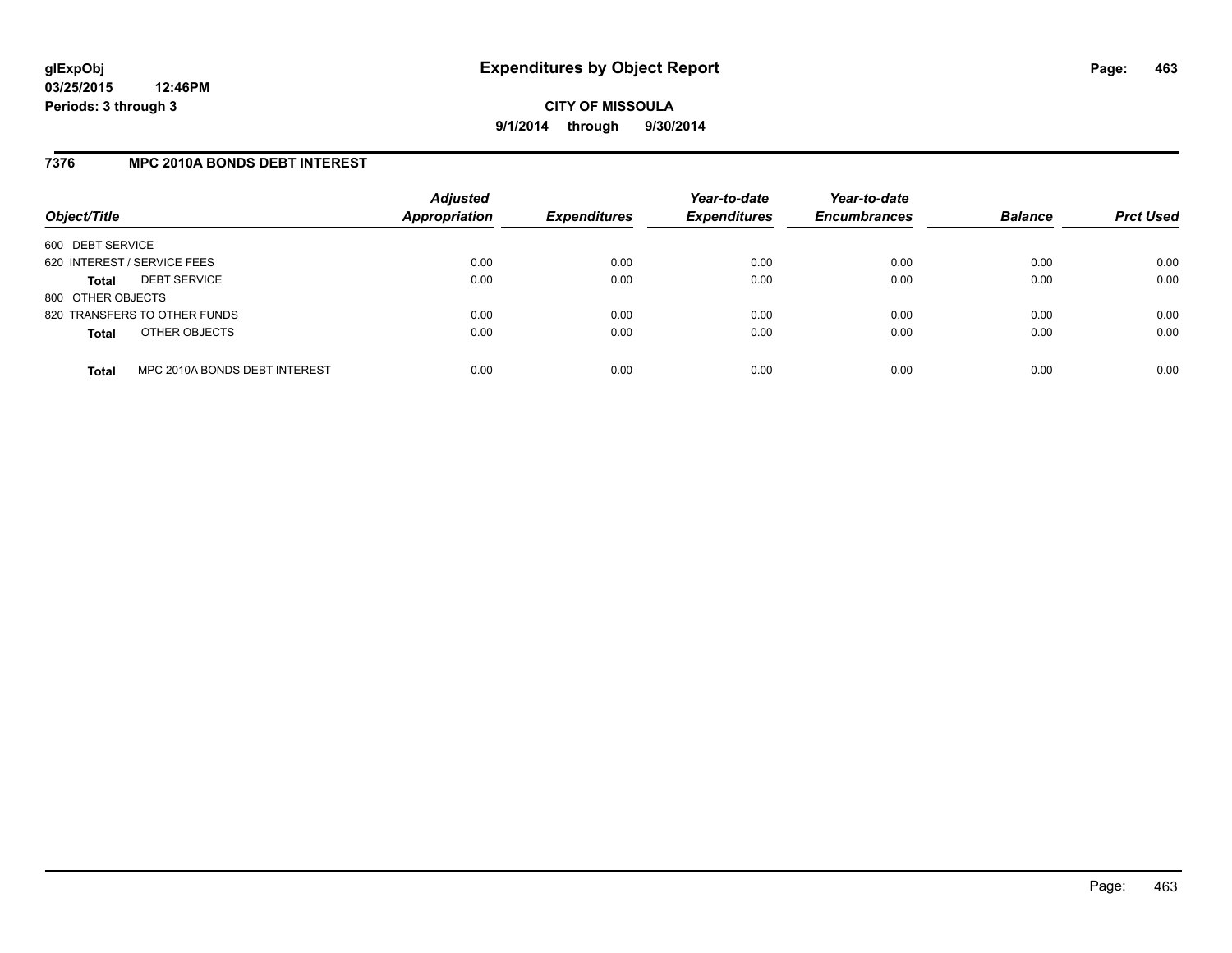## **7376 MPC 2010A BONDS DEBT INTEREST**

| Object/Title                |                               | <b>Adjusted</b><br>Appropriation | <b>Expenditures</b> | Year-to-date<br><b>Expenditures</b> | Year-to-date<br><b>Encumbrances</b> | <b>Balance</b> | <b>Prct Used</b> |
|-----------------------------|-------------------------------|----------------------------------|---------------------|-------------------------------------|-------------------------------------|----------------|------------------|
| 600 DEBT SERVICE            |                               |                                  |                     |                                     |                                     |                |                  |
| 620 INTEREST / SERVICE FEES |                               | 0.00                             | 0.00                | 0.00                                | 0.00                                | 0.00           | 0.00             |
| Total                       | <b>DEBT SERVICE</b>           | 0.00                             | 0.00                | 0.00                                | 0.00                                | 0.00           | 0.00             |
| 800 OTHER OBJECTS           |                               |                                  |                     |                                     |                                     |                |                  |
|                             | 820 TRANSFERS TO OTHER FUNDS  | 0.00                             | 0.00                | 0.00                                | 0.00                                | 0.00           | 0.00             |
| <b>Total</b>                | OTHER OBJECTS                 | 0.00                             | 0.00                | 0.00                                | 0.00                                | 0.00           | 0.00             |
| <b>Total</b>                | MPC 2010A BONDS DEBT INTEREST | 0.00                             | 0.00                | 0.00                                | 0.00                                | 0.00           | 0.00             |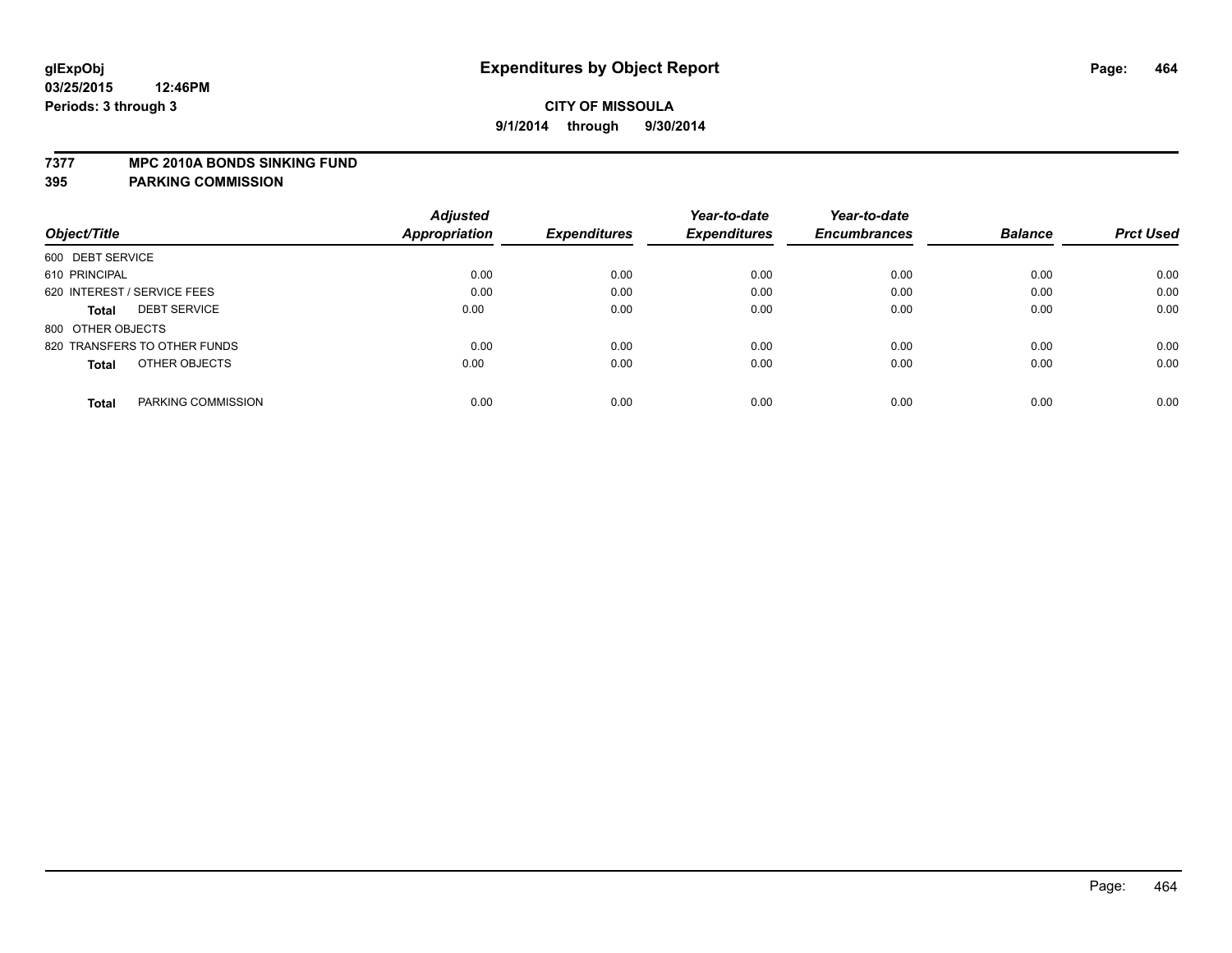#### **7377 MPC 2010A BONDS SINKING FUND**

|                                     | <b>Adjusted</b> |                     | Year-to-date        | Year-to-date        |                |                  |
|-------------------------------------|-----------------|---------------------|---------------------|---------------------|----------------|------------------|
| Object/Title                        | Appropriation   | <b>Expenditures</b> | <b>Expenditures</b> | <b>Encumbrances</b> | <b>Balance</b> | <b>Prct Used</b> |
| 600 DEBT SERVICE                    |                 |                     |                     |                     |                |                  |
| 610 PRINCIPAL                       | 0.00            | 0.00                | 0.00                | 0.00                | 0.00           | 0.00             |
| 620 INTEREST / SERVICE FEES         | 0.00            | 0.00                | 0.00                | 0.00                | 0.00           | 0.00             |
| <b>DEBT SERVICE</b><br><b>Total</b> | 0.00            | 0.00                | 0.00                | 0.00                | 0.00           | 0.00             |
| 800 OTHER OBJECTS                   |                 |                     |                     |                     |                |                  |
| 820 TRANSFERS TO OTHER FUNDS        | 0.00            | 0.00                | 0.00                | 0.00                | 0.00           | 0.00             |
| OTHER OBJECTS<br><b>Total</b>       | 0.00            | 0.00                | 0.00                | 0.00                | 0.00           | 0.00             |
| PARKING COMMISSION<br><b>Total</b>  | 0.00            | 0.00                | 0.00                | 0.00                | 0.00           | 0.00             |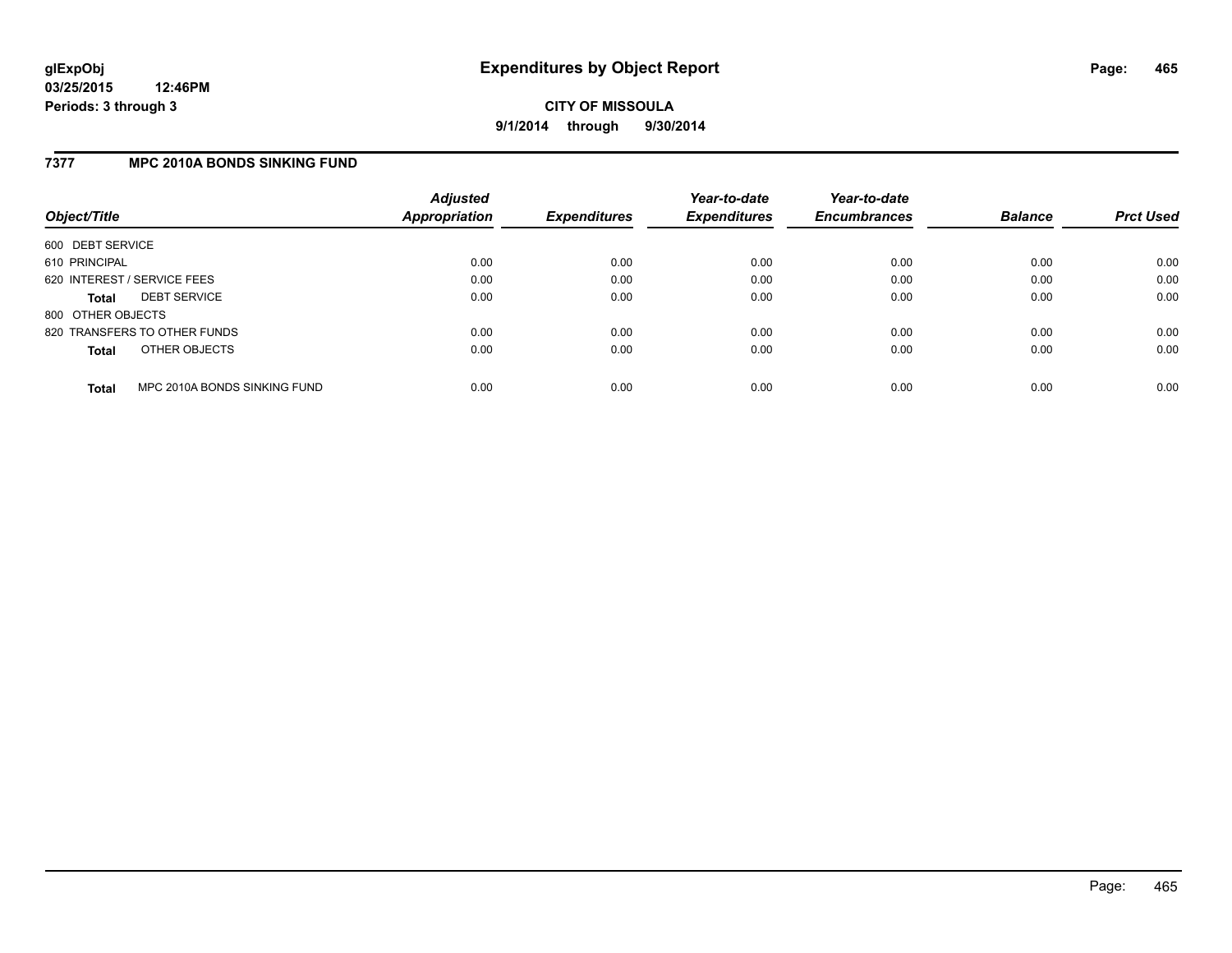## **7377 MPC 2010A BONDS SINKING FUND**

| Object/Title                |                              | <b>Adjusted</b><br><b>Appropriation</b> | <b>Expenditures</b> | Year-to-date<br><b>Expenditures</b> | Year-to-date<br><b>Encumbrances</b> | <b>Balance</b> | <b>Prct Used</b> |
|-----------------------------|------------------------------|-----------------------------------------|---------------------|-------------------------------------|-------------------------------------|----------------|------------------|
| 600 DEBT SERVICE            |                              |                                         |                     |                                     |                                     |                |                  |
| 610 PRINCIPAL               |                              | 0.00                                    | 0.00                | 0.00                                | 0.00                                | 0.00           | 0.00             |
| 620 INTEREST / SERVICE FEES |                              | 0.00                                    | 0.00                | 0.00                                | 0.00                                | 0.00           | 0.00             |
| <b>Total</b>                | <b>DEBT SERVICE</b>          | 0.00                                    | 0.00                | 0.00                                | 0.00                                | 0.00           | 0.00             |
| 800 OTHER OBJECTS           |                              |                                         |                     |                                     |                                     |                |                  |
|                             | 820 TRANSFERS TO OTHER FUNDS | 0.00                                    | 0.00                | 0.00                                | 0.00                                | 0.00           | 0.00             |
| <b>Total</b>                | OTHER OBJECTS                | 0.00                                    | 0.00                | 0.00                                | 0.00                                | 0.00           | 0.00             |
| <b>Total</b>                | MPC 2010A BONDS SINKING FUND | 0.00                                    | 0.00                | 0.00                                | 0.00                                | 0.00           | 0.00             |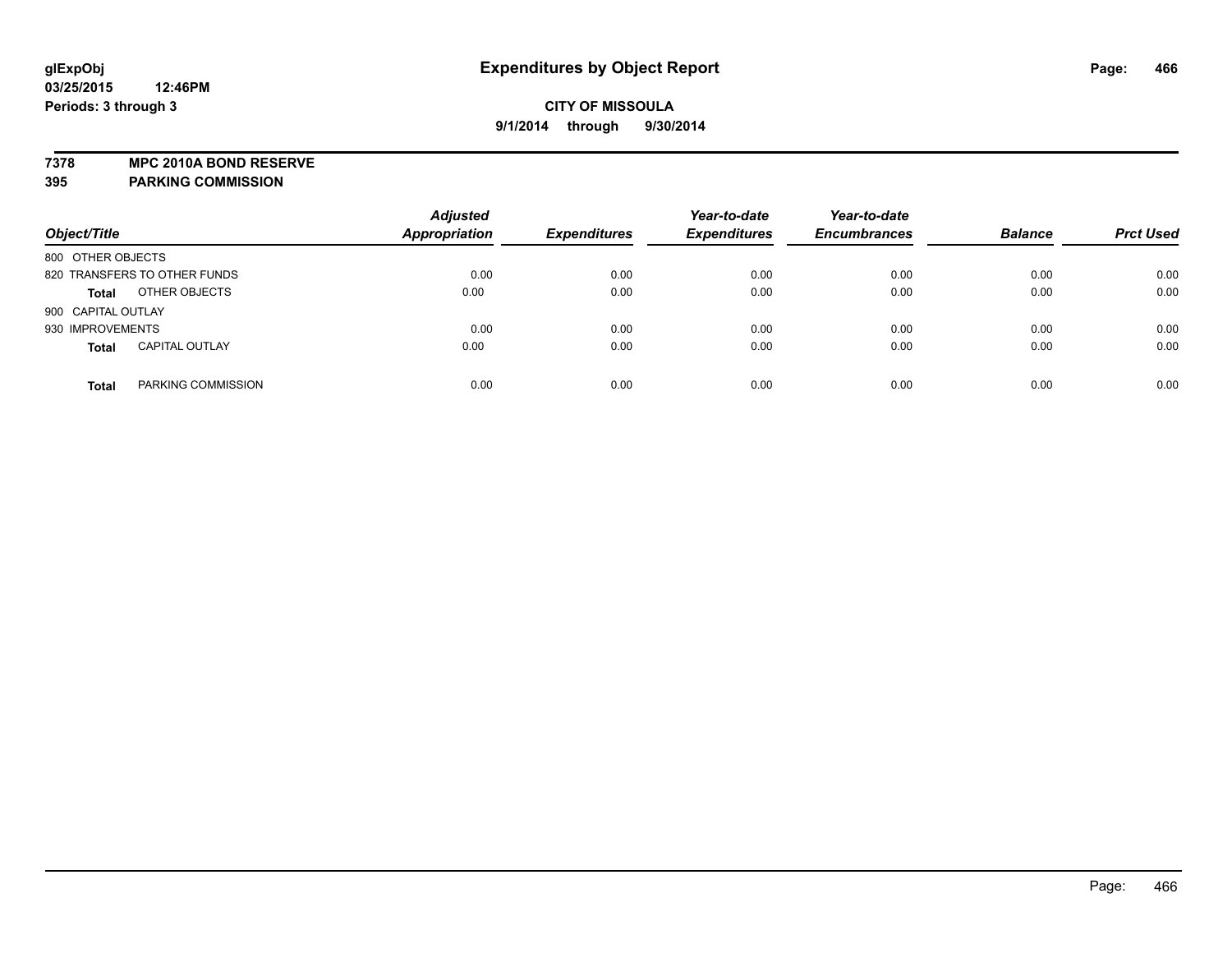**7378 MPC 2010A BOND RESERVE**

|                    |                              | <b>Adjusted</b>      |                     | Year-to-date        | Year-to-date        |                |                  |
|--------------------|------------------------------|----------------------|---------------------|---------------------|---------------------|----------------|------------------|
| Object/Title       |                              | <b>Appropriation</b> | <b>Expenditures</b> | <b>Expenditures</b> | <b>Encumbrances</b> | <b>Balance</b> | <b>Prct Used</b> |
| 800 OTHER OBJECTS  |                              |                      |                     |                     |                     |                |                  |
|                    | 820 TRANSFERS TO OTHER FUNDS | 0.00                 | 0.00                | 0.00                | 0.00                | 0.00           | 0.00             |
| <b>Total</b>       | OTHER OBJECTS                | 0.00                 | 0.00                | 0.00                | 0.00                | 0.00           | 0.00             |
| 900 CAPITAL OUTLAY |                              |                      |                     |                     |                     |                |                  |
| 930 IMPROVEMENTS   |                              | 0.00                 | 0.00                | 0.00                | 0.00                | 0.00           | 0.00             |
| <b>Total</b>       | <b>CAPITAL OUTLAY</b>        | 0.00                 | 0.00                | 0.00                | 0.00                | 0.00           | 0.00             |
| <b>Total</b>       | PARKING COMMISSION           | 0.00                 | 0.00                | 0.00                | 0.00                | 0.00           | 0.00             |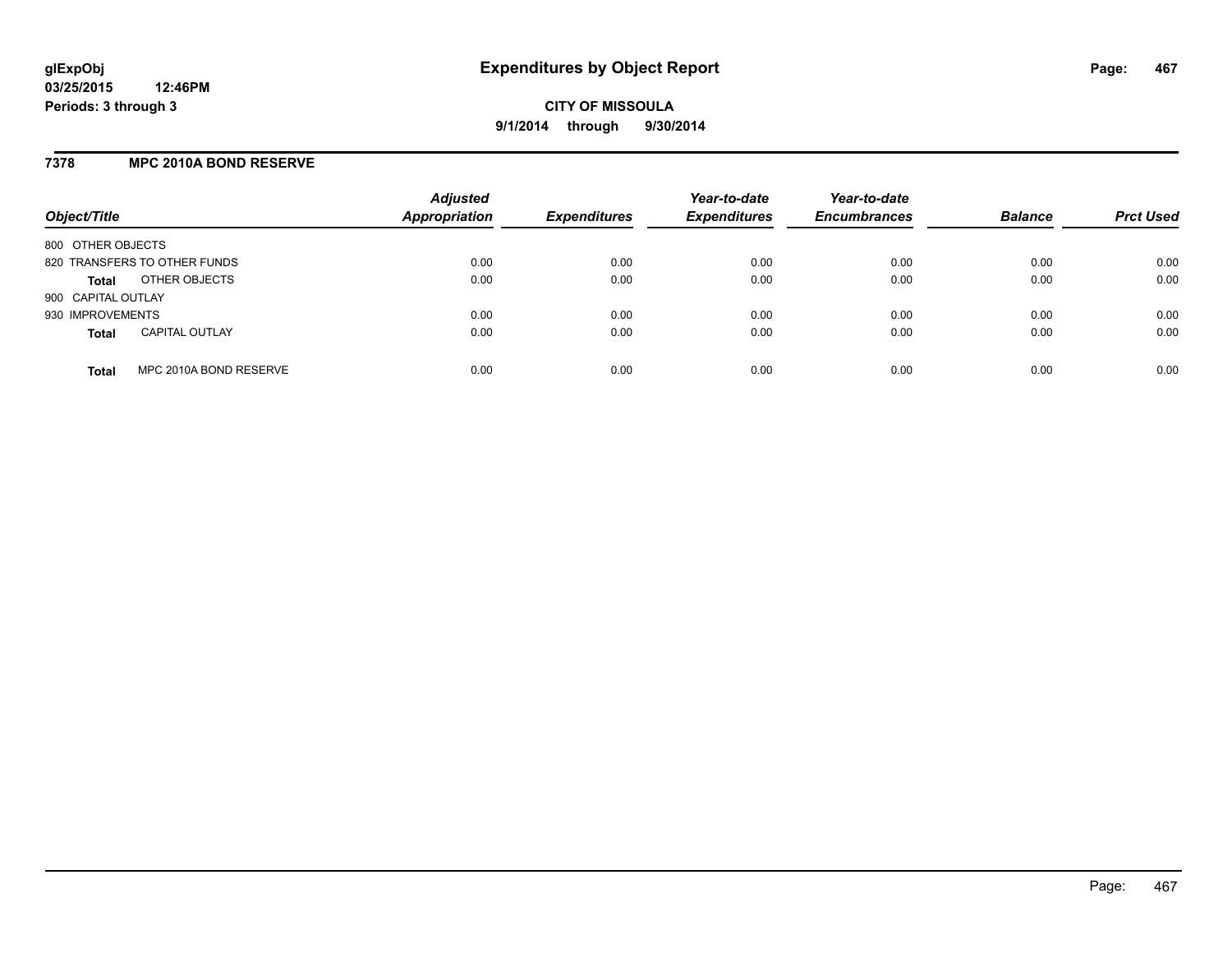## **7378 MPC 2010A BOND RESERVE**

| Object/Title                           | <b>Adjusted</b><br><b>Appropriation</b> | <b>Expenditures</b> | Year-to-date<br><b>Expenditures</b> | Year-to-date<br><b>Encumbrances</b> | <b>Balance</b> | <b>Prct Used</b> |
|----------------------------------------|-----------------------------------------|---------------------|-------------------------------------|-------------------------------------|----------------|------------------|
| 800 OTHER OBJECTS                      |                                         |                     |                                     |                                     |                |                  |
| 820 TRANSFERS TO OTHER FUNDS           | 0.00                                    | 0.00                | 0.00                                | 0.00                                | 0.00           | 0.00             |
| OTHER OBJECTS<br><b>Total</b>          | 0.00                                    | 0.00                | 0.00                                | 0.00                                | 0.00           | 0.00             |
| 900 CAPITAL OUTLAY                     |                                         |                     |                                     |                                     |                |                  |
| 930 IMPROVEMENTS                       | 0.00                                    | 0.00                | 0.00                                | 0.00                                | 0.00           | 0.00             |
| <b>CAPITAL OUTLAY</b><br><b>Total</b>  | 0.00                                    | 0.00                | 0.00                                | 0.00                                | 0.00           | 0.00             |
| MPC 2010A BOND RESERVE<br><b>Total</b> | 0.00                                    | 0.00                | 0.00                                | 0.00                                | 0.00           | 0.00             |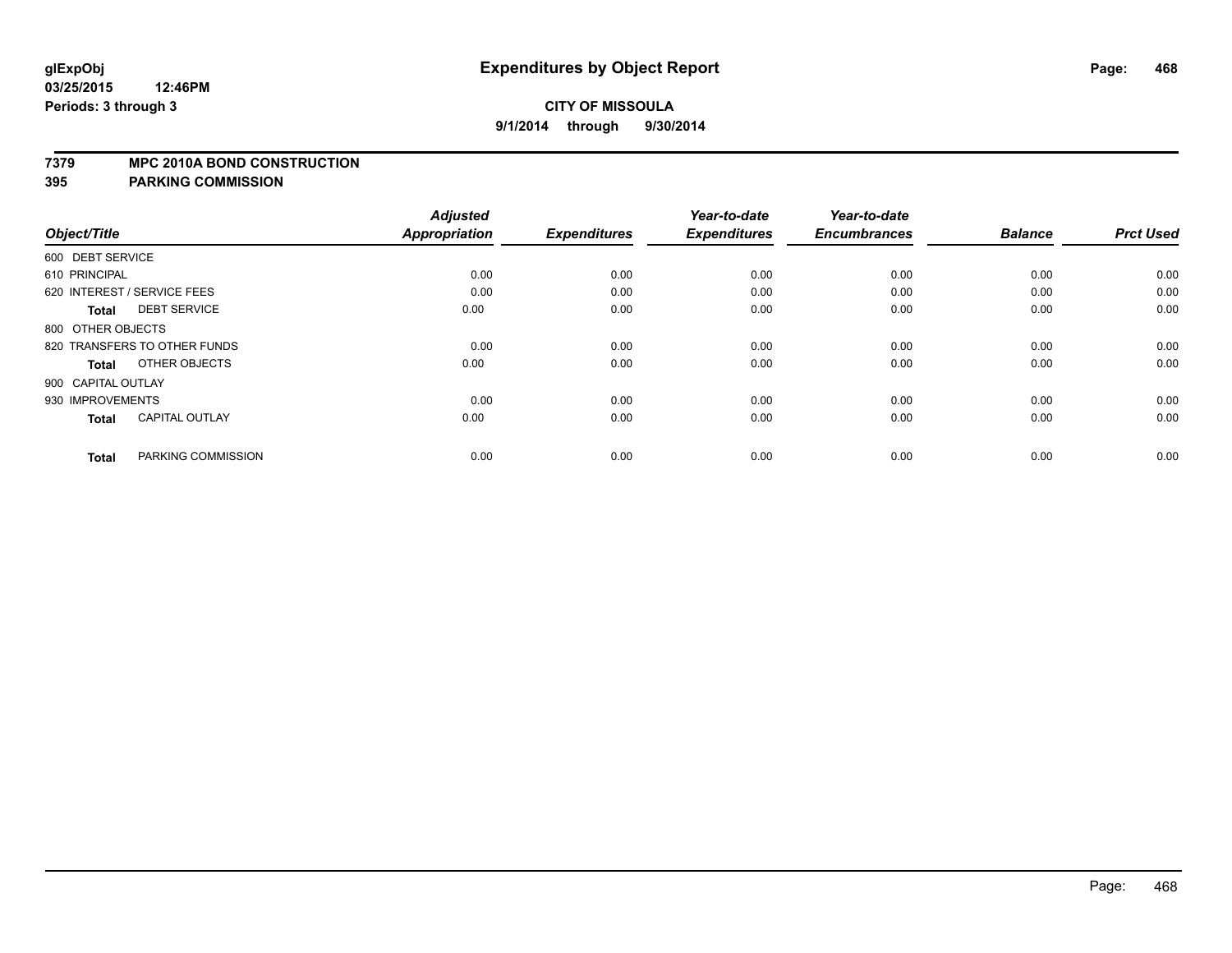#### **7379 MPC 2010A BOND CONSTRUCTION**

| Object/Title       |                              | <b>Adjusted</b><br><b>Appropriation</b> | <b>Expenditures</b> | Year-to-date<br><b>Expenditures</b> | Year-to-date<br><b>Encumbrances</b> | <b>Balance</b> | <b>Prct Used</b> |
|--------------------|------------------------------|-----------------------------------------|---------------------|-------------------------------------|-------------------------------------|----------------|------------------|
| 600 DEBT SERVICE   |                              |                                         |                     |                                     |                                     |                |                  |
| 610 PRINCIPAL      |                              | 0.00                                    | 0.00                | 0.00                                | 0.00                                | 0.00           | 0.00             |
|                    | 620 INTEREST / SERVICE FEES  | 0.00                                    | 0.00                | 0.00                                | 0.00                                | 0.00           | 0.00             |
| <b>Total</b>       | <b>DEBT SERVICE</b>          | 0.00                                    | 0.00                | 0.00                                | 0.00                                | 0.00           | 0.00             |
| 800 OTHER OBJECTS  |                              |                                         |                     |                                     |                                     |                |                  |
|                    | 820 TRANSFERS TO OTHER FUNDS | 0.00                                    | 0.00                | 0.00                                | 0.00                                | 0.00           | 0.00             |
| <b>Total</b>       | OTHER OBJECTS                | 0.00                                    | 0.00                | 0.00                                | 0.00                                | 0.00           | 0.00             |
| 900 CAPITAL OUTLAY |                              |                                         |                     |                                     |                                     |                |                  |
| 930 IMPROVEMENTS   |                              | 0.00                                    | 0.00                | 0.00                                | 0.00                                | 0.00           | 0.00             |
| <b>Total</b>       | <b>CAPITAL OUTLAY</b>        | 0.00                                    | 0.00                | 0.00                                | 0.00                                | 0.00           | 0.00             |
| <b>Total</b>       | PARKING COMMISSION           | 0.00                                    | 0.00                | 0.00                                | 0.00                                | 0.00           | 0.00             |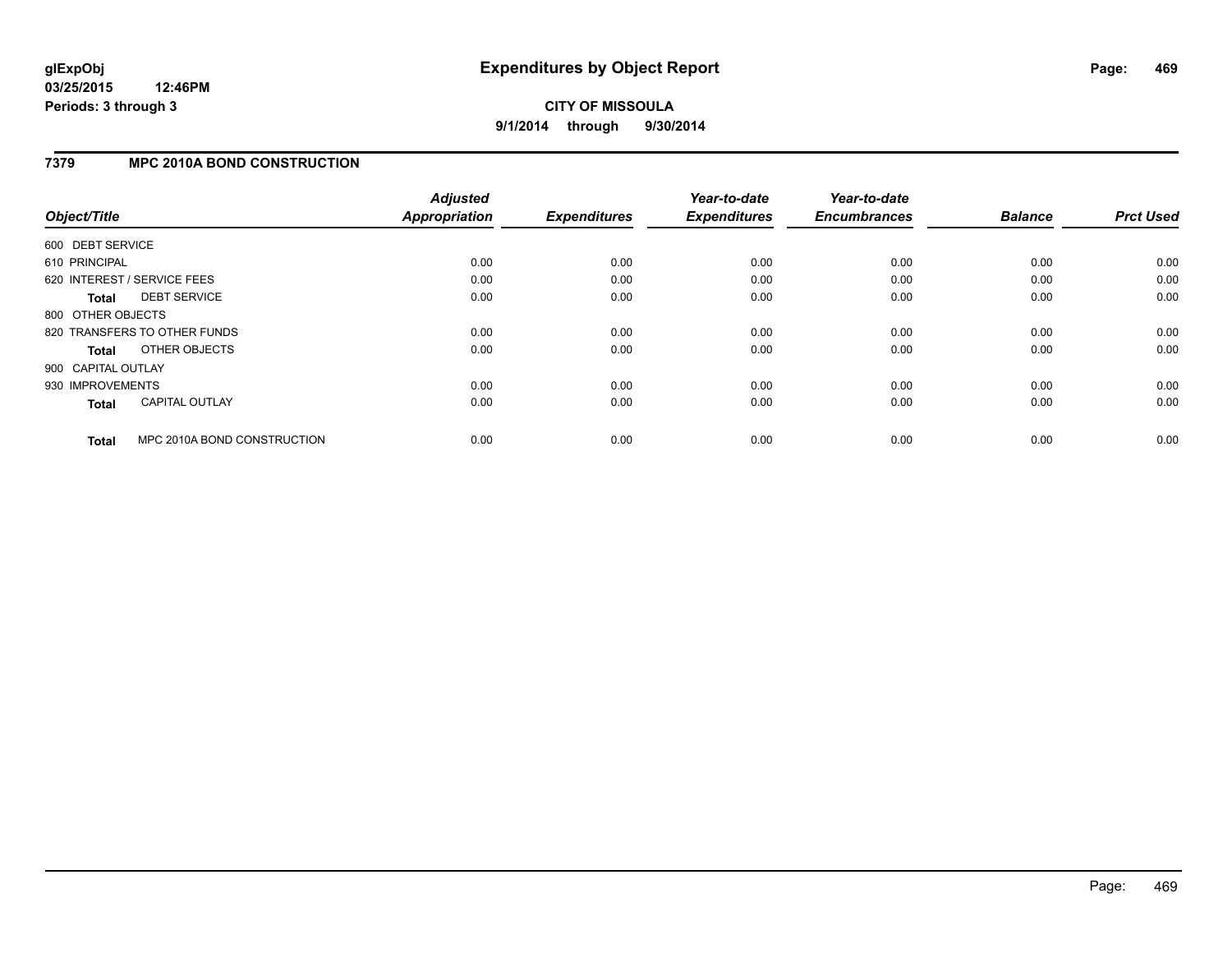# **CITY OF MISSOULA 9/1/2014 through 9/30/2014**

### **7379 MPC 2010A BOND CONSTRUCTION**

| Object/Title       |                              | <b>Adjusted</b><br><b>Appropriation</b> | <b>Expenditures</b> | Year-to-date<br><b>Expenditures</b> | Year-to-date<br><b>Encumbrances</b> | <b>Balance</b> | <b>Prct Used</b> |
|--------------------|------------------------------|-----------------------------------------|---------------------|-------------------------------------|-------------------------------------|----------------|------------------|
|                    |                              |                                         |                     |                                     |                                     |                |                  |
| 600 DEBT SERVICE   |                              |                                         |                     |                                     |                                     |                |                  |
| 610 PRINCIPAL      |                              | 0.00                                    | 0.00                | 0.00                                | 0.00                                | 0.00           | 0.00             |
|                    | 620 INTEREST / SERVICE FEES  | 0.00                                    | 0.00                | 0.00                                | 0.00                                | 0.00           | 0.00             |
| <b>Total</b>       | <b>DEBT SERVICE</b>          | 0.00                                    | 0.00                | 0.00                                | 0.00                                | 0.00           | 0.00             |
| 800 OTHER OBJECTS  |                              |                                         |                     |                                     |                                     |                |                  |
|                    | 820 TRANSFERS TO OTHER FUNDS | 0.00                                    | 0.00                | 0.00                                | 0.00                                | 0.00           | 0.00             |
| Total              | OTHER OBJECTS                | 0.00                                    | 0.00                | 0.00                                | 0.00                                | 0.00           | 0.00             |
| 900 CAPITAL OUTLAY |                              |                                         |                     |                                     |                                     |                |                  |
| 930 IMPROVEMENTS   |                              | 0.00                                    | 0.00                | 0.00                                | 0.00                                | 0.00           | 0.00             |
| <b>Total</b>       | <b>CAPITAL OUTLAY</b>        | 0.00                                    | 0.00                | 0.00                                | 0.00                                | 0.00           | 0.00             |
|                    |                              |                                         |                     |                                     |                                     |                |                  |
| <b>Total</b>       | MPC 2010A BOND CONSTRUCTION  | 0.00                                    | 0.00                | 0.00                                | 0.00                                | 0.00           | 0.00             |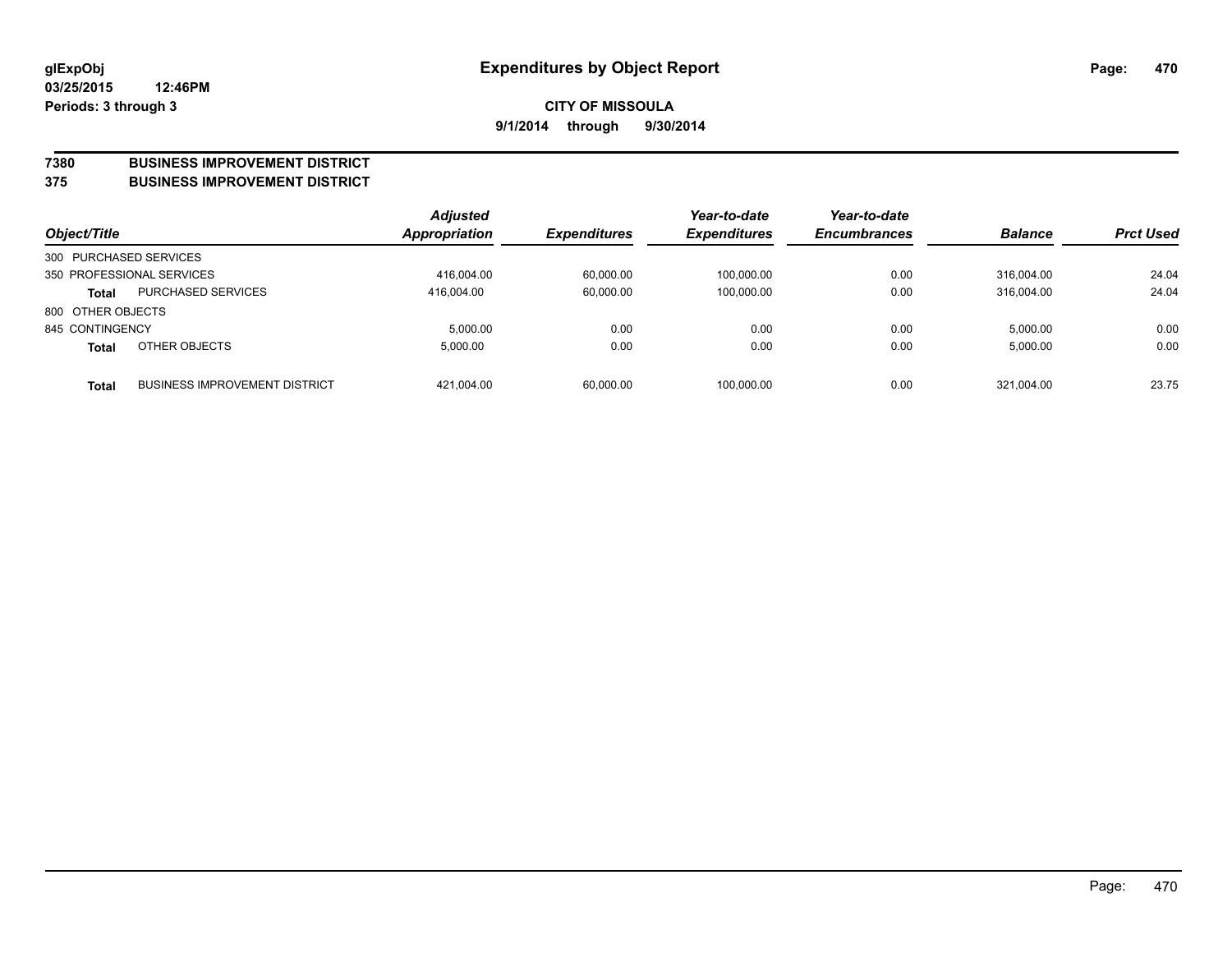#### **7380 BUSINESS IMPROVEMENT DISTRICT**

**375 BUSINESS IMPROVEMENT DISTRICT**

| Object/Title           |                                      | <b>Adjusted</b><br>Appropriation | <b>Expenditures</b> | Year-to-date<br><b>Expenditures</b> | Year-to-date<br><b>Encumbrances</b> | <b>Balance</b> | <b>Prct Used</b> |
|------------------------|--------------------------------------|----------------------------------|---------------------|-------------------------------------|-------------------------------------|----------------|------------------|
| 300 PURCHASED SERVICES |                                      |                                  |                     |                                     |                                     |                |                  |
|                        | 350 PROFESSIONAL SERVICES            | 416.004.00                       | 60.000.00           | 100.000.00                          | 0.00                                | 316.004.00     | 24.04            |
| <b>Total</b>           | <b>PURCHASED SERVICES</b>            | 416.004.00                       | 60,000.00           | 100,000.00                          | 0.00                                | 316.004.00     | 24.04            |
| 800 OTHER OBJECTS      |                                      |                                  |                     |                                     |                                     |                |                  |
| 845 CONTINGENCY        |                                      | 5.000.00                         | 0.00                | 0.00                                | 0.00                                | 5.000.00       | 0.00             |
| <b>Total</b>           | OTHER OBJECTS                        | 5.000.00                         | 0.00                | 0.00                                | 0.00                                | 5,000.00       | 0.00             |
| <b>Total</b>           | <b>BUSINESS IMPROVEMENT DISTRICT</b> | 421.004.00                       | 60,000.00           | 100,000.00                          | 0.00                                | 321.004.00     | 23.75            |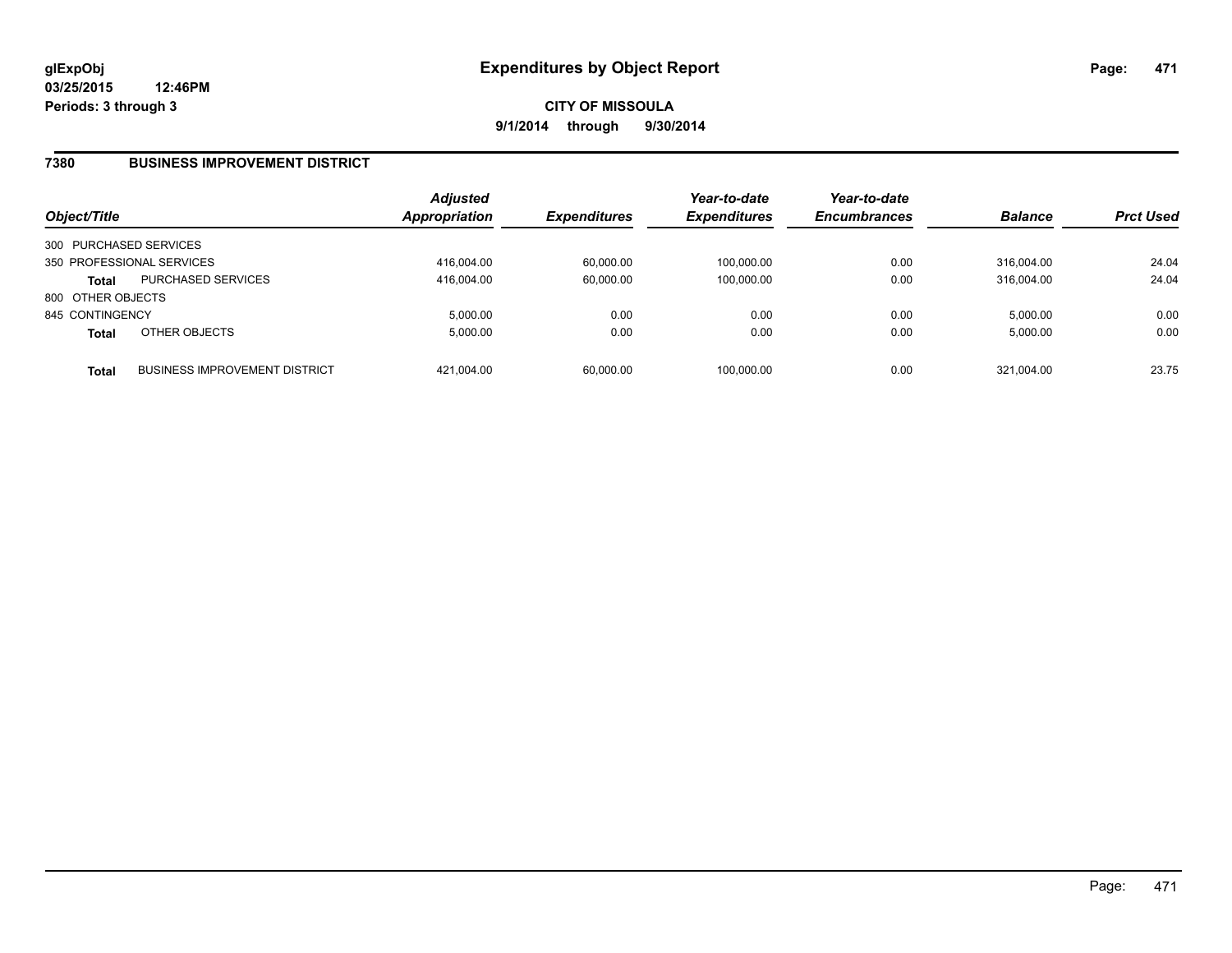### **7380 BUSINESS IMPROVEMENT DISTRICT**

| Object/Title           |                                      | <b>Adjusted</b><br>Appropriation | <b>Expenditures</b> | Year-to-date<br><b>Expenditures</b> | Year-to-date<br><b>Encumbrances</b> | <b>Balance</b> | <b>Prct Used</b> |
|------------------------|--------------------------------------|----------------------------------|---------------------|-------------------------------------|-------------------------------------|----------------|------------------|
| 300 PURCHASED SERVICES |                                      |                                  |                     |                                     |                                     |                |                  |
|                        | 350 PROFESSIONAL SERVICES            | 416.004.00                       | 60,000.00           | 100.000.00                          | 0.00                                | 316.004.00     | 24.04            |
| <b>Total</b>           | <b>PURCHASED SERVICES</b>            | 416.004.00                       | 60,000.00           | 100.000.00                          | 0.00                                | 316.004.00     | 24.04            |
| 800 OTHER OBJECTS      |                                      |                                  |                     |                                     |                                     |                |                  |
| 845 CONTINGENCY        |                                      | 5.000.00                         | 0.00                | 0.00                                | 0.00                                | 5.000.00       | 0.00             |
| <b>Total</b>           | OTHER OBJECTS                        | 5,000.00                         | 0.00                | 0.00                                | 0.00                                | 5,000.00       | 0.00             |
| <b>Total</b>           | <b>BUSINESS IMPROVEMENT DISTRICT</b> | 421.004.00                       | 60,000.00           | 100,000.00                          | 0.00                                | 321.004.00     | 23.75            |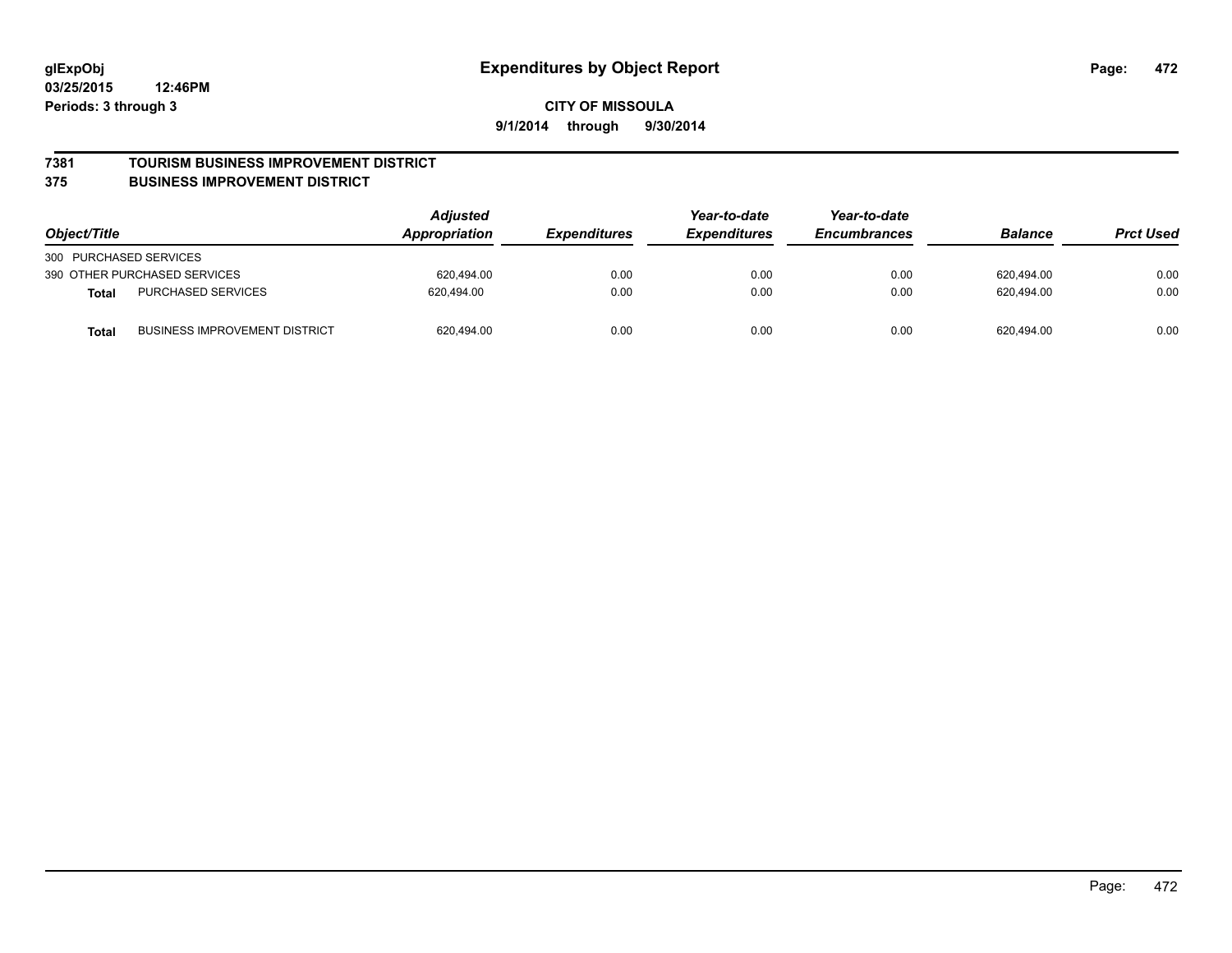#### **7381 TOURISM BUSINESS IMPROVEMENT DISTRICT**

#### **375 BUSINESS IMPROVEMENT DISTRICT**

| Object/Title                                         | <b>Adjusted</b><br>Year-to-date<br>Appropriation<br><b>Expenditures</b><br><i><b>Expenditures</b></i> |      | Year-to-date<br><b>Encumbrances</b> | <b>Balance</b> | <b>Prct Used</b> |      |
|------------------------------------------------------|-------------------------------------------------------------------------------------------------------|------|-------------------------------------|----------------|------------------|------|
| 300 PURCHASED SERVICES                               |                                                                                                       |      |                                     |                |                  |      |
| 390 OTHER PURCHASED SERVICES                         | 620.494.00                                                                                            | 0.00 | 0.00                                | 0.00           | 620,494.00       | 0.00 |
| <b>PURCHASED SERVICES</b><br><b>Total</b>            | 620.494.00                                                                                            | 0.00 | 0.00                                | 0.00           | 620.494.00       | 0.00 |
| <b>BUSINESS IMPROVEMENT DISTRICT</b><br><b>Total</b> | 620,494.00                                                                                            | 0.00 | 0.00                                | 0.00           | 620,494.00       | 0.00 |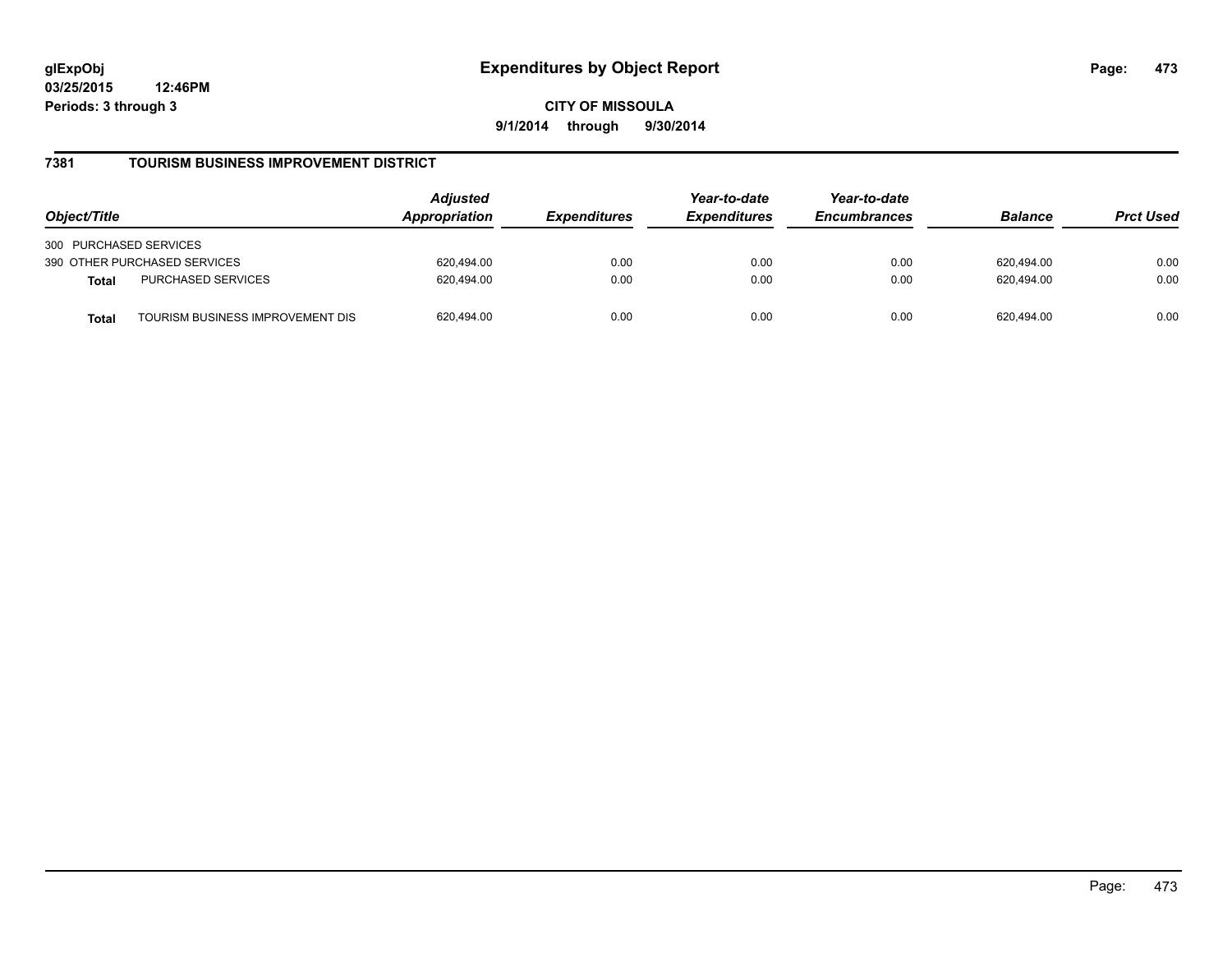**CITY OF MISSOULA 9/1/2014 through 9/30/2014**

### **7381 TOURISM BUSINESS IMPROVEMENT DISTRICT**

| Object/Title                                     | <b>Adjusted</b><br>Appropriation<br><i><b>Expenditures</b></i> | Year-to-date<br><b>Expenditures</b> | Year-to-date<br><b>Encumbrances</b> | <b>Balance</b> | <b>Prct Used</b> |      |
|--------------------------------------------------|----------------------------------------------------------------|-------------------------------------|-------------------------------------|----------------|------------------|------|
| 300 PURCHASED SERVICES                           |                                                                |                                     |                                     |                |                  |      |
| 390 OTHER PURCHASED SERVICES                     | 620.494.00                                                     | 0.00                                | 0.00                                | 0.00           | 620.494.00       | 0.00 |
| PURCHASED SERVICES<br><b>Total</b>               | 620.494.00                                                     | 0.00                                | 0.00                                | 0.00           | 620.494.00       | 0.00 |
| TOURISM BUSINESS IMPROVEMENT DIS<br><b>Total</b> | 620,494.00                                                     | 0.00                                | 0.00                                | 0.00           | 620.494.00       | 0.00 |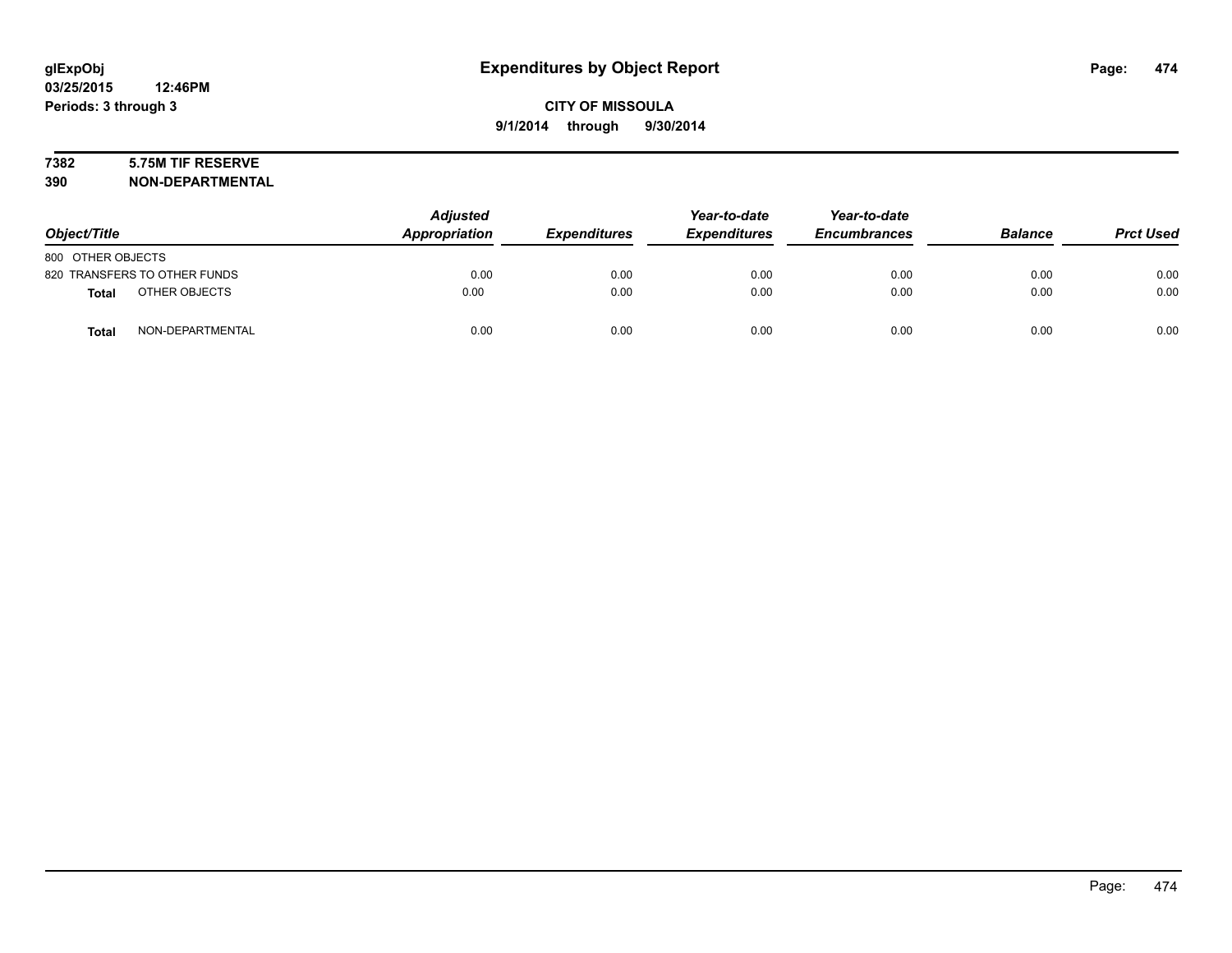# **7382 5.75M TIF RESERVE**

| Object/Title                     | <b>Adjusted</b><br>Appropriation | <b>Expenditures</b> | Year-to-date<br><b>Expenditures</b> | Year-to-date<br><b>Encumbrances</b> | <b>Balance</b> | <b>Prct Used</b> |
|----------------------------------|----------------------------------|---------------------|-------------------------------------|-------------------------------------|----------------|------------------|
| 800 OTHER OBJECTS                |                                  |                     |                                     |                                     |                |                  |
| 820 TRANSFERS TO OTHER FUNDS     | 0.00                             | 0.00                | 0.00                                | 0.00                                | 0.00           | 0.00             |
| OTHER OBJECTS<br><b>Total</b>    | 0.00                             | 0.00                | 0.00                                | 0.00                                | 0.00           | 0.00             |
| NON-DEPARTMENTAL<br><b>Total</b> | 0.00                             | 0.00                | 0.00                                | 0.00                                | 0.00           | 0.00             |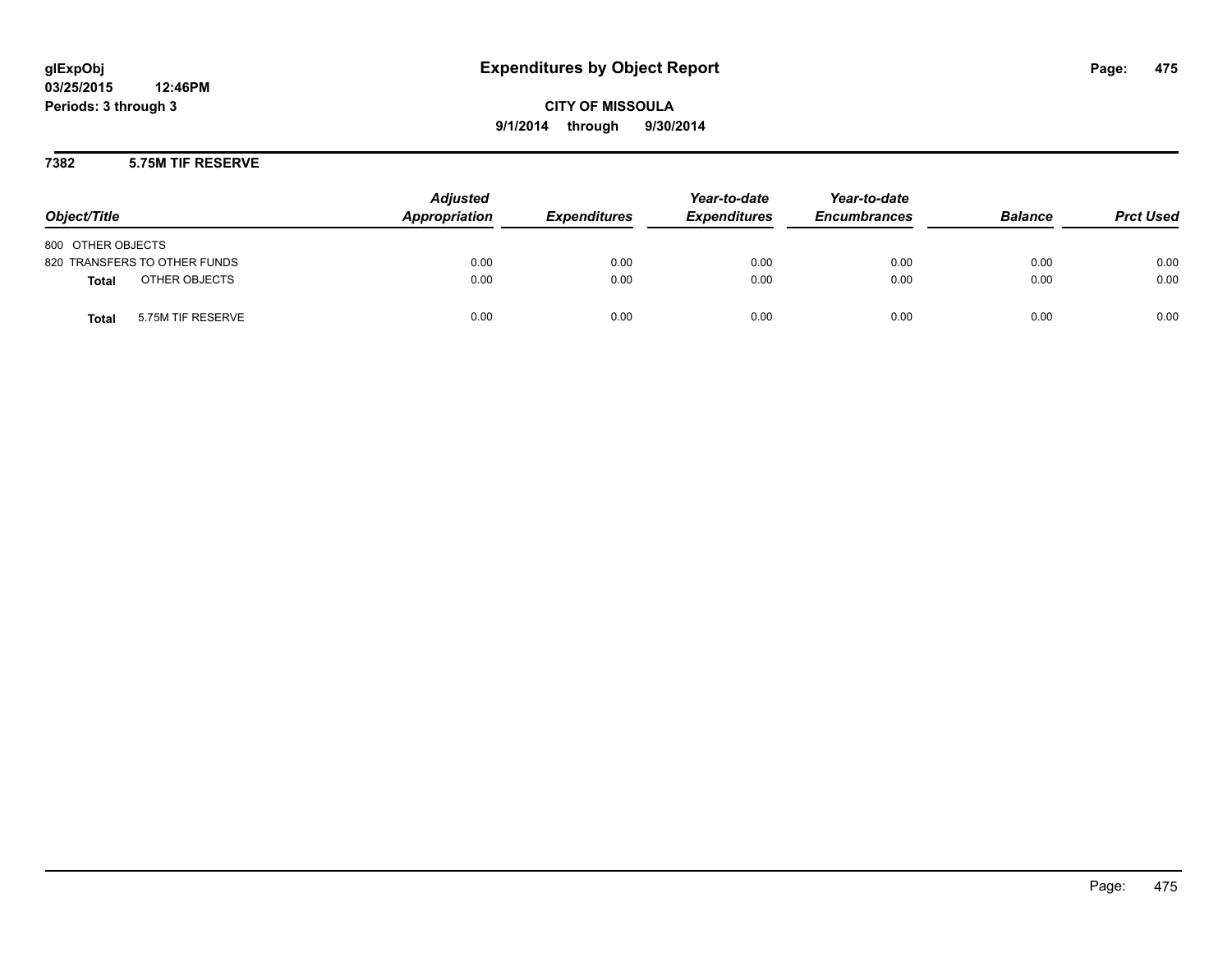#### **7382 5.75M TIF RESERVE**

| Object/Title                      | <b>Adjusted</b><br>Appropriation | <b>Expenditures</b> | Year-to-date<br><b>Expenditures</b> | Year-to-date<br><b>Encumbrances</b> | <b>Balance</b> | <b>Prct Used</b> |
|-----------------------------------|----------------------------------|---------------------|-------------------------------------|-------------------------------------|----------------|------------------|
| 800 OTHER OBJECTS                 |                                  |                     |                                     |                                     |                |                  |
| 820 TRANSFERS TO OTHER FUNDS      | 0.00                             | 0.00                | 0.00                                | 0.00                                | 0.00           | 0.00             |
| OTHER OBJECTS<br><b>Total</b>     | 0.00                             | 0.00                | 0.00                                | 0.00                                | 0.00           | 0.00             |
| 5.75M TIF RESERVE<br><b>Total</b> | 0.00                             | 0.00                | 0.00                                | 0.00                                | 0.00           | 0.00             |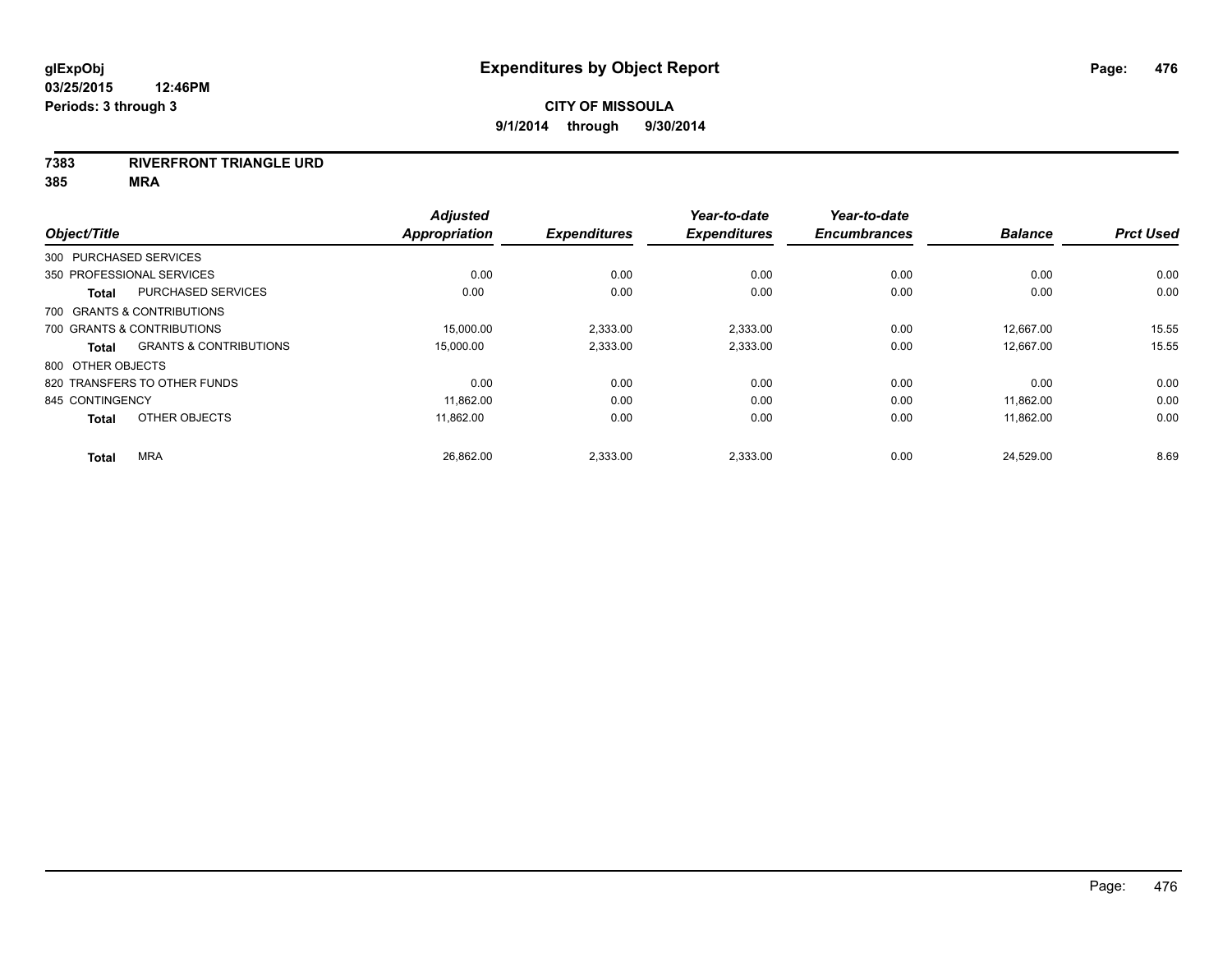#### **7383 RIVERFRONT TRIANGLE URD**

|                        |                                   | <b>Adjusted</b> |                     | Year-to-date        | Year-to-date        |                |                  |
|------------------------|-----------------------------------|-----------------|---------------------|---------------------|---------------------|----------------|------------------|
| Object/Title           |                                   | Appropriation   | <b>Expenditures</b> | <b>Expenditures</b> | <b>Encumbrances</b> | <b>Balance</b> | <b>Prct Used</b> |
| 300 PURCHASED SERVICES |                                   |                 |                     |                     |                     |                |                  |
|                        | 350 PROFESSIONAL SERVICES         | 0.00            | 0.00                | 0.00                | 0.00                | 0.00           | 0.00             |
| <b>Total</b>           | <b>PURCHASED SERVICES</b>         | 0.00            | 0.00                | 0.00                | 0.00                | 0.00           | 0.00             |
|                        | 700 GRANTS & CONTRIBUTIONS        |                 |                     |                     |                     |                |                  |
|                        | 700 GRANTS & CONTRIBUTIONS        | 15,000.00       | 2,333.00            | 2,333.00            | 0.00                | 12,667.00      | 15.55            |
| <b>Total</b>           | <b>GRANTS &amp; CONTRIBUTIONS</b> | 15,000.00       | 2,333.00            | 2,333.00            | 0.00                | 12.667.00      | 15.55            |
| 800 OTHER OBJECTS      |                                   |                 |                     |                     |                     |                |                  |
|                        | 820 TRANSFERS TO OTHER FUNDS      | 0.00            | 0.00                | 0.00                | 0.00                | 0.00           | 0.00             |
| 845 CONTINGENCY        |                                   | 11,862.00       | 0.00                | 0.00                | 0.00                | 11,862.00      | 0.00             |
| <b>Total</b>           | OTHER OBJECTS                     | 11.862.00       | 0.00                | 0.00                | 0.00                | 11.862.00      | 0.00             |
| <b>Total</b>           | <b>MRA</b>                        | 26,862.00       | 2,333.00            | 2,333.00            | 0.00                | 24,529.00      | 8.69             |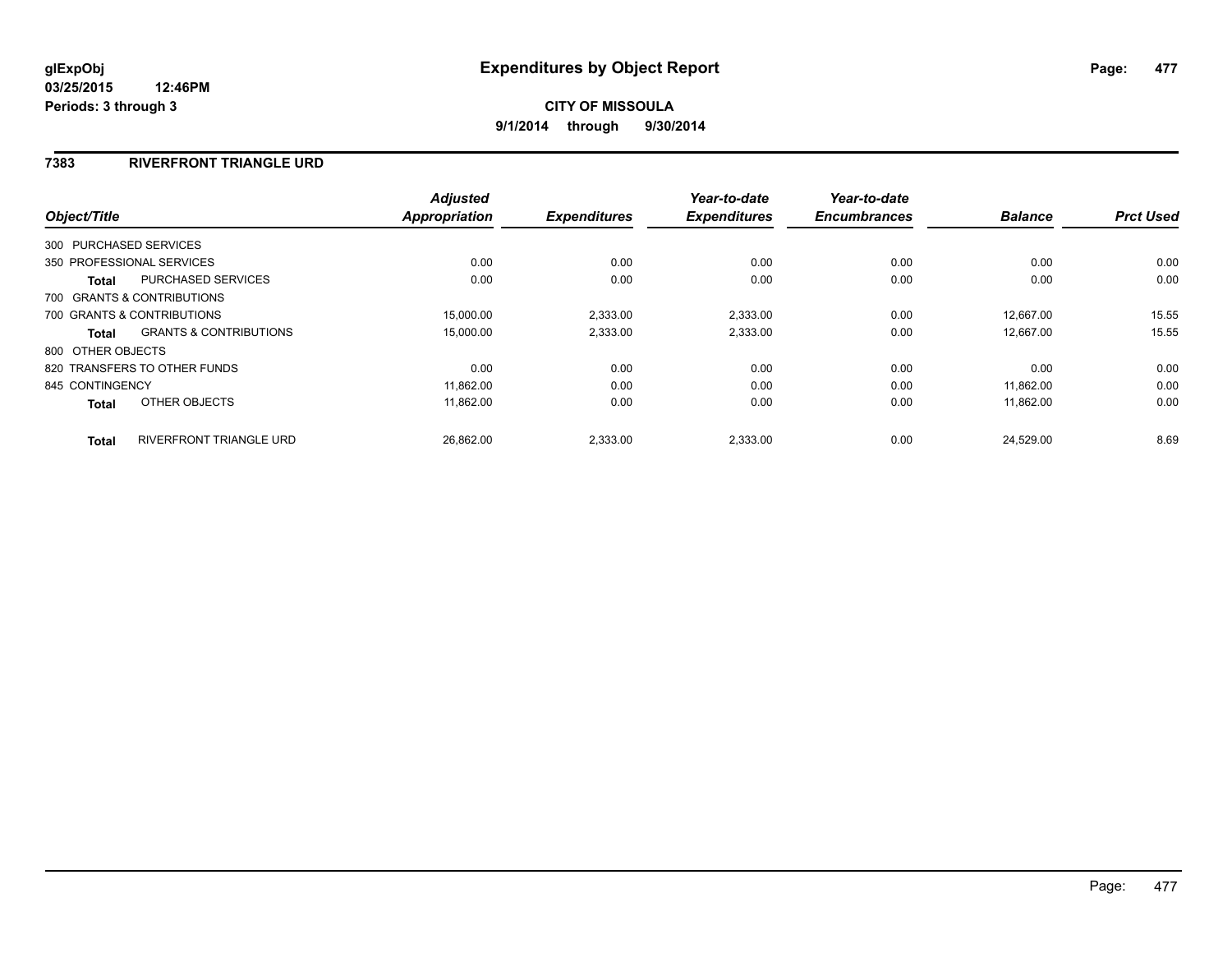### **7383 RIVERFRONT TRIANGLE URD**

| Object/Title      |                                   | <b>Adjusted</b><br>Appropriation | <b>Expenditures</b> | Year-to-date<br><b>Expenditures</b> | Year-to-date<br><b>Encumbrances</b> | <b>Balance</b> | <b>Prct Used</b> |
|-------------------|-----------------------------------|----------------------------------|---------------------|-------------------------------------|-------------------------------------|----------------|------------------|
|                   | 300 PURCHASED SERVICES            |                                  |                     |                                     |                                     |                |                  |
|                   | 350 PROFESSIONAL SERVICES         | 0.00                             | 0.00                | 0.00                                | 0.00                                | 0.00           | 0.00             |
|                   |                                   |                                  |                     |                                     |                                     |                |                  |
| <b>Total</b>      | <b>PURCHASED SERVICES</b>         | 0.00                             | 0.00                | 0.00                                | 0.00                                | 0.00           | 0.00             |
|                   | 700 GRANTS & CONTRIBUTIONS        |                                  |                     |                                     |                                     |                |                  |
|                   | 700 GRANTS & CONTRIBUTIONS        | 15.000.00                        | 2,333.00            | 2,333.00                            | 0.00                                | 12.667.00      | 15.55            |
| Total             | <b>GRANTS &amp; CONTRIBUTIONS</b> | 15,000.00                        | 2,333.00            | 2,333.00                            | 0.00                                | 12,667.00      | 15.55            |
| 800 OTHER OBJECTS |                                   |                                  |                     |                                     |                                     |                |                  |
|                   | 820 TRANSFERS TO OTHER FUNDS      | 0.00                             | 0.00                | 0.00                                | 0.00                                | 0.00           | 0.00             |
| 845 CONTINGENCY   |                                   | 11.862.00                        | 0.00                | 0.00                                | 0.00                                | 11.862.00      | 0.00             |
| <b>Total</b>      | OTHER OBJECTS                     | 11,862.00                        | 0.00                | 0.00                                | 0.00                                | 11,862.00      | 0.00             |
| <b>Total</b>      | <b>RIVERFRONT TRIANGLE URD</b>    | 26.862.00                        | 2.333.00            | 2.333.00                            | 0.00                                | 24.529.00      | 8.69             |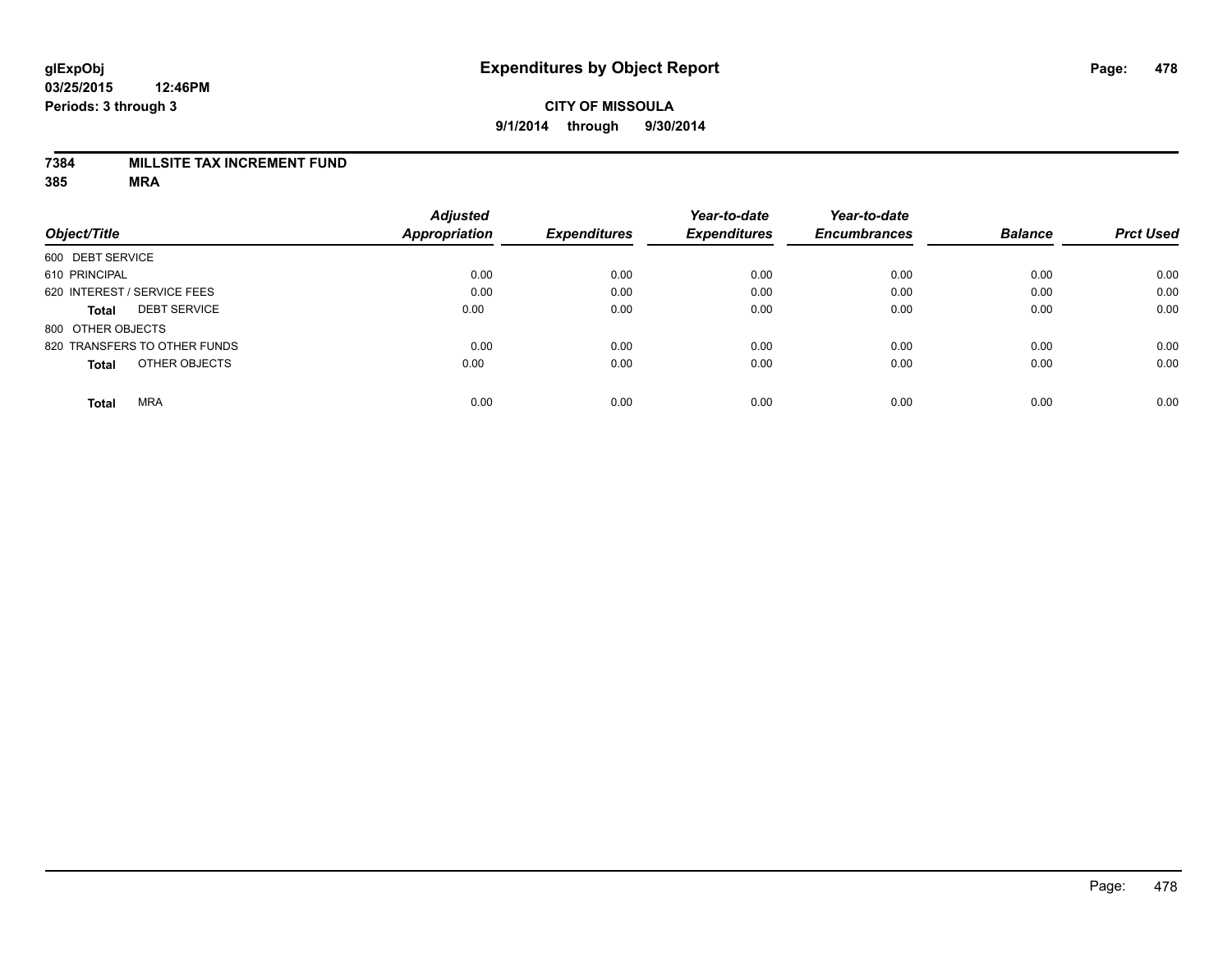#### **7384 MILLSITE TAX INCREMENT FUND**

|                                     | <b>Adjusted</b>      |                     | Year-to-date        | Year-to-date        |                |                  |
|-------------------------------------|----------------------|---------------------|---------------------|---------------------|----------------|------------------|
| Object/Title                        | <b>Appropriation</b> | <b>Expenditures</b> | <b>Expenditures</b> | <b>Encumbrances</b> | <b>Balance</b> | <b>Prct Used</b> |
| 600 DEBT SERVICE                    |                      |                     |                     |                     |                |                  |
| 610 PRINCIPAL                       | 0.00                 | 0.00                | 0.00                | 0.00                | 0.00           | 0.00             |
| 620 INTEREST / SERVICE FEES         | 0.00                 | 0.00                | 0.00                | 0.00                | 0.00           | 0.00             |
| <b>DEBT SERVICE</b><br><b>Total</b> | 0.00                 | 0.00                | 0.00                | 0.00                | 0.00           | 0.00             |
| 800 OTHER OBJECTS                   |                      |                     |                     |                     |                |                  |
| 820 TRANSFERS TO OTHER FUNDS        | 0.00                 | 0.00                | 0.00                | 0.00                | 0.00           | 0.00             |
| OTHER OBJECTS<br><b>Total</b>       | 0.00                 | 0.00                | 0.00                | 0.00                | 0.00           | 0.00             |
| <b>MRA</b><br><b>Total</b>          | 0.00                 | 0.00                | 0.00                | 0.00                | 0.00           | 0.00             |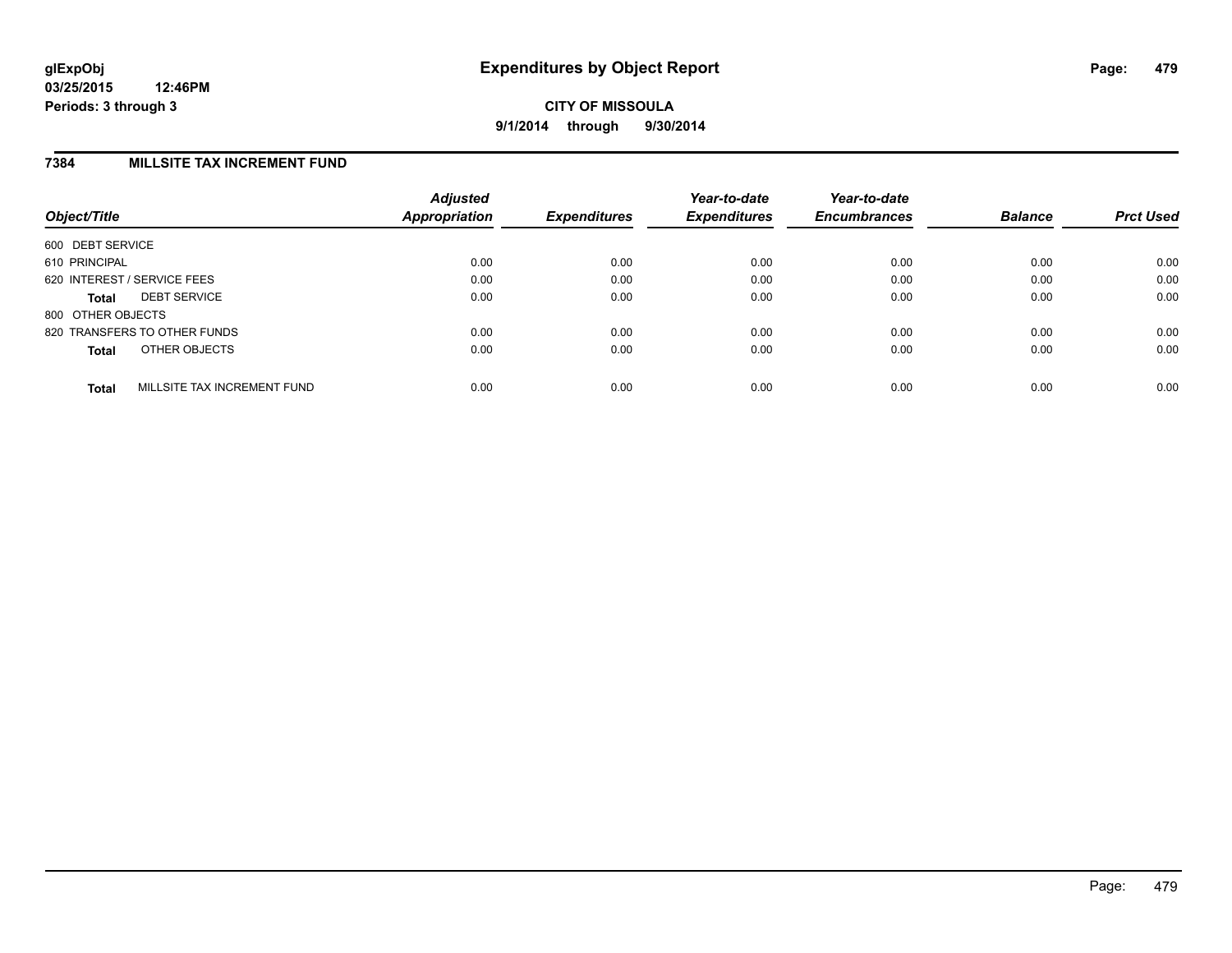### **7384 MILLSITE TAX INCREMENT FUND**

| Object/Title                                | <b>Adjusted</b><br><b>Appropriation</b> | <b>Expenditures</b> | Year-to-date<br><b>Expenditures</b> | Year-to-date<br><b>Encumbrances</b> | <b>Balance</b> | <b>Prct Used</b> |
|---------------------------------------------|-----------------------------------------|---------------------|-------------------------------------|-------------------------------------|----------------|------------------|
| 600 DEBT SERVICE                            |                                         |                     |                                     |                                     |                |                  |
| 610 PRINCIPAL                               | 0.00                                    | 0.00                | 0.00                                | 0.00                                | 0.00           | 0.00             |
| 620 INTEREST / SERVICE FEES                 | 0.00                                    | 0.00                | 0.00                                | 0.00                                | 0.00           | 0.00             |
| <b>DEBT SERVICE</b><br><b>Total</b>         | 0.00                                    | 0.00                | 0.00                                | 0.00                                | 0.00           | 0.00             |
| 800 OTHER OBJECTS                           |                                         |                     |                                     |                                     |                |                  |
| 820 TRANSFERS TO OTHER FUNDS                | 0.00                                    | 0.00                | 0.00                                | 0.00                                | 0.00           | 0.00             |
| OTHER OBJECTS<br><b>Total</b>               | 0.00                                    | 0.00                | 0.00                                | 0.00                                | 0.00           | 0.00             |
| MILLSITE TAX INCREMENT FUND<br><b>Total</b> | 0.00                                    | 0.00                | 0.00                                | 0.00                                | 0.00           | 0.00             |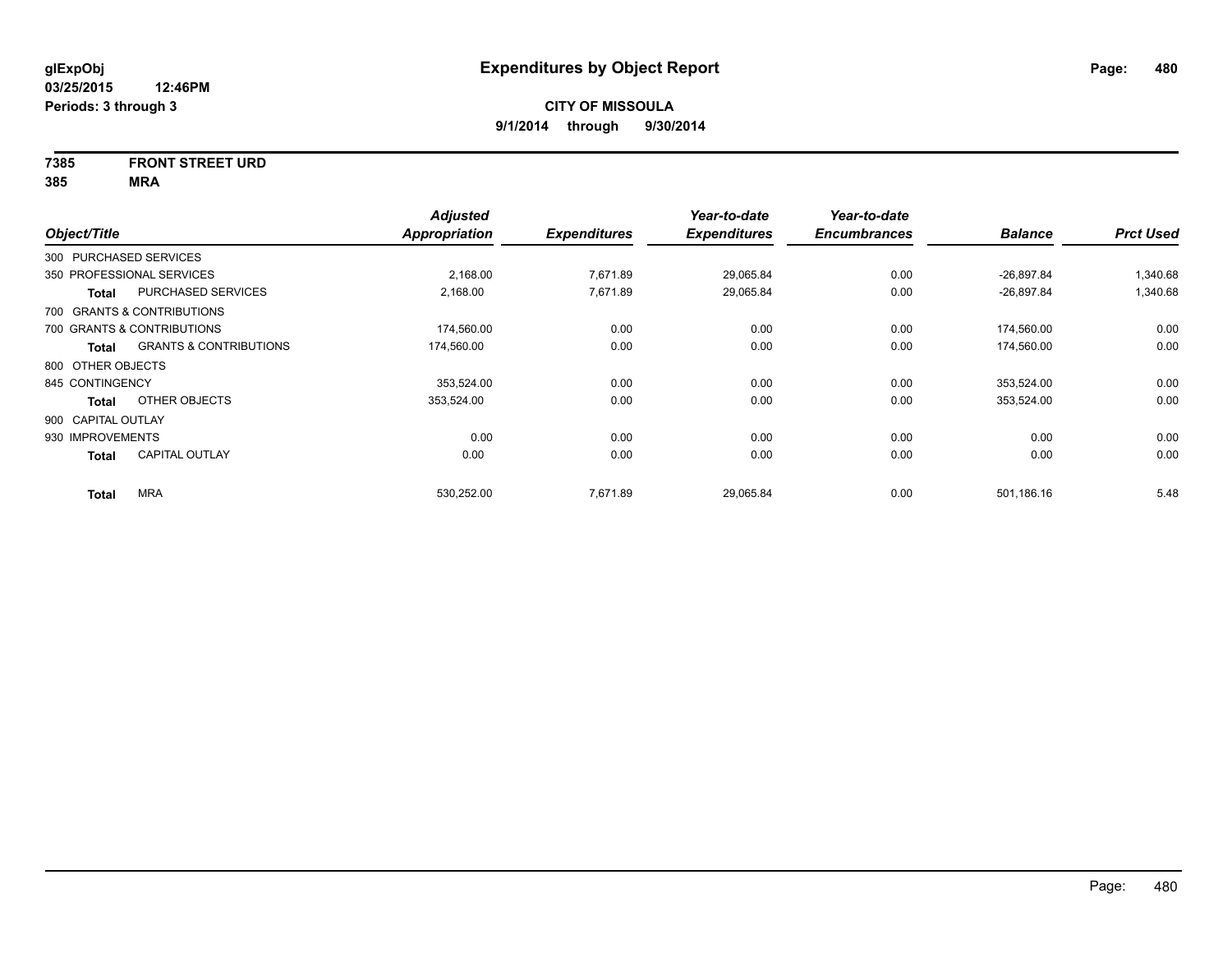# **7385 FRONT STREET URD**

|                    |                                   | <b>Adjusted</b>      |                     | Year-to-date        | Year-to-date        |                |                  |
|--------------------|-----------------------------------|----------------------|---------------------|---------------------|---------------------|----------------|------------------|
| Object/Title       |                                   | <b>Appropriation</b> | <b>Expenditures</b> | <b>Expenditures</b> | <b>Encumbrances</b> | <b>Balance</b> | <b>Prct Used</b> |
|                    | 300 PURCHASED SERVICES            |                      |                     |                     |                     |                |                  |
|                    | 350 PROFESSIONAL SERVICES         | 2,168.00             | 7,671.89            | 29,065.84           | 0.00                | $-26,897.84$   | 1,340.68         |
| Total              | PURCHASED SERVICES                | 2,168.00             | 7,671.89            | 29,065.84           | 0.00                | $-26,897.84$   | 1,340.68         |
|                    | 700 GRANTS & CONTRIBUTIONS        |                      |                     |                     |                     |                |                  |
|                    | 700 GRANTS & CONTRIBUTIONS        | 174,560.00           | 0.00                | 0.00                | 0.00                | 174,560.00     | 0.00             |
| Total              | <b>GRANTS &amp; CONTRIBUTIONS</b> | 174,560.00           | 0.00                | 0.00                | 0.00                | 174,560.00     | 0.00             |
| 800 OTHER OBJECTS  |                                   |                      |                     |                     |                     |                |                  |
| 845 CONTINGENCY    |                                   | 353.524.00           | 0.00                | 0.00                | 0.00                | 353.524.00     | 0.00             |
| Total              | OTHER OBJECTS                     | 353,524.00           | 0.00                | 0.00                | 0.00                | 353,524.00     | 0.00             |
| 900 CAPITAL OUTLAY |                                   |                      |                     |                     |                     |                |                  |
| 930 IMPROVEMENTS   |                                   | 0.00                 | 0.00                | 0.00                | 0.00                | 0.00           | 0.00             |
| <b>Total</b>       | <b>CAPITAL OUTLAY</b>             | 0.00                 | 0.00                | 0.00                | 0.00                | 0.00           | 0.00             |
| <b>Total</b>       | <b>MRA</b>                        | 530,252.00           | 7.671.89            | 29,065.84           | 0.00                | 501,186.16     | 5.48             |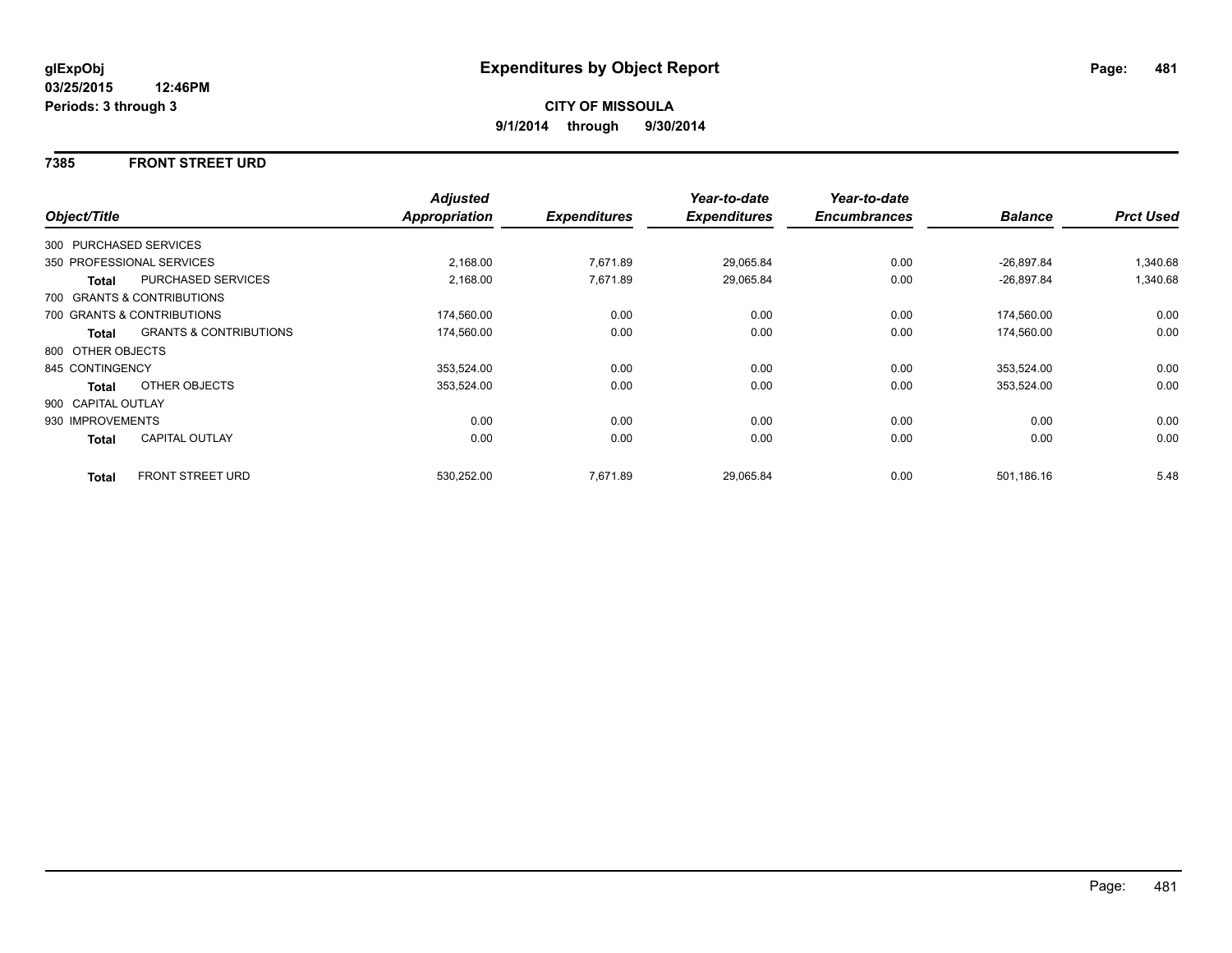#### **7385 FRONT STREET URD**

|                    |                                   | <b>Adjusted</b> |                     | Year-to-date        | Year-to-date        |                |                  |
|--------------------|-----------------------------------|-----------------|---------------------|---------------------|---------------------|----------------|------------------|
| Object/Title       |                                   | Appropriation   | <b>Expenditures</b> | <b>Expenditures</b> | <b>Encumbrances</b> | <b>Balance</b> | <b>Prct Used</b> |
|                    | 300 PURCHASED SERVICES            |                 |                     |                     |                     |                |                  |
|                    | 350 PROFESSIONAL SERVICES         | 2,168.00        | 7,671.89            | 29,065.84           | 0.00                | $-26,897.84$   | 1,340.68         |
| <b>Total</b>       | PURCHASED SERVICES                | 2,168.00        | 7,671.89            | 29,065.84           | 0.00                | $-26,897.84$   | 1,340.68         |
|                    | 700 GRANTS & CONTRIBUTIONS        |                 |                     |                     |                     |                |                  |
|                    | 700 GRANTS & CONTRIBUTIONS        | 174,560.00      | 0.00                | 0.00                | 0.00                | 174,560.00     | 0.00             |
| Total              | <b>GRANTS &amp; CONTRIBUTIONS</b> | 174,560.00      | 0.00                | 0.00                | 0.00                | 174,560.00     | 0.00             |
| 800 OTHER OBJECTS  |                                   |                 |                     |                     |                     |                |                  |
| 845 CONTINGENCY    |                                   | 353,524.00      | 0.00                | 0.00                | 0.00                | 353,524.00     | 0.00             |
| Total              | OTHER OBJECTS                     | 353,524.00      | 0.00                | 0.00                | 0.00                | 353,524.00     | 0.00             |
| 900 CAPITAL OUTLAY |                                   |                 |                     |                     |                     |                |                  |
| 930 IMPROVEMENTS   |                                   | 0.00            | 0.00                | 0.00                | 0.00                | 0.00           | 0.00             |
| Total              | <b>CAPITAL OUTLAY</b>             | 0.00            | 0.00                | 0.00                | 0.00                | 0.00           | 0.00             |
| <b>Total</b>       | FRONT STREET URD                  | 530,252.00      | 7,671.89            | 29,065.84           | 0.00                | 501,186.16     | 5.48             |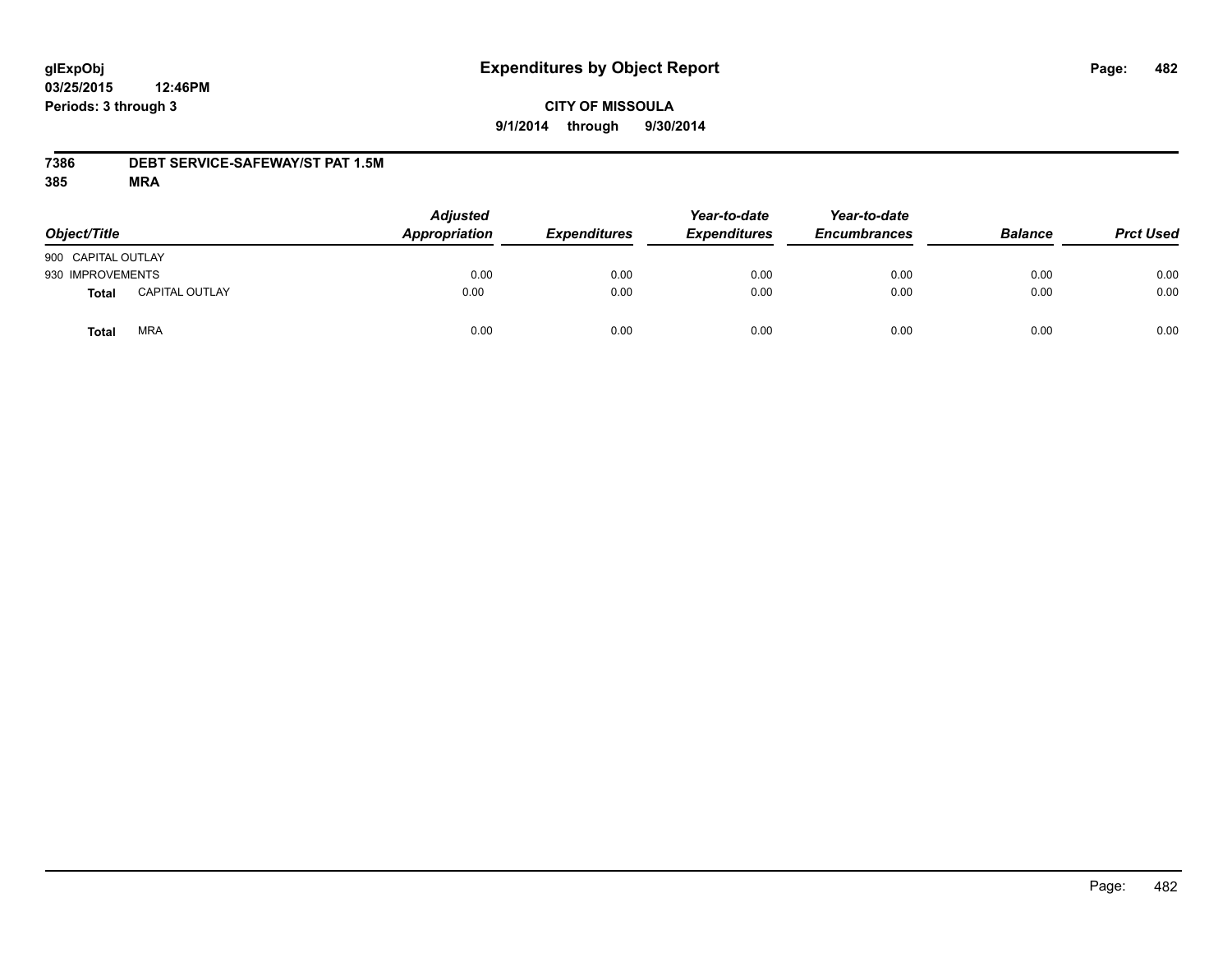# **CITY OF MISSOULA 9/1/2014 through 9/30/2014**

### **7386 DEBT SERVICE-SAFEWAY/ST PAT 1.5M**

| Object/Title       |                       | <b>Adjusted</b><br>Appropriation | <b>Expenditures</b> | Year-to-date<br><b>Expenditures</b> | Year-to-date<br><b>Encumbrances</b> | <b>Balance</b> | <b>Prct Used</b> |
|--------------------|-----------------------|----------------------------------|---------------------|-------------------------------------|-------------------------------------|----------------|------------------|
| 900 CAPITAL OUTLAY |                       |                                  |                     |                                     |                                     |                |                  |
| 930 IMPROVEMENTS   |                       | 0.00                             | 0.00                | 0.00                                | 0.00                                | 0.00           | 0.00             |
| Total              | <b>CAPITAL OUTLAY</b> | 0.00                             | 0.00                | 0.00                                | 0.00                                | 0.00           | 0.00             |
| Total              | <b>MRA</b>            | 0.00                             | 0.00                | 0.00                                | 0.00                                | 0.00           | 0.00             |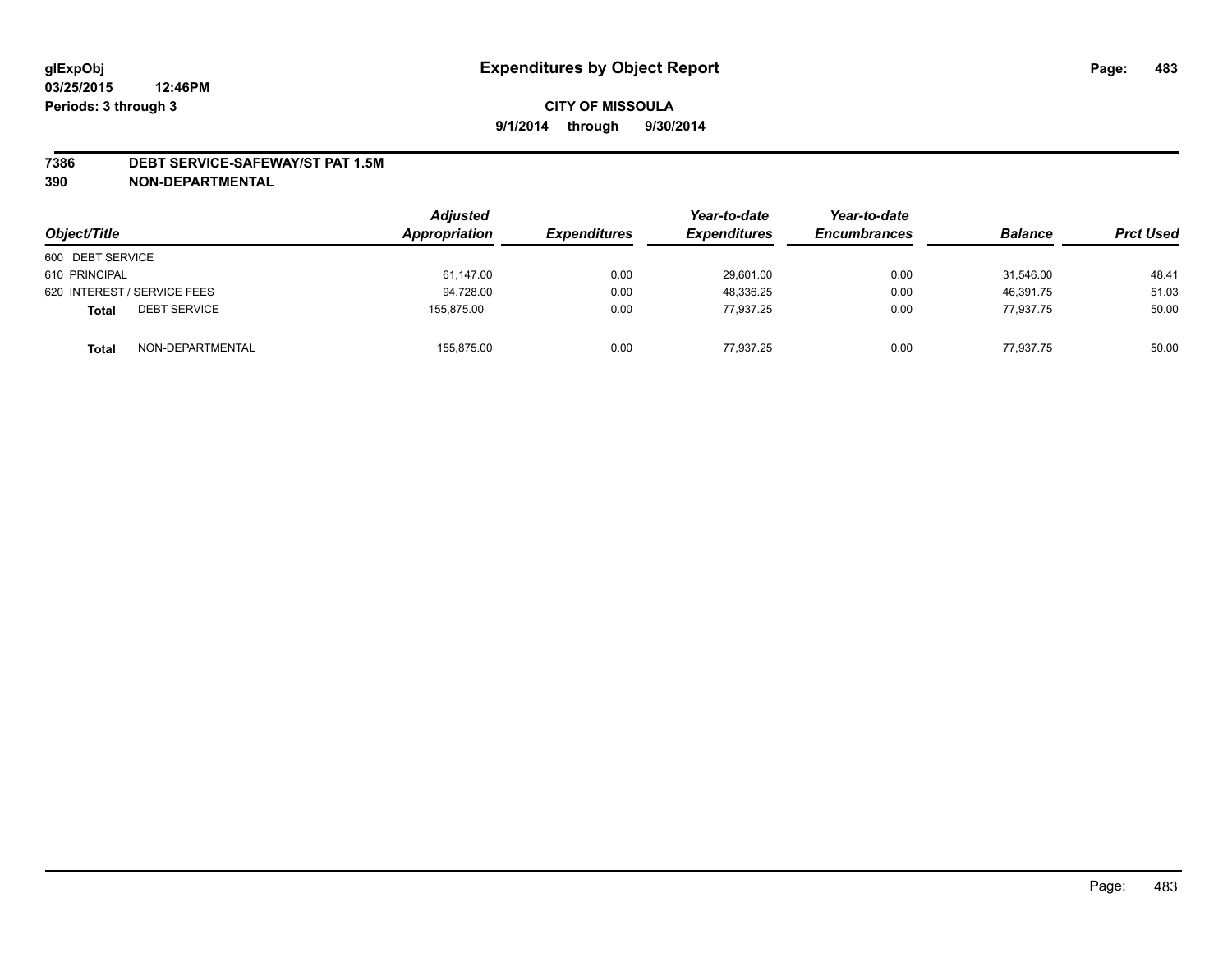#### **7386 DEBT SERVICE-SAFEWAY/ST PAT 1.5M**

| Object/Title                        | <b>Adjusted</b><br>Appropriation | <b>Expenditures</b> | Year-to-date<br><b>Expenditures</b> | Year-to-date<br><b>Encumbrances</b> | <b>Balance</b> | <b>Prct Used</b> |
|-------------------------------------|----------------------------------|---------------------|-------------------------------------|-------------------------------------|----------------|------------------|
| 600 DEBT SERVICE                    |                                  |                     |                                     |                                     |                |                  |
| 610 PRINCIPAL                       | 61,147.00                        | 0.00                | 29,601.00                           | 0.00                                | 31.546.00      | 48.41            |
| 620 INTEREST / SERVICE FEES         | 94.728.00                        | 0.00                | 48.336.25                           | 0.00                                | 46.391.75      | 51.03            |
| <b>DEBT SERVICE</b><br><b>Total</b> | 155.875.00                       | 0.00                | 77.937.25                           | 0.00                                | 77,937.75      | 50.00            |
| NON-DEPARTMENTAL<br><b>Total</b>    | 155,875.00                       | 0.00                | 77.937.25                           | 0.00                                | 77.937.75      | 50.00            |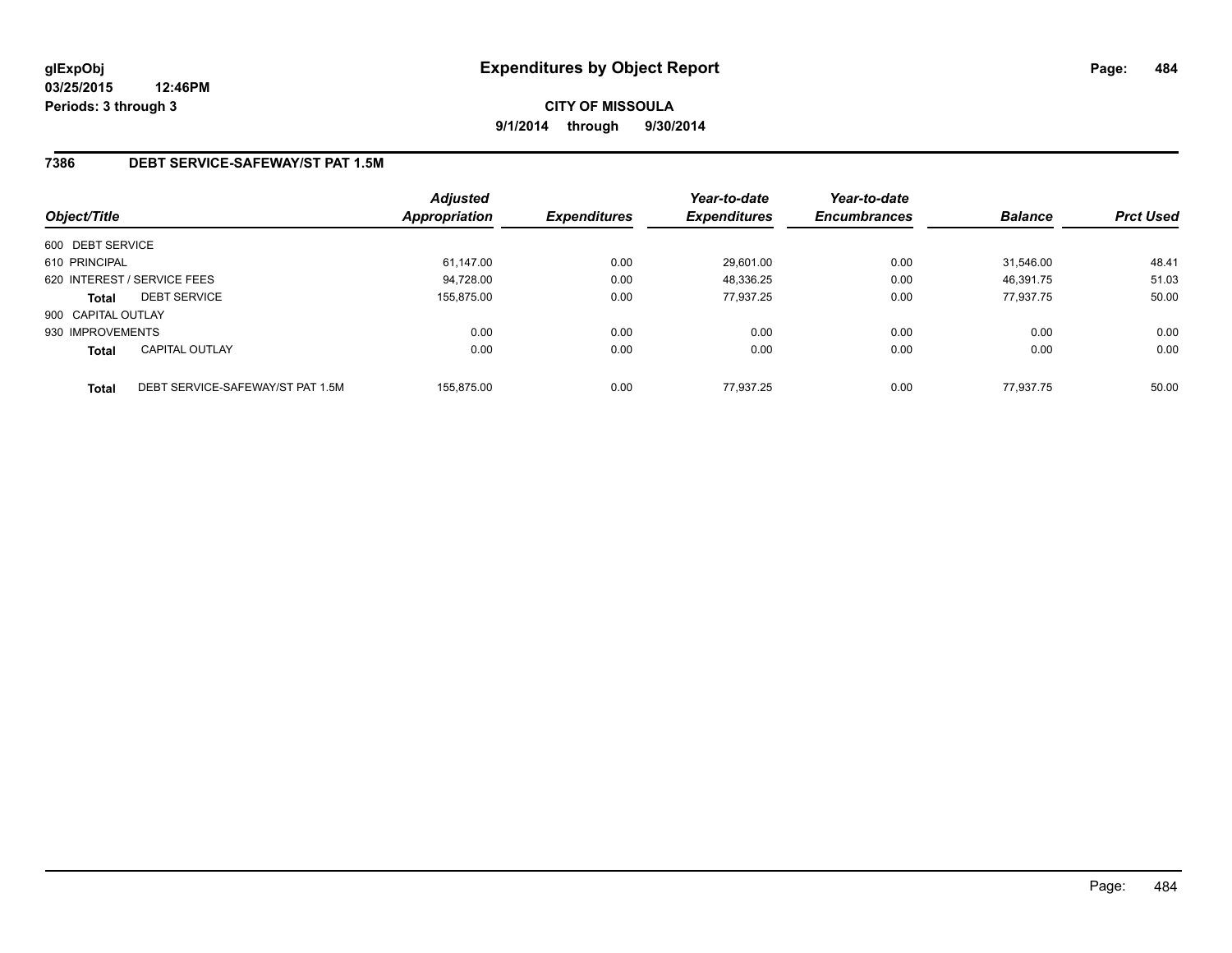# **7386 DEBT SERVICE-SAFEWAY/ST PAT 1.5M**

| Object/Title       |                                  | Adjusted<br>Appropriation | <b>Expenditures</b> | Year-to-date<br><b>Expenditures</b> | Year-to-date<br><b>Encumbrances</b> | <b>Balance</b> | <b>Prct Used</b> |
|--------------------|----------------------------------|---------------------------|---------------------|-------------------------------------|-------------------------------------|----------------|------------------|
| 600 DEBT SERVICE   |                                  |                           |                     |                                     |                                     |                |                  |
| 610 PRINCIPAL      |                                  | 61,147.00                 | 0.00                | 29,601.00                           | 0.00                                | 31.546.00      | 48.41            |
|                    | 620 INTEREST / SERVICE FEES      | 94.728.00                 | 0.00                | 48,336.25                           | 0.00                                | 46.391.75      | 51.03            |
| <b>Total</b>       | <b>DEBT SERVICE</b>              | 155.875.00                | 0.00                | 77.937.25                           | 0.00                                | 77.937.75      | 50.00            |
| 900 CAPITAL OUTLAY |                                  |                           |                     |                                     |                                     |                |                  |
| 930 IMPROVEMENTS   |                                  | 0.00                      | 0.00                | 0.00                                | 0.00                                | 0.00           | 0.00             |
| <b>Total</b>       | <b>CAPITAL OUTLAY</b>            | 0.00                      | 0.00                | 0.00                                | 0.00                                | 0.00           | 0.00             |
| <b>Total</b>       | DEBT SERVICE-SAFEWAY/ST PAT 1.5M | 155.875.00                | 0.00                | 77.937.25                           | 0.00                                | 77.937.75      | 50.00            |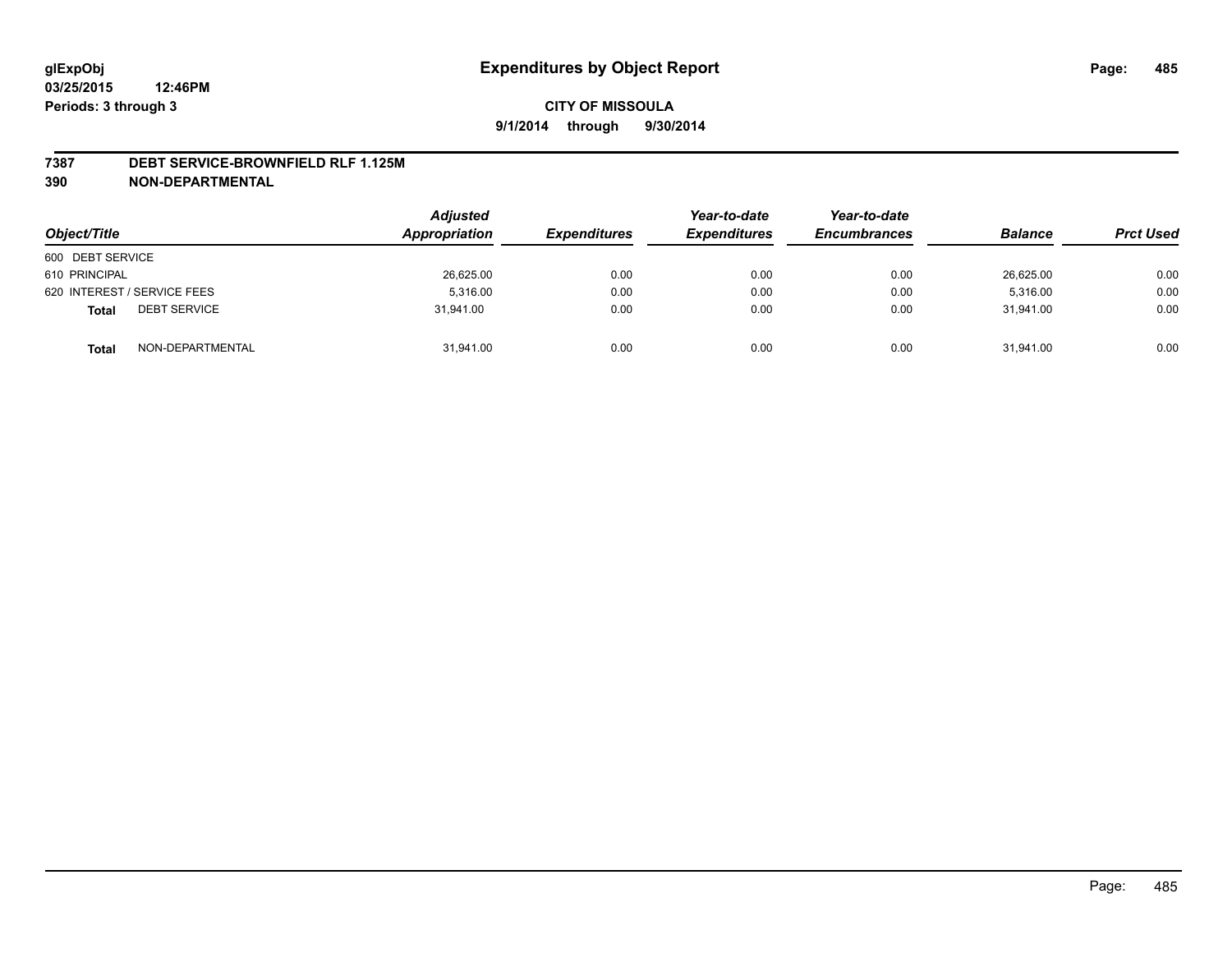#### **7387 DEBT SERVICE-BROWNFIELD RLF 1.125M**

| Object/Title                        | <b>Adjusted</b><br>Appropriation | <b>Expenditures</b> | Year-to-date<br><b>Expenditures</b> | Year-to-date<br><b>Encumbrances</b> | <b>Balance</b> | <b>Prct Used</b> |
|-------------------------------------|----------------------------------|---------------------|-------------------------------------|-------------------------------------|----------------|------------------|
| 600 DEBT SERVICE                    |                                  |                     |                                     |                                     |                |                  |
| 610 PRINCIPAL                       | 26,625.00                        | 0.00                | 0.00                                | 0.00                                | 26,625.00      | 0.00             |
| 620 INTEREST / SERVICE FEES         | 5.316.00                         | 0.00                | 0.00                                | 0.00                                | 5.316.00       | 0.00             |
| <b>DEBT SERVICE</b><br><b>Total</b> | 31.941.00                        | 0.00                | 0.00                                | 0.00                                | 31.941.00      | 0.00             |
| NON-DEPARTMENTAL<br><b>Total</b>    | 31,941.00                        | 0.00                | 0.00                                | 0.00                                | 31,941.00      | 0.00             |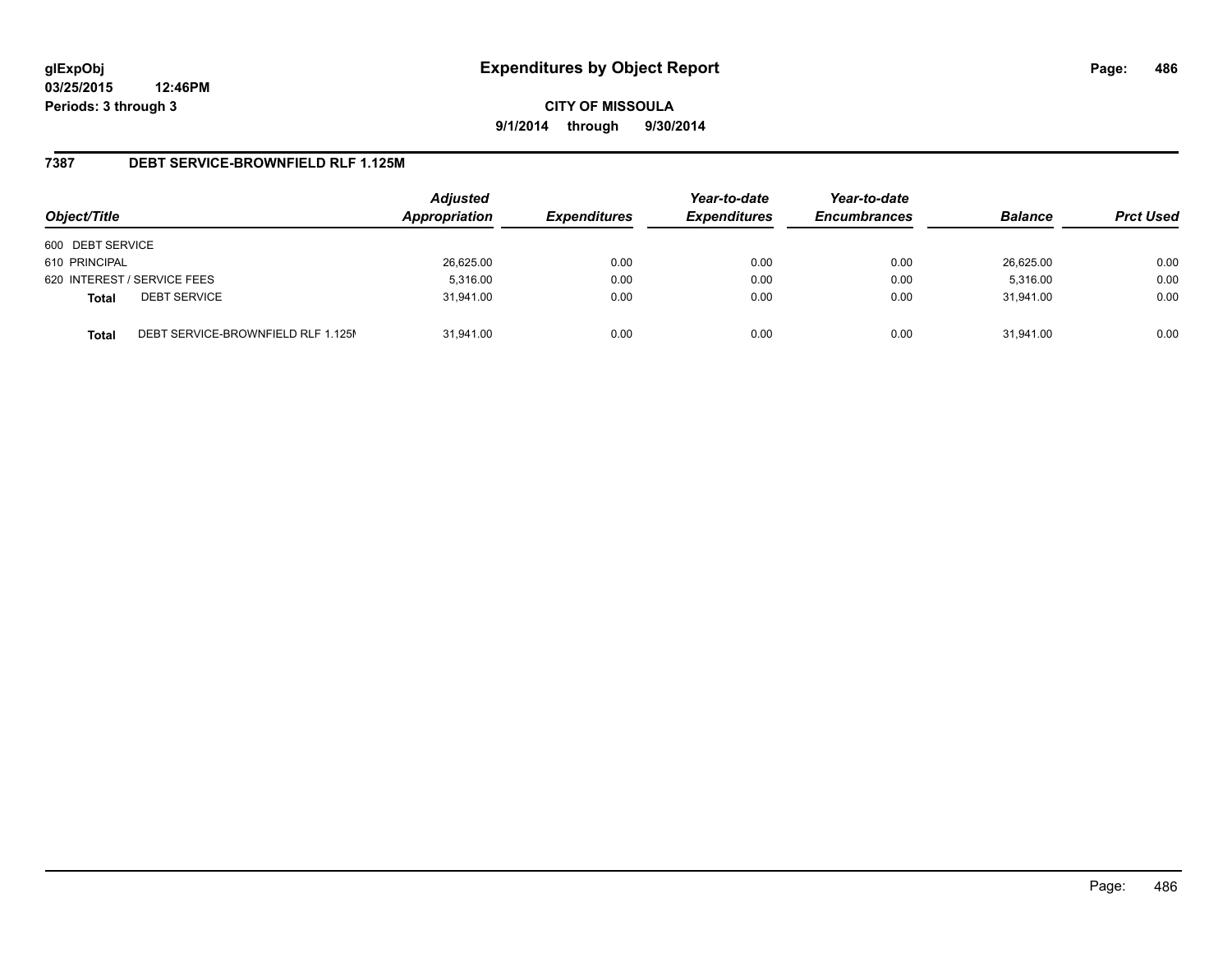**CITY OF MISSOULA 9/1/2014 through 9/30/2014**

### **7387 DEBT SERVICE-BROWNFIELD RLF 1.125M**

| Object/Title     |                                    | <b>Adjusted</b><br>Appropriation | <b>Expenditures</b> | Year-to-date<br><b>Expenditures</b> | Year-to-date<br><b>Encumbrances</b> | <b>Balance</b> | <b>Prct Used</b> |
|------------------|------------------------------------|----------------------------------|---------------------|-------------------------------------|-------------------------------------|----------------|------------------|
| 600 DEBT SERVICE |                                    |                                  |                     |                                     |                                     |                |                  |
| 610 PRINCIPAL    |                                    | 26,625.00                        | 0.00                | 0.00                                | 0.00                                | 26,625.00      | 0.00             |
|                  | 620 INTEREST / SERVICE FEES        | 5,316.00                         | 0.00                | 0.00                                | 0.00                                | 5,316.00       | 0.00             |
| <b>Total</b>     | <b>DEBT SERVICE</b>                | 31.941.00                        | 0.00                | 0.00                                | 0.00                                | 31.941.00      | 0.00             |
| <b>Total</b>     | DEBT SERVICE-BROWNFIELD RLF 1.125M | 31.941.00                        | 0.00                | 0.00                                | 0.00                                | 31.941.00      | 0.00             |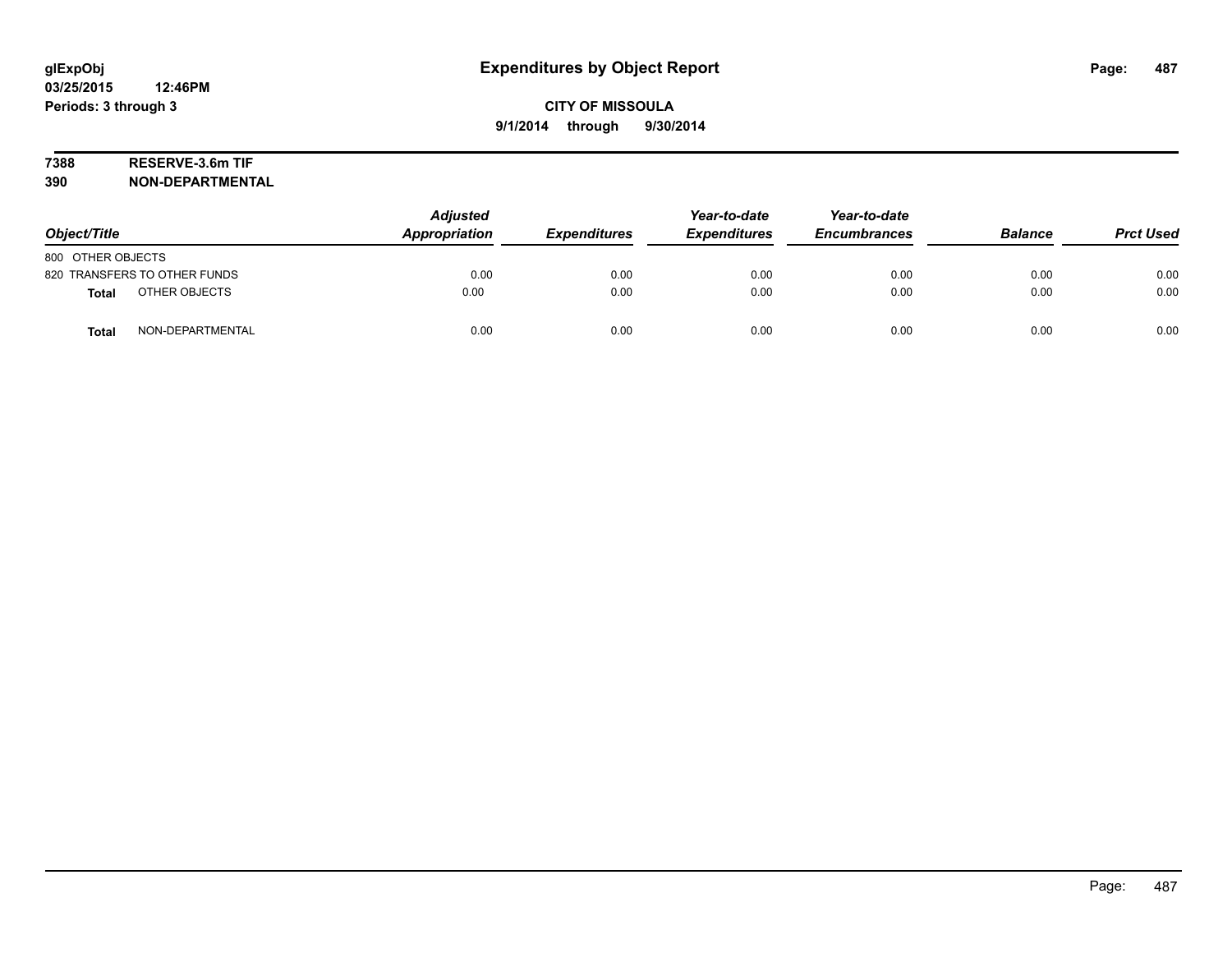# **7388 RESERVE-3.6m TIF**

| Object/Title                     | <b>Adjusted</b><br>Appropriation | <b>Expenditures</b> | Year-to-date<br><b>Expenditures</b> | Year-to-date<br><b>Encumbrances</b> | <b>Balance</b> | <b>Prct Used</b> |
|----------------------------------|----------------------------------|---------------------|-------------------------------------|-------------------------------------|----------------|------------------|
| 800 OTHER OBJECTS                |                                  |                     |                                     |                                     |                |                  |
| 820 TRANSFERS TO OTHER FUNDS     | 0.00                             | 0.00                | 0.00                                | 0.00                                | 0.00           | 0.00             |
| OTHER OBJECTS<br><b>Total</b>    | 0.00                             | 0.00                | 0.00                                | 0.00                                | 0.00           | 0.00             |
| NON-DEPARTMENTAL<br><b>Total</b> | 0.00                             | 0.00                | 0.00                                | 0.00                                | 0.00           | 0.00             |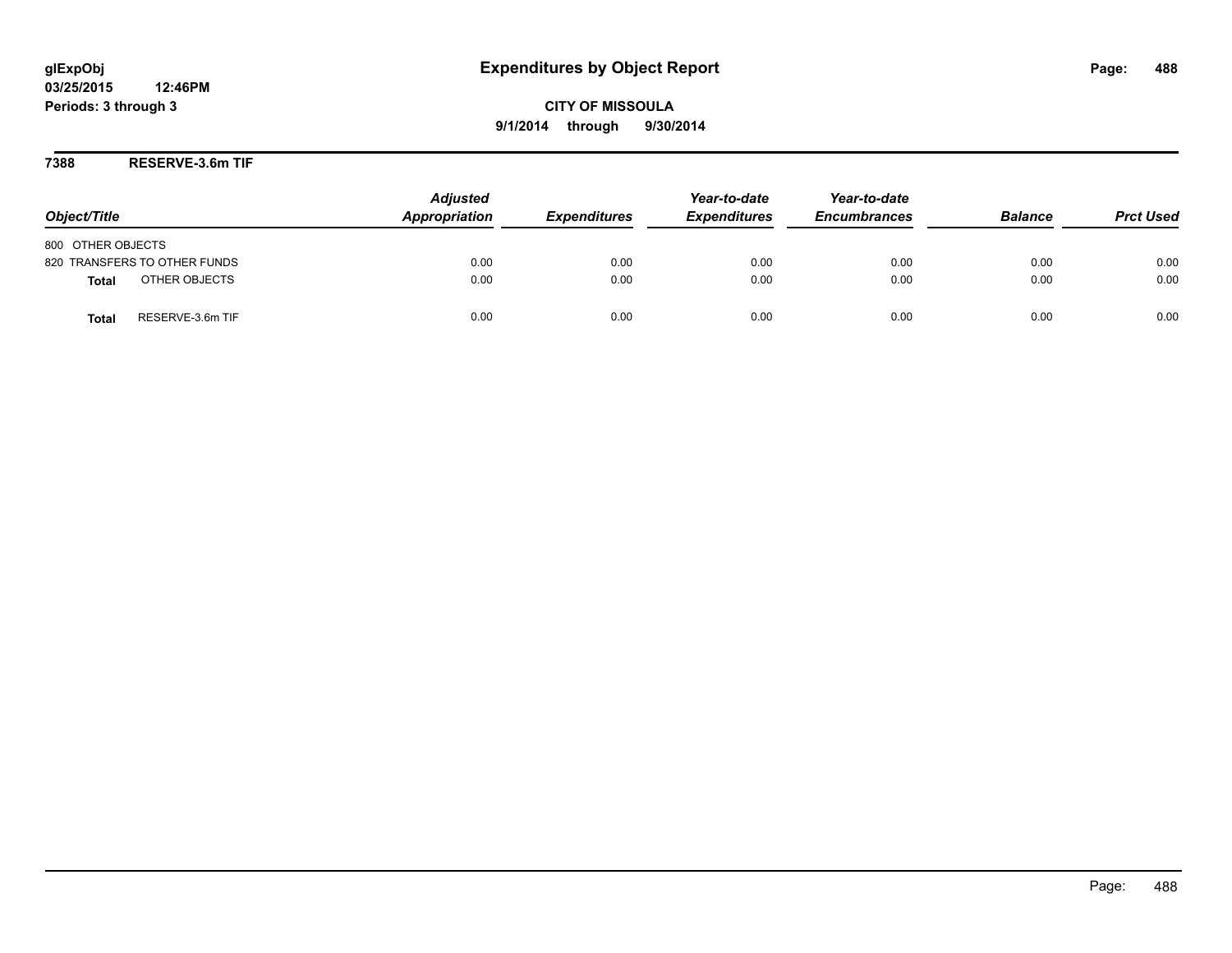**7388 RESERVE-3.6m TIF**

| Object/Title                     | <b>Adjusted</b><br>Appropriation | <b>Expenditures</b> | Year-to-date<br><b>Expenditures</b> | Year-to-date<br><b>Encumbrances</b> | <b>Balance</b> | <b>Prct Used</b> |
|----------------------------------|----------------------------------|---------------------|-------------------------------------|-------------------------------------|----------------|------------------|
| 800 OTHER OBJECTS                |                                  |                     |                                     |                                     |                |                  |
| 820 TRANSFERS TO OTHER FUNDS     | 0.00                             | 0.00                | 0.00                                | 0.00                                | 0.00           | 0.00             |
| OTHER OBJECTS<br><b>Total</b>    | 0.00                             | 0.00                | 0.00                                | 0.00                                | 0.00           | 0.00             |
| RESERVE-3.6m TIF<br><b>Total</b> | 0.00                             | 0.00                | 0.00                                | 0.00                                | 0.00           | 0.00             |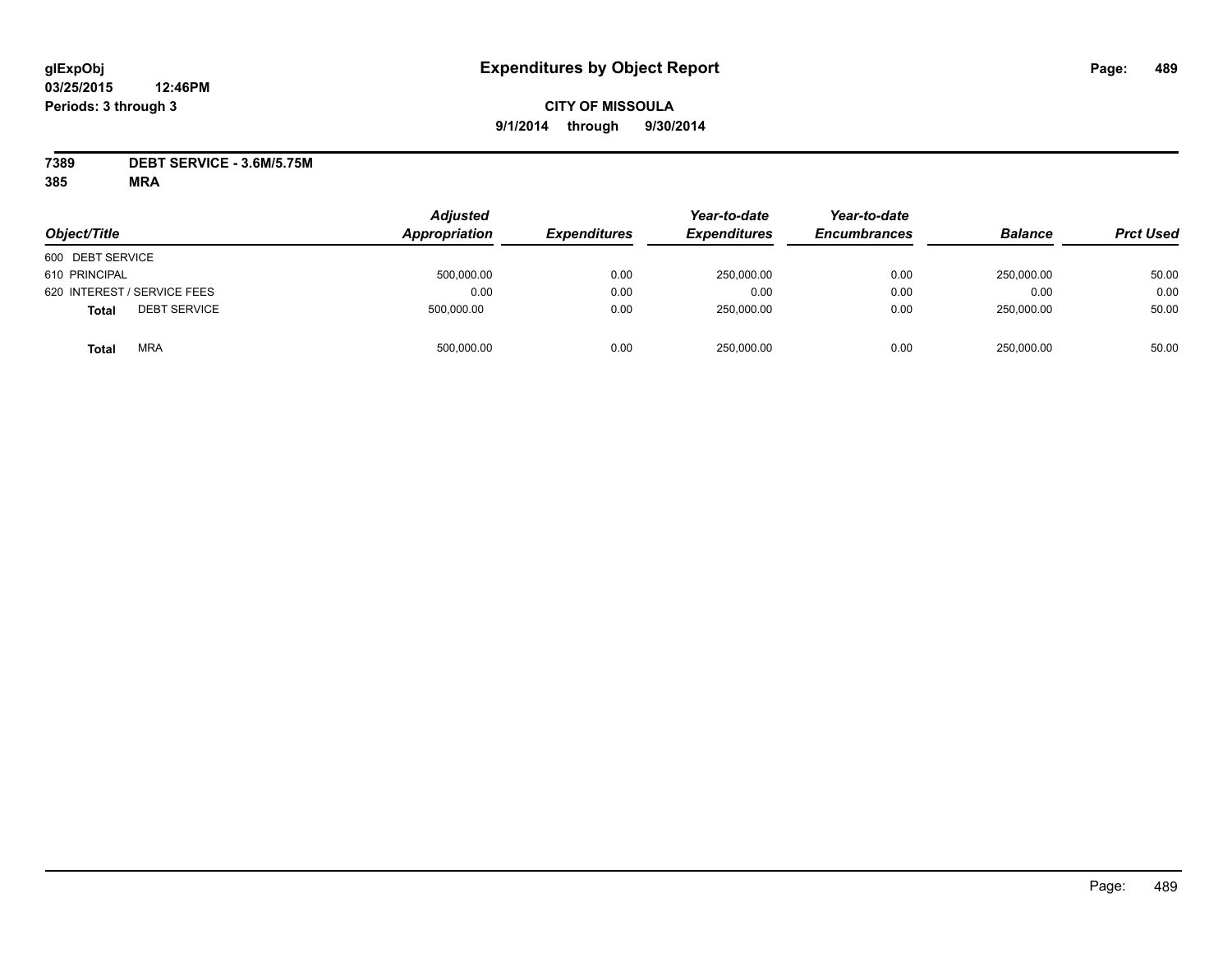## **CITY OF MISSOULA 9/1/2014 through 9/30/2014**

**7389 DEBT SERVICE - 3.6M/5.75M**

| Object/Title                        | <b>Adjusted</b><br>Appropriation | <b>Expenditures</b> | Year-to-date<br><b>Expenditures</b> | Year-to-date<br><b>Encumbrances</b> | <b>Balance</b> | <b>Prct Used</b> |
|-------------------------------------|----------------------------------|---------------------|-------------------------------------|-------------------------------------|----------------|------------------|
| 600 DEBT SERVICE                    |                                  |                     |                                     |                                     |                |                  |
| 610 PRINCIPAL                       | 500,000.00                       | 0.00                | 250,000.00                          | 0.00                                | 250.000.00     | 50.00            |
| 620 INTEREST / SERVICE FEES         | 0.00                             | 0.00                | 0.00                                | 0.00                                | 0.00           | 0.00             |
| <b>DEBT SERVICE</b><br><b>Total</b> | 500,000.00                       | 0.00                | 250,000.00                          | 0.00                                | 250.000.00     | 50.00            |
| <b>MRA</b><br>Total                 | 500,000.00                       | 0.00                | 250,000.00                          | 0.00                                | 250,000.00     | 50.00            |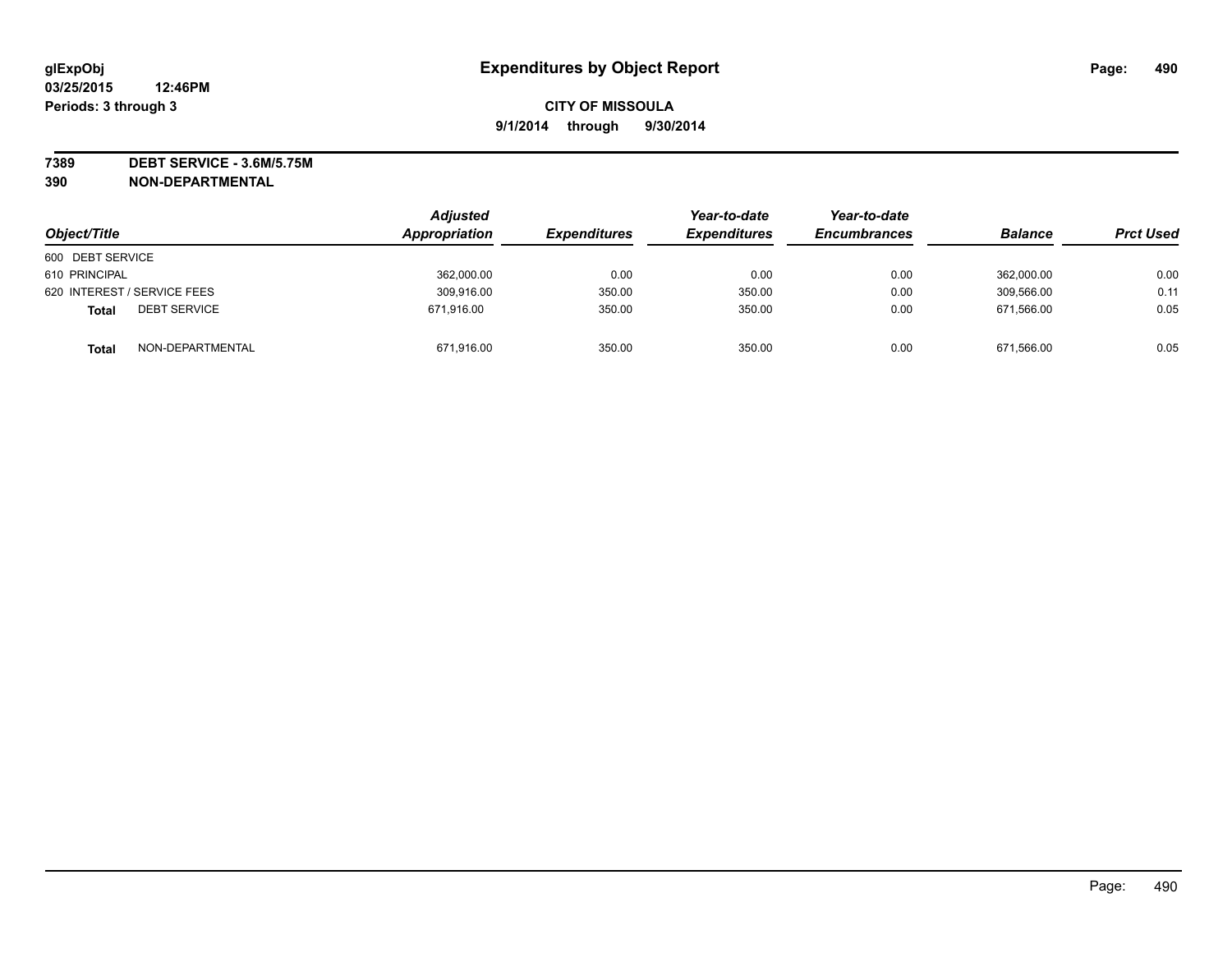**7389 DEBT SERVICE - 3.6M/5.75M**

| Object/Title                        | <b>Adjusted</b><br>Appropriation | <b>Expenditures</b> | Year-to-date<br><b>Expenditures</b> | Year-to-date<br><b>Encumbrances</b> | <b>Balance</b> | <b>Prct Used</b> |
|-------------------------------------|----------------------------------|---------------------|-------------------------------------|-------------------------------------|----------------|------------------|
| 600 DEBT SERVICE                    |                                  |                     |                                     |                                     |                |                  |
| 610 PRINCIPAL                       | 362,000.00                       | 0.00                | 0.00                                | 0.00                                | 362,000.00     | 0.00             |
| 620 INTEREST / SERVICE FEES         | 309,916.00                       | 350.00              | 350.00                              | 0.00                                | 309,566.00     | 0.11             |
| <b>DEBT SERVICE</b><br><b>Total</b> | 671,916.00                       | 350.00              | 350.00                              | 0.00                                | 671.566.00     | 0.05             |
| NON-DEPARTMENTAL<br><b>Total</b>    | 671,916.00                       | 350.00              | 350.00                              | 0.00                                | 671,566.00     | 0.05             |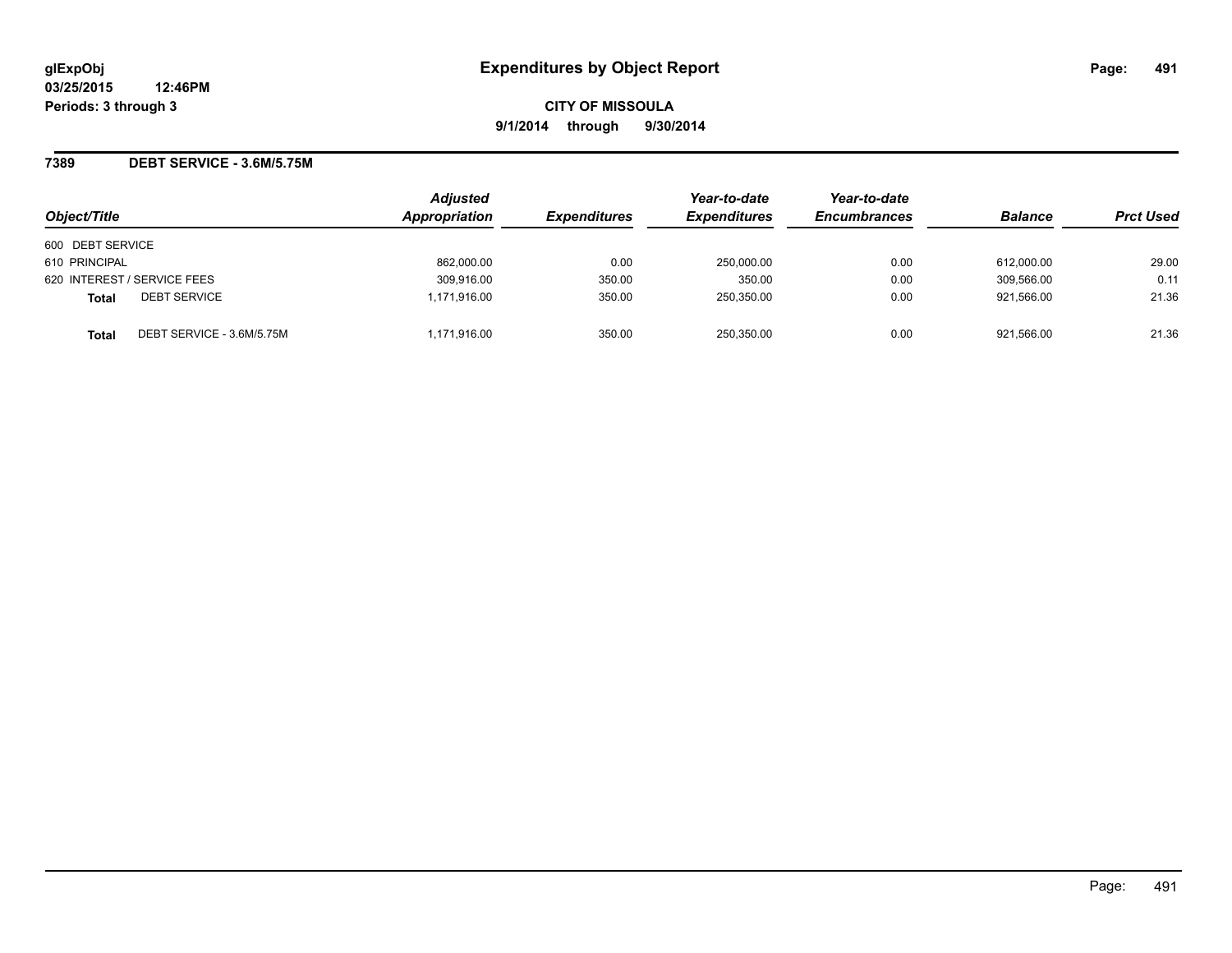**7389 DEBT SERVICE - 3.6M/5.75M**

| Object/Title                        | <b>Adjusted</b><br>Appropriation | <b>Expenditures</b> | Year-to-date<br><b>Expenditures</b> | Year-to-date<br><b>Encumbrances</b> | <b>Balance</b> | <b>Prct Used</b> |
|-------------------------------------|----------------------------------|---------------------|-------------------------------------|-------------------------------------|----------------|------------------|
| 600 DEBT SERVICE                    |                                  |                     |                                     |                                     |                |                  |
| 610 PRINCIPAL                       | 862,000.00                       | 0.00                | 250,000.00                          | 0.00                                | 612.000.00     | 29.00            |
| 620 INTEREST / SERVICE FEES         | 309,916.00                       | 350.00              | 350.00                              | 0.00                                | 309.566.00     | 0.11             |
| <b>DEBT SERVICE</b><br><b>Total</b> | 1.171.916.00                     | 350.00              | 250.350.00                          | 0.00                                | 921.566.00     | 21.36            |
| DEBT SERVICE - 3.6M/5.75M<br>Total  | 1,171,916.00                     | 350.00              | 250,350.00                          | 0.00                                | 921,566.00     | 21.36            |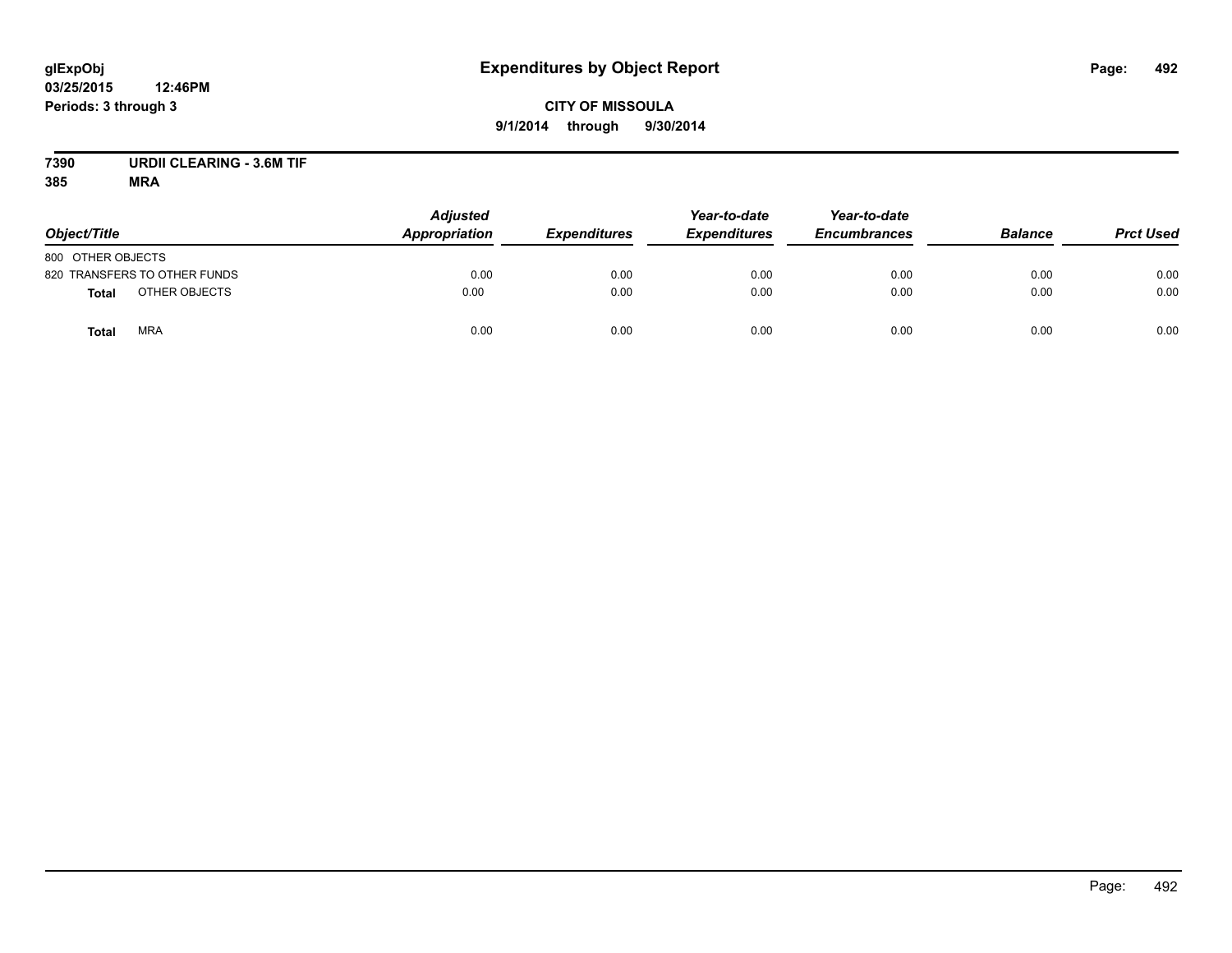# **CITY OF MISSOULA 9/1/2014 through 9/30/2014**

# **7390 URDII CLEARING - 3.6M TIF**

| Object/Title                  | <b>Adjusted</b><br>Appropriation | <b>Expenditures</b> | Year-to-date<br><b>Expenditures</b> | Year-to-date<br><b>Encumbrances</b> | <b>Balance</b> | <b>Prct Used</b> |
|-------------------------------|----------------------------------|---------------------|-------------------------------------|-------------------------------------|----------------|------------------|
| 800 OTHER OBJECTS             |                                  |                     |                                     |                                     |                |                  |
| 820 TRANSFERS TO OTHER FUNDS  | 0.00                             | 0.00                | 0.00                                | 0.00                                | 0.00           | 0.00             |
| OTHER OBJECTS<br><b>Total</b> | 0.00                             | 0.00                | 0.00                                | 0.00                                | 0.00           | 0.00             |
| <b>MRA</b><br><b>Total</b>    | 0.00                             | 0.00                | 0.00                                | 0.00                                | 0.00           | 0.00             |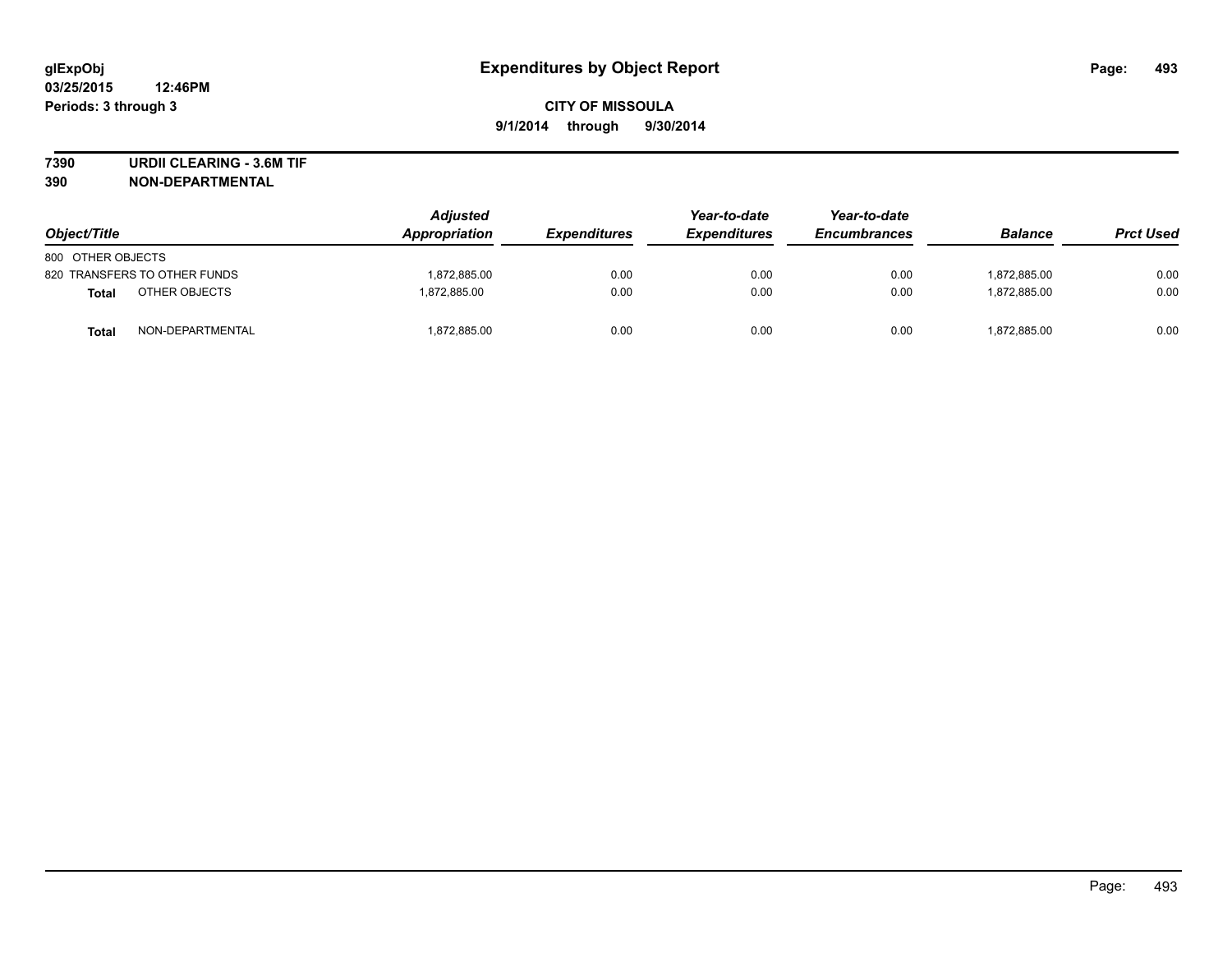**7390 URDII CLEARING - 3.6M TIF**

| Object/Title                 |                  | <b>Adjusted</b><br><b>Appropriation</b> | <b>Expenditures</b> | Year-to-date<br><b>Expenditures</b> | Year-to-date<br><b>Encumbrances</b> | <b>Balance</b> | <b>Prct Used</b> |
|------------------------------|------------------|-----------------------------------------|---------------------|-------------------------------------|-------------------------------------|----------------|------------------|
| 800 OTHER OBJECTS            |                  |                                         |                     |                                     |                                     |                |                  |
| 820 TRANSFERS TO OTHER FUNDS |                  | 1,872,885.00                            | 0.00                | 0.00                                | 0.00                                | 1.872.885.00   | 0.00             |
| <b>Total</b>                 | OTHER OBJECTS    | 1.872.885.00                            | 0.00                | 0.00                                | 0.00                                | 1.872.885.00   | 0.00             |
| <b>Total</b>                 | NON-DEPARTMENTAL | 1,872,885.00                            | 0.00                | 0.00                                | 0.00                                | 1,872,885.00   | 0.00             |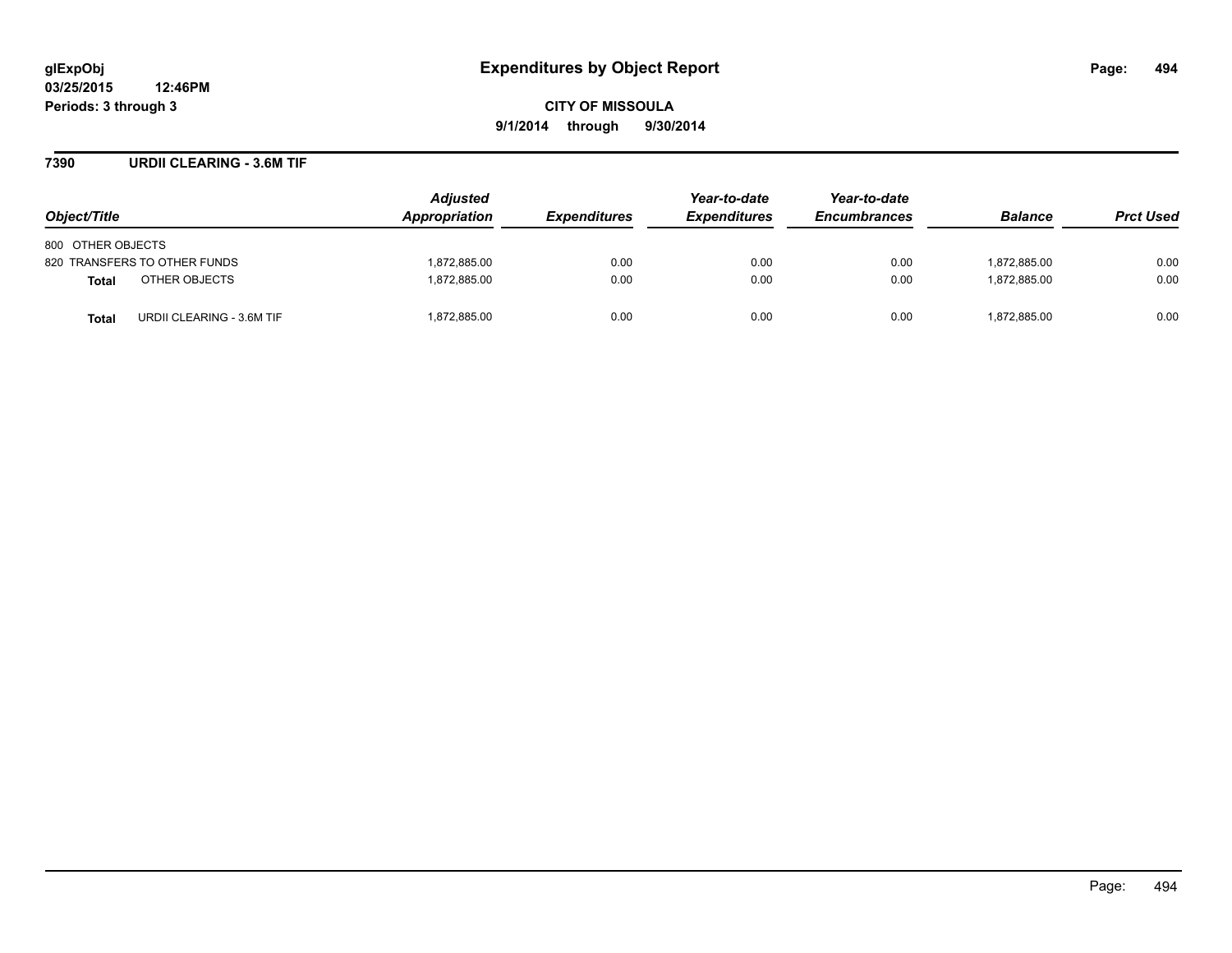#### **7390 URDII CLEARING - 3.6M TIF**

| Object/Title                              | <b>Adjusted</b><br>Appropriation | <i><b>Expenditures</b></i> | Year-to-date<br><b>Expenditures</b> | Year-to-date<br><b>Encumbrances</b> | <b>Balance</b> | <b>Prct Used</b> |
|-------------------------------------------|----------------------------------|----------------------------|-------------------------------------|-------------------------------------|----------------|------------------|
| 800 OTHER OBJECTS                         |                                  |                            |                                     |                                     |                |                  |
| 820 TRANSFERS TO OTHER FUNDS              | 1,872,885.00                     | 0.00                       | 0.00                                | 0.00                                | 1,872,885.00   | 0.00             |
| OTHER OBJECTS<br>Total                    | 1.872.885.00                     | 0.00                       | 0.00                                | 0.00                                | 1.872.885.00   | 0.00             |
| URDII CLEARING - 3.6M TIF<br><b>Total</b> | 1,872,885.00                     | 0.00                       | 0.00                                | 0.00                                | 1,872,885.00   | 0.00             |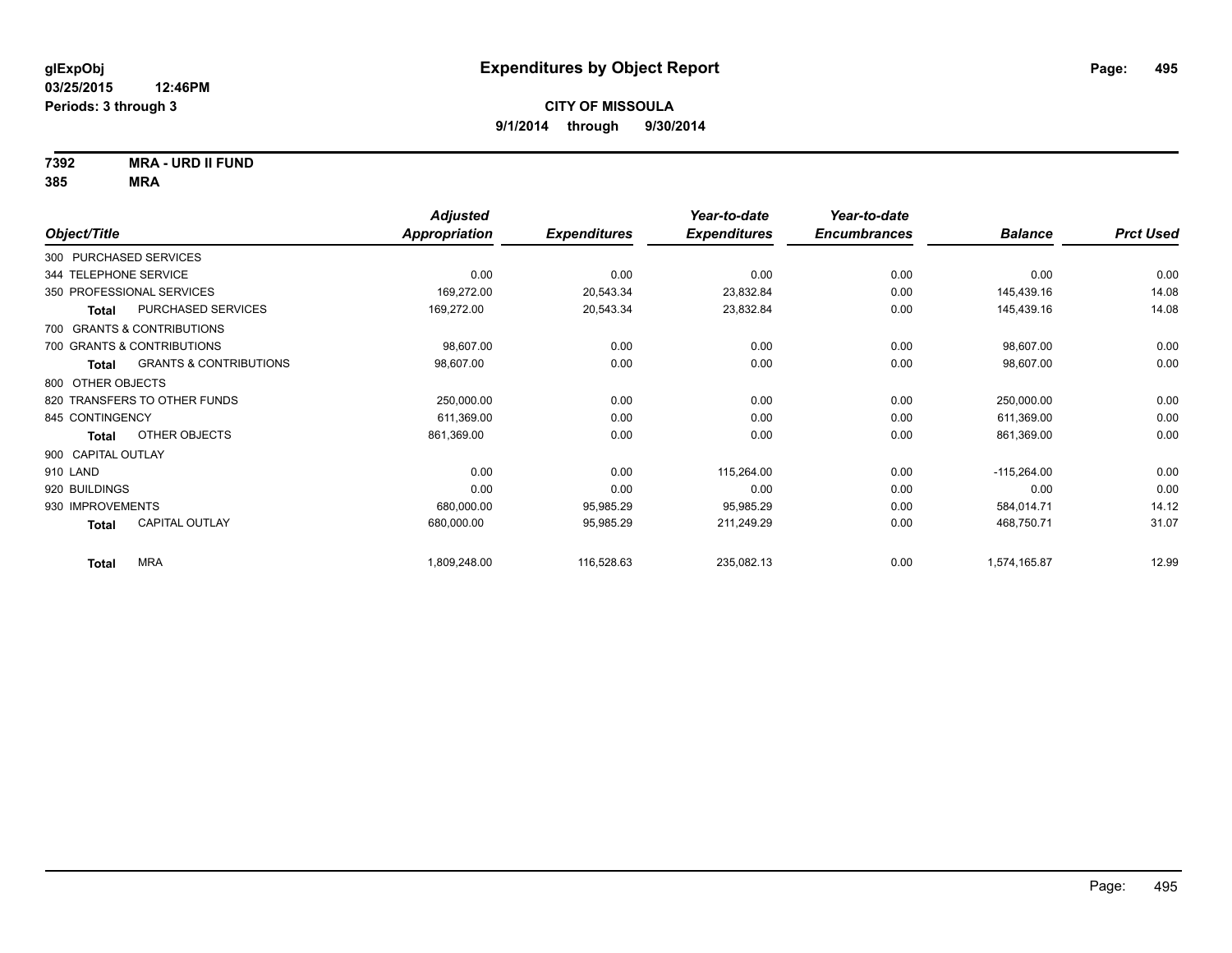**7392 MRA - URD II FUND**

|                           |                                   | <b>Adjusted</b> |                     | Year-to-date        | Year-to-date        |                |                  |
|---------------------------|-----------------------------------|-----------------|---------------------|---------------------|---------------------|----------------|------------------|
| Object/Title              |                                   | Appropriation   | <b>Expenditures</b> | <b>Expenditures</b> | <b>Encumbrances</b> | <b>Balance</b> | <b>Prct Used</b> |
| 300 PURCHASED SERVICES    |                                   |                 |                     |                     |                     |                |                  |
| 344 TELEPHONE SERVICE     |                                   | 0.00            | 0.00                | 0.00                | 0.00                | 0.00           | 0.00             |
| 350 PROFESSIONAL SERVICES |                                   | 169,272.00      | 20,543.34           | 23,832.84           | 0.00                | 145,439.16     | 14.08            |
| <b>Total</b>              | PURCHASED SERVICES                | 169,272.00      | 20,543.34           | 23,832.84           | 0.00                | 145,439.16     | 14.08            |
|                           | 700 GRANTS & CONTRIBUTIONS        |                 |                     |                     |                     |                |                  |
|                           | 700 GRANTS & CONTRIBUTIONS        | 98,607.00       | 0.00                | 0.00                | 0.00                | 98,607.00      | 0.00             |
| Total                     | <b>GRANTS &amp; CONTRIBUTIONS</b> | 98,607.00       | 0.00                | 0.00                | 0.00                | 98,607.00      | 0.00             |
| 800 OTHER OBJECTS         |                                   |                 |                     |                     |                     |                |                  |
|                           | 820 TRANSFERS TO OTHER FUNDS      | 250,000.00      | 0.00                | 0.00                | 0.00                | 250,000.00     | 0.00             |
| 845 CONTINGENCY           |                                   | 611,369.00      | 0.00                | 0.00                | 0.00                | 611,369.00     | 0.00             |
| <b>Total</b>              | OTHER OBJECTS                     | 861,369.00      | 0.00                | 0.00                | 0.00                | 861,369.00     | 0.00             |
| 900 CAPITAL OUTLAY        |                                   |                 |                     |                     |                     |                |                  |
| 910 LAND                  |                                   | 0.00            | 0.00                | 115,264.00          | 0.00                | $-115,264.00$  | 0.00             |
| 920 BUILDINGS             |                                   | 0.00            | 0.00                | 0.00                | 0.00                | 0.00           | 0.00             |
| 930 IMPROVEMENTS          |                                   | 680,000.00      | 95,985.29           | 95,985.29           | 0.00                | 584,014.71     | 14.12            |
| <b>Total</b>              | CAPITAL OUTLAY                    | 680,000.00      | 95,985.29           | 211,249.29          | 0.00                | 468,750.71     | 31.07            |
| <b>Total</b>              | <b>MRA</b>                        | 1,809,248.00    | 116,528.63          | 235,082.13          | 0.00                | 1,574,165.87   | 12.99            |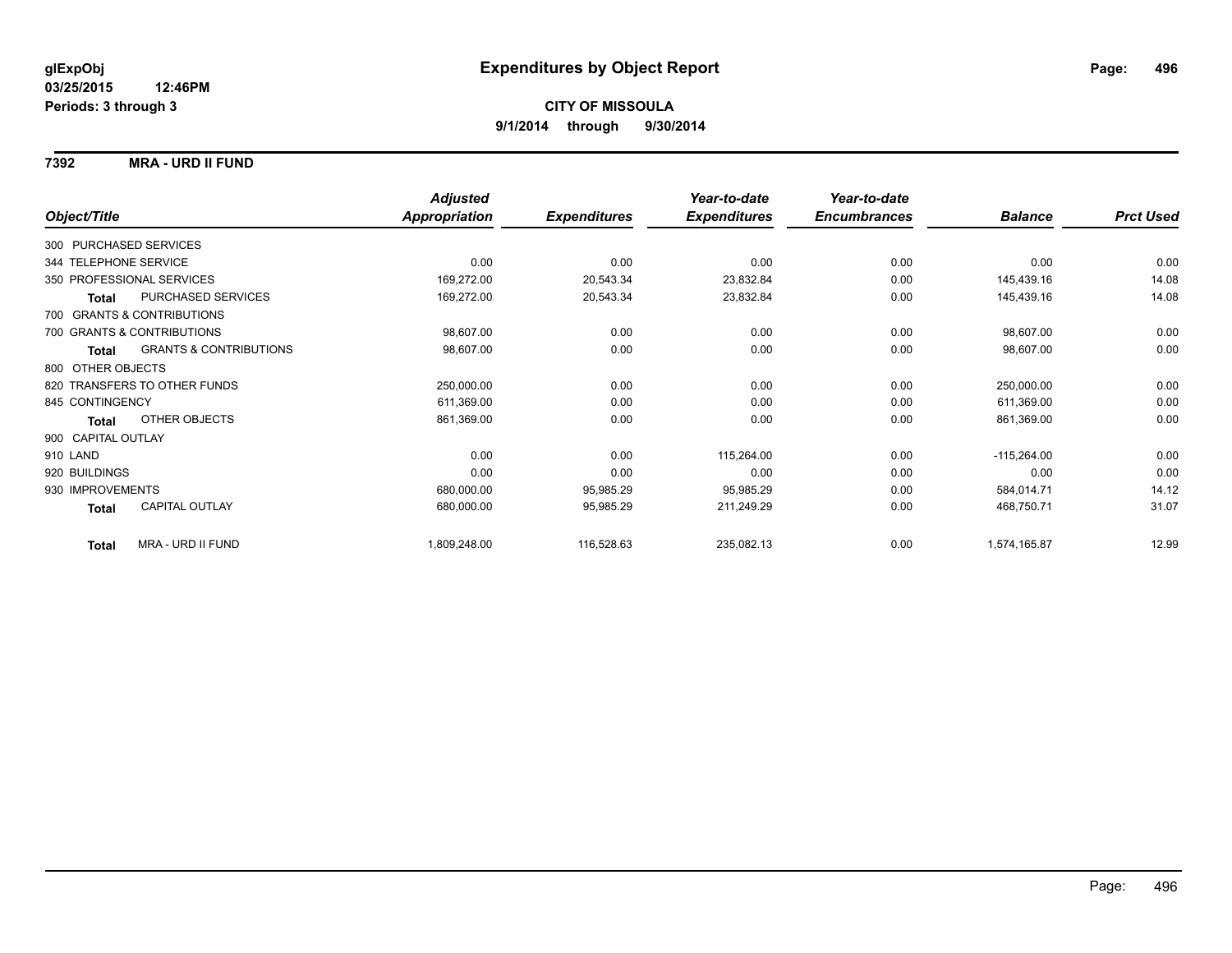#### **7392 MRA - URD II FUND**

|                                            | <b>Adjusted</b>      |                     | Year-to-date        | Year-to-date        |                |                  |
|--------------------------------------------|----------------------|---------------------|---------------------|---------------------|----------------|------------------|
| Object/Title                               | <b>Appropriation</b> | <b>Expenditures</b> | <b>Expenditures</b> | <b>Encumbrances</b> | <b>Balance</b> | <b>Prct Used</b> |
| 300 PURCHASED SERVICES                     |                      |                     |                     |                     |                |                  |
| 344 TELEPHONE SERVICE                      | 0.00                 | 0.00                | 0.00                | 0.00                | 0.00           | 0.00             |
| 350 PROFESSIONAL SERVICES                  | 169,272.00           | 20,543.34           | 23,832.84           | 0.00                | 145,439.16     | 14.08            |
| PURCHASED SERVICES<br><b>Total</b>         | 169,272.00           | 20,543.34           | 23,832.84           | 0.00                | 145,439.16     | 14.08            |
| 700 GRANTS & CONTRIBUTIONS                 |                      |                     |                     |                     |                |                  |
| 700 GRANTS & CONTRIBUTIONS                 | 98,607.00            | 0.00                | 0.00                | 0.00                | 98,607.00      | 0.00             |
| <b>GRANTS &amp; CONTRIBUTIONS</b><br>Total | 98,607.00            | 0.00                | 0.00                | 0.00                | 98,607.00      | 0.00             |
| 800 OTHER OBJECTS                          |                      |                     |                     |                     |                |                  |
| 820 TRANSFERS TO OTHER FUNDS               | 250,000.00           | 0.00                | 0.00                | 0.00                | 250,000.00     | 0.00             |
| 845 CONTINGENCY                            | 611,369.00           | 0.00                | 0.00                | 0.00                | 611,369.00     | 0.00             |
| OTHER OBJECTS<br><b>Total</b>              | 861,369.00           | 0.00                | 0.00                | 0.00                | 861,369.00     | 0.00             |
| 900 CAPITAL OUTLAY                         |                      |                     |                     |                     |                |                  |
| 910 LAND                                   | 0.00                 | 0.00                | 115,264.00          | 0.00                | $-115,264.00$  | 0.00             |
| 920 BUILDINGS                              | 0.00                 | 0.00                | 0.00                | 0.00                | 0.00           | 0.00             |
| 930 IMPROVEMENTS                           | 680,000.00           | 95,985.29           | 95,985.29           | 0.00                | 584,014.71     | 14.12            |
| <b>CAPITAL OUTLAY</b><br>Total             | 680,000.00           | 95,985.29           | 211,249.29          | 0.00                | 468,750.71     | 31.07            |
| MRA - URD II FUND<br><b>Total</b>          | 1,809,248.00         | 116,528.63          | 235,082.13          | 0.00                | 1,574,165.87   | 12.99            |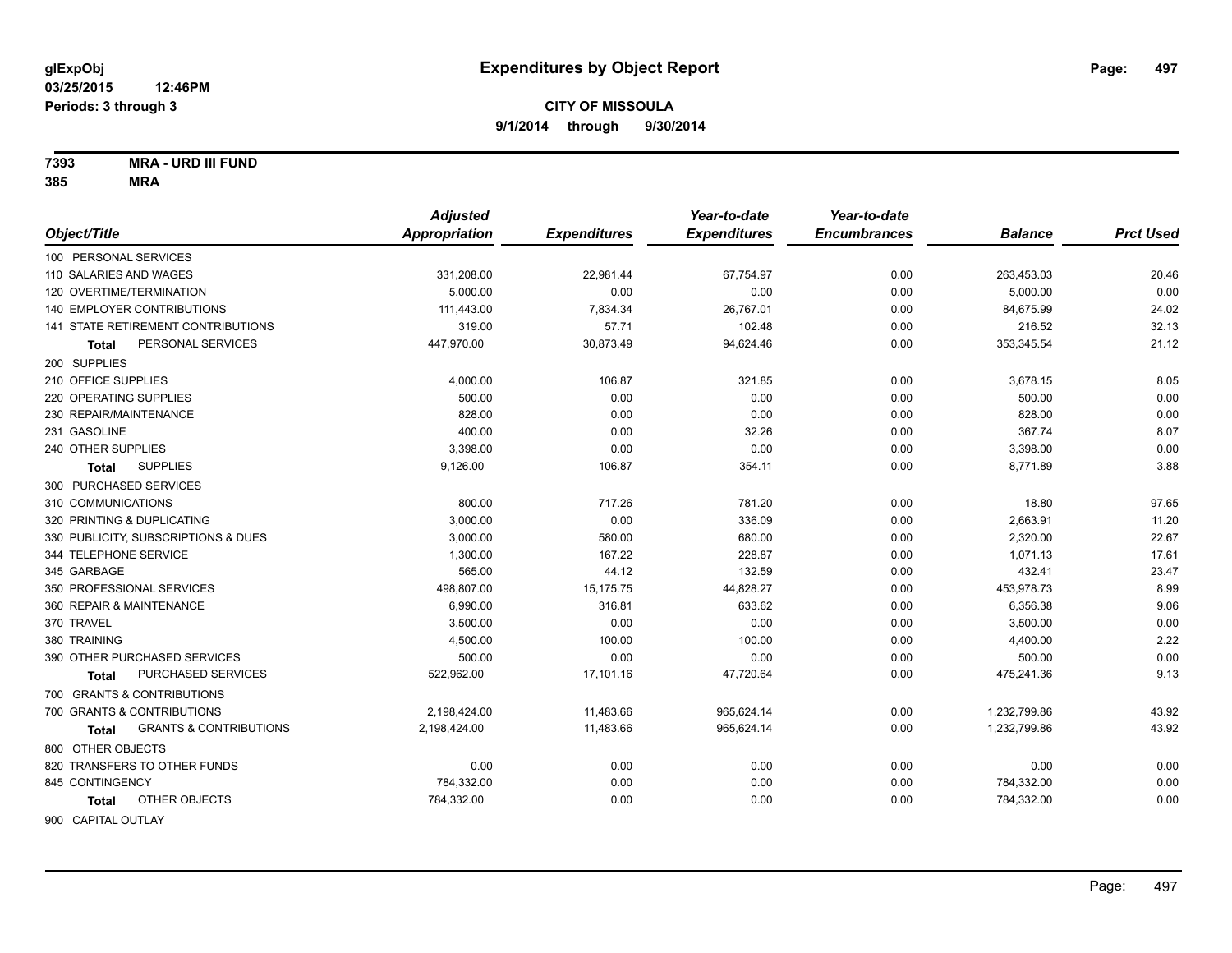**7393 MRA - URD III FUND**

|                                                   | <b>Adjusted</b> |                     | Year-to-date        | Year-to-date        |                |                  |
|---------------------------------------------------|-----------------|---------------------|---------------------|---------------------|----------------|------------------|
| Object/Title                                      | Appropriation   | <b>Expenditures</b> | <b>Expenditures</b> | <b>Encumbrances</b> | <b>Balance</b> | <b>Prct Used</b> |
| 100 PERSONAL SERVICES                             |                 |                     |                     |                     |                |                  |
| 110 SALARIES AND WAGES                            | 331,208.00      | 22,981.44           | 67,754.97           | 0.00                | 263,453.03     | 20.46            |
| 120 OVERTIME/TERMINATION                          | 5.000.00        | 0.00                | 0.00                | 0.00                | 5,000.00       | 0.00             |
| 140 EMPLOYER CONTRIBUTIONS                        | 111,443.00      | 7,834.34            | 26,767.01           | 0.00                | 84,675.99      | 24.02            |
| <b>141 STATE RETIREMENT CONTRIBUTIONS</b>         | 319.00          | 57.71               | 102.48              | 0.00                | 216.52         | 32.13            |
| PERSONAL SERVICES<br>Total                        | 447,970.00      | 30,873.49           | 94,624.46           | 0.00                | 353,345.54     | 21.12            |
| 200 SUPPLIES                                      |                 |                     |                     |                     |                |                  |
| 210 OFFICE SUPPLIES                               | 4,000.00        | 106.87              | 321.85              | 0.00                | 3,678.15       | 8.05             |
| 220 OPERATING SUPPLIES                            | 500.00          | 0.00                | 0.00                | 0.00                | 500.00         | 0.00             |
| 230 REPAIR/MAINTENANCE                            | 828.00          | 0.00                | 0.00                | 0.00                | 828.00         | 0.00             |
| 231 GASOLINE                                      | 400.00          | 0.00                | 32.26               | 0.00                | 367.74         | 8.07             |
| 240 OTHER SUPPLIES                                | 3,398.00        | 0.00                | 0.00                | 0.00                | 3,398.00       | 0.00             |
| <b>SUPPLIES</b><br>Total                          | 9,126.00        | 106.87              | 354.11              | 0.00                | 8,771.89       | 3.88             |
| 300 PURCHASED SERVICES                            |                 |                     |                     |                     |                |                  |
| 310 COMMUNICATIONS                                | 800.00          | 717.26              | 781.20              | 0.00                | 18.80          | 97.65            |
| 320 PRINTING & DUPLICATING                        | 3,000.00        | 0.00                | 336.09              | 0.00                | 2,663.91       | 11.20            |
| 330 PUBLICITY, SUBSCRIPTIONS & DUES               | 3,000.00        | 580.00              | 680.00              | 0.00                | 2,320.00       | 22.67            |
| 344 TELEPHONE SERVICE                             | 1,300.00        | 167.22              | 228.87              | 0.00                | 1,071.13       | 17.61            |
| 345 GARBAGE                                       | 565.00          | 44.12               | 132.59              | 0.00                | 432.41         | 23.47            |
| 350 PROFESSIONAL SERVICES                         | 498,807.00      | 15,175.75           | 44,828.27           | 0.00                | 453,978.73     | 8.99             |
| 360 REPAIR & MAINTENANCE                          | 6,990.00        | 316.81              | 633.62              | 0.00                | 6,356.38       | 9.06             |
| 370 TRAVEL                                        | 3,500.00        | 0.00                | 0.00                | 0.00                | 3,500.00       | 0.00             |
| 380 TRAINING                                      | 4,500.00        | 100.00              | 100.00              | 0.00                | 4,400.00       | 2.22             |
| 390 OTHER PURCHASED SERVICES                      | 500.00          | 0.00                | 0.00                | 0.00                | 500.00         | 0.00             |
| PURCHASED SERVICES<br><b>Total</b>                | 522,962.00      | 17,101.16           | 47,720.64           | 0.00                | 475,241.36     | 9.13             |
| 700 GRANTS & CONTRIBUTIONS                        |                 |                     |                     |                     |                |                  |
| 700 GRANTS & CONTRIBUTIONS                        | 2,198,424.00    | 11,483.66           | 965,624.14          | 0.00                | 1,232,799.86   | 43.92            |
| <b>GRANTS &amp; CONTRIBUTIONS</b><br><b>Total</b> | 2,198,424.00    | 11,483.66           | 965,624.14          | 0.00                | 1,232,799.86   | 43.92            |
| 800 OTHER OBJECTS                                 |                 |                     |                     |                     |                |                  |
| 820 TRANSFERS TO OTHER FUNDS                      | 0.00            | 0.00                | 0.00                | 0.00                | 0.00           | 0.00             |
| 845 CONTINGENCY                                   | 784,332.00      | 0.00                | 0.00                | 0.00                | 784,332.00     | 0.00             |
| OTHER OBJECTS<br>Total                            | 784,332.00      | 0.00                | 0.00                | 0.00                | 784,332.00     | 0.00             |
| 900 CAPITAL OUTLAY                                |                 |                     |                     |                     |                |                  |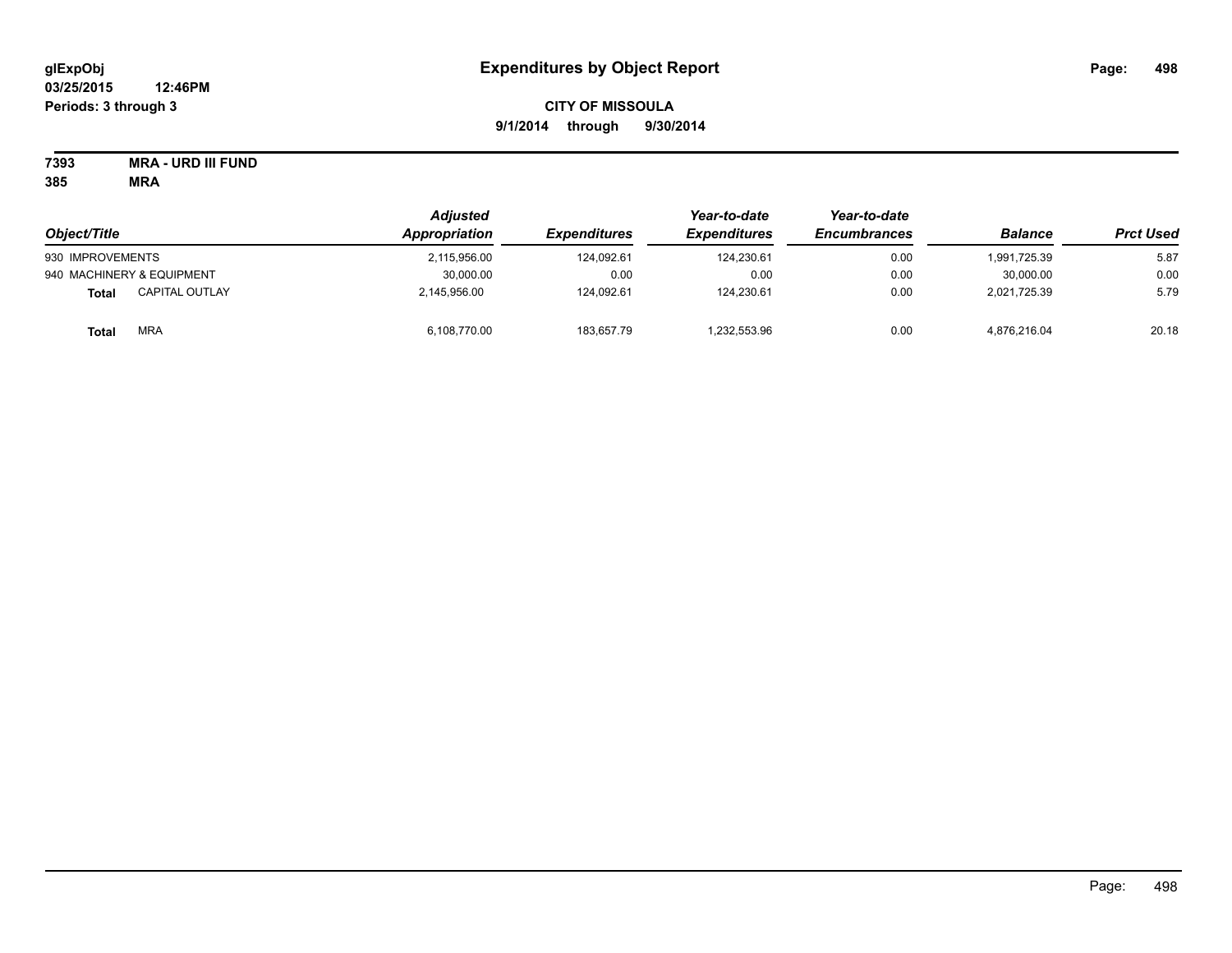# **CITY OF MISSOULA 9/1/2014 through 9/30/2014**

**7393 MRA - URD III FUND**

| Object/Title                          | <b>Adjusted</b><br>Appropriation | <b>Expenditures</b> | Year-to-date<br><b>Expenditures</b> | Year-to-date<br><b>Encumbrances</b> | <b>Balance</b> | <b>Prct Used</b> |
|---------------------------------------|----------------------------------|---------------------|-------------------------------------|-------------------------------------|----------------|------------------|
|                                       |                                  |                     |                                     |                                     |                |                  |
| 930 IMPROVEMENTS                      | 2.115.956.00                     | 124.092.61          | 124.230.61                          | 0.00                                | 1,991,725.39   | 5.87             |
| 940 MACHINERY & EQUIPMENT             | 30,000.00                        | 0.00                | 0.00                                | 0.00                                | 30.000.00      | 0.00             |
| <b>CAPITAL OUTLAY</b><br><b>Total</b> | 2.145.956.00                     | 124.092.61          | 124,230.61                          | 0.00                                | 2,021,725.39   | 5.79             |
| <b>MRA</b><br><b>Total</b>            | 6,108,770.00                     | 183,657.79          | 1,232,553.96                        | 0.00                                | 4,876,216.04   | 20.18            |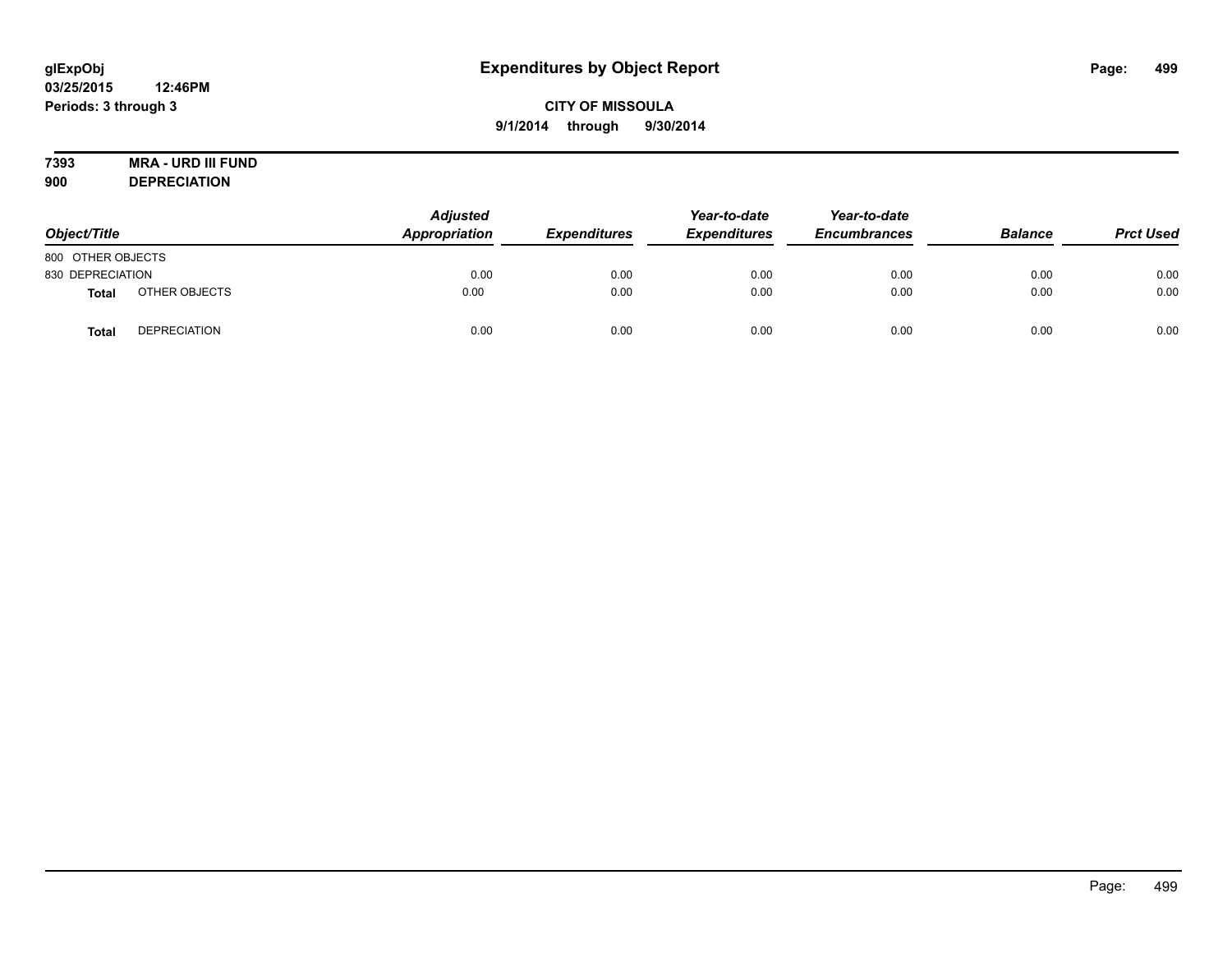# **7393 MRA - URD III FUND**

**900 DEPRECIATION**

| Object/Title      |                     | <b>Adjusted</b><br>Appropriation | <b>Expenditures</b> | Year-to-date<br><b>Expenditures</b> | Year-to-date<br><b>Encumbrances</b> | <b>Balance</b> | <b>Prct Used</b> |
|-------------------|---------------------|----------------------------------|---------------------|-------------------------------------|-------------------------------------|----------------|------------------|
| 800 OTHER OBJECTS |                     |                                  |                     |                                     |                                     |                |                  |
| 830 DEPRECIATION  |                     | 0.00                             | 0.00                | 0.00                                | 0.00                                | 0.00           | 0.00             |
| Total             | OTHER OBJECTS       | 0.00                             | 0.00                | 0.00                                | 0.00                                | 0.00           | 0.00             |
| <b>Total</b>      | <b>DEPRECIATION</b> | 0.00                             | 0.00                | 0.00                                | 0.00                                | 0.00           | 0.00             |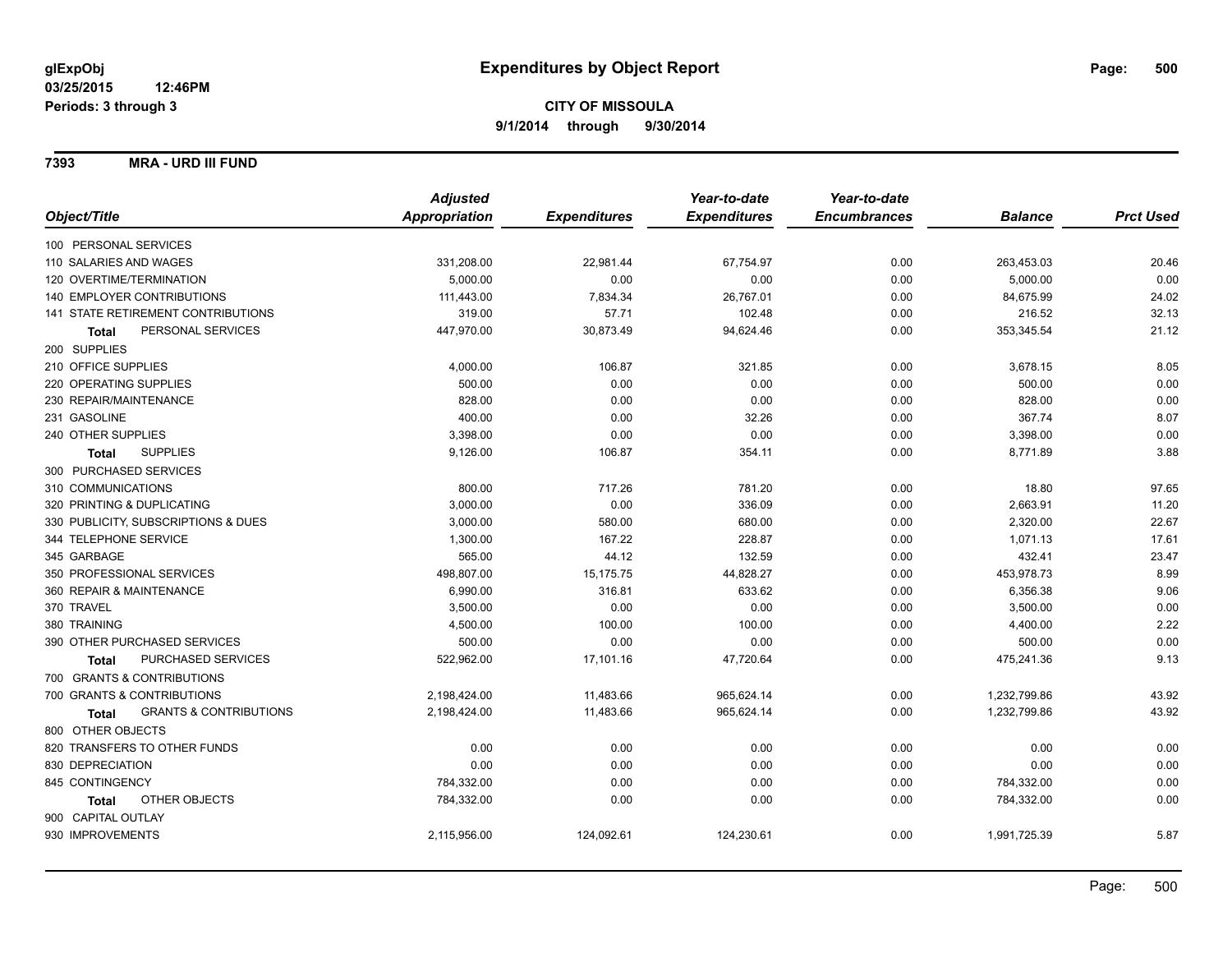**7393 MRA - URD III FUND**

|                                                   | <b>Adjusted</b>      |                     | Year-to-date        | Year-to-date        |                |                  |
|---------------------------------------------------|----------------------|---------------------|---------------------|---------------------|----------------|------------------|
| Object/Title                                      | <b>Appropriation</b> | <b>Expenditures</b> | <b>Expenditures</b> | <b>Encumbrances</b> | <b>Balance</b> | <b>Prct Used</b> |
| 100 PERSONAL SERVICES                             |                      |                     |                     |                     |                |                  |
| 110 SALARIES AND WAGES                            | 331,208.00           | 22,981.44           | 67,754.97           | 0.00                | 263,453.03     | 20.46            |
| 120 OVERTIME/TERMINATION                          | 5,000.00             | 0.00                | 0.00                | 0.00                | 5,000.00       | 0.00             |
| 140 EMPLOYER CONTRIBUTIONS                        | 111,443.00           | 7,834.34            | 26,767.01           | 0.00                | 84,675.99      | 24.02            |
| 141 STATE RETIREMENT CONTRIBUTIONS                | 319.00               | 57.71               | 102.48              | 0.00                | 216.52         | 32.13            |
| PERSONAL SERVICES<br><b>Total</b>                 | 447,970.00           | 30,873.49           | 94,624.46           | 0.00                | 353,345.54     | 21.12            |
| 200 SUPPLIES                                      |                      |                     |                     |                     |                |                  |
| 210 OFFICE SUPPLIES                               | 4,000.00             | 106.87              | 321.85              | 0.00                | 3,678.15       | 8.05             |
| 220 OPERATING SUPPLIES                            | 500.00               | 0.00                | 0.00                | 0.00                | 500.00         | 0.00             |
| 230 REPAIR/MAINTENANCE                            | 828.00               | 0.00                | 0.00                | 0.00                | 828.00         | 0.00             |
| 231 GASOLINE                                      | 400.00               | 0.00                | 32.26               | 0.00                | 367.74         | 8.07             |
| 240 OTHER SUPPLIES                                | 3,398.00             | 0.00                | 0.00                | 0.00                | 3,398.00       | 0.00             |
| <b>SUPPLIES</b><br>Total                          | 9,126.00             | 106.87              | 354.11              | 0.00                | 8,771.89       | 3.88             |
| 300 PURCHASED SERVICES                            |                      |                     |                     |                     |                |                  |
| 310 COMMUNICATIONS                                | 800.00               | 717.26              | 781.20              | 0.00                | 18.80          | 97.65            |
| 320 PRINTING & DUPLICATING                        | 3,000.00             | 0.00                | 336.09              | 0.00                | 2,663.91       | 11.20            |
| 330 PUBLICITY, SUBSCRIPTIONS & DUES               | 3,000.00             | 580.00              | 680.00              | 0.00                | 2,320.00       | 22.67            |
| 344 TELEPHONE SERVICE                             | 1,300.00             | 167.22              | 228.87              | 0.00                | 1,071.13       | 17.61            |
| 345 GARBAGE                                       | 565.00               | 44.12               | 132.59              | 0.00                | 432.41         | 23.47            |
| 350 PROFESSIONAL SERVICES                         | 498,807.00           | 15,175.75           | 44,828.27           | 0.00                | 453,978.73     | 8.99             |
| 360 REPAIR & MAINTENANCE                          | 6,990.00             | 316.81              | 633.62              | 0.00                | 6,356.38       | 9.06             |
| 370 TRAVEL                                        | 3,500.00             | 0.00                | 0.00                | 0.00                | 3,500.00       | 0.00             |
| 380 TRAINING                                      | 4,500.00             | 100.00              | 100.00              | 0.00                | 4,400.00       | 2.22             |
| 390 OTHER PURCHASED SERVICES                      | 500.00               | 0.00                | 0.00                | 0.00                | 500.00         | 0.00             |
| PURCHASED SERVICES<br>Total                       | 522,962.00           | 17,101.16           | 47,720.64           | 0.00                | 475,241.36     | 9.13             |
| 700 GRANTS & CONTRIBUTIONS                        |                      |                     |                     |                     |                |                  |
| 700 GRANTS & CONTRIBUTIONS                        | 2,198,424.00         | 11,483.66           | 965,624.14          | 0.00                | 1,232,799.86   | 43.92            |
| <b>GRANTS &amp; CONTRIBUTIONS</b><br><b>Total</b> | 2,198,424.00         | 11,483.66           | 965,624.14          | 0.00                | 1,232,799.86   | 43.92            |
| 800 OTHER OBJECTS                                 |                      |                     |                     |                     |                |                  |
| 820 TRANSFERS TO OTHER FUNDS                      | 0.00                 | 0.00                | 0.00                | 0.00                | 0.00           | 0.00             |
| 830 DEPRECIATION                                  | 0.00                 | 0.00                | 0.00                | 0.00                | 0.00           | 0.00             |
| 845 CONTINGENCY                                   | 784,332.00           | 0.00                | 0.00                | 0.00                | 784,332.00     | 0.00             |
| OTHER OBJECTS<br>Total                            | 784,332.00           | 0.00                | 0.00                | 0.00                | 784,332.00     | 0.00             |
| 900 CAPITAL OUTLAY                                |                      |                     |                     |                     |                |                  |
| 930 IMPROVEMENTS                                  | 2,115,956.00         | 124,092.61          | 124,230.61          | 0.00                | 1,991,725.39   | 5.87             |
|                                                   |                      |                     |                     |                     |                |                  |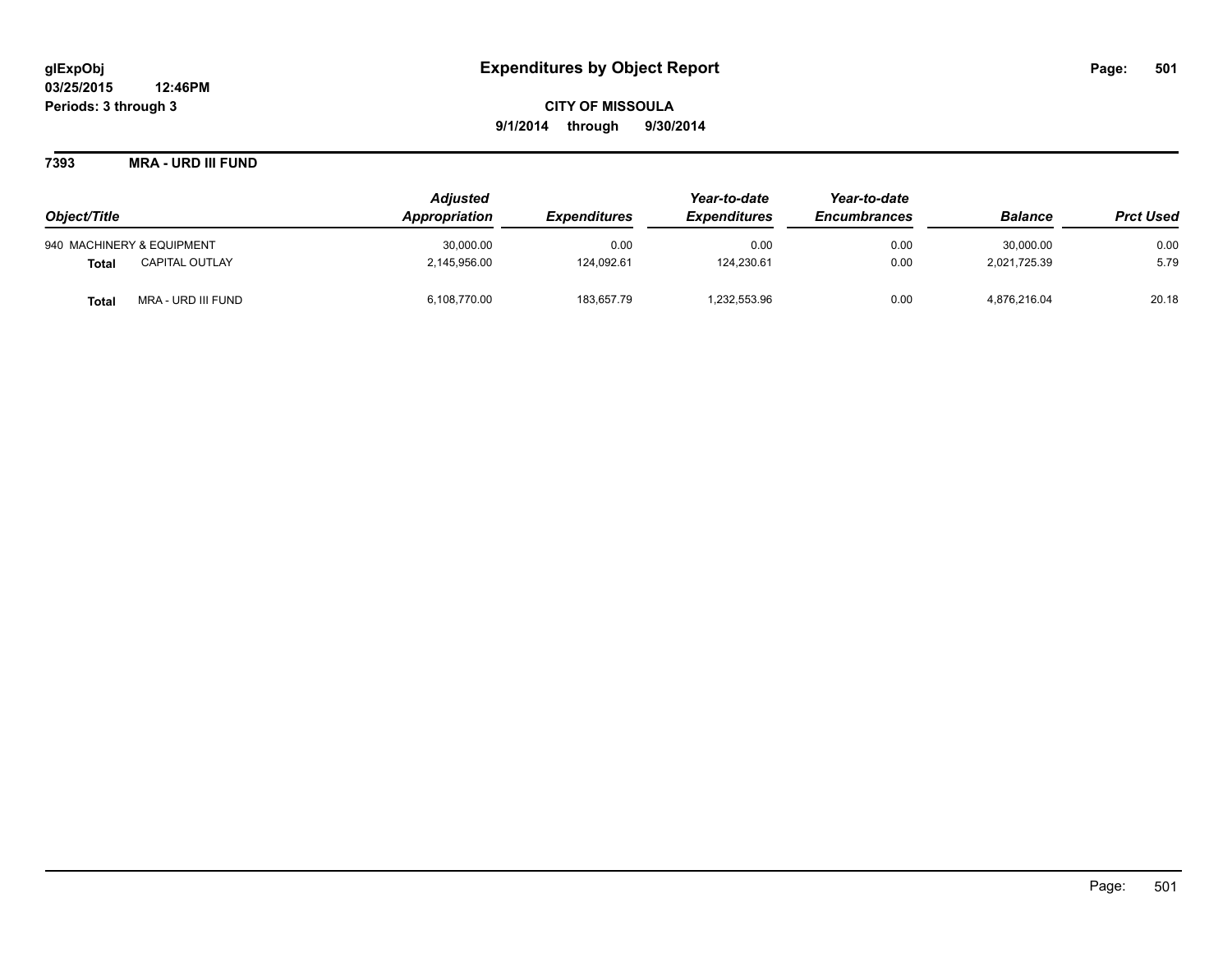**7393 MRA - URD III FUND**

|                                       | <b>Adjusted</b> |                            | Year-to-date               | Year-to-date        |                |                  |
|---------------------------------------|-----------------|----------------------------|----------------------------|---------------------|----------------|------------------|
| Object/Title                          | Appropriation   | <i><b>Expenditures</b></i> | <i><b>Expenditures</b></i> | <b>Encumbrances</b> | <b>Balance</b> | <b>Prct Used</b> |
| 940 MACHINERY & EQUIPMENT             | 30.000.00       | 0.00                       | 0.00                       | 0.00                | 30.000.00      | 0.00             |
| <b>CAPITAL OUTLAY</b><br><b>Total</b> | 2,145,956.00    | 124.092.61                 | 124.230.61                 | 0.00                | 2.021.725.39   | 5.79             |
| MRA - URD III FUND<br><b>Total</b>    | 6,108,770.00    | 183,657.79                 | 1,232,553.96               | 0.00                | 4,876,216.04   | 20.18            |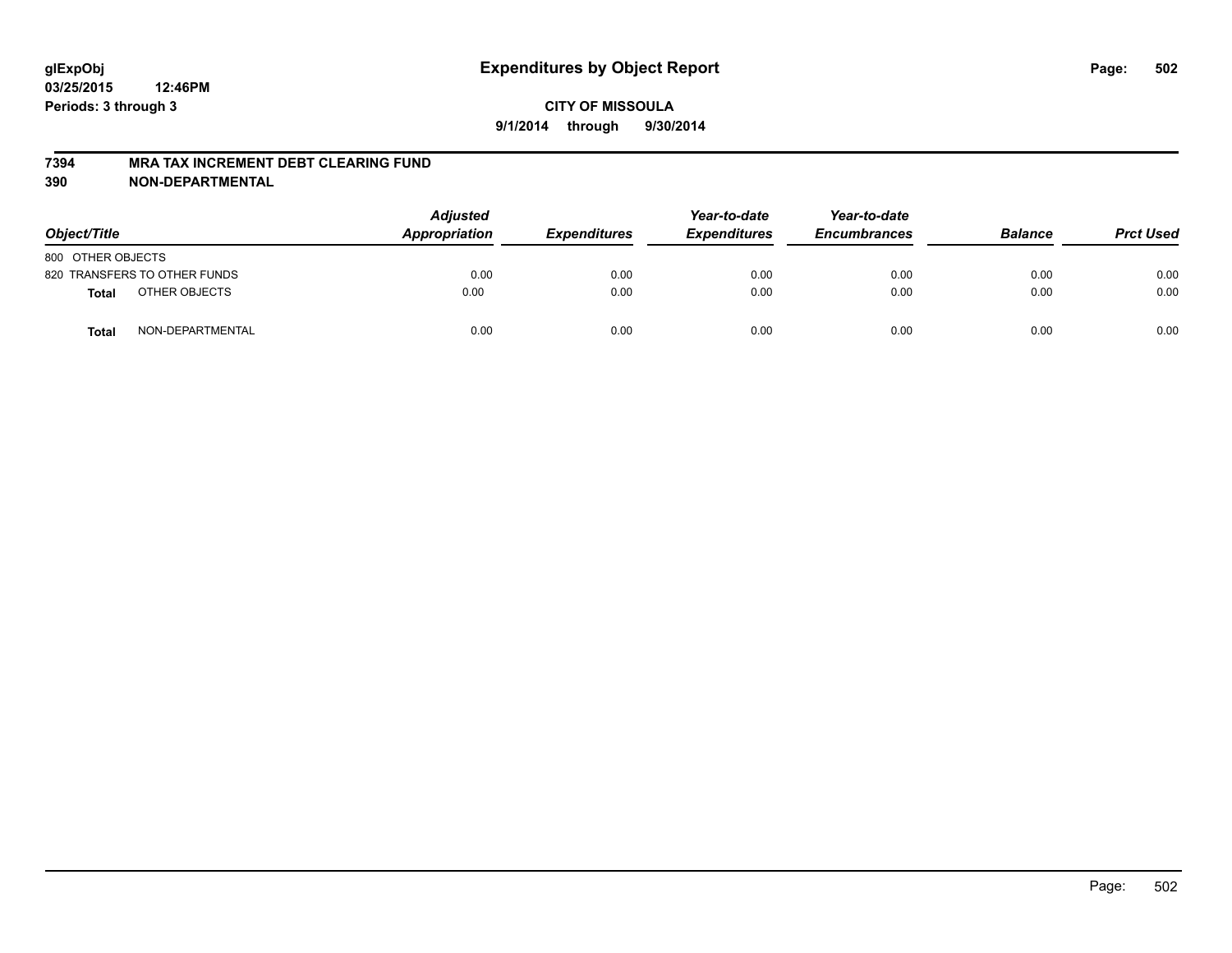#### **7394 MRA TAX INCREMENT DEBT CLEARING FUND**

| Object/Title                     | <b>Adjusted</b><br>Appropriation | <b>Expenditures</b> | Year-to-date<br><b>Expenditures</b> | Year-to-date<br><b>Encumbrances</b> | <b>Balance</b> | <b>Prct Used</b> |
|----------------------------------|----------------------------------|---------------------|-------------------------------------|-------------------------------------|----------------|------------------|
| 800 OTHER OBJECTS                |                                  |                     |                                     |                                     |                |                  |
| 820 TRANSFERS TO OTHER FUNDS     | 0.00                             | 0.00                | 0.00                                | 0.00                                | 0.00           | 0.00             |
| OTHER OBJECTS<br><b>Total</b>    | 0.00                             | 0.00                | 0.00                                | 0.00                                | 0.00           | 0.00             |
| NON-DEPARTMENTAL<br><b>Total</b> | 0.00                             | 0.00                | 0.00                                | 0.00                                | 0.00           | 0.00             |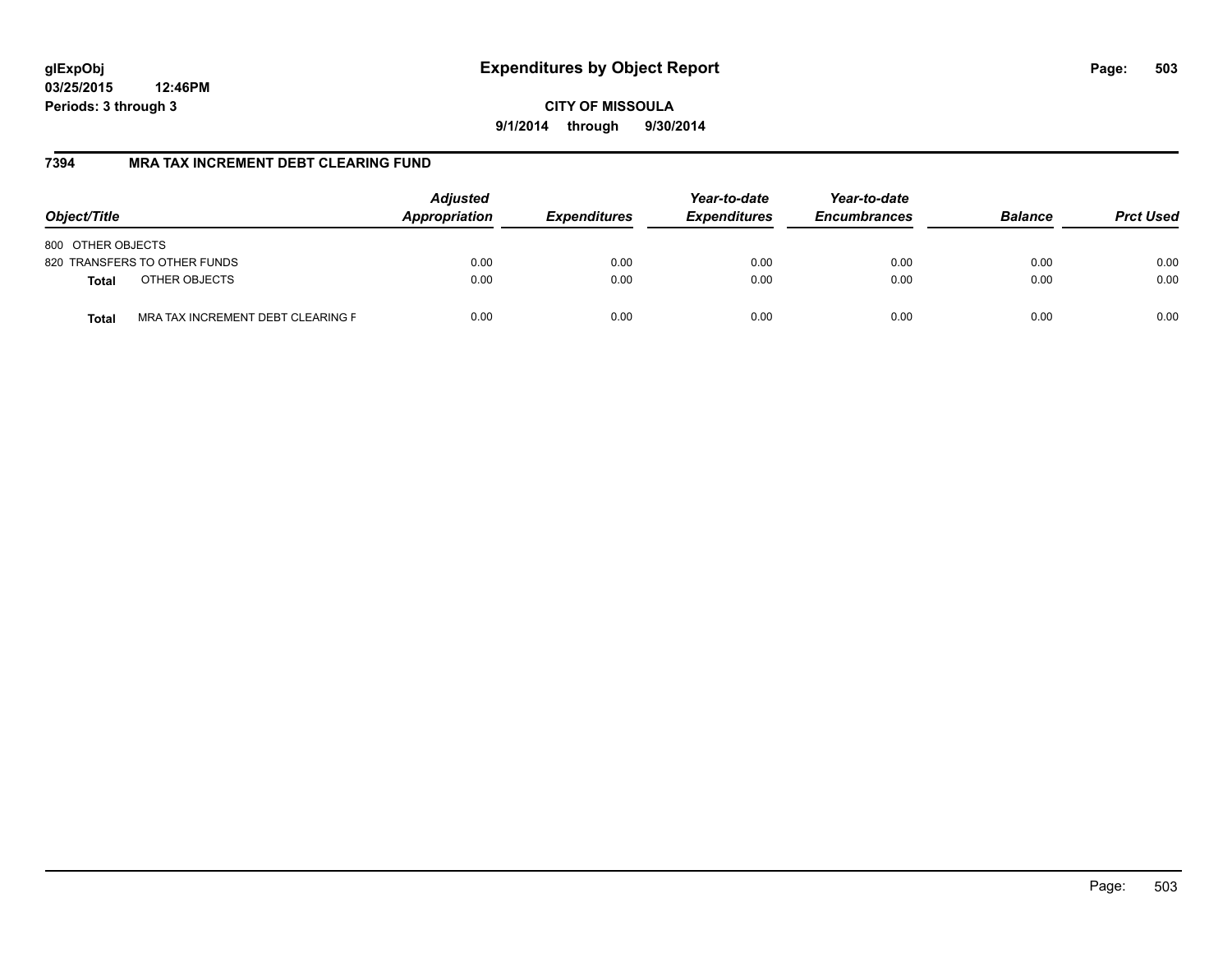**CITY OF MISSOULA 9/1/2014 through 9/30/2014**

### **7394 MRA TAX INCREMENT DEBT CLEARING FUND**

| Object/Title                                      | <b>Adjusted</b><br>Appropriation<br><b>Expenditures</b> | Year-to-date<br><b>Expenditures</b> | Year-to-date<br><b>Encumbrances</b> | <b>Balance</b> | <b>Prct Used</b> |      |
|---------------------------------------------------|---------------------------------------------------------|-------------------------------------|-------------------------------------|----------------|------------------|------|
| 800 OTHER OBJECTS                                 |                                                         |                                     |                                     |                |                  |      |
| 820 TRANSFERS TO OTHER FUNDS                      | 0.00                                                    | 0.00                                | 0.00                                | 0.00           | 0.00             | 0.00 |
| OTHER OBJECTS<br><b>Total</b>                     | 0.00                                                    | 0.00                                | 0.00                                | 0.00           | 0.00             | 0.00 |
| MRA TAX INCREMENT DEBT CLEARING F<br><b>Total</b> | 0.00                                                    | 0.00                                | 0.00                                | 0.00           | 0.00             | 0.00 |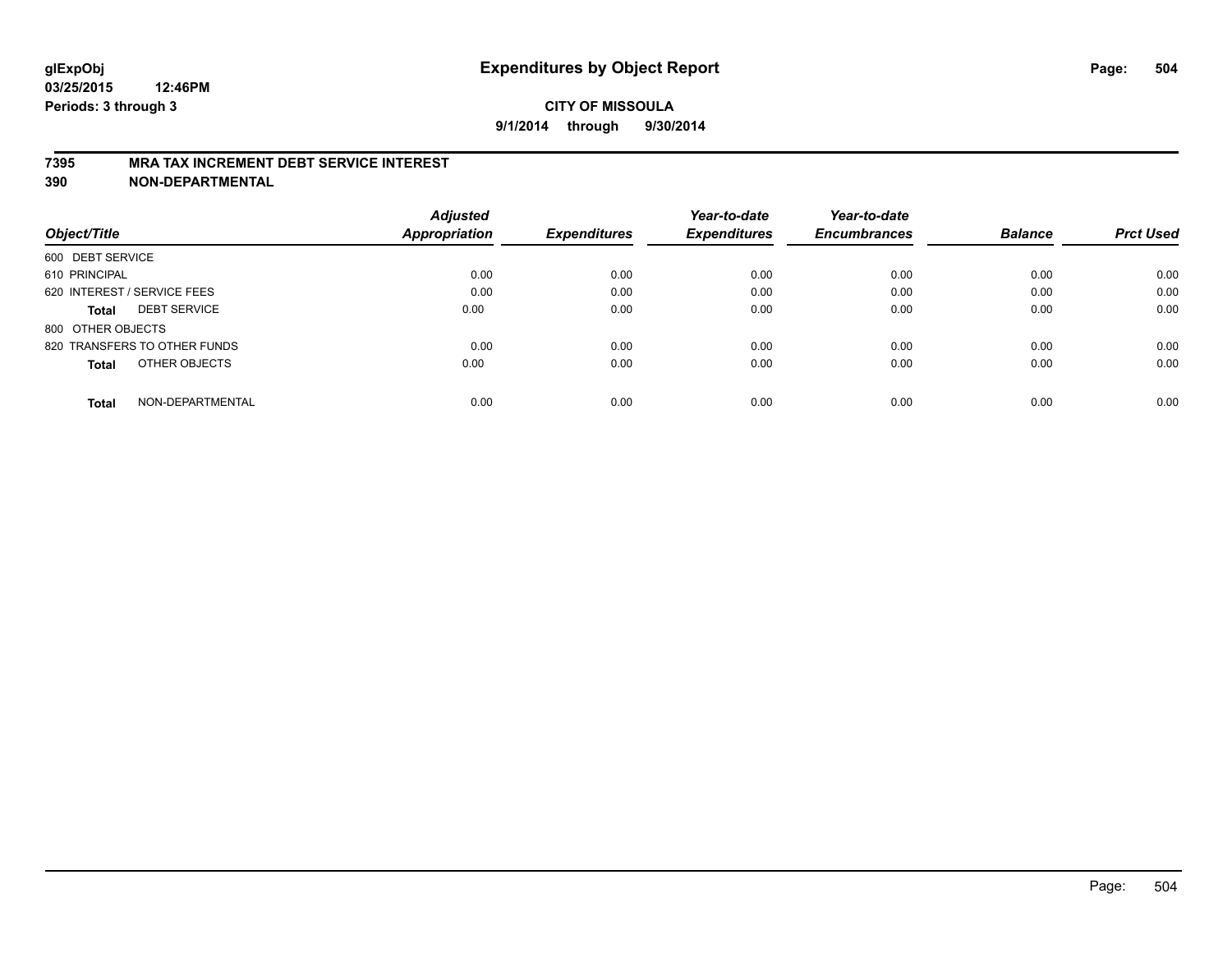#### **7395 MRA TAX INCREMENT DEBT SERVICE INTEREST**

|                                     | <b>Adjusted</b>      |                     | Year-to-date        | Year-to-date        |                |                  |
|-------------------------------------|----------------------|---------------------|---------------------|---------------------|----------------|------------------|
| Object/Title                        | <b>Appropriation</b> | <b>Expenditures</b> | <b>Expenditures</b> | <b>Encumbrances</b> | <b>Balance</b> | <b>Prct Used</b> |
| 600 DEBT SERVICE                    |                      |                     |                     |                     |                |                  |
| 610 PRINCIPAL                       | 0.00                 | 0.00                | 0.00                | 0.00                | 0.00           | 0.00             |
| 620 INTEREST / SERVICE FEES         | 0.00                 | 0.00                | 0.00                | 0.00                | 0.00           | 0.00             |
| <b>DEBT SERVICE</b><br><b>Total</b> | 0.00                 | 0.00                | 0.00                | 0.00                | 0.00           | 0.00             |
| 800 OTHER OBJECTS                   |                      |                     |                     |                     |                |                  |
| 820 TRANSFERS TO OTHER FUNDS        | 0.00                 | 0.00                | 0.00                | 0.00                | 0.00           | 0.00             |
| OTHER OBJECTS<br><b>Total</b>       | 0.00                 | 0.00                | 0.00                | 0.00                | 0.00           | 0.00             |
| NON-DEPARTMENTAL<br>Total           | 0.00                 | 0.00                | 0.00                | 0.00                | 0.00           | 0.00             |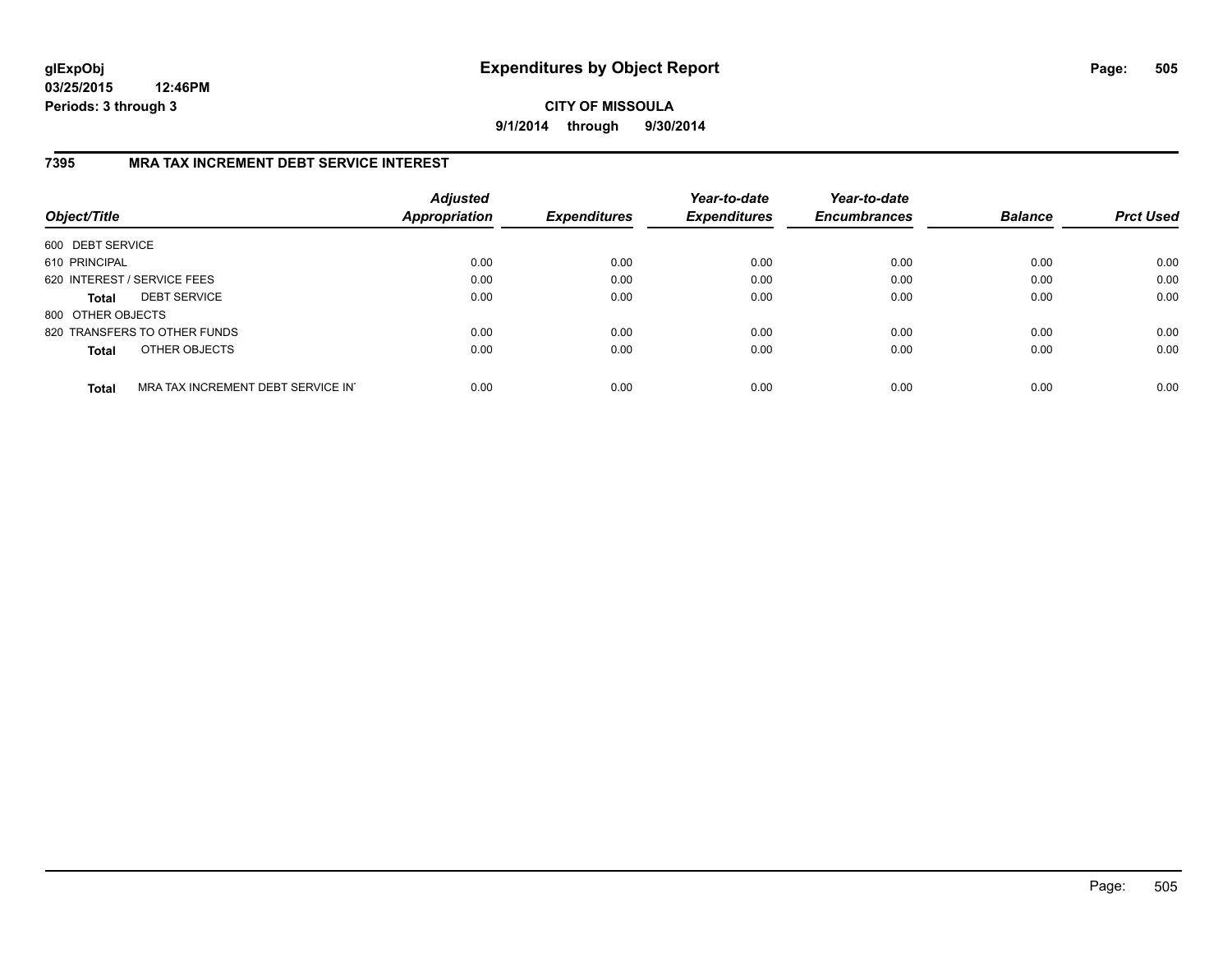**CITY OF MISSOULA 9/1/2014 through 9/30/2014**

## **7395 MRA TAX INCREMENT DEBT SERVICE INTEREST**

| Object/Title      |                                   | <b>Adjusted</b><br><b>Appropriation</b> | <b>Expenditures</b> | Year-to-date<br><b>Expenditures</b> | Year-to-date<br><b>Encumbrances</b> | <b>Balance</b> | <b>Prct Used</b> |
|-------------------|-----------------------------------|-----------------------------------------|---------------------|-------------------------------------|-------------------------------------|----------------|------------------|
| 600 DEBT SERVICE  |                                   |                                         |                     |                                     |                                     |                |                  |
| 610 PRINCIPAL     |                                   | 0.00                                    | 0.00                | 0.00                                | 0.00                                | 0.00           | 0.00             |
|                   | 620 INTEREST / SERVICE FEES       | 0.00                                    | 0.00                | 0.00                                | 0.00                                | 0.00           | 0.00             |
| <b>Total</b>      | <b>DEBT SERVICE</b>               | 0.00                                    | 0.00                | 0.00                                | 0.00                                | 0.00           | 0.00             |
| 800 OTHER OBJECTS |                                   |                                         |                     |                                     |                                     |                |                  |
|                   | 820 TRANSFERS TO OTHER FUNDS      | 0.00                                    | 0.00                | 0.00                                | 0.00                                | 0.00           | 0.00             |
| <b>Total</b>      | OTHER OBJECTS                     | 0.00                                    | 0.00                | 0.00                                | 0.00                                | 0.00           | 0.00             |
| <b>Total</b>      | MRA TAX INCREMENT DEBT SERVICE IN | 0.00                                    | 0.00                | 0.00                                | 0.00                                | 0.00           | 0.00             |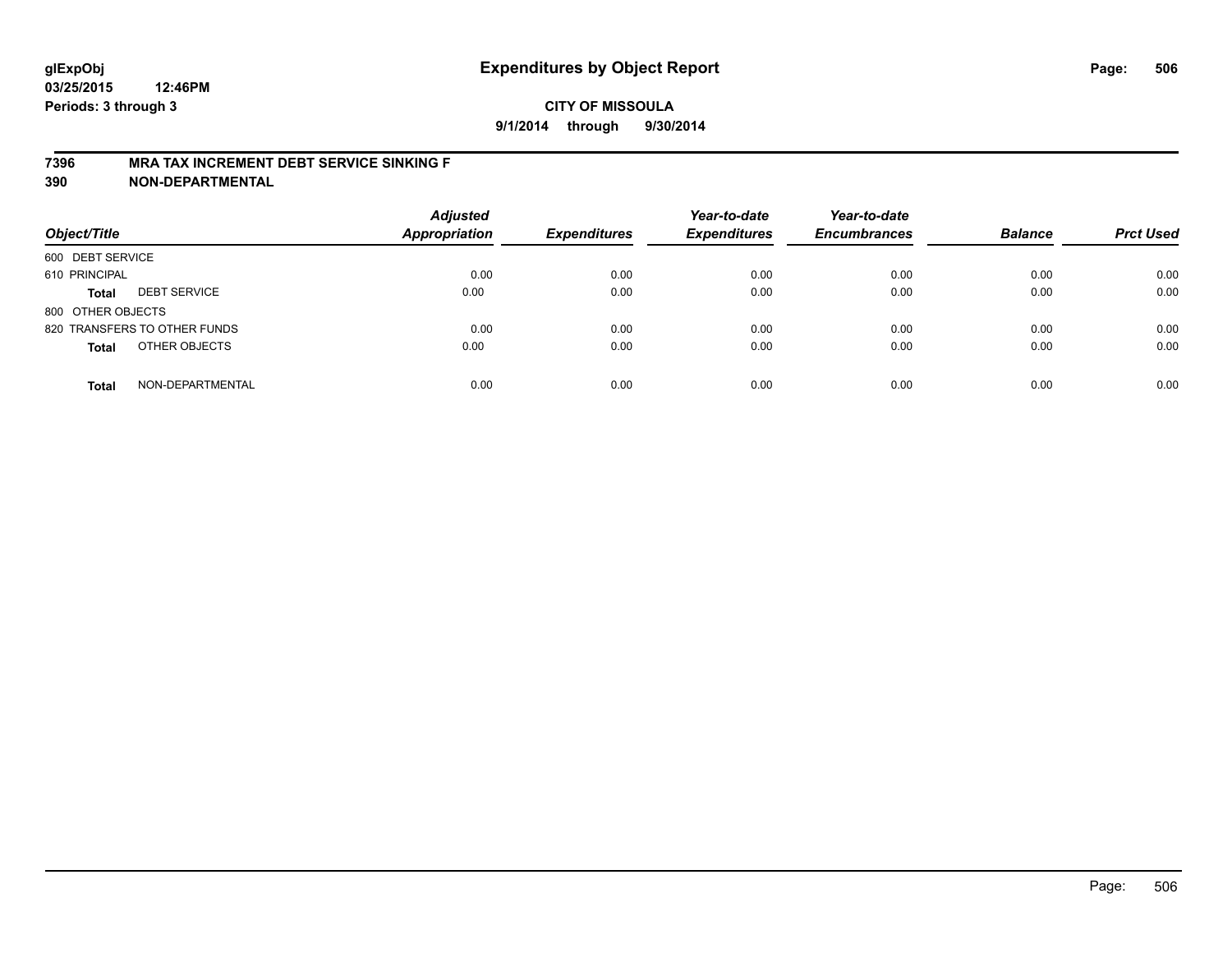## **CITY OF MISSOULA 9/1/2014 through 9/30/2014**

#### **7396 MRA TAX INCREMENT DEBT SERVICE SINKING F**

**390 NON-DEPARTMENTAL**

| Object/Title                        | <b>Adjusted</b><br><b>Appropriation</b> | <b>Expenditures</b> | Year-to-date<br><b>Expenditures</b> | Year-to-date<br><b>Encumbrances</b> | <b>Balance</b> | <b>Prct Used</b> |
|-------------------------------------|-----------------------------------------|---------------------|-------------------------------------|-------------------------------------|----------------|------------------|
| 600 DEBT SERVICE                    |                                         |                     |                                     |                                     |                |                  |
| 610 PRINCIPAL                       | 0.00                                    | 0.00                | 0.00                                | 0.00                                | 0.00           | 0.00             |
| <b>DEBT SERVICE</b><br><b>Total</b> | 0.00                                    | 0.00                | 0.00                                | 0.00                                | 0.00           | 0.00             |
| 800 OTHER OBJECTS                   |                                         |                     |                                     |                                     |                |                  |
| 820 TRANSFERS TO OTHER FUNDS        | 0.00                                    | 0.00                | 0.00                                | 0.00                                | 0.00           | 0.00             |
| OTHER OBJECTS<br><b>Total</b>       | 0.00                                    | 0.00                | 0.00                                | 0.00                                | 0.00           | 0.00             |
| NON-DEPARTMENTAL<br><b>Total</b>    | 0.00                                    | 0.00                | 0.00                                | 0.00                                | 0.00           | 0.00             |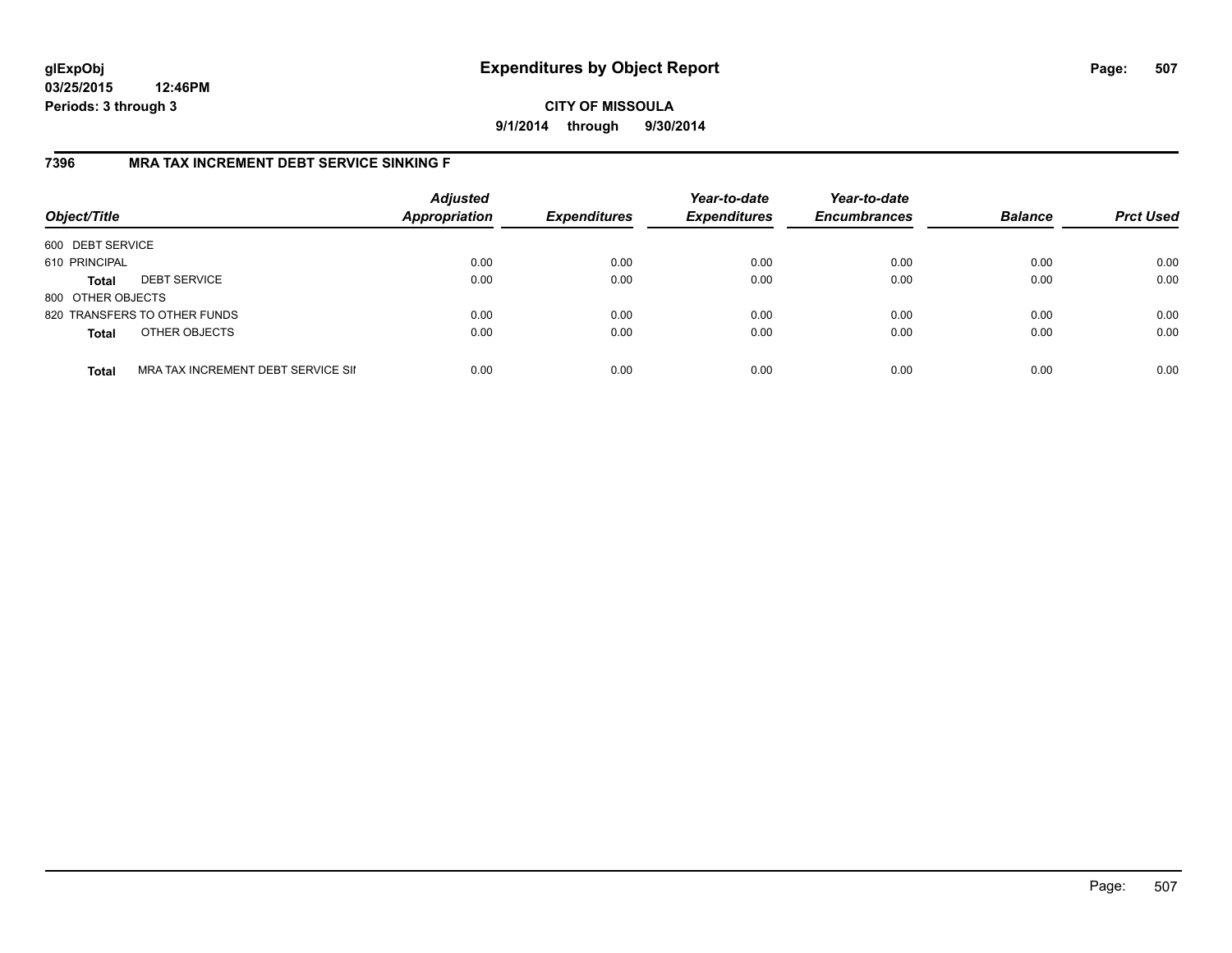## **CITY OF MISSOULA 9/1/2014 through 9/30/2014**

## **7396 MRA TAX INCREMENT DEBT SERVICE SINKING F**

| Object/Title      |                                    | <b>Adjusted</b><br><b>Appropriation</b> | <b>Expenditures</b> | Year-to-date<br><b>Expenditures</b> | Year-to-date<br><b>Encumbrances</b> | <b>Balance</b> | <b>Prct Used</b> |
|-------------------|------------------------------------|-----------------------------------------|---------------------|-------------------------------------|-------------------------------------|----------------|------------------|
| 600 DEBT SERVICE  |                                    |                                         |                     |                                     |                                     |                |                  |
| 610 PRINCIPAL     |                                    | 0.00                                    | 0.00                | 0.00                                | 0.00                                | 0.00           | 0.00             |
| <b>Total</b>      | <b>DEBT SERVICE</b>                | 0.00                                    | 0.00                | 0.00                                | 0.00                                | 0.00           | 0.00             |
| 800 OTHER OBJECTS |                                    |                                         |                     |                                     |                                     |                |                  |
|                   | 820 TRANSFERS TO OTHER FUNDS       | 0.00                                    | 0.00                | 0.00                                | 0.00                                | 0.00           | 0.00             |
| <b>Total</b>      | OTHER OBJECTS                      | 0.00                                    | 0.00                | 0.00                                | 0.00                                | 0.00           | 0.00             |
| <b>Total</b>      | MRA TAX INCREMENT DEBT SERVICE SII | 0.00                                    | 0.00                | 0.00                                | 0.00                                | 0.00           | 0.00             |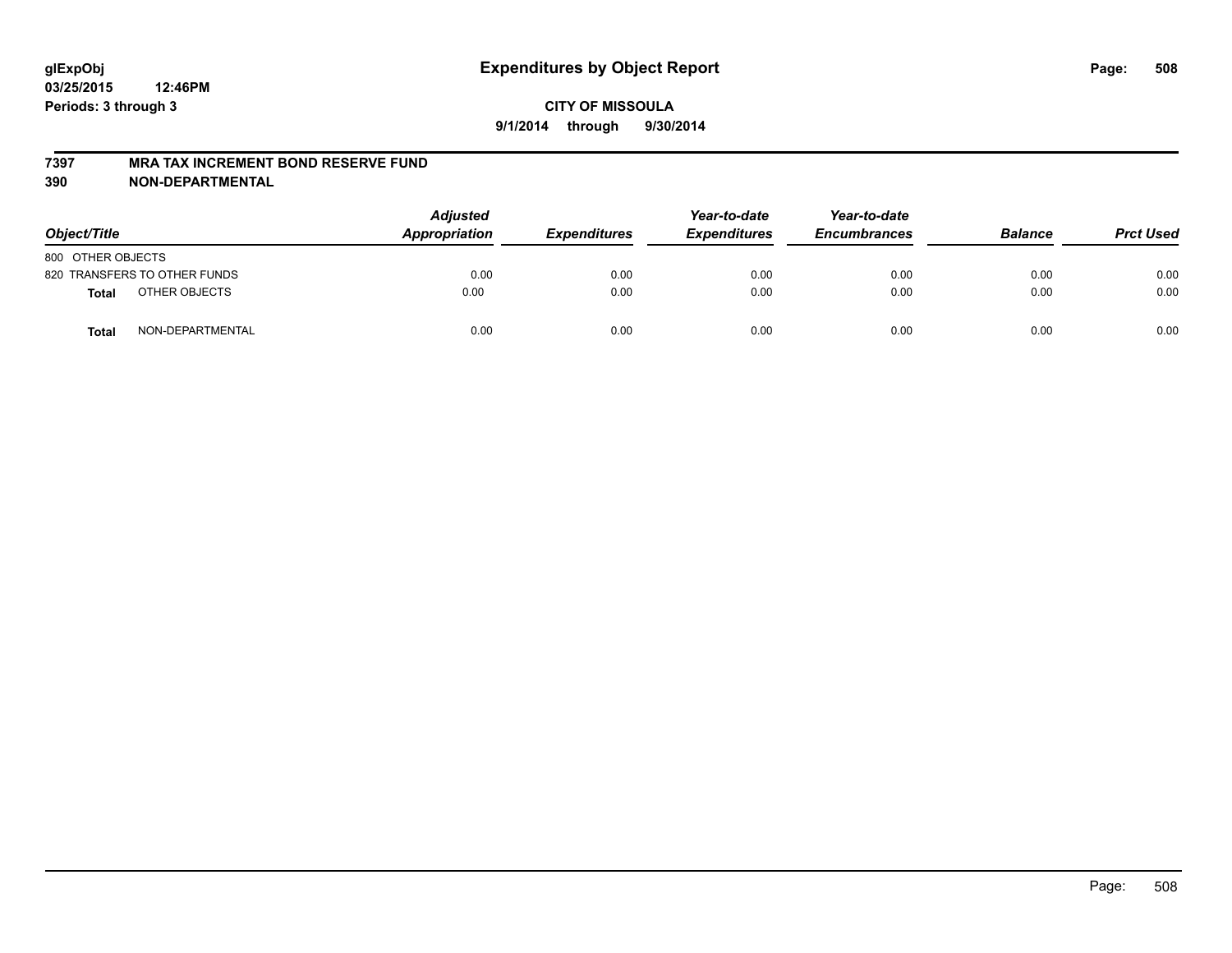#### **7397 MRA TAX INCREMENT BOND RESERVE FUND**

**390 NON-DEPARTMENTAL**

| Object/Title      |                              | <b>Adjusted</b><br>Appropriation | <b>Expenditures</b> | Year-to-date<br><b>Expenditures</b> | Year-to-date<br><b>Encumbrances</b> | <b>Balance</b> | <b>Prct Used</b> |
|-------------------|------------------------------|----------------------------------|---------------------|-------------------------------------|-------------------------------------|----------------|------------------|
| 800 OTHER OBJECTS |                              |                                  |                     |                                     |                                     |                |                  |
|                   | 820 TRANSFERS TO OTHER FUNDS | 0.00                             | 0.00                | 0.00                                | 0.00                                | 0.00           | 0.00             |
| <b>Total</b>      | OTHER OBJECTS                | 0.00                             | 0.00                | 0.00                                | 0.00                                | 0.00           | 0.00             |
| <b>Total</b>      | NON-DEPARTMENTAL             | 0.00                             | 0.00                | 0.00                                | 0.00                                | 0.00           | 0.00             |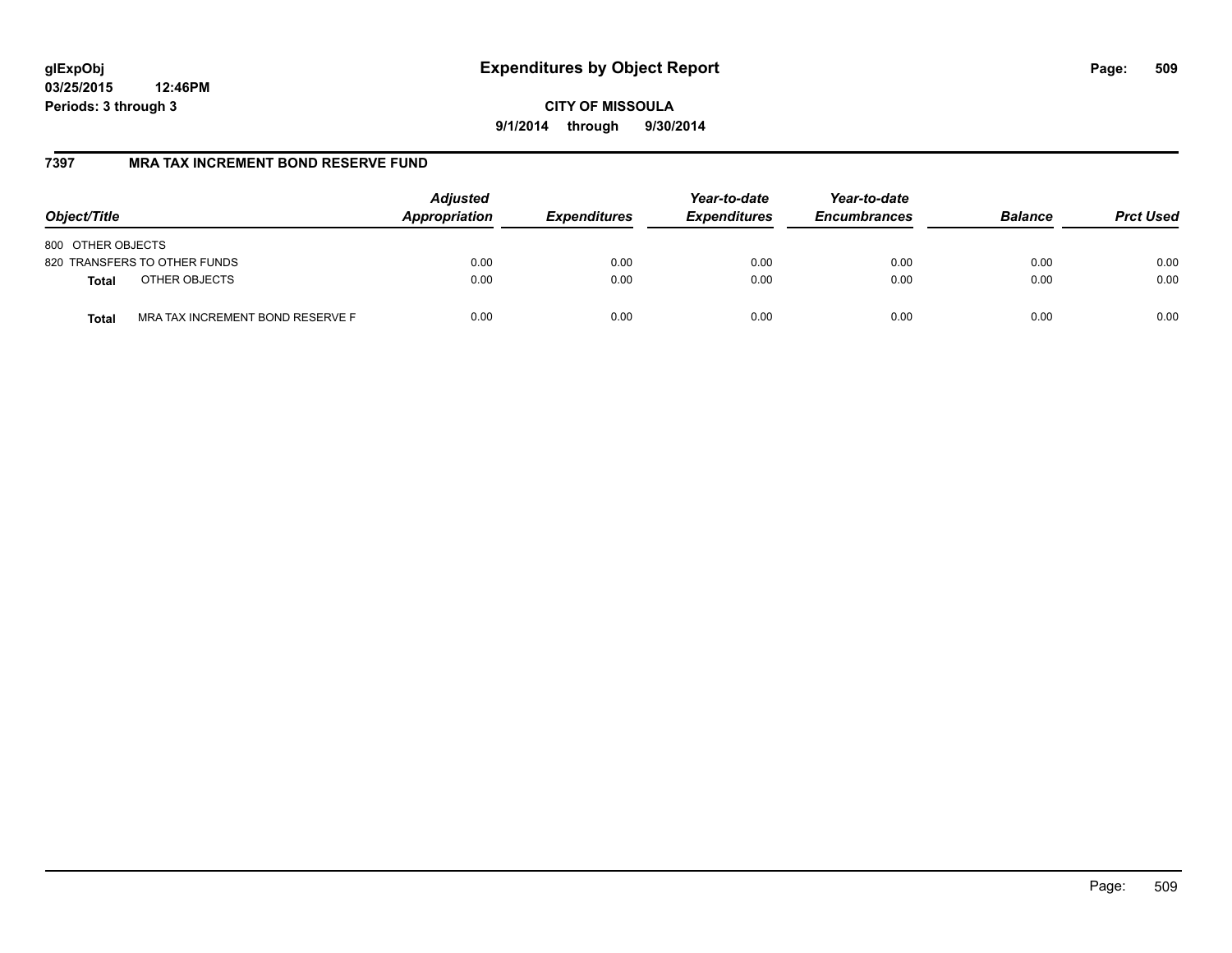# **glExpObj Expenditures by Object Report Page: 509**

**03/25/2015 12:46PM Periods: 3 through 3**

**9/1/2014 through 9/30/2014**

## **7397 MRA TAX INCREMENT BOND RESERVE FUND**

| Object/Title                                     | <b>Adjusted</b><br>Appropriation | <b>Expenditures</b> | Year-to-date<br><b>Expenditures</b> | Year-to-date<br><b>Encumbrances</b> | <b>Balance</b> | <b>Prct Used</b> |
|--------------------------------------------------|----------------------------------|---------------------|-------------------------------------|-------------------------------------|----------------|------------------|
| 800 OTHER OBJECTS                                |                                  |                     |                                     |                                     |                |                  |
| 820 TRANSFERS TO OTHER FUNDS                     | 0.00                             | 0.00                | 0.00                                | 0.00                                | 0.00           | 0.00             |
| OTHER OBJECTS<br><b>Total</b>                    | 0.00                             | 0.00                | 0.00                                | 0.00                                | 0.00           | 0.00             |
| MRA TAX INCREMENT BOND RESERVE F<br><b>Total</b> | 0.00                             | 0.00                | 0.00                                | 0.00                                | 0.00           | 0.00             |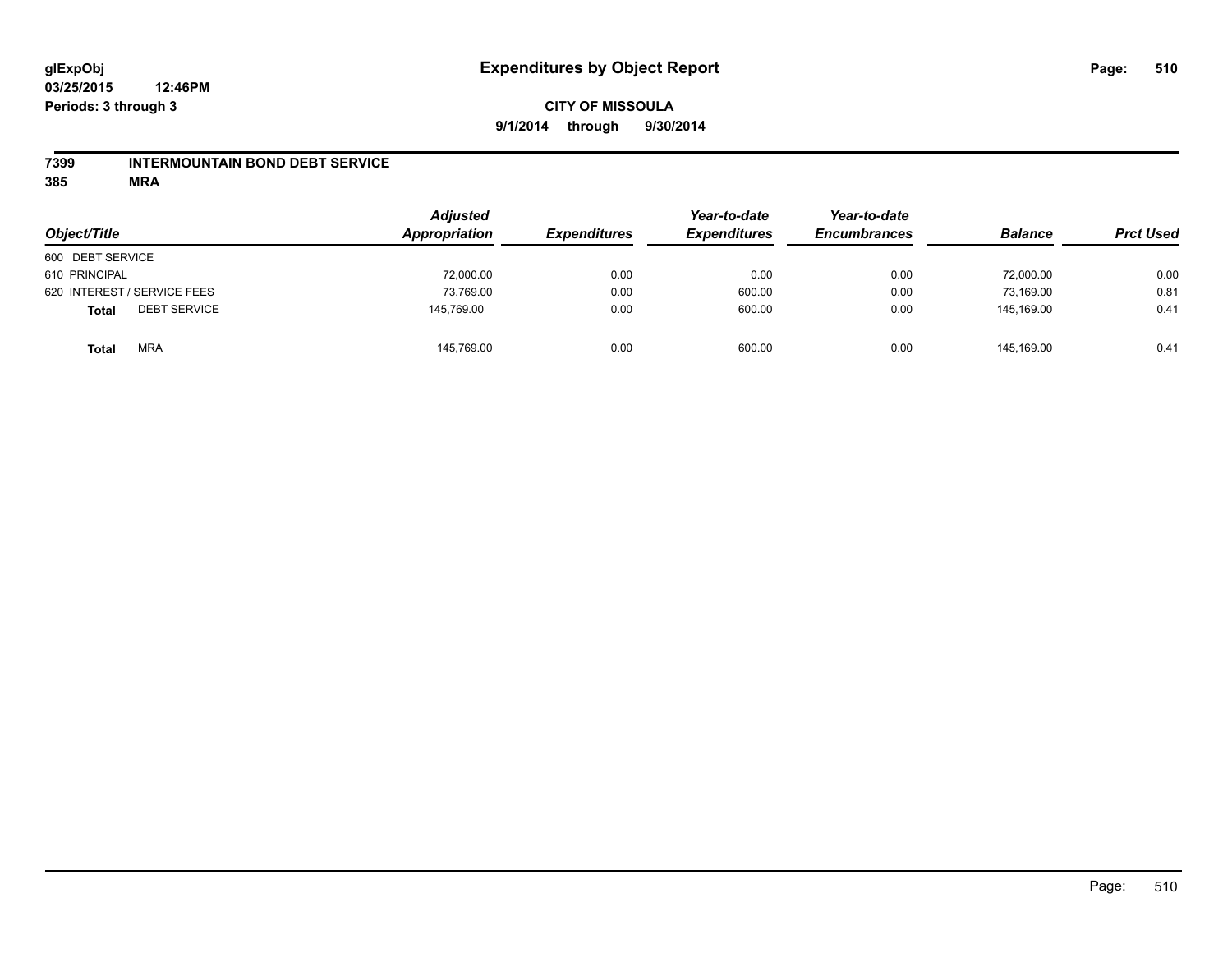### **7399 INTERMOUNTAIN BOND DEBT SERVICE**

**385 MRA**

| Object/Title                        | <b>Adjusted</b><br>Appropriation | <b>Expenditures</b> | Year-to-date<br><b>Expenditures</b> | Year-to-date<br><b>Encumbrances</b> | <b>Balance</b> | <b>Prct Used</b> |
|-------------------------------------|----------------------------------|---------------------|-------------------------------------|-------------------------------------|----------------|------------------|
| 600 DEBT SERVICE                    |                                  |                     |                                     |                                     |                |                  |
| 610 PRINCIPAL                       | 72,000.00                        | 0.00                | 0.00                                | 0.00                                | 72,000.00      | 0.00             |
| 620 INTEREST / SERVICE FEES         | 73,769.00                        | 0.00                | 600.00                              | 0.00                                | 73.169.00      | 0.81             |
| <b>DEBT SERVICE</b><br><b>Total</b> | 145,769.00                       | 0.00                | 600.00                              | 0.00                                | 145.169.00     | 0.41             |
| <b>MRA</b><br><b>Total</b>          | 145,769.00                       | 0.00                | 600.00                              | 0.00                                | 145.169.00     | 0.41             |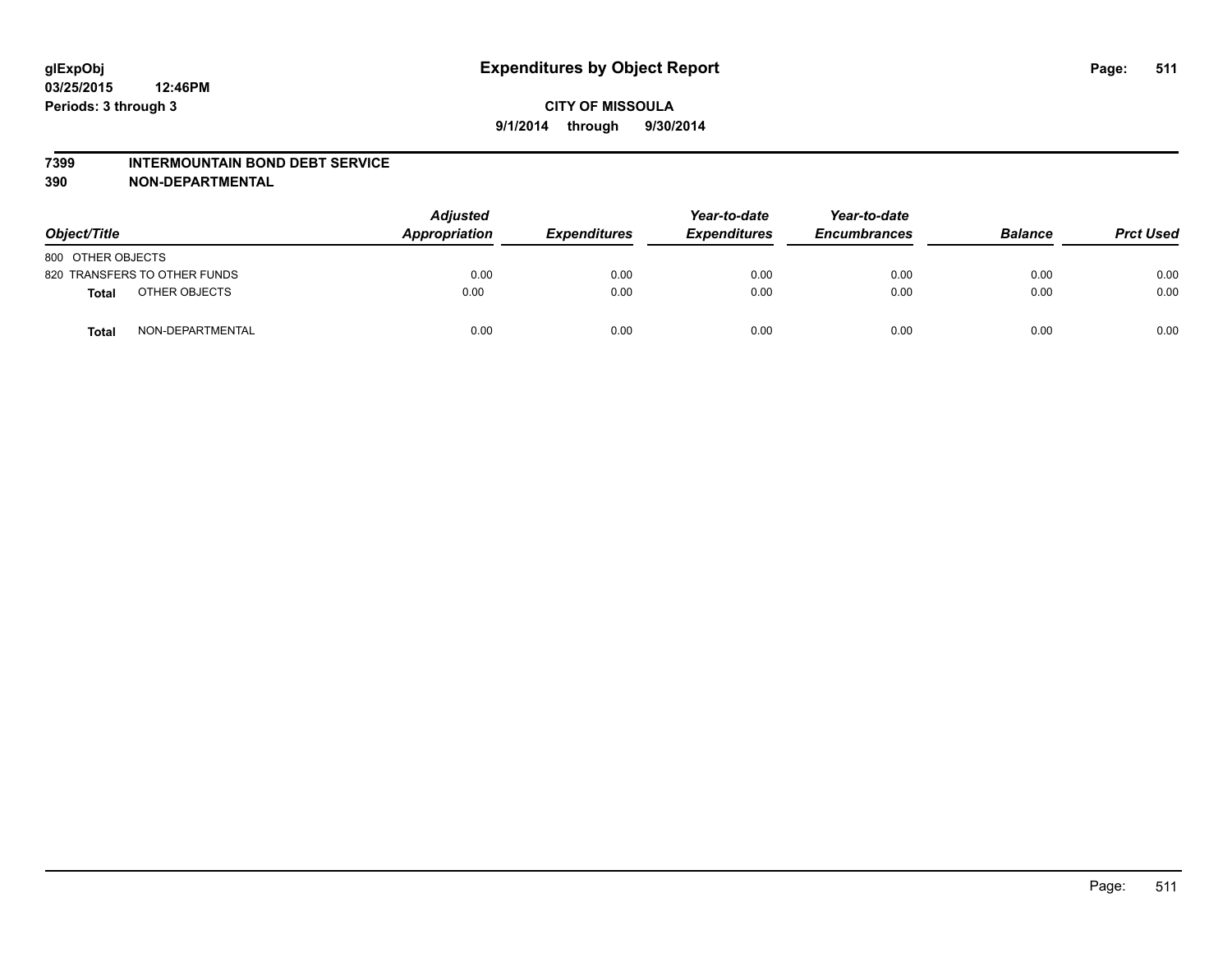#### **7399 INTERMOUNTAIN BOND DEBT SERVICE**

**390 NON-DEPARTMENTAL**

| Object/Title      |                              | <b>Adjusted</b><br>Appropriation | <b>Expenditures</b> | Year-to-date<br><b>Expenditures</b> | Year-to-date<br><b>Encumbrances</b> | <b>Balance</b> | <b>Prct Used</b> |
|-------------------|------------------------------|----------------------------------|---------------------|-------------------------------------|-------------------------------------|----------------|------------------|
| 800 OTHER OBJECTS |                              |                                  |                     |                                     |                                     |                |                  |
|                   | 820 TRANSFERS TO OTHER FUNDS | 0.00                             | 0.00                | 0.00                                | 0.00                                | 0.00           | 0.00             |
| Total             | OTHER OBJECTS                | 0.00                             | 0.00                | 0.00                                | 0.00                                | 0.00           | 0.00             |
| Total             | NON-DEPARTMENTAL             | 0.00                             | 0.00                | 0.00                                | 0.00                                | 0.00           | 0.00             |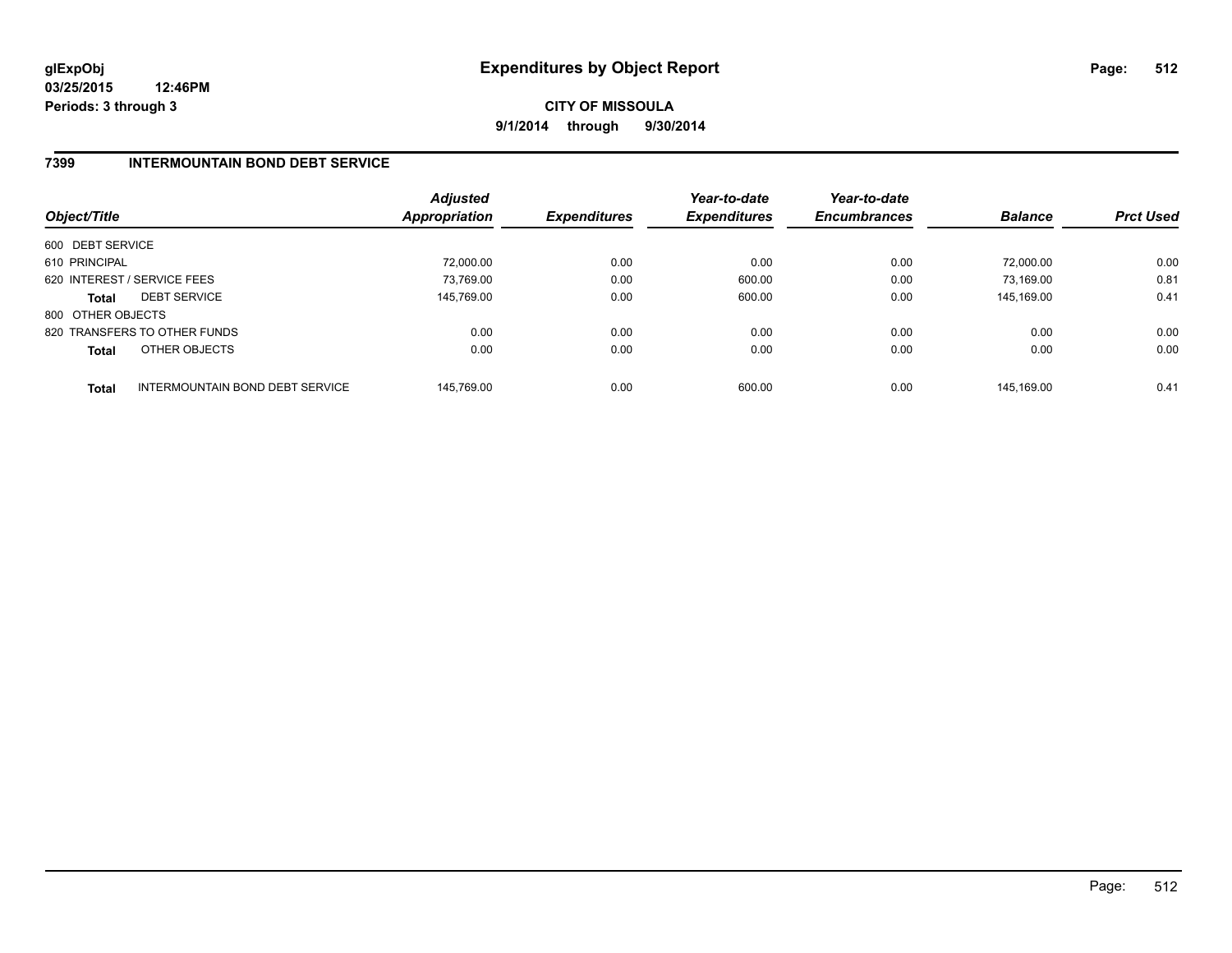**CITY OF MISSOULA 9/1/2014 through 9/30/2014**

## **7399 INTERMOUNTAIN BOND DEBT SERVICE**

| Object/Title      |                                 | <b>Adjusted</b><br><b>Appropriation</b> | <b>Expenditures</b> | Year-to-date<br><b>Expenditures</b> | Year-to-date<br><b>Encumbrances</b> | <b>Balance</b> | <b>Prct Used</b> |
|-------------------|---------------------------------|-----------------------------------------|---------------------|-------------------------------------|-------------------------------------|----------------|------------------|
| 600 DEBT SERVICE  |                                 |                                         |                     |                                     |                                     |                |                  |
| 610 PRINCIPAL     |                                 | 72.000.00                               | 0.00                | 0.00                                | 0.00                                | 72.000.00      | 0.00             |
|                   | 620 INTEREST / SERVICE FEES     | 73,769.00                               | 0.00                | 600.00                              | 0.00                                | 73.169.00      | 0.81             |
| <b>Total</b>      | <b>DEBT SERVICE</b>             | 145.769.00                              | 0.00                | 600.00                              | 0.00                                | 145.169.00     | 0.41             |
| 800 OTHER OBJECTS |                                 |                                         |                     |                                     |                                     |                |                  |
|                   | 820 TRANSFERS TO OTHER FUNDS    | 0.00                                    | 0.00                | 0.00                                | 0.00                                | 0.00           | 0.00             |
| <b>Total</b>      | OTHER OBJECTS                   | 0.00                                    | 0.00                | 0.00                                | 0.00                                | 0.00           | 0.00             |
| <b>Total</b>      | INTERMOUNTAIN BOND DEBT SERVICE | 145.769.00                              | 0.00                | 600.00                              | 0.00                                | 145.169.00     | 0.41             |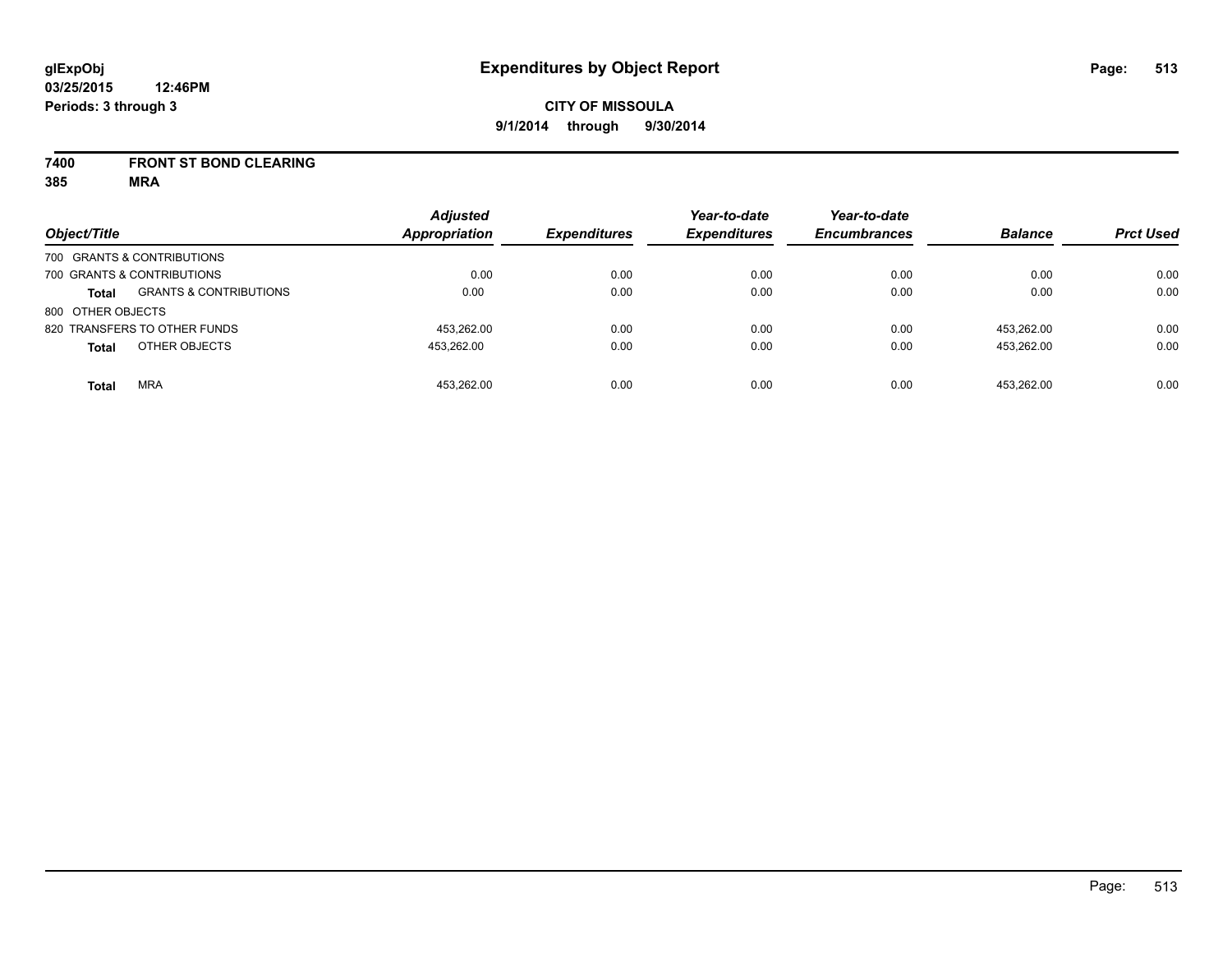### **7400 FRONT ST BOND CLEARING**

**385 MRA**

| Object/Title      |                                   | <b>Adjusted</b><br><b>Appropriation</b> | <b>Expenditures</b> | Year-to-date<br><b>Expenditures</b> | Year-to-date<br><b>Encumbrances</b> | <b>Balance</b> | <b>Prct Used</b> |
|-------------------|-----------------------------------|-----------------------------------------|---------------------|-------------------------------------|-------------------------------------|----------------|------------------|
|                   |                                   |                                         |                     |                                     |                                     |                |                  |
|                   | 700 GRANTS & CONTRIBUTIONS        |                                         |                     |                                     |                                     |                |                  |
|                   | 700 GRANTS & CONTRIBUTIONS        | 0.00                                    | 0.00                | 0.00                                | 0.00                                | 0.00           | 0.00             |
| <b>Total</b>      | <b>GRANTS &amp; CONTRIBUTIONS</b> | 0.00                                    | 0.00                | 0.00                                | 0.00                                | 0.00           | 0.00             |
| 800 OTHER OBJECTS |                                   |                                         |                     |                                     |                                     |                |                  |
|                   | 820 TRANSFERS TO OTHER FUNDS      | 453,262.00                              | 0.00                | 0.00                                | 0.00                                | 453.262.00     | 0.00             |
| <b>Total</b>      | OTHER OBJECTS                     | 453.262.00                              | 0.00                | 0.00                                | 0.00                                | 453.262.00     | 0.00             |
| <b>Total</b>      | <b>MRA</b>                        | 453.262.00                              | 0.00                | 0.00                                | 0.00                                | 453.262.00     | 0.00             |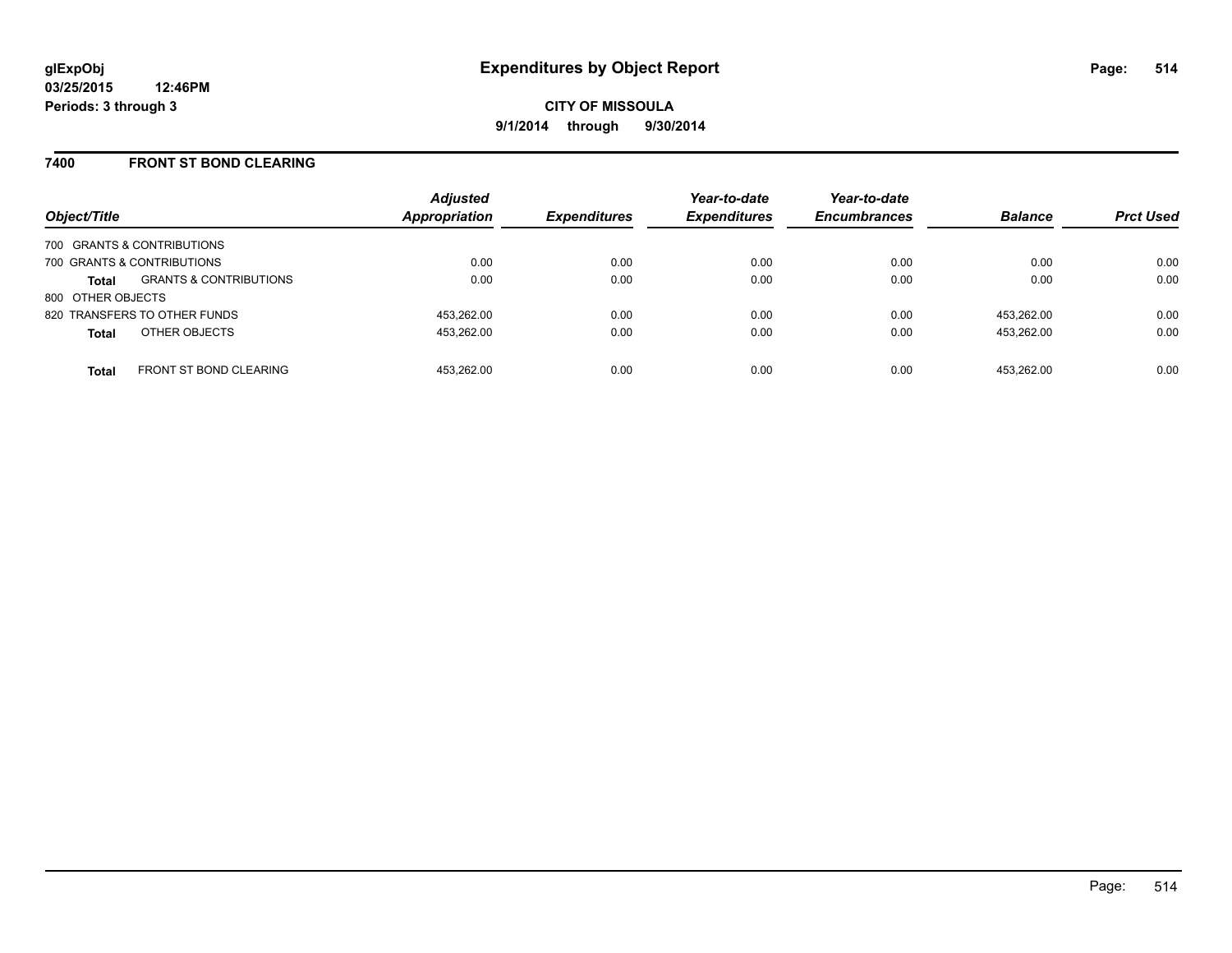### **7400 FRONT ST BOND CLEARING**

| Object/Title      |                                   | <b>Adjusted</b><br><b>Appropriation</b> | <b>Expenditures</b> | Year-to-date<br><b>Expenditures</b> | Year-to-date<br><b>Encumbrances</b> | <b>Balance</b> | <b>Prct Used</b> |
|-------------------|-----------------------------------|-----------------------------------------|---------------------|-------------------------------------|-------------------------------------|----------------|------------------|
|                   | 700 GRANTS & CONTRIBUTIONS        |                                         |                     |                                     |                                     |                |                  |
|                   | 700 GRANTS & CONTRIBUTIONS        | 0.00                                    | 0.00                | 0.00                                | 0.00                                | 0.00           | 0.00             |
| <b>Total</b>      | <b>GRANTS &amp; CONTRIBUTIONS</b> | 0.00                                    | 0.00                | 0.00                                | 0.00                                | 0.00           | 0.00             |
| 800 OTHER OBJECTS |                                   |                                         |                     |                                     |                                     |                |                  |
|                   | 820 TRANSFERS TO OTHER FUNDS      | 453.262.00                              | 0.00                | 0.00                                | 0.00                                | 453.262.00     | 0.00             |
| <b>Total</b>      | OTHER OBJECTS                     | 453.262.00                              | 0.00                | 0.00                                | 0.00                                | 453.262.00     | 0.00             |
| <b>Total</b>      | <b>FRONT ST BOND CLEARING</b>     | 453.262.00                              | 0.00                | 0.00                                | 0.00                                | 453.262.00     | 0.00             |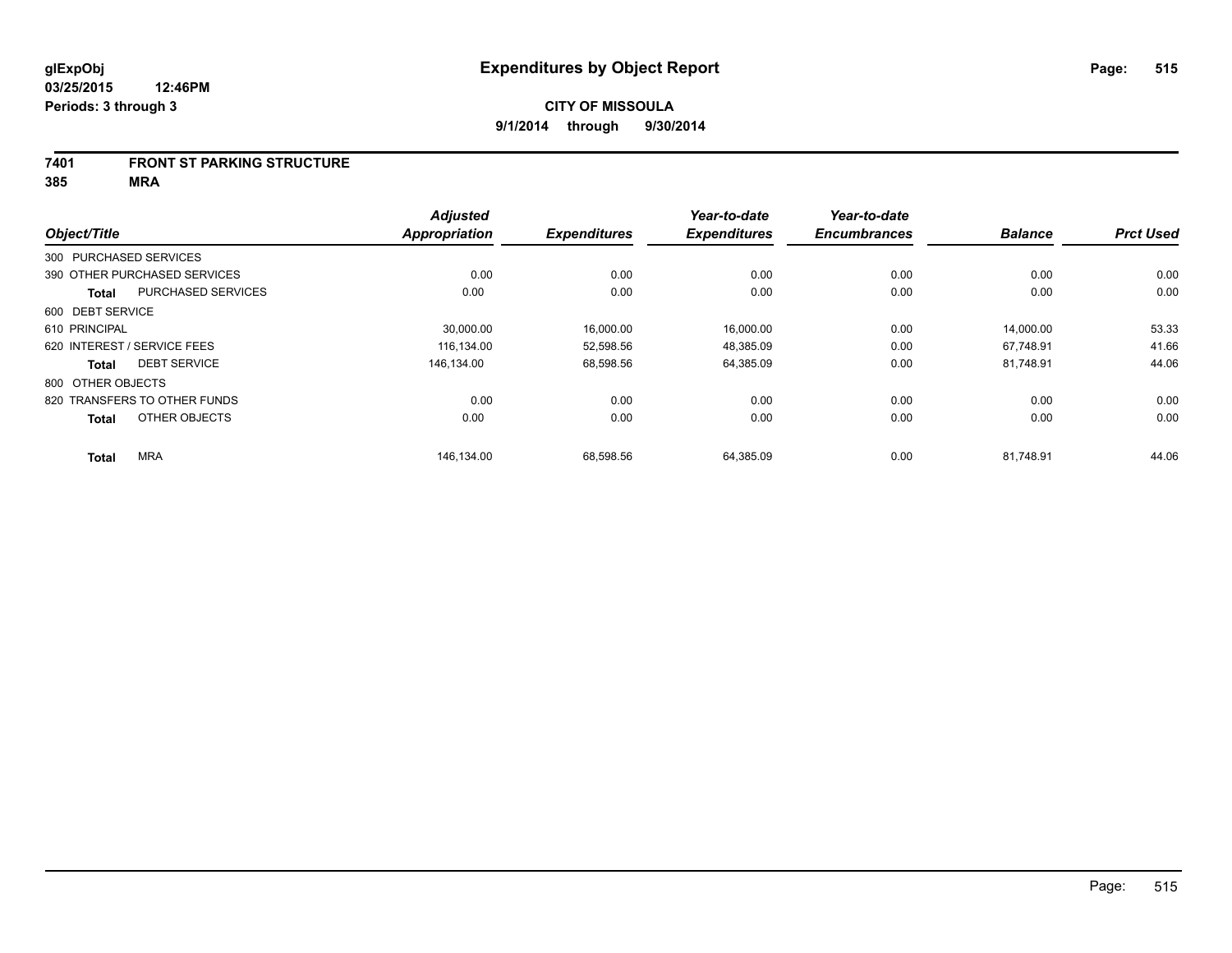#### **7401 FRONT ST PARKING STRUCTURE**

**385 MRA**

|                        |                              | <b>Adjusted</b>      |                     | Year-to-date        | Year-to-date        |                |                  |
|------------------------|------------------------------|----------------------|---------------------|---------------------|---------------------|----------------|------------------|
| Object/Title           |                              | <b>Appropriation</b> | <b>Expenditures</b> | <b>Expenditures</b> | <b>Encumbrances</b> | <b>Balance</b> | <b>Prct Used</b> |
| 300 PURCHASED SERVICES |                              |                      |                     |                     |                     |                |                  |
|                        | 390 OTHER PURCHASED SERVICES | 0.00                 | 0.00                | 0.00                | 0.00                | 0.00           | 0.00             |
| <b>Total</b>           | <b>PURCHASED SERVICES</b>    | 0.00                 | 0.00                | 0.00                | 0.00                | 0.00           | 0.00             |
| 600 DEBT SERVICE       |                              |                      |                     |                     |                     |                |                  |
| 610 PRINCIPAL          |                              | 30,000.00            | 16,000.00           | 16,000.00           | 0.00                | 14,000.00      | 53.33            |
|                        | 620 INTEREST / SERVICE FEES  | 116.134.00           | 52.598.56           | 48.385.09           | 0.00                | 67.748.91      | 41.66            |
| <b>Total</b>           | <b>DEBT SERVICE</b>          | 146.134.00           | 68,598.56           | 64,385.09           | 0.00                | 81,748.91      | 44.06            |
| 800 OTHER OBJECTS      |                              |                      |                     |                     |                     |                |                  |
|                        | 820 TRANSFERS TO OTHER FUNDS | 0.00                 | 0.00                | 0.00                | 0.00                | 0.00           | 0.00             |
| <b>Total</b>           | OTHER OBJECTS                | 0.00                 | 0.00                | 0.00                | 0.00                | 0.00           | 0.00             |
| <b>Total</b>           | <b>MRA</b>                   | 146,134.00           | 68,598.56           | 64,385.09           | 0.00                | 81,748.91      | 44.06            |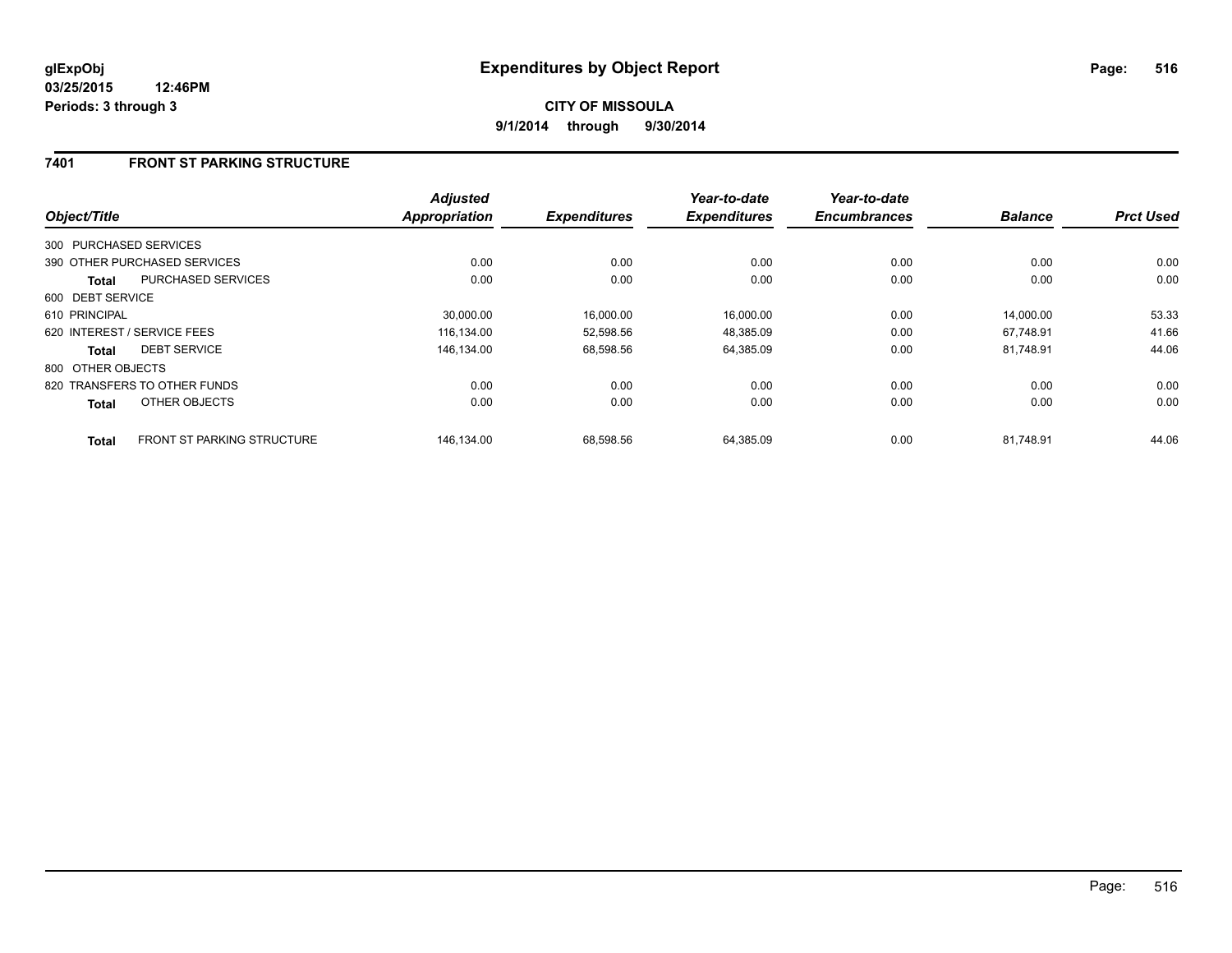## **7401 FRONT ST PARKING STRUCTURE**

| Object/Title           |                                   | <b>Adjusted</b><br>Appropriation | <b>Expenditures</b> | Year-to-date<br><b>Expenditures</b> | Year-to-date<br><b>Encumbrances</b> | <b>Balance</b> | <b>Prct Used</b> |
|------------------------|-----------------------------------|----------------------------------|---------------------|-------------------------------------|-------------------------------------|----------------|------------------|
|                        |                                   |                                  |                     |                                     |                                     |                |                  |
| 300 PURCHASED SERVICES |                                   |                                  |                     |                                     |                                     |                |                  |
|                        | 390 OTHER PURCHASED SERVICES      | 0.00                             | 0.00                | 0.00                                | 0.00                                | 0.00           | 0.00             |
| <b>Total</b>           | <b>PURCHASED SERVICES</b>         | 0.00                             | 0.00                | 0.00                                | 0.00                                | 0.00           | 0.00             |
| 600 DEBT SERVICE       |                                   |                                  |                     |                                     |                                     |                |                  |
| 610 PRINCIPAL          |                                   | 30,000.00                        | 16,000.00           | 16,000.00                           | 0.00                                | 14,000.00      | 53.33            |
|                        | 620 INTEREST / SERVICE FEES       | 116.134.00                       | 52,598.56           | 48,385.09                           | 0.00                                | 67.748.91      | 41.66            |
| <b>Total</b>           | <b>DEBT SERVICE</b>               | 146.134.00                       | 68,598.56           | 64,385.09                           | 0.00                                | 81.748.91      | 44.06            |
| 800 OTHER OBJECTS      |                                   |                                  |                     |                                     |                                     |                |                  |
|                        | 820 TRANSFERS TO OTHER FUNDS      | 0.00                             | 0.00                | 0.00                                | 0.00                                | 0.00           | 0.00             |
| <b>Total</b>           | OTHER OBJECTS                     | 0.00                             | 0.00                | 0.00                                | 0.00                                | 0.00           | 0.00             |
| <b>Total</b>           | <b>FRONT ST PARKING STRUCTURE</b> | 146.134.00                       | 68.598.56           | 64.385.09                           | 0.00                                | 81.748.91      | 44.06            |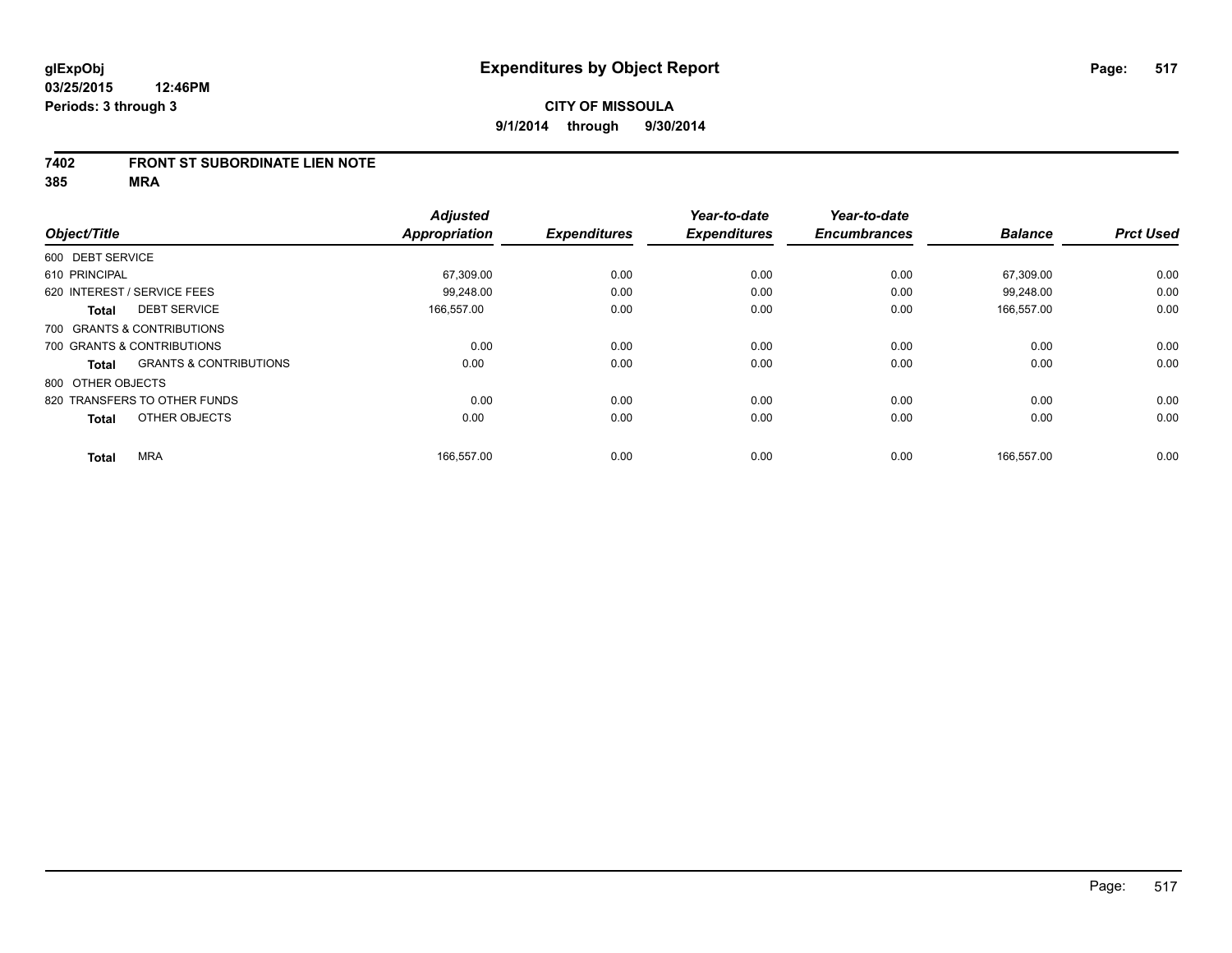#### **7402 FRONT ST SUBORDINATE LIEN NOTE**

**385 MRA**

|                                                   | <b>Adjusted</b> |                     | Year-to-date        | Year-to-date        |                |                  |
|---------------------------------------------------|-----------------|---------------------|---------------------|---------------------|----------------|------------------|
| Object/Title                                      | Appropriation   | <b>Expenditures</b> | <b>Expenditures</b> | <b>Encumbrances</b> | <b>Balance</b> | <b>Prct Used</b> |
| 600 DEBT SERVICE                                  |                 |                     |                     |                     |                |                  |
| 610 PRINCIPAL                                     | 67,309.00       | 0.00                | 0.00                | 0.00                | 67,309.00      | 0.00             |
| 620 INTEREST / SERVICE FEES                       | 99,248.00       | 0.00                | 0.00                | 0.00                | 99,248.00      | 0.00             |
| <b>DEBT SERVICE</b><br><b>Total</b>               | 166,557.00      | 0.00                | 0.00                | 0.00                | 166,557.00     | 0.00             |
| 700 GRANTS & CONTRIBUTIONS                        |                 |                     |                     |                     |                |                  |
| 700 GRANTS & CONTRIBUTIONS                        | 0.00            | 0.00                | 0.00                | 0.00                | 0.00           | 0.00             |
| <b>GRANTS &amp; CONTRIBUTIONS</b><br><b>Total</b> | 0.00            | 0.00                | 0.00                | 0.00                | 0.00           | 0.00             |
| 800 OTHER OBJECTS                                 |                 |                     |                     |                     |                |                  |
| 820 TRANSFERS TO OTHER FUNDS                      | 0.00            | 0.00                | 0.00                | 0.00                | 0.00           | 0.00             |
| OTHER OBJECTS<br><b>Total</b>                     | 0.00            | 0.00                | 0.00                | 0.00                | 0.00           | 0.00             |
|                                                   |                 |                     |                     |                     |                |                  |
| <b>MRA</b><br><b>Total</b>                        | 166,557.00      | 0.00                | 0.00                | 0.00                | 166,557.00     | 0.00             |
|                                                   |                 |                     |                     |                     |                |                  |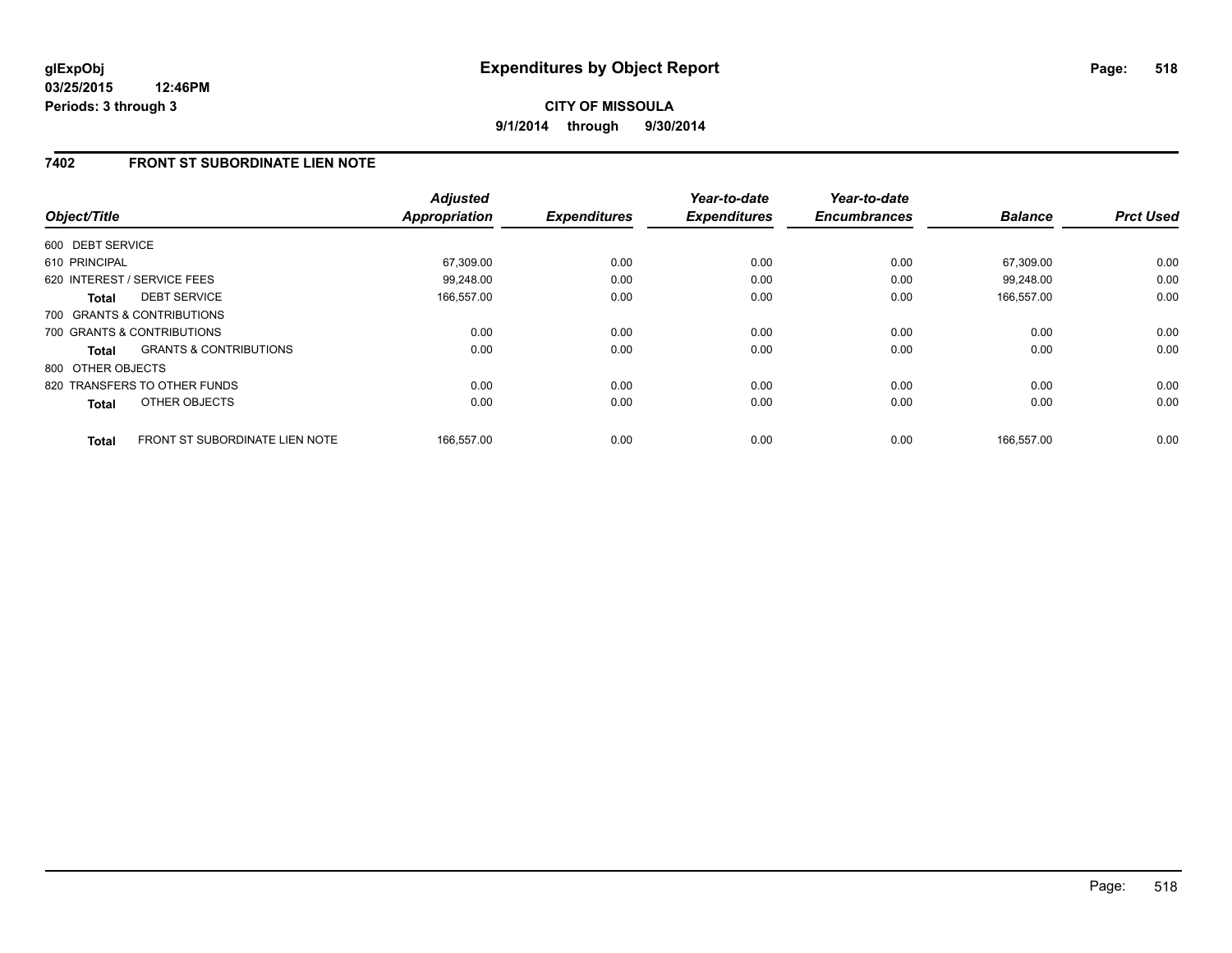**CITY OF MISSOULA 9/1/2014 through 9/30/2014**

## **7402 FRONT ST SUBORDINATE LIEN NOTE**

| Object/Title      |                                       | <b>Adjusted</b><br>Appropriation | <b>Expenditures</b> | Year-to-date<br><b>Expenditures</b> | Year-to-date<br><b>Encumbrances</b> | <b>Balance</b> | <b>Prct Used</b> |
|-------------------|---------------------------------------|----------------------------------|---------------------|-------------------------------------|-------------------------------------|----------------|------------------|
| 600 DEBT SERVICE  |                                       |                                  |                     |                                     |                                     |                |                  |
| 610 PRINCIPAL     |                                       | 67,309.00                        | 0.00                | 0.00                                | 0.00                                | 67,309.00      | 0.00             |
|                   | 620 INTEREST / SERVICE FEES           | 99,248.00                        | 0.00                | 0.00                                | 0.00                                | 99.248.00      | 0.00             |
| <b>Total</b>      | <b>DEBT SERVICE</b>                   | 166,557.00                       | 0.00                | 0.00                                | 0.00                                | 166,557.00     | 0.00             |
|                   | 700 GRANTS & CONTRIBUTIONS            |                                  |                     |                                     |                                     |                |                  |
|                   | 700 GRANTS & CONTRIBUTIONS            | 0.00                             | 0.00                | 0.00                                | 0.00                                | 0.00           | 0.00             |
| Total             | <b>GRANTS &amp; CONTRIBUTIONS</b>     | 0.00                             | 0.00                | 0.00                                | 0.00                                | 0.00           | 0.00             |
| 800 OTHER OBJECTS |                                       |                                  |                     |                                     |                                     |                |                  |
|                   | 820 TRANSFERS TO OTHER FUNDS          | 0.00                             | 0.00                | 0.00                                | 0.00                                | 0.00           | 0.00             |
| <b>Total</b>      | OTHER OBJECTS                         | 0.00                             | 0.00                | 0.00                                | 0.00                                | 0.00           | 0.00             |
| <b>Total</b>      | <b>FRONT ST SUBORDINATE LIEN NOTE</b> | 166.557.00                       | 0.00                | 0.00                                | 0.00                                | 166.557.00     | 0.00             |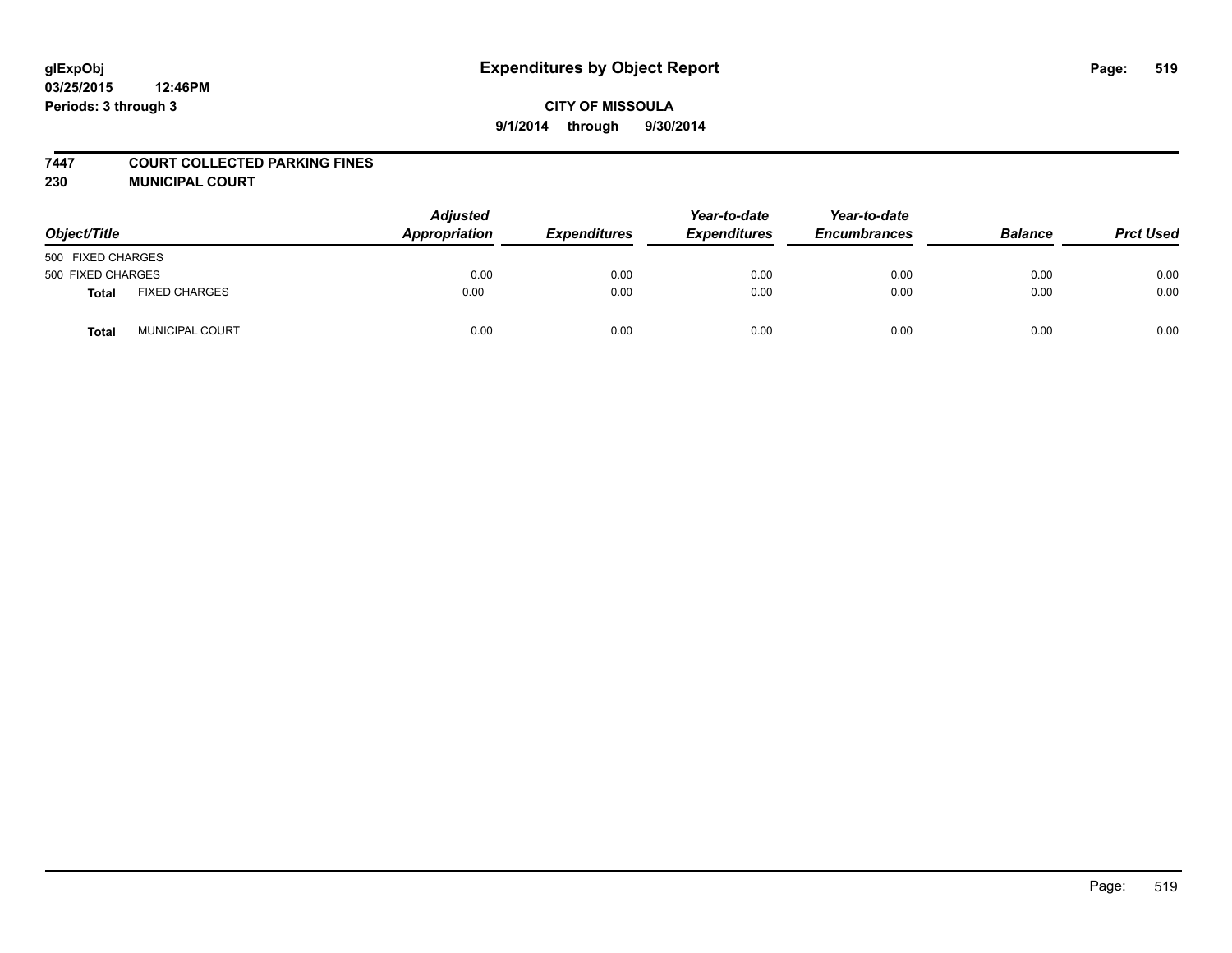#### **7447 COURT COLLECTED PARKING FINES**

**230 MUNICIPAL COURT**

| Object/Title      |                        | <b>Adjusted</b><br>Appropriation | <b>Expenditures</b> | Year-to-date<br><b>Expenditures</b> | Year-to-date<br><b>Encumbrances</b> | <b>Balance</b> | <b>Prct Used</b> |
|-------------------|------------------------|----------------------------------|---------------------|-------------------------------------|-------------------------------------|----------------|------------------|
| 500 FIXED CHARGES |                        |                                  |                     |                                     |                                     |                |                  |
| 500 FIXED CHARGES |                        | 0.00                             | 0.00                | 0.00                                | 0.00                                | 0.00           | 0.00             |
| <b>Total</b>      | <b>FIXED CHARGES</b>   | 0.00                             | 0.00                | 0.00                                | 0.00                                | 0.00           | 0.00             |
| Total             | <b>MUNICIPAL COURT</b> | 0.00                             | 0.00                | 0.00                                | 0.00                                | 0.00           | 0.00             |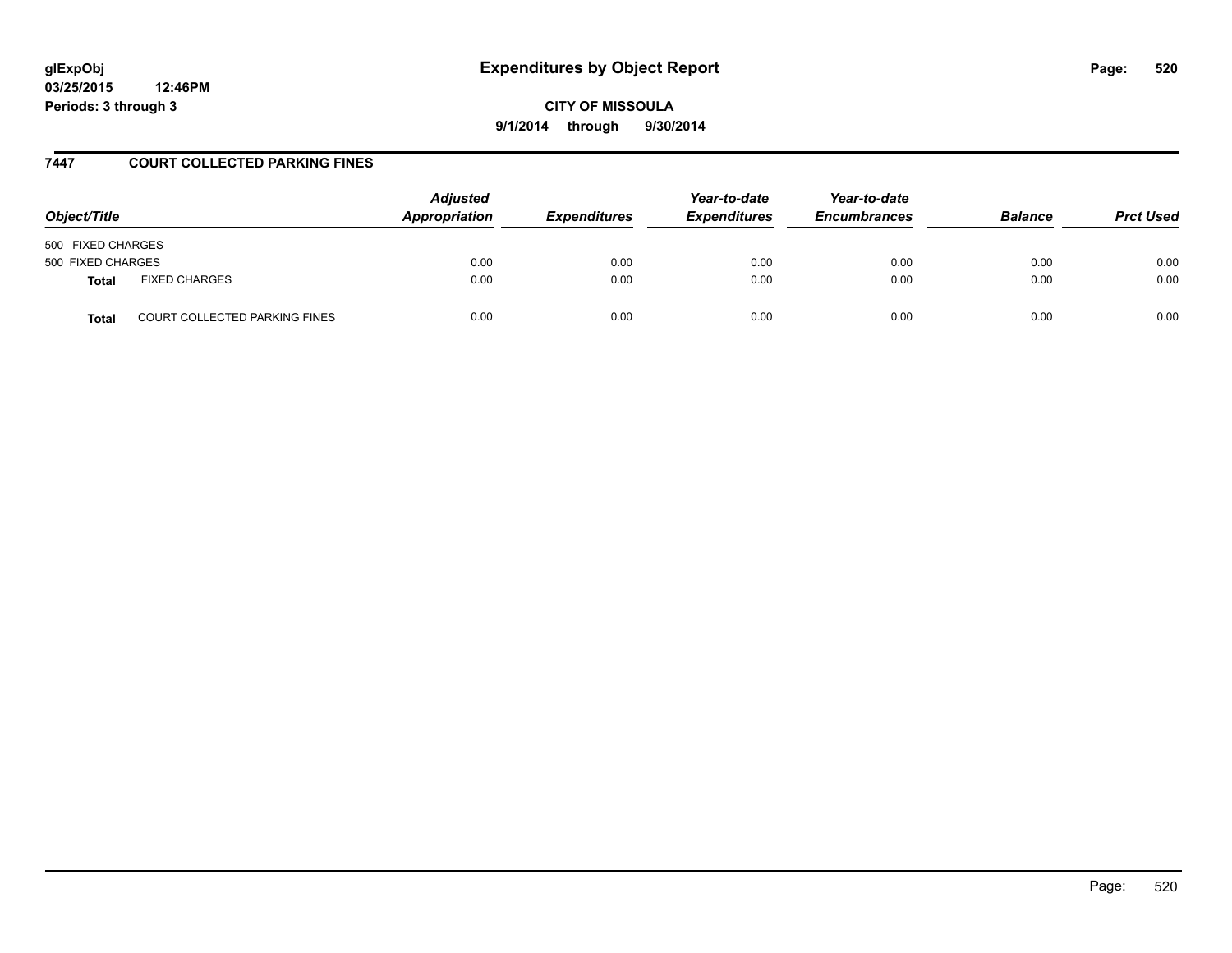# **glExpObj Expenditures by Object Report Page: 520**

**03/25/2015 12:46PM Periods: 3 through 3**

**CITY OF MISSOULA 9/1/2014 through 9/30/2014**

### **7447 COURT COLLECTED PARKING FINES**

| Object/Title                                         | <b>Adjusted</b><br>Appropriation | <b>Expenditures</b> | Year-to-date<br><b>Expenditures</b> | Year-to-date<br><b>Encumbrances</b> | <b>Balance</b> | <b>Prct Used</b> |
|------------------------------------------------------|----------------------------------|---------------------|-------------------------------------|-------------------------------------|----------------|------------------|
| 500 FIXED CHARGES                                    |                                  |                     |                                     |                                     |                |                  |
| 500 FIXED CHARGES                                    | 0.00                             | 0.00                | 0.00                                | 0.00                                | 0.00           | 0.00             |
| <b>FIXED CHARGES</b><br><b>Total</b>                 | 0.00                             | 0.00                | 0.00                                | 0.00                                | 0.00           | 0.00             |
| <b>COURT COLLECTED PARKING FINES</b><br><b>Total</b> | 0.00                             | 0.00                | 0.00                                | 0.00                                | 0.00           | 0.00             |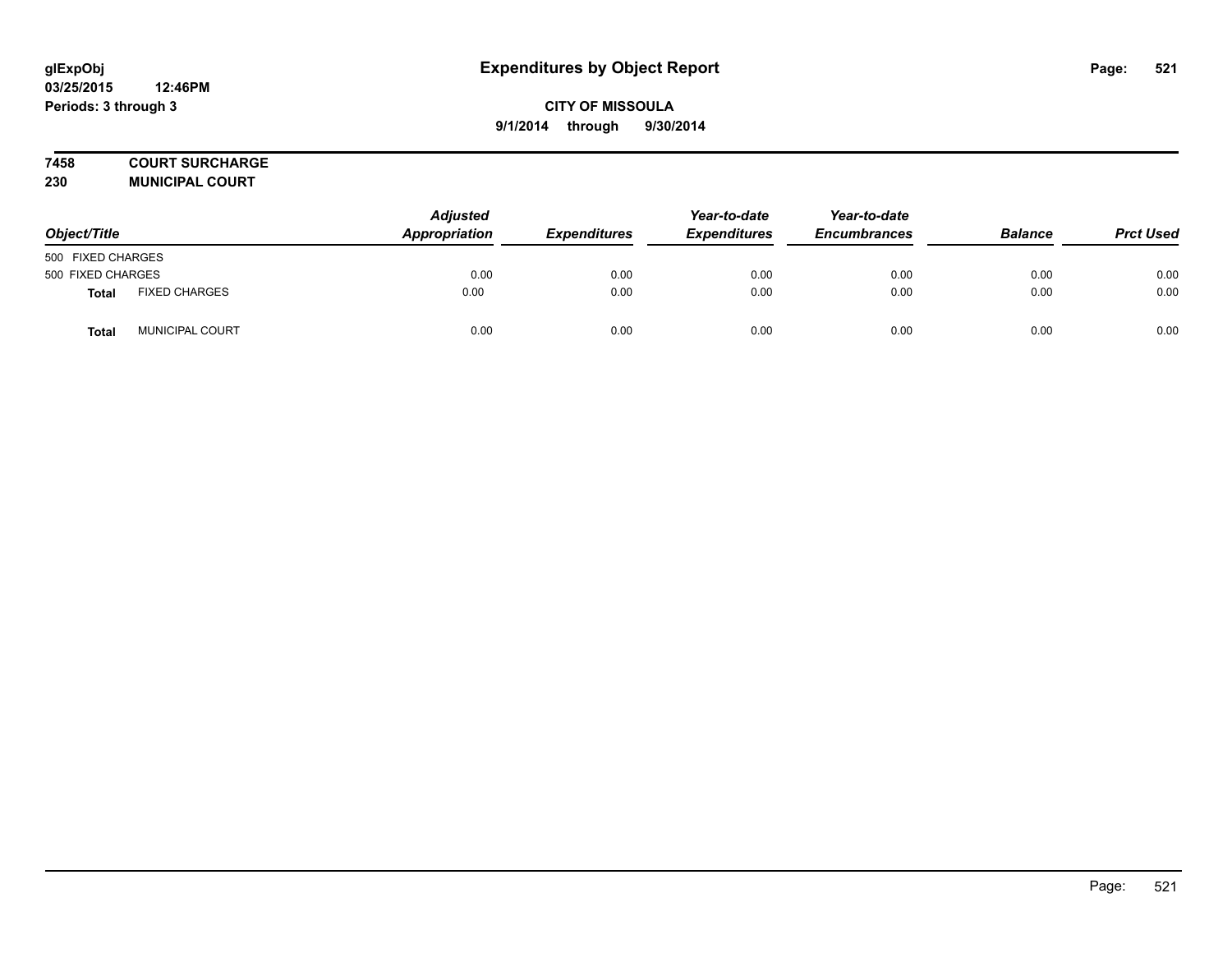## **7458 COURT SURCHARGE**

**230 MUNICIPAL COURT**

| Object/Title      |                      | Adjusted<br>Appropriation | <b>Expenditures</b> | Year-to-date<br><b>Expenditures</b> | Year-to-date<br><b>Encumbrances</b> | <b>Balance</b> | <b>Prct Used</b> |
|-------------------|----------------------|---------------------------|---------------------|-------------------------------------|-------------------------------------|----------------|------------------|
| 500 FIXED CHARGES |                      |                           |                     |                                     |                                     |                |                  |
| 500 FIXED CHARGES |                      | 0.00                      | 0.00                | 0.00                                | 0.00                                | 0.00           | 0.00             |
| <b>Total</b>      | <b>FIXED CHARGES</b> | 0.00                      | 0.00                | 0.00                                | 0.00                                | 0.00           | 0.00             |
| Total             | MUNICIPAL COURT      | 0.00                      | 0.00                | 0.00                                | 0.00                                | 0.00           | 0.00             |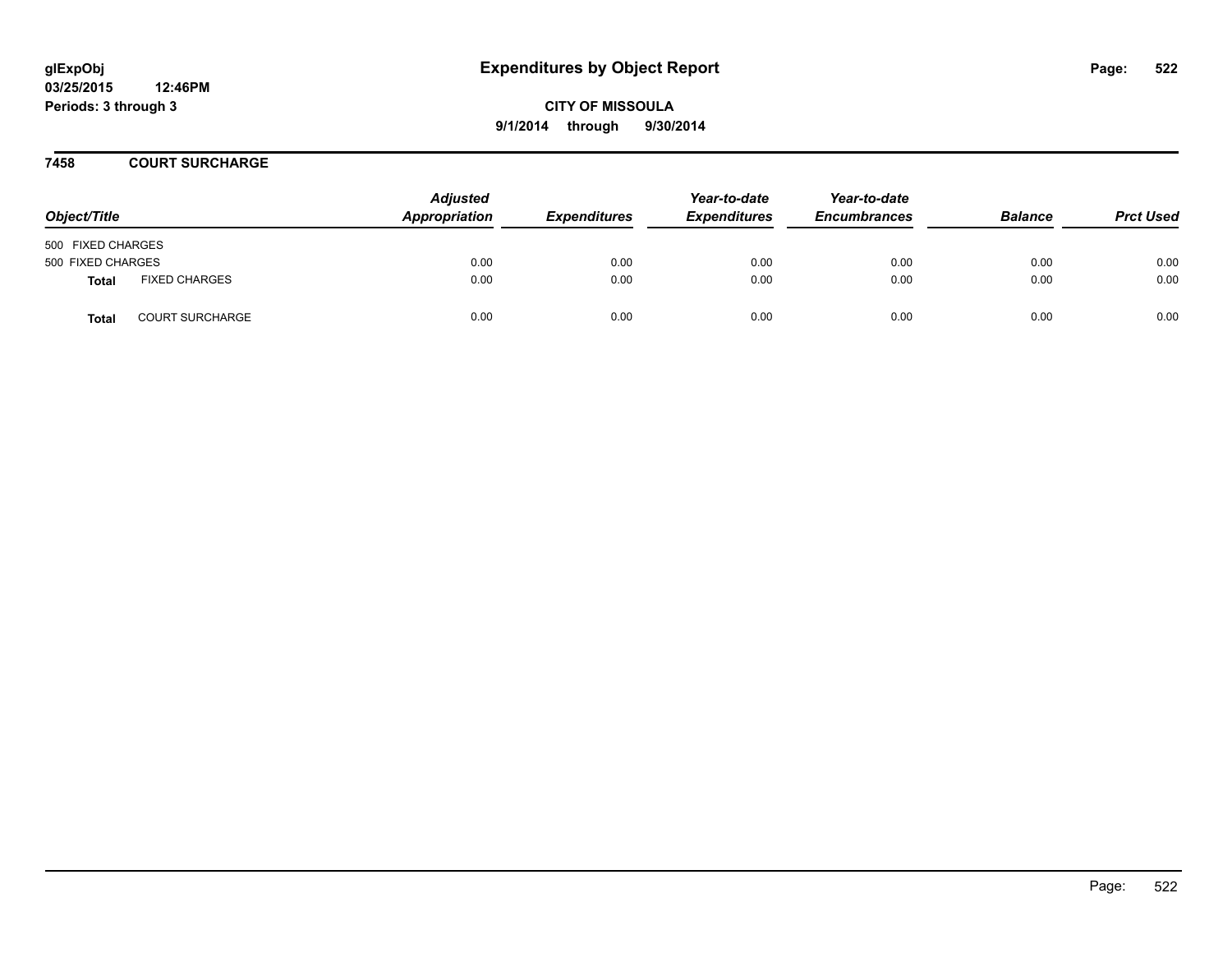### **7458 COURT SURCHARGE**

| Object/Title      |                        | <b>Adjusted</b><br>Appropriation | <b>Expenditures</b> | Year-to-date<br><b>Expenditures</b> | Year-to-date<br><b>Encumbrances</b> | <b>Balance</b> | <b>Prct Used</b> |
|-------------------|------------------------|----------------------------------|---------------------|-------------------------------------|-------------------------------------|----------------|------------------|
| 500 FIXED CHARGES |                        |                                  |                     |                                     |                                     |                |                  |
| 500 FIXED CHARGES |                        | 0.00                             | 0.00                | 0.00                                | 0.00                                | 0.00           | 0.00             |
| <b>Total</b>      | <b>FIXED CHARGES</b>   | 0.00                             | 0.00                | 0.00                                | 0.00                                | 0.00           | 0.00             |
| <b>Total</b>      | <b>COURT SURCHARGE</b> | 0.00                             | 0.00                | 0.00                                | 0.00                                | 0.00           | 0.00             |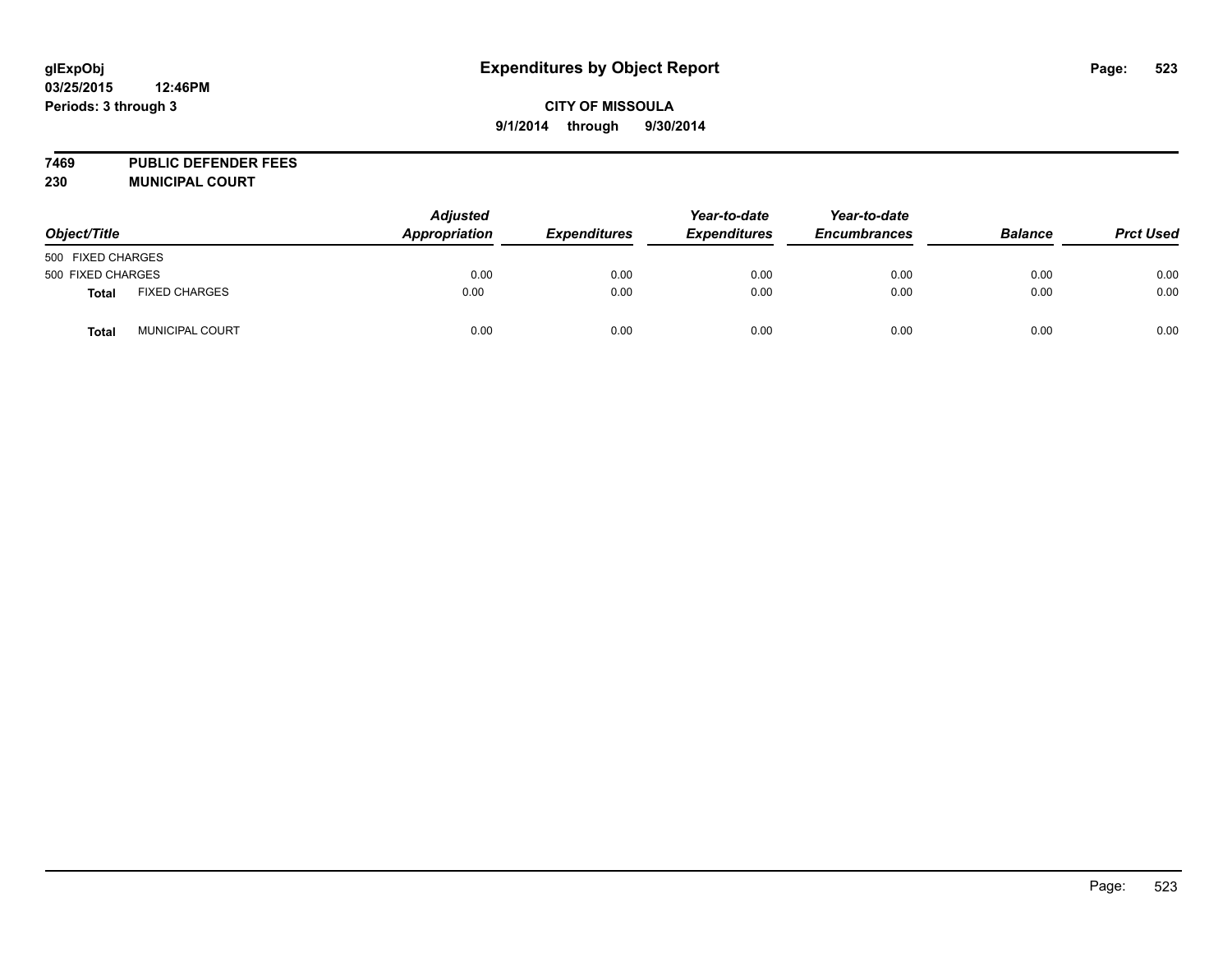**7469 PUBLIC DEFENDER FEES 230 MUNICIPAL COURT**

| Object/Title      |                      | <b>Adjusted</b><br>Appropriation | <b>Expenditures</b> | Year-to-date<br><b>Expenditures</b> | Year-to-date<br><b>Encumbrances</b> | <b>Balance</b> | <b>Prct Used</b> |
|-------------------|----------------------|----------------------------------|---------------------|-------------------------------------|-------------------------------------|----------------|------------------|
| 500 FIXED CHARGES |                      |                                  |                     |                                     |                                     |                |                  |
| 500 FIXED CHARGES |                      | 0.00                             | 0.00                | 0.00                                | 0.00                                | 0.00           | 0.00             |
| <b>Total</b>      | <b>FIXED CHARGES</b> | 0.00                             | 0.00                | 0.00                                | 0.00                                | 0.00           | 0.00             |
| <b>Total</b>      | MUNICIPAL COURT      | 0.00                             | 0.00                | 0.00                                | 0.00                                | 0.00           | 0.00             |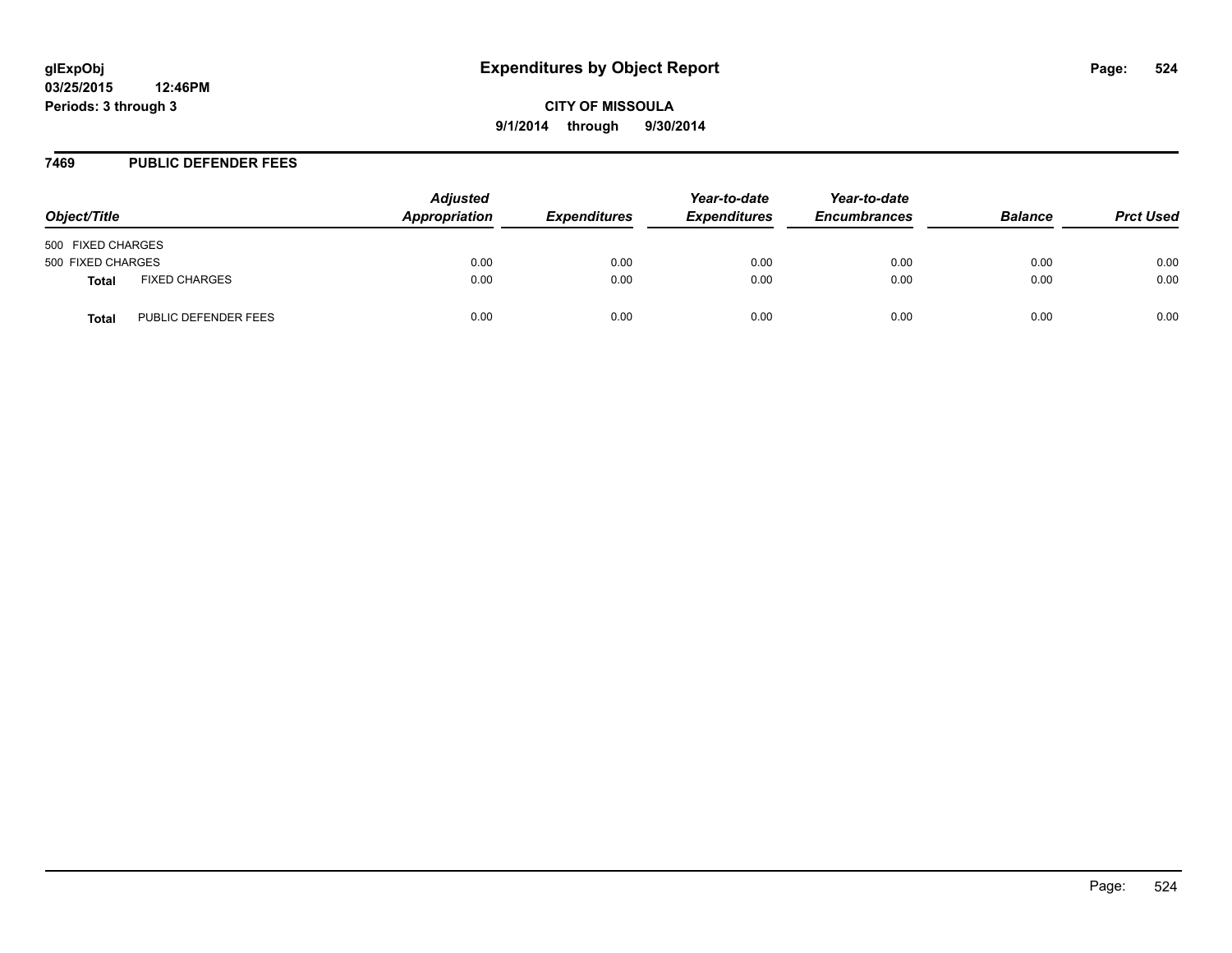#### **7469 PUBLIC DEFENDER FEES**

| Object/Title      |                      | <b>Adjusted</b><br>Appropriation | <b>Expenditures</b> | Year-to-date<br><b>Expenditures</b> | Year-to-date<br><b>Encumbrances</b> | <b>Balance</b> | <b>Prct Used</b> |
|-------------------|----------------------|----------------------------------|---------------------|-------------------------------------|-------------------------------------|----------------|------------------|
| 500 FIXED CHARGES |                      |                                  |                     |                                     |                                     |                |                  |
| 500 FIXED CHARGES |                      | 0.00                             | 0.00                | 0.00                                | 0.00                                | 0.00           | 0.00             |
| <b>Total</b>      | <b>FIXED CHARGES</b> | 0.00                             | 0.00                | 0.00                                | 0.00                                | 0.00           | 0.00             |
| <b>Total</b>      | PUBLIC DEFENDER FEES | 0.00                             | 0.00                | 0.00                                | 0.00                                | 0.00           | 0.00             |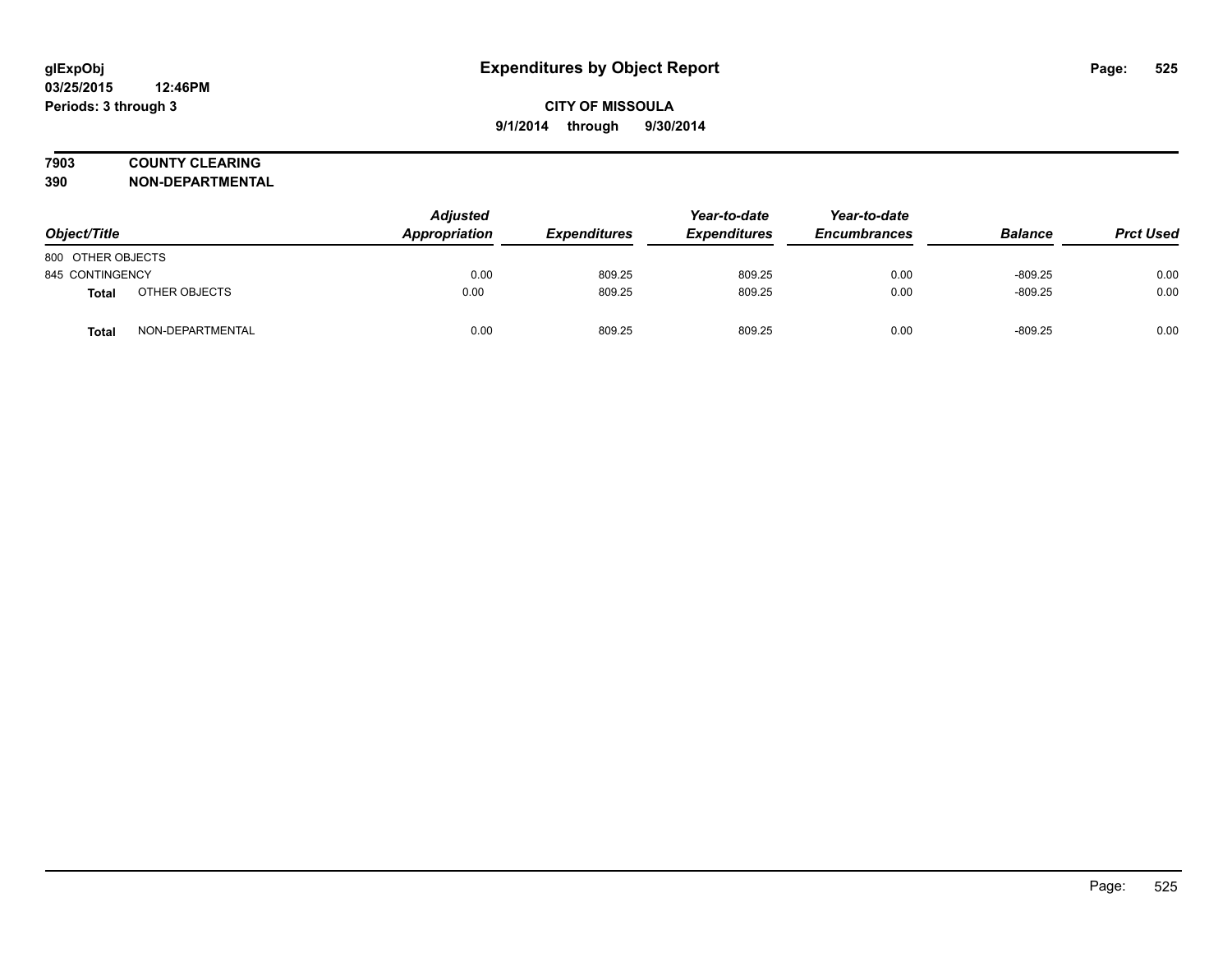## **7903 COUNTY CLEARING**

**390 NON-DEPARTMENTAL**

| Object/Title      |                  | <b>Adjusted</b><br>Appropriation | <b>Expenditures</b> | Year-to-date<br><b>Expenditures</b> | Year-to-date<br><b>Encumbrances</b> | <b>Balance</b> | <b>Prct Used</b> |
|-------------------|------------------|----------------------------------|---------------------|-------------------------------------|-------------------------------------|----------------|------------------|
| 800 OTHER OBJECTS |                  |                                  |                     |                                     |                                     |                |                  |
| 845 CONTINGENCY   |                  | 0.00                             | 809.25              | 809.25                              | 0.00                                | $-809.25$      | 0.00             |
| Total             | OTHER OBJECTS    | 0.00                             | 809.25              | 809.25                              | 0.00                                | $-809.25$      | 0.00             |
| Total             | NON-DEPARTMENTAL | 0.00                             | 809.25              | 809.25                              | 0.00                                | $-809.25$      | 0.00             |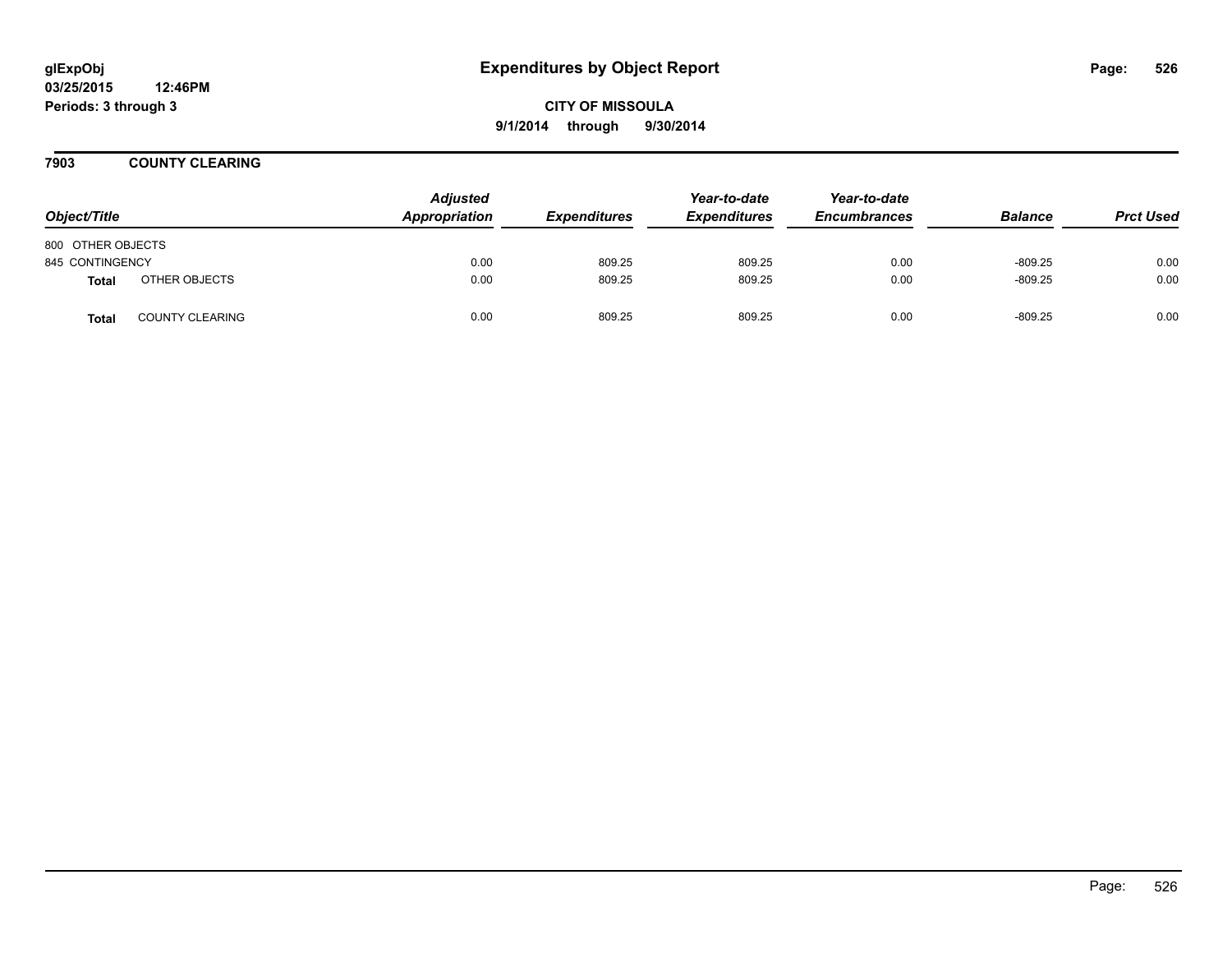**CITY OF MISSOULA 9/1/2014 through 9/30/2014**

**7903 COUNTY CLEARING**

| Object/Title      |                        | <b>Adjusted</b><br>Appropriation | <b>Expenditures</b> | Year-to-date<br><b>Expenditures</b> | Year-to-date<br><b>Encumbrances</b> | <b>Balance</b> | <b>Prct Used</b> |
|-------------------|------------------------|----------------------------------|---------------------|-------------------------------------|-------------------------------------|----------------|------------------|
| 800 OTHER OBJECTS |                        |                                  |                     |                                     |                                     |                |                  |
| 845 CONTINGENCY   |                        | 0.00                             | 809.25              | 809.25                              | 0.00                                | $-809.25$      | 0.00             |
| <b>Total</b>      | OTHER OBJECTS          | 0.00                             | 809.25              | 809.25                              | 0.00                                | $-809.25$      | 0.00             |
| <b>Total</b>      | <b>COUNTY CLEARING</b> | 0.00                             | 809.25              | 809.25                              | 0.00                                | $-809.25$      | 0.00             |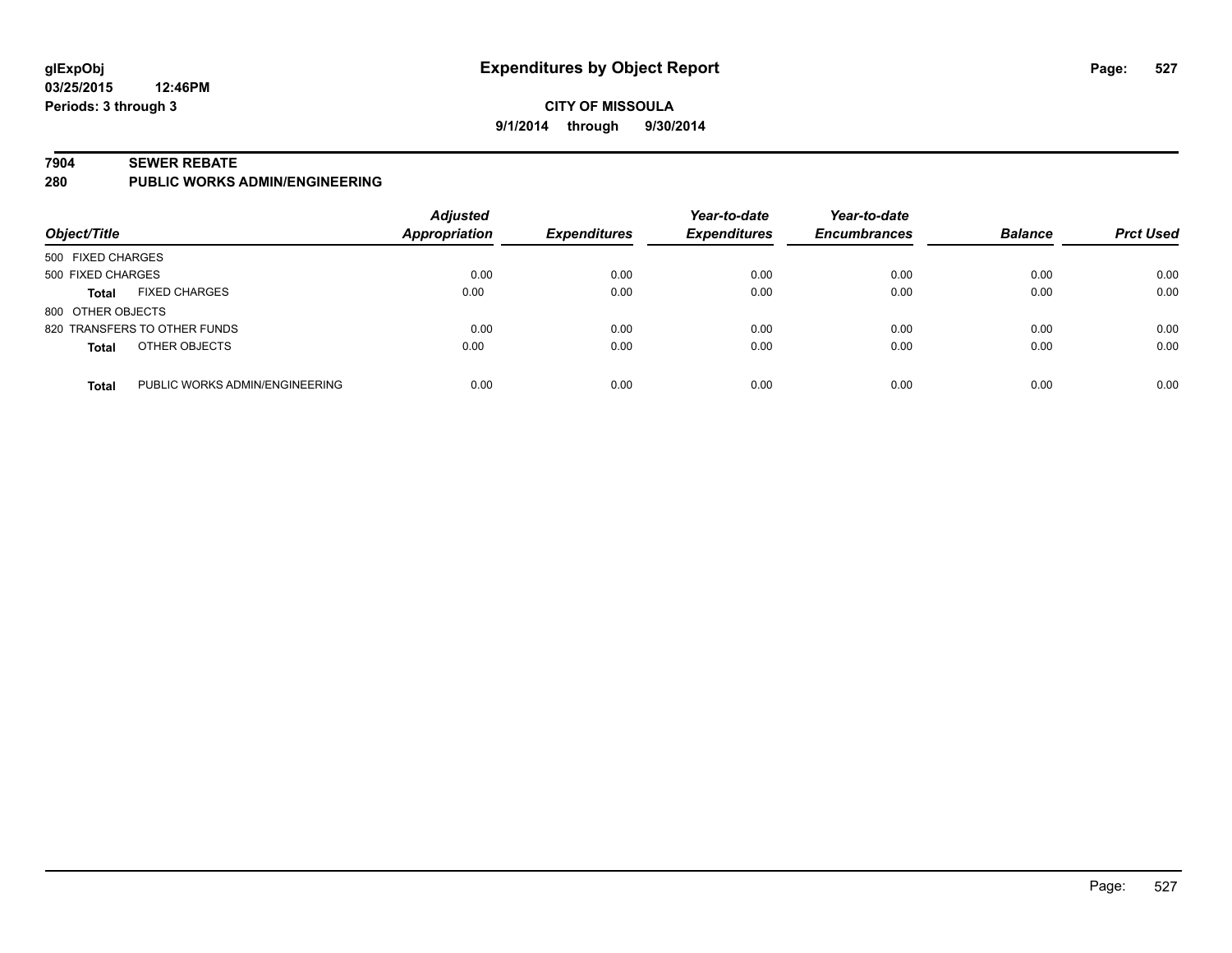## **CITY OF MISSOULA 9/1/2014 through 9/30/2014**

#### **7904 SEWER REBATE**

**280 PUBLIC WORKS ADMIN/ENGINEERING**

| Object/Title      |                                | <b>Adjusted</b><br>Appropriation | <b>Expenditures</b> | Year-to-date<br><b>Expenditures</b> | Year-to-date<br><b>Encumbrances</b> | <b>Balance</b> | <b>Prct Used</b> |
|-------------------|--------------------------------|----------------------------------|---------------------|-------------------------------------|-------------------------------------|----------------|------------------|
| 500 FIXED CHARGES |                                |                                  |                     |                                     |                                     |                |                  |
| 500 FIXED CHARGES |                                | 0.00                             | 0.00                | 0.00                                | 0.00                                | 0.00           | 0.00             |
| <b>Total</b>      | <b>FIXED CHARGES</b>           | 0.00                             | 0.00                | 0.00                                | 0.00                                | 0.00           | 0.00             |
| 800 OTHER OBJECTS |                                |                                  |                     |                                     |                                     |                |                  |
|                   | 820 TRANSFERS TO OTHER FUNDS   | 0.00                             | 0.00                | 0.00                                | 0.00                                | 0.00           | 0.00             |
| <b>Total</b>      | OTHER OBJECTS                  | 0.00                             | 0.00                | 0.00                                | 0.00                                | 0.00           | 0.00             |
| <b>Total</b>      | PUBLIC WORKS ADMIN/ENGINEERING | 0.00                             | 0.00                | 0.00                                | 0.00                                | 0.00           | 0.00             |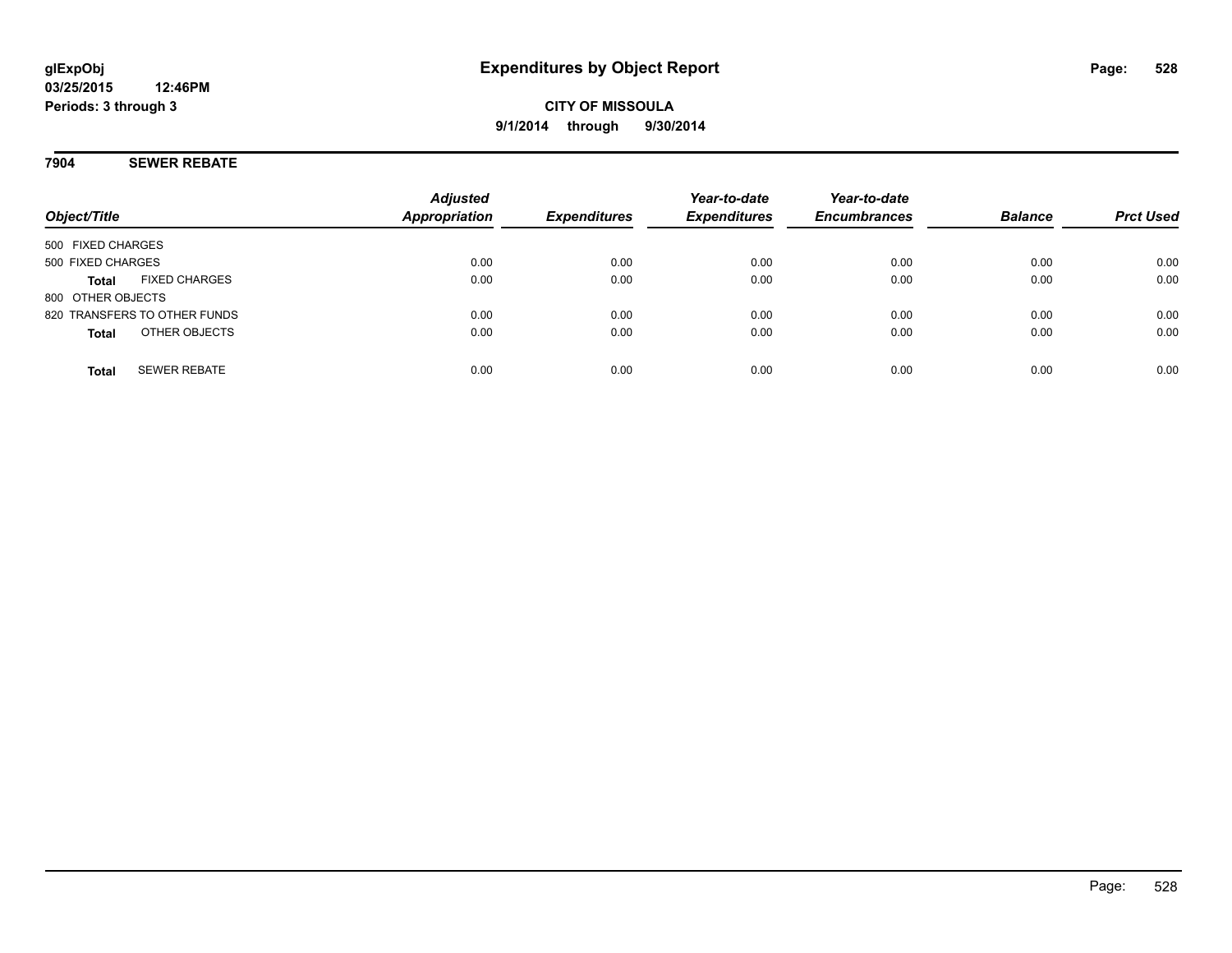## **7904 SEWER REBATE**

| Object/Title                         | <b>Adjusted</b><br><b>Appropriation</b> | <b>Expenditures</b> | Year-to-date<br><b>Expenditures</b> | Year-to-date<br><b>Encumbrances</b> | <b>Balance</b> | <b>Prct Used</b> |
|--------------------------------------|-----------------------------------------|---------------------|-------------------------------------|-------------------------------------|----------------|------------------|
| 500 FIXED CHARGES                    |                                         |                     |                                     |                                     |                |                  |
| 500 FIXED CHARGES                    | 0.00                                    | 0.00                | 0.00                                | 0.00                                | 0.00           | 0.00             |
| <b>FIXED CHARGES</b><br><b>Total</b> | 0.00                                    | 0.00                | 0.00                                | 0.00                                | 0.00           | 0.00             |
| 800 OTHER OBJECTS                    |                                         |                     |                                     |                                     |                |                  |
| 820 TRANSFERS TO OTHER FUNDS         | 0.00                                    | 0.00                | 0.00                                | 0.00                                | 0.00           | 0.00             |
| OTHER OBJECTS<br><b>Total</b>        | 0.00                                    | 0.00                | 0.00                                | 0.00                                | 0.00           | 0.00             |
| <b>SEWER REBATE</b><br><b>Total</b>  | 0.00                                    | 0.00                | 0.00                                | 0.00                                | 0.00           | 0.00             |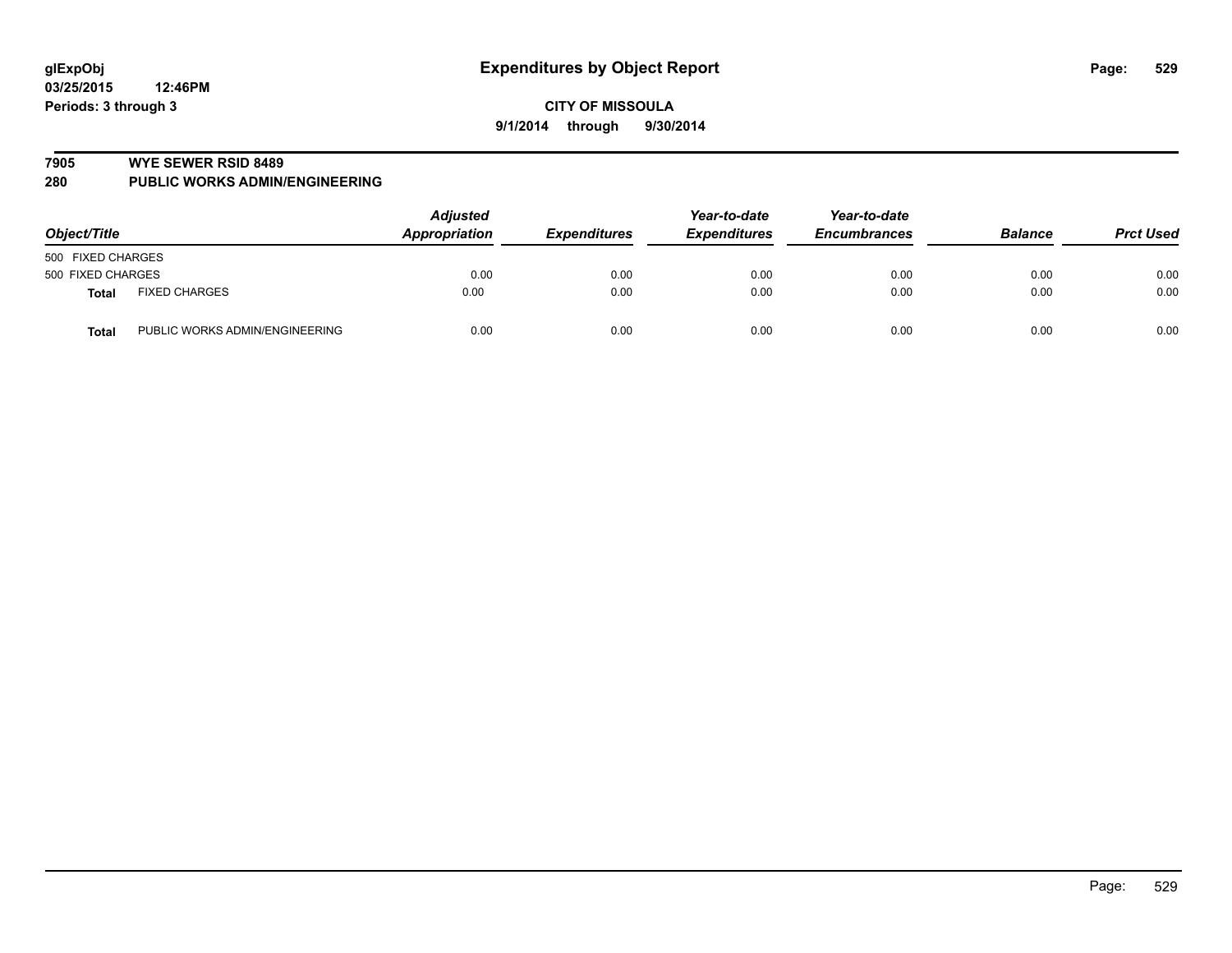#### **7905 WYE SEWER RSID 8489**

**280 PUBLIC WORKS ADMIN/ENGINEERING**

| Object/Title                                   | <b>Adjusted</b><br><b>Appropriation</b> | <b>Expenditures</b> | Year-to-date<br><b>Expenditures</b> | Year-to-date<br><b>Encumbrances</b> | <b>Balance</b> | <b>Prct Used</b> |
|------------------------------------------------|-----------------------------------------|---------------------|-------------------------------------|-------------------------------------|----------------|------------------|
| 500 FIXED CHARGES                              |                                         |                     |                                     |                                     |                |                  |
| 500 FIXED CHARGES                              | 0.00                                    | 0.00                | 0.00                                | 0.00                                | 0.00           | 0.00             |
| <b>FIXED CHARGES</b><br>Total                  | 0.00                                    | 0.00                | 0.00                                | 0.00                                | 0.00           | 0.00             |
| PUBLIC WORKS ADMIN/ENGINEERING<br><b>Total</b> | 0.00                                    | 0.00                | 0.00                                | 0.00                                | 0.00           | 0.00             |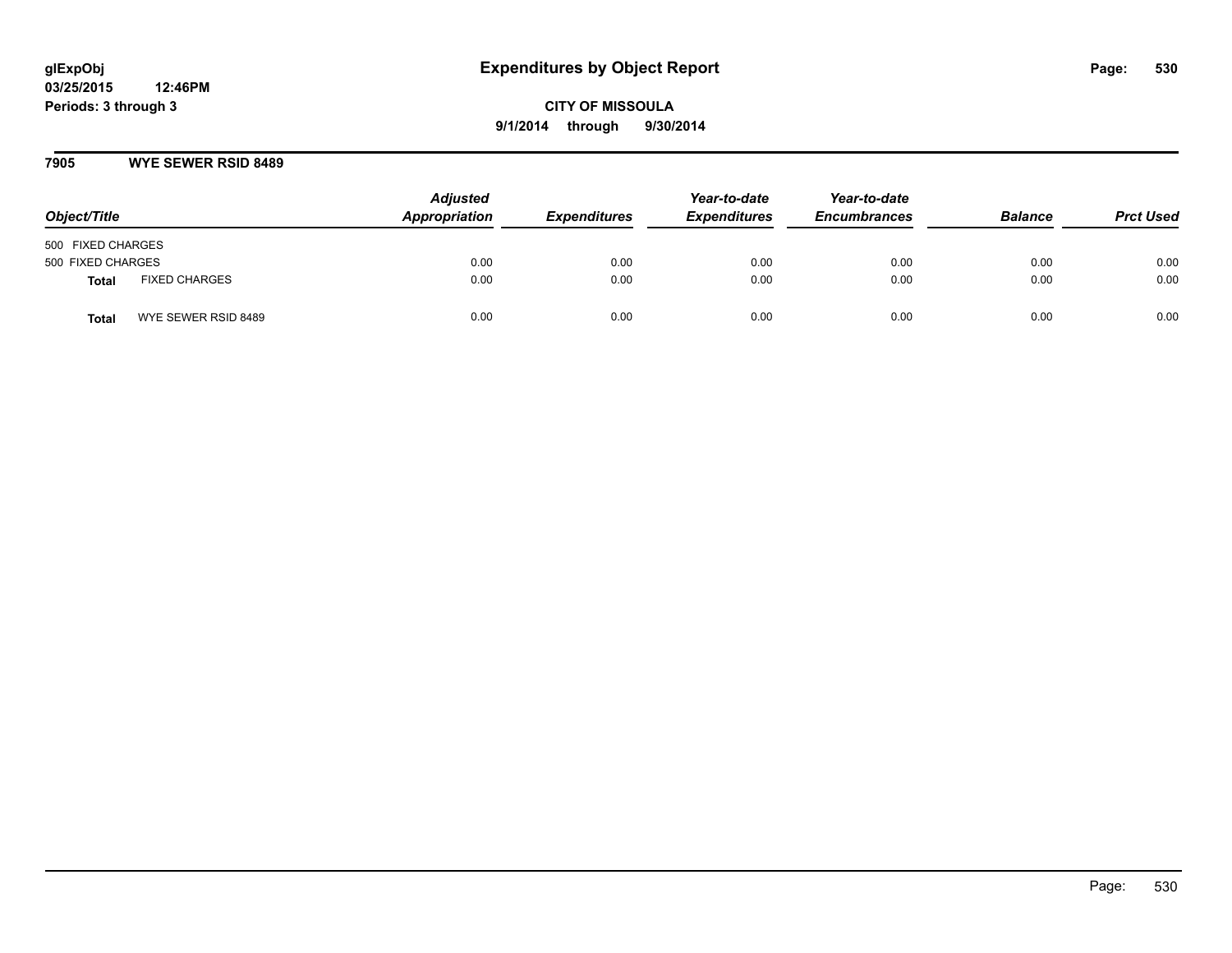### **7905 WYE SEWER RSID 8489**

| Object/Title                        | <b>Adjusted</b><br>Appropriation | <b>Expenditures</b> | Year-to-date<br><b>Expenditures</b> | Year-to-date<br><b>Encumbrances</b> | <b>Balance</b> | <b>Prct Used</b> |
|-------------------------------------|----------------------------------|---------------------|-------------------------------------|-------------------------------------|----------------|------------------|
| 500 FIXED CHARGES                   |                                  |                     |                                     |                                     |                |                  |
| 500 FIXED CHARGES                   | 0.00                             | 0.00                | 0.00                                | 0.00                                | 0.00           | 0.00             |
| <b>FIXED CHARGES</b><br>Total       | 0.00                             | 0.00                | 0.00                                | 0.00                                | 0.00           | 0.00             |
| WYE SEWER RSID 8489<br><b>Total</b> | 0.00                             | 0.00                | 0.00                                | 0.00                                | 0.00           | 0.00             |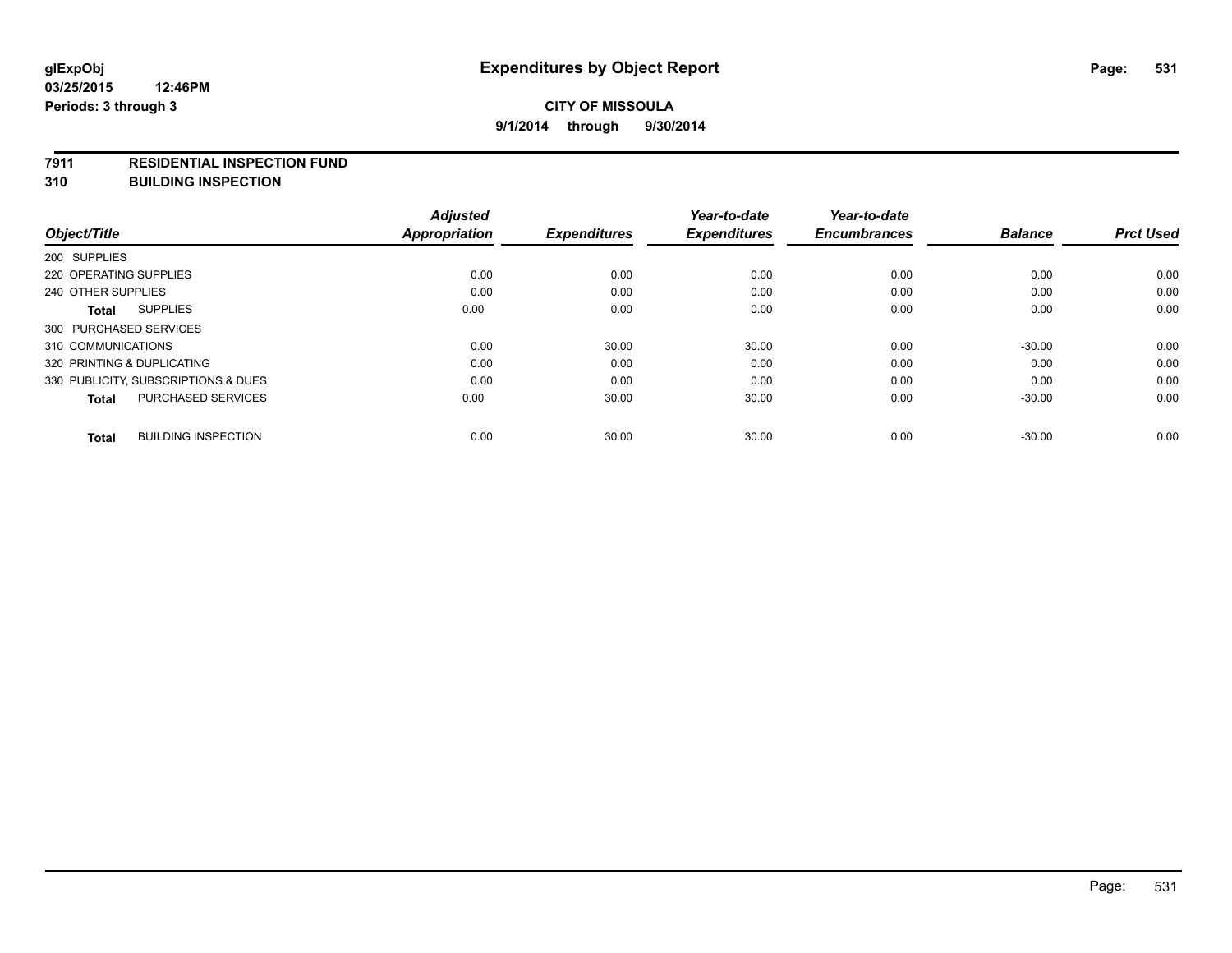#### **7911 RESIDENTIAL INSPECTION FUND**

**310 BUILDING INSPECTION**

| Object/Title                               | <b>Adjusted</b><br><b>Appropriation</b> | <b>Expenditures</b> | Year-to-date<br><b>Expenditures</b> | Year-to-date<br><b>Encumbrances</b> | <b>Balance</b> | <b>Prct Used</b> |
|--------------------------------------------|-----------------------------------------|---------------------|-------------------------------------|-------------------------------------|----------------|------------------|
|                                            |                                         |                     |                                     |                                     |                |                  |
| 200 SUPPLIES                               |                                         |                     |                                     |                                     |                |                  |
| 220 OPERATING SUPPLIES                     | 0.00                                    | 0.00                | 0.00                                | 0.00                                | 0.00           | 0.00             |
| 240 OTHER SUPPLIES                         | 0.00                                    | 0.00                | 0.00                                | 0.00                                | 0.00           | 0.00             |
| <b>SUPPLIES</b><br><b>Total</b>            | 0.00                                    | 0.00                | 0.00                                | 0.00                                | 0.00           | 0.00             |
| 300 PURCHASED SERVICES                     |                                         |                     |                                     |                                     |                |                  |
| 310 COMMUNICATIONS                         | 0.00                                    | 30.00               | 30.00                               | 0.00                                | $-30.00$       | 0.00             |
| 320 PRINTING & DUPLICATING                 | 0.00                                    | 0.00                | 0.00                                | 0.00                                | 0.00           | 0.00             |
| 330 PUBLICITY, SUBSCRIPTIONS & DUES        | 0.00                                    | 0.00                | 0.00                                | 0.00                                | 0.00           | 0.00             |
| <b>PURCHASED SERVICES</b><br><b>Total</b>  | 0.00                                    | 30.00               | 30.00                               | 0.00                                | $-30.00$       | 0.00             |
| <b>BUILDING INSPECTION</b><br><b>Total</b> | 0.00                                    | 30.00               | 30.00                               | 0.00                                | $-30.00$       | 0.00             |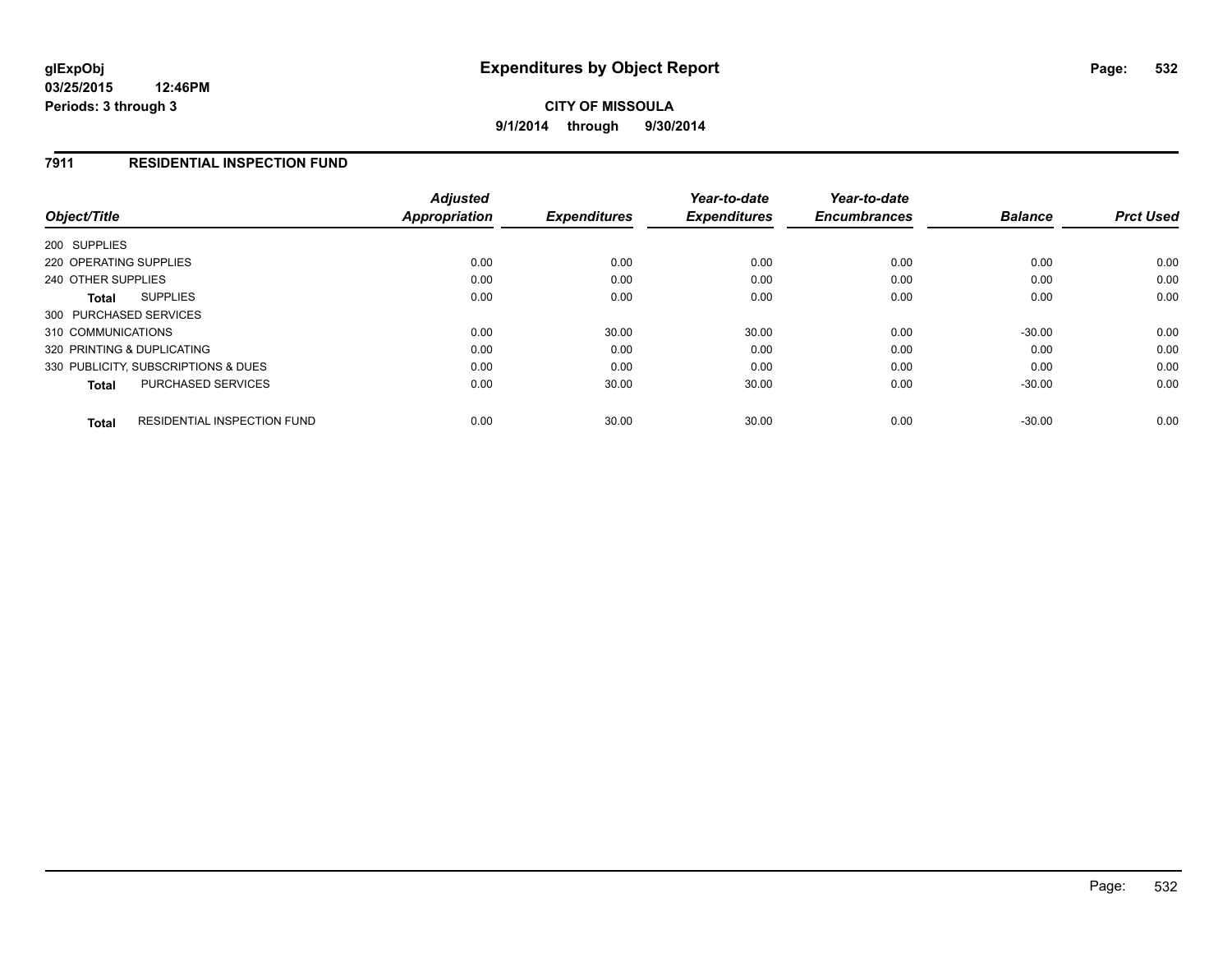## **7911 RESIDENTIAL INSPECTION FUND**

| Object/Title                                       | <b>Adjusted</b><br>Appropriation | <b>Expenditures</b> | Year-to-date<br><b>Expenditures</b> | Year-to-date<br><b>Encumbrances</b> | <b>Balance</b> | <b>Prct Used</b> |
|----------------------------------------------------|----------------------------------|---------------------|-------------------------------------|-------------------------------------|----------------|------------------|
| 200 SUPPLIES                                       |                                  |                     |                                     |                                     |                |                  |
| 220 OPERATING SUPPLIES                             | 0.00                             | 0.00                | 0.00                                | 0.00                                | 0.00           | 0.00             |
| 240 OTHER SUPPLIES                                 | 0.00                             | 0.00                | 0.00                                | 0.00                                | 0.00           | 0.00             |
| <b>SUPPLIES</b><br>Total                           | 0.00                             | 0.00                | 0.00                                | 0.00                                | 0.00           | 0.00             |
| 300 PURCHASED SERVICES                             |                                  |                     |                                     |                                     |                |                  |
| 310 COMMUNICATIONS                                 | 0.00                             | 30.00               | 30.00                               | 0.00                                | $-30.00$       | 0.00             |
| 320 PRINTING & DUPLICATING                         | 0.00                             | 0.00                | 0.00                                | 0.00                                | 0.00           | 0.00             |
| 330 PUBLICITY, SUBSCRIPTIONS & DUES                | 0.00                             | 0.00                | 0.00                                | 0.00                                | 0.00           | 0.00             |
| <b>PURCHASED SERVICES</b><br><b>Total</b>          | 0.00                             | 30.00               | 30.00                               | 0.00                                | $-30.00$       | 0.00             |
| <b>RESIDENTIAL INSPECTION FUND</b><br><b>Total</b> | 0.00                             | 30.00               | 30.00                               | 0.00                                | $-30.00$       | 0.00             |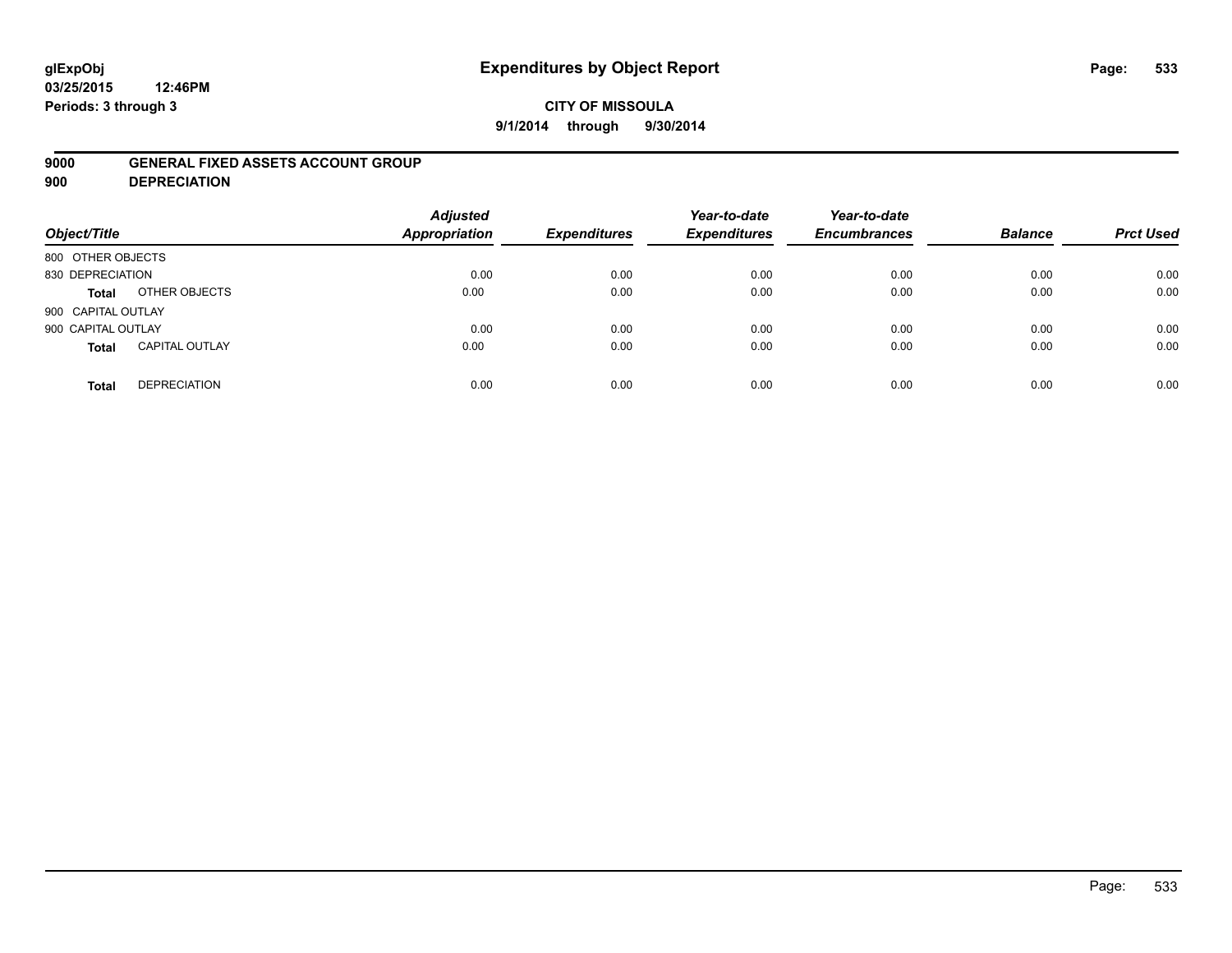# **glExpObj Expenditures by Object Report Page: 533**

**03/25/2015 12:46PM Periods: 3 through 3**

### **9000 GENERAL FIXED ASSETS ACCOUNT GROUP**

**900 DEPRECIATION**

| Object/Title                          | <b>Adjusted</b><br><b>Appropriation</b> | <b>Expenditures</b> | Year-to-date<br><b>Expenditures</b> | Year-to-date<br><b>Encumbrances</b> | <b>Balance</b> | <b>Prct Used</b> |
|---------------------------------------|-----------------------------------------|---------------------|-------------------------------------|-------------------------------------|----------------|------------------|
| 800 OTHER OBJECTS                     |                                         |                     |                                     |                                     |                |                  |
| 830 DEPRECIATION                      | 0.00                                    | 0.00                | 0.00                                | 0.00                                | 0.00           | 0.00             |
| OTHER OBJECTS<br>Total                | 0.00                                    | 0.00                | 0.00                                | 0.00                                | 0.00           | 0.00             |
| 900 CAPITAL OUTLAY                    |                                         |                     |                                     |                                     |                |                  |
| 900 CAPITAL OUTLAY                    | 0.00                                    | 0.00                | 0.00                                | 0.00                                | 0.00           | 0.00             |
| <b>CAPITAL OUTLAY</b><br><b>Total</b> | 0.00                                    | 0.00                | 0.00                                | 0.00                                | 0.00           | 0.00             |
| <b>DEPRECIATION</b><br><b>Total</b>   | 0.00                                    | 0.00                | 0.00                                | 0.00                                | 0.00           | 0.00             |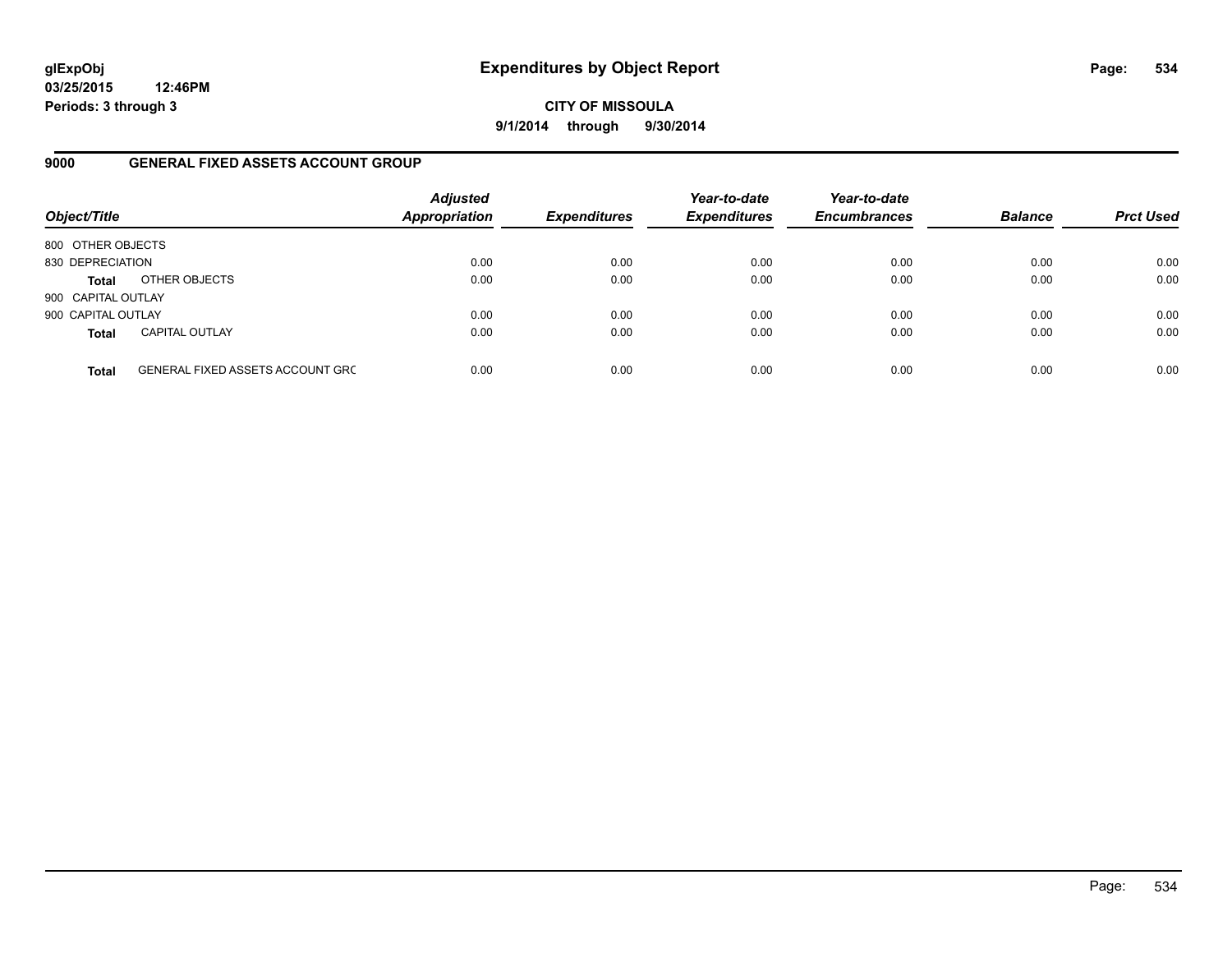## **CITY OF MISSOULA 9/1/2014 through 9/30/2014**

## **9000 GENERAL FIXED ASSETS ACCOUNT GROUP**

| Object/Title       |                                         | <b>Adjusted</b><br><b>Appropriation</b> | <b>Expenditures</b> | Year-to-date<br><b>Expenditures</b> | Year-to-date<br><b>Encumbrances</b> | <b>Balance</b> | <b>Prct Used</b> |
|--------------------|-----------------------------------------|-----------------------------------------|---------------------|-------------------------------------|-------------------------------------|----------------|------------------|
| 800 OTHER OBJECTS  |                                         |                                         |                     |                                     |                                     |                |                  |
| 830 DEPRECIATION   |                                         | 0.00                                    | 0.00                | 0.00                                | 0.00                                | 0.00           | 0.00             |
| <b>Total</b>       | OTHER OBJECTS                           | 0.00                                    | 0.00                | 0.00                                | 0.00                                | 0.00           | 0.00             |
| 900 CAPITAL OUTLAY |                                         |                                         |                     |                                     |                                     |                |                  |
| 900 CAPITAL OUTLAY |                                         | 0.00                                    | 0.00                | 0.00                                | 0.00                                | 0.00           | 0.00             |
| <b>Total</b>       | <b>CAPITAL OUTLAY</b>                   | 0.00                                    | 0.00                | 0.00                                | 0.00                                | 0.00           | 0.00             |
| <b>Total</b>       | <b>GENERAL FIXED ASSETS ACCOUNT GRC</b> | 0.00                                    | 0.00                | 0.00                                | 0.00                                | 0.00           | 0.00             |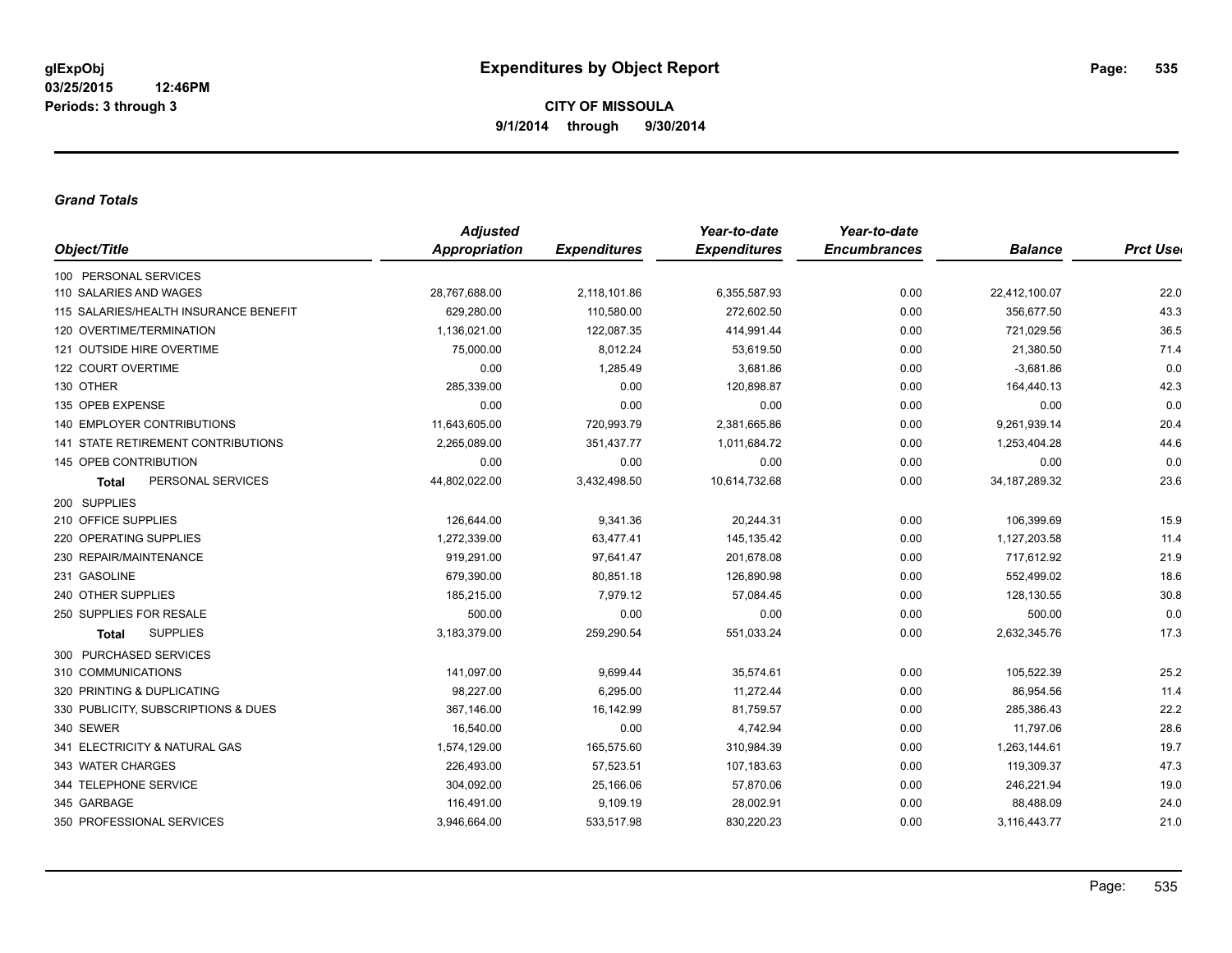#### *Grand Totals*

|                                       | <b>Adjusted</b>      |                     | Year-to-date        | Year-to-date        |                  |                  |
|---------------------------------------|----------------------|---------------------|---------------------|---------------------|------------------|------------------|
| Object/Title                          | <b>Appropriation</b> | <b>Expenditures</b> | <b>Expenditures</b> | <b>Encumbrances</b> | <b>Balance</b>   | <b>Prct User</b> |
| 100 PERSONAL SERVICES                 |                      |                     |                     |                     |                  |                  |
| 110 SALARIES AND WAGES                | 28,767,688.00        | 2,118,101.86        | 6,355,587.93        | 0.00                | 22,412,100.07    | 22.0             |
| 115 SALARIES/HEALTH INSURANCE BENEFIT | 629,280.00           | 110,580.00          | 272,602.50          | 0.00                | 356,677.50       | 43.3             |
| 120 OVERTIME/TERMINATION              | 1,136,021.00         | 122,087.35          | 414,991.44          | 0.00                | 721,029.56       | 36.5             |
| 121 OUTSIDE HIRE OVERTIME             | 75,000.00            | 8,012.24            | 53,619.50           | 0.00                | 21,380.50        | 71.4             |
| 122 COURT OVERTIME                    | 0.00                 | 1.285.49            | 3.681.86            | 0.00                | $-3,681.86$      | 0.0              |
| 130 OTHER                             | 285,339.00           | 0.00                | 120,898.87          | 0.00                | 164,440.13       | 42.3             |
| 135 OPEB EXPENSE                      | 0.00                 | 0.00                | 0.00                | 0.00                | 0.00             | 0.0              |
| 140 EMPLOYER CONTRIBUTIONS            | 11,643,605.00        | 720,993.79          | 2,381,665.86        | 0.00                | 9,261,939.14     | 20.4             |
| 141 STATE RETIREMENT CONTRIBUTIONS    | 2,265,089.00         | 351,437.77          | 1,011,684.72        | 0.00                | 1,253,404.28     | 44.6             |
| 145 OPEB CONTRIBUTION                 | 0.00                 | 0.00                | 0.00                | 0.00                | 0.00             | 0.0              |
| PERSONAL SERVICES<br><b>Total</b>     | 44,802,022.00        | 3,432,498.50        | 10,614,732.68       | 0.00                | 34, 187, 289. 32 | 23.6             |
| 200 SUPPLIES                          |                      |                     |                     |                     |                  |                  |
| 210 OFFICE SUPPLIES                   | 126,644.00           | 9,341.36            | 20,244.31           | 0.00                | 106,399.69       | 15.9             |
| 220 OPERATING SUPPLIES                | 1,272,339.00         | 63,477.41           | 145,135.42          | 0.00                | 1,127,203.58     | 11.4             |
| 230 REPAIR/MAINTENANCE                | 919,291.00           | 97,641.47           | 201,678.08          | 0.00                | 717,612.92       | 21.9             |
| 231 GASOLINE                          | 679,390.00           | 80,851.18           | 126,890.98          | 0.00                | 552,499.02       | 18.6             |
| 240 OTHER SUPPLIES                    | 185,215.00           | 7,979.12            | 57,084.45           | 0.00                | 128,130.55       | 30.8             |
| 250 SUPPLIES FOR RESALE               | 500.00               | 0.00                | 0.00                | 0.00                | 500.00           | 0.0              |
| <b>SUPPLIES</b><br><b>Total</b>       | 3,183,379.00         | 259,290.54          | 551,033.24          | 0.00                | 2,632,345.76     | 17.3             |
| 300 PURCHASED SERVICES                |                      |                     |                     |                     |                  |                  |
| 310 COMMUNICATIONS                    | 141,097.00           | 9,699.44            | 35,574.61           | 0.00                | 105,522.39       | 25.2             |
| 320 PRINTING & DUPLICATING            | 98,227.00            | 6,295.00            | 11,272.44           | 0.00                | 86,954.56        | 11.4             |
| 330 PUBLICITY, SUBSCRIPTIONS & DUES   | 367,146.00           | 16,142.99           | 81,759.57           | 0.00                | 285.386.43       | 22.2             |
| 340 SEWER                             | 16,540.00            | 0.00                | 4,742.94            | 0.00                | 11,797.06        | 28.6             |
| 341 ELECTRICITY & NATURAL GAS         | 1,574,129.00         | 165,575.60          | 310,984.39          | 0.00                | 1,263,144.61     | 19.7             |
| 343 WATER CHARGES                     | 226,493.00           | 57,523.51           | 107,183.63          | 0.00                | 119,309.37       | 47.3             |
| 344 TELEPHONE SERVICE                 | 304,092.00           | 25,166.06           | 57,870.06           | 0.00                | 246,221.94       | 19.0             |
| 345 GARBAGE                           | 116,491.00           | 9,109.19            | 28,002.91           | 0.00                | 88,488.09        | 24.0             |
| 350 PROFESSIONAL SERVICES             | 3,946,664.00         | 533,517.98          | 830,220.23          | 0.00                | 3,116,443.77     | 21.0             |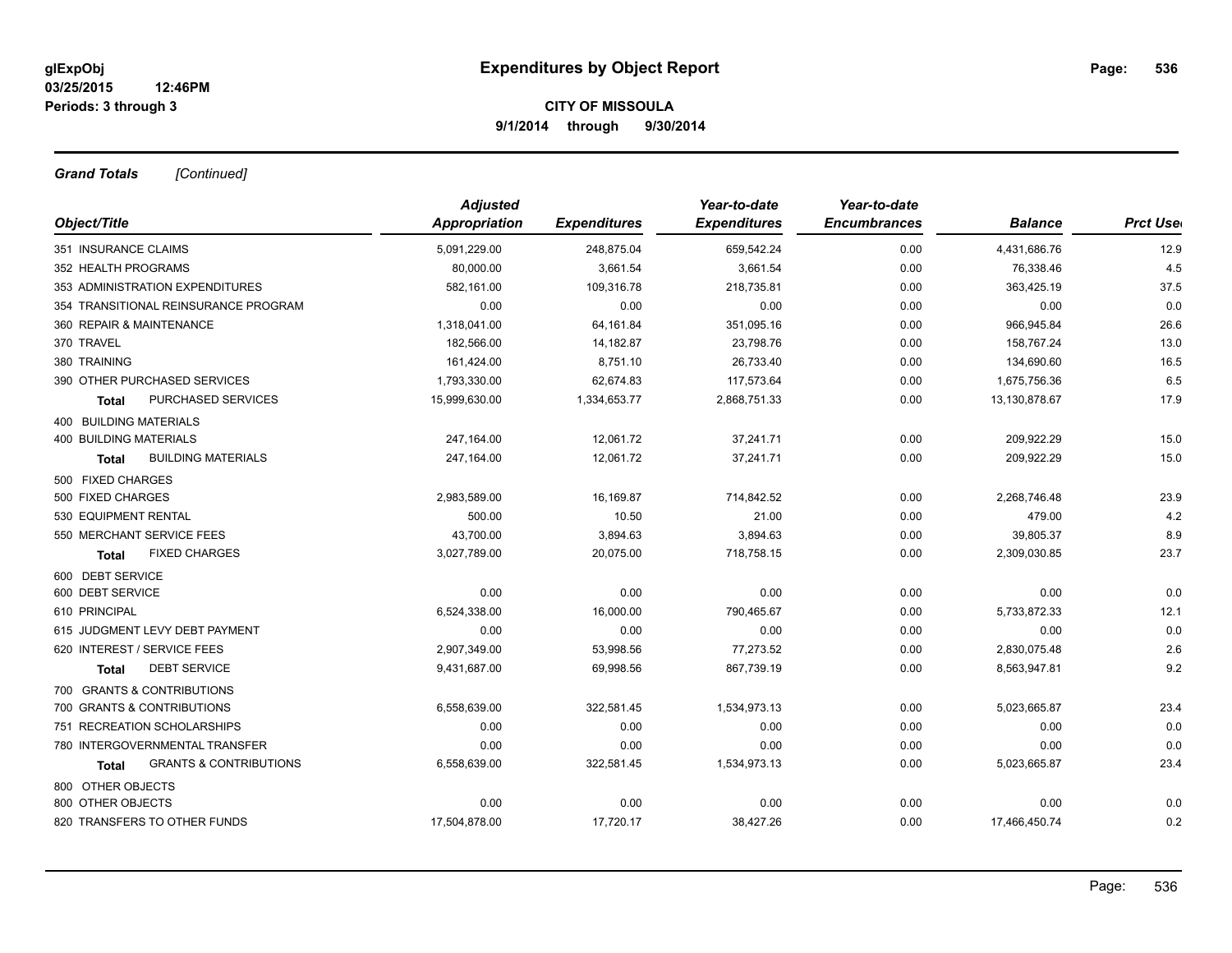*Grand Totals [Continued]*

|                                                   | <b>Adjusted</b> |                     | Year-to-date        | Year-to-date        |                |                 |
|---------------------------------------------------|-----------------|---------------------|---------------------|---------------------|----------------|-----------------|
| Object/Title                                      | Appropriation   | <b>Expenditures</b> | <b>Expenditures</b> | <b>Encumbrances</b> | <b>Balance</b> | <b>Prct Use</b> |
| 351 INSURANCE CLAIMS                              | 5,091,229.00    | 248,875.04          | 659,542.24          | 0.00                | 4,431,686.76   | 12.9            |
| 352 HEALTH PROGRAMS                               | 80,000.00       | 3,661.54            | 3,661.54            | 0.00                | 76,338.46      | 4.5             |
| 353 ADMINISTRATION EXPENDITURES                   | 582,161.00      | 109,316.78          | 218,735.81          | 0.00                | 363,425.19     | 37.5            |
| 354 TRANSITIONAL REINSURANCE PROGRAM              | 0.00            | 0.00                | 0.00                | 0.00                | 0.00           | 0.0             |
| 360 REPAIR & MAINTENANCE                          | 1,318,041.00    | 64,161.84           | 351,095.16          | 0.00                | 966,945.84     | 26.6            |
| 370 TRAVEL                                        | 182,566.00      | 14,182.87           | 23,798.76           | 0.00                | 158,767.24     | 13.0            |
| 380 TRAINING                                      | 161,424.00      | 8,751.10            | 26,733.40           | 0.00                | 134,690.60     | 16.5            |
| 390 OTHER PURCHASED SERVICES                      | 1,793,330.00    | 62,674.83           | 117,573.64          | 0.00                | 1,675,756.36   | 6.5             |
| PURCHASED SERVICES<br><b>Total</b>                | 15,999,630.00   | 1,334,653.77        | 2,868,751.33        | 0.00                | 13,130,878.67  | 17.9            |
| <b>400 BUILDING MATERIALS</b>                     |                 |                     |                     |                     |                |                 |
| <b>400 BUILDING MATERIALS</b>                     | 247,164.00      | 12,061.72           | 37,241.71           | 0.00                | 209,922.29     | 15.0            |
| <b>BUILDING MATERIALS</b><br><b>Total</b>         | 247,164.00      | 12,061.72           | 37,241.71           | 0.00                | 209,922.29     | 15.0            |
| 500 FIXED CHARGES                                 |                 |                     |                     |                     |                |                 |
| 500 FIXED CHARGES                                 | 2,983,589.00    | 16,169.87           | 714,842.52          | 0.00                | 2,268,746.48   | 23.9            |
| 530 EQUIPMENT RENTAL                              | 500.00          | 10.50               | 21.00               | 0.00                | 479.00         | 4.2             |
| 550 MERCHANT SERVICE FEES                         | 43,700.00       | 3,894.63            | 3,894.63            | 0.00                | 39,805.37      | 8.9             |
| <b>FIXED CHARGES</b><br><b>Total</b>              | 3,027,789.00    | 20,075.00           | 718,758.15          | 0.00                | 2,309,030.85   | 23.7            |
| 600 DEBT SERVICE                                  |                 |                     |                     |                     |                |                 |
| 600 DEBT SERVICE                                  | 0.00            | 0.00                | 0.00                | 0.00                | 0.00           | 0.0             |
| 610 PRINCIPAL                                     | 6,524,338.00    | 16,000.00           | 790,465.67          | 0.00                | 5,733,872.33   | 12.1            |
| 615 JUDGMENT LEVY DEBT PAYMENT                    | 0.00            | 0.00                | 0.00                | 0.00                | 0.00           | 0.0             |
| 620 INTEREST / SERVICE FEES                       | 2,907,349.00    | 53,998.56           | 77,273.52           | 0.00                | 2,830,075.48   | 2.6             |
| <b>DEBT SERVICE</b><br><b>Total</b>               | 9,431,687.00    | 69,998.56           | 867,739.19          | 0.00                | 8,563,947.81   | 9.2             |
| 700 GRANTS & CONTRIBUTIONS                        |                 |                     |                     |                     |                |                 |
| 700 GRANTS & CONTRIBUTIONS                        | 6,558,639.00    | 322,581.45          | 1,534,973.13        | 0.00                | 5,023,665.87   | 23.4            |
| 751 RECREATION SCHOLARSHIPS                       | 0.00            | 0.00                | 0.00                | 0.00                | 0.00           | 0.0             |
| 780 INTERGOVERNMENTAL TRANSFER                    | 0.00            | 0.00                | 0.00                | 0.00                | 0.00           | 0.0             |
| <b>GRANTS &amp; CONTRIBUTIONS</b><br><b>Total</b> | 6,558,639.00    | 322,581.45          | 1,534,973.13        | 0.00                | 5,023,665.87   | 23.4            |
| 800 OTHER OBJECTS                                 |                 |                     |                     |                     |                |                 |
| 800 OTHER OBJECTS                                 | 0.00            | 0.00                | 0.00                | 0.00                | 0.00           | 0.0             |
| 820 TRANSFERS TO OTHER FUNDS                      | 17,504,878.00   | 17,720.17           | 38,427.26           | 0.00                | 17,466,450.74  | 0.2             |